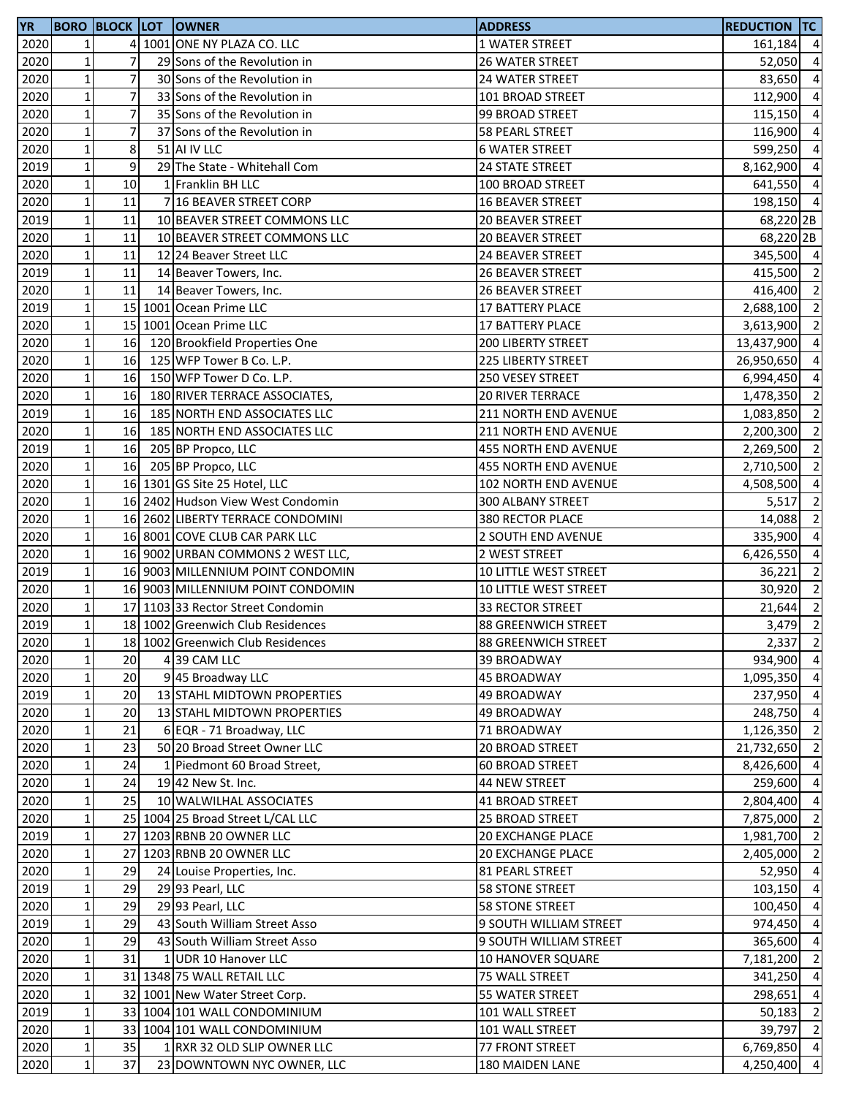| <b>YR</b> |                 |                | <b>BORO BLOCK LOT OWNER</b>       | <b>ADDRESS</b>             | <b>REDUCTION TC</b> |                         |
|-----------|-----------------|----------------|-----------------------------------|----------------------------|---------------------|-------------------------|
| 2020      | 1               |                | 4 1001 ONE NY PLAZA CO. LLC       | 1 WATER STREET             | 161,184 4           |                         |
| 2020      | $\mathbf{1}$    | $\overline{7}$ | 29 Sons of the Revolution in      | 26 WATER STREET            | 52,050              | $\overline{4}$          |
| 2020      | $\mathbf 1$     | $\overline{7}$ | 30 Sons of the Revolution in      | 24 WATER STREET            | 83,650              | $\overline{4}$          |
| 2020      | $\mathbf 1$     | $\overline{7}$ | 33 Sons of the Revolution in      | 101 BROAD STREET           | 112,900             | $\overline{4}$          |
| 2020      | $\mathbf 1$     | $\overline{7}$ | 35 Sons of the Revolution in      | 99 BROAD STREET            | 115,150 4           |                         |
| 2020      | $\mathbf{1}$    | $\overline{7}$ | 37 Sons of the Revolution in      | 58 PEARL STREET            | 116,900             | $\overline{4}$          |
| 2020      | $\mathbf 1$     | 8              | 51 AI IV LLC                      | <b>6 WATER STREET</b>      | 599,250             | $\overline{4}$          |
| 2019      | $1\overline{ }$ | 9              | 29 The State - Whitehall Com      | 24 STATE STREET            | 8,162,900           | $\overline{4}$          |
| 2020      | $\mathbf 1$     | 10             | 1 Franklin BH LLC                 | 100 BROAD STREET           | 641,550 4           |                         |
| 2020      | $\mathbf 1$     | 11             | 7 16 BEAVER STREET CORP           | 16 BEAVER STREET           | 198,150 4           |                         |
| 2019      | $\mathbf 1$     | 11             | 10 BEAVER STREET COMMONS LLC      | 20 BEAVER STREET           | 68,220 2B           |                         |
| 2020      | $\mathbf 1$     | 11             | 10 BEAVER STREET COMMONS LLC      | 20 BEAVER STREET           | 68,220 2B           |                         |
| 2020      | $\mathbf 1$     | 11             | 12 24 Beaver Street LLC           | 24 BEAVER STREET           | 345,500 4           |                         |
| 2019      | $\mathbf 1$     | 11             | 14 Beaver Towers, Inc.            | <b>26 BEAVER STREET</b>    | 415,500 2           |                         |
| 2020      | $\mathbf 1$     | 11             | 14 Beaver Towers, Inc.            | <b>26 BEAVER STREET</b>    | 416,400 2           |                         |
| 2019      | $\mathbf 1$     |                | 15 1001 Ocean Prime LLC           | 17 BATTERY PLACE           | 2,688,100 2         |                         |
| 2020      | $\mathbf 1$     |                | 15 1001 Ocean Prime LLC           | 17 BATTERY PLACE           | 3,613,900           | $\overline{2}$          |
| 2020      | $\mathbf 1$     | 16             | 120 Brookfield Properties One     | 200 LIBERTY STREET         | 13,437,900          | $\overline{a}$          |
| 2020      | $\mathbf 1$     | 16             | 125 WFP Tower B Co. L.P.          | 225 LIBERTY STREET         | 26,950,650          | $\overline{a}$          |
| 2020      | $\mathbf 1$     | 16             | 150 WFP Tower D Co. L.P.          | 250 VESEY STREET           | 6,994,450           | $\overline{a}$          |
| 2020      | $\mathbf{1}$    | 16             | 180 RIVER TERRACE ASSOCIATES,     | <b>20 RIVER TERRACE</b>    | 1,478,350 2         |                         |
| 2019      | $\mathbf 1$     | 16             | 185 NORTH END ASSOCIATES LLC      | 211 NORTH END AVENUE       | 1,083,850 2         |                         |
| 2020      | $\mathbf{1}$    | 16             | 185 NORTH END ASSOCIATES LLC      | 211 NORTH END AVENUE       | 2,200,300           | $\overline{\mathbf{c}}$ |
| 2019      | $\mathbf 1$     | 16             | 205 BP Propco, LLC                | 455 NORTH END AVENUE       | 2,269,500 2         |                         |
| 2020      | $\mathbf 1$     | 16             | 205 BP Propco, LLC                | 455 NORTH END AVENUE       | 2,710,500           | $\overline{2}$          |
| 2020      | $\mathbf 1$     |                | 16 1301 GS Site 25 Hotel, LLC     | 102 NORTH END AVENUE       | 4,508,500           | $\overline{a}$          |
| 2020      | $\mathbf{1}$    |                | 16 2402 Hudson View West Condomin | 300 ALBANY STREET          | 5,517               | $\overline{2}$          |
| 2020      | $\mathbf 1$     |                | 16 2602 LIBERTY TERRACE CONDOMINI | 380 RECTOR PLACE           | 14,088 2            |                         |
| 2020      | $\mathbf 1$     |                | 16 8001 COVE CLUB CAR PARK LLC    | 2 SOUTH END AVENUE         | 335,900             | $\overline{4}$          |
| 2020      | $\mathbf 1$     |                | 16 9002 URBAN COMMONS 2 WEST LLC, | 2 WEST STREET              | 6,426,550 4         |                         |
| 2019      | $\mathbf 1$     |                | 16 9003 MILLENNIUM POINT CONDOMIN | 10 LITTLE WEST STREET      | 36,221              | $\overline{\mathbf{c}}$ |
| 2020      | $\mathbf 1$     |                | 16 9003 MILLENNIUM POINT CONDOMIN | 10 LITTLE WEST STREET      | 30,920 2            |                         |
| 2020      | $1\overline{ }$ |                | 17 1103 33 Rector Street Condomin | 33 RECTOR STREET           | 21,644 2            |                         |
| 2019      | $\mathbf{1}$    |                | 18 1002 Greenwich Club Residences | <b>88 GREENWICH STREET</b> | $3,479$ 2           |                         |
| 2020      | $1\vert$        |                | 18 1002 Greenwich Club Residences | <b>88 GREENWICH STREET</b> | $2,337$ 2           |                         |
| 2020      | $\mathbf 1$     | 20             | 4 39 CAM LLC                      | 39 BROADWAY                | 934,900 4           |                         |
| 2020      | $\mathbf 1$     | 20             | 9 45 Broadway LLC                 | <b>45 BROADWAY</b>         | 1,095,350           | $\overline{4}$          |
| 2019      | $\mathbf 1$     | 20             | 13 STAHL MIDTOWN PROPERTIES       | 49 BROADWAY                | 237,950 4           |                         |
| 2020      | $\mathbf 1$     | 20             | 13 STAHL MIDTOWN PROPERTIES       | 49 BROADWAY                | 248,750 4           |                         |
| 2020      | $\mathbf 1$     | 21             | 6 EQR - 71 Broadway, LLC          | 71 BROADWAY                | 1,126,350 2         |                         |
| 2020      | $\mathbf 1$     | 23             | 50 20 Broad Street Owner LLC      | 20 BROAD STREET            | 21,732,650          | $\overline{2}$          |
| 2020      | $\mathbf{1}$    | 24             | 1 Piedmont 60 Broad Street,       | 60 BROAD STREET            | 8,426,600           | $\overline{a}$          |
| 2020      | $1\overline{ }$ | 24             | 19 42 New St. Inc.                | 44 NEW STREET              | 259,600             | $\overline{a}$          |
| 2020      | $\mathbf 1$     | 25             | 10 WALWILHAL ASSOCIATES           | 41 BROAD STREET            | 2,804,400           | $\overline{a}$          |
| 2020      | $\mathbf 1$     |                | 25 1004 25 Broad Street L/CAL LLC | 25 BROAD STREET            | 7,875,000           | $\overline{2}$          |
| 2019      | $\mathbf 1$     |                | 27 1203 RBNB 20 OWNER LLC         | <b>20 EXCHANGE PLACE</b>   | 1,981,700 2         |                         |
| 2020      | $\mathbf 1$     |                | 27 1203 RBNB 20 OWNER LLC         | <b>20 EXCHANGE PLACE</b>   | 2,405,000 2         |                         |
| 2020      | $\mathbf{1}$    | 29             | 24 Louise Properties, Inc.        | 81 PEARL STREET            | 52,950              | $\overline{4}$          |
| 2019      | $\mathbf 1$     | 29             | 29 93 Pearl, LLC                  | <b>58 STONE STREET</b>     | 103,150             | $\overline{4}$          |
| 2020      | $\mathbf{1}$    | 29             | 29 93 Pearl, LLC                  | <b>58 STONE STREET</b>     | 100,450             | $\overline{4}$          |
| 2019      | $\mathbf{1}$    | 29             | 43 South William Street Asso      | 9 SOUTH WILLIAM STREET     | 974,450             | $\overline{a}$          |
| 2020      | $\mathbf{1}$    | 29             | 43 South William Street Asso      | 9 SOUTH WILLIAM STREET     | 365,600             | $\overline{a}$          |
| 2020      | $\mathbf 1$     | 31             | 1 UDR 10 Hanover LLC              | 10 HANOVER SQUARE          | 7,181,200 2         |                         |
| 2020      | $\mathbf 1$     |                | 31 1348 75 WALL RETAIL LLC        | 75 WALL STREET             | 341,250             | $\overline{4}$          |
| 2020      | $\mathbf 1$     |                | 32 1001 New Water Street Corp.    | 55 WATER STREET            | 298,651             | $\overline{4}$          |
| 2019      | $\mathbf 1$     |                | 33 1004 101 WALL CONDOMINIUM      | 101 WALL STREET            | 50,183              | $\overline{2}$          |
| 2020      | $\mathbf 1$     |                | 33 1004 101 WALL CONDOMINIUM      | 101 WALL STREET            | 39,797 2            |                         |
| 2020      | $\mathbf 1$     | 35             | 1 RXR 32 OLD SLIP OWNER LLC       | 77 FRONT STREET            | 6,769,850 4         |                         |
| 2020      | $\mathbf 1$     | 37             | 23 DOWNTOWN NYC OWNER, LLC        | 180 MAIDEN LANE            | 4,250,400           | $\overline{a}$          |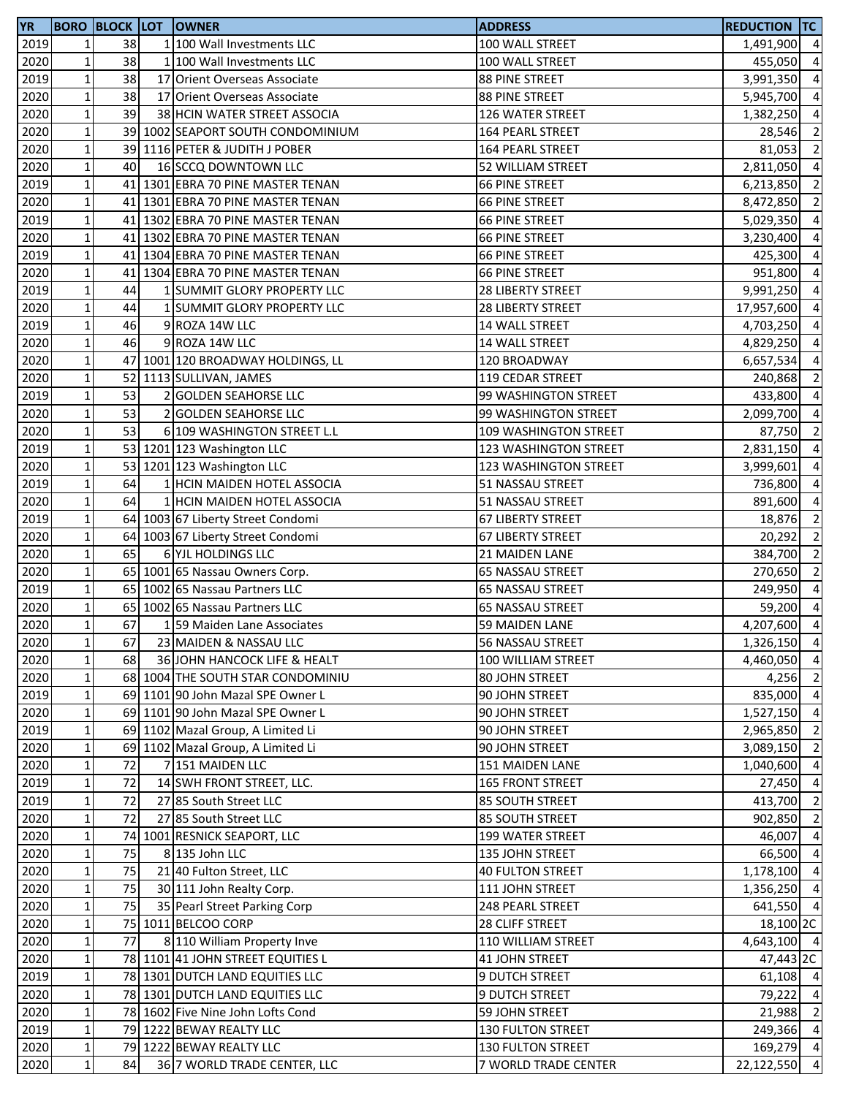| <b>YR</b>    |                                |    | <b>BORO BLOCK LOT OWNER</b>                         | <b>ADDRESS</b>                            | reduction  tc            |                |
|--------------|--------------------------------|----|-----------------------------------------------------|-------------------------------------------|--------------------------|----------------|
| 2019         | 1                              | 38 | 1 100 Wall Investments LLC                          | 100 WALL STREET                           | 1,491,900 4              |                |
| 2020         | $\mathbf{1}$                   | 38 | 1 100 Wall Investments LLC                          | 100 WALL STREET                           | 455,050                  | $\overline{4}$ |
| 2019         | $\mathbf{1}$                   | 38 | 17 Orient Overseas Associate                        | 88 PINE STREET                            | 3,991,350                | $\overline{4}$ |
| 2020         | $\mathbf{1}$                   | 38 | 17 Orient Overseas Associate                        | 88 PINE STREET                            | 5,945,700                | $\overline{4}$ |
| 2020         | $\mathbf 1$                    | 39 | 38 HCIN WATER STREET ASSOCIA                        | 126 WATER STREET                          | 1,382,250                | $\overline{4}$ |
| 2020         | $\mathbf{1}$                   |    | 39 1002 SEAPORT SOUTH CONDOMINIUM                   | 164 PEARL STREET                          | 28,546                   | $\overline{2}$ |
| 2020         | $\mathbf 1$                    |    | 39 1116 PETER & JUDITH J POBER                      | 164 PEARL STREET                          | 81,053                   | $\overline{2}$ |
| 2020         | $\mathbf{1}$                   | 40 | 16 SCCQ DOWNTOWN LLC                                | 52 WILLIAM STREET                         | 2,811,050                | $\overline{4}$ |
| 2019         | $\mathbf 1$                    |    | 41 1301 EBRA 70 PINE MASTER TENAN                   | <b>66 PINE STREET</b>                     | 6,213,850                | $\overline{2}$ |
| 2020         | $\mathbf{1}$                   |    | 41 1301 EBRA 70 PINE MASTER TENAN                   | <b>66 PINE STREET</b>                     | 8,472,850                | $\overline{2}$ |
| 2019         | $\mathbf 1$                    |    | 41 1302 EBRA 70 PINE MASTER TENAN                   | <b>66 PINE STREET</b>                     | 5,029,350                | $\overline{4}$ |
| 2020         | $\mathbf{1}$                   |    | 41 1302 EBRA 70 PINE MASTER TENAN                   | <b>66 PINE STREET</b>                     | 3,230,400                | $\overline{4}$ |
| 2019         | $\mathbf 1$                    |    | 41   1304 EBRA 70 PINE MASTER TENAN                 | <b>66 PINE STREET</b>                     | 425,300                  | $\overline{4}$ |
| 2020         | $\mathbf 1$                    |    | 41 1304 EBRA 70 PINE MASTER TENAN                   | <b>66 PINE STREET</b>                     | 951,800 4                |                |
| 2019         | $\mathbf 1$                    | 44 | 1 SUMMIT GLORY PROPERTY LLC                         | <b>28 LIBERTY STREET</b>                  | 9,991,250                | $\overline{4}$ |
| 2020         | $\mathbf{1}$                   | 44 | 1 SUMMIT GLORY PROPERTY LLC                         | 28 LIBERTY STREET                         | 17,957,600               | $\overline{4}$ |
| 2019         | $\mathbf{1}$                   | 46 | 9 ROZA 14W LLC                                      | 14 WALL STREET                            | 4,703,250                | $\overline{4}$ |
| 2020         | $\mathbf{1}$                   | 46 | 9 ROZA 14W LLC                                      | 14 WALL STREET                            | 4,829,250                | $\overline{4}$ |
| 2020         | $\mathbf 1$                    |    | 47 1001 120 BROADWAY HOLDINGS, LL                   | 120 BROADWAY                              | 6,657,534                | $\overline{4}$ |
| 2020         | $\mathbf{1}$                   |    | 52 1113 SULLIVAN, JAMES                             | 119 CEDAR STREET                          | 240,868                  | $\overline{2}$ |
| 2019         | $\mathbf{1}$                   | 53 | 2 GOLDEN SEAHORSE LLC                               | 99 WASHINGTON STREET                      | 433,800                  | $\overline{4}$ |
| 2020         | $\mathbf{1}$                   | 53 | 2 GOLDEN SEAHORSE LLC                               | 99 WASHINGTON STREET                      | 2,099,700                | $\overline{4}$ |
| 2020         | $\mathbf{1}$                   | 53 | 6 109 WASHINGTON STREET L.L                         | 109 WASHINGTON STREET                     | 87,750                   | $\overline{2}$ |
| 2019         | $\mathbf 1$                    |    | 53 1201 123 Washington LLC                          | 123 WASHINGTON STREET                     | 2,831,150                | $\overline{4}$ |
| 2020         | $\mathbf{1}$                   |    | 53 1201 123 Washington LLC                          | 123 WASHINGTON STREET                     | 3,999,601                | $\overline{a}$ |
| 2019         | $\mathbf{1}$                   | 64 | 1 HCIN MAIDEN HOTEL ASSOCIA                         | 51 NASSAU STREET                          | 736,800                  | $\overline{4}$ |
| 2020         | $\mathbf{1}$                   | 64 | 1 HCIN MAIDEN HOTEL ASSOCIA                         | 51 NASSAU STREET                          | 891,600                  | $\overline{4}$ |
| 2019         | $\mathbf 1$                    |    | 64 1003 67 Liberty Street Condomi                   | <b>67 LIBERTY STREET</b>                  | 18,876                   | $\overline{2}$ |
| 2020         | $\mathbf{1}$                   |    | 64 1003 67 Liberty Street Condomi                   | <b>67 LIBERTY STREET</b>                  | 20,292                   | $\overline{2}$ |
| 2020         | $\mathbf{1}$                   | 65 | 6 YJL HOLDINGS LLC                                  |                                           |                          | $\overline{2}$ |
| 2020         | $\mathbf 1$                    |    | 65 1001 65 Nassau Owners Corp.                      | 21 MAIDEN LANE                            | 384,700                  | $\overline{2}$ |
| 2019         | $\mathbf 1$                    |    | 65 1002 65 Nassau Partners LLC                      | <b>65 NASSAU STREET</b>                   | 270,650<br>249,950 4     |                |
| 2020         | $\mathbf{1}$                   |    | 65 1002 65 Nassau Partners LLC                      | 65 NASSAU STREET                          |                          | $\overline{4}$ |
| 2020         | $\mathbf{1}$                   | 67 | 159 Maiden Lane Associates                          | 65 NASSAU STREET<br><b>59 MAIDEN LANE</b> | 59,200<br>4,207,600 4    |                |
| 2020         | $1\vert$                       | 67 | 23 MAIDEN & NASSAU LLC                              | 56 NASSAU STREET                          | 1,326,150 4              |                |
| 2020         | $\mathbf 1$                    | 68 | 36 JOHN HANCOCK LIFE & HEALT                        | 100 WILLIAM STREET                        | 4,460,050 4              |                |
| 2020         | $\mathbf 1$                    |    | 68 1004 THE SOUTH STAR CONDOMINIU                   | 80 JOHN STREET                            | $4,256$ 2                |                |
| 2019         | $1\,$                          |    | 69 1101 90 John Mazal SPE Owner L                   |                                           | 835,000 4                |                |
| 2020         | $1\,$                          |    | 69 1101 90 John Mazal SPE Owner L                   | 90 JOHN STREET<br>90 JOHN STREET          | 1,527,150 4              |                |
| 2019         | $\mathbf 1$                    |    | 69 1102 Mazal Group, A Limited Li                   |                                           | 2,965,850 2              |                |
| 2020         | $1\,$                          |    | 69 1102 Mazal Group, A Limited Li                   | 90 JOHN STREET                            |                          | $\overline{2}$ |
| 2020         | $1\overline{ }$                | 72 | 7 151 MAIDEN LLC                                    | 90 JOHN STREET                            | 3,089,150<br>1,040,600 4 |                |
| 2019         | $1\overline{ }$                | 72 |                                                     | 151 MAIDEN LANE<br>165 FRONT STREET       | 27,450                   | $\overline{4}$ |
| 2019         | $\mathbf 1$                    | 72 | 14 SWH FRONT STREET, LLC.<br>27 85 South Street LLC | 85 SOUTH STREET                           | 413,700 2                |                |
|              |                                | 72 | 27 85 South Street LLC                              |                                           | 902,850 2                |                |
| 2020<br>2020 | $\mathbf 1$<br>$1\overline{ }$ |    | 74 1001 RESNICK SEAPORT, LLC                        | 85 SOUTH STREET                           | 46,007                   | $\overline{4}$ |
| 2020         | $1\,$                          | 75 | 8 135 John LLC                                      | 199 WATER STREET                          | 66,500 4                 |                |
|              | $\mathbf{1}$                   | 75 |                                                     | 135 JOHN STREET                           | 1,178,100 4              |                |
| 2020         |                                | 75 | 21 40 Fulton Street, LLC                            | <b>40 FULTON STREET</b>                   |                          |                |
| 2020         | $\mathbf 1$                    |    | 30 111 John Realty Corp.                            | 111 JOHN STREET                           | 1,356,250 4              |                |
| 2020         | $\mathbf{1}$                   | 75 | 35 Pearl Street Parking Corp                        | 248 PEARL STREET                          | 641,550 4                |                |
| 2020         | $1\,$                          |    | 75 1011 BELCOO CORP                                 | 28 CLIFF STREET                           | 18,100 2C                |                |
| 2020         | 1                              | 77 | 8 110 William Property Inve                         | 110 WILLIAM STREET                        | 4,643,100 4              |                |
| 2020         | $\mathbf 1$                    |    | 78 1101 41 JOHN STREET EQUITIES L                   | 41 JOHN STREET                            | 47,443 2C                |                |
| 2019         | $1\,$                          |    | 78 1301 DUTCH LAND EQUITIES LLC                     | 9 DUTCH STREET                            | $61,108$ 4               |                |
| 2020         | $1\,$                          |    | 78 1301 DUTCH LAND EQUITIES LLC                     | <b>9 DUTCH STREET</b>                     | 79,222 4                 |                |
| 2020         | $\mathbf 1$                    |    | 78 1602 Five Nine John Lofts Cond                   | 59 JOHN STREET                            | 21,988 2                 |                |
| 2019         | $\mathbf 1$                    |    | 79 1222 BEWAY REALTY LLC                            | 130 FULTON STREET                         | 249,366 4                |                |
| 2020         | $1\vert$                       |    | 79 1222 BEWAY REALTY LLC                            | 130 FULTON STREET                         | 169,279 4                |                |
| 2020         | $1\vert$                       | 84 | 36 7 WORLD TRADE CENTER, LLC                        | 7 WORLD TRADE CENTER                      | 22,122,550 4             |                |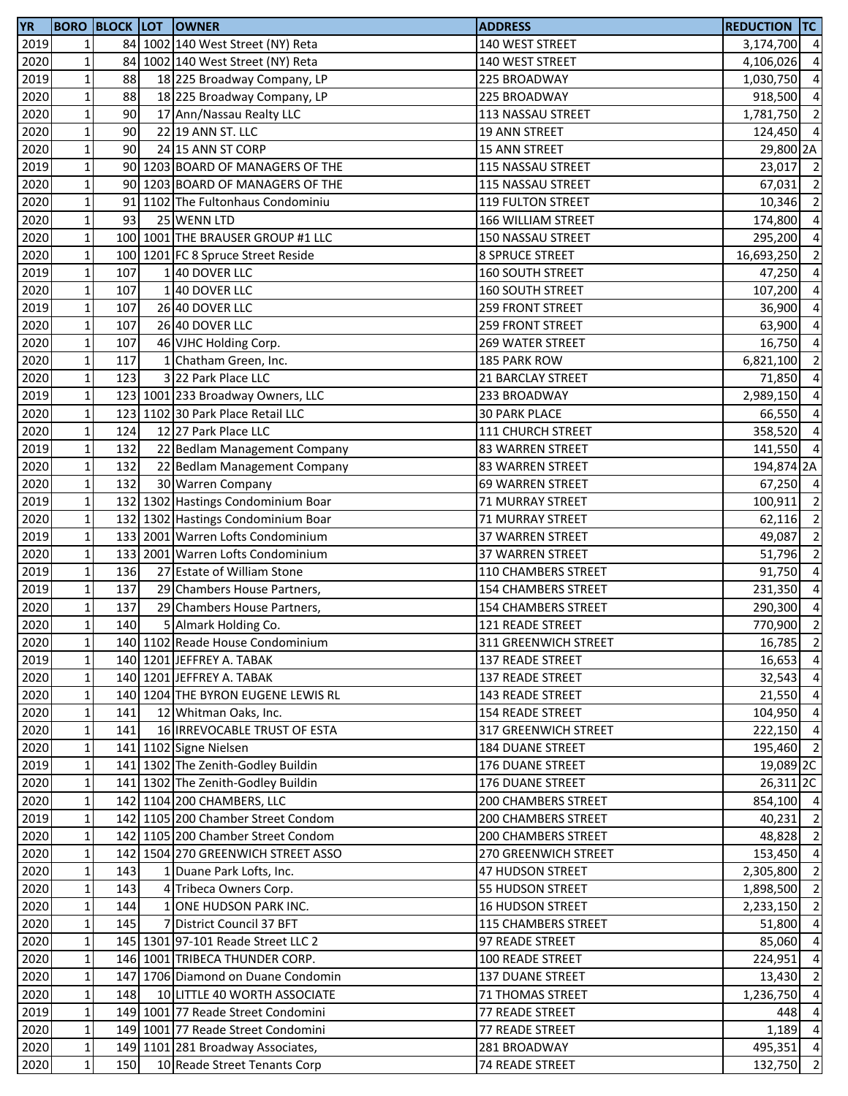| <b>YR</b> |                 |     | <b>BORO BLOCK LOT OWNER</b>        | <b>ADDRESS</b>             | <b>REDUCTION TC</b>  |                |
|-----------|-----------------|-----|------------------------------------|----------------------------|----------------------|----------------|
| 2019      | $\mathbf{1}$    |     | 84 1002 140 West Street (NY) Reta  | 140 WEST STREET            | 3,174,700 4          |                |
| 2020      | $\mathbf 1$     |     | 84 1002 140 West Street (NY) Reta  | 140 WEST STREET            | 4,106,026 4          |                |
| 2019      | $\mathbf{1}$    | 88  | 18 225 Broadway Company, LP        | 225 BROADWAY               | 1,030,750 4          |                |
| 2020      | $\mathbf 1$     | 88  | 18 225 Broadway Company, LP        | 225 BROADWAY               | 918,500              | $\overline{4}$ |
| 2020      | $\mathbf 1$     | 90  | 17 Ann/Nassau Realty LLC           | 113 NASSAU STREET          | 1,781,750 2          |                |
| 2020      | $\mathbf 1$     | 90  | 22 19 ANN ST. LLC                  | <b>19 ANN STREET</b>       | 124,450 4            |                |
| 2020      | $\mathbf{1}$    | 90  | 24 15 ANN ST CORP                  | <b>15 ANN STREET</b>       | 29,800 2A            |                |
| 2019      | $\mathbf 1$     |     | 90 1203 BOARD OF MANAGERS OF THE   | 115 NASSAU STREET          | 23,017 2             |                |
| 2020      | $1\,$           |     | 90 1203 BOARD OF MANAGERS OF THE   | 115 NASSAU STREET          | 67,031 2             |                |
| 2020      | $\mathbf{1}$    |     | 91 1102 The Fultonhaus Condominiu  | 119 FULTON STREET          | 10,346               | $\overline{2}$ |
| 2020      | $\mathbf{1}$    | 93  | 25 WENN LTD                        | 166 WILLIAM STREET         | 174,800              | $\overline{4}$ |
| 2020      | $\mathbf 1$     |     | 100 1001 THE BRAUSER GROUP #1 LLC  | 150 NASSAU STREET          | 295,200              | $\overline{4}$ |
| 2020      | $\mathbf 1$     |     | 100 1201 FC 8 Spruce Street Reside | 8 SPRUCE STREET            | 16,693,250           | $\overline{2}$ |
| 2019      | $\mathbf 1$     | 107 | 140 DOVER LLC                      | 160 SOUTH STREET           | 47,250 4             |                |
| 2020      | $\mathbf{1}$    | 107 | 140 DOVER LLC                      | 160 SOUTH STREET           | 107,200 4            |                |
| 2019      | $\mathbf 1$     | 107 | 26 40 DOVER LLC                    | 259 FRONT STREET           | 36,900               | $\overline{4}$ |
| 2020      | $1\vert$        | 107 | 26 40 DOVER LLC                    | 259 FRONT STREET           | 63,900               | $\overline{4}$ |
| 2020      | $1\vert$        | 107 | 46 VJHC Holding Corp.              | 269 WATER STREET           | 16,750               | $\overline{4}$ |
| 2020      | $1\vert$        | 117 | 1 Chatham Green, Inc.              | 185 PARK ROW               | 6,821,100            | $\overline{2}$ |
| 2020      | $\mathbf 1$     | 123 | 3 22 Park Place LLC                | 21 BARCLAY STREET          | 71,850               | $\overline{4}$ |
| 2019      | $\mathbf 1$     |     | 123 1001 233 Broadway Owners, LLC  | 233 BROADWAY               | 2,989,150            | $\overline{4}$ |
| 2020      | $\mathbf 1$     |     | 123 1102 30 Park Place Retail LLC  | <b>30 PARK PLACE</b>       | 66,550 4             |                |
| 2020      | $\mathbf 1$     | 124 | 12 27 Park Place LLC               | 111 CHURCH STREET          | 358,520 4            |                |
| 2019      | $1\,$           | 132 | 22 Bedlam Management Company       | 83 WARREN STREET           | 141,550 4            |                |
| 2020      | $\mathbf 1$     | 132 | 22 Bedlam Management Company       | 83 WARREN STREET           | 194,874 2A           |                |
| 2020      | $1\vert$        | 132 | 30 Warren Company                  | 69 WARREN STREET           | 67,250 4             |                |
| 2019      | $1\,$           |     | 132 1302 Hastings Condominium Boar | 71 MURRAY STREET           | 100,911              | $\overline{2}$ |
| 2020      | $\mathbf 1$     |     | 132 1302 Hastings Condominium Boar | 71 MURRAY STREET           | 62,116               | $\overline{2}$ |
| 2019      | $\mathbf 1$     |     | 133 2001 Warren Lofts Condominium  | 37 WARREN STREET           | 49,087               | $\overline{2}$ |
| 2020      | $1\,$           |     | 133 2001 Warren Lofts Condominium  | 37 WARREN STREET           | 51,796 2             |                |
| 2019      | $\mathbf 1$     | 136 | 27 Estate of William Stone         | 110 CHAMBERS STREET        | 91,750 4             |                |
| 2019      | $\mathbf 1$     | 137 | 29 Chambers House Partners,        | <b>154 CHAMBERS STREET</b> | 231,350 4            |                |
| 2020      | $\mathbf 1$     | 137 | 29 Chambers House Partners,        | 154 CHAMBERS STREET        | 290,300              | $\overline{4}$ |
| 2020      | $\mathbf{1}$    | 140 | Almark Holding Co.                 | 121 READE STREET           | 770,900              | $\overline{2}$ |
| 2020      | $1\vert$        |     | 140 1102 Reade House Condominium   | 311 GREENWICH STREET       | 16,785               | $\overline{2}$ |
| 2019      | 1 <sup>1</sup>  |     | 140 1201 JEFFREY A. TABAK          | 137 READE STREET           | 16,653               | $\overline{4}$ |
| 2020      | $1\,$           |     | 140 1201 JEFFREY A. TABAK          | 137 READE STREET           | 32,543               | $\overline{4}$ |
| 2020      | $\mathbf 1$     |     | 140 1204 THE BYRON EUGENE LEWIS RL | 143 READE STREET           | 21,550               | $\overline{4}$ |
| 2020      | $\mathbf 1$     | 141 | 12 Whitman Oaks, Inc.              | <b>154 READE STREET</b>    | 104,950 4            |                |
| 2020      | $1\vert$        | 141 | 16 IRREVOCABLE TRUST OF ESTA       | 317 GREENWICH STREET       | 222,150 4            |                |
| 2020      | $\mathbf 1$     |     | 141 1102 Signe Nielsen             | <b>184 DUANE STREET</b>    | 195,460 2            |                |
| 2019      | $1\vert$        |     | 141 1302 The Zenith-Godley Buildin | 176 DUANE STREET           | 19,089 <sub>2C</sub> |                |
| 2020      | $1\vert$        |     | 141 1302 The Zenith-Godley Buildin | 176 DUANE STREET           | 26,311 <sub>2C</sub> |                |
| 2020      | 1               |     | 142 1104 200 CHAMBERS, LLC         | 200 CHAMBERS STREET        | 854,100 4            |                |
| 2019      | $\mathbf 1$     |     | 142 1105 200 Chamber Street Condom | <b>200 CHAMBERS STREET</b> | 40,231               | $\overline{2}$ |
| 2020      | $1\,$           |     | 142 1105 200 Chamber Street Condom | 200 CHAMBERS STREET        | 48,828               | $\overline{2}$ |
| 2020      | $1\vert$        |     | 142 1504 270 GREENWICH STREET ASSO | 270 GREENWICH STREET       | 153,450 4            |                |
| 2020      | $1\,$           | 143 | 1 Duane Park Lofts, Inc.           | 47 HUDSON STREET           | 2,305,800 2          |                |
| 2020      | $1\overline{ }$ | 143 | 4 Tribeca Owners Corp.             | 55 HUDSON STREET           | 1,898,500 2          |                |
| 2020      | $1\vert$        | 144 | 1 ONE HUDSON PARK INC.             | 16 HUDSON STREET           | 2,233,150 2          |                |
| 2020      | $1\vert$        | 145 | 7 District Council 37 BFT          | 115 CHAMBERS STREET        | 51,800               | $\overline{4}$ |
| 2020      | $1\,$           |     | 145 1301 97-101 Reade Street LLC 2 | 97 READE STREET            | 85,060               | $\overline{4}$ |
| 2020      | $\mathbf 1$     |     | 146 1001 TRIBECA THUNDER CORP.     | 100 READE STREET           | 224,951              | $\overline{4}$ |
| 2020      | $\mathbf 1$     |     | 147 1706 Diamond on Duane Condomin | 137 DUANE STREET           | 13,430               | $\overline{2}$ |
| 2020      | $1\,$           | 148 | 10 LITTLE 40 WORTH ASSOCIATE       | 71 THOMAS STREET           | 1,236,750            | $\overline{4}$ |
| 2019      | 1               |     | 149 1001 77 Reade Street Condomini | 77 READE STREET            | 448                  | $\overline{4}$ |
| 2020      | $1\,$           |     | 149 1001 77 Reade Street Condomini | 77 READE STREET            | $1,189$ 4            |                |
| 2020      | $1\vert$        |     | 149 1101 281 Broadway Associates,  | 281 BROADWAY               | 495,351 4            |                |
| 2020      | $1\vert$        | 150 | 10 Reade Street Tenants Corp       | 74 READE STREET            | 132,750 2            |                |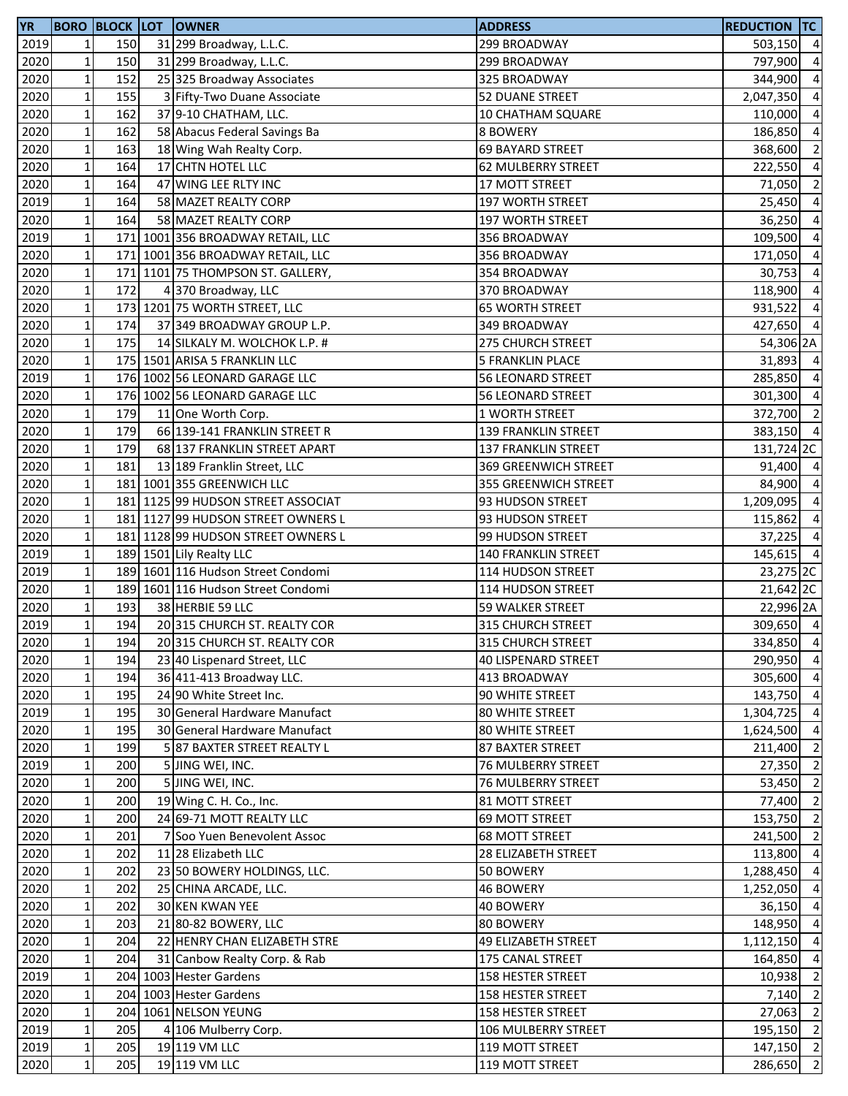| <b>YR</b> |                 |     | <b>BORO BLOCK LOT OWNER</b>        | <b>ADDRESS</b>             | <b>REDUCTION TC</b> |                |
|-----------|-----------------|-----|------------------------------------|----------------------------|---------------------|----------------|
| 2019      | $\mathbf{1}$    | 150 | 31 299 Broadway, L.L.C.            | 299 BROADWAY               | 503,150 4           |                |
| 2020      | $\mathbf{1}$    | 150 | 31 299 Broadway, L.L.C.            | 299 BROADWAY               | 797,900             | $\overline{4}$ |
| 2020      | $\mathbf 1$     | 152 | 25 325 Broadway Associates         | 325 BROADWAY               | 344,900             | $\overline{4}$ |
| 2020      | $1\,$           | 155 | 3 Fifty-Two Duane Associate        | 52 DUANE STREET            | 2,047,350           | $\overline{4}$ |
| 2020      | $\mathbf 1$     | 162 | 37 9-10 CHATHAM, LLC.              | 10 CHATHAM SQUARE          | 110,000 4           |                |
| 2020      | $\mathbf 1$     | 162 | 58 Abacus Federal Savings Ba       | 8 BOWERY                   | 186,850 4           |                |
| 2020      | $\mathbf 1$     | 163 | 18 Wing Wah Realty Corp.           | 69 BAYARD STREET           | 368,600             | $\overline{2}$ |
| 2020      | $1\vert$        | 164 | 17 CHTN HOTEL LLC                  | <b>62 MULBERRY STREET</b>  | 222,550             | $\overline{4}$ |
| 2020      | $\mathbf 1$     | 164 | 47 WING LEE RLTY INC               | 17 MOTT STREET             | 71,050              | $\overline{2}$ |
| 2019      | 1 <sup>1</sup>  | 164 | 58 MAZET REALTY CORP               | 197 WORTH STREET           | 25,450              | $\overline{4}$ |
| 2020      | $\mathbf 1$     | 164 | 58 MAZET REALTY CORP               | 197 WORTH STREET           | 36,250              | $\overline{4}$ |
| 2019      | $\mathbf 1$     |     | 171 1001 356 BROADWAY RETAIL, LLC  | 356 BROADWAY               | 109,500             | $\overline{a}$ |
| 2020      | $\mathbf 1$     |     | 171 1001 356 BROADWAY RETAIL, LLC  | 356 BROADWAY               | 171,050 4           |                |
| 2020      | $1\vert$        |     | 171 1101 75 THOMPSON ST. GALLERY,  | 354 BROADWAY               | 30,753              | $\overline{4}$ |
| 2020      | $\mathbf 1$     | 172 | 4 370 Broadway, LLC                | 370 BROADWAY               | 118,900 4           |                |
| 2020      | $1\vert$        |     | 173 1201 75 WORTH STREET, LLC      | <b>65 WORTH STREET</b>     | 931,522             | $\overline{4}$ |
| 2020      | $1\vert$        | 174 | 37 349 BROADWAY GROUP L.P.         | 349 BROADWAY               | 427,650 4           |                |
| 2020      | $1\vert$        | 175 | 14 SILKALY M. WOLCHOK L.P. #       | 275 CHURCH STREET          | 54,306 2A           |                |
| 2020      | $\mathbf 1$     |     | 175 1501 ARISA 5 FRANKLIN LLC      | <b>5 FRANKLIN PLACE</b>    | 31,893 4            |                |
| 2019      | $\mathbf 1$     |     | 176 1002 56 LEONARD GARAGE LLC     | <b>56 LEONARD STREET</b>   | 285,850             | $\overline{4}$ |
| 2020      | $\mathbf 1$     |     | 176 1002 56 LEONARD GARAGE LLC     | 56 LEONARD STREET          | 301,300 4           |                |
| 2020      | $\mathbf 1$     | 179 | 11 One Worth Corp.                 | 1 WORTH STREET             | 372,700 2           |                |
| 2020      | $\mathbf 1$     | 179 | 66 139-141 FRANKLIN STREET R       | 139 FRANKLIN STREET        | 383,150 4           |                |
| 2020      | $\mathbf 1$     | 179 | 68 137 FRANKLIN STREET APART       | 137 FRANKLIN STREET        | 131,724 2C          |                |
| 2020      | $1\vert$        | 181 | 13 189 Franklin Street, LLC        | 369 GREENWICH STREET       | 91,400 4            |                |
| 2020      | $1\overline{ }$ |     | 181 1001 355 GREENWICH LLC         | 355 GREENWICH STREET       | 84,900 4            |                |
| 2020      | $\mathbf 1$     |     | 181 1125 99 HUDSON STREET ASSOCIAT | 93 HUDSON STREET           | 1,209,095           | $\overline{4}$ |
| 2020      | $\mathbf 1$     |     | 181 1127 99 HUDSON STREET OWNERS L | 93 HUDSON STREET           | 115,862             | $\overline{4}$ |
| 2020      | $\mathbf 1$     |     | 181 1128 99 HUDSON STREET OWNERS L | 99 HUDSON STREET           | $37,225$ 4          |                |
| 2019      | $\mathbf 1$     |     | 189 1501 Lily Realty LLC           | 140 FRANKLIN STREET        | 145,615 4           |                |
| 2019      | $\mathbf 1$     |     | 189 1601 116 Hudson Street Condomi | 114 HUDSON STREET          | 23,275 2C           |                |
| 2020      | $\mathbf 1$     |     | 189 1601 116 Hudson Street Condomi | 114 HUDSON STREET          | 21,642 2C           |                |
| 2020      | $\mathbf 1$     | 193 | 38 HERBIE 59 LLC                   | 59 WALKER STREET           | 22,996 2A           |                |
| 2019      | $1\overline{ }$ | 194 | 20 315 CHURCH ST. REALTY COR       | 315 CHURCH STREET          | 309,650 4           |                |
| 2020      | $1\vert$        | 194 | 20 315 CHURCH ST. REALTY COR       | 315 CHURCH STREET          | 334,850 4           |                |
| 2020      | $\mathbf 1$     | 194 | 23 40 Lispenard Street, LLC        | <b>40 LISPENARD STREET</b> | 290,950 4           |                |
| 2020      | $1\vert$        | 194 | 36 411-413 Broadway LLC.           | 413 BROADWAY               | 305,600             | $\overline{4}$ |
| 2020      | $\mathbf 1$     | 195 | 24 90 White Street Inc.            | 90 WHITE STREET            | 143,750 4           |                |
| 2019      | $\mathbf 1$     | 195 | 30 General Hardware Manufact       | <b>80 WHITE STREET</b>     | 1,304,725 4         |                |
| 2020      | $\mathbf 1$     | 195 | 30 General Hardware Manufact       | 80 WHITE STREET            | 1,624,500 4         |                |
| 2020      | $1\vert$        | 199 | 587 BAXTER STREET REALTY L         | 87 BAXTER STREET           | 211,400             | $\overline{2}$ |
| 2019      | $1\vert$        | 200 | 5 JING WEI, INC.                   | 76 MULBERRY STREET         | 27,350 2            |                |
| 2020      | $1\vert$        | 200 | 5 JING WEI, INC.                   | 76 MULBERRY STREET         | 53,450              | $\overline{2}$ |
| 2020      | $\mathbf{1}$    | 200 | 19 Wing C. H. Co., Inc.            | 81 MOTT STREET             | 77,400              | $\overline{2}$ |
| 2020      | $\mathbf 1$     | 200 | 24 69-71 MOTT REALTY LLC           | 69 MOTT STREET             | 153,750             | $\overline{2}$ |
| 2020      | $1\overline{ }$ | 201 | 7 Soo Yuen Benevolent Assoc        | <b>68 MOTT STREET</b>      | 241,500 2           |                |
| 2020      | $\mathbf 1$     | 202 | 11 28 Elizabeth LLC                | 28 ELIZABETH STREET        | 113,800 4           |                |
| 2020      | $\mathbf{1}$    | 202 | 23 50 BOWERY HOLDINGS, LLC.        | 50 BOWERY                  | 1,288,450 4         |                |
| 2020      | $\mathbf 1$     | 202 | 25 CHINA ARCADE, LLC.              | 46 BOWERY                  | 1,252,050 4         |                |
| 2020      | $1\vert$        | 202 | 30 KEN KWAN YEE                    | 40 BOWERY                  | 36,150 4            |                |
| 2020      | $\mathbf 1$     | 203 | 21 80-82 BOWERY, LLC               | 80 BOWERY                  | 148,950 4           |                |
| 2020      | $\mathbf{1}$    | 204 | 22 HENRY CHAN ELIZABETH STRE       | 49 ELIZABETH STREET        | 1,112,150 4         |                |
| 2020      | $\mathbf 1$     | 204 | 31 Canbow Realty Corp. & Rab       | 175 CANAL STREET           | 164,850             | $\overline{4}$ |
| 2019      | $\mathbf 1$     |     | 204 1003 Hester Gardens            | 158 HESTER STREET          | 10,938              | $\overline{2}$ |
| 2020      | $\mathbf 1$     |     | 204 1003 Hester Gardens            | 158 HESTER STREET          | $7,140$ 2           |                |
| 2020      | $\mathbf 1$     |     | 204 1061 NELSON YEUNG              | 158 HESTER STREET          | 27,063              | $\overline{2}$ |
| 2019      | $\mathbf 1$     | 205 | 4 106 Mulberry Corp.               | 106 MULBERRY STREET        | 195,150 2           |                |
| 2019      | $1\vert$        | 205 | 19 119 VM LLC                      | 119 MOTT STREET            | 147,150 2           |                |
| 2020      | $1\vert$        | 205 | 19 119 VM LLC                      | 119 MOTT STREET            | 286,650 2           |                |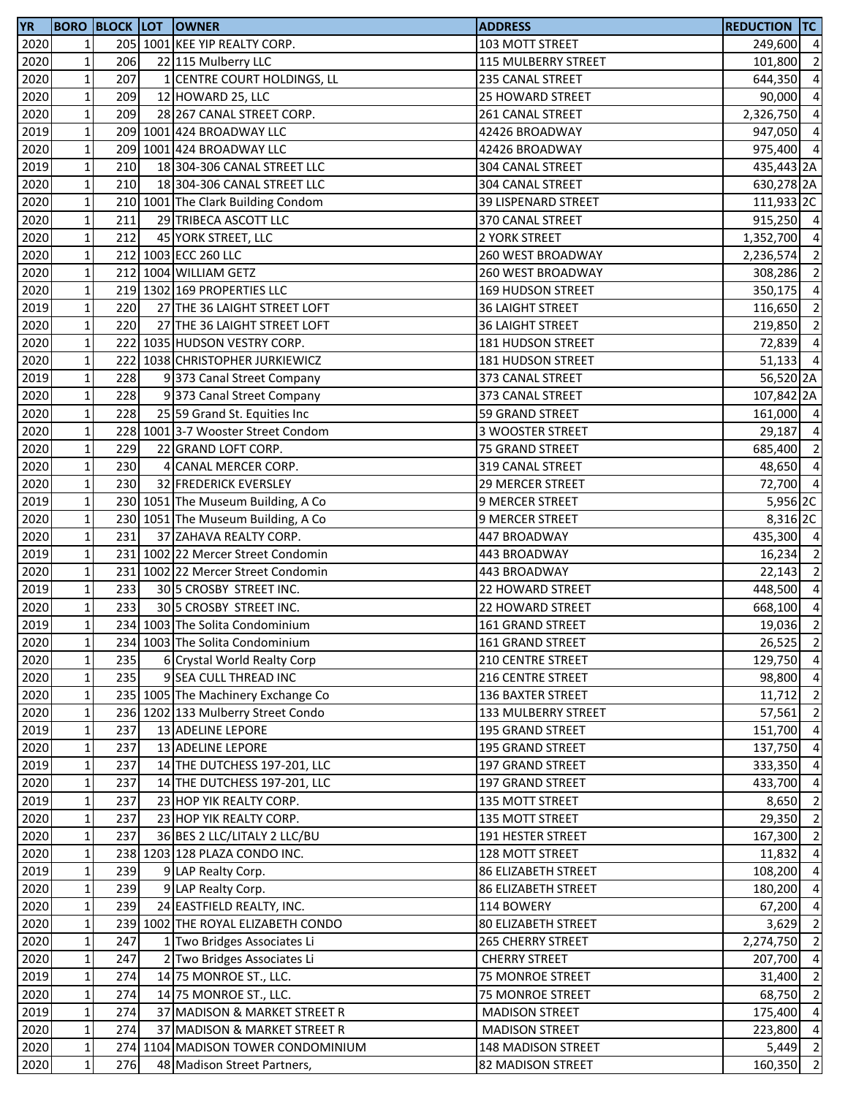| <b>YR</b> |                 |     | <b>BORO BLOCK LOT OWNER</b>        | <b>ADDRESS</b>             | <b>REDUCTION TC</b>   |                |
|-----------|-----------------|-----|------------------------------------|----------------------------|-----------------------|----------------|
| 2020      | $\mathbf{1}$    |     | 205 1001 KEE YIP REALTY CORP.      | 103 MOTT STREET            | 249,600 4             |                |
| 2020      | $1\vert$        | 206 | 22 115 Mulberry LLC                | 115 MULBERRY STREET        | 101,800               | $\overline{2}$ |
| 2020      | $\mathbf 1$     | 207 | 1 CENTRE COURT HOLDINGS, LL        | 235 CANAL STREET           | 644,350               | $\overline{4}$ |
| 2020      | $\mathbf 1$     | 209 | 12 HOWARD 25, LLC                  | 25 HOWARD STREET           | 90,000                | $\overline{4}$ |
| 2020      | $\mathbf 1$     | 209 | 28 267 CANAL STREET CORP.          | 261 CANAL STREET           | 2,326,750 4           |                |
| 2019      | $\mathbf 1$     |     | 209 1001 424 BROADWAY LLC          | 42426 BROADWAY             | 947,050 4             |                |
| 2020      | $\mathbf 1$     |     | 209 1001 424 BROADWAY LLC          | 42426 BROADWAY             | 975,400 4             |                |
| 2019      | $\mathbf 1$     | 210 | 18 304-306 CANAL STREET LLC        | 304 CANAL STREET           | 435,443 2A            |                |
| 2020      | $1\vert$        | 210 | 18 304-306 CANAL STREET LLC        | 304 CANAL STREET           | 630,278 2A            |                |
| 2020      | $\mathbf 1$     |     | 210 1001 The Clark Building Condom | 39 LISPENARD STREET        | 111,933 <sub>2C</sub> |                |
| 2020      | $\mathbf 1$     | 211 | 29 TRIBECA ASCOTT LLC              | 370 CANAL STREET           | 915,250 4             |                |
| 2020      | $\mathbf 1$     | 212 | 45 YORK STREET, LLC                | 2 YORK STREET              | 1,352,700 4           |                |
| 2020      | $\mathbf 1$     |     | 212 1003 ECC 260 LLC               | 260 WEST BROADWAY          | 2,236,574 2           |                |
|           | $\mathbf 1$     |     | 212 1004 WILLIAM GETZ              |                            | 308,286 2             |                |
| 2020      |                 |     |                                    | <b>260 WEST BROADWAY</b>   |                       |                |
| 2020      | $\mathbf 1$     |     | 219 1302 169 PROPERTIES LLC        | <b>169 HUDSON STREET</b>   | 350,175 4             |                |
| 2019      | $\mathbf 1$     | 220 | 27 THE 36 LAIGHT STREET LOFT       | <b>36 LAIGHT STREET</b>    | 116,650               | $\overline{2}$ |
| 2020      | $1\vert$        | 220 | 27 THE 36 LAIGHT STREET LOFT       | <b>36 LAIGHT STREET</b>    | 219,850               | $\overline{2}$ |
| 2020      | $\mathbf 1$     |     | 222 1035 HUDSON VESTRY CORP.       | 181 HUDSON STREET          | 72,839                | $\overline{4}$ |
| 2020      | $\mathbf 1$     |     | 222 1038 CHRISTOPHER JURKIEWICZ    | 181 HUDSON STREET          | $51,133$ 4            |                |
| 2019      | $\mathbf 1$     | 228 | 9373 Canal Street Company          | 373 CANAL STREET           | 56,520 <sub>2A</sub>  |                |
| 2020      | $\mathbf 1$     | 228 | 9373 Canal Street Company          | 373 CANAL STREET           | 107,842 2A            |                |
| 2020      | $\mathbf 1$     | 228 | 25 59 Grand St. Equities Inc       | 59 GRAND STREET            | 161,000 4             |                |
| 2020      | $\mathbf 1$     |     | 228 1001 3-7 Wooster Street Condom | 3 WOOSTER STREET           | 29,187 4              |                |
| 2020      | $\mathbf 1$     | 229 | 22 GRAND LOFT CORP.                | 75 GRAND STREET            | 685,400 2             |                |
| 2020      | $1\vert$        | 230 | 4 CANAL MERCER CORP.               | 319 CANAL STREET           | 48,650                | $\overline{4}$ |
| 2020      | $1\vert$        | 230 | 32 FREDERICK EVERSLEY              | 29 MERCER STREET           | 72,700 4              |                |
| 2019      | $\mathbf 1$     |     | 230 1051 The Museum Building, A Co | 9 MERCER STREET            | 5,956 2C              |                |
| 2020      | $\mathbf 1$     |     | 230 1051 The Museum Building, A Co | 9 MERCER STREET            | 8,316 2C              |                |
| 2020      | $\mathbf 1$     | 231 | 37 ZAHAVA REALTY CORP.             | 447 BROADWAY               | 435,300 4             |                |
| 2019      | $1\,$           |     | 231 1002 22 Mercer Street Condomin | 443 BROADWAY               | $16,234$ 2            |                |
| 2020      | $\mathbf 1$     |     | 231 1002 22 Mercer Street Condomin | 443 BROADWAY               | 22,143                | $\overline{2}$ |
| 2019      | $\mathbf 1$     | 233 | 30 5 CROSBY STREET INC.            | 22 HOWARD STREET           | 448,500 4             |                |
| 2020      | $1\vert$        | 233 | 30 5 CROSBY STREET INC.            | 22 HOWARD STREET           | 668,100               | $\overline{4}$ |
| 2019      | 1 <sup>1</sup>  |     | 234 1003 The Solita Condominium    | 161 GRAND STREET           | 19,036 2              |                |
| 2020      | $1\vert$        |     | 234 1003 The Solita Condominium    | 161 GRAND STREET           | 26,525                | $\overline{2}$ |
| 2020      | $\mathbf 1$     | 235 | 6 Crystal World Realty Corp        | 210 CENTRE STREET          | 129,750 4             |                |
| 2020      | $\mathbf 1$     | 235 | 9 SEA CULL THREAD INC              | 216 CENTRE STREET          | 98,800                | $\overline{4}$ |
| 2020      | $1\,$           |     | 235 1005 The Machinery Exchange Co | 136 BAXTER STREET          | 11,712                | $\overline{2}$ |
| 2020      | $\mathbf 1$     |     | 236 1202 133 Mulberry Street Condo | 133 MULBERRY STREET        | 57,561                | $\overline{2}$ |
| 2019      | $\mathbf 1$     | 237 | 13 ADELINE LEPORE                  | 195 GRAND STREET           | 151,700 4             |                |
|           | $\mathbf 1$     | 237 | 13 ADELINE LEPORE                  |                            | 137,750               | $\overline{4}$ |
| 2020      |                 |     |                                    | 195 GRAND STREET           |                       |                |
| 2019      | $1\vert$        | 237 | 14 THE DUTCHESS 197-201, LLC       | 197 GRAND STREET           | 333,350               | $\overline{4}$ |
| 2020      | $1\,$           | 237 | 14 THE DUTCHESS 197-201, LLC       | 197 GRAND STREET           | 433,700               | $\overline{4}$ |
| 2019      | $\mathbf 1$     | 237 | 23 HOP YIK REALTY CORP.            | 135 MOTT STREET            | 8,650                 | $\overline{2}$ |
| 2020      | $\mathbf 1$     | 237 | 23 HOP YIK REALTY CORP.            | 135 MOTT STREET            | 29,350                | $\overline{2}$ |
| 2020      | $1\overline{ }$ | 237 | 36 BES 2 LLC/LITALY 2 LLC/BU       | 191 HESTER STREET          | 167,300               | $\overline{2}$ |
| 2020      | $1\,$           |     | 238 1203 128 PLAZA CONDO INC.      | 128 MOTT STREET            | 11,832                | $\overline{4}$ |
| 2019      | $1\vert$        | 239 | 9 LAP Realty Corp.                 | 86 ELIZABETH STREET        | 108,200 4             |                |
| 2020      | $\mathbf 1$     | 239 | 9 LAP Realty Corp.                 | <b>86 ELIZABETH STREET</b> | 180,200               | $\overline{4}$ |
| 2020      | $1\vert$        | 239 | 24 EASTFIELD REALTY, INC.          | 114 BOWERY                 | 67,200                | $\overline{4}$ |
| 2020      | $\mathbf 1$     |     | 239 1002 THE ROYAL ELIZABETH CONDO | 80 ELIZABETH STREET        | 3,629                 | $\overline{2}$ |
| 2020      | $1\vert$        | 247 | 1 Two Bridges Associates Li        | <b>265 CHERRY STREET</b>   | 2,274,750             | $\overline{2}$ |
| 2020      | $1\,$           | 247 | 2 Two Bridges Associates Li        | <b>CHERRY STREET</b>       | 207,700               | $\overline{4}$ |
| 2019      | $\mathbf 1$     | 274 | 14 75 MONROE ST., LLC.             | 75 MONROE STREET           | 31,400                | $\overline{2}$ |
| 2020      | $1\,$           | 274 | 14 75 MONROE ST., LLC.             | 75 MONROE STREET           | 68,750 2              |                |
| 2019      | $1\vert$        | 274 | 37 MADISON & MARKET STREET R       | <b>MADISON STREET</b>      | 175,400 4             |                |
| 2020      | $\mathbf 1$     | 274 | 37 MADISON & MARKET STREET R       | <b>MADISON STREET</b>      | 223,800               | $\overline{4}$ |
| 2020      | $1\vert$        |     | 274 1104 MADISON TOWER CONDOMINIUM | 148 MADISON STREET         | $5,449$ 2             |                |
| 2020      | $1\vert$        | 276 | 48 Madison Street Partners,        | 82 MADISON STREET          | 160,350 2             |                |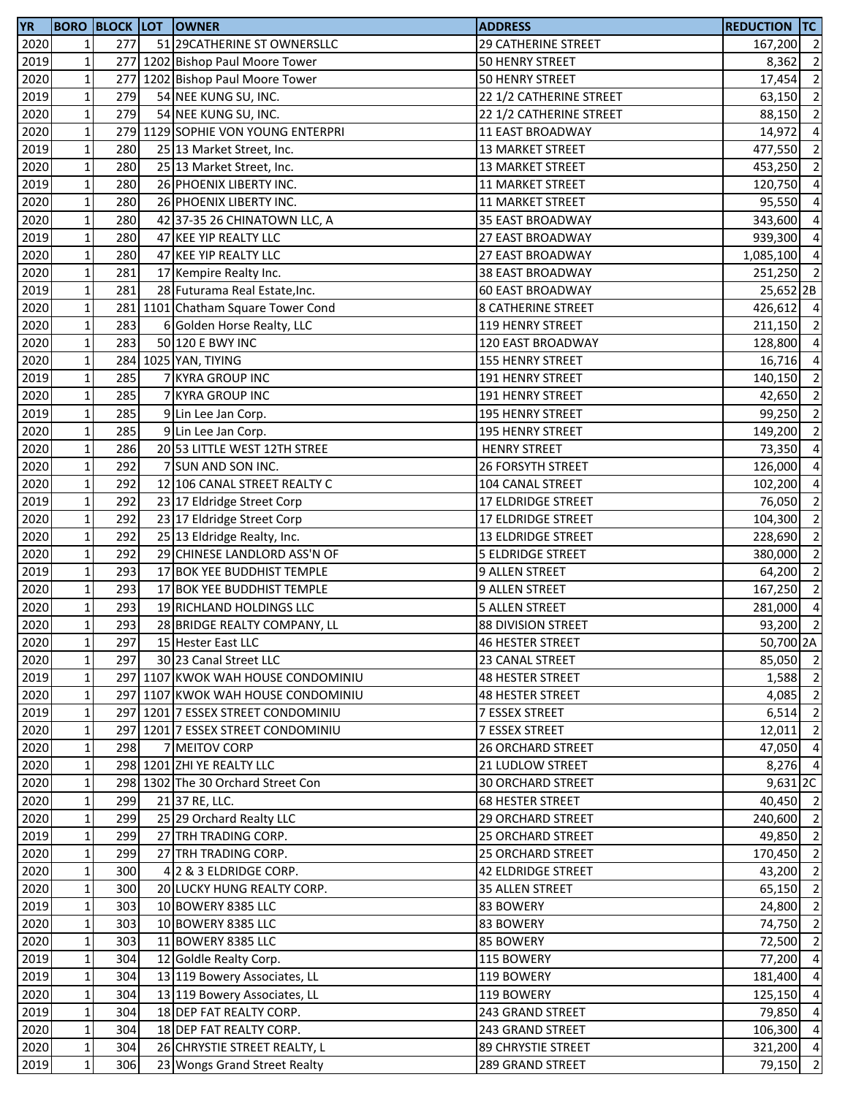| <b>YR</b> |              |     | <b>BORO BLOCK LOT OWNER</b>        | <b>ADDRESS</b>            | <b>REDUCTION TC</b> |                          |
|-----------|--------------|-----|------------------------------------|---------------------------|---------------------|--------------------------|
| 2020      | 1            | 277 | 51 29 CATHERINE ST OWNERSLLC       | 29 CATHERINE STREET       | 167,200 2           |                          |
| 2019      | $\mathbf 1$  |     | 277 1202 Bishop Paul Moore Tower   | 50 HENRY STREET           | 8,362               | $\overline{2}$           |
| 2020      | $\mathbf 1$  | 277 | 1202 Bishop Paul Moore Tower       | 50 HENRY STREET           | 17,454              | $\overline{2}$           |
| 2019      | $\mathbf 1$  | 279 | 54 NEE KUNG SU, INC.               | 22 1/2 CATHERINE STREET   | 63,150              | $\overline{2}$           |
| 2020      | $\mathbf 1$  | 279 | 54 NEE KUNG SU, INC.               | 22 1/2 CATHERINE STREET   | 88,150 2            |                          |
| 2020      | $\mathbf 1$  |     | 279 1129 SOPHIE VON YOUNG ENTERPRI | 11 EAST BROADWAY          | 14,972 4            |                          |
| 2019      | $\mathbf 1$  | 280 | 25 13 Market Street, Inc.          | <b>13 MARKET STREET</b>   | 477,550             | $\overline{\phantom{a}}$ |
| 2020      | $\mathbf 1$  | 280 | 25 13 Market Street, Inc.          | <b>13 MARKET STREET</b>   | 453,250             | $\overline{2}$           |
| 2019      | $\mathbf 1$  | 280 | 26 PHOENIX LIBERTY INC.            | <b>11 MARKET STREET</b>   | 120,750             | $\overline{4}$           |
| 2020      | $\mathbf 1$  | 280 | 26 PHOENIX LIBERTY INC.            | <b>11 MARKET STREET</b>   | 95,550              | $\overline{4}$           |
| 2020      | $\mathbf{1}$ | 280 | 42 37-35 26 CHINATOWN LLC, A       | 35 EAST BROADWAY          | 343,600             | $\overline{a}$           |
| 2019      | $\mathbf{1}$ | 280 | 47 KEE YIP REALTY LLC              | 27 EAST BROADWAY          | 939,300             | $\overline{4}$           |
| 2020      | $\mathbf 1$  | 280 | 47 KEE YIP REALTY LLC              | 27 EAST BROADWAY          | 1,085,100           | $\overline{4}$           |
| 2020      | $\mathbf 1$  | 281 | 17 Kempire Realty Inc.             | <b>38 EAST BROADWAY</b>   | 251,250 2           |                          |
| 2019      | $\mathbf 1$  | 281 | 28 Futurama Real Estate, Inc.      | <b>60 EAST BROADWAY</b>   | 25,652 2B           |                          |
| 2020      | $\mathbf 1$  |     | 281 1101 Chatham Square Tower Cond | <b>8 CATHERINE STREET</b> | 426,612 4           |                          |
| 2020      | $\mathbf 1$  | 283 | 6 Golden Horse Realty, LLC         | 119 HENRY STREET          | 211,150             | $\overline{2}$           |
| 2020      | $\mathbf 1$  | 283 | 50 120 E BWY INC                   | 120 EAST BROADWAY         | 128,800             | $\overline{4}$           |
| 2020      | $\mathbf{1}$ |     | 284 1025 YAN, TIYING               | 155 HENRY STREET          | 16,716              | $\overline{4}$           |
| 2019      | $\mathbf{1}$ | 285 | 7 KYRA GROUP INC                   | 191 HENRY STREET          | 140,150             | $\overline{2}$           |
| 2020      | $\mathbf 1$  | 285 | 7 KYRA GROUP INC                   | 191 HENRY STREET          | 42,650              | $\overline{2}$           |
| 2019      | $\mathbf 1$  | 285 | 9 Lin Lee Jan Corp.                | 195 HENRY STREET          | 99,250              | $\overline{\phantom{a}}$ |
| 2020      | $\mathbf 1$  | 285 | 9 Lin Lee Jan Corp.                | 195 HENRY STREET          | 149,200 2           |                          |
| 2020      | $\mathbf 1$  | 286 | 20 53 LITTLE WEST 12TH STREE       | <b>HENRY STREET</b>       | 73,350              | $\overline{4}$           |
| 2020      | $\mathbf 1$  | 292 | 7 SUN AND SON INC.                 | 26 FORSYTH STREET         | 126,000             | $\overline{4}$           |
| 2020      | $\mathbf 1$  | 292 | 12 106 CANAL STREET REALTY C       | 104 CANAL STREET          | 102,200             | $\overline{4}$           |
| 2019      | $\mathbf 1$  | 292 | 23 17 Eldridge Street Corp         | 17 ELDRIDGE STREET        | 76,050              | $\overline{2}$           |
| 2020      | $\mathbf 1$  | 292 | 23 17 Eldridge Street Corp         | 17 ELDRIDGE STREET        | 104,300             | $\overline{2}$           |
| 2020      | $\mathbf 1$  | 292 | 25 13 Eldridge Realty, Inc.        | <b>13 ELDRIDGE STREET</b> | 228,690             | $\overline{2}$           |
| 2020      | $\mathbf 1$  | 292 | 29 CHINESE LANDLORD ASS'N OF       | <b>5 ELDRIDGE STREET</b>  | 380,000             | $\overline{\phantom{a}}$ |
| 2019      | $\mathbf 1$  | 293 | 17 BOK YEE BUDDHIST TEMPLE         | 9 ALLEN STREET            | 64,200              | $\overline{2}$           |
| 2020      | $\mathbf 1$  | 293 | 17 BOK YEE BUDDHIST TEMPLE         | 9 ALLEN STREET            | 167,250             | $\overline{2}$           |
| 2020      | $\mathbf 1$  | 293 | 19 RICHLAND HOLDINGS LLC           | <b>5 ALLEN STREET</b>     | 281,000             | $\overline{4}$           |
| 2020      | $\mathbf{1}$ | 293 | 28 BRIDGE REALTY COMPANY, LL       | <b>88 DIVISION STREET</b> | 93,200              | $\overline{2}$           |
| 2020      | $1\vert$     | 297 | 15 Hester East LLC                 | <b>46 HESTER STREET</b>   | 50,700 2A           |                          |
| 2020      | $\mathbf{1}$ | 297 | 30 23 Canal Street LLC             | 23 CANAL STREET           | 85,050 2            |                          |
| 2019      | $\mathbf 1$  |     | 297 1107 KWOK WAH HOUSE CONDOMINIU | 48 HESTER STREET          | 1,588 2             |                          |
| 2020      | $\mathbf 1$  |     | 297 1107 KWOK WAH HOUSE CONDOMINIU | 48 HESTER STREET          | 4,085               | $\overline{2}$           |
| 2019      | $\mathbf 1$  |     | 297 1201 7 ESSEX STREET CONDOMINIU | 7 ESSEX STREET            | $6,514$ 2           |                          |
| 2020      | $\mathbf 1$  |     | 297 1201 7 ESSEX STREET CONDOMINIU | 7 ESSEX STREET            | $12,011$ 2          |                          |
| 2020      | $\mathbf 1$  | 298 | 7 MEITOV CORP                      | <b>26 ORCHARD STREET</b>  | 47,050 4            |                          |
| 2020      | $\mathbf 1$  |     | 298 1201 ZHI YE REALTY LLC         | 21 LUDLOW STREET          | 8,276 4             |                          |
| 2020      | 1            |     | 298 1302 The 30 Orchard Street Con | <b>30 ORCHARD STREET</b>  | 9,631 2C            |                          |
| 2020      | $\mathbf{1}$ | 299 | 21 37 RE, LLC.                     | 68 HESTER STREET          | 40,450 2            |                          |
| 2020      | $\mathbf{1}$ | 299 | 25 29 Orchard Realty LLC           | 29 ORCHARD STREET         | 240,600 2           |                          |
| 2019      | $\mathbf 1$  | 299 | 27 TRH TRADING CORP.               | <b>25 ORCHARD STREET</b>  | 49,850 2            |                          |
| 2020      | $\mathbf 1$  | 299 | 27 TRH TRADING CORP.               | 25 ORCHARD STREET         | 170,450 2           |                          |
| 2020      | $\mathbf 1$  | 300 | 4 2 & 3 ELDRIDGE CORP.             | 42 ELDRIDGE STREET        | 43,200 2            |                          |
| 2020      | $\mathbf 1$  | 300 | 20 LUCKY HUNG REALTY CORP.         | 35 ALLEN STREET           | 65,150 2            |                          |
| 2019      | $\mathbf 1$  | 303 | 10 BOWERY 8385 LLC                 | 83 BOWERY                 | 24,800 2            |                          |
| 2020      | $\mathbf 1$  | 303 | 10 BOWERY 8385 LLC                 | 83 BOWERY                 | 74,750 2            |                          |
| 2020      | $\mathbf 1$  | 303 | 11 BOWERY 8385 LLC                 | 85 BOWERY                 | 72,500              | $\overline{2}$           |
| 2019      | $\mathbf 1$  | 304 | 12 Goldle Realty Corp.             | 115 BOWERY                | 77,200              | $\overline{4}$           |
| 2019      | $\mathbf 1$  | 304 | 13 119 Bowery Associates, LL       | 119 BOWERY                | 181,400             | $\overline{4}$           |
| 2020      | $\mathbf 1$  | 304 | 13 119 Bowery Associates, LL       | 119 BOWERY                | 125,150 4           |                          |
| 2019      | $\mathbf 1$  | 304 | 18 DEP FAT REALTY CORP.            | 243 GRAND STREET          | 79,850 4            |                          |
| 2020      | $\mathbf 1$  | 304 | 18 DEP FAT REALTY CORP.            | 243 GRAND STREET          | 106,300 4           |                          |
| 2020      | $1\vert$     | 304 | 26 CHRYSTIE STREET REALTY, L       | 89 CHRYSTIE STREET        | 321,200 4           |                          |
| 2019      | $\mathbf 1$  | 306 | 23 Wongs Grand Street Realty       | 289 GRAND STREET          | 79,150 2            |                          |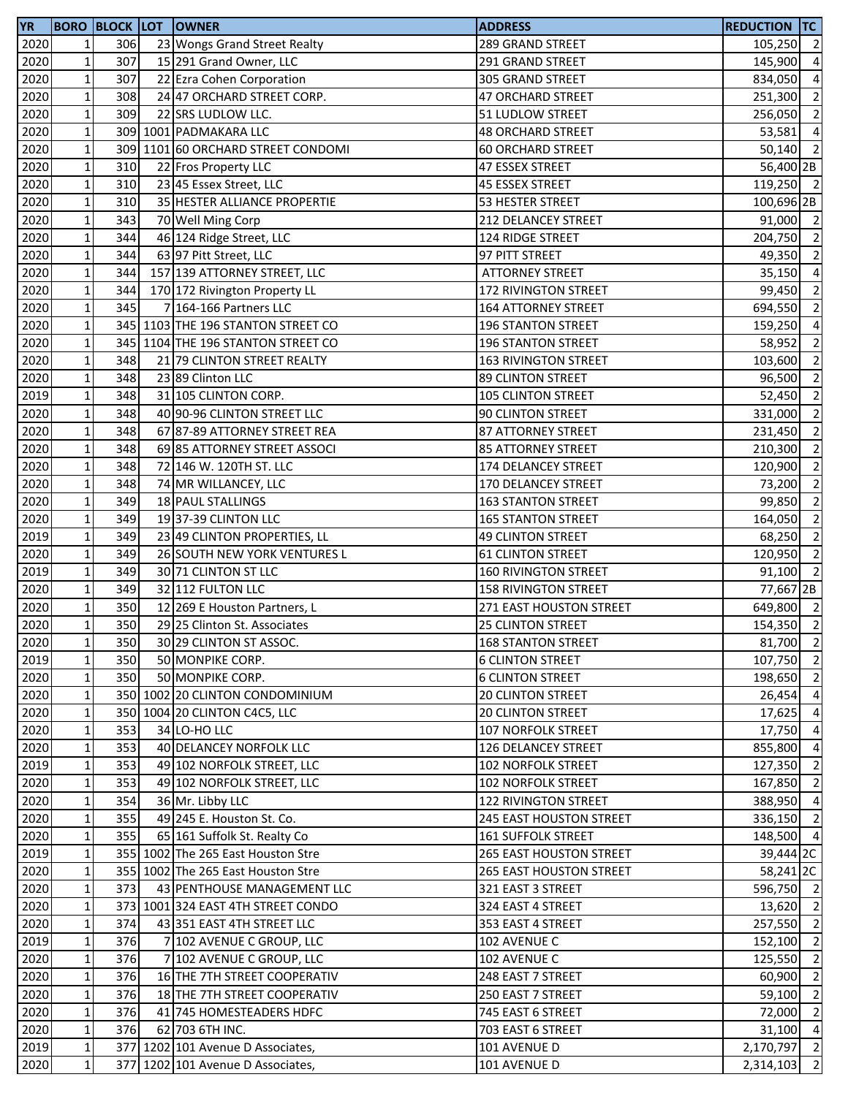| <b>YR</b> |                 |     | <b>BORO BLOCK LOT OWNER</b>        | <b>ADDRESS</b>                 | <b>REDUCTION TC</b>  |                |
|-----------|-----------------|-----|------------------------------------|--------------------------------|----------------------|----------------|
| 2020      | $\mathbf{1}$    | 306 | 23 Wongs Grand Street Realty       | 289 GRAND STREET               | 105,250 2            |                |
| 2020      | $\mathbf 1$     | 307 | 15 291 Grand Owner, LLC            | 291 GRAND STREET               | 145,900              | $\overline{4}$ |
| 2020      | $\mathbf{1}$    | 307 | 22 Ezra Cohen Corporation          | 305 GRAND STREET               | 834,050              | $\overline{4}$ |
| 2020      | $\mathbf 1$     | 308 | 24 47 ORCHARD STREET CORP.         | 47 ORCHARD STREET              | 251,300              | $\overline{2}$ |
| 2020      | $1\,$           | 309 | 22 SRS LUDLOW LLC.                 | 51 LUDLOW STREET               | 256,050 2            |                |
| 2020      | $\mathbf 1$     |     | 309 1001 PADMAKARA LLC             | <b>48 ORCHARD STREET</b>       | 53,581               | $\overline{4}$ |
| 2020      | $\mathbf 1$     |     | 309 1101 60 ORCHARD STREET CONDOMI | <b>60 ORCHARD STREET</b>       | 50,140               | $\overline{2}$ |
| 2020      | $1\,$           | 310 | 22 Fros Property LLC               | 47 ESSEX STREET                | 56,400 2B            |                |
| 2020      | $1\,$           | 310 | 23 45 Essex Street, LLC            | 45 ESSEX STREET                | 119,250 2            |                |
| 2020      | $1\,$           | 310 | 35 HESTER ALLIANCE PROPERTIE       | 53 HESTER STREET               | 100,696 2B           |                |
| 2020      | $\mathbf 1$     | 343 | 70 Well Ming Corp                  | 212 DELANCEY STREET            | 91,000 2             |                |
| 2020      | $\mathbf 1$     | 344 | 46 124 Ridge Street, LLC           | 124 RIDGE STREET               | 204,750 2            |                |
| 2020      | $\mathbf 1$     | 344 | 63 97 Pitt Street, LLC             | 97 PITT STREET                 | 49,350 2             |                |
|           | $\mathbf{1}$    |     | 157 139 ATTORNEY STREET, LLC       | <b>ATTORNEY STREET</b>         | $35,150$ 4           |                |
| 2020      |                 | 344 |                                    |                                |                      |                |
| 2020      | $\mathbf 1$     | 344 | 170 172 Rivington Property LL      | 172 RIVINGTON STREET           | 99,450               | $\overline{2}$ |
| 2020      | $\mathbf 1$     | 345 | 7 164-166 Partners LLC             | 164 ATTORNEY STREET            | 694,550              | $\overline{2}$ |
| 2020      | $\mathbf 1$     |     | 345 1103 THE 196 STANTON STREET CO | <b>196 STANTON STREET</b>      | 159,250              | $\overline{a}$ |
| 2020      | $1\overline{ }$ |     | 345 1104 THE 196 STANTON STREET CO | <b>196 STANTON STREET</b>      | 58,952               | $\overline{2}$ |
| 2020      | $1\overline{ }$ | 348 | 21 79 CLINTON STREET REALTY        | <b>163 RIVINGTON STREET</b>    | 103,600              | $\overline{2}$ |
| 2020      | $\mathbf 1$     | 348 | 23 89 Clinton LLC                  | 89 CLINTON STREET              | 96,500               | $\overline{2}$ |
| 2019      | $\mathbf 1$     | 348 | 31 105 CLINTON CORP.               | <b>105 CLINTON STREET</b>      | 52,450               | $\overline{2}$ |
| 2020      | $\mathbf 1$     | 348 | 40 90-96 CLINTON STREET LLC        | 90 CLINTON STREET              | 331,000              | $\overline{2}$ |
| 2020      | $\mathbf 1$     | 348 | 67 87-89 ATTORNEY STREET REA       | <b>87 ATTORNEY STREET</b>      | 231,450              | $\overline{2}$ |
| 2020      | $\mathbf 1$     | 348 | 69 85 ATTORNEY STREET ASSOCI       | <b>85 ATTORNEY STREET</b>      | 210,300              | $\overline{2}$ |
| 2020      | $\mathbf 1$     | 348 | 72 146 W. 120TH ST. LLC            | 174 DELANCEY STREET            | 120,900              | $\overline{2}$ |
| 2020      | $\mathbf 1$     | 348 | 74 MR WILLANCEY, LLC               | 170 DELANCEY STREET            | 73,200               | $\overline{2}$ |
| 2020      | $\mathbf 1$     | 349 | 18 PAUL STALLINGS                  | <b>163 STANTON STREET</b>      | 99,850               | $\overline{2}$ |
| 2020      | $\mathbf{1}$    | 349 | 19 37-39 CLINTON LLC               | <b>165 STANTON STREET</b>      | 164,050              | $\overline{2}$ |
| 2019      | $\mathbf 1$     | 349 | 23 49 CLINTON PROPERTIES, LL       | <b>49 CLINTON STREET</b>       | 68,250               | $\overline{2}$ |
| 2020      | $\mathbf 1$     | 349 | 26 SOUTH NEW YORK VENTURES L       | <b>61 CLINTON STREET</b>       | 120,950              | $\overline{2}$ |
| 2019      | $\mathbf 1$     | 349 | 30 71 CLINTON ST LLC               | <b>160 RIVINGTON STREET</b>    | 91.100               | $\overline{2}$ |
| 2020      | $\mathbf 1$     | 349 | 32 112 FULTON LLC                  | <b>158 RIVINGTON STREET</b>    | 77,667 2B            |                |
| 2020      | $1\vert$        | 350 | 12 269 E Houston Partners, L       | 271 EAST HOUSTON STREET        | 649,800 2            |                |
| 2020      | $1\overline{ }$ | 350 | 29 25 Clinton St. Associates       | <b>25 CLINTON STREET</b>       | 154,350 2            |                |
| 2020      | $1\vert$        | 350 | 30 29 CLINTON ST ASSOC.            | <b>168 STANTON STREET</b>      | 81,700 2             |                |
| 2019      | $\mathbf 1$     | 350 | 50 MONPIKE CORP.                   | <b>6 CLINTON STREET</b>        | 107,750 2            |                |
| 2020      | $1\vert$        | 350 | 50 MONPIKE CORP.                   | <b>6 CLINTON STREET</b>        | 198,650 2            |                |
| 2020      | $1\vert$        |     | 350 1002 20 CLINTON CONDOMINIUM    | <b>20 CLINTON STREET</b>       | 26,454 4             |                |
| 2020      | $1\vert$        |     | 350 1004 20 CLINTON C4C5, LLC      | <b>20 CLINTON STREET</b>       | 17,625 4             |                |
| 2020      | $\mathbf 1$     | 353 | 34 LO-HO LLC                       | <b>107 NORFOLK STREET</b>      | 17,750 4             |                |
|           |                 | 353 |                                    |                                | 855,800 4            |                |
| 2020      | $1\vert$        |     | 40 DELANCEY NORFOLK LLC            | 126 DELANCEY STREET            |                      |                |
| 2019      | $1\vert$        | 353 | 49 102 NORFOLK STREET, LLC         | <b>102 NORFOLK STREET</b>      | 127,350 2            |                |
| 2020      | $1\vert$        | 353 | 49 102 NORFOLK STREET, LLC         | <b>102 NORFOLK STREET</b>      | 167,850              | $\overline{2}$ |
| 2020      | $\mathbf 1$     | 354 | 36 Mr. Libby LLC                   | 122 RIVINGTON STREET           | 388,950 4            |                |
| 2020      | $\mathbf 1$     | 355 | 49 245 E. Houston St. Co.          | 245 EAST HOUSTON STREET        | 336,150 2            |                |
| 2020      | $1\overline{ }$ | 355 | 65 161 Suffolk St. Realty Co       | <b>161 SUFFOLK STREET</b>      | 148,500 4            |                |
| 2019      | $1\vert$        |     | 355 1002 The 265 East Houston Stre | <b>265 EAST HOUSTON STREET</b> | 39,444 <sub>2C</sub> |                |
| 2020      | $1\vert$        |     | 355 1002 The 265 East Houston Stre | <b>265 EAST HOUSTON STREET</b> | 58,241 2C            |                |
| 2020      | $\mathbf{1}$    | 373 | 43 PENTHOUSE MANAGEMENT LLC        | 321 EAST 3 STREET              | 596,750 2            |                |
| 2020      | $1\vert$        |     | 373 1001 324 EAST 4TH STREET CONDO | 324 EAST 4 STREET              | 13,620 2             |                |
| 2020      | $1\vert$        | 374 | 43 351 EAST 4TH STREET LLC         | 353 EAST 4 STREET              | 257,550 2            |                |
| 2019      | $1\vert$        | 376 | 7 102 AVENUE C GROUP, LLC          | 102 AVENUE C                   | 152,100 2            |                |
| 2020      | $\mathbf 1$     | 376 | 7 102 AVENUE C GROUP, LLC          | 102 AVENUE C                   | 125,550 2            |                |
| 2020      | $1\vert$        | 376 | 16 THE 7TH STREET COOPERATIV       | 248 EAST 7 STREET              | 60,900               | $\overline{2}$ |
| 2020      | $1\vert$        | 376 | 18 THE 7TH STREET COOPERATIV       | 250 EAST 7 STREET              | 59,100 2             |                |
| 2020      | $1\vert$        | 376 | 41 745 HOMESTEADERS HDFC           | 745 EAST 6 STREET              | 72,000 2             |                |
| 2020      | $\mathbf 1$     | 376 | 62 703 6TH INC.                    | 703 EAST 6 STREET              | $31,100$ 4           |                |
| 2019      | $1\vert$        |     | 377 1202 101 Avenue D Associates,  | 101 AVENUE D                   | 2,170,797 2          |                |
| 2020      | $1\vert$        |     | 377 1202 101 Avenue D Associates,  | 101 AVENUE D                   | 2,314,103 2          |                |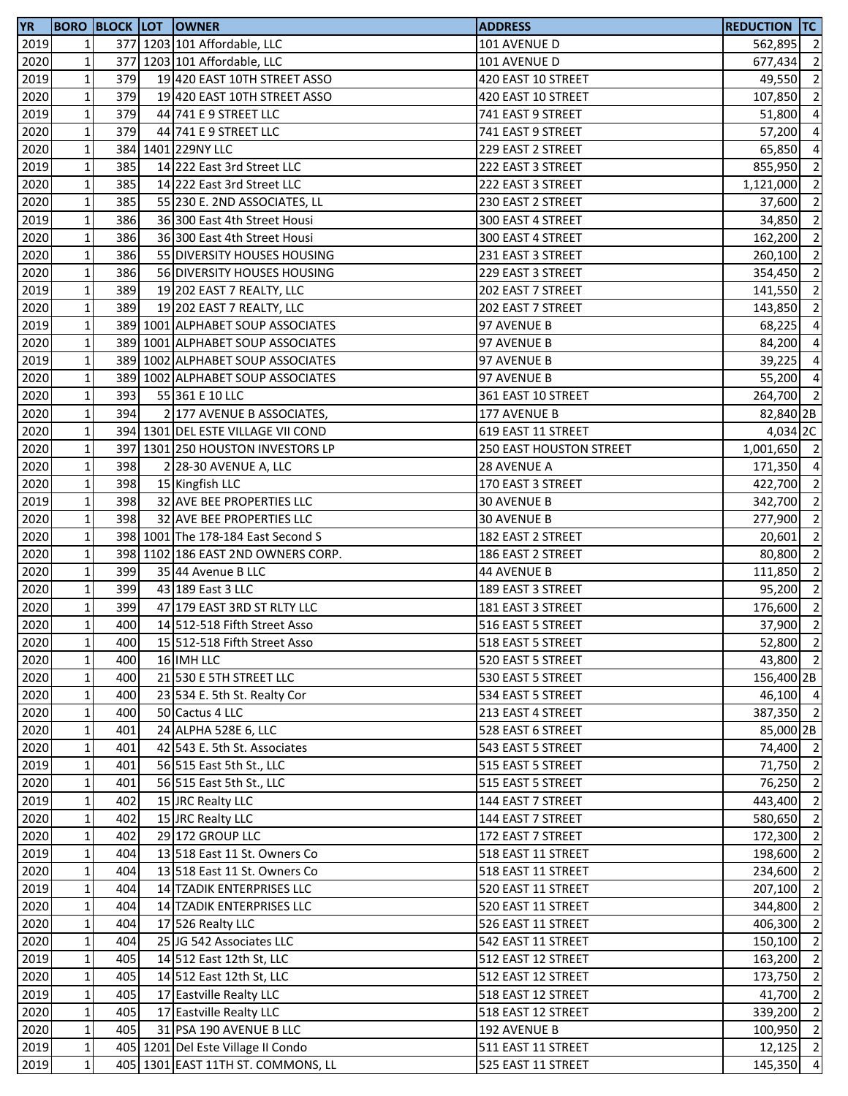| <b>YR</b> |                 |     | <b>BORO BLOCK LOT OWNER</b>        | <b>ADDRESS</b>          | Reduction  TC |                          |
|-----------|-----------------|-----|------------------------------------|-------------------------|---------------|--------------------------|
| 2019      | $\mathbf{1}$    |     | 377 1203 101 Affordable, LLC       | 101 AVENUE D            | 562,895       | $\overline{2}$           |
| 2020      | $\mathbf{1}$    |     | 377 1203 101 Affordable, LLC       | 101 AVENUE D            | 677,434       | $\overline{2}$           |
| 2019      | $\mathbf{1}$    | 379 | 19 420 EAST 10TH STREET ASSO       | 420 EAST 10 STREET      | 49,550        | $\overline{2}$           |
| 2020      | $1\,$           | 379 | 19 420 EAST 10TH STREET ASSO       | 420 EAST 10 STREET      | 107,850 2     |                          |
| 2019      | $1\,$           | 379 | 44 741 E 9 STREET LLC              | 741 EAST 9 STREET       | 51,800 4      |                          |
| 2020      | $\mathbf 1$     | 379 | 44 741 E 9 STREET LLC              | 741 EAST 9 STREET       | 57,200 4      |                          |
| 2020      | $1\,$           |     | 384 1401 229NY LLC                 | 229 EAST 2 STREET       | 65,850        | $\overline{4}$           |
| 2019      | $1\vert$        | 385 | 14 222 East 3rd Street LLC         | 222 EAST 3 STREET       | 855,950       | $\overline{2}$           |
| 2020      | $1\,$           | 385 | 14 222 East 3rd Street LLC         | 222 EAST 3 STREET       | 1,121,000     | $\overline{2}$           |
| 2020      | $1\overline{ }$ | 385 | 55 230 E. 2ND ASSOCIATES, LL       | 230 EAST 2 STREET       | 37,600        | $\overline{2}$           |
| 2019      | $\mathbf 1$     | 386 | 36 300 East 4th Street Housi       | 300 EAST 4 STREET       | 34,850        | $\overline{2}$           |
| 2020      | $1\,$           | 386 | 36 300 East 4th Street Housi       | 300 EAST 4 STREET       | 162,200       | $\overline{2}$           |
|           | $1\,$           | 386 | 55 DIVERSITY HOUSES HOUSING        |                         | 260,100 2     |                          |
| 2020      |                 |     |                                    | 231 EAST 3 STREET       |               |                          |
| 2020      | $1\vert$        | 386 | 56 DIVERSITY HOUSES HOUSING        | 229 EAST 3 STREET       | 354,450 2     |                          |
| 2019      | $1\,$           | 389 | 19 202 EAST 7 REALTY, LLC          | 202 EAST 7 STREET       | 141,550       | $\overline{2}$           |
| 2020      | $1\vert$        | 389 | 19 202 EAST 7 REALTY, LLC          | 202 EAST 7 STREET       | 143,850       | $\overline{2}$           |
| 2019      | $1\vert$        |     | 389 1001 ALPHABET SOUP ASSOCIATES  | 97 AVENUE B             | 68,225        | $\overline{a}$           |
| 2020      | 1 <sup>1</sup>  |     | 389 1001 ALPHABET SOUP ASSOCIATES  | 97 AVENUE B             | 84,200        | $\overline{4}$           |
| 2019      | $\mathbf{1}$    |     | 389 1002 ALPHABET SOUP ASSOCIATES  | 97 AVENUE B             | 39,225        | $\overline{4}$           |
| 2020      | $1\,$           |     | 389 1002 ALPHABET SOUP ASSOCIATES  | 97 AVENUE B             | 55,200        | $\overline{4}$           |
| 2020      | $1\,$           | 393 | 55 361 E 10 LLC                    | 361 EAST 10 STREET      | 264,700 2     |                          |
| 2020      | $1\overline{ }$ | 394 | 2 177 AVENUE B ASSOCIATES,         | 177 AVENUE B            | 82,840 2B     |                          |
| 2020      | $\mathbf 1$     |     | 394 1301 DEL ESTE VILLAGE VII COND | 619 EAST 11 STREET      | 4,034 2C      |                          |
| 2020      | $1\,$           |     | 397 1301 250 HOUSTON INVESTORS LP  | 250 EAST HOUSTON STREET | 1,001,650 2   |                          |
| 2020      | $1\vert$        | 398 | 2 28-30 AVENUE A, LLC              | 28 AVENUE A             | 171,350 4     |                          |
| 2020      | $1\overline{ }$ | 398 | 15 Kingfish LLC                    | 170 EAST 3 STREET       | 422,700       | $\overline{2}$           |
| 2019      | $1\overline{ }$ | 398 | 32 AVE BEE PROPERTIES LLC          | <b>30 AVENUE B</b>      | 342,700       | $\overline{\phantom{a}}$ |
| 2020      | $\mathbf 1$     | 398 | 32 AVE BEE PROPERTIES LLC          | <b>30 AVENUE B</b>      | 277,900 2     |                          |
| 2020      | $1\,$           |     | 398 1001 The 178-184 East Second S | 182 EAST 2 STREET       | 20,601        | $\overline{2}$           |
| 2020      | $1\overline{ }$ |     | 398 1102 186 EAST 2ND OWNERS CORP. | 186 EAST 2 STREET       | 80,800        | $\overline{2}$           |
| 2020      | $1\,$           | 399 | 35 44 Avenue B LLC                 | 44 AVENUE B             | 111,850       | $\overline{2}$           |
| 2020      | $1\vert$        | 399 | 43 189 East 3 LLC                  | 189 EAST 3 STREET       | 95,200 2      |                          |
| 2020      | $\mathbf{1}$    | 399 | 47 179 EAST 3RD ST RLTY LLC        | 181 EAST 3 STREET       | 176,600       | $\overline{2}$           |
| 2020      | $1\overline{ }$ | 400 | 14 512-518 Fifth Street Asso       | 516 EAST 5 STREET       | $37,900$ 2    |                          |
| 2020      | $1\vert$        | 400 | 15 512-518 Fifth Street Asso       | 518 EAST 5 STREET       | 52,800 2      |                          |
| 2020      | $\mathbf 1$     | 400 | 16 IMH LLC                         | 520 EAST 5 STREET       | 43,800 2      |                          |
| 2020      | $1\,$           | 400 | 21 530 E 5TH STREET LLC            | 530 EAST 5 STREET       | 156,400 2B    |                          |
| 2020      | $1\,$           | 400 | 23 534 E. 5th St. Realty Cor       | 534 EAST 5 STREET       | 46,100 4      |                          |
| 2020      | $1\,$           | 400 | 50 Cactus 4 LLC                    |                         | 387,350 2     |                          |
|           |                 | 401 | 24 ALPHA 528E 6, LLC               | 213 EAST 4 STREET       |               |                          |
| 2020      | $\mathbf 1$     |     |                                    | 528 EAST 6 STREET       | 85,000 2B     |                          |
| 2020      | $1\,$           | 401 | 42 543 E. 5th St. Associates       | 543 EAST 5 STREET       | 74,400 2      |                          |
| 2019      | $1\,$           | 401 | 56 515 East 5th St., LLC           | 515 EAST 5 STREET       | 71,750 2      |                          |
| 2020      | $1\overline{ }$ | 401 | 56 515 East 5th St., LLC           | 515 EAST 5 STREET       | 76,250        | $\overline{2}$           |
| 2019      | $\mathbf{1}$    | 402 | 15 JRC Realty LLC                  | 144 EAST 7 STREET       | 443,400 2     |                          |
| 2020      | $1\,$           | 402 | 15 JRC Realty LLC                  | 144 EAST 7 STREET       | 580,650       | $\overline{2}$           |
| 2020      | $1\overline{ }$ | 402 | 29 172 GROUP LLC                   | 172 EAST 7 STREET       | 172,300 2     |                          |
| 2019      | $1\,$           | 404 | 13 518 East 11 St. Owners Co       | 518 EAST 11 STREET      | 198,600 2     |                          |
| 2020      | $\mathbf{1}$    | 404 | 13 518 East 11 St. Owners Co       | 518 EAST 11 STREET      | 234,600 2     |                          |
| 2019      | $\mathbf 1$     | 404 | 14 TZADIK ENTERPRISES LLC          | 520 EAST 11 STREET      | 207,100 2     |                          |
| 2020      | $1\vert$        | 404 | 14 TZADIK ENTERPRISES LLC          | 520 EAST 11 STREET      | 344,800       | $\overline{2}$           |
| 2020      | $1\,$           | 404 | 17 526 Realty LLC                  | 526 EAST 11 STREET      | 406,300       | $\overline{2}$           |
| 2020      | $\mathbf{1}$    | 404 | 25 JG 542 Associates LLC           | 542 EAST 11 STREET      | 150,100       | $\overline{2}$           |
| 2019      | $1\,$           | 405 | 14 512 East 12th St, LLC           | 512 EAST 12 STREET      | 163,200       | $\overline{2}$           |
| 2020      | $1\,$           | 405 | 14 512 East 12th St, LLC           | 512 EAST 12 STREET      | 173,750 2     |                          |
| 2019      | $1\overline{ }$ | 405 | 17 Eastville Realty LLC            | 518 EAST 12 STREET      | 41,700 2      |                          |
| 2020      | $\mathbf{1}$    | 405 | 17 Eastville Realty LLC            | 518 EAST 12 STREET      | 339,200 2     |                          |
| 2020      | $\mathbf 1$     | 405 | 31 PSA 190 AVENUE B LLC            | 192 AVENUE B            | 100,950 2     |                          |
| 2019      | $1\vert$        |     | 405 1201 Del Este Village II Condo | 511 EAST 11 STREET      | $12,125$ 2    |                          |
| 2019      | $1\vert$        |     | 405 1301 EAST 11TH ST. COMMONS, LL | 525 EAST 11 STREET      | 145,350 4     |                          |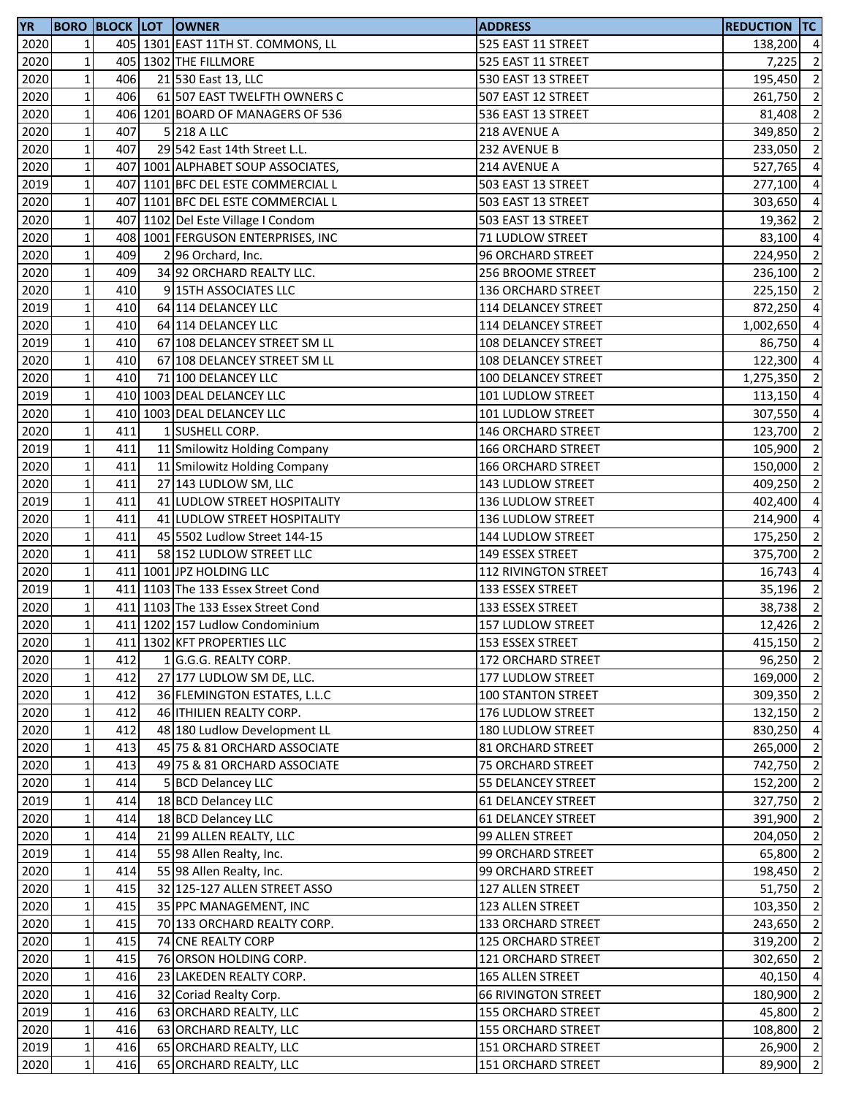| <b>YR</b> |                 |     | <b>BORO BLOCK LOT OWNER</b>        | <b>ADDRESS</b>             | <b>REDUCTION TC</b> |                          |
|-----------|-----------------|-----|------------------------------------|----------------------------|---------------------|--------------------------|
| 2020      | $\mathbf{1}$    |     | 405 1301 EAST 11TH ST. COMMONS, LL | 525 EAST 11 STREET         | 138,200 4           |                          |
| 2020      | $\mathbf{1}$    |     | 405 1302 THE FILLMORE              | 525 EAST 11 STREET         | 7,225               | $\overline{2}$           |
| 2020      | $\mathbf{1}$    | 406 | 21 530 East 13, LLC                | 530 EAST 13 STREET         | 195,450             | $\overline{2}$           |
| 2020      | $1\,$           | 406 | 61 507 EAST TWELFTH OWNERS C       | 507 EAST 12 STREET         | 261,750             | $\overline{2}$           |
| 2020      | $\mathbf 1$     |     | 406 1201 BOARD OF MANAGERS OF 536  | 536 EAST 13 STREET         | 81,408              | $\overline{2}$           |
| 2020      | $\mathbf{1}$    | 407 | 5 218 A LLC                        | 218 AVENUE A               | 349,850             | $\overline{\phantom{a}}$ |
| 2020      | $\mathbf 1$     | 407 | 29 542 East 14th Street L.L.       | 232 AVENUE B               | 233,050             | $\overline{2}$           |
| 2020      | $\mathbf 1$     |     | 407 1001 ALPHABET SOUP ASSOCIATES, | 214 AVENUE A               | 527,765             | $\overline{a}$           |
| 2019      | $1\,$           |     | 407 1101 BFC DEL ESTE COMMERCIAL L | 503 EAST 13 STREET         | 277,100             | $\overline{4}$           |
| 2020      | $1\overline{ }$ | 407 | 1101 BFC DEL ESTE COMMERCIAL L     | 503 EAST 13 STREET         | 303,650             | $\overline{4}$           |
| 2020      | $\mathbf{1}$    | 407 | 1102 Del Este Village I Condom     | 503 EAST 13 STREET         | 19,362              | $\overline{2}$           |
| 2020      | $\mathbf 1$     |     | 408 1001 FERGUSON ENTERPRISES, INC | 71 LUDLOW STREET           | 83,100              | $\overline{4}$           |
| 2020      | $1\,$           | 409 | 2 96 Orchard, Inc.                 | 96 ORCHARD STREET          | 224,950 2           |                          |
| 2020      | $\mathbf 1$     | 409 | 34 92 ORCHARD REALTY LLC.          | 256 BROOME STREET          | 236,100 2           |                          |
| 2020      | $\mathbf 1$     | 410 | 9 15TH ASSOCIATES LLC              | 136 ORCHARD STREET         | 225,150             | $\overline{2}$           |
| 2019      | $\mathbf 1$     | 410 | 64 114 DELANCEY LLC                | 114 DELANCEY STREET        | 872,250             | $\overline{4}$           |
| 2020      | $\mathbf 1$     | 410 | 64 114 DELANCEY LLC                | 114 DELANCEY STREET        | 1,002,650           | $\overline{4}$           |
| 2019      | $1\overline{ }$ | 410 | 67 108 DELANCEY STREET SM LL       | 108 DELANCEY STREET        | 86,750              | $\overline{a}$           |
| 2020      | $\mathbf{1}$    | 410 | 67 108 DELANCEY STREET SM LL       | 108 DELANCEY STREET        | 122,300             | $\overline{4}$           |
| 2020      | $\mathbf 1$     | 410 | 71 100 DELANCEY LLC                | 100 DELANCEY STREET        | 1,275,350           | $\overline{2}$           |
| 2019      | $\mathbf 1$     |     | 410 1003 DEAL DELANCEY LLC         | 101 LUDLOW STREET          | 113,150 4           |                          |
| 2020      | $1\overline{ }$ |     | 410 1003 DEAL DELANCEY LLC         | 101 LUDLOW STREET          | 307,550 4           |                          |
| 2020      | $\mathbf{1}$    | 411 | 1 SUSHELL CORP.                    | 146 ORCHARD STREET         | 123,700 2           |                          |
| 2019      | $\mathbf 1$     | 411 | 11 Smilowitz Holding Company       | <b>166 ORCHARD STREET</b>  | 105,900 2           |                          |
| 2020      | $\mathbf{1}$    | 411 | 11 Smilowitz Holding Company       | <b>166 ORCHARD STREET</b>  | 150,000             | $\overline{2}$           |
| 2020      | $1\overline{ }$ | 411 | 27 143 LUDLOW SM, LLC              | 143 LUDLOW STREET          | 409,250             | $\overline{2}$           |
| 2019      | $1\overline{ }$ | 411 | 41 LUDLOW STREET HOSPITALITY       | 136 LUDLOW STREET          | 402,400             | $\overline{4}$           |
| 2020      | $\mathbf 1$     | 411 | 41 LUDLOW STREET HOSPITALITY       | 136 LUDLOW STREET          | 214,900             | $\overline{4}$           |
| 2020      | $\mathbf 1$     | 411 | 45 5502 Ludlow Street 144-15       | 144 LUDLOW STREET          | 175,250             | $\overline{2}$           |
| 2020      | $\mathbf{1}$    | 411 | 58 152 LUDLOW STREET LLC           | 149 ESSEX STREET           | 375,700 2           |                          |
| 2020      | $\mathbf 1$     |     | 411 1001 JPZ HOLDING LLC           | 112 RIVINGTON STREET       | 16,743 4            |                          |
| 2019      | $\mathbf{1}$    |     | 411 1103 The 133 Essex Street Cond | 133 ESSEX STREET           | 35,196              | $\overline{2}$           |
| 2020      | $\mathbf 1$     |     | 411 1103 The 133 Essex Street Cond | 133 ESSEX STREET           | 38,738              | $\overline{\phantom{a}}$ |
| 2020      | $\mathbf{1}$    |     | 411 1202 157 Ludlow Condominium    | 157 LUDLOW STREET          | 12,426              | $\overline{2}$           |
| 2020      | $1\vert$        |     | 411 1302 KFT PROPERTIES LLC        | 153 ESSEX STREET           | 415,150 2           |                          |
| 2020      | $\mathbf{1}$    | 412 | 1 G.G.G. REALTY CORP.              | 172 ORCHARD STREET         | 96,250 2            |                          |
| 2020      | $\mathbf 1$     | 412 | 27 177 LUDLOW SM DE, LLC.          | 177 LUDLOW STREET          | 169,000             | $\overline{2}$           |
| 2020      | $\mathbf 1$     | 412 | 36 FLEMINGTON ESTATES, L.L.C       | <b>100 STANTON STREET</b>  | 309,350 2           |                          |
| 2020      | $\mathbf 1$     | 412 | 46 <b>ITHILIEN REALTY CORP.</b>    | 176 LUDLOW STREET          | 132,150 2           |                          |
| 2020      | $\mathbf 1$     | 412 | 48 180 Ludlow Development LL       | 180 LUDLOW STREET          | 830,250 4           |                          |
| 2020      | $1\vert$        | 413 | 45 75 & 81 ORCHARD ASSOCIATE       | 81 ORCHARD STREET          | 265,000             | $\overline{2}$           |
| 2020      | $1\overline{ }$ | 413 | 49 75 & 81 ORCHARD ASSOCIATE       | 75 ORCHARD STREET          | 742,750             | $\overline{2}$           |
| 2020      | $1\overline{ }$ | 414 | 5 BCD Delancey LLC                 | <b>55 DELANCEY STREET</b>  | 152,200             | $\overline{2}$           |
| 2019      | $\mathbf{1}$    | 414 | 18 BCD Delancey LLC                | <b>61 DELANCEY STREET</b>  | 327,750 2           |                          |
| 2020      | $\mathbf 1$     | 414 | 18 BCD Delancey LLC                | <b>61 DELANCEY STREET</b>  | 391,900 2           |                          |
| 2020      | $1\overline{ }$ | 414 | 21 99 ALLEN REALTY, LLC            | 99 ALLEN STREET            | 204,050 2           |                          |
| 2019      | $\mathbf 1$     | 414 | 55 98 Allen Realty, Inc.           | 99 ORCHARD STREET          | 65,800 2            |                          |
| 2020      | $\mathbf{1}$    | 414 | 55 98 Allen Realty, Inc.           | 99 ORCHARD STREET          | 198,450 2           |                          |
| 2020      | $\mathbf 1$     | 415 | 32 125-127 ALLEN STREET ASSO       | 127 ALLEN STREET           | 51,750 2            |                          |
| 2020      | $1\vert$        | 415 | 35 PPC MANAGEMENT, INC             | 123 ALLEN STREET           | 103,350             | $\overline{2}$           |
| 2020      | $\mathbf 1$     | 415 | 70 133 ORCHARD REALTY CORP.        | 133 ORCHARD STREET         | 243,650             | $\overline{2}$           |
| 2020      | $\mathbf{1}$    | 415 | 74 CNE REALTY CORP                 | 125 ORCHARD STREET         | 319,200             | $\overline{2}$           |
| 2020      | $\mathbf 1$     | 415 | 76 ORSON HOLDING CORP.             | 121 ORCHARD STREET         | 302,650             | $\overline{2}$           |
| 2020      | $\mathbf 1$     | 416 | 23 LAKEDEN REALTY CORP.            | 165 ALLEN STREET           | 40,150              | $\overline{4}$           |
| 2020      | $\mathbf 1$     | 416 | 32 Coriad Realty Corp.             | <b>66 RIVINGTON STREET</b> | 180,900             | $\overline{2}$           |
| 2019      | $\mathbf 1$     | 416 | 63 ORCHARD REALTY, LLC             | <b>155 ORCHARD STREET</b>  | 45,800              | $\overline{2}$           |
| 2020      | $\mathbf 1$     | 416 | 63 ORCHARD REALTY, LLC             | <b>155 ORCHARD STREET</b>  | 108,800             | $\overline{2}$           |
| 2019      | $1\vert$        | 416 | 65 ORCHARD REALTY, LLC             | 151 ORCHARD STREET         | $26,900$ 2          |                          |
| 2020      | $1\vert$        | 416 | 65 ORCHARD REALTY, LLC             | 151 ORCHARD STREET         | 89,900              | $\overline{2}$           |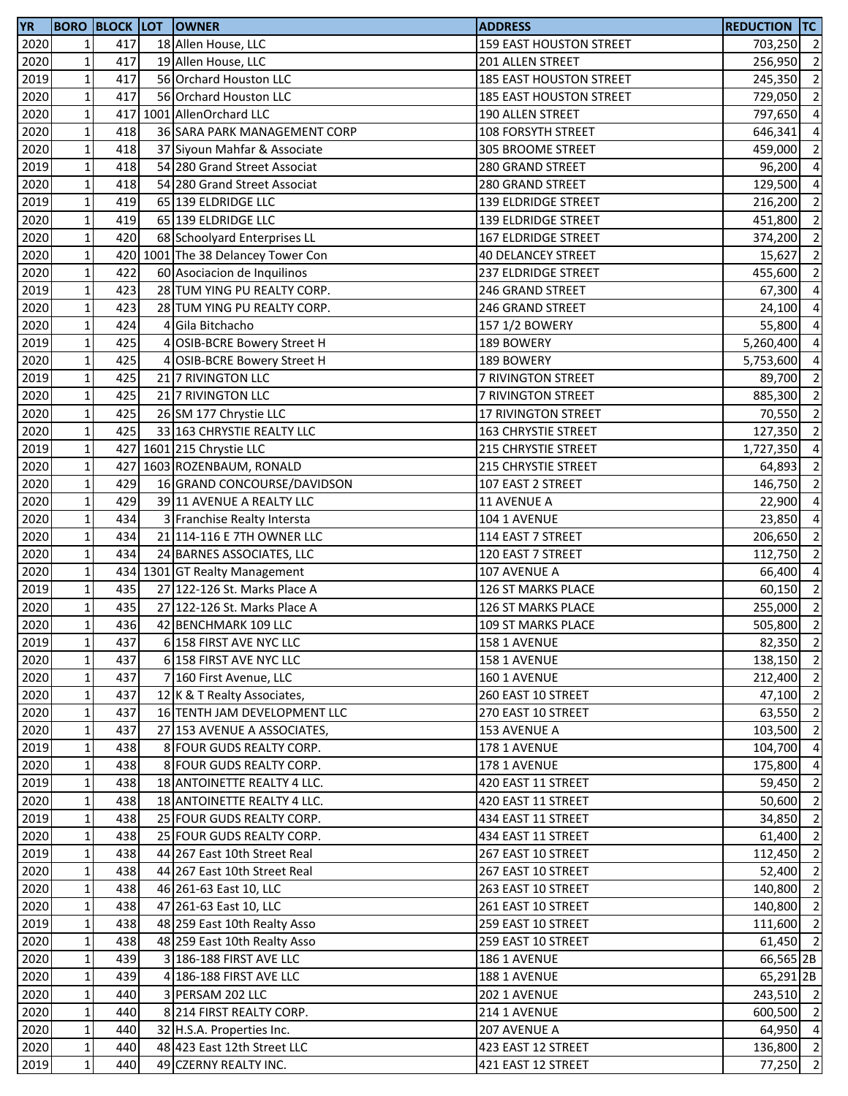| <b>YR</b> |                 |     |   | <b>BORO BLOCK LOT OWNER</b>        | <b>ADDRESS</b>                 | <b>REDUCTION TC</b> |                |
|-----------|-----------------|-----|---|------------------------------------|--------------------------------|---------------------|----------------|
| 2020      | $1\overline{ }$ | 417 |   | 18 Allen House, LLC                | 159 EAST HOUSTON STREET        | 703,250 2           |                |
| 2020      | $\mathbf{1}$    | 417 |   | 19 Allen House, LLC                | 201 ALLEN STREET               | 256,950             | $\overline{2}$ |
| 2019      | $\mathbf 1$     | 417 |   | 56 Orchard Houston LLC             | 185 EAST HOUSTON STREET        | 245,350             | $\overline{2}$ |
| 2020      | $\mathbf 1$     | 417 |   | 56 Orchard Houston LLC             | <b>185 EAST HOUSTON STREET</b> | 729,050             | $\overline{2}$ |
| 2020      | $\mathbf 1$     | 417 |   | 1001 AllenOrchard LLC              | 190 ALLEN STREET               | 797,650             | $\overline{4}$ |
| 2020      | $\mathbf 1$     | 418 |   | 36 SARA PARK MANAGEMENT CORP       | 108 FORSYTH STREET             | 646,341             | $\overline{4}$ |
| 2020      | $\mathbf 1$     | 418 |   | 37 Siyoun Mahfar & Associate       | 305 BROOME STREET              | 459,000             | $\overline{2}$ |
| 2019      | $\mathbf 1$     | 418 |   | 54 280 Grand Street Associat       | 280 GRAND STREET               | 96,200              | $\overline{4}$ |
| 2020      | $\mathbf 1$     | 418 |   | 54 280 Grand Street Associat       | 280 GRAND STREET               | 129,500             | $\overline{4}$ |
| 2019      | $\mathbf 1$     | 419 |   | 65 139 ELDRIDGE LLC                | 139 ELDRIDGE STREET            | 216,200             | $\overline{2}$ |
| 2020      | $\mathbf{1}$    | 419 |   | 65 139 ELDRIDGE LLC                | 139 ELDRIDGE STREET            | 451,800             | $\overline{2}$ |
| 2020      | $\mathbf 1$     | 420 |   | 68 Schoolyard Enterprises LL       | 167 ELDRIDGE STREET            | 374,200             | $\overline{2}$ |
| 2020      | $\mathbf 1$     |     |   | 420 1001 The 38 Delancey Tower Con | <b>40 DELANCEY STREET</b>      | 15,627              | $\overline{2}$ |
| 2020      | $\mathbf{1}$    | 422 |   | 60 Asociacion de Inquilinos        | <b>237 ELDRIDGE STREET</b>     | 455,600             | $\overline{2}$ |
| 2019      | $\mathbf 1$     | 423 |   | 28 TUM YING PU REALTY CORP.        | 246 GRAND STREET               | 67,300              | $\overline{4}$ |
| 2020      | $\mathbf{1}$    | 423 |   | 28 TUM YING PU REALTY CORP.        | 246 GRAND STREET               | 24,100              | $\overline{4}$ |
| 2020      | $\mathbf 1$     | 424 | 4 | Gila Bitchacho                     | 157 1/2 BOWERY                 | 55,800              | $\overline{a}$ |
| 2019      | $\mathbf{1}$    | 425 | 4 | <b>OSIB-BCRE Bowery Street H</b>   | 189 BOWERY                     | 5,260,400           | $\overline{4}$ |
| 2020      | $\mathbf 1$     | 425 | 4 | <b>OSIB-BCRE Bowery Street H</b>   | 189 BOWERY                     |                     | $\overline{4}$ |
|           |                 | 425 |   |                                    |                                | 5,753,600           |                |
| 2019      | $\mathbf 1$     |     |   | 21 7 RIVINGTON LLC                 | 7 RIVINGTON STREET             | 89,700              | $\overline{2}$ |
| 2020      | $1\,$           | 425 |   | 21 7 RIVINGTON LLC                 | 7 RIVINGTON STREET             | 885,300 2           |                |
| 2020      | $1\,$           | 425 |   | 26 SM 177 Chrystie LLC             | 17 RIVINGTON STREET            | 70,550 2            |                |
| 2020      | $\mathbf 1$     | 425 |   | 33 163 CHRYSTIE REALTY LLC         | 163 CHRYSTIE STREET            | 127,350             | $\overline{2}$ |
| 2019      | $\mathbf 1$     |     |   | 427 1601 215 Chrystie LLC          | 215 CHRYSTIE STREET            | 1,727,350           | $\overline{4}$ |
| 2020      | $1\,$           |     |   | 427 1603 ROZENBAUM, RONALD         | 215 CHRYSTIE STREET            | 64,893              | $\overline{2}$ |
| 2020      | $1\,$           | 429 |   | 16 GRAND CONCOURSE/DAVIDSON        | 107 EAST 2 STREET              | 146,750             | $\overline{2}$ |
| 2020      | $\mathbf 1$     | 429 |   | 39 11 AVENUE A REALTY LLC          | 11 AVENUE A                    | 22,900              | $\overline{4}$ |
| 2020      | $\mathbf 1$     | 434 |   | 3 Franchise Realty Intersta        | 104 1 AVENUE                   | 23,850              | $\overline{4}$ |
| 2020      | $\mathbf 1$     | 434 |   | 21 114-116 E 7TH OWNER LLC         | 114 EAST 7 STREET              | 206,650             | $\overline{2}$ |
| 2020      | $1\,$           | 434 |   | 24 BARNES ASSOCIATES, LLC          | 120 EAST 7 STREET              | 112,750             | $\overline{2}$ |
| 2020      | $\mathbf 1$     |     |   | 434 1301 GT Realty Management      | 107 AVENUE A                   | 66,400              | $\overline{4}$ |
| 2019      | $\mathbf 1$     | 435 |   | 27 122-126 St. Marks Place A       | 126 ST MARKS PLACE             | 60,150              | $\overline{2}$ |
| 2020      | $1\,$           | 435 |   | 27 122-126 St. Marks Place A       | 126 ST MARKS PLACE             | 255,000             | $\overline{2}$ |
| 2020      | $1\overline{ }$ | 436 |   | 42 BENCHMARK 109 LLC               | 109 ST MARKS PLACE             | 505,800             | $\overline{2}$ |
| 2019      | $1\vert$        | 437 |   | 6 158 FIRST AVE NYC LLC            | 158 1 AVENUE                   | 82,350 2            |                |
| 2020      | $\mathbf 1$     | 437 |   | 6 158 FIRST AVE NYC LLC            | 158 1 AVENUE                   | 138,150             | $\overline{2}$ |
| 2020      | $1\,$           | 437 |   | 7 160 First Avenue, LLC            | 160 1 AVENUE                   | 212,400 2           |                |
| 2020      | $\mathbf 1$     | 437 |   | 12 K & T Realty Associates,        | 260 EAST 10 STREET             | 47,100 2            |                |
| 2020      | $1\,$           | 437 |   | 16 TENTH JAM DEVELOPMENT LLC       | 270 EAST 10 STREET             | 63,550 2            |                |
| 2020      | $\mathbf{1}$    | 437 |   | 27 153 AVENUE A ASSOCIATES,        | 153 AVENUE A                   | 103,500             | $\overline{2}$ |
| 2019      | $1\,$           | 438 |   | 8 FOUR GUDS REALTY CORP.           | 178 1 AVENUE                   | 104,700             | $\overline{4}$ |
| 2020      | $1\vert$        | 438 |   | 8 FOUR GUDS REALTY CORP.           | 178 1 AVENUE                   | 175,800             | $\overline{4}$ |
| 2019      | $\mathbf 1$     | 438 |   | 18 ANTOINETTE REALTY 4 LLC.        | 420 EAST 11 STREET             | 59,450              | $\overline{2}$ |
| 2020      | $1\vert$        | 438 |   | 18 ANTOINETTE REALTY 4 LLC.        | 420 EAST 11 STREET             | 50,600              | $\overline{2}$ |
| 2019      | $1\overline{ }$ | 438 |   | 25 FOUR GUDS REALTY CORP.          | 434 EAST 11 STREET             | 34,850              | $\overline{2}$ |
| 2020      | $1\overline{ }$ | 438 |   | 25 FOUR GUDS REALTY CORP.          | 434 EAST 11 STREET             | 61,400              | $\overline{2}$ |
| 2019      | $1\overline{ }$ | 438 |   | 44 267 East 10th Street Real       | 267 EAST 10 STREET             | 112,450 2           |                |
| 2020      | $\mathbf 1$     | 438 |   | 44 267 East 10th Street Real       | 267 EAST 10 STREET             | 52,400              | $\overline{2}$ |
| 2020      | $\mathbf{1}$    | 438 |   | 46 261-63 East 10, LLC             | 263 EAST 10 STREET             | 140,800             | $\overline{2}$ |
| 2020      | $\mathbf{1}$    | 438 |   | 47 261-63 East 10, LLC             | 261 EAST 10 STREET             | 140,800             | $\overline{2}$ |
| 2019      | $\mathbf{1}$    | 438 |   | 48 259 East 10th Realty Asso       | 259 EAST 10 STREET             | 111,600 2           |                |
| 2020      | $1\vert$        | 438 |   | 48 259 East 10th Realty Asso       | 259 EAST 10 STREET             | 61,450 2            |                |
| 2020      | $\mathbf{1}$    | 439 |   | 3 186-188 FIRST AVE LLC            | 186 1 AVENUE                   | 66,565 2B           |                |
| 2020      | $1\,$           | 439 |   | 4 186-188 FIRST AVE LLC            | 188 1 AVENUE                   | 65,291 2B           |                |
| 2020      | $\mathbf 1$     | 440 |   | 3 PERSAM 202 LLC                   | 202 1 AVENUE                   | 243,510 2           |                |
| 2020      | $1\,$           | 440 |   | 8 214 FIRST REALTY CORP.           | 214 1 AVENUE                   | 600,500 2           |                |
| 2020      | $\mathbf 1$     | 440 |   | 32 H.S.A. Properties Inc.          | 207 AVENUE A                   | 64,950 4            |                |
| 2020      | $\mathbf 1$     | 440 |   | 48 423 East 12th Street LLC        | 423 EAST 12 STREET             | 136,800 2           |                |
| 2019      | $\mathbf 1$     | 440 |   | 49 CZERNY REALTY INC.              | 421 EAST 12 STREET             | $77,250$ 2          |                |
|           |                 |     |   |                                    |                                |                     |                |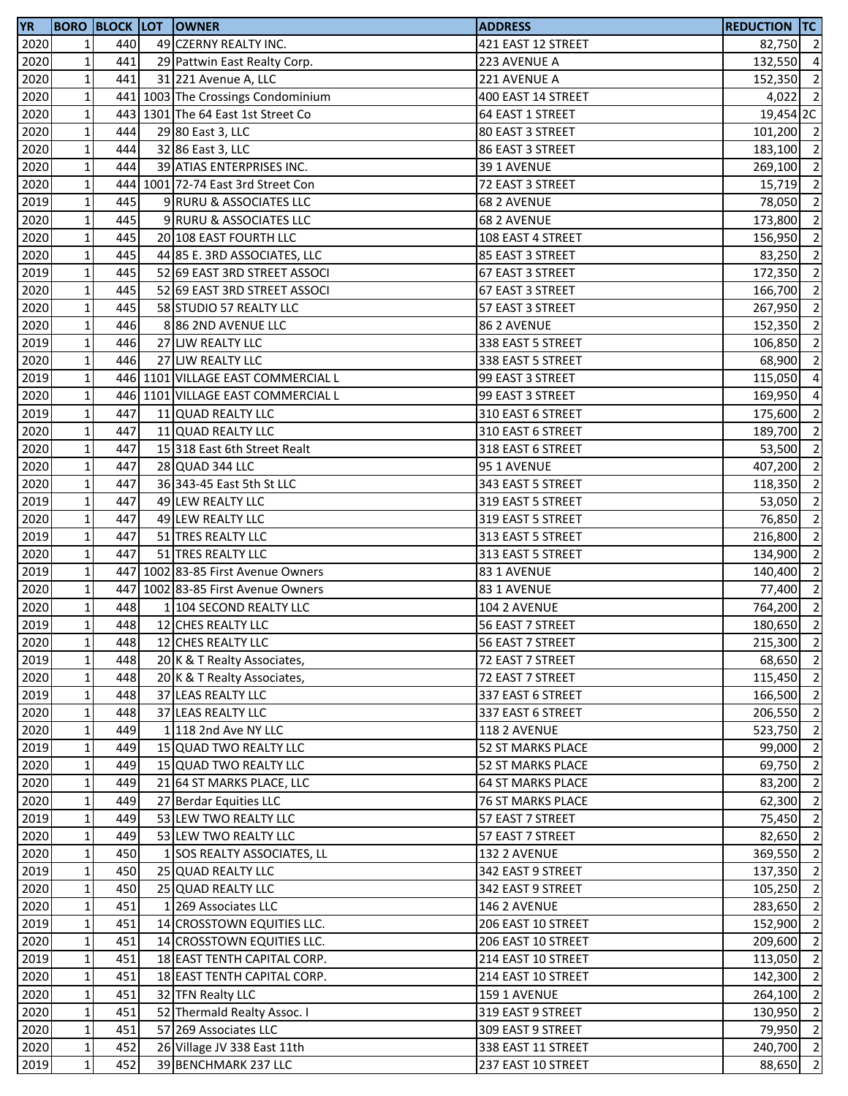| <b>YR</b> |                 |     | <b>BORO BLOCK LOT OWNER</b>        | <b>ADDRESS</b>           | <b>REDUCTION TC</b> |                |
|-----------|-----------------|-----|------------------------------------|--------------------------|---------------------|----------------|
| 2020      | 1               | 440 | 49 CZERNY REALTY INC.              | 421 EAST 12 STREET       | 82,750 2            |                |
| 2020      | $\mathbf 1$     | 441 | 29 Pattwin East Realty Corp.       | 223 AVENUE A             | 132,550 4           |                |
| 2020      | $\mathbf{1}$    | 441 | 31 221 Avenue A, LLC               | 221 AVENUE A             | 152,350 2           |                |
| 2020      | $1\,$           |     | 441 1003 The Crossings Condominium | 400 EAST 14 STREET       | $4,022$ 2           |                |
| 2020      | $\mathbf 1$     |     | 443 1301 The 64 East 1st Street Co | 64 EAST 1 STREET         | 19,454 2C           |                |
| 2020      | $\mathbf 1$     | 444 | 29 80 East 3, LLC                  | 80 EAST 3 STREET         | 101,200 2           |                |
| 2020      | $\mathbf 1$     | 444 | 32 86 East 3, LLC                  | 86 EAST 3 STREET         | 183,100 2           |                |
| 2020      | $1\vert$        | 444 | 39 ATIAS ENTERPRISES INC.          | 39 1 AVENUE              | 269,100 2           |                |
| 2020      | $1\,$           |     | 444 1001 72-74 East 3rd Street Con | 72 EAST 3 STREET         | $15,719$ 2          |                |
| 2019      | $1\overline{ }$ | 445 | 9 RURU & ASSOCIATES LLC            | 68 2 AVENUE              | 78,050              | $\overline{2}$ |
| 2020      | $\mathbf{1}$    | 445 | 9 RURU & ASSOCIATES LLC            | 68 2 AVENUE              | 173,800             | $\overline{2}$ |
| 2020      | $\mathbf 1$     | 445 | 20 108 EAST FOURTH LLC             | 108 EAST 4 STREET        | 156,950             | $\overline{2}$ |
| 2020      | $1\,$           | 445 | 44 85 E. 3RD ASSOCIATES, LLC       | 85 EAST 3 STREET         | 83,250 2            |                |
| 2019      | $\mathbf 1$     | 445 | 52 69 EAST 3RD STREET ASSOCI       | 67 EAST 3 STREET         | 172,350 2           |                |
| 2020      | $\mathbf 1$     | 445 | 52 69 EAST 3RD STREET ASSOCI       | 67 EAST 3 STREET         | 166,700             | $\overline{2}$ |
| 2020      | $1\,$           | 445 | 58 STUDIO 57 REALTY LLC            | 57 EAST 3 STREET         | 267,950             | $\overline{2}$ |
| 2020      | $\mathbf 1$     | 446 | 886 2ND AVENUE LLC                 | 86 2 AVENUE              | 152,350             | $\overline{2}$ |
| 2019      | $\mathbf{1}$    | 446 | 27 LJW REALTY LLC                  | 338 EAST 5 STREET        | 106,850             | $\overline{2}$ |
| 2020      | $\mathbf{1}$    | 446 | 27 LJW REALTY LLC                  | 338 EAST 5 STREET        | 68,900              | $\overline{2}$ |
| 2019      | $\mathbf 1$     |     | 446 1101 VILLAGE EAST COMMERCIAL L | 99 EAST 3 STREET         | 115,050             | $\overline{4}$ |
| 2020      | $\mathbf 1$     |     | 446 1101 VILLAGE EAST COMMERCIAL L | 99 EAST 3 STREET         | 169,950             | $\overline{4}$ |
| 2019      | $1\overline{ }$ | 447 | 11 QUAD REALTY LLC                 | 310 EAST 6 STREET        | 175,600             | $\overline{2}$ |
| 2020      | $\mathbf 1$     | 447 | 11 QUAD REALTY LLC                 | 310 EAST 6 STREET        | 189,700 2           |                |
| 2020      | $\mathbf 1$     | 447 | 15 318 East 6th Street Realt       | 318 EAST 6 STREET        | 53,500              | $\overline{2}$ |
| 2020      | $\mathbf 1$     | 447 | 28 QUAD 344 LLC                    | 95 1 AVENUE              | 407,200             | $\overline{2}$ |
| 2020      | $1\overline{ }$ | 447 | 36 343-45 East 5th St LLC          | 343 EAST 5 STREET        | 118,350             | $\overline{2}$ |
| 2019      | $\mathbf 1$     | 447 | 49 LEW REALTY LLC                  | 319 EAST 5 STREET        | 53,050              | $\overline{2}$ |
| 2020      | $\mathbf 1$     | 447 | 49 LEW REALTY LLC                  | 319 EAST 5 STREET        | 76,850              | $\overline{2}$ |
| 2019      | $\mathbf 1$     | 447 | 51 TRES REALTY LLC                 | 313 EAST 5 STREET        | 216,800 2           |                |
| 2020      | $\mathbf{1}$    | 447 | 51 TRES REALTY LLC                 | 313 EAST 5 STREET        | 134,900             | $\overline{2}$ |
| 2019      | $1\,$           |     | 447 1002 83-85 First Avenue Owners | 83 1 AVENUE              | 140,400 2           |                |
| 2020      | $\mathbf{1}$    |     | 447 1002 83-85 First Avenue Owners | 83 1 AVENUE              | 77,400 2            |                |
| 2020      | $\mathbf 1$     | 448 | 1 104 SECOND REALTY LLC            | 104 2 AVENUE             | 764,200 2           |                |
| 2019      | $1\overline{ }$ | 448 | 12 CHES REALTY LLC                 | 56 EAST 7 STREET         | 180,650             | $\overline{2}$ |
| 2020      | $1\vert$        | 448 | 12 CHES REALTY LLC                 | 56 EAST 7 STREET         | 215,300 2           |                |
| 2019      | $\mathbf{1}$    | 448 | 20 K & T Realty Associates,        | 72 EAST 7 STREET         | 68,650 2            |                |
| 2020      | $1\overline{ }$ | 448 | 20 K & T Realty Associates,        | 72 EAST 7 STREET         | 115,450             | $\overline{2}$ |
| 2019      | $1\,$           | 448 | 37 LEAS REALTY LLC                 | 337 EAST 6 STREET        | 166,500 2           |                |
| 2020      | $1\,$           | 448 | 37 LEAS REALTY LLC                 | 337 EAST 6 STREET        | 206,550 2           |                |
| 2020      | $\mathbf 1$     | 449 | 1 118 2nd Ave NY LLC               | 118 2 AVENUE             | 523,750 2           |                |
| 2019      | $1\,$           | 449 | 15 QUAD TWO REALTY LLC             | 52 ST MARKS PLACE        | 99,000              | $\overline{2}$ |
| 2020      | $1\overline{ }$ | 449 | 15 QUAD TWO REALTY LLC             | 52 ST MARKS PLACE        | 69,750 2            |                |
| 2020      | $1\overline{ }$ | 449 | 21 64 ST MARKS PLACE, LLC          | <b>64 ST MARKS PLACE</b> | 83,200              | $\overline{2}$ |
| 2020      | $\mathbf{1}$    | 449 | 27 Berdar Equities LLC             | <b>76 ST MARKS PLACE</b> | 62,300              | $\overline{2}$ |
| 2019      | $\mathbf 1$     | 449 | 53 LEW TWO REALTY LLC              | 57 EAST 7 STREET         | 75,450              | $\overline{2}$ |
| 2020      | $1\overline{ }$ | 449 | 53 LEW TWO REALTY LLC              | 57 EAST 7 STREET         | 82,650 2            |                |
| 2020      | $\mathbf 1$     | 450 | 1 SOS REALTY ASSOCIATES, LL        | 132 2 AVENUE             | 369,550 2           |                |
| 2019      | $\mathbf{1}$    | 450 | 25 QUAD REALTY LLC                 | 342 EAST 9 STREET        | 137,350 2           |                |
| 2020      | $\mathbf 1$     | 450 | 25 QUAD REALTY LLC                 | 342 EAST 9 STREET        | 105,250 2           |                |
| 2020      | $1\vert$        | 451 | 1 269 Associates LLC               | 146 2 AVENUE             | 283,650             | $\overline{2}$ |
| 2019      | $\mathbf 1$     | 451 | 14 CROSSTOWN EQUITIES LLC.         | 206 EAST 10 STREET       | 152,900             | $\overline{2}$ |
| 2020      | $\mathbf{1}$    | 451 | 14 CROSSTOWN EQUITIES LLC.         | 206 EAST 10 STREET       | 209,600             | $\overline{2}$ |
| 2019      | $\mathbf 1$     | 451 | 18 EAST TENTH CAPITAL CORP.        | 214 EAST 10 STREET       | 113,050 2           |                |
| 2020      | $\mathbf 1$     | 451 | 18 EAST TENTH CAPITAL CORP.        | 214 EAST 10 STREET       | 142,300 2           |                |
| 2020      | $\mathbf 1$     | 451 | 32 TFN Realty LLC                  | 159 1 AVENUE             | 264,100 2           |                |
| 2020      | $\mathbf 1$     | 451 | 52 Thermald Realty Assoc. I        | 319 EAST 9 STREET        | 130,950 2           |                |
| 2020      | $\mathbf 1$     | 451 | 57 269 Associates LLC              | 309 EAST 9 STREET        | 79,950 2            |                |
| 2020      | $1\vert$        | 452 | 26 Village JV 338 East 11th        | 338 EAST 11 STREET       | 240,700 2           |                |
| 2019      | $1\vert$        | 452 | 39 BENCHMARK 237 LLC               | 237 EAST 10 STREET       | $88,650$ 2          |                |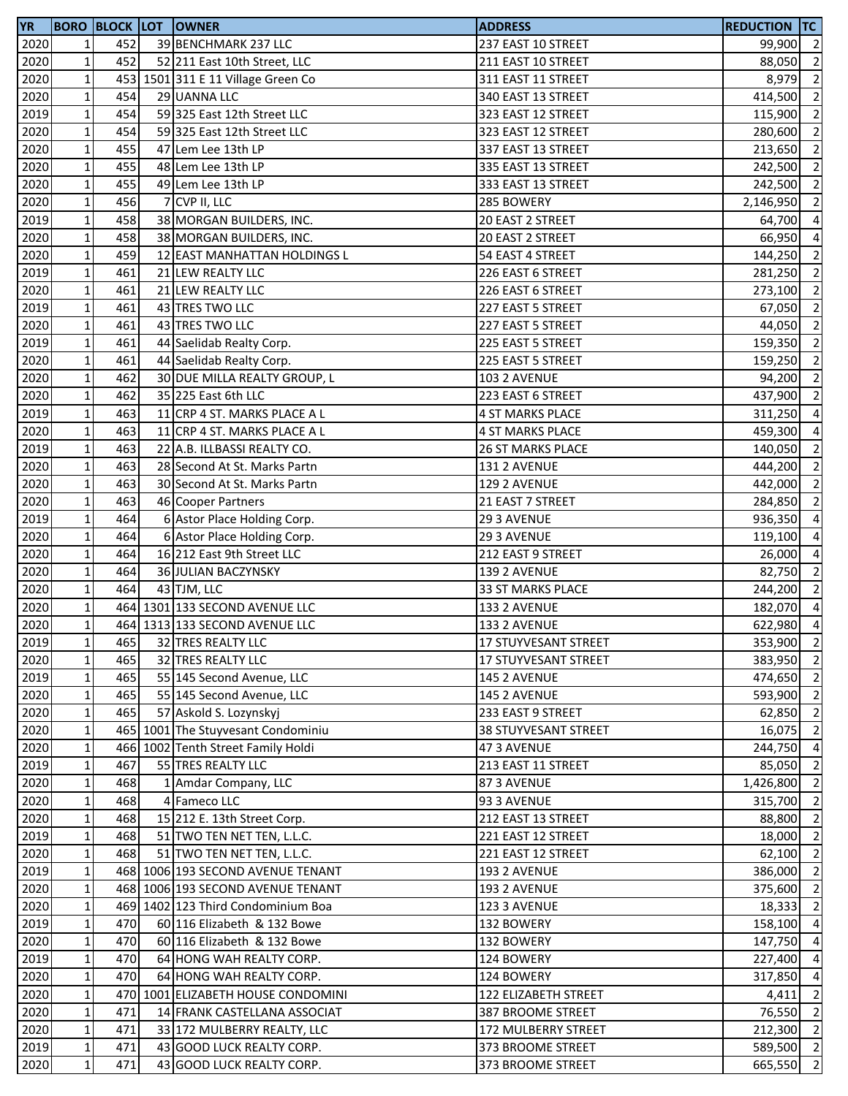| <b>YR</b> |                 |     |   | <b>BORO BLOCK LOT OWNER</b>        | <b>ADDRESS</b>           | REDUCTION TC |                          |
|-----------|-----------------|-----|---|------------------------------------|--------------------------|--------------|--------------------------|
| 2020      | $1\vert$        | 452 |   | 39 BENCHMARK 237 LLC               | 237 EAST 10 STREET       | 99,900 2     |                          |
| 2020      | $\mathbf 1$     | 452 |   | 52 211 East 10th Street, LLC       | 211 EAST 10 STREET       | 88,050 2     |                          |
| 2020      | $\mathbf{1}$    | 453 |   | 1501 311 E 11 Village Green Co     | 311 EAST 11 STREET       | 8,979        | $\overline{2}$           |
| 2020      | $\mathbf 1$     | 454 |   | 29 UANNA LLC                       | 340 EAST 13 STREET       | 414,500 2    |                          |
| 2019      | $\mathbf 1$     | 454 |   | 59 325 East 12th Street LLC        | 323 EAST 12 STREET       | 115,900      | $\overline{2}$           |
| 2020      | $\mathbf 1$     | 454 |   | 59 325 East 12th Street LLC        | 323 EAST 12 STREET       | 280,600      | $\overline{\phantom{a}}$ |
| 2020      | $\mathbf 1$     | 455 |   | 47 Lem Lee 13th LP                 | 337 EAST 13 STREET       | 213,650      | $\overline{2}$           |
| 2020      | $\mathbf 1$     | 455 |   | 48 Lem Lee 13th LP                 | 335 EAST 13 STREET       | 242,500      | $\overline{\mathbf{c}}$  |
| 2020      | $\mathbf 1$     | 455 |   | 49 Lem Lee 13th LP                 | 333 EAST 13 STREET       | 242,500      | $\overline{\mathbf{c}}$  |
| 2020      | $\mathbf{1}$    | 456 | 7 | CVP II, LLC                        | 285 BOWERY               | 2,146,950    | $\overline{\mathbf{c}}$  |
| 2019      | $\mathbf 1$     | 458 |   | 38 MORGAN BUILDERS, INC.           | 20 EAST 2 STREET         | 64,700       | $\overline{a}$           |
|           |                 | 458 |   |                                    |                          |              |                          |
| 2020      | $\mathbf 1$     |     |   | 38 MORGAN BUILDERS, INC.           | 20 EAST 2 STREET         | 66,950       | $\overline{a}$           |
| 2020      | $\mathbf 1$     | 459 |   | 12 EAST MANHATTAN HOLDINGS L       | 54 EAST 4 STREET         | 144,250 2    |                          |
| 2019      | $\mathbf 1$     | 461 |   | 21 LEW REALTY LLC                  | 226 EAST 6 STREET        | 281,250      | $\overline{\mathbf{c}}$  |
| 2020      | $\mathbf{1}$    | 461 |   | 21 LEW REALTY LLC                  | 226 EAST 6 STREET        | 273,100 2    |                          |
| 2019      | $\mathbf 1$     | 461 |   | 43 TRES TWO LLC                    | 227 EAST 5 STREET        | 67,050       | $\overline{2}$           |
| 2020      | $\mathbf{1}$    | 461 |   | 43 TRES TWO LLC                    | 227 EAST 5 STREET        | 44,050       | $\overline{2}$           |
| 2019      | $\mathbf{1}$    | 461 |   | 44 Saelidab Realty Corp.           | 225 EAST 5 STREET        | 159,350      | $\overline{2}$           |
| 2020      | $\mathbf 1$     | 461 |   | 44 Saelidab Realty Corp.           | 225 EAST 5 STREET        | 159,250      | $\overline{2}$           |
| 2020      | $\mathbf 1$     | 462 |   | 30 DUE MILLA REALTY GROUP, L       | 103 2 AVENUE             | 94,200 2     |                          |
| 2020      | $\mathbf 1$     | 462 |   | 35 225 East 6th LLC                | 223 EAST 6 STREET        | 437,900 2    |                          |
| 2019      | $\mathbf 1$     | 463 |   | 11 CRP 4 ST. MARKS PLACE A L       | 4 ST MARKS PLACE         | 311,250      | $\overline{4}$           |
| 2020      | $\mathbf 1$     | 463 |   | 11 CRP 4 ST. MARKS PLACE A L       | 4 ST MARKS PLACE         | 459,300      | $\overline{4}$           |
| 2019      | $\mathbf 1$     | 463 |   | 22 A.B. ILLBASSI REALTY CO.        | <b>26 ST MARKS PLACE</b> | 140,050      | $\overline{2}$           |
| 2020      | $\mathbf 1$     | 463 |   | 28 Second At St. Marks Partn       | 131 2 AVENUE             | 444,200      | $\overline{2}$           |
| 2020      | $\mathbf{1}$    | 463 |   | 30 Second At St. Marks Partn       | 129 2 AVENUE             | 442,000      | $\overline{2}$           |
| 2020      | $\mathbf 1$     | 463 |   | 46 Cooper Partners                 | 21 EAST 7 STREET         | 284,850      | $\overline{\mathbf{2}}$  |
| 2019      | $\mathbf 1$     | 464 |   | 6 Astor Place Holding Corp.        | 29 3 AVENUE              | 936,350      | $\overline{a}$           |
| 2020      | $\mathbf 1$     | 464 |   | 6 Astor Place Holding Corp.        | 29 3 AVENUE              | 119,100      | $\overline{4}$           |
| 2020      | $\mathbf{1}$    | 464 |   | 16 212 East 9th Street LLC         | 212 EAST 9 STREET        | 26,000 4     |                          |
| 2020      | $\mathbf 1$     | 464 |   | 36 JULIAN BACZYNSKY                | 139 2 AVENUE             | 82,750       | $\overline{2}$           |
| 2020      | $\mathbf 1$     | 464 |   | 43 TJM, LLC                        | 33 ST MARKS PLACE        | 244,200      | $\overline{2}$           |
|           |                 |     |   | 464 1301 133 SECOND AVENUE LLC     |                          | 182,070 4    |                          |
| 2020      | $\mathbf 1$     |     |   |                                    | 133 2 AVENUE             |              |                          |
| 2020      | $1\overline{ }$ |     |   | 464 1313 133 SECOND AVENUE LLC     | 133 2 AVENUE             | 622,980      | $\overline{4}$           |
| 2019      | 1 <sup>1</sup>  | 465 |   | 32 TRES REALTY LLC                 | 17 STUYVESANT STREET     | 353,900 2    |                          |
| 2020      | $\mathbf 1$     | 465 |   | 32 TRES REALTY LLC                 | 17 STUYVESANT STREET     | 383,950 2    |                          |
| 2019      | $\mathbf 1$     | 465 |   | 55 145 Second Avenue, LLC          | 145 2 AVENUE             | 474,650 2    |                          |
| 2020      | $\mathbf 1$     | 465 |   | 55 145 Second Avenue, LLC          | 145 2 AVENUE             | 593,900 2    |                          |
| 2020      | $\mathbf 1$     | 465 |   | 57 Askold S. Lozynskyj             | 233 EAST 9 STREET        | 62,850       | $\overline{2}$           |
| 2020      | $\mathbf 1$     |     |   | 465 1001 The Stuyvesant Condominiu | 38 STUYVESANT STREET     | 16,075 2     |                          |
| 2020      | $\mathbf 1$     |     |   | 466 1002 Tenth Street Family Holdi | 47 3 AVENUE              | 244,750      | $\overline{4}$           |
| 2019      | $\mathbf 1$     | 467 |   | 55 TRES REALTY LLC                 | 213 EAST 11 STREET       | 85,050       | $\overline{2}$           |
| 2020      | $\mathbf{1}$    | 468 |   | 1 Amdar Company, LLC               | 87 3 AVENUE              | 1,426,800    | $\overline{2}$           |
| 2020      | $\mathbf 1$     | 468 |   | 4 Fameco LLC                       | 93 3 AVENUE              | 315,700      | $\overline{\mathbf{c}}$  |
| 2020      | $\mathbf 1$     | 468 |   | 15 212 E. 13th Street Corp.        | 212 EAST 13 STREET       | 88,800       | $\overline{\mathbf{c}}$  |
| 2019      | $\mathbf 1$     | 468 |   | 51 TWO TEN NET TEN, L.L.C.         | 221 EAST 12 STREET       | 18,000 2     |                          |
| 2020      | $\mathbf 1$     | 468 |   | 51 TWO TEN NET TEN, L.L.C.         | 221 EAST 12 STREET       | 62,100 2     |                          |
| 2019      | $\mathbf 1$     |     |   | 468 1006 193 SECOND AVENUE TENANT  | 193 2 AVENUE             | 386,000      | $\overline{2}$           |
| 2020      | $1\overline{ }$ |     |   | 468 1006 193 SECOND AVENUE TENANT  | 193 2 AVENUE             | 375,600      | $\overline{2}$           |
| 2020      | $\mathbf{1}$    |     |   | 469 1402 123 Third Condominium Boa | 123 3 AVENUE             | 18,333       | $\overline{2}$           |
| 2019      | $1\overline{ }$ | 470 |   | 60 116 Elizabeth & 132 Bowe        | 132 BOWERY               | 158,100      | $\overline{a}$           |
| 2020      | $\mathbf 1$     | 470 |   | 60 116 Elizabeth & 132 Bowe        | 132 BOWERY               | 147,750      | $\overline{a}$           |
| 2019      | $\mathbf 1$     | 470 |   | 64 HONG WAH REALTY CORP.           | 124 BOWERY               | 227,400      | $\overline{a}$           |
| 2020      | $\mathbf 1$     | 470 |   | 64 HONG WAH REALTY CORP.           | 124 BOWERY               | 317,850      | $\overline{a}$           |
| 2020      | $\mathbf 1$     |     |   | 470 1001 ELIZABETH HOUSE CONDOMINI | 122 ELIZABETH STREET     | 4,411        | $\overline{2}$           |
|           | $\mathbf 1$     | 471 |   | 14 FRANK CASTELLANA ASSOCIAT       | 387 BROOME STREET        | 76,550 2     |                          |
| 2020      |                 |     |   |                                    |                          |              |                          |
| 2020      | $\mathbf 1$     | 471 |   | 33 172 MULBERRY REALTY, LLC        | 172 MULBERRY STREET      | 212,300      | $\overline{2}$           |
| 2019      | $1\vert$        | 471 |   | 43 GOOD LUCK REALTY CORP.          | 373 BROOME STREET        | 589,500 2    |                          |
| 2020      | $\mathbf 1$     | 471 |   | 43 GOOD LUCK REALTY CORP.          | 373 BROOME STREET        | 665,550      | $\overline{2}$           |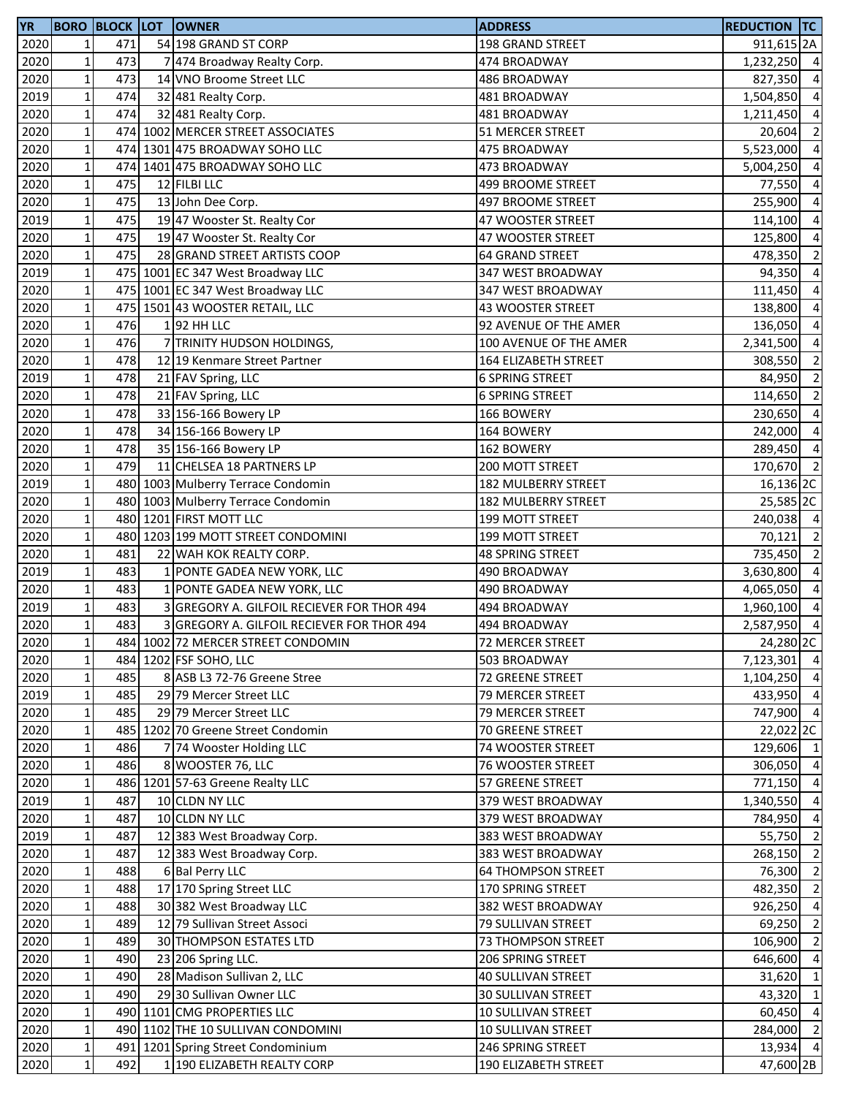| <b>YR</b> |                |     | <b>BORO BLOCK LOT OWNER</b>              | <b>ADDRESS</b>            | <b>REDUCTION TC</b>    |                         |
|-----------|----------------|-----|------------------------------------------|---------------------------|------------------------|-------------------------|
| 2020      | $1\vert$       | 471 | 54 198 GRAND ST CORP                     | 198 GRAND STREET          | 911,615 <sub>2</sub> A |                         |
| 2020      | $\mathbf 1$    | 473 | 7 474 Broadway Realty Corp.              | 474 BROADWAY              | 1,232,250 4            |                         |
| 2020      | $\mathbf 1$    | 473 | 14 VNO Broome Street LLC                 | 486 BROADWAY              | 827,350                | $\overline{a}$          |
| 2019      | $\mathbf 1$    | 474 | 32 481 Realty Corp.                      | 481 BROADWAY              | 1,504,850 4            |                         |
| 2020      | $\mathbf 1$    | 474 | 32 481 Realty Corp.                      | 481 BROADWAY              | 1,211,450              | $\overline{4}$          |
| 2020      | $\mathbf 1$    |     | 474 1002 MERCER STREET ASSOCIATES        | 51 MERCER STREET          | 20,604                 | $\overline{2}$          |
| 2020      | $\mathbf 1$    |     | 474 1301 475 BROADWAY SOHO LLC           | 475 BROADWAY              | 5,523,000              | $\overline{a}$          |
| 2020      | $\mathbf 1$    |     | 474 1401 475 BROADWAY SOHO LLC           | 473 BROADWAY              | 5,004,250              | $\overline{a}$          |
| 2020      | $\mathbf 1$    | 475 | 12 FILBI LLC                             | 499 BROOME STREET         | 77,550                 | $\overline{a}$          |
| 2020      | $\mathbf{1}$   | 475 | 13 John Dee Corp.                        | 497 BROOME STREET         | 255,900                | $\overline{a}$          |
| 2019      | $\mathbf 1$    | 475 | 19 47 Wooster St. Realty Cor             | 47 WOOSTER STREET         | 114,100                | $\overline{a}$          |
| 2020      | $\mathbf 1$    | 475 | 19 47 Wooster St. Realty Cor             | 47 WOOSTER STREET         | 125,800                | $\overline{a}$          |
| 2020      | $\mathbf 1$    | 475 | 28 GRAND STREET ARTISTS COOP             | <b>64 GRAND STREET</b>    | 478,350 2              |                         |
| 2019      | $\mathbf 1$    |     | 475 1001 EC 347 West Broadway LLC        | 347 WEST BROADWAY         | 94,350                 | $\overline{4}$          |
| 2020      | $\mathbf{1}$   |     | 475 1001 EC 347 West Broadway LLC        | 347 WEST BROADWAY         | 111,450                | $\overline{4}$          |
| 2020      | $\mathbf 1$    |     | 475 1501 43 WOOSTER RETAIL, LLC          | 43 WOOSTER STREET         | 138,800                | $\overline{a}$          |
| 2020      | $\mathbf 1$    | 476 | $1$  92 HH LLC                           | 92 AVENUE OF THE AMER     | 136,050                | $\overline{a}$          |
| 2020      | $\mathbf 1$    | 476 | 7 TRINITY HUDSON HOLDINGS,               | 100 AVENUE OF THE AMER    | 2,341,500              | $\overline{a}$          |
| 2020      | $\mathbf 1$    | 478 | 12 19 Kenmare Street Partner             | 164 ELIZABETH STREET      | 308,550                | $\overline{\mathbf{2}}$ |
| 2019      | $\mathbf 1$    | 478 | 21 FAV Spring, LLC                       | <b>6 SPRING STREET</b>    | 84,950                 | $\overline{\mathbf{c}}$ |
| 2020      | $\mathbf 1$    | 478 | 21 FAV Spring, LLC                       | <b>6 SPRING STREET</b>    | 114,650 2              |                         |
| 2020      | $\mathbf 1$    | 478 | 33 156-166 Bowery LP                     | 166 BOWERY                | 230,650                | $\overline{4}$          |
| 2020      | $\mathbf 1$    | 478 | 34 156-166 Bowery LP                     | 164 BOWERY                | 242,000                | $\overline{4}$          |
| 2020      | $\mathbf 1$    | 478 | 35 156-166 Bowery LP                     | 162 BOWERY                | 289,450                | $\overline{4}$          |
| 2020      | $\mathbf 1$    | 479 | 11 CHELSEA 18 PARTNERS LP                | 200 MOTT STREET           | 170,670 2              |                         |
| 2019      | $\mathbf{1}$   |     | 480 1003 Mulberry Terrace Condomin       | 182 MULBERRY STREET       | 16,136 <sub>2C</sub>   |                         |
| 2020      | $\mathbf 1$    |     | 480 1003 Mulberry Terrace Condomin       | 182 MULBERRY STREET       | 25,585 2C              |                         |
| 2020      | $\mathbf 1$    |     | 480 1201 FIRST MOTT LLC                  | 199 MOTT STREET           | 240,038 4              |                         |
| 2020      | $\mathbf 1$    |     | 480 1203 199 MOTT STREET CONDOMINI       | 199 MOTT STREET           | 70,121 2               |                         |
| 2020      | $\mathbf 1$    | 481 | 22 WAH KOK REALTY CORP.                  | <b>48 SPRING STREET</b>   | 735,450 2              |                         |
| 2019      | $\mathbf 1$    | 483 | 1 PONTE GADEA NEW YORK, LLC              | 490 BROADWAY              | 3,630,800              | $\overline{a}$          |
| 2020      | $\mathbf 1$    | 483 | 1 PONTE GADEA NEW YORK, LLC              | 490 BROADWAY              | 4,065,050              | $\overline{a}$          |
| 2019      | $\mathbf 1$    | 483 | GREGORY A. GILFOIL RECIEVER FOR THOR 494 | 494 BROADWAY              | 1,960,100 4            |                         |
| 2020      | $\mathbf{1}$   | 483 | GREGORY A. GILFOIL RECIEVER FOR THOR 494 | 494 BROADWAY              | 2,587,950              | $\overline{4}$          |
| 2020      | 1 <sup>1</sup> |     | 484 1002 72 MERCER STREET CONDOMIN       | 72 MERCER STREET          | 24,280 2C              |                         |
| 2020      | $\mathbf 1$    |     | 484 1202 FSF SOHO, LLC                   | 503 BROADWAY              | 7,123,301 4            |                         |
| 2020      | $1\,$          | 485 | 8 ASB L3 72-76 Greene Stree              | 72 GREENE STREET          | 1,104,250 4            |                         |
| 2019      | $\mathbf 1$    | 485 | 29 79 Mercer Street LLC                  | 79 MERCER STREET          | 433,950 4              |                         |
| 2020      | $1\,$          | 485 | 29 79 Mercer Street LLC                  | 79 MERCER STREET          | 747,900 4              |                         |
| 2020      | $\mathbf 1$    |     | 485 1202 70 Greene Street Condomin       | 70 GREENE STREET          | 22,022 2C              |                         |
| 2020      | $1\,$          | 486 | 7 74 Wooster Holding LLC                 | 74 WOOSTER STREET         | 129,606 1              |                         |
| 2020      | $\mathbf 1$    | 486 | 8 WOOSTER 76, LLC                        | 76 WOOSTER STREET         | 306,050 4              |                         |
| 2020      | $\mathbf{1}$   |     | 486 1201 57-63 Greene Realty LLC         | 57 GREENE STREET          | 771,150 4              |                         |
| 2019      | $\mathbf 1$    | 487 | 10 CLDN NY LLC                           | 379 WEST BROADWAY         | 1,340,550              | $\overline{4}$          |
| 2020      | $\mathbf 1$    | 487 | 10 CLDN NY LLC                           | 379 WEST BROADWAY         | 784,950                | $\overline{a}$          |
| 2019      | $1\,$          | 487 | 12 383 West Broadway Corp.               | 383 WEST BROADWAY         | 55,750 2               |                         |
| 2020      | $1\,$          | 487 | 12 383 West Broadway Corp.               | 383 WEST BROADWAY         | 268,150 2              |                         |
| 2020      | $\mathbf 1$    | 488 | 6 Bal Perry LLC                          | <b>64 THOMPSON STREET</b> | 76,300 2               |                         |
| 2020      | $\mathbf 1$    | 488 | 17 170 Spring Street LLC                 | 170 SPRING STREET         | 482,350                | $\overline{2}$          |
| 2020      | $\mathbf 1$    | 488 | 30 382 West Broadway LLC                 | 382 WEST BROADWAY         | 926,250                | $\overline{a}$          |
| 2020      | $\mathbf{1}$   | 489 | 12 79 Sullivan Street Associ             | 79 SULLIVAN STREET        | 69,250                 | $\overline{2}$          |
| 2020      | $\mathbf 1$    | 489 | 30 THOMPSON ESTATES LTD                  | 73 THOMPSON STREET        | 106,900                | $\overline{2}$          |
| 2020      | $1\,$          | 490 | 23 206 Spring LLC.                       | 206 SPRING STREET         | 646,600                | $\overline{a}$          |
| 2020      | $\mathbf 1$    | 490 | 28 Madison Sullivan 2, LLC               | 40 SULLIVAN STREET        | 31,620 1               |                         |
| 2020      | $\mathbf{1}$   | 490 | 29 30 Sullivan Owner LLC                 | <b>30 SULLIVAN STREET</b> | 43,320 1               |                         |
| 2020      | $\mathbf 1$    |     | 490 1101 CMG PROPERTIES LLC              | 10 SULLIVAN STREET        | 60,450 4               |                         |
| 2020      | $1\,$          |     | 490 1102 THE 10 SULLIVAN CONDOMINI       | 10 SULLIVAN STREET        | 284,000 2              |                         |
| 2020      | $1\vert$       |     | 491 1201 Spring Street Condominium       | 246 SPRING STREET         | 13,934 4               |                         |
| 2020      | $1\,$          | 492 | 1 190 ELIZABETH REALTY CORP              | 190 ELIZABETH STREET      | 47,600 2B              |                         |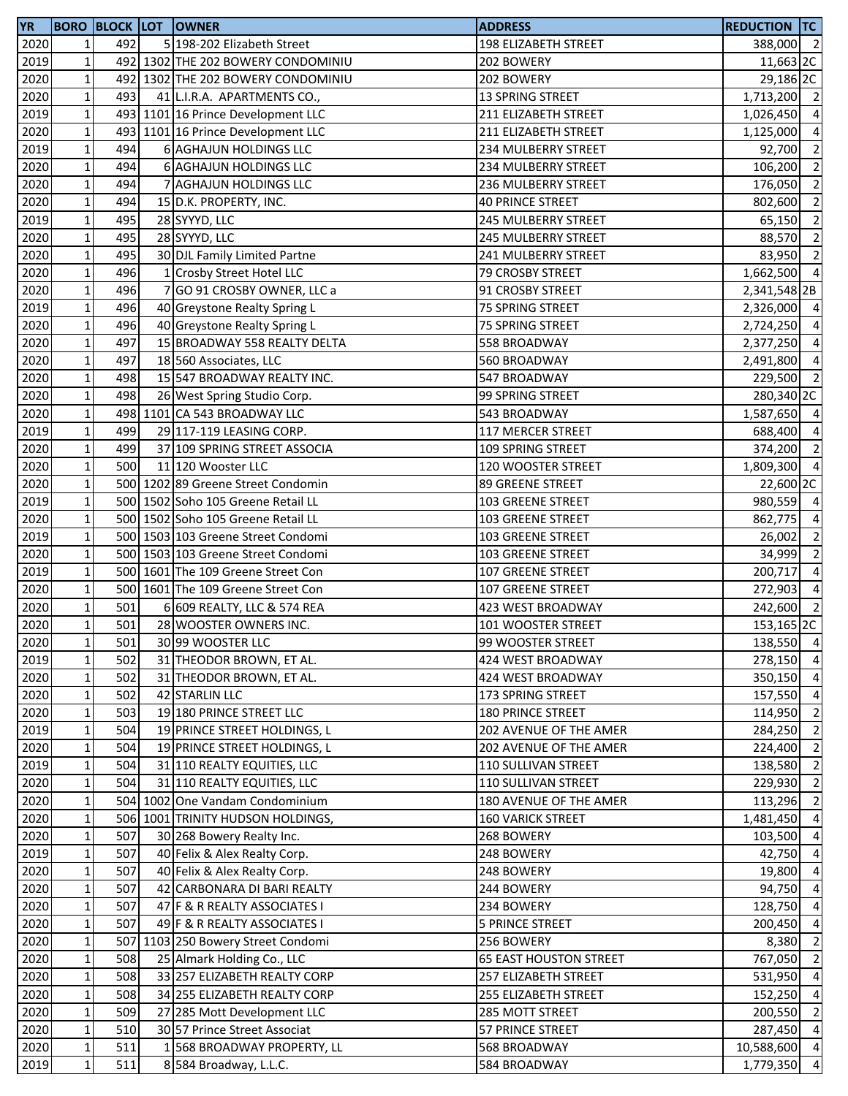| <b>YR</b> |                 |     | <b>BORO BLOCK LOT OWNER</b>        | <b>ADDRESS</b>                | <b>REDUCTION TC</b> |                |
|-----------|-----------------|-----|------------------------------------|-------------------------------|---------------------|----------------|
| 2020      | $1\vert$        | 492 | 5 198-202 Elizabeth Street         | 198 ELIZABETH STREET          | 388,000 2           |                |
| 2019      | $\mathbf 1$     |     | 492 1302 THE 202 BOWERY CONDOMINIU | 202 BOWERY                    | 11,663 2C           |                |
| 2020      | $1\,$           |     | 492 1302 THE 202 BOWERY CONDOMINIU | 202 BOWERY                    | 29,186 2C           |                |
| 2020      | $1\,$           | 493 | 41 L.I.R.A. APARTMENTS CO.,        | 13 SPRING STREET              | 1,713,200 2         |                |
| 2019      | $\mathbf 1$     |     | 493 1101 16 Prince Development LLC | 211 ELIZABETH STREET          | 1,026,450 4         |                |
| 2020      | $\mathbf 1$     |     | 493 1101 16 Prince Development LLC | 211 ELIZABETH STREET          | 1,125,000           | $\overline{4}$ |
| 2019      | $1\,$           | 494 | <b>6 AGHAJUN HOLDINGS LLC</b>      | 234 MULBERRY STREET           | 92,700              | $\overline{2}$ |
| 2020      | $1\,$           | 494 | <b>6 AGHAJUN HOLDINGS LLC</b>      | 234 MULBERRY STREET           | 106,200             | $\overline{2}$ |
| 2020      | $\mathbf 1$     | 494 | 7 AGHAJUN HOLDINGS LLC             | 236 MULBERRY STREET           | 176,050             | $\overline{2}$ |
| 2020      | $\mathbf{1}$    | 494 | 15 D.K. PROPERTY, INC.             | <b>40 PRINCE STREET</b>       | 802,600             | $\overline{2}$ |
| 2019      | $\mathbf 1$     | 495 |                                    | 245 MULBERRY STREET           | 65,150              | $\overline{2}$ |
|           |                 |     | 28 SYYYD, LLC                      |                               |                     |                |
| 2020      | $1\,$           | 495 | 28 SYYYD, LLC                      | 245 MULBERRY STREET           | 88,570 2            |                |
| 2020      | $\mathbf{1}$    | 495 | 30 DJL Family Limited Partne       | <b>241 MULBERRY STREET</b>    | 83,950 2            |                |
| 2020      | $\mathbf 1$     | 496 | 1 Crosby Street Hotel LLC          | 79 CROSBY STREET              | 1,662,500 4         |                |
| 2020      | $\mathbf 1$     | 496 | 7 GO 91 CROSBY OWNER, LLC a        | 91 CROSBY STREET              | 2,341,548 2B        |                |
| 2019      | $\mathbf 1$     | 496 | 40 Greystone Realty Spring L       | 75 SPRING STREET              | 2,326,000 4         |                |
| 2020      | $\mathbf 1$     | 496 | 40 Greystone Realty Spring L       | 75 SPRING STREET              | 2,724,250 4         |                |
| 2020      | $\mathbf 1$     | 497 | 15 BROADWAY 558 REALTY DELTA       | 558 BROADWAY                  | 2,377,250 4         |                |
| 2020      | $\mathbf 1$     | 497 | 18 560 Associates, LLC             | 560 BROADWAY                  | 2,491,800           | $\overline{4}$ |
| 2020      | $\mathbf 1$     | 498 | 15 547 BROADWAY REALTY INC.        | 547 BROADWAY                  | 229,500 2           |                |
| 2020      | $\mathbf 1$     | 498 | 26 West Spring Studio Corp.        | 99 SPRING STREET              | 280,340 2C          |                |
| 2020      | $\mathbf 1$     |     | 498 1101 CA 543 BROADWAY LLC       | 543 BROADWAY                  | 1,587,650 4         |                |
| 2019      | $\mathbf 1$     | 499 | 29 117-119 LEASING CORP.           | 117 MERCER STREET             | 688,400 4           |                |
| 2020      | $\mathbf 1$     | 499 | 37 109 SPRING STREET ASSOCIA       | 109 SPRING STREET             | 374,200             | $\overline{2}$ |
| 2020      | $\mathbf 1$     | 500 | 11 120 Wooster LLC                 | 120 WOOSTER STREET            | 1,809,300 4         |                |
| 2020      | $\mathbf 1$     |     | 500 1202 89 Greene Street Condomin | 89 GREENE STREET              | 22,600 2C           |                |
| 2019      | $\mathbf 1$     |     | 500 1502 Soho 105 Greene Retail LL | 103 GREENE STREET             | 980,559 4           |                |
| 2020      | $\mathbf 1$     |     | 500 1502 Soho 105 Greene Retail LL | 103 GREENE STREET             | 862,775             | $\overline{4}$ |
| 2019      | $\mathbf 1$     |     | 500 1503 103 Greene Street Condomi | 103 GREENE STREET             | 26,002              | $\overline{2}$ |
| 2020      | $\mathbf 1$     |     | 500 1503 103 Greene Street Condomi | <b>103 GREENE STREET</b>      | 34,999              | $\overline{2}$ |
| 2019      | $\mathbf 1$     |     | 500 1601 The 109 Greene Street Con | 107 GREENE STREET             | 200,717             | $\overline{4}$ |
| 2020      | $1\vert$        |     | 500 1601 The 109 Greene Street Con |                               | 272,903             | $\overline{4}$ |
|           |                 |     |                                    | 107 GREENE STREET             |                     |                |
| 2020      | $\mathbf 1$     | 501 | 6 609 REALTY, LLC & 574 REA        | 423 WEST BROADWAY             | 242,600 2           |                |
| 2020      | $\mathbf{1}$    | 501 | 28 WOOSTER OWNERS INC.             | 101 WOOSTER STREET            | 153,165 2C          |                |
| 2020      | 11              | 501 | 30 99 WOOSTER LLC                  | 99 WOOSTER STREET             | 138,550 4           |                |
| 2019      | $\mathbf 1$     | 502 | 31 THEODOR BROWN, ET AL.           | 424 WEST BROADWAY             | 278,150 4           |                |
| 2020      | $\mathbf 1$     | 502 | 31 THEODOR BROWN, ET AL.           | 424 WEST BROADWAY             | 350,150 4           |                |
| 2020      | $\mathbf 1$     | 502 | 42 STARLIN LLC                     | 173 SPRING STREET             | 157,550 4           |                |
| 2020      | $\mathbf 1$     | 503 | 19 180 PRINCE STREET LLC           | 180 PRINCE STREET             | 114,950 2           |                |
| 2019      | $1\vert$        | 504 | 19 PRINCE STREET HOLDINGS, L       | 202 AVENUE OF THE AMER        | 284,250 2           |                |
| 2020      | $1\vert$        | 504 | 19 PRINCE STREET HOLDINGS, L       | 202 AVENUE OF THE AMER        | 224,400 2           |                |
| 2019      | $\mathbf 1$     | 504 | 31 110 REALTY EQUITIES, LLC        | 110 SULLIVAN STREET           | 138,580             | $\overline{2}$ |
| 2020      | $1\overline{ }$ | 504 | 31 110 REALTY EQUITIES, LLC        | 110 SULLIVAN STREET           | 229,930             | $\overline{2}$ |
| 2020      | $\mathbf 1$     |     | 504 1002 One Vandam Condominium    | 180 AVENUE OF THE AMER        | 113,296             | $\overline{2}$ |
| 2020      | $\mathbf 1$     |     | 506 1001 TRINITY HUDSON HOLDINGS,  | 160 VARICK STREET             | 1,481,450 4         |                |
| 2020      | $1\,$           | 507 | 30 268 Bowery Realty Inc.          | 268 BOWERY                    | 103,500 4           |                |
| 2019      | $1\,$           | 507 | 40 Felix & Alex Realty Corp.       | 248 BOWERY                    | 42,750 4            |                |
| 2020      | $\mathbf 1$     | 507 | 40 Felix & Alex Realty Corp.       | 248 BOWERY                    | 19,800 4            |                |
| 2020      | $1\vert$        | 507 | 42 CARBONARA DI BARI REALTY        | 244 BOWERY                    | 94,750              | $\overline{4}$ |
| 2020      | $1\vert$        | 507 | 47 F & R REALTY ASSOCIATES I       | 234 BOWERY                    | 128,750 4           |                |
| 2020      | $1\vert$        | 507 | 49 F & R REALTY ASSOCIATES I       | <b>5 PRINCE STREET</b>        | 200,450             | $\overline{4}$ |
| 2020      | $1\,$           |     | 507 1103 250 Bowery Street Condomi | 256 BOWERY                    | 8,380               | $\overline{2}$ |
| 2020      | $\mathbf 1$     | 508 | 25 Almark Holding Co., LLC         | <b>65 EAST HOUSTON STREET</b> | 767,050             | $\overline{2}$ |
| 2020      | $1\,$           | 508 | 33 257 ELIZABETH REALTY CORP       | 257 ELIZABETH STREET          | 531,950 4           |                |
| 2020      | $1\vert$        | 508 | 34 255 ELIZABETH REALTY CORP       | 255 ELIZABETH STREET          | 152,250 4           |                |
| 2020      | $\mathbf 1$     | 509 | 27 285 Mott Development LLC        | 285 MOTT STREET               | 200,550             | $\overline{2}$ |
|           |                 |     |                                    |                               |                     |                |
| 2020      | $1\vert$        | 510 | 30 57 Prince Street Associat       | 57 PRINCE STREET              | 287,450 4           |                |
| 2020      | $1\vert$        | 511 | 1 568 BROADWAY PROPERTY, LL        | 568 BROADWAY                  | 10,588,600 4        |                |
| 2019      | $1\vert$        | 511 | 8 584 Broadway, L.L.C.             | 584 BROADWAY                  | 1,779,350 4         |                |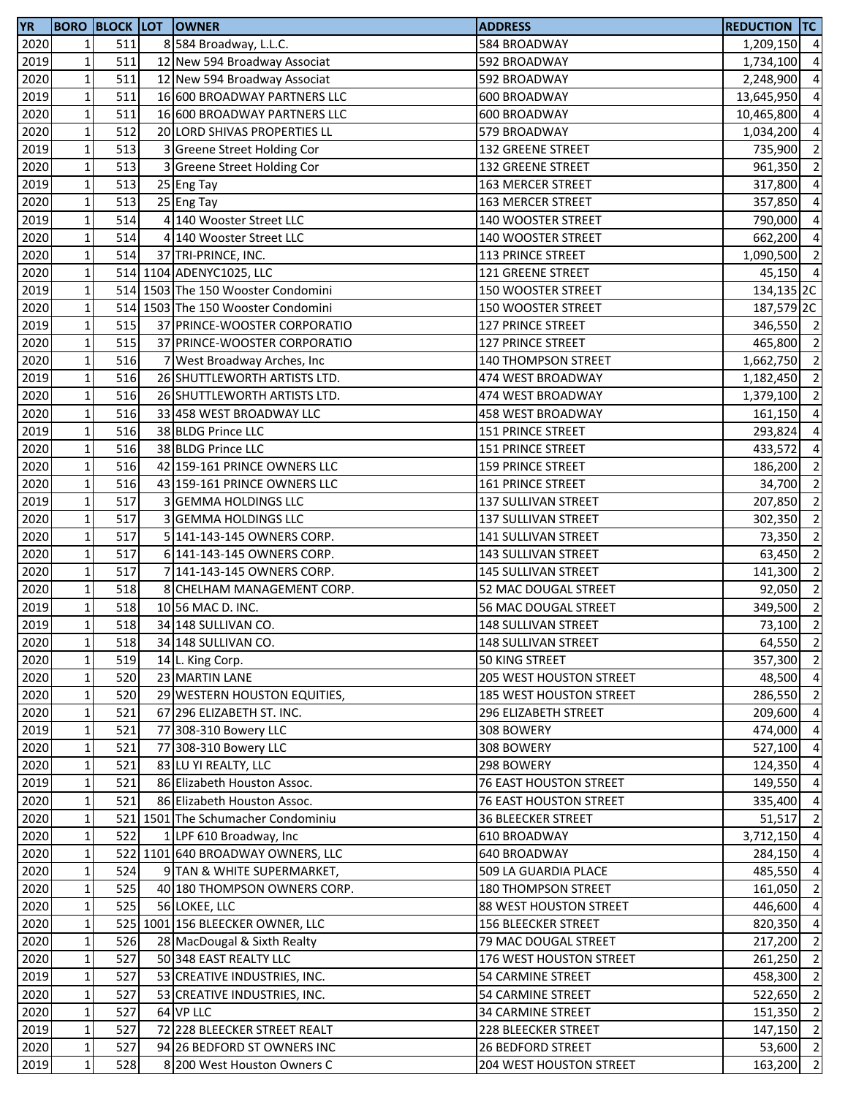| 2020<br>511<br>8 584 Broadway, L.L.C.<br>1<br>584 BROADWAY<br>1,209,150 4<br>2019<br>$\mathbf 1$<br>511<br>12 New 594 Broadway Associat<br>592 BROADWAY<br>1,734,100<br>$\mathbf 1$<br>511<br>2020<br>12 New 594 Broadway Associat<br>592 BROADWAY<br>2,248,900<br>$\mathbf 1$<br>2019<br>511<br>16 600 BROADWAY PARTNERS LLC<br>600 BROADWAY<br>13,645,950<br>$\mathbf 1$<br>511<br>2020<br>16 600 BROADWAY PARTNERS LLC<br>600 BROADWAY<br>10,465,800<br>$\mathbf 1$<br>512<br>2020<br>20 LORD SHIVAS PROPERTIES LL<br>579 BROADWAY<br>1,034,200<br>$\mathbf 1$<br>$\overline{2}$<br>2019<br>513<br>3 Greene Street Holding Cor<br>132 GREENE STREET<br>735,900<br>$\mathbf 1$<br>513<br>$\overline{2}$<br>2020<br><b>Greene Street Holding Cor</b><br>132 GREENE STREET<br>961,350<br>$\mathbf 1$<br>2019<br>513<br>$\overline{4}$<br>25 Eng Tay<br>163 MERCER STREET<br>317,800<br>$\mathbf{1}$<br>513<br>2020<br>25 Eng Tay<br>357,850<br>$\overline{4}$<br>163 MERCER STREET<br>$\mathbf 1$<br>2019<br>514<br>4 140 Wooster Street LLC<br>$\overline{4}$<br>140 WOOSTER STREET<br>790,000<br>$\mathbf 1$<br>$\overline{a}$<br>2020<br>514<br>4 140 Wooster Street LLC<br>140 WOOSTER STREET<br>662,200<br>$\mathbf 1$<br>514<br>1,090,500 2<br>2020<br>37 TRI-PRINCE, INC.<br>113 PRINCE STREET<br>$\mathbf 1$<br>2020<br>514 1104 ADENYC1025, LLC<br>45,150 4<br><b>121 GREENE STREET</b><br>$\mathbf 1$<br>514 1503 The 150 Wooster Condomini<br>2019<br>150 WOOSTER STREET<br>134,135 <sub>2C</sub><br>$\mathbf 1$<br>2020<br>514 1503 The 150 Wooster Condomini<br>187,579 <sub>2C</sub><br>150 WOOSTER STREET<br>2019<br>$\mathbf{1}$<br>346,550 2<br>515<br>37 PRINCE-WOOSTER CORPORATIO<br>127 PRINCE STREET<br>$\mathbf 1$<br>515<br>$\overline{2}$<br>2020<br>37 PRINCE-WOOSTER CORPORATIO<br>127 PRINCE STREET<br>465,800<br>$\mathbf 1$<br>$\overline{2}$<br>2020<br>516<br>7 West Broadway Arches, Inc<br>140 THOMPSON STREET<br>1,662,750<br>$\overline{2}$<br>2019<br>$\mathbf 1$<br>26 SHUTTLEWORTH ARTISTS LTD.<br>516<br>474 WEST BROADWAY<br>1,182,450<br>$\mathbf 1$<br>$\overline{2}$<br>2020<br>516<br>26 SHUTTLEWORTH ARTISTS LTD.<br>1,379,100<br>474 WEST BROADWAY<br>$\mathbf 1$<br>$\overline{4}$<br>2020<br>516<br>33 458 WEST BROADWAY LLC<br>458 WEST BROADWAY<br>161,150<br>$\mathbf 1$<br>516<br>2019<br>38 BLDG Prince LLC<br>293,824<br>$\overline{4}$<br><b>151 PRINCE STREET</b><br>$\mathbf 1$<br>2020<br>516<br>$\overline{4}$<br>38 BLDG Prince LLC<br>151 PRINCE STREET<br>433,572<br>$\mathbf 1$<br>$\overline{2}$<br>2020<br>516<br>42 159-161 PRINCE OWNERS LLC<br><b>159 PRINCE STREET</b><br>186,200<br>$\overline{2}$<br>$\mathbf 1$<br>516<br>2020<br>43 159-161 PRINCE OWNERS LLC<br><b>161 PRINCE STREET</b><br>34,700<br>$\mathbf 1$<br>517<br>$\overline{2}$<br>2019<br>3 GEMMA HOLDINGS LLC<br>137 SULLIVAN STREET<br>207,850<br>$\mathbf{1}$<br>$\overline{2}$<br>517<br>2020<br>3 GEMMA HOLDINGS LLC<br>137 SULLIVAN STREET<br>302,350<br>$\mathbf 1$<br>517<br>$\overline{2}$<br>2020<br>5 141-143-145 OWNERS CORP.<br>141 SULLIVAN STREET<br>73,350<br>$\mathbf 1$<br>$\overline{2}$<br>517<br>2020<br>6 141-143-145 OWNERS CORP.<br>143 SULLIVAN STREET<br>63,450<br>$\mathbf 1$<br>517<br>$\overline{2}$<br>2020<br>7 141-143-145 OWNERS CORP.<br>145 SULLIVAN STREET<br>141,300<br>$\mathbf 1$<br>$\overline{2}$<br>518<br>2020<br>8 CHELHAM MANAGEMENT CORP.<br>52 MAC DOUGAL STREET<br>92,050<br>$\mathbf 1$<br>518<br>2019<br>10 56 MAC D. INC.<br>56 MAC DOUGAL STREET<br>349,500<br>$\overline{2}$<br>$\mathbf 1$<br>2019<br>518<br>34 148 SULLIVAN CO.<br>148 SULLIVAN STREET<br>73,100<br>2020<br>$1\vert$<br>518<br>34 148 SULLIVAN CO.<br>148 SULLIVAN STREET<br>64,550 2<br>$\mathbf 1$<br>357,300 2<br>2020<br>519<br>50 KING STREET<br>14 L. King Corp.<br>2020<br>$\mathbf 1$<br>520<br>23 MARTIN LANE<br>205 WEST HOUSTON STREET<br>48,500<br>2020<br>$\mathbf 1$<br>286,550 2<br>520<br>29 WESTERN HOUSTON EQUITIES,<br>185 WEST HOUSTON STREET<br>$\mathbf 1$<br>2020<br>521<br>67 296 ELIZABETH ST. INC.<br>296 ELIZABETH STREET<br>209,600<br>$\mathbf 1$<br>2019<br>521<br>474,000<br>77 308-310 Bowery LLC<br>308 BOWERY<br>2020<br>$\mathbf 1$<br>521<br>77 308-310 Bowery LLC<br>308 BOWERY<br>527,100<br>2020<br>$1\vert$<br>521<br>83 LU YI REALTY, LLC<br>298 BOWERY<br>124,350<br>2019<br>$\mathbf 1$<br>521<br>86 Elizabeth Houston Assoc.<br><b>76 EAST HOUSTON STREET</b><br>149,550<br>2020<br>$\mathbf 1$<br>521<br>86 Elizabeth Houston Assoc.<br>76 EAST HOUSTON STREET<br>335,400<br>2020<br>$\mathbf 1$<br>521 1501 The Schumacher Condominiu<br>51,517<br><b>36 BLEECKER STREET</b><br>$\mathbf 1$<br>2020<br>522<br>1 LPF 610 Broadway, Inc<br>3,712,150 4<br>610 BROADWAY<br>$\mathbf 1$<br>284,150 4<br>2020<br>522 1101 640 BROADWAY OWNERS, LLC<br>640 BROADWAY<br>2020<br>$\mathbf 1$<br>524<br>9 TAN & WHITE SUPERMARKET,<br>485,550 4<br>509 LA GUARDIA PLACE<br>$\mathbf 1$<br>161,050 2<br>2020<br>525<br>40 180 THOMPSON OWNERS CORP.<br>180 THOMPSON STREET<br>2020<br>$\mathbf 1$<br>525<br>446,600 4<br>56 LOKEE, LLC<br>88 WEST HOUSTON STREET<br>$\mathbf 1$<br>2020<br>525 1001 156 BLEECKER OWNER, LLC<br>156 BLEECKER STREET<br>820,350<br>2020<br>$\mathbf 1$<br>526<br>28 MacDougal & Sixth Realty<br>79 MAC DOUGAL STREET<br>217,200<br>261,250 2<br>$\mathbf 1$<br>2020<br>527<br>50 348 EAST REALTY LLC<br>176 WEST HOUSTON STREET<br>$\mathbf 1$<br>527<br>458,300 2<br>2019<br>53 CREATIVE INDUSTRIES, INC.<br>54 CARMINE STREET<br>$\mathbf 1$<br>522,650 2<br>527<br>2020<br>53 CREATIVE INDUSTRIES, INC.<br>54 CARMINE STREET<br>$\mathbf 1$<br>527<br>151,350 2<br>2020<br>64 VP LLC<br><b>34 CARMINE STREET</b><br>$\mathbf 1$<br>147,150 2<br>527<br>2019<br>72 228 BLEECKER STREET REALT<br>228 BLEECKER STREET<br>$1\vert$<br>53,600 2<br>2020<br>527<br>94 26 BEDFORD ST OWNERS INC<br><b>26 BEDFORD STREET</b><br>$1\vert$<br>$163,200$ 2<br>2019<br>528<br>8 200 West Houston Owners C<br>204 WEST HOUSTON STREET | <b>YR</b> |  | <b>BORO BLOCK LOT OWNER</b> | <b>ADDRESS</b> | <b>REDUCTION TC</b> |                |
|------------------------------------------------------------------------------------------------------------------------------------------------------------------------------------------------------------------------------------------------------------------------------------------------------------------------------------------------------------------------------------------------------------------------------------------------------------------------------------------------------------------------------------------------------------------------------------------------------------------------------------------------------------------------------------------------------------------------------------------------------------------------------------------------------------------------------------------------------------------------------------------------------------------------------------------------------------------------------------------------------------------------------------------------------------------------------------------------------------------------------------------------------------------------------------------------------------------------------------------------------------------------------------------------------------------------------------------------------------------------------------------------------------------------------------------------------------------------------------------------------------------------------------------------------------------------------------------------------------------------------------------------------------------------------------------------------------------------------------------------------------------------------------------------------------------------------------------------------------------------------------------------------------------------------------------------------------------------------------------------------------------------------------------------------------------------------------------------------------------------------------------------------------------------------------------------------------------------------------------------------------------------------------------------------------------------------------------------------------------------------------------------------------------------------------------------------------------------------------------------------------------------------------------------------------------------------------------------------------------------------------------------------------------------------------------------------------------------------------------------------------------------------------------------------------------------------------------------------------------------------------------------------------------------------------------------------------------------------------------------------------------------------------------------------------------------------------------------------------------------------------------------------------------------------------------------------------------------------------------------------------------------------------------------------------------------------------------------------------------------------------------------------------------------------------------------------------------------------------------------------------------------------------------------------------------------------------------------------------------------------------------------------------------------------------------------------------------------------------------------------------------------------------------------------------------------------------------------------------------------------------------------------------------------------------------------------------------------------------------------------------------------------------------------------------------------------------------------------------------------------------------------------------------------------------------------------------------------------------------------------------------------------------------------------------------------------------------------------------------------------------------------------------------------------------------------------------------------------------------------------------------------------------------------------------------------------------------------------------------------------------------------------------------------------------------------------------------------------------------------------------------------------------------------------------------------------------------------------------------------------------------------------------------------------------------------------------------------------------------------------------------------------------------------------------------------------------------------------------------------------------------------------------------------------------------------------------------------------------------------------------------------------------------------------------------------------------------------------------------------------------------------------------------------------------------------------------------------------------------------------------------------------------------------------------------------------------------------------------------------------------------------------------------------------------------------------------------------------------------------------------------------------------------------------------------------------------------------------------------------------------------------------------------------------------------------------------------------------------------------------------------------------------------------------------|-----------|--|-----------------------------|----------------|---------------------|----------------|
|                                                                                                                                                                                                                                                                                                                                                                                                                                                                                                                                                                                                                                                                                                                                                                                                                                                                                                                                                                                                                                                                                                                                                                                                                                                                                                                                                                                                                                                                                                                                                                                                                                                                                                                                                                                                                                                                                                                                                                                                                                                                                                                                                                                                                                                                                                                                                                                                                                                                                                                                                                                                                                                                                                                                                                                                                                                                                                                                                                                                                                                                                                                                                                                                                                                                                                                                                                                                                                                                                                                                                                                                                                                                                                                                                                                                                                                                                                                                                                                                                                                                                                                                                                                                                                                                                                                                                                                                                                                                                                                                                                                                                                                                                                                                                                                                                                                                                                                                                                                                                                                                                                                                                                                                                                                                                                                                                                                                                                                                                                                                                                                                                                                                                                                                                                                                                                                                                                                                                                                                                                                            |           |  |                             |                |                     |                |
|                                                                                                                                                                                                                                                                                                                                                                                                                                                                                                                                                                                                                                                                                                                                                                                                                                                                                                                                                                                                                                                                                                                                                                                                                                                                                                                                                                                                                                                                                                                                                                                                                                                                                                                                                                                                                                                                                                                                                                                                                                                                                                                                                                                                                                                                                                                                                                                                                                                                                                                                                                                                                                                                                                                                                                                                                                                                                                                                                                                                                                                                                                                                                                                                                                                                                                                                                                                                                                                                                                                                                                                                                                                                                                                                                                                                                                                                                                                                                                                                                                                                                                                                                                                                                                                                                                                                                                                                                                                                                                                                                                                                                                                                                                                                                                                                                                                                                                                                                                                                                                                                                                                                                                                                                                                                                                                                                                                                                                                                                                                                                                                                                                                                                                                                                                                                                                                                                                                                                                                                                                                            |           |  |                             |                |                     | $\overline{a}$ |
|                                                                                                                                                                                                                                                                                                                                                                                                                                                                                                                                                                                                                                                                                                                                                                                                                                                                                                                                                                                                                                                                                                                                                                                                                                                                                                                                                                                                                                                                                                                                                                                                                                                                                                                                                                                                                                                                                                                                                                                                                                                                                                                                                                                                                                                                                                                                                                                                                                                                                                                                                                                                                                                                                                                                                                                                                                                                                                                                                                                                                                                                                                                                                                                                                                                                                                                                                                                                                                                                                                                                                                                                                                                                                                                                                                                                                                                                                                                                                                                                                                                                                                                                                                                                                                                                                                                                                                                                                                                                                                                                                                                                                                                                                                                                                                                                                                                                                                                                                                                                                                                                                                                                                                                                                                                                                                                                                                                                                                                                                                                                                                                                                                                                                                                                                                                                                                                                                                                                                                                                                                                            |           |  |                             |                |                     | $\overline{4}$ |
|                                                                                                                                                                                                                                                                                                                                                                                                                                                                                                                                                                                                                                                                                                                                                                                                                                                                                                                                                                                                                                                                                                                                                                                                                                                                                                                                                                                                                                                                                                                                                                                                                                                                                                                                                                                                                                                                                                                                                                                                                                                                                                                                                                                                                                                                                                                                                                                                                                                                                                                                                                                                                                                                                                                                                                                                                                                                                                                                                                                                                                                                                                                                                                                                                                                                                                                                                                                                                                                                                                                                                                                                                                                                                                                                                                                                                                                                                                                                                                                                                                                                                                                                                                                                                                                                                                                                                                                                                                                                                                                                                                                                                                                                                                                                                                                                                                                                                                                                                                                                                                                                                                                                                                                                                                                                                                                                                                                                                                                                                                                                                                                                                                                                                                                                                                                                                                                                                                                                                                                                                                                            |           |  |                             |                |                     | $\overline{4}$ |
|                                                                                                                                                                                                                                                                                                                                                                                                                                                                                                                                                                                                                                                                                                                                                                                                                                                                                                                                                                                                                                                                                                                                                                                                                                                                                                                                                                                                                                                                                                                                                                                                                                                                                                                                                                                                                                                                                                                                                                                                                                                                                                                                                                                                                                                                                                                                                                                                                                                                                                                                                                                                                                                                                                                                                                                                                                                                                                                                                                                                                                                                                                                                                                                                                                                                                                                                                                                                                                                                                                                                                                                                                                                                                                                                                                                                                                                                                                                                                                                                                                                                                                                                                                                                                                                                                                                                                                                                                                                                                                                                                                                                                                                                                                                                                                                                                                                                                                                                                                                                                                                                                                                                                                                                                                                                                                                                                                                                                                                                                                                                                                                                                                                                                                                                                                                                                                                                                                                                                                                                                                                            |           |  |                             |                |                     | $\overline{4}$ |
|                                                                                                                                                                                                                                                                                                                                                                                                                                                                                                                                                                                                                                                                                                                                                                                                                                                                                                                                                                                                                                                                                                                                                                                                                                                                                                                                                                                                                                                                                                                                                                                                                                                                                                                                                                                                                                                                                                                                                                                                                                                                                                                                                                                                                                                                                                                                                                                                                                                                                                                                                                                                                                                                                                                                                                                                                                                                                                                                                                                                                                                                                                                                                                                                                                                                                                                                                                                                                                                                                                                                                                                                                                                                                                                                                                                                                                                                                                                                                                                                                                                                                                                                                                                                                                                                                                                                                                                                                                                                                                                                                                                                                                                                                                                                                                                                                                                                                                                                                                                                                                                                                                                                                                                                                                                                                                                                                                                                                                                                                                                                                                                                                                                                                                                                                                                                                                                                                                                                                                                                                                                            |           |  |                             |                |                     | $\overline{4}$ |
|                                                                                                                                                                                                                                                                                                                                                                                                                                                                                                                                                                                                                                                                                                                                                                                                                                                                                                                                                                                                                                                                                                                                                                                                                                                                                                                                                                                                                                                                                                                                                                                                                                                                                                                                                                                                                                                                                                                                                                                                                                                                                                                                                                                                                                                                                                                                                                                                                                                                                                                                                                                                                                                                                                                                                                                                                                                                                                                                                                                                                                                                                                                                                                                                                                                                                                                                                                                                                                                                                                                                                                                                                                                                                                                                                                                                                                                                                                                                                                                                                                                                                                                                                                                                                                                                                                                                                                                                                                                                                                                                                                                                                                                                                                                                                                                                                                                                                                                                                                                                                                                                                                                                                                                                                                                                                                                                                                                                                                                                                                                                                                                                                                                                                                                                                                                                                                                                                                                                                                                                                                                            |           |  |                             |                |                     |                |
|                                                                                                                                                                                                                                                                                                                                                                                                                                                                                                                                                                                                                                                                                                                                                                                                                                                                                                                                                                                                                                                                                                                                                                                                                                                                                                                                                                                                                                                                                                                                                                                                                                                                                                                                                                                                                                                                                                                                                                                                                                                                                                                                                                                                                                                                                                                                                                                                                                                                                                                                                                                                                                                                                                                                                                                                                                                                                                                                                                                                                                                                                                                                                                                                                                                                                                                                                                                                                                                                                                                                                                                                                                                                                                                                                                                                                                                                                                                                                                                                                                                                                                                                                                                                                                                                                                                                                                                                                                                                                                                                                                                                                                                                                                                                                                                                                                                                                                                                                                                                                                                                                                                                                                                                                                                                                                                                                                                                                                                                                                                                                                                                                                                                                                                                                                                                                                                                                                                                                                                                                                                            |           |  |                             |                |                     |                |
|                                                                                                                                                                                                                                                                                                                                                                                                                                                                                                                                                                                                                                                                                                                                                                                                                                                                                                                                                                                                                                                                                                                                                                                                                                                                                                                                                                                                                                                                                                                                                                                                                                                                                                                                                                                                                                                                                                                                                                                                                                                                                                                                                                                                                                                                                                                                                                                                                                                                                                                                                                                                                                                                                                                                                                                                                                                                                                                                                                                                                                                                                                                                                                                                                                                                                                                                                                                                                                                                                                                                                                                                                                                                                                                                                                                                                                                                                                                                                                                                                                                                                                                                                                                                                                                                                                                                                                                                                                                                                                                                                                                                                                                                                                                                                                                                                                                                                                                                                                                                                                                                                                                                                                                                                                                                                                                                                                                                                                                                                                                                                                                                                                                                                                                                                                                                                                                                                                                                                                                                                                                            |           |  |                             |                |                     |                |
|                                                                                                                                                                                                                                                                                                                                                                                                                                                                                                                                                                                                                                                                                                                                                                                                                                                                                                                                                                                                                                                                                                                                                                                                                                                                                                                                                                                                                                                                                                                                                                                                                                                                                                                                                                                                                                                                                                                                                                                                                                                                                                                                                                                                                                                                                                                                                                                                                                                                                                                                                                                                                                                                                                                                                                                                                                                                                                                                                                                                                                                                                                                                                                                                                                                                                                                                                                                                                                                                                                                                                                                                                                                                                                                                                                                                                                                                                                                                                                                                                                                                                                                                                                                                                                                                                                                                                                                                                                                                                                                                                                                                                                                                                                                                                                                                                                                                                                                                                                                                                                                                                                                                                                                                                                                                                                                                                                                                                                                                                                                                                                                                                                                                                                                                                                                                                                                                                                                                                                                                                                                            |           |  |                             |                |                     |                |
|                                                                                                                                                                                                                                                                                                                                                                                                                                                                                                                                                                                                                                                                                                                                                                                                                                                                                                                                                                                                                                                                                                                                                                                                                                                                                                                                                                                                                                                                                                                                                                                                                                                                                                                                                                                                                                                                                                                                                                                                                                                                                                                                                                                                                                                                                                                                                                                                                                                                                                                                                                                                                                                                                                                                                                                                                                                                                                                                                                                                                                                                                                                                                                                                                                                                                                                                                                                                                                                                                                                                                                                                                                                                                                                                                                                                                                                                                                                                                                                                                                                                                                                                                                                                                                                                                                                                                                                                                                                                                                                                                                                                                                                                                                                                                                                                                                                                                                                                                                                                                                                                                                                                                                                                                                                                                                                                                                                                                                                                                                                                                                                                                                                                                                                                                                                                                                                                                                                                                                                                                                                            |           |  |                             |                |                     |                |
|                                                                                                                                                                                                                                                                                                                                                                                                                                                                                                                                                                                                                                                                                                                                                                                                                                                                                                                                                                                                                                                                                                                                                                                                                                                                                                                                                                                                                                                                                                                                                                                                                                                                                                                                                                                                                                                                                                                                                                                                                                                                                                                                                                                                                                                                                                                                                                                                                                                                                                                                                                                                                                                                                                                                                                                                                                                                                                                                                                                                                                                                                                                                                                                                                                                                                                                                                                                                                                                                                                                                                                                                                                                                                                                                                                                                                                                                                                                                                                                                                                                                                                                                                                                                                                                                                                                                                                                                                                                                                                                                                                                                                                                                                                                                                                                                                                                                                                                                                                                                                                                                                                                                                                                                                                                                                                                                                                                                                                                                                                                                                                                                                                                                                                                                                                                                                                                                                                                                                                                                                                                            |           |  |                             |                |                     |                |
|                                                                                                                                                                                                                                                                                                                                                                                                                                                                                                                                                                                                                                                                                                                                                                                                                                                                                                                                                                                                                                                                                                                                                                                                                                                                                                                                                                                                                                                                                                                                                                                                                                                                                                                                                                                                                                                                                                                                                                                                                                                                                                                                                                                                                                                                                                                                                                                                                                                                                                                                                                                                                                                                                                                                                                                                                                                                                                                                                                                                                                                                                                                                                                                                                                                                                                                                                                                                                                                                                                                                                                                                                                                                                                                                                                                                                                                                                                                                                                                                                                                                                                                                                                                                                                                                                                                                                                                                                                                                                                                                                                                                                                                                                                                                                                                                                                                                                                                                                                                                                                                                                                                                                                                                                                                                                                                                                                                                                                                                                                                                                                                                                                                                                                                                                                                                                                                                                                                                                                                                                                                            |           |  |                             |                |                     |                |
|                                                                                                                                                                                                                                                                                                                                                                                                                                                                                                                                                                                                                                                                                                                                                                                                                                                                                                                                                                                                                                                                                                                                                                                                                                                                                                                                                                                                                                                                                                                                                                                                                                                                                                                                                                                                                                                                                                                                                                                                                                                                                                                                                                                                                                                                                                                                                                                                                                                                                                                                                                                                                                                                                                                                                                                                                                                                                                                                                                                                                                                                                                                                                                                                                                                                                                                                                                                                                                                                                                                                                                                                                                                                                                                                                                                                                                                                                                                                                                                                                                                                                                                                                                                                                                                                                                                                                                                                                                                                                                                                                                                                                                                                                                                                                                                                                                                                                                                                                                                                                                                                                                                                                                                                                                                                                                                                                                                                                                                                                                                                                                                                                                                                                                                                                                                                                                                                                                                                                                                                                                                            |           |  |                             |                |                     |                |
|                                                                                                                                                                                                                                                                                                                                                                                                                                                                                                                                                                                                                                                                                                                                                                                                                                                                                                                                                                                                                                                                                                                                                                                                                                                                                                                                                                                                                                                                                                                                                                                                                                                                                                                                                                                                                                                                                                                                                                                                                                                                                                                                                                                                                                                                                                                                                                                                                                                                                                                                                                                                                                                                                                                                                                                                                                                                                                                                                                                                                                                                                                                                                                                                                                                                                                                                                                                                                                                                                                                                                                                                                                                                                                                                                                                                                                                                                                                                                                                                                                                                                                                                                                                                                                                                                                                                                                                                                                                                                                                                                                                                                                                                                                                                                                                                                                                                                                                                                                                                                                                                                                                                                                                                                                                                                                                                                                                                                                                                                                                                                                                                                                                                                                                                                                                                                                                                                                                                                                                                                                                            |           |  |                             |                |                     |                |
|                                                                                                                                                                                                                                                                                                                                                                                                                                                                                                                                                                                                                                                                                                                                                                                                                                                                                                                                                                                                                                                                                                                                                                                                                                                                                                                                                                                                                                                                                                                                                                                                                                                                                                                                                                                                                                                                                                                                                                                                                                                                                                                                                                                                                                                                                                                                                                                                                                                                                                                                                                                                                                                                                                                                                                                                                                                                                                                                                                                                                                                                                                                                                                                                                                                                                                                                                                                                                                                                                                                                                                                                                                                                                                                                                                                                                                                                                                                                                                                                                                                                                                                                                                                                                                                                                                                                                                                                                                                                                                                                                                                                                                                                                                                                                                                                                                                                                                                                                                                                                                                                                                                                                                                                                                                                                                                                                                                                                                                                                                                                                                                                                                                                                                                                                                                                                                                                                                                                                                                                                                                            |           |  |                             |                |                     |                |
|                                                                                                                                                                                                                                                                                                                                                                                                                                                                                                                                                                                                                                                                                                                                                                                                                                                                                                                                                                                                                                                                                                                                                                                                                                                                                                                                                                                                                                                                                                                                                                                                                                                                                                                                                                                                                                                                                                                                                                                                                                                                                                                                                                                                                                                                                                                                                                                                                                                                                                                                                                                                                                                                                                                                                                                                                                                                                                                                                                                                                                                                                                                                                                                                                                                                                                                                                                                                                                                                                                                                                                                                                                                                                                                                                                                                                                                                                                                                                                                                                                                                                                                                                                                                                                                                                                                                                                                                                                                                                                                                                                                                                                                                                                                                                                                                                                                                                                                                                                                                                                                                                                                                                                                                                                                                                                                                                                                                                                                                                                                                                                                                                                                                                                                                                                                                                                                                                                                                                                                                                                                            |           |  |                             |                |                     |                |
|                                                                                                                                                                                                                                                                                                                                                                                                                                                                                                                                                                                                                                                                                                                                                                                                                                                                                                                                                                                                                                                                                                                                                                                                                                                                                                                                                                                                                                                                                                                                                                                                                                                                                                                                                                                                                                                                                                                                                                                                                                                                                                                                                                                                                                                                                                                                                                                                                                                                                                                                                                                                                                                                                                                                                                                                                                                                                                                                                                                                                                                                                                                                                                                                                                                                                                                                                                                                                                                                                                                                                                                                                                                                                                                                                                                                                                                                                                                                                                                                                                                                                                                                                                                                                                                                                                                                                                                                                                                                                                                                                                                                                                                                                                                                                                                                                                                                                                                                                                                                                                                                                                                                                                                                                                                                                                                                                                                                                                                                                                                                                                                                                                                                                                                                                                                                                                                                                                                                                                                                                                                            |           |  |                             |                |                     |                |
|                                                                                                                                                                                                                                                                                                                                                                                                                                                                                                                                                                                                                                                                                                                                                                                                                                                                                                                                                                                                                                                                                                                                                                                                                                                                                                                                                                                                                                                                                                                                                                                                                                                                                                                                                                                                                                                                                                                                                                                                                                                                                                                                                                                                                                                                                                                                                                                                                                                                                                                                                                                                                                                                                                                                                                                                                                                                                                                                                                                                                                                                                                                                                                                                                                                                                                                                                                                                                                                                                                                                                                                                                                                                                                                                                                                                                                                                                                                                                                                                                                                                                                                                                                                                                                                                                                                                                                                                                                                                                                                                                                                                                                                                                                                                                                                                                                                                                                                                                                                                                                                                                                                                                                                                                                                                                                                                                                                                                                                                                                                                                                                                                                                                                                                                                                                                                                                                                                                                                                                                                                                            |           |  |                             |                |                     |                |
|                                                                                                                                                                                                                                                                                                                                                                                                                                                                                                                                                                                                                                                                                                                                                                                                                                                                                                                                                                                                                                                                                                                                                                                                                                                                                                                                                                                                                                                                                                                                                                                                                                                                                                                                                                                                                                                                                                                                                                                                                                                                                                                                                                                                                                                                                                                                                                                                                                                                                                                                                                                                                                                                                                                                                                                                                                                                                                                                                                                                                                                                                                                                                                                                                                                                                                                                                                                                                                                                                                                                                                                                                                                                                                                                                                                                                                                                                                                                                                                                                                                                                                                                                                                                                                                                                                                                                                                                                                                                                                                                                                                                                                                                                                                                                                                                                                                                                                                                                                                                                                                                                                                                                                                                                                                                                                                                                                                                                                                                                                                                                                                                                                                                                                                                                                                                                                                                                                                                                                                                                                                            |           |  |                             |                |                     |                |
|                                                                                                                                                                                                                                                                                                                                                                                                                                                                                                                                                                                                                                                                                                                                                                                                                                                                                                                                                                                                                                                                                                                                                                                                                                                                                                                                                                                                                                                                                                                                                                                                                                                                                                                                                                                                                                                                                                                                                                                                                                                                                                                                                                                                                                                                                                                                                                                                                                                                                                                                                                                                                                                                                                                                                                                                                                                                                                                                                                                                                                                                                                                                                                                                                                                                                                                                                                                                                                                                                                                                                                                                                                                                                                                                                                                                                                                                                                                                                                                                                                                                                                                                                                                                                                                                                                                                                                                                                                                                                                                                                                                                                                                                                                                                                                                                                                                                                                                                                                                                                                                                                                                                                                                                                                                                                                                                                                                                                                                                                                                                                                                                                                                                                                                                                                                                                                                                                                                                                                                                                                                            |           |  |                             |                |                     |                |
|                                                                                                                                                                                                                                                                                                                                                                                                                                                                                                                                                                                                                                                                                                                                                                                                                                                                                                                                                                                                                                                                                                                                                                                                                                                                                                                                                                                                                                                                                                                                                                                                                                                                                                                                                                                                                                                                                                                                                                                                                                                                                                                                                                                                                                                                                                                                                                                                                                                                                                                                                                                                                                                                                                                                                                                                                                                                                                                                                                                                                                                                                                                                                                                                                                                                                                                                                                                                                                                                                                                                                                                                                                                                                                                                                                                                                                                                                                                                                                                                                                                                                                                                                                                                                                                                                                                                                                                                                                                                                                                                                                                                                                                                                                                                                                                                                                                                                                                                                                                                                                                                                                                                                                                                                                                                                                                                                                                                                                                                                                                                                                                                                                                                                                                                                                                                                                                                                                                                                                                                                                                            |           |  |                             |                |                     |                |
|                                                                                                                                                                                                                                                                                                                                                                                                                                                                                                                                                                                                                                                                                                                                                                                                                                                                                                                                                                                                                                                                                                                                                                                                                                                                                                                                                                                                                                                                                                                                                                                                                                                                                                                                                                                                                                                                                                                                                                                                                                                                                                                                                                                                                                                                                                                                                                                                                                                                                                                                                                                                                                                                                                                                                                                                                                                                                                                                                                                                                                                                                                                                                                                                                                                                                                                                                                                                                                                                                                                                                                                                                                                                                                                                                                                                                                                                                                                                                                                                                                                                                                                                                                                                                                                                                                                                                                                                                                                                                                                                                                                                                                                                                                                                                                                                                                                                                                                                                                                                                                                                                                                                                                                                                                                                                                                                                                                                                                                                                                                                                                                                                                                                                                                                                                                                                                                                                                                                                                                                                                                            |           |  |                             |                |                     |                |
|                                                                                                                                                                                                                                                                                                                                                                                                                                                                                                                                                                                                                                                                                                                                                                                                                                                                                                                                                                                                                                                                                                                                                                                                                                                                                                                                                                                                                                                                                                                                                                                                                                                                                                                                                                                                                                                                                                                                                                                                                                                                                                                                                                                                                                                                                                                                                                                                                                                                                                                                                                                                                                                                                                                                                                                                                                                                                                                                                                                                                                                                                                                                                                                                                                                                                                                                                                                                                                                                                                                                                                                                                                                                                                                                                                                                                                                                                                                                                                                                                                                                                                                                                                                                                                                                                                                                                                                                                                                                                                                                                                                                                                                                                                                                                                                                                                                                                                                                                                                                                                                                                                                                                                                                                                                                                                                                                                                                                                                                                                                                                                                                                                                                                                                                                                                                                                                                                                                                                                                                                                                            |           |  |                             |                |                     |                |
|                                                                                                                                                                                                                                                                                                                                                                                                                                                                                                                                                                                                                                                                                                                                                                                                                                                                                                                                                                                                                                                                                                                                                                                                                                                                                                                                                                                                                                                                                                                                                                                                                                                                                                                                                                                                                                                                                                                                                                                                                                                                                                                                                                                                                                                                                                                                                                                                                                                                                                                                                                                                                                                                                                                                                                                                                                                                                                                                                                                                                                                                                                                                                                                                                                                                                                                                                                                                                                                                                                                                                                                                                                                                                                                                                                                                                                                                                                                                                                                                                                                                                                                                                                                                                                                                                                                                                                                                                                                                                                                                                                                                                                                                                                                                                                                                                                                                                                                                                                                                                                                                                                                                                                                                                                                                                                                                                                                                                                                                                                                                                                                                                                                                                                                                                                                                                                                                                                                                                                                                                                                            |           |  |                             |                |                     |                |
|                                                                                                                                                                                                                                                                                                                                                                                                                                                                                                                                                                                                                                                                                                                                                                                                                                                                                                                                                                                                                                                                                                                                                                                                                                                                                                                                                                                                                                                                                                                                                                                                                                                                                                                                                                                                                                                                                                                                                                                                                                                                                                                                                                                                                                                                                                                                                                                                                                                                                                                                                                                                                                                                                                                                                                                                                                                                                                                                                                                                                                                                                                                                                                                                                                                                                                                                                                                                                                                                                                                                                                                                                                                                                                                                                                                                                                                                                                                                                                                                                                                                                                                                                                                                                                                                                                                                                                                                                                                                                                                                                                                                                                                                                                                                                                                                                                                                                                                                                                                                                                                                                                                                                                                                                                                                                                                                                                                                                                                                                                                                                                                                                                                                                                                                                                                                                                                                                                                                                                                                                                                            |           |  |                             |                |                     |                |
|                                                                                                                                                                                                                                                                                                                                                                                                                                                                                                                                                                                                                                                                                                                                                                                                                                                                                                                                                                                                                                                                                                                                                                                                                                                                                                                                                                                                                                                                                                                                                                                                                                                                                                                                                                                                                                                                                                                                                                                                                                                                                                                                                                                                                                                                                                                                                                                                                                                                                                                                                                                                                                                                                                                                                                                                                                                                                                                                                                                                                                                                                                                                                                                                                                                                                                                                                                                                                                                                                                                                                                                                                                                                                                                                                                                                                                                                                                                                                                                                                                                                                                                                                                                                                                                                                                                                                                                                                                                                                                                                                                                                                                                                                                                                                                                                                                                                                                                                                                                                                                                                                                                                                                                                                                                                                                                                                                                                                                                                                                                                                                                                                                                                                                                                                                                                                                                                                                                                                                                                                                                            |           |  |                             |                |                     |                |
|                                                                                                                                                                                                                                                                                                                                                                                                                                                                                                                                                                                                                                                                                                                                                                                                                                                                                                                                                                                                                                                                                                                                                                                                                                                                                                                                                                                                                                                                                                                                                                                                                                                                                                                                                                                                                                                                                                                                                                                                                                                                                                                                                                                                                                                                                                                                                                                                                                                                                                                                                                                                                                                                                                                                                                                                                                                                                                                                                                                                                                                                                                                                                                                                                                                                                                                                                                                                                                                                                                                                                                                                                                                                                                                                                                                                                                                                                                                                                                                                                                                                                                                                                                                                                                                                                                                                                                                                                                                                                                                                                                                                                                                                                                                                                                                                                                                                                                                                                                                                                                                                                                                                                                                                                                                                                                                                                                                                                                                                                                                                                                                                                                                                                                                                                                                                                                                                                                                                                                                                                                                            |           |  |                             |                |                     |                |
|                                                                                                                                                                                                                                                                                                                                                                                                                                                                                                                                                                                                                                                                                                                                                                                                                                                                                                                                                                                                                                                                                                                                                                                                                                                                                                                                                                                                                                                                                                                                                                                                                                                                                                                                                                                                                                                                                                                                                                                                                                                                                                                                                                                                                                                                                                                                                                                                                                                                                                                                                                                                                                                                                                                                                                                                                                                                                                                                                                                                                                                                                                                                                                                                                                                                                                                                                                                                                                                                                                                                                                                                                                                                                                                                                                                                                                                                                                                                                                                                                                                                                                                                                                                                                                                                                                                                                                                                                                                                                                                                                                                                                                                                                                                                                                                                                                                                                                                                                                                                                                                                                                                                                                                                                                                                                                                                                                                                                                                                                                                                                                                                                                                                                                                                                                                                                                                                                                                                                                                                                                                            |           |  |                             |                |                     |                |
|                                                                                                                                                                                                                                                                                                                                                                                                                                                                                                                                                                                                                                                                                                                                                                                                                                                                                                                                                                                                                                                                                                                                                                                                                                                                                                                                                                                                                                                                                                                                                                                                                                                                                                                                                                                                                                                                                                                                                                                                                                                                                                                                                                                                                                                                                                                                                                                                                                                                                                                                                                                                                                                                                                                                                                                                                                                                                                                                                                                                                                                                                                                                                                                                                                                                                                                                                                                                                                                                                                                                                                                                                                                                                                                                                                                                                                                                                                                                                                                                                                                                                                                                                                                                                                                                                                                                                                                                                                                                                                                                                                                                                                                                                                                                                                                                                                                                                                                                                                                                                                                                                                                                                                                                                                                                                                                                                                                                                                                                                                                                                                                                                                                                                                                                                                                                                                                                                                                                                                                                                                                            |           |  |                             |                |                     |                |
|                                                                                                                                                                                                                                                                                                                                                                                                                                                                                                                                                                                                                                                                                                                                                                                                                                                                                                                                                                                                                                                                                                                                                                                                                                                                                                                                                                                                                                                                                                                                                                                                                                                                                                                                                                                                                                                                                                                                                                                                                                                                                                                                                                                                                                                                                                                                                                                                                                                                                                                                                                                                                                                                                                                                                                                                                                                                                                                                                                                                                                                                                                                                                                                                                                                                                                                                                                                                                                                                                                                                                                                                                                                                                                                                                                                                                                                                                                                                                                                                                                                                                                                                                                                                                                                                                                                                                                                                                                                                                                                                                                                                                                                                                                                                                                                                                                                                                                                                                                                                                                                                                                                                                                                                                                                                                                                                                                                                                                                                                                                                                                                                                                                                                                                                                                                                                                                                                                                                                                                                                                                            |           |  |                             |                |                     |                |
|                                                                                                                                                                                                                                                                                                                                                                                                                                                                                                                                                                                                                                                                                                                                                                                                                                                                                                                                                                                                                                                                                                                                                                                                                                                                                                                                                                                                                                                                                                                                                                                                                                                                                                                                                                                                                                                                                                                                                                                                                                                                                                                                                                                                                                                                                                                                                                                                                                                                                                                                                                                                                                                                                                                                                                                                                                                                                                                                                                                                                                                                                                                                                                                                                                                                                                                                                                                                                                                                                                                                                                                                                                                                                                                                                                                                                                                                                                                                                                                                                                                                                                                                                                                                                                                                                                                                                                                                                                                                                                                                                                                                                                                                                                                                                                                                                                                                                                                                                                                                                                                                                                                                                                                                                                                                                                                                                                                                                                                                                                                                                                                                                                                                                                                                                                                                                                                                                                                                                                                                                                                            |           |  |                             |                |                     |                |
|                                                                                                                                                                                                                                                                                                                                                                                                                                                                                                                                                                                                                                                                                                                                                                                                                                                                                                                                                                                                                                                                                                                                                                                                                                                                                                                                                                                                                                                                                                                                                                                                                                                                                                                                                                                                                                                                                                                                                                                                                                                                                                                                                                                                                                                                                                                                                                                                                                                                                                                                                                                                                                                                                                                                                                                                                                                                                                                                                                                                                                                                                                                                                                                                                                                                                                                                                                                                                                                                                                                                                                                                                                                                                                                                                                                                                                                                                                                                                                                                                                                                                                                                                                                                                                                                                                                                                                                                                                                                                                                                                                                                                                                                                                                                                                                                                                                                                                                                                                                                                                                                                                                                                                                                                                                                                                                                                                                                                                                                                                                                                                                                                                                                                                                                                                                                                                                                                                                                                                                                                                                            |           |  |                             |                |                     |                |
|                                                                                                                                                                                                                                                                                                                                                                                                                                                                                                                                                                                                                                                                                                                                                                                                                                                                                                                                                                                                                                                                                                                                                                                                                                                                                                                                                                                                                                                                                                                                                                                                                                                                                                                                                                                                                                                                                                                                                                                                                                                                                                                                                                                                                                                                                                                                                                                                                                                                                                                                                                                                                                                                                                                                                                                                                                                                                                                                                                                                                                                                                                                                                                                                                                                                                                                                                                                                                                                                                                                                                                                                                                                                                                                                                                                                                                                                                                                                                                                                                                                                                                                                                                                                                                                                                                                                                                                                                                                                                                                                                                                                                                                                                                                                                                                                                                                                                                                                                                                                                                                                                                                                                                                                                                                                                                                                                                                                                                                                                                                                                                                                                                                                                                                                                                                                                                                                                                                                                                                                                                                            |           |  |                             |                |                     | $\overline{2}$ |
|                                                                                                                                                                                                                                                                                                                                                                                                                                                                                                                                                                                                                                                                                                                                                                                                                                                                                                                                                                                                                                                                                                                                                                                                                                                                                                                                                                                                                                                                                                                                                                                                                                                                                                                                                                                                                                                                                                                                                                                                                                                                                                                                                                                                                                                                                                                                                                                                                                                                                                                                                                                                                                                                                                                                                                                                                                                                                                                                                                                                                                                                                                                                                                                                                                                                                                                                                                                                                                                                                                                                                                                                                                                                                                                                                                                                                                                                                                                                                                                                                                                                                                                                                                                                                                                                                                                                                                                                                                                                                                                                                                                                                                                                                                                                                                                                                                                                                                                                                                                                                                                                                                                                                                                                                                                                                                                                                                                                                                                                                                                                                                                                                                                                                                                                                                                                                                                                                                                                                                                                                                                            |           |  |                             |                |                     |                |
|                                                                                                                                                                                                                                                                                                                                                                                                                                                                                                                                                                                                                                                                                                                                                                                                                                                                                                                                                                                                                                                                                                                                                                                                                                                                                                                                                                                                                                                                                                                                                                                                                                                                                                                                                                                                                                                                                                                                                                                                                                                                                                                                                                                                                                                                                                                                                                                                                                                                                                                                                                                                                                                                                                                                                                                                                                                                                                                                                                                                                                                                                                                                                                                                                                                                                                                                                                                                                                                                                                                                                                                                                                                                                                                                                                                                                                                                                                                                                                                                                                                                                                                                                                                                                                                                                                                                                                                                                                                                                                                                                                                                                                                                                                                                                                                                                                                                                                                                                                                                                                                                                                                                                                                                                                                                                                                                                                                                                                                                                                                                                                                                                                                                                                                                                                                                                                                                                                                                                                                                                                                            |           |  |                             |                |                     |                |
|                                                                                                                                                                                                                                                                                                                                                                                                                                                                                                                                                                                                                                                                                                                                                                                                                                                                                                                                                                                                                                                                                                                                                                                                                                                                                                                                                                                                                                                                                                                                                                                                                                                                                                                                                                                                                                                                                                                                                                                                                                                                                                                                                                                                                                                                                                                                                                                                                                                                                                                                                                                                                                                                                                                                                                                                                                                                                                                                                                                                                                                                                                                                                                                                                                                                                                                                                                                                                                                                                                                                                                                                                                                                                                                                                                                                                                                                                                                                                                                                                                                                                                                                                                                                                                                                                                                                                                                                                                                                                                                                                                                                                                                                                                                                                                                                                                                                                                                                                                                                                                                                                                                                                                                                                                                                                                                                                                                                                                                                                                                                                                                                                                                                                                                                                                                                                                                                                                                                                                                                                                                            |           |  |                             |                |                     |                |
|                                                                                                                                                                                                                                                                                                                                                                                                                                                                                                                                                                                                                                                                                                                                                                                                                                                                                                                                                                                                                                                                                                                                                                                                                                                                                                                                                                                                                                                                                                                                                                                                                                                                                                                                                                                                                                                                                                                                                                                                                                                                                                                                                                                                                                                                                                                                                                                                                                                                                                                                                                                                                                                                                                                                                                                                                                                                                                                                                                                                                                                                                                                                                                                                                                                                                                                                                                                                                                                                                                                                                                                                                                                                                                                                                                                                                                                                                                                                                                                                                                                                                                                                                                                                                                                                                                                                                                                                                                                                                                                                                                                                                                                                                                                                                                                                                                                                                                                                                                                                                                                                                                                                                                                                                                                                                                                                                                                                                                                                                                                                                                                                                                                                                                                                                                                                                                                                                                                                                                                                                                                            |           |  |                             |                |                     | $\overline{4}$ |
|                                                                                                                                                                                                                                                                                                                                                                                                                                                                                                                                                                                                                                                                                                                                                                                                                                                                                                                                                                                                                                                                                                                                                                                                                                                                                                                                                                                                                                                                                                                                                                                                                                                                                                                                                                                                                                                                                                                                                                                                                                                                                                                                                                                                                                                                                                                                                                                                                                                                                                                                                                                                                                                                                                                                                                                                                                                                                                                                                                                                                                                                                                                                                                                                                                                                                                                                                                                                                                                                                                                                                                                                                                                                                                                                                                                                                                                                                                                                                                                                                                                                                                                                                                                                                                                                                                                                                                                                                                                                                                                                                                                                                                                                                                                                                                                                                                                                                                                                                                                                                                                                                                                                                                                                                                                                                                                                                                                                                                                                                                                                                                                                                                                                                                                                                                                                                                                                                                                                                                                                                                                            |           |  |                             |                |                     |                |
|                                                                                                                                                                                                                                                                                                                                                                                                                                                                                                                                                                                                                                                                                                                                                                                                                                                                                                                                                                                                                                                                                                                                                                                                                                                                                                                                                                                                                                                                                                                                                                                                                                                                                                                                                                                                                                                                                                                                                                                                                                                                                                                                                                                                                                                                                                                                                                                                                                                                                                                                                                                                                                                                                                                                                                                                                                                                                                                                                                                                                                                                                                                                                                                                                                                                                                                                                                                                                                                                                                                                                                                                                                                                                                                                                                                                                                                                                                                                                                                                                                                                                                                                                                                                                                                                                                                                                                                                                                                                                                                                                                                                                                                                                                                                                                                                                                                                                                                                                                                                                                                                                                                                                                                                                                                                                                                                                                                                                                                                                                                                                                                                                                                                                                                                                                                                                                                                                                                                                                                                                                                            |           |  |                             |                |                     | $\overline{4}$ |
|                                                                                                                                                                                                                                                                                                                                                                                                                                                                                                                                                                                                                                                                                                                                                                                                                                                                                                                                                                                                                                                                                                                                                                                                                                                                                                                                                                                                                                                                                                                                                                                                                                                                                                                                                                                                                                                                                                                                                                                                                                                                                                                                                                                                                                                                                                                                                                                                                                                                                                                                                                                                                                                                                                                                                                                                                                                                                                                                                                                                                                                                                                                                                                                                                                                                                                                                                                                                                                                                                                                                                                                                                                                                                                                                                                                                                                                                                                                                                                                                                                                                                                                                                                                                                                                                                                                                                                                                                                                                                                                                                                                                                                                                                                                                                                                                                                                                                                                                                                                                                                                                                                                                                                                                                                                                                                                                                                                                                                                                                                                                                                                                                                                                                                                                                                                                                                                                                                                                                                                                                                                            |           |  |                             |                |                     | $\overline{4}$ |
|                                                                                                                                                                                                                                                                                                                                                                                                                                                                                                                                                                                                                                                                                                                                                                                                                                                                                                                                                                                                                                                                                                                                                                                                                                                                                                                                                                                                                                                                                                                                                                                                                                                                                                                                                                                                                                                                                                                                                                                                                                                                                                                                                                                                                                                                                                                                                                                                                                                                                                                                                                                                                                                                                                                                                                                                                                                                                                                                                                                                                                                                                                                                                                                                                                                                                                                                                                                                                                                                                                                                                                                                                                                                                                                                                                                                                                                                                                                                                                                                                                                                                                                                                                                                                                                                                                                                                                                                                                                                                                                                                                                                                                                                                                                                                                                                                                                                                                                                                                                                                                                                                                                                                                                                                                                                                                                                                                                                                                                                                                                                                                                                                                                                                                                                                                                                                                                                                                                                                                                                                                                            |           |  |                             |                |                     | $\overline{4}$ |
|                                                                                                                                                                                                                                                                                                                                                                                                                                                                                                                                                                                                                                                                                                                                                                                                                                                                                                                                                                                                                                                                                                                                                                                                                                                                                                                                                                                                                                                                                                                                                                                                                                                                                                                                                                                                                                                                                                                                                                                                                                                                                                                                                                                                                                                                                                                                                                                                                                                                                                                                                                                                                                                                                                                                                                                                                                                                                                                                                                                                                                                                                                                                                                                                                                                                                                                                                                                                                                                                                                                                                                                                                                                                                                                                                                                                                                                                                                                                                                                                                                                                                                                                                                                                                                                                                                                                                                                                                                                                                                                                                                                                                                                                                                                                                                                                                                                                                                                                                                                                                                                                                                                                                                                                                                                                                                                                                                                                                                                                                                                                                                                                                                                                                                                                                                                                                                                                                                                                                                                                                                                            |           |  |                             |                |                     | $\overline{4}$ |
|                                                                                                                                                                                                                                                                                                                                                                                                                                                                                                                                                                                                                                                                                                                                                                                                                                                                                                                                                                                                                                                                                                                                                                                                                                                                                                                                                                                                                                                                                                                                                                                                                                                                                                                                                                                                                                                                                                                                                                                                                                                                                                                                                                                                                                                                                                                                                                                                                                                                                                                                                                                                                                                                                                                                                                                                                                                                                                                                                                                                                                                                                                                                                                                                                                                                                                                                                                                                                                                                                                                                                                                                                                                                                                                                                                                                                                                                                                                                                                                                                                                                                                                                                                                                                                                                                                                                                                                                                                                                                                                                                                                                                                                                                                                                                                                                                                                                                                                                                                                                                                                                                                                                                                                                                                                                                                                                                                                                                                                                                                                                                                                                                                                                                                                                                                                                                                                                                                                                                                                                                                                            |           |  |                             |                |                     | $\overline{4}$ |
|                                                                                                                                                                                                                                                                                                                                                                                                                                                                                                                                                                                                                                                                                                                                                                                                                                                                                                                                                                                                                                                                                                                                                                                                                                                                                                                                                                                                                                                                                                                                                                                                                                                                                                                                                                                                                                                                                                                                                                                                                                                                                                                                                                                                                                                                                                                                                                                                                                                                                                                                                                                                                                                                                                                                                                                                                                                                                                                                                                                                                                                                                                                                                                                                                                                                                                                                                                                                                                                                                                                                                                                                                                                                                                                                                                                                                                                                                                                                                                                                                                                                                                                                                                                                                                                                                                                                                                                                                                                                                                                                                                                                                                                                                                                                                                                                                                                                                                                                                                                                                                                                                                                                                                                                                                                                                                                                                                                                                                                                                                                                                                                                                                                                                                                                                                                                                                                                                                                                                                                                                                                            |           |  |                             |                |                     | $\overline{4}$ |
|                                                                                                                                                                                                                                                                                                                                                                                                                                                                                                                                                                                                                                                                                                                                                                                                                                                                                                                                                                                                                                                                                                                                                                                                                                                                                                                                                                                                                                                                                                                                                                                                                                                                                                                                                                                                                                                                                                                                                                                                                                                                                                                                                                                                                                                                                                                                                                                                                                                                                                                                                                                                                                                                                                                                                                                                                                                                                                                                                                                                                                                                                                                                                                                                                                                                                                                                                                                                                                                                                                                                                                                                                                                                                                                                                                                                                                                                                                                                                                                                                                                                                                                                                                                                                                                                                                                                                                                                                                                                                                                                                                                                                                                                                                                                                                                                                                                                                                                                                                                                                                                                                                                                                                                                                                                                                                                                                                                                                                                                                                                                                                                                                                                                                                                                                                                                                                                                                                                                                                                                                                                            |           |  |                             |                |                     | $\overline{2}$ |
|                                                                                                                                                                                                                                                                                                                                                                                                                                                                                                                                                                                                                                                                                                                                                                                                                                                                                                                                                                                                                                                                                                                                                                                                                                                                                                                                                                                                                                                                                                                                                                                                                                                                                                                                                                                                                                                                                                                                                                                                                                                                                                                                                                                                                                                                                                                                                                                                                                                                                                                                                                                                                                                                                                                                                                                                                                                                                                                                                                                                                                                                                                                                                                                                                                                                                                                                                                                                                                                                                                                                                                                                                                                                                                                                                                                                                                                                                                                                                                                                                                                                                                                                                                                                                                                                                                                                                                                                                                                                                                                                                                                                                                                                                                                                                                                                                                                                                                                                                                                                                                                                                                                                                                                                                                                                                                                                                                                                                                                                                                                                                                                                                                                                                                                                                                                                                                                                                                                                                                                                                                                            |           |  |                             |                |                     |                |
|                                                                                                                                                                                                                                                                                                                                                                                                                                                                                                                                                                                                                                                                                                                                                                                                                                                                                                                                                                                                                                                                                                                                                                                                                                                                                                                                                                                                                                                                                                                                                                                                                                                                                                                                                                                                                                                                                                                                                                                                                                                                                                                                                                                                                                                                                                                                                                                                                                                                                                                                                                                                                                                                                                                                                                                                                                                                                                                                                                                                                                                                                                                                                                                                                                                                                                                                                                                                                                                                                                                                                                                                                                                                                                                                                                                                                                                                                                                                                                                                                                                                                                                                                                                                                                                                                                                                                                                                                                                                                                                                                                                                                                                                                                                                                                                                                                                                                                                                                                                                                                                                                                                                                                                                                                                                                                                                                                                                                                                                                                                                                                                                                                                                                                                                                                                                                                                                                                                                                                                                                                                            |           |  |                             |                |                     |                |
|                                                                                                                                                                                                                                                                                                                                                                                                                                                                                                                                                                                                                                                                                                                                                                                                                                                                                                                                                                                                                                                                                                                                                                                                                                                                                                                                                                                                                                                                                                                                                                                                                                                                                                                                                                                                                                                                                                                                                                                                                                                                                                                                                                                                                                                                                                                                                                                                                                                                                                                                                                                                                                                                                                                                                                                                                                                                                                                                                                                                                                                                                                                                                                                                                                                                                                                                                                                                                                                                                                                                                                                                                                                                                                                                                                                                                                                                                                                                                                                                                                                                                                                                                                                                                                                                                                                                                                                                                                                                                                                                                                                                                                                                                                                                                                                                                                                                                                                                                                                                                                                                                                                                                                                                                                                                                                                                                                                                                                                                                                                                                                                                                                                                                                                                                                                                                                                                                                                                                                                                                                                            |           |  |                             |                |                     |                |
|                                                                                                                                                                                                                                                                                                                                                                                                                                                                                                                                                                                                                                                                                                                                                                                                                                                                                                                                                                                                                                                                                                                                                                                                                                                                                                                                                                                                                                                                                                                                                                                                                                                                                                                                                                                                                                                                                                                                                                                                                                                                                                                                                                                                                                                                                                                                                                                                                                                                                                                                                                                                                                                                                                                                                                                                                                                                                                                                                                                                                                                                                                                                                                                                                                                                                                                                                                                                                                                                                                                                                                                                                                                                                                                                                                                                                                                                                                                                                                                                                                                                                                                                                                                                                                                                                                                                                                                                                                                                                                                                                                                                                                                                                                                                                                                                                                                                                                                                                                                                                                                                                                                                                                                                                                                                                                                                                                                                                                                                                                                                                                                                                                                                                                                                                                                                                                                                                                                                                                                                                                                            |           |  |                             |                |                     |                |
|                                                                                                                                                                                                                                                                                                                                                                                                                                                                                                                                                                                                                                                                                                                                                                                                                                                                                                                                                                                                                                                                                                                                                                                                                                                                                                                                                                                                                                                                                                                                                                                                                                                                                                                                                                                                                                                                                                                                                                                                                                                                                                                                                                                                                                                                                                                                                                                                                                                                                                                                                                                                                                                                                                                                                                                                                                                                                                                                                                                                                                                                                                                                                                                                                                                                                                                                                                                                                                                                                                                                                                                                                                                                                                                                                                                                                                                                                                                                                                                                                                                                                                                                                                                                                                                                                                                                                                                                                                                                                                                                                                                                                                                                                                                                                                                                                                                                                                                                                                                                                                                                                                                                                                                                                                                                                                                                                                                                                                                                                                                                                                                                                                                                                                                                                                                                                                                                                                                                                                                                                                                            |           |  |                             |                |                     |                |
|                                                                                                                                                                                                                                                                                                                                                                                                                                                                                                                                                                                                                                                                                                                                                                                                                                                                                                                                                                                                                                                                                                                                                                                                                                                                                                                                                                                                                                                                                                                                                                                                                                                                                                                                                                                                                                                                                                                                                                                                                                                                                                                                                                                                                                                                                                                                                                                                                                                                                                                                                                                                                                                                                                                                                                                                                                                                                                                                                                                                                                                                                                                                                                                                                                                                                                                                                                                                                                                                                                                                                                                                                                                                                                                                                                                                                                                                                                                                                                                                                                                                                                                                                                                                                                                                                                                                                                                                                                                                                                                                                                                                                                                                                                                                                                                                                                                                                                                                                                                                                                                                                                                                                                                                                                                                                                                                                                                                                                                                                                                                                                                                                                                                                                                                                                                                                                                                                                                                                                                                                                                            |           |  |                             |                |                     | $\overline{4}$ |
|                                                                                                                                                                                                                                                                                                                                                                                                                                                                                                                                                                                                                                                                                                                                                                                                                                                                                                                                                                                                                                                                                                                                                                                                                                                                                                                                                                                                                                                                                                                                                                                                                                                                                                                                                                                                                                                                                                                                                                                                                                                                                                                                                                                                                                                                                                                                                                                                                                                                                                                                                                                                                                                                                                                                                                                                                                                                                                                                                                                                                                                                                                                                                                                                                                                                                                                                                                                                                                                                                                                                                                                                                                                                                                                                                                                                                                                                                                                                                                                                                                                                                                                                                                                                                                                                                                                                                                                                                                                                                                                                                                                                                                                                                                                                                                                                                                                                                                                                                                                                                                                                                                                                                                                                                                                                                                                                                                                                                                                                                                                                                                                                                                                                                                                                                                                                                                                                                                                                                                                                                                                            |           |  |                             |                |                     | $\overline{2}$ |
|                                                                                                                                                                                                                                                                                                                                                                                                                                                                                                                                                                                                                                                                                                                                                                                                                                                                                                                                                                                                                                                                                                                                                                                                                                                                                                                                                                                                                                                                                                                                                                                                                                                                                                                                                                                                                                                                                                                                                                                                                                                                                                                                                                                                                                                                                                                                                                                                                                                                                                                                                                                                                                                                                                                                                                                                                                                                                                                                                                                                                                                                                                                                                                                                                                                                                                                                                                                                                                                                                                                                                                                                                                                                                                                                                                                                                                                                                                                                                                                                                                                                                                                                                                                                                                                                                                                                                                                                                                                                                                                                                                                                                                                                                                                                                                                                                                                                                                                                                                                                                                                                                                                                                                                                                                                                                                                                                                                                                                                                                                                                                                                                                                                                                                                                                                                                                                                                                                                                                                                                                                                            |           |  |                             |                |                     |                |
|                                                                                                                                                                                                                                                                                                                                                                                                                                                                                                                                                                                                                                                                                                                                                                                                                                                                                                                                                                                                                                                                                                                                                                                                                                                                                                                                                                                                                                                                                                                                                                                                                                                                                                                                                                                                                                                                                                                                                                                                                                                                                                                                                                                                                                                                                                                                                                                                                                                                                                                                                                                                                                                                                                                                                                                                                                                                                                                                                                                                                                                                                                                                                                                                                                                                                                                                                                                                                                                                                                                                                                                                                                                                                                                                                                                                                                                                                                                                                                                                                                                                                                                                                                                                                                                                                                                                                                                                                                                                                                                                                                                                                                                                                                                                                                                                                                                                                                                                                                                                                                                                                                                                                                                                                                                                                                                                                                                                                                                                                                                                                                                                                                                                                                                                                                                                                                                                                                                                                                                                                                                            |           |  |                             |                |                     |                |
|                                                                                                                                                                                                                                                                                                                                                                                                                                                                                                                                                                                                                                                                                                                                                                                                                                                                                                                                                                                                                                                                                                                                                                                                                                                                                                                                                                                                                                                                                                                                                                                                                                                                                                                                                                                                                                                                                                                                                                                                                                                                                                                                                                                                                                                                                                                                                                                                                                                                                                                                                                                                                                                                                                                                                                                                                                                                                                                                                                                                                                                                                                                                                                                                                                                                                                                                                                                                                                                                                                                                                                                                                                                                                                                                                                                                                                                                                                                                                                                                                                                                                                                                                                                                                                                                                                                                                                                                                                                                                                                                                                                                                                                                                                                                                                                                                                                                                                                                                                                                                                                                                                                                                                                                                                                                                                                                                                                                                                                                                                                                                                                                                                                                                                                                                                                                                                                                                                                                                                                                                                                            |           |  |                             |                |                     |                |
|                                                                                                                                                                                                                                                                                                                                                                                                                                                                                                                                                                                                                                                                                                                                                                                                                                                                                                                                                                                                                                                                                                                                                                                                                                                                                                                                                                                                                                                                                                                                                                                                                                                                                                                                                                                                                                                                                                                                                                                                                                                                                                                                                                                                                                                                                                                                                                                                                                                                                                                                                                                                                                                                                                                                                                                                                                                                                                                                                                                                                                                                                                                                                                                                                                                                                                                                                                                                                                                                                                                                                                                                                                                                                                                                                                                                                                                                                                                                                                                                                                                                                                                                                                                                                                                                                                                                                                                                                                                                                                                                                                                                                                                                                                                                                                                                                                                                                                                                                                                                                                                                                                                                                                                                                                                                                                                                                                                                                                                                                                                                                                                                                                                                                                                                                                                                                                                                                                                                                                                                                                                            |           |  |                             |                |                     |                |
|                                                                                                                                                                                                                                                                                                                                                                                                                                                                                                                                                                                                                                                                                                                                                                                                                                                                                                                                                                                                                                                                                                                                                                                                                                                                                                                                                                                                                                                                                                                                                                                                                                                                                                                                                                                                                                                                                                                                                                                                                                                                                                                                                                                                                                                                                                                                                                                                                                                                                                                                                                                                                                                                                                                                                                                                                                                                                                                                                                                                                                                                                                                                                                                                                                                                                                                                                                                                                                                                                                                                                                                                                                                                                                                                                                                                                                                                                                                                                                                                                                                                                                                                                                                                                                                                                                                                                                                                                                                                                                                                                                                                                                                                                                                                                                                                                                                                                                                                                                                                                                                                                                                                                                                                                                                                                                                                                                                                                                                                                                                                                                                                                                                                                                                                                                                                                                                                                                                                                                                                                                                            |           |  |                             |                |                     |                |
|                                                                                                                                                                                                                                                                                                                                                                                                                                                                                                                                                                                                                                                                                                                                                                                                                                                                                                                                                                                                                                                                                                                                                                                                                                                                                                                                                                                                                                                                                                                                                                                                                                                                                                                                                                                                                                                                                                                                                                                                                                                                                                                                                                                                                                                                                                                                                                                                                                                                                                                                                                                                                                                                                                                                                                                                                                                                                                                                                                                                                                                                                                                                                                                                                                                                                                                                                                                                                                                                                                                                                                                                                                                                                                                                                                                                                                                                                                                                                                                                                                                                                                                                                                                                                                                                                                                                                                                                                                                                                                                                                                                                                                                                                                                                                                                                                                                                                                                                                                                                                                                                                                                                                                                                                                                                                                                                                                                                                                                                                                                                                                                                                                                                                                                                                                                                                                                                                                                                                                                                                                                            |           |  |                             |                |                     |                |
|                                                                                                                                                                                                                                                                                                                                                                                                                                                                                                                                                                                                                                                                                                                                                                                                                                                                                                                                                                                                                                                                                                                                                                                                                                                                                                                                                                                                                                                                                                                                                                                                                                                                                                                                                                                                                                                                                                                                                                                                                                                                                                                                                                                                                                                                                                                                                                                                                                                                                                                                                                                                                                                                                                                                                                                                                                                                                                                                                                                                                                                                                                                                                                                                                                                                                                                                                                                                                                                                                                                                                                                                                                                                                                                                                                                                                                                                                                                                                                                                                                                                                                                                                                                                                                                                                                                                                                                                                                                                                                                                                                                                                                                                                                                                                                                                                                                                                                                                                                                                                                                                                                                                                                                                                                                                                                                                                                                                                                                                                                                                                                                                                                                                                                                                                                                                                                                                                                                                                                                                                                                            |           |  |                             |                |                     |                |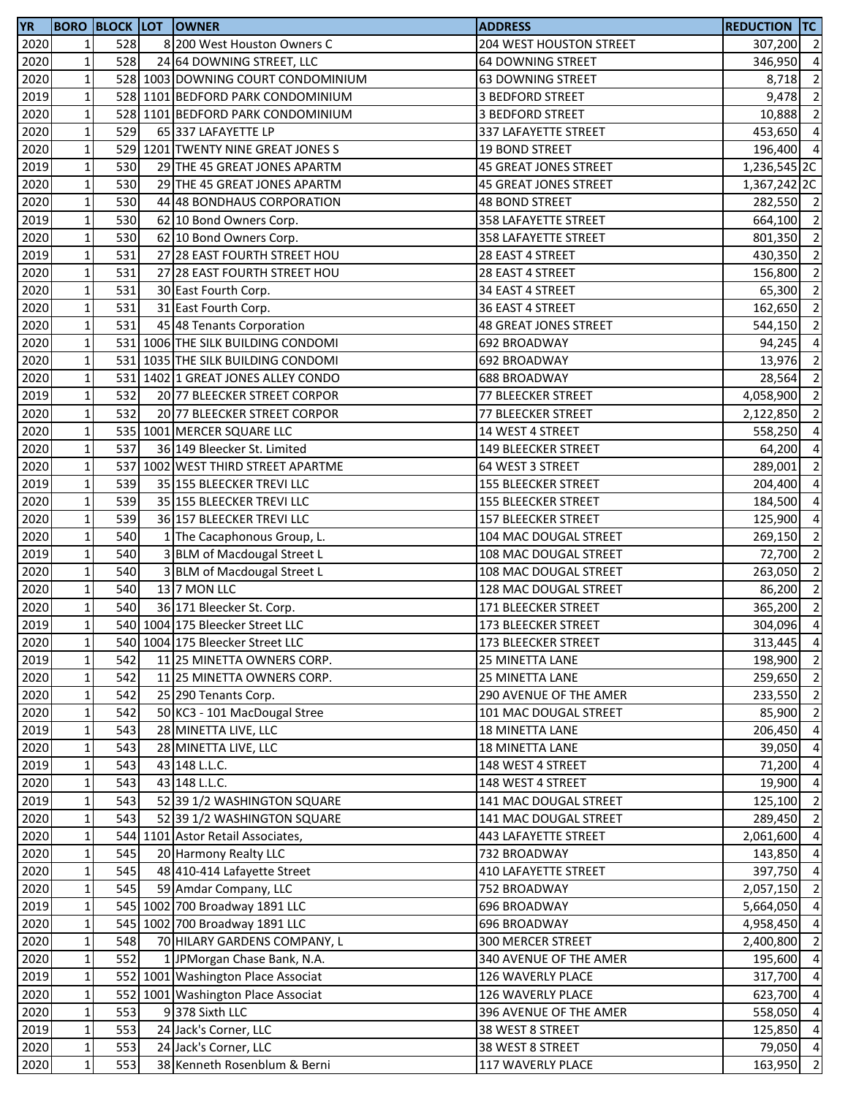| <b>YR</b> |              |     | <b>BORO BLOCK LOT OWNER</b>        | <b>ADDRESS</b>               | <b>REDUCTION TC</b>     |                          |
|-----------|--------------|-----|------------------------------------|------------------------------|-------------------------|--------------------------|
| 2020      | 1            | 528 | 8 200 West Houston Owners C        | 204 WEST HOUSTON STREET      | 307,200 2               |                          |
| 2020      | $\mathbf{1}$ | 528 | 24 64 DOWNING STREET, LLC          | 64 DOWNING STREET            | 346,950                 | $\overline{4}$           |
| 2020      | $\mathbf 1$  |     | 528 1003 DOWNING COURT CONDOMINIUM | <b>63 DOWNING STREET</b>     | 8,718                   | $\overline{2}$           |
| 2019      | $\mathbf 1$  |     | 528 1101 BEDFORD PARK CONDOMINIUM  | 3 BEDFORD STREET             | 9,478                   | $\overline{2}$           |
| 2020      | $\mathbf{1}$ |     | 528 1101 BEDFORD PARK CONDOMINIUM  | 3 BEDFORD STREET             | 10,888                  | $\overline{2}$           |
| 2020      | $\mathbf{1}$ | 529 | 65 337 LAFAYETTE LP                | 337 LAFAYETTE STREET         | 453,650 4               |                          |
| 2020      | $\mathbf 1$  |     | 529 1201 TWENTY NINE GREAT JONES S | <b>19 BOND STREET</b>        | 196,400 4               |                          |
| 2019      | $\mathbf 1$  | 530 | 29 THE 45 GREAT JONES APARTM       | 45 GREAT JONES STREET        | 1,236,545 <sub>2C</sub> |                          |
| 2020      | $\mathbf{1}$ | 530 | 29 THE 45 GREAT JONES APARTM       | <b>45 GREAT JONES STREET</b> | 1,367,242 2C            |                          |
| 2020      | $\mathbf 1$  | 530 | 44 48 BONDHAUS CORPORATION         | <b>48 BOND STREET</b>        | 282,550 2               |                          |
| 2019      | $\mathbf 1$  | 530 | 62 10 Bond Owners Corp.            | 358 LAFAYETTE STREET         | 664,100                 | $\overline{2}$           |
| 2020      | $\mathbf 1$  | 530 | 62 10 Bond Owners Corp.            | 358 LAFAYETTE STREET         | 801,350                 | $\overline{\phantom{a}}$ |
|           |              | 531 |                                    |                              |                         |                          |
| 2019      | $\mathbf 1$  |     | 27 28 EAST FOURTH STREET HOU       | 28 EAST 4 STREET             | 430,350                 | $\overline{\phantom{a}}$ |
| 2020      | $\mathbf 1$  | 531 | 27 28 EAST FOURTH STREET HOU       | 28 EAST 4 STREET             | 156,800                 | $\overline{2}$           |
| 2020      | $\mathbf 1$  | 531 | 30 East Fourth Corp.               | 34 EAST 4 STREET             | 65,300                  | $\overline{2}$           |
| 2020      | $\mathbf 1$  | 531 | 31 East Fourth Corp.               | 36 EAST 4 STREET             | 162,650                 | $\overline{2}$           |
| 2020      | $\mathbf 1$  | 531 | 45 48 Tenants Corporation          | <b>48 GREAT JONES STREET</b> | 544,150                 | $\overline{2}$           |
| 2020      | $\mathbf 1$  |     | 531 1006 THE SILK BUILDING CONDOMI | 692 BROADWAY                 | 94,245                  | $\overline{4}$           |
| 2020      | $\mathbf{1}$ |     | 531 1035 THE SILK BUILDING CONDOMI | 692 BROADWAY                 | 13,976                  | $\overline{2}$           |
| 2020      | $\mathbf 1$  | 531 | 1402 1 GREAT JONES ALLEY CONDO     | 688 BROADWAY                 | 28,564                  | $\overline{2}$           |
| 2019      | $\mathbf 1$  | 532 | 20 77 BLEECKER STREET CORPOR       | 77 BLEECKER STREET           | 4,058,900               | $\overline{2}$           |
| 2020      | $\mathbf 1$  | 532 | 20 77 BLEECKER STREET CORPOR       | 77 BLEECKER STREET           | 2,122,850               | $\overline{2}$           |
| 2020      | $\mathbf{1}$ |     | 535 1001 MERCER SQUARE LLC         | 14 WEST 4 STREET             | 558,250                 | $\overline{4}$           |
| 2020      | $\mathbf 1$  | 537 | 36 149 Bleecker St. Limited        | 149 BLEECKER STREET          | 64,200                  | $\overline{4}$           |
| 2020      | 1            |     | 537 1002 WEST THIRD STREET APARTME | 64 WEST 3 STREET             | 289,001                 | $\overline{2}$           |
| 2019      | $\mathbf{1}$ | 539 | 35 155 BLEECKER TREVI LLC          | <b>155 BLEECKER STREET</b>   | 204,400                 | $\overline{a}$           |
| 2020      | $\mathbf{1}$ | 539 | 35 155 BLEECKER TREVI LLC          | <b>155 BLEECKER STREET</b>   | 184,500                 | $\overline{4}$           |
| 2020      | $\mathbf 1$  | 539 | 36 157 BLEECKER TREVI LLC          | 157 BLEECKER STREET          | 125,900                 | $\overline{4}$           |
| 2020      | $\mathbf 1$  | 540 | 1 The Cacaphonous Group, L.        | 104 MAC DOUGAL STREET        | 269,150                 | $\overline{2}$           |
| 2019      | $\mathbf 1$  | 540 | 3 BLM of Macdougal Street L        | 108 MAC DOUGAL STREET        | 72,700                  | $\overline{2}$           |
| 2020      | $\mathbf 1$  | 540 | 3 BLM of Macdougal Street L        | 108 MAC DOUGAL STREET        | 263,050                 | $\overline{2}$           |
| 2020      | $\mathbf 1$  | 540 | 13 7 MON LLC                       |                              | 86,200                  | $\overline{2}$           |
|           |              |     |                                    | 128 MAC DOUGAL STREET        |                         | $\overline{2}$           |
| 2020      | $\mathbf 1$  | 540 | 36 171 Bleecker St. Corp.          | 171 BLEECKER STREET          | 365,200                 |                          |
| 2019      | $\mathbf{1}$ |     | 540 1004 175 Bleecker Street LLC   | 173 BLEECKER STREET          | 304,096                 | $\overline{4}$           |
| 2020      | $1\vert$     |     | 540 1004 175 Bleecker Street LLC   | 173 BLEECKER STREET          | 313,445 4               |                          |
| 2019      | $\mathbf{1}$ | 542 | 11 25 MINETTA OWNERS CORP.         | 25 MINETTA LANE              | 198,900 2               |                          |
| 2020      | $\mathbf 1$  | 542 | 11 25 MINETTA OWNERS CORP.         | 25 MINETTA LANE              | 259,650 2               |                          |
| 2020      | $\mathbf 1$  | 542 | 25 290 Tenants Corp.               | 290 AVENUE OF THE AMER       | 233,550 2               |                          |
| 2020      | $\mathbf 1$  | 542 | 50 KC3 - 101 MacDougal Stree       | 101 MAC DOUGAL STREET        | 85,900 2                |                          |
| 2019      | $\mathbf 1$  | 543 | 28 MINETTA LIVE, LLC               | 18 MINETTA LANE              | 206,450 4               |                          |
| 2020      | $\mathbf 1$  | 543 | 28 MINETTA LIVE, LLC               | 18 MINETTA LANE              | 39,050                  | $\overline{4}$           |
| 2019      | $\mathbf 1$  | 543 | 43 148 L.L.C.                      | 148 WEST 4 STREET            | 71,200                  | $\overline{4}$           |
| 2020      | $\mathbf 1$  | 543 | 43 148 L.L.C.                      | 148 WEST 4 STREET            | 19,900                  | $\overline{4}$           |
| 2019      | $\mathbf{1}$ | 543 | 52 39 1/2 WASHINGTON SQUARE        | 141 MAC DOUGAL STREET        | 125,100                 | $\overline{2}$           |
| 2020      | $\mathbf 1$  | 543 | 52 39 1/2 WASHINGTON SQUARE        | 141 MAC DOUGAL STREET        | 289,450 2               |                          |
| 2020      | $\mathbf 1$  |     | 544 1101 Astor Retail Associates,  | 443 LAFAYETTE STREET         | 2,061,600 4             |                          |
| 2020      | $\mathbf 1$  | 545 | 20 Harmony Realty LLC              | 732 BROADWAY                 | 143,850 4               |                          |
| 2020      | $\mathbf{1}$ | 545 | 48 410-414 Lafayette Street        | 410 LAFAYETTE STREET         | 397,750 4               |                          |
| 2020      | $\mathbf 1$  | 545 | 59 Amdar Company, LLC              | 752 BROADWAY                 | 2,057,150 2             |                          |
| 2019      | $\mathbf 1$  |     | 545 1002 700 Broadway 1891 LLC     | 696 BROADWAY                 | 5,664,050               | $\overline{4}$           |
| 2020      | $1\vert$     |     | 545 1002 700 Broadway 1891 LLC     | 696 BROADWAY                 | 4,958,450 4             |                          |
| 2020      | $\mathbf{1}$ | 548 | 70 HILARY GARDENS COMPANY, L       | 300 MERCER STREET            | 2,400,800               | $\overline{2}$           |
|           | $\mathbf 1$  | 552 |                                    |                              |                         | $\overline{4}$           |
| 2020      |              |     | 1 JPMorgan Chase Bank, N.A.        | 340 AVENUE OF THE AMER       | 195,600                 |                          |
| 2019      | $\mathbf 1$  |     | 552 1001 Washington Place Associat | 126 WAVERLY PLACE            | 317,700                 | $\overline{4}$           |
| 2020      | $1\vert$     |     | 552 1001 Washington Place Associat | 126 WAVERLY PLACE            | 623,700 4               |                          |
| 2020      | $\mathbf 1$  | 553 | 9378 Sixth LLC                     | 396 AVENUE OF THE AMER       | 558,050 4               |                          |
| 2019      | $\mathbf 1$  | 553 | 24 Jack's Corner, LLC              | 38 WEST 8 STREET             | 125,850 4               |                          |
| 2020      | $\mathbf 1$  | 553 | 24 Jack's Corner, LLC              | 38 WEST 8 STREET             | 79,050 4                |                          |
| 2020      | $\mathbf 1$  | 553 | 38 Kenneth Rosenblum & Berni       | 117 WAVERLY PLACE            | 163,950 2               |                          |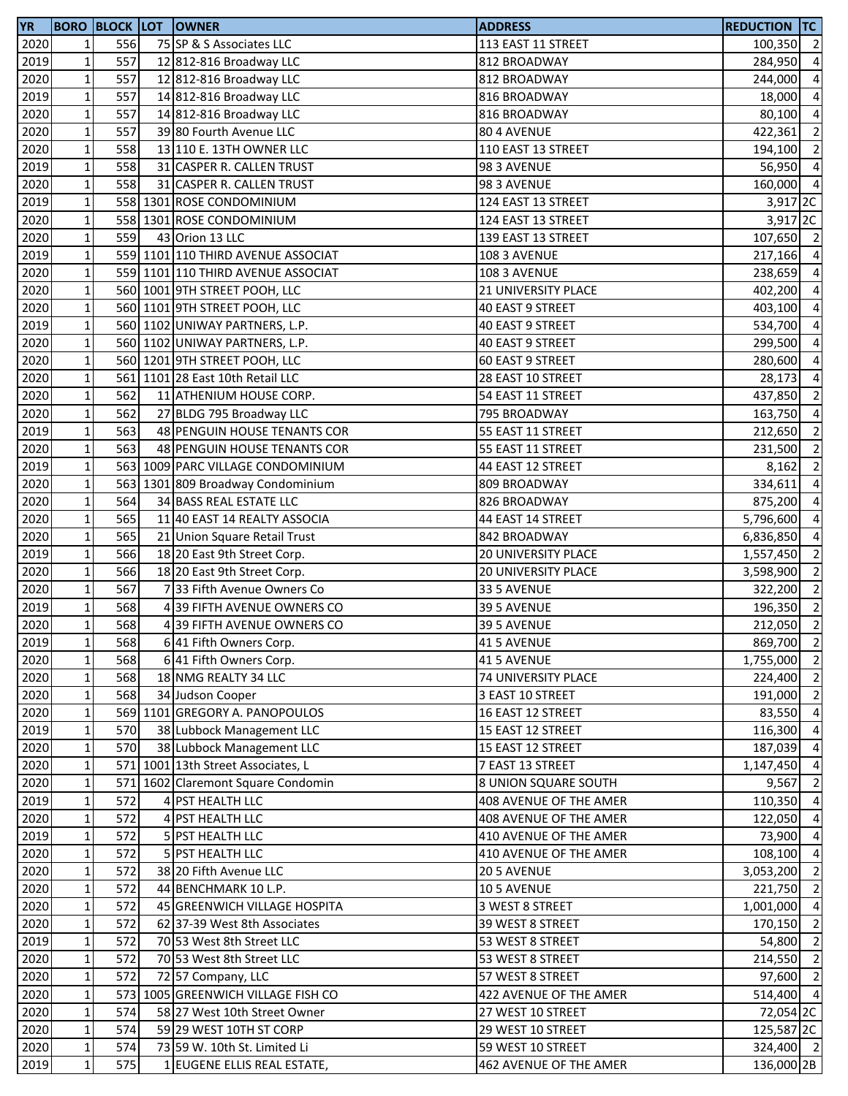| 2020<br>$1\vert$<br>556<br>75 SP & S Associates LLC<br>113 EAST 11 STREET<br>100,350 2<br>$\mathbf 1$<br>557<br>2019<br>12 812-816 Broadway LLC<br>812 BROADWAY<br>$\mathbf 1$<br>2020<br>557<br>12 812-816 Broadway LLC<br>812 BROADWAY<br>244,000<br>$1\,$<br>557<br>2019<br>14 812-816 Broadway LLC<br>816 BROADWAY<br>$\mathbf 1$<br>557<br>2020<br>14 812-816 Broadway LLC<br>816 BROADWAY<br>$\mathbf 1$<br>557<br>2020<br>39 80 Fourth Avenue LLC<br>80 4 AVENUE<br>422,361<br>$\mathbf 1$<br>2020<br>558<br>13 110 E. 13TH OWNER LLC<br>110 EAST 13 STREET<br>194,100<br>$\mathbf 1$<br>558<br>2019<br>31 CASPER R. CALLEN TRUST<br>98 3 AVENUE<br>56,950<br>$\mathbf 1$<br>558<br>2020<br>31 CASPER R. CALLEN TRUST<br>98 3 AVENUE<br>160,000<br>2019<br>$\mathbf 1$<br>558 1301 ROSE CONDOMINIUM<br>124 EAST 13 STREET<br>3,917 <sub>2C</sub><br>$\mathbf 1$<br>2020<br>558 1301 ROSE CONDOMINIUM<br>124 EAST 13 STREET<br>$1\,$<br>559<br>2020<br>43 Orion 13 LLC<br>139 EAST 13 STREET<br>$\mathbf 1$<br>559 1101 110 THIRD AVENUE ASSOCIAT<br>2019<br>108 3 AVENUE<br>$\mathbf 1$<br>559 1101 110 THIRD AVENUE ASSOCIAT<br>2020<br>108 3 AVENUE<br>$\mathbf 1$<br>2020<br>560 1001 9TH STREET POOH, LLC<br>21 UNIVERSITY PLACE<br>2020<br>$\mathbf 1$<br>560 1101 9TH STREET POOH, LLC<br>40 EAST 9 STREET<br>403,100<br>$\mathbf 1$<br>2019<br>560 1102 UNIWAY PARTNERS, L.P.<br>40 EAST 9 STREET<br>534,700<br>$\mathbf 1$<br>2020<br>560 1102 UNIWAY PARTNERS, L.P.<br>40 EAST 9 STREET<br>299,500<br>$\mathbf 1$<br>2020<br>560 1201 9TH STREET POOH, LLC<br>60 EAST 9 STREET<br>280,600<br>$\mathbf 1$<br>2020<br>561 1101 28 East 10th Retail LLC<br>28 EAST 10 STREET<br>28,173<br>$\mathbf 1$<br>562<br>2020<br>11 ATHENIUM HOUSE CORP.<br>54 EAST 11 STREET<br>$\mathbf 1$<br>562<br>2020<br>27 BLDG 795 Broadway LLC<br>795 BROADWAY<br>$\mathbf 1$<br>563<br>2019<br>48 PENGUIN HOUSE TENANTS COR<br>55 EAST 11 STREET<br>$\mathbf 1$<br>563<br>2020<br>231,500<br>48 PENGUIN HOUSE TENANTS COR<br>55 EAST 11 STREET<br>$\mathbf 1$<br>2019<br>563 1009 PARC VILLAGE CONDOMINIUM<br>8,162<br>44 EAST 12 STREET<br>$\mathbf 1$<br>2020<br>563 1301 809 Broadway Condominium<br>809 BROADWAY<br>334,611<br>$\mathbf 1$<br>564<br>2020<br>34 BASS REAL ESTATE LLC<br>826 BROADWAY<br>875,200<br>$\mathbf 1$<br>565<br>2020<br>11 40 EAST 14 REALTY ASSOCIA<br>44 EAST 14 STREET<br>5,796,600<br>$\mathbf 1$<br>565<br>2020<br>21 Union Square Retail Trust<br>842 BROADWAY<br>$\mathbf{1}$<br>566<br>2019<br>18 20 East 9th Street Corp.<br><b>20 UNIVERSITY PLACE</b><br>1,557,450<br>$\mathbf 1$<br>566<br>2020<br>18 20 East 9th Street Corp.<br>20 UNIVERSITY PLACE<br>3,598,900<br>$\mathbf 1$<br>567<br>2020<br>733 Fifth Avenue Owners Co<br>33 5 AVENUE<br>322,200<br>$\mathbf 1$<br>568<br>2019<br>39 FIFTH AVENUE OWNERS CO<br>39 5 AVENUE<br>$\mathbf{1}$<br>2020<br>568<br>212,050<br>39 FIFTH AVENUE OWNERS CO<br>39 5 AVENUE<br>2019<br>568<br>6 41 Fifth Owners Corp.<br>41 5 AVENUE<br>$1\vert$<br>$\mathbf 1$<br>2020<br>568<br>6 41 Fifth Owners Corp.<br>41 5 AVENUE<br>$\mathbf 1$<br>568<br>18 NMG REALTY 34 LLC<br>2020<br><b>74 UNIVERSITY PLACE</b><br>$\mathbf 1$<br>568<br>2020<br>34 Judson Cooper<br>3 EAST 10 STREET<br>$1\,$<br>569 1101 GREGORY A. PANOPOULOS<br>83,550<br>2020<br>16 EAST 12 STREET<br>$1\vert$<br>2019<br>570<br>38 Lubbock Management LLC<br>15 EAST 12 STREET<br>116,300<br>2020<br>$1\vert$<br>570<br>38 Lubbock Management LLC<br>15 EAST 12 STREET<br>187,039<br>$1\,$<br>571 1001 13th Street Associates, L<br>2020<br>7 EAST 13 STREET<br>1,147,450<br>2020<br>$\mathbf 1$<br>571 1602 Claremont Square Condomin<br>8 UNION SQUARE SOUTH<br>9,567<br>$\mathbf{1}$<br>572<br>2019<br>4 PST HEALTH LLC<br>408 AVENUE OF THE AMER<br>110,350<br>2020<br>$1\,$<br>572<br>4 PST HEALTH LLC<br>408 AVENUE OF THE AMER<br>122,050<br>$\mathbf 1$<br>2019<br>572<br>5 PST HEALTH LLC<br>410 AVENUE OF THE AMER<br>73,900<br>$1\,$<br>2020<br>572<br>5 PST HEALTH LLC<br>410 AVENUE OF THE AMER<br>2020<br>$\mathbf 1$<br>572<br>38 20 Fifth Avenue LLC<br>20 5 AVENUE<br>2020<br>$\mathbf 1$<br>572<br>44 BENCHMARK 10 L.P.<br>10 5 AVENUE<br>221,750<br>$\mathbf 1$<br>572<br>2020<br>45 GREENWICH VILLAGE HOSPITA<br>3 WEST 8 STREET<br>1,001,000<br>$1\,$<br>2020<br>572<br>62 37-39 West 8th Associates<br>39 WEST 8 STREET<br>170,150<br>$\mathbf 1$<br>572<br>2019<br>70 53 West 8th Street LLC<br>53 WEST 8 STREET<br>54,800<br>2020<br>$1\,$<br>572<br>70 53 West 8th Street LLC<br>53 WEST 8 STREET<br>214,550<br>572<br>$1\,$<br>2020<br>72 57 Company, LLC<br>57 WEST 8 STREET<br>$\mathbf 1$<br>2020<br>573 1005 GREENWICH VILLAGE FISH CO<br>422 AVENUE OF THE AMER<br>2020<br>$\mathbf 1$<br>574<br>58 27 West 10th Street Owner<br>27 WEST 10 STREET<br>$1\vert$<br>2020<br>574<br>59 29 WEST 10TH ST CORP<br>29 WEST 10 STREET<br>2020<br>$1\vert$<br>574<br>73 59 W. 10th St. Limited Li<br>59 WEST 10 STREET<br>$1\vert$<br>2019<br>575<br>1 EUGENE ELLIS REAL ESTATE,<br>462 AVENUE OF THE AMER | <b>YR</b> |  | <b>BORO BLOCK LOT OWNER</b> | <b>ADDRESS</b> | <b>REDUCTION TC</b> |  |
|-----------------------------------------------------------------------------------------------------------------------------------------------------------------------------------------------------------------------------------------------------------------------------------------------------------------------------------------------------------------------------------------------------------------------------------------------------------------------------------------------------------------------------------------------------------------------------------------------------------------------------------------------------------------------------------------------------------------------------------------------------------------------------------------------------------------------------------------------------------------------------------------------------------------------------------------------------------------------------------------------------------------------------------------------------------------------------------------------------------------------------------------------------------------------------------------------------------------------------------------------------------------------------------------------------------------------------------------------------------------------------------------------------------------------------------------------------------------------------------------------------------------------------------------------------------------------------------------------------------------------------------------------------------------------------------------------------------------------------------------------------------------------------------------------------------------------------------------------------------------------------------------------------------------------------------------------------------------------------------------------------------------------------------------------------------------------------------------------------------------------------------------------------------------------------------------------------------------------------------------------------------------------------------------------------------------------------------------------------------------------------------------------------------------------------------------------------------------------------------------------------------------------------------------------------------------------------------------------------------------------------------------------------------------------------------------------------------------------------------------------------------------------------------------------------------------------------------------------------------------------------------------------------------------------------------------------------------------------------------------------------------------------------------------------------------------------------------------------------------------------------------------------------------------------------------------------------------------------------------------------------------------------------------------------------------------------------------------------------------------------------------------------------------------------------------------------------------------------------------------------------------------------------------------------------------------------------------------------------------------------------------------------------------------------------------------------------------------------------------------------------------------------------------------------------------------------------------------------------------------------------------------------------------------------------------------------------------------------------------------------------------------------------------------------------------------------------------------------------------------------------------------------------------------------------------------------------------------------------------------------------------------------------------------------------------------------------------------------------------------------------------------------------------------------------------------------------------------------------------------------------------------------------------------------------------------------------------------------------------------------------------------------------------------------------------------------------------------------------------------------------------------------------------------------------------------------------------------------------------------------------------------------------------------------------------------------------------------------------------------------------------------------------------------------------------------------------------------|-----------|--|-----------------------------|----------------|---------------------|--|
| 284,950 4                                                                                                                                                                                                                                                                                                                                                                                                                                                                                                                                                                                                                                                                                                                                                                                                                                                                                                                                                                                                                                                                                                                                                                                                                                                                                                                                                                                                                                                                                                                                                                                                                                                                                                                                                                                                                                                                                                                                                                                                                                                                                                                                                                                                                                                                                                                                                                                                                                                                                                                                                                                                                                                                                                                                                                                                                                                                                                                                                                                                                                                                                                                                                                                                                                                                                                                                                                                                                                                                                                                                                                                                                                                                                                                                                                                                                                                                                                                                                                                                                                                                                                                                                                                                                                                                                                                                                                                                                                                                                                                                                                                                                                                                                                                                                                                                                                                                                                                                                                                                                                                                               |           |  |                             |                |                     |  |
| $\overline{a}$<br>18,000 4<br>80,100 4<br>$\overline{2}$<br>$\overline{2}$<br>$\overline{4}$<br>$\overline{4}$<br>3,917 <sub>2C</sub><br>107,650 2<br>217,166 4<br>238,659 4<br>402,200 4<br>$\overline{4}$<br>$\overline{a}$<br>$\overline{a}$<br>$\overline{a}$<br>$\overline{4}$<br>437,850 2<br>163,750 4<br>212,650 2<br>$\overline{2}$<br>$\overline{2}$<br>$\overline{a}$<br>$\overline{a}$<br>$\overline{a}$<br>6,836,850 4<br>$\overline{\mathbf{c}}$<br>$\overline{\mathbf{c}}$<br>$\overline{2}$<br>196,350 2<br>$\overline{\mathbf{c}}$<br>869,700 2<br>1,755,000 2<br>224,400 2<br>191,000 2<br>$\overline{4}$<br>$\overline{4}$<br>$\overline{a}$<br>72,054 2C<br>125,587 <sub>2C</sub>                                                                                                                                                                                                                                                                                                                                                                                                                                                                                                                                                                                                                                                                                                                                                                                                                                                                                                                                                                                                                                                                                                                                                                                                                                                                                                                                                                                                                                                                                                                                                                                                                                                                                                                                                                                                                                                                                                                                                                                                                                                                                                                                                                                                                                                                                                                                                                                                                                                                                                                                                                                                                                                                                                                                                                                                                                                                                                                                                                                                                                                                                                                                                                                                                                                                                                                                                                                                                                                                                                                                                                                                                                                                                                                                                                                                                                                                                                                                                                                                                                                                                                                                                                                                                                                                                                                                                                                   |           |  |                             |                |                     |  |
|                                                                                                                                                                                                                                                                                                                                                                                                                                                                                                                                                                                                                                                                                                                                                                                                                                                                                                                                                                                                                                                                                                                                                                                                                                                                                                                                                                                                                                                                                                                                                                                                                                                                                                                                                                                                                                                                                                                                                                                                                                                                                                                                                                                                                                                                                                                                                                                                                                                                                                                                                                                                                                                                                                                                                                                                                                                                                                                                                                                                                                                                                                                                                                                                                                                                                                                                                                                                                                                                                                                                                                                                                                                                                                                                                                                                                                                                                                                                                                                                                                                                                                                                                                                                                                                                                                                                                                                                                                                                                                                                                                                                                                                                                                                                                                                                                                                                                                                                                                                                                                                                                         |           |  |                             |                |                     |  |
|                                                                                                                                                                                                                                                                                                                                                                                                                                                                                                                                                                                                                                                                                                                                                                                                                                                                                                                                                                                                                                                                                                                                                                                                                                                                                                                                                                                                                                                                                                                                                                                                                                                                                                                                                                                                                                                                                                                                                                                                                                                                                                                                                                                                                                                                                                                                                                                                                                                                                                                                                                                                                                                                                                                                                                                                                                                                                                                                                                                                                                                                                                                                                                                                                                                                                                                                                                                                                                                                                                                                                                                                                                                                                                                                                                                                                                                                                                                                                                                                                                                                                                                                                                                                                                                                                                                                                                                                                                                                                                                                                                                                                                                                                                                                                                                                                                                                                                                                                                                                                                                                                         |           |  |                             |                |                     |  |
|                                                                                                                                                                                                                                                                                                                                                                                                                                                                                                                                                                                                                                                                                                                                                                                                                                                                                                                                                                                                                                                                                                                                                                                                                                                                                                                                                                                                                                                                                                                                                                                                                                                                                                                                                                                                                                                                                                                                                                                                                                                                                                                                                                                                                                                                                                                                                                                                                                                                                                                                                                                                                                                                                                                                                                                                                                                                                                                                                                                                                                                                                                                                                                                                                                                                                                                                                                                                                                                                                                                                                                                                                                                                                                                                                                                                                                                                                                                                                                                                                                                                                                                                                                                                                                                                                                                                                                                                                                                                                                                                                                                                                                                                                                                                                                                                                                                                                                                                                                                                                                                                                         |           |  |                             |                |                     |  |
|                                                                                                                                                                                                                                                                                                                                                                                                                                                                                                                                                                                                                                                                                                                                                                                                                                                                                                                                                                                                                                                                                                                                                                                                                                                                                                                                                                                                                                                                                                                                                                                                                                                                                                                                                                                                                                                                                                                                                                                                                                                                                                                                                                                                                                                                                                                                                                                                                                                                                                                                                                                                                                                                                                                                                                                                                                                                                                                                                                                                                                                                                                                                                                                                                                                                                                                                                                                                                                                                                                                                                                                                                                                                                                                                                                                                                                                                                                                                                                                                                                                                                                                                                                                                                                                                                                                                                                                                                                                                                                                                                                                                                                                                                                                                                                                                                                                                                                                                                                                                                                                                                         |           |  |                             |                |                     |  |
|                                                                                                                                                                                                                                                                                                                                                                                                                                                                                                                                                                                                                                                                                                                                                                                                                                                                                                                                                                                                                                                                                                                                                                                                                                                                                                                                                                                                                                                                                                                                                                                                                                                                                                                                                                                                                                                                                                                                                                                                                                                                                                                                                                                                                                                                                                                                                                                                                                                                                                                                                                                                                                                                                                                                                                                                                                                                                                                                                                                                                                                                                                                                                                                                                                                                                                                                                                                                                                                                                                                                                                                                                                                                                                                                                                                                                                                                                                                                                                                                                                                                                                                                                                                                                                                                                                                                                                                                                                                                                                                                                                                                                                                                                                                                                                                                                                                                                                                                                                                                                                                                                         |           |  |                             |                |                     |  |
|                                                                                                                                                                                                                                                                                                                                                                                                                                                                                                                                                                                                                                                                                                                                                                                                                                                                                                                                                                                                                                                                                                                                                                                                                                                                                                                                                                                                                                                                                                                                                                                                                                                                                                                                                                                                                                                                                                                                                                                                                                                                                                                                                                                                                                                                                                                                                                                                                                                                                                                                                                                                                                                                                                                                                                                                                                                                                                                                                                                                                                                                                                                                                                                                                                                                                                                                                                                                                                                                                                                                                                                                                                                                                                                                                                                                                                                                                                                                                                                                                                                                                                                                                                                                                                                                                                                                                                                                                                                                                                                                                                                                                                                                                                                                                                                                                                                                                                                                                                                                                                                                                         |           |  |                             |                |                     |  |
|                                                                                                                                                                                                                                                                                                                                                                                                                                                                                                                                                                                                                                                                                                                                                                                                                                                                                                                                                                                                                                                                                                                                                                                                                                                                                                                                                                                                                                                                                                                                                                                                                                                                                                                                                                                                                                                                                                                                                                                                                                                                                                                                                                                                                                                                                                                                                                                                                                                                                                                                                                                                                                                                                                                                                                                                                                                                                                                                                                                                                                                                                                                                                                                                                                                                                                                                                                                                                                                                                                                                                                                                                                                                                                                                                                                                                                                                                                                                                                                                                                                                                                                                                                                                                                                                                                                                                                                                                                                                                                                                                                                                                                                                                                                                                                                                                                                                                                                                                                                                                                                                                         |           |  |                             |                |                     |  |
|                                                                                                                                                                                                                                                                                                                                                                                                                                                                                                                                                                                                                                                                                                                                                                                                                                                                                                                                                                                                                                                                                                                                                                                                                                                                                                                                                                                                                                                                                                                                                                                                                                                                                                                                                                                                                                                                                                                                                                                                                                                                                                                                                                                                                                                                                                                                                                                                                                                                                                                                                                                                                                                                                                                                                                                                                                                                                                                                                                                                                                                                                                                                                                                                                                                                                                                                                                                                                                                                                                                                                                                                                                                                                                                                                                                                                                                                                                                                                                                                                                                                                                                                                                                                                                                                                                                                                                                                                                                                                                                                                                                                                                                                                                                                                                                                                                                                                                                                                                                                                                                                                         |           |  |                             |                |                     |  |
|                                                                                                                                                                                                                                                                                                                                                                                                                                                                                                                                                                                                                                                                                                                                                                                                                                                                                                                                                                                                                                                                                                                                                                                                                                                                                                                                                                                                                                                                                                                                                                                                                                                                                                                                                                                                                                                                                                                                                                                                                                                                                                                                                                                                                                                                                                                                                                                                                                                                                                                                                                                                                                                                                                                                                                                                                                                                                                                                                                                                                                                                                                                                                                                                                                                                                                                                                                                                                                                                                                                                                                                                                                                                                                                                                                                                                                                                                                                                                                                                                                                                                                                                                                                                                                                                                                                                                                                                                                                                                                                                                                                                                                                                                                                                                                                                                                                                                                                                                                                                                                                                                         |           |  |                             |                |                     |  |
|                                                                                                                                                                                                                                                                                                                                                                                                                                                                                                                                                                                                                                                                                                                                                                                                                                                                                                                                                                                                                                                                                                                                                                                                                                                                                                                                                                                                                                                                                                                                                                                                                                                                                                                                                                                                                                                                                                                                                                                                                                                                                                                                                                                                                                                                                                                                                                                                                                                                                                                                                                                                                                                                                                                                                                                                                                                                                                                                                                                                                                                                                                                                                                                                                                                                                                                                                                                                                                                                                                                                                                                                                                                                                                                                                                                                                                                                                                                                                                                                                                                                                                                                                                                                                                                                                                                                                                                                                                                                                                                                                                                                                                                                                                                                                                                                                                                                                                                                                                                                                                                                                         |           |  |                             |                |                     |  |
|                                                                                                                                                                                                                                                                                                                                                                                                                                                                                                                                                                                                                                                                                                                                                                                                                                                                                                                                                                                                                                                                                                                                                                                                                                                                                                                                                                                                                                                                                                                                                                                                                                                                                                                                                                                                                                                                                                                                                                                                                                                                                                                                                                                                                                                                                                                                                                                                                                                                                                                                                                                                                                                                                                                                                                                                                                                                                                                                                                                                                                                                                                                                                                                                                                                                                                                                                                                                                                                                                                                                                                                                                                                                                                                                                                                                                                                                                                                                                                                                                                                                                                                                                                                                                                                                                                                                                                                                                                                                                                                                                                                                                                                                                                                                                                                                                                                                                                                                                                                                                                                                                         |           |  |                             |                |                     |  |
|                                                                                                                                                                                                                                                                                                                                                                                                                                                                                                                                                                                                                                                                                                                                                                                                                                                                                                                                                                                                                                                                                                                                                                                                                                                                                                                                                                                                                                                                                                                                                                                                                                                                                                                                                                                                                                                                                                                                                                                                                                                                                                                                                                                                                                                                                                                                                                                                                                                                                                                                                                                                                                                                                                                                                                                                                                                                                                                                                                                                                                                                                                                                                                                                                                                                                                                                                                                                                                                                                                                                                                                                                                                                                                                                                                                                                                                                                                                                                                                                                                                                                                                                                                                                                                                                                                                                                                                                                                                                                                                                                                                                                                                                                                                                                                                                                                                                                                                                                                                                                                                                                         |           |  |                             |                |                     |  |
|                                                                                                                                                                                                                                                                                                                                                                                                                                                                                                                                                                                                                                                                                                                                                                                                                                                                                                                                                                                                                                                                                                                                                                                                                                                                                                                                                                                                                                                                                                                                                                                                                                                                                                                                                                                                                                                                                                                                                                                                                                                                                                                                                                                                                                                                                                                                                                                                                                                                                                                                                                                                                                                                                                                                                                                                                                                                                                                                                                                                                                                                                                                                                                                                                                                                                                                                                                                                                                                                                                                                                                                                                                                                                                                                                                                                                                                                                                                                                                                                                                                                                                                                                                                                                                                                                                                                                                                                                                                                                                                                                                                                                                                                                                                                                                                                                                                                                                                                                                                                                                                                                         |           |  |                             |                |                     |  |
|                                                                                                                                                                                                                                                                                                                                                                                                                                                                                                                                                                                                                                                                                                                                                                                                                                                                                                                                                                                                                                                                                                                                                                                                                                                                                                                                                                                                                                                                                                                                                                                                                                                                                                                                                                                                                                                                                                                                                                                                                                                                                                                                                                                                                                                                                                                                                                                                                                                                                                                                                                                                                                                                                                                                                                                                                                                                                                                                                                                                                                                                                                                                                                                                                                                                                                                                                                                                                                                                                                                                                                                                                                                                                                                                                                                                                                                                                                                                                                                                                                                                                                                                                                                                                                                                                                                                                                                                                                                                                                                                                                                                                                                                                                                                                                                                                                                                                                                                                                                                                                                                                         |           |  |                             |                |                     |  |
|                                                                                                                                                                                                                                                                                                                                                                                                                                                                                                                                                                                                                                                                                                                                                                                                                                                                                                                                                                                                                                                                                                                                                                                                                                                                                                                                                                                                                                                                                                                                                                                                                                                                                                                                                                                                                                                                                                                                                                                                                                                                                                                                                                                                                                                                                                                                                                                                                                                                                                                                                                                                                                                                                                                                                                                                                                                                                                                                                                                                                                                                                                                                                                                                                                                                                                                                                                                                                                                                                                                                                                                                                                                                                                                                                                                                                                                                                                                                                                                                                                                                                                                                                                                                                                                                                                                                                                                                                                                                                                                                                                                                                                                                                                                                                                                                                                                                                                                                                                                                                                                                                         |           |  |                             |                |                     |  |
|                                                                                                                                                                                                                                                                                                                                                                                                                                                                                                                                                                                                                                                                                                                                                                                                                                                                                                                                                                                                                                                                                                                                                                                                                                                                                                                                                                                                                                                                                                                                                                                                                                                                                                                                                                                                                                                                                                                                                                                                                                                                                                                                                                                                                                                                                                                                                                                                                                                                                                                                                                                                                                                                                                                                                                                                                                                                                                                                                                                                                                                                                                                                                                                                                                                                                                                                                                                                                                                                                                                                                                                                                                                                                                                                                                                                                                                                                                                                                                                                                                                                                                                                                                                                                                                                                                                                                                                                                                                                                                                                                                                                                                                                                                                                                                                                                                                                                                                                                                                                                                                                                         |           |  |                             |                |                     |  |
|                                                                                                                                                                                                                                                                                                                                                                                                                                                                                                                                                                                                                                                                                                                                                                                                                                                                                                                                                                                                                                                                                                                                                                                                                                                                                                                                                                                                                                                                                                                                                                                                                                                                                                                                                                                                                                                                                                                                                                                                                                                                                                                                                                                                                                                                                                                                                                                                                                                                                                                                                                                                                                                                                                                                                                                                                                                                                                                                                                                                                                                                                                                                                                                                                                                                                                                                                                                                                                                                                                                                                                                                                                                                                                                                                                                                                                                                                                                                                                                                                                                                                                                                                                                                                                                                                                                                                                                                                                                                                                                                                                                                                                                                                                                                                                                                                                                                                                                                                                                                                                                                                         |           |  |                             |                |                     |  |
|                                                                                                                                                                                                                                                                                                                                                                                                                                                                                                                                                                                                                                                                                                                                                                                                                                                                                                                                                                                                                                                                                                                                                                                                                                                                                                                                                                                                                                                                                                                                                                                                                                                                                                                                                                                                                                                                                                                                                                                                                                                                                                                                                                                                                                                                                                                                                                                                                                                                                                                                                                                                                                                                                                                                                                                                                                                                                                                                                                                                                                                                                                                                                                                                                                                                                                                                                                                                                                                                                                                                                                                                                                                                                                                                                                                                                                                                                                                                                                                                                                                                                                                                                                                                                                                                                                                                                                                                                                                                                                                                                                                                                                                                                                                                                                                                                                                                                                                                                                                                                                                                                         |           |  |                             |                |                     |  |
|                                                                                                                                                                                                                                                                                                                                                                                                                                                                                                                                                                                                                                                                                                                                                                                                                                                                                                                                                                                                                                                                                                                                                                                                                                                                                                                                                                                                                                                                                                                                                                                                                                                                                                                                                                                                                                                                                                                                                                                                                                                                                                                                                                                                                                                                                                                                                                                                                                                                                                                                                                                                                                                                                                                                                                                                                                                                                                                                                                                                                                                                                                                                                                                                                                                                                                                                                                                                                                                                                                                                                                                                                                                                                                                                                                                                                                                                                                                                                                                                                                                                                                                                                                                                                                                                                                                                                                                                                                                                                                                                                                                                                                                                                                                                                                                                                                                                                                                                                                                                                                                                                         |           |  |                             |                |                     |  |
|                                                                                                                                                                                                                                                                                                                                                                                                                                                                                                                                                                                                                                                                                                                                                                                                                                                                                                                                                                                                                                                                                                                                                                                                                                                                                                                                                                                                                                                                                                                                                                                                                                                                                                                                                                                                                                                                                                                                                                                                                                                                                                                                                                                                                                                                                                                                                                                                                                                                                                                                                                                                                                                                                                                                                                                                                                                                                                                                                                                                                                                                                                                                                                                                                                                                                                                                                                                                                                                                                                                                                                                                                                                                                                                                                                                                                                                                                                                                                                                                                                                                                                                                                                                                                                                                                                                                                                                                                                                                                                                                                                                                                                                                                                                                                                                                                                                                                                                                                                                                                                                                                         |           |  |                             |                |                     |  |
|                                                                                                                                                                                                                                                                                                                                                                                                                                                                                                                                                                                                                                                                                                                                                                                                                                                                                                                                                                                                                                                                                                                                                                                                                                                                                                                                                                                                                                                                                                                                                                                                                                                                                                                                                                                                                                                                                                                                                                                                                                                                                                                                                                                                                                                                                                                                                                                                                                                                                                                                                                                                                                                                                                                                                                                                                                                                                                                                                                                                                                                                                                                                                                                                                                                                                                                                                                                                                                                                                                                                                                                                                                                                                                                                                                                                                                                                                                                                                                                                                                                                                                                                                                                                                                                                                                                                                                                                                                                                                                                                                                                                                                                                                                                                                                                                                                                                                                                                                                                                                                                                                         |           |  |                             |                |                     |  |
|                                                                                                                                                                                                                                                                                                                                                                                                                                                                                                                                                                                                                                                                                                                                                                                                                                                                                                                                                                                                                                                                                                                                                                                                                                                                                                                                                                                                                                                                                                                                                                                                                                                                                                                                                                                                                                                                                                                                                                                                                                                                                                                                                                                                                                                                                                                                                                                                                                                                                                                                                                                                                                                                                                                                                                                                                                                                                                                                                                                                                                                                                                                                                                                                                                                                                                                                                                                                                                                                                                                                                                                                                                                                                                                                                                                                                                                                                                                                                                                                                                                                                                                                                                                                                                                                                                                                                                                                                                                                                                                                                                                                                                                                                                                                                                                                                                                                                                                                                                                                                                                                                         |           |  |                             |                |                     |  |
|                                                                                                                                                                                                                                                                                                                                                                                                                                                                                                                                                                                                                                                                                                                                                                                                                                                                                                                                                                                                                                                                                                                                                                                                                                                                                                                                                                                                                                                                                                                                                                                                                                                                                                                                                                                                                                                                                                                                                                                                                                                                                                                                                                                                                                                                                                                                                                                                                                                                                                                                                                                                                                                                                                                                                                                                                                                                                                                                                                                                                                                                                                                                                                                                                                                                                                                                                                                                                                                                                                                                                                                                                                                                                                                                                                                                                                                                                                                                                                                                                                                                                                                                                                                                                                                                                                                                                                                                                                                                                                                                                                                                                                                                                                                                                                                                                                                                                                                                                                                                                                                                                         |           |  |                             |                |                     |  |
|                                                                                                                                                                                                                                                                                                                                                                                                                                                                                                                                                                                                                                                                                                                                                                                                                                                                                                                                                                                                                                                                                                                                                                                                                                                                                                                                                                                                                                                                                                                                                                                                                                                                                                                                                                                                                                                                                                                                                                                                                                                                                                                                                                                                                                                                                                                                                                                                                                                                                                                                                                                                                                                                                                                                                                                                                                                                                                                                                                                                                                                                                                                                                                                                                                                                                                                                                                                                                                                                                                                                                                                                                                                                                                                                                                                                                                                                                                                                                                                                                                                                                                                                                                                                                                                                                                                                                                                                                                                                                                                                                                                                                                                                                                                                                                                                                                                                                                                                                                                                                                                                                         |           |  |                             |                |                     |  |
|                                                                                                                                                                                                                                                                                                                                                                                                                                                                                                                                                                                                                                                                                                                                                                                                                                                                                                                                                                                                                                                                                                                                                                                                                                                                                                                                                                                                                                                                                                                                                                                                                                                                                                                                                                                                                                                                                                                                                                                                                                                                                                                                                                                                                                                                                                                                                                                                                                                                                                                                                                                                                                                                                                                                                                                                                                                                                                                                                                                                                                                                                                                                                                                                                                                                                                                                                                                                                                                                                                                                                                                                                                                                                                                                                                                                                                                                                                                                                                                                                                                                                                                                                                                                                                                                                                                                                                                                                                                                                                                                                                                                                                                                                                                                                                                                                                                                                                                                                                                                                                                                                         |           |  |                             |                |                     |  |
|                                                                                                                                                                                                                                                                                                                                                                                                                                                                                                                                                                                                                                                                                                                                                                                                                                                                                                                                                                                                                                                                                                                                                                                                                                                                                                                                                                                                                                                                                                                                                                                                                                                                                                                                                                                                                                                                                                                                                                                                                                                                                                                                                                                                                                                                                                                                                                                                                                                                                                                                                                                                                                                                                                                                                                                                                                                                                                                                                                                                                                                                                                                                                                                                                                                                                                                                                                                                                                                                                                                                                                                                                                                                                                                                                                                                                                                                                                                                                                                                                                                                                                                                                                                                                                                                                                                                                                                                                                                                                                                                                                                                                                                                                                                                                                                                                                                                                                                                                                                                                                                                                         |           |  |                             |                |                     |  |
|                                                                                                                                                                                                                                                                                                                                                                                                                                                                                                                                                                                                                                                                                                                                                                                                                                                                                                                                                                                                                                                                                                                                                                                                                                                                                                                                                                                                                                                                                                                                                                                                                                                                                                                                                                                                                                                                                                                                                                                                                                                                                                                                                                                                                                                                                                                                                                                                                                                                                                                                                                                                                                                                                                                                                                                                                                                                                                                                                                                                                                                                                                                                                                                                                                                                                                                                                                                                                                                                                                                                                                                                                                                                                                                                                                                                                                                                                                                                                                                                                                                                                                                                                                                                                                                                                                                                                                                                                                                                                                                                                                                                                                                                                                                                                                                                                                                                                                                                                                                                                                                                                         |           |  |                             |                |                     |  |
|                                                                                                                                                                                                                                                                                                                                                                                                                                                                                                                                                                                                                                                                                                                                                                                                                                                                                                                                                                                                                                                                                                                                                                                                                                                                                                                                                                                                                                                                                                                                                                                                                                                                                                                                                                                                                                                                                                                                                                                                                                                                                                                                                                                                                                                                                                                                                                                                                                                                                                                                                                                                                                                                                                                                                                                                                                                                                                                                                                                                                                                                                                                                                                                                                                                                                                                                                                                                                                                                                                                                                                                                                                                                                                                                                                                                                                                                                                                                                                                                                                                                                                                                                                                                                                                                                                                                                                                                                                                                                                                                                                                                                                                                                                                                                                                                                                                                                                                                                                                                                                                                                         |           |  |                             |                |                     |  |
|                                                                                                                                                                                                                                                                                                                                                                                                                                                                                                                                                                                                                                                                                                                                                                                                                                                                                                                                                                                                                                                                                                                                                                                                                                                                                                                                                                                                                                                                                                                                                                                                                                                                                                                                                                                                                                                                                                                                                                                                                                                                                                                                                                                                                                                                                                                                                                                                                                                                                                                                                                                                                                                                                                                                                                                                                                                                                                                                                                                                                                                                                                                                                                                                                                                                                                                                                                                                                                                                                                                                                                                                                                                                                                                                                                                                                                                                                                                                                                                                                                                                                                                                                                                                                                                                                                                                                                                                                                                                                                                                                                                                                                                                                                                                                                                                                                                                                                                                                                                                                                                                                         |           |  |                             |                |                     |  |
|                                                                                                                                                                                                                                                                                                                                                                                                                                                                                                                                                                                                                                                                                                                                                                                                                                                                                                                                                                                                                                                                                                                                                                                                                                                                                                                                                                                                                                                                                                                                                                                                                                                                                                                                                                                                                                                                                                                                                                                                                                                                                                                                                                                                                                                                                                                                                                                                                                                                                                                                                                                                                                                                                                                                                                                                                                                                                                                                                                                                                                                                                                                                                                                                                                                                                                                                                                                                                                                                                                                                                                                                                                                                                                                                                                                                                                                                                                                                                                                                                                                                                                                                                                                                                                                                                                                                                                                                                                                                                                                                                                                                                                                                                                                                                                                                                                                                                                                                                                                                                                                                                         |           |  |                             |                |                     |  |
|                                                                                                                                                                                                                                                                                                                                                                                                                                                                                                                                                                                                                                                                                                                                                                                                                                                                                                                                                                                                                                                                                                                                                                                                                                                                                                                                                                                                                                                                                                                                                                                                                                                                                                                                                                                                                                                                                                                                                                                                                                                                                                                                                                                                                                                                                                                                                                                                                                                                                                                                                                                                                                                                                                                                                                                                                                                                                                                                                                                                                                                                                                                                                                                                                                                                                                                                                                                                                                                                                                                                                                                                                                                                                                                                                                                                                                                                                                                                                                                                                                                                                                                                                                                                                                                                                                                                                                                                                                                                                                                                                                                                                                                                                                                                                                                                                                                                                                                                                                                                                                                                                         |           |  |                             |                |                     |  |
|                                                                                                                                                                                                                                                                                                                                                                                                                                                                                                                                                                                                                                                                                                                                                                                                                                                                                                                                                                                                                                                                                                                                                                                                                                                                                                                                                                                                                                                                                                                                                                                                                                                                                                                                                                                                                                                                                                                                                                                                                                                                                                                                                                                                                                                                                                                                                                                                                                                                                                                                                                                                                                                                                                                                                                                                                                                                                                                                                                                                                                                                                                                                                                                                                                                                                                                                                                                                                                                                                                                                                                                                                                                                                                                                                                                                                                                                                                                                                                                                                                                                                                                                                                                                                                                                                                                                                                                                                                                                                                                                                                                                                                                                                                                                                                                                                                                                                                                                                                                                                                                                                         |           |  |                             |                |                     |  |
|                                                                                                                                                                                                                                                                                                                                                                                                                                                                                                                                                                                                                                                                                                                                                                                                                                                                                                                                                                                                                                                                                                                                                                                                                                                                                                                                                                                                                                                                                                                                                                                                                                                                                                                                                                                                                                                                                                                                                                                                                                                                                                                                                                                                                                                                                                                                                                                                                                                                                                                                                                                                                                                                                                                                                                                                                                                                                                                                                                                                                                                                                                                                                                                                                                                                                                                                                                                                                                                                                                                                                                                                                                                                                                                                                                                                                                                                                                                                                                                                                                                                                                                                                                                                                                                                                                                                                                                                                                                                                                                                                                                                                                                                                                                                                                                                                                                                                                                                                                                                                                                                                         |           |  |                             |                |                     |  |
|                                                                                                                                                                                                                                                                                                                                                                                                                                                                                                                                                                                                                                                                                                                                                                                                                                                                                                                                                                                                                                                                                                                                                                                                                                                                                                                                                                                                                                                                                                                                                                                                                                                                                                                                                                                                                                                                                                                                                                                                                                                                                                                                                                                                                                                                                                                                                                                                                                                                                                                                                                                                                                                                                                                                                                                                                                                                                                                                                                                                                                                                                                                                                                                                                                                                                                                                                                                                                                                                                                                                                                                                                                                                                                                                                                                                                                                                                                                                                                                                                                                                                                                                                                                                                                                                                                                                                                                                                                                                                                                                                                                                                                                                                                                                                                                                                                                                                                                                                                                                                                                                                         |           |  |                             |                |                     |  |
|                                                                                                                                                                                                                                                                                                                                                                                                                                                                                                                                                                                                                                                                                                                                                                                                                                                                                                                                                                                                                                                                                                                                                                                                                                                                                                                                                                                                                                                                                                                                                                                                                                                                                                                                                                                                                                                                                                                                                                                                                                                                                                                                                                                                                                                                                                                                                                                                                                                                                                                                                                                                                                                                                                                                                                                                                                                                                                                                                                                                                                                                                                                                                                                                                                                                                                                                                                                                                                                                                                                                                                                                                                                                                                                                                                                                                                                                                                                                                                                                                                                                                                                                                                                                                                                                                                                                                                                                                                                                                                                                                                                                                                                                                                                                                                                                                                                                                                                                                                                                                                                                                         |           |  |                             |                |                     |  |
|                                                                                                                                                                                                                                                                                                                                                                                                                                                                                                                                                                                                                                                                                                                                                                                                                                                                                                                                                                                                                                                                                                                                                                                                                                                                                                                                                                                                                                                                                                                                                                                                                                                                                                                                                                                                                                                                                                                                                                                                                                                                                                                                                                                                                                                                                                                                                                                                                                                                                                                                                                                                                                                                                                                                                                                                                                                                                                                                                                                                                                                                                                                                                                                                                                                                                                                                                                                                                                                                                                                                                                                                                                                                                                                                                                                                                                                                                                                                                                                                                                                                                                                                                                                                                                                                                                                                                                                                                                                                                                                                                                                                                                                                                                                                                                                                                                                                                                                                                                                                                                                                                         |           |  |                             |                |                     |  |
|                                                                                                                                                                                                                                                                                                                                                                                                                                                                                                                                                                                                                                                                                                                                                                                                                                                                                                                                                                                                                                                                                                                                                                                                                                                                                                                                                                                                                                                                                                                                                                                                                                                                                                                                                                                                                                                                                                                                                                                                                                                                                                                                                                                                                                                                                                                                                                                                                                                                                                                                                                                                                                                                                                                                                                                                                                                                                                                                                                                                                                                                                                                                                                                                                                                                                                                                                                                                                                                                                                                                                                                                                                                                                                                                                                                                                                                                                                                                                                                                                                                                                                                                                                                                                                                                                                                                                                                                                                                                                                                                                                                                                                                                                                                                                                                                                                                                                                                                                                                                                                                                                         |           |  |                             |                |                     |  |
|                                                                                                                                                                                                                                                                                                                                                                                                                                                                                                                                                                                                                                                                                                                                                                                                                                                                                                                                                                                                                                                                                                                                                                                                                                                                                                                                                                                                                                                                                                                                                                                                                                                                                                                                                                                                                                                                                                                                                                                                                                                                                                                                                                                                                                                                                                                                                                                                                                                                                                                                                                                                                                                                                                                                                                                                                                                                                                                                                                                                                                                                                                                                                                                                                                                                                                                                                                                                                                                                                                                                                                                                                                                                                                                                                                                                                                                                                                                                                                                                                                                                                                                                                                                                                                                                                                                                                                                                                                                                                                                                                                                                                                                                                                                                                                                                                                                                                                                                                                                                                                                                                         |           |  |                             |                |                     |  |
|                                                                                                                                                                                                                                                                                                                                                                                                                                                                                                                                                                                                                                                                                                                                                                                                                                                                                                                                                                                                                                                                                                                                                                                                                                                                                                                                                                                                                                                                                                                                                                                                                                                                                                                                                                                                                                                                                                                                                                                                                                                                                                                                                                                                                                                                                                                                                                                                                                                                                                                                                                                                                                                                                                                                                                                                                                                                                                                                                                                                                                                                                                                                                                                                                                                                                                                                                                                                                                                                                                                                                                                                                                                                                                                                                                                                                                                                                                                                                                                                                                                                                                                                                                                                                                                                                                                                                                                                                                                                                                                                                                                                                                                                                                                                                                                                                                                                                                                                                                                                                                                                                         |           |  |                             |                |                     |  |
| $\overline{a}$<br>$\overline{2}$<br>$\overline{4}$<br>$\overline{a}$<br>$\overline{4}$<br>108,100 4<br>3,053,200 2<br>$\overline{2}$<br>$\overline{a}$<br>$\overline{2}$<br>$\overline{\mathbf{c}}$<br>$\overline{2}$<br>97,600 2<br>514,400 4<br>324,400 2<br>136,000 2B                                                                                                                                                                                                                                                                                                                                                                                                                                                                                                                                                                                                                                                                                                                                                                                                                                                                                                                                                                                                                                                                                                                                                                                                                                                                                                                                                                                                                                                                                                                                                                                                                                                                                                                                                                                                                                                                                                                                                                                                                                                                                                                                                                                                                                                                                                                                                                                                                                                                                                                                                                                                                                                                                                                                                                                                                                                                                                                                                                                                                                                                                                                                                                                                                                                                                                                                                                                                                                                                                                                                                                                                                                                                                                                                                                                                                                                                                                                                                                                                                                                                                                                                                                                                                                                                                                                                                                                                                                                                                                                                                                                                                                                                                                                                                                                                               |           |  |                             |                |                     |  |
|                                                                                                                                                                                                                                                                                                                                                                                                                                                                                                                                                                                                                                                                                                                                                                                                                                                                                                                                                                                                                                                                                                                                                                                                                                                                                                                                                                                                                                                                                                                                                                                                                                                                                                                                                                                                                                                                                                                                                                                                                                                                                                                                                                                                                                                                                                                                                                                                                                                                                                                                                                                                                                                                                                                                                                                                                                                                                                                                                                                                                                                                                                                                                                                                                                                                                                                                                                                                                                                                                                                                                                                                                                                                                                                                                                                                                                                                                                                                                                                                                                                                                                                                                                                                                                                                                                                                                                                                                                                                                                                                                                                                                                                                                                                                                                                                                                                                                                                                                                                                                                                                                         |           |  |                             |                |                     |  |
|                                                                                                                                                                                                                                                                                                                                                                                                                                                                                                                                                                                                                                                                                                                                                                                                                                                                                                                                                                                                                                                                                                                                                                                                                                                                                                                                                                                                                                                                                                                                                                                                                                                                                                                                                                                                                                                                                                                                                                                                                                                                                                                                                                                                                                                                                                                                                                                                                                                                                                                                                                                                                                                                                                                                                                                                                                                                                                                                                                                                                                                                                                                                                                                                                                                                                                                                                                                                                                                                                                                                                                                                                                                                                                                                                                                                                                                                                                                                                                                                                                                                                                                                                                                                                                                                                                                                                                                                                                                                                                                                                                                                                                                                                                                                                                                                                                                                                                                                                                                                                                                                                         |           |  |                             |                |                     |  |
|                                                                                                                                                                                                                                                                                                                                                                                                                                                                                                                                                                                                                                                                                                                                                                                                                                                                                                                                                                                                                                                                                                                                                                                                                                                                                                                                                                                                                                                                                                                                                                                                                                                                                                                                                                                                                                                                                                                                                                                                                                                                                                                                                                                                                                                                                                                                                                                                                                                                                                                                                                                                                                                                                                                                                                                                                                                                                                                                                                                                                                                                                                                                                                                                                                                                                                                                                                                                                                                                                                                                                                                                                                                                                                                                                                                                                                                                                                                                                                                                                                                                                                                                                                                                                                                                                                                                                                                                                                                                                                                                                                                                                                                                                                                                                                                                                                                                                                                                                                                                                                                                                         |           |  |                             |                |                     |  |
|                                                                                                                                                                                                                                                                                                                                                                                                                                                                                                                                                                                                                                                                                                                                                                                                                                                                                                                                                                                                                                                                                                                                                                                                                                                                                                                                                                                                                                                                                                                                                                                                                                                                                                                                                                                                                                                                                                                                                                                                                                                                                                                                                                                                                                                                                                                                                                                                                                                                                                                                                                                                                                                                                                                                                                                                                                                                                                                                                                                                                                                                                                                                                                                                                                                                                                                                                                                                                                                                                                                                                                                                                                                                                                                                                                                                                                                                                                                                                                                                                                                                                                                                                                                                                                                                                                                                                                                                                                                                                                                                                                                                                                                                                                                                                                                                                                                                                                                                                                                                                                                                                         |           |  |                             |                |                     |  |
|                                                                                                                                                                                                                                                                                                                                                                                                                                                                                                                                                                                                                                                                                                                                                                                                                                                                                                                                                                                                                                                                                                                                                                                                                                                                                                                                                                                                                                                                                                                                                                                                                                                                                                                                                                                                                                                                                                                                                                                                                                                                                                                                                                                                                                                                                                                                                                                                                                                                                                                                                                                                                                                                                                                                                                                                                                                                                                                                                                                                                                                                                                                                                                                                                                                                                                                                                                                                                                                                                                                                                                                                                                                                                                                                                                                                                                                                                                                                                                                                                                                                                                                                                                                                                                                                                                                                                                                                                                                                                                                                                                                                                                                                                                                                                                                                                                                                                                                                                                                                                                                                                         |           |  |                             |                |                     |  |
|                                                                                                                                                                                                                                                                                                                                                                                                                                                                                                                                                                                                                                                                                                                                                                                                                                                                                                                                                                                                                                                                                                                                                                                                                                                                                                                                                                                                                                                                                                                                                                                                                                                                                                                                                                                                                                                                                                                                                                                                                                                                                                                                                                                                                                                                                                                                                                                                                                                                                                                                                                                                                                                                                                                                                                                                                                                                                                                                                                                                                                                                                                                                                                                                                                                                                                                                                                                                                                                                                                                                                                                                                                                                                                                                                                                                                                                                                                                                                                                                                                                                                                                                                                                                                                                                                                                                                                                                                                                                                                                                                                                                                                                                                                                                                                                                                                                                                                                                                                                                                                                                                         |           |  |                             |                |                     |  |
|                                                                                                                                                                                                                                                                                                                                                                                                                                                                                                                                                                                                                                                                                                                                                                                                                                                                                                                                                                                                                                                                                                                                                                                                                                                                                                                                                                                                                                                                                                                                                                                                                                                                                                                                                                                                                                                                                                                                                                                                                                                                                                                                                                                                                                                                                                                                                                                                                                                                                                                                                                                                                                                                                                                                                                                                                                                                                                                                                                                                                                                                                                                                                                                                                                                                                                                                                                                                                                                                                                                                                                                                                                                                                                                                                                                                                                                                                                                                                                                                                                                                                                                                                                                                                                                                                                                                                                                                                                                                                                                                                                                                                                                                                                                                                                                                                                                                                                                                                                                                                                                                                         |           |  |                             |                |                     |  |
|                                                                                                                                                                                                                                                                                                                                                                                                                                                                                                                                                                                                                                                                                                                                                                                                                                                                                                                                                                                                                                                                                                                                                                                                                                                                                                                                                                                                                                                                                                                                                                                                                                                                                                                                                                                                                                                                                                                                                                                                                                                                                                                                                                                                                                                                                                                                                                                                                                                                                                                                                                                                                                                                                                                                                                                                                                                                                                                                                                                                                                                                                                                                                                                                                                                                                                                                                                                                                                                                                                                                                                                                                                                                                                                                                                                                                                                                                                                                                                                                                                                                                                                                                                                                                                                                                                                                                                                                                                                                                                                                                                                                                                                                                                                                                                                                                                                                                                                                                                                                                                                                                         |           |  |                             |                |                     |  |
|                                                                                                                                                                                                                                                                                                                                                                                                                                                                                                                                                                                                                                                                                                                                                                                                                                                                                                                                                                                                                                                                                                                                                                                                                                                                                                                                                                                                                                                                                                                                                                                                                                                                                                                                                                                                                                                                                                                                                                                                                                                                                                                                                                                                                                                                                                                                                                                                                                                                                                                                                                                                                                                                                                                                                                                                                                                                                                                                                                                                                                                                                                                                                                                                                                                                                                                                                                                                                                                                                                                                                                                                                                                                                                                                                                                                                                                                                                                                                                                                                                                                                                                                                                                                                                                                                                                                                                                                                                                                                                                                                                                                                                                                                                                                                                                                                                                                                                                                                                                                                                                                                         |           |  |                             |                |                     |  |
|                                                                                                                                                                                                                                                                                                                                                                                                                                                                                                                                                                                                                                                                                                                                                                                                                                                                                                                                                                                                                                                                                                                                                                                                                                                                                                                                                                                                                                                                                                                                                                                                                                                                                                                                                                                                                                                                                                                                                                                                                                                                                                                                                                                                                                                                                                                                                                                                                                                                                                                                                                                                                                                                                                                                                                                                                                                                                                                                                                                                                                                                                                                                                                                                                                                                                                                                                                                                                                                                                                                                                                                                                                                                                                                                                                                                                                                                                                                                                                                                                                                                                                                                                                                                                                                                                                                                                                                                                                                                                                                                                                                                                                                                                                                                                                                                                                                                                                                                                                                                                                                                                         |           |  |                             |                |                     |  |
|                                                                                                                                                                                                                                                                                                                                                                                                                                                                                                                                                                                                                                                                                                                                                                                                                                                                                                                                                                                                                                                                                                                                                                                                                                                                                                                                                                                                                                                                                                                                                                                                                                                                                                                                                                                                                                                                                                                                                                                                                                                                                                                                                                                                                                                                                                                                                                                                                                                                                                                                                                                                                                                                                                                                                                                                                                                                                                                                                                                                                                                                                                                                                                                                                                                                                                                                                                                                                                                                                                                                                                                                                                                                                                                                                                                                                                                                                                                                                                                                                                                                                                                                                                                                                                                                                                                                                                                                                                                                                                                                                                                                                                                                                                                                                                                                                                                                                                                                                                                                                                                                                         |           |  |                             |                |                     |  |
|                                                                                                                                                                                                                                                                                                                                                                                                                                                                                                                                                                                                                                                                                                                                                                                                                                                                                                                                                                                                                                                                                                                                                                                                                                                                                                                                                                                                                                                                                                                                                                                                                                                                                                                                                                                                                                                                                                                                                                                                                                                                                                                                                                                                                                                                                                                                                                                                                                                                                                                                                                                                                                                                                                                                                                                                                                                                                                                                                                                                                                                                                                                                                                                                                                                                                                                                                                                                                                                                                                                                                                                                                                                                                                                                                                                                                                                                                                                                                                                                                                                                                                                                                                                                                                                                                                                                                                                                                                                                                                                                                                                                                                                                                                                                                                                                                                                                                                                                                                                                                                                                                         |           |  |                             |                |                     |  |
|                                                                                                                                                                                                                                                                                                                                                                                                                                                                                                                                                                                                                                                                                                                                                                                                                                                                                                                                                                                                                                                                                                                                                                                                                                                                                                                                                                                                                                                                                                                                                                                                                                                                                                                                                                                                                                                                                                                                                                                                                                                                                                                                                                                                                                                                                                                                                                                                                                                                                                                                                                                                                                                                                                                                                                                                                                                                                                                                                                                                                                                                                                                                                                                                                                                                                                                                                                                                                                                                                                                                                                                                                                                                                                                                                                                                                                                                                                                                                                                                                                                                                                                                                                                                                                                                                                                                                                                                                                                                                                                                                                                                                                                                                                                                                                                                                                                                                                                                                                                                                                                                                         |           |  |                             |                |                     |  |
|                                                                                                                                                                                                                                                                                                                                                                                                                                                                                                                                                                                                                                                                                                                                                                                                                                                                                                                                                                                                                                                                                                                                                                                                                                                                                                                                                                                                                                                                                                                                                                                                                                                                                                                                                                                                                                                                                                                                                                                                                                                                                                                                                                                                                                                                                                                                                                                                                                                                                                                                                                                                                                                                                                                                                                                                                                                                                                                                                                                                                                                                                                                                                                                                                                                                                                                                                                                                                                                                                                                                                                                                                                                                                                                                                                                                                                                                                                                                                                                                                                                                                                                                                                                                                                                                                                                                                                                                                                                                                                                                                                                                                                                                                                                                                                                                                                                                                                                                                                                                                                                                                         |           |  |                             |                |                     |  |
|                                                                                                                                                                                                                                                                                                                                                                                                                                                                                                                                                                                                                                                                                                                                                                                                                                                                                                                                                                                                                                                                                                                                                                                                                                                                                                                                                                                                                                                                                                                                                                                                                                                                                                                                                                                                                                                                                                                                                                                                                                                                                                                                                                                                                                                                                                                                                                                                                                                                                                                                                                                                                                                                                                                                                                                                                                                                                                                                                                                                                                                                                                                                                                                                                                                                                                                                                                                                                                                                                                                                                                                                                                                                                                                                                                                                                                                                                                                                                                                                                                                                                                                                                                                                                                                                                                                                                                                                                                                                                                                                                                                                                                                                                                                                                                                                                                                                                                                                                                                                                                                                                         |           |  |                             |                |                     |  |
|                                                                                                                                                                                                                                                                                                                                                                                                                                                                                                                                                                                                                                                                                                                                                                                                                                                                                                                                                                                                                                                                                                                                                                                                                                                                                                                                                                                                                                                                                                                                                                                                                                                                                                                                                                                                                                                                                                                                                                                                                                                                                                                                                                                                                                                                                                                                                                                                                                                                                                                                                                                                                                                                                                                                                                                                                                                                                                                                                                                                                                                                                                                                                                                                                                                                                                                                                                                                                                                                                                                                                                                                                                                                                                                                                                                                                                                                                                                                                                                                                                                                                                                                                                                                                                                                                                                                                                                                                                                                                                                                                                                                                                                                                                                                                                                                                                                                                                                                                                                                                                                                                         |           |  |                             |                |                     |  |
|                                                                                                                                                                                                                                                                                                                                                                                                                                                                                                                                                                                                                                                                                                                                                                                                                                                                                                                                                                                                                                                                                                                                                                                                                                                                                                                                                                                                                                                                                                                                                                                                                                                                                                                                                                                                                                                                                                                                                                                                                                                                                                                                                                                                                                                                                                                                                                                                                                                                                                                                                                                                                                                                                                                                                                                                                                                                                                                                                                                                                                                                                                                                                                                                                                                                                                                                                                                                                                                                                                                                                                                                                                                                                                                                                                                                                                                                                                                                                                                                                                                                                                                                                                                                                                                                                                                                                                                                                                                                                                                                                                                                                                                                                                                                                                                                                                                                                                                                                                                                                                                                                         |           |  |                             |                |                     |  |
|                                                                                                                                                                                                                                                                                                                                                                                                                                                                                                                                                                                                                                                                                                                                                                                                                                                                                                                                                                                                                                                                                                                                                                                                                                                                                                                                                                                                                                                                                                                                                                                                                                                                                                                                                                                                                                                                                                                                                                                                                                                                                                                                                                                                                                                                                                                                                                                                                                                                                                                                                                                                                                                                                                                                                                                                                                                                                                                                                                                                                                                                                                                                                                                                                                                                                                                                                                                                                                                                                                                                                                                                                                                                                                                                                                                                                                                                                                                                                                                                                                                                                                                                                                                                                                                                                                                                                                                                                                                                                                                                                                                                                                                                                                                                                                                                                                                                                                                                                                                                                                                                                         |           |  |                             |                |                     |  |
|                                                                                                                                                                                                                                                                                                                                                                                                                                                                                                                                                                                                                                                                                                                                                                                                                                                                                                                                                                                                                                                                                                                                                                                                                                                                                                                                                                                                                                                                                                                                                                                                                                                                                                                                                                                                                                                                                                                                                                                                                                                                                                                                                                                                                                                                                                                                                                                                                                                                                                                                                                                                                                                                                                                                                                                                                                                                                                                                                                                                                                                                                                                                                                                                                                                                                                                                                                                                                                                                                                                                                                                                                                                                                                                                                                                                                                                                                                                                                                                                                                                                                                                                                                                                                                                                                                                                                                                                                                                                                                                                                                                                                                                                                                                                                                                                                                                                                                                                                                                                                                                                                         |           |  |                             |                |                     |  |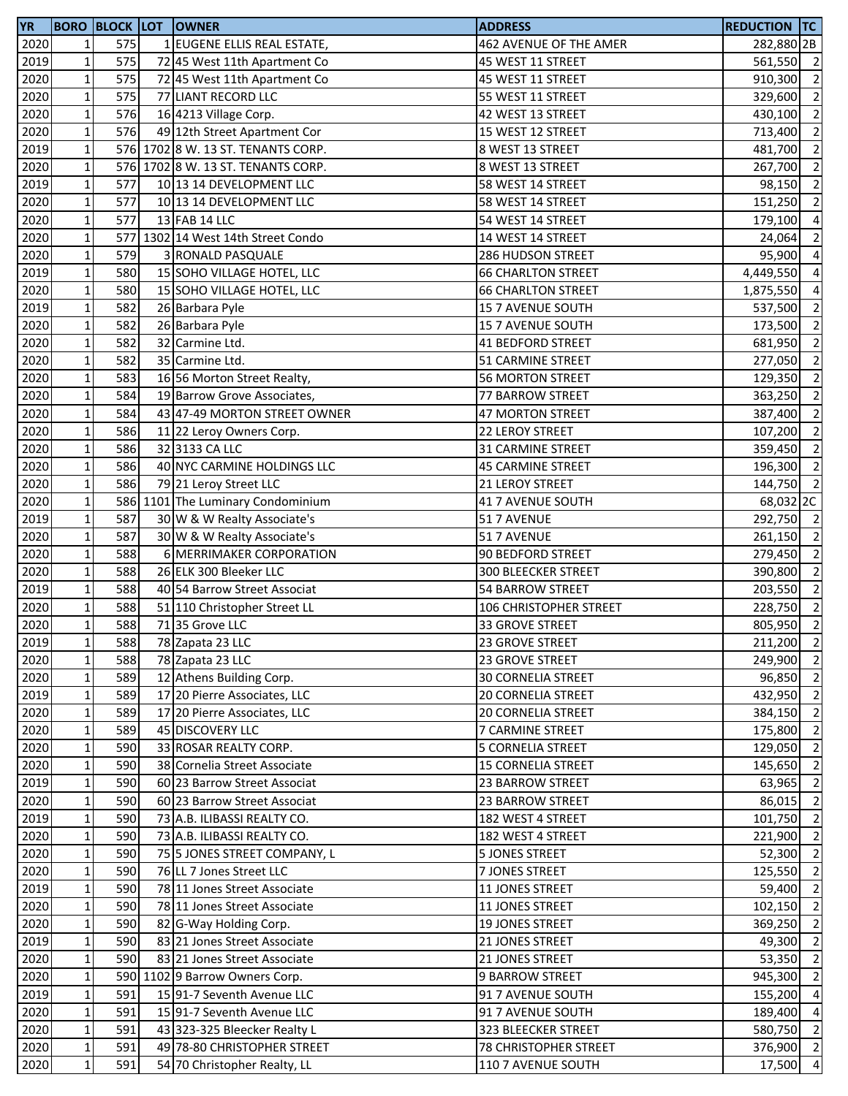| <b>YR</b> |                 |     | <b>BORO BLOCK LOT OWNER</b>        | <b>ADDRESS</b>             | <b>REDUCTION TC</b> |                          |
|-----------|-----------------|-----|------------------------------------|----------------------------|---------------------|--------------------------|
| 2020      | $1\overline{ }$ | 575 | 1 EUGENE ELLIS REAL ESTATE,        | 462 AVENUE OF THE AMER     | 282,880 2B          |                          |
| 2019      | $1\vert$        | 575 | 72 45 West 11th Apartment Co       | 45 WEST 11 STREET          | 561,550 2           |                          |
| 2020      | $\mathbf 1$     | 575 | 72 45 West 11th Apartment Co       | 45 WEST 11 STREET          | 910,300             | $\overline{2}$           |
| 2020      | $\mathbf 1$     | 575 | 77 LIANT RECORD LLC                | 55 WEST 11 STREET          | 329,600             | $\overline{2}$           |
| 2020      | $\mathbf 1$     | 576 | 16 4213 Village Corp.              | 42 WEST 13 STREET          | 430,100 2           |                          |
| 2020      | $1\vert$        | 576 | 49 12th Street Apartment Cor       | 15 WEST 12 STREET          | 713,400             | $\overline{2}$           |
| 2019      | $\mathbf 1$     |     | 576 1702 8 W. 13 ST. TENANTS CORP. | 8 WEST 13 STREET           | 481,700             | $\overline{2}$           |
| 2020      | $\mathbf 1$     |     | 576 1702 8 W. 13 ST. TENANTS CORP. | 8 WEST 13 STREET           | 267,700             | $\overline{2}$           |
| 2019      | $1\vert$        | 577 | 10 13 14 DEVELOPMENT LLC           | 58 WEST 14 STREET          | 98,150              | $\overline{2}$           |
| 2020      | $1\vert$        | 577 | 10 13 14 DEVELOPMENT LLC           | 58 WEST 14 STREET          | 151,250             | $\overline{2}$           |
| 2020      | $\mathbf 1$     | 577 | 13 FAB 14 LLC                      | 54 WEST 14 STREET          | 179,100             | $\overline{4}$           |
| 2020      | $\mathbf 1$     |     | 577 1302 14 West 14th Street Condo | 14 WEST 14 STREET          | 24,064              | $\overline{2}$           |
| 2020      | $\mathbf 1$     | 579 | 3 RONALD PASQUALE                  | 286 HUDSON STREET          | 95,900              | $\overline{4}$           |
| 2019      | $\mathbf{1}$    | 580 | 15 SOHO VILLAGE HOTEL, LLC         | <b>66 CHARLTON STREET</b>  | 4,449,550 4         |                          |
| 2020      | $\mathbf 1$     | 580 | 15 SOHO VILLAGE HOTEL, LLC         | <b>66 CHARLTON STREET</b>  | 1,875,550           | $\overline{4}$           |
| 2019      | $\mathbf 1$     | 582 | 26 Barbara Pyle                    | 15 7 AVENUE SOUTH          | 537,500             | $\overline{2}$           |
| 2020      | $1\vert$        | 582 | 26 Barbara Pyle                    | 15 7 AVENUE SOUTH          | 173,500             | $\overline{2}$           |
| 2020      | $1\vert$        | 582 | 32 Carmine Ltd.                    | 41 BEDFORD STREET          | 681,950             | $\overline{2}$           |
| 2020      | $\mathbf 1$     | 582 | 35 Carmine Ltd.                    | 51 CARMINE STREET          | 277,050             | $\overline{\phantom{a}}$ |
| 2020      | $\mathbf 1$     | 583 | 16 56 Morton Street Realty,        | <b>56 MORTON STREET</b>    | 129,350 2           |                          |
| 2020      | $\mathbf 1$     | 584 | 19 Barrow Grove Associates,        | 77 BARROW STREET           | 363,250             | $\overline{2}$           |
| 2020      | $\mathbf 1$     | 584 | 43 47-49 MORTON STREET OWNER       | 47 MORTON STREET           | 387,400 2           |                          |
| 2020      | $\mathbf 1$     | 586 | 11 22 Leroy Owners Corp.           | 22 LEROY STREET            | 107,200             | $\overline{2}$           |
| 2020      | $\mathbf 1$     | 586 | 32 3133 CA LLC                     | 31 CARMINE STREET          | 359,450             | $\overline{2}$           |
| 2020      | $1\vert$        | 586 | 40 NYC CARMINE HOLDINGS LLC        | <b>45 CARMINE STREET</b>   | 196,300             | $\overline{2}$           |
| 2020      | $1\vert$        | 586 | 79 21 Leroy Street LLC             | 21 LEROY STREET            | 144,750             | $\overline{2}$           |
| 2020      | $\mathbf 1$     |     | 586 1101 The Luminary Condominium  | 41 7 AVENUE SOUTH          | 68,032 2C           |                          |
| 2019      | $\mathbf 1$     | 587 | 30 W & W Realty Associate's        | 51 7 AVENUE                | 292,750 2           |                          |
| 2020      | $\mathbf 1$     | 587 | 30 W & W Realty Associate's        | 51 7 AVENUE                | 261,150 2           |                          |
| 2020      | $\mathbf 1$     | 588 | 6 MERRIMAKER CORPORATION           | 90 BEDFORD STREET          | 279,450 2           |                          |
| 2020      | $\mathbf 1$     | 588 | 26 ELK 300 Bleeker LLC             | <b>300 BLEECKER STREET</b> | 390,800             | $\overline{2}$           |
| 2019      | $\mathbf 1$     | 588 | 40 54 Barrow Street Associat       | 54 BARROW STREET           | 203,550             | $\overline{2}$           |
| 2020      | $1\vert$        | 588 | 51 110 Christopher Street LL       | 106 CHRISTOPHER STREET     | 228,750             | $\overline{2}$           |
| 2020      | 1 <sup>1</sup>  | 588 | 71 35 Grove LLC                    | 33 GROVE STREET            | 805,950 2           |                          |
| 2019      | $1\vert$        | 588 | 78 Zapata 23 LLC                   | 23 GROVE STREET            | 211,200 2           |                          |
| 2020      | $\mathbf{1}$    | 588 | 78 Zapata 23 LLC                   | 23 GROVE STREET            | 249,900 2           |                          |
| 2020      | $1\,$           | 589 | 12 Athens Building Corp.           | <b>30 CORNELIA STREET</b>  | 96,850 2            |                          |
| 2019      | $\mathbf 1$     | 589 | 17 20 Pierre Associates, LLC       | <b>20 CORNELIA STREET</b>  | 432,950 2           |                          |
| 2020      | $\mathbf 1$     | 589 | 17 20 Pierre Associates, LLC       | <b>20 CORNELIA STREET</b>  | 384,150 2           |                          |
| 2020      | $\mathbf 1$     | 589 | 45 DISCOVERY LLC                   | 7 CARMINE STREET           | 175,800             | $\overline{2}$           |
| 2020      | $\mathbf 1$     | 590 | 33 ROSAR REALTY CORP.              | 5 CORNELIA STREET          | 129,050 2           |                          |
| 2020      | $1\vert$        | 590 | 38 Cornelia Street Associate       | <b>15 CORNELIA STREET</b>  | 145,650             | $\overline{2}$           |
| 2019      | $1\,$           | 590 | 60 23 Barrow Street Associat       | 23 BARROW STREET           | 63,965              | $\overline{2}$           |
| 2020      | $\mathbf{1}$    | 590 | 60 23 Barrow Street Associat       | 23 BARROW STREET           | 86,015              | $\overline{2}$           |
| 2019      | $1\,$           | 590 | 73 A.B. ILIBASSI REALTY CO.        | 182 WEST 4 STREET          | 101,750             | $\overline{2}$           |
| 2020      | $1\,$           | 590 | 73 A.B. ILIBASSI REALTY CO.        | 182 WEST 4 STREET          | 221,900 2           |                          |
| 2020      | $1\,$           | 590 | 75 5 JONES STREET COMPANY, L       | 5 JONES STREET             | 52,300 2            |                          |
| 2020      | $1\,$           | 590 | 76 LL 7 Jones Street LLC           | 7 JONES STREET             | 125,550 2           |                          |
| 2019      | $\mathbf 1$     | 590 | 78 11 Jones Street Associate       | 11 JONES STREET            | 59,400              | $\overline{2}$           |
| 2020      | $1\vert$        | 590 | 78 11 Jones Street Associate       | 11 JONES STREET            | 102,150             | $\overline{2}$           |
| 2020      | $\mathbf 1$     | 590 | 82 G-Way Holding Corp.             | <b>19 JONES STREET</b>     | 369,250             | $\overline{2}$           |
| 2019      | $\mathbf 1$     | 590 | 83 21 Jones Street Associate       | 21 JONES STREET            | 49,300              | $\overline{2}$           |
| 2020      | $\mathbf 1$     | 590 | 83 21 Jones Street Associate       | 21 JONES STREET            | 53,350              | $\overline{2}$           |
| 2020      | $1\,$           |     | 590 1102 9 Barrow Owners Corp.     | 9 BARROW STREET            | 945,300             | $\overline{2}$           |
| 2019      | $1\,$           | 591 | 15 91-7 Seventh Avenue LLC         | 91 7 AVENUE SOUTH          | 155,200 4           |                          |
| 2020      | $1\vert$        | 591 | 15 91-7 Seventh Avenue LLC         | 91 7 AVENUE SOUTH          | 189,400 4           |                          |
| 2020      | $\mathbf 1$     | 591 | 43 323-325 Bleecker Realty L       | 323 BLEECKER STREET        | 580,750             | $\overline{2}$           |
| 2020      | $1\vert$        | 591 | 49 78-80 CHRISTOPHER STREET        | 78 CHRISTOPHER STREET      | 376,900 2           |                          |
| 2020      | $\mathbf 1$     | 591 | 54 70 Christopher Realty, LL       | 110 7 AVENUE SOUTH         | 17,500 4            |                          |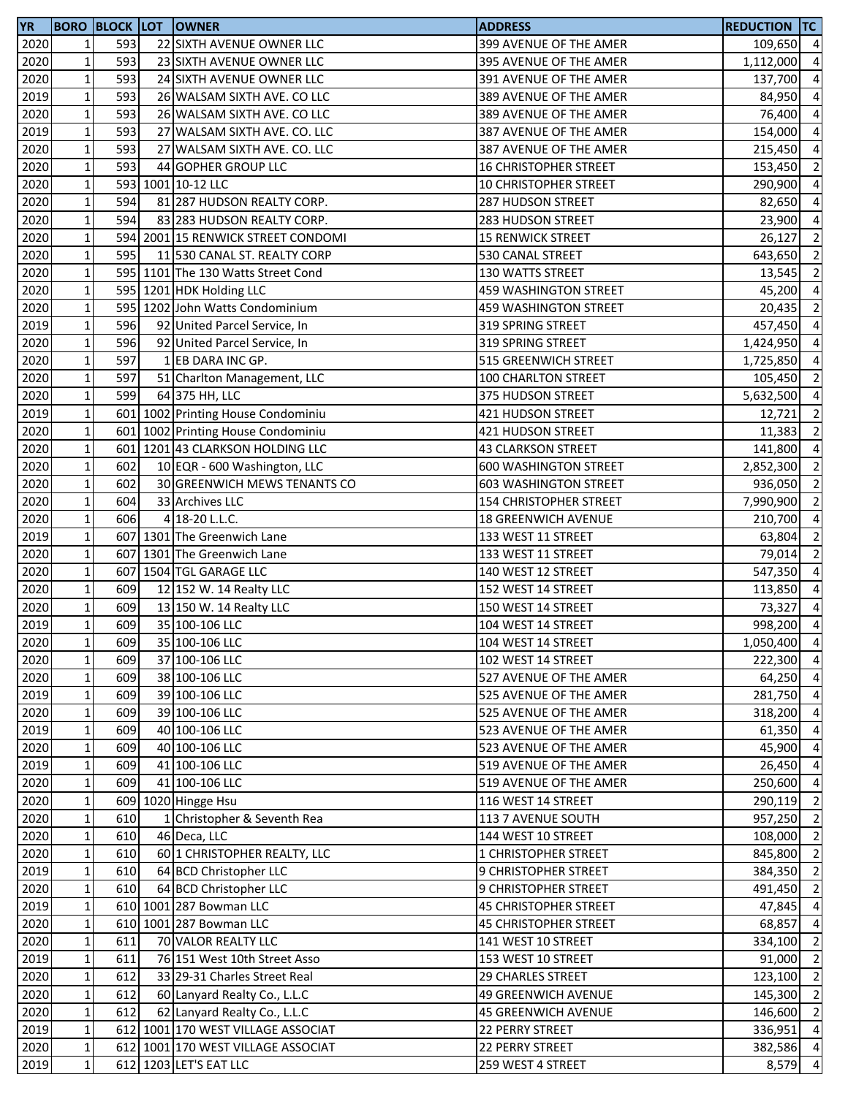| <b>YR</b> |                 |     | <b>BORO BLOCK LOT OWNER</b>        | <b>ADDRESS</b>                | <b>REDUCTION TC</b> |                |
|-----------|-----------------|-----|------------------------------------|-------------------------------|---------------------|----------------|
| 2020      | $\mathbf{1}$    | 593 | 22 SIXTH AVENUE OWNER LLC          | 399 AVENUE OF THE AMER        | 109,650 4           |                |
| 2020      | 1 <sup>1</sup>  | 593 | 23 SIXTH AVENUE OWNER LLC          | 395 AVENUE OF THE AMER        | 1,112,000           | $\overline{4}$ |
| 2020      | $\mathbf 1$     | 593 | 24 SIXTH AVENUE OWNER LLC          | 391 AVENUE OF THE AMER        | 137,700             | $\overline{4}$ |
| 2019      | $\mathbf 1$     | 593 | 26 WALSAM SIXTH AVE. CO LLC        | 389 AVENUE OF THE AMER        | 84,950              | $\overline{4}$ |
| 2020      | $1\,$           | 593 | 26 WALSAM SIXTH AVE. CO LLC        | 389 AVENUE OF THE AMER        | 76,400 4            |                |
| 2019      | $\mathbf 1$     | 593 | 27 WALSAM SIXTH AVE. CO. LLC       | 387 AVENUE OF THE AMER        | 154,000             | $\overline{4}$ |
| 2020      | $\mathbf{1}$    | 593 | 27 WALSAM SIXTH AVE. CO. LLC       | 387 AVENUE OF THE AMER        | 215,450             | $\overline{4}$ |
| 2020      | $\mathbf 1$     | 593 | 44 GOPHER GROUP LLC                | <b>16 CHRISTOPHER STREET</b>  | 153,450             | $\overline{2}$ |
| 2020      | $1\vert$        |     | 593 1001 10-12 LLC                 | 10 CHRISTOPHER STREET         | 290,900             | $\overline{4}$ |
| 2020      | $1\overline{ }$ | 594 | 81 287 HUDSON REALTY CORP.         | 287 HUDSON STREET             | 82,650              | $\overline{a}$ |
| 2020      | $\mathbf 1$     | 594 | 83 283 HUDSON REALTY CORP.         | 283 HUDSON STREET             | 23,900              | $\overline{a}$ |
| 2020      | $\mathbf 1$     |     | 594 2001 15 RENWICK STREET CONDOMI | <b>15 RENWICK STREET</b>      | 26,127              | $\overline{2}$ |
| 2020      | $\mathbf 1$     | 595 | 11 530 CANAL ST. REALTY CORP       | 530 CANAL STREET              | 643,650             | $\overline{2}$ |
|           | $\mathbf{1}$    |     |                                    |                               |                     | $\overline{2}$ |
| 2020      |                 |     | 595 1101 The 130 Watts Street Cond | 130 WATTS STREET              | 13,545              |                |
| 2020      | $\mathbf 1$     |     | 595 1201 HDK Holding LLC           | 459 WASHINGTON STREET         | 45,200              | $\overline{4}$ |
| 2020      | $\mathbf 1$     |     | 595 1202 John Watts Condominium    | 459 WASHINGTON STREET         | 20,435              | $\overline{2}$ |
| 2019      | $1\vert$        | 596 | 92 United Parcel Service, In       | 319 SPRING STREET             | 457,450             | $\overline{4}$ |
| 2020      | $\mathbf{1}$    | 596 | 92 United Parcel Service, In       | 319 SPRING STREET             | 1,424,950           | $\overline{4}$ |
| 2020      | $\mathbf 1$     | 597 | 1 EB DARA INC GP.                  | 515 GREENWICH STREET          | 1,725,850           | $\overline{4}$ |
| 2020      | $\mathbf 1$     | 597 | 51 Charlton Management, LLC        | 100 CHARLTON STREET           | 105,450             | $\overline{2}$ |
| 2020      | $\mathbf 1$     | 599 | 64 375 HH, LLC                     | 375 HUDSON STREET             | 5,632,500           | $\overline{4}$ |
| 2019      | $\mathbf 1$     |     | 601 1002 Printing House Condominiu | 421 HUDSON STREET             | 12,721              | $\overline{2}$ |
| 2020      | $\mathbf 1$     |     | 601 1002 Printing House Condominiu | 421 HUDSON STREET             | 11,383              | $\overline{2}$ |
| 2020      | $\mathbf 1$     |     | 601 1201 43 CLARKSON HOLDING LLC   | <b>43 CLARKSON STREET</b>     | 141,800             | $\overline{4}$ |
| 2020      | $\mathbf 1$     | 602 | 10 EQR - 600 Washington, LLC       | <b>600 WASHINGTON STREET</b>  | 2,852,300           | $\overline{2}$ |
| 2020      | $1\overline{ }$ | 602 | 30 GREENWICH MEWS TENANTS CO       | <b>603 WASHINGTON STREET</b>  | 936,050             | $\overline{2}$ |
| 2020      | $\mathbf 1$     | 604 | 33 Archives LLC                    | <b>154 CHRISTOPHER STREET</b> | 7,990,900           | $\overline{2}$ |
| 2020      | $\mathbf{1}$    | 606 | 4 18-20 L.L.C.                     | 18 GREENWICH AVENUE           | 210,700             | $\overline{a}$ |
| 2019      | $\mathbf 1$     |     | 607 1301 The Greenwich Lane        | 133 WEST 11 STREET            | 63,804              | $\overline{2}$ |
| 2020      | $\mathbf 1$     |     | 607 1301 The Greenwich Lane        | 133 WEST 11 STREET            | 79,014              | $\overline{2}$ |
| 2020      | $\mathbf 1$     |     | 607 1504 TGL GARAGE LLC            | 140 WEST 12 STREET            | 547,350             | $\overline{4}$ |
| 2020      | $\mathbf 1$     | 609 | 12 152 W. 14 Realty LLC            | 152 WEST 14 STREET            | 113,850             | $\overline{4}$ |
| 2020      | $1\vert$        | 609 | 13 150 W. 14 Realty LLC            | 150 WEST 14 STREET            | 73,327              | $\overline{4}$ |
| 2019      | 1 <sup>1</sup>  | 609 | 35 100-106 LLC                     | 104 WEST 14 STREET            | 998,200             | $\overline{4}$ |
| 2020      | $1\vert$        | 609 | 35 100-106 LLC                     | 104 WEST 14 STREET            | 1,050,400 4         |                |
| 2020      | $\mathbf 1$     | 609 | 37 100-106 LLC                     | 102 WEST 14 STREET            | 222,300 4           |                |
| 2020      | $1\,$           | 609 | 38 100-106 LLC                     | 527 AVENUE OF THE AMER        | 64,250 4            |                |
| 2019      | $\mathbf 1$     | 609 | 39 100-106 LLC                     | 525 AVENUE OF THE AMER        | 281,750 4           |                |
| 2020      | $1\,$           | 609 | 39 100-106 LLC                     | 525 AVENUE OF THE AMER        | 318,200 4           |                |
| 2019      | $\mathbf 1$     | 609 | 40 100-106 LLC                     | 523 AVENUE OF THE AMER        | 61,350 4            |                |
| 2020      | $\mathbf 1$     | 609 | 40 100-106 LLC                     | 523 AVENUE OF THE AMER        | 45,900 4            |                |
|           |                 |     |                                    |                               |                     |                |
| 2019      | $1\vert$        | 609 | 41 100-106 LLC                     | 519 AVENUE OF THE AMER        | 26,450 4            |                |
| 2020      | $1\,$           | 609 | 41 100-106 LLC                     | 519 AVENUE OF THE AMER        | 250,600             | $\overline{4}$ |
| 2020      | $\mathbf{1}$    |     | 609 1020 Hingge Hsu                | 116 WEST 14 STREET            | 290,119             | $\overline{2}$ |
| 2020      | $1\,$           | 610 | 1 Christopher & Seventh Rea        | 113 7 AVENUE SOUTH            | 957,250 2           |                |
| 2020      | $1\overline{ }$ | 610 | 46 Deca, LLC                       | 144 WEST 10 STREET            | 108,000 2           |                |
| 2020      | $1\overline{ }$ | 610 | 60 1 CHRISTOPHER REALTY, LLC       | 1 CHRISTOPHER STREET          | 845,800 2           |                |
| 2019      | $1\vert$        | 610 | 64 BCD Christopher LLC             | 9 CHRISTOPHER STREET          | 384,350 2           |                |
| 2020      | $1\,$           | 610 | 64 BCD Christopher LLC             | 9 CHRISTOPHER STREET          | 491,450 2           |                |
| 2019      | $1\vert$        |     | 610 1001 287 Bowman LLC            | 45 CHRISTOPHER STREET         | 47,845              | $\overline{4}$ |
| 2020      | $1\vert$        |     | 610 1001 287 Bowman LLC            | 45 CHRISTOPHER STREET         | 68,857              | $\overline{4}$ |
| 2020      | 1 <sup>1</sup>  | 611 | 70 VALOR REALTY LLC                | 141 WEST 10 STREET            | 334,100             | $\overline{2}$ |
| 2019      | $1\,$           | 611 | 76 151 West 10th Street Asso       | 153 WEST 10 STREET            | 91,000              | $\overline{2}$ |
| 2020      | $1\vert$        | 612 | 33 29-31 Charles Street Real       | 29 CHARLES STREET             | 123,100             | $\overline{2}$ |
| 2020      | $1\,$           | 612 | 60 Lanyard Realty Co., L.L.C       | <b>49 GREENWICH AVENUE</b>    | 145,300 2           |                |
| 2020      | $1\vert$        | 612 | 62 Lanyard Realty Co., L.L.C       | <b>45 GREENWICH AVENUE</b>    | 146,600 2           |                |
| 2019      | $\mathbf 1$     |     | 612 1001 170 WEST VILLAGE ASSOCIAT | 22 PERRY STREET               | 336,951             | $\overline{4}$ |
| 2020      | $1\vert$        |     | 612 1001 170 WEST VILLAGE ASSOCIAT | 22 PERRY STREET               | 382,586 4           |                |
| 2019      | $\mathbf 1$     |     | 612 1203 LET'S EAT LLC             | 259 WEST 4 STREET             | $8,579$ 4           |                |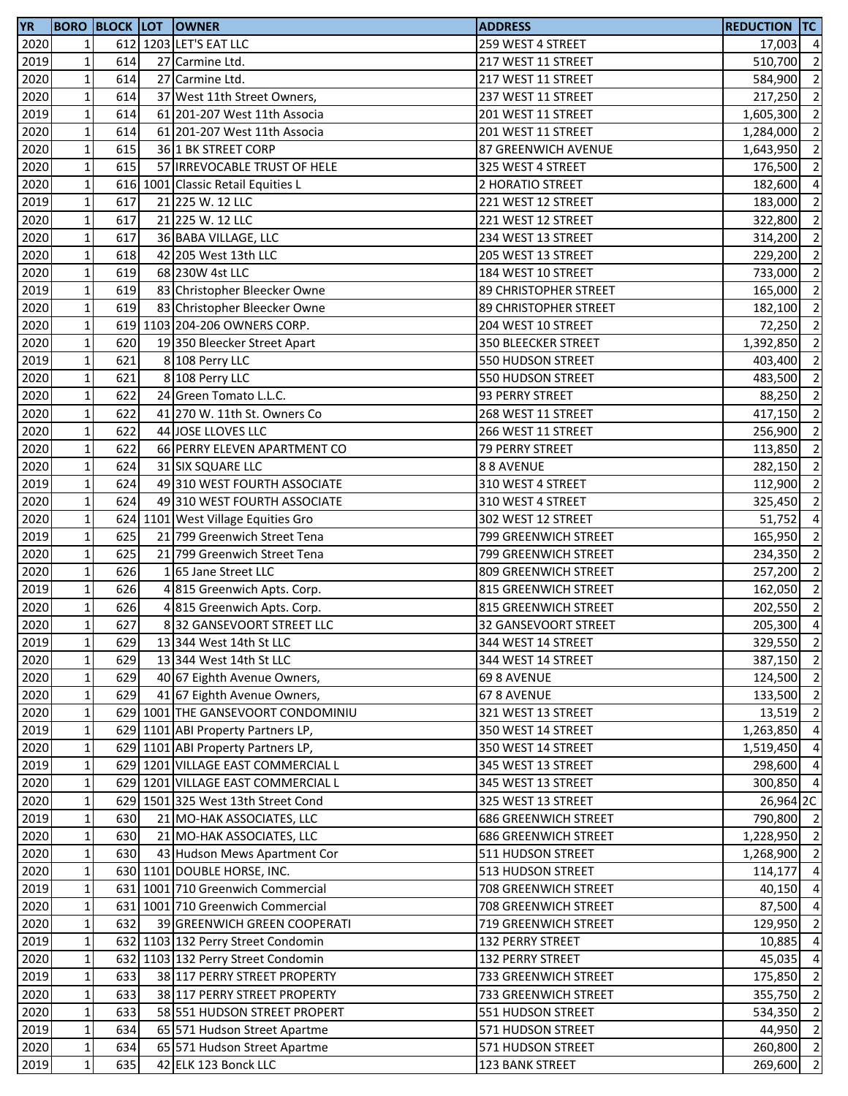| <b>YR</b>    |                            |            | <b>BORO BLOCK LOT OWNER</b>                                              | <b>ADDRESS</b>              | <b>REDUCTION TC</b>  |                          |
|--------------|----------------------------|------------|--------------------------------------------------------------------------|-----------------------------|----------------------|--------------------------|
| 2020         | $\mathbf{1}$               |            | 612 1203 LET'S EAT LLC                                                   | 259 WEST 4 STREET           | 17,003               | $\overline{4}$           |
| 2019         | $\mathbf 1$                | 614        | 27 Carmine Ltd.                                                          | 217 WEST 11 STREET          | 510,700              | $\overline{2}$           |
| 2020         | $\mathbf{1}$               | 614        | 27 Carmine Ltd.                                                          | 217 WEST 11 STREET          | 584,900              | $\overline{2}$           |
| 2020         | $\mathbf 1$                | 614        | 37 West 11th Street Owners,                                              | 237 WEST 11 STREET          | 217,250 2            |                          |
| 2019         | $\mathbf 1$                | 614        | 61 201-207 West 11th Associa                                             | 201 WEST 11 STREET          | 1,605,300 2          |                          |
| 2020         | $\mathbf 1$                | 614        | 61 201-207 West 11th Associa                                             | 201 WEST 11 STREET          | 1,284,000            | $\overline{\phantom{a}}$ |
| 2020         | $\mathbf 1$                | 615        | 36 1 BK STREET CORP                                                      | 87 GREENWICH AVENUE         | 1,643,950            | $\overline{2}$           |
| 2020         | $1\vert$                   | 615        | 57 <b>IRREVOCABLE TRUST OF HELE</b>                                      | 325 WEST 4 STREET           | 176,500              | $\overline{2}$           |
| 2020         | $1\vert$                   |            | 616 1001 Classic Retail Equities L                                       | 2 HORATIO STREET            | 182,600              | $\overline{4}$           |
| 2019         | $1\vert$                   | 617        | 21 225 W. 12 LLC                                                         | 221 WEST 12 STREET          | 183,000              | $\overline{2}$           |
| 2020         | $\mathbf 1$                | 617        | 21 225 W. 12 LLC                                                         | 221 WEST 12 STREET          | 322,800              | $\overline{2}$           |
| 2020         | $\mathbf 1$                | 617        | 36 BABA VILLAGE, LLC                                                     | 234 WEST 13 STREET          | 314,200              | $\overline{2}$           |
| 2020         | $\mathbf 1$                | 618        | 42 205 West 13th LLC                                                     | 205 WEST 13 STREET          | 229,200 2            |                          |
| 2020         | $1\vert$                   | 619        | 68 230W 4st LLC                                                          | 184 WEST 10 STREET          | 733,000              | $\overline{2}$           |
| 2019         | $\mathbf 1$                | 619        | 83 Christopher Bleecker Owne                                             | 89 CHRISTOPHER STREET       | 165,000              | $\overline{2}$           |
| 2020         | $1\vert$                   | 619        | 83 Christopher Bleecker Owne                                             | 89 CHRISTOPHER STREET       | 182,100              | $\overline{2}$           |
| 2020         | $\mathbf 1$                |            | 619 1103 204-206 OWNERS CORP.                                            | 204 WEST 10 STREET          | 72,250               | $\overline{2}$           |
| 2020         | $1\vert$                   | 620        | 19 350 Bleecker Street Apart                                             | 350 BLEECKER STREET         | 1,392,850            | $\overline{2}$           |
| 2019         | $\mathbf 1$                | 621        | 8 108 Perry LLC                                                          | 550 HUDSON STREET           | 403,400              | $\overline{\mathbf{c}}$  |
| 2020         | $\mathbf 1$                | 621        | 8 108 Perry LLC                                                          | 550 HUDSON STREET           | 483,500              | $\overline{2}$           |
| 2020         | $\mathbf 1$                | 622        | 24 Green Tomato L.L.C.                                                   | 93 PERRY STREET             | 88,250               | $\overline{2}$           |
| 2020         | $\mathbf{1}$               | 622        | 41 270 W. 11th St. Owners Co                                             | 268 WEST 11 STREET          | 417,150 2            |                          |
| 2020         | $\mathbf 1$                | 622        | 44 JOSE LLOVES LLC                                                       | 266 WEST 11 STREET          | 256,900 2            |                          |
| 2020         | $\mathbf 1$                | 622        | 66 PERRY ELEVEN APARTMENT CO                                             | 79 PERRY STREET             | 113,850              | $\overline{2}$           |
| 2020         | $1\vert$                   | 624        | 31 SIX SQUARE LLC                                                        | 88 AVENUE                   | 282,150              | $\overline{2}$           |
| 2019         | $1\overline{ }$            | 624        | 49 310 WEST FOURTH ASSOCIATE                                             | 310 WEST 4 STREET           | 112,900              | $\overline{2}$           |
| 2020         | $\mathbf 1$                | 624        | 49 310 WEST FOURTH ASSOCIATE                                             | 310 WEST 4 STREET           | 325,450              | $\overline{2}$           |
| 2020         | $\mathbf{1}$               |            | 624 1101 West Village Equities Gro                                       | 302 WEST 12 STREET          | 51,752               | $\overline{4}$           |
| 2019         | $1\,$                      | 625        | 21 799 Greenwich Street Tena                                             | 799 GREENWICH STREET        | 165,950              | $\overline{\phantom{a}}$ |
| 2020         | $\mathbf 1$                | 625        | 21 799 Greenwich Street Tena                                             | 799 GREENWICH STREET        | 234,350 2            |                          |
| 2020         | $\mathbf 1$                | 626        | 165 Jane Street LLC                                                      | 809 GREENWICH STREET        | 257,200              | $\overline{2}$           |
| 2019         | $1\vert$                   | 626        | 4 815 Greenwich Apts. Corp.                                              | 815 GREENWICH STREET        | 162,050 2            |                          |
| 2020         | $1\vert$                   | 626        | 4 815 Greenwich Apts. Corp.                                              | 815 GREENWICH STREET        | 202,550              | $\overline{\phantom{a}}$ |
| 2020         | $\mathbf{1}$               | 627        | 832 GANSEVOORT STREET LLC                                                | 32 GANSEVOORT STREET        | $205,300$ 4          |                          |
| 2019         | $1\vert$                   | 629        | 13 344 West 14th St LLC                                                  | 344 WEST 14 STREET          | 329,550 2            |                          |
| 2020         | $\mathbf 1$                | 629        | 13 344 West 14th St LLC                                                  | 344 WEST 14 STREET          | 387,150 2            |                          |
| 2020         | $1\,$                      | 629        | 40 67 Eighth Avenue Owners,                                              | 69 8 AVENUE                 | 124,500 2            |                          |
| 2020         | $1\,$                      | 629        | 41 67 Eighth Avenue Owners,                                              | 67 8 AVENUE                 | 133,500 2            |                          |
| 2020         | $1\vert$                   |            | 629 1001 THE GANSEVOORT CONDOMINIU                                       | 321 WEST 13 STREET          | 13,519 2             |                          |
| 2019         | $\mathbf 1$                |            | 629 1101 ABI Property Partners LP,                                       | 350 WEST 14 STREET          | 1,263,850 4          |                          |
| 2020         | $1\vert$                   |            | 629 1101 ABI Property Partners LP,                                       | 350 WEST 14 STREET          | 1,519,450            | $\overline{4}$           |
| 2019         | $1\vert$                   |            | 629 1201 VILLAGE EAST COMMERCIAL L                                       | 345 WEST 13 STREET          | 298,600              | $\overline{4}$           |
| 2020         | 1 <sup>1</sup>             |            | 629 1201 VILLAGE EAST COMMERCIAL L                                       | 345 WEST 13 STREET          | 300,850 4            |                          |
| 2020         | $\mathbf{1}$               |            | 629 1501 325 West 13th Street Cond                                       | 325 WEST 13 STREET          | 26,964 2C            |                          |
| 2019         | $1\,$                      | 630        | 21 MO-HAK ASSOCIATES, LLC                                                | <b>686 GREENWICH STREET</b> | 790,800 2            |                          |
| 2020         | $1\overline{ }$            | 630        | 21 MO-HAK ASSOCIATES, LLC                                                | <b>686 GREENWICH STREET</b> | 1,228,950 2          |                          |
| 2020         | $\mathbf 1$                | 630        | 43 Hudson Mews Apartment Cor                                             | 511 HUDSON STREET           | 1,268,900 2          |                          |
| 2020         | $\mathbf{1}$               |            | 630 1101 DOUBLE HORSE, INC.                                              | 513 HUDSON STREET           | 114,177 4            |                          |
| 2019         | $1\vert$                   |            | 631 1001 710 Greenwich Commercial                                        | 708 GREENWICH STREET        | 40,150 4             |                          |
|              |                            |            |                                                                          |                             |                      | $\overline{4}$           |
| 2020<br>2020 | $1\vert$<br>$\mathbf 1$    | 632        | 631 1001 710 Greenwich Commercial<br>39 GREENWICH GREEN COOPERATI        | 708 GREENWICH STREET        | 87,500               | $\overline{2}$           |
|              |                            |            |                                                                          | 719 GREENWICH STREET        | 129,950              | $\overline{4}$           |
| 2019         | $\mathbf{1}$               |            | 632 1103 132 Perry Street Condomin<br>632 1103 132 Perry Street Condomin | 132 PERRY STREET            | 10,885               | $\overline{4}$           |
| 2020         | $\mathbf 1$                | 633        |                                                                          | 132 PERRY STREET            | 45,035               | $\overline{2}$           |
| 2019         | $\mathbf 1$                |            | 38 117 PERRY STREET PROPERTY                                             | 733 GREENWICH STREET        | 175,850<br>355,750 2 |                          |
| 2020         | $\mathbf 1$                | 633        | 38 117 PERRY STREET PROPERTY                                             | 733 GREENWICH STREET        | 534,350 2            |                          |
| 2020         | $\mathbf 1$<br>$\mathbf 1$ | 633<br>634 | 58 551 HUDSON STREET PROPERT                                             | 551 HUDSON STREET           | 44,950 2             |                          |
| 2019         |                            |            | 65 571 Hudson Street Apartme                                             | 571 HUDSON STREET           | 260,800 2            |                          |
| 2020         | $1\vert$                   | 634        | 65 571 Hudson Street Apartme                                             | 571 HUDSON STREET           |                      | $\overline{2}$           |
| 2019         | $1\vert$                   | 635        | 42 ELK 123 Bonck LLC                                                     | 123 BANK STREET             | 269,600              |                          |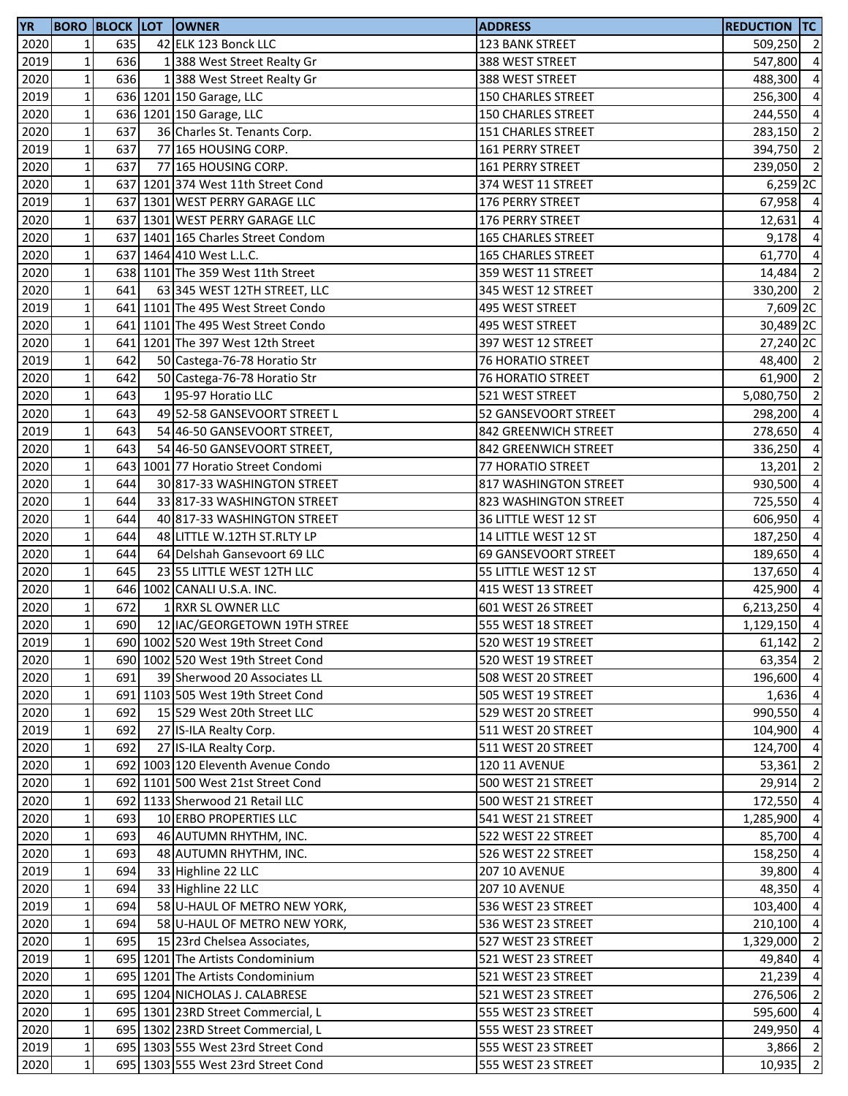| <b>YR</b> |                 |     | <b>BORO BLOCK LOT OWNER</b>        | <b>ADDRESS</b>            | <b>REDUCTION TC</b> |                |
|-----------|-----------------|-----|------------------------------------|---------------------------|---------------------|----------------|
| 2020      | $\mathbf{1}$    | 635 | 42 ELK 123 Bonck LLC               | 123 BANK STREET           | 509,250 2           |                |
| 2019      | $1\vert$        | 636 | 1 388 West Street Realty Gr        | 388 WEST STREET           | 547,800             | $\overline{4}$ |
| 2020      | $\mathbf 1$     | 636 | 1 388 West Street Realty Gr        | 388 WEST STREET           | 488,300             | $\overline{4}$ |
| 2019      | $\mathbf 1$     |     | 636 1201 150 Garage, LLC           | <b>150 CHARLES STREET</b> | 256,300             | $\overline{a}$ |
| 2020      | $\mathbf 1$     |     | 636 1201 150 Garage, LLC           | <b>150 CHARLES STREET</b> | 244,550 4           |                |
| 2020      | $\mathbf 1$     | 637 | 36 Charles St. Tenants Corp.       | 151 CHARLES STREET        | 283,150 2           |                |
| 2019      | $\mathbf 1$     | 637 | 77 165 HOUSING CORP.               | <b>161 PERRY STREET</b>   | 394,750 2           |                |
| 2020      | $\mathbf 1$     | 637 | 77 165 HOUSING CORP.               | 161 PERRY STREET          | 239,050             | $\overline{2}$ |
| 2020      | $1\vert$        |     | 637 1201 374 West 11th Street Cond | 374 WEST 11 STREET        | 6,259 2C            |                |
| 2019      | $1\overline{ }$ |     | 637 1301 WEST PERRY GARAGE LLC     | 176 PERRY STREET          | 67,958              | $\overline{4}$ |
| 2020      | $\mathbf{1}$    |     | 637 1301 WEST PERRY GARAGE LLC     | 176 PERRY STREET          | 12,631              | $\overline{a}$ |
| 2020      | $\mathbf 1$     |     | 637 1401 165 Charles Street Condom | <b>165 CHARLES STREET</b> | 9,178               | $\overline{4}$ |
| 2020      | $\mathbf 1$     |     | 637 1464 410 West L.L.C.           | <b>165 CHARLES STREET</b> | 61,770 4            |                |
| 2020      | $\mathbf{1}$    |     | 638 1101 The 359 West 11th Street  | 359 WEST 11 STREET        | 14,484              | $\overline{2}$ |
| 2020      | $\mathbf 1$     | 641 | 63 345 WEST 12TH STREET, LLC       | 345 WEST 12 STREET        | 330,200 2           |                |
| 2019      | $\mathbf 1$     |     | 641 1101 The 495 West Street Condo | 495 WEST STREET           | 7,609 2C            |                |
| 2020      | $\mathbf 1$     |     | 641 1101 The 495 West Street Condo | 495 WEST STREET           | 30,489 2C           |                |
| 2020      | $1\overline{ }$ |     | 641 1201 The 397 West 12th Street  |                           |                     |                |
| 2019      |                 | 642 |                                    | 397 WEST 12 STREET        | 27,240 2C           |                |
|           | $\mathbf 1$     |     | 50 Castega-76-78 Horatio Str       | <b>76 HORATIO STREET</b>  | 48,400 2            |                |
| 2020      | $\mathbf 1$     | 642 | 50 Castega-76-78 Horatio Str       | <b>76 HORATIO STREET</b>  | 61,900 2            |                |
| 2020      | $\mathbf 1$     | 643 | 195-97 Horatio LLC                 | 521 WEST STREET           | 5,080,750 2         |                |
| 2020      | $\mathbf 1$     | 643 | 49 52-58 GANSEVOORT STREET L       | 52 GANSEVOORT STREET      | 298,200 4           |                |
| 2019      | $\mathbf 1$     | 643 | 54 46-50 GANSEVOORT STREET,        | 842 GREENWICH STREET      | 278,650 4           |                |
| 2020      | $\mathbf 1$     | 643 | 54 46-50 GANSEVOORT STREET,        | 842 GREENWICH STREET      | 336,250             | $\overline{4}$ |
| 2020      | $1\overline{ }$ |     | 643 1001 77 Horatio Street Condomi | 77 HORATIO STREET         | 13,201              | $\overline{2}$ |
| 2020      | $1\vert$        | 644 | 30 817-33 WASHINGTON STREET        | 817 WASHINGTON STREET     | 930,500             | $\overline{4}$ |
| 2020      | $1\overline{ }$ | 644 | 33 817-33 WASHINGTON STREET        | 823 WASHINGTON STREET     | 725,550             | $\overline{4}$ |
| 2020      | $\mathbf{1}$    | 644 | 40 817-33 WASHINGTON STREET        | 36 LITTLE WEST 12 ST      | 606,950             | $\overline{a}$ |
| 2020      | $\mathbf 1$     | 644 | 48 LITTLE W.12TH ST.RLTY LP        | 14 LITTLE WEST 12 ST      | 187,250             | $\overline{a}$ |
| 2020      | $\mathbf 1$     | 644 | 64 Delshah Gansevoort 69 LLC       | 69 GANSEVOORT STREET      | 189,650             | $\overline{4}$ |
| 2020      | $\mathbf 1$     | 645 | 23 55 LITTLE WEST 12TH LLC         | 55 LITTLE WEST 12 ST      | 137,650             | $\overline{4}$ |
| 2020      | $\mathbf 1$     |     | 646 1002 CANALI U.S.A. INC.        | 415 WEST 13 STREET        | 425,900             | $\overline{4}$ |
| 2020      | $1\vert$        | 672 | 1 RXR SL OWNER LLC                 | 601 WEST 26 STREET        | 6,213,250           | $\overline{4}$ |
| 2020      | 1 <sup>1</sup>  | 690 | 12 IAC/GEORGETOWN 19TH STREE       | 555 WEST 18 STREET        | 1,129,150 4         |                |
| 2019      | $1\vert$        |     | 690 1002 520 West 19th Street Cond | 520 WEST 19 STREET        | $61,142$ 2          |                |
| 2020      | $\mathbf{1}$    |     | 690 1002 520 West 19th Street Cond | 520 WEST 19 STREET        | 63,354              | $\overline{2}$ |
| 2020      | $\mathbf 1$     | 691 | 39 Sherwood 20 Associates LL       | 508 WEST 20 STREET        | 196,600 4           |                |
| 2020      | $\mathbf 1$     |     | 691 1103 505 West 19th Street Cond | 505 WEST 19 STREET        | $1,636$ 4           |                |
| 2020      | $\mathbf 1$     | 692 | 15 529 West 20th Street LLC        | 529 WEST 20 STREET        | 990,550 4           |                |
| 2019      | $\mathbf 1$     | 692 | 27 IS-ILA Realty Corp.             | 511 WEST 20 STREET        | 104,900 4           |                |
| 2020      | $\mathbf 1$     | 692 | 27 IS-ILA Realty Corp.             | 511 WEST 20 STREET        | 124,700 4           |                |
| 2020      | $1\vert$        |     | 692 1003 120 Eleventh Avenue Condo | <b>120 11 AVENUE</b>      | 53,361              | $\overline{2}$ |
| 2020      | $\mathbf 1$     |     | 692 1101 500 West 21st Street Cond | 500 WEST 21 STREET        | 29,914              | $\overline{2}$ |
| 2020      | $\mathbf{1}$    |     | 692 1133 Sherwood 21 Retail LLC    | 500 WEST 21 STREET        | 172,550 4           |                |
| 2020      | $\mathbf 1$     | 693 | 10 ERBO PROPERTIES LLC             | 541 WEST 21 STREET        | 1,285,900           | $\overline{4}$ |
| 2020      | $1\overline{ }$ | 693 | 46 AUTUMN RHYTHM, INC.             | 522 WEST 22 STREET        | 85,700 4            |                |
| 2020      | $1\overline{ }$ | 693 | 48 AUTUMN RHYTHM, INC.             | 526 WEST 22 STREET        | 158,250 4           |                |
| 2019      | $1\,$           | 694 | 33 Highline 22 LLC                 | <b>207 10 AVENUE</b>      | 39,800 4            |                |
| 2020      | $1\,$           | 694 | 33 Highline 22 LLC                 | <b>207 10 AVENUE</b>      | 48,350              | $\overline{4}$ |
| 2019      | $1\vert$        | 694 | 58 U-HAUL OF METRO NEW YORK,       | 536 WEST 23 STREET        | 103,400             | $\overline{4}$ |
| 2020      | $\mathbf 1$     | 694 | 58 U-HAUL OF METRO NEW YORK,       | 536 WEST 23 STREET        | 210,100             | $\overline{4}$ |
| 2020      | $1\vert$        | 695 | 15 23rd Chelsea Associates,        | 527 WEST 23 STREET        | 1,329,000           | $\overline{2}$ |
| 2019      | $\mathbf 1$     |     | 695 1201 The Artists Condominium   | 521 WEST 23 STREET        | 49,840              | $\overline{4}$ |
| 2020      | $1\,$           |     | 695 1201 The Artists Condominium   | 521 WEST 23 STREET        | 21,239              | $\overline{4}$ |
| 2020      | $1\,$           |     | 695 1204 NICHOLAS J. CALABRESE     | 521 WEST 23 STREET        | 276,506             | $\overline{2}$ |
| 2020      | $1\vert$        |     | 695 1301 23RD Street Commercial, L | 555 WEST 23 STREET        | 595,600 4           |                |
| 2020      | $1\,$           |     | 695 1302 23RD Street Commercial, L | 555 WEST 23 STREET        | 249,950             | $\overline{4}$ |
| 2019      | $1\vert$        |     | 695 1303 555 West 23rd Street Cond | 555 WEST 23 STREET        | 3,866 2             |                |
|           | $\mathbf 1$     |     |                                    |                           | 10,935              | $\overline{2}$ |
| 2020      |                 |     | 695 1303 555 West 23rd Street Cond | 555 WEST 23 STREET        |                     |                |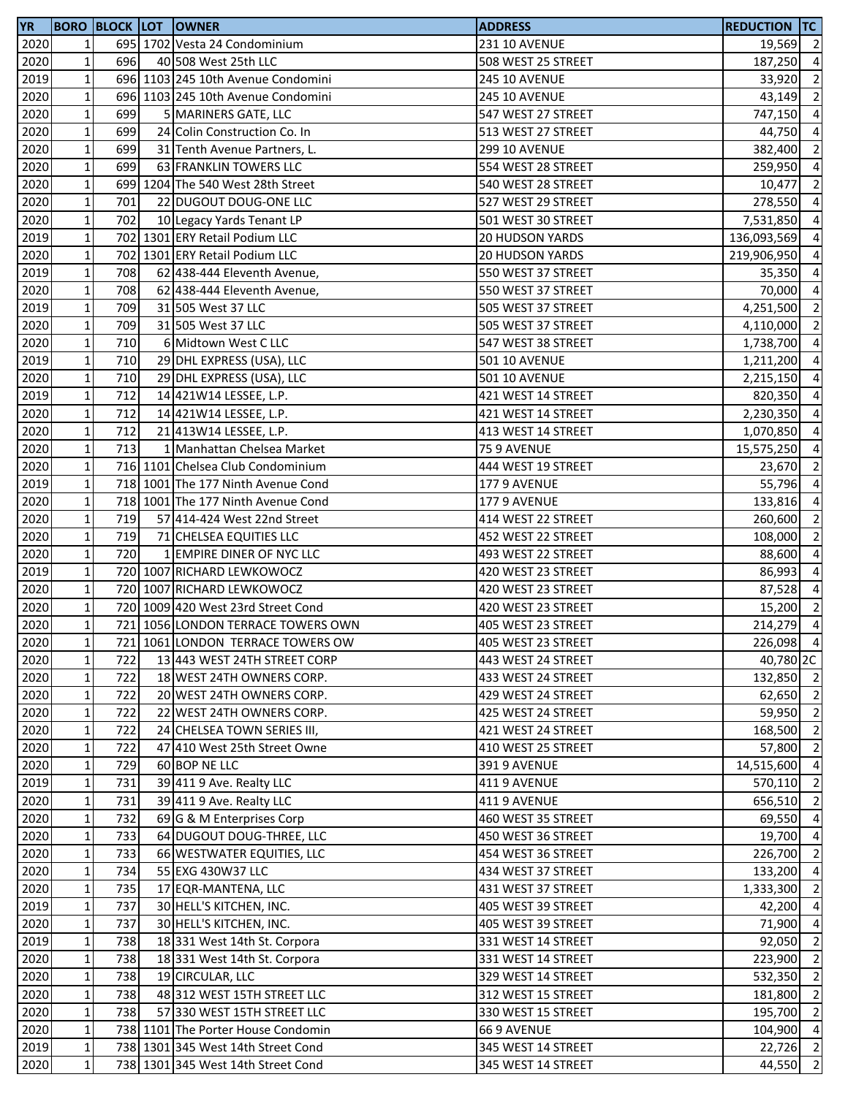| <b>YR</b>         |              |     | <b>BORO BLOCK LOT OWNER</b>        | <b>ADDRESS</b>         | <b>REDUCTION TC</b> |                         |
|-------------------|--------------|-----|------------------------------------|------------------------|---------------------|-------------------------|
| 2020              | 1            |     | 695 1702 Vesta 24 Condominium      | <b>231 10 AVENUE</b>   | 19,569 2            |                         |
| 2020              | $\mathbf 1$  | 696 | 40 508 West 25th LLC               | 508 WEST 25 STREET     | 187,250 4           |                         |
| 2019              | $\mathbf 1$  |     | 696 1103 245 10th Avenue Condomini | <b>245 10 AVENUE</b>   | 33,920              | $\overline{2}$          |
| 2020              | $\mathbf 1$  |     | 696 1103 245 10th Avenue Condomini | <b>245 10 AVENUE</b>   | 43,149 2            |                         |
| 2020              | $\mathbf 1$  | 699 | 5 MARINERS GATE, LLC               | 547 WEST 27 STREET     | 747,150 4           |                         |
| 2020              | $\mathbf 1$  | 699 | 24 Colin Construction Co. In       | 513 WEST 27 STREET     | 44,750              | $\overline{4}$          |
| 2020              | $\mathbf 1$  | 699 | 31 Tenth Avenue Partners, L.       | <b>299 10 AVENUE</b>   | 382,400             | $\overline{2}$          |
| 2020              | $\mathbf 1$  | 699 | 63 FRANKLIN TOWERS LLC             | 554 WEST 28 STREET     | 259,950 4           |                         |
| 2020              | $\mathbf 1$  |     | 699 1204 The 540 West 28th Street  | 540 WEST 28 STREET     | 10,477              | $\overline{2}$          |
| 2020              | $\mathbf 1$  | 701 | 22 DUGOUT DOUG-ONE LLC             | 527 WEST 29 STREET     | 278,550             | $\overline{4}$          |
| 2020              | $\mathbf 1$  | 702 | 10 Legacy Yards Tenant LP          | 501 WEST 30 STREET     | 7,531,850           | $\overline{4}$          |
| 2019              | $\mathbf 1$  |     | 702 1301 ERY Retail Podium LLC     | <b>20 HUDSON YARDS</b> | 136,093,569 4       |                         |
| 2020              | $\mathbf 1$  |     | 702 1301 ERY Retail Podium LLC     | <b>20 HUDSON YARDS</b> | 219,906,950 4       |                         |
| 2019              | $\mathbf 1$  | 708 | 62 438-444 Eleventh Avenue,        | 550 WEST 37 STREET     | 35,350              | $\overline{4}$          |
| 2020              | $\mathbf 1$  | 708 | 62 438-444 Eleventh Avenue,        | 550 WEST 37 STREET     | 70,000 4            |                         |
| 2019              | $\mathbf 1$  | 709 | 31 505 West 37 LLC                 | 505 WEST 37 STREET     | 4,251,500           | $\overline{\mathbf{2}}$ |
| 2020              | $\mathbf 1$  | 709 | 31 505 West 37 LLC                 | 505 WEST 37 STREET     | 4,110,000           | $\overline{2}$          |
| 2020              | $\mathbf 1$  | 710 | 6 Midtown West C LLC               | 547 WEST 38 STREET     | 1,738,700           | $\overline{4}$          |
| 2019              | $\mathbf 1$  | 710 | 29 DHL EXPRESS (USA), LLC          | <b>501 10 AVENUE</b>   | 1,211,200 4         |                         |
| 2020              | $\mathbf 1$  | 710 | 29 DHL EXPRESS (USA), LLC          | <b>501 10 AVENUE</b>   | 2,215,150 4         |                         |
| $\overline{20}19$ | $\mathbf 1$  | 712 | 14 421W14 LESSEE, L.P.             | 421 WEST 14 STREET     | 820,350 4           |                         |
| 2020              | $\mathbf 1$  | 712 | 14 421W14 LESSEE, L.P.             | 421 WEST 14 STREET     | 2,230,350 4         |                         |
| 2020              | $\mathbf 1$  | 712 | 21 413 W14 LESSEE, L.P.            | 413 WEST 14 STREET     | 1,070,850 4         |                         |
| 2020              | $\mathbf 1$  | 713 | 1 Manhattan Chelsea Market         | 75 9 AVENUE            | 15,575,250          | $\overline{4}$          |
| 2020              | $\mathbf 1$  |     | 716 1101 Chelsea Club Condominium  | 444 WEST 19 STREET     | 23,670              | $\overline{2}$          |
| 2019              | $\mathbf 1$  |     | 718 1001 The 177 Ninth Avenue Cond | 177 9 AVENUE           | 55,796              | $\overline{4}$          |
| 2020              | $\mathbf 1$  |     | 718 1001 The 177 Ninth Avenue Cond | 177 9 AVENUE           | 133,816             | $\overline{a}$          |
| 2020              | $\mathbf 1$  | 719 | 57 414-424 West 22nd Street        | 414 WEST 22 STREET     | 260,600             | $\overline{2}$          |
| 2020              | $\mathbf 1$  | 719 | 71 CHELSEA EQUITIES LLC            | 452 WEST 22 STREET     | 108,000 2           |                         |
| 2020              | $\mathbf 1$  | 720 | 1 EMPIRE DINER OF NYC LLC          | 493 WEST 22 STREET     | 88,600              | $\overline{4}$          |
| 2019              | $\mathbf 1$  |     | 720 1007 RICHARD LEWKOWOCZ         | 420 WEST 23 STREET     | 86,993              | $\overline{4}$          |
| 2020              | $\mathbf 1$  |     | 720 1007 RICHARD LEWKOWOCZ         | 420 WEST 23 STREET     | 87,528              | $\overline{4}$          |
| 2020              | $1\vert$     |     | 720 1009 420 West 23rd Street Cond | 420 WEST 23 STREET     | 15,200              | $\overline{2}$          |
| 2020              | $\mathbf{1}$ |     | 721 1056 LONDON TERRACE TOWERS OWN | 405 WEST 23 STREET     | 214,279 4           |                         |
| 2020              | $\mathbf{1}$ |     | 721 1061 LONDON TERRACE TOWERS OW  | 405 WEST 23 STREET     | 226,098 4           |                         |
| 2020              | $\mathbf 1$  | 722 | 13 443 WEST 24TH STREET CORP       | 443 WEST 24 STREET     | 40,780 2C           |                         |
| 2020              | $\mathbf 1$  | 722 | 18 WEST 24TH OWNERS CORP.          | 433 WEST 24 STREET     | 132,850 2           |                         |
| 2020              | $\mathbf 1$  | 722 | 20 WEST 24TH OWNERS CORP.          | 429 WEST 24 STREET     | 62,650 2            |                         |
| 2020              | $\mathbf 1$  | 722 | 22 WEST 24TH OWNERS CORP.          | 425 WEST 24 STREET     | 59,950 2            |                         |
| 2020              | $\mathbf 1$  | 722 | 24 CHELSEA TOWN SERIES III,        | 421 WEST 24 STREET     | 168,500 2           |                         |
| 2020              | $\mathbf 1$  | 722 | 47 410 West 25th Street Owne       | 410 WEST 25 STREET     | 57,800              | $\overline{2}$          |
| 2020              | $\mathbf 1$  | 729 | 60 BOP NE LLC                      | 391 9 AVENUE           | 14,515,600          | $\overline{4}$          |
| 2019              | $\mathbf 1$  | 731 | 39 411 9 Ave. Realty LLC           | 411 9 AVENUE           | 570,110 2           |                         |
| 2020              | $\mathbf 1$  | 731 | 39 411 9 Ave. Realty LLC           | 411 9 AVENUE           | 656,510 2           |                         |
| 2020              | $\mathbf 1$  | 732 | 69 G & M Enterprises Corp          | 460 WEST 35 STREET     | 69,550              | $\overline{4}$          |
| $\overline{20}20$ | $\mathbf 1$  | 733 | 64 DUGOUT DOUG-THREE, LLC          | 450 WEST 36 STREET     | 19,700 4            |                         |
| 2020              | $\mathbf 1$  | 733 | 66 WESTWATER EQUITIES, LLC         | 454 WEST 36 STREET     | 226,700 2           |                         |
| 2020              | $\mathbf 1$  | 734 | 55 EXG 430W37 LLC                  | 434 WEST 37 STREET     | 133,200             | $\overline{4}$          |
| 2020              | $\mathbf 1$  | 735 | 17 EQR-MANTENA, LLC                | 431 WEST 37 STREET     | 1,333,300           | $\overline{2}$          |
| 2019              | $\mathbf 1$  | 737 | 30 HELL'S KITCHEN, INC.            | 405 WEST 39 STREET     | 42,200              | $\overline{4}$          |
| 2020              | $\mathbf 1$  | 737 | 30 HELL'S KITCHEN, INC.            | 405 WEST 39 STREET     | 71,900              | $\overline{4}$          |
| 2019              | $\mathbf 1$  | 738 | 18 331 West 14th St. Corpora       | 331 WEST 14 STREET     | 92,050              | $\overline{2}$          |
| 2020              | $\mathbf 1$  | 738 | 18 331 West 14th St. Corpora       | 331 WEST 14 STREET     | 223,900             | $\overline{2}$          |
| 2020              | $\mathbf 1$  | 738 | 19 CIRCULAR, LLC                   | 329 WEST 14 STREET     | 532,350             | $\overline{2}$          |
| 2020              | $\mathbf 1$  | 738 | 48 312 WEST 15TH STREET LLC        | 312 WEST 15 STREET     | 181,800             | $\overline{2}$          |
| 2020              | $\mathbf 1$  | 738 | 57 330 WEST 15TH STREET LLC        | 330 WEST 15 STREET     | 195,700             | $\overline{2}$          |
| 2020              | $\mathbf 1$  |     | 738 1101 The Porter House Condomin | 66 9 AVENUE            | 104,900             | $\overline{4}$          |
| 2019              | $1\vert$     |     | 738 1301 345 West 14th Street Cond | 345 WEST 14 STREET     | 22,726 2            |                         |
| 2020              | $\mathbf 1$  |     | 738 1301 345 West 14th Street Cond | 345 WEST 14 STREET     | 44,550              | $\overline{2}$          |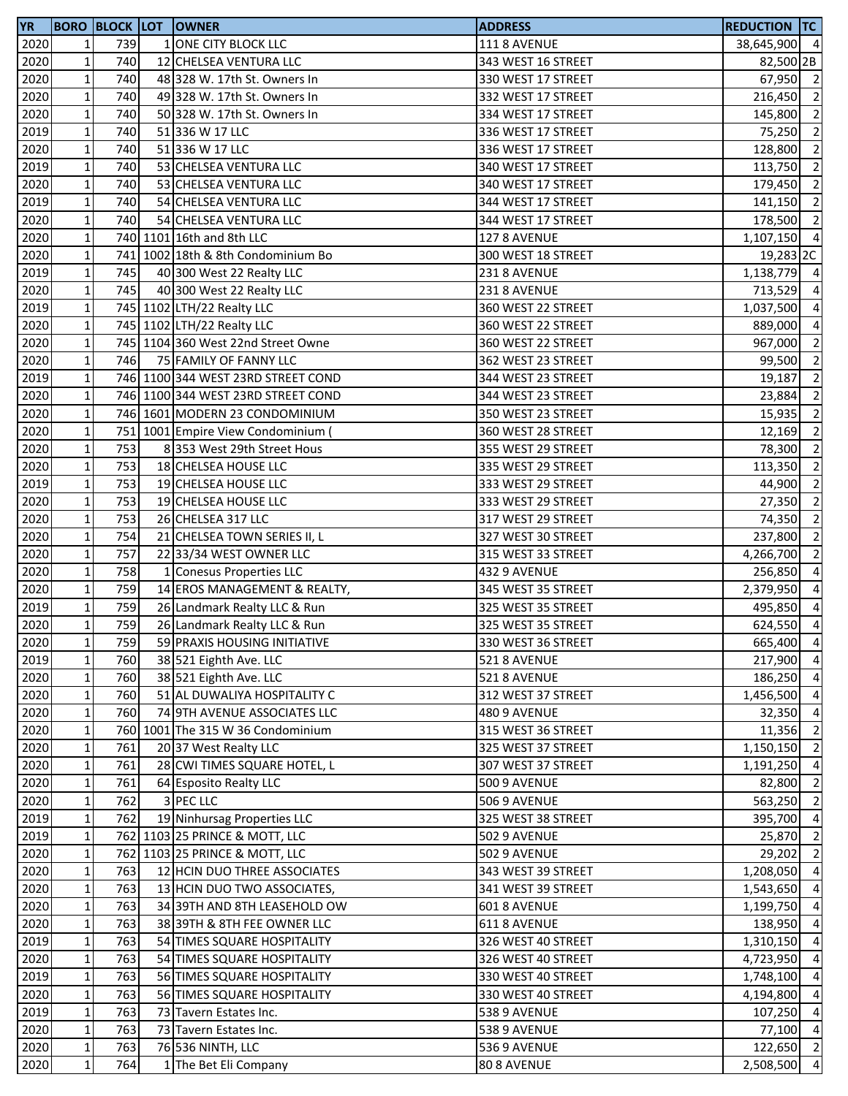| <b>YR</b> |                 |     | <b>BORO BLOCK LOT OWNER</b>        | <b>ADDRESS</b>      | <b>REDUCTION TC</b>  |                |
|-----------|-----------------|-----|------------------------------------|---------------------|----------------------|----------------|
| 2020      | $\mathbf{1}$    | 739 | 1 ONE CITY BLOCK LLC               | <b>111 8 AVENUE</b> | 38,645,900 4         |                |
| 2020      | $1\,$           | 740 | 12 CHELSEA VENTURA LLC             | 343 WEST 16 STREET  | 82,500 2B            |                |
| 2020      | $\mathbf 1$     | 740 | 48 328 W. 17th St. Owners In       | 330 WEST 17 STREET  | 67,950 2             |                |
| 2020      | $1\,$           | 740 | 49 328 W. 17th St. Owners In       | 332 WEST 17 STREET  | 216,450              | $\overline{2}$ |
| 2020      | $1\overline{ }$ | 740 | 50 328 W. 17th St. Owners In       | 334 WEST 17 STREET  | 145,800 2            |                |
| 2019      | $1\,$           | 740 | 51 336 W 17 LLC                    | 336 WEST 17 STREET  | 75,250               | $\overline{2}$ |
| 2020      | $\mathbf 1$     | 740 | 51 336 W 17 LLC                    | 336 WEST 17 STREET  | 128,800              | $\overline{2}$ |
| 2019      | $1\,$           | 740 | 53 CHELSEA VENTURA LLC             | 340 WEST 17 STREET  | 113,750              | $\overline{2}$ |
| 2020      | $1\vert$        | 740 | 53 CHELSEA VENTURA LLC             | 340 WEST 17 STREET  | 179,450              | $\overline{2}$ |
| 2019      | $1\,$           | 740 | 54 CHELSEA VENTURA LLC             | 344 WEST 17 STREET  | 141,150              | $\overline{2}$ |
| 2020      | $\mathbf{1}$    | 740 | 54 CHELSEA VENTURA LLC             | 344 WEST 17 STREET  | 178,500 2            |                |
| 2020      | $\mathbf 1$     |     | 740 1101 16th and 8th LLC          | 127 8 AVENUE        | 1,107,150 4          |                |
| 2020      | $1\,$           |     | 741 1002 18th & 8th Condominium Bo | 300 WEST 18 STREET  |                      |                |
|           | $\mathbf 1$     |     |                                    |                     | 19,283 <sub>2C</sub> |                |
| 2019      |                 | 745 | 40 300 West 22 Realty LLC          | 231 8 AVENUE        | 1,138,779 4          |                |
| 2020      | $1\,$           | 745 | 40 300 West 22 Realty LLC          | 231 8 AVENUE        | 713,529 4            |                |
| 2019      | $\mathbf 1$     |     | 745 1102 LTH/22 Realty LLC         | 360 WEST 22 STREET  | 1,037,500            | $\overline{4}$ |
| 2020      | $1\vert$        |     | 745 1102 LTH/22 Realty LLC         | 360 WEST 22 STREET  | 889,000              | $\overline{4}$ |
| 2020      | 1               |     | 745 1104 360 West 22nd Street Owne | 360 WEST 22 STREET  | 967,000              | $\overline{2}$ |
| 2020      | $1\overline{ }$ | 746 | 75 FAMILY OF FANNY LLC             | 362 WEST 23 STREET  | 99,500               | $\overline{2}$ |
| 2019      | $\mathbf 1$     |     | 746 1100 344 WEST 23RD STREET COND | 344 WEST 23 STREET  | 19,187               | $\overline{2}$ |
| 2020      | $1\,$           |     | 746 1100 344 WEST 23RD STREET COND | 344 WEST 23 STREET  | 23,884               | $\overline{2}$ |
| 2020      | $1\overline{ }$ |     | 746 1601 MODERN 23 CONDOMINIUM     | 350 WEST 23 STREET  | 15,935 2             |                |
| 2020      | $\mathbf 1$     |     | 751 1001 Empire View Condominium   | 360 WEST 28 STREET  | 12,169               | $\overline{2}$ |
| 2020      | $\mathbf 1$     | 753 | 8 353 West 29th Street Hous        | 355 WEST 29 STREET  | 78,300               | $\overline{2}$ |
| 2020      | $1\vert$        | 753 | 18 CHELSEA HOUSE LLC               | 335 WEST 29 STREET  | 113,350              | $\overline{2}$ |
| 2019      | $1\overline{ }$ | 753 | 19 CHELSEA HOUSE LLC               | 333 WEST 29 STREET  | 44,900               | $\overline{2}$ |
| 2020      | $\mathbf 1$     | 753 | 19 CHELSEA HOUSE LLC               | 333 WEST 29 STREET  | 27,350               | $\overline{2}$ |
| 2020      | $\mathbf{1}$    | 753 | 26 CHELSEA 317 LLC                 | 317 WEST 29 STREET  | 74,350               | $\overline{2}$ |
| 2020      | $1\,$           | 754 | 21 CHELSEA TOWN SERIES II, L       | 327 WEST 30 STREET  | 237,800              | $\overline{2}$ |
| 2020      | $1\,$           | 757 | 22 33/34 WEST OWNER LLC            | 315 WEST 33 STREET  | 4,266,700 2          |                |
| 2020      | $\mathbf 1$     | 758 | 1 Conesus Properties LLC           | 432 9 AVENUE        | 256,850              | $\overline{4}$ |
| 2020      | $\mathbf 1$     | 759 | 14 EROS MANAGEMENT & REALTY,       | 345 WEST 35 STREET  | 2,379,950            | $\overline{4}$ |
| 2019      | $1\vert$        | 759 | 26 Landmark Realty LLC & Run       | 325 WEST 35 STREET  | 495,850              | $\overline{4}$ |
| 2020      | 1 <sup>1</sup>  | 759 | 26 Landmark Realty LLC & Run       | 325 WEST 35 STREET  | 624,550 4            |                |
| 2020      | $1\vert$        | 759 | 59 PRAXIS HOUSING INITIATIVE       | 330 WEST 36 STREET  | 665,400 4            |                |
| 2019      | $\mathbf 1$     | 760 | 38 521 Eighth Ave. LLC             | 521 8 AVENUE        | 217,900 4            |                |
| 2020      | $\mathbf 1$     | 760 | 38 521 Eighth Ave. LLC             | 521 8 AVENUE        | 186,250 4            |                |
| 2020      | $1\,$           | 760 | 51 AL DUWALIYA HOSPITALITY C       | 312 WEST 37 STREET  | 1,456,500 4          |                |
| 2020      | $\mathbf 1$     | 760 | 74 9TH AVENUE ASSOCIATES LLC       | 480 9 AVENUE        | 32,350 4             |                |
| 2020      | $\mathbf 1$     |     | 760 1001 The 315 W 36 Condominium  | 315 WEST 36 STREET  | 11,356               | $\overline{2}$ |
| 2020      | $\mathbf 1$     | 761 | 20 37 West Realty LLC              | 325 WEST 37 STREET  | 1,150,150 2          |                |
|           |                 | 761 |                                    |                     |                      |                |
| 2020      | $1\vert$        |     | 28 CWI TIMES SQUARE HOTEL, L       | 307 WEST 37 STREET  | 1,191,250            | $\overline{4}$ |
| 2020      | $1\,$           | 761 | 64 Esposito Realty LLC             | <b>500 9 AVENUE</b> | 82,800               | $\overline{2}$ |
| 2020      | $\mathbf 1$     | 762 | 3 PEC LLC                          | <b>506 9 AVENUE</b> | 563,250 2            |                |
| 2019      | $\mathbf{1}$    | 762 | 19 Ninhursag Properties LLC        | 325 WEST 38 STREET  | 395,700              | $\overline{4}$ |
| 2019      | $1\,$           |     | 762 1103 25 PRINCE & MOTT, LLC     | 502 9 AVENUE        | 25,870 2             |                |
| 2020      | $1\,$           |     | 762 1103 25 PRINCE & MOTT, LLC     | <b>502 9 AVENUE</b> | 29,202 2             |                |
| 2020      | $1\vert$        | 763 | 12 HCIN DUO THREE ASSOCIATES       | 343 WEST 39 STREET  | 1,208,050 4          |                |
| 2020      | $\mathbf 1$     | 763 | 13 HCIN DUO TWO ASSOCIATES,        | 341 WEST 39 STREET  | 1,543,650            | $\overline{4}$ |
| 2020      | $1\vert$        | 763 | 34 39TH AND 8TH LEASEHOLD OW       | 601 8 AVENUE        | 1,199,750            | $\overline{4}$ |
| 2020      | $\mathbf 1$     | 763 | 38 39TH & 8TH FEE OWNER LLC        | 611 8 AVENUE        | 138,950              | $\overline{4}$ |
| 2019      | $1\overline{ }$ | 763 | 54 TIMES SQUARE HOSPITALITY        | 326 WEST 40 STREET  | 1,310,150            | $\overline{4}$ |
| 2020      | $1\,$           | 763 | 54 TIMES SQUARE HOSPITALITY        | 326 WEST 40 STREET  | 4,723,950            | $\overline{4}$ |
| 2019      | $\mathbf 1$     | 763 | 56 TIMES SQUARE HOSPITALITY        | 330 WEST 40 STREET  | 1,748,100            | $\overline{4}$ |
| 2020      | $\mathbf 1$     | 763 | 56 TIMES SQUARE HOSPITALITY        | 330 WEST 40 STREET  | 4,194,800            | $\overline{4}$ |
| 2019      | $1\vert$        | 763 | 73 Tavern Estates Inc.             | 538 9 AVENUE        | 107,250              | $\overline{4}$ |
| 2020      | $\mathbf 1$     | 763 | 73 Tavern Estates Inc.             | 538 9 AVENUE        | 77,100 4             |                |
| 2020      | $1\vert$        | 763 | 76 536 NINTH, LLC                  | 536 9 AVENUE        | 122,650 2            |                |
| 2020      | $\mathbf 1$     | 764 | 1 The Bet Eli Company              | 80 8 AVENUE         | 2,508,500 4          |                |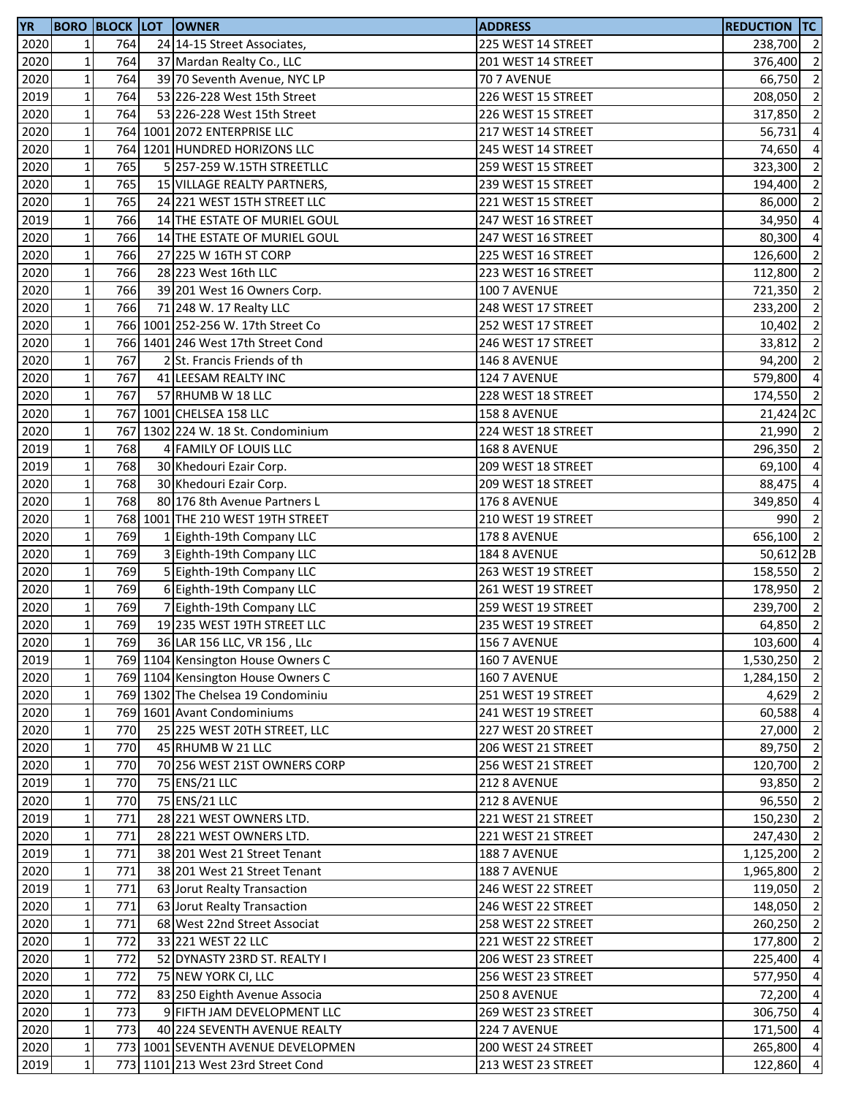| <b>YR</b> |                 |      | <b>BORO BLOCK LOT OWNER</b>        | <b>ADDRESS</b>     | <b>REDUCTION TC</b>  |                |
|-----------|-----------------|------|------------------------------------|--------------------|----------------------|----------------|
| 2020      | $\mathbf{1}$    | 764  | 24 14-15 Street Associates,        | 225 WEST 14 STREET | 238,700 2            |                |
| 2020      | 1               | 764  | 37 Mardan Realty Co., LLC          | 201 WEST 14 STREET | 376,400              | $\overline{2}$ |
| 2020      | $\mathbf 1$     | 764  | 39 70 Seventh Avenue, NYC LP       | 70 7 AVENUE        | 66,750               | $\overline{2}$ |
| 2019      | $\mathbf 1$     | 764  | 53 226-228 West 15th Street        | 226 WEST 15 STREET | 208,050              | $\overline{2}$ |
| 2020      | $\mathbf 1$     | 764  | 53 226-228 West 15th Street        | 226 WEST 15 STREET | 317,850              | $\overline{2}$ |
| 2020      | $\mathbf 1$     |      | 764 1001 2072 ENTERPRISE LLC       | 217 WEST 14 STREET | 56,731               | $\overline{4}$ |
| 2020      | $\mathbf 1$     |      | 764 1201 HUNDRED HORIZONS LLC      | 245 WEST 14 STREET | 74,650               | $\overline{4}$ |
| 2020      | $\mathbf 1$     | 765  | 5 257-259 W.15TH STREETLLC         | 259 WEST 15 STREET | 323,300              | $\overline{2}$ |
| 2020      | $\mathbf 1$     | 765  | 15 VILLAGE REALTY PARTNERS,        | 239 WEST 15 STREET | 194,400              | $\overline{2}$ |
| 2020      | $\mathbf 1$     | 765  | 24 221 WEST 15TH STREET LLC        | 221 WEST 15 STREET | 86,000               | $\overline{2}$ |
| 2019      | $\mathbf{1}$    | 766  | 14 THE ESTATE OF MURIEL GOUL       | 247 WEST 16 STREET | 34,950               | $\overline{4}$ |
| 2020      | $\mathbf 1$     | 766  | 14 THE ESTATE OF MURIEL GOUL       | 247 WEST 16 STREET | 80,300               | $\overline{a}$ |
| 2020      | $\mathbf 1$     | 766  | 27 225 W 16TH ST CORP              | 225 WEST 16 STREET | 126,600              | $\overline{2}$ |
|           | $\mathbf 1$     |      |                                    |                    |                      | $\overline{2}$ |
| 2020      |                 | 766  | 28 223 West 16th LLC               | 223 WEST 16 STREET | 112,800              |                |
| 2020      | $\mathbf 1$     | 766  | 39 201 West 16 Owners Corp.        | 100 7 AVENUE       | 721,350              | $\overline{2}$ |
| 2020      | $\mathbf{1}$    | 766  | 71 248 W. 17 Realty LLC            | 248 WEST 17 STREET | 233,200              | $\overline{2}$ |
| 2020      | $1\vert$        |      | 766 1001 252-256 W. 17th Street Co | 252 WEST 17 STREET | 10,402               | $\overline{2}$ |
| 2020      | $1\overline{ }$ |      | 766 1401 246 West 17th Street Cond | 246 WEST 17 STREET | 33,812               | $\overline{2}$ |
| 2020      | $\mathbf 1$     | 767  | 2 St. Francis Friends of th        | 146 8 AVENUE       | 94,200               | $\overline{2}$ |
| 2020      | $\mathbf 1$     | 767  | 41 LEESAM REALTY INC               | 124 7 AVENUE       | 579,800              | $\overline{4}$ |
| 2020      | $\mathbf 1$     | 767  | 57 RHUMB W 18 LLC                  | 228 WEST 18 STREET | 174,550              | $\overline{2}$ |
| 2020      | $\mathbf 1$     |      | 767 1001 CHELSEA 158 LLC           | 158 8 AVENUE       | 21,424 2C            |                |
| 2020      | $\mathbf 1$     |      | 767 1302 224 W. 18 St. Condominium | 224 WEST 18 STREET | 21,990 2             |                |
| 2019      | $\mathbf 1$     | 768  | 4 FAMILY OF LOUIS LLC              | 168 8 AVENUE       | 296,350              | $\overline{2}$ |
| 2019      | $1\vert$        | 768  | 30 Khedouri Ezair Corp.            | 209 WEST 18 STREET | 69,100               | $\overline{4}$ |
| 2020      | $\mathbf 1$     | 768  | 30 Khedouri Ezair Corp.            | 209 WEST 18 STREET | 88,475               | $\overline{a}$ |
| 2020      | $\mathbf 1$     | 768  | 80 176 8th Avenue Partners L       | 176 8 AVENUE       | 349,850              | $\overline{4}$ |
| 2020      | $\mathbf 1$     |      | 768 1001 THE 210 WEST 19TH STREET  | 210 WEST 19 STREET | 990                  | $\overline{2}$ |
| 2020      | $\mathbf 1$     | 769  | 1 Eighth-19th Company LLC          | 178 8 AVENUE       | 656,100              | $\overline{2}$ |
| 2020      | $\mathbf 1$     | 769  | 3 Eighth-19th Company LLC          | 184 8 AVENUE       | 50,612 <sub>2B</sub> |                |
| 2020      | $\mathbf 1$     | 769  | 5 Eighth-19th Company LLC          | 263 WEST 19 STREET | 158,550 2            |                |
| 2020      | $\mathbf 1$     | 769  | 6 Eighth-19th Company LLC          | 261 WEST 19 STREET | 178,950 2            |                |
| 2020      | $1\vert$        | 769  | 7 Eighth-19th Company LLC          | 259 WEST 19 STREET | 239,700              | $\overline{2}$ |
| 2020      | $1\overline{ }$ | 769  | 19 235 WEST 19TH STREET LLC        | 235 WEST 19 STREET | $64,850$ 2           |                |
| 2020      | $1\vert$        | 7691 | 36 LAR 156 LLC, VR 156, LLC        | 156 7 AVENUE       | 103,600 4            |                |
| 2019      | $\mathbf 1$     |      | 769 1104 Kensington House Owners C | 160 7 AVENUE       | 1,530,250 2          |                |
| 2020      | $1\vert$        |      | 769 1104 Kensington House Owners C | 160 7 AVENUE       | 1,284,150 2          |                |
| 2020      | $\mathbf 1$     |      | 769 1302 The Chelsea 19 Condominiu | 251 WEST 19 STREET | 4,629 2              |                |
| 2020      | $\mathbf 1$     |      | 769 1601 Avant Condominiums        | 241 WEST 19 STREET | 60,588 4             |                |
|           | $\mathbf 1$     | 770  |                                    | 227 WEST 20 STREET |                      | $\overline{2}$ |
| 2020      |                 |      | 25 225 WEST 20TH STREET, LLC       |                    | 27,000               | $\overline{2}$ |
| 2020      | $1\vert$        | 770  | 45 RHUMB W 21 LLC                  | 206 WEST 21 STREET | 89,750               |                |
| 2020      | $1\vert$        | 770  | 70 256 WEST 21ST OWNERS CORP       | 256 WEST 21 STREET | 120,700 2            |                |
| 2019      | $1\vert$        | 770  | 75 ENS/21 LLC                      | 212 8 AVENUE       | 93,850               | $\overline{2}$ |
| 2020      | $\mathbf 1$     | 770  | 75 ENS/21 LLC                      | 212 8 AVENUE       | 96,550 2             |                |
| 2019      | $\mathbf 1$     | 771  | 28 221 WEST OWNERS LTD.            | 221 WEST 21 STREET | 150,230              | $\overline{2}$ |
| 2020      | $1\vert$        | 771  | 28 221 WEST OWNERS LTD.            | 221 WEST 21 STREET | 247,430 2            |                |
| 2019      | $\mathbf 1$     | 771  | 38 201 West 21 Street Tenant       | 188 7 AVENUE       | 1,125,200 2          |                |
| 2020      | $1\vert$        | 771  | 38 201 West 21 Street Tenant       | 188 7 AVENUE       | 1,965,800 2          |                |
| 2019      | $\mathbf 1$     | 771  | 63 Jorut Realty Transaction        | 246 WEST 22 STREET | 119,050 2            |                |
| 2020      | $1\vert$        | 771  | 63 Jorut Realty Transaction        | 246 WEST 22 STREET | 148,050              | $\overline{2}$ |
| 2020      | $1\vert$        | 771  | 68 West 22nd Street Associat       | 258 WEST 22 STREET | 260,250              | $\overline{2}$ |
| 2020      | $1\vert$        | 772  | 33 221 WEST 22 LLC                 | 221 WEST 22 STREET | 177,800              | $\overline{2}$ |
| 2020      | $\mathbf 1$     | 772  | 52 DYNASTY 23RD ST. REALTY I       | 206 WEST 23 STREET | 225,400              | $\overline{4}$ |
| 2020      | $1\vert$        | 772  | 75 NEW YORK CI, LLC                | 256 WEST 23 STREET | 577,950              | $\overline{4}$ |
| 2020      | $1\vert$        | 772  | 83 250 Eighth Avenue Associa       | 250 8 AVENUE       | 72,200 4             |                |
| 2020      | $1\vert$        | 773  | 9 FIFTH JAM DEVELOPMENT LLC        | 269 WEST 23 STREET | 306,750 4            |                |
| 2020      | $\mathbf 1$     | 773  | 40 224 SEVENTH AVENUE REALTY       | 224 7 AVENUE       | 171,500 4            |                |
| 2020      | $1\vert$        |      | 773 1001 SEVENTH AVENUE DEVELOPMEN | 200 WEST 24 STREET | 265,800 4            |                |
| 2019      | $1\vert$        |      | 773 1101 213 West 23rd Street Cond | 213 WEST 23 STREET | 122,860 4            |                |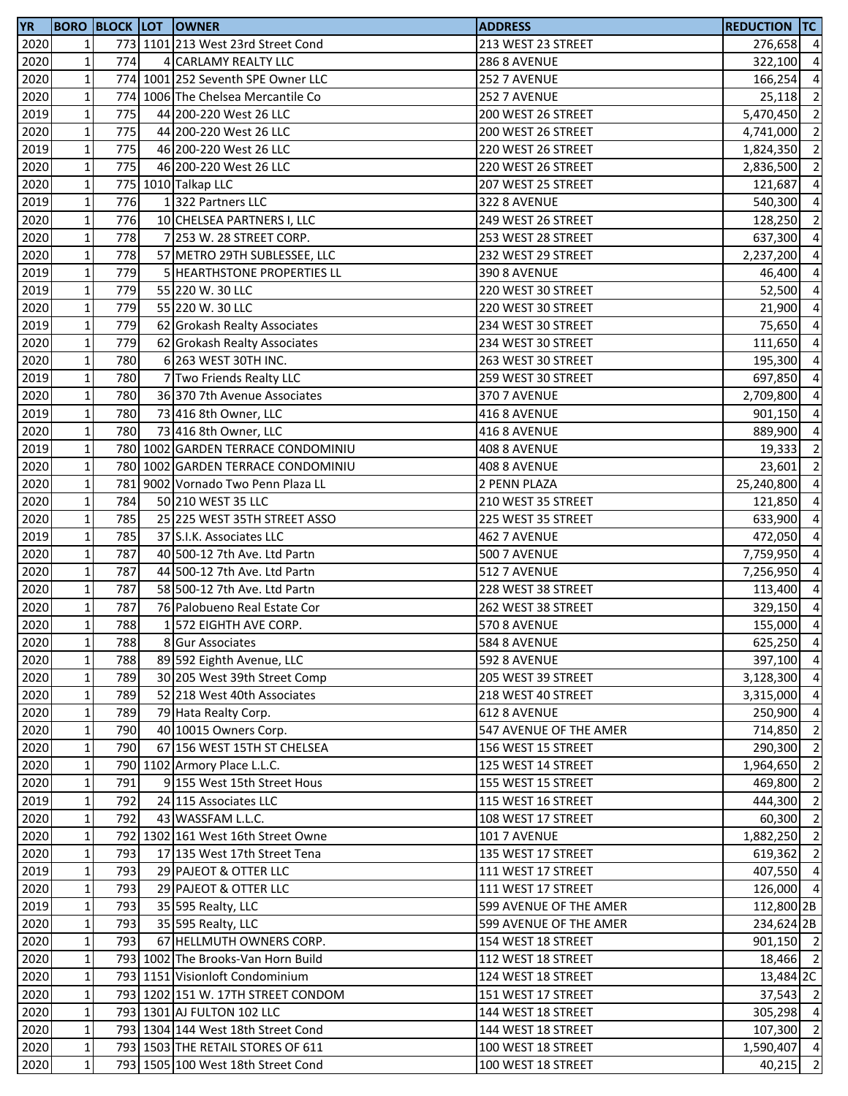| <b>YR</b> |              |     | <b>BORO BLOCK LOT OWNER</b>        | <b>ADDRESS</b>         | <b>REDUCTION TC</b> |                |
|-----------|--------------|-----|------------------------------------|------------------------|---------------------|----------------|
| 2020      | $1\vert$     |     | 773 1101 213 West 23rd Street Cond | 213 WEST 23 STREET     | 276,658 4           |                |
| 2020      | $\mathbf{1}$ | 774 | 4 CARLAMY REALTY LLC               | 286 8 AVENUE           | 322,100 4           |                |
| 2020      | $\mathbf{1}$ |     | 774 1001 252 Seventh SPE Owner LLC | 252 7 AVENUE           | 166,254             | $\overline{4}$ |
| 2020      | $\mathbf 1$  |     | 774 1006 The Chelsea Mercantile Co | 252 7 AVENUE           | 25,118              | $\overline{2}$ |
| 2019      | $\mathbf 1$  | 775 | 44 200-220 West 26 LLC             | 200 WEST 26 STREET     | 5,470,450 2         |                |
| 2020      | $\mathbf 1$  | 775 | 44 200-220 West 26 LLC             | 200 WEST 26 STREET     | 4,741,000 2         |                |
| 2019      | $\mathbf 1$  | 775 | 46 200-220 West 26 LLC             | 220 WEST 26 STREET     | 1,824,350           | $\overline{2}$ |
| 2020      | $\mathbf 1$  | 775 | 46 200-220 West 26 LLC             | 220 WEST 26 STREET     | 2,836,500           | $\overline{2}$ |
| 2020      | $\mathbf 1$  |     | 775 1010 Talkap LLC                | 207 WEST 25 STREET     | 121,687             | $\overline{4}$ |
| 2019      | $\mathbf 1$  | 776 | 1322 Partners LLC                  | 322 8 AVENUE           | 540,300             | $\overline{4}$ |
| 2020      | $\mathbf 1$  | 776 | 10 CHELSEA PARTNERS I, LLC         | 249 WEST 26 STREET     | 128,250             | $\overline{2}$ |
| 2020      | $\mathbf 1$  | 778 | 7 253 W. 28 STREET CORP.           | 253 WEST 28 STREET     | 637,300             | $\overline{4}$ |
| 2020      | $\mathbf 1$  | 778 | 57 METRO 29TH SUBLESSEE, LLC       | 232 WEST 29 STREET     | 2,237,200           | $\overline{4}$ |
| 2019      | $\mathbf 1$  | 779 | 5 HEARTHSTONE PROPERTIES LL        | <b>390 8 AVENUE</b>    | 46,400 4            |                |
| 2019      | $\mathbf 1$  | 779 | 55 220 W. 30 LLC                   | 220 WEST 30 STREET     | 52,500              | $\overline{4}$ |
| 2020      | $\mathbf 1$  | 779 | 55 220 W. 30 LLC                   | 220 WEST 30 STREET     | 21,900              | $\overline{4}$ |
| 2019      | $\mathbf 1$  | 779 | 62 Grokash Realty Associates       | 234 WEST 30 STREET     | 75,650              | $\overline{4}$ |
| 2020      | $\mathbf 1$  | 779 | 62 Grokash Realty Associates       | 234 WEST 30 STREET     | 111,650             | $\overline{4}$ |
| 2020      | $\mathbf 1$  | 780 | 6 263 WEST 30TH INC.               | 263 WEST 30 STREET     | 195,300             | $\overline{4}$ |
| 2019      | $\mathbf{1}$ | 780 | 7 Two Friends Realty LLC           | 259 WEST 30 STREET     | 697,850             | $\overline{4}$ |
| 2020      | $\mathbf 1$  | 780 | 36 370 7th Avenue Associates       | 370 7 AVENUE           | 2,709,800           | $\overline{4}$ |
| 2019      | $\mathbf 1$  | 780 | 73 416 8th Owner, LLC              | 416 8 AVENUE           | 901,150 4           |                |
| 2020      | $\mathbf 1$  | 780 | 73 416 8th Owner, LLC              | 416 8 AVENUE           | 889,900 4           |                |
| 2019      | $\mathbf 1$  |     | 780 1002 GARDEN TERRACE CONDOMINIU | 408 8 AVENUE           | 19,333              | $\overline{2}$ |
| 2020      | $\mathbf 1$  |     | 780 1002 GARDEN TERRACE CONDOMINIU | 408 8 AVENUE           | 23,601              | $\overline{2}$ |
| 2020      | $\mathbf 1$  |     | 781 9002 Vornado Two Penn Plaza LL | 2 PENN PLAZA           | 25,240,800          | $\overline{4}$ |
| 2020      | $\mathbf{1}$ | 784 | 50 210 WEST 35 LLC                 | 210 WEST 35 STREET     | 121,850             | $\overline{4}$ |
| 2020      | $\mathbf 1$  | 785 | 25 225 WEST 35TH STREET ASSO       | 225 WEST 35 STREET     | 633,900             | $\overline{4}$ |
| 2019      | $\mathbf 1$  | 785 | 37 S.I.K. Associates LLC           | 462 7 AVENUE           | 472,050             | $\overline{4}$ |
| 2020      | $\mathbf 1$  | 787 | 40 500-12 7th Ave. Ltd Partn       | <b>500 7 AVENUE</b>    | 7,759,950 4         |                |
| 2020      | $\mathbf 1$  | 787 | 44 500-12 7th Ave. Ltd Partn       | 512 7 AVENUE           | 7,256,950           | $\overline{4}$ |
| 2020      | $\mathbf 1$  | 787 | 58 500-12 7th Ave. Ltd Partn       | 228 WEST 38 STREET     | 113,400 4           |                |
| 2020      | $\mathbf 1$  | 787 | 76 Palobueno Real Estate Cor       | 262 WEST 38 STREET     | 329,150             | $\overline{4}$ |
| 2020      | $\mathbf 1$  | 788 | 1 572 EIGHTH AVE CORP.             | <b>570 8 AVENUE</b>    | 155,000 4           |                |
| 2020      | $1\vert$     | 788 | 8 Gur Associates                   | 584 8 AVENUE           | 625,250 4           |                |
| 2020      | $\mathbf{1}$ | 788 | 89 592 Eighth Avenue, LLC          | 592 8 AVENUE           | 397,100 4           |                |
| 2020      | $\mathbf 1$  | 789 | 30 205 West 39th Street Comp       | 205 WEST 39 STREET     | 3,128,300 4         |                |
| 2020      | $\mathbf 1$  | 789 | 52 218 West 40th Associates        | 218 WEST 40 STREET     | 3,315,000 4         |                |
| 2020      | $\mathbf 1$  | 789 | 79 Hata Realty Corp.               | 612 8 AVENUE           | 250,900 4           |                |
| 2020      | $\mathbf 1$  | 790 | 40 10015 Owners Corp.              | 547 AVENUE OF THE AMER | 714,850 2           |                |
| 2020      | $\mathbf 1$  | 790 | 67 156 WEST 15TH ST CHELSEA        | 156 WEST 15 STREET     | 290,300 2           |                |
| 2020      | $\mathbf 1$  |     | 790 1102 Armory Place L.L.C.       | 125 WEST 14 STREET     | 1,964,650 2         |                |
| 2020      | $\mathbf 1$  | 791 | 9 155 West 15th Street Hous        | 155 WEST 15 STREET     | 469,800             | $\overline{2}$ |
| 2019      | $\mathbf 1$  | 792 | 24 115 Associates LLC              | 115 WEST 16 STREET     | 444,300             | $\overline{2}$ |
| 2020      | $\mathbf 1$  | 792 | 43 WASSFAM L.L.C.                  | 108 WEST 17 STREET     | $60,300$ 2          |                |
| 2020      | $\mathbf 1$  |     | 792 1302 161 West 16th Street Owne | 101 7 AVENUE           | 1,882,250 2         |                |
| 2020      | $\mathbf 1$  | 793 | 17 135 West 17th Street Tena       | 135 WEST 17 STREET     | 619,362 2           |                |
| 2019      | $\mathbf 1$  | 793 | 29 PAJEOT & OTTER LLC              | 111 WEST 17 STREET     | 407,550 4           |                |
| 2020      | $\mathbf 1$  | 793 | 29 PAJEOT & OTTER LLC              | 111 WEST 17 STREET     | 126,000 4           |                |
| 2019      | $\mathbf 1$  | 793 | 35 595 Realty, LLC                 | 599 AVENUE OF THE AMER | 112,800 2B          |                |
| 2020      | $\mathbf 1$  | 793 | 35 595 Realty, LLC                 | 599 AVENUE OF THE AMER | 234,624 2B          |                |
| 2020      | $\mathbf 1$  | 793 | 67 HELLMUTH OWNERS CORP.           | 154 WEST 18 STREET     | 901,150 2           |                |
| 2020      | $\mathbf 1$  |     | 793 1002 The Brooks-Van Horn Build | 112 WEST 18 STREET     | 18,466 2            |                |
| 2020      | $\mathbf 1$  |     | 793 1151 Visionloft Condominium    | 124 WEST 18 STREET     | 13,484 2C           |                |
| 2020      | $1\vert$     |     | 793 1202 151 W. 17TH STREET CONDOM | 151 WEST 17 STREET     | 37,543 2            |                |
| 2020      | $\mathbf 1$  |     | 793 1301 AJ FULTON 102 LLC         | 144 WEST 18 STREET     | 305,298 4           |                |
| 2020      | $\mathbf 1$  |     | 793 1304 144 West 18th Street Cond | 144 WEST 18 STREET     | 107,300 2           |                |
| 2020      | $\mathbf 1$  |     | 793 1503 THE RETAIL STORES OF 611  | 100 WEST 18 STREET     | 1,590,407 4         |                |
| 2020      | $\mathbf 1$  |     | 793 1505 100 West 18th Street Cond | 100 WEST 18 STREET     | 40,215 2            |                |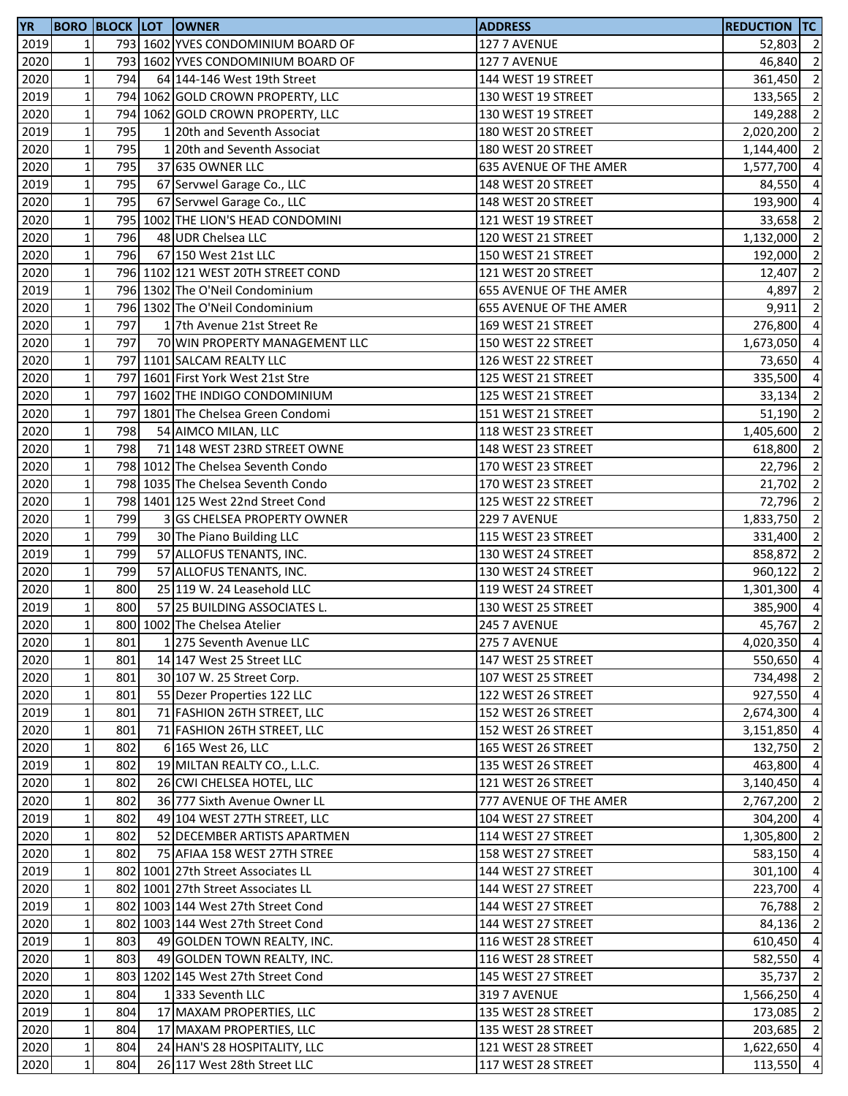| 2019<br>$1\vert$<br>793 1602 YVES CONDOMINIUM BOARD OF<br>127 7 AVENUE<br>52,803<br>2020<br>$\mathbf 1$<br>793 1602 YVES CONDOMINIUM BOARD OF<br>127 7 AVENUE<br>46,840<br>2020<br>$\mathbf 1$<br>794<br>64 144-146 West 19th Street<br>144 WEST 19 STREET<br>361,450<br>$\mathbf 1$<br>2019<br>794 1062 GOLD CROWN PROPERTY, LLC<br>130 WEST 19 STREET<br>133,565<br>$\mathbf 1$<br>2020<br>794 1062 GOLD CROWN PROPERTY, LLC<br>149,288<br>130 WEST 19 STREET<br>$\mathbf 1$<br>795<br>2019<br>1 20th and Seventh Associat<br>180 WEST 20 STREET<br>2,020,200<br>2020<br>$1\vert$<br>795<br>1 20th and Seventh Associat<br>180 WEST 20 STREET<br>1,144,400<br>$\mathbf 1$<br>2020<br>795<br>37 635 OWNER LLC<br><b>635 AVENUE OF THE AMER</b><br>1,577,700<br>$\mathbf 1$<br>795<br>2019<br>67 Servwel Garage Co., LLC<br>148 WEST 20 STREET<br>84,550<br>2020<br>$\mathbf 1$<br>795<br>67 Servwel Garage Co., LLC<br>148 WEST 20 STREET<br>193,900<br>$\mathbf 1$<br>2020<br>795 1002 THE LION'S HEAD CONDOMINI<br>121 WEST 19 STREET<br>33,658<br>$\mathbf 1$<br>796<br>2020<br>48 UDR Chelsea LLC<br>120 WEST 21 STREET<br>1,132,000<br>$\mathbf 1$<br>796<br>2020<br>67 150 West 21st LLC<br>150 WEST 21 STREET<br>192,000<br>$\mathbf 1$<br>796 1102 121 WEST 20TH STREET COND<br>2020<br>121 WEST 20 STREET<br>12,407<br>$\mathbf 1$<br>796 1302 The O'Neil Condominium<br>2019<br>655 AVENUE OF THE AMER<br>4,897<br>2020<br>$1\vert$<br>796 1302 The O'Neil Condominium<br>655 AVENUE OF THE AMER<br>9,911<br>$\mathbf 1$<br>2020<br>797<br>17th Avenue 21st Street Re<br>169 WEST 21 STREET<br>276,800<br>2020<br>$\mathbf 1$<br>797<br>70 WIN PROPERTY MANAGEMENT LLC<br>150 WEST 22 STREET<br>1,673,050<br>$\mathbf 1$<br>2020<br>797 1101 SALCAM REALTY LLC<br>126 WEST 22 STREET<br>73,650<br>2020<br>$\mathbf 1$<br>797 1601 First York West 21st Stre<br>125 WEST 21 STREET<br>335,500<br>$\mathbf 1$<br>2020<br>797 1602 THE INDIGO CONDOMINIUM<br>125 WEST 21 STREET<br>$\mathbf 1$<br>2020<br>797 1801 The Chelsea Green Condomi<br>51,190<br>151 WEST 21 STREET<br>$\mathbf 1$<br>798<br>2020<br>54 AIMCO MILAN, LLC<br>1,405,600<br>118 WEST 23 STREET<br>$1\vert$<br>2020<br>798<br>71 148 WEST 23RD STREET OWNE<br>148 WEST 23 STREET<br>618,800<br>$\mathbf 1$<br>2020<br>798 1012 The Chelsea Seventh Condo<br>170 WEST 23 STREET<br>22,796<br>$1\overline{ }$<br>2020<br>798 1035 The Chelsea Seventh Condo<br>170 WEST 23 STREET<br>21,702<br>$\mathbf 1$<br>2020<br>798 1401 125 West 22nd Street Cond<br>125 WEST 22 STREET<br>72,796<br>$\mathbf 1$<br>799<br>2020<br>3 GS CHELSEA PROPERTY OWNER<br>229 7 AVENUE<br>1,833,750<br>$\mathbf 1$<br>799<br>115 WEST 23 STREET<br>2020<br>30 The Piano Building LLC<br>331,400<br>$\mathbf 1$<br>799<br>2019<br>130 WEST 24 STREET<br>858,872<br>57 ALLOFUS TENANTS, INC.<br>$\mathbf 1$<br>799<br>2020<br>57 ALLOFUS TENANTS, INC.<br>130 WEST 24 STREET<br>960,122<br>$1\vert$<br>800<br>2020<br>25 119 W. 24 Leasehold LLC<br>119 WEST 24 STREET<br>1,301,300<br>$\mathbf 1$<br>2019<br>800<br>57 25 BUILDING ASSOCIATES L.<br>130 WEST 25 STREET<br>385,900<br>$\mathbf{1}$<br>2020<br>800 1002 The Chelsea Atelier<br>45,767<br>245 7 AVENUE<br>2020<br>801<br>1 275 Seventh Avenue LLC<br>275 7 AVENUE<br>11<br>$\mathbf 1$<br>801<br>147 WEST 25 STREET<br>2020<br>14 147 West 25 Street LLC<br>$\mathbf 1$<br>2020<br>801<br>30 107 W. 25 Street Corp.<br>107 WEST 25 STREET<br>$1\overline{ }$<br>2020<br>801<br>55 Dezer Properties 122 LLC<br>122 WEST 26 STREET<br>$\mathbf 1$<br>2019<br>801<br>71 FASHION 26TH STREET, LLC<br>152 WEST 26 STREET<br>$\mathbf 1$<br>2020<br>801<br>71 FASHION 26TH STREET, LLC<br>152 WEST 26 STREET<br>$\mathbf 1$<br>2020<br>802<br>132,750<br>6 165 West 26, LLC<br>165 WEST 26 STREET<br>$\mathbf 1$<br>2019<br>802<br>19 MILTAN REALTY CO., L.L.C.<br>135 WEST 26 STREET<br>463,800<br>$1\overline{ }$<br>2020<br>802<br>26 CWI CHELSEA HOTEL, LLC<br>121 WEST 26 STREET<br>3,140,450<br>$\mathbf{1}$<br>2020<br>802<br>36 777 Sixth Avenue Owner LL<br>777 AVENUE OF THE AMER<br>2,767,200<br>$\mathbf 1$<br>49 104 WEST 27TH STREET, LLC<br>2019<br>802<br>104 WEST 27 STREET<br>$\mathbf 1$<br>2020<br>52 DECEMBER ARTISTS APARTMEN<br>802<br>114 WEST 27 STREET<br>$1\overline{ }$<br>2020<br>802<br>75 AFIAA 158 WEST 27TH STREE<br>158 WEST 27 STREET<br>2019<br>$\mathbf 1$<br>802 1001 27th Street Associates LL<br>301,100<br>144 WEST 27 STREET<br>2020<br>$1\overline{ }$<br>802 1001 27th Street Associates LL<br>223,700<br>144 WEST 27 STREET<br>2019<br>$1\overline{ }$<br>76,788<br>802 1003 144 West 27th Street Cond<br>144 WEST 27 STREET<br>$1\overline{ }$<br>2020<br>802 1003 144 West 27th Street Cond<br>144 WEST 27 STREET<br>84,136<br>$\mathbf 1$<br>803<br>49 GOLDEN TOWN REALTY, INC.<br>2019<br>116 WEST 28 STREET<br>610,450<br>$\mathbf 1$<br>2020<br>803<br>49 GOLDEN TOWN REALTY, INC.<br>116 WEST 28 STREET<br>582,550<br>$\mathbf 1$<br>2020<br>803 1202 145 West 27th Street Cond<br>145 WEST 27 STREET<br>35,737<br>$\mathbf 1$<br>2020<br>804<br>1333 Seventh LLC<br>319 7 AVENUE<br>$\mathbf 1$<br>804<br>2019<br>17 MAXAM PROPERTIES, LLC<br>135 WEST 28 STREET<br>173,085<br>$\mathbf 1$<br>2020<br>804<br>17 MAXAM PROPERTIES, LLC<br>135 WEST 28 STREET<br>203,685<br>$1\vert$<br>2020<br>804<br>24 HAN'S 28 HOSPITALITY, LLC<br>121 WEST 28 STREET<br>$1\vert$<br>2020<br>804<br>26 117 West 28th Street LLC<br>113,550<br>117 WEST 28 STREET | <b>YR</b> |  | <b>BORO BLOCK LOT OWNER</b> | <b>ADDRESS</b> | <b>REDUCTION TC</b> |                |
|-------------------------------------------------------------------------------------------------------------------------------------------------------------------------------------------------------------------------------------------------------------------------------------------------------------------------------------------------------------------------------------------------------------------------------------------------------------------------------------------------------------------------------------------------------------------------------------------------------------------------------------------------------------------------------------------------------------------------------------------------------------------------------------------------------------------------------------------------------------------------------------------------------------------------------------------------------------------------------------------------------------------------------------------------------------------------------------------------------------------------------------------------------------------------------------------------------------------------------------------------------------------------------------------------------------------------------------------------------------------------------------------------------------------------------------------------------------------------------------------------------------------------------------------------------------------------------------------------------------------------------------------------------------------------------------------------------------------------------------------------------------------------------------------------------------------------------------------------------------------------------------------------------------------------------------------------------------------------------------------------------------------------------------------------------------------------------------------------------------------------------------------------------------------------------------------------------------------------------------------------------------------------------------------------------------------------------------------------------------------------------------------------------------------------------------------------------------------------------------------------------------------------------------------------------------------------------------------------------------------------------------------------------------------------------------------------------------------------------------------------------------------------------------------------------------------------------------------------------------------------------------------------------------------------------------------------------------------------------------------------------------------------------------------------------------------------------------------------------------------------------------------------------------------------------------------------------------------------------------------------------------------------------------------------------------------------------------------------------------------------------------------------------------------------------------------------------------------------------------------------------------------------------------------------------------------------------------------------------------------------------------------------------------------------------------------------------------------------------------------------------------------------------------------------------------------------------------------------------------------------------------------------------------------------------------------------------------------------------------------------------------------------------------------------------------------------------------------------------------------------------------------------------------------------------------------------------------------------------------------------------------------------------------------------------------------------------------------------------------------------------------------------------------------------------------------------------------------------------------------------------------------------------------------------------------------------------------------------------------------------------------------------------------------------------------------------------------------------------------------------------------------------------------------------------------------------------------------------------------------------------------------------------------------------------------------------------------------------------------------------------------------------------------------------------------------------------------------------------------------------------------------------------------------------------------------------------------------------------------------------------------------------------------------------------------------------------------------------------------------------------------------------------------------------------------------------------------------------------------------------------------------------|-----------|--|-----------------------------|----------------|---------------------|----------------|
| $\overline{2}$<br>$\overline{2}$<br>$\overline{2}$<br>$\overline{2}$<br>$\overline{2}$                                                                                                                                                                                                                                                                                                                                                                                                                                                                                                                                                                                                                                                                                                                                                                                                                                                                                                                                                                                                                                                                                                                                                                                                                                                                                                                                                                                                                                                                                                                                                                                                                                                                                                                                                                                                                                                                                                                                                                                                                                                                                                                                                                                                                                                                                                                                                                                                                                                                                                                                                                                                                                                                                                                                                                                                                                                                                                                                                                                                                                                                                                                                                                                                                                                                                                                                                                                                                                                                                                                                                                                                                                                                                                                                                                                                                                                                                                                                                                                                                                                                                                                                                                                                                                                                                                                                                                                                                                                                                                                                                                                                                                                                                                                                                                                                                                                                                                                                                                                                                                                                                                                                                                                                                                                                                                                                                                                                                                  |           |  |                             |                |                     | $\overline{2}$ |
|                                                                                                                                                                                                                                                                                                                                                                                                                                                                                                                                                                                                                                                                                                                                                                                                                                                                                                                                                                                                                                                                                                                                                                                                                                                                                                                                                                                                                                                                                                                                                                                                                                                                                                                                                                                                                                                                                                                                                                                                                                                                                                                                                                                                                                                                                                                                                                                                                                                                                                                                                                                                                                                                                                                                                                                                                                                                                                                                                                                                                                                                                                                                                                                                                                                                                                                                                                                                                                                                                                                                                                                                                                                                                                                                                                                                                                                                                                                                                                                                                                                                                                                                                                                                                                                                                                                                                                                                                                                                                                                                                                                                                                                                                                                                                                                                                                                                                                                                                                                                                                                                                                                                                                                                                                                                                                                                                                                                                                                                                                                         |           |  |                             |                |                     |                |
|                                                                                                                                                                                                                                                                                                                                                                                                                                                                                                                                                                                                                                                                                                                                                                                                                                                                                                                                                                                                                                                                                                                                                                                                                                                                                                                                                                                                                                                                                                                                                                                                                                                                                                                                                                                                                                                                                                                                                                                                                                                                                                                                                                                                                                                                                                                                                                                                                                                                                                                                                                                                                                                                                                                                                                                                                                                                                                                                                                                                                                                                                                                                                                                                                                                                                                                                                                                                                                                                                                                                                                                                                                                                                                                                                                                                                                                                                                                                                                                                                                                                                                                                                                                                                                                                                                                                                                                                                                                                                                                                                                                                                                                                                                                                                                                                                                                                                                                                                                                                                                                                                                                                                                                                                                                                                                                                                                                                                                                                                                                         |           |  |                             |                |                     |                |
|                                                                                                                                                                                                                                                                                                                                                                                                                                                                                                                                                                                                                                                                                                                                                                                                                                                                                                                                                                                                                                                                                                                                                                                                                                                                                                                                                                                                                                                                                                                                                                                                                                                                                                                                                                                                                                                                                                                                                                                                                                                                                                                                                                                                                                                                                                                                                                                                                                                                                                                                                                                                                                                                                                                                                                                                                                                                                                                                                                                                                                                                                                                                                                                                                                                                                                                                                                                                                                                                                                                                                                                                                                                                                                                                                                                                                                                                                                                                                                                                                                                                                                                                                                                                                                                                                                                                                                                                                                                                                                                                                                                                                                                                                                                                                                                                                                                                                                                                                                                                                                                                                                                                                                                                                                                                                                                                                                                                                                                                                                                         |           |  |                             |                |                     |                |
|                                                                                                                                                                                                                                                                                                                                                                                                                                                                                                                                                                                                                                                                                                                                                                                                                                                                                                                                                                                                                                                                                                                                                                                                                                                                                                                                                                                                                                                                                                                                                                                                                                                                                                                                                                                                                                                                                                                                                                                                                                                                                                                                                                                                                                                                                                                                                                                                                                                                                                                                                                                                                                                                                                                                                                                                                                                                                                                                                                                                                                                                                                                                                                                                                                                                                                                                                                                                                                                                                                                                                                                                                                                                                                                                                                                                                                                                                                                                                                                                                                                                                                                                                                                                                                                                                                                                                                                                                                                                                                                                                                                                                                                                                                                                                                                                                                                                                                                                                                                                                                                                                                                                                                                                                                                                                                                                                                                                                                                                                                                         |           |  |                             |                |                     |                |
| $\overline{2}$<br>$\overline{4}$<br>$\overline{4}$<br>$\overline{a}$<br>$\overline{2}$<br>$\overline{2}$<br>$\overline{2}$<br>$\overline{2}$<br>$\overline{2}$<br>$\overline{2}$<br>$\overline{4}$<br>$\overline{a}$<br>$\overline{4}$<br>$\overline{4}$<br>$33,134$ 2<br>$\overline{2}$<br>$\overline{2}$<br>$\overline{2}$<br>$\overline{2}$<br>$\overline{2}$<br>$\overline{2}$<br>$\overline{2}$<br>$\overline{2}$<br>$\overline{2}$<br>$\overline{2}$<br>$\overline{4}$<br>$\overline{4}$<br>$\overline{2}$<br>4,020,350 4<br>550,650 4<br>734,498 2<br>927,550 4<br>2,674,300 4<br>3,151,850 4<br>$\overline{2}$<br>$\overline{4}$<br>$\overline{4}$<br>$\overline{2}$<br>304,200 4<br>1,305,800 2<br>583,150 4<br>$\overline{4}$<br>$\overline{4}$<br>$\overline{2}$<br>$\overline{2}$<br>$\overline{4}$<br>$\overline{4}$<br>$\overline{2}$<br>1,566,250 4<br>$\overline{2}$<br>$\overline{2}$<br>$1,622,650$ 4<br>$\overline{4}$                                                                                                                                                                                                                                                                                                                                                                                                                                                                                                                                                                                                                                                                                                                                                                                                                                                                                                                                                                                                                                                                                                                                                                                                                                                                                                                                                                                                                                                                                                                                                                                                                                                                                                                                                                                                                                                                                                                                                                                                                                                                                                                                                                                                                                                                                                                                                                                                                                                                                                                                                                                                                                                                                                                                                                                                                                                                                                                                                                                                                                                                                                                                                                                                                                                                                                                                                                                                                                                                                                                                                                                                                                                                                                                                                                                                                                                                                                                                                                                                                                                                                                                                                                                                                                                                                                                                                                                                                                                                                                                                                                               |           |  |                             |                |                     |                |
|                                                                                                                                                                                                                                                                                                                                                                                                                                                                                                                                                                                                                                                                                                                                                                                                                                                                                                                                                                                                                                                                                                                                                                                                                                                                                                                                                                                                                                                                                                                                                                                                                                                                                                                                                                                                                                                                                                                                                                                                                                                                                                                                                                                                                                                                                                                                                                                                                                                                                                                                                                                                                                                                                                                                                                                                                                                                                                                                                                                                                                                                                                                                                                                                                                                                                                                                                                                                                                                                                                                                                                                                                                                                                                                                                                                                                                                                                                                                                                                                                                                                                                                                                                                                                                                                                                                                                                                                                                                                                                                                                                                                                                                                                                                                                                                                                                                                                                                                                                                                                                                                                                                                                                                                                                                                                                                                                                                                                                                                                                                         |           |  |                             |                |                     |                |
|                                                                                                                                                                                                                                                                                                                                                                                                                                                                                                                                                                                                                                                                                                                                                                                                                                                                                                                                                                                                                                                                                                                                                                                                                                                                                                                                                                                                                                                                                                                                                                                                                                                                                                                                                                                                                                                                                                                                                                                                                                                                                                                                                                                                                                                                                                                                                                                                                                                                                                                                                                                                                                                                                                                                                                                                                                                                                                                                                                                                                                                                                                                                                                                                                                                                                                                                                                                                                                                                                                                                                                                                                                                                                                                                                                                                                                                                                                                                                                                                                                                                                                                                                                                                                                                                                                                                                                                                                                                                                                                                                                                                                                                                                                                                                                                                                                                                                                                                                                                                                                                                                                                                                                                                                                                                                                                                                                                                                                                                                                                         |           |  |                             |                |                     |                |
|                                                                                                                                                                                                                                                                                                                                                                                                                                                                                                                                                                                                                                                                                                                                                                                                                                                                                                                                                                                                                                                                                                                                                                                                                                                                                                                                                                                                                                                                                                                                                                                                                                                                                                                                                                                                                                                                                                                                                                                                                                                                                                                                                                                                                                                                                                                                                                                                                                                                                                                                                                                                                                                                                                                                                                                                                                                                                                                                                                                                                                                                                                                                                                                                                                                                                                                                                                                                                                                                                                                                                                                                                                                                                                                                                                                                                                                                                                                                                                                                                                                                                                                                                                                                                                                                                                                                                                                                                                                                                                                                                                                                                                                                                                                                                                                                                                                                                                                                                                                                                                                                                                                                                                                                                                                                                                                                                                                                                                                                                                                         |           |  |                             |                |                     |                |
|                                                                                                                                                                                                                                                                                                                                                                                                                                                                                                                                                                                                                                                                                                                                                                                                                                                                                                                                                                                                                                                                                                                                                                                                                                                                                                                                                                                                                                                                                                                                                                                                                                                                                                                                                                                                                                                                                                                                                                                                                                                                                                                                                                                                                                                                                                                                                                                                                                                                                                                                                                                                                                                                                                                                                                                                                                                                                                                                                                                                                                                                                                                                                                                                                                                                                                                                                                                                                                                                                                                                                                                                                                                                                                                                                                                                                                                                                                                                                                                                                                                                                                                                                                                                                                                                                                                                                                                                                                                                                                                                                                                                                                                                                                                                                                                                                                                                                                                                                                                                                                                                                                                                                                                                                                                                                                                                                                                                                                                                                                                         |           |  |                             |                |                     |                |
|                                                                                                                                                                                                                                                                                                                                                                                                                                                                                                                                                                                                                                                                                                                                                                                                                                                                                                                                                                                                                                                                                                                                                                                                                                                                                                                                                                                                                                                                                                                                                                                                                                                                                                                                                                                                                                                                                                                                                                                                                                                                                                                                                                                                                                                                                                                                                                                                                                                                                                                                                                                                                                                                                                                                                                                                                                                                                                                                                                                                                                                                                                                                                                                                                                                                                                                                                                                                                                                                                                                                                                                                                                                                                                                                                                                                                                                                                                                                                                                                                                                                                                                                                                                                                                                                                                                                                                                                                                                                                                                                                                                                                                                                                                                                                                                                                                                                                                                                                                                                                                                                                                                                                                                                                                                                                                                                                                                                                                                                                                                         |           |  |                             |                |                     |                |
|                                                                                                                                                                                                                                                                                                                                                                                                                                                                                                                                                                                                                                                                                                                                                                                                                                                                                                                                                                                                                                                                                                                                                                                                                                                                                                                                                                                                                                                                                                                                                                                                                                                                                                                                                                                                                                                                                                                                                                                                                                                                                                                                                                                                                                                                                                                                                                                                                                                                                                                                                                                                                                                                                                                                                                                                                                                                                                                                                                                                                                                                                                                                                                                                                                                                                                                                                                                                                                                                                                                                                                                                                                                                                                                                                                                                                                                                                                                                                                                                                                                                                                                                                                                                                                                                                                                                                                                                                                                                                                                                                                                                                                                                                                                                                                                                                                                                                                                                                                                                                                                                                                                                                                                                                                                                                                                                                                                                                                                                                                                         |           |  |                             |                |                     |                |
|                                                                                                                                                                                                                                                                                                                                                                                                                                                                                                                                                                                                                                                                                                                                                                                                                                                                                                                                                                                                                                                                                                                                                                                                                                                                                                                                                                                                                                                                                                                                                                                                                                                                                                                                                                                                                                                                                                                                                                                                                                                                                                                                                                                                                                                                                                                                                                                                                                                                                                                                                                                                                                                                                                                                                                                                                                                                                                                                                                                                                                                                                                                                                                                                                                                                                                                                                                                                                                                                                                                                                                                                                                                                                                                                                                                                                                                                                                                                                                                                                                                                                                                                                                                                                                                                                                                                                                                                                                                                                                                                                                                                                                                                                                                                                                                                                                                                                                                                                                                                                                                                                                                                                                                                                                                                                                                                                                                                                                                                                                                         |           |  |                             |                |                     |                |
|                                                                                                                                                                                                                                                                                                                                                                                                                                                                                                                                                                                                                                                                                                                                                                                                                                                                                                                                                                                                                                                                                                                                                                                                                                                                                                                                                                                                                                                                                                                                                                                                                                                                                                                                                                                                                                                                                                                                                                                                                                                                                                                                                                                                                                                                                                                                                                                                                                                                                                                                                                                                                                                                                                                                                                                                                                                                                                                                                                                                                                                                                                                                                                                                                                                                                                                                                                                                                                                                                                                                                                                                                                                                                                                                                                                                                                                                                                                                                                                                                                                                                                                                                                                                                                                                                                                                                                                                                                                                                                                                                                                                                                                                                                                                                                                                                                                                                                                                                                                                                                                                                                                                                                                                                                                                                                                                                                                                                                                                                                                         |           |  |                             |                |                     |                |
|                                                                                                                                                                                                                                                                                                                                                                                                                                                                                                                                                                                                                                                                                                                                                                                                                                                                                                                                                                                                                                                                                                                                                                                                                                                                                                                                                                                                                                                                                                                                                                                                                                                                                                                                                                                                                                                                                                                                                                                                                                                                                                                                                                                                                                                                                                                                                                                                                                                                                                                                                                                                                                                                                                                                                                                                                                                                                                                                                                                                                                                                                                                                                                                                                                                                                                                                                                                                                                                                                                                                                                                                                                                                                                                                                                                                                                                                                                                                                                                                                                                                                                                                                                                                                                                                                                                                                                                                                                                                                                                                                                                                                                                                                                                                                                                                                                                                                                                                                                                                                                                                                                                                                                                                                                                                                                                                                                                                                                                                                                                         |           |  |                             |                |                     |                |
|                                                                                                                                                                                                                                                                                                                                                                                                                                                                                                                                                                                                                                                                                                                                                                                                                                                                                                                                                                                                                                                                                                                                                                                                                                                                                                                                                                                                                                                                                                                                                                                                                                                                                                                                                                                                                                                                                                                                                                                                                                                                                                                                                                                                                                                                                                                                                                                                                                                                                                                                                                                                                                                                                                                                                                                                                                                                                                                                                                                                                                                                                                                                                                                                                                                                                                                                                                                                                                                                                                                                                                                                                                                                                                                                                                                                                                                                                                                                                                                                                                                                                                                                                                                                                                                                                                                                                                                                                                                                                                                                                                                                                                                                                                                                                                                                                                                                                                                                                                                                                                                                                                                                                                                                                                                                                                                                                                                                                                                                                                                         |           |  |                             |                |                     |                |
|                                                                                                                                                                                                                                                                                                                                                                                                                                                                                                                                                                                                                                                                                                                                                                                                                                                                                                                                                                                                                                                                                                                                                                                                                                                                                                                                                                                                                                                                                                                                                                                                                                                                                                                                                                                                                                                                                                                                                                                                                                                                                                                                                                                                                                                                                                                                                                                                                                                                                                                                                                                                                                                                                                                                                                                                                                                                                                                                                                                                                                                                                                                                                                                                                                                                                                                                                                                                                                                                                                                                                                                                                                                                                                                                                                                                                                                                                                                                                                                                                                                                                                                                                                                                                                                                                                                                                                                                                                                                                                                                                                                                                                                                                                                                                                                                                                                                                                                                                                                                                                                                                                                                                                                                                                                                                                                                                                                                                                                                                                                         |           |  |                             |                |                     |                |
|                                                                                                                                                                                                                                                                                                                                                                                                                                                                                                                                                                                                                                                                                                                                                                                                                                                                                                                                                                                                                                                                                                                                                                                                                                                                                                                                                                                                                                                                                                                                                                                                                                                                                                                                                                                                                                                                                                                                                                                                                                                                                                                                                                                                                                                                                                                                                                                                                                                                                                                                                                                                                                                                                                                                                                                                                                                                                                                                                                                                                                                                                                                                                                                                                                                                                                                                                                                                                                                                                                                                                                                                                                                                                                                                                                                                                                                                                                                                                                                                                                                                                                                                                                                                                                                                                                                                                                                                                                                                                                                                                                                                                                                                                                                                                                                                                                                                                                                                                                                                                                                                                                                                                                                                                                                                                                                                                                                                                                                                                                                         |           |  |                             |                |                     |                |
|                                                                                                                                                                                                                                                                                                                                                                                                                                                                                                                                                                                                                                                                                                                                                                                                                                                                                                                                                                                                                                                                                                                                                                                                                                                                                                                                                                                                                                                                                                                                                                                                                                                                                                                                                                                                                                                                                                                                                                                                                                                                                                                                                                                                                                                                                                                                                                                                                                                                                                                                                                                                                                                                                                                                                                                                                                                                                                                                                                                                                                                                                                                                                                                                                                                                                                                                                                                                                                                                                                                                                                                                                                                                                                                                                                                                                                                                                                                                                                                                                                                                                                                                                                                                                                                                                                                                                                                                                                                                                                                                                                                                                                                                                                                                                                                                                                                                                                                                                                                                                                                                                                                                                                                                                                                                                                                                                                                                                                                                                                                         |           |  |                             |                |                     |                |
|                                                                                                                                                                                                                                                                                                                                                                                                                                                                                                                                                                                                                                                                                                                                                                                                                                                                                                                                                                                                                                                                                                                                                                                                                                                                                                                                                                                                                                                                                                                                                                                                                                                                                                                                                                                                                                                                                                                                                                                                                                                                                                                                                                                                                                                                                                                                                                                                                                                                                                                                                                                                                                                                                                                                                                                                                                                                                                                                                                                                                                                                                                                                                                                                                                                                                                                                                                                                                                                                                                                                                                                                                                                                                                                                                                                                                                                                                                                                                                                                                                                                                                                                                                                                                                                                                                                                                                                                                                                                                                                                                                                                                                                                                                                                                                                                                                                                                                                                                                                                                                                                                                                                                                                                                                                                                                                                                                                                                                                                                                                         |           |  |                             |                |                     |                |
|                                                                                                                                                                                                                                                                                                                                                                                                                                                                                                                                                                                                                                                                                                                                                                                                                                                                                                                                                                                                                                                                                                                                                                                                                                                                                                                                                                                                                                                                                                                                                                                                                                                                                                                                                                                                                                                                                                                                                                                                                                                                                                                                                                                                                                                                                                                                                                                                                                                                                                                                                                                                                                                                                                                                                                                                                                                                                                                                                                                                                                                                                                                                                                                                                                                                                                                                                                                                                                                                                                                                                                                                                                                                                                                                                                                                                                                                                                                                                                                                                                                                                                                                                                                                                                                                                                                                                                                                                                                                                                                                                                                                                                                                                                                                                                                                                                                                                                                                                                                                                                                                                                                                                                                                                                                                                                                                                                                                                                                                                                                         |           |  |                             |                |                     |                |
|                                                                                                                                                                                                                                                                                                                                                                                                                                                                                                                                                                                                                                                                                                                                                                                                                                                                                                                                                                                                                                                                                                                                                                                                                                                                                                                                                                                                                                                                                                                                                                                                                                                                                                                                                                                                                                                                                                                                                                                                                                                                                                                                                                                                                                                                                                                                                                                                                                                                                                                                                                                                                                                                                                                                                                                                                                                                                                                                                                                                                                                                                                                                                                                                                                                                                                                                                                                                                                                                                                                                                                                                                                                                                                                                                                                                                                                                                                                                                                                                                                                                                                                                                                                                                                                                                                                                                                                                                                                                                                                                                                                                                                                                                                                                                                                                                                                                                                                                                                                                                                                                                                                                                                                                                                                                                                                                                                                                                                                                                                                         |           |  |                             |                |                     |                |
|                                                                                                                                                                                                                                                                                                                                                                                                                                                                                                                                                                                                                                                                                                                                                                                                                                                                                                                                                                                                                                                                                                                                                                                                                                                                                                                                                                                                                                                                                                                                                                                                                                                                                                                                                                                                                                                                                                                                                                                                                                                                                                                                                                                                                                                                                                                                                                                                                                                                                                                                                                                                                                                                                                                                                                                                                                                                                                                                                                                                                                                                                                                                                                                                                                                                                                                                                                                                                                                                                                                                                                                                                                                                                                                                                                                                                                                                                                                                                                                                                                                                                                                                                                                                                                                                                                                                                                                                                                                                                                                                                                                                                                                                                                                                                                                                                                                                                                                                                                                                                                                                                                                                                                                                                                                                                                                                                                                                                                                                                                                         |           |  |                             |                |                     |                |
|                                                                                                                                                                                                                                                                                                                                                                                                                                                                                                                                                                                                                                                                                                                                                                                                                                                                                                                                                                                                                                                                                                                                                                                                                                                                                                                                                                                                                                                                                                                                                                                                                                                                                                                                                                                                                                                                                                                                                                                                                                                                                                                                                                                                                                                                                                                                                                                                                                                                                                                                                                                                                                                                                                                                                                                                                                                                                                                                                                                                                                                                                                                                                                                                                                                                                                                                                                                                                                                                                                                                                                                                                                                                                                                                                                                                                                                                                                                                                                                                                                                                                                                                                                                                                                                                                                                                                                                                                                                                                                                                                                                                                                                                                                                                                                                                                                                                                                                                                                                                                                                                                                                                                                                                                                                                                                                                                                                                                                                                                                                         |           |  |                             |                |                     |                |
|                                                                                                                                                                                                                                                                                                                                                                                                                                                                                                                                                                                                                                                                                                                                                                                                                                                                                                                                                                                                                                                                                                                                                                                                                                                                                                                                                                                                                                                                                                                                                                                                                                                                                                                                                                                                                                                                                                                                                                                                                                                                                                                                                                                                                                                                                                                                                                                                                                                                                                                                                                                                                                                                                                                                                                                                                                                                                                                                                                                                                                                                                                                                                                                                                                                                                                                                                                                                                                                                                                                                                                                                                                                                                                                                                                                                                                                                                                                                                                                                                                                                                                                                                                                                                                                                                                                                                                                                                                                                                                                                                                                                                                                                                                                                                                                                                                                                                                                                                                                                                                                                                                                                                                                                                                                                                                                                                                                                                                                                                                                         |           |  |                             |                |                     |                |
|                                                                                                                                                                                                                                                                                                                                                                                                                                                                                                                                                                                                                                                                                                                                                                                                                                                                                                                                                                                                                                                                                                                                                                                                                                                                                                                                                                                                                                                                                                                                                                                                                                                                                                                                                                                                                                                                                                                                                                                                                                                                                                                                                                                                                                                                                                                                                                                                                                                                                                                                                                                                                                                                                                                                                                                                                                                                                                                                                                                                                                                                                                                                                                                                                                                                                                                                                                                                                                                                                                                                                                                                                                                                                                                                                                                                                                                                                                                                                                                                                                                                                                                                                                                                                                                                                                                                                                                                                                                                                                                                                                                                                                                                                                                                                                                                                                                                                                                                                                                                                                                                                                                                                                                                                                                                                                                                                                                                                                                                                                                         |           |  |                             |                |                     |                |
|                                                                                                                                                                                                                                                                                                                                                                                                                                                                                                                                                                                                                                                                                                                                                                                                                                                                                                                                                                                                                                                                                                                                                                                                                                                                                                                                                                                                                                                                                                                                                                                                                                                                                                                                                                                                                                                                                                                                                                                                                                                                                                                                                                                                                                                                                                                                                                                                                                                                                                                                                                                                                                                                                                                                                                                                                                                                                                                                                                                                                                                                                                                                                                                                                                                                                                                                                                                                                                                                                                                                                                                                                                                                                                                                                                                                                                                                                                                                                                                                                                                                                                                                                                                                                                                                                                                                                                                                                                                                                                                                                                                                                                                                                                                                                                                                                                                                                                                                                                                                                                                                                                                                                                                                                                                                                                                                                                                                                                                                                                                         |           |  |                             |                |                     |                |
|                                                                                                                                                                                                                                                                                                                                                                                                                                                                                                                                                                                                                                                                                                                                                                                                                                                                                                                                                                                                                                                                                                                                                                                                                                                                                                                                                                                                                                                                                                                                                                                                                                                                                                                                                                                                                                                                                                                                                                                                                                                                                                                                                                                                                                                                                                                                                                                                                                                                                                                                                                                                                                                                                                                                                                                                                                                                                                                                                                                                                                                                                                                                                                                                                                                                                                                                                                                                                                                                                                                                                                                                                                                                                                                                                                                                                                                                                                                                                                                                                                                                                                                                                                                                                                                                                                                                                                                                                                                                                                                                                                                                                                                                                                                                                                                                                                                                                                                                                                                                                                                                                                                                                                                                                                                                                                                                                                                                                                                                                                                         |           |  |                             |                |                     |                |
|                                                                                                                                                                                                                                                                                                                                                                                                                                                                                                                                                                                                                                                                                                                                                                                                                                                                                                                                                                                                                                                                                                                                                                                                                                                                                                                                                                                                                                                                                                                                                                                                                                                                                                                                                                                                                                                                                                                                                                                                                                                                                                                                                                                                                                                                                                                                                                                                                                                                                                                                                                                                                                                                                                                                                                                                                                                                                                                                                                                                                                                                                                                                                                                                                                                                                                                                                                                                                                                                                                                                                                                                                                                                                                                                                                                                                                                                                                                                                                                                                                                                                                                                                                                                                                                                                                                                                                                                                                                                                                                                                                                                                                                                                                                                                                                                                                                                                                                                                                                                                                                                                                                                                                                                                                                                                                                                                                                                                                                                                                                         |           |  |                             |                |                     |                |
|                                                                                                                                                                                                                                                                                                                                                                                                                                                                                                                                                                                                                                                                                                                                                                                                                                                                                                                                                                                                                                                                                                                                                                                                                                                                                                                                                                                                                                                                                                                                                                                                                                                                                                                                                                                                                                                                                                                                                                                                                                                                                                                                                                                                                                                                                                                                                                                                                                                                                                                                                                                                                                                                                                                                                                                                                                                                                                                                                                                                                                                                                                                                                                                                                                                                                                                                                                                                                                                                                                                                                                                                                                                                                                                                                                                                                                                                                                                                                                                                                                                                                                                                                                                                                                                                                                                                                                                                                                                                                                                                                                                                                                                                                                                                                                                                                                                                                                                                                                                                                                                                                                                                                                                                                                                                                                                                                                                                                                                                                                                         |           |  |                             |                |                     |                |
|                                                                                                                                                                                                                                                                                                                                                                                                                                                                                                                                                                                                                                                                                                                                                                                                                                                                                                                                                                                                                                                                                                                                                                                                                                                                                                                                                                                                                                                                                                                                                                                                                                                                                                                                                                                                                                                                                                                                                                                                                                                                                                                                                                                                                                                                                                                                                                                                                                                                                                                                                                                                                                                                                                                                                                                                                                                                                                                                                                                                                                                                                                                                                                                                                                                                                                                                                                                                                                                                                                                                                                                                                                                                                                                                                                                                                                                                                                                                                                                                                                                                                                                                                                                                                                                                                                                                                                                                                                                                                                                                                                                                                                                                                                                                                                                                                                                                                                                                                                                                                                                                                                                                                                                                                                                                                                                                                                                                                                                                                                                         |           |  |                             |                |                     |                |
|                                                                                                                                                                                                                                                                                                                                                                                                                                                                                                                                                                                                                                                                                                                                                                                                                                                                                                                                                                                                                                                                                                                                                                                                                                                                                                                                                                                                                                                                                                                                                                                                                                                                                                                                                                                                                                                                                                                                                                                                                                                                                                                                                                                                                                                                                                                                                                                                                                                                                                                                                                                                                                                                                                                                                                                                                                                                                                                                                                                                                                                                                                                                                                                                                                                                                                                                                                                                                                                                                                                                                                                                                                                                                                                                                                                                                                                                                                                                                                                                                                                                                                                                                                                                                                                                                                                                                                                                                                                                                                                                                                                                                                                                                                                                                                                                                                                                                                                                                                                                                                                                                                                                                                                                                                                                                                                                                                                                                                                                                                                         |           |  |                             |                |                     |                |
|                                                                                                                                                                                                                                                                                                                                                                                                                                                                                                                                                                                                                                                                                                                                                                                                                                                                                                                                                                                                                                                                                                                                                                                                                                                                                                                                                                                                                                                                                                                                                                                                                                                                                                                                                                                                                                                                                                                                                                                                                                                                                                                                                                                                                                                                                                                                                                                                                                                                                                                                                                                                                                                                                                                                                                                                                                                                                                                                                                                                                                                                                                                                                                                                                                                                                                                                                                                                                                                                                                                                                                                                                                                                                                                                                                                                                                                                                                                                                                                                                                                                                                                                                                                                                                                                                                                                                                                                                                                                                                                                                                                                                                                                                                                                                                                                                                                                                                                                                                                                                                                                                                                                                                                                                                                                                                                                                                                                                                                                                                                         |           |  |                             |                |                     |                |
|                                                                                                                                                                                                                                                                                                                                                                                                                                                                                                                                                                                                                                                                                                                                                                                                                                                                                                                                                                                                                                                                                                                                                                                                                                                                                                                                                                                                                                                                                                                                                                                                                                                                                                                                                                                                                                                                                                                                                                                                                                                                                                                                                                                                                                                                                                                                                                                                                                                                                                                                                                                                                                                                                                                                                                                                                                                                                                                                                                                                                                                                                                                                                                                                                                                                                                                                                                                                                                                                                                                                                                                                                                                                                                                                                                                                                                                                                                                                                                                                                                                                                                                                                                                                                                                                                                                                                                                                                                                                                                                                                                                                                                                                                                                                                                                                                                                                                                                                                                                                                                                                                                                                                                                                                                                                                                                                                                                                                                                                                                                         |           |  |                             |                |                     |                |
|                                                                                                                                                                                                                                                                                                                                                                                                                                                                                                                                                                                                                                                                                                                                                                                                                                                                                                                                                                                                                                                                                                                                                                                                                                                                                                                                                                                                                                                                                                                                                                                                                                                                                                                                                                                                                                                                                                                                                                                                                                                                                                                                                                                                                                                                                                                                                                                                                                                                                                                                                                                                                                                                                                                                                                                                                                                                                                                                                                                                                                                                                                                                                                                                                                                                                                                                                                                                                                                                                                                                                                                                                                                                                                                                                                                                                                                                                                                                                                                                                                                                                                                                                                                                                                                                                                                                                                                                                                                                                                                                                                                                                                                                                                                                                                                                                                                                                                                                                                                                                                                                                                                                                                                                                                                                                                                                                                                                                                                                                                                         |           |  |                             |                |                     |                |
|                                                                                                                                                                                                                                                                                                                                                                                                                                                                                                                                                                                                                                                                                                                                                                                                                                                                                                                                                                                                                                                                                                                                                                                                                                                                                                                                                                                                                                                                                                                                                                                                                                                                                                                                                                                                                                                                                                                                                                                                                                                                                                                                                                                                                                                                                                                                                                                                                                                                                                                                                                                                                                                                                                                                                                                                                                                                                                                                                                                                                                                                                                                                                                                                                                                                                                                                                                                                                                                                                                                                                                                                                                                                                                                                                                                                                                                                                                                                                                                                                                                                                                                                                                                                                                                                                                                                                                                                                                                                                                                                                                                                                                                                                                                                                                                                                                                                                                                                                                                                                                                                                                                                                                                                                                                                                                                                                                                                                                                                                                                         |           |  |                             |                |                     |                |
|                                                                                                                                                                                                                                                                                                                                                                                                                                                                                                                                                                                                                                                                                                                                                                                                                                                                                                                                                                                                                                                                                                                                                                                                                                                                                                                                                                                                                                                                                                                                                                                                                                                                                                                                                                                                                                                                                                                                                                                                                                                                                                                                                                                                                                                                                                                                                                                                                                                                                                                                                                                                                                                                                                                                                                                                                                                                                                                                                                                                                                                                                                                                                                                                                                                                                                                                                                                                                                                                                                                                                                                                                                                                                                                                                                                                                                                                                                                                                                                                                                                                                                                                                                                                                                                                                                                                                                                                                                                                                                                                                                                                                                                                                                                                                                                                                                                                                                                                                                                                                                                                                                                                                                                                                                                                                                                                                                                                                                                                                                                         |           |  |                             |                |                     |                |
|                                                                                                                                                                                                                                                                                                                                                                                                                                                                                                                                                                                                                                                                                                                                                                                                                                                                                                                                                                                                                                                                                                                                                                                                                                                                                                                                                                                                                                                                                                                                                                                                                                                                                                                                                                                                                                                                                                                                                                                                                                                                                                                                                                                                                                                                                                                                                                                                                                                                                                                                                                                                                                                                                                                                                                                                                                                                                                                                                                                                                                                                                                                                                                                                                                                                                                                                                                                                                                                                                                                                                                                                                                                                                                                                                                                                                                                                                                                                                                                                                                                                                                                                                                                                                                                                                                                                                                                                                                                                                                                                                                                                                                                                                                                                                                                                                                                                                                                                                                                                                                                                                                                                                                                                                                                                                                                                                                                                                                                                                                                         |           |  |                             |                |                     |                |
|                                                                                                                                                                                                                                                                                                                                                                                                                                                                                                                                                                                                                                                                                                                                                                                                                                                                                                                                                                                                                                                                                                                                                                                                                                                                                                                                                                                                                                                                                                                                                                                                                                                                                                                                                                                                                                                                                                                                                                                                                                                                                                                                                                                                                                                                                                                                                                                                                                                                                                                                                                                                                                                                                                                                                                                                                                                                                                                                                                                                                                                                                                                                                                                                                                                                                                                                                                                                                                                                                                                                                                                                                                                                                                                                                                                                                                                                                                                                                                                                                                                                                                                                                                                                                                                                                                                                                                                                                                                                                                                                                                                                                                                                                                                                                                                                                                                                                                                                                                                                                                                                                                                                                                                                                                                                                                                                                                                                                                                                                                                         |           |  |                             |                |                     |                |
|                                                                                                                                                                                                                                                                                                                                                                                                                                                                                                                                                                                                                                                                                                                                                                                                                                                                                                                                                                                                                                                                                                                                                                                                                                                                                                                                                                                                                                                                                                                                                                                                                                                                                                                                                                                                                                                                                                                                                                                                                                                                                                                                                                                                                                                                                                                                                                                                                                                                                                                                                                                                                                                                                                                                                                                                                                                                                                                                                                                                                                                                                                                                                                                                                                                                                                                                                                                                                                                                                                                                                                                                                                                                                                                                                                                                                                                                                                                                                                                                                                                                                                                                                                                                                                                                                                                                                                                                                                                                                                                                                                                                                                                                                                                                                                                                                                                                                                                                                                                                                                                                                                                                                                                                                                                                                                                                                                                                                                                                                                                         |           |  |                             |                |                     |                |
|                                                                                                                                                                                                                                                                                                                                                                                                                                                                                                                                                                                                                                                                                                                                                                                                                                                                                                                                                                                                                                                                                                                                                                                                                                                                                                                                                                                                                                                                                                                                                                                                                                                                                                                                                                                                                                                                                                                                                                                                                                                                                                                                                                                                                                                                                                                                                                                                                                                                                                                                                                                                                                                                                                                                                                                                                                                                                                                                                                                                                                                                                                                                                                                                                                                                                                                                                                                                                                                                                                                                                                                                                                                                                                                                                                                                                                                                                                                                                                                                                                                                                                                                                                                                                                                                                                                                                                                                                                                                                                                                                                                                                                                                                                                                                                                                                                                                                                                                                                                                                                                                                                                                                                                                                                                                                                                                                                                                                                                                                                                         |           |  |                             |                |                     |                |
|                                                                                                                                                                                                                                                                                                                                                                                                                                                                                                                                                                                                                                                                                                                                                                                                                                                                                                                                                                                                                                                                                                                                                                                                                                                                                                                                                                                                                                                                                                                                                                                                                                                                                                                                                                                                                                                                                                                                                                                                                                                                                                                                                                                                                                                                                                                                                                                                                                                                                                                                                                                                                                                                                                                                                                                                                                                                                                                                                                                                                                                                                                                                                                                                                                                                                                                                                                                                                                                                                                                                                                                                                                                                                                                                                                                                                                                                                                                                                                                                                                                                                                                                                                                                                                                                                                                                                                                                                                                                                                                                                                                                                                                                                                                                                                                                                                                                                                                                                                                                                                                                                                                                                                                                                                                                                                                                                                                                                                                                                                                         |           |  |                             |                |                     |                |
|                                                                                                                                                                                                                                                                                                                                                                                                                                                                                                                                                                                                                                                                                                                                                                                                                                                                                                                                                                                                                                                                                                                                                                                                                                                                                                                                                                                                                                                                                                                                                                                                                                                                                                                                                                                                                                                                                                                                                                                                                                                                                                                                                                                                                                                                                                                                                                                                                                                                                                                                                                                                                                                                                                                                                                                                                                                                                                                                                                                                                                                                                                                                                                                                                                                                                                                                                                                                                                                                                                                                                                                                                                                                                                                                                                                                                                                                                                                                                                                                                                                                                                                                                                                                                                                                                                                                                                                                                                                                                                                                                                                                                                                                                                                                                                                                                                                                                                                                                                                                                                                                                                                                                                                                                                                                                                                                                                                                                                                                                                                         |           |  |                             |                |                     |                |
|                                                                                                                                                                                                                                                                                                                                                                                                                                                                                                                                                                                                                                                                                                                                                                                                                                                                                                                                                                                                                                                                                                                                                                                                                                                                                                                                                                                                                                                                                                                                                                                                                                                                                                                                                                                                                                                                                                                                                                                                                                                                                                                                                                                                                                                                                                                                                                                                                                                                                                                                                                                                                                                                                                                                                                                                                                                                                                                                                                                                                                                                                                                                                                                                                                                                                                                                                                                                                                                                                                                                                                                                                                                                                                                                                                                                                                                                                                                                                                                                                                                                                                                                                                                                                                                                                                                                                                                                                                                                                                                                                                                                                                                                                                                                                                                                                                                                                                                                                                                                                                                                                                                                                                                                                                                                                                                                                                                                                                                                                                                         |           |  |                             |                |                     |                |
|                                                                                                                                                                                                                                                                                                                                                                                                                                                                                                                                                                                                                                                                                                                                                                                                                                                                                                                                                                                                                                                                                                                                                                                                                                                                                                                                                                                                                                                                                                                                                                                                                                                                                                                                                                                                                                                                                                                                                                                                                                                                                                                                                                                                                                                                                                                                                                                                                                                                                                                                                                                                                                                                                                                                                                                                                                                                                                                                                                                                                                                                                                                                                                                                                                                                                                                                                                                                                                                                                                                                                                                                                                                                                                                                                                                                                                                                                                                                                                                                                                                                                                                                                                                                                                                                                                                                                                                                                                                                                                                                                                                                                                                                                                                                                                                                                                                                                                                                                                                                                                                                                                                                                                                                                                                                                                                                                                                                                                                                                                                         |           |  |                             |                |                     |                |
|                                                                                                                                                                                                                                                                                                                                                                                                                                                                                                                                                                                                                                                                                                                                                                                                                                                                                                                                                                                                                                                                                                                                                                                                                                                                                                                                                                                                                                                                                                                                                                                                                                                                                                                                                                                                                                                                                                                                                                                                                                                                                                                                                                                                                                                                                                                                                                                                                                                                                                                                                                                                                                                                                                                                                                                                                                                                                                                                                                                                                                                                                                                                                                                                                                                                                                                                                                                                                                                                                                                                                                                                                                                                                                                                                                                                                                                                                                                                                                                                                                                                                                                                                                                                                                                                                                                                                                                                                                                                                                                                                                                                                                                                                                                                                                                                                                                                                                                                                                                                                                                                                                                                                                                                                                                                                                                                                                                                                                                                                                                         |           |  |                             |                |                     |                |
|                                                                                                                                                                                                                                                                                                                                                                                                                                                                                                                                                                                                                                                                                                                                                                                                                                                                                                                                                                                                                                                                                                                                                                                                                                                                                                                                                                                                                                                                                                                                                                                                                                                                                                                                                                                                                                                                                                                                                                                                                                                                                                                                                                                                                                                                                                                                                                                                                                                                                                                                                                                                                                                                                                                                                                                                                                                                                                                                                                                                                                                                                                                                                                                                                                                                                                                                                                                                                                                                                                                                                                                                                                                                                                                                                                                                                                                                                                                                                                                                                                                                                                                                                                                                                                                                                                                                                                                                                                                                                                                                                                                                                                                                                                                                                                                                                                                                                                                                                                                                                                                                                                                                                                                                                                                                                                                                                                                                                                                                                                                         |           |  |                             |                |                     |                |
|                                                                                                                                                                                                                                                                                                                                                                                                                                                                                                                                                                                                                                                                                                                                                                                                                                                                                                                                                                                                                                                                                                                                                                                                                                                                                                                                                                                                                                                                                                                                                                                                                                                                                                                                                                                                                                                                                                                                                                                                                                                                                                                                                                                                                                                                                                                                                                                                                                                                                                                                                                                                                                                                                                                                                                                                                                                                                                                                                                                                                                                                                                                                                                                                                                                                                                                                                                                                                                                                                                                                                                                                                                                                                                                                                                                                                                                                                                                                                                                                                                                                                                                                                                                                                                                                                                                                                                                                                                                                                                                                                                                                                                                                                                                                                                                                                                                                                                                                                                                                                                                                                                                                                                                                                                                                                                                                                                                                                                                                                                                         |           |  |                             |                |                     |                |
|                                                                                                                                                                                                                                                                                                                                                                                                                                                                                                                                                                                                                                                                                                                                                                                                                                                                                                                                                                                                                                                                                                                                                                                                                                                                                                                                                                                                                                                                                                                                                                                                                                                                                                                                                                                                                                                                                                                                                                                                                                                                                                                                                                                                                                                                                                                                                                                                                                                                                                                                                                                                                                                                                                                                                                                                                                                                                                                                                                                                                                                                                                                                                                                                                                                                                                                                                                                                                                                                                                                                                                                                                                                                                                                                                                                                                                                                                                                                                                                                                                                                                                                                                                                                                                                                                                                                                                                                                                                                                                                                                                                                                                                                                                                                                                                                                                                                                                                                                                                                                                                                                                                                                                                                                                                                                                                                                                                                                                                                                                                         |           |  |                             |                |                     |                |
|                                                                                                                                                                                                                                                                                                                                                                                                                                                                                                                                                                                                                                                                                                                                                                                                                                                                                                                                                                                                                                                                                                                                                                                                                                                                                                                                                                                                                                                                                                                                                                                                                                                                                                                                                                                                                                                                                                                                                                                                                                                                                                                                                                                                                                                                                                                                                                                                                                                                                                                                                                                                                                                                                                                                                                                                                                                                                                                                                                                                                                                                                                                                                                                                                                                                                                                                                                                                                                                                                                                                                                                                                                                                                                                                                                                                                                                                                                                                                                                                                                                                                                                                                                                                                                                                                                                                                                                                                                                                                                                                                                                                                                                                                                                                                                                                                                                                                                                                                                                                                                                                                                                                                                                                                                                                                                                                                                                                                                                                                                                         |           |  |                             |                |                     |                |
|                                                                                                                                                                                                                                                                                                                                                                                                                                                                                                                                                                                                                                                                                                                                                                                                                                                                                                                                                                                                                                                                                                                                                                                                                                                                                                                                                                                                                                                                                                                                                                                                                                                                                                                                                                                                                                                                                                                                                                                                                                                                                                                                                                                                                                                                                                                                                                                                                                                                                                                                                                                                                                                                                                                                                                                                                                                                                                                                                                                                                                                                                                                                                                                                                                                                                                                                                                                                                                                                                                                                                                                                                                                                                                                                                                                                                                                                                                                                                                                                                                                                                                                                                                                                                                                                                                                                                                                                                                                                                                                                                                                                                                                                                                                                                                                                                                                                                                                                                                                                                                                                                                                                                                                                                                                                                                                                                                                                                                                                                                                         |           |  |                             |                |                     |                |
|                                                                                                                                                                                                                                                                                                                                                                                                                                                                                                                                                                                                                                                                                                                                                                                                                                                                                                                                                                                                                                                                                                                                                                                                                                                                                                                                                                                                                                                                                                                                                                                                                                                                                                                                                                                                                                                                                                                                                                                                                                                                                                                                                                                                                                                                                                                                                                                                                                                                                                                                                                                                                                                                                                                                                                                                                                                                                                                                                                                                                                                                                                                                                                                                                                                                                                                                                                                                                                                                                                                                                                                                                                                                                                                                                                                                                                                                                                                                                                                                                                                                                                                                                                                                                                                                                                                                                                                                                                                                                                                                                                                                                                                                                                                                                                                                                                                                                                                                                                                                                                                                                                                                                                                                                                                                                                                                                                                                                                                                                                                         |           |  |                             |                |                     |                |
|                                                                                                                                                                                                                                                                                                                                                                                                                                                                                                                                                                                                                                                                                                                                                                                                                                                                                                                                                                                                                                                                                                                                                                                                                                                                                                                                                                                                                                                                                                                                                                                                                                                                                                                                                                                                                                                                                                                                                                                                                                                                                                                                                                                                                                                                                                                                                                                                                                                                                                                                                                                                                                                                                                                                                                                                                                                                                                                                                                                                                                                                                                                                                                                                                                                                                                                                                                                                                                                                                                                                                                                                                                                                                                                                                                                                                                                                                                                                                                                                                                                                                                                                                                                                                                                                                                                                                                                                                                                                                                                                                                                                                                                                                                                                                                                                                                                                                                                                                                                                                                                                                                                                                                                                                                                                                                                                                                                                                                                                                                                         |           |  |                             |                |                     |                |
|                                                                                                                                                                                                                                                                                                                                                                                                                                                                                                                                                                                                                                                                                                                                                                                                                                                                                                                                                                                                                                                                                                                                                                                                                                                                                                                                                                                                                                                                                                                                                                                                                                                                                                                                                                                                                                                                                                                                                                                                                                                                                                                                                                                                                                                                                                                                                                                                                                                                                                                                                                                                                                                                                                                                                                                                                                                                                                                                                                                                                                                                                                                                                                                                                                                                                                                                                                                                                                                                                                                                                                                                                                                                                                                                                                                                                                                                                                                                                                                                                                                                                                                                                                                                                                                                                                                                                                                                                                                                                                                                                                                                                                                                                                                                                                                                                                                                                                                                                                                                                                                                                                                                                                                                                                                                                                                                                                                                                                                                                                                         |           |  |                             |                |                     |                |
|                                                                                                                                                                                                                                                                                                                                                                                                                                                                                                                                                                                                                                                                                                                                                                                                                                                                                                                                                                                                                                                                                                                                                                                                                                                                                                                                                                                                                                                                                                                                                                                                                                                                                                                                                                                                                                                                                                                                                                                                                                                                                                                                                                                                                                                                                                                                                                                                                                                                                                                                                                                                                                                                                                                                                                                                                                                                                                                                                                                                                                                                                                                                                                                                                                                                                                                                                                                                                                                                                                                                                                                                                                                                                                                                                                                                                                                                                                                                                                                                                                                                                                                                                                                                                                                                                                                                                                                                                                                                                                                                                                                                                                                                                                                                                                                                                                                                                                                                                                                                                                                                                                                                                                                                                                                                                                                                                                                                                                                                                                                         |           |  |                             |                |                     |                |
|                                                                                                                                                                                                                                                                                                                                                                                                                                                                                                                                                                                                                                                                                                                                                                                                                                                                                                                                                                                                                                                                                                                                                                                                                                                                                                                                                                                                                                                                                                                                                                                                                                                                                                                                                                                                                                                                                                                                                                                                                                                                                                                                                                                                                                                                                                                                                                                                                                                                                                                                                                                                                                                                                                                                                                                                                                                                                                                                                                                                                                                                                                                                                                                                                                                                                                                                                                                                                                                                                                                                                                                                                                                                                                                                                                                                                                                                                                                                                                                                                                                                                                                                                                                                                                                                                                                                                                                                                                                                                                                                                                                                                                                                                                                                                                                                                                                                                                                                                                                                                                                                                                                                                                                                                                                                                                                                                                                                                                                                                                                         |           |  |                             |                |                     |                |
|                                                                                                                                                                                                                                                                                                                                                                                                                                                                                                                                                                                                                                                                                                                                                                                                                                                                                                                                                                                                                                                                                                                                                                                                                                                                                                                                                                                                                                                                                                                                                                                                                                                                                                                                                                                                                                                                                                                                                                                                                                                                                                                                                                                                                                                                                                                                                                                                                                                                                                                                                                                                                                                                                                                                                                                                                                                                                                                                                                                                                                                                                                                                                                                                                                                                                                                                                                                                                                                                                                                                                                                                                                                                                                                                                                                                                                                                                                                                                                                                                                                                                                                                                                                                                                                                                                                                                                                                                                                                                                                                                                                                                                                                                                                                                                                                                                                                                                                                                                                                                                                                                                                                                                                                                                                                                                                                                                                                                                                                                                                         |           |  |                             |                |                     |                |
|                                                                                                                                                                                                                                                                                                                                                                                                                                                                                                                                                                                                                                                                                                                                                                                                                                                                                                                                                                                                                                                                                                                                                                                                                                                                                                                                                                                                                                                                                                                                                                                                                                                                                                                                                                                                                                                                                                                                                                                                                                                                                                                                                                                                                                                                                                                                                                                                                                                                                                                                                                                                                                                                                                                                                                                                                                                                                                                                                                                                                                                                                                                                                                                                                                                                                                                                                                                                                                                                                                                                                                                                                                                                                                                                                                                                                                                                                                                                                                                                                                                                                                                                                                                                                                                                                                                                                                                                                                                                                                                                                                                                                                                                                                                                                                                                                                                                                                                                                                                                                                                                                                                                                                                                                                                                                                                                                                                                                                                                                                                         |           |  |                             |                |                     |                |
|                                                                                                                                                                                                                                                                                                                                                                                                                                                                                                                                                                                                                                                                                                                                                                                                                                                                                                                                                                                                                                                                                                                                                                                                                                                                                                                                                                                                                                                                                                                                                                                                                                                                                                                                                                                                                                                                                                                                                                                                                                                                                                                                                                                                                                                                                                                                                                                                                                                                                                                                                                                                                                                                                                                                                                                                                                                                                                                                                                                                                                                                                                                                                                                                                                                                                                                                                                                                                                                                                                                                                                                                                                                                                                                                                                                                                                                                                                                                                                                                                                                                                                                                                                                                                                                                                                                                                                                                                                                                                                                                                                                                                                                                                                                                                                                                                                                                                                                                                                                                                                                                                                                                                                                                                                                                                                                                                                                                                                                                                                                         |           |  |                             |                |                     |                |
|                                                                                                                                                                                                                                                                                                                                                                                                                                                                                                                                                                                                                                                                                                                                                                                                                                                                                                                                                                                                                                                                                                                                                                                                                                                                                                                                                                                                                                                                                                                                                                                                                                                                                                                                                                                                                                                                                                                                                                                                                                                                                                                                                                                                                                                                                                                                                                                                                                                                                                                                                                                                                                                                                                                                                                                                                                                                                                                                                                                                                                                                                                                                                                                                                                                                                                                                                                                                                                                                                                                                                                                                                                                                                                                                                                                                                                                                                                                                                                                                                                                                                                                                                                                                                                                                                                                                                                                                                                                                                                                                                                                                                                                                                                                                                                                                                                                                                                                                                                                                                                                                                                                                                                                                                                                                                                                                                                                                                                                                                                                         |           |  |                             |                |                     |                |
|                                                                                                                                                                                                                                                                                                                                                                                                                                                                                                                                                                                                                                                                                                                                                                                                                                                                                                                                                                                                                                                                                                                                                                                                                                                                                                                                                                                                                                                                                                                                                                                                                                                                                                                                                                                                                                                                                                                                                                                                                                                                                                                                                                                                                                                                                                                                                                                                                                                                                                                                                                                                                                                                                                                                                                                                                                                                                                                                                                                                                                                                                                                                                                                                                                                                                                                                                                                                                                                                                                                                                                                                                                                                                                                                                                                                                                                                                                                                                                                                                                                                                                                                                                                                                                                                                                                                                                                                                                                                                                                                                                                                                                                                                                                                                                                                                                                                                                                                                                                                                                                                                                                                                                                                                                                                                                                                                                                                                                                                                                                         |           |  |                             |                |                     |                |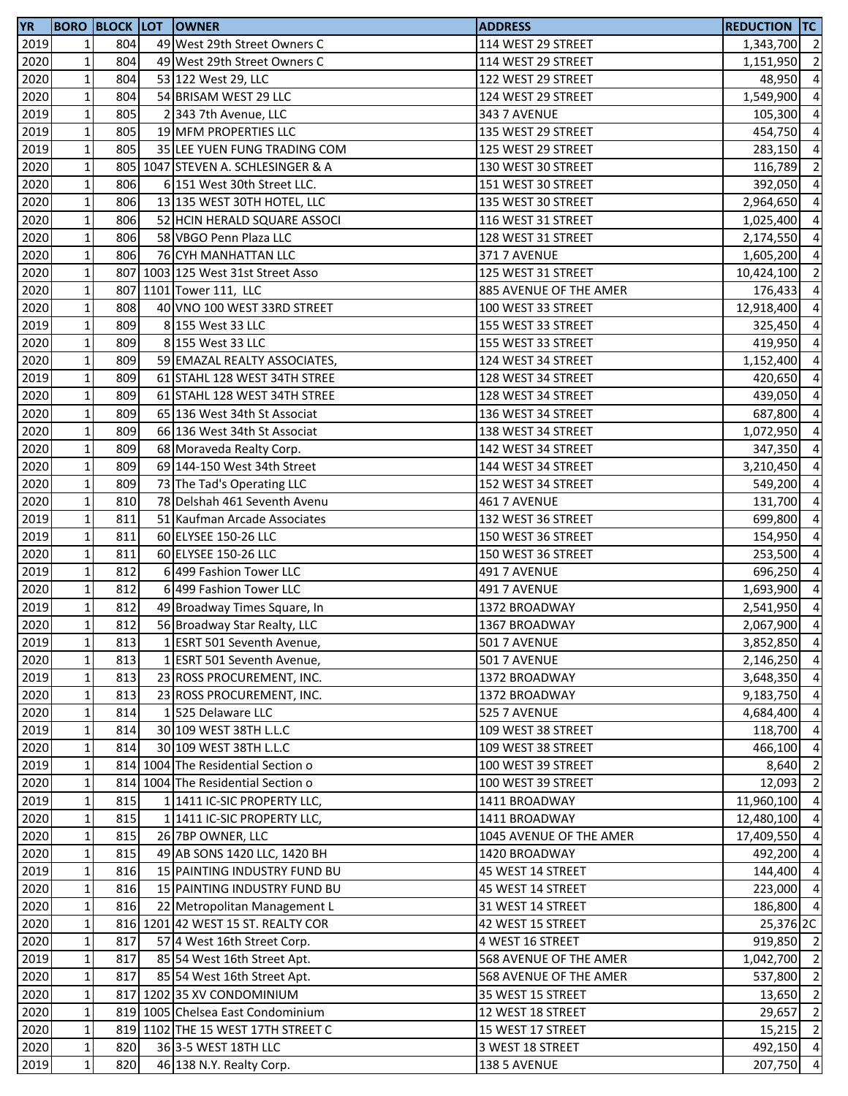| <b>YR</b> |                 |     | <b>BORO BLOCK LOT OWNER</b>         | <b>ADDRESS</b>          | <b>REDUCTION TC</b> |                |
|-----------|-----------------|-----|-------------------------------------|-------------------------|---------------------|----------------|
| 2019      | $1\overline{ }$ | 804 | 49 West 29th Street Owners C        | 114 WEST 29 STREET      | 1,343,700 2         |                |
| 2020      | $\mathbf{1}$    | 804 | 49 West 29th Street Owners C        | 114 WEST 29 STREET      | 1,151,950           | $\overline{2}$ |
| 2020      | $\mathbf{1}$    | 804 | 53 122 West 29, LLC                 | 122 WEST 29 STREET      | 48,950              | $\overline{4}$ |
| 2020      | $\mathbf 1$     | 804 | 54 BRISAM WEST 29 LLC               | 124 WEST 29 STREET      | 1,549,900 4         |                |
| 2019      | $\mathbf 1$     | 805 | 2 343 7th Avenue, LLC               | 343 7 AVENUE            | 105,300 4           |                |
| 2019      | $\mathbf 1$     | 805 | 19 MFM PROPERTIES LLC               | 135 WEST 29 STREET      | 454,750 4           |                |
| 2019      | $\mathbf 1$     | 805 | 35 LEE YUEN FUNG TRADING COM        | 125 WEST 29 STREET      | 283,150             | $\overline{4}$ |
| 2020      | $1\vert$        |     | 805 1047 STEVEN A. SCHLESINGER & A  | 130 WEST 30 STREET      | 116,789             | $\overline{2}$ |
| 2020      | $\mathbf 1$     | 806 | 6 151 West 30th Street LLC.         | 151 WEST 30 STREET      | 392,050             | $\overline{4}$ |
| 2020      | $1\overline{ }$ | 806 | 13 135 WEST 30TH HOTEL, LLC         | 135 WEST 30 STREET      | 2,964,650           | $\overline{a}$ |
| 2020      | $\mathbf 1$     | 806 | 52 HCIN HERALD SQUARE ASSOCI        | 116 WEST 31 STREET      | 1,025,400           | $\overline{4}$ |
| 2020      | $\mathbf 1$     | 806 | 58 VBGO Penn Plaza LLC              | 128 WEST 31 STREET      | 2,174,550           | $\overline{4}$ |
| 2020      | $\mathbf 1$     | 806 | 76 CYH MANHATTAN LLC                | <b>371 7 AVENUE</b>     | 1,605,200           | $\overline{4}$ |
| 2020      | $\mathbf 1$     |     | 807 1003 125 West 31st Street Asso  | 125 WEST 31 STREET      | 10,424,100          | $\overline{2}$ |
| 2020      | $\mathbf 1$     |     | 807 1101 Tower 111, LLC             | 885 AVENUE OF THE AMER  | 176,433             | $\overline{4}$ |
| 2020      | $1\vert$        | 808 | 40 VNO 100 WEST 33RD STREET         | 100 WEST 33 STREET      | 12,918,400          | $\overline{4}$ |
| 2019      | $\mathbf 1$     | 809 | 8 155 West 33 LLC                   | 155 WEST 33 STREET      | 325,450             | $\overline{a}$ |
| 2020      | $\mathbf{1}$    | 809 | 8 155 West 33 LLC                   | 155 WEST 33 STREET      | 419,950             | $\overline{4}$ |
| 2020      | $\mathbf 1$     | 809 | 59 EMAZAL REALTY ASSOCIATES,        | 124 WEST 34 STREET      | 1,152,400           | $\overline{4}$ |
| 2019      | $\mathbf 1$     | 809 | 61 STAHL 128 WEST 34TH STREE        | 128 WEST 34 STREET      | 420,650             | $\overline{4}$ |
| 2020      | $\mathbf 1$     | 809 | 61 STAHL 128 WEST 34TH STREE        | 128 WEST 34 STREET      | 439,050             | $\overline{a}$ |
| 2020      | $1\overline{ }$ | 809 | 65 136 West 34th St Associat        | 136 WEST 34 STREET      | 687,800             | $\overline{4}$ |
| 2020      | $\mathbf 1$     | 809 | 66 136 West 34th St Associat        | 138 WEST 34 STREET      | 1,072,950 4         |                |
| 2020      | $\mathbf 1$     | 809 | 68 Moraveda Realty Corp.            | 142 WEST 34 STREET      | 347,350             | $\overline{4}$ |
| 2020      | $1\vert$        | 809 | 69 144-150 West 34th Street         | 144 WEST 34 STREET      | 3,210,450           | $\overline{4}$ |
| 2020      | $1\overline{ }$ | 809 | 73 The Tad's Operating LLC          | 152 WEST 34 STREET      | 549,200             | $\overline{4}$ |
| 2020      | $\mathbf 1$     | 810 | 78 Delshah 461 Seventh Avenu        | 461 7 AVENUE            | 131,700             | $\overline{4}$ |
| 2019      | $\mathbf 1$     | 811 | 51 Kaufman Arcade Associates        | 132 WEST 36 STREET      | 699,800             | $\overline{4}$ |
| 2019      | $\mathbf 1$     | 811 | 60 ELYSEE 150-26 LLC                | 150 WEST 36 STREET      | 154,950             | $\overline{4}$ |
| 2020      | $\mathbf 1$     | 811 | 60 ELYSEE 150-26 LLC                | 150 WEST 36 STREET      | 253,500 4           |                |
| 2019      | $\mathbf 1$     | 812 | 6 499 Fashion Tower LLC             | 491 7 AVENUE            | 696,250             | $\overline{4}$ |
| 2020      | $1\vert$        | 812 | 6 499 Fashion Tower LLC             | 491 7 AVENUE            | 1,693,900 4         |                |
| 2019      | $1\vert$        | 812 | 49 Broadway Times Square, In        | 1372 BROADWAY           | 2,541,950           | $\overline{4}$ |
| 2020      | $\mathbf{1}$    | 812 | 56 Broadway Star Realty, LLC        | 1367 BROADWAY           | 2,067,900 4         |                |
| 2019      | $1\vert$        | 813 | 1 ESRT 501 Seventh Avenue,          | 501 7 AVENUE            | 3,852,850 4         |                |
| 2020      | $\mathbf{1}$    | 813 | 1 ESRT 501 Seventh Avenue,          | <b>501 7 AVENUE</b>     | 2,146,250 4         |                |
| 2019      | $\mathbf 1$     | 813 | 23 ROSS PROCUREMENT, INC.           | 1372 BROADWAY           | 3,648,350           | $\overline{4}$ |
| 2020      | $\mathbf 1$     | 813 | 23 ROSS PROCUREMENT, INC.           | 1372 BROADWAY           | 9,183,750 4         |                |
| 2020      | $\mathbf 1$     | 814 | 1525 Delaware LLC                   | 525 7 AVENUE            | 4,684,400 4         |                |
| 2019      | $\mathbf 1$     | 814 | 30 109 WEST 38TH L.L.C              | 109 WEST 38 STREET      | 118,700 4           |                |
| 2020      | $1\vert$        | 814 | 30 109 WEST 38TH L.L.C              | 109 WEST 38 STREET      | 466,100             | $\overline{4}$ |
| 2019      | $1\vert$        |     | 814 1004 The Residential Section of | 100 WEST 39 STREET      | 8,640               | $\overline{2}$ |
| 2020      | $1\overline{ }$ |     | 814 1004 The Residential Section o  | 100 WEST 39 STREET      | 12,093              | $\overline{2}$ |
| 2019      | $\mathbf{1}$    | 815 | 1 1411 IC-SIC PROPERTY LLC,         | 1411 BROADWAY           | 11,960,100          | $\overline{4}$ |
| 2020      | $\mathbf 1$     | 815 | 1 1411 IC-SIC PROPERTY LLC,         | 1411 BROADWAY           | 12,480,100          | $\overline{4}$ |
| 2020      | $1\overline{ }$ | 815 | 26 7BP OWNER, LLC                   | 1045 AVENUE OF THE AMER | 17,409,550          | $\overline{4}$ |
| 2020      | $\mathbf 1$     | 815 | 49 AB SONS 1420 LLC, 1420 BH        | 1420 BROADWAY           | 492,200 4           |                |
| 2019      | $\mathbf{1}$    | 816 | 15 PAINTING INDUSTRY FUND BU        | 45 WEST 14 STREET       | 144,400 4           |                |
| 2020      | $\mathbf 1$     | 816 | 15 PAINTING INDUSTRY FUND BU        | 45 WEST 14 STREET       | 223,000 4           |                |
| 2020      | $1\vert$        | 816 | 22 Metropolitan Management L        | 31 WEST 14 STREET       | 186,800 4           |                |
| 2020      | $\mathbf 1$     |     | 816 1201 42 WEST 15 ST. REALTY COR  | 42 WEST 15 STREET       | 25,376 2C           |                |
| 2020      | $\mathbf{1}$    | 817 | 57 4 West 16th Street Corp.         | 4 WEST 16 STREET        | 919,850 2           |                |
| 2019      | $\mathbf 1$     | 817 | 85 54 West 16th Street Apt.         | 568 AVENUE OF THE AMER  | 1,042,700 2         |                |
| 2020      | $\mathbf 1$     | 817 | 85 54 West 16th Street Apt.         | 568 AVENUE OF THE AMER  | 537,800 2           |                |
| 2020      | $\mathbf 1$     |     | 817 1202 35 XV CONDOMINIUM          | 35 WEST 15 STREET       | 13,650 2            |                |
| 2020      | $\mathbf 1$     |     | 819 1005 Chelsea East Condominium   | 12 WEST 18 STREET       | 29,657              | $\overline{2}$ |
| 2020      | $\mathbf 1$     |     | 819 1102 THE 15 WEST 17TH STREET C  | 15 WEST 17 STREET       | $15,215$ 2          |                |
| 2020      | $1\vert$        | 820 | 36 3-5 WEST 18TH LLC                | 3 WEST 18 STREET        | 492,150 4           |                |
| 2019      | $1\vert$        | 820 | 46 138 N.Y. Realty Corp.            | 138 5 AVENUE            | 207,750 4           |                |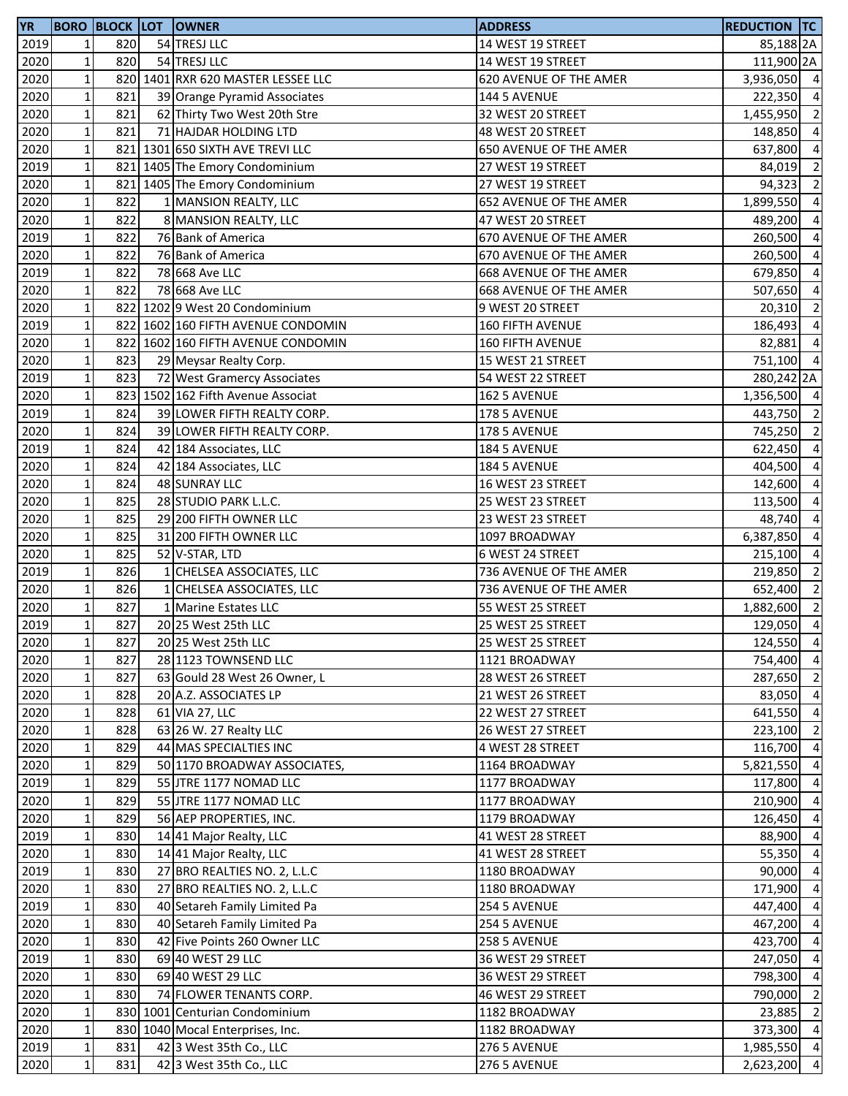| <b>YR</b> |              |     | <b>BORO BLOCK LOT OWNER</b>        | <b>ADDRESS</b>                | <b>REDUCTION TC</b>  |                |
|-----------|--------------|-----|------------------------------------|-------------------------------|----------------------|----------------|
| 2019      | 1            | 820 | 54 TRESJ LLC                       | 14 WEST 19 STREET             | 85,188 <sub>2A</sub> |                |
| 2020      | $\mathbf 1$  | 820 | 54 TRESJ LLC                       | 14 WEST 19 STREET             | 111,900 2A           |                |
| 2020      | $\mathbf 1$  |     | 820 1401 RXR 620 MASTER LESSEE LLC | 620 AVENUE OF THE AMER        | 3,936,050 4          |                |
| 2020      | $\mathbf 1$  | 821 | 39 Orange Pyramid Associates       | 144 5 AVENUE                  | 222,350 4            |                |
| 2020      | $\mathbf 1$  | 821 | 62 Thirty Two West 20th Stre       | 32 WEST 20 STREET             | 1,455,950 2          |                |
| 2020      | $\mathbf 1$  | 821 | 71 HAJDAR HOLDING LTD              | 48 WEST 20 STREET             | 148,850 4            |                |
| 2020      | $\mathbf{1}$ |     | 821 1301 650 SIXTH AVE TREVI LLC   | <b>650 AVENUE OF THE AMER</b> | 637,800              | $\overline{4}$ |
| 2019      | $\mathbf 1$  |     | 821 1405 The Emory Condominium     | 27 WEST 19 STREET             | 84,019               | $\overline{2}$ |
| 2020      | $\mathbf 1$  |     | 821 1405 The Emory Condominium     | 27 WEST 19 STREET             | 94,323               | $\overline{2}$ |
| 2020      | $\mathbf{1}$ | 822 | 1 MANSION REALTY, LLC              | 652 AVENUE OF THE AMER        | 1,899,550            | $\overline{4}$ |
| 2020      | $\mathbf 1$  | 822 | 8 MANSION REALTY, LLC              | 47 WEST 20 STREET             | 489,200              | $\overline{4}$ |
| 2019      | $\mathbf 1$  | 822 | 76 Bank of America                 | 670 AVENUE OF THE AMER        | 260,500              | $\overline{a}$ |
| 2020      | $\mathbf 1$  | 822 | 76 Bank of America                 | 670 AVENUE OF THE AMER        | 260,500              | $\overline{4}$ |
| 2019      | $\mathbf 1$  | 822 | 78 668 Ave LLC                     | <b>668 AVENUE OF THE AMER</b> | 679,850              | $\overline{4}$ |
| 2020      | $\mathbf 1$  | 822 | 78 668 Ave LLC                     | <b>668 AVENUE OF THE AMER</b> | 507,650              | $\overline{4}$ |
| 2020      | $\mathbf 1$  |     | 822 1202 9 West 20 Condominium     | 9 WEST 20 STREET              | 20,310               | $\overline{2}$ |
| 2019      | $\mathbf{1}$ |     | 822 1602 160 FIFTH AVENUE CONDOMIN | <b>160 FIFTH AVENUE</b>       | 186,493              | $\overline{a}$ |
| 2020      | $\mathbf{1}$ |     | 822 1602 160 FIFTH AVENUE CONDOMIN | <b>160 FIFTH AVENUE</b>       | 82,881               | $\overline{4}$ |
| 2020      | $\mathbf 1$  | 823 | 29 Meysar Realty Corp.             | 15 WEST 21 STREET             | 751,100 4            |                |
| 2019      | $\mathbf 1$  | 823 | 72 West Gramercy Associates        | 54 WEST 22 STREET             | 280,242 2A           |                |
| 2020      | $\mathbf 1$  |     | 823 1502 162 Fifth Avenue Associat | 162 5 AVENUE                  | 1,356,500 4          |                |
| 2019      | $\mathbf 1$  | 824 | 39 LOWER FIFTH REALTY CORP.        | 178 5 AVENUE                  | 443,750 2            |                |
| 2020      | $\mathbf 1$  | 824 | 39 LOWER FIFTH REALTY CORP.        | 178 5 AVENUE                  | 745,250 2            |                |
| 2019      | $\mathbf 1$  | 824 | 42 184 Associates, LLC             | 184 5 AVENUE                  | 622,450              | $\overline{4}$ |
| 2020      | $\mathbf 1$  | 824 | 42 184 Associates, LLC             | 184 5 AVENUE                  | 404,500              | $\overline{4}$ |
| 2020      | $\mathbf 1$  | 824 | 48 SUNRAY LLC                      | 16 WEST 23 STREET             | 142,600              | $\overline{4}$ |
| 2020      | $\mathbf 1$  | 825 | 28 STUDIO PARK L.L.C.              | 25 WEST 23 STREET             | 113,500              | $\overline{4}$ |
| 2020      | $\mathbf 1$  | 825 | 29 200 FIFTH OWNER LLC             | 23 WEST 23 STREET             | 48,740               | $\overline{4}$ |
| 2020      | $\mathbf 1$  | 825 | 31 200 FIFTH OWNER LLC             | 1097 BROADWAY                 | 6,387,850            | $\overline{4}$ |
| 2020      | $\mathbf 1$  | 825 | 52 V-STAR, LTD                     | 6 WEST 24 STREET              | 215,100 4            |                |
| 2019      | $\mathbf 1$  | 826 | 1 CHELSEA ASSOCIATES, LLC          | 736 AVENUE OF THE AMER        | 219,850              | $\overline{2}$ |
| 2020      | $\mathbf 1$  | 826 | 1 CHELSEA ASSOCIATES, LLC          | 736 AVENUE OF THE AMER        | 652,400 2            |                |
| 2020      | $\mathbf 1$  | 827 | 1 Marine Estates LLC               | 55 WEST 25 STREET             | 1,882,600 2          |                |
| 2019      | $\mathbf{1}$ | 827 | 20 25 West 25th LLC                | 25 WEST 25 STREET             | 129,050 4            |                |
| 2020      | $1\vert$     | 827 | 20 25 West 25th LLC                | 25 WEST 25 STREET             | 124,550 4            |                |
| 2020      | $\mathbf 1$  | 827 | 28 1123 TOWNSEND LLC               | 1121 BROADWAY                 | 754,400 4            |                |
| 2020      | $\mathbf 1$  | 827 | 63 Gould 28 West 26 Owner, L       | 28 WEST 26 STREET             | 287,650              | $\overline{2}$ |
| 2020      | $\mathbf 1$  | 828 | 20 A.Z. ASSOCIATES LP              | 21 WEST 26 STREET             | 83,050 4             |                |
| 2020      | $\mathbf 1$  | 828 | 61 VIA 27, LLC                     | 22 WEST 27 STREET             | 641,550              | $\overline{4}$ |
| 2020      | $\mathbf 1$  | 828 | 63 26 W. 27 Realty LLC             | 26 WEST 27 STREET             | 223,100              | $\overline{2}$ |
| 2020      | $\mathbf{1}$ | 829 | 44 MAS SPECIALTIES INC             | 4 WEST 28 STREET              | 116,700              | $\overline{4}$ |
| 2020      | $\mathbf 1$  | 829 | 50 1170 BROADWAY ASSOCIATES,       | 1164 BROADWAY                 | 5,821,550            | $\overline{4}$ |
| 2019      | $\mathbf{1}$ | 829 | 55 JTRE 1177 NOMAD LLC             | 1177 BROADWAY                 | 117,800              | $\overline{4}$ |
| 2020      | $\mathbf 1$  | 829 | 55 JTRE 1177 NOMAD LLC             | 1177 BROADWAY                 | 210,900              | $\overline{4}$ |
| 2020      | $\mathbf{1}$ | 829 | 56 AEP PROPERTIES, INC.            | 1179 BROADWAY                 | 126,450              | $\overline{4}$ |
| 2019      | $\mathbf 1$  | 830 | 14 41 Major Realty, LLC            | 41 WEST 28 STREET             | 88,900               | $\overline{4}$ |
| 2020      | $\mathbf 1$  | 830 | 14 41 Major Realty, LLC            | 41 WEST 28 STREET             | 55,350               | $\overline{4}$ |
| 2019      | $\mathbf 1$  | 830 | 27 BRO REALTIES NO. 2, L.L.C       | 1180 BROADWAY                 | 90,000               | $\overline{4}$ |
| 2020      | $\mathbf 1$  | 830 | 27 BRO REALTIES NO. 2, L.L.C       | 1180 BROADWAY                 | 171,900              | $\overline{4}$ |
| 2019      | $\mathbf 1$  | 830 | 40 Setareh Family Limited Pa       | 254 5 AVENUE                  | 447,400              | $\overline{4}$ |
| 2020      | $\mathbf{1}$ | 830 | 40 Setareh Family Limited Pa       | 254 5 AVENUE                  | 467,200              | $\overline{4}$ |
| 2020      | $\mathbf 1$  | 830 | 42 Five Points 260 Owner LLC       | 258 5 AVENUE                  | 423,700              | $\overline{4}$ |
| 2019      | $\mathbf 1$  | 830 | 69 40 WEST 29 LLC                  | 36 WEST 29 STREET             | 247,050              | $\overline{4}$ |
| 2020      | $\mathbf 1$  | 830 | 69 40 WEST 29 LLC                  | 36 WEST 29 STREET             | 798,300              | $\overline{4}$ |
| 2020      | $\mathbf 1$  | 830 | 74 FLOWER TENANTS CORP.            | 46 WEST 29 STREET             | 790,000              | $\overline{2}$ |
| 2020      | $\mathbf 1$  |     | 830 1001 Centurian Condominium     | 1182 BROADWAY                 | 23,885               | $\overline{2}$ |
| 2020      | $\mathbf 1$  |     | 830 1040 Mocal Enterprises, Inc.   | 1182 BROADWAY                 | 373,300 4            |                |
| 2019      | $1\vert$     | 831 | 42 3 West 35th Co., LLC            | 276 5 AVENUE                  | 1,985,550 4          |                |
| 2020      | $\mathbf 1$  | 831 | 42 3 West 35th Co., LLC            | 276 5 AVENUE                  | 2,623,200            | $\overline{4}$ |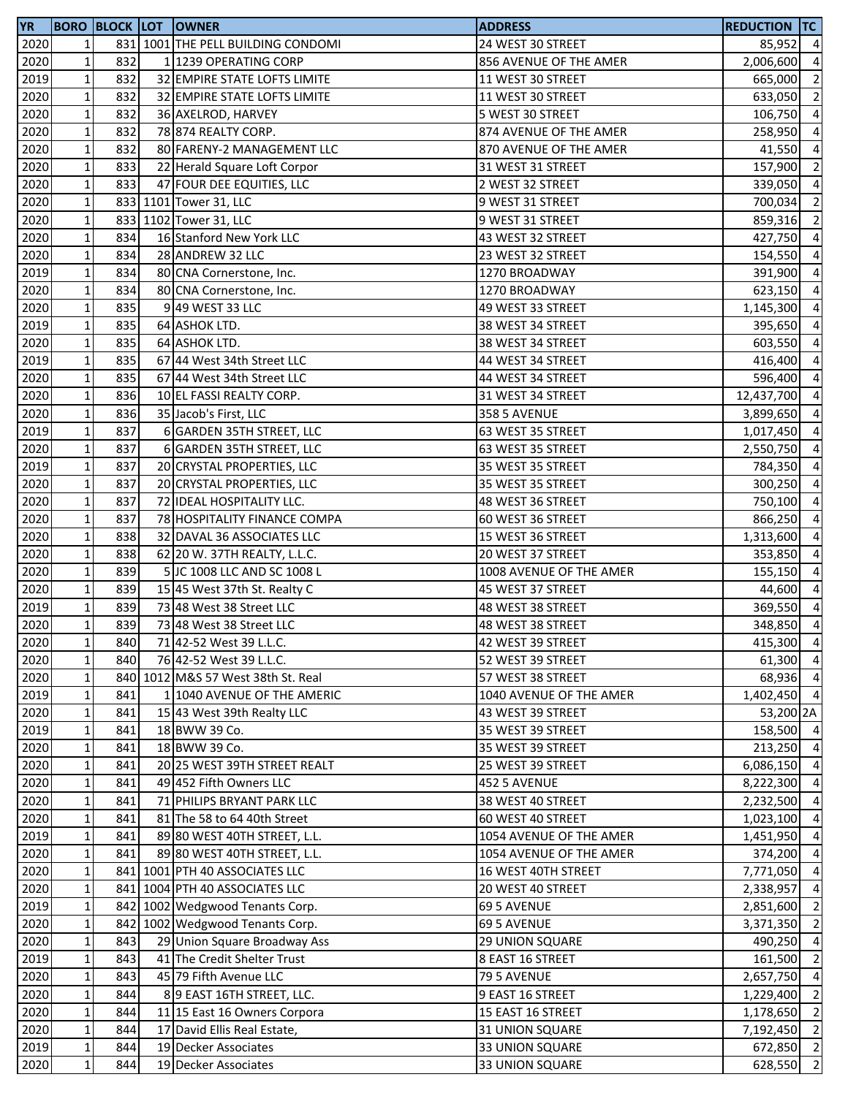| <b>YR</b> |                 |     | <b>BORO BLOCK LOT OWNER</b>        | <b>ADDRESS</b>          | <b>REDUCTION TC</b> |                |
|-----------|-----------------|-----|------------------------------------|-------------------------|---------------------|----------------|
| 2020      | 1               |     | 831 1001 THE PELL BUILDING CONDOMI | 24 WEST 30 STREET       | 85,952 4            |                |
| 2020      | $\mathbf{1}$    | 832 | 1 1239 OPERATING CORP              | 856 AVENUE OF THE AMER  | 2,006,600           | $\overline{4}$ |
| 2019      | $1\overline{ }$ | 832 | 32 EMPIRE STATE LOFTS LIMITE       | 11 WEST 30 STREET       | 665,000             | $\overline{2}$ |
| 2020      | $\mathbf 1$     | 832 | 32 EMPIRE STATE LOFTS LIMITE       | 11 WEST 30 STREET       | 633,050             | $\overline{2}$ |
| 2020      | $\mathbf 1$     | 832 | 36 AXELROD, HARVEY                 | 5 WEST 30 STREET        | 106,750 4           |                |
| 2020      | $\mathbf 1$     | 832 | 78 874 REALTY CORP.                | 874 AVENUE OF THE AMER  | 258,950             | $\overline{4}$ |
| 2020      | $\mathbf 1$     | 832 | 80 FARENY-2 MANAGEMENT LLC         | 870 AVENUE OF THE AMER  | 41,550              | $\overline{4}$ |
| 2020      | $1\vert$        | 833 | 22 Herald Square Loft Corpor       | 31 WEST 31 STREET       | 157,900             | $\overline{2}$ |
| 2020      | $1\vert$        | 833 | 47 FOUR DEE EQUITIES, LLC          | 2 WEST 32 STREET        | 339,050             | $\overline{4}$ |
| 2020      | $1\overline{ }$ |     | 833 1101 Tower 31, LLC             | 9 WEST 31 STREET        | 700,034             | $\overline{2}$ |
| 2020      | $\mathbf{1}$    |     | 833 1102 Tower 31, LLC             | 9 WEST 31 STREET        | 859,316             | $\overline{2}$ |
| 2020      | $\mathbf 1$     | 834 | 16 Stanford New York LLC           | 43 WEST 32 STREET       | 427,750             | $\overline{4}$ |
| 2020      | $\mathbf 1$     | 834 | 28 ANDREW 32 LLC                   | 23 WEST 32 STREET       | 154,550             | $\overline{4}$ |
| 2019      | $\mathbf 1$     | 834 | 80 CNA Cornerstone, Inc.           | 1270 BROADWAY           | 391,900             | $\overline{4}$ |
| 2020      | $\mathbf 1$     | 834 | 80 CNA Cornerstone, Inc.           | 1270 BROADWAY           | 623,150             | $\overline{4}$ |
| 2020      | $\mathbf 1$     | 835 | 9 49 WEST 33 LLC                   | 49 WEST 33 STREET       | 1,145,300           | $\overline{4}$ |
| 2019      | $\mathbf 1$     | 835 | 64 ASHOK LTD.                      | 38 WEST 34 STREET       | 395,650             | $\overline{4}$ |
| 2020      | $1\overline{ }$ | 835 | 64 ASHOK LTD.                      | 38 WEST 34 STREET       | 603,550             | $\overline{4}$ |
| 2019      | $\mathbf 1$     | 835 | 67 44 West 34th Street LLC         | 44 WEST 34 STREET       | 416,400             | $\overline{4}$ |
| 2020      | $\mathbf 1$     | 835 | 67 44 West 34th Street LLC         | 44 WEST 34 STREET       | 596,400             | $\overline{a}$ |
| 2020      | $\mathbf 1$     | 836 | 10 EL FASSI REALTY CORP.           | 31 WEST 34 STREET       | 12,437,700          | $\overline{4}$ |
| 2020      | $1\overline{ }$ | 836 | 35 Jacob's First, LLC              | <b>358 5 AVENUE</b>     | 3,899,650           | $\overline{4}$ |
| 2019      | $\mathbf 1$     | 837 | 6 GARDEN 35TH STREET, LLC          | 63 WEST 35 STREET       | 1,017,450           | $\overline{4}$ |
| 2020      | $\mathbf 1$     | 837 | 6 GARDEN 35TH STREET, LLC          | 63 WEST 35 STREET       | 2,550,750           | $\overline{4}$ |
| 2019      | $1\vert$        | 837 | 20 CRYSTAL PROPERTIES, LLC         | 35 WEST 35 STREET       | 784,350             | $\overline{4}$ |
| 2020      | $1\overline{ }$ | 837 | 20 CRYSTAL PROPERTIES, LLC         | 35 WEST 35 STREET       | 300,250             | $\overline{a}$ |
| 2020      | $\mathbf 1$     | 837 | 72 IDEAL HOSPITALITY LLC.          | 48 WEST 36 STREET       | 750,100             | $\overline{4}$ |
| 2020      | $\mathbf 1$     | 837 | 78 HOSPITALITY FINANCE COMPA       | 60 WEST 36 STREET       | 866,250             | $\overline{4}$ |
| 2020      | $\mathbf 1$     | 838 | 32 DAVAL 36 ASSOCIATES LLC         | 15 WEST 36 STREET       | 1,313,600           | $\overline{4}$ |
| 2020      | $\mathbf{1}$    | 838 | 62 20 W. 37TH REALTY, L.L.C.       | 20 WEST 37 STREET       | 353,850             | $\overline{4}$ |
| 2020      | $\mathbf 1$     | 839 | 5 JC 1008 LLC AND SC 1008 L        | 1008 AVENUE OF THE AMER | 155,150             | $\overline{4}$ |
| 2020      | $\mathbf{1}$    | 839 | 15 45 West 37th St. Realty C       | 45 WEST 37 STREET       | 44,600              | $\overline{4}$ |
| 2019      | $\mathbf 1$     | 839 | 73 48 West 38 Street LLC           | 48 WEST 38 STREET       | 369,550             | $\overline{4}$ |
| 2020      | $1\overline{ }$ | 839 | 73 48 West 38 Street LLC           | 48 WEST 38 STREET       | 348,850             | $\overline{4}$ |
| 2020      | $1\vert$        | 840 | 71 42-52 West 39 L.L.C.            | 42 WEST 39 STREET       | 415,300 4           |                |
| 2020      | $\mathbf 1$     | 840 | 76 42-52 West 39 L.L.C.            | 52 WEST 39 STREET       | 61,300 4            |                |
| 2020      | $1\overline{ }$ |     | 840 1012 M&S 57 West 38th St. Real | 57 WEST 38 STREET       | 68,936 4            |                |
| 2019      | $\mathbf 1$     | 841 | 1 1040 AVENUE OF THE AMERIC        | 1040 AVENUE OF THE AMER | 1,402,450 4         |                |
| 2020      | $\mathbf 1$     | 841 | 15 43 West 39th Realty LLC         | 43 WEST 39 STREET       | 53,200 2A           |                |
| 2019      | $\mathbf 1$     | 841 | 18 BWW 39 Co.                      | 35 WEST 39 STREET       | 158,500 4           |                |
| 2020      | $1\vert$        | 841 | 18 BWW 39 Co.                      | 35 WEST 39 STREET       | 213,250 4           |                |
| 2020      | $1\overline{ }$ | 841 | 20 25 WEST 39TH STREET REALT       | 25 WEST 39 STREET       | 6,086,150 4         |                |
| 2020      | $1\overline{ }$ | 841 | 49 452 Fifth Owners LLC            | 452 5 AVENUE            | 8,222,300           | $\overline{4}$ |
| 2020      | $\mathbf{1}$    | 841 | 71 PHILIPS BRYANT PARK LLC         | 38 WEST 40 STREET       | 2,232,500           | $\overline{4}$ |
| 2020      | $\mathbf 1$     | 841 | 81 The 58 to 64 40th Street        | 60 WEST 40 STREET       | 1,023,100           | $\overline{4}$ |
| 2019      | $\mathbf{1}$    | 841 | 89 80 WEST 40TH STREET, L.L.       | 1054 AVENUE OF THE AMER | 1,451,950           | $\overline{4}$ |
| 2020      | $1\overline{ }$ | 841 | 89 80 WEST 40TH STREET, L.L.       | 1054 AVENUE OF THE AMER | 374,200 4           |                |
| 2020      | $\mathbf{1}$    |     | 841 1001 PTH 40 ASSOCIATES LLC     | 16 WEST 40TH STREET     | 7,771,050 4         |                |
| 2020      | $\mathbf 1$     |     | 841 1004 PTH 40 ASSOCIATES LLC     | 20 WEST 40 STREET       | 2,338,957           | $\overline{4}$ |
| 2019      | $1\vert$        |     | 842 1002 Wedgwood Tenants Corp.    | 69 5 AVENUE             | 2,851,600           | $\overline{2}$ |
| 2020      | $1\overline{ }$ |     | 842 1002 Wedgwood Tenants Corp.    | 69 5 AVENUE             | 3,371,350 2         |                |
| 2020      | $\mathbf{1}$    | 843 | 29 Union Square Broadway Ass       | 29 UNION SQUARE         | 490,250 4           |                |
| 2019      | $\mathbf 1$     | 843 | 41 The Credit Shelter Trust        | 8 EAST 16 STREET        | 161,500             | $\overline{2}$ |
| 2020      | $1\overline{ }$ | 843 | 45 79 Fifth Avenue LLC             | 79 5 AVENUE             | 2,657,750 4         |                |
| 2020      | $\mathbf 1$     | 844 | 89 EAST 16TH STREET, LLC.          | 9 EAST 16 STREET        | 1,229,400 2         |                |
| 2020      | $\mathbf{1}$    | 844 | 11 15 East 16 Owners Corpora       | 15 EAST 16 STREET       | 1,178,650 2         |                |
| 2020      | $\mathbf{1}$    | 844 | 17 David Ellis Real Estate,        | 31 UNION SQUARE         | 7,192,450 2         |                |
| 2019      | $1\vert$        | 844 | 19 Decker Associates               | <b>33 UNION SQUARE</b>  | $672,850$ 2         |                |
| 2020      | $1\vert$        | 844 | 19 Decker Associates               | <b>33 UNION SQUARE</b>  | 628,550 2           |                |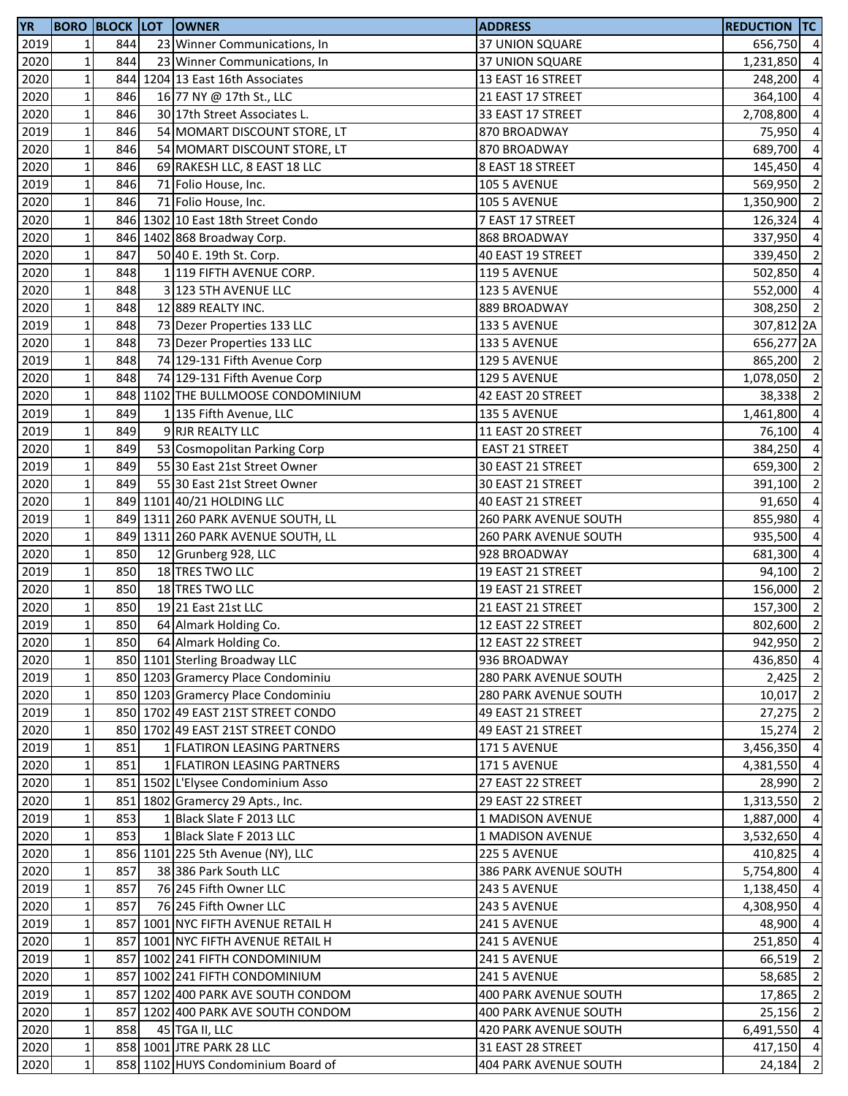| <b>YR</b> |              |     | <b>BORO BLOCK LOT OWNER</b>        | <b>ADDRESS</b>               | <b>REDUCTION TC</b> |                           |
|-----------|--------------|-----|------------------------------------|------------------------------|---------------------|---------------------------|
| 2019      | 1            | 844 | 23 Winner Communications, In       | 37 UNION SQUARE              | 656,750 4           |                           |
| 2020      | $\mathbf{1}$ | 844 | 23 Winner Communications, In       | 37 UNION SQUARE              | 1,231,850 4         |                           |
| 2020      | $\mathbf 1$  |     | 844 1204 13 East 16th Associates   | 13 EAST 16 STREET            | 248,200             | $\overline{4}$            |
| 2020      | $\mathbf 1$  | 846 | 16 77 NY @ 17th St., LLC           | 21 EAST 17 STREET            | 364,100 4           |                           |
| 2020      | $\mathbf 1$  | 846 | 30 17th Street Associates L.       | 33 EAST 17 STREET            | 2,708,800 4         |                           |
| 2019      | $\mathbf 1$  | 846 | 54 MOMART DISCOUNT STORE, LT       | 870 BROADWAY                 | 75,950 4            |                           |
| 2020      | $\mathbf 1$  | 846 | 54 MOMART DISCOUNT STORE, LT       | 870 BROADWAY                 | 689,700 4           |                           |
| 2020      | $\mathbf 1$  | 846 | 69 RAKESH LLC, 8 EAST 18 LLC       | 8 EAST 18 STREET             | 145,450 4           |                           |
| 2019      | $\mathbf{1}$ | 846 | 71 Folio House, Inc.               | <b>105 5 AVENUE</b>          | 569,950             | $\overline{2}$            |
| 2020      | $\mathbf{1}$ | 846 | 71 Folio House, Inc.               | 105 5 AVENUE                 | 1,350,900           | $\overline{\phantom{0}}$  |
| 2020      | $\mathbf{1}$ |     | 846 1302 10 East 18th Street Condo | 7 EAST 17 STREET             | 126,324             | $\overline{4}$            |
| 2020      | $\mathbf 1$  |     | 846 1402 868 Broadway Corp.        | 868 BROADWAY                 | 337,950             | $\overline{a}$            |
| 2020      | $\mathbf 1$  | 847 | 50 40 E. 19th St. Corp.            | 40 EAST 19 STREET            | 339,450 2           |                           |
| 2020      | $\mathbf 1$  | 848 | 1 119 FIFTH AVENUE CORP.           | <b>119 5 AVENUE</b>          | 502,850 4           |                           |
| 2020      | $\mathbf 1$  | 848 | 3 123 5TH AVENUE LLC               | 123 5 AVENUE                 | 552,000 4           |                           |
| 2020      | $\mathbf 1$  | 848 | 12 889 REALTY INC.                 | 889 BROADWAY                 | 308,250 2           |                           |
| 2019      | $\mathbf{1}$ | 848 | 73 Dezer Properties 133 LLC        | 133 5 AVENUE                 | 307,812 2A          |                           |
| 2020      | $\mathbf{1}$ | 848 | 73 Dezer Properties 133 LLC        | 133 5 AVENUE                 | 656,277 2A          |                           |
| 2019      | $\mathbf{1}$ | 848 | 74 129-131 Fifth Avenue Corp       | 129 5 AVENUE                 | 865,200 2           |                           |
| 2020      | $\mathbf 1$  | 848 | 74 129-131 Fifth Avenue Corp       | 129 5 AVENUE                 | 1,078,050 2         |                           |
| 2020      | $\mathbf 1$  |     | 848 1102 THE BULLMOOSE CONDOMINIUM | 42 EAST 20 STREET            | 38,338 2            |                           |
| 2019      | $\mathbf 1$  | 849 | 1 135 Fifth Avenue, LLC            | <b>135 5 AVENUE</b>          | 1,461,800 4         |                           |
| 2019      | $\mathbf 1$  | 849 | 9 RJR REALTY LLC                   | 11 EAST 20 STREET            | 76,100 4            |                           |
| 2020      | $\mathbf 1$  | 849 | 53 Cosmopolitan Parking Corp       | <b>EAST 21 STREET</b>        | 384,250 4           |                           |
| 2019      | $\mathbf 1$  | 849 | 55 30 East 21st Street Owner       | 30 EAST 21 STREET            | 659,300             | $\overline{\phantom{0}}$  |
| 2020      | $\mathbf 1$  | 849 | 55 30 East 21st Street Owner       | 30 EAST 21 STREET            | 391,100             | $\overline{\phantom{0}}$  |
| 2020      | $\mathbf{1}$ |     | 849 1101 40/21 HOLDING LLC         | 40 EAST 21 STREET            | 91,650              | $\overline{4}$            |
| 2019      | $\mathbf 1$  |     | 849 1311 260 PARK AVENUE SOUTH, LL | 260 PARK AVENUE SOUTH        | 855,980             | $\overline{4}$            |
| 2020      | $\mathbf 1$  |     | 849 1311 260 PARK AVENUE SOUTH, LL | <b>260 PARK AVENUE SOUTH</b> | 935,500             | $\overline{4}$            |
| 2020      | $\mathbf 1$  | 850 | 12 Grunberg 928, LLC               | 928 BROADWAY                 | 681,300 4           |                           |
| 2019      | $\mathbf 1$  | 850 | 18 TRES TWO LLC                    | 19 EAST 21 STREET            | 94,100              | $\overline{\phantom{0}}$  |
| 2020      | $\mathbf 1$  | 850 | 18 TRES TWO LLC                    | 19 EAST 21 STREET            | 156,000 2           |                           |
| 2020      | $1\vert$     | 850 | 19 21 East 21st LLC                | 21 EAST 21 STREET            | 157,300 2           |                           |
| 2019      | $\mathbf{1}$ | 850 | 64 Almark Holding Co.              | 12 EAST 22 STREET            | 802,600             | $\overline{\phantom{0}2}$ |
| 2020      | $1\vert$     | 850 | 64 Almark Holding Co.              | 12 EAST 22 STREET            | 942,950 2           |                           |
| 2020      | $\mathbf{1}$ |     | 850 1101 Sterling Broadway LLC     | 936 BROADWAY                 | 436,850 4           |                           |
| 2019      | $\mathbf 1$  |     | 850 1203 Gramercy Place Condominiu | 280 PARK AVENUE SOUTH        | 2,425               | $\overline{2}$            |
| 2020      | $1\vert$     |     | 850 1203 Gramercy Place Condominiu | 280 PARK AVENUE SOUTH        | $10,017$ 2          |                           |
| 2019      | $1\vert$     |     | 850 1702 49 EAST 21ST STREET CONDO | 49 EAST 21 STREET            | $27,275$ 2          |                           |
| 2020      | $\mathbf 1$  |     | 850 1702 49 EAST 21ST STREET CONDO | 49 EAST 21 STREET            | 15,274 2            |                           |
| 2019      | $\mathbf 1$  | 851 | 1 FLATIRON LEASING PARTNERS        | 171 5 AVENUE                 | 3,456,350           | $\overline{4}$            |
| 2020      | $1\vert$     | 851 | 1 FLATIRON LEASING PARTNERS        | 171 5 AVENUE                 | 4,381,550 4         |                           |
| 2020      | $1\vert$     |     | 851 1502 L'Elysee Condominium Asso | 27 EAST 22 STREET            | 28,990              | $\overline{2}$            |
| 2020      | $\mathbf{1}$ |     | 851 1802 Gramercy 29 Apts., Inc.   | 29 EAST 22 STREET            | 1,313,550           | $\overline{2}$            |
| 2019      | $\mathbf 1$  | 853 | 1 Black Slate F 2013 LLC           | 1 MADISON AVENUE             | 1,887,000           | $\overline{4}$            |
| 2020      | $\mathbf 1$  | 853 | 1 Black Slate F 2013 LLC           | 1 MADISON AVENUE             | 3,532,650 4         |                           |
| 2020      | $\mathbf 1$  |     | 856 1101 225 5th Avenue (NY), LLC  | 225 5 AVENUE                 | 410,825 4           |                           |
| 2020      | $\mathbf 1$  | 857 | 38 386 Park South LLC              | 386 PARK AVENUE SOUTH        | 5,754,800 4         |                           |
| 2019      | $\mathbf 1$  | 857 | 76 245 Fifth Owner LLC             | 243 5 AVENUE                 | 1,138,450 4         |                           |
| 2020      | $1\vert$     | 857 | 76 245 Fifth Owner LLC             | 243 5 AVENUE                 | 4,308,950 4         |                           |
| 2019      | $\mathbf 1$  |     | 857 1001 NYC FIFTH AVENUE RETAIL H | 241 5 AVENUE                 | 48,900              | $\overline{4}$            |
| 2020      | $\mathbf 1$  |     | 857 1001 NYC FIFTH AVENUE RETAIL H | 241 5 AVENUE                 | 251,850             | $\overline{4}$            |
| 2019      | $\mathbf 1$  |     | 857 1002 241 FIFTH CONDOMINIUM     | 241 5 AVENUE                 | 66,519              | $\overline{2}$            |
| 2020      | $\mathbf 1$  |     | 857 1002 241 FIFTH CONDOMINIUM     | 241 5 AVENUE                 | 58,685 2            |                           |
| 2019      | $1\vert$     |     | 857 1202 400 PARK AVE SOUTH CONDOM | 400 PARK AVENUE SOUTH        | 17,865              | $\overline{2}$            |
| 2020      | $\mathbf 1$  |     | 857 1202 400 PARK AVE SOUTH CONDOM | <b>400 PARK AVENUE SOUTH</b> | $25,156$ 2          |                           |
| 2020      | $1\vert$     | 858 | 45 TGA II, LLC                     | 420 PARK AVENUE SOUTH        | 6,491,550 4         |                           |
| 2020      | $1\vert$     |     | 858 1001 JTRE PARK 28 LLC          | 31 EAST 28 STREET            | 417,150 4           |                           |
| 2020      | $1\vert$     |     | 858 1102 HUYS Condominium Board of | 404 PARK AVENUE SOUTH        | 24,184              | $\overline{2}$            |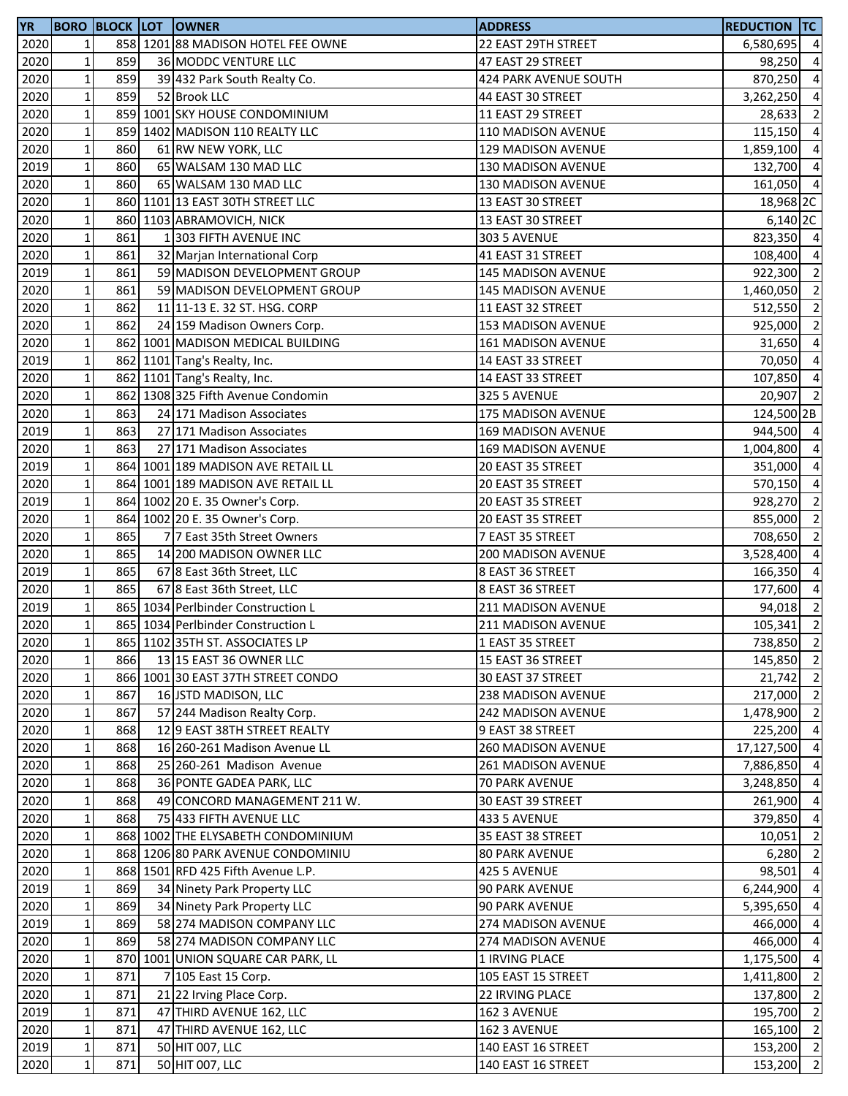| <b>YR</b> |                 |     | <b>BORO BLOCK LOT OWNER</b>        | <b>ADDRESS</b>            | <b>REDUCTION TC</b> |                |
|-----------|-----------------|-----|------------------------------------|---------------------------|---------------------|----------------|
| 2020      | $1\vert$        |     | 858 1201 88 MADISON HOTEL FEE OWNE | 22 EAST 29TH STREET       | 6,580,695           | $\overline{4}$ |
| 2020      | $\mathbf{1}$    | 859 | 36 MODDC VENTURE LLC               | 47 EAST 29 STREET         | 98,250              | $\overline{4}$ |
| 2020      | $\mathbf 1$     | 859 | 39 432 Park South Realty Co.       | 424 PARK AVENUE SOUTH     | 870,250             | $\overline{4}$ |
| 2020      | $\mathbf 1$     | 859 | 52 Brook LLC                       | 44 EAST 30 STREET         | 3,262,250 4         |                |
| 2020      | $\mathbf 1$     |     | 859 1001 SKY HOUSE CONDOMINIUM     | 11 EAST 29 STREET         | 28,633              | $\overline{2}$ |
| 2020      | $\mathbf{1}$    |     | 859 1402 MADISON 110 REALTY LLC    | 110 MADISON AVENUE        | 115,150 4           |                |
| 2020      | $\mathbf 1$     | 860 | 61 RW NEW YORK, LLC                | 129 MADISON AVENUE        | 1,859,100           | $\overline{4}$ |
| 2019      | $\mathbf 1$     | 860 | 65 WALSAM 130 MAD LLC              | 130 MADISON AVENUE        | 132,700 4           |                |
| 2020      | $\mathbf 1$     | 860 | 65 WALSAM 130 MAD LLC              | 130 MADISON AVENUE        | 161,050 4           |                |
| 2020      | $\mathbf 1$     |     | 860 1101 13 EAST 30TH STREET LLC   | 13 EAST 30 STREET         | 18,968 2C           |                |
| 2020      | $\mathbf 1$     |     | 860 1103 ABRAMOVICH, NICK          | 13 EAST 30 STREET         | 6,140 2C            |                |
| 2020      | $\mathbf 1$     | 861 | 1 303 FIFTH AVENUE INC             |                           | 823,350 4           |                |
|           | $\mathbf{1}$    | 861 |                                    | <b>303 5 AVENUE</b>       | 108,400 4           |                |
| 2020      |                 |     | 32 Marjan International Corp       | 41 EAST 31 STREET         |                     |                |
| 2019      | $\mathbf 1$     | 861 | 59 MADISON DEVELOPMENT GROUP       | 145 MADISON AVENUE        | 922,300 2           |                |
| 2020      | $\mathbf 1$     | 861 | 59 MADISON DEVELOPMENT GROUP       | 145 MADISON AVENUE        | 1,460,050 2         |                |
| 2020      | $1\vert$        | 862 | 11 11-13 E. 32 ST. HSG. CORP       | 11 EAST 32 STREET         | 512,550             | $\overline{2}$ |
| 2020      | $\mathbf 1$     | 862 | 24 159 Madison Owners Corp.        | 153 MADISON AVENUE        | 925,000             | $\overline{2}$ |
| 2020      | $\mathbf 1$     |     | 862 1001 MADISON MEDICAL BUILDING  | 161 MADISON AVENUE        | 31,650              | $\overline{4}$ |
| 2019      | $\mathbf 1$     |     | 862 1101 Tang's Realty, Inc.       | 14 EAST 33 STREET         | 70,050              | $\overline{4}$ |
| 2020      | $\mathbf 1$     |     | 862 1101 Tang's Realty, Inc.       | 14 EAST 33 STREET         | 107,850 4           |                |
| 2020      | $\mathbf 1$     |     | 862 1308 325 Fifth Avenue Condomin | 325 5 AVENUE              | $20,907$ 2          |                |
| 2020      | $\mathbf 1$     | 863 | 24 171 Madison Associates          | <b>175 MADISON AVENUE</b> | 124,500 2B          |                |
| 2019      | $\mathbf 1$     | 863 | 27 171 Madison Associates          | 169 MADISON AVENUE        | 944,500 4           |                |
| 2020      | $1\vert$        | 863 | 27 171 Madison Associates          | 169 MADISON AVENUE        | 1,004,800           | $\overline{4}$ |
| 2019      | $\mathbf 1$     |     | 864 1001 189 MADISON AVE RETAIL LL | 20 EAST 35 STREET         | 351,000             | $\overline{4}$ |
| 2020      | $1\overline{ }$ |     | 864 1001 189 MADISON AVE RETAIL LL | 20 EAST 35 STREET         | 570,150             | $\overline{a}$ |
| 2019      | $\mathbf 1$     |     | 864 1002 20 E. 35 Owner's Corp.    | 20 EAST 35 STREET         | 928,270             | $\overline{2}$ |
| 2020      | $\mathbf 1$     |     | 864 1002 20 E. 35 Owner's Corp.    | 20 EAST 35 STREET         | 855,000             | $\overline{2}$ |
| 2020      | $\mathbf 1$     | 865 | 77 East 35th Street Owners         | 7 EAST 35 STREET          | 708,650             | $\overline{2}$ |
| 2020      | $\mathbf{1}$    | 865 | 14 200 MADISON OWNER LLC           | <b>200 MADISON AVENUE</b> | 3,528,400           | $\overline{4}$ |
| 2019      | $\mathbf 1$     | 865 | 67 8 East 36th Street, LLC         | 8 EAST 36 STREET          | 166,350             | $\overline{4}$ |
| 2020      | $1\vert$        | 865 | 67 8 East 36th Street, LLC         | 8 EAST 36 STREET          | 177,600             | $\overline{4}$ |
| 2019      | $\mathbf 1$     |     | 865 1034 Perlbinder Construction L | 211 MADISON AVENUE        |                     | $\overline{2}$ |
|           | $\mathbf{1}$    |     |                                    |                           | 94,018              | $\overline{2}$ |
| 2020      |                 |     | 865 1034 Perlbinder Construction L | 211 MADISON AVENUE        | 105,341             |                |
| 2020      | 11              |     | 865 1102 35TH ST. ASSOCIATES LP    | 1 EAST 35 STREET          | 738,850 2           |                |
| 2020      | $\mathbf 1$     | 866 | 13 15 EAST 36 OWNER LLC            | 15 EAST 36 STREET         | 145,850 2           |                |
| 2020      | $\mathbf 1$     |     | 866 1001 30 EAST 37TH STREET CONDO | 30 EAST 37 STREET         | $21,742$ 2          |                |
| 2020      | $1\overline{ }$ | 867 | 16 JSTD MADISON, LLC               | <b>238 MADISON AVENUE</b> | 217,000 2           |                |
| 2020      | $\mathbf 1$     | 867 | 57 244 Madison Realty Corp.        | 242 MADISON AVENUE        | 1,478,900 2         |                |
| 2020      | $1\vert$        | 868 | 12 9 EAST 38TH STREET REALTY       | 9 EAST 38 STREET          | 225,200 4           |                |
| 2020      | $1\vert$        | 868 | 16 260-261 Madison Avenue LL       | 260 MADISON AVENUE        | 17,127,500          | $\overline{4}$ |
| 2020      | $1\overline{ }$ | 868 | 25 260-261 Madison Avenue          | 261 MADISON AVENUE        | 7,886,850           | $\overline{4}$ |
| 2020      | $1\vert$        | 868 | 36 PONTE GADEA PARK, LLC           | 70 PARK AVENUE            | 3,248,850           | $\overline{4}$ |
| 2020      | $\mathbf 1$     | 868 | 49 CONCORD MANAGEMENT 211 W.       | 30 EAST 39 STREET         | 261,900             | $\overline{4}$ |
| 2020      | $\mathbf 1$     | 868 | 75 433 FIFTH AVENUE LLC            | 433 5 AVENUE              | 379,850             | $\overline{4}$ |
| 2020      | $\mathbf 1$     |     | 868 1002 THE ELYSABETH CONDOMINIUM | 35 EAST 38 STREET         | 10,051              | $\overline{2}$ |
| 2020      | 1 <sup>1</sup>  |     | 868 1206 80 PARK AVENUE CONDOMINIU | <b>80 PARK AVENUE</b>     | $6,280$ 2           |                |
| 2020      | $1\overline{ }$ |     | 868 1501 RFD 425 Fifth Avenue L.P. | 425 5 AVENUE              | 98,501              | $\overline{4}$ |
| 2019      | $1\vert$        | 869 | 34 Ninety Park Property LLC        | 90 PARK AVENUE            | 6,244,900           | $\overline{4}$ |
| 2020      | $1\vert$        | 869 | 34 Ninety Park Property LLC        | 90 PARK AVENUE            | 5,395,650           | $\overline{4}$ |
| 2019      | 1               | 869 | 58 274 MADISON COMPANY LLC         | 274 MADISON AVENUE        | 466,000             | $\overline{4}$ |
| 2020      | $\mathbf 1$     | 869 | 58 274 MADISON COMPANY LLC         | 274 MADISON AVENUE        | 466,000             | $\overline{4}$ |
| 2020      | $\mathbf 1$     |     | 870 1001 UNION SQUARE CAR PARK, LL | 1 IRVING PLACE            | 1,175,500           | $\overline{4}$ |
| 2020      | $\mathbf 1$     | 871 | 7 105 East 15 Corp.                | 105 EAST 15 STREET        | 1,411,800           | $\overline{2}$ |
| 2020      | $1\vert$        | 871 | 21 22 Irving Place Corp.           | 22 IRVING PLACE           | 137,800 2           |                |
|           |                 | 871 |                                    |                           | 195,700 2           |                |
| 2019      | $\mathbf 1$     |     | 47 THIRD AVENUE 162, LLC           | 162 3 AVENUE              |                     |                |
| 2020      | $1\vert$        | 871 | 47 THIRD AVENUE 162, LLC           | 162 3 AVENUE              | 165,100 2           |                |
| 2019      | $1\vert$        | 871 | 50 HIT 007, LLC                    | 140 EAST 16 STREET        | 153,200 2           |                |
| 2020      | $1\vert$        | 871 | 50 HIT 007, LLC                    | 140 EAST 16 STREET        | 153,200             | $\overline{2}$ |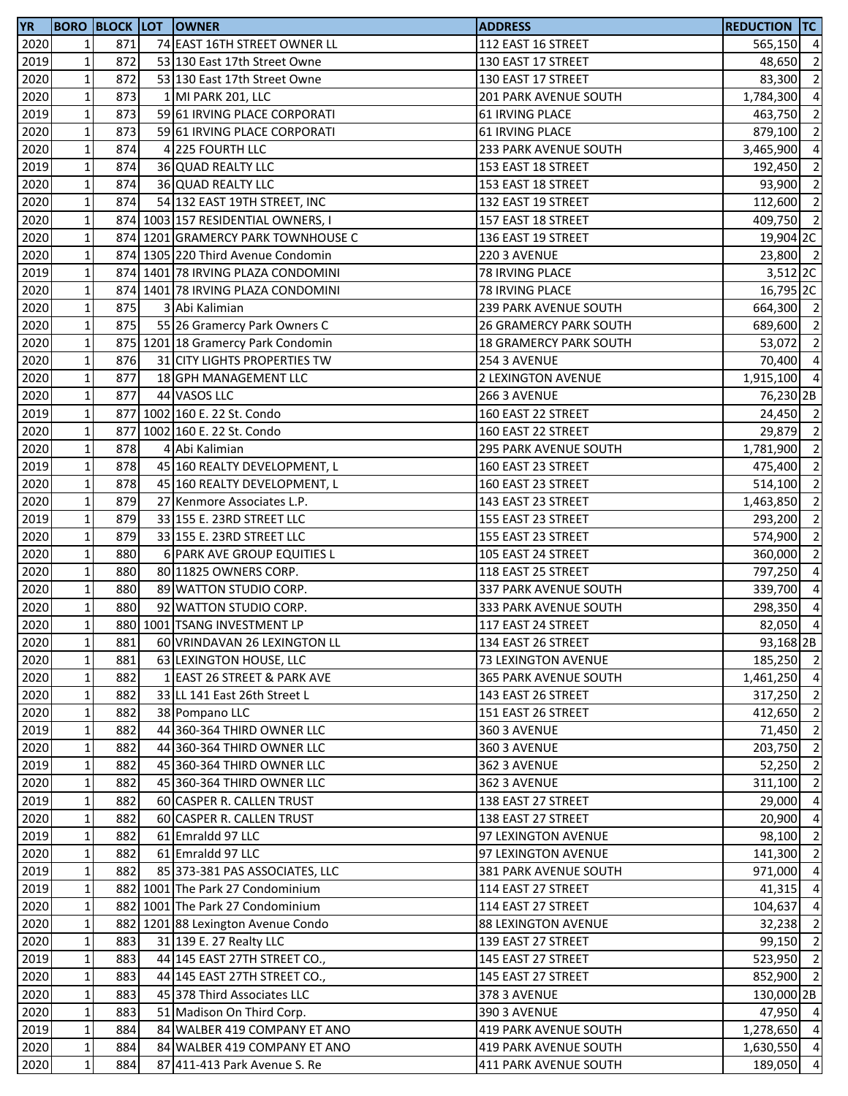| <b>YR</b> |                 |     | <b>BORO BLOCK LOT OWNER</b>        | <b>ADDRESS</b>                | Reduction  TC        |                |
|-----------|-----------------|-----|------------------------------------|-------------------------------|----------------------|----------------|
| 2020      | $\mathbf{1}$    | 871 | 74 EAST 16TH STREET OWNER LL       | 112 EAST 16 STREET            | 565,150 4            |                |
| 2019      | 1               | 872 | 53 130 East 17th Street Owne       | 130 EAST 17 STREET            | 48,650               | $\overline{2}$ |
| 2020      | $\mathbf 1$     | 872 | 53 130 East 17th Street Owne       | 130 EAST 17 STREET            | 83,300               | $\overline{2}$ |
| 2020      | $\mathbf 1$     | 873 | 1 MI PARK 201, LLC                 | 201 PARK AVENUE SOUTH         | 1,784,300            | $\overline{4}$ |
| 2019      | $\mathbf 1$     | 873 | 59 61 IRVING PLACE CORPORATI       | <b>61 IRVING PLACE</b>        | 463,750              | $\overline{2}$ |
| 2020      | $\mathbf 1$     | 873 | 59 61 IRVING PLACE CORPORATI       | <b>61 IRVING PLACE</b>        | 879,100              | $\overline{2}$ |
| 2020      | $\mathbf 1$     | 874 | 4 225 FOURTH LLC                   | 233 PARK AVENUE SOUTH         | 3,465,900            | $\overline{4}$ |
| 2019      | $\mathbf 1$     | 874 | <b>36 QUAD REALTY LLC</b>          | 153 EAST 18 STREET            | 192,450              | $\overline{2}$ |
| 2020      | $1\vert$        | 874 | 36 QUAD REALTY LLC                 | 153 EAST 18 STREET            | 93,900               | $\overline{2}$ |
| 2020      | $\mathbf 1$     | 874 | 54 132 EAST 19TH STREET, INC       | 132 EAST 19 STREET            | 112,600              | $\overline{2}$ |
| 2020      | $\mathbf 1$     |     | 874 1003 157 RESIDENTIAL OWNERS, I | 157 EAST 18 STREET            | 409,750 2            |                |
| 2020      | $\mathbf 1$     |     | 874 1201 GRAMERCY PARK TOWNHOUSE C | 136 EAST 19 STREET            | 19,904 <sub>2C</sub> |                |
| 2020      | $\mathbf 1$     |     | 874 1305 220 Third Avenue Condomin | 220 3 AVENUE                  | 23,800 2             |                |
| 2019      | $\mathbf{1}$    |     | 874 1401 78 IRVING PLAZA CONDOMINI | 78 IRVING PLACE               | $3,512$ 2C           |                |
| 2020      | $\mathbf 1$     |     | 874 1401 78 IRVING PLAZA CONDOMINI | 78 IRVING PLACE               | 16,795 2C            |                |
| 2020      | $\mathbf 1$     | 875 | 3 Abi Kalimian                     | 239 PARK AVENUE SOUTH         | 664,300 2            |                |
| 2020      | $1\vert$        | 875 | 55 26 Gramercy Park Owners C       | <b>26 GRAMERCY PARK SOUTH</b> | 689,600 2            |                |
| 2020      | $1\overline{ }$ |     |                                    |                               | 53,072               | $\overline{2}$ |
|           | $1\overline{ }$ | 876 | 875 1201 18 Gramercy Park Condomin | <b>18 GRAMERCY PARK SOUTH</b> |                      |                |
| 2020      |                 |     | 31 CITY LIGHTS PROPERTIES TW       | 254 3 AVENUE                  | 70,400 4             |                |
| 2020      | $\mathbf 1$     | 877 | 18 GPH MANAGEMENT LLC              | 2 LEXINGTON AVENUE            | 1,915,100 4          |                |
| 2020      | $\mathbf 1$     | 877 | 44 VASOS LLC                       | 266 3 AVENUE                  | 76,230 2B            |                |
| 2019      | $1\,$           |     | 877 1002 160 E. 22 St. Condo       | 160 EAST 22 STREET            | 24,450 2             |                |
| 2020      | $\mathbf 1$     |     | 877 1002 160 E. 22 St. Condo       | 160 EAST 22 STREET            | 29,879               | $\overline{2}$ |
| 2020      | $\mathbf 1$     | 878 | 4 Abi Kalimian                     | 295 PARK AVENUE SOUTH         | 1,781,900            | $\overline{2}$ |
| 2019      | $1\vert$        | 878 | 45 160 REALTY DEVELOPMENT, L       | 160 EAST 23 STREET            | 475,400              | $\overline{2}$ |
| 2020      | $1\overline{ }$ | 878 | 45 160 REALTY DEVELOPMENT, L       | 160 EAST 23 STREET            | 514,100              | $\overline{2}$ |
| 2020      | $1\overline{ }$ | 879 | 27 Kenmore Associates L.P.         | 143 EAST 23 STREET            | 1,463,850            | $\overline{2}$ |
| 2019      | $\mathbf 1$     | 879 | 33 155 E. 23RD STREET LLC          | 155 EAST 23 STREET            | 293,200              | $\overline{2}$ |
| 2020      | $1\,$           | 879 | 33 155 E. 23RD STREET LLC          | 155 EAST 23 STREET            | 574,900              | $\overline{2}$ |
| 2020      | $1\,$           | 880 | 6 PARK AVE GROUP EQUITIES L        | 105 EAST 24 STREET            | 360,000 2            |                |
| 2020      | $\mathbf 1$     | 880 | 80 11825 OWNERS CORP.              | 118 EAST 25 STREET            | 797,250              | $\overline{4}$ |
| 2020      | $\mathbf 1$     | 880 | 89 WATTON STUDIO CORP.             | 337 PARK AVENUE SOUTH         | 339,700 4            |                |
| 2020      | $1\vert$        | 880 | 92 WATTON STUDIO CORP.             | 333 PARK AVENUE SOUTH         | 298,350              | $\overline{4}$ |
| 2020      | 1 <sup>1</sup>  |     | 880 1001 TSANG INVESTMENT LP       | 117 EAST 24 STREET            | 82,050 4             |                |
| 2020      | $1\vert$        | 881 | 60 VRINDAVAN 26 LEXINGTON LL       | 134 EAST 26 STREET            | 93,168 2B            |                |
| 2020      | $\mathbf 1$     | 881 | 63 LEXINGTON HOUSE, LLC            | 73 LEXINGTON AVENUE           | 185,250 2            |                |
| 2020      | $1\,$           | 882 | 1 EAST 26 STREET & PARK AVE        | 365 PARK AVENUE SOUTH         | 1,461,250 4          |                |
| 2020      | $1\,$           | 882 | 33 LL 141 East 26th Street L       | 143 EAST 26 STREET            | 317,250 2            |                |
| 2020      | $1\,$           | 882 | 38 Pompano LLC                     | 151 EAST 26 STREET            | 412,650 2            |                |
| 2019      | $\mathbf 1$     | 882 | 44 360-364 THIRD OWNER LLC         | 360 3 AVENUE                  | 71,450 2             |                |
| 2020      | $\mathbf 1$     | 882 | 44 360-364 THIRD OWNER LLC         | 360 3 AVENUE                  | 203,750 2            |                |
| 2019      | $1\vert$        | 882 | 45 360-364 THIRD OWNER LLC         | 362 3 AVENUE                  | 52,250 2             |                |
| 2020      | $1\,$           | 882 | 45 360-364 THIRD OWNER LLC         | 362 3 AVENUE                  | 311,100              | $\overline{2}$ |
| 2019      | $\mathbf{1}$    | 882 | 60 CASPER R. CALLEN TRUST          | 138 EAST 27 STREET            | 29,000 4             |                |
| 2020      | $1\,$           | 882 | 60 CASPER R. CALLEN TRUST          | 138 EAST 27 STREET            | 20,900               | $\overline{4}$ |
| 2019      | $1\overline{ }$ | 882 | 61 Emraldd 97 LLC                  | 97 LEXINGTON AVENUE           | 98,100 2             |                |
| 2020      | $1\overline{ }$ | 882 | 61 Emraldd 97 LLC                  | 97 LEXINGTON AVENUE           | 141,300 2            |                |
| 2019      | $1\vert$        | 882 | 85 373-381 PAS ASSOCIATES, LLC     | 381 PARK AVENUE SOUTH         | 971,000 4            |                |
| 2019      | $1\,$           |     | 882 1001 The Park 27 Condominium   | 114 EAST 27 STREET            | 41,315               | $\overline{4}$ |
| 2020      | $1\vert$        |     | 882 1001 The Park 27 Condominium   | 114 EAST 27 STREET            | 104,637              | $\overline{4}$ |
| 2020      | $1\vert$        |     | 882 1201 88 Lexington Avenue Condo | <b>88 LEXINGTON AVENUE</b>    | 32,238               | $\overline{2}$ |
| 2020      | $1\vert$        | 883 | 31 139 E. 27 Realty LLC            | 139 EAST 27 STREET            | 99,150               | $\overline{2}$ |
| 2019      | $1\,$           | 883 | 44 145 EAST 27TH STREET CO.,       | 145 EAST 27 STREET            | 523,950 2            |                |
| 2020      | $1\,$           | 883 | 44 145 EAST 27TH STREET CO.,       | 145 EAST 27 STREET            | 852,900 2            |                |
| 2020      | $1\,$           | 883 | 45 378 Third Associates LLC        | 378 3 AVENUE                  | 130,000 2B           |                |
| 2020      | $1\vert$        | 883 | 51 Madison On Third Corp.          | 390 3 AVENUE                  | 47,950 4             |                |
| 2019      | $\mathbf 1$     | 884 | 84 WALBER 419 COMPANY ET ANO       | <b>419 PARK AVENUE SOUTH</b>  | 1,278,650 4          |                |
| 2020      | $1\vert$        | 884 | 84 WALBER 419 COMPANY ET ANO       | 419 PARK AVENUE SOUTH         | 1,630,550 4          |                |
|           |                 |     |                                    |                               |                      |                |
| 2020      | $\mathbf 1$     | 884 | 87 411-413 Park Avenue S. Re       | 411 PARK AVENUE SOUTH         | 189,050 4            |                |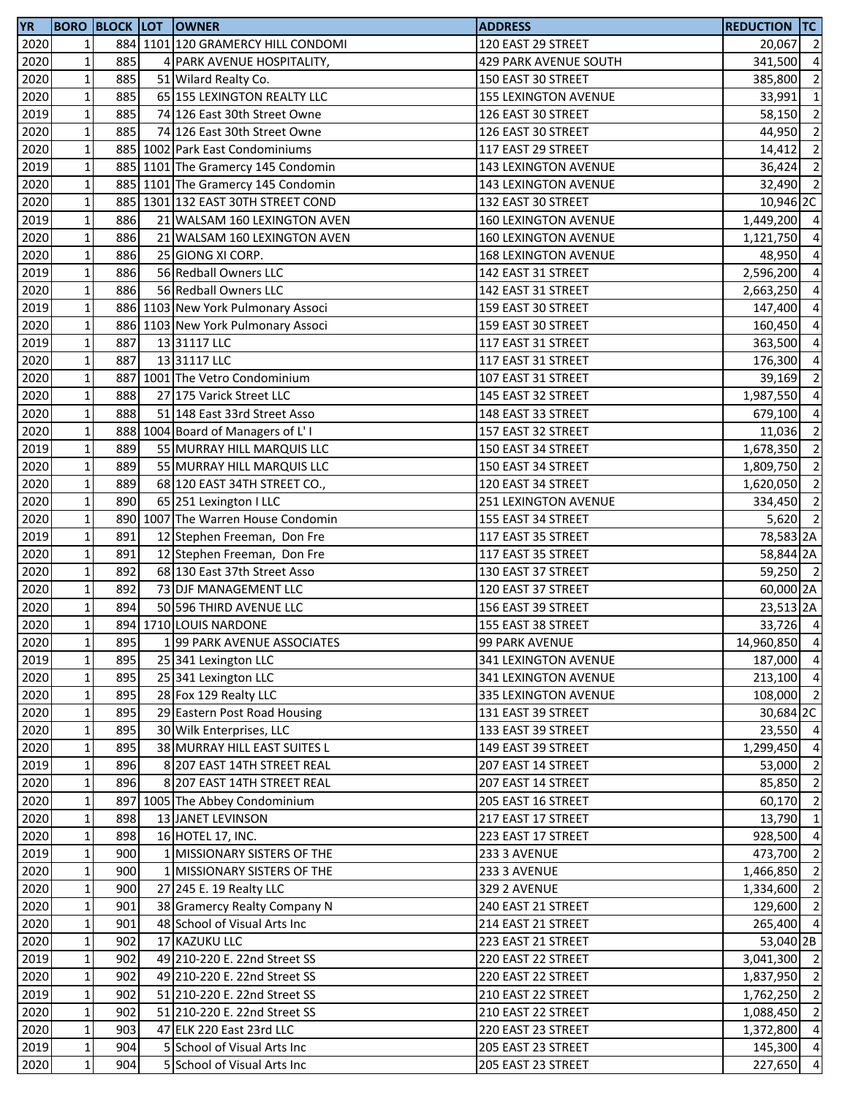| <b>YR</b> |                 |     | <b>BORO BLOCK LOT OWNER</b>        | <b>ADDRESS</b>              | <b>REDUCTION TC</b> |                |
|-----------|-----------------|-----|------------------------------------|-----------------------------|---------------------|----------------|
| 2020      | $\mathbf{1}$    |     | 884 1101 120 GRAMERCY HILL CONDOMI | 120 EAST 29 STREET          | 20,067 2            |                |
| 2020      | $\mathbf 1$     | 885 | 4 PARK AVENUE HOSPITALITY,         | 429 PARK AVENUE SOUTH       | 341,500             | $\overline{4}$ |
| 2020      | $\mathbf{1}$    | 885 | 51 Wilard Realty Co.               | 150 EAST 30 STREET          | 385,800             | $\overline{2}$ |
| 2020      | $1\,$           | 885 | 65 155 LEXINGTON REALTY LLC        | <b>155 LEXINGTON AVENUE</b> | 33,991              | $\overline{1}$ |
| 2019      | $\mathbf 1$     | 885 | 74 126 East 30th Street Owne       | 126 EAST 30 STREET          | 58,150 2            |                |
| 2020      | $\mathbf 1$     | 885 | 74 126 East 30th Street Owne       | 126 EAST 30 STREET          | 44,950              | $\overline{2}$ |
| 2020      | $\mathbf 1$     |     | 885 1002 Park East Condominiums    | 117 EAST 29 STREET          | 14,412              | $\overline{2}$ |
| 2019      | $1\vert$        |     | 885 1101 The Gramercy 145 Condomin | 143 LEXINGTON AVENUE        | 36,424 2            |                |
| 2020      | $\mathbf 1$     |     | 885 1101 The Gramercy 145 Condomin | 143 LEXINGTON AVENUE        | $32,490$ 2          |                |
| 2020      | $1\overline{ }$ |     | 885 1301 132 EAST 30TH STREET COND | 132 EAST 30 STREET          | 10,946 2C           |                |
| 2019      | $\mathbf 1$     | 886 | 21 WALSAM 160 LEXINGTON AVEN       | 160 LEXINGTON AVENUE        | 1,449,200 4         |                |
| 2020      | $\mathbf 1$     | 886 | 21 WALSAM 160 LEXINGTON AVEN       | 160 LEXINGTON AVENUE        | 1,121,750           | $\overline{4}$ |
| 2020      | $\mathbf 1$     | 886 | 25 GIONG XI CORP.                  | <b>168 LEXINGTON AVENUE</b> | 48,950 4            |                |
| 2019      | $\mathbf 1$     | 886 | 56 Redball Owners LLC              | 142 EAST 31 STREET          | 2,596,200 4         |                |
| 2020      | $\mathbf 1$     | 886 | 56 Redball Owners LLC              | 142 EAST 31 STREET          | 2,663,250           | $\overline{4}$ |
| 2019      | $1\vert$        |     | 886 1103 New York Pulmonary Associ | 159 EAST 30 STREET          | 147,400             | $\overline{4}$ |
| 2020      | $\mathbf 1$     |     | 886 1103 New York Pulmonary Associ | 159 EAST 30 STREET          | 160,450             | $\overline{a}$ |
| 2019      | $\mathbf{1}$    | 887 | 13 31117 LLC                       | 117 EAST 31 STREET          | 363,500             | $\overline{a}$ |
| 2020      | $\mathbf 1$     | 887 | 13 31117 LLC                       | 117 EAST 31 STREET          | 176,300             | $\overline{4}$ |
| 2020      | $\mathbf 1$     | 887 | 1001 The Vetro Condominium         | 107 EAST 31 STREET          | 39,169              | $\overline{2}$ |
| 2020      | $\mathbf 1$     | 888 | 27 175 Varick Street LLC           | 145 EAST 32 STREET          | 1,987,550 4         |                |
| 2020      | $\mathbf{1}$    | 888 | 51 148 East 33rd Street Asso       | 148 EAST 33 STREET          | 679,100 4           |                |
| 2020      | $\mathbf{1}$    |     | 888 1004 Board of Managers of L'I  | 157 EAST 32 STREET          | 11,036              | $\overline{2}$ |
| 2019      | $\mathbf 1$     | 889 | 55 MURRAY HILL MARQUIS LLC         | 150 EAST 34 STREET          | 1,678,350 2         |                |
| 2020      | $1\vert$        | 889 | 55 MURRAY HILL MARQUIS LLC         | 150 EAST 34 STREET          | 1,809,750           | $\overline{2}$ |
| 2020      | $1\overline{ }$ | 889 | 68 120 EAST 34TH STREET CO.,       | 120 EAST 34 STREET          | 1,620,050           | $\overline{2}$ |
| 2020      | $\mathbf 1$     | 890 | 65 251 Lexington I LLC             | 251 LEXINGTON AVENUE        | 334,450 2           |                |
| 2020      | $\mathbf 1$     |     | 890 1007 The Warren House Condomin | 155 EAST 34 STREET          | $5,620$ 2           |                |
| 2019      | $\mathbf 1$     | 891 | 12 Stephen Freeman, Don Fre        | 117 EAST 35 STREET          | 78,583 2A           |                |
| 2020      | $\mathbf 1$     | 891 | 12 Stephen Freeman, Don Fre        | 117 EAST 35 STREET          | 58,844 2A           |                |
| 2020      | $\mathbf 1$     | 892 | 68 130 East 37th Street Asso       | 130 EAST 37 STREET          | 59,250 2            |                |
| 2020      | $1\vert$        | 892 | 73 DJF MANAGEMENT LLC              | 120 EAST 37 STREET          | 60,000 2A           |                |
| 2020      | $1\vert$        | 894 | 50 596 THIRD AVENUE LLC            | 156 EAST 39 STREET          | 23,513 2A           |                |
| 2020      | $\mathbf{1}$    |     | 894 1710 LOUIS NARDONE             | 155 EAST 38 STREET          | 33,726 4            |                |
| 2020      | $1\vert$        | 895 | 199 PARK AVENUE ASSOCIATES         | 99 PARK AVENUE              | 14,960,850 4        |                |
| 2019      | $\mathbf 1$     | 895 | 25 341 Lexington LLC               | 341 LEXINGTON AVENUE        | 187,000 4           |                |
| 2020      | $1\overline{ }$ | 895 | 25 341 Lexington LLC               | 341 LEXINGTON AVENUE        | 213,100 4           |                |
| 2020      | $\mathbf 1$     | 895 | 28 Fox 129 Realty LLC              | 335 LEXINGTON AVENUE        | 108,000 2           |                |
| 2020      | $\mathbf 1$     | 895 | 29 Eastern Post Road Housing       | 131 EAST 39 STREET          | 30,684 2C           |                |
| 2020      | $\mathbf 1$     | 895 | 30 Wilk Enterprises, LLC           | 133 EAST 39 STREET          | 23,550 4            |                |
| 2020      | $1\vert$        | 895 | 38 MURRAY HILL EAST SUITES L       | 149 EAST 39 STREET          | 1,299,450           | $\overline{4}$ |
| 2019      | $1\vert$        | 896 | 8 207 EAST 14TH STREET REAL        | 207 EAST 14 STREET          | 53,000              | $\overline{2}$ |
| 2020      | $1\vert$        | 896 | 8 207 EAST 14TH STREET REAL        | 207 EAST 14 STREET          | 85,850              | $\overline{2}$ |
| 2020      | $\mathbf{1}$    |     | 897 1005 The Abbey Condominium     | 205 EAST 16 STREET          | 60,170 2            |                |
| 2020      | $\mathbf 1$     | 898 | 13 JANET LEVINSON                  | 217 EAST 17 STREET          | 13,790              | $\mathbf{1}$   |
| 2020      | $1\overline{ }$ | 898 | 16 HOTEL 17, INC.                  | 223 EAST 17 STREET          | 928,500             | $\overline{4}$ |
| 2019      | $\mathbf 1$     | 900 | 1 MISSIONARY SISTERS OF THE        | 233 3 AVENUE                | 473,700 2           |                |
| 2020      | $\mathbf{1}$    | 900 | 1 MISSIONARY SISTERS OF THE        | 233 3 AVENUE                | 1,466,850 2         |                |
| 2020      | $\mathbf 1$     | 900 | 27 245 E. 19 Realty LLC            | 329 2 AVENUE                | 1,334,600 2         |                |
| 2020      | $1\vert$        | 901 | 38 Gramercy Realty Company N       | 240 EAST 21 STREET          | 129,600 2           |                |
| 2020      | $\mathbf 1$     | 901 | 48 School of Visual Arts Inc       | 214 EAST 21 STREET          | 265,400 4           |                |
| 2020      | $\mathbf{1}$    | 902 | 17 KAZUKU LLC                      | 223 EAST 21 STREET          | 53,040 2B           |                |
| 2019      | $\mathbf 1$     | 902 | 49 210-220 E. 22nd Street SS       | 220 EAST 22 STREET          | 3,041,300 2         |                |
| 2020      | $\mathbf 1$     | 902 | 49 210-220 E. 22nd Street SS       | 220 EAST 22 STREET          | 1,837,950 2         |                |
| 2019      | $\mathbf 1$     | 902 | 51 210-220 E. 22nd Street SS       | 210 EAST 22 STREET          | 1,762,250 2         |                |
| 2020      | $\mathbf 1$     | 902 | 51 210-220 E. 22nd Street SS       | 210 EAST 22 STREET          | 1,088,450 2         |                |
| 2020      | $\mathbf 1$     | 903 | 47 ELK 220 East 23rd LLC           | 220 EAST 23 STREET          | 1,372,800 4         |                |
| 2019      | $1\vert$        | 904 | 5 School of Visual Arts Inc        | 205 EAST 23 STREET          | 145,300 4           |                |
| 2020      | $1\vert$        | 904 | 5 School of Visual Arts Inc        | 205 EAST 23 STREET          | 227,650 4           |                |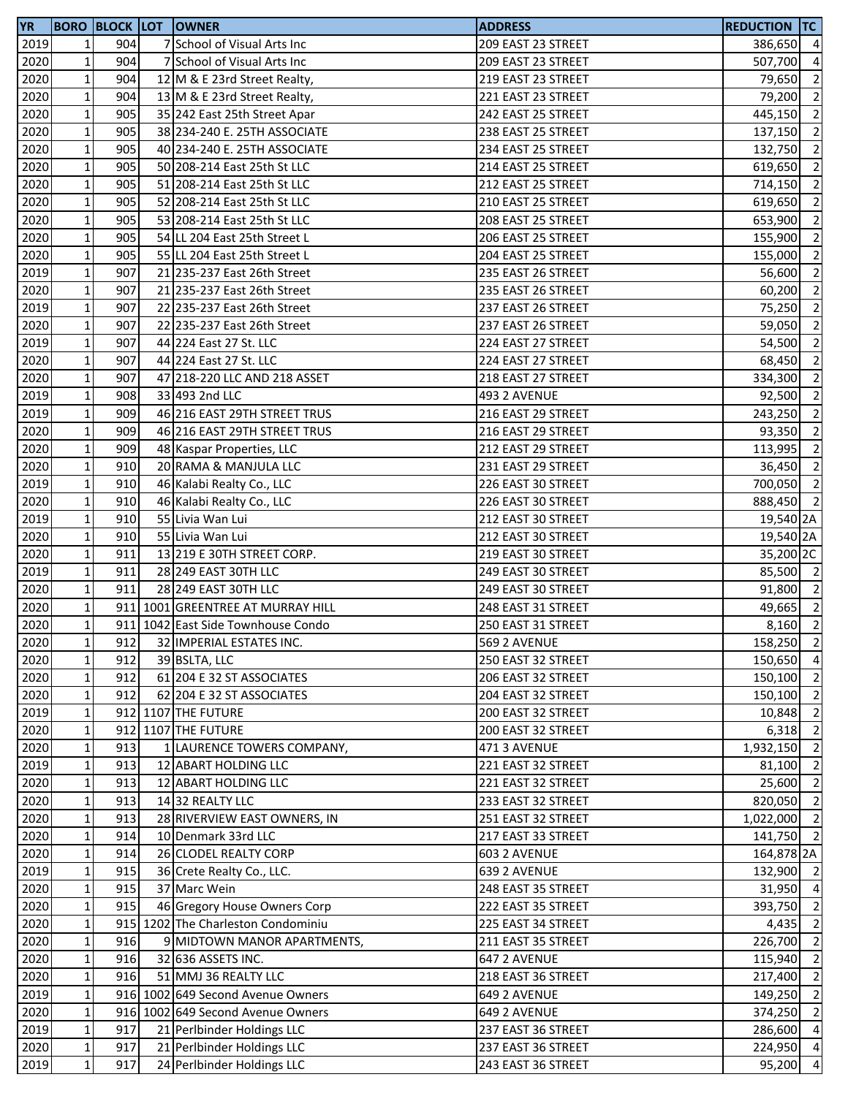| <b>YR</b> |                 |     | <b>BORO BLOCK LOT OWNER</b>        | <b>ADDRESS</b>     | <b>REDUCTION TC</b>   |                |
|-----------|-----------------|-----|------------------------------------|--------------------|-----------------------|----------------|
| 2019      | $1\overline{ }$ | 904 | 7 School of Visual Arts Inc        | 209 EAST 23 STREET | 386,650 4             |                |
| 2020      | $\mathbf{1}$    | 904 | 7 School of Visual Arts Inc        | 209 EAST 23 STREET | 507,700 4             |                |
| 2020      | $\mathbf{1}$    | 904 | 12 M & E 23rd Street Realty,       | 219 EAST 23 STREET | 79,650 2              |                |
| 2020      | $\mathbf 1$     | 904 | 13 M & E 23rd Street Realty,       | 221 EAST 23 STREET | 79,200 2              |                |
| 2020      | $\mathbf 1$     | 905 | 35 242 East 25th Street Apar       | 242 EAST 25 STREET | 445,150 2             |                |
| 2020      | $\mathbf 1$     | 905 | 38 234-240 E. 25TH ASSOCIATE       | 238 EAST 25 STREET | 137,150 2             |                |
| 2020      | $\mathbf 1$     | 905 | 40 234-240 E. 25TH ASSOCIATE       | 234 EAST 25 STREET | 132,750               | $\overline{2}$ |
| 2020      | $1\vert$        | 905 | 50 208-214 East 25th St LLC        | 214 EAST 25 STREET | 619,650               | $\overline{2}$ |
| 2020      | $\mathbf 1$     | 905 | 51 208-214 East 25th St LLC        | 212 EAST 25 STREET | 714,150               | $\overline{2}$ |
| 2020      | 1 <sup>1</sup>  | 905 | 52 208-214 East 25th St LLC        | 210 EAST 25 STREET | 619,650               | $\overline{2}$ |
| 2020      | $\mathbf 1$     | 905 | 53 208-214 East 25th St LLC        | 208 EAST 25 STREET | 653,900               | $\overline{2}$ |
| 2020      | $\mathbf 1$     | 905 | 54 LL 204 East 25th Street L       | 206 EAST 25 STREET | 155,900               | $\overline{2}$ |
| 2020      | $\mathbf 1$     | 905 | 55 LL 204 East 25th Street L       | 204 EAST 25 STREET | 155,000 2             |                |
| 2019      | $1\vert$        | 907 | 21 235-237 East 26th Street        | 235 EAST 26 STREET | 56,600                | $\overline{2}$ |
| 2020      | $\mathbf 1$     | 907 | 21 235-237 East 26th Street        | 235 EAST 26 STREET | 60,200                | $\overline{2}$ |
| 2019      | $1\vert$        | 907 | 22 235-237 East 26th Street        | 237 EAST 26 STREET | 75,250                | $\overline{2}$ |
| 2020      | $\mathbf 1$     | 907 | 22 235-237 East 26th Street        | 237 EAST 26 STREET | 59,050                | $\overline{2}$ |
| 2019      | 1 <sup>1</sup>  | 907 | 44 224 East 27 St. LLC             | 224 EAST 27 STREET | 54,500                | $\overline{2}$ |
| 2020      | $\mathbf 1$     | 907 | 44 224 East 27 St. LLC             | 224 EAST 27 STREET | 68,450                | $\overline{2}$ |
| 2020      | $\mathbf 1$     | 907 | 47 218-220 LLC AND 218 ASSET       | 218 EAST 27 STREET | 334,300               | $\overline{2}$ |
| 2019      | $\mathbf 1$     | 908 | 33 493 2nd LLC                     | 493 2 AVENUE       | 92,500 2              |                |
| 2019      | $1\overline{ }$ | 909 | 46 216 EAST 29TH STREET TRUS       | 216 EAST 29 STREET | 243,250 2             |                |
| 2020      | $\mathbf 1$     | 909 | 46 216 EAST 29TH STREET TRUS       | 216 EAST 29 STREET | 93,350 2              |                |
| 2020      | $1\vert$        | 909 | 48 Kaspar Properties, LLC          | 212 EAST 29 STREET | 113,995 2             |                |
| 2020      | $1\vert$        | 910 | 20 RAMA & MANJULA LLC              | 231 EAST 29 STREET | 36,450                | $\overline{2}$ |
| 2019      | $1\overline{ }$ | 910 | 46 Kalabi Realty Co., LLC          | 226 EAST 30 STREET | 700,050               | $\overline{2}$ |
| 2020      | $\mathbf 1$     | 910 | 46 Kalabi Realty Co., LLC          | 226 EAST 30 STREET | 888,450 2             |                |
| 2019      | $\mathbf 1$     | 910 | 55 Livia Wan Lui                   | 212 EAST 30 STREET | 19,540 2A             |                |
| 2020      | $\mathbf 1$     | 910 | 55 Livia Wan Lui                   | 212 EAST 30 STREET | 19,540 2A             |                |
| 2020      | $\mathbf{1}$    | 911 | 13 219 E 30TH STREET CORP.         | 219 EAST 30 STREET | 35,200 <sub>2</sub> C |                |
| 2019      | $\mathbf 1$     | 911 | 28 249 EAST 30TH LLC               | 249 EAST 30 STREET | 85,500 2              |                |
| 2020      | $1\vert$        | 911 | 28 249 EAST 30TH LLC               | 249 EAST 30 STREET | 91,800 2              |                |
| 2020      | $1\vert$        |     | 911 1001 GREENTREE AT MURRAY HILL  | 248 EAST 31 STREET | 49,665 2              |                |
| 2020      | $1\overline{ }$ |     | 911 1042 East Side Townhouse Condo | 250 EAST 31 STREET | $8,160$ 2             |                |
| 2020      | $1\vert$        | 912 | 32 IMPERIAL ESTATES INC.           | 569 2 AVENUE       | 158,250 2             |                |
| 2020      | $\mathbf 1$     | 912 | 39 BSLTA, LLC                      | 250 EAST 32 STREET | 150,650 4             |                |
| 2020      | $\mathbf 1$     | 912 | 61 204 E 32 ST ASSOCIATES          | 206 EAST 32 STREET | 150,100               | $\overline{2}$ |
| 2020      | $\mathbf 1$     | 912 | 62 204 E 32 ST ASSOCIATES          | 204 EAST 32 STREET | 150,100 2             |                |
| 2019      | $\mathbf 1$     |     | 912 1107 THE FUTURE                | 200 EAST 32 STREET | 10,848 2              |                |
| 2020      | $\mathbf 1$     |     | 912 1107 THE FUTURE                | 200 EAST 32 STREET | $6,318$ 2             |                |
| 2020      | $1\vert$        | 913 | 1 LAURENCE TOWERS COMPANY,         | 471 3 AVENUE       | 1,932,150 2           |                |
| 2019      | $1\vert$        | 913 | 12 ABART HOLDING LLC               | 221 EAST 32 STREET | 81,100 2              |                |
| 2020      | 1 <sup>1</sup>  | 913 | 12 ABART HOLDING LLC               | 221 EAST 32 STREET | 25,600                | $\overline{2}$ |
| 2020      | $\mathbf{1}$    | 913 | 1432 REALTY LLC                    | 233 EAST 32 STREET | 820,050 2             |                |
| 2020      | $\mathbf 1$     | 913 | 28 RIVERVIEW EAST OWNERS, IN       | 251 EAST 32 STREET | 1,022,000 2           |                |
| 2020      | $1\overline{ }$ | 914 | 10 Denmark 33rd LLC                | 217 EAST 33 STREET | 141,750 2             |                |
| 2020      | $\mathbf 1$     | 914 | 26 CLODEL REALTY CORP              | 603 2 AVENUE       | 164,878 2A            |                |
| 2019      | $\mathbf{1}$    | 915 | 36 Crete Realty Co., LLC.          | 639 2 AVENUE       | 132,900 2             |                |
| 2020      | $\mathbf 1$     | 915 | 37 Marc Wein                       | 248 EAST 35 STREET | 31,950 4              |                |
| 2020      | $1\vert$        | 915 | 46 Gregory House Owners Corp       | 222 EAST 35 STREET | 393,750 2             |                |
| 2020      | $\mathbf 1$     |     | 915 1202 The Charleston Condominiu | 225 EAST 34 STREET | 4,435                 | $\overline{2}$ |
| 2020      | $\mathbf{1}$    | 916 | 9 MIDTOWN MANOR APARTMENTS,        | 211 EAST 35 STREET | 226,700 2             |                |
| 2020      | $\mathbf 1$     | 916 | 32 636 ASSETS INC.                 | 647 2 AVENUE       | 115,940 2             |                |
| 2020      | $\mathbf 1$     | 916 | 51 MMJ 36 REALTY LLC               | 218 EAST 36 STREET | 217,400 2             |                |
| 2019      | $\mathbf 1$     |     | 916 1002 649 Second Avenue Owners  | 649 2 AVENUE       | 149,250 2             |                |
| 2020      | $\mathbf 1$     |     | 916 1002 649 Second Avenue Owners  | 649 2 AVENUE       | 374,250 2             |                |
| 2019      | $\mathbf 1$     | 917 | 21 Perlbinder Holdings LLC         | 237 EAST 36 STREET | 286,600 4             |                |
| 2020      | $1\vert$        | 917 | 21 Perlbinder Holdings LLC         | 237 EAST 36 STREET | 224,950 4             |                |
| 2019      | $1\vert$        | 917 | 24 Perlbinder Holdings LLC         | 243 EAST 36 STREET | 95,200 4              |                |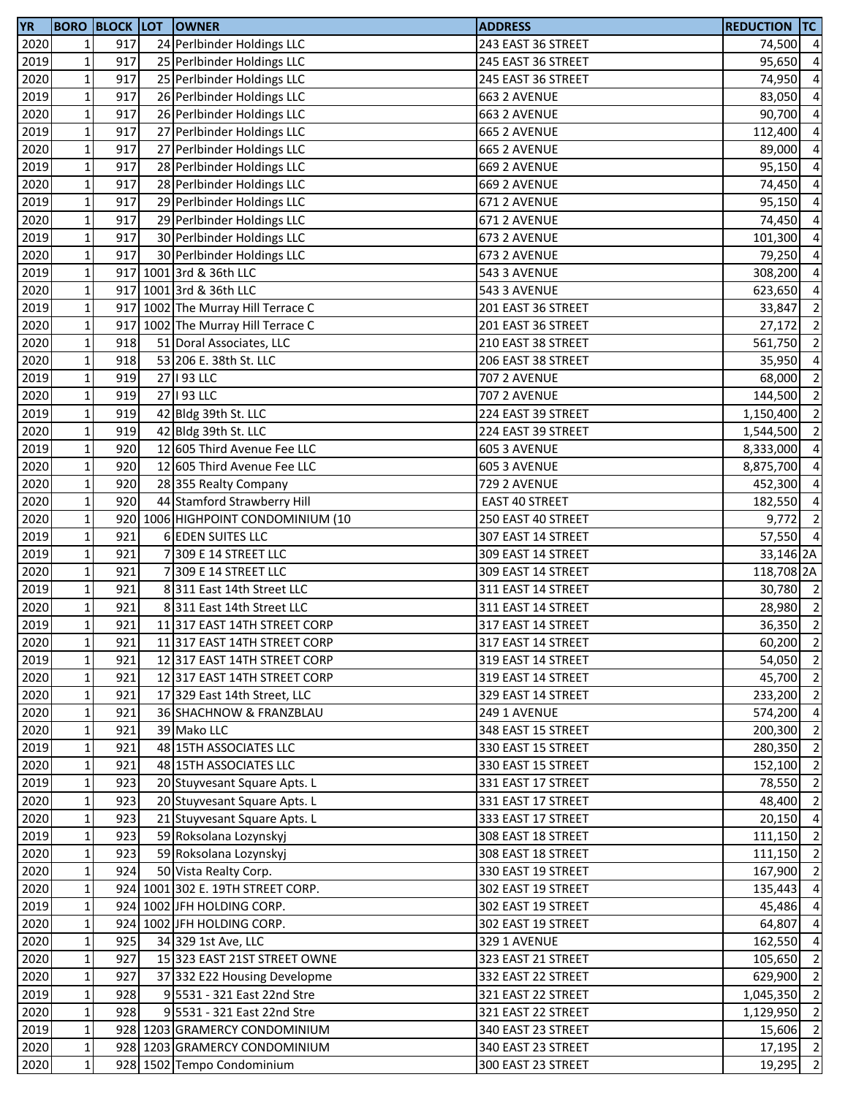| <b>YR</b> |              |     | <b>BORO BLOCK LOT OWNER</b>        | <b>ADDRESS</b>        | <b>REDUCTION TC</b> |                |
|-----------|--------------|-----|------------------------------------|-----------------------|---------------------|----------------|
| 2020      | $\mathbf 1$  | 917 | 24 Perlbinder Holdings LLC         | 243 EAST 36 STREET    | 74,500              | $\overline{4}$ |
| 2019      | $\mathbf 1$  | 917 | 25 Perlbinder Holdings LLC         | 245 EAST 36 STREET    | 95,650              | $\overline{4}$ |
| 2020      | $\mathbf 1$  | 917 | 25 Perlbinder Holdings LLC         | 245 EAST 36 STREET    | 74,950              | $\overline{4}$ |
| 2019      | $\mathbf 1$  | 917 | 26 Perlbinder Holdings LLC         | 663 2 AVENUE          | 83,050              | $\overline{4}$ |
| 2020      | $\mathbf 1$  | 917 | 26 Perlbinder Holdings LLC         | 663 2 AVENUE          | 90,700              | $\overline{4}$ |
| 2019      | $\mathbf 1$  | 917 | 27 Perlbinder Holdings LLC         | 665 2 AVENUE          | 112,400             | $\overline{4}$ |
| 2020      | $\mathbf 1$  | 917 | 27 Perlbinder Holdings LLC         | 665 2 AVENUE          | 89,000              | $\overline{4}$ |
| 2019      | $\mathbf 1$  | 917 | 28 Perlbinder Holdings LLC         | 669 2 AVENUE          | 95,150              | $\overline{4}$ |
| 2020      | $\mathbf 1$  | 917 | 28 Perlbinder Holdings LLC         | 669 2 AVENUE          | 74,450              | $\overline{4}$ |
| 2019      | $\mathbf 1$  | 917 | 29 Perlbinder Holdings LLC         | 671 2 AVENUE          | 95,150              | $\overline{a}$ |
| 2020      | $\mathbf 1$  | 917 | 29 Perlbinder Holdings LLC         | 671 2 AVENUE          | 74,450              | $\overline{4}$ |
| 2019      | $\mathbf 1$  | 917 | 30 Perlbinder Holdings LLC         | 673 2 AVENUE          | 101,300             | $\overline{4}$ |
| 2020      | $\mathbf 1$  | 917 | 30 Perlbinder Holdings LLC         | 673 2 AVENUE          | 79,250              | $\overline{4}$ |
| 2019      | $\mathbf 1$  |     | 917 1001 3rd & 36th LLC            | 543 3 AVENUE          | 308,200             | $\overline{4}$ |
| 2020      | $\mathbf 1$  |     | 917 1001 3rd & 36th LLC            | 543 3 AVENUE          | 623,650             | $\overline{4}$ |
| 2019      | $\mathbf 1$  | 917 | 1002 The Murray Hill Terrace C     | 201 EAST 36 STREET    | 33,847              | $\overline{2}$ |
| 2020      | $\mathbf 1$  | 917 | 1002 The Murray Hill Terrace C     | 201 EAST 36 STREET    | 27,172              | $\overline{2}$ |
| 2020      | $\mathbf 1$  | 918 | 51 Doral Associates, LLC           | 210 EAST 38 STREET    | 561,750             | $\overline{2}$ |
| 2020      | $\mathbf 1$  | 918 | 53 206 E. 38th St. LLC             | 206 EAST 38 STREET    | 35,950              | $\overline{4}$ |
| 2019      | $\mathbf 1$  | 919 | 27   93 LLC                        | <b>707 2 AVENUE</b>   | 68,000              | $\overline{2}$ |
| 2020      | $\mathbf 1$  | 919 | 27   93 LLC                        | 707 2 AVENUE          | 144,500             | $\overline{2}$ |
| 2019      | $\mathbf 1$  | 919 | 42 Bldg 39th St. LLC               | 224 EAST 39 STREET    | 1,150,400           | $\overline{2}$ |
| 2020      | $\mathbf 1$  | 919 | 42 Bldg 39th St. LLC               | 224 EAST 39 STREET    | 1,544,500           | $\overline{2}$ |
| 2019      | $\mathbf 1$  | 920 | 12 605 Third Avenue Fee LLC        |                       |                     | $\overline{4}$ |
|           |              | 920 |                                    | 605 3 AVENUE          | 8,333,000           | $\overline{4}$ |
| 2020      | $\mathbf 1$  | 920 | 12 605 Third Avenue Fee LLC        | 605 3 AVENUE          | 8,875,700           |                |
| 2020      | $\mathbf 1$  | 920 | 28 355 Realty Company              | 729 2 AVENUE          | 452,300             | $\overline{4}$ |
| 2020      | $\mathbf 1$  |     | 44 Stamford Strawberry Hill        | <b>EAST 40 STREET</b> | 182,550             | $\overline{4}$ |
| 2020      | $\mathbf 1$  |     | 920 1006 HIGHPOINT CONDOMINIUM (10 | 250 EAST 40 STREET    | 9,772               | $\overline{2}$ |
| 2019      | $\mathbf 1$  | 921 | 6 EDEN SUITES LLC                  | 307 EAST 14 STREET    | 57,550 4            |                |
| 2019      | $\mathbf 1$  | 921 | 7309 E 14 STREET LLC               | 309 EAST 14 STREET    | 33,146 2A           |                |
| 2020      | $\mathbf 1$  | 921 | 7 309 E 14 STREET LLC              | 309 EAST 14 STREET    | 118,708 2A          |                |
| 2019      | $\mathbf 1$  | 921 | 8 311 East 14th Street LLC         | 311 EAST 14 STREET    | 30,780 2            |                |
| 2020      | $\mathbf 1$  | 921 | 8 311 East 14th Street LLC         | 311 EAST 14 STREET    | 28,980              | $\overline{2}$ |
| 2019      | $\mathbf{1}$ | 921 | 11 317 EAST 14TH STREET CORP       | 317 EAST 14 STREET    | 36,350              | $\overline{2}$ |
| 2020      | $\mathbf{1}$ | 921 | 11 317 EAST 14TH STREET CORP       | 317 EAST 14 STREET    | 60,200 2            |                |
| 2019      | $\mathbf 1$  | 921 | 12317 EAST 14TH STREET CORP        | 319 EAST 14 STREET    | 54,050              | $\overline{2}$ |
| 2020      | $\mathbf 1$  | 921 | 12317 EAST 14TH STREET CORP        | 319 EAST 14 STREET    | 45,700 2            |                |
| 2020      | $\mathbf 1$  | 921 | 17 329 East 14th Street, LLC       | 329 EAST 14 STREET    | 233,200 2           |                |
| 2020      | $\mathbf 1$  | 921 | 36 SHACHNOW & FRANZBLAU            | 249 1 AVENUE          | 574,200             | $\overline{4}$ |
| 2020      | $\mathbf 1$  | 921 | 39 Mako LLC                        | 348 EAST 15 STREET    | 200,300             | $\overline{2}$ |
| 2019      | $\mathbf 1$  | 921 | 48 15TH ASSOCIATES LLC             | 330 EAST 15 STREET    | 280,350             | $\overline{2}$ |
| 2020      | $\mathbf 1$  | 921 | 48 15TH ASSOCIATES LLC             | 330 EAST 15 STREET    | 152,100             | $\overline{2}$ |
| 2019      | $\mathbf{1}$ | 923 | 20 Stuyvesant Square Apts. L       | 331 EAST 17 STREET    | 78,550              | $\overline{2}$ |
| 2020      | $\mathbf 1$  | 923 | 20 Stuyvesant Square Apts. L       | 331 EAST 17 STREET    | 48,400              | $\overline{2}$ |
| 2020      | $\mathbf 1$  | 923 | 21 Stuyvesant Square Apts. L       | 333 EAST 17 STREET    | $20,150$ 4          |                |
| 2019      | $\mathbf 1$  | 923 | 59 Roksolana Lozynskyj             | 308 EAST 18 STREET    | 111,150             | $\overline{2}$ |
| 2020      | $\mathbf 1$  | 923 | 59 Roksolana Lozynskyj             | 308 EAST 18 STREET    | 111,150             | $\overline{2}$ |
| 2020      | $\mathbf 1$  | 924 | 50 Vista Realty Corp.              | 330 EAST 19 STREET    | 167,900 2           |                |
| 2020      | $\mathbf 1$  |     | 924 1001 302 E. 19TH STREET CORP.  | 302 EAST 19 STREET    | 135,443             | $\overline{4}$ |
| 2019      | $\mathbf{1}$ |     | 924 1002 JFH HOLDING CORP.         | 302 EAST 19 STREET    | 45,486              | $\overline{4}$ |
| 2020      | $\mathbf 1$  | 924 | 1002 JFH HOLDING CORP.             | 302 EAST 19 STREET    | 64,807              | $\overline{4}$ |
| 2020      | $\mathbf 1$  | 925 | 34 329 1st Ave, LLC                | 329 1 AVENUE          | 162,550             | $\overline{4}$ |
| 2020      | $\mathbf 1$  | 927 | 15 323 EAST 21ST STREET OWNE       | 323 EAST 21 STREET    | 105,650             | $\overline{2}$ |
| 2020      | $\mathbf 1$  | 927 | 37 332 E22 Housing Developme       | 332 EAST 22 STREET    | 629,900             | $\overline{2}$ |
| 2019      | $\mathbf 1$  | 928 | 9 5531 - 321 East 22nd Stre        | 321 EAST 22 STREET    | 1,045,350           | $\overline{2}$ |
| 2020      | $\mathbf 1$  | 928 | 9 5531 - 321 East 22nd Stre        | 321 EAST 22 STREET    | 1,129,950           | $\overline{2}$ |
| 2019      | $\mathbf 1$  |     | 928 1203 GRAMERCY CONDOMINIUM      | 340 EAST 23 STREET    | 15,606              | $\overline{2}$ |
| 2020      | $1\vert$     |     | 928 1203 GRAMERCY CONDOMINIUM      | 340 EAST 23 STREET    | 17,195              | $\overline{2}$ |
| 2020      | $\mathbf{1}$ |     | 928 1502 Tempo Condominium         | 300 EAST 23 STREET    | 19,295              | $\overline{2}$ |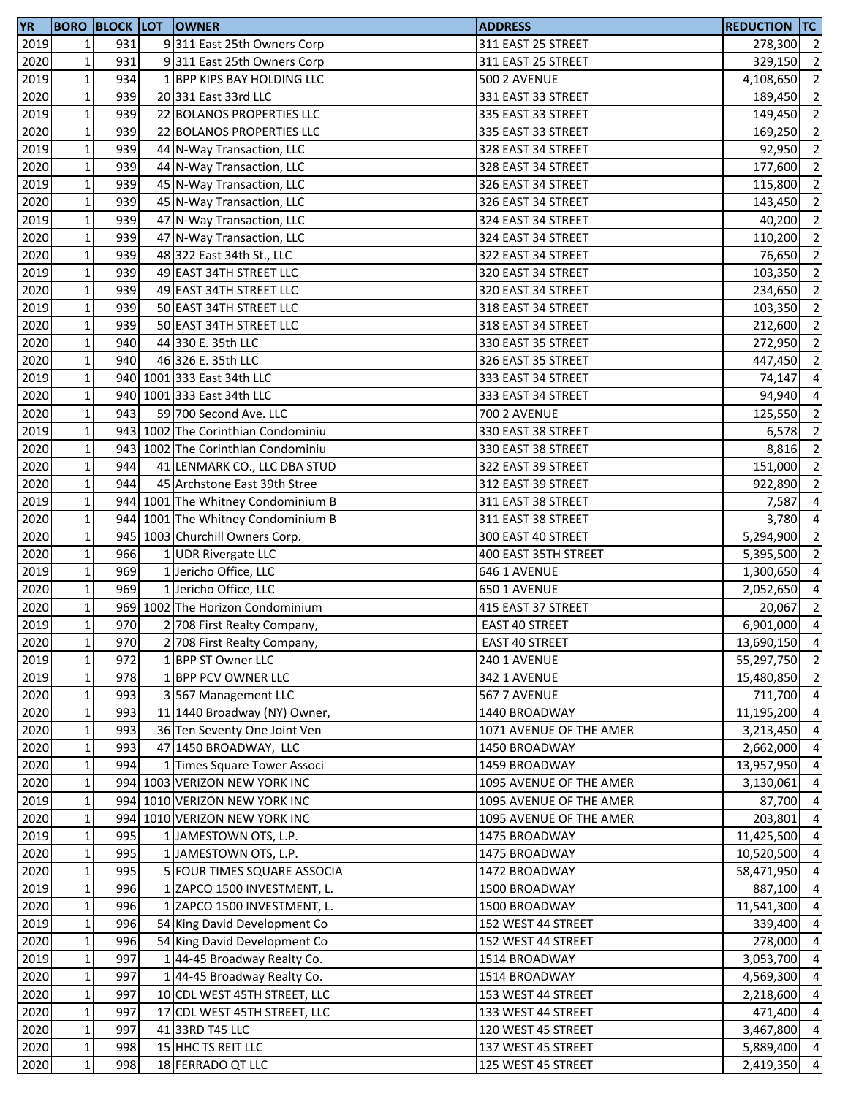| <b>YR</b> |              |     | <b>BORO BLOCK LOT OWNER</b>        | <b>ADDRESS</b>          | <b>REDUCTION TC</b> |                |
|-----------|--------------|-----|------------------------------------|-------------------------|---------------------|----------------|
| 2019      | $\mathbf 1$  | 931 | 9311 East 25th Owners Corp         | 311 EAST 25 STREET      | 278,300 2           |                |
| 2020      | $\mathbf 1$  | 931 | 9311 East 25th Owners Corp         | 311 EAST 25 STREET      | 329,150 2           |                |
| 2019      | $\mathbf 1$  | 934 | 1 BPP KIPS BAY HOLDING LLC         | <b>500 2 AVENUE</b>     | 4,108,650 2         |                |
| 2020      | $\mathbf 1$  | 939 | 20 331 East 33rd LLC               | 331 EAST 33 STREET      | 189,450             | $\overline{2}$ |
| 2019      | $\mathbf 1$  | 939 | 22 BOLANOS PROPERTIES LLC          | 335 EAST 33 STREET      | 149,450             | $\overline{2}$ |
| 2020      | $\mathbf 1$  | 939 | 22 BOLANOS PROPERTIES LLC          | 335 EAST 33 STREET      | 169,250             | $\overline{2}$ |
| 2019      | $\mathbf 1$  | 939 | 44 N-Way Transaction, LLC          | 328 EAST 34 STREET      | 92,950              | $\overline{2}$ |
| 2020      | $\mathbf 1$  | 939 | 44 N-Way Transaction, LLC          | 328 EAST 34 STREET      | 177,600             | $\overline{2}$ |
| 2019      | $\mathbf 1$  | 939 | 45 N-Way Transaction, LLC          | 326 EAST 34 STREET      | 115,800             | $\overline{2}$ |
| 2020      | $\mathbf 1$  | 939 | 45 N-Way Transaction, LLC          | 326 EAST 34 STREET      | 143,450             | $\overline{2}$ |
| 2019      | $\mathbf 1$  | 939 | 47 N-Way Transaction, LLC          | 324 EAST 34 STREET      | 40,200              | $\overline{2}$ |
| 2020      | $\mathbf 1$  | 939 | 47 N-Way Transaction, LLC          | 324 EAST 34 STREET      | 110,200             | $\overline{2}$ |
| 2020      | $\mathbf 1$  | 939 | 48 322 East 34th St., LLC          | 322 EAST 34 STREET      | 76,650              | $\overline{2}$ |
| 2019      | $\mathbf 1$  | 939 | 49 EAST 34TH STREET LLC            | 320 EAST 34 STREET      | 103,350             | $\overline{2}$ |
| 2020      | $\mathbf 1$  | 939 | 49 EAST 34TH STREET LLC            | 320 EAST 34 STREET      | 234,650             | $\overline{2}$ |
| 2019      | $\mathbf{1}$ | 939 | 50 EAST 34TH STREET LLC            | 318 EAST 34 STREET      | 103,350             | $\overline{2}$ |
| 2020      | $\mathbf{1}$ | 939 | 50 EAST 34TH STREET LLC            | 318 EAST 34 STREET      | 212,600             | $\overline{2}$ |
| 2020      | $\mathbf 1$  | 940 | 44 330 E. 35th LLC                 | 330 EAST 35 STREET      | 272,950             | $\overline{2}$ |
| 2020      | $\mathbf 1$  | 940 | 46 326 E. 35th LLC                 | 326 EAST 35 STREET      | 447,450             | $\overline{2}$ |
| 2019      | $\mathbf{1}$ |     | 940 1001 333 East 34th LLC         | 333 EAST 34 STREET      | 74,147              | $\overline{4}$ |
| 2020      | $\mathbf 1$  |     | 940 1001 333 East 34th LLC         | 333 EAST 34 STREET      | 94,940              | $\overline{4}$ |
| 2020      | $\mathbf 1$  | 943 | 59 700 Second Ave. LLC             | <b>700 2 AVENUE</b>     | 125,550             | $\overline{2}$ |
| 2019      | $\mathbf 1$  |     | 943 1002 The Corinthian Condominiu | 330 EAST 38 STREET      | 6,578               | $\overline{2}$ |
| 2020      | $\mathbf 1$  |     | 943 1002 The Corinthian Condominiu | 330 EAST 38 STREET      | 8,816               | $\overline{2}$ |
| 2020      | $\mathbf{1}$ | 944 | 41 LENMARK CO., LLC DBA STUD       | 322 EAST 39 STREET      | 151,000             | $\overline{2}$ |
| 2020      | $\mathbf 1$  | 944 | 45 Archstone East 39th Stree       | 312 EAST 39 STREET      | 922,890             | $\overline{2}$ |
| 2019      | $\mathbf 1$  |     | 944 1001 The Whitney Condominium B | 311 EAST 38 STREET      | 7,587               | $\overline{4}$ |
| 2020      | $\mathbf 1$  |     | 944 1001 The Whitney Condominium B | 311 EAST 38 STREET      | 3,780               | $\overline{a}$ |
| 2020      | $\mathbf 1$  |     | 945 1003 Churchill Owners Corp.    | 300 EAST 40 STREET      | 5,294,900           | $\overline{2}$ |
| 2020      | $\mathbf 1$  | 966 | 1 UDR Rivergate LLC                | 400 EAST 35TH STREET    | 5,395,500           | $\overline{2}$ |
| 2019      | $\mathbf{1}$ | 969 | 1 Jericho Office, LLC              | 646 1 AVENUE            | 1,300,650           | $\overline{4}$ |
| 2020      | $\mathbf 1$  | 969 | 1 Jericho Office, LLC              | 650 1 AVENUE            | 2,052,650           | $\overline{4}$ |
| 2020      | $\mathbf 1$  |     | 969 1002 The Horizon Condominium   | 415 EAST 37 STREET      | 20,067              | $\overline{2}$ |
| 2019      | $\mathbf 1$  | 970 | 2 708 First Realty Company,        | <b>EAST 40 STREET</b>   | $6,901,000$ 4       |                |
| 2020      | $\mathbf{1}$ | 970 | 2 708 First Realty Company,        | <b>EAST 40 STREET</b>   | 13,690,150 4        |                |
| 2019      | $\mathbf 1$  | 972 | 1 BPP ST Owner LLC                 | 240 1 AVENUE            | 55,297,750          | $\overline{2}$ |
| 2019      | $1\vert$     | 978 | 1 BPP PCV OWNER LLC                | 342 1 AVENUE            | 15,480,850 2        |                |
| 2020      | $\mathbf 1$  | 993 | 3 567 Management LLC               | 567 7 AVENUE            | 711,700 4           |                |
| 2020      | $\mathbf 1$  | 993 | 11 1440 Broadway (NY) Owner,       | 1440 BROADWAY           | 11,195,200          | $\overline{4}$ |
| 2020      | $\mathbf 1$  | 993 | 36 Ten Seventy One Joint Ven       | 1071 AVENUE OF THE AMER | 3,213,450           | $\overline{4}$ |
| 2020      | $\mathbf 1$  | 993 | 47 1450 BROADWAY, LLC              | 1450 BROADWAY           | 2,662,000           | $\overline{4}$ |
| 2020      | $\mathbf 1$  | 994 | 1 Times Square Tower Associ        | 1459 BROADWAY           | 13,957,950          | $\overline{4}$ |
| 2020      | $\mathbf{1}$ |     | 994 1003 VERIZON NEW YORK INC      | 1095 AVENUE OF THE AMER | 3,130,061           | $\overline{4}$ |
| 2019      | $\mathbf 1$  |     | 994 1010 VERIZON NEW YORK INC      | 1095 AVENUE OF THE AMER | 87,700              | $\overline{4}$ |
| 2020      | $\mathbf{1}$ |     | 994 1010 VERIZON NEW YORK INC      | 1095 AVENUE OF THE AMER | 203,801             | $\overline{4}$ |
| 2019      | $\mathbf 1$  | 995 | 1 JAMESTOWN OTS, L.P.              | 1475 BROADWAY           | 11,425,500 4        |                |
| 2020      | $\mathbf 1$  | 995 | 1 JAMESTOWN OTS, L.P.              | 1475 BROADWAY           | 10,520,500          | $\overline{4}$ |
| 2020      | $\mathbf 1$  | 995 | 5 FOUR TIMES SQUARE ASSOCIA        | 1472 BROADWAY           | 58,471,950          | $\overline{4}$ |
| 2019      | $\mathbf 1$  | 996 | 1 ZAPCO 1500 INVESTMENT, L.        | 1500 BROADWAY           | 887,100             | -4             |
| 2020      | $\mathbf 1$  | 996 | 1 ZAPCO 1500 INVESTMENT, L.        | 1500 BROADWAY           | 11,541,300          | $\overline{4}$ |
| 2019      | $\mathbf 1$  | 996 | 54 King David Development Co       | 152 WEST 44 STREET      | 339,400             | $\overline{4}$ |
| 2020      | $\mathbf 1$  | 996 | 54 King David Development Co       | 152 WEST 44 STREET      | 278,000             | $\overline{4}$ |
| 2019      | $\mathbf 1$  | 997 | 1 44-45 Broadway Realty Co.        | 1514 BROADWAY           | 3,053,700           | $\overline{4}$ |
| 2020      | $\mathbf 1$  | 997 | 1 44-45 Broadway Realty Co.        | 1514 BROADWAY           | 4,569,300 4         |                |
| 2020      | $\mathbf 1$  | 997 | 10 CDL WEST 45TH STREET, LLC       | 153 WEST 44 STREET      | 2,218,600           | $\overline{4}$ |
| 2020      | $\mathbf 1$  | 997 | 17 CDL WEST 45TH STREET, LLC       | 133 WEST 44 STREET      | 471,400             | $\overline{4}$ |
| 2020      | $\mathbf 1$  | 997 | 41 33RD T45 LLC                    | 120 WEST 45 STREET      | 3,467,800           | $\overline{4}$ |
| 2020      | $1\vert$     | 998 | 15 HHC TS REIT LLC                 | 137 WEST 45 STREET      | 5,889,400 4         |                |
| 2020      | $\mathbf{1}$ | 998 | 18 FERRADO QT LLC                  | 125 WEST 45 STREET      | 2,419,350 4         |                |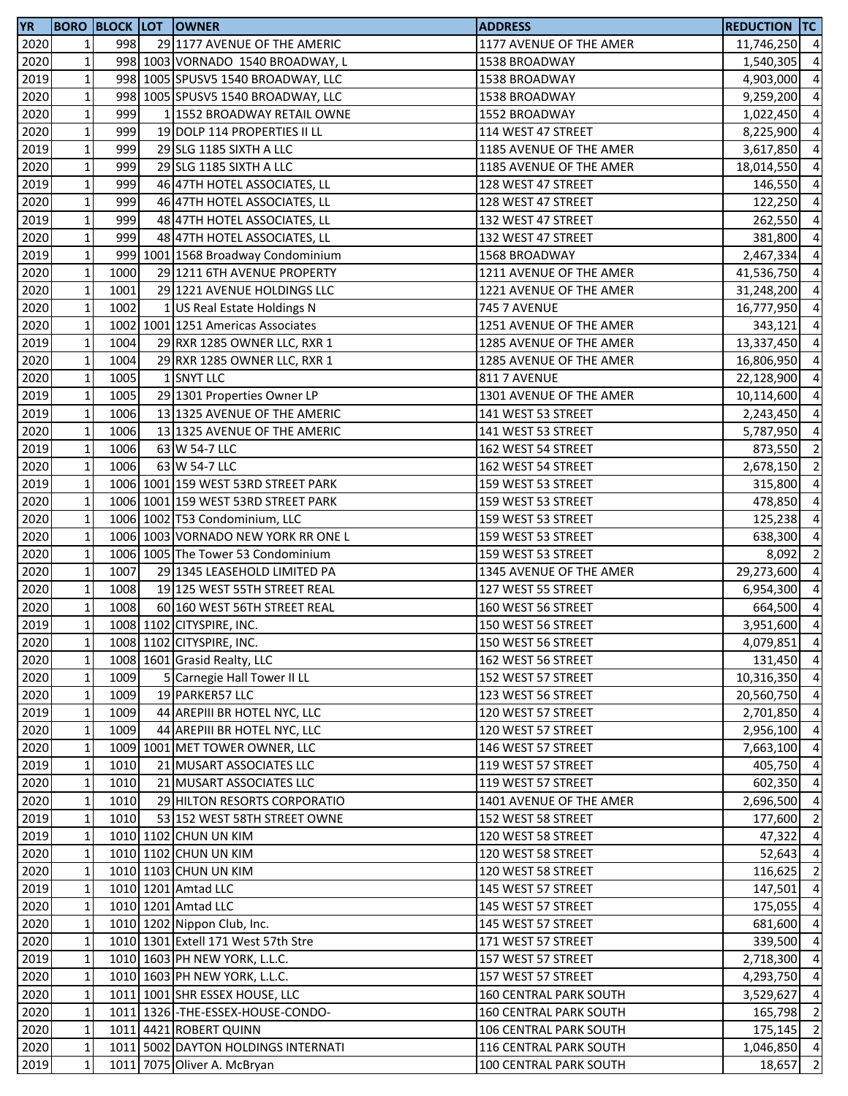| <b>YR</b> |              |      | <b>BORO BLOCK LOT OWNER</b>         | <b>ADDRESS</b>                | <b>REDUCTION TC</b> |                |
|-----------|--------------|------|-------------------------------------|-------------------------------|---------------------|----------------|
| 2020      | 1            | 998  | 29 1177 AVENUE OF THE AMERIC        | 1177 AVENUE OF THE AMER       | 11,746,250 4        |                |
| 2020      | $\mathbf{1}$ |      | 998 1003 VORNADO 1540 BROADWAY, L   | 1538 BROADWAY                 | 1,540,305           | $\overline{a}$ |
| 2019      | $\mathbf 1$  |      | 998 1005 SPUSV5 1540 BROADWAY, LLC  | 1538 BROADWAY                 | 4,903,000           | $\overline{4}$ |
| 2020      | $\mathbf 1$  |      | 998 1005 SPUSV5 1540 BROADWAY, LLC  | 1538 BROADWAY                 | 9,259,200           | $\overline{4}$ |
| 2020      | $\mathbf 1$  | 999  | 1 1552 BROADWAY RETAIL OWNE         | 1552 BROADWAY                 | 1,022,450 4         |                |
| 2020      | $\mathbf{1}$ | 999  | 19 DOLP 114 PROPERTIES II LL        | 114 WEST 47 STREET            | 8,225,900           | $\overline{4}$ |
| 2019      | $\mathbf 1$  | 999  | 29 SLG 1185 SIXTH A LLC             | 1185 AVENUE OF THE AMER       | 3,617,850           | $\overline{4}$ |
| 2020      | $\mathbf 1$  | 999  | 29 SLG 1185 SIXTH A LLC             | 1185 AVENUE OF THE AMER       | 18,014,550          | $\overline{4}$ |
| 2019      | $\mathbf 1$  | 999  | 46 47TH HOTEL ASSOCIATES, LL        | 128 WEST 47 STREET            | 146,550             | $\overline{4}$ |
| 2020      | $\mathbf 1$  | 999  | 46 47TH HOTEL ASSOCIATES, LL        | 128 WEST 47 STREET            | 122,250             | $\overline{4}$ |
| 2019      | $\mathbf 1$  | 999  | 48 47TH HOTEL ASSOCIATES, LL        | 132 WEST 47 STREET            | 262,550             | $\overline{a}$ |
| 2020      | $\mathbf 1$  | 999  | 48 47TH HOTEL ASSOCIATES, LL        | 132 WEST 47 STREET            | 381,800             | $\overline{4}$ |
| 2019      | $\mathbf 1$  |      | 999 1001 1568 Broadway Condominium  | 1568 BROADWAY                 | 2,467,334 4         |                |
| 2020      | $\mathbf 1$  | 1000 | 29 1211 6TH AVENUE PROPERTY         | 1211 AVENUE OF THE AMER       | 41,536,750 4        |                |
| 2020      | $\mathbf 1$  | 1001 | 29 1221 AVENUE HOLDINGS LLC         | 1221 AVENUE OF THE AMER       | 31,248,200          | $\overline{4}$ |
| 2020      | $\mathbf 1$  | 1002 | 1 US Real Estate Holdings N         | <b>745 7 AVENUE</b>           | 16,777,950          | $\overline{4}$ |
| 2020      | $\mathbf 1$  |      | 1002 1001 1251 Americas Associates  | 1251 AVENUE OF THE AMER       | 343,121             | $\overline{a}$ |
| 2019      | $\mathbf 1$  | 1004 | 29 RXR 1285 OWNER LLC, RXR 1        | 1285 AVENUE OF THE AMER       | 13,337,450          | $\overline{4}$ |
| 2020      | $\mathbf 1$  | 1004 | 29 RXR 1285 OWNER LLC, RXR 1        | 1285 AVENUE OF THE AMER       | 16,806,950          | $\overline{a}$ |
| 2020      | $\mathbf 1$  | 1005 | 1 SNYT LLC                          | 811 7 AVENUE                  | 22,128,900          | $\overline{4}$ |
| 2019      | $\mathbf 1$  | 1005 | 29 1301 Properties Owner LP         | 1301 AVENUE OF THE AMER       | 10,114,600          | $\overline{4}$ |
| 2019      | $\mathbf 1$  | 1006 | 13 1325 AVENUE OF THE AMERIC        | 141 WEST 53 STREET            | 2,243,450 4         |                |
| 2020      | $\mathbf 1$  | 1006 | 13 1325 AVENUE OF THE AMERIC        | 141 WEST 53 STREET            | 5,787,950 4         |                |
| 2019      | $\mathbf 1$  | 1006 | 63 W 54-7 LLC                       | 162 WEST 54 STREET            | 873,550             | $\overline{2}$ |
| 2020      | $\mathbf 1$  | 1006 | 63 W 54-7 LLC                       | 162 WEST 54 STREET            | 2,678,150           | $\overline{2}$ |
| 2019      | $\mathbf 1$  |      | 1006 1001 159 WEST 53RD STREET PARK | 159 WEST 53 STREET            | 315,800             | $\overline{4}$ |
| 2020      | $\mathbf{1}$ |      | 1006 1001 159 WEST 53RD STREET PARK | 159 WEST 53 STREET            | 478,850             | $\overline{a}$ |
| 2020      | $\mathbf 1$  |      | 1006 1002 T53 Condominium, LLC      | 159 WEST 53 STREET            | 125,238             | $\overline{a}$ |
| 2020      | $\mathbf 1$  |      | 1006 1003 VORNADO NEW YORK RR ONE L | 159 WEST 53 STREET            | 638,300             | $\overline{a}$ |
| 2020      | $\mathbf 1$  |      | 1006 1005 The Tower 53 Condominium  | 159 WEST 53 STREET            | 8,092               | $\overline{2}$ |
| 2020      | $\mathbf 1$  | 1007 | 29 1345 LEASEHOLD LIMITED PA        | 1345 AVENUE OF THE AMER       | 29,273,600 4        |                |
| 2020      | $\mathbf 1$  | 1008 | 19 125 WEST 55TH STREET REAL        | 127 WEST 55 STREET            | 6,954,300 4         |                |
| 2020      | $\mathbf 1$  | 1008 | 60 160 WEST 56TH STREET REAL        | 160 WEST 56 STREET            | 664,500             | $\overline{4}$ |
| 2019      | $\mathbf 1$  |      | 1008 1102 CITYSPIRE, INC.           | 150 WEST 56 STREET            | 3,951,600 4         |                |
| 2020      | $1\vert$     |      | 1008 1102 CITYSPIRE, INC.           | 150 WEST 56 STREET            | 4,079,851 4         |                |
| 2020      | $\mathbf 1$  |      | 1008 1601 Grasid Realty, LLC        | 162 WEST 56 STREET            | 131,450 4           |                |
| 2020      | $\mathbf 1$  | 1009 | 5 Carnegie Hall Tower II LL         | 152 WEST 57 STREET            | 10,316,350 4        |                |
| 2020      | $\mathbf 1$  | 1009 | 19 PARKER57 LLC                     | 123 WEST 56 STREET            | 20,560,750 4        |                |
| 2019      | $\mathbf 1$  | 1009 | 44 AREPIII BR HOTEL NYC, LLC        | 120 WEST 57 STREET            | 2,701,850 4         |                |
| 2020      | $\mathbf 1$  | 1009 | 44 AREPIII BR HOTEL NYC, LLC        | 120 WEST 57 STREET            | 2,956,100 4         |                |
| 2020      | $\mathbf 1$  |      | 1009 1001 MET TOWER OWNER, LLC      | 146 WEST 57 STREET            | 7,663,100           | $\overline{4}$ |
| 2019      | $\mathbf 1$  | 1010 | 21 MUSART ASSOCIATES LLC            | 119 WEST 57 STREET            | 405,750             | $\overline{4}$ |
| 2020      | $\mathbf 1$  | 1010 | 21 MUSART ASSOCIATES LLC            | 119 WEST 57 STREET            | 602,350             | $\overline{4}$ |
| 2020      | $\mathbf 1$  | 1010 | 29 HILTON RESORTS CORPORATIO        | 1401 AVENUE OF THE AMER       | 2,696,500           | $\overline{4}$ |
| 2019      | $\mathbf 1$  | 1010 | 53 152 WEST 58TH STREET OWNE        | 152 WEST 58 STREET            | 177,600             | $\overline{2}$ |
| 2019      | $\mathbf 1$  |      | 1010 1102 CHUN UN KIM               | 120 WEST 58 STREET            | 47,322              | $\overline{4}$ |
| 2020      | $\mathbf{1}$ |      | 1010 1102 CHUN UN KIM               | 120 WEST 58 STREET            | 52,643 4            |                |
| 2020      | $\mathbf 1$  |      | 1010 1103 CHUN UN KIM               | 120 WEST 58 STREET            | 116,625             | $\overline{2}$ |
| 2019      | $\mathbf 1$  |      | 1010 1201 Amtad LLC                 | 145 WEST 57 STREET            | 147,501             | $\overline{4}$ |
| 2020      | $\mathbf{1}$ |      | 1010 1201 Amtad LLC                 | 145 WEST 57 STREET            | 175,055             | $\overline{4}$ |
| 2020      | $\mathbf{1}$ |      | 1010 1202 Nippon Club, Inc.         | 145 WEST 57 STREET            | 681,600             | $\overline{4}$ |
| 2020      | $\mathbf{1}$ |      | 1010 1301 Extell 171 West 57th Stre | 171 WEST 57 STREET            | 339,500             | $\overline{4}$ |
| 2019      | $\mathbf 1$  |      | 1010 1603 PH NEW YORK, L.L.C.       | 157 WEST 57 STREET            | 2,718,300           | $\overline{4}$ |
| 2020      | $\mathbf 1$  |      | 1010 1603 PH NEW YORK, L.L.C.       | 157 WEST 57 STREET            | 4,293,750           | $\overline{4}$ |
| 2020      | $\mathbf 1$  |      | 1011 1001 SHR ESSEX HOUSE, LLC      | 160 CENTRAL PARK SOUTH        | 3,529,627           | $\overline{4}$ |
| 2020      | $\mathbf 1$  |      | 1011 1326 - THE-ESSEX-HOUSE-CONDO-  | <b>160 CENTRAL PARK SOUTH</b> | 165,798             | $\overline{2}$ |
| 2020      | $\mathbf 1$  |      | 1011 4421 ROBERT QUINN              | 106 CENTRAL PARK SOUTH        | 175,145 2           |                |
| 2020      | $\mathbf 1$  |      | 1011 5002 DAYTON HOLDINGS INTERNATI | 116 CENTRAL PARK SOUTH        | 1,046,850 4         |                |
| 2019      | $\mathbf 1$  |      | 1011 7075 Oliver A. McBryan         | 100 CENTRAL PARK SOUTH        | 18,657              | $\overline{2}$ |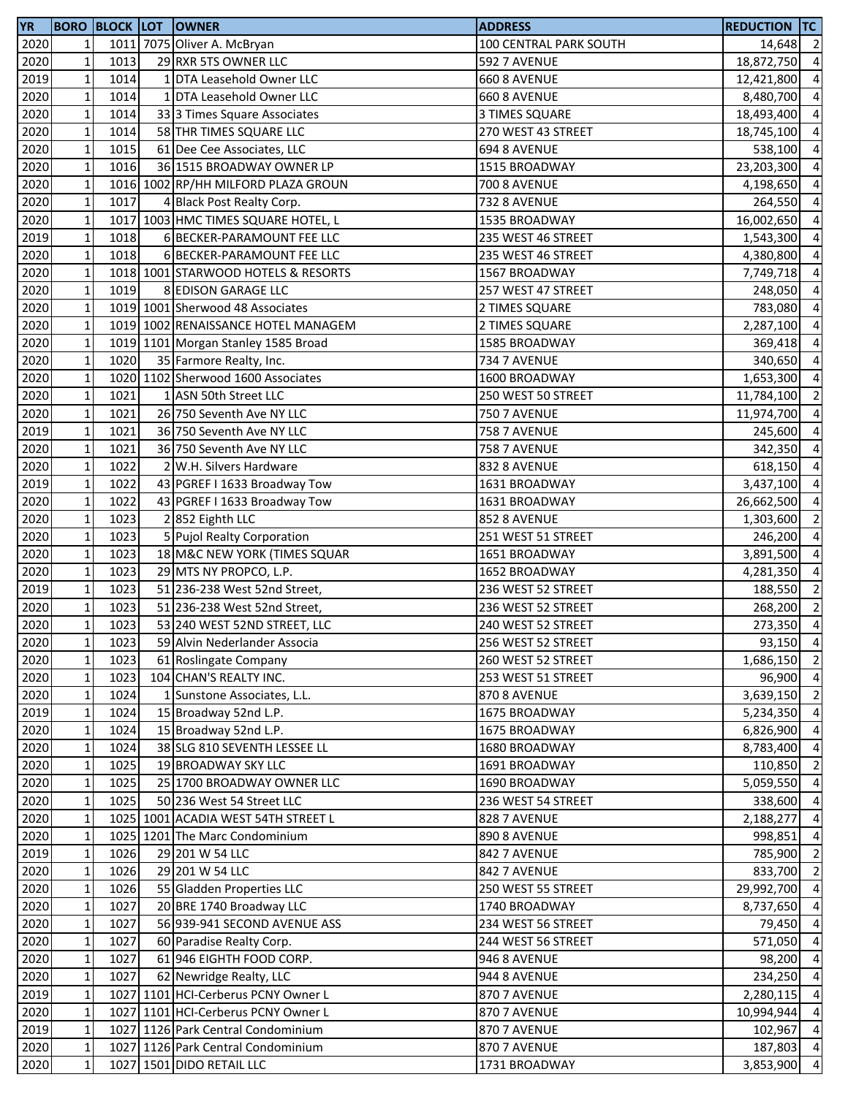| <b>YR</b> |                 |      | <b>BORO BLOCK LOT OWNER</b>         | <b>ADDRESS</b>         | <b>REDUCTION TC</b> |                |
|-----------|-----------------|------|-------------------------------------|------------------------|---------------------|----------------|
| 2020      | 1 <sup>1</sup>  |      | 1011 7075 Oliver A. McBryan         | 100 CENTRAL PARK SOUTH | 14,648 2            |                |
| 2020      | $\mathbf 1$     | 1013 | 29 RXR 5TS OWNER LLC                | 592 7 AVENUE           | 18,872,750          | $\overline{4}$ |
| 2019      | $\mathbf 1$     | 1014 | 1 DTA Leasehold Owner LLC           | 660 8 AVENUE           | 12,421,800          | $\overline{4}$ |
| 2020      | $1\overline{ }$ | 1014 | 1 DTA Leasehold Owner LLC           | 660 8 AVENUE           | 8,480,700 4         |                |
| 2020      | $\mathbf 1$     | 1014 | 333 3 Times Square Associates       | 3 TIMES SQUARE         | 18,493,400          | $\overline{4}$ |
| 2020      | $\mathbf 1$     | 1014 | 58 THR TIMES SQUARE LLC             | 270 WEST 43 STREET     | 18,745,100          | $\overline{4}$ |
| 2020      | $\mathbf 1$     | 1015 | 61 Dee Cee Associates, LLC          | 694 8 AVENUE           | 538,100             | $\overline{4}$ |
| 2020      | $\mathbf 1$     | 1016 | 36 1515 BROADWAY OWNER LP           | 1515 BROADWAY          | 23,203,300          | $\overline{4}$ |
| 2020      | $\mathbf 1$     |      | 1016 1002 RP/HH MILFORD PLAZA GROUN | <b>700 8 AVENUE</b>    | 4,198,650           | $\overline{4}$ |
| 2020      | $\mathbf 1$     | 1017 | 4 Black Post Realty Corp.           | 732 8 AVENUE           | 264,550             | $\overline{4}$ |
| 2020      | $\mathbf 1$     |      | 1017 1003 HMC TIMES SQUARE HOTEL, L | 1535 BROADWAY          | 16,002,650          | $\overline{4}$ |
| 2019      | $\mathbf 1$     | 1018 | 6 BECKER-PARAMOUNT FEE LLC          | 235 WEST 46 STREET     | 1,543,300           | $\overline{4}$ |
| 2020      | $\mathbf 1$     | 1018 | 6 BECKER-PARAMOUNT FEE LLC          | 235 WEST 46 STREET     | 4,380,800 4         |                |
| 2020      | $\mathbf 1$     |      | 1018 1001 STARWOOD HOTELS & RESORTS | 1567 BROADWAY          | 7,749,718           | $\overline{4}$ |
| 2020      | $\mathbf 1$     | 1019 | 8 EDISON GARAGE LLC                 | 257 WEST 47 STREET     | 248,050             | $\overline{4}$ |
| 2020      | $\mathbf 1$     |      | 1019 1001 Sherwood 48 Associates    | 2 TIMES SQUARE         | 783,080             | $\overline{4}$ |
| 2020      | $\mathbf 1$     |      | 1019 1002 RENAISSANCE HOTEL MANAGEM | 2 TIMES SQUARE         | 2,287,100           | $\overline{4}$ |
| 2020      | $\mathbf 1$     |      | 1019 1101 Morgan Stanley 1585 Broad | 1585 BROADWAY          | 369,418             | $\overline{a}$ |
| 2020      | $\mathbf 1$     | 1020 | 35 Farmore Realty, Inc.             | 734 7 AVENUE           | 340,650             | $\overline{4}$ |
| 2020      | $\mathbf 1$     |      | 1020 1102 Sherwood 1600 Associates  | 1600 BROADWAY          | 1,653,300           | $\overline{4}$ |
| 2020      | $\mathbf 1$     | 1021 | 1 ASN 50th Street LLC               | 250 WEST 50 STREET     | 11,784,100 2        |                |
| 2020      | $\mathbf 1$     | 1021 | 26 750 Seventh Ave NY LLC           | <b>750 7 AVENUE</b>    | 11,974,700 4        |                |
| 2019      | $\mathbf 1$     | 1021 | 36 750 Seventh Ave NY LLC           | <b>758 7 AVENUE</b>    | 245,600             | $\overline{4}$ |
| 2020      | $\mathbf 1$     | 1021 | 36 750 Seventh Ave NY LLC           | <b>758 7 AVENUE</b>    | 342,350             | $\overline{4}$ |
| 2020      | $\mathbf 1$     | 1022 | 2 W.H. Silvers Hardware             | 832 8 AVENUE           | 618,150             | $\overline{4}$ |
| 2019      | $\mathbf 1$     | 1022 | 43 PGREF I 1633 Broadway Tow        | 1631 BROADWAY          | 3,437,100           | $\overline{4}$ |
| 2020      | $\mathbf 1$     | 1022 | 43 PGREF I 1633 Broadway Tow        | 1631 BROADWAY          | 26,662,500          | $\overline{4}$ |
| 2020      | $\mathbf 1$     | 1023 | 2852 Eighth LLC                     | 852 8 AVENUE           | 1,303,600           | $\overline{2}$ |
| 2020      | $\mathbf 1$     | 1023 | 5 Pujol Realty Corporation          | 251 WEST 51 STREET     | 246,200 4           |                |
| 2020      | $\mathbf 1$     | 1023 | 18 M&C NEW YORK (TIMES SQUAR        | 1651 BROADWAY          | 3,891,500           | $\overline{4}$ |
| 2020      | $\mathbf 1$     | 1023 | 29 MTS NY PROPCO, L.P.              | 1652 BROADWAY          | 4,281,350           | $\overline{4}$ |
| 2019      | $\mathbf 1$     | 1023 | 51 236-238 West 52nd Street,        | 236 WEST 52 STREET     | 188,550             | $\overline{2}$ |
| 2020      | $\mathbf 1$     | 1023 | 51 236-238 West 52nd Street,        | 236 WEST 52 STREET     | 268,200             | $\overline{2}$ |
| 2020      | $\mathbf{1}$    | 1023 | 53 240 WEST 52ND STREET, LLC        | 240 WEST 52 STREET     | $273,350$ 4         |                |
| 2020      | 11              | 1023 | 59 Alvin Nederlander Associa        | 256 WEST 52 STREET     | 93,150 4            |                |
| 2020      | $\mathbf 1$     | 1023 | 61 Roslingate Company               | 260 WEST 52 STREET     | 1,686,150 2         |                |
| 2020      | $\mathbf 1$     | 1023 | 104 CHAN'S REALTY INC.              | 253 WEST 51 STREET     | 96,900 4            |                |
| 2020      | $\mathbf{1}$    | 1024 | 1 Sunstone Associates, L.L.         | 870 8 AVENUE           | 3,639,150 2         |                |
| 2019      | $\mathbf 1$     | 1024 | 15 Broadway 52nd L.P.               | 1675 BROADWAY          | 5,234,350 4         |                |
| 2020      | $\mathbf 1$     | 1024 | 15 Broadway 52nd L.P.               | 1675 BROADWAY          | 6,826,900 4         |                |
| 2020      | $\mathbf 1$     | 1024 | 38 SLG 810 SEVENTH LESSEE LL        | 1680 BROADWAY          | 8,783,400           | $\overline{4}$ |
| 2020      | $1\,$           | 1025 | 19 BROADWAY SKY LLC                 | 1691 BROADWAY          | 110,850             | $\overline{2}$ |
| 2020      | $\mathbf{1}$    | 1025 | 25 1700 BROADWAY OWNER LLC          | 1690 BROADWAY          | 5,059,550           | $\overline{4}$ |
| 2020      | $\mathbf{1}$    | 1025 | 50 236 West 54 Street LLC           | 236 WEST 54 STREET     | 338,600             | $\overline{4}$ |
| 2020      | $\mathbf{1}$    |      | 1025 1001 ACADIA WEST 54TH STREET L | 828 7 AVENUE           | 2,188,277           | $\overline{4}$ |
| 2020      | $\mathbf{1}$    |      | 1025 1201 The Marc Condominium      | 890 8 AVENUE           | 998,851             | $\overline{4}$ |
| 2019      | $1\overline{ }$ | 1026 | 29 201 W 54 LLC                     | 842 7 AVENUE           | 785,900 2           |                |
| 2020      | $\mathbf 1$     | 1026 | 29 201 W 54 LLC                     | 842 7 AVENUE           | 833,700 2           |                |
| 2020      | $\mathbf{1}$    | 1026 | 55 Gladden Properties LLC           | 250 WEST 55 STREET     | 29,992,700          | $\overline{4}$ |
| 2020      | $\mathbf{1}$    | 1027 | 20 BRE 1740 Broadway LLC            | 1740 BROADWAY          | 8,737,650           | $\overline{4}$ |
| 2020      | $\mathbf{1}$    | 1027 | 56 939-941 SECOND AVENUE ASS        | 234 WEST 56 STREET     | 79,450              | $\overline{4}$ |
| 2020      | $\mathbf 1$     | 1027 | 60 Paradise Realty Corp.            | 244 WEST 56 STREET     | 571,050             | $\overline{4}$ |
| 2020      | $\mathbf 1$     | 1027 | 61 946 EIGHTH FOOD CORP.            | 946 8 AVENUE           | 98,200              | $\overline{4}$ |
| 2020      | $1\overline{ }$ | 1027 | 62 Newridge Realty, LLC             | 944 8 AVENUE           | 234,250 4           |                |
| 2019      | $\mathbf 1$     |      | 1027 1101 HCI-Cerberus PCNY Owner L | 870 7 AVENUE           | 2,280,115           | $\overline{4}$ |
| 2020      | $\mathbf 1$     |      | 1027 1101 HCI-Cerberus PCNY Owner L | 870 7 AVENUE           | 10,994,944          | $\overline{4}$ |
| 2019      | $\mathbf 1$     |      | 1027 1126 Park Central Condominium  | 870 7 AVENUE           | 102,967             | $\overline{4}$ |
| 2020      | $\mathbf 1$     |      | 1027 1126 Park Central Condominium  | 870 7 AVENUE           | 187,803             | $\overline{4}$ |
| 2020      | $\mathbf{1}$    |      | 1027 1501 DIDO RETAIL LLC           | 1731 BROADWAY          | 3,853,900 4         |                |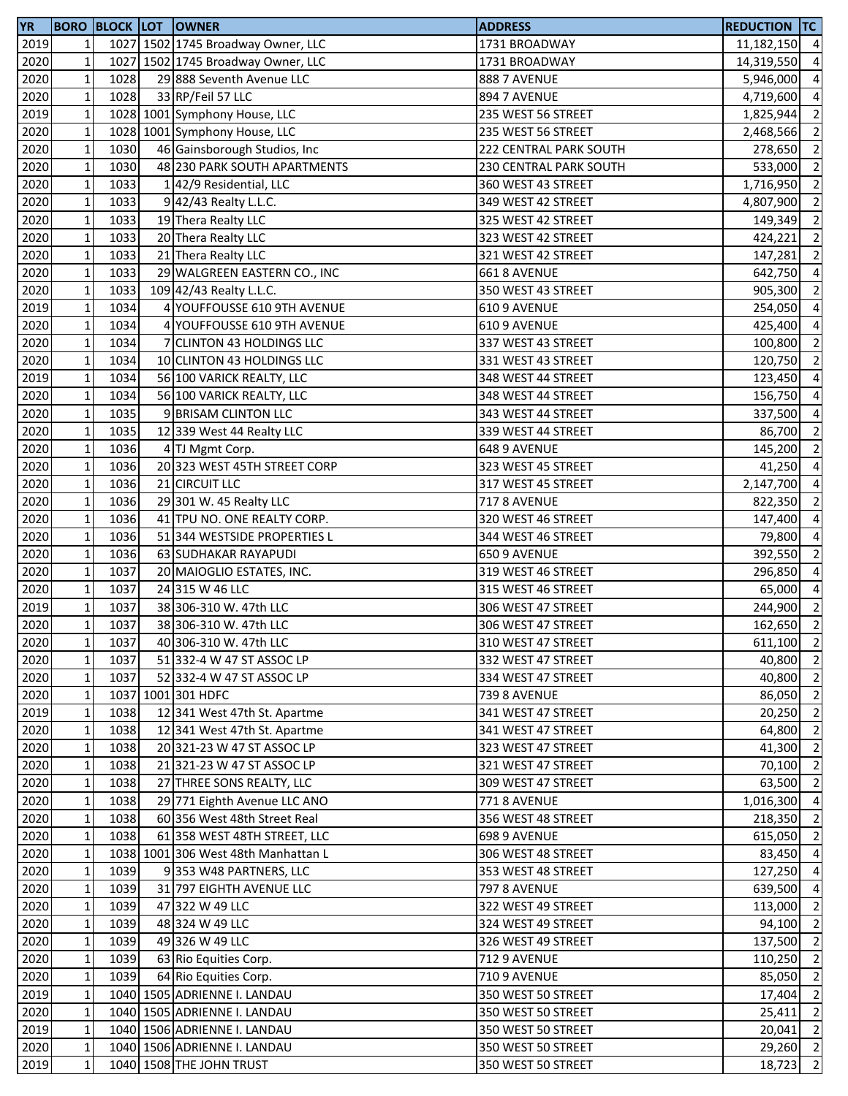| <b>YR</b> |              |      | <b>BORO BLOCK LOT OWNER</b>         | <b>ADDRESS</b>         | <b>REDUCTION TC</b> |                          |
|-----------|--------------|------|-------------------------------------|------------------------|---------------------|--------------------------|
| 2019      | 1            |      | 1027 1502 1745 Broadway Owner, LLC  | 1731 BROADWAY          | 11,182,150 4        |                          |
| 2020      | $\mathbf 1$  |      | 1027 1502 1745 Broadway Owner, LLC  | 1731 BROADWAY          | 14,319,550          | $\overline{4}$           |
| 2020      | $\mathbf 1$  | 1028 | 29 888 Seventh Avenue LLC           | <b>888 7 AVENUE</b>    | 5,946,000           | $\overline{4}$           |
| 2020      | $\mathbf 1$  | 1028 | 33 RP/Feil 57 LLC                   | 894 7 AVENUE           | 4,719,600           | $\overline{4}$           |
| 2019      | $\mathbf 1$  |      | 1028 1001 Symphony House, LLC       | 235 WEST 56 STREET     | 1,825,944           | $\overline{2}$           |
| 2020      | $\mathbf 1$  |      | 1028 1001 Symphony House, LLC       | 235 WEST 56 STREET     | 2,468,566           | $\overline{2}$           |
| 2020      | $\mathbf 1$  | 1030 | 46 Gainsborough Studios, Inc        | 222 CENTRAL PARK SOUTH | 278,650 2           |                          |
| 2020      | $\mathbf 1$  | 1030 | 48 230 PARK SOUTH APARTMENTS        | 230 CENTRAL PARK SOUTH | 533,000             | $\overline{\phantom{0}}$ |
| 2020      | $\mathbf 1$  | 1033 | 142/9 Residential, LLC              | 360 WEST 43 STREET     | 1,716,950           | $\overline{2}$           |
| 2020      | $\mathbf 1$  | 1033 | 9 42/43 Realty L.L.C.               | 349 WEST 42 STREET     | 4,807,900           | $\overline{2}$           |
| 2020      | $\mathbf 1$  | 1033 | 19 Thera Realty LLC                 | 325 WEST 42 STREET     | 149,349             | $\overline{2}$           |
| 2020      | $\mathbf 1$  | 1033 | 20 Thera Realty LLC                 | 323 WEST 42 STREET     | 424,221             | $\overline{2}$           |
| 2020      | $\mathbf 1$  | 1033 | 21 Thera Realty LLC                 | 321 WEST 42 STREET     | 147,281 2           |                          |
| 2020      | $\mathbf 1$  | 1033 | 29 WALGREEN EASTERN CO., INC        | 661 8 AVENUE           | 642,750 4           |                          |
| 2020      | $\mathbf 1$  | 1033 | 109 42/43 Realty L.L.C.             | 350 WEST 43 STREET     | 905,300             | $\overline{2}$           |
| 2019      | $\mathbf 1$  | 1034 | 4 YOUFFOUSSE 610 9TH AVENUE         | 610 9 AVENUE           | 254,050             | $\overline{4}$           |
| 2020      | $\mathbf 1$  | 1034 | 4 YOUFFOUSSE 610 9TH AVENUE         | 610 9 AVENUE           | 425,400             | $\overline{4}$           |
| 2020      | $\mathbf 1$  | 1034 | 7 CLINTON 43 HOLDINGS LLC           | 337 WEST 43 STREET     | 100,800             | $\overline{2}$           |
| 2020      | $\mathbf 1$  | 1034 | 10 CLINTON 43 HOLDINGS LLC          | 331 WEST 43 STREET     | 120,750             | $\overline{2}$           |
| 2019      | $\mathbf 1$  | 1034 | 56 100 VARICK REALTY, LLC           | 348 WEST 44 STREET     | 123,450             | $\overline{4}$           |
| 2020      | $\mathbf 1$  | 1034 | 56 100 VARICK REALTY, LLC           | 348 WEST 44 STREET     | 156,750             | $\overline{4}$           |
| 2020      | $\mathbf 1$  | 1035 | 9 BRISAM CLINTON LLC                | 343 WEST 44 STREET     | 337,500 4           |                          |
| 2020      | $\mathbf 1$  | 1035 | 12 339 West 44 Realty LLC           | 339 WEST 44 STREET     | 86,700              | $\overline{2}$           |
| 2020      | $\mathbf 1$  | 1036 | 4 TJ Mgmt Corp.                     | 648 9 AVENUE           | 145,200 2           |                          |
| 2020      | $\mathbf 1$  | 1036 | 20 323 WEST 45TH STREET CORP        | 323 WEST 45 STREET     | 41,250              | $\overline{4}$           |
| 2020      | $\mathbf 1$  | 1036 | 21 CIRCUIT LLC                      | 317 WEST 45 STREET     | 2,147,700           | $\overline{4}$           |
| 2020      | $\mathbf 1$  | 1036 | 29 301 W. 45 Realty LLC             | <b>717 8 AVENUE</b>    | 822,350             | $\overline{2}$           |
| 2020      | $\mathbf 1$  | 1036 | 41 TPU NO. ONE REALTY CORP.         | 320 WEST 46 STREET     | 147,400             | $\overline{4}$           |
| 2020      | $\mathbf 1$  | 1036 | 51 344 WESTSIDE PROPERTIES L        | 344 WEST 46 STREET     | 79,800              | $\overline{4}$           |
| 2020      | $\mathbf 1$  | 1036 | 63 SUDHAKAR RAYAPUDI                | 650 9 AVENUE           | 392,550             | $\overline{2}$           |
| 2020      | $\mathbf 1$  | 1037 | 20 MAIOGLIO ESTATES, INC.           | 319 WEST 46 STREET     | 296,850             | $\overline{4}$           |
| 2020      | $\mathbf 1$  | 1037 | 24 315 W 46 LLC                     | 315 WEST 46 STREET     | 65,000              | $\overline{4}$           |
| 2019      | $\mathbf 1$  | 1037 | 38 306-310 W. 47th LLC              | 306 WEST 47 STREET     | 244,900 2           |                          |
| 2020      | $\mathbf 1$  | 1037 | 38 306-310 W. 47th LLC              | 306 WEST 47 STREET     | 162,650             | $\overline{2}$           |
| 2020      | $1\vert$     | 1037 | 40 306-310 W. 47th LLC              | 310 WEST 47 STREET     | 611,100 2           |                          |
| 2020      | $\mathbf 1$  | 1037 | 51 332-4 W 47 ST ASSOC LP           | 332 WEST 47 STREET     | 40,800 2            |                          |
| 2020      | $\mathbf 1$  | 1037 | 52 332-4 W 47 ST ASSOC LP           | 334 WEST 47 STREET     | 40,800              | $\overline{2}$           |
| 2020      | $\mathbf 1$  |      | 1037 1001 301 HDFC                  | <b>739 8 AVENUE</b>    | 86,050 2            |                          |
| 2019      | $\mathbf 1$  | 1038 | 12 341 West 47th St. Apartme        | 341 WEST 47 STREET     | 20,250              | $\overline{2}$           |
| 2020      | $\mathbf 1$  | 1038 | 12 341 West 47th St. Apartme        | 341 WEST 47 STREET     | 64,800              | $\overline{2}$           |
| 2020      | $\mathbf{1}$ | 1038 | 20 321-23 W 47 ST ASSOC LP          | 323 WEST 47 STREET     | 41,300              | $\overline{2}$           |
| 2020      | $\mathbf 1$  | 1038 | 21 321-23 W 47 ST ASSOC LP          | 321 WEST 47 STREET     | 70,100              | $\overline{2}$           |
| 2020      | $\mathbf 1$  | 1038 | 27 THREE SONS REALTY, LLC           | 309 WEST 47 STREET     | 63,500              | $\overline{2}$           |
| 2020      | $\mathbf 1$  | 1038 | 29 771 Eighth Avenue LLC ANO        | <b>771 8 AVENUE</b>    | 1,016,300           | $\overline{4}$           |
| 2020      | $\mathbf{1}$ | 1038 | 60 356 West 48th Street Real        | 356 WEST 48 STREET     | 218,350             | $\overline{2}$           |
| 2020      | $\mathbf{1}$ | 1038 | 61 358 WEST 48TH STREET, LLC        | 698 9 AVENUE           | 615,050 2           |                          |
| 2020      | $\mathbf{1}$ |      | 1038 1001 306 West 48th Manhattan L | 306 WEST 48 STREET     | 83,450 4            |                          |
| 2020      | $\mathbf 1$  | 1039 | 9353 W48 PARTNERS, LLC              | 353 WEST 48 STREET     | 127,250 4           |                          |
| 2020      | $\mathbf 1$  | 1039 | 31 797 EIGHTH AVENUE LLC            | <b>797 8 AVENUE</b>    | 639,500 4           |                          |
| 2020      | $\mathbf 1$  | 1039 | 47 322 W 49 LLC                     | 322 WEST 49 STREET     | 113,000 2           |                          |
| 2020      | $\mathbf{1}$ | 1039 | 48 324 W 49 LLC                     | 324 WEST 49 STREET     | 94,100              | $\overline{2}$           |
| 2020      | $\mathbf 1$  | 1039 | 49 326 W 49 LLC                     | 326 WEST 49 STREET     | 137,500             | $\overline{2}$           |
| 2020      | $\mathbf 1$  | 1039 | 63 Rio Equities Corp.               | <b>712 9 AVENUE</b>    | 110,250             | $\overline{2}$           |
| 2020      | $\mathbf 1$  | 1039 | 64 Rio Equities Corp.               | <b>710 9 AVENUE</b>    | 85,050              | $\overline{2}$           |
| 2019      | $\mathbf 1$  |      | 1040 1505 ADRIENNE I. LANDAU        | 350 WEST 50 STREET     | 17,404              | $\overline{2}$           |
| 2020      | $\mathbf 1$  |      | 1040 1505 ADRIENNE I. LANDAU        | 350 WEST 50 STREET     | 25,411              | $\overline{2}$           |
| 2019      | $\mathbf 1$  |      | 1040 1506 ADRIENNE I. LANDAU        | 350 WEST 50 STREET     | 20,041              | $\overline{2}$           |
| 2020      | $\mathbf 1$  |      | 1040 1506 ADRIENNE I. LANDAU        | 350 WEST 50 STREET     | 29,260 2            |                          |
| 2019      | $\mathbf 1$  |      | 1040 1508 THE JOHN TRUST            | 350 WEST 50 STREET     | 18,723              | $\overline{2}$           |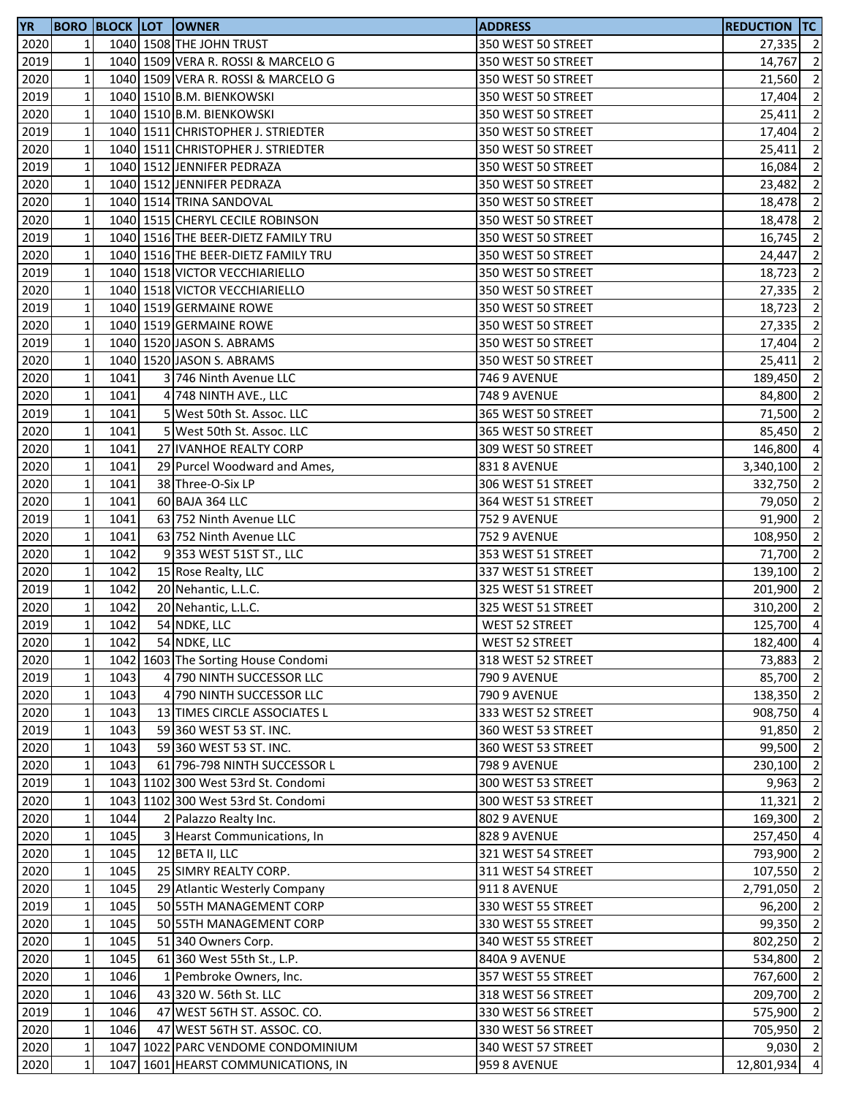| <b>YR</b> |              |      | <b>BORO BLOCK LOT LOWNER</b>        | <b>ADDRESS</b>        | <b>REDUCTION TC</b> |                |
|-----------|--------------|------|-------------------------------------|-----------------------|---------------------|----------------|
| 2020      | $\mathbf{1}$ |      | 1040 1508 THE JOHN TRUST            | 350 WEST 50 STREET    | $27,335$ 2          |                |
| 2019      | $\mathbf 1$  |      | 1040 1509 VERA R. ROSSI & MARCELO G | 350 WEST 50 STREET    | 14,767              | $\overline{2}$ |
| 2020      | $\mathbf 1$  |      | 1040 1509 VERA R. ROSSI & MARCELO G | 350 WEST 50 STREET    | 21,560              | $\overline{2}$ |
| 2019      | $\mathbf 1$  |      | 1040 1510 B.M. BIENKOWSKI           | 350 WEST 50 STREET    | 17,404              | $\overline{2}$ |
| 2020      | $\mathbf 1$  |      | 1040 1510 B.M. BIENKOWSKI           | 350 WEST 50 STREET    | 25,411              | $\overline{2}$ |
| 2019      | $\mathbf 1$  |      | 1040 1511 CHRISTOPHER J. STRIEDTER  | 350 WEST 50 STREET    | 17,404              | $\overline{2}$ |
| 2020      | $\mathbf{1}$ |      | 1040 1511 CHRISTOPHER J. STRIEDTER  | 350 WEST 50 STREET    | 25,411              | $\overline{2}$ |
| 2019      | $\mathbf{1}$ |      | 1040 1512 JENNIFER PEDRAZA          | 350 WEST 50 STREET    | 16,084              | $\overline{2}$ |
| 2020      | $\mathbf{1}$ |      | 1040 1512 JENNIFER PEDRAZA          | 350 WEST 50 STREET    | 23,482              | $\overline{2}$ |
| 2020      | $\mathbf 1$  |      | 1040 1514 TRINA SANDOVAL            | 350 WEST 50 STREET    | 18,478              | $\overline{2}$ |
| 2020      | $\mathbf 1$  |      | 1040 1515 CHERYL CECILE ROBINSON    | 350 WEST 50 STREET    | 18,478              | $\overline{2}$ |
| 2019      | $\mathbf 1$  |      | 1040 1516 THE BEER-DIETZ FAMILY TRU | 350 WEST 50 STREET    | 16,745              | $\overline{2}$ |
| 2020      | $\mathbf 1$  |      | 1040 1516 THE BEER-DIETZ FAMILY TRU | 350 WEST 50 STREET    | 24,447              | $\overline{2}$ |
| 2019      | $\mathbf 1$  |      | 1040 1518 VICTOR VECCHIARIELLO      | 350 WEST 50 STREET    | 18,723              | $\overline{2}$ |
| 2020      | $\mathbf 1$  |      | 1040 1518 VICTOR VECCHIARIELLO      | 350 WEST 50 STREET    | 27,335              | $\overline{2}$ |
| 2019      | $\mathbf 1$  |      | 1040 1519 GERMAINE ROWE             | 350 WEST 50 STREET    | 18,723              | $\overline{2}$ |
| 2020      | $\mathbf 1$  |      | 1040 1519 GERMAINE ROWE             | 350 WEST 50 STREET    | 27,335              | $\overline{2}$ |
| 2019      | $\mathbf 1$  |      | 1040 1520 JASON S. ABRAMS           | 350 WEST 50 STREET    | 17,404              | $\overline{2}$ |
| 2020      | $\mathbf 1$  |      | 1040 1520 JASON S. ABRAMS           | 350 WEST 50 STREET    | 25,411              | $\overline{2}$ |
| 2020      | $\mathbf 1$  | 1041 | 3 746 Ninth Avenue LLC              | <b>746 9 AVENUE</b>   | 189,450 2           |                |
| 2020      | $\mathbf 1$  | 1041 | 4 748 NINTH AVE., LLC               | <b>748 9 AVENUE</b>   | 84,800              | $\overline{2}$ |
| 2019      | $\mathbf 1$  | 1041 | 5 West 50th St. Assoc. LLC          | 365 WEST 50 STREET    | 71,500              | $\overline{2}$ |
| 2020      | $\mathbf 1$  | 1041 | 5 West 50th St. Assoc. LLC          | 365 WEST 50 STREET    | 85,450              | $\overline{2}$ |
| 2020      | $\mathbf 1$  | 1041 | 27 IVANHOE REALTY CORP              | 309 WEST 50 STREET    | 146,800             | $\overline{4}$ |
| 2020      | $\mathbf 1$  | 1041 | 29 Purcel Woodward and Ames,        | 831 8 AVENUE          | 3,340,100           | $\overline{2}$ |
| 2020      | $\mathbf 1$  | 1041 | 38 Three-O-Six LP                   | 306 WEST 51 STREET    | 332,750             | $\overline{2}$ |
| 2020      | $\mathbf 1$  | 1041 | 60 BAJA 364 LLC                     | 364 WEST 51 STREET    | 79,050              | $\overline{2}$ |
| 2019      | $\mathbf 1$  | 1041 | 63 752 Ninth Avenue LLC             | <b>752 9 AVENUE</b>   | 91,900 2            |                |
| 2020      | $\mathbf 1$  | 1041 | 63 752 Ninth Avenue LLC             | <b>752 9 AVENUE</b>   | 108,950             | $\overline{2}$ |
| 2020      | $\mathbf 1$  | 1042 | 9353 WEST 51ST ST., LLC             | 353 WEST 51 STREET    | 71,700              | $\overline{2}$ |
| 2020      | $\mathbf 1$  | 1042 | 15 Rose Realty, LLC                 | 337 WEST 51 STREET    | 139,100             | $\overline{2}$ |
| 2019      | $\mathbf 1$  | 1042 | 20 Nehantic, L.L.C.                 | 325 WEST 51 STREET    | 201,900             | $\overline{2}$ |
| 2020      | $\mathbf 1$  | 1042 | 20 Nehantic, L.L.C.                 | 325 WEST 51 STREET    | 310,200             | $\overline{2}$ |
| 2019      | $\mathbf{1}$ | 1042 | 54 NDKE, LLC                        | <b>WEST 52 STREET</b> | 125,700             | $\overline{4}$ |
| 2020      | $1\vert$     | 1042 | 54 NDKE, LLC                        | WEST 52 STREET        | 182,400 4           |                |
| 2020      | $\mathbf 1$  |      | 1042 1603 The Sorting House Condomi | 318 WEST 52 STREET    | 73,883              | $\overline{2}$ |
| 2019      | $\mathbf 1$  | 1043 | 4 790 NINTH SUCCESSOR LLC           | <b>790 9 AVENUE</b>   | 85,700 2            |                |
| 2020      | $\mathbf 1$  | 1043 | 4 790 NINTH SUCCESSOR LLC           | <b>790 9 AVENUE</b>   | 138,350 2           |                |
| 2020      | $\mathbf 1$  | 1043 | 13 TIMES CIRCLE ASSOCIATES L        | 333 WEST 52 STREET    | 908,750             | $\overline{4}$ |
| 2019      | $\mathbf 1$  | 1043 | 59 360 WEST 53 ST. INC.             | 360 WEST 53 STREET    | 91,850              | $\overline{2}$ |
| 2020      | $\mathbf 1$  | 1043 | 59 360 WEST 53 ST. INC.             | 360 WEST 53 STREET    | 99,500              | $\overline{2}$ |
| 2020      | $\mathbf 1$  | 1043 | 61 796-798 NINTH SUCCESSOR L        | 798 9 AVENUE          | 230,100             | $\overline{2}$ |
| 2019      | $\mathbf 1$  |      | 1043 1102 300 West 53rd St. Condomi | 300 WEST 53 STREET    | 9,963               | $\overline{2}$ |
| 2020      | $\mathbf 1$  |      | 1043 1102 300 West 53rd St. Condomi | 300 WEST 53 STREET    | 11,321              | $\overline{2}$ |
| 2020      | $\mathbf 1$  | 1044 | 2 Palazzo Realty Inc.               | 802 9 AVENUE          | 169,300             | $\overline{2}$ |
| 2020      | $\mathbf 1$  | 1045 | 3 Hearst Communications, In         | 828 9 AVENUE          | 257,450 4           |                |
| 2020      | $\mathbf 1$  | 1045 | 12 BETA II, LLC                     | 321 WEST 54 STREET    | 793,900 2           |                |
| 2020      | $\mathbf 1$  | 1045 | 25 SIMRY REALTY CORP.               | 311 WEST 54 STREET    | 107,550 2           |                |
| 2020      | $\mathbf 1$  | 1045 | 29 Atlantic Westerly Company        | 911 8 AVENUE          | 2,791,050           | $\overline{2}$ |
| 2019      | $\mathbf 1$  | 1045 | 50 55TH MANAGEMENT CORP             | 330 WEST 55 STREET    | 96,200              | $\overline{2}$ |
| 2020      | $\mathbf 1$  | 1045 | 50 55TH MANAGEMENT CORP             | 330 WEST 55 STREET    | 99,350              | $\overline{2}$ |
| 2020      | $\mathbf 1$  | 1045 | 51 340 Owners Corp.                 | 340 WEST 55 STREET    | 802,250             | $\overline{2}$ |
| 2020      | $\mathbf 1$  | 1045 | 61 360 West 55th St., L.P.          | 840A 9 AVENUE         | 534,800             | $\overline{2}$ |
| 2020      | $\mathbf 1$  | 1046 | 1 Pembroke Owners, Inc.             | 357 WEST 55 STREET    | 767,600             | $\overline{2}$ |
| 2020      | $\mathbf 1$  | 1046 | 43 320 W. 56th St. LLC              | 318 WEST 56 STREET    | 209,700             | $\overline{2}$ |
| 2019      | $\mathbf 1$  | 1046 | 47 WEST 56TH ST. ASSOC. CO.         | 330 WEST 56 STREET    | 575,900             | $\overline{2}$ |
| 2020      | $\mathbf 1$  | 1046 | 47 WEST 56TH ST. ASSOC. CO.         | 330 WEST 56 STREET    | 705,950             | $\overline{2}$ |
| 2020      | $\mathbf 1$  |      | 1047 1022 PARC VENDOME CONDOMINIUM  | 340 WEST 57 STREET    | $9,030 \ 2$         |                |
| 2020      | $\mathbf{1}$ |      | 1047 1601 HEARST COMMUNICATIONS, IN | 959 8 AVENUE          | 12,801,934          | $\overline{4}$ |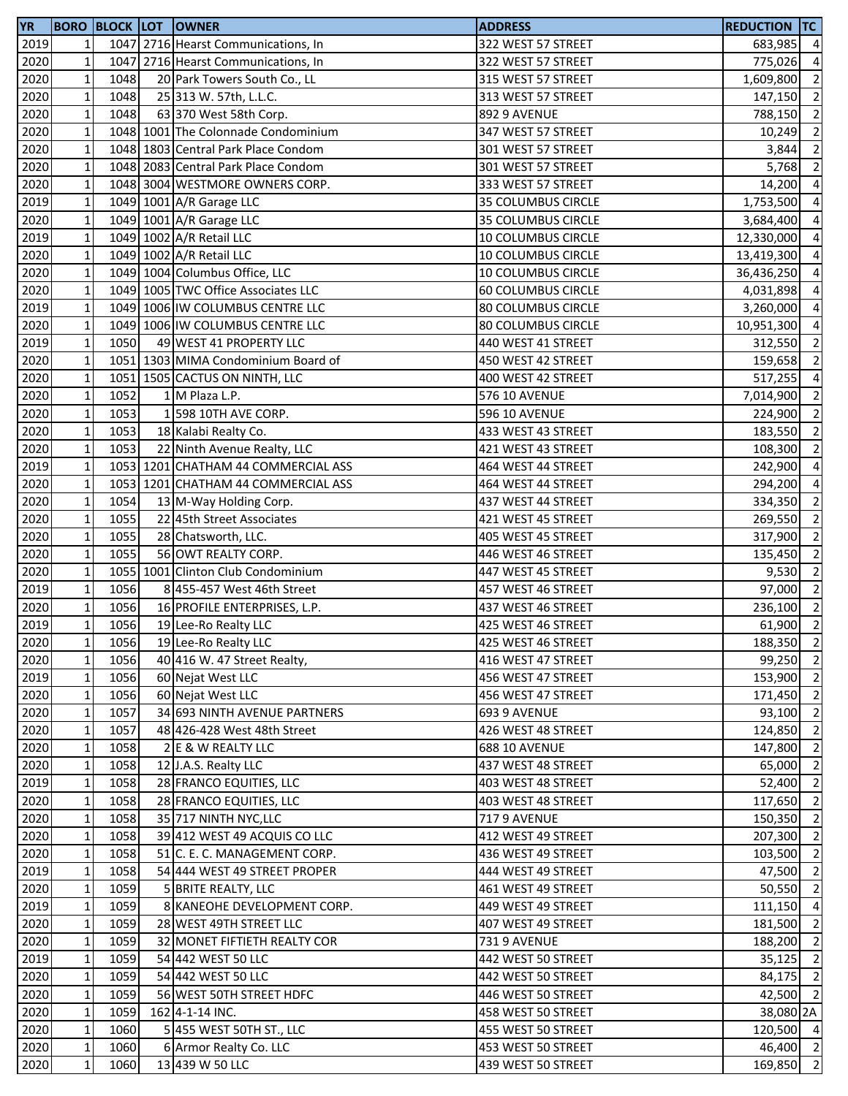| <b>YR</b>         |              |      | <b>BORO BLOCK LOT OWNER</b>         | <b>ADDRESS</b>                           | <b>REDUCTION TC</b> |                |
|-------------------|--------------|------|-------------------------------------|------------------------------------------|---------------------|----------------|
| 2019              | $\mathbf{1}$ |      | 1047 2716 Hearst Communications, In | 322 WEST 57 STREET                       | 683,985             | $\overline{4}$ |
| 2020              | $\mathbf 1$  |      | 1047 2716 Hearst Communications, In | 322 WEST 57 STREET                       | 775,026             | $\overline{4}$ |
| 2020              | $\mathbf 1$  | 1048 | 20 Park Towers South Co., LL        | 315 WEST 57 STREET                       | 1,609,800           | $\overline{2}$ |
| 2020              | $\mathbf 1$  | 1048 | 25 313 W. 57th, L.L.C.              | 313 WEST 57 STREET                       | 147,150 2           |                |
| 2020              | $\mathbf 1$  | 1048 | 63 370 West 58th Corp.              | 892 9 AVENUE                             | 788,150             | $\overline{2}$ |
| 2020              | $\mathbf 1$  |      | 1048 1001 The Colonnade Condominium | 347 WEST 57 STREET                       | 10,249              | $\overline{2}$ |
| 2020              | $\mathbf 1$  |      | 1048 1803 Central Park Place Condom | 301 WEST 57 STREET                       | 3,844               | $\overline{2}$ |
| 2020              | $\mathbf 1$  |      | 1048 2083 Central Park Place Condom | 301 WEST 57 STREET                       | 5,768               | $\overline{2}$ |
| 2020              | $\mathbf 1$  |      | 1048 3004 WESTMORE OWNERS CORP.     | 333 WEST 57 STREET                       | 14,200              | $\overline{4}$ |
| 2019              | $\mathbf 1$  |      | 1049 1001 A/R Garage LLC            | 35 COLUMBUS CIRCLE                       | 1,753,500           | $\overline{4}$ |
| 2020              | $\mathbf 1$  |      | 1049 1001 A/R Garage LLC            | 35 COLUMBUS CIRCLE                       | 3,684,400           | $\overline{4}$ |
| 2019              | $\mathbf 1$  |      | 1049 1002 A/R Retail LLC            | 10 COLUMBUS CIRCLE                       | 12,330,000 4        |                |
| 2020              | $\mathbf 1$  |      | 1049 1002 A/R Retail LLC            | 10 COLUMBUS CIRCLE                       | 13,419,300 4        |                |
| 2020              | $\mathbf 1$  |      | 1049 1004 Columbus Office, LLC      | 10 COLUMBUS CIRCLE                       | 36,436,250 4        |                |
| 2020              | $\mathbf 1$  |      | 1049 1005 TWC Office Associates LLC | 60 COLUMBUS CIRCLE                       | 4,031,898           | $\overline{4}$ |
| 2019              | $\mathbf 1$  |      | 1049 1006 IW COLUMBUS CENTRE LLC    | 80 COLUMBUS CIRCLE                       | 3,260,000           | $\overline{4}$ |
| 2020              | $\mathbf 1$  |      | 1049 1006 IW COLUMBUS CENTRE LLC    | 80 COLUMBUS CIRCLE                       | 10,951,300          | $\overline{4}$ |
| 2019              | $\mathbf 1$  | 1050 | 49 WEST 41 PROPERTY LLC             | 440 WEST 41 STREET                       | 312,550             | $\overline{2}$ |
| 2020              | $\mathbf 1$  |      | 1051 1303 MIMA Condominium Board of | 450 WEST 42 STREET                       | 159,658             | $\overline{2}$ |
| 2020              | $\mathbf 1$  |      | 1051 1505 CACTUS ON NINTH, LLC      | 400 WEST 42 STREET                       | 517,255             | $\overline{4}$ |
| 2020              | $\mathbf 1$  | 1052 | 1 M Plaza L.P.                      | 576 10 AVENUE                            | 7,014,900 2         |                |
| 2020              | $\mathbf 1$  | 1053 | 1 598 10TH AVE CORP.                | 596 10 AVENUE                            | 224,900             | $\overline{2}$ |
| 2020              | $\mathbf 1$  | 1053 | 18 Kalabi Realty Co.                | 433 WEST 43 STREET                       | 183,550             | $\overline{2}$ |
| 2020              | $\mathbf 1$  | 1053 | 22 Ninth Avenue Realty, LLC         | 421 WEST 43 STREET                       | 108,300             | $\overline{2}$ |
| 2019              | $\mathbf 1$  |      | 1053 1201 CHATHAM 44 COMMERCIAL ASS | 464 WEST 44 STREET                       | 242,900             | $\overline{4}$ |
|                   | $\mathbf 1$  |      | 1053 1201 CHATHAM 44 COMMERCIAL ASS |                                          |                     | $\overline{4}$ |
| 2020<br>2020      | $\mathbf 1$  | 1054 |                                     | 464 WEST 44 STREET<br>437 WEST 44 STREET | 294,200<br>334,350  | $\overline{2}$ |
|                   | $\mathbf 1$  | 1055 | 13 M-Way Holding Corp.              |                                          |                     | $\overline{2}$ |
| 2020              | $\mathbf 1$  | 1055 | 22 45th Street Associates           | 421 WEST 45 STREET                       | 269,550             |                |
| 2020              |              |      | 28 Chatsworth, LLC.                 | 405 WEST 45 STREET                       | 317,900 2           |                |
| 2020              | $\mathbf 1$  | 1055 | 56 OWT REALTY CORP.                 | 446 WEST 46 STREET                       | 135,450             | $\overline{2}$ |
| 2020              | $\mathbf 1$  |      | 1055 1001 Clinton Club Condominium  | 447 WEST 45 STREET                       | 9,530               | $\overline{2}$ |
| 2019              | $\mathbf 1$  | 1056 | 8 455-457 West 46th Street          | 457 WEST 46 STREET                       | 97,000              | $\overline{2}$ |
| 2020              | $\mathbf 1$  | 1056 | 16 PROFILE ENTERPRISES, L.P.        | 437 WEST 46 STREET                       | 236,100             | $\overline{2}$ |
| 2019              | $\mathbf 1$  | 1056 | 19 Lee-Ro Realty LLC                | 425 WEST 46 STREET                       | 61,900              | $\overline{2}$ |
| 2020              | 11           | 1056 | 19 Lee-Ro Realty LLC                | 425 WEST 46 STREET                       | 188,350 2           |                |
| 2020              | $\mathbf 1$  | 1056 | 40 416 W. 47 Street Realty,         | 416 WEST 47 STREET                       | 99,250 2            |                |
| 2019              | $\mathbf 1$  | 1056 | 60 Nejat West LLC                   | 456 WEST 47 STREET                       | 153,900 2           |                |
| 2020              | $\mathbf 1$  | 1056 | 60 Nejat West LLC                   | 456 WEST 47 STREET                       | 171,450 2           |                |
| 2020              | $\mathbf 1$  | 1057 | 34 693 NINTH AVENUE PARTNERS        | 693 9 AVENUE                             | 93,100 2            |                |
| 2020              | $\mathbf 1$  | 1057 | 48 426-428 West 48th Street         | 426 WEST 48 STREET                       | 124,850 2           |                |
| 2020              | $\mathbf 1$  | 1058 | 2 E & W REALTY LLC                  | <b>688 10 AVENUE</b>                     | 147,800 2           |                |
| 2020              | $\mathbf 1$  | 1058 | 12 J.A.S. Realty LLC                | 437 WEST 48 STREET                       | 65,000              | $\overline{2}$ |
| 2019              | $\mathbf 1$  | 1058 | 28 FRANCO EQUITIES, LLC             | 403 WEST 48 STREET                       | 52,400              | $\overline{2}$ |
| 2020              | $\mathbf 1$  | 1058 | 28 FRANCO EQUITIES, LLC             | 403 WEST 48 STREET                       | 117,650 2           |                |
| 2020              | $\mathbf 1$  | 1058 | 35 717 NINTH NYC, LLC               | 717 9 AVENUE                             | 150,350 2           |                |
| $\overline{20}20$ | $\mathbf 1$  | 1058 | 39 412 WEST 49 ACQUIS CO LLC        | 412 WEST 49 STREET                       | 207,300 2           |                |
| 2020              | $\mathbf 1$  | 1058 | 51 C. E. C. MANAGEMENT CORP.        | 436 WEST 49 STREET                       | 103,500             | $\overline{2}$ |
| 2019              | $\mathbf 1$  | 1058 | 54 444 WEST 49 STREET PROPER        | 444 WEST 49 STREET                       | 47,500              | $\overline{2}$ |
| 2020              | $\mathbf 1$  | 1059 | 5 BRITE REALTY, LLC                 | 461 WEST 49 STREET                       | 50,550              | $\overline{2}$ |
| 2019              | $\mathbf 1$  | 1059 | 8 KANEOHE DEVELOPMENT CORP.         | 449 WEST 49 STREET                       | 111,150             | $\overline{4}$ |
| 2020              | $\mathbf 1$  | 1059 | 28 WEST 49TH STREET LLC             | 407 WEST 49 STREET                       | 181,500             | $\overline{2}$ |
| 2020              | $\mathbf 1$  | 1059 | 32 MONET FIFTIETH REALTY COR        | <b>731 9 AVENUE</b>                      | 188,200             | $\overline{2}$ |
| 2019              | $\mathbf 1$  | 1059 | 54 442 WEST 50 LLC                  | 442 WEST 50 STREET                       | 35,125              | $\overline{2}$ |
| 2020              | $\mathbf 1$  | 1059 | 54 442 WEST 50 LLC                  | 442 WEST 50 STREET                       | 84,175 2            |                |
| 2020              | $\mathbf 1$  | 1059 | 56 WEST 50TH STREET HDFC            | 446 WEST 50 STREET                       | 42,500 2            |                |
| 2020              | $\mathbf 1$  | 1059 | 162 4-1-14 INC.                     | 458 WEST 50 STREET                       | 38,080 2A           |                |
| 2020              | $\mathbf 1$  | 1060 | 5 455 WEST 50TH ST., LLC            | 455 WEST 50 STREET                       | 120,500 4           |                |
| 2020              | $\mathbf 1$  | 1060 | 6 Armor Realty Co. LLC              | 453 WEST 50 STREET                       | 46,400 2            |                |
| 2020              | $\mathbf 1$  | 1060 | 13 439 W 50 LLC                     | 439 WEST 50 STREET                       | 169,850 2           |                |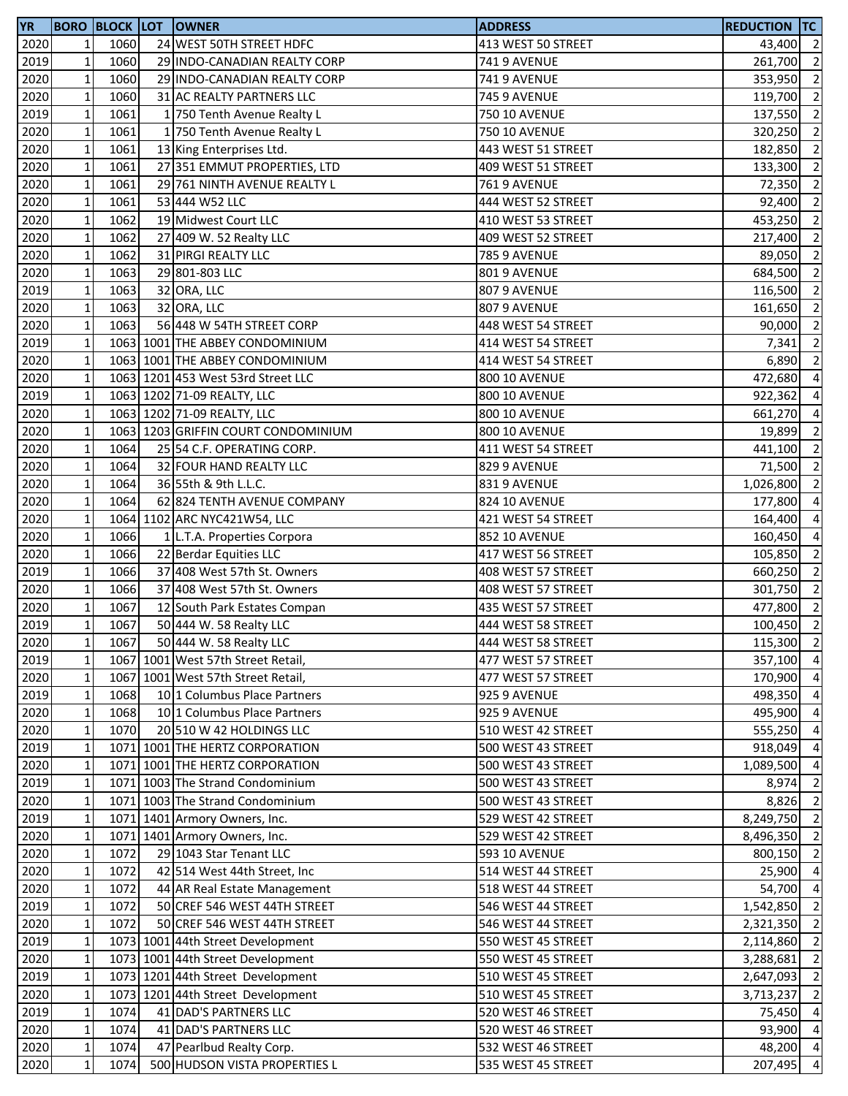| <b>YR</b> |                 |      | <b>BORO BLOCK LOT OWNER</b>         | <b>ADDRESS</b>       | <b>REDUCTION TC</b> |                |
|-----------|-----------------|------|-------------------------------------|----------------------|---------------------|----------------|
| 2020      | $1\overline{ }$ | 1060 | 24 WEST 50TH STREET HDFC            | 413 WEST 50 STREET   | 43,400 2            |                |
| 2019      | $1\overline{ }$ | 1060 | 29 INDO-CANADIAN REALTY CORP        | <b>741 9 AVENUE</b>  | 261,700             | $\overline{2}$ |
| 2020      | $\mathbf 1$     | 1060 | 29 INDO-CANADIAN REALTY CORP        | <b>741 9 AVENUE</b>  | 353,950             | $\overline{2}$ |
| 2020      | $\mathbf 1$     | 1060 | 31 AC REALTY PARTNERS LLC           | <b>745 9 AVENUE</b>  | 119,700             | $\overline{2}$ |
| 2019      | $\mathbf{1}$    | 1061 | 1 750 Tenth Avenue Realty L         | 750 10 AVENUE        | 137,550 2           |                |
| 2020      | $\mathbf 1$     | 1061 | 1 750 Tenth Avenue Realty L         | <b>750 10 AVENUE</b> | 320,250             | $\overline{2}$ |
| 2020      | $\mathbf 1$     | 1061 | 13 King Enterprises Ltd.            | 443 WEST 51 STREET   | 182,850             | $\overline{2}$ |
| 2020      | $\mathbf 1$     | 1061 | 27 351 EMMUT PROPERTIES, LTD        | 409 WEST 51 STREET   | 133,300             | $\overline{2}$ |
| 2020      | $\mathbf 1$     | 1061 | 29 761 NINTH AVENUE REALTY L        | <b>761 9 AVENUE</b>  | 72,350              | $\overline{2}$ |
| 2020      | $\mathbf 1$     | 1061 | 53 444 W52 LLC                      | 444 WEST 52 STREET   | 92,400              | $\overline{2}$ |
| 2020      | $\mathbf 1$     | 1062 | 19 Midwest Court LLC                | 410 WEST 53 STREET   | 453,250             | $\overline{2}$ |
| 2020      | $\mathbf 1$     | 1062 | 27 409 W. 52 Realty LLC             | 409 WEST 52 STREET   |                     | $\overline{2}$ |
|           |                 | 1062 |                                     |                      | 217,400             |                |
| 2020      | $\mathbf 1$     |      | 31 PIRGI REALTY LLC                 | <b>785 9 AVENUE</b>  | 89,050              | $\overline{2}$ |
| 2020      | $1\,$           | 1063 | 29 801-803 LLC                      | 801 9 AVENUE         | 684,500             | $\overline{2}$ |
| 2019      | $\mathbf 1$     | 1063 | 32 ORA, LLC                         | 807 9 AVENUE         | 116,500             | $\overline{2}$ |
| 2020      | $\mathbf 1$     | 1063 | 32 ORA, LLC                         | 807 9 AVENUE         | 161,650             | $\overline{2}$ |
| 2020      | $\mathbf 1$     | 1063 | 56 448 W 54TH STREET CORP           | 448 WEST 54 STREET   | 90,000              | $\overline{2}$ |
| 2019      | $\mathbf{1}$    |      | 1063 1001 THE ABBEY CONDOMINIUM     | 414 WEST 54 STREET   | 7,341               | $\overline{2}$ |
| 2020      | $\mathbf{1}$    |      | 1063 1001 THE ABBEY CONDOMINIUM     | 414 WEST 54 STREET   | 6,890               | $\overline{2}$ |
| 2020      | $\mathbf 1$     |      | 1063 1201 453 West 53rd Street LLC  | <b>800 10 AVENUE</b> | 472,680             | $\overline{4}$ |
| 2019      | $\mathbf{1}$    |      | 1063 1202 71-09 REALTY, LLC         | <b>800 10 AVENUE</b> | 922,362             | $\overline{4}$ |
| 2020      | $\mathbf{1}$    |      | 1063 1202 71-09 REALTY, LLC         | <b>800 10 AVENUE</b> | 661,270 4           |                |
| 2020      | $\mathbf 1$     |      | 1063 1203 GRIFFIN COURT CONDOMINIUM | <b>800 10 AVENUE</b> | 19,899              | $\overline{2}$ |
| 2020      | $\mathbf 1$     | 1064 | 25 54 C.F. OPERATING CORP.          | 411 WEST 54 STREET   | 441,100             | $\overline{2}$ |
| 2020      | $\mathbf 1$     | 1064 | 32 FOUR HAND REALTY LLC             | 829 9 AVENUE         | 71,500              | $\overline{2}$ |
| 2020      | $\mathbf{1}$    | 1064 | 36 55th & 9th L.L.C.                | 831 9 AVENUE         | 1,026,800           | $\overline{2}$ |
| 2020      | $\mathbf 1$     | 1064 | 62 824 TENTH AVENUE COMPANY         | 824 10 AVENUE        | 177,800             | $\overline{4}$ |
| 2020      | $\mathbf 1$     |      | 1064 1102 ARC NYC421W54, LLC        | 421 WEST 54 STREET   | 164,400             | $\overline{4}$ |
| 2020      | $\mathbf 1$     | 1066 | 1 L.T.A. Properties Corpora         | 852 10 AVENUE        | 160,450             | $\overline{4}$ |
| 2020      | $\mathbf 1$     | 1066 | 22 Berdar Equities LLC              | 417 WEST 56 STREET   | 105,850             | $\overline{2}$ |
| 2019      | $\mathbf 1$     | 1066 | 37 408 West 57th St. Owners         | 408 WEST 57 STREET   | 660,250             | $\overline{2}$ |
| 2020      | $\mathbf 1$     | 1066 | 37 408 West 57th St. Owners         | 408 WEST 57 STREET   | 301,750             | $\overline{2}$ |
|           | $\mathbf 1$     | 1067 |                                     |                      |                     | $\overline{2}$ |
| 2020      | $\mathbf{1}$    |      | 12 South Park Estates Compan        | 435 WEST 57 STREET   | 477,800             | $\overline{2}$ |
| 2019      |                 | 1067 | 50 444 W. 58 Realty LLC             | 444 WEST 58 STREET   | 100,450             |                |
| 2020      | $1\vert$        | 1067 | 50 444 W. 58 Realty LLC             | 444 WEST 58 STREET   | 115,300             | $\overline{2}$ |
| 2019      | $1\overline{ }$ |      | 1067 1001 West 57th Street Retail,  | 477 WEST 57 STREET   | 357,100 4           |                |
| 2020      | $1\,$           |      | 1067 1001 West 57th Street Retail,  | 477 WEST 57 STREET   | 170,900 4           |                |
| 2019      | $\mathbf 1$     | 1068 | 10 1 Columbus Place Partners        | 925 9 AVENUE         | 498,350 4           |                |
| 2020      | $\mathbf 1$     | 1068 | 10 1 Columbus Place Partners        | 925 9 AVENUE         | 495,900 4           |                |
| 2020      | $\mathbf 1$     | 1070 | 20 510 W 42 HOLDINGS LLC            | 510 WEST 42 STREET   | 555,250             | $\overline{4}$ |
| 2019      | $\mathbf 1$     |      | 1071 1001 THE HERTZ CORPORATION     | 500 WEST 43 STREET   | 918,049             | $\overline{4}$ |
| 2020      | $\mathbf 1$     |      | 1071 1001 THE HERTZ CORPORATION     | 500 WEST 43 STREET   | 1,089,500           | $\overline{4}$ |
| 2019      | $\mathbf 1$     |      | 1071 1003 The Strand Condominium    | 500 WEST 43 STREET   | 8,974               | $\overline{2}$ |
| 2020      | $\mathbf{1}$    |      | 1071 1003 The Strand Condominium    | 500 WEST 43 STREET   | 8,826               | $\overline{2}$ |
| 2019      | $\mathbf 1$     |      | 1071 1401 Armory Owners, Inc.       | 529 WEST 42 STREET   | 8,249,750           | $\overline{2}$ |
| 2020      | $\mathbf{1}$    |      | 1071 1401 Armory Owners, Inc.       | 529 WEST 42 STREET   | 8,496,350           | $\overline{2}$ |
| 2020      | $1\overline{ }$ | 1072 | 29 1043 Star Tenant LLC             | 593 10 AVENUE        | 800,150 2           |                |
| 2020      | $1\overline{ }$ | 1072 | 42 514 West 44th Street, Inc        | 514 WEST 44 STREET   | 25,900 4            |                |
| 2020      | $\mathbf{1}$    | 1072 | 44 AR Real Estate Management        | 518 WEST 44 STREET   | 54,700              | $\overline{4}$ |
| 2019      | $\mathbf{1}$    | 1072 | 50 CREF 546 WEST 44TH STREET        | 546 WEST 44 STREET   | 1,542,850           | $\overline{2}$ |
| 2020      | $\mathbf{1}$    | 1072 | 50 CREF 546 WEST 44TH STREET        | 546 WEST 44 STREET   | 2,321,350           | $\overline{2}$ |
| 2019      | $1\overline{ }$ |      | 1073 1001 44th Street Development   | 550 WEST 45 STREET   | 2,114,860           | $\overline{2}$ |
| 2020      | $\mathbf 1$     |      | 1073 1001 44th Street Development   | 550 WEST 45 STREET   | 3,288,681           | $\overline{2}$ |
| 2019      | $\mathbf 1$     |      | 1073 1201 44th Street Development   | 510 WEST 45 STREET   | 2,647,093           | $\overline{2}$ |
| 2020      | $\mathbf{1}$    |      | 1073 1201 44th Street Development   | 510 WEST 45 STREET   | 3,713,237           | $\overline{2}$ |
| 2019      | $\mathbf 1$     | 1074 | 41 DAD'S PARTNERS LLC               | 520 WEST 46 STREET   | 75,450 4            |                |
| 2020      | $\mathbf 1$     | 1074 | 41 DAD'S PARTNERS LLC               | 520 WEST 46 STREET   | 93,900              | $\overline{4}$ |
|           |                 |      |                                     |                      |                     |                |
| 2020      | $\mathbf 1$     | 1074 | 47 Pearlbud Realty Corp.            | 532 WEST 46 STREET   | 48,200 4            |                |
| 2020      | $\mathbf 1$     | 1074 | 500 HUDSON VISTA PROPERTIES L       | 535 WEST 45 STREET   | 207,495             | $\overline{4}$ |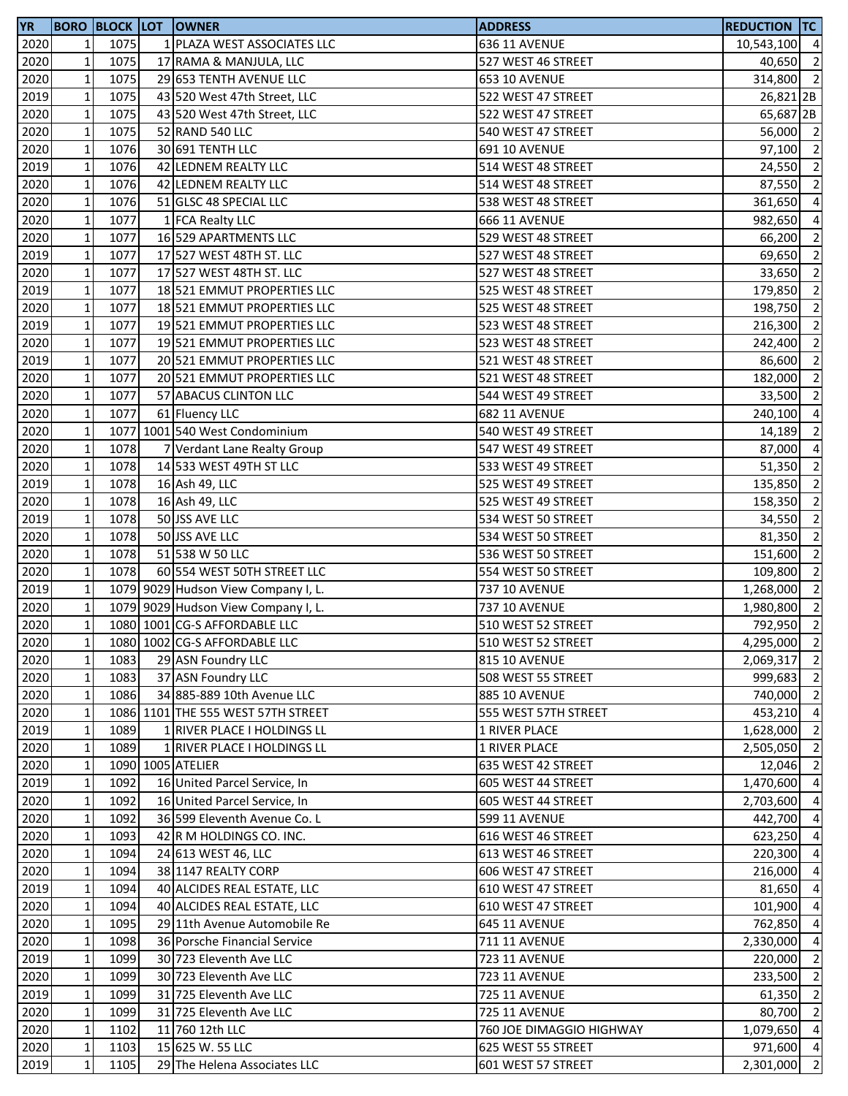| <b>YR</b>         |                |      | <b>BORO BLOCK LOT OWNER</b>         | <b>ADDRESS</b>           | <b>REDUCTION TC</b>  |                |
|-------------------|----------------|------|-------------------------------------|--------------------------|----------------------|----------------|
| 2020              | $\mathbf{1}$   | 1075 | 1 PLAZA WEST ASSOCIATES LLC         | 636 11 AVENUE            | 10,543,100 4         |                |
| 2020              | $\mathbf 1$    | 1075 | 17 RAMA & MANJULA, LLC              | 527 WEST 46 STREET       | 40,650 2             |                |
| 2020              | $\mathbf 1$    | 1075 | 29 653 TENTH AVENUE LLC             | <b>653 10 AVENUE</b>     | 314,800 2            |                |
| 2019              | $\mathbf 1$    | 1075 | 43 520 West 47th Street, LLC        | 522 WEST 47 STREET       | 26,821 <sub>2B</sub> |                |
| 2020              | $\mathbf 1$    | 1075 | 43 520 West 47th Street, LLC        | 522 WEST 47 STREET       | 65,687 <sub>2B</sub> |                |
| 2020              | $\mathbf 1$    | 1075 | 52 RAND 540 LLC                     | 540 WEST 47 STREET       | 56,000 2             |                |
| 2020              | $\mathbf 1$    | 1076 | 30 691 TENTH LLC                    | 691 10 AVENUE            | 97,100               | $\overline{2}$ |
| 2019              | $\mathbf 1$    | 1076 | 42 LEDNEM REALTY LLC                | 514 WEST 48 STREET       | 24,550               | $\overline{2}$ |
| 2020              | $\mathbf 1$    | 1076 | 42 LEDNEM REALTY LLC                | 514 WEST 48 STREET       | 87,550               | $\overline{2}$ |
| 2020              | $\mathbf 1$    | 1076 | 51 GLSC 48 SPECIAL LLC              | 538 WEST 48 STREET       | 361,650              | $\overline{4}$ |
| 2020              | $\mathbf 1$    | 1077 | 1 FCA Realty LLC                    | <b>666 11 AVENUE</b>     | 982,650              | $\overline{4}$ |
| 2020              | $\mathbf 1$    | 1077 | 16 529 APARTMENTS LLC               | 529 WEST 48 STREET       | 66,200               | $\overline{2}$ |
| 2019              | $\mathbf 1$    | 1077 | 17 527 WEST 48TH ST. LLC            | 527 WEST 48 STREET       | 69,650               | $\overline{2}$ |
| 2020              | $\mathbf 1$    | 1077 | 17 527 WEST 48TH ST. LLC            | 527 WEST 48 STREET       | 33,650               | $\overline{2}$ |
| 2019              | $\mathbf 1$    | 1077 | 18 521 EMMUT PROPERTIES LLC         | 525 WEST 48 STREET       | 179,850              | $\overline{2}$ |
| 2020              | $\mathbf 1$    | 1077 | 18 521 EMMUT PROPERTIES LLC         | 525 WEST 48 STREET       | 198,750              | $\overline{2}$ |
| 2019              | $\mathbf 1$    | 1077 | 19 521 EMMUT PROPERTIES LLC         | 523 WEST 48 STREET       | 216,300              | $\overline{2}$ |
| 2020              | $\mathbf 1$    | 1077 | 19 521 EMMUT PROPERTIES LLC         | 523 WEST 48 STREET       |                      | $\overline{2}$ |
|                   | $\mathbf 1$    | 1077 | 20 521 EMMUT PROPERTIES LLC         |                          | 242,400              | $\overline{2}$ |
| 2019              |                |      |                                     | 521 WEST 48 STREET       | 86,600               |                |
| 2020              | $\mathbf 1$    | 1077 | 20 521 EMMUT PROPERTIES LLC         | 521 WEST 48 STREET       | 182,000 2            |                |
| $\overline{20}$   | $\mathbf 1$    | 1077 | 57 ABACUS CLINTON LLC               | 544 WEST 49 STREET       | $33,500$ 2           |                |
| 2020              | $\mathbf 1$    | 1077 | 61 Fluency LLC                      | <b>682 11 AVENUE</b>     | 240,100              | $\overline{4}$ |
| 2020              | $\mathbf 1$    |      | 1077 1001 540 West Condominium      | 540 WEST 49 STREET       | 14,189               | $\overline{2}$ |
| 2020              | $\mathbf 1$    | 1078 | 7 Verdant Lane Realty Group         | 547 WEST 49 STREET       | 87,000               | $\overline{4}$ |
| 2020              | $\mathbf 1$    | 1078 | 14 533 WEST 49TH ST LLC             | 533 WEST 49 STREET       | 51,350               | $\overline{2}$ |
| 2019              | $\mathbf 1$    | 1078 | 16 Ash 49, LLC                      | 525 WEST 49 STREET       | 135,850              | $\overline{2}$ |
| 2020              | $\mathbf 1$    | 1078 | 16 Ash 49, LLC                      | 525 WEST 49 STREET       | 158,350              | $\overline{2}$ |
| 2019              | $\mathbf 1$    | 1078 | 50 JSS AVE LLC                      | 534 WEST 50 STREET       | 34,550               | $\overline{2}$ |
| 2020              | $\mathbf 1$    | 1078 | 50 JSS AVE LLC                      | 534 WEST 50 STREET       | 81,350               | $\overline{2}$ |
| 2020              | $\mathbf 1$    | 1078 | 51 538 W 50 LLC                     | 536 WEST 50 STREET       | 151,600              | $\overline{2}$ |
| 2020              | $\mathbf 1$    | 1078 | 60 554 WEST 50TH STREET LLC         | 554 WEST 50 STREET       | 109,800              | $\overline{2}$ |
| 2019              | $\mathbf 1$    |      | 1079 9029 Hudson View Company I, L. | 737 10 AVENUE            | 1,268,000            | $\overline{2}$ |
| 2020              | $\mathbf 1$    |      | 1079 9029 Hudson View Company I, L. | 737 10 AVENUE            | 1,980,800            | $\overline{2}$ |
| 2020              | $\mathbf 1$    |      | 1080 1001 CG-S AFFORDABLE LLC       | 510 WEST 52 STREET       | 792,950              | $\overline{2}$ |
| 2020              | 1 <sub>l</sub> |      | 1080 1002 CG-S AFFORDABLE LLC       | 510 WEST 52 STREET       | 4,295,000 2          |                |
| 2020              | $\mathbf 1$    | 1083 | 29 ASN Foundry LLC                  | <b>815 10 AVENUE</b>     | 2,069,317 2          |                |
| 2020              | $\mathbf 1$    | 1083 | 37 ASN Foundry LLC                  | 508 WEST 55 STREET       | 999,683 2            |                |
| 2020              | $\mathbf 1$    | 1086 | 34 885-889 10th Avenue LLC          | <b>885 10 AVENUE</b>     | 740,000 2            |                |
| 2020              | $\mathbf 1$    |      | 1086 1101 THE 555 WEST 57TH STREET  | 555 WEST 57TH STREET     | 453,210 4            |                |
| 2019              | $\mathbf 1$    | 1089 | 1 RIVER PLACE I HOLDINGS LL         | 1 RIVER PLACE            | 1,628,000 2          |                |
| 2020              | $\mathbf 1$    | 1089 | 1 RIVER PLACE I HOLDINGS LL         | 1 RIVER PLACE            | 2,505,050 2          |                |
| 2020              | $\mathbf 1$    |      | 1090 1005 ATELIER                   | 635 WEST 42 STREET       | 12,046               | $\overline{2}$ |
| 2019              | $\mathbf 1$    | 1092 | 16 United Parcel Service, In        | 605 WEST 44 STREET       | 1,470,600            | $\overline{4}$ |
| 2020              | $\mathbf 1$    | 1092 | 16 United Parcel Service, In        | 605 WEST 44 STREET       | 2,703,600 4          |                |
| 2020              | $\mathbf 1$    | 1092 | 36 599 Eleventh Avenue Co. L        | 599 11 AVENUE            | 442,700              | $\overline{4}$ |
| $\overline{20}20$ | $\mathbf 1$    | 1093 | 42 R M HOLDINGS CO. INC.            | 616 WEST 46 STREET       | 623,250 4            |                |
| 2020              | $\mathbf 1$    | 1094 | 24 613 WEST 46, LLC                 | 613 WEST 46 STREET       | 220,300 4            |                |
| 2020              | $\mathbf 1$    | 1094 | 38 1147 REALTY CORP                 | 606 WEST 47 STREET       | 216,000              | $\overline{4}$ |
| 2019              | $\mathbf 1$    | 1094 | 40 ALCIDES REAL ESTATE, LLC         | 610 WEST 47 STREET       | 81,650               | $\overline{4}$ |
| 2020              | $\mathbf 1$    | 1094 | 40 ALCIDES REAL ESTATE, LLC         | 610 WEST 47 STREET       | 101,900              | $\overline{4}$ |
| 2020              | $\mathbf 1$    | 1095 | 29 11th Avenue Automobile Re        | 645 11 AVENUE            | 762,850              | $\overline{4}$ |
| 2020              | $\mathbf 1$    | 1098 | 36 Porsche Financial Service        | 711 11 AVENUE            | 2,330,000            | $\overline{4}$ |
|                   | $\mathbf 1$    | 1099 | 30 723 Eleventh Ave LLC             | 723 11 AVENUE            | 220,000              | $\overline{2}$ |
| 2019              |                |      |                                     |                          | 233,500 2            |                |
| 2020              | $\mathbf 1$    | 1099 | 30 723 Eleventh Ave LLC             | <b>723 11 AVENUE</b>     |                      |                |
| 2019              | $\mathbf 1$    | 1099 | 31 725 Eleventh Ave LLC             | <b>725 11 AVENUE</b>     | 61,350               | $\overline{2}$ |
| 2020              | $\mathbf 1$    | 1099 | 31 725 Eleventh Ave LLC             | <b>725 11 AVENUE</b>     | 80,700               | $\overline{2}$ |
| 2020              | $\mathbf 1$    | 1102 | 11 760 12th LLC                     | 760 JOE DIMAGGIO HIGHWAY | 1,079,650            | $\overline{4}$ |
| 2020              | $\mathbf 1$    | 1103 | 15 625 W. 55 LLC                    | 625 WEST 55 STREET       | 971,600 4            |                |
| 2019              | $\mathbf 1$    | 1105 | 29 The Helena Associates LLC        | 601 WEST 57 STREET       | 2,301,000            | $\overline{2}$ |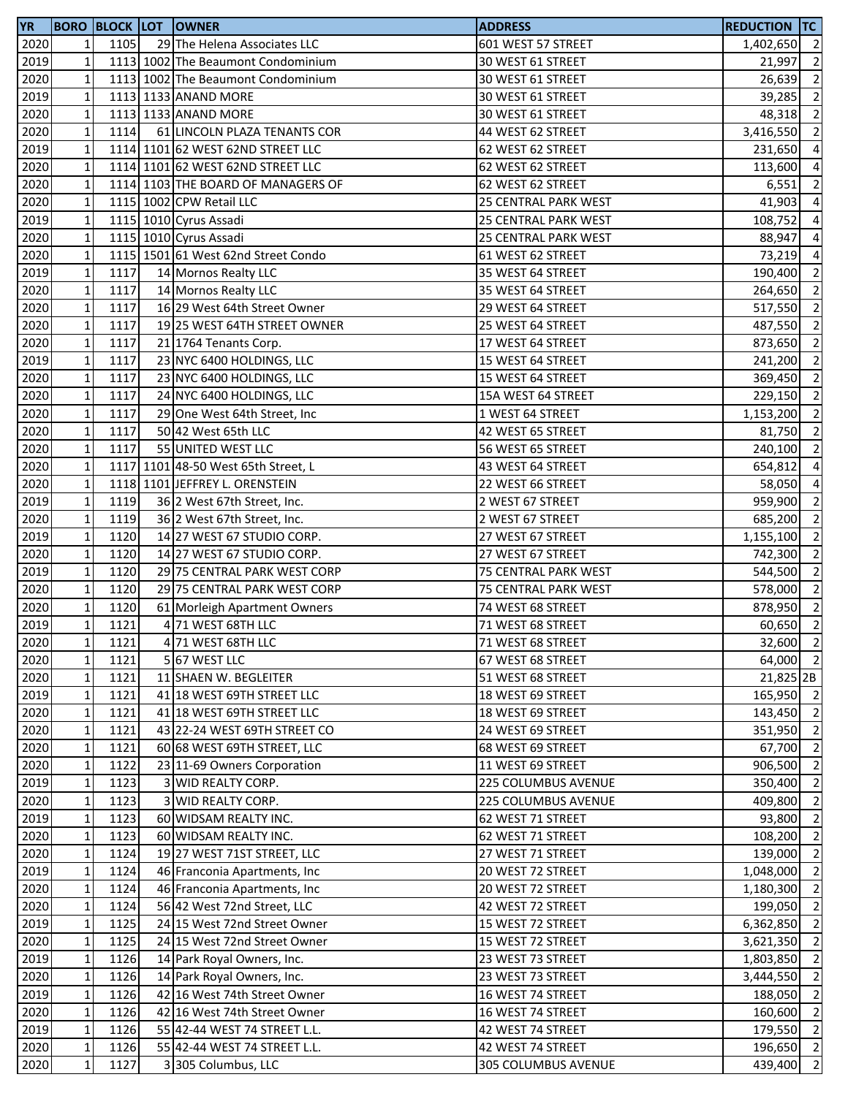| <b>YR</b> |                 |      | <b>BORO BLOCK LOT OWNER</b>                        | <b>ADDRESS</b>       | <b>REDUCTION TC</b> |                |
|-----------|-----------------|------|----------------------------------------------------|----------------------|---------------------|----------------|
| 2020      | 1 <sup>1</sup>  | 1105 | 29 The Helena Associates LLC                       | 601 WEST 57 STREET   | 1,402,650           | $\overline{2}$ |
| 2019      | $\mathbf 1$     |      | 1113 1002 The Beaumont Condominium                 | 30 WEST 61 STREET    | 21,997              | $\overline{2}$ |
| 2020      | $\mathbf{1}$    |      | 1113 1002 The Beaumont Condominium                 | 30 WEST 61 STREET    | 26,639              | $\overline{2}$ |
| 2019      | $1\overline{ }$ |      | 1113 1133 ANAND MORE                               | 30 WEST 61 STREET    | 39,285              | $\overline{2}$ |
| 2020      | $\mathbf 1$     |      | 1113 1133 ANAND MORE                               | 30 WEST 61 STREET    | 48,318              | $\overline{2}$ |
| 2020      | $\mathbf 1$     | 1114 | 61 LINCOLN PLAZA TENANTS COR                       | 44 WEST 62 STREET    | 3,416,550           | $\overline{2}$ |
| 2019      | $\mathbf 1$     |      | 1114 1101 62 WEST 62ND STREET LLC                  | 62 WEST 62 STREET    | 231,650             | $\overline{4}$ |
| 2020      | $\mathbf{1}$    |      | 1114 1101 62 WEST 62ND STREET LLC                  | 62 WEST 62 STREET    | 113,600             | $\overline{4}$ |
| 2020      | $\mathbf{1}$    |      | 1114 1103 THE BOARD OF MANAGERS OF                 | 62 WEST 62 STREET    | 6,551               | $\overline{2}$ |
| 2020      | $\mathbf{1}$    |      | 1115 1002 CPW Retail LLC                           | 25 CENTRAL PARK WEST | 41,903              | $\overline{4}$ |
|           | $\mathbf 1$     |      |                                                    | 25 CENTRAL PARK WEST |                     | $\overline{4}$ |
| 2019      |                 |      | 1115 1010 Cyrus Assadi                             |                      | 108,752             |                |
| 2020      | $\mathbf 1$     |      | 1115 1010 Cyrus Assadi                             | 25 CENTRAL PARK WEST | 88,947              | $\overline{4}$ |
| 2020      | $\mathbf 1$     |      | 1115 1501 61 West 62nd Street Condo                | 61 WEST 62 STREET    | 73,219 4            |                |
| 2019      | $\mathbf 1$     | 1117 | 14 Mornos Realty LLC                               | 35 WEST 64 STREET    | 190,400             | $\overline{2}$ |
| 2020      | $\mathbf 1$     | 1117 | 14 Mornos Realty LLC                               | 35 WEST 64 STREET    | 264,650             | $\overline{2}$ |
| 2020      | $\mathbf 1$     | 1117 | 16 29 West 64th Street Owner                       | 29 WEST 64 STREET    | 517,550             | $\overline{2}$ |
| 2020      | $\mathbf 1$     | 1117 | 19 25 WEST 64TH STREET OWNER                       | 25 WEST 64 STREET    | 487,550             | $\overline{2}$ |
| 2020      | $\mathbf 1$     | 1117 | 21 1764 Tenants Corp.                              | 17 WEST 64 STREET    | 873,650             | $\overline{2}$ |
| 2019      | $\mathbf 1$     | 1117 | 23 NYC 6400 HOLDINGS, LLC                          | 15 WEST 64 STREET    | 241,200             | $\overline{2}$ |
| 2020      | $\mathbf 1$     | 1117 | 23 NYC 6400 HOLDINGS, LLC                          | 15 WEST 64 STREET    | 369,450             | $\overline{2}$ |
| 2020      | $\mathbf{1}$    | 1117 | 24 NYC 6400 HOLDINGS, LLC                          | 15A WEST 64 STREET   | 229,150 2           |                |
| 2020      | $\mathbf 1$     | 1117 | 29 One West 64th Street, Inc                       | 1 WEST 64 STREET     | 1,153,200 2         |                |
| 2020      | $\mathbf 1$     | 1117 | 50 42 West 65th LLC                                | 42 WEST 65 STREET    | 81,750              | $\overline{2}$ |
| 2020      | $\mathbf 1$     | 1117 | 55 UNITED WEST LLC                                 | 56 WEST 65 STREET    | 240,100             | $\overline{2}$ |
| 2020      | $\mathbf 1$     |      | 1117 1101 48-50 West 65th Street, L                | 43 WEST 64 STREET    | 654,812             | $\overline{a}$ |
| 2020      | $1\overline{ }$ |      | 1118 1101 JEFFREY L. ORENSTEIN                     | 22 WEST 66 STREET    | 58,050              | $\overline{4}$ |
| 2019      | $\mathbf 1$     | 1119 | 36 2 West 67th Street, Inc.                        | 2 WEST 67 STREET     | 959,900             | $\overline{2}$ |
| 2020      | $\mathbf 1$     | 1119 | 36 2 West 67th Street, Inc.                        | 2 WEST 67 STREET     | 685,200             | $\overline{2}$ |
| 2019      | $\mathbf 1$     | 1120 | 14 27 WEST 67 STUDIO CORP.                         | 27 WEST 67 STREET    | 1,155,100           | $\overline{2}$ |
| 2020      | $\mathbf 1$     | 1120 | 14 27 WEST 67 STUDIO CORP.                         | 27 WEST 67 STREET    | 742,300             | $\overline{2}$ |
| 2019      | $\mathbf 1$     | 1120 | 29 75 CENTRAL PARK WEST CORP                       | 75 CENTRAL PARK WEST | 544,500             | $\overline{2}$ |
| 2020      | $\mathbf 1$     | 1120 | 29 75 CENTRAL PARK WEST CORP                       | 75 CENTRAL PARK WEST | 578,000             | $\overline{2}$ |
| 2020      | $\mathbf 1$     | 1120 |                                                    | 74 WEST 68 STREET    | 878,950             | $\overline{2}$ |
| 2019      | $\mathbf{1}$    | 1121 | 61 Morleigh Apartment Owners<br>4 71 WEST 68TH LLC | 71 WEST 68 STREET    | 60,650              | $\overline{2}$ |
|           |                 |      | 4 71 WEST 68TH LLC                                 | 71 WEST 68 STREET    |                     |                |
| 2020      | 11              | 1121 |                                                    |                      | 32,600 2            |                |
| 2020      | $\mathbf 1$     | 1121 | 5 67 WEST LLC                                      | 67 WEST 68 STREET    | 64,000 2            |                |
| 2020      | $\mathbf 1$     | 1121 | 11 SHAEN W. BEGLEITER                              | 51 WEST 68 STREET    | 21,825 2B           |                |
| 2019      | $\mathbf{1}$    | 1121 | 41 18 WEST 69TH STREET LLC                         | 18 WEST 69 STREET    | 165,950 2           |                |
| 2020      | $\mathbf 1$     | 1121 | 41 18 WEST 69TH STREET LLC                         | 18 WEST 69 STREET    | 143,450 2           |                |
| 2020      | $\mathbf 1$     | 1121 | 43 22-24 WEST 69TH STREET CO                       | 24 WEST 69 STREET    | 351,950 2           |                |
| 2020      | $\mathbf 1$     | 1121 | 60 68 WEST 69TH STREET, LLC                        | 68 WEST 69 STREET    | 67,700 2            |                |
| 2020      | $\mathbf{1}$    | 1122 | 23 11-69 Owners Corporation                        | 11 WEST 69 STREET    | 906,500             | $\overline{2}$ |
| 2019      | $\mathbf{1}$    | 1123 | 3 WID REALTY CORP.                                 | 225 COLUMBUS AVENUE  | 350,400             | $\overline{2}$ |
| 2020      | $\mathbf{1}$    | 1123 | 3 WID REALTY CORP.                                 | 225 COLUMBUS AVENUE  | 409,800             | $\overline{2}$ |
| 2019      | $1\overline{ }$ | 1123 | 60 WIDSAM REALTY INC.                              | 62 WEST 71 STREET    | 93,800              | $\overline{2}$ |
| 2020      | $\mathbf{1}$    | 1123 | 60 WIDSAM REALTY INC.                              | 62 WEST 71 STREET    | 108,200 2           |                |
| 2020      | $1\overline{ }$ | 1124 | 19 27 WEST 71ST STREET, LLC                        | 27 WEST 71 STREET    | 139,000             | $\overline{2}$ |
| 2019      | $\mathbf{1}$    | 1124 | 46 Franconia Apartments, Inc.                      | 20 WEST 72 STREET    | 1,048,000           | $\overline{2}$ |
| 2020      | $\mathbf{1}$    | 1124 | 46 Franconia Apartments, Inc.                      | 20 WEST 72 STREET    | 1,180,300           | $\overline{2}$ |
| 2020      | $\mathbf{1}$    | 1124 | 56 42 West 72nd Street, LLC                        | 42 WEST 72 STREET    | 199,050             | $\overline{2}$ |
| 2019      | $1\overline{ }$ | 1125 | 24 15 West 72nd Street Owner                       | 15 WEST 72 STREET    | 6,362,850           | $\overline{2}$ |
| 2020      | $\mathbf 1$     | 1125 | 24 15 West 72nd Street Owner                       | 15 WEST 72 STREET    | 3,621,350           | $\overline{2}$ |
| 2019      | $\mathbf 1$     | 1126 | 14 Park Royal Owners, Inc.                         | 23 WEST 73 STREET    | 1,803,850           | $\overline{2}$ |
| 2020      | $1\overline{ }$ | 1126 | 14 Park Royal Owners, Inc.                         | 23 WEST 73 STREET    | 3,444,550           | $\overline{2}$ |
| 2019      | $\mathbf 1$     | 1126 | 42 16 West 74th Street Owner                       | 16 WEST 74 STREET    | 188,050             | $\overline{2}$ |
| 2020      | $\mathbf 1$     | 1126 | 42 16 West 74th Street Owner                       | 16 WEST 74 STREET    | 160,600             | $\overline{2}$ |
|           | $\mathbf 1$     | 1126 |                                                    |                      |                     | $\overline{2}$ |
| 2019      |                 |      | 55 42-44 WEST 74 STREET L.L.                       | 42 WEST 74 STREET    | 179,550             | $\overline{2}$ |
| 2020      | $1\overline{ }$ | 1126 | 55 42-44 WEST 74 STREET L.L.                       | 42 WEST 74 STREET    | 196,650             |                |
| 2020      | $\mathbf{1}$    | 1127 | 3 305 Columbus, LLC                                | 305 COLUMBUS AVENUE  | 439,400             | $\overline{2}$ |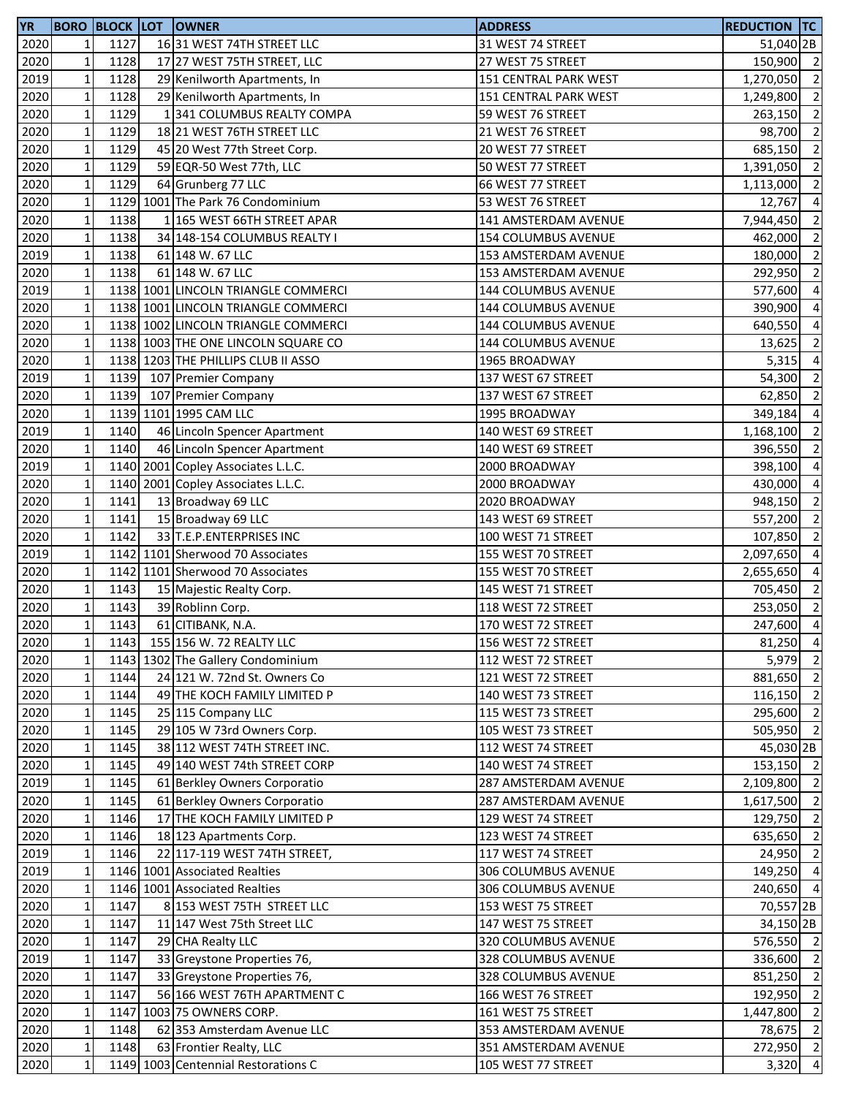| <b>YR</b>    |                            |              | <b>BORO BLOCK LOT OWNER</b>                                    | <b>ADDRESS</b>                               | <b>REDUCTION TC</b>     |                          |
|--------------|----------------------------|--------------|----------------------------------------------------------------|----------------------------------------------|-------------------------|--------------------------|
| 2020         | 1                          | 1127         | 1631 WEST 74TH STREET LLC                                      | 31 WEST 74 STREET                            | 51,040 <sub>2B</sub>    |                          |
| 2020         | $\mathbf 1$                | 1128         | 17 27 WEST 75TH STREET, LLC                                    | 27 WEST 75 STREET                            | 150,900 2               |                          |
| 2019         | $\mathbf 1$                | 1128         | 29 Kenilworth Apartments, In                                   | 151 CENTRAL PARK WEST                        | 1,270,050               | $\overline{\phantom{a}}$ |
| 2020         | $\mathbf 1$                | 1128         | 29 Kenilworth Apartments, In                                   | 151 CENTRAL PARK WEST                        | 1,249,800               | $\overline{\phantom{a}}$ |
| 2020         | $\mathbf 1$                | 1129         | 1341 COLUMBUS REALTY COMPA                                     | 59 WEST 76 STREET                            | 263,150                 | $\overline{\phantom{a}}$ |
| 2020         | $\mathbf 1$                | 1129         | 18 21 WEST 76TH STREET LLC                                     | 21 WEST 76 STREET                            | 98,700                  | $\overline{2}$           |
| 2020         | $\mathbf 1$                | 1129         | 45 20 West 77th Street Corp.                                   | 20 WEST 77 STREET                            | 685,150                 | $\overline{2}$           |
| 2020         | $\mathbf 1$                | 1129         | 59 EQR-50 West 77th, LLC                                       | 50 WEST 77 STREET                            | 1,391,050               | $\overline{\phantom{a}}$ |
| 2020         | $\mathbf 1$                | 1129         | 64 Grunberg 77 LLC                                             | 66 WEST 77 STREET                            | 1,113,000               | $\overline{2}$           |
| 2020         | $\mathbf 1$                |              | 1129 1001 The Park 76 Condominium                              | 53 WEST 76 STREET                            | 12,767                  | $\overline{4}$           |
| 2020         | $\mathbf 1$                | 1138         | 1 165 WEST 66TH STREET APAR                                    | 141 AMSTERDAM AVENUE                         | 7,944,450               | $\overline{\phantom{0}}$ |
| 2020         | $\mathbf 1$                | 1138         | 34 148-154 COLUMBUS REALTY I                                   | 154 COLUMBUS AVENUE                          | 462,000                 | $\overline{2}$           |
| 2019         | $\mathbf 1$                | 1138         | 61 148 W. 67 LLC                                               | 153 AMSTERDAM AVENUE                         | 180,000                 | $\overline{\phantom{a}}$ |
| 2020         | $\mathbf 1$                | 1138         | 61 148 W. 67 LLC                                               | 153 AMSTERDAM AVENUE                         | 292,950                 | $\overline{\phantom{0}}$ |
| 2019         | $\mathbf 1$                |              | 1138 1001 LINCOLN TRIANGLE COMMERCI                            | 144 COLUMBUS AVENUE                          | 577,600                 | $\overline{4}$           |
| 2020         | $\mathbf 1$                |              | 1138 1001 LINCOLN TRIANGLE COMMERCI                            | 144 COLUMBUS AVENUE                          | 390,900                 | $\overline{4}$           |
| 2020         | $\mathbf{1}$               |              | 1138 1002 LINCOLN TRIANGLE COMMERCI                            | <b>144 COLUMBUS AVENUE</b>                   | 640,550                 | $\overline{4}$           |
| 2020         | $\mathbf 1$                |              | 1138 1003 THE ONE LINCOLN SQUARE CO                            | 144 COLUMBUS AVENUE                          | 13,625                  | $\overline{2}$           |
| 2020         | $\mathbf 1$                |              | 1138 1203 THE PHILLIPS CLUB II ASSO                            | 1965 BROADWAY                                | 5,315                   | $\overline{4}$           |
| 2019         | $\mathbf 1$                | 1139         | 107 Premier Company                                            | 137 WEST 67 STREET                           | 54,300                  | $\overline{2}$           |
| 2020         | $\mathbf 1$                | 1139         | 107 Premier Company                                            | 137 WEST 67 STREET                           | 62,850                  | $\overline{2}$           |
| 2020         | $\mathbf 1$                |              | 1139 1101 1995 CAM LLC                                         | 1995 BROADWAY                                | 349,184                 | $\overline{4}$           |
| 2019         | $\mathbf 1$                | 1140         | 46 Lincoln Spencer Apartment                                   | 140 WEST 69 STREET                           | 1,168,100               | $\overline{2}$           |
| 2020         | $\mathbf 1$                | 1140         | 46 Lincoln Spencer Apartment                                   | 140 WEST 69 STREET                           | 396,550                 | $\overline{2}$           |
| 2019         | $\mathbf 1$                |              | 1140 2001 Copley Associates L.L.C.                             | 2000 BROADWAY                                | 398,100                 | $\overline{4}$           |
| 2020         | $\mathbf 1$                |              | 1140 2001 Copley Associates L.L.C.                             | 2000 BROADWAY                                | 430,000                 | $\overline{4}$           |
| 2020         | $\mathbf 1$                | 1141         | 13 Broadway 69 LLC                                             | 2020 BROADWAY                                | 948,150                 | $\overline{2}$           |
| 2020         | $\mathbf 1$                | 1141         | 15 Broadway 69 LLC                                             | 143 WEST 69 STREET                           | 557,200                 | $\overline{\phantom{a}}$ |
| 2020         | $\mathbf 1$                | 1142         | 33 T.E.P.ENTERPRISES INC                                       | 100 WEST 71 STREET                           | 107,850                 | $\overline{\phantom{a}}$ |
| 2019         | $\mathbf 1$                |              | 1142 1101 Sherwood 70 Associates                               | 155 WEST 70 STREET                           | 2,097,650 4             |                          |
| 2020         | $\mathbf 1$                |              | 1142 1101 Sherwood 70 Associates                               | 155 WEST 70 STREET                           | 2,655,650               | $\overline{4}$           |
| 2020         | $\mathbf 1$                | 1143         | 15 Majestic Realty Corp.                                       | 145 WEST 71 STREET                           | 705,450                 | $\overline{\phantom{0}}$ |
| 2020         | $\mathbf 1$                | 1143         | 39 Roblinn Corp.                                               | 118 WEST 72 STREET                           | 253,050 2               |                          |
| 2020         | $\mathbf 1$                | 1143         | 61 CITIBANK, N.A.                                              | 170 WEST 72 STREET                           | 247,600 4               |                          |
| 2020         | $1\vert$                   |              | 1143 155 156 W. 72 REALTY LLC                                  | 156 WEST 72 STREET                           | 81,250 4                |                          |
| 2020         | $\mathbf 1$                |              | 1143 1302 The Gallery Condominium                              | 112 WEST 72 STREET                           | 5,979 2                 |                          |
| 2020         | $\mathbf 1$                | 1144         | 24 121 W. 72nd St. Owners Co                                   | 121 WEST 72 STREET                           | 881,650 2               |                          |
| 2020         | $\mathbf 1$                | 1144         | 49 THE KOCH FAMILY LIMITED P                                   | 140 WEST 73 STREET                           | 116,150 2               |                          |
| 2020         | $\mathbf 1$                | 1145         | 25 115 Company LLC                                             | 115 WEST 73 STREET                           | 295,600 2               |                          |
| 2020         | $\mathbf 1$                | 1145         | 29 105 W 73rd Owners Corp.                                     | 105 WEST 73 STREET                           | 505,950 2               |                          |
| 2020         | $\mathbf 1$                | 1145         | 38 112 WEST 74TH STREET INC.                                   | 112 WEST 74 STREET                           | 45,030 2B               |                          |
| 2020         | $\mathbf 1$                | 1145         | 49 140 WEST 74th STREET CORP                                   | 140 WEST 74 STREET                           | 153,150 2               |                          |
| 2019         | $\mathbf 1$                | 1145         | 61 Berkley Owners Corporatio                                   | 287 AMSTERDAM AVENUE                         | 2,109,800               | $\overline{\phantom{0}}$ |
| 2020         | $\mathbf 1$                | 1145         | 61 Berkley Owners Corporatio                                   | 287 AMSTERDAM AVENUE                         | 1,617,500               | $\overline{\phantom{0}}$ |
| 2020         | $\mathbf{1}$               | 1146         | 17 THE KOCH FAMILY LIMITED P                                   | 129 WEST 74 STREET                           | 129,750                 | $\overline{\phantom{a}}$ |
| 2020         | $\mathbf{1}$               | 1146         | 18 123 Apartments Corp.                                        | 123 WEST 74 STREET                           | 635,650 2               |                          |
| 2019         | $\mathbf 1$                | 1146         | 22 117-119 WEST 74TH STREET,                                   | 117 WEST 74 STREET                           | 24,950 2                |                          |
| 2019         | $\mathbf 1$                |              | 1146 1001 Associated Realties                                  | 306 COLUMBUS AVENUE                          | 149,250 4               |                          |
| 2020         | $\mathbf 1$                |              | 1146 1001 Associated Realties                                  | 306 COLUMBUS AVENUE                          | 240,650 4               |                          |
| 2020         | $\mathbf 1$                | 1147         | 8 153 WEST 75TH STREET LLC                                     | 153 WEST 75 STREET                           | 70,557 <sub>2B</sub>    |                          |
| 2020         | $\mathbf 1$                | 1147         | 11 147 West 75th Street LLC                                    | 147 WEST 75 STREET                           | 34,150 2B               |                          |
| 2020         | $\mathbf 1$                | 1147         | 29 CHA Realty LLC                                              | 320 COLUMBUS AVENUE                          | 576,550 2               |                          |
| 2019         | $\mathbf 1$                | 1147         | 33 Greystone Properties 76,                                    | 328 COLUMBUS AVENUE                          | 336,600 2               |                          |
| 2020         | $\mathbf 1$                | 1147         | 33 Greystone Properties 76,                                    | 328 COLUMBUS AVENUE                          | 851,250 2               |                          |
| 2020         | $\mathbf 1$                | 1147         | 56 166 WEST 76TH APARTMENT C                                   | 166 WEST 76 STREET                           | 192,950 2               |                          |
| 2020         | $\mathbf 1$                |              | 1147 1003 75 OWNERS CORP.                                      | 161 WEST 75 STREET                           | 1,447,800 2             |                          |
| 2020<br>2020 | $\mathbf 1$<br>$\mathbf 1$ | 1148<br>1148 | 62 353 Amsterdam Avenue LLC                                    | 353 AMSTERDAM AVENUE<br>351 AMSTERDAM AVENUE | 78,675 2<br>$272,950$ 2 |                          |
|              | $\mathbf 1$                |              | 63 Frontier Realty, LLC<br>1149 1003 Centennial Restorations C |                                              | 3,320 4                 |                          |
| 2020         |                            |              |                                                                | 105 WEST 77 STREET                           |                         |                          |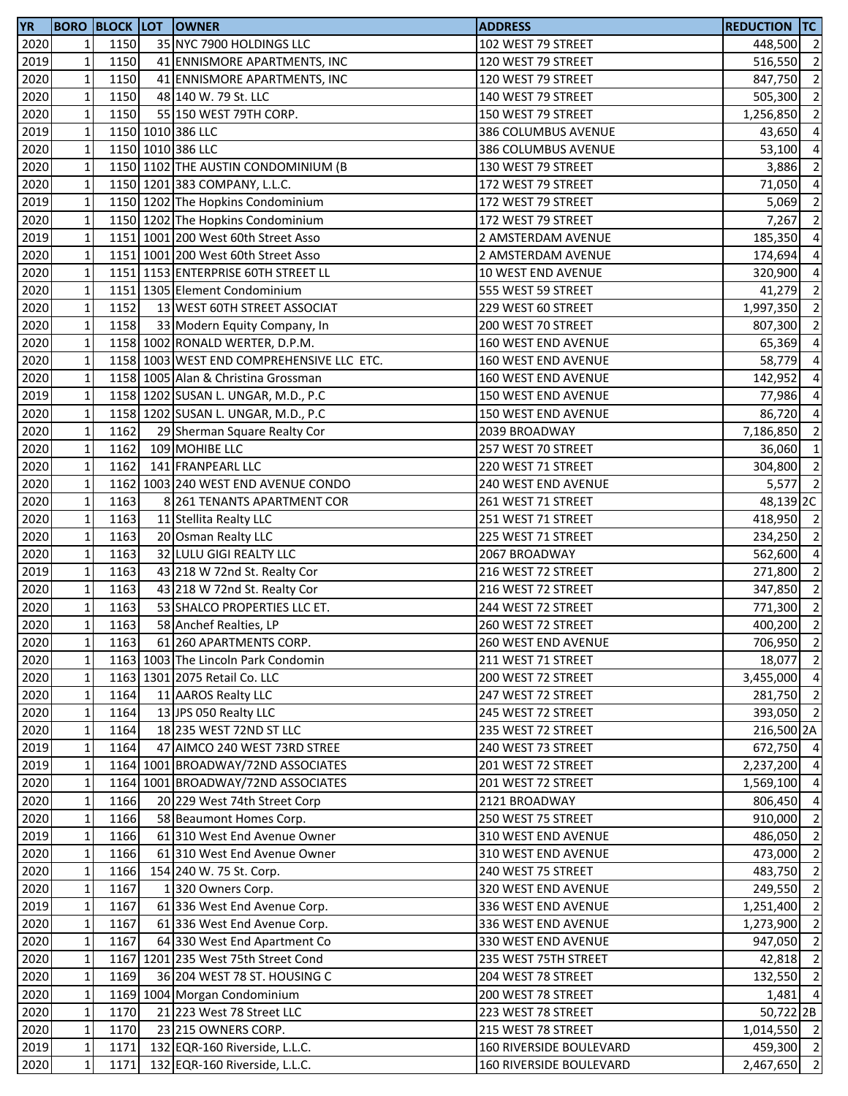| <b>YR</b> |                            |      | <b>BORO BLOCK LOT OWNER</b>                                         | <b>ADDRESS</b>                            | <b>REDUCTION TC</b>        |                          |
|-----------|----------------------------|------|---------------------------------------------------------------------|-------------------------------------------|----------------------------|--------------------------|
| 2020      | 1                          | 1150 | 35 NYC 7900 HOLDINGS LLC                                            | 102 WEST 79 STREET                        | 448,500 2                  |                          |
| 2019      | $\mathbf 1$                | 1150 | 41 ENNISMORE APARTMENTS, INC                                        | 120 WEST 79 STREET                        | 516,550 2                  |                          |
| 2020      | $\mathbf{1}$               | 1150 | 41 ENNISMORE APARTMENTS, INC                                        | 120 WEST 79 STREET                        | 847,750 2                  |                          |
| 2020      | $\mathbf 1$                | 1150 | 48 140 W. 79 St. LLC                                                | 140 WEST 79 STREET                        | 505,300 2                  |                          |
| 2020      | $\mathbf 1$                | 1150 | 55 150 WEST 79TH CORP.                                              | 150 WEST 79 STREET                        | 1,256,850 2                |                          |
| 2019      | $\mathbf 1$                |      | 1150 1010 386 LLC                                                   | 386 COLUMBUS AVENUE                       | 43,650 4                   |                          |
| 2020      | $\mathbf 1$                |      | 1150 1010 386 LLC                                                   | 386 COLUMBUS AVENUE                       | 53,100 4                   |                          |
| 2020      | $\mathbf 1$                |      | 1150 1102 THE AUSTIN CONDOMINIUM (B                                 | 130 WEST 79 STREET                        | 3,886                      | $\overline{\phantom{0}}$ |
| 2020      | $\mathbf{1}$               |      | 1150 1201 383 COMPANY, L.L.C.                                       | 172 WEST 79 STREET                        | 71,050 4                   |                          |
| 2019      | $\mathbf{1}$               |      | 1150 1202 The Hopkins Condominium                                   | 172 WEST 79 STREET                        | 5,069                      | $\overline{2}$           |
| 2020      | $\mathbf 1$                |      | 1150 1202 The Hopkins Condominium                                   | 172 WEST 79 STREET                        | 7,267                      | $\overline{2}$           |
| 2019      | $\mathbf 1$                |      | 1151 1001 200 West 60th Street Asso                                 | 2 AMSTERDAM AVENUE                        | 185,350                    | $\overline{4}$           |
| 2020      | $\mathbf 1$                |      | 1151 1001 200 West 60th Street Asso                                 | 2 AMSTERDAM AVENUE                        | 174,694                    | $\overline{4}$           |
| 2020      | $\mathbf 1$                |      | 1151 1153 ENTERPRISE 60TH STREET LL                                 | <b>10 WEST END AVENUE</b>                 | 320,900 4                  |                          |
| 2020      | $\mathbf 1$                |      | 1151 1305 Element Condominium                                       | 555 WEST 59 STREET                        | 41,279 2                   |                          |
| 2020      | $\mathbf 1$                | 1152 | 13 WEST 60TH STREET ASSOCIAT                                        | 229 WEST 60 STREET                        | 1,997,350                  | $\overline{2}$           |
| 2020      | $\mathbf 1$                | 1158 | 33 Modern Equity Company, In                                        | 200 WEST 70 STREET                        | 807,300                    | $\overline{2}$           |
| 2020      | $\mathbf 1$                |      | 1158 1002 RONALD WERTER, D.P.M.                                     | 160 WEST END AVENUE                       | 65,369                     | $\overline{a}$           |
| 2020      | $\mathbf 1$                |      | 1158 1003 WEST END COMPREHENSIVE LLC ETC.                           | 160 WEST END AVENUE                       | 58,779                     | $\overline{4}$           |
| 2020      | $\mathbf 1$                |      | 1158 1005 Alan & Christina Grossman                                 | 160 WEST END AVENUE                       | 142,952                    | $\overline{a}$           |
| 2019      | $\mathbf{1}$               |      | 1158 1202 SUSAN L. UNGAR, M.D., P.C                                 | 150 WEST END AVENUE                       | 77,986 4                   |                          |
| 2020      | $\mathbf 1$                |      | 1158 1202 SUSAN L. UNGAR, M.D., P.C                                 | 150 WEST END AVENUE                       | 86,720 4                   |                          |
| 2020      | $\mathbf 1$                | 1162 | 29 Sherman Square Realty Cor                                        | 2039 BROADWAY                             | 7,186,850 2                |                          |
| 2020      | $\mathbf 1$                | 1162 | 109 MOHIBE LLC                                                      | 257 WEST 70 STREET                        | 36,060 1                   |                          |
| 2020      | $\mathbf 1$                | 1162 | 141 FRANPEARL LLC                                                   | 220 WEST 71 STREET                        | 304,800 2                  |                          |
| 2020      | $\mathbf{1}$               |      | 1162 1003 240 WEST END AVENUE CONDO                                 | 240 WEST END AVENUE                       | 5,577                      | $\overline{2}$           |
| 2020      | $\mathbf 1$                | 1163 | 8 261 TENANTS APARTMENT COR                                         | 261 WEST 71 STREET                        | 48,139 <sub>2C</sub>       |                          |
| 2020      | $\mathbf 1$                | 1163 | 11 Stellita Realty LLC                                              | 251 WEST 71 STREET                        | 418,950 2                  |                          |
| 2020      | $\mathbf 1$                | 1163 | 20 Osman Realty LLC                                                 | 225 WEST 71 STREET                        | 234,250 2                  |                          |
| 2020      | $\mathbf 1$                | 1163 | 32 LULU GIGI REALTY LLC                                             | 2067 BROADWAY                             | 562,600 4                  |                          |
| 2019      | $\mathbf 1$                | 1163 | 43 218 W 72nd St. Realty Cor                                        | 216 WEST 72 STREET                        | 271,800                    | $\overline{\phantom{a}}$ |
| 2020      | $\mathbf 1$                | 1163 | 43 218 W 72nd St. Realty Cor                                        | 216 WEST 72 STREET                        | 347,850 2                  |                          |
| 2020      | $\mathbf 1$                | 1163 | 53 SHALCO PROPERTIES LLC ET.                                        | 244 WEST 72 STREET                        | 771,300 2                  |                          |
| 2020      | $\mathbf 1$                | 1163 | 58 Anchef Realties, LP                                              | 260 WEST 72 STREET                        | 400,200 2                  |                          |
| 2020      | $1\vert$                   | 1163 | 61 260 APARTMENTS CORP.                                             | 260 WEST END AVENUE                       | 706,950 2                  |                          |
| 2020      | $\mathbf 1$                |      | 1163 1003 The Lincoln Park Condomin                                 | 211 WEST 71 STREET                        | 18,077 2                   |                          |
| 2020      | $\mathbf{1}$               |      | 1163 1301 2075 Retail Co. LLC                                       | 200 WEST 72 STREET                        | 3,455,000 4                |                          |
| 2020      | $\mathbf 1$                | 1164 | 11 AAROS Realty LLC                                                 | 247 WEST 72 STREET                        | 281,750 2                  |                          |
| 2020      | $\mathbf 1$                | 1164 | 13 JPS 050 Realty LLC                                               | 245 WEST 72 STREET                        | 393,050 2                  |                          |
| 2020      | $\mathbf 1$                | 1164 | 18 235 WEST 72ND ST LLC                                             | 235 WEST 72 STREET                        | 216,500 2A                 |                          |
| 2019      | $\mathbf{1}$               | 1164 | 47 AIMCO 240 WEST 73RD STREE                                        | 240 WEST 73 STREET                        | 672,750 4                  |                          |
| 2019      | $\mathbf{1}$               |      | 1164 1001 BROADWAY/72ND ASSOCIATES                                  |                                           |                            |                          |
| 2020      | $\mathbf 1$                |      | 1164 1001 BROADWAY/72ND ASSOCIATES                                  | 201 WEST 72 STREET<br>201 WEST 72 STREET  | 2,237,200 4<br>1,569,100 4 |                          |
| 2020      | $\mathbf 1$                | 1166 | 20 229 West 74th Street Corp                                        | 2121 BROADWAY                             | 806,450                    | $\overline{4}$           |
| 2020      | $\mathbf{1}$               | 1166 | 58 Beaumont Homes Corp.                                             | 250 WEST 75 STREET                        | 910,000                    | $\overline{2}$           |
| 2019      | $\mathbf{1}$               | 1166 | 61 310 West End Avenue Owner                                        | 310 WEST END AVENUE                       | 486,050 2                  |                          |
| 2020      | $\mathbf{1}$               | 1166 | 61 310 West End Avenue Owner                                        | 310 WEST END AVENUE                       | 473,000 2                  |                          |
| 2020      | $\mathbf 1$                | 1166 |                                                                     |                                           |                            |                          |
| 2020      | $\mathbf 1$                | 1167 | 154 240 W. 75 St. Corp.<br>1320 Owners Corp.                        | 240 WEST 75 STREET<br>320 WEST END AVENUE | 483,750 2<br>249,550 2     |                          |
|           |                            |      |                                                                     |                                           |                            |                          |
| 2019      | $\mathbf 1$                | 1167 | 61 336 West End Avenue Corp.                                        | 336 WEST END AVENUE                       | 1,251,400 2                | $\overline{\phantom{a}}$ |
| 2020      | $\mathbf{1}$               | 1167 | 61 336 West End Avenue Corp.                                        | 336 WEST END AVENUE                       | 1,273,900                  |                          |
| 2020      | $\mathbf 1$<br>$\mathbf 1$ | 1167 | 64 330 West End Apartment Co<br>1167 1201 235 West 75th Street Cond | 330 WEST END AVENUE                       | 947,050<br>42,818 2        | $\overline{\phantom{a}}$ |
| 2020      |                            |      |                                                                     | 235 WEST 75TH STREET                      |                            |                          |
| 2020      | $\mathbf 1$                | 1169 | 36 204 WEST 78 ST. HOUSING C                                        | 204 WEST 78 STREET                        | 132,550 2                  |                          |
| 2020      | $\mathbf 1$                |      | 1169 1004 Morgan Condominium                                        | 200 WEST 78 STREET                        | $1,481$ 4                  |                          |
| 2020      | $\mathbf 1$                | 1170 | 21 223 West 78 Street LLC                                           | 223 WEST 78 STREET                        | 50,722 2B                  |                          |
| 2020      | $\mathbf 1$                | 1170 | 23 215 OWNERS CORP.                                                 | 215 WEST 78 STREET                        | 1,014,550 2                |                          |
| 2019      | $\mathbf 1$                | 1171 | 132 EQR-160 Riverside, L.L.C.                                       | 160 RIVERSIDE BOULEVARD                   | 459,300 2                  |                          |
| 2020      | $\mathbf 1$                | 1171 | 132 EQR-160 Riverside, L.L.C.                                       | 160 RIVERSIDE BOULEVARD                   | $2,467,650$ 2              |                          |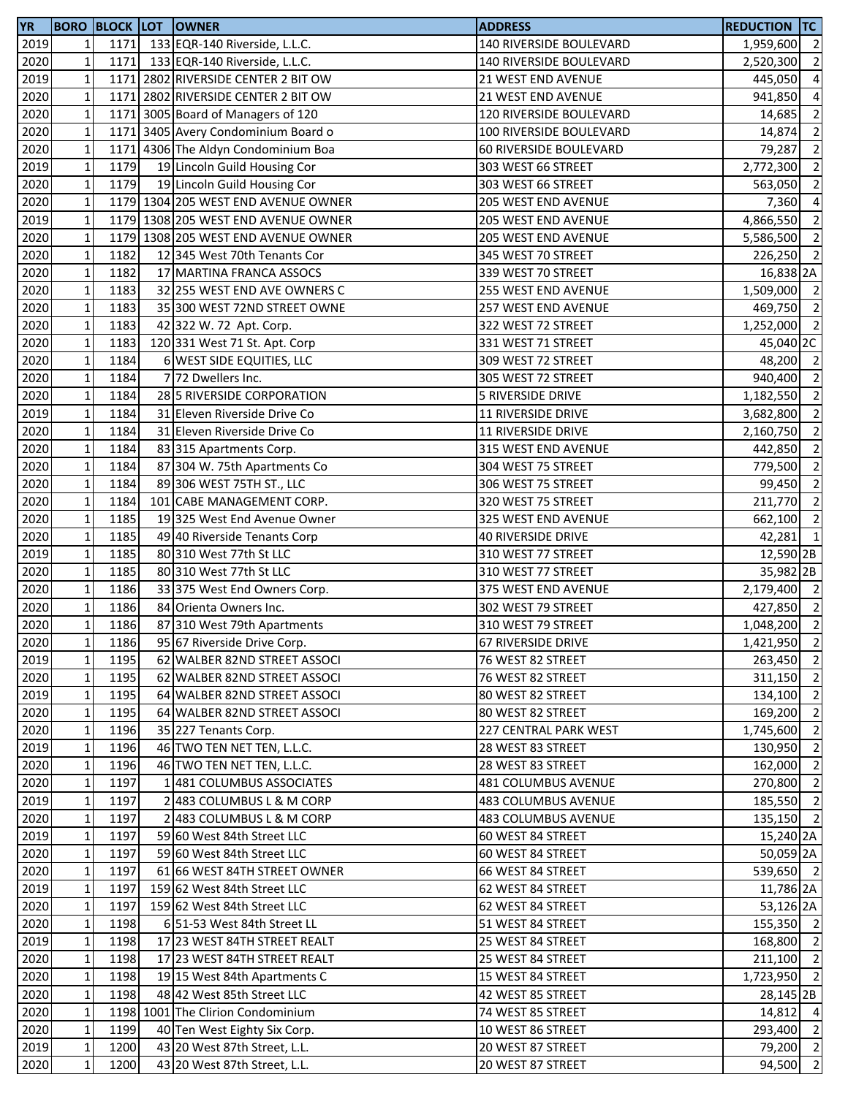| <b>YR</b> |              |      | <b>BORO BLOCK LOT OWNER</b>         | <b>ADDRESS</b>            | <b>REDUCTION TC</b>  |                |
|-----------|--------------|------|-------------------------------------|---------------------------|----------------------|----------------|
| 2019      | $\mathbf{1}$ | 1171 | 133 EQR-140 Riverside, L.L.C.       | 140 RIVERSIDE BOULEVARD   | 1,959,600            | $\overline{2}$ |
| 2020      | $\mathbf 1$  | 1171 | 133 EQR-140 Riverside, L.L.C.       | 140 RIVERSIDE BOULEVARD   | 2,520,300            | $\overline{2}$ |
| 2019      | $\mathbf 1$  |      | 1171 2802 RIVERSIDE CENTER 2 BIT OW | 21 WEST END AVENUE        | 445,050              | $\overline{4}$ |
| 2020      | $\mathbf 1$  |      | 1171 2802 RIVERSIDE CENTER 2 BIT OW | 21 WEST END AVENUE        | 941,850              | $\overline{4}$ |
| 2020      | $\mathbf 1$  |      | 1171 3005 Board of Managers of 120  | 120 RIVERSIDE BOULEVARD   | 14,685               | $\overline{2}$ |
| 2020      | $\mathbf 1$  |      | 1171 3405 Avery Condominium Board o | 100 RIVERSIDE BOULEVARD   | 14,874               | $\overline{2}$ |
| 2020      | $\mathbf 1$  |      | 1171 4306 The Aldyn Condominium Boa | 60 RIVERSIDE BOULEVARD    | 79,287               | $\overline{2}$ |
| 2019      | $\mathbf 1$  | 1179 | 19 Lincoln Guild Housing Cor        | 303 WEST 66 STREET        | 2,772,300            | $\overline{2}$ |
| 2020      | $\mathbf 1$  | 1179 | 19 Lincoln Guild Housing Cor        | 303 WEST 66 STREET        | 563,050              | $\overline{2}$ |
| 2020      | $\mathbf{1}$ |      | 1179 1304 205 WEST END AVENUE OWNER | 205 WEST END AVENUE       | 7,360                | $\overline{4}$ |
| 2019      | $\mathbf 1$  |      | 1179 1308 205 WEST END AVENUE OWNER | 205 WEST END AVENUE       | 4,866,550            | $\overline{2}$ |
| 2020      | $\mathbf 1$  |      | 1179 1308 205 WEST END AVENUE OWNER | 205 WEST END AVENUE       | 5,586,500 2          |                |
| 2020      | $\mathbf 1$  | 1182 | 12 345 West 70th Tenants Cor        | 345 WEST 70 STREET        | 226,250 2            |                |
| 2020      | $\mathbf 1$  | 1182 | 17 MARTINA FRANCA ASSOCS            | 339 WEST 70 STREET        | 16,838 2A            |                |
| 2020      | $\mathbf 1$  | 1183 | 32 255 WEST END AVE OWNERS C        | 255 WEST END AVENUE       | 1,509,000 2          |                |
| 2020      | $\mathbf 1$  | 1183 | 35 300 WEST 72ND STREET OWNE        | 257 WEST END AVENUE       | 469,750 2            |                |
| 2020      | $\mathbf 1$  | 1183 | 42 322 W. 72 Apt. Corp.             | 322 WEST 72 STREET        | 1,252,000            | $\overline{2}$ |
| 2020      | $\mathbf 1$  | 1183 | 120 331 West 71 St. Apt. Corp       | 331 WEST 71 STREET        | 45,040 2C            |                |
| 2020      | $\mathbf 1$  | 1184 | 6 WEST SIDE EQUITIES, LLC           | 309 WEST 72 STREET        | 48,200 2             |                |
| 2020      | $\mathbf 1$  | 1184 | 7 72 Dwellers Inc.                  | 305 WEST 72 STREET        | 940,400 2            |                |
| 2020      | $\mathbf 1$  | 1184 | 28 5 RIVERSIDE CORPORATION          | 5 RIVERSIDE DRIVE         | 1,182,550 2          |                |
| 2019      | $\mathbf 1$  | 1184 | 31 Eleven Riverside Drive Co        | <b>11 RIVERSIDE DRIVE</b> | 3,682,800            | $\overline{2}$ |
| 2020      | $\mathbf 1$  | 1184 | 31 Eleven Riverside Drive Co        | <b>11 RIVERSIDE DRIVE</b> | 2,160,750            | $\overline{2}$ |
| 2020      | $\mathbf 1$  | 1184 | 83 315 Apartments Corp.             | 315 WEST END AVENUE       | 442,850              | $\overline{2}$ |
| 2020      | $\mathbf 1$  | 1184 | 87 304 W. 75th Apartments Co        | 304 WEST 75 STREET        | 779,500              | $\overline{2}$ |
| 2020      | $\mathbf 1$  | 1184 | 89 306 WEST 75TH ST., LLC           | 306 WEST 75 STREET        | 99,450               | $\overline{2}$ |
| 2020      | $\mathbf 1$  | 1184 | 101 CABE MANAGEMENT CORP.           | 320 WEST 75 STREET        | 211,770              | $\overline{2}$ |
| 2020      | $\mathbf 1$  | 1185 | 19325 West End Avenue Owner         | 325 WEST END AVENUE       | 662,100              | $\overline{2}$ |
| 2020      | $\mathbf 1$  | 1185 | 49 40 Riverside Tenants Corp        | <b>40 RIVERSIDE DRIVE</b> | $42,281$ 1           |                |
| 2019      | $\mathbf 1$  | 1185 | 80 310 West 77th St LLC             | 310 WEST 77 STREET        | 12,590 2B            |                |
| 2020      | $\mathbf 1$  | 1185 | 80 310 West 77th St LLC             | 310 WEST 77 STREET        | 35,982 2B            |                |
| 2020      | $\mathbf 1$  | 1186 | 33 375 West End Owners Corp.        | 375 WEST END AVENUE       | 2,179,400 2          |                |
| 2020      | $\mathbf 1$  | 1186 | 84 Orienta Owners Inc.              | 302 WEST 79 STREET        | 427,850 2            |                |
| 2020      | $\mathbf 1$  | 1186 | 87 310 West 79th Apartments         | 310 WEST 79 STREET        | 1,048,200            | $\overline{2}$ |
| 2020      | 11           | 1186 | 95 67 Riverside Drive Corp.         | 67 RIVERSIDE DRIVE        | 1,421,950 2          |                |
| 2019      | $\mathbf 1$  | 1195 | 62 WALBER 82ND STREET ASSOCI        | 76 WEST 82 STREET         | 263,450 2            |                |
| 2020      | $\mathbf 1$  | 1195 | 62 WALBER 82ND STREET ASSOCI        | 76 WEST 82 STREET         | 311,150 2            |                |
| 2019      | $\mathbf 1$  | 1195 | 64 WALBER 82ND STREET ASSOCI        | 80 WEST 82 STREET         | 134,100 2            |                |
| 2020      | $\mathbf 1$  | 1195 | 64 WALBER 82ND STREET ASSOCI        | 80 WEST 82 STREET         | 169,200 2            |                |
| 2020      | $\mathbf 1$  | 1196 | 35 227 Tenants Corp.                | 227 CENTRAL PARK WEST     | 1,745,600 2          |                |
| 2019      | $\mathbf 1$  | 1196 | 46 TWO TEN NET TEN, L.L.C.          | 28 WEST 83 STREET         | 130,950              | $\overline{2}$ |
| 2020      | $\mathbf 1$  | 1196 | 46 TWO TEN NET TEN, L.L.C.          | 28 WEST 83 STREET         | 162,000              | $\overline{2}$ |
| 2020      | $\mathbf 1$  | 1197 | 1 481 COLUMBUS ASSOCIATES           | 481 COLUMBUS AVENUE       | 270,800 2            |                |
| 2019      | $\mathbf 1$  | 1197 | 2 483 COLUMBUS L & M CORP           | 483 COLUMBUS AVENUE       | 185,550 2            |                |
| 2020      | $\mathbf 1$  | 1197 | 2 483 COLUMBUS L & M CORP           | 483 COLUMBUS AVENUE       | 135,150 2            |                |
| 2019      | $\mathbf 1$  | 1197 | 59 60 West 84th Street LLC          | 60 WEST 84 STREET         | 15,240 2A            |                |
| 2020      | $\mathbf 1$  | 1197 | 59 60 West 84th Street LLC          | 60 WEST 84 STREET         | 50,059 2A            |                |
| 2020      | $\mathbf 1$  | 1197 | 61 66 WEST 84TH STREET OWNER        | 66 WEST 84 STREET         | 539,650 2            |                |
| 2019      | $\mathbf{1}$ | 1197 | 159 62 West 84th Street LLC         | 62 WEST 84 STREET         | 11,786 2A            |                |
| 2020      | $\mathbf 1$  | 1197 | 159 62 West 84th Street LLC         | 62 WEST 84 STREET         | 53,126 2A            |                |
| 2020      | $\mathbf{1}$ | 1198 | 6 51-53 West 84th Street LL         | 51 WEST 84 STREET         | 155,350 2            |                |
| 2019      | $\mathbf 1$  | 1198 | 17 23 WEST 84TH STREET REALT        | 25 WEST 84 STREET         | 168,800 2            |                |
| 2020      | $\mathbf 1$  | 1198 | 17 23 WEST 84TH STREET REALT        | 25 WEST 84 STREET         | 211,100              | $\overline{2}$ |
| 2020      | $\mathbf 1$  | 1198 | 19 15 West 84th Apartments C        | 15 WEST 84 STREET         | 1,723,950 2          |                |
| 2020      | $\mathbf 1$  | 1198 | 48 42 West 85th Street LLC          | 42 WEST 85 STREET         | 28,145 <sub>2B</sub> |                |
| 2020      | $\mathbf 1$  |      | 1198 1001 The Clirion Condominium   | 74 WEST 85 STREET         | 14,812 4             |                |
| 2020      | $\mathbf 1$  | 1199 | 40 Ten West Eighty Six Corp.        | 10 WEST 86 STREET         | 293,400              | $\overline{2}$ |
| 2019      | $\mathbf 1$  | 1200 | 43 20 West 87th Street, L.L.        | 20 WEST 87 STREET         | 79,200 2             |                |
| 2020      | $\mathbf 1$  | 1200 | 43 20 West 87th Street, L.L.        | 20 WEST 87 STREET         | 94,500               | $\overline{2}$ |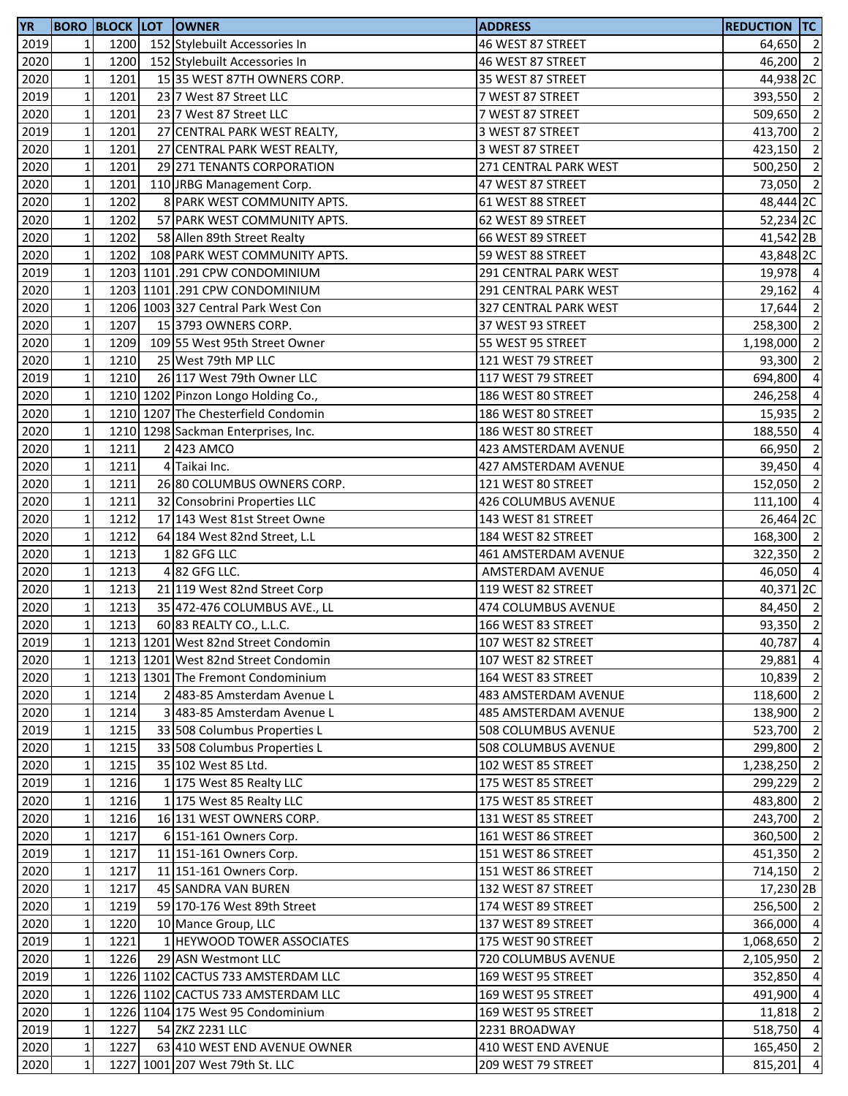| <b>YR</b> |                |      | <b>BORO BLOCK LOT OWNER</b>         | <b>ADDRESS</b>             | <b>REDUCTION TC</b>  |                |
|-----------|----------------|------|-------------------------------------|----------------------------|----------------------|----------------|
| 2019      | $\mathbf{1}$   | 1200 | 152 Stylebuilt Accessories In       | 46 WEST 87 STREET          | 64,650 2             |                |
| 2020      | $\mathbf 1$    | 1200 | 152 Stylebuilt Accessories In       | 46 WEST 87 STREET          | 46,200 2             |                |
| 2020      | $\mathbf 1$    | 1201 | 15 35 WEST 87TH OWNERS CORP.        | 35 WEST 87 STREET          | 44,938 2C            |                |
| 2019      | $\mathbf 1$    | 1201 | 23 7 West 87 Street LLC             | 7 WEST 87 STREET           | 393,550 2            |                |
| 2020      | $\mathbf 1$    | 1201 | 23 7 West 87 Street LLC             | 7 WEST 87 STREET           | 509,650              | $\overline{2}$ |
| 2019      | $\mathbf 1$    | 1201 | 27 CENTRAL PARK WEST REALTY,        | 3 WEST 87 STREET           | 413,700 2            |                |
| 2020      | $\mathbf 1$    | 1201 | 27 CENTRAL PARK WEST REALTY,        | 3 WEST 87 STREET           | 423,150              | $\overline{2}$ |
| 2020      | $\mathbf 1$    | 1201 | 29 271 TENANTS CORPORATION          | 271 CENTRAL PARK WEST      | 500,250 2            |                |
| 2020      | $\mathbf 1$    | 1201 | 110 JRBG Management Corp.           | 47 WEST 87 STREET          | 73,050               | $\overline{2}$ |
| 2020      | $\mathbf{1}$   | 1202 | 8 PARK WEST COMMUNITY APTS.         | 61 WEST 88 STREET          | 48,444 2C            |                |
| 2020      | $\mathbf 1$    | 1202 | 57 PARK WEST COMMUNITY APTS.        | 62 WEST 89 STREET          | 52,234 2C            |                |
| 2020      | $\mathbf 1$    | 1202 | 58 Allen 89th Street Realty         | 66 WEST 89 STREET          | 41,542 2B            |                |
| 2020      | $\mathbf 1$    | 1202 | 108 PARK WEST COMMUNITY APTS.       | 59 WEST 88 STREET          | 43,848 2C            |                |
| 2019      | $\mathbf 1$    |      | 1203 1101 .291 CPW CONDOMINIUM      | 291 CENTRAL PARK WEST      | 19,978 4             |                |
| 2020      | $\mathbf 1$    |      | 1203 1101 .291 CPW CONDOMINIUM      | 291 CENTRAL PARK WEST      | 29,162               | $\overline{4}$ |
| 2020      | $\mathbf 1$    |      | 1206 1003 327 Central Park West Con | 327 CENTRAL PARK WEST      | 17,644 2             |                |
| 2020      | $\mathbf 1$    | 1207 | 15 3793 OWNERS CORP.                | 37 WEST 93 STREET          | 258,300              | $\overline{2}$ |
| 2020      | $\mathbf{1}$   | 1209 | 109 55 West 95th Street Owner       | 55 WEST 95 STREET          | 1,198,000            | $\overline{2}$ |
|           | $\mathbf 1$    | 1210 |                                     |                            | 93,300               | $\overline{2}$ |
| 2020      |                |      | 25 West 79th MP LLC                 | 121 WEST 79 STREET         |                      |                |
| 2019      | $\mathbf 1$    | 1210 | 26 117 West 79th Owner LLC          | 117 WEST 79 STREET         | 694,800              | $\overline{4}$ |
| 2020      | $\mathbf 1$    |      | 1210 1202 Pinzon Longo Holding Co., | 186 WEST 80 STREET         | 246,258 4            |                |
| 2020      | $\mathbf 1$    |      | 1210 1207 The Chesterfield Condomin | 186 WEST 80 STREET         | 15,935               | $\overline{2}$ |
| 2020      | $\mathbf 1$    |      | 1210 1298 Sackman Enterprises, Inc. | 186 WEST 80 STREET         | 188,550              | $\overline{4}$ |
| 2020      | $\mathbf 1$    | 1211 | 2 423 AMCO                          | 423 AMSTERDAM AVENUE       | 66,950               | $\overline{2}$ |
| 2020      | $\mathbf 1$    | 1211 | 4 Taikai Inc.                       | 427 AMSTERDAM AVENUE       | 39,450               | $\overline{4}$ |
| 2020      | $\mathbf 1$    | 1211 | 26 80 COLUMBUS OWNERS CORP.         | 121 WEST 80 STREET         | 152,050              | $\overline{2}$ |
| 2020      | $\mathbf 1$    | 1211 | 32 Consobrini Properties LLC        | 426 COLUMBUS AVENUE        | 111,100              | $\overline{4}$ |
| 2020      | $\mathbf 1$    | 1212 | 17 143 West 81st Street Owne        | 143 WEST 81 STREET         | 26,464 2C            |                |
| 2020      | $\mathbf 1$    | 1212 | 64 184 West 82nd Street, L.L        | 184 WEST 82 STREET         | 168,300 2            |                |
| 2020      | $\mathbf 1$    | 1213 | 182 GFG LLC                         | 461 AMSTERDAM AVENUE       | 322,350 2            |                |
| 2020      | $\mathbf 1$    | 1213 | 4 82 GFG LLC.                       | AMSTERDAM AVENUE           | 46,050 4             |                |
| 2020      | $\mathbf 1$    | 1213 | 21 119 West 82nd Street Corp        | 119 WEST 82 STREET         | 40,371 <sub>2C</sub> |                |
| 2020      | $\mathbf 1$    | 1213 | 35 472-476 COLUMBUS AVE., LL        | <b>474 COLUMBUS AVENUE</b> | 84,450 2             |                |
| 2020      | $\mathbf 1$    | 1213 | 60 83 REALTY CO., L.L.C.            | 166 WEST 83 STREET         | 93,350               | $\overline{2}$ |
| 2019      | 1 <sub>l</sub> |      | 1213 1201 West 82nd Street Condomin | 107 WEST 82 STREET         | 40,787 4             |                |
| 2020      | $\mathbf 1$    |      | 1213 1201 West 82nd Street Condomin | 107 WEST 82 STREET         | 29,881               | $\overline{4}$ |
| 2020      | $\mathbf 1$    |      | 1213 1301 The Fremont Condominium   | 164 WEST 83 STREET         | 10,839               | $\overline{2}$ |
| 2020      | $\mathbf 1$    | 1214 | 2 483-85 Amsterdam Avenue L         | 483 AMSTERDAM AVENUE       | 118,600              | $\overline{2}$ |
| 2020      | $\mathbf 1$    | 1214 | 3 483-85 Amsterdam Avenue L         | 485 AMSTERDAM AVENUE       | 138,900              | $\overline{2}$ |
| 2019      | $\mathbf 1$    | 1215 | 33 508 Columbus Properties L        | 508 COLUMBUS AVENUE        | 523,700 2            |                |
| 2020      | $\mathbf 1$    | 1215 | 33 508 Columbus Properties L        | 508 COLUMBUS AVENUE        | 299,800              | $\overline{2}$ |
| 2020      | $\mathbf 1$    | 1215 | 35 102 West 85 Ltd.                 | 102 WEST 85 STREET         | 1,238,250            | $\overline{2}$ |
| 2019      | $\mathbf 1$    | 1216 | 1 175 West 85 Realty LLC            | 175 WEST 85 STREET         | 299,229              | $\overline{2}$ |
| 2020      | $\mathbf 1$    | 1216 | 1 175 West 85 Realty LLC            | 175 WEST 85 STREET         | 483,800              | $\overline{2}$ |
| 2020      | $\mathbf 1$    | 1216 | 16 131 WEST OWNERS CORP.            | 131 WEST 85 STREET         | 243,700              | $\overline{2}$ |
| 2020      | $\mathbf 1$    | 1217 | 6 151-161 Owners Corp.              | 161 WEST 86 STREET         | 360,500 2            |                |
| 2019      | $\mathbf 1$    | 1217 | 11 151-161 Owners Corp.             | 151 WEST 86 STREET         | 451,350 2            |                |
| 2020      | $\mathbf 1$    | 1217 | 11 151-161 Owners Corp.             | 151 WEST 86 STREET         | 714,150 2            |                |
| 2020      | $\mathbf{1}$   | 1217 | 45 SANDRA VAN BUREN                 | 132 WEST 87 STREET         | 17,230 2B            |                |
| 2020      | $\mathbf 1$    | 1219 | 59 170-176 West 89th Street         | 174 WEST 89 STREET         | 256,500 2            |                |
| 2020      | $\mathbf 1$    | 1220 | 10 Mance Group, LLC                 | 137 WEST 89 STREET         | 366,000              | $\overline{4}$ |
| 2019      | $\mathbf 1$    | 1221 | 1 HEYWOOD TOWER ASSOCIATES          | 175 WEST 90 STREET         | 1,068,650            | $\overline{2}$ |
| 2020      | $\mathbf 1$    | 1226 | 29 ASN Westmont LLC                 | 720 COLUMBUS AVENUE        | 2,105,950            | $\overline{2}$ |
| 2019      | $\mathbf 1$    |      | 1226 1102 CACTUS 733 AMSTERDAM LLC  | 169 WEST 95 STREET         | 352,850 4            |                |
|           |                |      | 1226 1102 CACTUS 733 AMSTERDAM LLC  |                            |                      | $\overline{4}$ |
| 2020      | $\mathbf 1$    |      |                                     | 169 WEST 95 STREET         | 491,900              |                |
| 2020      | $\mathbf 1$    |      | 1226 1104 175 West 95 Condominium   | 169 WEST 95 STREET         | 11,818               | $\overline{2}$ |
| 2019      | $\mathbf 1$    | 1227 | 54 ZKZ 2231 LLC                     | 2231 BROADWAY              | 518,750              | $\overline{4}$ |
| 2020      | $\mathbf 1$    | 1227 | 63 410 WEST END AVENUE OWNER        | 410 WEST END AVENUE        | 165,450 2            |                |
| 2020      | $\mathbf 1$    |      | 1227 1001 207 West 79th St. LLC     | 209 WEST 79 STREET         | 815,201              | $\overline{4}$ |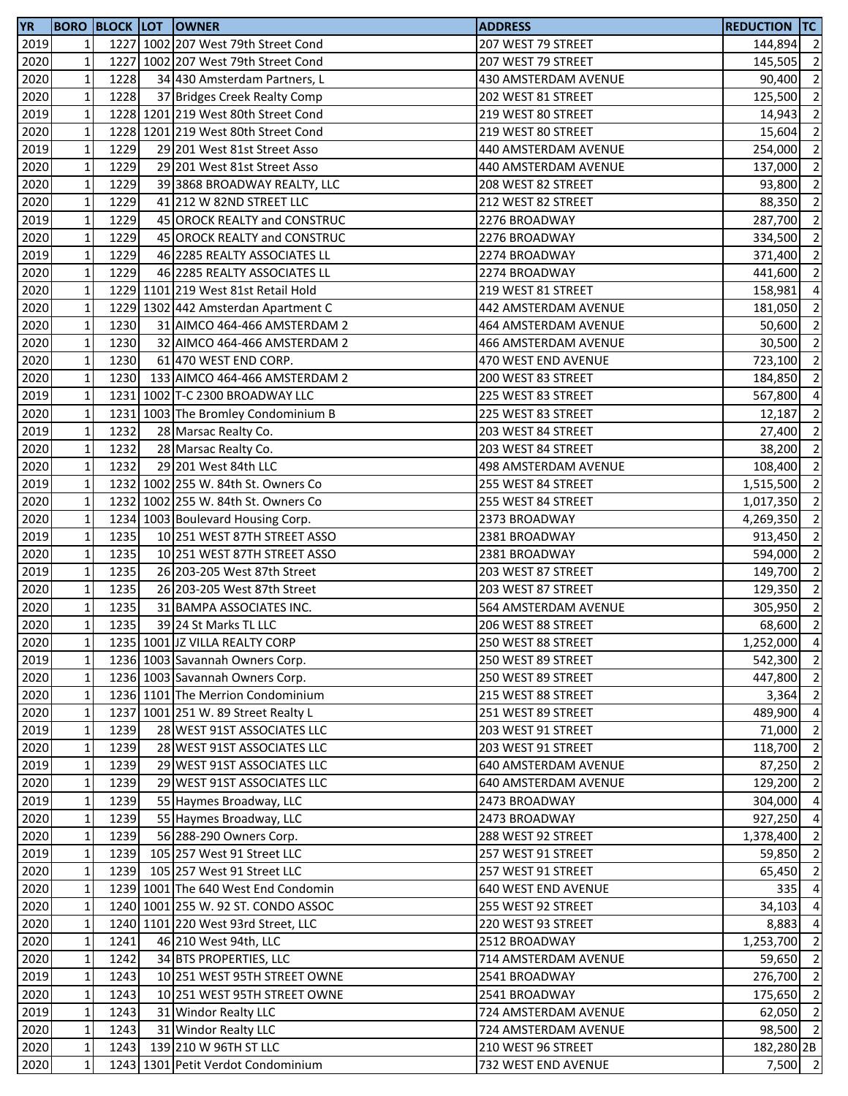| <b>YR</b> |                |      | <b>BORO BLOCK LOT OWNER</b>         | <b>ADDRESS</b>             | <b>REDUCTION TC</b> |                          |
|-----------|----------------|------|-------------------------------------|----------------------------|---------------------|--------------------------|
| 2019      | 1              |      | 1227 1002 207 West 79th Street Cond | 207 WEST 79 STREET         | 144,894             | $\overline{2}$           |
| 2020      | $\mathbf 1$    |      | 1227 1002 207 West 79th Street Cond | 207 WEST 79 STREET         | 145,505             | $\overline{2}$           |
| 2020      | $\mathbf 1$    | 1228 | 34 430 Amsterdam Partners, L        | 430 AMSTERDAM AVENUE       | 90,400              | $\overline{2}$           |
| 2020      | $\mathbf 1$    | 1228 | 37 Bridges Creek Realty Comp        | 202 WEST 81 STREET         | 125,500             | $\overline{2}$           |
| 2019      | $\mathbf 1$    |      | 1228 1201 219 West 80th Street Cond | 219 WEST 80 STREET         | 14,943              | $\overline{2}$           |
| 2020      | $\mathbf 1$    |      | 1228 1201 219 West 80th Street Cond | 219 WEST 80 STREET         | 15,604              | $\overline{2}$           |
| 2019      | $\mathbf 1$    | 1229 | 29 201 West 81st Street Asso        | 440 AMSTERDAM AVENUE       | 254,000             | $\overline{2}$           |
| 2020      | $\mathbf 1$    | 1229 | 29 201 West 81st Street Asso        | 440 AMSTERDAM AVENUE       | 137,000             | $\overline{2}$           |
| 2020      | $\mathbf 1$    | 1229 | 39 3868 BROADWAY REALTY, LLC        | 208 WEST 82 STREET         | 93,800              | $\overline{2}$           |
| 2020      | $\mathbf 1$    | 1229 | 41 212 W 82ND STREET LLC            | 212 WEST 82 STREET         | 88,350              | $\overline{2}$           |
| 2019      | $\mathbf 1$    | 1229 | 45 OROCK REALTY and CONSTRUC        | 2276 BROADWAY              | 287,700             | $\overline{2}$           |
| 2020      | $\mathbf 1$    | 1229 | 45 OROCK REALTY and CONSTRUC        | 2276 BROADWAY              | 334,500             | $\overline{\phantom{a}}$ |
| 2019      | $\mathbf 1$    | 1229 | 46 2285 REALTY ASSOCIATES LL        | 2274 BROADWAY              | 371,400             | $\overline{2}$           |
| 2020      | $\mathbf 1$    | 1229 | 46 2285 REALTY ASSOCIATES LL        | 2274 BROADWAY              | 441,600             | $\overline{2}$           |
| 2020      | $\mathbf 1$    |      | 1229 1101 219 West 81st Retail Hold | 219 WEST 81 STREET         | 158,981             | $\overline{4}$           |
| 2020      | $\mathbf 1$    |      | 1229 1302 442 Amsterdan Apartment C | 442 AMSTERDAM AVENUE       |                     | $\overline{2}$           |
| 2020      | $\mathbf 1$    | 1230 |                                     | 464 AMSTERDAM AVENUE       | 181,050             | $\overline{2}$           |
|           |                |      | 31 AIMCO 464-466 AMSTERDAM 2        |                            | 50,600              |                          |
| 2020      | $\mathbf{1}$   | 1230 | 32 AIMCO 464-466 AMSTERDAM 2        | 466 AMSTERDAM AVENUE       | 30,500              | $\overline{2}$           |
| 2020      | $\mathbf 1$    | 1230 | 61 470 WEST END CORP.               | 470 WEST END AVENUE        | 723,100             | $\overline{2}$           |
| 2020      | $\mathbf 1$    | 1230 | 133 AIMCO 464-466 AMSTERDAM 2       | 200 WEST 83 STREET         | 184,850             | $\overline{2}$           |
| 2019      | $\mathbf 1$    |      | 1231 1002 T-C 2300 BROADWAY LLC     | 225 WEST 83 STREET         | 567,800 4           |                          |
| 2020      | $\mathbf 1$    |      | 1231 1003 The Bromley Condominium B | 225 WEST 83 STREET         | 12,187              | $\overline{2}$           |
| 2019      | $\mathbf 1$    | 1232 | 28 Marsac Realty Co.                | 203 WEST 84 STREET         | 27,400              | $\overline{2}$           |
| 2020      | $\mathbf 1$    | 1232 | 28 Marsac Realty Co.                | 203 WEST 84 STREET         | 38,200              | $\overline{2}$           |
| 2020      | $\mathbf 1$    | 1232 | 29 201 West 84th LLC                | 498 AMSTERDAM AVENUE       | 108,400             | $\overline{2}$           |
| 2019      | $\mathbf 1$    |      | 1232 1002 255 W. 84th St. Owners Co | 255 WEST 84 STREET         | 1,515,500           | $\overline{2}$           |
| 2020      | $\mathbf 1$    |      | 1232 1002 255 W. 84th St. Owners Co | 255 WEST 84 STREET         | 1,017,350           | $\overline{2}$           |
| 2020      | $\mathbf 1$    |      | 1234 1003 Boulevard Housing Corp.   | 2373 BROADWAY              | 4,269,350           | $\overline{2}$           |
| 2019      | $\mathbf 1$    | 1235 | 10 251 WEST 87TH STREET ASSO        | 2381 BROADWAY              | 913,450             | $\overline{2}$           |
| 2020      | $\mathbf 1$    | 1235 | 10 251 WEST 87TH STREET ASSO        | 2381 BROADWAY              | 594,000             | $\overline{2}$           |
| 2019      | $\mathbf 1$    | 1235 | 26 203-205 West 87th Street         | 203 WEST 87 STREET         | 149,700             | $\overline{2}$           |
| 2020      | $\mathbf 1$    | 1235 | 26 203-205 West 87th Street         | 203 WEST 87 STREET         | 129,350             | $\overline{2}$           |
| 2020      | $\mathbf 1$    | 1235 | 31 BAMPA ASSOCIATES INC.            | 564 AMSTERDAM AVENUE       | 305,950             | $\overline{2}$           |
| 2020      | $\mathbf 1$    | 1235 | 39 24 St Marks TL LLC               | 206 WEST 88 STREET         | 68,600              | $\overline{2}$           |
| 2020      | 1 <sub>l</sub> |      | 1235 1001 JZ VILLA REALTY CORP      | 250 WEST 88 STREET         | 1,252,000 4         |                          |
| 2019      | $\mathbf 1$    |      | 1236 1003 Savannah Owners Corp.     | 250 WEST 89 STREET         | 542,300 2           |                          |
| 2020      | $\mathbf 1$    |      | 1236 1003 Savannah Owners Corp.     | 250 WEST 89 STREET         | 447,800 2           |                          |
| 2020      | $\mathbf 1$    |      | 1236 1101 The Merrion Condominium   | 215 WEST 88 STREET         | 3,364               | $\overline{2}$           |
| 2020      | $\mathbf 1$    |      | 1237 1001 251 W. 89 Street Realty L | 251 WEST 89 STREET         | 489,900 4           |                          |
| 2019      | $\mathbf 1$    | 1239 | 28 WEST 91ST ASSOCIATES LLC         | 203 WEST 91 STREET         | 71,000 2            |                          |
| 2020      | $\mathbf 1$    | 1239 | 28 WEST 91ST ASSOCIATES LLC         | 203 WEST 91 STREET         | 118,700             | $\overline{2}$           |
| 2019      | $\mathbf 1$    | 1239 | 29 WEST 91ST ASSOCIATES LLC         | 640 AMSTERDAM AVENUE       | 87,250              | $\overline{2}$           |
| 2020      | $\mathbf 1$    | 1239 | 29 WEST 91ST ASSOCIATES LLC         | 640 AMSTERDAM AVENUE       | 129,200             | $\overline{2}$           |
| 2019      | $\mathbf 1$    | 1239 | 55 Haymes Broadway, LLC             | 2473 BROADWAY              | 304,000 4           |                          |
| 2020      | $\mathbf 1$    | 1239 | 55 Haymes Broadway, LLC             | 2473 BROADWAY              | 927,250             | $\overline{4}$           |
| 2020      | $\mathbf 1$    | 1239 | 56 288-290 Owners Corp.             | 288 WEST 92 STREET         | 1,378,400 2         |                          |
| 2019      | $\mathbf 1$    | 1239 | 105 257 West 91 Street LLC          | 257 WEST 91 STREET         | 59,850              | $\overline{2}$           |
| 2020      | $\mathbf 1$    | 1239 | 105 257 West 91 Street LLC          | 257 WEST 91 STREET         | 65,450              | $\overline{2}$           |
| 2020      | $\mathbf{1}$   |      | 1239 1001 The 640 West End Condomin | <b>640 WEST END AVENUE</b> | 335                 | $\overline{4}$           |
|           |                |      |                                     |                            |                     | $\overline{4}$           |
| 2020      | $\mathbf{1}$   |      | 1240 1001 255 W. 92 ST. CONDO ASSOC | 255 WEST 92 STREET         | 34,103              |                          |
| 2020      | $\mathbf{1}$   |      | 1240 1101 220 West 93rd Street, LLC | 220 WEST 93 STREET         | 8,883               | $\overline{4}$           |
| 2020      | $\mathbf 1$    | 1241 | 46 210 West 94th, LLC               | 2512 BROADWAY              | 1,253,700           | $\overline{2}$           |
| 2020      | $\mathbf 1$    | 1242 | 34 BTS PROPERTIES, LLC              | 714 AMSTERDAM AVENUE       | 59,650              | $\overline{2}$           |
| 2019      | $\mathbf 1$    | 1243 | 10 251 WEST 95TH STREET OWNE        | 2541 BROADWAY              | 276,700 2           |                          |
| 2020      | $\mathbf 1$    | 1243 | 10 251 WEST 95TH STREET OWNE        | 2541 BROADWAY              | 175,650             | $\overline{2}$           |
| 2019      | $\mathbf 1$    | 1243 | 31 Windor Realty LLC                | 724 AMSTERDAM AVENUE       | 62,050 2            |                          |
| 2020      | $\mathbf 1$    | 1243 | 31 Windor Realty LLC                | 724 AMSTERDAM AVENUE       | 98,500 2            |                          |
| 2020      | $\mathbf 1$    | 1243 | 139 210 W 96TH ST LLC               | 210 WEST 96 STREET         | 182,280 2B          |                          |
| 2020      | $\mathbf 1$    |      | 1243 1301 Petit Verdot Condominium  | 732 WEST END AVENUE        | $7,500$ 2           |                          |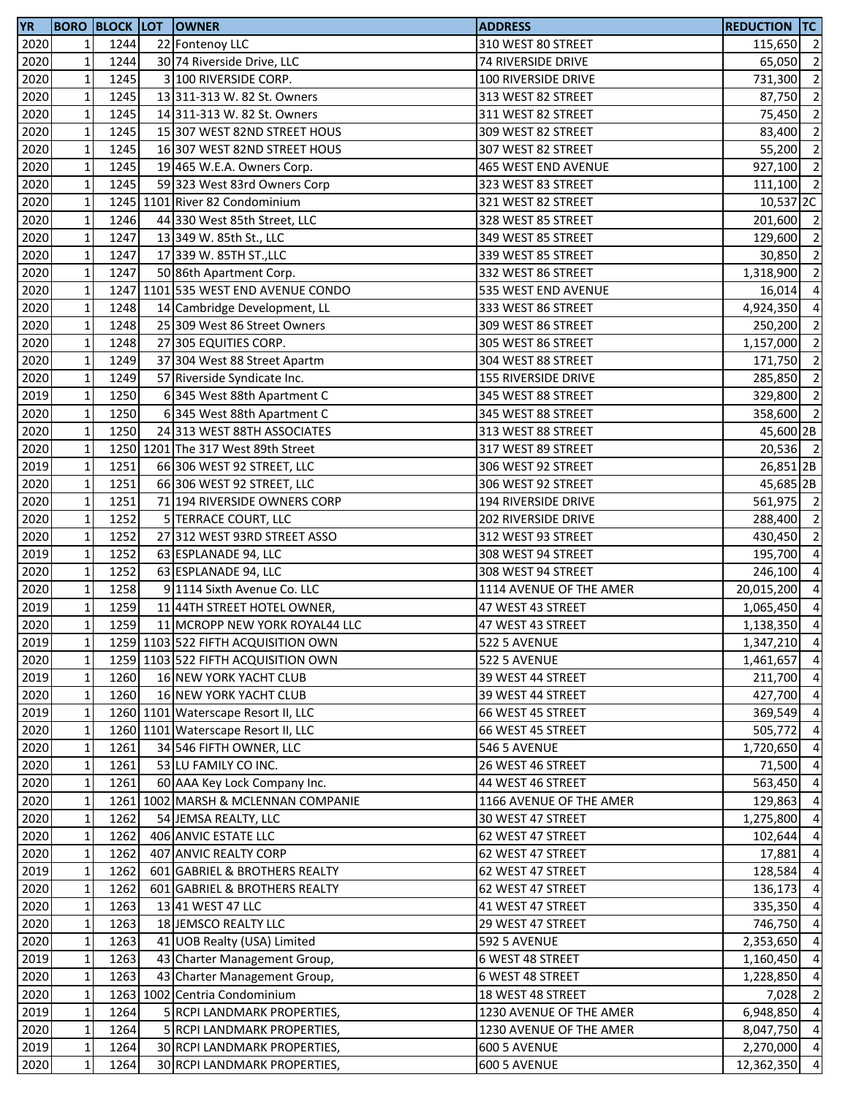| <b>YR</b> |                 |      | <b>BORO BLOCK LOT OWNER</b>         | <b>ADDRESS</b>          | <b>REDUCTION TC</b> |                          |
|-----------|-----------------|------|-------------------------------------|-------------------------|---------------------|--------------------------|
| 2020      | $1\vert$        | 1244 | 22 Fontenoy LLC                     | 310 WEST 80 STREET      | 115,650             | $\overline{2}$           |
| 2020      | $\mathbf 1$     | 1244 | 30 74 Riverside Drive, LLC          | 74 RIVERSIDE DRIVE      | 65,050              | $\overline{2}$           |
| 2020      | $\mathbf 1$     | 1245 | 3 100 RIVERSIDE CORP.               | 100 RIVERSIDE DRIVE     | 731,300             | $\overline{2}$           |
| 2020      | $1\overline{ }$ | 1245 | 13 311-313 W. 82 St. Owners         | 313 WEST 82 STREET      | 87,750              | $\overline{2}$           |
| 2020      | $\mathbf 1$     | 1245 | 14 311-313 W. 82 St. Owners         | 311 WEST 82 STREET      | 75,450              | $\overline{2}$           |
| 2020      | $\mathbf 1$     | 1245 | 15 307 WEST 82ND STREET HOUS        | 309 WEST 82 STREET      | 83,400              | $\overline{2}$           |
| 2020      | $\mathbf 1$     | 1245 | 16 307 WEST 82ND STREET HOUS        | 307 WEST 82 STREET      | 55,200              | $\overline{2}$           |
| 2020      | $\mathbf 1$     | 1245 | 19 465 W.E.A. Owners Corp.          | 465 WEST END AVENUE     | 927,100             | $\overline{2}$           |
| 2020      | $\mathbf 1$     | 1245 | 59 323 West 83rd Owners Corp        | 323 WEST 83 STREET      | 111,100             | $\overline{2}$           |
| 2020      | $\mathbf 1$     |      | 1245 1101 River 82 Condominium      | 321 WEST 82 STREET      | 10,537 2C           |                          |
| 2020      | $\mathbf 1$     | 1246 | 44 330 West 85th Street, LLC        | 328 WEST 85 STREET      | 201,600 2           |                          |
| 2020      | $1\,$           | 1247 | 13 349 W. 85th St., LLC             | 349 WEST 85 STREET      | 129,600             | $\overline{\phantom{a}}$ |
| 2020      | $\mathbf 1$     | 1247 | 17 339 W. 85TH ST., LLC             | 339 WEST 85 STREET      | 30,850              | $\overline{2}$           |
| 2020      | $\mathbf 1$     | 1247 | 50 86th Apartment Corp.             | 332 WEST 86 STREET      | 1,318,900           | $\overline{2}$           |
| 2020      | $\mathbf 1$     |      | 1247 1101 535 WEST END AVENUE CONDO | 535 WEST END AVENUE     | 16,014              | $\overline{4}$           |
| 2020      | $\mathbf 1$     | 1248 | 14 Cambridge Development, LL        | 333 WEST 86 STREET      | 4,924,350           | $\overline{a}$           |
| 2020      | $\mathbf 1$     | 1248 | 25 309 West 86 Street Owners        | 309 WEST 86 STREET      | 250,200             | $\overline{2}$           |
| 2020      | $\mathbf 1$     | 1248 | 27 305 EQUITIES CORP.               | 305 WEST 86 STREET      | 1,157,000           | $\overline{2}$           |
| 2020      | $\mathbf 1$     | 1249 | 37 304 West 88 Street Apartm        | 304 WEST 88 STREET      | 171,750             | $\overline{2}$           |
| 2020      | $1\,$           | 1249 | 57 Riverside Syndicate Inc.         | 155 RIVERSIDE DRIVE     | 285,850             | $\overline{\phantom{a}}$ |
| 2019      | $\mathbf 1$     | 1250 | 6 345 West 88th Apartment C         | 345 WEST 88 STREET      | $329,800$ 2         |                          |
| 2020      | $1\,$           | 1250 | 6 345 West 88th Apartment C         | 345 WEST 88 STREET      | 358,600 2           |                          |
| 2020      | $\mathbf 1$     | 1250 | 24 313 WEST 88TH ASSOCIATES         | 313 WEST 88 STREET      | 45,600 2B           |                          |
| 2020      | $\mathbf 1$     |      | 1250 1201 The 317 West 89th Street  | 317 WEST 89 STREET      | 20,536 2            |                          |
| 2019      | $\mathbf 1$     | 1251 | 66 306 WEST 92 STREET, LLC          | 306 WEST 92 STREET      | 26,851 2B           |                          |
| 2020      | $\mathbf 1$     | 1251 | 66 306 WEST 92 STREET, LLC          | 306 WEST 92 STREET      | 45,685 2B           |                          |
| 2020      | $\mathbf 1$     | 1251 | 71 194 RIVERSIDE OWNERS CORP        | 194 RIVERSIDE DRIVE     | 561,975 2           |                          |
| 2020      | $1\,$           | 1252 | 5 TERRACE COURT, LLC                | 202 RIVERSIDE DRIVE     | 288,400             | $\overline{2}$           |
| 2020      | $\mathbf 1$     | 1252 | 27 312 WEST 93RD STREET ASSO        | 312 WEST 93 STREET      | 430,450 2           |                          |
| 2019      | $\mathbf 1$     | 1252 | 63 ESPLANADE 94, LLC                | 308 WEST 94 STREET      | 195,700             | $\overline{4}$           |
| 2020      | $\mathbf 1$     | 1252 | 63 ESPLANADE 94, LLC                | 308 WEST 94 STREET      | 246,100             | $\overline{4}$           |
| 2020      | $\mathbf 1$     | 1258 | 9 1114 Sixth Avenue Co. LLC         | 1114 AVENUE OF THE AMER | 20,015,200          | $\overline{a}$           |
| 2019      | $\mathbf 1$     | 1259 | 11 44TH STREET HOTEL OWNER,         | 47 WEST 43 STREET       | 1,065,450           | $\overline{4}$           |
| 2020      | $\mathbf{1}$    | 1259 | 11 MCROPP NEW YORK ROYAL44 LLC      | 47 WEST 43 STREET       | 1,138,350           | $\overline{4}$           |
| 2019      | 11              |      | 1259 1103 522 FIFTH ACQUISITION OWN | 522 5 AVENUE            | 1,347,210 4         |                          |
| 2020      | $1\,$           |      | 1259 1103 522 FIFTH ACQUISITION OWN | 522 5 AVENUE            | 1,461,657           | $\overline{4}$           |
| 2019      | $1\,$           | 1260 | 16 NEW YORK YACHT CLUB              | 39 WEST 44 STREET       | 211,700 4           |                          |
| 2020      | $\vert$ 1       | 1260 | 16 NEW YORK YACHT CLUB              | 39 WEST 44 STREET       | 427,700 4           |                          |
| 2019      | $1\,$           |      | 1260 1101 Waterscape Resort II, LLC | 66 WEST 45 STREET       | 369,549 4           |                          |
| 2020      | $\mathbf 1$     |      | 1260 1101 Waterscape Resort II, LLC | 66 WEST 45 STREET       | 505,772             | $\overline{4}$           |
| 2020      | $\mathbf 1$     | 1261 | 34 546 FIFTH OWNER, LLC             | 546 5 AVENUE            | 1,720,650           | $\overline{4}$           |
| 2020      | $\mathbf{1}$    | 1261 | 53 LU FAMILY CO INC.                | 26 WEST 46 STREET       | 71,500              | $\overline{4}$           |
| 2020      | $\mathbf{1}$    | 1261 | 60 AAA Key Lock Company Inc.        | 44 WEST 46 STREET       | 563,450             | $\overline{4}$           |
| 2020      | $\mathbf{1}$    |      | 1261 1002 MARSH & MCLENNAN COMPANIE | 1166 AVENUE OF THE AMER | 129,863             | $\overline{4}$           |
| 2020      | $\mathbf{1}$    | 1262 | 54 JEMSA REALTY, LLC                | 30 WEST 47 STREET       | 1,275,800           | $\overline{4}$           |
| 2020      | $\mathbf{1}$    | 1262 | 406 ANVIC ESTATE LLC                | 62 WEST 47 STREET       | 102,644             | $\overline{a}$           |
| 2020      | $1\overline{ }$ | 1262 | 407 ANVIC REALTY CORP               | 62 WEST 47 STREET       | 17,881              | $\overline{4}$           |
| 2019      | $\mathbf{1}$    | 1262 | 601 GABRIEL & BROTHERS REALTY       | 62 WEST 47 STREET       | 128,584             | $\overline{4}$           |
| 2020      | $\mathbf{1}$    | 1262 | 601 GABRIEL & BROTHERS REALTY       | 62 WEST 47 STREET       | 136,173             | $\overline{4}$           |
| 2020      | $\mathbf{1}$    | 1263 | 13 41 WEST 47 LLC                   | 41 WEST 47 STREET       | 335,350             | $\overline{4}$           |
| 2020      | $1\overline{ }$ | 1263 | 18 JEMSCO REALTY LLC                | 29 WEST 47 STREET       | 746,750             | $\overline{4}$           |
| 2020      | $\mathbf 1$     | 1263 | 41 UOB Realty (USA) Limited         | 592 5 AVENUE            | 2,353,650           | $\overline{4}$           |
| 2019      | $1\,$           | 1263 | 43 Charter Management Group,        | 6 WEST 48 STREET        | 1,160,450           | $\overline{4}$           |
| 2020      | $1\overline{ }$ | 1263 | 43 Charter Management Group,        | 6 WEST 48 STREET        | 1,228,850 4         |                          |
| 2020      | $1\,$           |      | 1263 1002 Centria Condominium       | 18 WEST 48 STREET       | 7,028               | $\overline{2}$           |
| 2019      | $\mathbf 1$     | 1264 | 5 RCPI LANDMARK PROPERTIES,         | 1230 AVENUE OF THE AMER | 6,948,850 4         |                          |
| 2020      | $\mathbf 1$     | 1264 | 5 RCPI LANDMARK PROPERTIES,         | 1230 AVENUE OF THE AMER | 8,047,750           | $\overline{4}$           |
| 2019      | $\mathbf{1}$    | 1264 | 30 RCPI LANDMARK PROPERTIES,        | 600 5 AVENUE            | 2,270,000 4         |                          |
| 2020      | $\mathbf{1}$    | 1264 | 30 RCPI LANDMARK PROPERTIES,        | 600 5 AVENUE            | 12,362,350 4        |                          |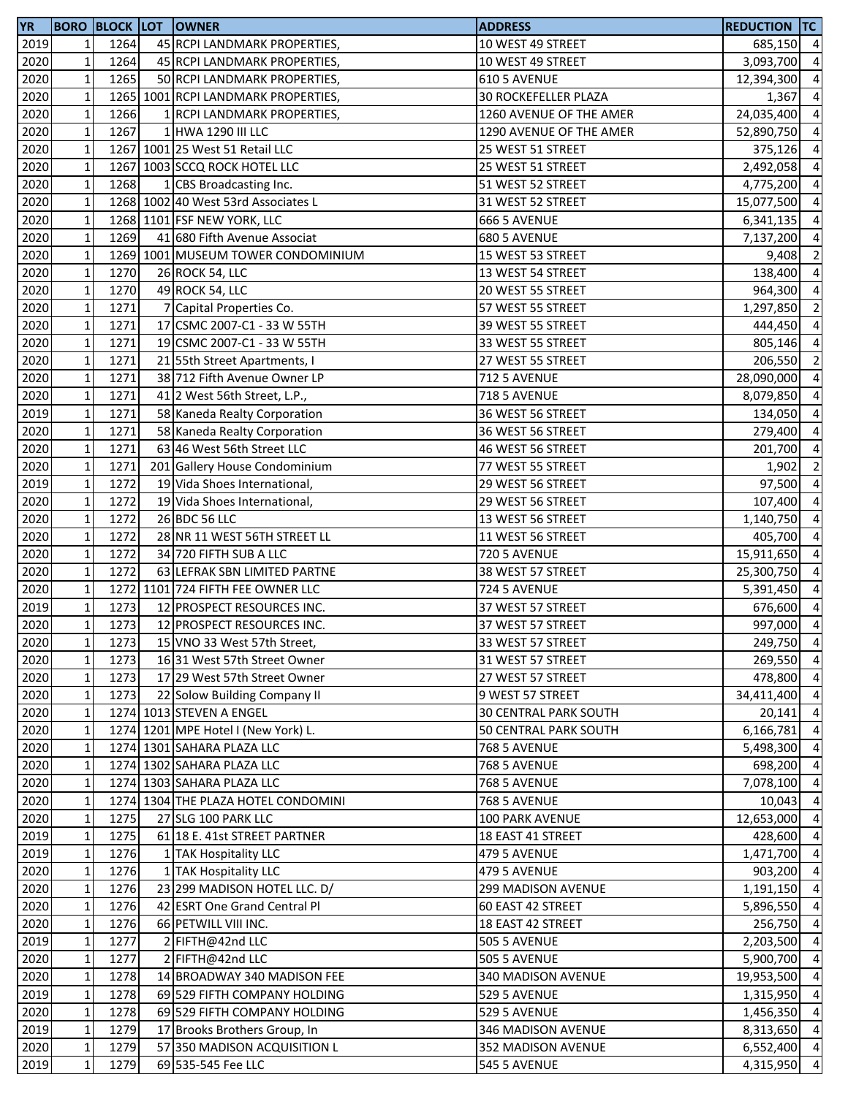| <b>YR</b>    |                 |      | <b>BORO BLOCK LOT OWNER</b>         | <b>ADDRESS</b>               | <b>REDUCTION TC</b>   |                |
|--------------|-----------------|------|-------------------------------------|------------------------------|-----------------------|----------------|
| 2019         | $1\overline{ }$ | 1264 | 45 RCPI LANDMARK PROPERTIES,        | 10 WEST 49 STREET            | 685,150 4             |                |
| 2020         | $1\overline{ }$ | 1264 | 45 RCPI LANDMARK PROPERTIES,        | 10 WEST 49 STREET            | 3,093,700             | $\overline{a}$ |
| 2020         | $\mathbf 1$     | 1265 | 50 RCPI LANDMARK PROPERTIES,        | 610 5 AVENUE                 | 12,394,300            | $\overline{4}$ |
| 2020         | $\mathbf{1}$    |      | 1265 1001 RCPI LANDMARK PROPERTIES, | 30 ROCKEFELLER PLAZA         | 1,367                 | $\overline{4}$ |
| 2020         | $\mathbf{1}$    | 1266 | 1 RCPI LANDMARK PROPERTIES,         | 1260 AVENUE OF THE AMER      | 24,035,400            | $\overline{4}$ |
| 2020         | $1\,$           | 1267 | 1 HWA 1290 III LLC                  | 1290 AVENUE OF THE AMER      | 52,890,750            | $\overline{4}$ |
| 2020         | $\mathbf 1$     |      | 1267 1001 25 West 51 Retail LLC     | 25 WEST 51 STREET            | 375,126               | $\overline{4}$ |
| 2020         | $\mathbf 1$     |      | 1267 1003 SCCQ ROCK HOTEL LLC       | 25 WEST 51 STREET            | 2,492,058             | $\overline{a}$ |
| 2020         | $\mathbf 1$     | 1268 | 1 CBS Broadcasting Inc.             | 51 WEST 52 STREET            | 4,775,200             | $\overline{a}$ |
| 2020         | $\mathbf 1$     |      | 1268 1002 40 West 53rd Associates L | 31 WEST 52 STREET            | 15,077,500            | $\overline{a}$ |
| 2020         | $\mathbf 1$     |      | 1268 1101 FSF NEW YORK, LLC         | 666 5 AVENUE                 | 6,341,135             | $\overline{4}$ |
| 2020         | $\mathbf 1$     | 1269 | 41 680 Fifth Avenue Associat        | 680 5 AVENUE                 | 7,137,200             | $\overline{4}$ |
| 2020         | $1\,$           |      | 1269 1001 MUSEUM TOWER CONDOMINIUM  | 15 WEST 53 STREET            | 9,408                 | $\overline{2}$ |
| 2020         | $\mathbf 1$     | 1270 |                                     | 13 WEST 54 STREET            | 138,400 4             |                |
| 2020         |                 | 1270 | 26 ROCK 54, LLC<br>49 ROCK 54, LLC  |                              |                       | $\overline{4}$ |
|              | $\mathbf 1$     |      |                                     | 20 WEST 55 STREET            | 964,300               |                |
| 2020         | $\mathbf 1$     | 1271 | 7 Capital Properties Co.            | 57 WEST 55 STREET            | 1,297,850             | $\overline{2}$ |
| 2020         | $\mathbf 1$     | 1271 | 17 CSMC 2007-C1 - 33 W 55TH         | 39 WEST 55 STREET            | 444,450               | $\overline{4}$ |
| 2020         | $\mathbf 1$     | 1271 | 19 CSMC 2007-C1 - 33 W 55TH         | 33 WEST 55 STREET            | 805,146               | $\overline{4}$ |
| 2020         | $\mathbf 1$     | 1271 | 21 55th Street Apartments, I        | 27 WEST 55 STREET            | 206,550               | $\overline{2}$ |
| 2020         | $\mathbf 1$     | 1271 | 38 712 Fifth Avenue Owner LP        | 712 5 AVENUE                 | 28,090,000            | $\overline{4}$ |
| 2020         | $1\,$           | 1271 | 41 2 West 56th Street, L.P.,        | <b>718 5 AVENUE</b>          | 8,079,850             | $\overline{4}$ |
| 2019         | $1\,$           | 1271 | 58 Kaneda Realty Corporation        | 36 WEST 56 STREET            | 134,050               | $\overline{4}$ |
| 2020         | $1\,$           | 1271 | 58 Kaneda Realty Corporation        | 36 WEST 56 STREET            | 279,400               | $\overline{4}$ |
| 2020         | $\mathbf 1$     | 1271 | 63 46 West 56th Street LLC          | 46 WEST 56 STREET            | 201,700               | $\overline{4}$ |
| 2020         | $1\,$           | 1271 | 201 Gallery House Condominium       | 77 WEST 55 STREET            | 1,902                 | $\overline{2}$ |
| 2019         | $\mathbf 1$     | 1272 | 19 Vida Shoes International,        | 29 WEST 56 STREET            | 97,500                | $\overline{a}$ |
| 2020         | $\mathbf{1}$    | 1272 | 19 Vida Shoes International,        | 29 WEST 56 STREET            | 107,400               | $\overline{4}$ |
| 2020         | $\mathbf 1$     | 1272 | 26 BDC 56 LLC                       | 13 WEST 56 STREET            | 1,140,750             | $\overline{4}$ |
| 2020         | $1\,$           | 1272 | 28 NR 11 WEST 56TH STREET LL        | 11 WEST 56 STREET            | 405,700               | $\overline{a}$ |
| 2020         | $1\,$           | 1272 | 34 720 FIFTH SUB A LLC              | <b>720 5 AVENUE</b>          | 15,911,650 4          |                |
| 2020         | $\mathbf 1$     | 1272 | 63 LEFRAK SBN LIMITED PARTNE        | 38 WEST 57 STREET            | 25,300,750            | $\overline{4}$ |
| 2020         | $\mathbf 1$     |      | 1272 1101 724 FIFTH FEE OWNER LLC   | 724 5 AVENUE                 | 5,391,450             | $\overline{4}$ |
| 2019         | $\mathbf 1$     | 1273 | 12 PROSPECT RESOURCES INC.          | 37 WEST 57 STREET            | 676,600               | $\overline{4}$ |
| 2020         | $\mathbf{1}$    | 1273 | 12 PROSPECT RESOURCES INC.          | 37 WEST 57 STREET            | 997,000               | $\overline{4}$ |
| 2020         | $1\vert$        | 1273 | 15 VNO 33 West 57th Street,         | 33 WEST 57 STREET            | 249,750 4             |                |
| 2020         | $\mathbf{1}$    | 1273 | 1631 West 57th Street Owner         | 31 WEST 57 STREET            | 269,550               | $\overline{4}$ |
| 2020         | $1\,$           | 1273 | 17 29 West 57th Street Owner        | 27 WEST 57 STREET            | 478,800               | $\overline{4}$ |
| 2020         | $1\,$           | 1273 | 22 Solow Building Company II        | 9 WEST 57 STREET             | 34,411,400 4          |                |
| 2020         | $1\,$           |      | 1274 1013 STEVEN A ENGEL            | <b>30 CENTRAL PARK SOUTH</b> | 20,141                | $\overline{4}$ |
| 2020         | $\mathbf{1}$    |      | 1274 1201 MPE Hotel I (New York) L. | <b>50 CENTRAL PARK SOUTH</b> | 6,166,781             | $\overline{4}$ |
| 2020         | $\mathbf 1$     |      | 1274 1301 SAHARA PLAZA LLC          | <b>768 5 AVENUE</b>          | 5,498,300             | $\overline{4}$ |
| 2020         | $\mathbf{1}$    |      | 1274 1302 SAHARA PLAZA LLC          | <b>768 5 AVENUE</b>          | 698,200               | $\overline{4}$ |
| 2020         | $\mathbf{1}$    |      | 1274 1303 SAHARA PLAZA LLC          | <b>768 5 AVENUE</b>          | 7,078,100             | $\overline{4}$ |
| 2020         | $\mathbf{1}$    |      | 1274 1304 THE PLAZA HOTEL CONDOMINI | <b>768 5 AVENUE</b>          | 10,043                | $\overline{4}$ |
| 2020         | $\mathbf 1$     | 1275 | 27 SLG 100 PARK LLC                 | 100 PARK AVENUE              |                       | $\overline{4}$ |
|              | $1\overline{ }$ | 1275 | 61 18 E. 41st STREET PARTNER        | 18 EAST 41 STREET            | 12,653,000<br>428,600 | $\overline{4}$ |
| 2019<br>2019 | $1\overline{ }$ | 1276 |                                     |                              | 1,471,700 4           |                |
|              |                 |      | 1 TAK Hospitality LLC               | 479 5 AVENUE                 |                       |                |
| 2020         | $1\overline{ }$ | 1276 | 1 TAK Hospitality LLC               | 479 5 AVENUE                 | 903,200 4             |                |
| 2020         | $\mathbf{1}$    | 1276 | 23 299 MADISON HOTEL LLC. D/        | 299 MADISON AVENUE           | 1,191,150             | $\overline{4}$ |
| 2020         | $1\overline{ }$ | 1276 | 42 ESRT One Grand Central Pl        | 60 EAST 42 STREET            | 5,896,550             | $\overline{4}$ |
| 2020         | $\mathbf{1}$    | 1276 | 66 PETWILL VIII INC.                | 18 EAST 42 STREET            | 256,750               | $\overline{4}$ |
| 2019         | $1\,$           | 1277 | 2 FIFTH@42nd LLC                    | <b>505 5 AVENUE</b>          | 2,203,500             | $\overline{4}$ |
| 2020         | $\mathbf 1$     | 1277 | 2 FIFTH@42nd LLC                    | <b>505 5 AVENUE</b>          | 5,900,700             | $\overline{4}$ |
| 2020         | $1\,$           | 1278 | 14 BROADWAY 340 MADISON FEE         | 340 MADISON AVENUE           | 19,953,500            | $\overline{4}$ |
| 2019         | $1\overline{ }$ | 1278 | 69 529 FIFTH COMPANY HOLDING        | 529 5 AVENUE                 | 1,315,950 4           |                |
| 2020         | $1\,$           | 1278 | 69 529 FIFTH COMPANY HOLDING        | 529 5 AVENUE                 | 1,456,350 4           |                |
| 2019         | $\mathbf 1$     | 1279 | 17 Brooks Brothers Group, In        | 346 MADISON AVENUE           | 8,313,650             | $\overline{4}$ |
| 2020         | $\mathbf 1$     | 1279 | 57 350 MADISON ACQUISITION L        | 352 MADISON AVENUE           | 6,552,400 4           |                |
| 2019         | $\mathbf 1$     | 1279 | 69 535-545 Fee LLC                  | 545 5 AVENUE                 | 4,315,950 4           |                |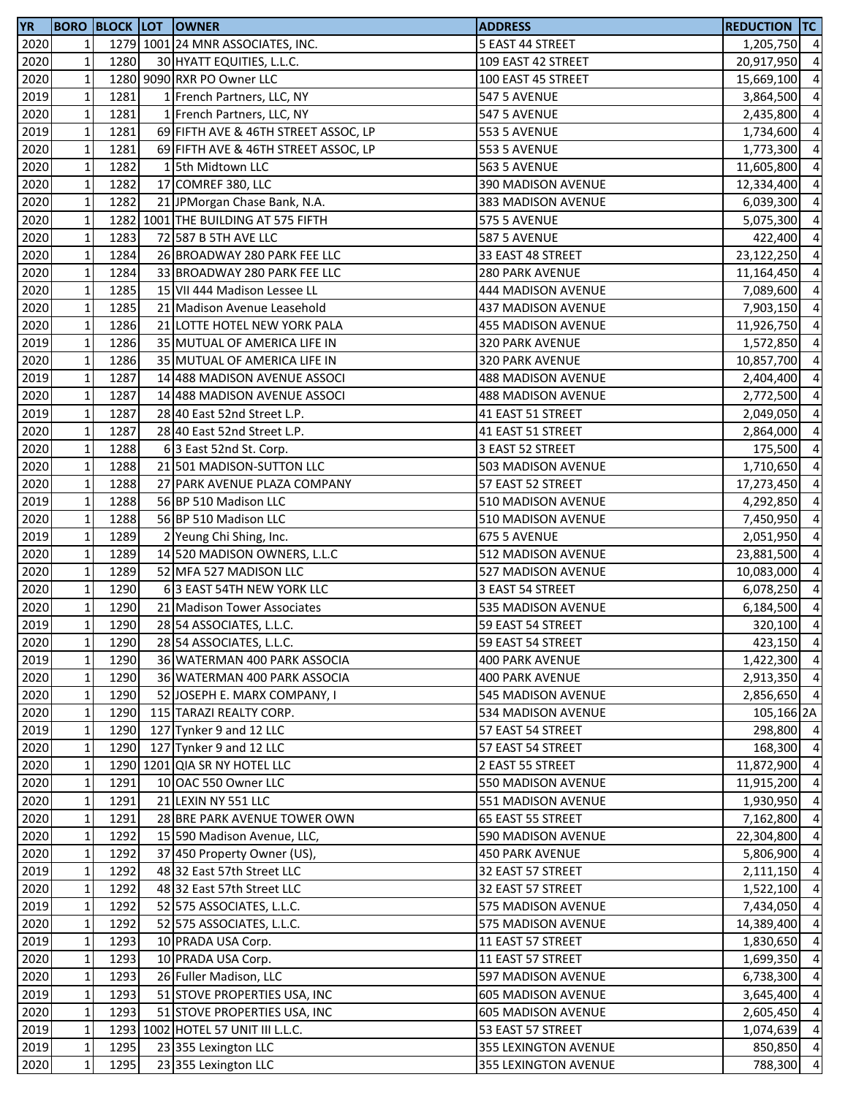| <b>YR</b>         |                |      | <b>BORO BLOCK LOT OWNER</b>          | <b>ADDRESS</b>            | <b>REDUCTION TC</b> |                |
|-------------------|----------------|------|--------------------------------------|---------------------------|---------------------|----------------|
| 2020              | 1              |      | 1279 1001 24 MNR ASSOCIATES, INC.    | 5 EAST 44 STREET          | 1,205,750 4         |                |
| 2020              | $\mathbf 1$    | 1280 | 30 HYATT EQUITIES, L.L.C.            | 109 EAST 42 STREET        | 20,917,950          | $\overline{4}$ |
| 2020              | $\mathbf 1$    |      | 1280 9090 RXR PO Owner LLC           | 100 EAST 45 STREET        | 15,669,100          | $\overline{4}$ |
| 2019              | $\mathbf 1$    | 1281 | 1 French Partners, LLC, NY           | <b>547 5 AVENUE</b>       | 3,864,500 4         |                |
| 2020              | $\mathbf 1$    | 1281 | 1 French Partners, LLC, NY           | 547 5 AVENUE              | 2,435,800           | $\overline{4}$ |
| 2019              | $\mathbf 1$    | 1281 | 69 FIFTH AVE & 46TH STREET ASSOC, LP | <b>553 5 AVENUE</b>       | 1,734,600           | $\overline{4}$ |
| 2020              | $\mathbf 1$    | 1281 | 69 FIFTH AVE & 46TH STREET ASSOC, LP | <b>553 5 AVENUE</b>       | 1,773,300           | $\overline{4}$ |
| 2020              | $\mathbf 1$    | 1282 | 15th Midtown LLC                     | 563 5 AVENUE              | 11,605,800          | $\overline{a}$ |
| 2020              | $\mathbf 1$    | 1282 | 17 COMREF 380, LLC                   | 390 MADISON AVENUE        | 12,334,400          | $\overline{4}$ |
| 2020              | $\mathbf 1$    | 1282 | 21 JPMorgan Chase Bank, N.A.         | 383 MADISON AVENUE        | 6,039,300           | $\overline{4}$ |
| 2020              | $\mathbf 1$    |      | 1282 1001 THE BUILDING AT 575 FIFTH  | <b>575 5 AVENUE</b>       | 5,075,300           | $\overline{4}$ |
| 2020              | $\mathbf 1$    | 1283 | 72 587 B 5TH AVE LLC                 | <b>587 5 AVENUE</b>       | 422,400 4           |                |
| 2020              | $\mathbf 1$    | 1284 | 26 BROADWAY 280 PARK FEE LLC         | 33 EAST 48 STREET         | 23,122,250 4        |                |
| 2020              | $\mathbf 1$    | 1284 | 33 BROADWAY 280 PARK FEE LLC         | <b>280 PARK AVENUE</b>    | 11,164,450 4        |                |
| 2020              | $\mathbf 1$    | 1285 | 15 VII 444 Madison Lessee LL         | 444 MADISON AVENUE        | 7,089,600 4         |                |
| 2020              | $\mathbf 1$    | 1285 | 21 Madison Avenue Leasehold          | 437 MADISON AVENUE        | 7,903,150           | $\overline{4}$ |
| 2020              | $\mathbf 1$    | 1286 | 21 LOTTE HOTEL NEW YORK PALA         | 455 MADISON AVENUE        | 11,926,750          | $\overline{4}$ |
|                   | $\mathbf 1$    | 1286 | 35 MUTUAL OF AMERICA LIFE IN         |                           | 1,572,850           | $\overline{4}$ |
| 2019              | $\mathbf 1$    | 1286 | 35 MUTUAL OF AMERICA LIFE IN         | 320 PARK AVENUE           |                     | $\overline{4}$ |
| 2020              |                |      |                                      | 320 PARK AVENUE           | 10,857,700          |                |
| 2019              | $\mathbf 1$    | 1287 | 14 488 MADISON AVENUE ASSOCI         | <b>488 MADISON AVENUE</b> | 2,404,400           | $\overline{4}$ |
| $\overline{2020}$ | $\mathbf 1$    | 1287 | 14 488 MADISON AVENUE ASSOCI         | 488 MADISON AVENUE        | 2,772,500 4         |                |
| 2019              | $\mathbf 1$    | 1287 | 28 40 East 52nd Street L.P.          | 41 EAST 51 STREET         | 2,049,050           | $\overline{4}$ |
| 2020              | $\mathbf 1$    | 1287 | 28 40 East 52nd Street L.P.          | 41 EAST 51 STREET         | 2,864,000           | $\overline{4}$ |
| 2020              | $\mathbf 1$    | 1288 | 63 East 52nd St. Corp.               | 3 EAST 52 STREET          | 175,500             | $\overline{4}$ |
| 2020              | $\mathbf 1$    | 1288 | 21 501 MADISON-SUTTON LLC            | 503 MADISON AVENUE        | 1,710,650           | $\overline{4}$ |
| 2020              | $\mathbf 1$    | 1288 | 27 PARK AVENUE PLAZA COMPANY         | 57 EAST 52 STREET         | 17,273,450          | $\overline{4}$ |
| 2019              | $\mathbf 1$    | 1288 | 56 BP 510 Madison LLC                | 510 MADISON AVENUE        | 4,292,850           | $\overline{a}$ |
| 2020              | $\mathbf 1$    | 1288 | 56 BP 510 Madison LLC                | 510 MADISON AVENUE        | 7,450,950           | $\overline{4}$ |
| 2019              | $\mathbf 1$    | 1289 | 2 Yeung Chi Shing, Inc.              | 675 5 AVENUE              | 2,051,950           | $\overline{4}$ |
| 2020              | $\mathbf 1$    | 1289 | 14 520 MADISON OWNERS, L.L.C         | 512 MADISON AVENUE        | 23,881,500          | $\overline{4}$ |
| 2020              | $\mathbf 1$    | 1289 | 52 MFA 527 MADISON LLC               | 527 MADISON AVENUE        | 10,083,000          | $\overline{4}$ |
| 2020              | $\mathbf 1$    | 1290 | 63 EAST 54TH NEW YORK LLC            | 3 EAST 54 STREET          | 6,078,250           | $\overline{4}$ |
| 2020              | $\mathbf 1$    | 1290 | 21 Madison Tower Associates          | 535 MADISON AVENUE        | 6,184,500           | $\overline{4}$ |
| 2019              | $\mathbf 1$    | 1290 | 28 54 ASSOCIATES, L.L.C.             | 59 EAST 54 STREET         | 320,100             | $\overline{4}$ |
| 2020              | 1 <sub>l</sub> | 1290 | 28 54 ASSOCIATES, L.L.C.             | 59 EAST 54 STREET         | 423,150 4           |                |
| 2019              | $\mathbf 1$    | 1290 | 36 WATERMAN 400 PARK ASSOCIA         | <b>400 PARK AVENUE</b>    | 1,422,300 4         |                |
| 2020              | $\mathbf 1$    | 1290 | 36 WATERMAN 400 PARK ASSOCIA         | <b>400 PARK AVENUE</b>    | 2,913,350 4         |                |
| 2020              | $\mathbf 1$    | 1290 | 52 JOSEPH E. MARX COMPANY, I         | <b>545 MADISON AVENUE</b> | 2,856,650 4         |                |
| 2020              | $\mathbf 1$    | 1290 | 115 TARAZI REALTY CORP.              | 534 MADISON AVENUE        | 105,166 2A          |                |
| 2019              | $\mathbf 1$    | 1290 | 127 Tynker 9 and 12 LLC              | 57 EAST 54 STREET         | 298,800 4           |                |
| 2020              | $\mathbf 1$    | 1290 | 127 Tynker 9 and 12 LLC              | 57 EAST 54 STREET         | 168,300 4           |                |
| 2020              | $\mathbf 1$    |      | 1290 1201 QIA SR NY HOTEL LLC        | 2 EAST 55 STREET          | 11,872,900          | $\overline{4}$ |
| 2020              | $\mathbf 1$    | 1291 | 10 OAC 550 Owner LLC                 | 550 MADISON AVENUE        | 11,915,200          | $\overline{4}$ |
| 2020              | $\mathbf 1$    | 1291 | 21 LEXIN NY 551 LLC                  | 551 MADISON AVENUE        | 1,930,950           | $\overline{4}$ |
| 2020              | $\mathbf 1$    | 1291 | 28 BRE PARK AVENUE TOWER OWN         | 65 EAST 55 STREET         | 7,162,800           | $\overline{4}$ |
| 2020              | $\mathbf 1$    | 1292 | 15 590 Madison Avenue, LLC,          | 590 MADISON AVENUE        | 22,304,800 4        |                |
| 2020              | $\mathbf 1$    | 1292 | 37 450 Property Owner (US),          | <b>450 PARK AVENUE</b>    | 5,806,900 4         |                |
| 2019              | $\mathbf 1$    | 1292 | 48 32 East 57th Street LLC           | 32 EAST 57 STREET         | 2,111,150           | $\overline{4}$ |
| 2020              | $\mathbf{1}$   | 1292 | 48 32 East 57th Street LLC           | 32 EAST 57 STREET         | 1,522,100           | $\overline{4}$ |
| 2019              | $\mathbf 1$    | 1292 | 52 575 ASSOCIATES, L.L.C.            | 575 MADISON AVENUE        | 7,434,050           | $\overline{4}$ |
| 2020              | $\mathbf 1$    | 1292 | 52 575 ASSOCIATES, L.L.C.            | 575 MADISON AVENUE        | 14,389,400          | $\overline{4}$ |
| 2019              | $\mathbf 1$    | 1293 | 10 PRADA USA Corp.                   | 11 EAST 57 STREET         | 1,830,650           | $\overline{4}$ |
| 2020              | $\mathbf 1$    | 1293 | 10 PRADA USA Corp.                   | 11 EAST 57 STREET         | 1,699,350           | $\overline{4}$ |
| 2020              | $\mathbf 1$    | 1293 | 26 Fuller Madison, LLC               | 597 MADISON AVENUE        | 6,738,300           | $\overline{4}$ |
| 2019              | $\mathbf 1$    | 1293 | 51 STOVE PROPERTIES USA, INC         | <b>605 MADISON AVENUE</b> | 3,645,400           | $\overline{4}$ |
| 2020              | $\mathbf 1$    | 1293 | 51 STOVE PROPERTIES USA, INC         | <b>605 MADISON AVENUE</b> | 2,605,450           | $\overline{4}$ |
| 2019              | $\mathbf 1$    |      | 1293 1002 HOTEL 57 UNIT III L.L.C.   | 53 EAST 57 STREET         | 1,074,639           | $\overline{4}$ |
| 2019              | $\mathbf 1$    | 1295 | 23 355 Lexington LLC                 | 355 LEXINGTON AVENUE      | 850,850 4           |                |
| 2020              | $\mathbf 1$    | 1295 | 23 355 Lexington LLC                 |                           | 788,300 4           |                |
|                   |                |      |                                      | 355 LEXINGTON AVENUE      |                     |                |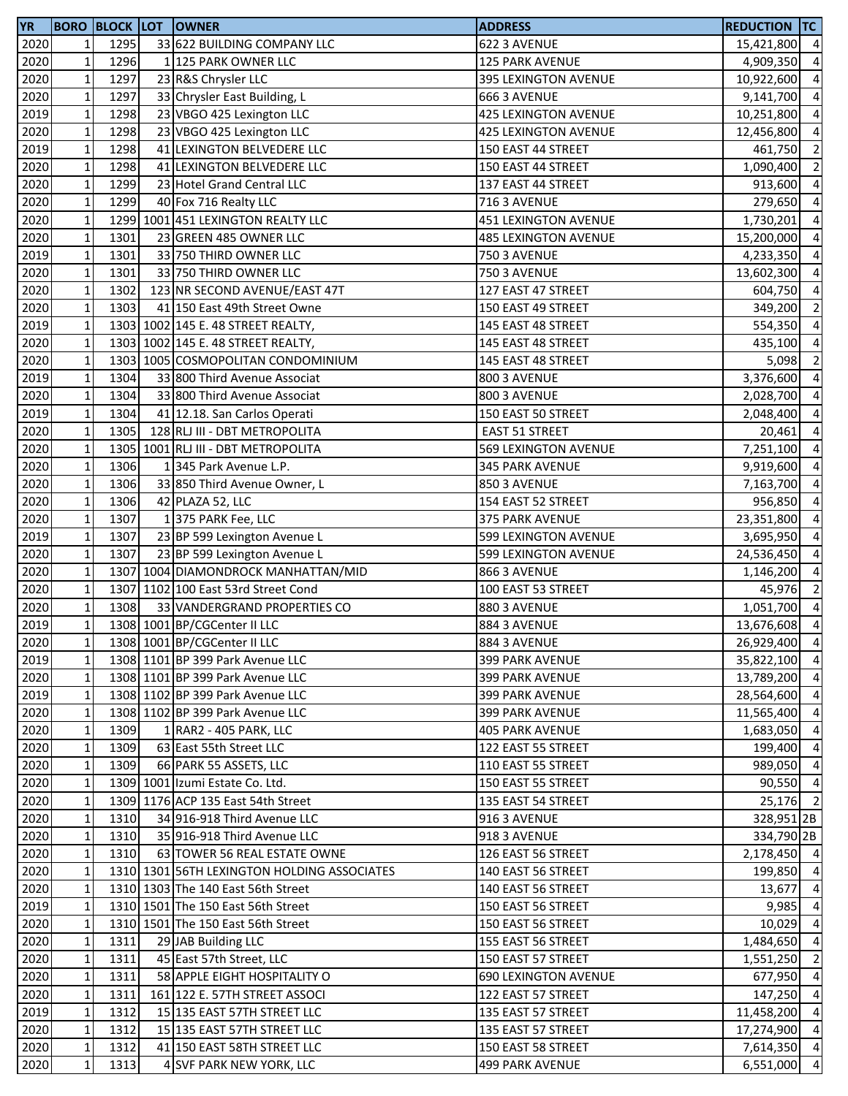| 2020<br>$\mathbf{1}$<br>1295<br>33 622 BUILDING COMPANY LLC<br>622 3 AVENUE<br>15,421,800 4<br>2020<br>$\mathbf 1$<br>1296<br>1 125 PARK OWNER LLC<br><b>125 PARK AVENUE</b><br>4,909,350<br>$\overline{4}$<br>2020<br>$\mathbf 1$<br>1297<br>23 R&S Chrysler LLC<br>395 LEXINGTON AVENUE<br>10,922,600<br>2020<br>$\mathbf 1$<br>1297<br>9,141,700<br>33 Chrysler East Building, L<br>666 3 AVENUE<br>$\mathbf 1$<br>$\overline{4}$<br>2019<br>1298<br>23 VBGO 425 Lexington LLC<br>425 LEXINGTON AVENUE<br>10,251,800<br>$\mathbf 1$<br>2020<br>1298<br>$\overline{4}$<br>23 VBGO 425 Lexington LLC<br>425 LEXINGTON AVENUE<br>12,456,800<br>2019<br>$\mathbf 1$<br>1298<br>$\overline{2}$<br>41 LEXINGTON BELVEDERE LLC<br>150 EAST 44 STREET<br>461,750<br>$\overline{2}$<br>2020<br>$\mathbf 1$<br>1298<br>41 LEXINGTON BELVEDERE LLC<br>150 EAST 44 STREET<br>1,090,400<br>$\mathbf 1$<br>$\overline{4}$<br>2020<br>1299<br>23 Hotel Grand Central LLC<br>137 EAST 44 STREET<br>913,600<br>2020<br>$\mathbf 1$<br>1299<br>$\overline{4}$<br>40 Fox 716 Realty LLC<br>716 3 AVENUE<br>279,650<br>$\mathbf 1$<br>$\overline{4}$<br>2020<br>1299 1001 451 LEXINGTON REALTY LLC<br>451 LEXINGTON AVENUE<br>1,730,201<br>$\mathbf 1$<br>1301<br>15,200,000 4<br>2020<br>23 GREEN 485 OWNER LLC<br><b>485 LEXINGTON AVENUE</b><br>$\mathbf 1$<br>2019<br>4,233,350 4<br>1301<br>33 750 THIRD OWNER LLC<br><b>750 3 AVENUE</b><br>$\mathbf 1$<br>1301<br>$\overline{4}$<br>2020<br>33 750 THIRD OWNER LLC<br><b>750 3 AVENUE</b><br>13,602,300<br>$\mathbf 1$<br>$\overline{4}$<br>2020<br>1302<br>123 NR SECOND AVENUE/EAST 47T<br>127 EAST 47 STREET<br>604,750<br>$\mathbf 1$<br>2020<br>$\overline{2}$<br>1303<br>41 150 East 49th Street Owne<br>150 EAST 49 STREET<br>349,200<br>$\mathbf 1$<br>2019<br>$\overline{4}$<br>1303 1002 145 E. 48 STREET REALTY,<br>145 EAST 48 STREET<br>554,350<br>2020<br>$\mathbf{1}$<br>$\overline{4}$<br>1303 1002 145 E. 48 STREET REALTY,<br>145 EAST 48 STREET<br>435,100<br>$\overline{2}$<br>2020<br>$\mathbf 1$<br>1303 1005 COSMOPOLITAN CONDOMINIUM<br>145 EAST 48 STREET<br>5,098<br>3,376,600 4<br>2019<br>$\mathbf 1$<br>1304<br>33 800 Third Avenue Associat<br>800 3 AVENUE<br>2020<br>$\mathbf 1$<br>2,028,700 4<br>1304<br>33 800 Third Avenue Associat<br>800 3 AVENUE<br>$\mathbf 1$<br>$\overline{4}$<br>2019<br>1304<br>41 12.18. San Carlos Operati<br>150 EAST 50 STREET<br>2,048,400<br>$\mathbf 1$<br>2020<br>1305<br>$\overline{4}$<br>128 RLJ III - DBT METROPOLITA<br>20,461<br><b>EAST 51 STREET</b><br>2020<br>$\mathbf 1$<br>$\overline{4}$<br>1305 1001 RLJ III - DBT METROPOLITA<br>569 LEXINGTON AVENUE<br>7,251,100<br>2020<br>$\mathbf 1$<br>1306<br>1 345 Park Avenue L.P.<br>$\overline{4}$<br>345 PARK AVENUE<br>9,919,600<br>$\mathbf 1$<br>2020<br>1306<br>$\overline{4}$<br>33 850 Third Avenue Owner, L<br>850 3 AVENUE<br>7,163,700<br>$\mathbf 1$<br>1306<br>$\overline{a}$<br>2020<br>154 EAST 52 STREET<br>42 PLAZA 52, LLC<br>956,850<br>$\mathbf 1$<br>1307<br>$\overline{a}$<br>2020<br>1375 PARK Fee, LLC<br>375 PARK AVENUE<br>23,351,800<br>$\mathbf 1$<br>1307<br>2019<br>599 LEXINGTON AVENUE<br>$\overline{4}$<br>23 BP 599 Lexington Avenue L<br>3,695,950<br>$\mathbf 1$<br>$\overline{4}$<br>2020<br>1307<br>23 BP 599 Lexington Avenue L<br>599 LEXINGTON AVENUE<br>24,536,450<br>$\mathbf 1$<br>1307 1004 DIAMONDROCK MANHATTAN/MID<br>$\overline{4}$<br>2020<br>866 3 AVENUE<br>1,146,200<br>$\mathbf 1$<br>2020<br>$\overline{2}$<br>1307 1102 100 East 53rd Street Cond<br>100 EAST 53 STREET<br>45,976<br>$\mathbf 1$<br>1,051,700 4<br>2020<br>1308<br>33 VANDERGRAND PROPERTIES CO<br>880 3 AVENUE<br>$\mathbf 1$<br>$\overline{4}$<br>2019<br>1308 1001 BP/CGCenter II LLC<br>884 3 AVENUE<br>13,676,608<br>2020<br>1308 1001 BP/CGCenter II LLC<br>884 3 AVENUE<br>26,929,400 4<br>11<br>$\mathbf 1$<br>35,822,100 4<br>2019<br>1308 1101 BP 399 Park Avenue LLC<br>399 PARK AVENUE<br>2020<br>$\mathbf 1$<br>1308 1101 BP 399 Park Avenue LLC<br>13,789,200 4<br>399 PARK AVENUE<br>$\mathbf 1$<br>2019<br>1308 1102 BP 399 Park Avenue LLC<br>28,564,600 4<br><b>399 PARK AVENUE</b><br>$\mathbf 1$<br>2020<br>1308 1102 BP 399 Park Avenue LLC<br>11,565,400 4<br>399 PARK AVENUE<br>$\mathbf 1$<br>1,683,050 4<br>2020<br>1309<br>1 RAR2 - 405 PARK, LLC<br><b>405 PARK AVENUE</b><br>$\mathbf 1$<br>2020<br>$\overline{4}$<br>1309<br>63 East 55th Street LLC<br>122 EAST 55 STREET<br>199,400<br>$\mathbf 1$<br>989,050 4<br>2020<br>1309<br>66 PARK 55 ASSETS, LLC<br>110 EAST 55 STREET<br>$\mathbf 1$<br>2020<br>1309 1001 Izumi Estate Co. Ltd.<br>150 EAST 55 STREET<br>90,550 4<br>25,176 2<br>2020<br>$\mathbf 1$<br>1309 1176 ACP 135 East 54th Street<br>135 EAST 54 STREET<br>$\mathbf 1$<br>2020<br>34 916-918 Third Avenue LLC<br>328,951 2B<br>1310<br>916 3 AVENUE<br>2020<br>$\mathbf 1$<br>1310<br>35 916-918 Third Avenue LLC<br>918 3 AVENUE<br>334,790 2B<br>$\mathbf 1$<br>2020<br>2,178,450 4<br>1310<br>63 TOWER 56 REAL ESTATE OWNE<br>126 EAST 56 STREET<br>$\mathbf 1$<br>2020<br>1310 1301 56TH LEXINGTON HOLDING ASSOCIATES<br>199,850 4<br>140 EAST 56 STREET<br>$\overline{4}$<br>2020<br>$\mathbf{1}$<br>1310 1303 The 140 East 56th Street<br>140 EAST 56 STREET<br>13,677<br>$\overline{4}$<br>2019<br>$\mathbf{1}$<br>1310 1501 The 150 East 56th Street<br>150 EAST 56 STREET<br>9,985<br>2020<br>$\mathbf{1}$<br>$\overline{4}$<br>1310 1501 The 150 East 56th Street<br>150 EAST 56 STREET<br>10,029<br>$\mathbf 1$<br>$\overline{4}$<br>2020<br>1311<br>29 JAB Building LLC<br>155 EAST 56 STREET<br>1,484,650<br>$\mathbf 1$<br>2020<br>1311<br>45 East 57th Street, LLC<br>150 EAST 57 STREET<br>$\overline{2}$<br>1,551,250<br>$\mathbf 1$<br>2020<br>677,950 4<br>1311<br>58 APPLE EIGHT HOSPITALITY O<br><b>690 LEXINGTON AVENUE</b><br>$\mathbf 1$<br>2020<br>1311<br>147,250 4<br>161 122 E. 57TH STREET ASSOCI<br>122 EAST 57 STREET<br>$\mathbf 1$<br>$\overline{4}$<br>2019<br>1312<br>11,458,200<br>15 135 EAST 57TH STREET LLC<br>135 EAST 57 STREET<br>$\mathbf 1$<br>$\overline{4}$<br>2020<br>1312<br>15 135 EAST 57TH STREET LLC<br>135 EAST 57 STREET<br>17,274,900<br>$\mathbf 1$<br>2020<br>41 150 EAST 58TH STREET LLC<br>7,614,350 4<br>1312<br>150 EAST 58 STREET<br>$\mathbf 1$<br>6,551,000 4<br>2020<br>1313<br>4 SVF PARK NEW YORK, LLC<br>499 PARK AVENUE | <b>YR</b> |  | <b>BORO BLOCK LOT OWNER</b> | <b>ADDRESS</b> | <b>REDUCTION TC</b> |                |
|-------------------------------------------------------------------------------------------------------------------------------------------------------------------------------------------------------------------------------------------------------------------------------------------------------------------------------------------------------------------------------------------------------------------------------------------------------------------------------------------------------------------------------------------------------------------------------------------------------------------------------------------------------------------------------------------------------------------------------------------------------------------------------------------------------------------------------------------------------------------------------------------------------------------------------------------------------------------------------------------------------------------------------------------------------------------------------------------------------------------------------------------------------------------------------------------------------------------------------------------------------------------------------------------------------------------------------------------------------------------------------------------------------------------------------------------------------------------------------------------------------------------------------------------------------------------------------------------------------------------------------------------------------------------------------------------------------------------------------------------------------------------------------------------------------------------------------------------------------------------------------------------------------------------------------------------------------------------------------------------------------------------------------------------------------------------------------------------------------------------------------------------------------------------------------------------------------------------------------------------------------------------------------------------------------------------------------------------------------------------------------------------------------------------------------------------------------------------------------------------------------------------------------------------------------------------------------------------------------------------------------------------------------------------------------------------------------------------------------------------------------------------------------------------------------------------------------------------------------------------------------------------------------------------------------------------------------------------------------------------------------------------------------------------------------------------------------------------------------------------------------------------------------------------------------------------------------------------------------------------------------------------------------------------------------------------------------------------------------------------------------------------------------------------------------------------------------------------------------------------------------------------------------------------------------------------------------------------------------------------------------------------------------------------------------------------------------------------------------------------------------------------------------------------------------------------------------------------------------------------------------------------------------------------------------------------------------------------------------------------------------------------------------------------------------------------------------------------------------------------------------------------------------------------------------------------------------------------------------------------------------------------------------------------------------------------------------------------------------------------------------------------------------------------------------------------------------------------------------------------------------------------------------------------------------------------------------------------------------------------------------------------------------------------------------------------------------------------------------------------------------------------------------------------------------------------------------------------------------------------------------------------------------------------------------------------------------------------------------------------------------------------------------------------------------------------------------------------------------------------------------------------------------------------------------------------------------------------------------------------------------------------------------------------------------------------------------------------------------------------------------------------------------------------------------------------------------------------------------------------------------------------------------------------------------------------------------------------------------------------------------------------------------------------------------------------------------------------------------------------------------------------------------------------------------------------------------------------------------------------------------------------------------------------------------------------------------------------------------------------------------------------------------------------------------------------------------------------------------------------------------------------------------------------------------------------------------------------------------------------------------------------------------------------------------------------------------------------------------------------------------------------------------------------------------------------|-----------|--|-----------------------------|----------------|---------------------|----------------|
|                                                                                                                                                                                                                                                                                                                                                                                                                                                                                                                                                                                                                                                                                                                                                                                                                                                                                                                                                                                                                                                                                                                                                                                                                                                                                                                                                                                                                                                                                                                                                                                                                                                                                                                                                                                                                                                                                                                                                                                                                                                                                                                                                                                                                                                                                                                                                                                                                                                                                                                                                                                                                                                                                                                                                                                                                                                                                                                                                                                                                                                                                                                                                                                                                                                                                                                                                                                                                                                                                                                                                                                                                                                                                                                                                                                                                                                                                                                                                                                                                                                                                                                                                                                                                                                                                                                                                                                                                                                                                                                                                                                                                                                                                                                                                                                                                                                                                                                                                                                                                                                                                                                                                                                                                                                                                                                                                                                                                                                                                                                                                                                                                                                                                                                                                                                                                                                                                                                                                                                                                                                                                                                                                                                                                                                                                                                                                                                                                                           |           |  |                             |                |                     |                |
|                                                                                                                                                                                                                                                                                                                                                                                                                                                                                                                                                                                                                                                                                                                                                                                                                                                                                                                                                                                                                                                                                                                                                                                                                                                                                                                                                                                                                                                                                                                                                                                                                                                                                                                                                                                                                                                                                                                                                                                                                                                                                                                                                                                                                                                                                                                                                                                                                                                                                                                                                                                                                                                                                                                                                                                                                                                                                                                                                                                                                                                                                                                                                                                                                                                                                                                                                                                                                                                                                                                                                                                                                                                                                                                                                                                                                                                                                                                                                                                                                                                                                                                                                                                                                                                                                                                                                                                                                                                                                                                                                                                                                                                                                                                                                                                                                                                                                                                                                                                                                                                                                                                                                                                                                                                                                                                                                                                                                                                                                                                                                                                                                                                                                                                                                                                                                                                                                                                                                                                                                                                                                                                                                                                                                                                                                                                                                                                                                                           |           |  |                             |                |                     | $\overline{4}$ |
|                                                                                                                                                                                                                                                                                                                                                                                                                                                                                                                                                                                                                                                                                                                                                                                                                                                                                                                                                                                                                                                                                                                                                                                                                                                                                                                                                                                                                                                                                                                                                                                                                                                                                                                                                                                                                                                                                                                                                                                                                                                                                                                                                                                                                                                                                                                                                                                                                                                                                                                                                                                                                                                                                                                                                                                                                                                                                                                                                                                                                                                                                                                                                                                                                                                                                                                                                                                                                                                                                                                                                                                                                                                                                                                                                                                                                                                                                                                                                                                                                                                                                                                                                                                                                                                                                                                                                                                                                                                                                                                                                                                                                                                                                                                                                                                                                                                                                                                                                                                                                                                                                                                                                                                                                                                                                                                                                                                                                                                                                                                                                                                                                                                                                                                                                                                                                                                                                                                                                                                                                                                                                                                                                                                                                                                                                                                                                                                                                                           |           |  |                             |                |                     |                |
|                                                                                                                                                                                                                                                                                                                                                                                                                                                                                                                                                                                                                                                                                                                                                                                                                                                                                                                                                                                                                                                                                                                                                                                                                                                                                                                                                                                                                                                                                                                                                                                                                                                                                                                                                                                                                                                                                                                                                                                                                                                                                                                                                                                                                                                                                                                                                                                                                                                                                                                                                                                                                                                                                                                                                                                                                                                                                                                                                                                                                                                                                                                                                                                                                                                                                                                                                                                                                                                                                                                                                                                                                                                                                                                                                                                                                                                                                                                                                                                                                                                                                                                                                                                                                                                                                                                                                                                                                                                                                                                                                                                                                                                                                                                                                                                                                                                                                                                                                                                                                                                                                                                                                                                                                                                                                                                                                                                                                                                                                                                                                                                                                                                                                                                                                                                                                                                                                                                                                                                                                                                                                                                                                                                                                                                                                                                                                                                                                                           |           |  |                             |                |                     | $\overline{4}$ |
|                                                                                                                                                                                                                                                                                                                                                                                                                                                                                                                                                                                                                                                                                                                                                                                                                                                                                                                                                                                                                                                                                                                                                                                                                                                                                                                                                                                                                                                                                                                                                                                                                                                                                                                                                                                                                                                                                                                                                                                                                                                                                                                                                                                                                                                                                                                                                                                                                                                                                                                                                                                                                                                                                                                                                                                                                                                                                                                                                                                                                                                                                                                                                                                                                                                                                                                                                                                                                                                                                                                                                                                                                                                                                                                                                                                                                                                                                                                                                                                                                                                                                                                                                                                                                                                                                                                                                                                                                                                                                                                                                                                                                                                                                                                                                                                                                                                                                                                                                                                                                                                                                                                                                                                                                                                                                                                                                                                                                                                                                                                                                                                                                                                                                                                                                                                                                                                                                                                                                                                                                                                                                                                                                                                                                                                                                                                                                                                                                                           |           |  |                             |                |                     |                |
|                                                                                                                                                                                                                                                                                                                                                                                                                                                                                                                                                                                                                                                                                                                                                                                                                                                                                                                                                                                                                                                                                                                                                                                                                                                                                                                                                                                                                                                                                                                                                                                                                                                                                                                                                                                                                                                                                                                                                                                                                                                                                                                                                                                                                                                                                                                                                                                                                                                                                                                                                                                                                                                                                                                                                                                                                                                                                                                                                                                                                                                                                                                                                                                                                                                                                                                                                                                                                                                                                                                                                                                                                                                                                                                                                                                                                                                                                                                                                                                                                                                                                                                                                                                                                                                                                                                                                                                                                                                                                                                                                                                                                                                                                                                                                                                                                                                                                                                                                                                                                                                                                                                                                                                                                                                                                                                                                                                                                                                                                                                                                                                                                                                                                                                                                                                                                                                                                                                                                                                                                                                                                                                                                                                                                                                                                                                                                                                                                                           |           |  |                             |                |                     |                |
|                                                                                                                                                                                                                                                                                                                                                                                                                                                                                                                                                                                                                                                                                                                                                                                                                                                                                                                                                                                                                                                                                                                                                                                                                                                                                                                                                                                                                                                                                                                                                                                                                                                                                                                                                                                                                                                                                                                                                                                                                                                                                                                                                                                                                                                                                                                                                                                                                                                                                                                                                                                                                                                                                                                                                                                                                                                                                                                                                                                                                                                                                                                                                                                                                                                                                                                                                                                                                                                                                                                                                                                                                                                                                                                                                                                                                                                                                                                                                                                                                                                                                                                                                                                                                                                                                                                                                                                                                                                                                                                                                                                                                                                                                                                                                                                                                                                                                                                                                                                                                                                                                                                                                                                                                                                                                                                                                                                                                                                                                                                                                                                                                                                                                                                                                                                                                                                                                                                                                                                                                                                                                                                                                                                                                                                                                                                                                                                                                                           |           |  |                             |                |                     |                |
|                                                                                                                                                                                                                                                                                                                                                                                                                                                                                                                                                                                                                                                                                                                                                                                                                                                                                                                                                                                                                                                                                                                                                                                                                                                                                                                                                                                                                                                                                                                                                                                                                                                                                                                                                                                                                                                                                                                                                                                                                                                                                                                                                                                                                                                                                                                                                                                                                                                                                                                                                                                                                                                                                                                                                                                                                                                                                                                                                                                                                                                                                                                                                                                                                                                                                                                                                                                                                                                                                                                                                                                                                                                                                                                                                                                                                                                                                                                                                                                                                                                                                                                                                                                                                                                                                                                                                                                                                                                                                                                                                                                                                                                                                                                                                                                                                                                                                                                                                                                                                                                                                                                                                                                                                                                                                                                                                                                                                                                                                                                                                                                                                                                                                                                                                                                                                                                                                                                                                                                                                                                                                                                                                                                                                                                                                                                                                                                                                                           |           |  |                             |                |                     |                |
|                                                                                                                                                                                                                                                                                                                                                                                                                                                                                                                                                                                                                                                                                                                                                                                                                                                                                                                                                                                                                                                                                                                                                                                                                                                                                                                                                                                                                                                                                                                                                                                                                                                                                                                                                                                                                                                                                                                                                                                                                                                                                                                                                                                                                                                                                                                                                                                                                                                                                                                                                                                                                                                                                                                                                                                                                                                                                                                                                                                                                                                                                                                                                                                                                                                                                                                                                                                                                                                                                                                                                                                                                                                                                                                                                                                                                                                                                                                                                                                                                                                                                                                                                                                                                                                                                                                                                                                                                                                                                                                                                                                                                                                                                                                                                                                                                                                                                                                                                                                                                                                                                                                                                                                                                                                                                                                                                                                                                                                                                                                                                                                                                                                                                                                                                                                                                                                                                                                                                                                                                                                                                                                                                                                                                                                                                                                                                                                                                                           |           |  |                             |                |                     |                |
|                                                                                                                                                                                                                                                                                                                                                                                                                                                                                                                                                                                                                                                                                                                                                                                                                                                                                                                                                                                                                                                                                                                                                                                                                                                                                                                                                                                                                                                                                                                                                                                                                                                                                                                                                                                                                                                                                                                                                                                                                                                                                                                                                                                                                                                                                                                                                                                                                                                                                                                                                                                                                                                                                                                                                                                                                                                                                                                                                                                                                                                                                                                                                                                                                                                                                                                                                                                                                                                                                                                                                                                                                                                                                                                                                                                                                                                                                                                                                                                                                                                                                                                                                                                                                                                                                                                                                                                                                                                                                                                                                                                                                                                                                                                                                                                                                                                                                                                                                                                                                                                                                                                                                                                                                                                                                                                                                                                                                                                                                                                                                                                                                                                                                                                                                                                                                                                                                                                                                                                                                                                                                                                                                                                                                                                                                                                                                                                                                                           |           |  |                             |                |                     |                |
|                                                                                                                                                                                                                                                                                                                                                                                                                                                                                                                                                                                                                                                                                                                                                                                                                                                                                                                                                                                                                                                                                                                                                                                                                                                                                                                                                                                                                                                                                                                                                                                                                                                                                                                                                                                                                                                                                                                                                                                                                                                                                                                                                                                                                                                                                                                                                                                                                                                                                                                                                                                                                                                                                                                                                                                                                                                                                                                                                                                                                                                                                                                                                                                                                                                                                                                                                                                                                                                                                                                                                                                                                                                                                                                                                                                                                                                                                                                                                                                                                                                                                                                                                                                                                                                                                                                                                                                                                                                                                                                                                                                                                                                                                                                                                                                                                                                                                                                                                                                                                                                                                                                                                                                                                                                                                                                                                                                                                                                                                                                                                                                                                                                                                                                                                                                                                                                                                                                                                                                                                                                                                                                                                                                                                                                                                                                                                                                                                                           |           |  |                             |                |                     |                |
|                                                                                                                                                                                                                                                                                                                                                                                                                                                                                                                                                                                                                                                                                                                                                                                                                                                                                                                                                                                                                                                                                                                                                                                                                                                                                                                                                                                                                                                                                                                                                                                                                                                                                                                                                                                                                                                                                                                                                                                                                                                                                                                                                                                                                                                                                                                                                                                                                                                                                                                                                                                                                                                                                                                                                                                                                                                                                                                                                                                                                                                                                                                                                                                                                                                                                                                                                                                                                                                                                                                                                                                                                                                                                                                                                                                                                                                                                                                                                                                                                                                                                                                                                                                                                                                                                                                                                                                                                                                                                                                                                                                                                                                                                                                                                                                                                                                                                                                                                                                                                                                                                                                                                                                                                                                                                                                                                                                                                                                                                                                                                                                                                                                                                                                                                                                                                                                                                                                                                                                                                                                                                                                                                                                                                                                                                                                                                                                                                                           |           |  |                             |                |                     |                |
|                                                                                                                                                                                                                                                                                                                                                                                                                                                                                                                                                                                                                                                                                                                                                                                                                                                                                                                                                                                                                                                                                                                                                                                                                                                                                                                                                                                                                                                                                                                                                                                                                                                                                                                                                                                                                                                                                                                                                                                                                                                                                                                                                                                                                                                                                                                                                                                                                                                                                                                                                                                                                                                                                                                                                                                                                                                                                                                                                                                                                                                                                                                                                                                                                                                                                                                                                                                                                                                                                                                                                                                                                                                                                                                                                                                                                                                                                                                                                                                                                                                                                                                                                                                                                                                                                                                                                                                                                                                                                                                                                                                                                                                                                                                                                                                                                                                                                                                                                                                                                                                                                                                                                                                                                                                                                                                                                                                                                                                                                                                                                                                                                                                                                                                                                                                                                                                                                                                                                                                                                                                                                                                                                                                                                                                                                                                                                                                                                                           |           |  |                             |                |                     |                |
|                                                                                                                                                                                                                                                                                                                                                                                                                                                                                                                                                                                                                                                                                                                                                                                                                                                                                                                                                                                                                                                                                                                                                                                                                                                                                                                                                                                                                                                                                                                                                                                                                                                                                                                                                                                                                                                                                                                                                                                                                                                                                                                                                                                                                                                                                                                                                                                                                                                                                                                                                                                                                                                                                                                                                                                                                                                                                                                                                                                                                                                                                                                                                                                                                                                                                                                                                                                                                                                                                                                                                                                                                                                                                                                                                                                                                                                                                                                                                                                                                                                                                                                                                                                                                                                                                                                                                                                                                                                                                                                                                                                                                                                                                                                                                                                                                                                                                                                                                                                                                                                                                                                                                                                                                                                                                                                                                                                                                                                                                                                                                                                                                                                                                                                                                                                                                                                                                                                                                                                                                                                                                                                                                                                                                                                                                                                                                                                                                                           |           |  |                             |                |                     |                |
|                                                                                                                                                                                                                                                                                                                                                                                                                                                                                                                                                                                                                                                                                                                                                                                                                                                                                                                                                                                                                                                                                                                                                                                                                                                                                                                                                                                                                                                                                                                                                                                                                                                                                                                                                                                                                                                                                                                                                                                                                                                                                                                                                                                                                                                                                                                                                                                                                                                                                                                                                                                                                                                                                                                                                                                                                                                                                                                                                                                                                                                                                                                                                                                                                                                                                                                                                                                                                                                                                                                                                                                                                                                                                                                                                                                                                                                                                                                                                                                                                                                                                                                                                                                                                                                                                                                                                                                                                                                                                                                                                                                                                                                                                                                                                                                                                                                                                                                                                                                                                                                                                                                                                                                                                                                                                                                                                                                                                                                                                                                                                                                                                                                                                                                                                                                                                                                                                                                                                                                                                                                                                                                                                                                                                                                                                                                                                                                                                                           |           |  |                             |                |                     |                |
|                                                                                                                                                                                                                                                                                                                                                                                                                                                                                                                                                                                                                                                                                                                                                                                                                                                                                                                                                                                                                                                                                                                                                                                                                                                                                                                                                                                                                                                                                                                                                                                                                                                                                                                                                                                                                                                                                                                                                                                                                                                                                                                                                                                                                                                                                                                                                                                                                                                                                                                                                                                                                                                                                                                                                                                                                                                                                                                                                                                                                                                                                                                                                                                                                                                                                                                                                                                                                                                                                                                                                                                                                                                                                                                                                                                                                                                                                                                                                                                                                                                                                                                                                                                                                                                                                                                                                                                                                                                                                                                                                                                                                                                                                                                                                                                                                                                                                                                                                                                                                                                                                                                                                                                                                                                                                                                                                                                                                                                                                                                                                                                                                                                                                                                                                                                                                                                                                                                                                                                                                                                                                                                                                                                                                                                                                                                                                                                                                                           |           |  |                             |                |                     |                |
|                                                                                                                                                                                                                                                                                                                                                                                                                                                                                                                                                                                                                                                                                                                                                                                                                                                                                                                                                                                                                                                                                                                                                                                                                                                                                                                                                                                                                                                                                                                                                                                                                                                                                                                                                                                                                                                                                                                                                                                                                                                                                                                                                                                                                                                                                                                                                                                                                                                                                                                                                                                                                                                                                                                                                                                                                                                                                                                                                                                                                                                                                                                                                                                                                                                                                                                                                                                                                                                                                                                                                                                                                                                                                                                                                                                                                                                                                                                                                                                                                                                                                                                                                                                                                                                                                                                                                                                                                                                                                                                                                                                                                                                                                                                                                                                                                                                                                                                                                                                                                                                                                                                                                                                                                                                                                                                                                                                                                                                                                                                                                                                                                                                                                                                                                                                                                                                                                                                                                                                                                                                                                                                                                                                                                                                                                                                                                                                                                                           |           |  |                             |                |                     |                |
|                                                                                                                                                                                                                                                                                                                                                                                                                                                                                                                                                                                                                                                                                                                                                                                                                                                                                                                                                                                                                                                                                                                                                                                                                                                                                                                                                                                                                                                                                                                                                                                                                                                                                                                                                                                                                                                                                                                                                                                                                                                                                                                                                                                                                                                                                                                                                                                                                                                                                                                                                                                                                                                                                                                                                                                                                                                                                                                                                                                                                                                                                                                                                                                                                                                                                                                                                                                                                                                                                                                                                                                                                                                                                                                                                                                                                                                                                                                                                                                                                                                                                                                                                                                                                                                                                                                                                                                                                                                                                                                                                                                                                                                                                                                                                                                                                                                                                                                                                                                                                                                                                                                                                                                                                                                                                                                                                                                                                                                                                                                                                                                                                                                                                                                                                                                                                                                                                                                                                                                                                                                                                                                                                                                                                                                                                                                                                                                                                                           |           |  |                             |                |                     |                |
|                                                                                                                                                                                                                                                                                                                                                                                                                                                                                                                                                                                                                                                                                                                                                                                                                                                                                                                                                                                                                                                                                                                                                                                                                                                                                                                                                                                                                                                                                                                                                                                                                                                                                                                                                                                                                                                                                                                                                                                                                                                                                                                                                                                                                                                                                                                                                                                                                                                                                                                                                                                                                                                                                                                                                                                                                                                                                                                                                                                                                                                                                                                                                                                                                                                                                                                                                                                                                                                                                                                                                                                                                                                                                                                                                                                                                                                                                                                                                                                                                                                                                                                                                                                                                                                                                                                                                                                                                                                                                                                                                                                                                                                                                                                                                                                                                                                                                                                                                                                                                                                                                                                                                                                                                                                                                                                                                                                                                                                                                                                                                                                                                                                                                                                                                                                                                                                                                                                                                                                                                                                                                                                                                                                                                                                                                                                                                                                                                                           |           |  |                             |                |                     |                |
|                                                                                                                                                                                                                                                                                                                                                                                                                                                                                                                                                                                                                                                                                                                                                                                                                                                                                                                                                                                                                                                                                                                                                                                                                                                                                                                                                                                                                                                                                                                                                                                                                                                                                                                                                                                                                                                                                                                                                                                                                                                                                                                                                                                                                                                                                                                                                                                                                                                                                                                                                                                                                                                                                                                                                                                                                                                                                                                                                                                                                                                                                                                                                                                                                                                                                                                                                                                                                                                                                                                                                                                                                                                                                                                                                                                                                                                                                                                                                                                                                                                                                                                                                                                                                                                                                                                                                                                                                                                                                                                                                                                                                                                                                                                                                                                                                                                                                                                                                                                                                                                                                                                                                                                                                                                                                                                                                                                                                                                                                                                                                                                                                                                                                                                                                                                                                                                                                                                                                                                                                                                                                                                                                                                                                                                                                                                                                                                                                                           |           |  |                             |                |                     |                |
|                                                                                                                                                                                                                                                                                                                                                                                                                                                                                                                                                                                                                                                                                                                                                                                                                                                                                                                                                                                                                                                                                                                                                                                                                                                                                                                                                                                                                                                                                                                                                                                                                                                                                                                                                                                                                                                                                                                                                                                                                                                                                                                                                                                                                                                                                                                                                                                                                                                                                                                                                                                                                                                                                                                                                                                                                                                                                                                                                                                                                                                                                                                                                                                                                                                                                                                                                                                                                                                                                                                                                                                                                                                                                                                                                                                                                                                                                                                                                                                                                                                                                                                                                                                                                                                                                                                                                                                                                                                                                                                                                                                                                                                                                                                                                                                                                                                                                                                                                                                                                                                                                                                                                                                                                                                                                                                                                                                                                                                                                                                                                                                                                                                                                                                                                                                                                                                                                                                                                                                                                                                                                                                                                                                                                                                                                                                                                                                                                                           |           |  |                             |                |                     |                |
|                                                                                                                                                                                                                                                                                                                                                                                                                                                                                                                                                                                                                                                                                                                                                                                                                                                                                                                                                                                                                                                                                                                                                                                                                                                                                                                                                                                                                                                                                                                                                                                                                                                                                                                                                                                                                                                                                                                                                                                                                                                                                                                                                                                                                                                                                                                                                                                                                                                                                                                                                                                                                                                                                                                                                                                                                                                                                                                                                                                                                                                                                                                                                                                                                                                                                                                                                                                                                                                                                                                                                                                                                                                                                                                                                                                                                                                                                                                                                                                                                                                                                                                                                                                                                                                                                                                                                                                                                                                                                                                                                                                                                                                                                                                                                                                                                                                                                                                                                                                                                                                                                                                                                                                                                                                                                                                                                                                                                                                                                                                                                                                                                                                                                                                                                                                                                                                                                                                                                                                                                                                                                                                                                                                                                                                                                                                                                                                                                                           |           |  |                             |                |                     |                |
|                                                                                                                                                                                                                                                                                                                                                                                                                                                                                                                                                                                                                                                                                                                                                                                                                                                                                                                                                                                                                                                                                                                                                                                                                                                                                                                                                                                                                                                                                                                                                                                                                                                                                                                                                                                                                                                                                                                                                                                                                                                                                                                                                                                                                                                                                                                                                                                                                                                                                                                                                                                                                                                                                                                                                                                                                                                                                                                                                                                                                                                                                                                                                                                                                                                                                                                                                                                                                                                                                                                                                                                                                                                                                                                                                                                                                                                                                                                                                                                                                                                                                                                                                                                                                                                                                                                                                                                                                                                                                                                                                                                                                                                                                                                                                                                                                                                                                                                                                                                                                                                                                                                                                                                                                                                                                                                                                                                                                                                                                                                                                                                                                                                                                                                                                                                                                                                                                                                                                                                                                                                                                                                                                                                                                                                                                                                                                                                                                                           |           |  |                             |                |                     |                |
|                                                                                                                                                                                                                                                                                                                                                                                                                                                                                                                                                                                                                                                                                                                                                                                                                                                                                                                                                                                                                                                                                                                                                                                                                                                                                                                                                                                                                                                                                                                                                                                                                                                                                                                                                                                                                                                                                                                                                                                                                                                                                                                                                                                                                                                                                                                                                                                                                                                                                                                                                                                                                                                                                                                                                                                                                                                                                                                                                                                                                                                                                                                                                                                                                                                                                                                                                                                                                                                                                                                                                                                                                                                                                                                                                                                                                                                                                                                                                                                                                                                                                                                                                                                                                                                                                                                                                                                                                                                                                                                                                                                                                                                                                                                                                                                                                                                                                                                                                                                                                                                                                                                                                                                                                                                                                                                                                                                                                                                                                                                                                                                                                                                                                                                                                                                                                                                                                                                                                                                                                                                                                                                                                                                                                                                                                                                                                                                                                                           |           |  |                             |                |                     |                |
|                                                                                                                                                                                                                                                                                                                                                                                                                                                                                                                                                                                                                                                                                                                                                                                                                                                                                                                                                                                                                                                                                                                                                                                                                                                                                                                                                                                                                                                                                                                                                                                                                                                                                                                                                                                                                                                                                                                                                                                                                                                                                                                                                                                                                                                                                                                                                                                                                                                                                                                                                                                                                                                                                                                                                                                                                                                                                                                                                                                                                                                                                                                                                                                                                                                                                                                                                                                                                                                                                                                                                                                                                                                                                                                                                                                                                                                                                                                                                                                                                                                                                                                                                                                                                                                                                                                                                                                                                                                                                                                                                                                                                                                                                                                                                                                                                                                                                                                                                                                                                                                                                                                                                                                                                                                                                                                                                                                                                                                                                                                                                                                                                                                                                                                                                                                                                                                                                                                                                                                                                                                                                                                                                                                                                                                                                                                                                                                                                                           |           |  |                             |                |                     |                |
|                                                                                                                                                                                                                                                                                                                                                                                                                                                                                                                                                                                                                                                                                                                                                                                                                                                                                                                                                                                                                                                                                                                                                                                                                                                                                                                                                                                                                                                                                                                                                                                                                                                                                                                                                                                                                                                                                                                                                                                                                                                                                                                                                                                                                                                                                                                                                                                                                                                                                                                                                                                                                                                                                                                                                                                                                                                                                                                                                                                                                                                                                                                                                                                                                                                                                                                                                                                                                                                                                                                                                                                                                                                                                                                                                                                                                                                                                                                                                                                                                                                                                                                                                                                                                                                                                                                                                                                                                                                                                                                                                                                                                                                                                                                                                                                                                                                                                                                                                                                                                                                                                                                                                                                                                                                                                                                                                                                                                                                                                                                                                                                                                                                                                                                                                                                                                                                                                                                                                                                                                                                                                                                                                                                                                                                                                                                                                                                                                                           |           |  |                             |                |                     |                |
|                                                                                                                                                                                                                                                                                                                                                                                                                                                                                                                                                                                                                                                                                                                                                                                                                                                                                                                                                                                                                                                                                                                                                                                                                                                                                                                                                                                                                                                                                                                                                                                                                                                                                                                                                                                                                                                                                                                                                                                                                                                                                                                                                                                                                                                                                                                                                                                                                                                                                                                                                                                                                                                                                                                                                                                                                                                                                                                                                                                                                                                                                                                                                                                                                                                                                                                                                                                                                                                                                                                                                                                                                                                                                                                                                                                                                                                                                                                                                                                                                                                                                                                                                                                                                                                                                                                                                                                                                                                                                                                                                                                                                                                                                                                                                                                                                                                                                                                                                                                                                                                                                                                                                                                                                                                                                                                                                                                                                                                                                                                                                                                                                                                                                                                                                                                                                                                                                                                                                                                                                                                                                                                                                                                                                                                                                                                                                                                                                                           |           |  |                             |                |                     |                |
|                                                                                                                                                                                                                                                                                                                                                                                                                                                                                                                                                                                                                                                                                                                                                                                                                                                                                                                                                                                                                                                                                                                                                                                                                                                                                                                                                                                                                                                                                                                                                                                                                                                                                                                                                                                                                                                                                                                                                                                                                                                                                                                                                                                                                                                                                                                                                                                                                                                                                                                                                                                                                                                                                                                                                                                                                                                                                                                                                                                                                                                                                                                                                                                                                                                                                                                                                                                                                                                                                                                                                                                                                                                                                                                                                                                                                                                                                                                                                                                                                                                                                                                                                                                                                                                                                                                                                                                                                                                                                                                                                                                                                                                                                                                                                                                                                                                                                                                                                                                                                                                                                                                                                                                                                                                                                                                                                                                                                                                                                                                                                                                                                                                                                                                                                                                                                                                                                                                                                                                                                                                                                                                                                                                                                                                                                                                                                                                                                                           |           |  |                             |                |                     |                |
|                                                                                                                                                                                                                                                                                                                                                                                                                                                                                                                                                                                                                                                                                                                                                                                                                                                                                                                                                                                                                                                                                                                                                                                                                                                                                                                                                                                                                                                                                                                                                                                                                                                                                                                                                                                                                                                                                                                                                                                                                                                                                                                                                                                                                                                                                                                                                                                                                                                                                                                                                                                                                                                                                                                                                                                                                                                                                                                                                                                                                                                                                                                                                                                                                                                                                                                                                                                                                                                                                                                                                                                                                                                                                                                                                                                                                                                                                                                                                                                                                                                                                                                                                                                                                                                                                                                                                                                                                                                                                                                                                                                                                                                                                                                                                                                                                                                                                                                                                                                                                                                                                                                                                                                                                                                                                                                                                                                                                                                                                                                                                                                                                                                                                                                                                                                                                                                                                                                                                                                                                                                                                                                                                                                                                                                                                                                                                                                                                                           |           |  |                             |                |                     |                |
|                                                                                                                                                                                                                                                                                                                                                                                                                                                                                                                                                                                                                                                                                                                                                                                                                                                                                                                                                                                                                                                                                                                                                                                                                                                                                                                                                                                                                                                                                                                                                                                                                                                                                                                                                                                                                                                                                                                                                                                                                                                                                                                                                                                                                                                                                                                                                                                                                                                                                                                                                                                                                                                                                                                                                                                                                                                                                                                                                                                                                                                                                                                                                                                                                                                                                                                                                                                                                                                                                                                                                                                                                                                                                                                                                                                                                                                                                                                                                                                                                                                                                                                                                                                                                                                                                                                                                                                                                                                                                                                                                                                                                                                                                                                                                                                                                                                                                                                                                                                                                                                                                                                                                                                                                                                                                                                                                                                                                                                                                                                                                                                                                                                                                                                                                                                                                                                                                                                                                                                                                                                                                                                                                                                                                                                                                                                                                                                                                                           |           |  |                             |                |                     |                |
|                                                                                                                                                                                                                                                                                                                                                                                                                                                                                                                                                                                                                                                                                                                                                                                                                                                                                                                                                                                                                                                                                                                                                                                                                                                                                                                                                                                                                                                                                                                                                                                                                                                                                                                                                                                                                                                                                                                                                                                                                                                                                                                                                                                                                                                                                                                                                                                                                                                                                                                                                                                                                                                                                                                                                                                                                                                                                                                                                                                                                                                                                                                                                                                                                                                                                                                                                                                                                                                                                                                                                                                                                                                                                                                                                                                                                                                                                                                                                                                                                                                                                                                                                                                                                                                                                                                                                                                                                                                                                                                                                                                                                                                                                                                                                                                                                                                                                                                                                                                                                                                                                                                                                                                                                                                                                                                                                                                                                                                                                                                                                                                                                                                                                                                                                                                                                                                                                                                                                                                                                                                                                                                                                                                                                                                                                                                                                                                                                                           |           |  |                             |                |                     |                |
|                                                                                                                                                                                                                                                                                                                                                                                                                                                                                                                                                                                                                                                                                                                                                                                                                                                                                                                                                                                                                                                                                                                                                                                                                                                                                                                                                                                                                                                                                                                                                                                                                                                                                                                                                                                                                                                                                                                                                                                                                                                                                                                                                                                                                                                                                                                                                                                                                                                                                                                                                                                                                                                                                                                                                                                                                                                                                                                                                                                                                                                                                                                                                                                                                                                                                                                                                                                                                                                                                                                                                                                                                                                                                                                                                                                                                                                                                                                                                                                                                                                                                                                                                                                                                                                                                                                                                                                                                                                                                                                                                                                                                                                                                                                                                                                                                                                                                                                                                                                                                                                                                                                                                                                                                                                                                                                                                                                                                                                                                                                                                                                                                                                                                                                                                                                                                                                                                                                                                                                                                                                                                                                                                                                                                                                                                                                                                                                                                                           |           |  |                             |                |                     |                |
|                                                                                                                                                                                                                                                                                                                                                                                                                                                                                                                                                                                                                                                                                                                                                                                                                                                                                                                                                                                                                                                                                                                                                                                                                                                                                                                                                                                                                                                                                                                                                                                                                                                                                                                                                                                                                                                                                                                                                                                                                                                                                                                                                                                                                                                                                                                                                                                                                                                                                                                                                                                                                                                                                                                                                                                                                                                                                                                                                                                                                                                                                                                                                                                                                                                                                                                                                                                                                                                                                                                                                                                                                                                                                                                                                                                                                                                                                                                                                                                                                                                                                                                                                                                                                                                                                                                                                                                                                                                                                                                                                                                                                                                                                                                                                                                                                                                                                                                                                                                                                                                                                                                                                                                                                                                                                                                                                                                                                                                                                                                                                                                                                                                                                                                                                                                                                                                                                                                                                                                                                                                                                                                                                                                                                                                                                                                                                                                                                                           |           |  |                             |                |                     |                |
|                                                                                                                                                                                                                                                                                                                                                                                                                                                                                                                                                                                                                                                                                                                                                                                                                                                                                                                                                                                                                                                                                                                                                                                                                                                                                                                                                                                                                                                                                                                                                                                                                                                                                                                                                                                                                                                                                                                                                                                                                                                                                                                                                                                                                                                                                                                                                                                                                                                                                                                                                                                                                                                                                                                                                                                                                                                                                                                                                                                                                                                                                                                                                                                                                                                                                                                                                                                                                                                                                                                                                                                                                                                                                                                                                                                                                                                                                                                                                                                                                                                                                                                                                                                                                                                                                                                                                                                                                                                                                                                                                                                                                                                                                                                                                                                                                                                                                                                                                                                                                                                                                                                                                                                                                                                                                                                                                                                                                                                                                                                                                                                                                                                                                                                                                                                                                                                                                                                                                                                                                                                                                                                                                                                                                                                                                                                                                                                                                                           |           |  |                             |                |                     |                |
|                                                                                                                                                                                                                                                                                                                                                                                                                                                                                                                                                                                                                                                                                                                                                                                                                                                                                                                                                                                                                                                                                                                                                                                                                                                                                                                                                                                                                                                                                                                                                                                                                                                                                                                                                                                                                                                                                                                                                                                                                                                                                                                                                                                                                                                                                                                                                                                                                                                                                                                                                                                                                                                                                                                                                                                                                                                                                                                                                                                                                                                                                                                                                                                                                                                                                                                                                                                                                                                                                                                                                                                                                                                                                                                                                                                                                                                                                                                                                                                                                                                                                                                                                                                                                                                                                                                                                                                                                                                                                                                                                                                                                                                                                                                                                                                                                                                                                                                                                                                                                                                                                                                                                                                                                                                                                                                                                                                                                                                                                                                                                                                                                                                                                                                                                                                                                                                                                                                                                                                                                                                                                                                                                                                                                                                                                                                                                                                                                                           |           |  |                             |                |                     |                |
|                                                                                                                                                                                                                                                                                                                                                                                                                                                                                                                                                                                                                                                                                                                                                                                                                                                                                                                                                                                                                                                                                                                                                                                                                                                                                                                                                                                                                                                                                                                                                                                                                                                                                                                                                                                                                                                                                                                                                                                                                                                                                                                                                                                                                                                                                                                                                                                                                                                                                                                                                                                                                                                                                                                                                                                                                                                                                                                                                                                                                                                                                                                                                                                                                                                                                                                                                                                                                                                                                                                                                                                                                                                                                                                                                                                                                                                                                                                                                                                                                                                                                                                                                                                                                                                                                                                                                                                                                                                                                                                                                                                                                                                                                                                                                                                                                                                                                                                                                                                                                                                                                                                                                                                                                                                                                                                                                                                                                                                                                                                                                                                                                                                                                                                                                                                                                                                                                                                                                                                                                                                                                                                                                                                                                                                                                                                                                                                                                                           |           |  |                             |                |                     |                |
|                                                                                                                                                                                                                                                                                                                                                                                                                                                                                                                                                                                                                                                                                                                                                                                                                                                                                                                                                                                                                                                                                                                                                                                                                                                                                                                                                                                                                                                                                                                                                                                                                                                                                                                                                                                                                                                                                                                                                                                                                                                                                                                                                                                                                                                                                                                                                                                                                                                                                                                                                                                                                                                                                                                                                                                                                                                                                                                                                                                                                                                                                                                                                                                                                                                                                                                                                                                                                                                                                                                                                                                                                                                                                                                                                                                                                                                                                                                                                                                                                                                                                                                                                                                                                                                                                                                                                                                                                                                                                                                                                                                                                                                                                                                                                                                                                                                                                                                                                                                                                                                                                                                                                                                                                                                                                                                                                                                                                                                                                                                                                                                                                                                                                                                                                                                                                                                                                                                                                                                                                                                                                                                                                                                                                                                                                                                                                                                                                                           |           |  |                             |                |                     |                |
|                                                                                                                                                                                                                                                                                                                                                                                                                                                                                                                                                                                                                                                                                                                                                                                                                                                                                                                                                                                                                                                                                                                                                                                                                                                                                                                                                                                                                                                                                                                                                                                                                                                                                                                                                                                                                                                                                                                                                                                                                                                                                                                                                                                                                                                                                                                                                                                                                                                                                                                                                                                                                                                                                                                                                                                                                                                                                                                                                                                                                                                                                                                                                                                                                                                                                                                                                                                                                                                                                                                                                                                                                                                                                                                                                                                                                                                                                                                                                                                                                                                                                                                                                                                                                                                                                                                                                                                                                                                                                                                                                                                                                                                                                                                                                                                                                                                                                                                                                                                                                                                                                                                                                                                                                                                                                                                                                                                                                                                                                                                                                                                                                                                                                                                                                                                                                                                                                                                                                                                                                                                                                                                                                                                                                                                                                                                                                                                                                                           |           |  |                             |                |                     |                |
|                                                                                                                                                                                                                                                                                                                                                                                                                                                                                                                                                                                                                                                                                                                                                                                                                                                                                                                                                                                                                                                                                                                                                                                                                                                                                                                                                                                                                                                                                                                                                                                                                                                                                                                                                                                                                                                                                                                                                                                                                                                                                                                                                                                                                                                                                                                                                                                                                                                                                                                                                                                                                                                                                                                                                                                                                                                                                                                                                                                                                                                                                                                                                                                                                                                                                                                                                                                                                                                                                                                                                                                                                                                                                                                                                                                                                                                                                                                                                                                                                                                                                                                                                                                                                                                                                                                                                                                                                                                                                                                                                                                                                                                                                                                                                                                                                                                                                                                                                                                                                                                                                                                                                                                                                                                                                                                                                                                                                                                                                                                                                                                                                                                                                                                                                                                                                                                                                                                                                                                                                                                                                                                                                                                                                                                                                                                                                                                                                                           |           |  |                             |                |                     |                |
|                                                                                                                                                                                                                                                                                                                                                                                                                                                                                                                                                                                                                                                                                                                                                                                                                                                                                                                                                                                                                                                                                                                                                                                                                                                                                                                                                                                                                                                                                                                                                                                                                                                                                                                                                                                                                                                                                                                                                                                                                                                                                                                                                                                                                                                                                                                                                                                                                                                                                                                                                                                                                                                                                                                                                                                                                                                                                                                                                                                                                                                                                                                                                                                                                                                                                                                                                                                                                                                                                                                                                                                                                                                                                                                                                                                                                                                                                                                                                                                                                                                                                                                                                                                                                                                                                                                                                                                                                                                                                                                                                                                                                                                                                                                                                                                                                                                                                                                                                                                                                                                                                                                                                                                                                                                                                                                                                                                                                                                                                                                                                                                                                                                                                                                                                                                                                                                                                                                                                                                                                                                                                                                                                                                                                                                                                                                                                                                                                                           |           |  |                             |                |                     |                |
|                                                                                                                                                                                                                                                                                                                                                                                                                                                                                                                                                                                                                                                                                                                                                                                                                                                                                                                                                                                                                                                                                                                                                                                                                                                                                                                                                                                                                                                                                                                                                                                                                                                                                                                                                                                                                                                                                                                                                                                                                                                                                                                                                                                                                                                                                                                                                                                                                                                                                                                                                                                                                                                                                                                                                                                                                                                                                                                                                                                                                                                                                                                                                                                                                                                                                                                                                                                                                                                                                                                                                                                                                                                                                                                                                                                                                                                                                                                                                                                                                                                                                                                                                                                                                                                                                                                                                                                                                                                                                                                                                                                                                                                                                                                                                                                                                                                                                                                                                                                                                                                                                                                                                                                                                                                                                                                                                                                                                                                                                                                                                                                                                                                                                                                                                                                                                                                                                                                                                                                                                                                                                                                                                                                                                                                                                                                                                                                                                                           |           |  |                             |                |                     |                |
|                                                                                                                                                                                                                                                                                                                                                                                                                                                                                                                                                                                                                                                                                                                                                                                                                                                                                                                                                                                                                                                                                                                                                                                                                                                                                                                                                                                                                                                                                                                                                                                                                                                                                                                                                                                                                                                                                                                                                                                                                                                                                                                                                                                                                                                                                                                                                                                                                                                                                                                                                                                                                                                                                                                                                                                                                                                                                                                                                                                                                                                                                                                                                                                                                                                                                                                                                                                                                                                                                                                                                                                                                                                                                                                                                                                                                                                                                                                                                                                                                                                                                                                                                                                                                                                                                                                                                                                                                                                                                                                                                                                                                                                                                                                                                                                                                                                                                                                                                                                                                                                                                                                                                                                                                                                                                                                                                                                                                                                                                                                                                                                                                                                                                                                                                                                                                                                                                                                                                                                                                                                                                                                                                                                                                                                                                                                                                                                                                                           |           |  |                             |                |                     |                |
|                                                                                                                                                                                                                                                                                                                                                                                                                                                                                                                                                                                                                                                                                                                                                                                                                                                                                                                                                                                                                                                                                                                                                                                                                                                                                                                                                                                                                                                                                                                                                                                                                                                                                                                                                                                                                                                                                                                                                                                                                                                                                                                                                                                                                                                                                                                                                                                                                                                                                                                                                                                                                                                                                                                                                                                                                                                                                                                                                                                                                                                                                                                                                                                                                                                                                                                                                                                                                                                                                                                                                                                                                                                                                                                                                                                                                                                                                                                                                                                                                                                                                                                                                                                                                                                                                                                                                                                                                                                                                                                                                                                                                                                                                                                                                                                                                                                                                                                                                                                                                                                                                                                                                                                                                                                                                                                                                                                                                                                                                                                                                                                                                                                                                                                                                                                                                                                                                                                                                                                                                                                                                                                                                                                                                                                                                                                                                                                                                                           |           |  |                             |                |                     |                |
|                                                                                                                                                                                                                                                                                                                                                                                                                                                                                                                                                                                                                                                                                                                                                                                                                                                                                                                                                                                                                                                                                                                                                                                                                                                                                                                                                                                                                                                                                                                                                                                                                                                                                                                                                                                                                                                                                                                                                                                                                                                                                                                                                                                                                                                                                                                                                                                                                                                                                                                                                                                                                                                                                                                                                                                                                                                                                                                                                                                                                                                                                                                                                                                                                                                                                                                                                                                                                                                                                                                                                                                                                                                                                                                                                                                                                                                                                                                                                                                                                                                                                                                                                                                                                                                                                                                                                                                                                                                                                                                                                                                                                                                                                                                                                                                                                                                                                                                                                                                                                                                                                                                                                                                                                                                                                                                                                                                                                                                                                                                                                                                                                                                                                                                                                                                                                                                                                                                                                                                                                                                                                                                                                                                                                                                                                                                                                                                                                                           |           |  |                             |                |                     |                |
|                                                                                                                                                                                                                                                                                                                                                                                                                                                                                                                                                                                                                                                                                                                                                                                                                                                                                                                                                                                                                                                                                                                                                                                                                                                                                                                                                                                                                                                                                                                                                                                                                                                                                                                                                                                                                                                                                                                                                                                                                                                                                                                                                                                                                                                                                                                                                                                                                                                                                                                                                                                                                                                                                                                                                                                                                                                                                                                                                                                                                                                                                                                                                                                                                                                                                                                                                                                                                                                                                                                                                                                                                                                                                                                                                                                                                                                                                                                                                                                                                                                                                                                                                                                                                                                                                                                                                                                                                                                                                                                                                                                                                                                                                                                                                                                                                                                                                                                                                                                                                                                                                                                                                                                                                                                                                                                                                                                                                                                                                                                                                                                                                                                                                                                                                                                                                                                                                                                                                                                                                                                                                                                                                                                                                                                                                                                                                                                                                                           |           |  |                             |                |                     |                |
|                                                                                                                                                                                                                                                                                                                                                                                                                                                                                                                                                                                                                                                                                                                                                                                                                                                                                                                                                                                                                                                                                                                                                                                                                                                                                                                                                                                                                                                                                                                                                                                                                                                                                                                                                                                                                                                                                                                                                                                                                                                                                                                                                                                                                                                                                                                                                                                                                                                                                                                                                                                                                                                                                                                                                                                                                                                                                                                                                                                                                                                                                                                                                                                                                                                                                                                                                                                                                                                                                                                                                                                                                                                                                                                                                                                                                                                                                                                                                                                                                                                                                                                                                                                                                                                                                                                                                                                                                                                                                                                                                                                                                                                                                                                                                                                                                                                                                                                                                                                                                                                                                                                                                                                                                                                                                                                                                                                                                                                                                                                                                                                                                                                                                                                                                                                                                                                                                                                                                                                                                                                                                                                                                                                                                                                                                                                                                                                                                                           |           |  |                             |                |                     |                |
|                                                                                                                                                                                                                                                                                                                                                                                                                                                                                                                                                                                                                                                                                                                                                                                                                                                                                                                                                                                                                                                                                                                                                                                                                                                                                                                                                                                                                                                                                                                                                                                                                                                                                                                                                                                                                                                                                                                                                                                                                                                                                                                                                                                                                                                                                                                                                                                                                                                                                                                                                                                                                                                                                                                                                                                                                                                                                                                                                                                                                                                                                                                                                                                                                                                                                                                                                                                                                                                                                                                                                                                                                                                                                                                                                                                                                                                                                                                                                                                                                                                                                                                                                                                                                                                                                                                                                                                                                                                                                                                                                                                                                                                                                                                                                                                                                                                                                                                                                                                                                                                                                                                                                                                                                                                                                                                                                                                                                                                                                                                                                                                                                                                                                                                                                                                                                                                                                                                                                                                                                                                                                                                                                                                                                                                                                                                                                                                                                                           |           |  |                             |                |                     |                |
|                                                                                                                                                                                                                                                                                                                                                                                                                                                                                                                                                                                                                                                                                                                                                                                                                                                                                                                                                                                                                                                                                                                                                                                                                                                                                                                                                                                                                                                                                                                                                                                                                                                                                                                                                                                                                                                                                                                                                                                                                                                                                                                                                                                                                                                                                                                                                                                                                                                                                                                                                                                                                                                                                                                                                                                                                                                                                                                                                                                                                                                                                                                                                                                                                                                                                                                                                                                                                                                                                                                                                                                                                                                                                                                                                                                                                                                                                                                                                                                                                                                                                                                                                                                                                                                                                                                                                                                                                                                                                                                                                                                                                                                                                                                                                                                                                                                                                                                                                                                                                                                                                                                                                                                                                                                                                                                                                                                                                                                                                                                                                                                                                                                                                                                                                                                                                                                                                                                                                                                                                                                                                                                                                                                                                                                                                                                                                                                                                                           |           |  |                             |                |                     |                |
|                                                                                                                                                                                                                                                                                                                                                                                                                                                                                                                                                                                                                                                                                                                                                                                                                                                                                                                                                                                                                                                                                                                                                                                                                                                                                                                                                                                                                                                                                                                                                                                                                                                                                                                                                                                                                                                                                                                                                                                                                                                                                                                                                                                                                                                                                                                                                                                                                                                                                                                                                                                                                                                                                                                                                                                                                                                                                                                                                                                                                                                                                                                                                                                                                                                                                                                                                                                                                                                                                                                                                                                                                                                                                                                                                                                                                                                                                                                                                                                                                                                                                                                                                                                                                                                                                                                                                                                                                                                                                                                                                                                                                                                                                                                                                                                                                                                                                                                                                                                                                                                                                                                                                                                                                                                                                                                                                                                                                                                                                                                                                                                                                                                                                                                                                                                                                                                                                                                                                                                                                                                                                                                                                                                                                                                                                                                                                                                                                                           |           |  |                             |                |                     |                |
|                                                                                                                                                                                                                                                                                                                                                                                                                                                                                                                                                                                                                                                                                                                                                                                                                                                                                                                                                                                                                                                                                                                                                                                                                                                                                                                                                                                                                                                                                                                                                                                                                                                                                                                                                                                                                                                                                                                                                                                                                                                                                                                                                                                                                                                                                                                                                                                                                                                                                                                                                                                                                                                                                                                                                                                                                                                                                                                                                                                                                                                                                                                                                                                                                                                                                                                                                                                                                                                                                                                                                                                                                                                                                                                                                                                                                                                                                                                                                                                                                                                                                                                                                                                                                                                                                                                                                                                                                                                                                                                                                                                                                                                                                                                                                                                                                                                                                                                                                                                                                                                                                                                                                                                                                                                                                                                                                                                                                                                                                                                                                                                                                                                                                                                                                                                                                                                                                                                                                                                                                                                                                                                                                                                                                                                                                                                                                                                                                                           |           |  |                             |                |                     |                |
|                                                                                                                                                                                                                                                                                                                                                                                                                                                                                                                                                                                                                                                                                                                                                                                                                                                                                                                                                                                                                                                                                                                                                                                                                                                                                                                                                                                                                                                                                                                                                                                                                                                                                                                                                                                                                                                                                                                                                                                                                                                                                                                                                                                                                                                                                                                                                                                                                                                                                                                                                                                                                                                                                                                                                                                                                                                                                                                                                                                                                                                                                                                                                                                                                                                                                                                                                                                                                                                                                                                                                                                                                                                                                                                                                                                                                                                                                                                                                                                                                                                                                                                                                                                                                                                                                                                                                                                                                                                                                                                                                                                                                                                                                                                                                                                                                                                                                                                                                                                                                                                                                                                                                                                                                                                                                                                                                                                                                                                                                                                                                                                                                                                                                                                                                                                                                                                                                                                                                                                                                                                                                                                                                                                                                                                                                                                                                                                                                                           |           |  |                             |                |                     |                |
|                                                                                                                                                                                                                                                                                                                                                                                                                                                                                                                                                                                                                                                                                                                                                                                                                                                                                                                                                                                                                                                                                                                                                                                                                                                                                                                                                                                                                                                                                                                                                                                                                                                                                                                                                                                                                                                                                                                                                                                                                                                                                                                                                                                                                                                                                                                                                                                                                                                                                                                                                                                                                                                                                                                                                                                                                                                                                                                                                                                                                                                                                                                                                                                                                                                                                                                                                                                                                                                                                                                                                                                                                                                                                                                                                                                                                                                                                                                                                                                                                                                                                                                                                                                                                                                                                                                                                                                                                                                                                                                                                                                                                                                                                                                                                                                                                                                                                                                                                                                                                                                                                                                                                                                                                                                                                                                                                                                                                                                                                                                                                                                                                                                                                                                                                                                                                                                                                                                                                                                                                                                                                                                                                                                                                                                                                                                                                                                                                                           |           |  |                             |                |                     |                |
|                                                                                                                                                                                                                                                                                                                                                                                                                                                                                                                                                                                                                                                                                                                                                                                                                                                                                                                                                                                                                                                                                                                                                                                                                                                                                                                                                                                                                                                                                                                                                                                                                                                                                                                                                                                                                                                                                                                                                                                                                                                                                                                                                                                                                                                                                                                                                                                                                                                                                                                                                                                                                                                                                                                                                                                                                                                                                                                                                                                                                                                                                                                                                                                                                                                                                                                                                                                                                                                                                                                                                                                                                                                                                                                                                                                                                                                                                                                                                                                                                                                                                                                                                                                                                                                                                                                                                                                                                                                                                                                                                                                                                                                                                                                                                                                                                                                                                                                                                                                                                                                                                                                                                                                                                                                                                                                                                                                                                                                                                                                                                                                                                                                                                                                                                                                                                                                                                                                                                                                                                                                                                                                                                                                                                                                                                                                                                                                                                                           |           |  |                             |                |                     |                |
|                                                                                                                                                                                                                                                                                                                                                                                                                                                                                                                                                                                                                                                                                                                                                                                                                                                                                                                                                                                                                                                                                                                                                                                                                                                                                                                                                                                                                                                                                                                                                                                                                                                                                                                                                                                                                                                                                                                                                                                                                                                                                                                                                                                                                                                                                                                                                                                                                                                                                                                                                                                                                                                                                                                                                                                                                                                                                                                                                                                                                                                                                                                                                                                                                                                                                                                                                                                                                                                                                                                                                                                                                                                                                                                                                                                                                                                                                                                                                                                                                                                                                                                                                                                                                                                                                                                                                                                                                                                                                                                                                                                                                                                                                                                                                                                                                                                                                                                                                                                                                                                                                                                                                                                                                                                                                                                                                                                                                                                                                                                                                                                                                                                                                                                                                                                                                                                                                                                                                                                                                                                                                                                                                                                                                                                                                                                                                                                                                                           |           |  |                             |                |                     |                |
|                                                                                                                                                                                                                                                                                                                                                                                                                                                                                                                                                                                                                                                                                                                                                                                                                                                                                                                                                                                                                                                                                                                                                                                                                                                                                                                                                                                                                                                                                                                                                                                                                                                                                                                                                                                                                                                                                                                                                                                                                                                                                                                                                                                                                                                                                                                                                                                                                                                                                                                                                                                                                                                                                                                                                                                                                                                                                                                                                                                                                                                                                                                                                                                                                                                                                                                                                                                                                                                                                                                                                                                                                                                                                                                                                                                                                                                                                                                                                                                                                                                                                                                                                                                                                                                                                                                                                                                                                                                                                                                                                                                                                                                                                                                                                                                                                                                                                                                                                                                                                                                                                                                                                                                                                                                                                                                                                                                                                                                                                                                                                                                                                                                                                                                                                                                                                                                                                                                                                                                                                                                                                                                                                                                                                                                                                                                                                                                                                                           |           |  |                             |                |                     |                |
|                                                                                                                                                                                                                                                                                                                                                                                                                                                                                                                                                                                                                                                                                                                                                                                                                                                                                                                                                                                                                                                                                                                                                                                                                                                                                                                                                                                                                                                                                                                                                                                                                                                                                                                                                                                                                                                                                                                                                                                                                                                                                                                                                                                                                                                                                                                                                                                                                                                                                                                                                                                                                                                                                                                                                                                                                                                                                                                                                                                                                                                                                                                                                                                                                                                                                                                                                                                                                                                                                                                                                                                                                                                                                                                                                                                                                                                                                                                                                                                                                                                                                                                                                                                                                                                                                                                                                                                                                                                                                                                                                                                                                                                                                                                                                                                                                                                                                                                                                                                                                                                                                                                                                                                                                                                                                                                                                                                                                                                                                                                                                                                                                                                                                                                                                                                                                                                                                                                                                                                                                                                                                                                                                                                                                                                                                                                                                                                                                                           |           |  |                             |                |                     |                |
|                                                                                                                                                                                                                                                                                                                                                                                                                                                                                                                                                                                                                                                                                                                                                                                                                                                                                                                                                                                                                                                                                                                                                                                                                                                                                                                                                                                                                                                                                                                                                                                                                                                                                                                                                                                                                                                                                                                                                                                                                                                                                                                                                                                                                                                                                                                                                                                                                                                                                                                                                                                                                                                                                                                                                                                                                                                                                                                                                                                                                                                                                                                                                                                                                                                                                                                                                                                                                                                                                                                                                                                                                                                                                                                                                                                                                                                                                                                                                                                                                                                                                                                                                                                                                                                                                                                                                                                                                                                                                                                                                                                                                                                                                                                                                                                                                                                                                                                                                                                                                                                                                                                                                                                                                                                                                                                                                                                                                                                                                                                                                                                                                                                                                                                                                                                                                                                                                                                                                                                                                                                                                                                                                                                                                                                                                                                                                                                                                                           |           |  |                             |                |                     |                |
|                                                                                                                                                                                                                                                                                                                                                                                                                                                                                                                                                                                                                                                                                                                                                                                                                                                                                                                                                                                                                                                                                                                                                                                                                                                                                                                                                                                                                                                                                                                                                                                                                                                                                                                                                                                                                                                                                                                                                                                                                                                                                                                                                                                                                                                                                                                                                                                                                                                                                                                                                                                                                                                                                                                                                                                                                                                                                                                                                                                                                                                                                                                                                                                                                                                                                                                                                                                                                                                                                                                                                                                                                                                                                                                                                                                                                                                                                                                                                                                                                                                                                                                                                                                                                                                                                                                                                                                                                                                                                                                                                                                                                                                                                                                                                                                                                                                                                                                                                                                                                                                                                                                                                                                                                                                                                                                                                                                                                                                                                                                                                                                                                                                                                                                                                                                                                                                                                                                                                                                                                                                                                                                                                                                                                                                                                                                                                                                                                                           |           |  |                             |                |                     |                |
|                                                                                                                                                                                                                                                                                                                                                                                                                                                                                                                                                                                                                                                                                                                                                                                                                                                                                                                                                                                                                                                                                                                                                                                                                                                                                                                                                                                                                                                                                                                                                                                                                                                                                                                                                                                                                                                                                                                                                                                                                                                                                                                                                                                                                                                                                                                                                                                                                                                                                                                                                                                                                                                                                                                                                                                                                                                                                                                                                                                                                                                                                                                                                                                                                                                                                                                                                                                                                                                                                                                                                                                                                                                                                                                                                                                                                                                                                                                                                                                                                                                                                                                                                                                                                                                                                                                                                                                                                                                                                                                                                                                                                                                                                                                                                                                                                                                                                                                                                                                                                                                                                                                                                                                                                                                                                                                                                                                                                                                                                                                                                                                                                                                                                                                                                                                                                                                                                                                                                                                                                                                                                                                                                                                                                                                                                                                                                                                                                                           |           |  |                             |                |                     |                |
|                                                                                                                                                                                                                                                                                                                                                                                                                                                                                                                                                                                                                                                                                                                                                                                                                                                                                                                                                                                                                                                                                                                                                                                                                                                                                                                                                                                                                                                                                                                                                                                                                                                                                                                                                                                                                                                                                                                                                                                                                                                                                                                                                                                                                                                                                                                                                                                                                                                                                                                                                                                                                                                                                                                                                                                                                                                                                                                                                                                                                                                                                                                                                                                                                                                                                                                                                                                                                                                                                                                                                                                                                                                                                                                                                                                                                                                                                                                                                                                                                                                                                                                                                                                                                                                                                                                                                                                                                                                                                                                                                                                                                                                                                                                                                                                                                                                                                                                                                                                                                                                                                                                                                                                                                                                                                                                                                                                                                                                                                                                                                                                                                                                                                                                                                                                                                                                                                                                                                                                                                                                                                                                                                                                                                                                                                                                                                                                                                                           |           |  |                             |                |                     |                |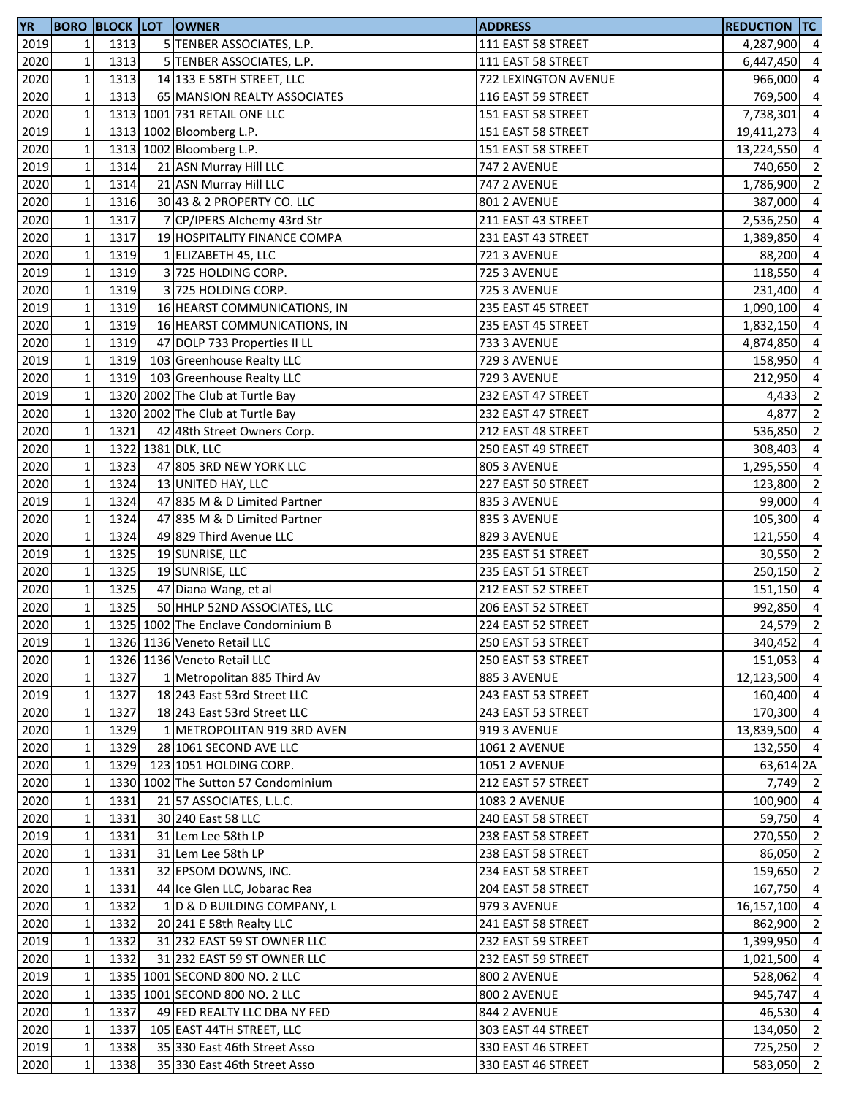| <b>YR</b> |              |              | <b>BORO BLOCK LOT OWNER</b>                                | <b>ADDRESS</b>       | <b>REDUCTION TC</b> |                |
|-----------|--------------|--------------|------------------------------------------------------------|----------------------|---------------------|----------------|
| 2019      | 1            | 1313         | 5 TENBER ASSOCIATES, L.P.                                  | 111 EAST 58 STREET   | 4,287,900 4         |                |
| 2020      | $\mathbf 1$  | 1313         | 5 TENBER ASSOCIATES, L.P.                                  | 111 EAST 58 STREET   | 6,447,450 4         |                |
| 2020      | $\mathbf 1$  | 1313         | 14 133 E 58TH STREET, LLC                                  | 722 LEXINGTON AVENUE | 966,000 4           |                |
| 2020      | $\mathbf 1$  | 1313         | 65 MANSION REALTY ASSOCIATES                               | 116 EAST 59 STREET   | 769,500 4           |                |
| 2020      | $\mathbf 1$  |              | 1313 1001 731 RETAIL ONE LLC                               | 151 EAST 58 STREET   | 7,738,301           | $\overline{4}$ |
| 2019      | $\mathbf 1$  |              | 1313 1002 Bloomberg L.P.                                   | 151 EAST 58 STREET   | 19,411,273          | $\overline{4}$ |
| 2020      | $\mathbf 1$  |              | 1313 1002 Bloomberg L.P.                                   | 151 EAST 58 STREET   | 13,224,550 4        |                |
| 2019      | $\mathbf 1$  | 1314         | 21 ASN Murray Hill LLC                                     | <b>747 2 AVENUE</b>  | 740,650             | $\overline{2}$ |
| 2020      | $\mathbf 1$  | 1314         | 21 ASN Murray Hill LLC                                     | <b>747 2 AVENUE</b>  | 1,786,900           | $\overline{2}$ |
| 2020      | $\mathbf 1$  | 1316         | 30 43 & 2 PROPERTY CO. LLC                                 | 801 2 AVENUE         | 387,000             | $\overline{4}$ |
| 2020      | $\mathbf 1$  | 1317         | 7 CP/IPERS Alchemy 43rd Str                                | 211 EAST 43 STREET   | 2,536,250           | $\overline{4}$ |
| 2020      | $\mathbf 1$  | 1317         | 19 HOSPITALITY FINANCE COMPA                               | 231 EAST 43 STREET   | 1,389,850           | $\overline{a}$ |
| 2020      | $\mathbf 1$  | 1319         | 1 ELIZABETH 45, LLC                                        | 721 3 AVENUE         | 88,200 4            |                |
| 2019      | $\mathbf 1$  | 1319         | 3 725 HOLDING CORP.                                        | <b>725 3 AVENUE</b>  | 118,550 4           |                |
| 2020      | $\mathbf 1$  | 1319         | 3 725 HOLDING CORP.                                        | 725 3 AVENUE         | 231,400 4           |                |
| 2019      | $\mathbf 1$  | 1319         | 16 HEARST COMMUNICATIONS, IN                               | 235 EAST 45 STREET   | 1,090,100           | $\overline{4}$ |
| 2020      | $\mathbf 1$  | 1319         | 16 HEARST COMMUNICATIONS, IN                               | 235 EAST 45 STREET   | 1,832,150           | $\overline{4}$ |
| 2020      | $\mathbf 1$  | 1319         | 47 DOLP 733 Properties II LL                               | 733 3 AVENUE         | 4,874,850           | $\overline{4}$ |
| 2019      | $\mathbf 1$  | 1319         | 103 Greenhouse Realty LLC                                  | 729 3 AVENUE         | 158,950             | $\overline{a}$ |
| 2020      | $\mathbf 1$  | 1319         | 103 Greenhouse Realty LLC                                  | 729 3 AVENUE         | 212,950             | $\overline{a}$ |
| 2019      | $\mathbf 1$  |              | 1320 2002 The Club at Turtle Bay                           | 232 EAST 47 STREET   | 4,433               | $\overline{2}$ |
| 2020      | $\mathbf 1$  |              | 1320 2002 The Club at Turtle Bay                           | 232 EAST 47 STREET   | 4,877               | $\overline{2}$ |
| 2020      | $\mathbf 1$  | 1321         | 42 48th Street Owners Corp.                                | 212 EAST 48 STREET   | 536,850             | $\overline{2}$ |
| 2020      | $\mathbf 1$  |              | 1322 1381 DLK, LLC                                         | 250 EAST 49 STREET   | 308,403             | $\overline{4}$ |
| 2020      | $\mathbf 1$  | 1323         | 47 805 3RD NEW YORK LLC                                    | 805 3 AVENUE         | 1,295,550           | $\overline{4}$ |
| 2020      | $\mathbf 1$  | 1324         | 13 UNITED HAY, LLC                                         | 227 EAST 50 STREET   | 123,800             | $\overline{2}$ |
| 2019      | $\mathbf 1$  | 1324         | 47 835 M & D Limited Partner                               | 835 3 AVENUE         | 99,000              | $\overline{4}$ |
| 2020      | $\mathbf 1$  | 1324         | 47 835 M & D Limited Partner                               | 835 3 AVENUE         | 105,300             | $\overline{4}$ |
| 2020      | $\mathbf 1$  | 1324         | 49 829 Third Avenue LLC                                    | 829 3 AVENUE         | 121,550 4           |                |
| 2019      | $\mathbf 1$  | 1325         | 19 SUNRISE, LLC                                            | 235 EAST 51 STREET   | 30,550 2            |                |
| 2020      | $\mathbf 1$  | 1325         | 19 SUNRISE, LLC                                            | 235 EAST 51 STREET   | 250,150             | $\overline{2}$ |
| 2020      | $\mathbf 1$  | 1325         | 47 Diana Wang, et al                                       | 212 EAST 52 STREET   | 151,150 4           |                |
| 2020      | $\mathbf 1$  | 1325         | 50 HHLP 52ND ASSOCIATES, LLC                               | 206 EAST 52 STREET   | 992,850             | $\overline{4}$ |
| 2020      | $\mathbf 1$  |              | 1325 1002 The Enclave Condominium B                        | 224 EAST 52 STREET   | $24,579$ 2          |                |
| 2019      | $1\vert$     |              | 1326 1136 Veneto Retail LLC                                | 250 EAST 53 STREET   | 340,452 4           |                |
| 2020      | $\mathbf 1$  |              | 1326 1136 Veneto Retail LLC                                | 250 EAST 53 STREET   | 151,053             | $\overline{4}$ |
| 2020      | $\mathbf 1$  | 1327         | 1 Metropolitan 885 Third Av                                | 885 3 AVENUE         | 12,123,500          | $\overline{4}$ |
| 2019      | $\mathbf 1$  | 1327         | 18 243 East 53rd Street LLC                                | 243 EAST 53 STREET   | 160,400 4           |                |
| 2020      | $\mathbf 1$  |              |                                                            | 243 EAST 53 STREET   | 170,300 4           |                |
|           | $\mathbf 1$  | 1327<br>1329 | 18 243 East 53rd Street LLC<br>1 METROPOLITAN 919 3RD AVEN |                      | 13,839,500 4        |                |
| 2020      |              |              |                                                            | 919 3 AVENUE         |                     |                |
| 2020      | $\mathbf{1}$ | 1329         | 28 1061 SECOND AVE LLC                                     | <b>1061 2 AVENUE</b> | 132,550 4           |                |
| 2020      | $\mathbf{1}$ | 1329         | 123 1051 HOLDING CORP.                                     | <b>1051 2 AVENUE</b> | 63,614 2A           |                |
| 2020      | $\mathbf{1}$ |              | 1330 1002 The Sutton 57 Condominium                        | 212 EAST 57 STREET   | 7,749 2             |                |
| 2020      | $\mathbf 1$  | 1331         | 21 57 ASSOCIATES, L.L.C.                                   | <b>1083 2 AVENUE</b> | 100,900 4           | $\overline{4}$ |
| 2020      | $\mathbf{1}$ | 1331         | 30 240 East 58 LLC                                         | 240 EAST 58 STREET   | 59,750              |                |
| 2019      | $\mathbf{1}$ | 1331         | 31 Lem Lee 58th LP                                         | 238 EAST 58 STREET   | 270,550 2           |                |
| 2020      | $\mathbf{1}$ | 1331         | 31 Lem Lee 58th LP                                         | 238 EAST 58 STREET   | 86,050 2            |                |
| 2020      | $\mathbf 1$  | 1331         | 32 EPSOM DOWNS, INC.                                       | 234 EAST 58 STREET   | 159,650 2           |                |
| 2020      | $\mathbf 1$  | 1331         | 44 Ice Glen LLC, Jobarac Rea                               | 204 EAST 58 STREET   | 167,750 4           |                |
| 2020      | $\mathbf 1$  | 1332         | 1 D & D BUILDING COMPANY, L                                | 979 3 AVENUE         | 16,157,100 4        |                |
| 2020      | $\mathbf{1}$ | 1332         | 20 241 E 58th Realty LLC                                   | 241 EAST 58 STREET   | 862,900             | $\overline{2}$ |
| 2019      | $\mathbf 1$  | 1332         | 31 232 EAST 59 ST OWNER LLC                                | 232 EAST 59 STREET   | 1,399,950           | $\overline{4}$ |
| 2020      | $\mathbf 1$  | 1332         | 31 232 EAST 59 ST OWNER LLC                                | 232 EAST 59 STREET   | 1,021,500           | $\overline{4}$ |
| 2019      | $\mathbf 1$  |              | 1335 1001 SECOND 800 NO. 2 LLC                             | 800 2 AVENUE         | 528,062             | $\overline{4}$ |
| 2020      | $\mathbf 1$  |              | 1335 1001 SECOND 800 NO. 2 LLC                             | 800 2 AVENUE         | 945,747 4           |                |
| 2020      | $\mathbf 1$  | 1337         | 49 FED REALTY LLC DBA NY FED                               | 844 2 AVENUE         | 46,530 4            |                |
| 2020      | $\mathbf 1$  | 1337         | 105 EAST 44TH STREET, LLC                                  | 303 EAST 44 STREET   | 134,050 2           |                |
| 2019      | $\mathbf 1$  | 1338         | 35 330 East 46th Street Asso                               | 330 EAST 46 STREET   | 725,250 2           |                |
| 2020      | $\mathbf 1$  | 1338         | 35 330 East 46th Street Asso                               | 330 EAST 46 STREET   | 583,050 2           |                |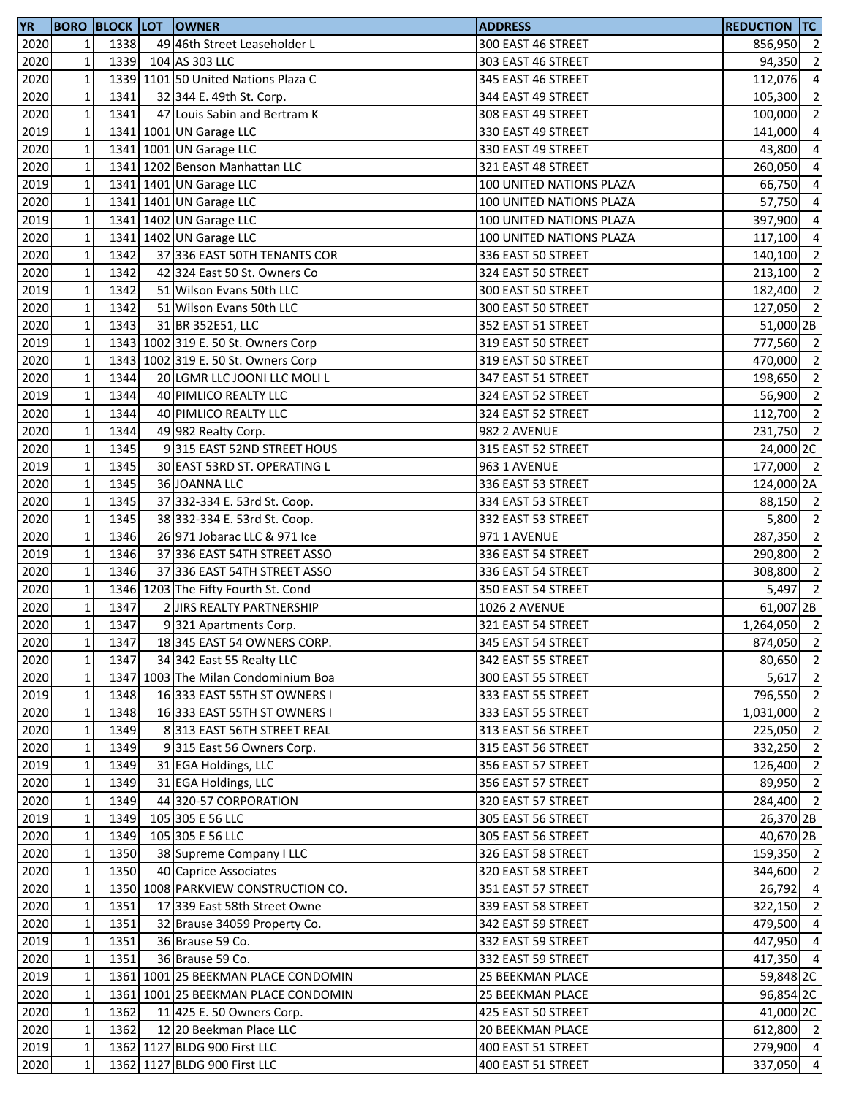| <b>YR</b> |              |      | <b>BORO BLOCK LOT OWNER</b>         | <b>ADDRESS</b>           | <b>REDUCTION TC</b> |                |
|-----------|--------------|------|-------------------------------------|--------------------------|---------------------|----------------|
| 2020      | 1            | 1338 | 49 46th Street Leaseholder L        | 300 EAST 46 STREET       | 856,950 2           |                |
| 2020      | $\mathbf 1$  | 1339 | 104 AS 303 LLC                      | 303 EAST 46 STREET       | 94,350              | $\overline{2}$ |
| 2020      | $\mathbf 1$  |      | 1339 1101 50 United Nations Plaza C | 345 EAST 46 STREET       | 112,076 4           |                |
| 2020      | $\mathbf 1$  | 1341 | 32 344 E. 49th St. Corp.            | 344 EAST 49 STREET       | 105,300             | $\overline{2}$ |
| 2020      | $\mathbf 1$  | 1341 | 47 Louis Sabin and Bertram K        | 308 EAST 49 STREET       | 100,000 2           |                |
| 2019      | $\mathbf 1$  |      | 1341 1001 UN Garage LLC             | 330 EAST 49 STREET       | 141,000 4           |                |
| 2020      | $\mathbf 1$  |      | 1341 1001 UN Garage LLC             | 330 EAST 49 STREET       | 43,800              | $\overline{4}$ |
| 2020      | $\mathbf 1$  |      | 1341 1202 Benson Manhattan LLC      | 321 EAST 48 STREET       | 260,050             | $\overline{4}$ |
| 2019      | $\mathbf 1$  |      | 1341 1401 UN Garage LLC             | 100 UNITED NATIONS PLAZA | 66,750              | $\overline{4}$ |
| 2020      | $\mathbf 1$  |      | 1341 1401 UN Garage LLC             | 100 UNITED NATIONS PLAZA | 57,750              | $\overline{4}$ |
| 2019      | $\mathbf 1$  |      | 1341 1402 UN Garage LLC             | 100 UNITED NATIONS PLAZA | 397,900             | $\overline{4}$ |
| 2020      | $\mathbf 1$  |      | 1341 1402 UN Garage LLC             | 100 UNITED NATIONS PLAZA | 117,100             | $\overline{4}$ |
| 2020      | $\mathbf 1$  | 1342 | 37 336 EAST 50TH TENANTS COR        | 336 EAST 50 STREET       | 140,100 2           |                |
| 2020      | $\mathbf 1$  | 1342 | 42 324 East 50 St. Owners Co        | 324 EAST 50 STREET       | 213,100 2           |                |
| 2019      | $\mathbf 1$  | 1342 | 51 Wilson Evans 50th LLC            | 300 EAST 50 STREET       | 182,400 2           |                |
| 2020      | $\mathbf 1$  | 1342 | 51 Wilson Evans 50th LLC            | 300 EAST 50 STREET       | 127,050 2           |                |
| 2020      | $\mathbf 1$  | 1343 | 31 BR 352E51, LLC                   | 352 EAST 51 STREET       | 51,000 2B           |                |
| 2019      | $\mathbf 1$  |      | 1343 1002 319 E. 50 St. Owners Corp | 319 EAST 50 STREET       | 777,560 2           |                |
| 2020      | $\mathbf 1$  |      | 1343 1002 319 E. 50 St. Owners Corp | 319 EAST 50 STREET       | 470,000             | $\overline{2}$ |
| 2020      | $\mathbf 1$  | 1344 | 20 LGMR LLC JOONI LLC MOLI L        | 347 EAST 51 STREET       | 198,650 2           |                |
| 2019      | $\mathbf 1$  | 1344 | 40 PIMLICO REALTY LLC               | 324 EAST 52 STREET       | 56,900 2            |                |
| 2020      | $\mathbf 1$  | 1344 | 40 PIMLICO REALTY LLC               | 324 EAST 52 STREET       | 112,700 2           |                |
| 2020      | $\mathbf 1$  | 1344 | 49 982 Realty Corp.                 | 982 2 AVENUE             | 231,750 2           |                |
| 2020      | $\mathbf 1$  | 1345 | 9315 EAST 52ND STREET HOUS          | 315 EAST 52 STREET       | 24,000 2C           |                |
| 2019      | $\mathbf 1$  | 1345 | 30 EAST 53RD ST. OPERATING L        | 963 1 AVENUE             | 177,000 2           |                |
| 2020      | $\mathbf 1$  | 1345 | 36 JOANNA LLC                       | 336 EAST 53 STREET       | 124,000 2A          |                |
| 2020      | $\mathbf 1$  | 1345 | 37 332-334 E. 53rd St. Coop.        | 334 EAST 53 STREET       | 88,150 2            |                |
| 2020      | $\mathbf 1$  | 1345 | 38 332-334 E. 53rd St. Coop.        | 332 EAST 53 STREET       | 5,800 2             |                |
| 2020      | $\mathbf 1$  | 1346 | 26 971 Jobarac LLC & 971 Ice        | 971 1 AVENUE             | 287,350             | $\overline{2}$ |
| 2019      | $\mathbf 1$  | 1346 | 37 336 EAST 54TH STREET ASSO        | 336 EAST 54 STREET       | 290,800 2           |                |
| 2020      | $\mathbf 1$  | 1346 | 37 336 EAST 54TH STREET ASSO        | 336 EAST 54 STREET       | 308,800             | $\overline{2}$ |
| 2020      | $\mathbf 1$  |      | 1346 1203 The Fifty Fourth St. Cond | 350 EAST 54 STREET       | 5,497               | $\overline{2}$ |
| 2020      | $\mathbf 1$  | 1347 | 2 JIRS REALTY PARTNERSHIP           | <b>1026 2 AVENUE</b>     | 61,007 2B           |                |
| 2020      | $\mathbf 1$  | 1347 | 9321 Apartments Corp.               | 321 EAST 54 STREET       | 1,264,050 2         |                |
| 2020      | $1\vert$     | 1347 | 18 345 EAST 54 OWNERS CORP.         | 345 EAST 54 STREET       | 874,050 2           |                |
| 2020      | $\mathbf 1$  | 1347 | 34 342 East 55 Realty LLC           | 342 EAST 55 STREET       | 80,650 2            |                |
| 2020      | $\mathbf 1$  |      | 1347 1003 The Milan Condominium Boa | 300 EAST 55 STREET       | 5,617               | $\overline{2}$ |
| 2019      | $\mathbf 1$  | 1348 | 16 333 EAST 55TH ST OWNERS I        | 333 EAST 55 STREET       | 796,550 2           |                |
| 2020      | $\mathbf 1$  | 1348 | 16 333 EAST 55TH ST OWNERS I        | 333 EAST 55 STREET       | 1,031,000 2         |                |
| 2020      | $\mathbf 1$  | 1349 | 8313 EAST 56TH STREET REAL          | 313 EAST 56 STREET       | 225,050 2           |                |
| 2020      | $\mathbf 1$  | 1349 | 9315 East 56 Owners Corp.           | 315 EAST 56 STREET       | 332,250 2           |                |
| 2019      | $\mathbf 1$  | 1349 | 31 EGA Holdings, LLC                | 356 EAST 57 STREET       | 126,400 2           |                |
| 2020      | $\mathbf 1$  | 1349 | 31 EGA Holdings, LLC                | 356 EAST 57 STREET       | 89,950 2            |                |
| 2020      | $\mathbf 1$  | 1349 | 44 320-57 CORPORATION               | 320 EAST 57 STREET       | 284,400 2           |                |
| 2019      | $\mathbf 1$  | 1349 | 105 305 E 56 LLC                    | 305 EAST 56 STREET       | 26,370 2B           |                |
| 2020      | $\mathbf 1$  | 1349 | 105 305 E 56 LLC                    | 305 EAST 56 STREET       | 40,670 2B           |                |
| 2020      | $\mathbf{1}$ | 1350 | 38 Supreme Company I LLC            | 326 EAST 58 STREET       | 159,350 2           |                |
| 2020      | $\mathbf 1$  | 1350 | 40 Caprice Associates               | 320 EAST 58 STREET       | 344,600 2           |                |
| 2020      | $\mathbf 1$  |      | 1350 1008 PARKVIEW CONSTRUCTION CO. | 351 EAST 57 STREET       | 26,792 4            |                |
| 2020      | $\mathbf{1}$ | 1351 | 17 339 East 58th Street Owne        | 339 EAST 58 STREET       | 322,150 2           |                |
| 2020      | $\mathbf{1}$ | 1351 | 32 Brause 34059 Property Co.        | 342 EAST 59 STREET       | 479,500 4           |                |
| 2019      | $\mathbf{1}$ | 1351 | 36 Brause 59 Co.                    | 332 EAST 59 STREET       | 447,950 4           |                |
| 2020      | $\mathbf 1$  | 1351 | 36 Brause 59 Co.                    | 332 EAST 59 STREET       | 417,350 4           |                |
| 2019      | $\mathbf 1$  |      | 1361 1001 25 BEEKMAN PLACE CONDOMIN | 25 BEEKMAN PLACE         | 59,848 2C           |                |
| 2020      | $\mathbf 1$  |      | 1361 1001 25 BEEKMAN PLACE CONDOMIN | <b>25 BEEKMAN PLACE</b>  | 96,854 2C           |                |
| 2020      | $\mathbf 1$  | 1362 | 11 425 E. 50 Owners Corp.           | 425 EAST 50 STREET       | 41,000 2C           |                |
| 2020      | $\mathbf 1$  | 1362 | 12 20 Beekman Place LLC             | 20 BEEKMAN PLACE         | 612,800 2           |                |
| 2019      | $\mathbf 1$  |      | 1362 1127 BLDG 900 First LLC        | 400 EAST 51 STREET       | 279,900 4           |                |
| 2020      | $\mathbf{1}$ |      | 1362 1127 BLDG 900 First LLC        | 400 EAST 51 STREET       | 337,050 4           |                |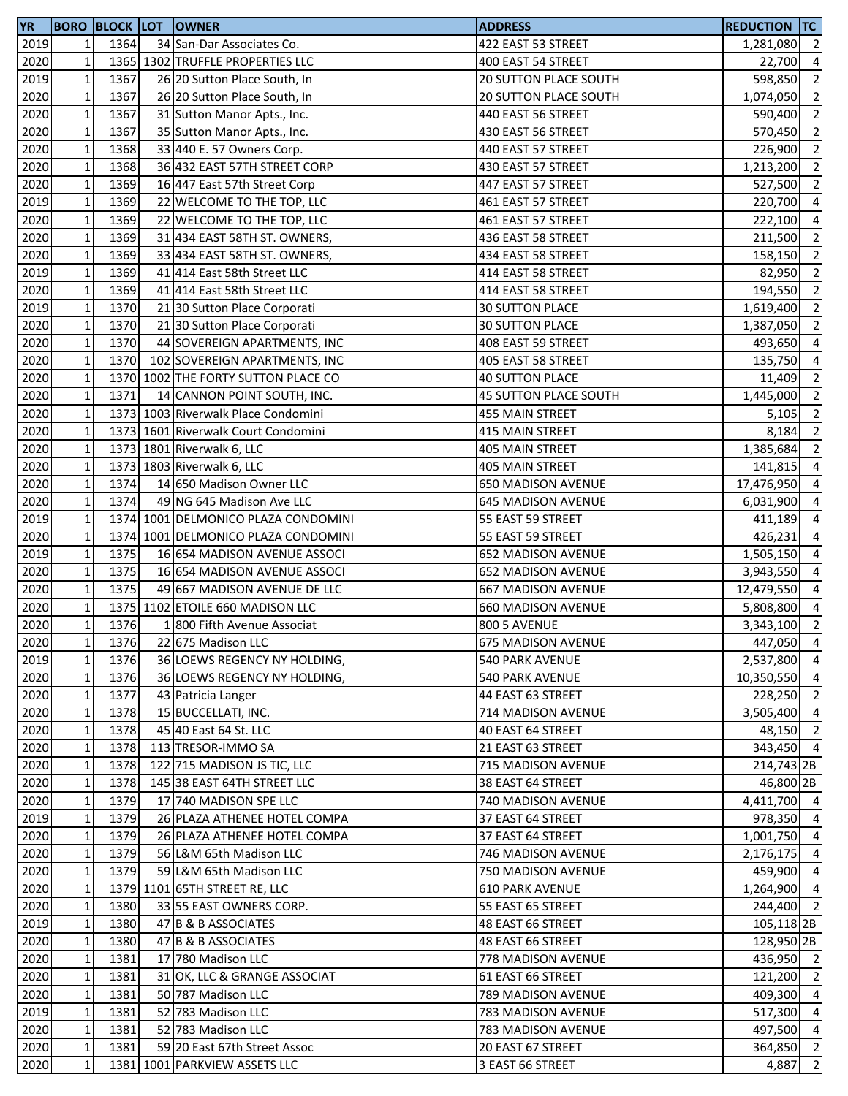| <b>YR</b> |              |      | <b>BORO BLOCK LOT OWNER</b>         | <b>ADDRESS</b>               | <b>REDUCTION TC</b>   |                          |
|-----------|--------------|------|-------------------------------------|------------------------------|-----------------------|--------------------------|
| 2019      | 1            | 1364 | 34 San-Dar Associates Co.           | 422 EAST 53 STREET           | 1,281,080             | $\overline{2}$           |
| 2020      | $\mathbf 1$  |      | 1365 1302 TRUFFLE PROPERTIES LLC    | 400 EAST 54 STREET           | 22,700                | $\overline{4}$           |
| 2019      | $\mathbf 1$  | 1367 | 26 20 Sutton Place South, In        | 20 SUTTON PLACE SOUTH        | 598,850               | $\overline{2}$           |
| 2020      | $\mathbf 1$  | 1367 | 26 20 Sutton Place South, In        | <b>20 SUTTON PLACE SOUTH</b> | 1,074,050             | $\overline{2}$           |
| 2020      | $\mathbf 1$  | 1367 | 31 Sutton Manor Apts., Inc.         | 440 EAST 56 STREET           | 590,400               | $\overline{2}$           |
| 2020      | $\mathbf 1$  | 1367 | 35 Sutton Manor Apts., Inc.         | 430 EAST 56 STREET           | 570,450               | $\overline{2}$           |
| 2020      | $\mathbf 1$  | 1368 | 33 440 E. 57 Owners Corp.           | 440 EAST 57 STREET           | 226,900               | $\overline{2}$           |
| 2020      | $\mathbf 1$  | 1368 | 36 432 EAST 57TH STREET CORP        | 430 EAST 57 STREET           | 1,213,200             | $\overline{2}$           |
| 2020      | $\mathbf 1$  | 1369 | 16 447 East 57th Street Corp        | 447 EAST 57 STREET           | 527,500               | $\overline{2}$           |
| 2019      | $\mathbf 1$  | 1369 | 22 WELCOME TO THE TOP, LLC          | 461 EAST 57 STREET           | 220,700               | $\overline{4}$           |
| 2020      | $\mathbf 1$  | 1369 | 22 WELCOME TO THE TOP, LLC          | 461 EAST 57 STREET           | 222,100               | $\overline{4}$           |
| 2020      | $\mathbf 1$  | 1369 | 31 434 EAST 58TH ST. OWNERS,        | 436 EAST 58 STREET           | 211,500 2             |                          |
| 2020      | $\mathbf 1$  | 1369 | 33 434 EAST 58TH ST. OWNERS,        | 434 EAST 58 STREET           | 158,150 2             |                          |
| 2019      | $\mathbf 1$  | 1369 | 41 414 East 58th Street LLC         | 414 EAST 58 STREET           | 82,950                | $\overline{2}$           |
| 2020      | $\mathbf 1$  | 1369 | 41 414 East 58th Street LLC         | 414 EAST 58 STREET           | 194,550               | $\overline{2}$           |
| 2019      | $\mathbf 1$  | 1370 | 21 30 Sutton Place Corporati        | <b>30 SUTTON PLACE</b>       | 1,619,400             | $\overline{2}$           |
| 2020      | $\mathbf 1$  | 1370 | 21 30 Sutton Place Corporati        | <b>30 SUTTON PLACE</b>       | 1,387,050             | $\overline{2}$           |
| 2020      | $\mathbf 1$  | 1370 | 44 SOVEREIGN APARTMENTS, INC        | 408 EAST 59 STREET           | 493,650               | $\overline{4}$           |
| 2020      | $\mathbf 1$  | 1370 | 102 SOVEREIGN APARTMENTS, INC       | 405 EAST 58 STREET           | 135,750               | $\overline{4}$           |
| 2020      | $\mathbf 1$  |      | 1370 1002 THE FORTY SUTTON PLACE CO | <b>40 SUTTON PLACE</b>       | 11,409                | $\overline{\phantom{a}}$ |
| 2020      | $\mathbf 1$  | 1371 | 14 CANNON POINT SOUTH, INC.         | 45 SUTTON PLACE SOUTH        | 1,445,000 2           |                          |
| 2020      | $\mathbf 1$  |      | 1373 1003 Riverwalk Place Condomini | 455 MAIN STREET              | 5,105                 | $\overline{2}$           |
| 2020      | $\mathbf 1$  |      | 1373 1601 Riverwalk Court Condomini | 415 MAIN STREET              | 8,184                 | $\overline{2}$           |
| 2020      | $\mathbf{1}$ |      | 1373 1801 Riverwalk 6, LLC          | 405 MAIN STREET              | 1,385,684             | $\overline{2}$           |
| 2020      | $\mathbf{1}$ |      | 1373 1803 Riverwalk 6, LLC          | 405 MAIN STREET              | 141,815               | $\overline{4}$           |
| 2020      | $\mathbf 1$  | 1374 | 14 650 Madison Owner LLC            | <b>650 MADISON AVENUE</b>    | 17,476,950            | $\overline{4}$           |
|           | $\mathbf 1$  | 1374 | 49 NG 645 Madison Ave LLC           |                              |                       | $\overline{4}$           |
| 2020      |              |      |                                     | <b>645 MADISON AVENUE</b>    | 6,031,900             | $\overline{a}$           |
| 2019      | $\mathbf 1$  |      | 1374 1001 DELMONICO PLAZA CONDOMINI | 55 EAST 59 STREET            | 411,189               |                          |
| 2020      | $\mathbf 1$  |      | 1374 1001 DELMONICO PLAZA CONDOMINI | 55 EAST 59 STREET            | 426,231               | $\overline{a}$           |
| 2019      | $\mathbf 1$  | 1375 | 16 654 MADISON AVENUE ASSOCI        | <b>652 MADISON AVENUE</b>    | 1,505,150             | $\overline{4}$           |
| 2020      | $\mathbf 1$  | 1375 | 16 654 MADISON AVENUE ASSOCI        | <b>652 MADISON AVENUE</b>    | 3,943,550             | $\overline{4}$           |
| 2020      | $\mathbf 1$  | 1375 | 49 667 MADISON AVENUE DE LLC        | <b>667 MADISON AVENUE</b>    | 12,479,550            | $\overline{4}$           |
| 2020      | $\mathbf 1$  |      | 1375 1102 ETOILE 660 MADISON LLC    | <b>660 MADISON AVENUE</b>    | 5,808,800             | $\overline{4}$           |
| 2020      | $\mathbf 1$  | 1376 | 1 800 Fifth Avenue Associat         | <b>800 5 AVENUE</b>          | 3,343,100             | $\overline{2}$           |
| 2020      | 11           | 1376 | 22 675 Madison LLC                  | 675 MADISON AVENUE           | 447,050 4             |                          |
| 2019      | $\mathbf 1$  | 1376 | 36 LOEWS REGENCY NY HOLDING,        | <b>540 PARK AVENUE</b>       | 2,537,800 4           |                          |
| 2020      | $\mathbf 1$  | 1376 | 36 LOEWS REGENCY NY HOLDING,        | 540 PARK AVENUE              | 10,350,550 4          |                          |
| 2020      | $\mathbf 1$  | 1377 | 43 Patricia Langer                  | 44 EAST 63 STREET            | 228,250 2             |                          |
| 2020      | $\mathbf 1$  | 1378 | 15 BUCCELLATI, INC.                 | 714 MADISON AVENUE           | 3,505,400 4           |                          |
| 2020      | $\mathbf 1$  | 1378 | 45 40 East 64 St. LLC               | 40 EAST 64 STREET            | 48,150 2              |                          |
| 2020      | $\mathbf 1$  | 1378 | 113 TRESOR-IMMO SA                  | 21 EAST 63 STREET            | 343,450 4             |                          |
| 2020      | $\mathbf{1}$ | 1378 | 122 715 MADISON JS TIC, LLC         | 715 MADISON AVENUE           | 214,743 2B            |                          |
| 2020      | $\mathbf 1$  | 1378 | 145 38 EAST 64TH STREET LLC         | 38 EAST 64 STREET            | 46,800 2B             |                          |
| 2020      | $\mathbf 1$  | 1379 | 17 740 MADISON SPE LLC              | 740 MADISON AVENUE           | 4,411,700 4           |                          |
| 2019      | $\mathbf{1}$ | 1379 | 26 PLAZA ATHENEE HOTEL COMPA        | 37 EAST 64 STREET            | 978,350 4             |                          |
| 2020      | $\mathbf{1}$ | 1379 | 26 PLAZA ATHENEE HOTEL COMPA        | 37 EAST 64 STREET            | 1,001,750 4           |                          |
| 2020      | $\mathbf{1}$ | 1379 | 56 L&M 65th Madison LLC             | 746 MADISON AVENUE           | 2,176,175 4           |                          |
| 2020      | $\mathbf 1$  | 1379 | 59 L&M 65th Madison LLC             | 750 MADISON AVENUE           | 459,900 4             |                          |
| 2020      | $\mathbf{1}$ |      | 1379 1101 65TH STREET RE, LLC       | <b>610 PARK AVENUE</b>       | 1,264,900             | $\overline{4}$           |
| 2020      | $\mathbf{1}$ | 1380 | 33 55 EAST OWNERS CORP.             | 55 EAST 65 STREET            | 244,400 2             |                          |
| 2019      | $\mathbf{1}$ | 1380 | 47 B & B ASSOCIATES                 | 48 EAST 66 STREET            | 105,118 <sub>2B</sub> |                          |
| 2020      | $\mathbf 1$  | 1380 | 47 B & B ASSOCIATES                 | 48 EAST 66 STREET            | 128,950 2B            |                          |
| 2020      | $\mathbf{1}$ | 1381 | 17 780 Madison LLC                  | 778 MADISON AVENUE           | 436,950 2             |                          |
| 2020      | $\mathbf 1$  | 1381 | 31 OK, LLC & GRANGE ASSOCIAT        | 61 EAST 66 STREET            | 121,200 2             |                          |
| 2020      | $\mathbf 1$  | 1381 | 50 787 Madison LLC                  | 789 MADISON AVENUE           | 409,300 4             |                          |
| 2019      | $\mathbf 1$  | 1381 | 52 783 Madison LLC                  | 783 MADISON AVENUE           | 517,300               | $\overline{4}$           |
| 2020      | $\mathbf 1$  | 1381 | 52 783 Madison LLC                  | 783 MADISON AVENUE           | 497,500               | $\overline{4}$           |
| 2020      | $\mathbf 1$  | 1381 | 59 20 East 67th Street Assoc        | 20 EAST 67 STREET            | 364,850 2             |                          |
| 2020      | $\mathbf 1$  |      | 1381 1001 PARKVIEW ASSETS LLC       | 3 EAST 66 STREET             | 4,887                 | $\overline{2}$           |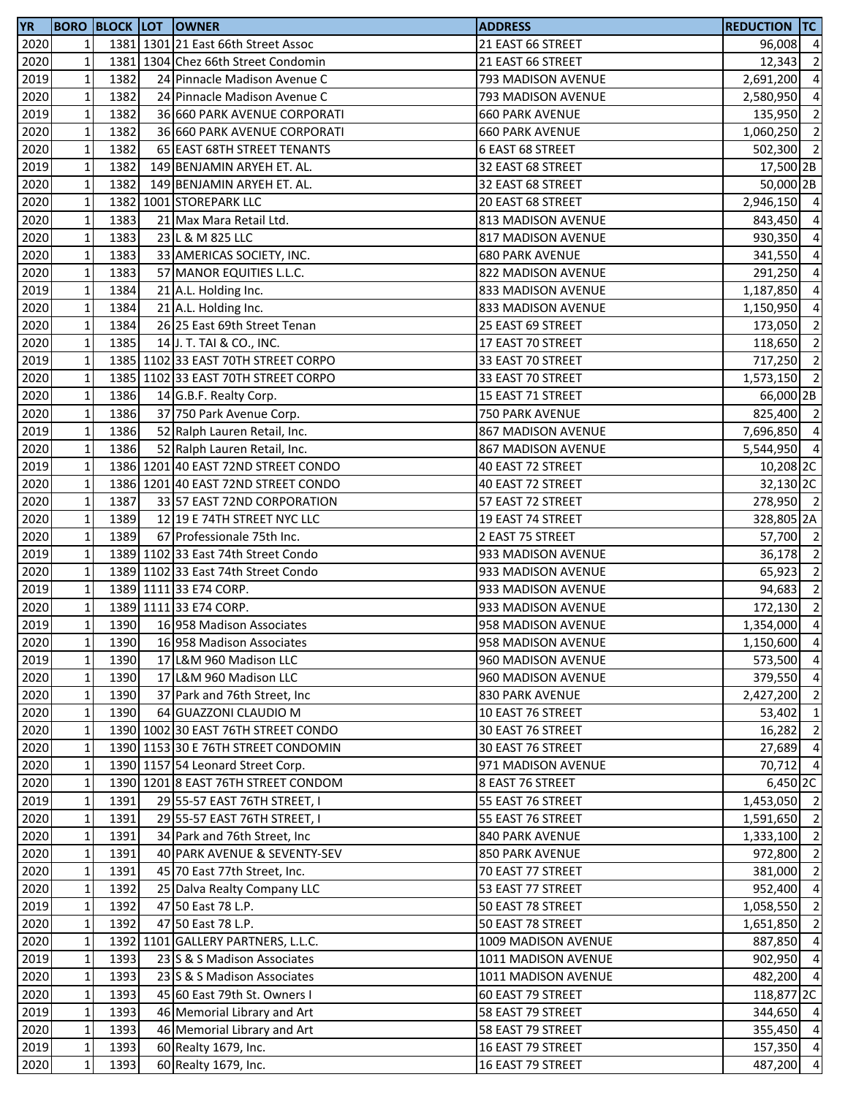| YR   |              |      | <b>BORO BLOCK LOT OWNER</b>         | <b>ADDRESS</b>         | <b>REDUCTION TC</b>   |                          |
|------|--------------|------|-------------------------------------|------------------------|-----------------------|--------------------------|
| 2020 | 1            |      | 1381 1301 21 East 66th Street Assoc | 21 EAST 66 STREET      | 96,008 4              |                          |
| 2020 | $\mathbf 1$  |      | 1381 1304 Chez 66th Street Condomin | 21 EAST 66 STREET      | 12,343                | $\overline{2}$           |
| 2019 | $\mathbf 1$  | 1382 | 24 Pinnacle Madison Avenue C        | 793 MADISON AVENUE     | 2,691,200             | $\overline{4}$           |
| 2020 | $\mathbf 1$  | 1382 | 24 Pinnacle Madison Avenue C        | 793 MADISON AVENUE     | 2,580,950             | $\overline{4}$           |
| 2019 | $\mathbf 1$  | 1382 | 36 660 PARK AVENUE CORPORATI        | <b>660 PARK AVENUE</b> | 135,950 2             |                          |
| 2020 | $\mathbf 1$  | 1382 | 36 660 PARK AVENUE CORPORATI        | <b>660 PARK AVENUE</b> | 1,060,250 2           |                          |
| 2020 | $\mathbf 1$  | 1382 | 65 EAST 68TH STREET TENANTS         | 6 EAST 68 STREET       | 502,300 2             |                          |
| 2019 | $\mathbf 1$  | 1382 | 149 BENJAMIN ARYEH ET. AL.          | 32 EAST 68 STREET      | 17,500 2B             |                          |
| 2020 | $\mathbf 1$  | 1382 | 149 BENJAMIN ARYEH ET. AL.          | 32 EAST 68 STREET      | 50,000 2B             |                          |
| 2020 | $\mathbf 1$  |      | 1382 1001 STOREPARK LLC             | 20 EAST 68 STREET      | 2,946,150 4           |                          |
| 2020 | $\mathbf 1$  | 1383 | 21 Max Mara Retail Ltd.             | 813 MADISON AVENUE     | 843,450 4             |                          |
| 2020 | $\mathbf 1$  | 1383 | 23 L & M 825 LLC                    | 817 MADISON AVENUE     | 930,350               | $\overline{4}$           |
| 2020 | $\mathbf 1$  | 1383 | 33 AMERICAS SOCIETY, INC.           | <b>680 PARK AVENUE</b> | 341,550 4             |                          |
| 2020 | $\mathbf 1$  | 1383 | 57 MANOR EQUITIES L.L.C.            | 822 MADISON AVENUE     | 291,250 4             |                          |
| 2019 | $\mathbf 1$  | 1384 | 21 A.L. Holding Inc.                | 833 MADISON AVENUE     | 1,187,850             | $\overline{4}$           |
| 2020 | $\mathbf 1$  | 1384 | 21 A.L. Holding Inc.                | 833 MADISON AVENUE     | 1,150,950             | $\overline{4}$           |
| 2020 | $\mathbf 1$  | 1384 | 26 25 East 69th Street Tenan        | 25 EAST 69 STREET      | 173,050               | $\overline{\phantom{0}}$ |
| 2020 | $\mathbf 1$  | 1385 | 14 J. T. TAI & CO., INC.            | 17 EAST 70 STREET      | 118,650               | $\overline{\phantom{a}}$ |
| 2019 | $\mathbf 1$  |      | 1385 1102 33 EAST 70TH STREET CORPO | 33 EAST 70 STREET      | 717,250 2             |                          |
| 2020 | $\mathbf 1$  |      | 1385 1102 33 EAST 70TH STREET CORPO | 33 EAST 70 STREET      | 1,573,150 2           |                          |
| 2020 | $\mathbf 1$  | 1386 | 14 G.B.F. Realty Corp.              | 15 EAST 71 STREET      | 66,000 2B             |                          |
| 2020 | $\mathbf 1$  | 1386 | 37 750 Park Avenue Corp.            | 750 PARK AVENUE        | 825,400 2             |                          |
| 2019 | $\mathbf 1$  | 1386 | 52 Ralph Lauren Retail, Inc.        | 867 MADISON AVENUE     | 7,696,850 4           |                          |
| 2020 | $\mathbf 1$  | 1386 | 52 Ralph Lauren Retail, Inc.        | 867 MADISON AVENUE     | 5,544,950 4           |                          |
| 2019 | $\mathbf 1$  |      | 1386 1201 40 EAST 72ND STREET CONDO | 40 EAST 72 STREET      | 10,208 2C             |                          |
| 2020 | $\mathbf 1$  |      | 1386 1201 40 EAST 72ND STREET CONDO | 40 EAST 72 STREET      | 32,130 <sub>2C</sub>  |                          |
| 2020 | $\mathbf 1$  | 1387 | 33 57 EAST 72ND CORPORATION         | 57 EAST 72 STREET      | 278,950 2             |                          |
| 2020 | $\mathbf 1$  | 1389 | 12 19 E 74TH STREET NYC LLC         | 19 EAST 74 STREET      | 328,805 2A            |                          |
| 2020 | $\mathbf 1$  | 1389 | 67 Professionale 75th Inc.          | 2 EAST 75 STREET       | 57,700 2              |                          |
| 2019 | $\mathbf 1$  |      | 1389 1102 33 East 74th Street Condo | 933 MADISON AVENUE     | 36,178 2              |                          |
| 2020 | $\mathbf 1$  |      | 1389 1102 33 East 74th Street Condo | 933 MADISON AVENUE     | 65,923                | $\overline{\phantom{a}}$ |
| 2019 | $\mathbf 1$  |      | 1389 1111 33 E74 CORP.              | 933 MADISON AVENUE     | 94,683 2              |                          |
| 2020 | $\mathbf 1$  |      | 1389 1111 33 E74 CORP.              | 933 MADISON AVENUE     | 172,130 2             |                          |
| 2019 | $\mathbf{1}$ | 1390 | 16 958 Madison Associates           | 958 MADISON AVENUE     | 1,354,000 4           |                          |
| 2020 | $1\vert$     | 1390 | 16 958 Madison Associates           | 958 MADISON AVENUE     | 1,150,600 4           |                          |
| 2019 | $\mathbf 1$  | 1390 | 17 L&M 960 Madison LLC              | 960 MADISON AVENUE     | 573,500 4             |                          |
| 2020 | $\mathbf 1$  | 1390 | 17 L&M 960 Madison LLC              | 960 MADISON AVENUE     | 379,550               | $\overline{4}$           |
| 2020 | $\mathbf 1$  | 1390 | 37 Park and 76th Street, Inc        | 830 PARK AVENUE        | 2,427,200 2           |                          |
| 2020 | $\mathbf 1$  | 1390 | 64 GUAZZONI CLAUDIO M               | 10 EAST 76 STREET      | 53,402                | $\overline{1}$           |
| 2020 | $\mathbf 1$  |      | 1390 1002 30 EAST 76TH STREET CONDO | 30 EAST 76 STREET      | 16,282 2              |                          |
| 2020 | $\mathbf{1}$ |      | 1390 1153 30 E 76TH STREET CONDOMIN | 30 EAST 76 STREET      | 27,689                | $\overline{4}$           |
| 2020 | $\mathbf{1}$ |      | 1390 1157 54 Leonard Street Corp.   | 971 MADISON AVENUE     | 70,712 4              |                          |
| 2020 | $\mathbf{1}$ |      | 1390 1201 8 EAST 76TH STREET CONDOM | 8 EAST 76 STREET       | 6,450 2C              |                          |
| 2019 | $\mathbf 1$  | 1391 | 29 55-57 EAST 76TH STREET, I        | 55 EAST 76 STREET      | 1,453,050 2           |                          |
| 2020 | $\mathbf{1}$ | 1391 | 29 55-57 EAST 76TH STREET, I        | 55 EAST 76 STREET      | 1,591,650             | $\overline{2}$           |
| 2020 | $\mathbf{1}$ | 1391 | 34 Park and 76th Street, Inc        | 840 PARK AVENUE        | 1,333,100 2           |                          |
| 2020 | $\mathbf{1}$ | 1391 | 40 PARK AVENUE & SEVENTY-SEV        | 850 PARK AVENUE        | 972,800 2             |                          |
| 2020 | $\mathbf 1$  | 1391 | 45 70 East 77th Street, Inc.        | 70 EAST 77 STREET      | 381,000               | $\overline{2}$           |
| 2020 | $\mathbf 1$  | 1392 | 25 Dalva Realty Company LLC         | 53 EAST 77 STREET      | 952,400 4             |                          |
| 2019 | $\mathbf 1$  | 1392 | 47 50 East 78 L.P.                  | 50 EAST 78 STREET      | 1,058,550 2           |                          |
| 2020 | $\mathbf{1}$ | 1392 | 47 50 East 78 L.P.                  | 50 EAST 78 STREET      | 1,651,850             | $\overline{\phantom{0}}$ |
| 2020 | $\mathbf 1$  |      | 1392 1101 GALLERY PARTNERS, L.L.C.  | 1009 MADISON AVENUE    | 887,850               | $\overline{4}$           |
| 2019 | $\mathbf 1$  | 1393 | 23 S & S Madison Associates         | 1011 MADISON AVENUE    | 902,950               | $\overline{4}$           |
| 2020 | $\mathbf 1$  | 1393 | 23 S & S Madison Associates         | 1011 MADISON AVENUE    | 482,200 4             |                          |
| 2020 | $\mathbf 1$  | 1393 | 45 60 East 79th St. Owners I        | 60 EAST 79 STREET      | 118,877 <sub>2C</sub> |                          |
| 2019 | $\mathbf 1$  | 1393 | 46 Memorial Library and Art         | 58 EAST 79 STREET      | 344,650 4             |                          |
| 2020 | $\mathbf 1$  | 1393 | 46 Memorial Library and Art         | 58 EAST 79 STREET      | 355,450 4             |                          |
| 2019 | $\mathbf 1$  | 1393 | 60 Realty 1679, Inc.                | 16 EAST 79 STREET      | 157,350 4             |                          |
| 2020 | $\mathbf 1$  | 1393 | 60 Realty 1679, Inc.                | 16 EAST 79 STREET      | 487,200 4             |                          |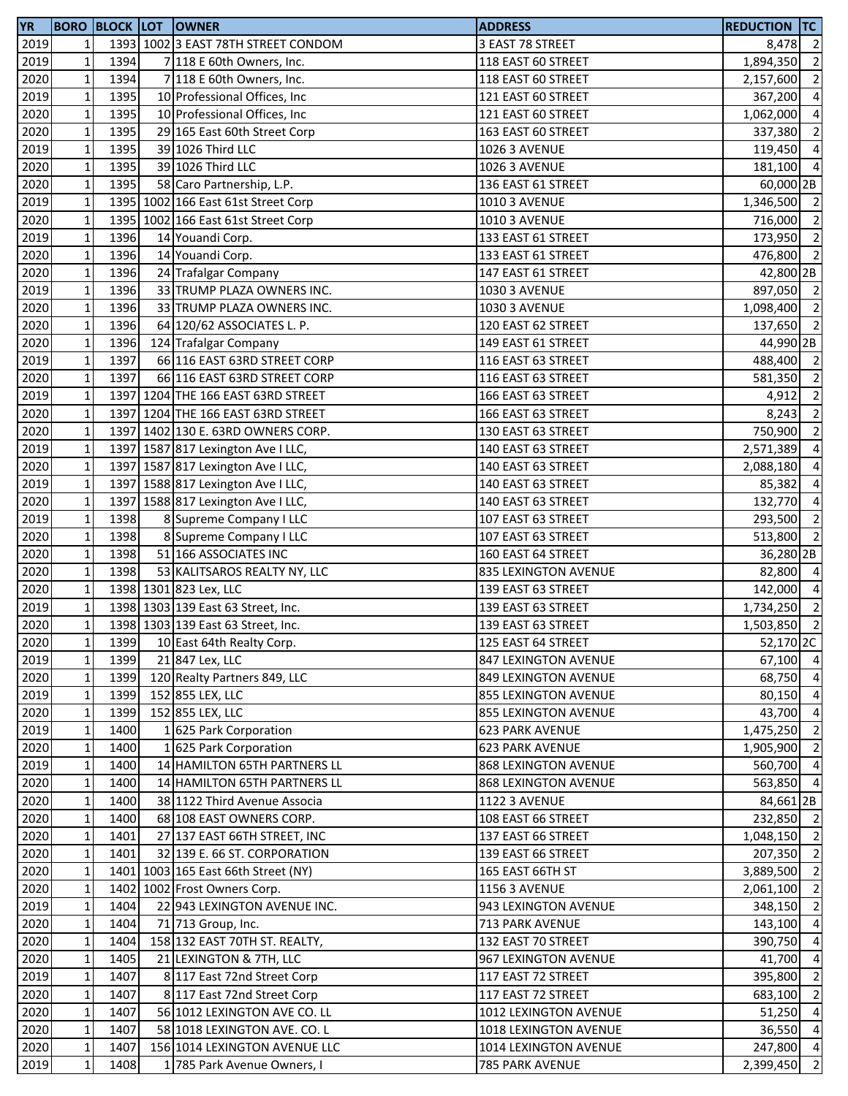| <b>YR</b> |                 |      | <b>BORO BLOCK LOT OWNER</b>         | <b>ADDRESS</b>              | <b>REDUCTION TC</b>  |                |
|-----------|-----------------|------|-------------------------------------|-----------------------------|----------------------|----------------|
| 2019      | 1               |      | 1393 1002 3 EAST 78TH STREET CONDOM | 3 EAST 78 STREET            | 8,478 2              |                |
| 2019      | $\mathbf 1$     | 1394 | 7 118 E 60th Owners, Inc.           | 118 EAST 60 STREET          | 1,894,350            | $\overline{2}$ |
| 2020      | $1\overline{ }$ | 1394 | 7 118 E 60th Owners, Inc.           | 118 EAST 60 STREET          | 2,157,600            | $\overline{2}$ |
| 2019      | $\mathbf{1}$    | 1395 | 10 Professional Offices, Inc.       | 121 EAST 60 STREET          | 367,200 4            |                |
| 2020      | $\mathbf 1$     | 1395 | 10 Professional Offices, Inc.       | 121 EAST 60 STREET          | 1,062,000 4          |                |
| 2020      | $\mathbf 1$     | 1395 | 29 165 East 60th Street Corp        | 163 EAST 60 STREET          | 337,380              | $\overline{2}$ |
| 2019      | $\mathbf 1$     | 1395 | 39 1026 Third LLC                   | <b>1026 3 AVENUE</b>        | 119,450              | $\overline{4}$ |
| 2020      | $\mathbf 1$     | 1395 | 39 1026 Third LLC                   | <b>1026 3 AVENUE</b>        | 181,100 4            |                |
| 2020      | $\mathbf 1$     | 1395 | 58 Caro Partnership, L.P.           | 136 EAST 61 STREET          | 60,000 2B            |                |
| 2019      | $\mathbf 1$     |      | 1395 1002 166 East 61st Street Corp | <b>1010 3 AVENUE</b>        | 1,346,500 2          |                |
| 2020      | $\mathbf 1$     |      | 1395 1002 166 East 61st Street Corp | <b>1010 3 AVENUE</b>        | 716,000 2            |                |
| 2019      | $1\,$           | 1396 | 14 Youandi Corp.                    | 133 EAST 61 STREET          | 173,950 2            |                |
| 2020      | $\mathbf 1$     | 1396 | 14 Youandi Corp.                    | 133 EAST 61 STREET          | 476,800 2            |                |
| 2020      | $\mathbf 1$     | 1396 | 24 Trafalgar Company                | 147 EAST 61 STREET          | 42,800 2B            |                |
| 2019      | $\mathbf 1$     | 1396 | 33 TRUMP PLAZA OWNERS INC.          | <b>1030 3 AVENUE</b>        | 897,050 2            |                |
| 2020      | $\mathbf 1$     | 1396 | 33 TRUMP PLAZA OWNERS INC.          | <b>1030 3 AVENUE</b>        | 1,098,400 2          |                |
| 2020      | $\mathbf 1$     | 1396 | 64 120/62 ASSOCIATES L. P.          | 120 EAST 62 STREET          | 137,650 2            |                |
| 2020      | $\mathbf 1$     | 1396 | 124 Trafalgar Company               | 149 EAST 61 STREET          | 44,990 2B            |                |
|           |                 | 1397 |                                     |                             |                      |                |
| 2019      | $\mathbf 1$     |      | 66 116 EAST 63RD STREET CORP        | 116 EAST 63 STREET          | 488,400 2            |                |
| 2020      | $1\,$           | 1397 | 66 116 EAST 63RD STREET CORP        | 116 EAST 63 STREET          | 581,350 2            |                |
| 2019      | $1\,$           |      | 1397 1204 THE 166 EAST 63RD STREET  | 166 EAST 63 STREET          | 4,912 2              |                |
| 2020      | $1\,$           |      | 1397 1204 THE 166 EAST 63RD STREET  | 166 EAST 63 STREET          | 8,243                | $\overline{2}$ |
| 2020      | $\mathbf 1$     |      | 1397 1402 130 E. 63RD OWNERS CORP.  | 130 EAST 63 STREET          | 750,900              | $\overline{2}$ |
| 2019      | $\mathbf 1$     |      | 1397 1587 817 Lexington Ave I LLC,  | 140 EAST 63 STREET          | 2,571,389            | $\overline{4}$ |
| 2020      | $\mathbf 1$     |      | 1397 1587 817 Lexington Ave I LLC,  | 140 EAST 63 STREET          | 2,088,180            | $\overline{4}$ |
| 2019      | $\mathbf{1}$    |      | 1397 1588 817 Lexington Ave I LLC,  | 140 EAST 63 STREET          | 85,382               | $\overline{4}$ |
| 2020      | $\mathbf 1$     |      | 1397 1588 817 Lexington Ave I LLC,  | 140 EAST 63 STREET          | 132,770              | $\overline{4}$ |
| 2019      | $\mathbf 1$     | 1398 | 8 Supreme Company I LLC             | 107 EAST 63 STREET          | 293,500              | $\overline{2}$ |
| 2020      | $\mathbf 1$     | 1398 | 8 Supreme Company I LLC             | 107 EAST 63 STREET          | 513,800 2            |                |
| 2020      | $\mathbf 1$     | 1398 | 51 166 ASSOCIATES INC               | 160 EAST 64 STREET          | 36,280 <sub>2B</sub> |                |
| 2020      | $\mathbf 1$     | 1398 | 53 KALITSAROS REALTY NY, LLC        | 835 LEXINGTON AVENUE        | 82,800 4             |                |
| 2020      | $\mathbf 1$     |      | 1398 1301 823 Lex, LLC              | 139 EAST 63 STREET          | 142,000 4            |                |
| 2019      | $\mathbf 1$     |      | 1398 1303 139 East 63 Street, Inc.  | 139 EAST 63 STREET          | 1,734,250 2          |                |
| 2020      | $\mathbf{1}$    |      | 1398 1303 139 East 63 Street, Inc.  | 139 EAST 63 STREET          | 1,503,850            | $\overline{2}$ |
| 2020      | 11              | 1399 | 10 East 64th Realty Corp.           | 125 EAST 64 STREET          | 52,170 2C            |                |
| 2019      | $1\,$           | 1399 | 21 847 Lex, LLC                     | 847 LEXINGTON AVENUE        | $67,100$ 4           |                |
| 2020      | $1\,$           | 1399 | 120 Realty Partners 849, LLC        | 849 LEXINGTON AVENUE        | 68,750 4             |                |
| 2019      | $\mathbf{1}$    | 1399 | 152 855 LEX, LLC                    | <b>855 LEXINGTON AVENUE</b> | 80,150 4             |                |
| 2020      | $1\,$           | 1399 | 152 855 LEX, LLC                    | 855 LEXINGTON AVENUE        | 43,700 4             |                |
| 2019      | $\mathbf 1$     | 1400 | 1 625 Park Corporation              | <b>623 PARK AVENUE</b>      | 1,475,250 2          |                |
| 2020      | $\mathbf 1$     | 1400 | 1 625 Park Corporation              | <b>623 PARK AVENUE</b>      | 1,905,900 2          |                |
| 2019      | $1\,$           | 1400 | 14 HAMILTON 65TH PARTNERS LL        | 868 LEXINGTON AVENUE        | 560,700 4            |                |
| 2020      | $\mathbf{1}$    | 1400 | 14 HAMILTON 65TH PARTNERS LL        | 868 LEXINGTON AVENUE        | 563,850 4            |                |
| 2020      | $\mathbf{1}$    | 1400 | 38 1122 Third Avenue Associa        | <b>1122 3 AVENUE</b>        | 84,661 2B            |                |
| 2020      | $1\,$           | 1400 | 68 108 EAST OWNERS CORP.            | 108 EAST 66 STREET          | 232,850 2            |                |
| 2020      | $\mathbf{1}$    | 1401 | 27 137 EAST 66TH STREET, INC        | 137 EAST 66 STREET          | 1,048,150 2          |                |
| 2020      | $1\,$           | 1401 | 32 139 E. 66 ST. CORPORATION        | 139 EAST 66 STREET          | 207,350 2            |                |
| 2020      | $\mathbf 1$     |      | 1401 1003 165 East 66th Street (NY) | 165 EAST 66TH ST            | 3,889,500 2          |                |
| 2020      | $1\,$           |      | 1402 1002 Frost Owners Corp.        | <b>1156 3 AVENUE</b>        | 2,061,100            | $\overline{2}$ |
| 2019      | $1\overline{ }$ | 1404 | 22 943 LEXINGTON AVENUE INC.        | 943 LEXINGTON AVENUE        | 348,150              | $\overline{2}$ |
| 2020      | $1\overline{ }$ | 1404 | 71 713 Group, Inc.                  | 713 PARK AVENUE             | 143,100              | $\overline{4}$ |
| 2020      | $\mathbf 1$     | 1404 | 158 132 EAST 70TH ST. REALTY,       | 132 EAST 70 STREET          | 390,750              | $\overline{4}$ |
| 2020      | $1\,$           | 1405 | 21 LEXINGTON & 7TH, LLC             | 967 LEXINGTON AVENUE        | 41,700               | $\overline{4}$ |
| 2019      | $1\overline{ }$ | 1407 | 8 117 East 72nd Street Corp         | 117 EAST 72 STREET          | 395,800              | $\overline{2}$ |
| 2020      | $1\,$           | 1407 | 8 117 East 72nd Street Corp         | 117 EAST 72 STREET          | 683,100 2            |                |
| 2020      | $\mathbf 1$     | 1407 | 56 1012 LEXINGTON AVE CO. LL        | 1012 LEXINGTON AVENUE       | 51,250               | $\overline{4}$ |
| 2020      | $\mathbf 1$     | 1407 | 58 1018 LEXINGTON AVE. CO. L        | 1018 LEXINGTON AVENUE       | 36,550               | $\overline{4}$ |
| 2020      | $\mathbf{1}$    | 1407 | 156 1014 LEXINGTON AVENUE LLC       | 1014 LEXINGTON AVENUE       | 247,800 4            |                |
| 2019      | $\mathbf{1}$    | 1408 | 1 785 Park Avenue Owners, I         | 785 PARK AVENUE             | 2,399,450            | $\overline{2}$ |
|           |                 |      |                                     |                             |                      |                |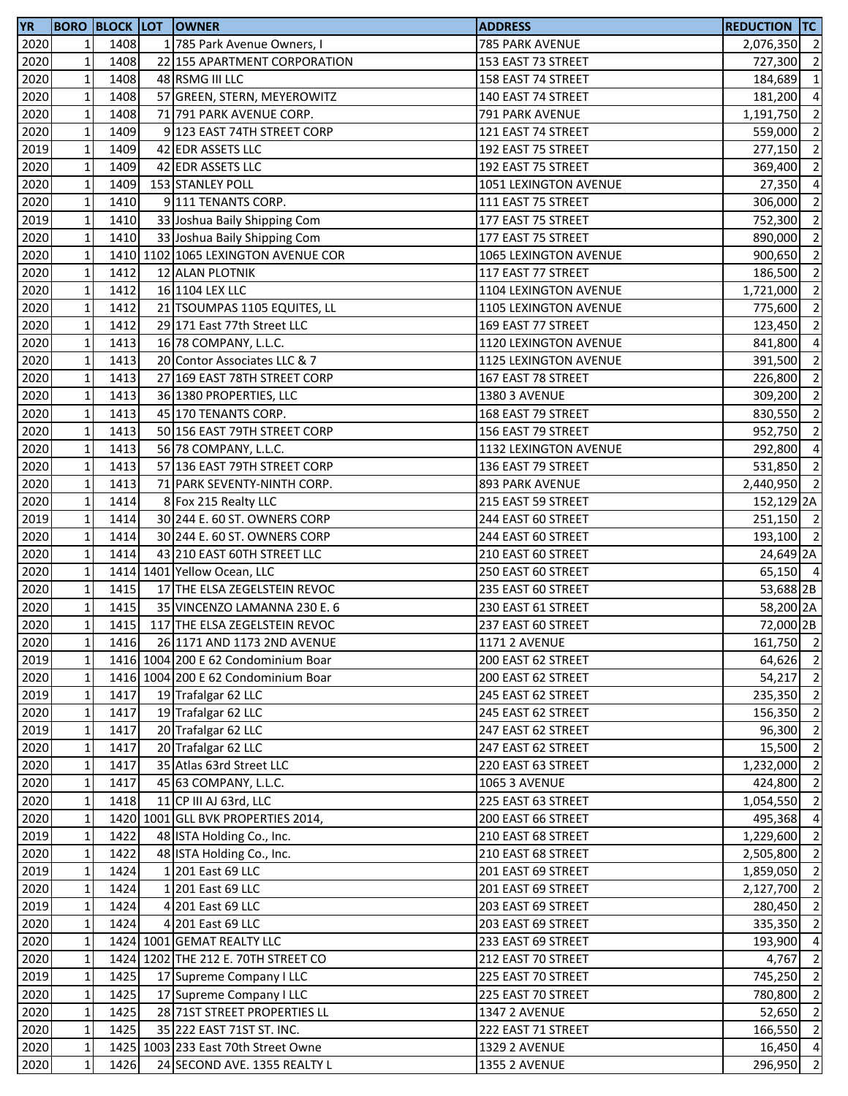| <b>YR</b> |                 |      | <b>BORO BLOCK LOT OWNER</b>         | <b>ADDRESS</b>        | <b>REDUCTION TC</b>   |                          |
|-----------|-----------------|------|-------------------------------------|-----------------------|-----------------------|--------------------------|
| 2020      | 1               | 1408 | 1 785 Park Avenue Owners, I         | 785 PARK AVENUE       | 2,076,350 2           |                          |
| 2020      | $1\overline{ }$ | 1408 | 22 155 APARTMENT CORPORATION        | 153 EAST 73 STREET    | 727,300               | $\overline{2}$           |
| 2020      | $\mathbf{1}$    | 1408 | 48 RSMG III LLC                     | 158 EAST 74 STREET    | 184,689               | $\overline{1}$           |
| 2020      | $\mathbf 1$     | 1408 | 57 GREEN, STERN, MEYEROWITZ         | 140 EAST 74 STREET    | 181,200 4             |                          |
| 2020      | $1\,$           | 1408 | 71 791 PARK AVENUE CORP.            | 791 PARK AVENUE       | 1,191,750             | $\overline{2}$           |
| 2020      | $\mathbf 1$     | 1409 | 9 123 EAST 74TH STREET CORP         | 121 EAST 74 STREET    | 559,000               | $\overline{\phantom{a}}$ |
| 2019      | $\mathbf 1$     | 1409 | 42 EDR ASSETS LLC                   | 192 EAST 75 STREET    | 277,150               | $\overline{2}$           |
| 2020      | $1\,$           | 1409 | 42 EDR ASSETS LLC                   | 192 EAST 75 STREET    | 369,400               | $\overline{2}$           |
| 2020      | $\mathbf 1$     | 1409 | 153 STANLEY POLL                    | 1051 LEXINGTON AVENUE | 27,350                | $\overline{4}$           |
| 2020      | $1\overline{ }$ | 1410 | 9 111 TENANTS CORP.                 | 111 EAST 75 STREET    | 306,000               | $\overline{2}$           |
| 2019      | $\mathbf 1$     | 1410 | 33 Joshua Baily Shipping Com        | 177 EAST 75 STREET    | 752,300               | $\overline{2}$           |
| 2020      | $\mathbf 1$     | 1410 | 33 Joshua Baily Shipping Com        | 177 EAST 75 STREET    | 890,000               | $\overline{2}$           |
| 2020      | $\mathbf 1$     |      | 1410 1102 1065 LEXINGTON AVENUE COR | 1065 LEXINGTON AVENUE | 900,650 2             |                          |
| 2020      | $\mathbf 1$     | 1412 | 12 ALAN PLOTNIK                     | 117 EAST 77 STREET    | 186,500               | $\overline{2}$           |
| 2020      | $\mathbf 1$     | 1412 | 16 1104 LEX LLC                     | 1104 LEXINGTON AVENUE | 1,721,000             | $\overline{2}$           |
| 2020      | $\mathbf 1$     | 1412 | 21 TSOUMPAS 1105 EQUITES, LL        | 1105 LEXINGTON AVENUE | 775,600               | $\overline{2}$           |
| 2020      | $\mathbf 1$     | 1412 | 29 171 East 77th Street LLC         | 169 EAST 77 STREET    | 123,450               | $\overline{2}$           |
| 2020      | $1\overline{ }$ | 1413 | 16 78 COMPANY, L.L.C.               | 1120 LEXINGTON AVENUE | 841,800               | $\overline{4}$           |
| 2020      | $\mathbf 1$     | 1413 | 20 Contor Associates LLC & 7        | 1125 LEXINGTON AVENUE | 391,500               | $\overline{2}$           |
| 2020      | $1\,$           | 1413 | 27 169 EAST 78TH STREET CORP        | 167 EAST 78 STREET    | 226,800               | $\overline{2}$           |
| 2020      | $1\,$           | 1413 | 36 1380 PROPERTIES, LLC             | 1380 3 AVENUE         | 309,200 2             |                          |
| 2020      | $\mathbf{1}$    | 1413 | 45 170 TENANTS CORP.                | 168 EAST 79 STREET    | 830,550 2             |                          |
| 2020      | $1\,$           | 1413 | 50 156 EAST 79TH STREET CORP        | 156 EAST 79 STREET    | 952,750 2             |                          |
| 2020      | $\mathbf 1$     | 1413 | 56 78 COMPANY, L.L.C.               | 1132 LEXINGTON AVENUE | 292,800 4             |                          |
| 2020      | $1\,$           | 1413 | 57 136 EAST 79TH STREET CORP        | 136 EAST 79 STREET    | 531,850               | $\overline{2}$           |
| 2020      | $\mathbf{1}$    | 1413 | 71 PARK SEVENTY-NINTH CORP.         | 893 PARK AVENUE       | 2,440,950             | $\overline{2}$           |
| 2020      | $\mathbf{1}$    | 1414 | 8 Fox 215 Realty LLC                | 215 EAST 59 STREET    | 152,129 <sub>2A</sub> |                          |
| 2019      | $\mathbf 1$     | 1414 | 30 244 E. 60 ST. OWNERS CORP        | 244 EAST 60 STREET    | 251,150 2             |                          |
| 2020      | $1\,$           | 1414 | 30 244 E. 60 ST. OWNERS CORP        | 244 EAST 60 STREET    | 193,100 2             |                          |
| 2020      | $\mathbf{1}$    | 1414 | 43 210 EAST 60TH STREET LLC         | 210 EAST 60 STREET    | 24,649 2A             |                          |
| 2020      | $\mathbf 1$     |      | 1414 1401 Yellow Ocean, LLC         | 250 EAST 60 STREET    | 65,150 4              |                          |
| 2020      | $\mathbf{1}$    | 1415 | 17 THE ELSA ZEGELSTEIN REVOC        | 235 EAST 60 STREET    | 53,688 2B             |                          |
| 2020      | $\mathbf 1$     | 1415 | 35 VINCENZO LAMANNA 230 E. 6        | 230 EAST 61 STREET    | 58,200 2A             |                          |
| 2020      | $\mathbf{1}$    | 1415 | 117 THE ELSA ZEGELSTEIN REVOC       | 237 EAST 60 STREET    | 72,000 2B             |                          |
| 2020      | $1\vert$        | 1416 | 26 1171 AND 1173 2ND AVENUE         | <b>1171 2 AVENUE</b>  | 161,750 2             |                          |
| 2019      | $\mathbf 1$     |      | 1416 1004 200 E 62 Condominium Boar | 200 EAST 62 STREET    | 64,626 2              |                          |
| 2020      | $1\overline{ }$ |      | 1416 1004 200 E 62 Condominium Boar | 200 EAST 62 STREET    | 54,217                | $\overline{2}$           |
| 2019      | $1\overline{ }$ | 1417 | 19 Trafalgar 62 LLC                 | 245 EAST 62 STREET    | 235,350 2             |                          |
| 2020      | $1\,$           | 1417 | 19 Trafalgar 62 LLC                 | 245 EAST 62 STREET    | 156,350 2             |                          |
| 2019      | $\mathbf 1$     | 1417 | 20 Trafalgar 62 LLC                 | 247 EAST 62 STREET    | 96,300 2              |                          |
| 2020      | $1\,$           | 1417 | 20 Trafalgar 62 LLC                 | 247 EAST 62 STREET    | 15,500                | $\overline{2}$           |
| 2020      | $1\overline{ }$ | 1417 | 35 Atlas 63rd Street LLC            | 220 EAST 63 STREET    | 1,232,000             | $\overline{2}$           |
| 2020      | $1\overline{ }$ | 1417 | 45 63 COMPANY, L.L.C.               | <b>1065 3 AVENUE</b>  | 424,800               | $\overline{2}$           |
| 2020      | $\mathbf 1$     | 1418 | 11 CP III AJ 63rd, LLC              | 225 EAST 63 STREET    | 1,054,550             | $\overline{2}$           |
| 2020      | $1\overline{ }$ |      | 1420 1001 GLL BVK PROPERTIES 2014,  | 200 EAST 66 STREET    | 495,368               | $\overline{4}$           |
| 2019      | $1\overline{ }$ | 1422 | 48 ISTA Holding Co., Inc.           | 210 EAST 68 STREET    | 1,229,600 2           |                          |
| 2020      | $1\overline{ }$ | 1422 | 48 ISTA Holding Co., Inc.           | 210 EAST 68 STREET    | 2,505,800 2           |                          |
| 2019      | $\mathbf{1}$    | 1424 | 1 201 East 69 LLC                   | 201 EAST 69 STREET    | 1,859,050 2           |                          |
| 2020      | $\mathbf 1$     | 1424 | 1 201 East 69 LLC                   | 201 EAST 69 STREET    | 2,127,700 2           |                          |
| 2019      | $1\overline{ }$ | 1424 | 4 201 East 69 LLC                   | 203 EAST 69 STREET    | 280,450               | $\overline{2}$           |
| 2020      | $\mathbf{1}$    | 1424 | 4 201 East 69 LLC                   | 203 EAST 69 STREET    | 335,350               | $\overline{2}$           |
| 2020      | $\mathbf{1}$    |      | 1424 1001 GEMAT REALTY LLC          | 233 EAST 69 STREET    | 193,900 4             |                          |
| 2020      | $\mathbf 1$     |      | 1424 1202 THE 212 E. 70TH STREET CO | 212 EAST 70 STREET    | 4,767                 | $\overline{2}$           |
| 2019      | $1\overline{ }$ | 1425 | 17 Supreme Company I LLC            | 225 EAST 70 STREET    | 745,250 2             |                          |
| 2020      | $\mathbf{1}$    | 1425 | 17 Supreme Company I LLC            | 225 EAST 70 STREET    | 780,800 2             |                          |
| 2020      | $1\,$           | 1425 | 28 71ST STREET PROPERTIES LL        | <b>1347 2 AVENUE</b>  | 52,650 2              |                          |
| 2020      | $\mathbf 1$     | 1425 | 35 222 EAST 71ST ST. INC.           | 222 EAST 71 STREET    | 166,550 2             |                          |
| 2020      | $\vert$ 1       |      | 1425 1003 233 East 70th Street Owne | <b>1329 2 AVENUE</b>  | 16,450 4              |                          |
| 2020      | $\mathbf 1$     | 1426 | 24 SECOND AVE. 1355 REALTY L        | <b>1355 2 AVENUE</b>  | 296,950 2             |                          |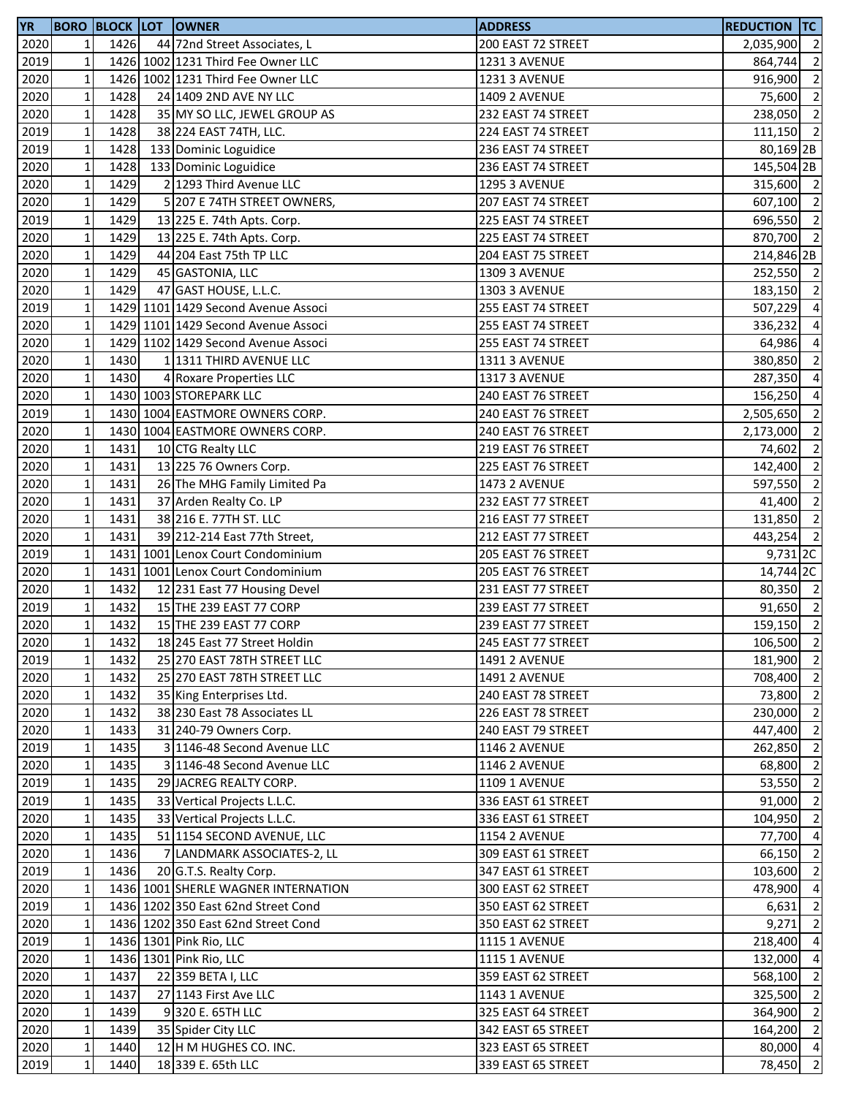| <b>YR</b> |              |      | <b>BORO BLOCK LOT OWNER</b>         | <b>ADDRESS</b>       | <b>REDUCTION TC</b> |                          |
|-----------|--------------|------|-------------------------------------|----------------------|---------------------|--------------------------|
| 2020      | 1            | 1426 | 44 72nd Street Associates, L        | 200 EAST 72 STREET   | 2,035,900 2         |                          |
| 2019      | $\mathbf 1$  |      | 1426 1002 1231 Third Fee Owner LLC  | <b>1231 3 AVENUE</b> | 864,744 2           |                          |
| 2020      | $\mathbf 1$  |      | 1426 1002 1231 Third Fee Owner LLC  | 1231 3 AVENUE        | 916,900 2           |                          |
| 2020      | $\mathbf 1$  | 1428 | 24 1409 2ND AVE NY LLC              | <b>1409 2 AVENUE</b> | $75,600$ 2          |                          |
| 2020      | $\mathbf 1$  | 1428 | 35 MY SO LLC, JEWEL GROUP AS        | 232 EAST 74 STREET   | 238,050 2           |                          |
| 2019      | $\mathbf 1$  | 1428 | 38 224 EAST 74TH, LLC.              | 224 EAST 74 STREET   | $111,150$ 2         |                          |
| 2019      | $\mathbf 1$  | 1428 | 133 Dominic Loguidice               | 236 EAST 74 STREET   | 80,169 2B           |                          |
| 2020      | $\mathbf 1$  | 1428 | 133 Dominic Loguidice               | 236 EAST 74 STREET   | 145,504 2B          |                          |
| 2020      | $\mathbf 1$  | 1429 | 2 1293 Third Avenue LLC             | <b>1295 3 AVENUE</b> | 315,600 2           |                          |
| 2020      | $\mathbf 1$  | 1429 | 5 207 E 74TH STREET OWNERS,         | 207 EAST 74 STREET   | 607,100 2           |                          |
| 2019      | $\mathbf 1$  | 1429 | 13 225 E. 74th Apts. Corp.          | 225 EAST 74 STREET   | 696,550 2           |                          |
| 2020      | $\mathbf 1$  | 1429 | 13 225 E. 74th Apts. Corp.          | 225 EAST 74 STREET   | 870,700 2           |                          |
| 2020      | $\mathbf 1$  | 1429 | 44 204 East 75th TP LLC             | 204 EAST 75 STREET   | 214,846 2B          |                          |
| 2020      | $\mathbf 1$  | 1429 | 45 GASTONIA, LLC                    | <b>1309 3 AVENUE</b> | 252,550 2           |                          |
|           | $\mathbf 1$  | 1429 |                                     |                      | 183,150 2           |                          |
| 2020      |              |      | 47 GAST HOUSE, L.L.C.               | 1303 3 AVENUE        |                     |                          |
| 2019      | $\mathbf 1$  |      | 1429 1101 1429 Second Avenue Associ | 255 EAST 74 STREET   | 507,229 4           |                          |
| 2020      | $\mathbf 1$  |      | 1429 1101 1429 Second Avenue Associ | 255 EAST 74 STREET   | 336,232             | $\overline{4}$           |
| 2020      | $\mathbf 1$  |      | 1429 1102 1429 Second Avenue Associ | 255 EAST 74 STREET   | 64,986 4            |                          |
| 2020      | $\mathbf{1}$ | 1430 | 1 1311 THIRD AVENUE LLC             | 1311 3 AVENUE        | 380,850             | $\overline{\phantom{a}}$ |
| 2020      | $\mathbf 1$  | 1430 | 4 Roxare Properties LLC             | 1317 3 AVENUE        | 287,350 4           |                          |
| 2020      | $\mathbf 1$  |      | 1430 1003 STOREPARK LLC             | 240 EAST 76 STREET   | 156,250             | $\overline{4}$           |
| 2019      | $\mathbf 1$  |      | 1430 1004 EASTMORE OWNERS CORP.     | 240 EAST 76 STREET   | 2,505,650 2         |                          |
| 2020      | $\mathbf 1$  |      | 1430 1004 EASTMORE OWNERS CORP.     | 240 EAST 76 STREET   | 2,173,000 2         |                          |
| 2020      | $\mathbf 1$  | 1431 | 10 CTG Realty LLC                   | 219 EAST 76 STREET   | 74,602              | $\overline{\phantom{a}}$ |
| 2020      | $\mathbf 1$  | 1431 | 13 225 76 Owners Corp.              | 225 EAST 76 STREET   | 142,400 2           |                          |
| 2020      | $\mathbf 1$  | 1431 | 26 The MHG Family Limited Pa        | <b>1473 2 AVENUE</b> | 597,550             | $\overline{\phantom{a}}$ |
| 2020      | $\mathbf 1$  | 1431 | 37 Arden Realty Co. LP              | 232 EAST 77 STREET   | 41,400              | $\overline{2}$           |
| 2020      | $\mathbf 1$  | 1431 | 38 216 E. 77TH ST. LLC              | 216 EAST 77 STREET   | 131,850 2           |                          |
| 2020      | $\mathbf 1$  | 1431 | 39 212-214 East 77th Street,        | 212 EAST 77 STREET   | 443,254 2           |                          |
| 2019      | $\mathbf 1$  |      | 1431 1001 Lenox Court Condominium   | 205 EAST 76 STREET   | 9,731 2C            |                          |
| 2020      | $\mathbf 1$  |      | 1431 1001 Lenox Court Condominium   | 205 EAST 76 STREET   | 14,744 2C           |                          |
| 2020      | $\mathbf 1$  | 1432 | 12 231 East 77 Housing Devel        | 231 EAST 77 STREET   | 80,350 2            |                          |
| 2019      | $\mathbf 1$  | 1432 | 15 THE 239 EAST 77 CORP             | 239 EAST 77 STREET   | 91,650 2            |                          |
| 2020      | $\mathbf{1}$ | 1432 | 15 THE 239 EAST 77 CORP             | 239 EAST 77 STREET   | $159,150$ 2         |                          |
| 2020      | $1\vert$     | 1432 | 18 245 East 77 Street Holdin        | 245 EAST 77 STREET   | 106,500 2           |                          |
| 2019      | $\mathbf{1}$ | 1432 | 25 270 EAST 78TH STREET LLC         | <b>1491 2 AVENUE</b> | 181,900 2           |                          |
| 2020      | $\mathbf 1$  | 1432 | 25 270 EAST 78TH STREET LLC         | <b>1491 2 AVENUE</b> | 708,400 2           |                          |
| 2020      | $\mathbf 1$  | 1432 | 35 King Enterprises Ltd.            | 240 EAST 78 STREET   | 73,800              | $\overline{2}$           |
| 2020      | $\mathbf 1$  | 1432 | 38 230 East 78 Associates LL        | 226 EAST 78 STREET   | 230,000 2           |                          |
| 2020      | $\mathbf 1$  | 1433 | 31 240-79 Owners Corp.              | 240 EAST 79 STREET   | 447,400 2           |                          |
|           |              | 1435 | 3 1146-48 Second Avenue LLC         |                      |                     |                          |
| 2019      | $\mathbf 1$  |      |                                     | <b>1146 2 AVENUE</b> | 262,850 2           |                          |
| 2020      | $\mathbf 1$  | 1435 | 3 1146-48 Second Avenue LLC         | <b>1146 2 AVENUE</b> | 68,800 2            |                          |
| 2019      | $\mathbf{1}$ | 1435 | 29 JACREG REALTY CORP.              | <b>1109 1 AVENUE</b> | 53,550 2            |                          |
| 2019      | $\mathbf 1$  | 1435 | 33 Vertical Projects L.L.C.         | 336 EAST 61 STREET   | 91,000              | $\overline{\phantom{0}}$ |
| 2020      | $\mathbf 1$  | 1435 | 33 Vertical Projects L.L.C.         | 336 EAST 61 STREET   | 104,950             | $\overline{2}$           |
| 2020      | $\mathbf 1$  | 1435 | 51 1154 SECOND AVENUE, LLC          | <b>1154 2 AVENUE</b> | 77,700 4            |                          |
| 2020      | $\mathbf{1}$ | 1436 | 7 LANDMARK ASSOCIATES-2, LL         | 309 EAST 61 STREET   | 66,150 2            |                          |
| 2019      | $\mathbf 1$  | 1436 | 20 G.T.S. Realty Corp.              | 347 EAST 61 STREET   | 103,600 2           |                          |
| 2020      | $\mathbf 1$  |      | 1436 1001 SHERLE WAGNER INTERNATION | 300 EAST 62 STREET   | 478,900 4           |                          |
| 2019      | $\mathbf 1$  |      | 1436 1202 350 East 62nd Street Cond | 350 EAST 62 STREET   | $6,631$ 2           |                          |
| 2020      | $\mathbf{1}$ |      | 1436 1202 350 East 62nd Street Cond | 350 EAST 62 STREET   | $9,271$ 2           |                          |
| 2019      | $\mathbf{1}$ |      | 1436 1301 Pink Rio, LLC             | <b>1115 1 AVENUE</b> | 218,400 4           |                          |
| 2020      | $\mathbf{1}$ |      | 1436 1301 Pink Rio, LLC             | <b>1115 1 AVENUE</b> | 132,000             | $\overline{4}$           |
| 2020      | $\mathbf 1$  | 1437 | 22 359 BETA I, LLC                  | 359 EAST 62 STREET   | 568,100             | $\overline{2}$           |
| 2020      | $\mathbf 1$  | 1437 | 27 1143 First Ave LLC               | <b>1143 1 AVENUE</b> | 325,500 2           |                          |
| 2020      | $\mathbf 1$  | 1439 | 9320 E. 65TH LLC                    | 325 EAST 64 STREET   | 364,900 2           |                          |
| 2020      | $\mathbf 1$  | 1439 | 35 Spider City LLC                  | 342 EAST 65 STREET   | 164,200 2           |                          |
| 2020      | $\mathbf 1$  | 1440 | 12 H M HUGHES CO. INC.              | 323 EAST 65 STREET   | $80,000$ 4          |                          |
| 2019      | $\mathbf 1$  | 1440 | 18 339 E. 65th LLC                  | 339 EAST 65 STREET   | 78,450              | $\overline{2}$           |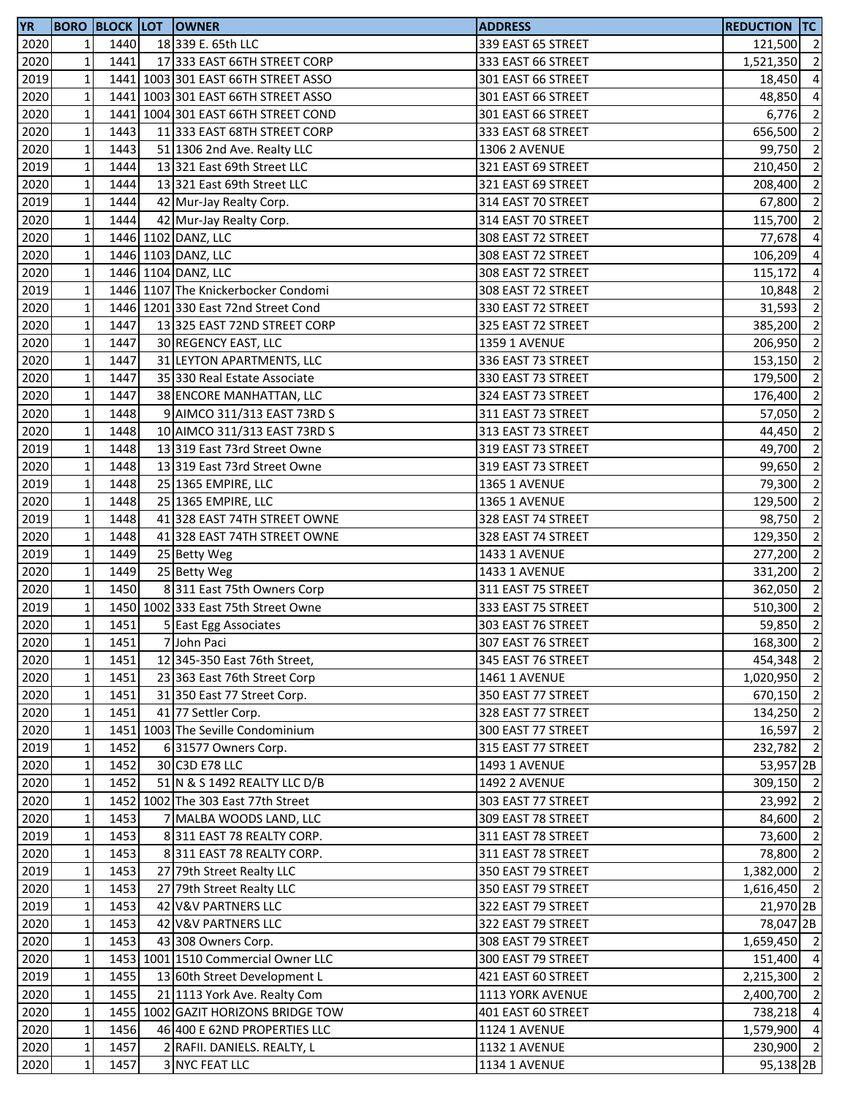| 2020<br>1440<br>18 339 E. 65th LLC<br>339 EAST 65 STREET<br>121,500 2<br>1<br>$\mathbf 1$<br>1441<br>2020<br>17 333 EAST 66TH STREET CORP<br>333 EAST 66 STREET<br>$\mathbf 1$<br>2019<br>1441 1003 301 EAST 66TH STREET ASSO<br>301 EAST 66 STREET<br>18,450<br>2020<br>$\mathbf 1$<br>1441 1003 301 EAST 66TH STREET ASSO<br>301 EAST 66 STREET<br>48,850<br>$\mathbf 1$<br>2020<br>1441 1004 301 EAST 66TH STREET COND<br>301 EAST 66 STREET<br>$\mathbf 1$<br>2020<br>1443<br>11 333 EAST 68TH STREET CORP<br>656,500<br>333 EAST 68 STREET<br>$\mathbf 1$<br>2020<br>1443<br>51 1306 2nd Ave. Realty LLC<br><b>1306 2 AVENUE</b><br>99,750<br>2019<br>$\mathbf 1$<br>1444<br>13 321 East 69th Street LLC<br>321 EAST 69 STREET<br>210,450<br>$\mathbf 1$<br>2020<br>1444<br>13 321 East 69th Street LLC<br>321 EAST 69 STREET<br>208,400<br>$\mathbf 1$<br>2019<br>1444<br>67,800<br>42 Mur-Jay Realty Corp.<br>314 EAST 70 STREET<br>$\mathbf 1$<br>2020<br>1444<br>314 EAST 70 STREET<br>115,700<br>42 Mur-Jay Realty Corp.<br>1446 1102 DANZ, LLC<br>$\mathbf 1$<br>2020<br>308 EAST 72 STREET<br>77,678<br>$\mathbf 1$<br>1446 1103 DANZ, LLC<br>2020<br>308 EAST 72 STREET<br>$\mathbf 1$<br>1446 1104 DANZ, LLC<br>2020<br>308 EAST 72 STREET<br>115,172<br>$\mathbf 1$<br>2019<br>1446 1107 The Knickerbocker Condomi<br>308 EAST 72 STREET<br>10,848<br>$\mathbf 1$<br>2020<br>1446 1201 330 East 72nd Street Cond<br>330 EAST 72 STREET<br>31,593<br>2020<br>$\mathbf 1$<br>1447<br>13 325 EAST 72ND STREET CORP<br>325 EAST 72 STREET<br>385,200<br>$\mathbf 1$<br>1447<br>2020<br>30 REGENCY EAST, LLC<br><b>1359 1 AVENUE</b><br>206,950<br>$\mathbf 1$<br>2020<br>1447<br>31 LEYTON APARTMENTS, LLC<br>336 EAST 73 STREET<br>153,150<br>2020<br>$\mathbf 1$<br>1447<br>35 330 Real Estate Associate<br>330 EAST 73 STREET<br>179,500<br>$\mathbf 1$<br>2020<br>1447<br>38 ENCORE MANHATTAN, LLC<br>324 EAST 73 STREET<br>$\mathbf 1$<br>2020<br>1448<br>9 AIMCO 311/313 EAST 73RD S<br>311 EAST 73 STREET<br>$\mathbf 1$<br>2020<br>1448<br>10 AIMCO 311/313 EAST 73RD S<br>313 EAST 73 STREET<br>44,450<br>$\mathbf 1$<br>2019<br>1448<br>13 319 East 73rd Street Owne<br>319 EAST 73 STREET<br>49,700<br>$\mathbf 1$<br>2020<br>1448<br>13 319 East 73rd Street Owne<br>319 EAST 73 STREET<br>99,650<br>2019<br>$\mathbf 1$<br>1448<br>25 1365 EMPIRE, LLC<br><b>1365 1 AVENUE</b><br>79,300<br>$\mathbf 1$<br>1448<br>2020<br>25 1365 EMPIRE, LLC<br>1365 1 AVENUE<br>129,500<br>$\mathbf 1$<br>2019<br>1448<br>41 328 EAST 74TH STREET OWNE<br>328 EAST 74 STREET<br>98,750<br>$\mathbf 1$<br>2020<br>1448<br>41 328 EAST 74TH STREET OWNE<br>328 EAST 74 STREET<br>$\mathbf 1$<br>2019<br>1449<br>25 Betty Weg<br>1433 1 AVENUE<br>$\mathbf 1$<br>1449<br>2020<br>25 Betty Weg<br>1433 1 AVENUE<br>$\mathbf 1$<br>2020<br>1450<br>8311 East 75th Owners Corp<br>311 EAST 75 STREET<br>$\mathbf 1$<br>2019<br>1450 1002 333 East 75th Street Owne<br>333 EAST 75 STREET<br>$\mathbf{1}$<br>2020<br>1451<br>5 East Egg Associates<br>303 EAST 76 STREET<br>2020<br>$1\vert$<br>1451<br>7 John Paci<br>307 EAST 76 STREET<br>2020<br>$\mathbf 1$<br>1451<br>12 345-350 East 76th Street,<br>345 EAST 76 STREET<br>2020<br>$\mathbf 1$<br>1451<br>23 363 East 76th Street Corp<br><b>1461 1 AVENUE</b><br>2020<br>$\mathbf 1$<br>1451<br>31 350 East 77 Street Corp.<br>350 EAST 77 STREET<br>$\mathbf 1$<br>2020<br>1451<br>41 77 Settler Corp.<br>328 EAST 77 STREET<br>2020<br>$\mathbf 1$<br>1451 1003 The Seville Condominium<br>16,597<br>300 EAST 77 STREET<br>2019<br>$\mathbf 1$<br>1452<br>6 31577 Owners Corp.<br>315 EAST 77 STREET<br>232,782<br>2020<br>$\mathbf 1$<br>1452<br>30 C3D E78 LLC<br>1493 1 AVENUE<br>2020<br>$\mathbf 1$<br>1452<br>51 N & S 1492 REALTY LLC D/B<br><b>1492 2 AVENUE</b><br>2020<br>$\mathbf 1$<br>1452 1002 The 303 East 77th Street<br>303 EAST 77 STREET<br>23,992<br>2020<br>1453<br>$\mathbf{1}$<br>7 MALBA WOODS LAND, LLC<br>309 EAST 78 STREET<br>84,600<br>2019<br>$\mathbf 1$<br>1453<br>8 311 EAST 78 REALTY CORP.<br>311 EAST 78 STREET<br>$\mathbf 1$<br>2020<br>1453<br>8311 EAST 78 REALTY CORP.<br>311 EAST 78 STREET<br>2019<br>$\mathbf 1$<br>1453<br>27 79th Street Realty LLC<br>350 EAST 79 STREET<br>2020<br>$\mathbf 1$<br>1453<br>27 79th Street Realty LLC<br>350 EAST 79 STREET<br>2019<br>$\mathbf 1$<br>1453<br>42 V&V PARTNERS LLC<br>322 EAST 79 STREET<br>$\mathbf 1$<br>2020<br>1453<br>42 V&V PARTNERS LLC<br>322 EAST 79 STREET<br>2020<br>$\mathbf 1$<br>1453<br>43 308 Owners Corp.<br>308 EAST 79 STREET<br>$\mathbf 1$<br>2020<br>1453 1001 1510 Commercial Owner LLC<br>300 EAST 79 STREET<br>2019<br>$\mathbf 1$<br>1455<br>13 60th Street Development L<br>421 EAST 60 STREET<br>$\mathbf 1$<br>2020<br>1455<br>21 1113 York Ave. Realty Com<br>1113 YORK AVENUE<br>$\mathbf 1$<br>1455 1002 GAZIT HORIZONS BRIDGE TOW<br>2020<br>401 EAST 60 STREET<br>$\mathbf 1$<br>2020<br>1456<br>46 400 E 62ND PROPERTIES LLC<br><b>1124 1 AVENUE</b><br>$\mathbf 1$<br>2020<br>1457<br>2 RAFII. DANIELS. REALTY, L<br><b>1132 1 AVENUE</b><br>$\mathbf 1$<br>2020<br>1457<br>3 NYC FEAT LLC<br>1134 1 AVENUE | <b>YR</b> |  | <b>BORO BLOCK LOT OWNER</b> | <b>ADDRESS</b> | <b>REDUCTION TC</b> |                |
|------------------------------------------------------------------------------------------------------------------------------------------------------------------------------------------------------------------------------------------------------------------------------------------------------------------------------------------------------------------------------------------------------------------------------------------------------------------------------------------------------------------------------------------------------------------------------------------------------------------------------------------------------------------------------------------------------------------------------------------------------------------------------------------------------------------------------------------------------------------------------------------------------------------------------------------------------------------------------------------------------------------------------------------------------------------------------------------------------------------------------------------------------------------------------------------------------------------------------------------------------------------------------------------------------------------------------------------------------------------------------------------------------------------------------------------------------------------------------------------------------------------------------------------------------------------------------------------------------------------------------------------------------------------------------------------------------------------------------------------------------------------------------------------------------------------------------------------------------------------------------------------------------------------------------------------------------------------------------------------------------------------------------------------------------------------------------------------------------------------------------------------------------------------------------------------------------------------------------------------------------------------------------------------------------------------------------------------------------------------------------------------------------------------------------------------------------------------------------------------------------------------------------------------------------------------------------------------------------------------------------------------------------------------------------------------------------------------------------------------------------------------------------------------------------------------------------------------------------------------------------------------------------------------------------------------------------------------------------------------------------------------------------------------------------------------------------------------------------------------------------------------------------------------------------------------------------------------------------------------------------------------------------------------------------------------------------------------------------------------------------------------------------------------------------------------------------------------------------------------------------------------------------------------------------------------------------------------------------------------------------------------------------------------------------------------------------------------------------------------------------------------------------------------------------------------------------------------------------------------------------------------------------------------------------------------------------------------------------------------------------------------------------------------------------------------------------------------------------------------------------------------------------------------------------------------------------------------------------------------------------------------------------------------------------------------------------------------------------------------------------------------------------------------------------------------------------------------------------------------------------------------------------------------------------------------------------------------------------------------------------------------------------------------------------------------------------------------------------------------------------------------------------------------------------------------------------------------------------------------------------------------------------------------------------------------------------------------------------------------------------------------------------------------------------------------------------------------------------------------------------------------------------------------------------------------------------------|-----------|--|-----------------------------|----------------|---------------------|----------------|
| 1,521,350 2                                                                                                                                                                                                                                                                                                                                                                                                                                                                                                                                                                                                                                                                                                                                                                                                                                                                                                                                                                                                                                                                                                                                                                                                                                                                                                                                                                                                                                                                                                                                                                                                                                                                                                                                                                                                                                                                                                                                                                                                                                                                                                                                                                                                                                                                                                                                                                                                                                                                                                                                                                                                                                                                                                                                                                                                                                                                                                                                                                                                                                                                                                                                                                                                                                                                                                                                                                                                                                                                                                                                                                                                                                                                                                                                                                                                                                                                                                                                                                                                                                                                                                                                                                                                                                                                                                                                                                                                                                                                                                                                                                                                                                                                                                                                                                                                                                                                                                                                                                                                                                                                                                                                                                                                |           |  |                             |                |                     |                |
|                                                                                                                                                                                                                                                                                                                                                                                                                                                                                                                                                                                                                                                                                                                                                                                                                                                                                                                                                                                                                                                                                                                                                                                                                                                                                                                                                                                                                                                                                                                                                                                                                                                                                                                                                                                                                                                                                                                                                                                                                                                                                                                                                                                                                                                                                                                                                                                                                                                                                                                                                                                                                                                                                                                                                                                                                                                                                                                                                                                                                                                                                                                                                                                                                                                                                                                                                                                                                                                                                                                                                                                                                                                                                                                                                                                                                                                                                                                                                                                                                                                                                                                                                                                                                                                                                                                                                                                                                                                                                                                                                                                                                                                                                                                                                                                                                                                                                                                                                                                                                                                                                                                                                                                                            |           |  |                             |                |                     |                |
| $\overline{4}$<br>$6,776$ 2<br>$\overline{2}$<br>$\overline{2}$<br>$\overline{2}$<br>$\overline{2}$<br>$\overline{2}$<br>$\overline{2}$<br>$\overline{4}$<br>106,209 4<br>$\overline{4}$<br>$\overline{2}$<br>$\overline{2}$<br>$\overline{2}$<br>$\overline{2}$<br>$\overline{2}$<br>$\overline{2}$<br>176,400 2<br>57,050 2<br>$\overline{\phantom{a}}$<br>$\overline{2}$<br>$\overline{2}$<br>$\overline{2}$<br>$\overline{2}$<br>$\overline{2}$<br>129,350 2<br>277,200 2<br>331,200 2<br>362,050 2<br>510,300 2<br>$59,850$ 2<br>168,300 2<br>454,348 2<br>1,020,950 2<br>670,150 2<br>134,250 2<br>$\overline{2}$<br>$\overline{2}$<br>53,957 2B<br>309,150 2<br>$\overline{2}$<br>$\overline{2}$<br>73,600 2<br>78,800 2<br>1,382,000 2<br>1,616,450 2<br>21,970 2B<br>78,047 2B<br>1,659,450 2<br>151,400 4<br>2,215,300 2<br>2,400,700 2<br>738,218 4<br>1,579,900 4<br>230,900 2<br>95,138 <sub>2B</sub>                                                                                                                                                                                                                                                                                                                                                                                                                                                                                                                                                                                                                                                                                                                                                                                                                                                                                                                                                                                                                                                                                                                                                                                                                                                                                                                                                                                                                                                                                                                                                                                                                                                                                                                                                                                                                                                                                                                                                                                                                                                                                                                                                                                                                                                                                                                                                                                                                                                                                                                                                                                                                                                                                                                                                                                                                                                                                                                                                                                                                                                                                                                                                                                                                                                                                                                                                                                                                                                                                                                                                                                                                                                                                                                                                                                                                                                                                                                                                                                                                                                                                                                                                                                                                                                                                         |           |  |                             |                |                     | $\overline{4}$ |
|                                                                                                                                                                                                                                                                                                                                                                                                                                                                                                                                                                                                                                                                                                                                                                                                                                                                                                                                                                                                                                                                                                                                                                                                                                                                                                                                                                                                                                                                                                                                                                                                                                                                                                                                                                                                                                                                                                                                                                                                                                                                                                                                                                                                                                                                                                                                                                                                                                                                                                                                                                                                                                                                                                                                                                                                                                                                                                                                                                                                                                                                                                                                                                                                                                                                                                                                                                                                                                                                                                                                                                                                                                                                                                                                                                                                                                                                                                                                                                                                                                                                                                                                                                                                                                                                                                                                                                                                                                                                                                                                                                                                                                                                                                                                                                                                                                                                                                                                                                                                                                                                                                                                                                                                            |           |  |                             |                |                     |                |
|                                                                                                                                                                                                                                                                                                                                                                                                                                                                                                                                                                                                                                                                                                                                                                                                                                                                                                                                                                                                                                                                                                                                                                                                                                                                                                                                                                                                                                                                                                                                                                                                                                                                                                                                                                                                                                                                                                                                                                                                                                                                                                                                                                                                                                                                                                                                                                                                                                                                                                                                                                                                                                                                                                                                                                                                                                                                                                                                                                                                                                                                                                                                                                                                                                                                                                                                                                                                                                                                                                                                                                                                                                                                                                                                                                                                                                                                                                                                                                                                                                                                                                                                                                                                                                                                                                                                                                                                                                                                                                                                                                                                                                                                                                                                                                                                                                                                                                                                                                                                                                                                                                                                                                                                            |           |  |                             |                |                     |                |
|                                                                                                                                                                                                                                                                                                                                                                                                                                                                                                                                                                                                                                                                                                                                                                                                                                                                                                                                                                                                                                                                                                                                                                                                                                                                                                                                                                                                                                                                                                                                                                                                                                                                                                                                                                                                                                                                                                                                                                                                                                                                                                                                                                                                                                                                                                                                                                                                                                                                                                                                                                                                                                                                                                                                                                                                                                                                                                                                                                                                                                                                                                                                                                                                                                                                                                                                                                                                                                                                                                                                                                                                                                                                                                                                                                                                                                                                                                                                                                                                                                                                                                                                                                                                                                                                                                                                                                                                                                                                                                                                                                                                                                                                                                                                                                                                                                                                                                                                                                                                                                                                                                                                                                                                            |           |  |                             |                |                     |                |
|                                                                                                                                                                                                                                                                                                                                                                                                                                                                                                                                                                                                                                                                                                                                                                                                                                                                                                                                                                                                                                                                                                                                                                                                                                                                                                                                                                                                                                                                                                                                                                                                                                                                                                                                                                                                                                                                                                                                                                                                                                                                                                                                                                                                                                                                                                                                                                                                                                                                                                                                                                                                                                                                                                                                                                                                                                                                                                                                                                                                                                                                                                                                                                                                                                                                                                                                                                                                                                                                                                                                                                                                                                                                                                                                                                                                                                                                                                                                                                                                                                                                                                                                                                                                                                                                                                                                                                                                                                                                                                                                                                                                                                                                                                                                                                                                                                                                                                                                                                                                                                                                                                                                                                                                            |           |  |                             |                |                     |                |
|                                                                                                                                                                                                                                                                                                                                                                                                                                                                                                                                                                                                                                                                                                                                                                                                                                                                                                                                                                                                                                                                                                                                                                                                                                                                                                                                                                                                                                                                                                                                                                                                                                                                                                                                                                                                                                                                                                                                                                                                                                                                                                                                                                                                                                                                                                                                                                                                                                                                                                                                                                                                                                                                                                                                                                                                                                                                                                                                                                                                                                                                                                                                                                                                                                                                                                                                                                                                                                                                                                                                                                                                                                                                                                                                                                                                                                                                                                                                                                                                                                                                                                                                                                                                                                                                                                                                                                                                                                                                                                                                                                                                                                                                                                                                                                                                                                                                                                                                                                                                                                                                                                                                                                                                            |           |  |                             |                |                     |                |
|                                                                                                                                                                                                                                                                                                                                                                                                                                                                                                                                                                                                                                                                                                                                                                                                                                                                                                                                                                                                                                                                                                                                                                                                                                                                                                                                                                                                                                                                                                                                                                                                                                                                                                                                                                                                                                                                                                                                                                                                                                                                                                                                                                                                                                                                                                                                                                                                                                                                                                                                                                                                                                                                                                                                                                                                                                                                                                                                                                                                                                                                                                                                                                                                                                                                                                                                                                                                                                                                                                                                                                                                                                                                                                                                                                                                                                                                                                                                                                                                                                                                                                                                                                                                                                                                                                                                                                                                                                                                                                                                                                                                                                                                                                                                                                                                                                                                                                                                                                                                                                                                                                                                                                                                            |           |  |                             |                |                     |                |
|                                                                                                                                                                                                                                                                                                                                                                                                                                                                                                                                                                                                                                                                                                                                                                                                                                                                                                                                                                                                                                                                                                                                                                                                                                                                                                                                                                                                                                                                                                                                                                                                                                                                                                                                                                                                                                                                                                                                                                                                                                                                                                                                                                                                                                                                                                                                                                                                                                                                                                                                                                                                                                                                                                                                                                                                                                                                                                                                                                                                                                                                                                                                                                                                                                                                                                                                                                                                                                                                                                                                                                                                                                                                                                                                                                                                                                                                                                                                                                                                                                                                                                                                                                                                                                                                                                                                                                                                                                                                                                                                                                                                                                                                                                                                                                                                                                                                                                                                                                                                                                                                                                                                                                                                            |           |  |                             |                |                     |                |
|                                                                                                                                                                                                                                                                                                                                                                                                                                                                                                                                                                                                                                                                                                                                                                                                                                                                                                                                                                                                                                                                                                                                                                                                                                                                                                                                                                                                                                                                                                                                                                                                                                                                                                                                                                                                                                                                                                                                                                                                                                                                                                                                                                                                                                                                                                                                                                                                                                                                                                                                                                                                                                                                                                                                                                                                                                                                                                                                                                                                                                                                                                                                                                                                                                                                                                                                                                                                                                                                                                                                                                                                                                                                                                                                                                                                                                                                                                                                                                                                                                                                                                                                                                                                                                                                                                                                                                                                                                                                                                                                                                                                                                                                                                                                                                                                                                                                                                                                                                                                                                                                                                                                                                                                            |           |  |                             |                |                     |                |
|                                                                                                                                                                                                                                                                                                                                                                                                                                                                                                                                                                                                                                                                                                                                                                                                                                                                                                                                                                                                                                                                                                                                                                                                                                                                                                                                                                                                                                                                                                                                                                                                                                                                                                                                                                                                                                                                                                                                                                                                                                                                                                                                                                                                                                                                                                                                                                                                                                                                                                                                                                                                                                                                                                                                                                                                                                                                                                                                                                                                                                                                                                                                                                                                                                                                                                                                                                                                                                                                                                                                                                                                                                                                                                                                                                                                                                                                                                                                                                                                                                                                                                                                                                                                                                                                                                                                                                                                                                                                                                                                                                                                                                                                                                                                                                                                                                                                                                                                                                                                                                                                                                                                                                                                            |           |  |                             |                |                     |                |
|                                                                                                                                                                                                                                                                                                                                                                                                                                                                                                                                                                                                                                                                                                                                                                                                                                                                                                                                                                                                                                                                                                                                                                                                                                                                                                                                                                                                                                                                                                                                                                                                                                                                                                                                                                                                                                                                                                                                                                                                                                                                                                                                                                                                                                                                                                                                                                                                                                                                                                                                                                                                                                                                                                                                                                                                                                                                                                                                                                                                                                                                                                                                                                                                                                                                                                                                                                                                                                                                                                                                                                                                                                                                                                                                                                                                                                                                                                                                                                                                                                                                                                                                                                                                                                                                                                                                                                                                                                                                                                                                                                                                                                                                                                                                                                                                                                                                                                                                                                                                                                                                                                                                                                                                            |           |  |                             |                |                     |                |
|                                                                                                                                                                                                                                                                                                                                                                                                                                                                                                                                                                                                                                                                                                                                                                                                                                                                                                                                                                                                                                                                                                                                                                                                                                                                                                                                                                                                                                                                                                                                                                                                                                                                                                                                                                                                                                                                                                                                                                                                                                                                                                                                                                                                                                                                                                                                                                                                                                                                                                                                                                                                                                                                                                                                                                                                                                                                                                                                                                                                                                                                                                                                                                                                                                                                                                                                                                                                                                                                                                                                                                                                                                                                                                                                                                                                                                                                                                                                                                                                                                                                                                                                                                                                                                                                                                                                                                                                                                                                                                                                                                                                                                                                                                                                                                                                                                                                                                                                                                                                                                                                                                                                                                                                            |           |  |                             |                |                     |                |
|                                                                                                                                                                                                                                                                                                                                                                                                                                                                                                                                                                                                                                                                                                                                                                                                                                                                                                                                                                                                                                                                                                                                                                                                                                                                                                                                                                                                                                                                                                                                                                                                                                                                                                                                                                                                                                                                                                                                                                                                                                                                                                                                                                                                                                                                                                                                                                                                                                                                                                                                                                                                                                                                                                                                                                                                                                                                                                                                                                                                                                                                                                                                                                                                                                                                                                                                                                                                                                                                                                                                                                                                                                                                                                                                                                                                                                                                                                                                                                                                                                                                                                                                                                                                                                                                                                                                                                                                                                                                                                                                                                                                                                                                                                                                                                                                                                                                                                                                                                                                                                                                                                                                                                                                            |           |  |                             |                |                     |                |
|                                                                                                                                                                                                                                                                                                                                                                                                                                                                                                                                                                                                                                                                                                                                                                                                                                                                                                                                                                                                                                                                                                                                                                                                                                                                                                                                                                                                                                                                                                                                                                                                                                                                                                                                                                                                                                                                                                                                                                                                                                                                                                                                                                                                                                                                                                                                                                                                                                                                                                                                                                                                                                                                                                                                                                                                                                                                                                                                                                                                                                                                                                                                                                                                                                                                                                                                                                                                                                                                                                                                                                                                                                                                                                                                                                                                                                                                                                                                                                                                                                                                                                                                                                                                                                                                                                                                                                                                                                                                                                                                                                                                                                                                                                                                                                                                                                                                                                                                                                                                                                                                                                                                                                                                            |           |  |                             |                |                     |                |
|                                                                                                                                                                                                                                                                                                                                                                                                                                                                                                                                                                                                                                                                                                                                                                                                                                                                                                                                                                                                                                                                                                                                                                                                                                                                                                                                                                                                                                                                                                                                                                                                                                                                                                                                                                                                                                                                                                                                                                                                                                                                                                                                                                                                                                                                                                                                                                                                                                                                                                                                                                                                                                                                                                                                                                                                                                                                                                                                                                                                                                                                                                                                                                                                                                                                                                                                                                                                                                                                                                                                                                                                                                                                                                                                                                                                                                                                                                                                                                                                                                                                                                                                                                                                                                                                                                                                                                                                                                                                                                                                                                                                                                                                                                                                                                                                                                                                                                                                                                                                                                                                                                                                                                                                            |           |  |                             |                |                     |                |
|                                                                                                                                                                                                                                                                                                                                                                                                                                                                                                                                                                                                                                                                                                                                                                                                                                                                                                                                                                                                                                                                                                                                                                                                                                                                                                                                                                                                                                                                                                                                                                                                                                                                                                                                                                                                                                                                                                                                                                                                                                                                                                                                                                                                                                                                                                                                                                                                                                                                                                                                                                                                                                                                                                                                                                                                                                                                                                                                                                                                                                                                                                                                                                                                                                                                                                                                                                                                                                                                                                                                                                                                                                                                                                                                                                                                                                                                                                                                                                                                                                                                                                                                                                                                                                                                                                                                                                                                                                                                                                                                                                                                                                                                                                                                                                                                                                                                                                                                                                                                                                                                                                                                                                                                            |           |  |                             |                |                     |                |
|                                                                                                                                                                                                                                                                                                                                                                                                                                                                                                                                                                                                                                                                                                                                                                                                                                                                                                                                                                                                                                                                                                                                                                                                                                                                                                                                                                                                                                                                                                                                                                                                                                                                                                                                                                                                                                                                                                                                                                                                                                                                                                                                                                                                                                                                                                                                                                                                                                                                                                                                                                                                                                                                                                                                                                                                                                                                                                                                                                                                                                                                                                                                                                                                                                                                                                                                                                                                                                                                                                                                                                                                                                                                                                                                                                                                                                                                                                                                                                                                                                                                                                                                                                                                                                                                                                                                                                                                                                                                                                                                                                                                                                                                                                                                                                                                                                                                                                                                                                                                                                                                                                                                                                                                            |           |  |                             |                |                     |                |
|                                                                                                                                                                                                                                                                                                                                                                                                                                                                                                                                                                                                                                                                                                                                                                                                                                                                                                                                                                                                                                                                                                                                                                                                                                                                                                                                                                                                                                                                                                                                                                                                                                                                                                                                                                                                                                                                                                                                                                                                                                                                                                                                                                                                                                                                                                                                                                                                                                                                                                                                                                                                                                                                                                                                                                                                                                                                                                                                                                                                                                                                                                                                                                                                                                                                                                                                                                                                                                                                                                                                                                                                                                                                                                                                                                                                                                                                                                                                                                                                                                                                                                                                                                                                                                                                                                                                                                                                                                                                                                                                                                                                                                                                                                                                                                                                                                                                                                                                                                                                                                                                                                                                                                                                            |           |  |                             |                |                     |                |
|                                                                                                                                                                                                                                                                                                                                                                                                                                                                                                                                                                                                                                                                                                                                                                                                                                                                                                                                                                                                                                                                                                                                                                                                                                                                                                                                                                                                                                                                                                                                                                                                                                                                                                                                                                                                                                                                                                                                                                                                                                                                                                                                                                                                                                                                                                                                                                                                                                                                                                                                                                                                                                                                                                                                                                                                                                                                                                                                                                                                                                                                                                                                                                                                                                                                                                                                                                                                                                                                                                                                                                                                                                                                                                                                                                                                                                                                                                                                                                                                                                                                                                                                                                                                                                                                                                                                                                                                                                                                                                                                                                                                                                                                                                                                                                                                                                                                                                                                                                                                                                                                                                                                                                                                            |           |  |                             |                |                     |                |
|                                                                                                                                                                                                                                                                                                                                                                                                                                                                                                                                                                                                                                                                                                                                                                                                                                                                                                                                                                                                                                                                                                                                                                                                                                                                                                                                                                                                                                                                                                                                                                                                                                                                                                                                                                                                                                                                                                                                                                                                                                                                                                                                                                                                                                                                                                                                                                                                                                                                                                                                                                                                                                                                                                                                                                                                                                                                                                                                                                                                                                                                                                                                                                                                                                                                                                                                                                                                                                                                                                                                                                                                                                                                                                                                                                                                                                                                                                                                                                                                                                                                                                                                                                                                                                                                                                                                                                                                                                                                                                                                                                                                                                                                                                                                                                                                                                                                                                                                                                                                                                                                                                                                                                                                            |           |  |                             |                |                     |                |
|                                                                                                                                                                                                                                                                                                                                                                                                                                                                                                                                                                                                                                                                                                                                                                                                                                                                                                                                                                                                                                                                                                                                                                                                                                                                                                                                                                                                                                                                                                                                                                                                                                                                                                                                                                                                                                                                                                                                                                                                                                                                                                                                                                                                                                                                                                                                                                                                                                                                                                                                                                                                                                                                                                                                                                                                                                                                                                                                                                                                                                                                                                                                                                                                                                                                                                                                                                                                                                                                                                                                                                                                                                                                                                                                                                                                                                                                                                                                                                                                                                                                                                                                                                                                                                                                                                                                                                                                                                                                                                                                                                                                                                                                                                                                                                                                                                                                                                                                                                                                                                                                                                                                                                                                            |           |  |                             |                |                     |                |
|                                                                                                                                                                                                                                                                                                                                                                                                                                                                                                                                                                                                                                                                                                                                                                                                                                                                                                                                                                                                                                                                                                                                                                                                                                                                                                                                                                                                                                                                                                                                                                                                                                                                                                                                                                                                                                                                                                                                                                                                                                                                                                                                                                                                                                                                                                                                                                                                                                                                                                                                                                                                                                                                                                                                                                                                                                                                                                                                                                                                                                                                                                                                                                                                                                                                                                                                                                                                                                                                                                                                                                                                                                                                                                                                                                                                                                                                                                                                                                                                                                                                                                                                                                                                                                                                                                                                                                                                                                                                                                                                                                                                                                                                                                                                                                                                                                                                                                                                                                                                                                                                                                                                                                                                            |           |  |                             |                |                     |                |
|                                                                                                                                                                                                                                                                                                                                                                                                                                                                                                                                                                                                                                                                                                                                                                                                                                                                                                                                                                                                                                                                                                                                                                                                                                                                                                                                                                                                                                                                                                                                                                                                                                                                                                                                                                                                                                                                                                                                                                                                                                                                                                                                                                                                                                                                                                                                                                                                                                                                                                                                                                                                                                                                                                                                                                                                                                                                                                                                                                                                                                                                                                                                                                                                                                                                                                                                                                                                                                                                                                                                                                                                                                                                                                                                                                                                                                                                                                                                                                                                                                                                                                                                                                                                                                                                                                                                                                                                                                                                                                                                                                                                                                                                                                                                                                                                                                                                                                                                                                                                                                                                                                                                                                                                            |           |  |                             |                |                     |                |
|                                                                                                                                                                                                                                                                                                                                                                                                                                                                                                                                                                                                                                                                                                                                                                                                                                                                                                                                                                                                                                                                                                                                                                                                                                                                                                                                                                                                                                                                                                                                                                                                                                                                                                                                                                                                                                                                                                                                                                                                                                                                                                                                                                                                                                                                                                                                                                                                                                                                                                                                                                                                                                                                                                                                                                                                                                                                                                                                                                                                                                                                                                                                                                                                                                                                                                                                                                                                                                                                                                                                                                                                                                                                                                                                                                                                                                                                                                                                                                                                                                                                                                                                                                                                                                                                                                                                                                                                                                                                                                                                                                                                                                                                                                                                                                                                                                                                                                                                                                                                                                                                                                                                                                                                            |           |  |                             |                |                     |                |
|                                                                                                                                                                                                                                                                                                                                                                                                                                                                                                                                                                                                                                                                                                                                                                                                                                                                                                                                                                                                                                                                                                                                                                                                                                                                                                                                                                                                                                                                                                                                                                                                                                                                                                                                                                                                                                                                                                                                                                                                                                                                                                                                                                                                                                                                                                                                                                                                                                                                                                                                                                                                                                                                                                                                                                                                                                                                                                                                                                                                                                                                                                                                                                                                                                                                                                                                                                                                                                                                                                                                                                                                                                                                                                                                                                                                                                                                                                                                                                                                                                                                                                                                                                                                                                                                                                                                                                                                                                                                                                                                                                                                                                                                                                                                                                                                                                                                                                                                                                                                                                                                                                                                                                                                            |           |  |                             |                |                     |                |
|                                                                                                                                                                                                                                                                                                                                                                                                                                                                                                                                                                                                                                                                                                                                                                                                                                                                                                                                                                                                                                                                                                                                                                                                                                                                                                                                                                                                                                                                                                                                                                                                                                                                                                                                                                                                                                                                                                                                                                                                                                                                                                                                                                                                                                                                                                                                                                                                                                                                                                                                                                                                                                                                                                                                                                                                                                                                                                                                                                                                                                                                                                                                                                                                                                                                                                                                                                                                                                                                                                                                                                                                                                                                                                                                                                                                                                                                                                                                                                                                                                                                                                                                                                                                                                                                                                                                                                                                                                                                                                                                                                                                                                                                                                                                                                                                                                                                                                                                                                                                                                                                                                                                                                                                            |           |  |                             |                |                     |                |
|                                                                                                                                                                                                                                                                                                                                                                                                                                                                                                                                                                                                                                                                                                                                                                                                                                                                                                                                                                                                                                                                                                                                                                                                                                                                                                                                                                                                                                                                                                                                                                                                                                                                                                                                                                                                                                                                                                                                                                                                                                                                                                                                                                                                                                                                                                                                                                                                                                                                                                                                                                                                                                                                                                                                                                                                                                                                                                                                                                                                                                                                                                                                                                                                                                                                                                                                                                                                                                                                                                                                                                                                                                                                                                                                                                                                                                                                                                                                                                                                                                                                                                                                                                                                                                                                                                                                                                                                                                                                                                                                                                                                                                                                                                                                                                                                                                                                                                                                                                                                                                                                                                                                                                                                            |           |  |                             |                |                     |                |
|                                                                                                                                                                                                                                                                                                                                                                                                                                                                                                                                                                                                                                                                                                                                                                                                                                                                                                                                                                                                                                                                                                                                                                                                                                                                                                                                                                                                                                                                                                                                                                                                                                                                                                                                                                                                                                                                                                                                                                                                                                                                                                                                                                                                                                                                                                                                                                                                                                                                                                                                                                                                                                                                                                                                                                                                                                                                                                                                                                                                                                                                                                                                                                                                                                                                                                                                                                                                                                                                                                                                                                                                                                                                                                                                                                                                                                                                                                                                                                                                                                                                                                                                                                                                                                                                                                                                                                                                                                                                                                                                                                                                                                                                                                                                                                                                                                                                                                                                                                                                                                                                                                                                                                                                            |           |  |                             |                |                     |                |
|                                                                                                                                                                                                                                                                                                                                                                                                                                                                                                                                                                                                                                                                                                                                                                                                                                                                                                                                                                                                                                                                                                                                                                                                                                                                                                                                                                                                                                                                                                                                                                                                                                                                                                                                                                                                                                                                                                                                                                                                                                                                                                                                                                                                                                                                                                                                                                                                                                                                                                                                                                                                                                                                                                                                                                                                                                                                                                                                                                                                                                                                                                                                                                                                                                                                                                                                                                                                                                                                                                                                                                                                                                                                                                                                                                                                                                                                                                                                                                                                                                                                                                                                                                                                                                                                                                                                                                                                                                                                                                                                                                                                                                                                                                                                                                                                                                                                                                                                                                                                                                                                                                                                                                                                            |           |  |                             |                |                     |                |
|                                                                                                                                                                                                                                                                                                                                                                                                                                                                                                                                                                                                                                                                                                                                                                                                                                                                                                                                                                                                                                                                                                                                                                                                                                                                                                                                                                                                                                                                                                                                                                                                                                                                                                                                                                                                                                                                                                                                                                                                                                                                                                                                                                                                                                                                                                                                                                                                                                                                                                                                                                                                                                                                                                                                                                                                                                                                                                                                                                                                                                                                                                                                                                                                                                                                                                                                                                                                                                                                                                                                                                                                                                                                                                                                                                                                                                                                                                                                                                                                                                                                                                                                                                                                                                                                                                                                                                                                                                                                                                                                                                                                                                                                                                                                                                                                                                                                                                                                                                                                                                                                                                                                                                                                            |           |  |                             |                |                     |                |
|                                                                                                                                                                                                                                                                                                                                                                                                                                                                                                                                                                                                                                                                                                                                                                                                                                                                                                                                                                                                                                                                                                                                                                                                                                                                                                                                                                                                                                                                                                                                                                                                                                                                                                                                                                                                                                                                                                                                                                                                                                                                                                                                                                                                                                                                                                                                                                                                                                                                                                                                                                                                                                                                                                                                                                                                                                                                                                                                                                                                                                                                                                                                                                                                                                                                                                                                                                                                                                                                                                                                                                                                                                                                                                                                                                                                                                                                                                                                                                                                                                                                                                                                                                                                                                                                                                                                                                                                                                                                                                                                                                                                                                                                                                                                                                                                                                                                                                                                                                                                                                                                                                                                                                                                            |           |  |                             |                |                     |                |
|                                                                                                                                                                                                                                                                                                                                                                                                                                                                                                                                                                                                                                                                                                                                                                                                                                                                                                                                                                                                                                                                                                                                                                                                                                                                                                                                                                                                                                                                                                                                                                                                                                                                                                                                                                                                                                                                                                                                                                                                                                                                                                                                                                                                                                                                                                                                                                                                                                                                                                                                                                                                                                                                                                                                                                                                                                                                                                                                                                                                                                                                                                                                                                                                                                                                                                                                                                                                                                                                                                                                                                                                                                                                                                                                                                                                                                                                                                                                                                                                                                                                                                                                                                                                                                                                                                                                                                                                                                                                                                                                                                                                                                                                                                                                                                                                                                                                                                                                                                                                                                                                                                                                                                                                            |           |  |                             |                |                     |                |
|                                                                                                                                                                                                                                                                                                                                                                                                                                                                                                                                                                                                                                                                                                                                                                                                                                                                                                                                                                                                                                                                                                                                                                                                                                                                                                                                                                                                                                                                                                                                                                                                                                                                                                                                                                                                                                                                                                                                                                                                                                                                                                                                                                                                                                                                                                                                                                                                                                                                                                                                                                                                                                                                                                                                                                                                                                                                                                                                                                                                                                                                                                                                                                                                                                                                                                                                                                                                                                                                                                                                                                                                                                                                                                                                                                                                                                                                                                                                                                                                                                                                                                                                                                                                                                                                                                                                                                                                                                                                                                                                                                                                                                                                                                                                                                                                                                                                                                                                                                                                                                                                                                                                                                                                            |           |  |                             |                |                     |                |
|                                                                                                                                                                                                                                                                                                                                                                                                                                                                                                                                                                                                                                                                                                                                                                                                                                                                                                                                                                                                                                                                                                                                                                                                                                                                                                                                                                                                                                                                                                                                                                                                                                                                                                                                                                                                                                                                                                                                                                                                                                                                                                                                                                                                                                                                                                                                                                                                                                                                                                                                                                                                                                                                                                                                                                                                                                                                                                                                                                                                                                                                                                                                                                                                                                                                                                                                                                                                                                                                                                                                                                                                                                                                                                                                                                                                                                                                                                                                                                                                                                                                                                                                                                                                                                                                                                                                                                                                                                                                                                                                                                                                                                                                                                                                                                                                                                                                                                                                                                                                                                                                                                                                                                                                            |           |  |                             |                |                     |                |
|                                                                                                                                                                                                                                                                                                                                                                                                                                                                                                                                                                                                                                                                                                                                                                                                                                                                                                                                                                                                                                                                                                                                                                                                                                                                                                                                                                                                                                                                                                                                                                                                                                                                                                                                                                                                                                                                                                                                                                                                                                                                                                                                                                                                                                                                                                                                                                                                                                                                                                                                                                                                                                                                                                                                                                                                                                                                                                                                                                                                                                                                                                                                                                                                                                                                                                                                                                                                                                                                                                                                                                                                                                                                                                                                                                                                                                                                                                                                                                                                                                                                                                                                                                                                                                                                                                                                                                                                                                                                                                                                                                                                                                                                                                                                                                                                                                                                                                                                                                                                                                                                                                                                                                                                            |           |  |                             |                |                     |                |
|                                                                                                                                                                                                                                                                                                                                                                                                                                                                                                                                                                                                                                                                                                                                                                                                                                                                                                                                                                                                                                                                                                                                                                                                                                                                                                                                                                                                                                                                                                                                                                                                                                                                                                                                                                                                                                                                                                                                                                                                                                                                                                                                                                                                                                                                                                                                                                                                                                                                                                                                                                                                                                                                                                                                                                                                                                                                                                                                                                                                                                                                                                                                                                                                                                                                                                                                                                                                                                                                                                                                                                                                                                                                                                                                                                                                                                                                                                                                                                                                                                                                                                                                                                                                                                                                                                                                                                                                                                                                                                                                                                                                                                                                                                                                                                                                                                                                                                                                                                                                                                                                                                                                                                                                            |           |  |                             |                |                     |                |
|                                                                                                                                                                                                                                                                                                                                                                                                                                                                                                                                                                                                                                                                                                                                                                                                                                                                                                                                                                                                                                                                                                                                                                                                                                                                                                                                                                                                                                                                                                                                                                                                                                                                                                                                                                                                                                                                                                                                                                                                                                                                                                                                                                                                                                                                                                                                                                                                                                                                                                                                                                                                                                                                                                                                                                                                                                                                                                                                                                                                                                                                                                                                                                                                                                                                                                                                                                                                                                                                                                                                                                                                                                                                                                                                                                                                                                                                                                                                                                                                                                                                                                                                                                                                                                                                                                                                                                                                                                                                                                                                                                                                                                                                                                                                                                                                                                                                                                                                                                                                                                                                                                                                                                                                            |           |  |                             |                |                     |                |
|                                                                                                                                                                                                                                                                                                                                                                                                                                                                                                                                                                                                                                                                                                                                                                                                                                                                                                                                                                                                                                                                                                                                                                                                                                                                                                                                                                                                                                                                                                                                                                                                                                                                                                                                                                                                                                                                                                                                                                                                                                                                                                                                                                                                                                                                                                                                                                                                                                                                                                                                                                                                                                                                                                                                                                                                                                                                                                                                                                                                                                                                                                                                                                                                                                                                                                                                                                                                                                                                                                                                                                                                                                                                                                                                                                                                                                                                                                                                                                                                                                                                                                                                                                                                                                                                                                                                                                                                                                                                                                                                                                                                                                                                                                                                                                                                                                                                                                                                                                                                                                                                                                                                                                                                            |           |  |                             |                |                     |                |
|                                                                                                                                                                                                                                                                                                                                                                                                                                                                                                                                                                                                                                                                                                                                                                                                                                                                                                                                                                                                                                                                                                                                                                                                                                                                                                                                                                                                                                                                                                                                                                                                                                                                                                                                                                                                                                                                                                                                                                                                                                                                                                                                                                                                                                                                                                                                                                                                                                                                                                                                                                                                                                                                                                                                                                                                                                                                                                                                                                                                                                                                                                                                                                                                                                                                                                                                                                                                                                                                                                                                                                                                                                                                                                                                                                                                                                                                                                                                                                                                                                                                                                                                                                                                                                                                                                                                                                                                                                                                                                                                                                                                                                                                                                                                                                                                                                                                                                                                                                                                                                                                                                                                                                                                            |           |  |                             |                |                     |                |
|                                                                                                                                                                                                                                                                                                                                                                                                                                                                                                                                                                                                                                                                                                                                                                                                                                                                                                                                                                                                                                                                                                                                                                                                                                                                                                                                                                                                                                                                                                                                                                                                                                                                                                                                                                                                                                                                                                                                                                                                                                                                                                                                                                                                                                                                                                                                                                                                                                                                                                                                                                                                                                                                                                                                                                                                                                                                                                                                                                                                                                                                                                                                                                                                                                                                                                                                                                                                                                                                                                                                                                                                                                                                                                                                                                                                                                                                                                                                                                                                                                                                                                                                                                                                                                                                                                                                                                                                                                                                                                                                                                                                                                                                                                                                                                                                                                                                                                                                                                                                                                                                                                                                                                                                            |           |  |                             |                |                     |                |
|                                                                                                                                                                                                                                                                                                                                                                                                                                                                                                                                                                                                                                                                                                                                                                                                                                                                                                                                                                                                                                                                                                                                                                                                                                                                                                                                                                                                                                                                                                                                                                                                                                                                                                                                                                                                                                                                                                                                                                                                                                                                                                                                                                                                                                                                                                                                                                                                                                                                                                                                                                                                                                                                                                                                                                                                                                                                                                                                                                                                                                                                                                                                                                                                                                                                                                                                                                                                                                                                                                                                                                                                                                                                                                                                                                                                                                                                                                                                                                                                                                                                                                                                                                                                                                                                                                                                                                                                                                                                                                                                                                                                                                                                                                                                                                                                                                                                                                                                                                                                                                                                                                                                                                                                            |           |  |                             |                |                     |                |
|                                                                                                                                                                                                                                                                                                                                                                                                                                                                                                                                                                                                                                                                                                                                                                                                                                                                                                                                                                                                                                                                                                                                                                                                                                                                                                                                                                                                                                                                                                                                                                                                                                                                                                                                                                                                                                                                                                                                                                                                                                                                                                                                                                                                                                                                                                                                                                                                                                                                                                                                                                                                                                                                                                                                                                                                                                                                                                                                                                                                                                                                                                                                                                                                                                                                                                                                                                                                                                                                                                                                                                                                                                                                                                                                                                                                                                                                                                                                                                                                                                                                                                                                                                                                                                                                                                                                                                                                                                                                                                                                                                                                                                                                                                                                                                                                                                                                                                                                                                                                                                                                                                                                                                                                            |           |  |                             |                |                     |                |
|                                                                                                                                                                                                                                                                                                                                                                                                                                                                                                                                                                                                                                                                                                                                                                                                                                                                                                                                                                                                                                                                                                                                                                                                                                                                                                                                                                                                                                                                                                                                                                                                                                                                                                                                                                                                                                                                                                                                                                                                                                                                                                                                                                                                                                                                                                                                                                                                                                                                                                                                                                                                                                                                                                                                                                                                                                                                                                                                                                                                                                                                                                                                                                                                                                                                                                                                                                                                                                                                                                                                                                                                                                                                                                                                                                                                                                                                                                                                                                                                                                                                                                                                                                                                                                                                                                                                                                                                                                                                                                                                                                                                                                                                                                                                                                                                                                                                                                                                                                                                                                                                                                                                                                                                            |           |  |                             |                |                     |                |
|                                                                                                                                                                                                                                                                                                                                                                                                                                                                                                                                                                                                                                                                                                                                                                                                                                                                                                                                                                                                                                                                                                                                                                                                                                                                                                                                                                                                                                                                                                                                                                                                                                                                                                                                                                                                                                                                                                                                                                                                                                                                                                                                                                                                                                                                                                                                                                                                                                                                                                                                                                                                                                                                                                                                                                                                                                                                                                                                                                                                                                                                                                                                                                                                                                                                                                                                                                                                                                                                                                                                                                                                                                                                                                                                                                                                                                                                                                                                                                                                                                                                                                                                                                                                                                                                                                                                                                                                                                                                                                                                                                                                                                                                                                                                                                                                                                                                                                                                                                                                                                                                                                                                                                                                            |           |  |                             |                |                     |                |
|                                                                                                                                                                                                                                                                                                                                                                                                                                                                                                                                                                                                                                                                                                                                                                                                                                                                                                                                                                                                                                                                                                                                                                                                                                                                                                                                                                                                                                                                                                                                                                                                                                                                                                                                                                                                                                                                                                                                                                                                                                                                                                                                                                                                                                                                                                                                                                                                                                                                                                                                                                                                                                                                                                                                                                                                                                                                                                                                                                                                                                                                                                                                                                                                                                                                                                                                                                                                                                                                                                                                                                                                                                                                                                                                                                                                                                                                                                                                                                                                                                                                                                                                                                                                                                                                                                                                                                                                                                                                                                                                                                                                                                                                                                                                                                                                                                                                                                                                                                                                                                                                                                                                                                                                            |           |  |                             |                |                     |                |
|                                                                                                                                                                                                                                                                                                                                                                                                                                                                                                                                                                                                                                                                                                                                                                                                                                                                                                                                                                                                                                                                                                                                                                                                                                                                                                                                                                                                                                                                                                                                                                                                                                                                                                                                                                                                                                                                                                                                                                                                                                                                                                                                                                                                                                                                                                                                                                                                                                                                                                                                                                                                                                                                                                                                                                                                                                                                                                                                                                                                                                                                                                                                                                                                                                                                                                                                                                                                                                                                                                                                                                                                                                                                                                                                                                                                                                                                                                                                                                                                                                                                                                                                                                                                                                                                                                                                                                                                                                                                                                                                                                                                                                                                                                                                                                                                                                                                                                                                                                                                                                                                                                                                                                                                            |           |  |                             |                |                     |                |
|                                                                                                                                                                                                                                                                                                                                                                                                                                                                                                                                                                                                                                                                                                                                                                                                                                                                                                                                                                                                                                                                                                                                                                                                                                                                                                                                                                                                                                                                                                                                                                                                                                                                                                                                                                                                                                                                                                                                                                                                                                                                                                                                                                                                                                                                                                                                                                                                                                                                                                                                                                                                                                                                                                                                                                                                                                                                                                                                                                                                                                                                                                                                                                                                                                                                                                                                                                                                                                                                                                                                                                                                                                                                                                                                                                                                                                                                                                                                                                                                                                                                                                                                                                                                                                                                                                                                                                                                                                                                                                                                                                                                                                                                                                                                                                                                                                                                                                                                                                                                                                                                                                                                                                                                            |           |  |                             |                |                     |                |
|                                                                                                                                                                                                                                                                                                                                                                                                                                                                                                                                                                                                                                                                                                                                                                                                                                                                                                                                                                                                                                                                                                                                                                                                                                                                                                                                                                                                                                                                                                                                                                                                                                                                                                                                                                                                                                                                                                                                                                                                                                                                                                                                                                                                                                                                                                                                                                                                                                                                                                                                                                                                                                                                                                                                                                                                                                                                                                                                                                                                                                                                                                                                                                                                                                                                                                                                                                                                                                                                                                                                                                                                                                                                                                                                                                                                                                                                                                                                                                                                                                                                                                                                                                                                                                                                                                                                                                                                                                                                                                                                                                                                                                                                                                                                                                                                                                                                                                                                                                                                                                                                                                                                                                                                            |           |  |                             |                |                     |                |
|                                                                                                                                                                                                                                                                                                                                                                                                                                                                                                                                                                                                                                                                                                                                                                                                                                                                                                                                                                                                                                                                                                                                                                                                                                                                                                                                                                                                                                                                                                                                                                                                                                                                                                                                                                                                                                                                                                                                                                                                                                                                                                                                                                                                                                                                                                                                                                                                                                                                                                                                                                                                                                                                                                                                                                                                                                                                                                                                                                                                                                                                                                                                                                                                                                                                                                                                                                                                                                                                                                                                                                                                                                                                                                                                                                                                                                                                                                                                                                                                                                                                                                                                                                                                                                                                                                                                                                                                                                                                                                                                                                                                                                                                                                                                                                                                                                                                                                                                                                                                                                                                                                                                                                                                            |           |  |                             |                |                     |                |
|                                                                                                                                                                                                                                                                                                                                                                                                                                                                                                                                                                                                                                                                                                                                                                                                                                                                                                                                                                                                                                                                                                                                                                                                                                                                                                                                                                                                                                                                                                                                                                                                                                                                                                                                                                                                                                                                                                                                                                                                                                                                                                                                                                                                                                                                                                                                                                                                                                                                                                                                                                                                                                                                                                                                                                                                                                                                                                                                                                                                                                                                                                                                                                                                                                                                                                                                                                                                                                                                                                                                                                                                                                                                                                                                                                                                                                                                                                                                                                                                                                                                                                                                                                                                                                                                                                                                                                                                                                                                                                                                                                                                                                                                                                                                                                                                                                                                                                                                                                                                                                                                                                                                                                                                            |           |  |                             |                |                     |                |
|                                                                                                                                                                                                                                                                                                                                                                                                                                                                                                                                                                                                                                                                                                                                                                                                                                                                                                                                                                                                                                                                                                                                                                                                                                                                                                                                                                                                                                                                                                                                                                                                                                                                                                                                                                                                                                                                                                                                                                                                                                                                                                                                                                                                                                                                                                                                                                                                                                                                                                                                                                                                                                                                                                                                                                                                                                                                                                                                                                                                                                                                                                                                                                                                                                                                                                                                                                                                                                                                                                                                                                                                                                                                                                                                                                                                                                                                                                                                                                                                                                                                                                                                                                                                                                                                                                                                                                                                                                                                                                                                                                                                                                                                                                                                                                                                                                                                                                                                                                                                                                                                                                                                                                                                            |           |  |                             |                |                     |                |
|                                                                                                                                                                                                                                                                                                                                                                                                                                                                                                                                                                                                                                                                                                                                                                                                                                                                                                                                                                                                                                                                                                                                                                                                                                                                                                                                                                                                                                                                                                                                                                                                                                                                                                                                                                                                                                                                                                                                                                                                                                                                                                                                                                                                                                                                                                                                                                                                                                                                                                                                                                                                                                                                                                                                                                                                                                                                                                                                                                                                                                                                                                                                                                                                                                                                                                                                                                                                                                                                                                                                                                                                                                                                                                                                                                                                                                                                                                                                                                                                                                                                                                                                                                                                                                                                                                                                                                                                                                                                                                                                                                                                                                                                                                                                                                                                                                                                                                                                                                                                                                                                                                                                                                                                            |           |  |                             |                |                     |                |
|                                                                                                                                                                                                                                                                                                                                                                                                                                                                                                                                                                                                                                                                                                                                                                                                                                                                                                                                                                                                                                                                                                                                                                                                                                                                                                                                                                                                                                                                                                                                                                                                                                                                                                                                                                                                                                                                                                                                                                                                                                                                                                                                                                                                                                                                                                                                                                                                                                                                                                                                                                                                                                                                                                                                                                                                                                                                                                                                                                                                                                                                                                                                                                                                                                                                                                                                                                                                                                                                                                                                                                                                                                                                                                                                                                                                                                                                                                                                                                                                                                                                                                                                                                                                                                                                                                                                                                                                                                                                                                                                                                                                                                                                                                                                                                                                                                                                                                                                                                                                                                                                                                                                                                                                            |           |  |                             |                |                     |                |
|                                                                                                                                                                                                                                                                                                                                                                                                                                                                                                                                                                                                                                                                                                                                                                                                                                                                                                                                                                                                                                                                                                                                                                                                                                                                                                                                                                                                                                                                                                                                                                                                                                                                                                                                                                                                                                                                                                                                                                                                                                                                                                                                                                                                                                                                                                                                                                                                                                                                                                                                                                                                                                                                                                                                                                                                                                                                                                                                                                                                                                                                                                                                                                                                                                                                                                                                                                                                                                                                                                                                                                                                                                                                                                                                                                                                                                                                                                                                                                                                                                                                                                                                                                                                                                                                                                                                                                                                                                                                                                                                                                                                                                                                                                                                                                                                                                                                                                                                                                                                                                                                                                                                                                                                            |           |  |                             |                |                     |                |
|                                                                                                                                                                                                                                                                                                                                                                                                                                                                                                                                                                                                                                                                                                                                                                                                                                                                                                                                                                                                                                                                                                                                                                                                                                                                                                                                                                                                                                                                                                                                                                                                                                                                                                                                                                                                                                                                                                                                                                                                                                                                                                                                                                                                                                                                                                                                                                                                                                                                                                                                                                                                                                                                                                                                                                                                                                                                                                                                                                                                                                                                                                                                                                                                                                                                                                                                                                                                                                                                                                                                                                                                                                                                                                                                                                                                                                                                                                                                                                                                                                                                                                                                                                                                                                                                                                                                                                                                                                                                                                                                                                                                                                                                                                                                                                                                                                                                                                                                                                                                                                                                                                                                                                                                            |           |  |                             |                |                     |                |
|                                                                                                                                                                                                                                                                                                                                                                                                                                                                                                                                                                                                                                                                                                                                                                                                                                                                                                                                                                                                                                                                                                                                                                                                                                                                                                                                                                                                                                                                                                                                                                                                                                                                                                                                                                                                                                                                                                                                                                                                                                                                                                                                                                                                                                                                                                                                                                                                                                                                                                                                                                                                                                                                                                                                                                                                                                                                                                                                                                                                                                                                                                                                                                                                                                                                                                                                                                                                                                                                                                                                                                                                                                                                                                                                                                                                                                                                                                                                                                                                                                                                                                                                                                                                                                                                                                                                                                                                                                                                                                                                                                                                                                                                                                                                                                                                                                                                                                                                                                                                                                                                                                                                                                                                            |           |  |                             |                |                     |                |
|                                                                                                                                                                                                                                                                                                                                                                                                                                                                                                                                                                                                                                                                                                                                                                                                                                                                                                                                                                                                                                                                                                                                                                                                                                                                                                                                                                                                                                                                                                                                                                                                                                                                                                                                                                                                                                                                                                                                                                                                                                                                                                                                                                                                                                                                                                                                                                                                                                                                                                                                                                                                                                                                                                                                                                                                                                                                                                                                                                                                                                                                                                                                                                                                                                                                                                                                                                                                                                                                                                                                                                                                                                                                                                                                                                                                                                                                                                                                                                                                                                                                                                                                                                                                                                                                                                                                                                                                                                                                                                                                                                                                                                                                                                                                                                                                                                                                                                                                                                                                                                                                                                                                                                                                            |           |  |                             |                |                     |                |
|                                                                                                                                                                                                                                                                                                                                                                                                                                                                                                                                                                                                                                                                                                                                                                                                                                                                                                                                                                                                                                                                                                                                                                                                                                                                                                                                                                                                                                                                                                                                                                                                                                                                                                                                                                                                                                                                                                                                                                                                                                                                                                                                                                                                                                                                                                                                                                                                                                                                                                                                                                                                                                                                                                                                                                                                                                                                                                                                                                                                                                                                                                                                                                                                                                                                                                                                                                                                                                                                                                                                                                                                                                                                                                                                                                                                                                                                                                                                                                                                                                                                                                                                                                                                                                                                                                                                                                                                                                                                                                                                                                                                                                                                                                                                                                                                                                                                                                                                                                                                                                                                                                                                                                                                            |           |  |                             |                |                     |                |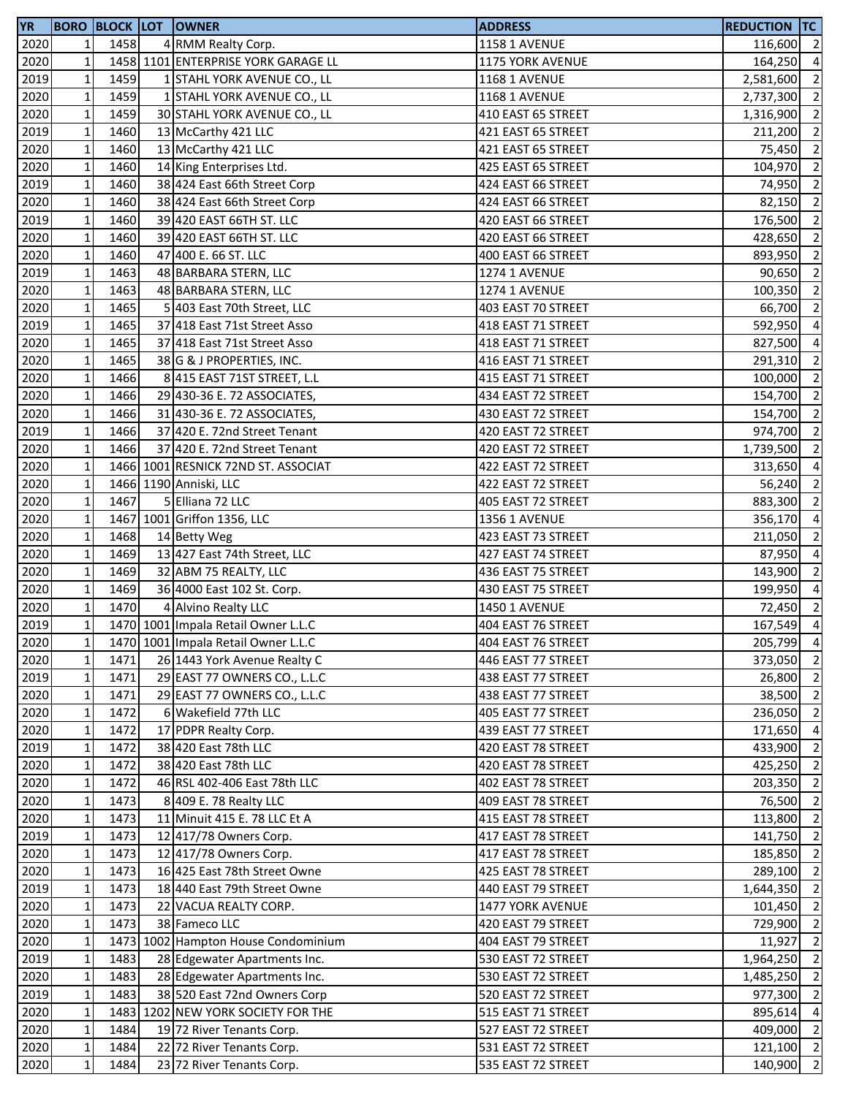| <b>YR</b> |              |      | <b>BORO BLOCK LOT OWNER</b>         | <b>ADDRESS</b>       | <b>REDUCTION TC</b> |                |
|-----------|--------------|------|-------------------------------------|----------------------|---------------------|----------------|
| 2020      | 1            | 1458 | 4 RMM Realty Corp.                  | <b>1158 1 AVENUE</b> | 116,600 2           |                |
| 2020      | $\mathbf 1$  |      | 1458 1101 ENTERPRISE YORK GARAGE LL | 1175 YORK AVENUE     | 164,250             | $\overline{4}$ |
| 2019      | $\mathbf 1$  | 1459 | 1 STAHL YORK AVENUE CO., LL         | <b>1168 1 AVENUE</b> | 2,581,600           | $\overline{2}$ |
| 2020      | $\mathbf 1$  | 1459 | 1 STAHL YORK AVENUE CO., LL         | <b>1168 1 AVENUE</b> | 2,737,300 2         |                |
| 2020      | $\mathbf 1$  | 1459 | 30 STAHL YORK AVENUE CO., LL        | 410 EAST 65 STREET   | 1,316,900 2         |                |
| 2019      | $\mathbf 1$  | 1460 | 13 McCarthy 421 LLC                 | 421 EAST 65 STREET   | 211,200             | $\overline{2}$ |
| 2020      | $\mathbf 1$  | 1460 | 13 McCarthy 421 LLC                 | 421 EAST 65 STREET   | 75,450              | $\overline{2}$ |
| 2020      | $\mathbf 1$  | 1460 | 14 King Enterprises Ltd.            | 425 EAST 65 STREET   | 104,970 2           |                |
| 2019      | $\mathbf 1$  | 1460 | 38 424 East 66th Street Corp        | 424 EAST 66 STREET   | 74,950              | $\overline{2}$ |
| 2020      | $\mathbf 1$  | 1460 | 38 424 East 66th Street Corp        | 424 EAST 66 STREET   | 82,150              | $\overline{2}$ |
| 2019      | $\mathbf 1$  | 1460 | 39 420 EAST 66TH ST. LLC            | 420 EAST 66 STREET   | 176,500 2           |                |
| 2020      | $\mathbf 1$  | 1460 | 39 420 EAST 66TH ST. LLC            | 420 EAST 66 STREET   | 428,650             | $\overline{2}$ |
| 2020      | $\mathbf 1$  | 1460 | 47 400 E. 66 ST. LLC                | 400 EAST 66 STREET   | 893,950 2           |                |
| 2019      | $\mathbf 1$  | 1463 | 48 BARBARA STERN, LLC               | <b>1274 1 AVENUE</b> | 90,650              | $\overline{2}$ |
| 2020      | $\mathbf 1$  | 1463 | 48 BARBARA STERN, LLC               | <b>1274 1 AVENUE</b> | 100,350             | $\overline{2}$ |
| 2020      | $\mathbf 1$  | 1465 | 5 403 East 70th Street, LLC         | 403 EAST 70 STREET   | 66,700              | $\overline{2}$ |
| 2019      | $\mathbf 1$  | 1465 | 37 418 East 71st Street Asso        | 418 EAST 71 STREET   | 592,950 4           |                |
| 2020      | $\mathbf 1$  | 1465 | 37 418 East 71st Street Asso        | 418 EAST 71 STREET   | 827,500             | $\overline{4}$ |
| 2020      | $\mathbf 1$  | 1465 | 38 G & J PROPERTIES, INC.           | 416 EAST 71 STREET   | 291,310 2           |                |
| 2020      | $\mathbf 1$  | 1466 | 8 415 EAST 71ST STREET, L.L         | 415 EAST 71 STREET   | 100,000             | $\overline{2}$ |
| 2020      | $\mathbf 1$  | 1466 | 29 430-36 E. 72 ASSOCIATES,         | 434 EAST 72 STREET   | 154,700 2           |                |
| 2020      | $\mathbf 1$  | 1466 | 31 430-36 E. 72 ASSOCIATES,         | 430 EAST 72 STREET   | 154,700 2           |                |
| 2019      | $\mathbf 1$  | 1466 | 37 420 E. 72nd Street Tenant        | 420 EAST 72 STREET   | 974,700 2           |                |
| 2020      | $\mathbf 1$  | 1466 | 37 420 E. 72nd Street Tenant        | 420 EAST 72 STREET   | 1,739,500 2         |                |
| 2020      | $\mathbf 1$  |      | 1466 1001 RESNICK 72ND ST. ASSOCIAT | 422 EAST 72 STREET   | 313,650             | $\overline{4}$ |
| 2020      | $\mathbf{1}$ |      | 1466 1190 Anniski, LLC              | 422 EAST 72 STREET   | 56,240              | $\overline{2}$ |
| 2020      | $\mathbf 1$  | 1467 | 5 Elliana 72 LLC                    | 405 EAST 72 STREET   | 883,300             | $\overline{2}$ |
| 2020      | $\mathbf 1$  |      | 1467 1001 Griffon 1356, LLC         | 1356 1 AVENUE        | 356,170 4           |                |
| 2020      | $\mathbf 1$  | 1468 | 14 Betty Weg                        | 423 EAST 73 STREET   | 211,050 2           |                |
| 2020      | $\mathbf 1$  | 1469 | 13 427 East 74th Street, LLC        | 427 EAST 74 STREET   | 87,950 4            |                |
| 2020      | $\mathbf 1$  | 1469 | 32 ABM 75 REALTY, LLC               | 436 EAST 75 STREET   | 143,900 2           |                |
| 2020      | $\mathbf 1$  | 1469 | 36 4000 East 102 St. Corp.          | 430 EAST 75 STREET   | 199,950 4           |                |
| 2020      | $\mathbf 1$  | 1470 | 4 Alvino Realty LLC                 | 1450 1 AVENUE        | 72,450 2            |                |
| 2019      | $\mathbf 1$  |      | 1470 1001 Impala Retail Owner L.L.C | 404 EAST 76 STREET   | $167,549$ 4         |                |
| 2020      | $1\vert$     |      | 1470 1001 Impala Retail Owner L.L.C | 404 EAST 76 STREET   | 205,799 4           |                |
| 2020      | $\mathbf 1$  | 1471 | 26 1443 York Avenue Realty C        | 446 EAST 77 STREET   | 373,050 2           |                |
| 2019      | $\mathbf 1$  | 1471 | 29 EAST 77 OWNERS CO., L.L.C        | 438 EAST 77 STREET   | 26,800              | $\overline{2}$ |
| 2020      | $\mathbf 1$  | 1471 | 29 EAST 77 OWNERS CO., L.L.C        | 438 EAST 77 STREET   | 38,500 2            |                |
| 2020      | $\mathbf 1$  | 1472 | 6 Wakefield 77th LLC                | 405 EAST 77 STREET   | 236,050 2           |                |
| 2020      | $\mathbf 1$  | 1472 | 17 PDPR Realty Corp.                | 439 EAST 77 STREET   | 171,650 4           |                |
| 2019      | $\mathbf 1$  | 1472 | 38 420 East 78th LLC                | 420 EAST 78 STREET   | 433,900             | $\overline{2}$ |
| 2020      | $\mathbf 1$  | 1472 | 38 420 East 78th LLC                | 420 EAST 78 STREET   | 425,250             | $\overline{2}$ |
| 2020      | $\mathbf 1$  | 1472 | 46 RSL 402-406 East 78th LLC        | 402 EAST 78 STREET   | 203,350             | $\overline{2}$ |
| 2020      | $\mathbf 1$  | 1473 | 8 409 E. 78 Realty LLC              | 409 EAST 78 STREET   | 76,500              | $\overline{2}$ |
| 2020      | $\mathbf{1}$ | 1473 | 11 Minuit 415 E. 78 LLC Et A        | 415 EAST 78 STREET   | 113,800             | $\overline{2}$ |
| 2019      | $\mathbf{1}$ | 1473 | 12 417/78 Owners Corp.              | 417 EAST 78 STREET   | 141,750 2           |                |
| 2020      | $\mathbf 1$  | 1473 | 12 417/78 Owners Corp.              | 417 EAST 78 STREET   | 185,850 2           |                |
| 2020      | $\mathbf 1$  | 1473 | 16 425 East 78th Street Owne        | 425 EAST 78 STREET   | 289,100 2           |                |
| 2019      | $\mathbf 1$  | 1473 | 18 440 East 79th Street Owne        | 440 EAST 79 STREET   | 1,644,350 2         |                |
| 2020      | $\mathbf 1$  | 1473 | 22 VACUA REALTY CORP.               | 1477 YORK AVENUE     | 101,450 2           |                |
| 2020      | $\mathbf{1}$ | 1473 | 38 Fameco LLC                       | 420 EAST 79 STREET   | 729,900             | $\overline{2}$ |
| 2020      | $\mathbf 1$  |      | 1473 1002 Hampton House Condominium | 404 EAST 79 STREET   | 11,927              | $\overline{2}$ |
| 2019      | $\mathbf 1$  | 1483 | 28 Edgewater Apartments Inc.        | 530 EAST 72 STREET   | 1,964,250 2         |                |
| 2020      | $\mathbf 1$  | 1483 | 28 Edgewater Apartments Inc.        | 530 EAST 72 STREET   | 1,485,250 2         |                |
| 2019      | $\mathbf 1$  | 1483 | 38 520 East 72nd Owners Corp        | 520 EAST 72 STREET   | 977,300 2           |                |
| 2020      | $\mathbf 1$  |      | 1483 1202 NEW YORK SOCIETY FOR THE  | 515 EAST 71 STREET   | 895,614             | $\overline{4}$ |
| 2020      | $\mathbf 1$  | 1484 | 19 72 River Tenants Corp.           | 527 EAST 72 STREET   | 409,000 2           |                |
| 2020      | $\mathbf 1$  | 1484 | 22 72 River Tenants Corp.           | 531 EAST 72 STREET   | 121,100 2           |                |
| 2020      | $\mathbf 1$  | 1484 | 23 72 River Tenants Corp.           | 535 EAST 72 STREET   | 140,900 2           |                |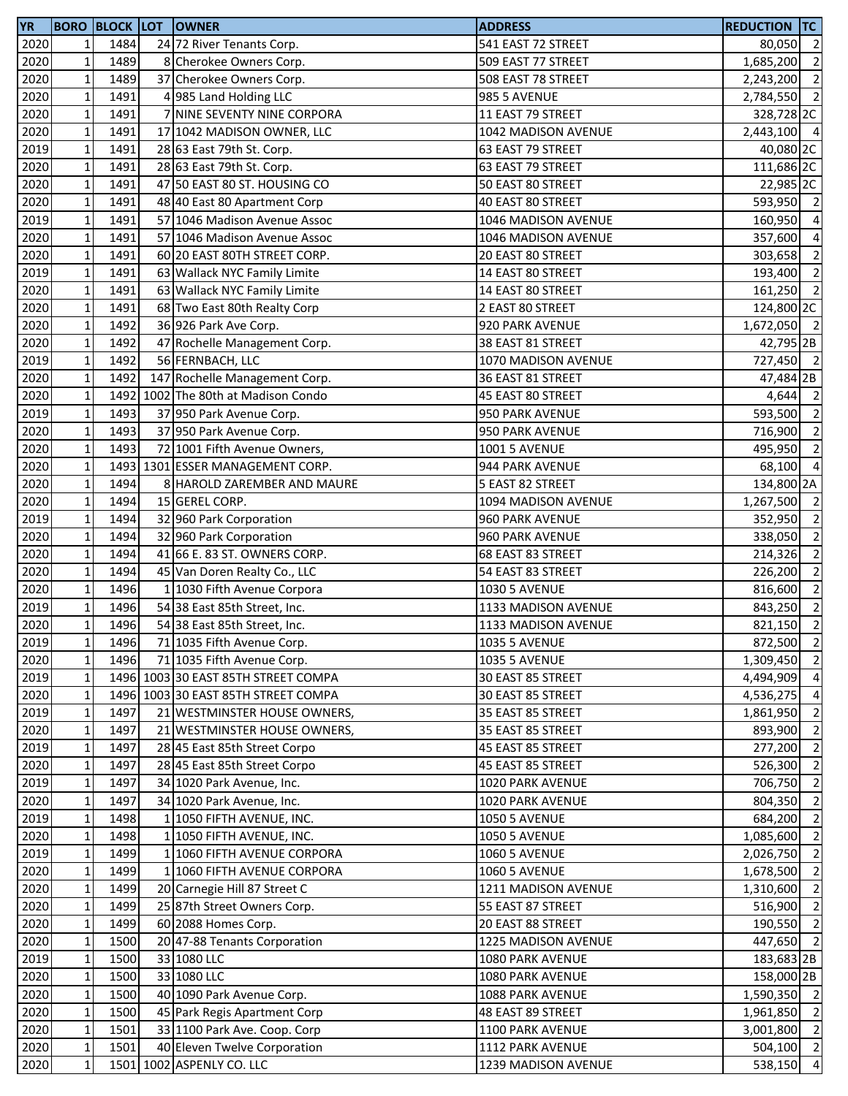| <b>YR</b> |              |      | <b>BORO BLOCK LOT OWNER</b>         | <b>ADDRESS</b>       | <b>REDUCTION TC</b>   |                |
|-----------|--------------|------|-------------------------------------|----------------------|-----------------------|----------------|
| 2020      | 1            | 1484 | 24 72 River Tenants Corp.           | 541 EAST 72 STREET   | 80,050 2              |                |
| 2020      | $\mathbf 1$  | 1489 | 8 Cherokee Owners Corp.             | 509 EAST 77 STREET   | 1,685,200             | $\overline{2}$ |
| 2020      | $\mathbf 1$  | 1489 | 37 Cherokee Owners Corp.            | 508 EAST 78 STREET   | 2,243,200 2           |                |
| 2020      | $\mathbf 1$  | 1491 | 4 985 Land Holding LLC              | <b>985 5 AVENUE</b>  | 2,784,550 2           |                |
| 2020      | $\mathbf 1$  | 1491 | 7 NINE SEVENTY NINE CORPORA         | 11 EAST 79 STREET    | 328,728 <sub>2C</sub> |                |
| 2020      | $\mathbf 1$  | 1491 | 17 1042 MADISON OWNER, LLC          | 1042 MADISON AVENUE  | 2,443,100 4           |                |
| 2019      | $\mathbf 1$  | 1491 | 28 63 East 79th St. Corp.           | 63 EAST 79 STREET    | 40,080 2C             |                |
| 2020      | $\mathbf 1$  | 1491 | 28 63 East 79th St. Corp.           | 63 EAST 79 STREET    | 111,686 2C            |                |
| 2020      | $\mathbf 1$  | 1491 | 47 50 EAST 80 ST. HOUSING CO        | 50 EAST 80 STREET    | 22,985 2C             |                |
| 2020      | $\mathbf 1$  | 1491 | 48 40 East 80 Apartment Corp        | 40 EAST 80 STREET    | 593,950 2             |                |
| 2019      | $\mathbf 1$  | 1491 | 57 1046 Madison Avenue Assoc        | 1046 MADISON AVENUE  | 160,950 4             |                |
| 2020      | $\mathbf 1$  | 1491 | 57 1046 Madison Avenue Assoc        | 1046 MADISON AVENUE  | 357,600               | $\overline{4}$ |
| 2020      | $\mathbf 1$  | 1491 | 60 20 EAST 80TH STREET CORP.        | 20 EAST 80 STREET    | 303,658 2             |                |
| 2019      | $\mathbf 1$  | 1491 | 63 Wallack NYC Family Limite        | 14 EAST 80 STREET    | 193,400 2             |                |
| 2020      | $\mathbf 1$  | 1491 | 63 Wallack NYC Family Limite        | 14 EAST 80 STREET    | 161,250 2             |                |
| 2020      | $\mathbf 1$  | 1491 | 68 Two East 80th Realty Corp        | 2 EAST 80 STREET     | 124,800 2C            |                |
| 2020      | $\mathbf 1$  | 1492 | 36 926 Park Ave Corp.               | 920 PARK AVENUE      | 1,672,050 2           |                |
| 2020      | $\mathbf 1$  | 1492 | 47 Rochelle Management Corp.        | 38 EAST 81 STREET    | 42,795 2B             |                |
| 2019      | $\mathbf 1$  | 1492 | 56 FERNBACH, LLC                    | 1070 MADISON AVENUE  | 727,450 2             |                |
| 2020      | $\mathbf 1$  | 1492 | 147 Rochelle Management Corp.       | 36 EAST 81 STREET    | 47,484 2B             |                |
| 2020      | $\mathbf 1$  |      | 1492 1002 The 80th at Madison Condo | 45 EAST 80 STREET    | 4,644 2               |                |
| 2019      | $\mathbf 1$  | 1493 | 37 950 Park Avenue Corp.            | 950 PARK AVENUE      | 593,500 2             |                |
| 2020      | $\mathbf 1$  | 1493 | 37 950 Park Avenue Corp.            | 950 PARK AVENUE      | 716,900 2             |                |
| 2020      | $\mathbf 1$  | 1493 | 72 1001 Fifth Avenue Owners,        | <b>1001 5 AVENUE</b> | 495,950 2             |                |
| 2020      | $\mathbf 1$  |      | 1493 1301 ESSER MANAGEMENT CORP.    | 944 PARK AVENUE      | 68,100 4              |                |
| 2020      | $\mathbf 1$  | 1494 | 8 HAROLD ZAREMBER AND MAURE         | 5 EAST 82 STREET     | 134,800 2A            |                |
| 2020      | $\mathbf 1$  | 1494 | 15 GEREL CORP.                      | 1094 MADISON AVENUE  | 1,267,500 2           |                |
| 2019      | $\mathbf 1$  | 1494 | 32 960 Park Corporation             | 960 PARK AVENUE      | 352,950 2             |                |
| 2020      | $\mathbf 1$  | 1494 | 32 960 Park Corporation             | 960 PARK AVENUE      | 338,050 2             |                |
| 2020      | $\mathbf 1$  | 1494 | 41 66 E. 83 ST. OWNERS CORP.        | 68 EAST 83 STREET    | 214,326 2             |                |
| 2020      | $\mathbf 1$  | 1494 | 45 Van Doren Realty Co., LLC        | 54 EAST 83 STREET    | 226,200               | $\overline{2}$ |
| 2020      | $\mathbf 1$  | 1496 | 1 1030 Fifth Avenue Corpora         | <b>1030 5 AVENUE</b> | 816,600 2             |                |
| 2019      | $\mathbf 1$  | 1496 | 54 38 East 85th Street, Inc.        | 1133 MADISON AVENUE  | 843,250 2             |                |
| 2020      | $\mathbf 1$  | 1496 | 54 38 East 85th Street, Inc.        | 1133 MADISON AVENUE  | 821,150               | $\overline{2}$ |
| 2019      | $1\vert$     | 1496 | 71 1035 Fifth Avenue Corp.          | <b>1035 5 AVENUE</b> | 872,500 2             |                |
| 2020      | $\mathbf 1$  | 1496 | 71 1035 Fifth Avenue Corp.          | <b>1035 5 AVENUE</b> | 1,309,450 2           |                |
| 2019      | $\mathbf 1$  |      | 1496 1003 30 EAST 85TH STREET COMPA | 30 EAST 85 STREET    | 4,494,909             | $\overline{4}$ |
| 2020      | $\mathbf 1$  |      | 1496 1003 30 EAST 85TH STREET COMPA | 30 EAST 85 STREET    | 4,536,275 4           |                |
| 2019      | $\mathbf 1$  | 1497 | 21 WESTMINSTER HOUSE OWNERS,        | 35 EAST 85 STREET    | 1,861,950             | $\overline{2}$ |
| 2020      | $\mathbf 1$  | 1497 | 21 WESTMINSTER HOUSE OWNERS,        | 35 EAST 85 STREET    | 893,900               | $\overline{2}$ |
| 2019      | $\mathbf 1$  | 1497 | 28 45 East 85th Street Corpo        | 45 EAST 85 STREET    | 277,200               | $\overline{2}$ |
| 2020      | $\mathbf 1$  | 1497 | 28 45 East 85th Street Corpo        | 45 EAST 85 STREET    | 526,300               | $\overline{2}$ |
| 2019      | $\mathbf 1$  | 1497 | 34 1020 Park Avenue, Inc.           | 1020 PARK AVENUE     | 706,750               | $\overline{2}$ |
| 2020      | $\mathbf 1$  | 1497 | 34 1020 Park Avenue, Inc.           | 1020 PARK AVENUE     | 804,350               | $\overline{2}$ |
| 2019      | $\mathbf{1}$ | 1498 | 1 1050 FIFTH AVENUE, INC.           | <b>1050 5 AVENUE</b> | 684,200               | $\overline{2}$ |
| 2020      | $\mathbf{1}$ | 1498 | 1 1050 FIFTH AVENUE, INC.           | <b>1050 5 AVENUE</b> | 1,085,600 2           |                |
| 2019      | $\mathbf 1$  | 1499 | 1 1060 FIFTH AVENUE CORPORA         | <b>1060 5 AVENUE</b> | 2,026,750 2           |                |
| 2020      | $\mathbf 1$  | 1499 | 1 1060 FIFTH AVENUE CORPORA         | <b>1060 5 AVENUE</b> | 1,678,500 2           |                |
| 2020      | $\mathbf 1$  | 1499 | 20 Carnegie Hill 87 Street C        | 1211 MADISON AVENUE  | 1,310,600 2           |                |
| 2020      | $\mathbf 1$  | 1499 | 25 87th Street Owners Corp.         | 55 EAST 87 STREET    | 516,900 2             |                |
| 2020      | $\mathbf{1}$ | 1499 | 60 2088 Homes Corp.                 | 20 EAST 88 STREET    | 190,550               | $\overline{2}$ |
| 2020      | $\mathbf 1$  | 1500 | 20 47-88 Tenants Corporation        | 1225 MADISON AVENUE  | 447,650 2             |                |
| 2019      | $\mathbf 1$  | 1500 | 33 1080 LLC                         | 1080 PARK AVENUE     | 183,683 2B            |                |
| 2020      | $\mathbf 1$  | 1500 | 33 1080 LLC                         | 1080 PARK AVENUE     | 158,000 2B            |                |
| 2020      | $\mathbf 1$  | 1500 | 40 1090 Park Avenue Corp.           | 1088 PARK AVENUE     | 1,590,350 2           |                |
| 2020      | $\mathbf 1$  | 1500 | 45 Park Regis Apartment Corp        | 48 EAST 89 STREET    | 1,961,850 2           |                |
| 2020      | $\mathbf 1$  | 1501 | 33 1100 Park Ave. Coop. Corp        | 1100 PARK AVENUE     | 3,001,800 2           |                |
| 2020      | $\mathbf 1$  | 1501 | 40 Eleven Twelve Corporation        | 1112 PARK AVENUE     | 504,100 2             |                |
| 2020      | $\mathbf 1$  |      | 1501 1002 ASPENLY CO. LLC           | 1239 MADISON AVENUE  | 538,150 4             |                |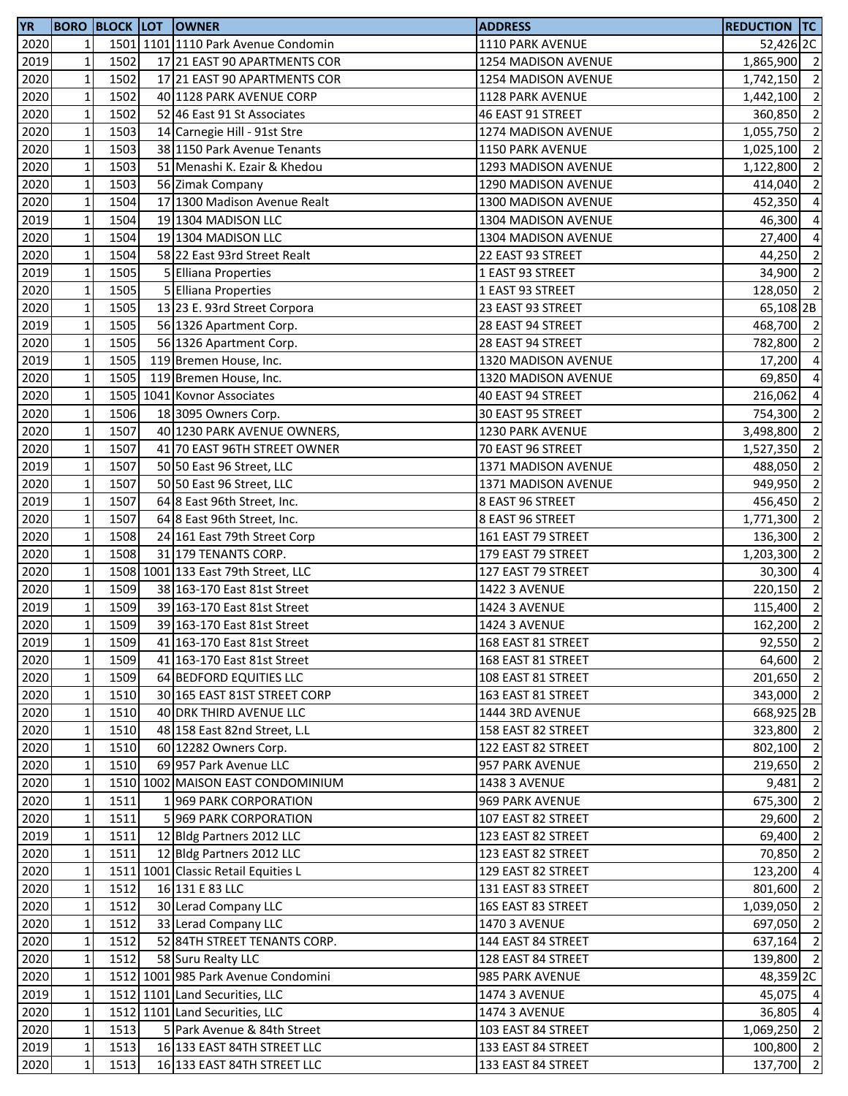| 2020<br>1501 1101 1110 Park Avenue Condomin<br>1110 PARK AVENUE<br>$1\overline{ }$<br>52,426 2C<br>2019<br>1502<br>$1\overline{ }$<br>17 21 EAST 90 APARTMENTS COR<br>1254 MADISON AVENUE<br>2020<br>$\mathbf{1}$<br>1502<br>17 21 EAST 90 APARTMENTS COR<br>1254 MADISON AVENUE<br>1,742,150<br>2020<br>$1\,$<br>1502<br>40 1128 PARK AVENUE CORP<br>1128 PARK AVENUE<br>1,442,100<br>$1\,$<br>2020<br>1502<br>360,850<br>52 46 East 91 St Associates<br>46 EAST 91 STREET<br>$\mathbf 1$<br>2020<br>1503<br>1,055,750<br>14 Carnegie Hill - 91st Stre<br>1274 MADISON AVENUE<br>$\mathbf 1$<br>1503<br>2020<br>38 1150 Park Avenue Tenants<br>1150 PARK AVENUE<br>1,025,100<br>$1\,$<br>2020<br>1503<br>51 Menashi K. Ezair & Khedou<br>1293 MADISON AVENUE<br>1,122,800<br>$\mathbf 1$<br>2020<br>1503<br>56 Zimak Company<br>1290 MADISON AVENUE<br>414,040<br>$1\overline{ }$<br>2020<br>1504<br>17 1300 Madison Avenue Realt<br>1300 MADISON AVENUE<br>452,350<br>$\mathbf 1$<br>1504<br>19 1304 MADISON LLC<br>2019<br>1304 MADISON AVENUE<br>46,300<br>$\mathbf 1$<br>1504<br>2020<br>19 1304 MADISON LLC<br>1304 MADISON AVENUE<br>27,400<br>$\mathbf 1$<br>1504<br>2020<br>58 22 East 93rd Street Realt<br>22 EAST 93 STREET<br>$1\vert$<br>2019<br>1505<br>5 Elliana Properties<br>34,900<br>1 EAST 93 STREET<br>$\mathbf 1$<br>1505<br>2020<br>5 Elliana Properties<br>1 EAST 93 STREET<br>128,050<br>$\mathbf 1$<br>2020<br>1505<br>13 23 E. 93rd Street Corpora<br>23 EAST 93 STREET<br>$\mathbf 1$<br>2019<br>1505<br>56 1326 Apartment Corp.<br>28 EAST 94 STREET<br>$1\overline{ }$<br>2020<br>1505<br>28 EAST 94 STREET<br>56 1326 Apartment Corp.<br>782,800<br>2019<br>$\mathbf 1$<br>1505<br>119 Bremen House, Inc.<br>1320 MADISON AVENUE<br>17,200<br>2020<br>$1\,$<br>1505<br>119 Bremen House, Inc.<br>1320 MADISON AVENUE<br>69,850<br>$1\,$<br>2020<br>1505 1041 Kovnor Associates<br>40 EAST 94 STREET<br>216,062<br>$\mathbf{1}$<br>2020<br>1506<br>18 3095 Owners Corp.<br>30 EAST 95 STREET<br>754,300<br>$\mathbf 1$<br>1507<br>2020<br>40 1230 PARK AVENUE OWNERS,<br>1230 PARK AVENUE<br>3,498,800<br>$\mathbf 1$<br>2020<br>1507<br>41 70 EAST 96TH STREET OWNER<br>70 EAST 96 STREET<br>1,527,350<br>$1\,$<br>2019<br>1507<br>50 50 East 96 Street, LLC<br>1371 MADISON AVENUE<br>488,050<br>$\mathbf{1}$<br>2020<br>1507<br>50 50 East 96 Street, LLC<br>1371 MADISON AVENUE<br>949,950<br>2019<br>$\mathbf{1}$<br>1507<br>64 8 East 96th Street, Inc.<br>8 EAST 96 STREET<br>456,450<br>$\mathbf 1$<br>1507<br>2020<br>64 8 East 96th Street, Inc.<br>8 EAST 96 STREET<br>1,771,300<br>$1\,$<br>1508<br>2020<br>24 161 East 79th Street Corp<br>161 EAST 79 STREET<br>136,300<br>$\mathbf{1}$<br>2020<br>1508<br>31 179 TENANTS CORP.<br>179 EAST 79 STREET<br>1,203,300<br>$\mathbf 1$<br>1508 1001 133 East 79th Street, LLC<br>2020<br>30,300<br>127 EAST 79 STREET<br>$\mathbf{1}$<br>2020<br>1509<br>38 163-170 East 81st Street<br><b>1422 3 AVENUE</b><br>220,150<br>$\mathbf 1$<br>2019<br>1509<br>39 163-170 East 81st Street<br><b>1424 3 AVENUE</b><br>$\mathbf{1}$<br>2020<br>1509<br>162,200<br>39 163-170 East 81st Street<br><b>1424 3 AVENUE</b><br>2019<br>$1\vert$<br>1509<br>41 163-170 East 81st Street<br>168 EAST 81 STREET<br>$\mathbf 1$<br>2020<br>1509<br>41 163-170 East 81st Street<br>168 EAST 81 STREET<br>2020<br>$1\overline{ }$<br>1509<br>64 BEDFORD EQUITIES LLC<br>108 EAST 81 STREET<br>2020<br>$1\overline{ }$<br>1510<br>30 165 EAST 81ST STREET CORP<br>163 EAST 81 STREET<br>$1\,$<br>2020<br>1510<br>40 DRK THIRD AVENUE LLC<br>1444 3RD AVENUE<br>$\mathbf 1$<br>2020<br>1510<br>48 158 East 82nd Street, L.L<br>158 EAST 82 STREET<br>$1\,$<br>60 12282 Owners Corp.<br>2020<br>1510<br>122 EAST 82 STREET<br>2020<br>$1\overline{ }$<br>1510<br>69 957 Park Avenue LLC<br>957 PARK AVENUE<br>$1\overline{ }$<br>1510 1002 MAISON EAST CONDOMINIUM<br>2020<br>1438 3 AVENUE<br>9,481<br>2020<br>$\mathbf 1$<br>1511<br>1969 PARK CORPORATION<br>969 PARK AVENUE<br>2020<br>$1\overline{ }$<br>1511<br>5 969 PARK CORPORATION<br>107 EAST 82 STREET<br>2019<br>$1\overline{ }$<br>1511<br>12 Bldg Partners 2012 LLC<br>123 EAST 82 STREET<br>2020<br>$1\overline{ }$<br>1511<br>12 Bldg Partners 2012 LLC<br>123 EAST 82 STREET<br>1511 1001 Classic Retail Equities L<br>2020<br>$\mathbf{1}$<br>129 EAST 82 STREET<br>2020<br>$\mathbf 1$<br>1512<br>16 131 E 83 LLC<br>131 EAST 83 STREET<br>2020<br>$1\overline{ }$<br>1512<br>30 Lerad Company LLC<br>16S EAST 83 STREET<br>2020<br>$1\overline{ }$<br>33 Lerad Company LLC<br>697,050<br>1512<br><b>1470 3 AVENUE</b><br>52 84TH STREET TENANTS CORP.<br>2020<br>$\mathbf{1}$<br>1512<br>144 EAST 84 STREET<br>$1\,$<br>1512<br>2020<br>58 Suru Realty LLC<br>128 EAST 84 STREET<br>1512 1001 985 Park Avenue Condomini<br>2020<br>$1\overline{ }$<br>985 PARK AVENUE<br>$\mathbf{1}$<br>1512 1101 Land Securities, LLC<br>2019<br><b>1474 3 AVENUE</b><br>1512 1101 Land Securities, LLC<br>2020<br>$\mathbf{1}$<br>1474 3 AVENUE<br>2020<br>$\mathbf 1$<br>5 Park Avenue & 84th Street<br>1513<br>103 EAST 84 STREET<br>$1\,$<br>2019<br>1513<br>16 133 EAST 84TH STREET LLC<br>133 EAST 84 STREET<br>2020<br>16 133 EAST 84TH STREET LLC | <b>YR</b> |             |      | <b>BORO BLOCK LOT OWNER</b> | <b>ADDRESS</b>     | <b>REDUCTION TC</b> |  |
|------------------------------------------------------------------------------------------------------------------------------------------------------------------------------------------------------------------------------------------------------------------------------------------------------------------------------------------------------------------------------------------------------------------------------------------------------------------------------------------------------------------------------------------------------------------------------------------------------------------------------------------------------------------------------------------------------------------------------------------------------------------------------------------------------------------------------------------------------------------------------------------------------------------------------------------------------------------------------------------------------------------------------------------------------------------------------------------------------------------------------------------------------------------------------------------------------------------------------------------------------------------------------------------------------------------------------------------------------------------------------------------------------------------------------------------------------------------------------------------------------------------------------------------------------------------------------------------------------------------------------------------------------------------------------------------------------------------------------------------------------------------------------------------------------------------------------------------------------------------------------------------------------------------------------------------------------------------------------------------------------------------------------------------------------------------------------------------------------------------------------------------------------------------------------------------------------------------------------------------------------------------------------------------------------------------------------------------------------------------------------------------------------------------------------------------------------------------------------------------------------------------------------------------------------------------------------------------------------------------------------------------------------------------------------------------------------------------------------------------------------------------------------------------------------------------------------------------------------------------------------------------------------------------------------------------------------------------------------------------------------------------------------------------------------------------------------------------------------------------------------------------------------------------------------------------------------------------------------------------------------------------------------------------------------------------------------------------------------------------------------------------------------------------------------------------------------------------------------------------------------------------------------------------------------------------------------------------------------------------------------------------------------------------------------------------------------------------------------------------------------------------------------------------------------------------------------------------------------------------------------------------------------------------------------------------------------------------------------------------------------------------------------------------------------------------------------------------------------------------------------------------------------------------------------------------------------------------------------------------------------------------------------------------------------------------------------------------------------------------------------------------------------------------------------------------------------------------------------------------------------------------------------------------------------------------------------------------------------------------------------------------------------------------------------------------------------------------------------------------------------------------------------------------------------------------------------------------------------------------------------------------------------------------------------------------------------------------------------------------------------------------------------------------------------------------------------------------------------------------------------------------------------------------------------------------------------------------------------------------------------------------------------------|-----------|-------------|------|-----------------------------|--------------------|---------------------|--|
| 1,865,900 2<br>$\overline{2}$<br>$\overline{\phantom{a}}$<br>$\overline{2}$<br>$\overline{2}$<br>$\overline{2}$<br>$\overline{2}$<br>$\overline{2}$<br>$\overline{4}$<br>$\overline{4}$<br>$\overline{a}$<br>44,250 2<br>$\overline{2}$<br>$\overline{2}$<br>65,108 2B<br>468,700 2<br>$\overline{2}$<br>$\overline{4}$<br>$\overline{a}$<br>$\overline{4}$<br>$\overline{2}$<br>$\overline{2}$<br>$\overline{2}$<br>$\overline{2}$<br>$\overline{2}$<br>$\overline{2}$<br>$\overline{2}$<br>$\overline{\phantom{a}}$<br>$\overline{2}$<br>$\overline{4}$<br>$\overline{2}$<br>115,400 2<br>$\overline{2}$<br>92,550 2<br>64,600 2<br>201,650 2<br>343,000 2<br>668,925 2B<br>323,800 2<br>802,100 2<br>219,650 2<br>$\overline{2}$<br>675,300 2<br>29,600 2<br>69,400 2<br>70,850 2<br>123,200 4<br>801,600 2<br>1,039,050 2<br>$\overline{2}$<br>637,164 2<br>139,800 2<br>48,359 2C<br>45,075 4<br>36,805 4<br>1,069,250 2<br>100,800 2<br>137,700 2                                                                                                                                                                                                                                                                                                                                                                                                                                                                                                                                                                                                                                                                                                                                                                                                                                                                                                                                                                                                                                                                                                                                                                                                                                                                                                                                                                                                                                                                                                                                                                                                                                                                                                                                                                                                                                                                                                                                                                                                                                                                                                                                                                                                                                                                                                                                                                                                                                                                                                                                                                                                                                                                                                                                                                                                                                                                                                                                                                                                                                                                                                                                                                                                                                                                                                                                                                                                                                                                                                                                                                                                                                                                                                                                                                                                                                                                                                                                                                                                                                                                                                                                                                                                                                                                                                                            |           |             |      |                             |                    |                     |  |
|                                                                                                                                                                                                                                                                                                                                                                                                                                                                                                                                                                                                                                                                                                                                                                                                                                                                                                                                                                                                                                                                                                                                                                                                                                                                                                                                                                                                                                                                                                                                                                                                                                                                                                                                                                                                                                                                                                                                                                                                                                                                                                                                                                                                                                                                                                                                                                                                                                                                                                                                                                                                                                                                                                                                                                                                                                                                                                                                                                                                                                                                                                                                                                                                                                                                                                                                                                                                                                                                                                                                                                                                                                                                                                                                                                                                                                                                                                                                                                                                                                                                                                                                                                                                                                                                                                                                                                                                                                                                                                                                                                                                                                                                                                                                                                                                                                                                                                                                                                                                                                                                                                                                                                                                                                                                                    |           |             |      |                             |                    |                     |  |
|                                                                                                                                                                                                                                                                                                                                                                                                                                                                                                                                                                                                                                                                                                                                                                                                                                                                                                                                                                                                                                                                                                                                                                                                                                                                                                                                                                                                                                                                                                                                                                                                                                                                                                                                                                                                                                                                                                                                                                                                                                                                                                                                                                                                                                                                                                                                                                                                                                                                                                                                                                                                                                                                                                                                                                                                                                                                                                                                                                                                                                                                                                                                                                                                                                                                                                                                                                                                                                                                                                                                                                                                                                                                                                                                                                                                                                                                                                                                                                                                                                                                                                                                                                                                                                                                                                                                                                                                                                                                                                                                                                                                                                                                                                                                                                                                                                                                                                                                                                                                                                                                                                                                                                                                                                                                                    |           |             |      |                             |                    |                     |  |
|                                                                                                                                                                                                                                                                                                                                                                                                                                                                                                                                                                                                                                                                                                                                                                                                                                                                                                                                                                                                                                                                                                                                                                                                                                                                                                                                                                                                                                                                                                                                                                                                                                                                                                                                                                                                                                                                                                                                                                                                                                                                                                                                                                                                                                                                                                                                                                                                                                                                                                                                                                                                                                                                                                                                                                                                                                                                                                                                                                                                                                                                                                                                                                                                                                                                                                                                                                                                                                                                                                                                                                                                                                                                                                                                                                                                                                                                                                                                                                                                                                                                                                                                                                                                                                                                                                                                                                                                                                                                                                                                                                                                                                                                                                                                                                                                                                                                                                                                                                                                                                                                                                                                                                                                                                                                                    |           |             |      |                             |                    |                     |  |
|                                                                                                                                                                                                                                                                                                                                                                                                                                                                                                                                                                                                                                                                                                                                                                                                                                                                                                                                                                                                                                                                                                                                                                                                                                                                                                                                                                                                                                                                                                                                                                                                                                                                                                                                                                                                                                                                                                                                                                                                                                                                                                                                                                                                                                                                                                                                                                                                                                                                                                                                                                                                                                                                                                                                                                                                                                                                                                                                                                                                                                                                                                                                                                                                                                                                                                                                                                                                                                                                                                                                                                                                                                                                                                                                                                                                                                                                                                                                                                                                                                                                                                                                                                                                                                                                                                                                                                                                                                                                                                                                                                                                                                                                                                                                                                                                                                                                                                                                                                                                                                                                                                                                                                                                                                                                                    |           |             |      |                             |                    |                     |  |
|                                                                                                                                                                                                                                                                                                                                                                                                                                                                                                                                                                                                                                                                                                                                                                                                                                                                                                                                                                                                                                                                                                                                                                                                                                                                                                                                                                                                                                                                                                                                                                                                                                                                                                                                                                                                                                                                                                                                                                                                                                                                                                                                                                                                                                                                                                                                                                                                                                                                                                                                                                                                                                                                                                                                                                                                                                                                                                                                                                                                                                                                                                                                                                                                                                                                                                                                                                                                                                                                                                                                                                                                                                                                                                                                                                                                                                                                                                                                                                                                                                                                                                                                                                                                                                                                                                                                                                                                                                                                                                                                                                                                                                                                                                                                                                                                                                                                                                                                                                                                                                                                                                                                                                                                                                                                                    |           |             |      |                             |                    |                     |  |
|                                                                                                                                                                                                                                                                                                                                                                                                                                                                                                                                                                                                                                                                                                                                                                                                                                                                                                                                                                                                                                                                                                                                                                                                                                                                                                                                                                                                                                                                                                                                                                                                                                                                                                                                                                                                                                                                                                                                                                                                                                                                                                                                                                                                                                                                                                                                                                                                                                                                                                                                                                                                                                                                                                                                                                                                                                                                                                                                                                                                                                                                                                                                                                                                                                                                                                                                                                                                                                                                                                                                                                                                                                                                                                                                                                                                                                                                                                                                                                                                                                                                                                                                                                                                                                                                                                                                                                                                                                                                                                                                                                                                                                                                                                                                                                                                                                                                                                                                                                                                                                                                                                                                                                                                                                                                                    |           |             |      |                             |                    |                     |  |
|                                                                                                                                                                                                                                                                                                                                                                                                                                                                                                                                                                                                                                                                                                                                                                                                                                                                                                                                                                                                                                                                                                                                                                                                                                                                                                                                                                                                                                                                                                                                                                                                                                                                                                                                                                                                                                                                                                                                                                                                                                                                                                                                                                                                                                                                                                                                                                                                                                                                                                                                                                                                                                                                                                                                                                                                                                                                                                                                                                                                                                                                                                                                                                                                                                                                                                                                                                                                                                                                                                                                                                                                                                                                                                                                                                                                                                                                                                                                                                                                                                                                                                                                                                                                                                                                                                                                                                                                                                                                                                                                                                                                                                                                                                                                                                                                                                                                                                                                                                                                                                                                                                                                                                                                                                                                                    |           |             |      |                             |                    |                     |  |
|                                                                                                                                                                                                                                                                                                                                                                                                                                                                                                                                                                                                                                                                                                                                                                                                                                                                                                                                                                                                                                                                                                                                                                                                                                                                                                                                                                                                                                                                                                                                                                                                                                                                                                                                                                                                                                                                                                                                                                                                                                                                                                                                                                                                                                                                                                                                                                                                                                                                                                                                                                                                                                                                                                                                                                                                                                                                                                                                                                                                                                                                                                                                                                                                                                                                                                                                                                                                                                                                                                                                                                                                                                                                                                                                                                                                                                                                                                                                                                                                                                                                                                                                                                                                                                                                                                                                                                                                                                                                                                                                                                                                                                                                                                                                                                                                                                                                                                                                                                                                                                                                                                                                                                                                                                                                                    |           |             |      |                             |                    |                     |  |
|                                                                                                                                                                                                                                                                                                                                                                                                                                                                                                                                                                                                                                                                                                                                                                                                                                                                                                                                                                                                                                                                                                                                                                                                                                                                                                                                                                                                                                                                                                                                                                                                                                                                                                                                                                                                                                                                                                                                                                                                                                                                                                                                                                                                                                                                                                                                                                                                                                                                                                                                                                                                                                                                                                                                                                                                                                                                                                                                                                                                                                                                                                                                                                                                                                                                                                                                                                                                                                                                                                                                                                                                                                                                                                                                                                                                                                                                                                                                                                                                                                                                                                                                                                                                                                                                                                                                                                                                                                                                                                                                                                                                                                                                                                                                                                                                                                                                                                                                                                                                                                                                                                                                                                                                                                                                                    |           |             |      |                             |                    |                     |  |
|                                                                                                                                                                                                                                                                                                                                                                                                                                                                                                                                                                                                                                                                                                                                                                                                                                                                                                                                                                                                                                                                                                                                                                                                                                                                                                                                                                                                                                                                                                                                                                                                                                                                                                                                                                                                                                                                                                                                                                                                                                                                                                                                                                                                                                                                                                                                                                                                                                                                                                                                                                                                                                                                                                                                                                                                                                                                                                                                                                                                                                                                                                                                                                                                                                                                                                                                                                                                                                                                                                                                                                                                                                                                                                                                                                                                                                                                                                                                                                                                                                                                                                                                                                                                                                                                                                                                                                                                                                                                                                                                                                                                                                                                                                                                                                                                                                                                                                                                                                                                                                                                                                                                                                                                                                                                                    |           |             |      |                             |                    |                     |  |
|                                                                                                                                                                                                                                                                                                                                                                                                                                                                                                                                                                                                                                                                                                                                                                                                                                                                                                                                                                                                                                                                                                                                                                                                                                                                                                                                                                                                                                                                                                                                                                                                                                                                                                                                                                                                                                                                                                                                                                                                                                                                                                                                                                                                                                                                                                                                                                                                                                                                                                                                                                                                                                                                                                                                                                                                                                                                                                                                                                                                                                                                                                                                                                                                                                                                                                                                                                                                                                                                                                                                                                                                                                                                                                                                                                                                                                                                                                                                                                                                                                                                                                                                                                                                                                                                                                                                                                                                                                                                                                                                                                                                                                                                                                                                                                                                                                                                                                                                                                                                                                                                                                                                                                                                                                                                                    |           |             |      |                             |                    |                     |  |
|                                                                                                                                                                                                                                                                                                                                                                                                                                                                                                                                                                                                                                                                                                                                                                                                                                                                                                                                                                                                                                                                                                                                                                                                                                                                                                                                                                                                                                                                                                                                                                                                                                                                                                                                                                                                                                                                                                                                                                                                                                                                                                                                                                                                                                                                                                                                                                                                                                                                                                                                                                                                                                                                                                                                                                                                                                                                                                                                                                                                                                                                                                                                                                                                                                                                                                                                                                                                                                                                                                                                                                                                                                                                                                                                                                                                                                                                                                                                                                                                                                                                                                                                                                                                                                                                                                                                                                                                                                                                                                                                                                                                                                                                                                                                                                                                                                                                                                                                                                                                                                                                                                                                                                                                                                                                                    |           |             |      |                             |                    |                     |  |
|                                                                                                                                                                                                                                                                                                                                                                                                                                                                                                                                                                                                                                                                                                                                                                                                                                                                                                                                                                                                                                                                                                                                                                                                                                                                                                                                                                                                                                                                                                                                                                                                                                                                                                                                                                                                                                                                                                                                                                                                                                                                                                                                                                                                                                                                                                                                                                                                                                                                                                                                                                                                                                                                                                                                                                                                                                                                                                                                                                                                                                                                                                                                                                                                                                                                                                                                                                                                                                                                                                                                                                                                                                                                                                                                                                                                                                                                                                                                                                                                                                                                                                                                                                                                                                                                                                                                                                                                                                                                                                                                                                                                                                                                                                                                                                                                                                                                                                                                                                                                                                                                                                                                                                                                                                                                                    |           |             |      |                             |                    |                     |  |
|                                                                                                                                                                                                                                                                                                                                                                                                                                                                                                                                                                                                                                                                                                                                                                                                                                                                                                                                                                                                                                                                                                                                                                                                                                                                                                                                                                                                                                                                                                                                                                                                                                                                                                                                                                                                                                                                                                                                                                                                                                                                                                                                                                                                                                                                                                                                                                                                                                                                                                                                                                                                                                                                                                                                                                                                                                                                                                                                                                                                                                                                                                                                                                                                                                                                                                                                                                                                                                                                                                                                                                                                                                                                                                                                                                                                                                                                                                                                                                                                                                                                                                                                                                                                                                                                                                                                                                                                                                                                                                                                                                                                                                                                                                                                                                                                                                                                                                                                                                                                                                                                                                                                                                                                                                                                                    |           |             |      |                             |                    |                     |  |
|                                                                                                                                                                                                                                                                                                                                                                                                                                                                                                                                                                                                                                                                                                                                                                                                                                                                                                                                                                                                                                                                                                                                                                                                                                                                                                                                                                                                                                                                                                                                                                                                                                                                                                                                                                                                                                                                                                                                                                                                                                                                                                                                                                                                                                                                                                                                                                                                                                                                                                                                                                                                                                                                                                                                                                                                                                                                                                                                                                                                                                                                                                                                                                                                                                                                                                                                                                                                                                                                                                                                                                                                                                                                                                                                                                                                                                                                                                                                                                                                                                                                                                                                                                                                                                                                                                                                                                                                                                                                                                                                                                                                                                                                                                                                                                                                                                                                                                                                                                                                                                                                                                                                                                                                                                                                                    |           |             |      |                             |                    |                     |  |
|                                                                                                                                                                                                                                                                                                                                                                                                                                                                                                                                                                                                                                                                                                                                                                                                                                                                                                                                                                                                                                                                                                                                                                                                                                                                                                                                                                                                                                                                                                                                                                                                                                                                                                                                                                                                                                                                                                                                                                                                                                                                                                                                                                                                                                                                                                                                                                                                                                                                                                                                                                                                                                                                                                                                                                                                                                                                                                                                                                                                                                                                                                                                                                                                                                                                                                                                                                                                                                                                                                                                                                                                                                                                                                                                                                                                                                                                                                                                                                                                                                                                                                                                                                                                                                                                                                                                                                                                                                                                                                                                                                                                                                                                                                                                                                                                                                                                                                                                                                                                                                                                                                                                                                                                                                                                                    |           |             |      |                             |                    |                     |  |
|                                                                                                                                                                                                                                                                                                                                                                                                                                                                                                                                                                                                                                                                                                                                                                                                                                                                                                                                                                                                                                                                                                                                                                                                                                                                                                                                                                                                                                                                                                                                                                                                                                                                                                                                                                                                                                                                                                                                                                                                                                                                                                                                                                                                                                                                                                                                                                                                                                                                                                                                                                                                                                                                                                                                                                                                                                                                                                                                                                                                                                                                                                                                                                                                                                                                                                                                                                                                                                                                                                                                                                                                                                                                                                                                                                                                                                                                                                                                                                                                                                                                                                                                                                                                                                                                                                                                                                                                                                                                                                                                                                                                                                                                                                                                                                                                                                                                                                                                                                                                                                                                                                                                                                                                                                                                                    |           |             |      |                             |                    |                     |  |
|                                                                                                                                                                                                                                                                                                                                                                                                                                                                                                                                                                                                                                                                                                                                                                                                                                                                                                                                                                                                                                                                                                                                                                                                                                                                                                                                                                                                                                                                                                                                                                                                                                                                                                                                                                                                                                                                                                                                                                                                                                                                                                                                                                                                                                                                                                                                                                                                                                                                                                                                                                                                                                                                                                                                                                                                                                                                                                                                                                                                                                                                                                                                                                                                                                                                                                                                                                                                                                                                                                                                                                                                                                                                                                                                                                                                                                                                                                                                                                                                                                                                                                                                                                                                                                                                                                                                                                                                                                                                                                                                                                                                                                                                                                                                                                                                                                                                                                                                                                                                                                                                                                                                                                                                                                                                                    |           |             |      |                             |                    |                     |  |
|                                                                                                                                                                                                                                                                                                                                                                                                                                                                                                                                                                                                                                                                                                                                                                                                                                                                                                                                                                                                                                                                                                                                                                                                                                                                                                                                                                                                                                                                                                                                                                                                                                                                                                                                                                                                                                                                                                                                                                                                                                                                                                                                                                                                                                                                                                                                                                                                                                                                                                                                                                                                                                                                                                                                                                                                                                                                                                                                                                                                                                                                                                                                                                                                                                                                                                                                                                                                                                                                                                                                                                                                                                                                                                                                                                                                                                                                                                                                                                                                                                                                                                                                                                                                                                                                                                                                                                                                                                                                                                                                                                                                                                                                                                                                                                                                                                                                                                                                                                                                                                                                                                                                                                                                                                                                                    |           |             |      |                             |                    |                     |  |
|                                                                                                                                                                                                                                                                                                                                                                                                                                                                                                                                                                                                                                                                                                                                                                                                                                                                                                                                                                                                                                                                                                                                                                                                                                                                                                                                                                                                                                                                                                                                                                                                                                                                                                                                                                                                                                                                                                                                                                                                                                                                                                                                                                                                                                                                                                                                                                                                                                                                                                                                                                                                                                                                                                                                                                                                                                                                                                                                                                                                                                                                                                                                                                                                                                                                                                                                                                                                                                                                                                                                                                                                                                                                                                                                                                                                                                                                                                                                                                                                                                                                                                                                                                                                                                                                                                                                                                                                                                                                                                                                                                                                                                                                                                                                                                                                                                                                                                                                                                                                                                                                                                                                                                                                                                                                                    |           |             |      |                             |                    |                     |  |
|                                                                                                                                                                                                                                                                                                                                                                                                                                                                                                                                                                                                                                                                                                                                                                                                                                                                                                                                                                                                                                                                                                                                                                                                                                                                                                                                                                                                                                                                                                                                                                                                                                                                                                                                                                                                                                                                                                                                                                                                                                                                                                                                                                                                                                                                                                                                                                                                                                                                                                                                                                                                                                                                                                                                                                                                                                                                                                                                                                                                                                                                                                                                                                                                                                                                                                                                                                                                                                                                                                                                                                                                                                                                                                                                                                                                                                                                                                                                                                                                                                                                                                                                                                                                                                                                                                                                                                                                                                                                                                                                                                                                                                                                                                                                                                                                                                                                                                                                                                                                                                                                                                                                                                                                                                                                                    |           |             |      |                             |                    |                     |  |
|                                                                                                                                                                                                                                                                                                                                                                                                                                                                                                                                                                                                                                                                                                                                                                                                                                                                                                                                                                                                                                                                                                                                                                                                                                                                                                                                                                                                                                                                                                                                                                                                                                                                                                                                                                                                                                                                                                                                                                                                                                                                                                                                                                                                                                                                                                                                                                                                                                                                                                                                                                                                                                                                                                                                                                                                                                                                                                                                                                                                                                                                                                                                                                                                                                                                                                                                                                                                                                                                                                                                                                                                                                                                                                                                                                                                                                                                                                                                                                                                                                                                                                                                                                                                                                                                                                                                                                                                                                                                                                                                                                                                                                                                                                                                                                                                                                                                                                                                                                                                                                                                                                                                                                                                                                                                                    |           |             |      |                             |                    |                     |  |
|                                                                                                                                                                                                                                                                                                                                                                                                                                                                                                                                                                                                                                                                                                                                                                                                                                                                                                                                                                                                                                                                                                                                                                                                                                                                                                                                                                                                                                                                                                                                                                                                                                                                                                                                                                                                                                                                                                                                                                                                                                                                                                                                                                                                                                                                                                                                                                                                                                                                                                                                                                                                                                                                                                                                                                                                                                                                                                                                                                                                                                                                                                                                                                                                                                                                                                                                                                                                                                                                                                                                                                                                                                                                                                                                                                                                                                                                                                                                                                                                                                                                                                                                                                                                                                                                                                                                                                                                                                                                                                                                                                                                                                                                                                                                                                                                                                                                                                                                                                                                                                                                                                                                                                                                                                                                                    |           |             |      |                             |                    |                     |  |
|                                                                                                                                                                                                                                                                                                                                                                                                                                                                                                                                                                                                                                                                                                                                                                                                                                                                                                                                                                                                                                                                                                                                                                                                                                                                                                                                                                                                                                                                                                                                                                                                                                                                                                                                                                                                                                                                                                                                                                                                                                                                                                                                                                                                                                                                                                                                                                                                                                                                                                                                                                                                                                                                                                                                                                                                                                                                                                                                                                                                                                                                                                                                                                                                                                                                                                                                                                                                                                                                                                                                                                                                                                                                                                                                                                                                                                                                                                                                                                                                                                                                                                                                                                                                                                                                                                                                                                                                                                                                                                                                                                                                                                                                                                                                                                                                                                                                                                                                                                                                                                                                                                                                                                                                                                                                                    |           |             |      |                             |                    |                     |  |
|                                                                                                                                                                                                                                                                                                                                                                                                                                                                                                                                                                                                                                                                                                                                                                                                                                                                                                                                                                                                                                                                                                                                                                                                                                                                                                                                                                                                                                                                                                                                                                                                                                                                                                                                                                                                                                                                                                                                                                                                                                                                                                                                                                                                                                                                                                                                                                                                                                                                                                                                                                                                                                                                                                                                                                                                                                                                                                                                                                                                                                                                                                                                                                                                                                                                                                                                                                                                                                                                                                                                                                                                                                                                                                                                                                                                                                                                                                                                                                                                                                                                                                                                                                                                                                                                                                                                                                                                                                                                                                                                                                                                                                                                                                                                                                                                                                                                                                                                                                                                                                                                                                                                                                                                                                                                                    |           |             |      |                             |                    |                     |  |
|                                                                                                                                                                                                                                                                                                                                                                                                                                                                                                                                                                                                                                                                                                                                                                                                                                                                                                                                                                                                                                                                                                                                                                                                                                                                                                                                                                                                                                                                                                                                                                                                                                                                                                                                                                                                                                                                                                                                                                                                                                                                                                                                                                                                                                                                                                                                                                                                                                                                                                                                                                                                                                                                                                                                                                                                                                                                                                                                                                                                                                                                                                                                                                                                                                                                                                                                                                                                                                                                                                                                                                                                                                                                                                                                                                                                                                                                                                                                                                                                                                                                                                                                                                                                                                                                                                                                                                                                                                                                                                                                                                                                                                                                                                                                                                                                                                                                                                                                                                                                                                                                                                                                                                                                                                                                                    |           |             |      |                             |                    |                     |  |
|                                                                                                                                                                                                                                                                                                                                                                                                                                                                                                                                                                                                                                                                                                                                                                                                                                                                                                                                                                                                                                                                                                                                                                                                                                                                                                                                                                                                                                                                                                                                                                                                                                                                                                                                                                                                                                                                                                                                                                                                                                                                                                                                                                                                                                                                                                                                                                                                                                                                                                                                                                                                                                                                                                                                                                                                                                                                                                                                                                                                                                                                                                                                                                                                                                                                                                                                                                                                                                                                                                                                                                                                                                                                                                                                                                                                                                                                                                                                                                                                                                                                                                                                                                                                                                                                                                                                                                                                                                                                                                                                                                                                                                                                                                                                                                                                                                                                                                                                                                                                                                                                                                                                                                                                                                                                                    |           |             |      |                             |                    |                     |  |
|                                                                                                                                                                                                                                                                                                                                                                                                                                                                                                                                                                                                                                                                                                                                                                                                                                                                                                                                                                                                                                                                                                                                                                                                                                                                                                                                                                                                                                                                                                                                                                                                                                                                                                                                                                                                                                                                                                                                                                                                                                                                                                                                                                                                                                                                                                                                                                                                                                                                                                                                                                                                                                                                                                                                                                                                                                                                                                                                                                                                                                                                                                                                                                                                                                                                                                                                                                                                                                                                                                                                                                                                                                                                                                                                                                                                                                                                                                                                                                                                                                                                                                                                                                                                                                                                                                                                                                                                                                                                                                                                                                                                                                                                                                                                                                                                                                                                                                                                                                                                                                                                                                                                                                                                                                                                                    |           |             |      |                             |                    |                     |  |
|                                                                                                                                                                                                                                                                                                                                                                                                                                                                                                                                                                                                                                                                                                                                                                                                                                                                                                                                                                                                                                                                                                                                                                                                                                                                                                                                                                                                                                                                                                                                                                                                                                                                                                                                                                                                                                                                                                                                                                                                                                                                                                                                                                                                                                                                                                                                                                                                                                                                                                                                                                                                                                                                                                                                                                                                                                                                                                                                                                                                                                                                                                                                                                                                                                                                                                                                                                                                                                                                                                                                                                                                                                                                                                                                                                                                                                                                                                                                                                                                                                                                                                                                                                                                                                                                                                                                                                                                                                                                                                                                                                                                                                                                                                                                                                                                                                                                                                                                                                                                                                                                                                                                                                                                                                                                                    |           |             |      |                             |                    |                     |  |
|                                                                                                                                                                                                                                                                                                                                                                                                                                                                                                                                                                                                                                                                                                                                                                                                                                                                                                                                                                                                                                                                                                                                                                                                                                                                                                                                                                                                                                                                                                                                                                                                                                                                                                                                                                                                                                                                                                                                                                                                                                                                                                                                                                                                                                                                                                                                                                                                                                                                                                                                                                                                                                                                                                                                                                                                                                                                                                                                                                                                                                                                                                                                                                                                                                                                                                                                                                                                                                                                                                                                                                                                                                                                                                                                                                                                                                                                                                                                                                                                                                                                                                                                                                                                                                                                                                                                                                                                                                                                                                                                                                                                                                                                                                                                                                                                                                                                                                                                                                                                                                                                                                                                                                                                                                                                                    |           |             |      |                             |                    |                     |  |
|                                                                                                                                                                                                                                                                                                                                                                                                                                                                                                                                                                                                                                                                                                                                                                                                                                                                                                                                                                                                                                                                                                                                                                                                                                                                                                                                                                                                                                                                                                                                                                                                                                                                                                                                                                                                                                                                                                                                                                                                                                                                                                                                                                                                                                                                                                                                                                                                                                                                                                                                                                                                                                                                                                                                                                                                                                                                                                                                                                                                                                                                                                                                                                                                                                                                                                                                                                                                                                                                                                                                                                                                                                                                                                                                                                                                                                                                                                                                                                                                                                                                                                                                                                                                                                                                                                                                                                                                                                                                                                                                                                                                                                                                                                                                                                                                                                                                                                                                                                                                                                                                                                                                                                                                                                                                                    |           |             |      |                             |                    |                     |  |
|                                                                                                                                                                                                                                                                                                                                                                                                                                                                                                                                                                                                                                                                                                                                                                                                                                                                                                                                                                                                                                                                                                                                                                                                                                                                                                                                                                                                                                                                                                                                                                                                                                                                                                                                                                                                                                                                                                                                                                                                                                                                                                                                                                                                                                                                                                                                                                                                                                                                                                                                                                                                                                                                                                                                                                                                                                                                                                                                                                                                                                                                                                                                                                                                                                                                                                                                                                                                                                                                                                                                                                                                                                                                                                                                                                                                                                                                                                                                                                                                                                                                                                                                                                                                                                                                                                                                                                                                                                                                                                                                                                                                                                                                                                                                                                                                                                                                                                                                                                                                                                                                                                                                                                                                                                                                                    |           |             |      |                             |                    |                     |  |
|                                                                                                                                                                                                                                                                                                                                                                                                                                                                                                                                                                                                                                                                                                                                                                                                                                                                                                                                                                                                                                                                                                                                                                                                                                                                                                                                                                                                                                                                                                                                                                                                                                                                                                                                                                                                                                                                                                                                                                                                                                                                                                                                                                                                                                                                                                                                                                                                                                                                                                                                                                                                                                                                                                                                                                                                                                                                                                                                                                                                                                                                                                                                                                                                                                                                                                                                                                                                                                                                                                                                                                                                                                                                                                                                                                                                                                                                                                                                                                                                                                                                                                                                                                                                                                                                                                                                                                                                                                                                                                                                                                                                                                                                                                                                                                                                                                                                                                                                                                                                                                                                                                                                                                                                                                                                                    |           |             |      |                             |                    |                     |  |
|                                                                                                                                                                                                                                                                                                                                                                                                                                                                                                                                                                                                                                                                                                                                                                                                                                                                                                                                                                                                                                                                                                                                                                                                                                                                                                                                                                                                                                                                                                                                                                                                                                                                                                                                                                                                                                                                                                                                                                                                                                                                                                                                                                                                                                                                                                                                                                                                                                                                                                                                                                                                                                                                                                                                                                                                                                                                                                                                                                                                                                                                                                                                                                                                                                                                                                                                                                                                                                                                                                                                                                                                                                                                                                                                                                                                                                                                                                                                                                                                                                                                                                                                                                                                                                                                                                                                                                                                                                                                                                                                                                                                                                                                                                                                                                                                                                                                                                                                                                                                                                                                                                                                                                                                                                                                                    |           |             |      |                             |                    |                     |  |
|                                                                                                                                                                                                                                                                                                                                                                                                                                                                                                                                                                                                                                                                                                                                                                                                                                                                                                                                                                                                                                                                                                                                                                                                                                                                                                                                                                                                                                                                                                                                                                                                                                                                                                                                                                                                                                                                                                                                                                                                                                                                                                                                                                                                                                                                                                                                                                                                                                                                                                                                                                                                                                                                                                                                                                                                                                                                                                                                                                                                                                                                                                                                                                                                                                                                                                                                                                                                                                                                                                                                                                                                                                                                                                                                                                                                                                                                                                                                                                                                                                                                                                                                                                                                                                                                                                                                                                                                                                                                                                                                                                                                                                                                                                                                                                                                                                                                                                                                                                                                                                                                                                                                                                                                                                                                                    |           |             |      |                             |                    |                     |  |
|                                                                                                                                                                                                                                                                                                                                                                                                                                                                                                                                                                                                                                                                                                                                                                                                                                                                                                                                                                                                                                                                                                                                                                                                                                                                                                                                                                                                                                                                                                                                                                                                                                                                                                                                                                                                                                                                                                                                                                                                                                                                                                                                                                                                                                                                                                                                                                                                                                                                                                                                                                                                                                                                                                                                                                                                                                                                                                                                                                                                                                                                                                                                                                                                                                                                                                                                                                                                                                                                                                                                                                                                                                                                                                                                                                                                                                                                                                                                                                                                                                                                                                                                                                                                                                                                                                                                                                                                                                                                                                                                                                                                                                                                                                                                                                                                                                                                                                                                                                                                                                                                                                                                                                                                                                                                                    |           |             |      |                             |                    |                     |  |
|                                                                                                                                                                                                                                                                                                                                                                                                                                                                                                                                                                                                                                                                                                                                                                                                                                                                                                                                                                                                                                                                                                                                                                                                                                                                                                                                                                                                                                                                                                                                                                                                                                                                                                                                                                                                                                                                                                                                                                                                                                                                                                                                                                                                                                                                                                                                                                                                                                                                                                                                                                                                                                                                                                                                                                                                                                                                                                                                                                                                                                                                                                                                                                                                                                                                                                                                                                                                                                                                                                                                                                                                                                                                                                                                                                                                                                                                                                                                                                                                                                                                                                                                                                                                                                                                                                                                                                                                                                                                                                                                                                                                                                                                                                                                                                                                                                                                                                                                                                                                                                                                                                                                                                                                                                                                                    |           |             |      |                             |                    |                     |  |
|                                                                                                                                                                                                                                                                                                                                                                                                                                                                                                                                                                                                                                                                                                                                                                                                                                                                                                                                                                                                                                                                                                                                                                                                                                                                                                                                                                                                                                                                                                                                                                                                                                                                                                                                                                                                                                                                                                                                                                                                                                                                                                                                                                                                                                                                                                                                                                                                                                                                                                                                                                                                                                                                                                                                                                                                                                                                                                                                                                                                                                                                                                                                                                                                                                                                                                                                                                                                                                                                                                                                                                                                                                                                                                                                                                                                                                                                                                                                                                                                                                                                                                                                                                                                                                                                                                                                                                                                                                                                                                                                                                                                                                                                                                                                                                                                                                                                                                                                                                                                                                                                                                                                                                                                                                                                                    |           |             |      |                             |                    |                     |  |
|                                                                                                                                                                                                                                                                                                                                                                                                                                                                                                                                                                                                                                                                                                                                                                                                                                                                                                                                                                                                                                                                                                                                                                                                                                                                                                                                                                                                                                                                                                                                                                                                                                                                                                                                                                                                                                                                                                                                                                                                                                                                                                                                                                                                                                                                                                                                                                                                                                                                                                                                                                                                                                                                                                                                                                                                                                                                                                                                                                                                                                                                                                                                                                                                                                                                                                                                                                                                                                                                                                                                                                                                                                                                                                                                                                                                                                                                                                                                                                                                                                                                                                                                                                                                                                                                                                                                                                                                                                                                                                                                                                                                                                                                                                                                                                                                                                                                                                                                                                                                                                                                                                                                                                                                                                                                                    |           |             |      |                             |                    |                     |  |
|                                                                                                                                                                                                                                                                                                                                                                                                                                                                                                                                                                                                                                                                                                                                                                                                                                                                                                                                                                                                                                                                                                                                                                                                                                                                                                                                                                                                                                                                                                                                                                                                                                                                                                                                                                                                                                                                                                                                                                                                                                                                                                                                                                                                                                                                                                                                                                                                                                                                                                                                                                                                                                                                                                                                                                                                                                                                                                                                                                                                                                                                                                                                                                                                                                                                                                                                                                                                                                                                                                                                                                                                                                                                                                                                                                                                                                                                                                                                                                                                                                                                                                                                                                                                                                                                                                                                                                                                                                                                                                                                                                                                                                                                                                                                                                                                                                                                                                                                                                                                                                                                                                                                                                                                                                                                                    |           |             |      |                             |                    |                     |  |
|                                                                                                                                                                                                                                                                                                                                                                                                                                                                                                                                                                                                                                                                                                                                                                                                                                                                                                                                                                                                                                                                                                                                                                                                                                                                                                                                                                                                                                                                                                                                                                                                                                                                                                                                                                                                                                                                                                                                                                                                                                                                                                                                                                                                                                                                                                                                                                                                                                                                                                                                                                                                                                                                                                                                                                                                                                                                                                                                                                                                                                                                                                                                                                                                                                                                                                                                                                                                                                                                                                                                                                                                                                                                                                                                                                                                                                                                                                                                                                                                                                                                                                                                                                                                                                                                                                                                                                                                                                                                                                                                                                                                                                                                                                                                                                                                                                                                                                                                                                                                                                                                                                                                                                                                                                                                                    |           |             |      |                             |                    |                     |  |
|                                                                                                                                                                                                                                                                                                                                                                                                                                                                                                                                                                                                                                                                                                                                                                                                                                                                                                                                                                                                                                                                                                                                                                                                                                                                                                                                                                                                                                                                                                                                                                                                                                                                                                                                                                                                                                                                                                                                                                                                                                                                                                                                                                                                                                                                                                                                                                                                                                                                                                                                                                                                                                                                                                                                                                                                                                                                                                                                                                                                                                                                                                                                                                                                                                                                                                                                                                                                                                                                                                                                                                                                                                                                                                                                                                                                                                                                                                                                                                                                                                                                                                                                                                                                                                                                                                                                                                                                                                                                                                                                                                                                                                                                                                                                                                                                                                                                                                                                                                                                                                                                                                                                                                                                                                                                                    |           |             |      |                             |                    |                     |  |
|                                                                                                                                                                                                                                                                                                                                                                                                                                                                                                                                                                                                                                                                                                                                                                                                                                                                                                                                                                                                                                                                                                                                                                                                                                                                                                                                                                                                                                                                                                                                                                                                                                                                                                                                                                                                                                                                                                                                                                                                                                                                                                                                                                                                                                                                                                                                                                                                                                                                                                                                                                                                                                                                                                                                                                                                                                                                                                                                                                                                                                                                                                                                                                                                                                                                                                                                                                                                                                                                                                                                                                                                                                                                                                                                                                                                                                                                                                                                                                                                                                                                                                                                                                                                                                                                                                                                                                                                                                                                                                                                                                                                                                                                                                                                                                                                                                                                                                                                                                                                                                                                                                                                                                                                                                                                                    |           |             |      |                             |                    |                     |  |
|                                                                                                                                                                                                                                                                                                                                                                                                                                                                                                                                                                                                                                                                                                                                                                                                                                                                                                                                                                                                                                                                                                                                                                                                                                                                                                                                                                                                                                                                                                                                                                                                                                                                                                                                                                                                                                                                                                                                                                                                                                                                                                                                                                                                                                                                                                                                                                                                                                                                                                                                                                                                                                                                                                                                                                                                                                                                                                                                                                                                                                                                                                                                                                                                                                                                                                                                                                                                                                                                                                                                                                                                                                                                                                                                                                                                                                                                                                                                                                                                                                                                                                                                                                                                                                                                                                                                                                                                                                                                                                                                                                                                                                                                                                                                                                                                                                                                                                                                                                                                                                                                                                                                                                                                                                                                                    |           |             |      |                             |                    |                     |  |
|                                                                                                                                                                                                                                                                                                                                                                                                                                                                                                                                                                                                                                                                                                                                                                                                                                                                                                                                                                                                                                                                                                                                                                                                                                                                                                                                                                                                                                                                                                                                                                                                                                                                                                                                                                                                                                                                                                                                                                                                                                                                                                                                                                                                                                                                                                                                                                                                                                                                                                                                                                                                                                                                                                                                                                                                                                                                                                                                                                                                                                                                                                                                                                                                                                                                                                                                                                                                                                                                                                                                                                                                                                                                                                                                                                                                                                                                                                                                                                                                                                                                                                                                                                                                                                                                                                                                                                                                                                                                                                                                                                                                                                                                                                                                                                                                                                                                                                                                                                                                                                                                                                                                                                                                                                                                                    |           |             |      |                             |                    |                     |  |
|                                                                                                                                                                                                                                                                                                                                                                                                                                                                                                                                                                                                                                                                                                                                                                                                                                                                                                                                                                                                                                                                                                                                                                                                                                                                                                                                                                                                                                                                                                                                                                                                                                                                                                                                                                                                                                                                                                                                                                                                                                                                                                                                                                                                                                                                                                                                                                                                                                                                                                                                                                                                                                                                                                                                                                                                                                                                                                                                                                                                                                                                                                                                                                                                                                                                                                                                                                                                                                                                                                                                                                                                                                                                                                                                                                                                                                                                                                                                                                                                                                                                                                                                                                                                                                                                                                                                                                                                                                                                                                                                                                                                                                                                                                                                                                                                                                                                                                                                                                                                                                                                                                                                                                                                                                                                                    |           |             |      |                             |                    |                     |  |
|                                                                                                                                                                                                                                                                                                                                                                                                                                                                                                                                                                                                                                                                                                                                                                                                                                                                                                                                                                                                                                                                                                                                                                                                                                                                                                                                                                                                                                                                                                                                                                                                                                                                                                                                                                                                                                                                                                                                                                                                                                                                                                                                                                                                                                                                                                                                                                                                                                                                                                                                                                                                                                                                                                                                                                                                                                                                                                                                                                                                                                                                                                                                                                                                                                                                                                                                                                                                                                                                                                                                                                                                                                                                                                                                                                                                                                                                                                                                                                                                                                                                                                                                                                                                                                                                                                                                                                                                                                                                                                                                                                                                                                                                                                                                                                                                                                                                                                                                                                                                                                                                                                                                                                                                                                                                                    |           |             |      |                             |                    |                     |  |
|                                                                                                                                                                                                                                                                                                                                                                                                                                                                                                                                                                                                                                                                                                                                                                                                                                                                                                                                                                                                                                                                                                                                                                                                                                                                                                                                                                                                                                                                                                                                                                                                                                                                                                                                                                                                                                                                                                                                                                                                                                                                                                                                                                                                                                                                                                                                                                                                                                                                                                                                                                                                                                                                                                                                                                                                                                                                                                                                                                                                                                                                                                                                                                                                                                                                                                                                                                                                                                                                                                                                                                                                                                                                                                                                                                                                                                                                                                                                                                                                                                                                                                                                                                                                                                                                                                                                                                                                                                                                                                                                                                                                                                                                                                                                                                                                                                                                                                                                                                                                                                                                                                                                                                                                                                                                                    |           |             |      |                             |                    |                     |  |
|                                                                                                                                                                                                                                                                                                                                                                                                                                                                                                                                                                                                                                                                                                                                                                                                                                                                                                                                                                                                                                                                                                                                                                                                                                                                                                                                                                                                                                                                                                                                                                                                                                                                                                                                                                                                                                                                                                                                                                                                                                                                                                                                                                                                                                                                                                                                                                                                                                                                                                                                                                                                                                                                                                                                                                                                                                                                                                                                                                                                                                                                                                                                                                                                                                                                                                                                                                                                                                                                                                                                                                                                                                                                                                                                                                                                                                                                                                                                                                                                                                                                                                                                                                                                                                                                                                                                                                                                                                                                                                                                                                                                                                                                                                                                                                                                                                                                                                                                                                                                                                                                                                                                                                                                                                                                                    |           |             |      |                             |                    |                     |  |
|                                                                                                                                                                                                                                                                                                                                                                                                                                                                                                                                                                                                                                                                                                                                                                                                                                                                                                                                                                                                                                                                                                                                                                                                                                                                                                                                                                                                                                                                                                                                                                                                                                                                                                                                                                                                                                                                                                                                                                                                                                                                                                                                                                                                                                                                                                                                                                                                                                                                                                                                                                                                                                                                                                                                                                                                                                                                                                                                                                                                                                                                                                                                                                                                                                                                                                                                                                                                                                                                                                                                                                                                                                                                                                                                                                                                                                                                                                                                                                                                                                                                                                                                                                                                                                                                                                                                                                                                                                                                                                                                                                                                                                                                                                                                                                                                                                                                                                                                                                                                                                                                                                                                                                                                                                                                                    |           |             |      |                             |                    |                     |  |
|                                                                                                                                                                                                                                                                                                                                                                                                                                                                                                                                                                                                                                                                                                                                                                                                                                                                                                                                                                                                                                                                                                                                                                                                                                                                                                                                                                                                                                                                                                                                                                                                                                                                                                                                                                                                                                                                                                                                                                                                                                                                                                                                                                                                                                                                                                                                                                                                                                                                                                                                                                                                                                                                                                                                                                                                                                                                                                                                                                                                                                                                                                                                                                                                                                                                                                                                                                                                                                                                                                                                                                                                                                                                                                                                                                                                                                                                                                                                                                                                                                                                                                                                                                                                                                                                                                                                                                                                                                                                                                                                                                                                                                                                                                                                                                                                                                                                                                                                                                                                                                                                                                                                                                                                                                                                                    |           |             |      |                             |                    |                     |  |
|                                                                                                                                                                                                                                                                                                                                                                                                                                                                                                                                                                                                                                                                                                                                                                                                                                                                                                                                                                                                                                                                                                                                                                                                                                                                                                                                                                                                                                                                                                                                                                                                                                                                                                                                                                                                                                                                                                                                                                                                                                                                                                                                                                                                                                                                                                                                                                                                                                                                                                                                                                                                                                                                                                                                                                                                                                                                                                                                                                                                                                                                                                                                                                                                                                                                                                                                                                                                                                                                                                                                                                                                                                                                                                                                                                                                                                                                                                                                                                                                                                                                                                                                                                                                                                                                                                                                                                                                                                                                                                                                                                                                                                                                                                                                                                                                                                                                                                                                                                                                                                                                                                                                                                                                                                                                                    |           |             |      |                             |                    |                     |  |
|                                                                                                                                                                                                                                                                                                                                                                                                                                                                                                                                                                                                                                                                                                                                                                                                                                                                                                                                                                                                                                                                                                                                                                                                                                                                                                                                                                                                                                                                                                                                                                                                                                                                                                                                                                                                                                                                                                                                                                                                                                                                                                                                                                                                                                                                                                                                                                                                                                                                                                                                                                                                                                                                                                                                                                                                                                                                                                                                                                                                                                                                                                                                                                                                                                                                                                                                                                                                                                                                                                                                                                                                                                                                                                                                                                                                                                                                                                                                                                                                                                                                                                                                                                                                                                                                                                                                                                                                                                                                                                                                                                                                                                                                                                                                                                                                                                                                                                                                                                                                                                                                                                                                                                                                                                                                                    |           |             |      |                             |                    |                     |  |
|                                                                                                                                                                                                                                                                                                                                                                                                                                                                                                                                                                                                                                                                                                                                                                                                                                                                                                                                                                                                                                                                                                                                                                                                                                                                                                                                                                                                                                                                                                                                                                                                                                                                                                                                                                                                                                                                                                                                                                                                                                                                                                                                                                                                                                                                                                                                                                                                                                                                                                                                                                                                                                                                                                                                                                                                                                                                                                                                                                                                                                                                                                                                                                                                                                                                                                                                                                                                                                                                                                                                                                                                                                                                                                                                                                                                                                                                                                                                                                                                                                                                                                                                                                                                                                                                                                                                                                                                                                                                                                                                                                                                                                                                                                                                                                                                                                                                                                                                                                                                                                                                                                                                                                                                                                                                                    |           |             |      |                             |                    |                     |  |
|                                                                                                                                                                                                                                                                                                                                                                                                                                                                                                                                                                                                                                                                                                                                                                                                                                                                                                                                                                                                                                                                                                                                                                                                                                                                                                                                                                                                                                                                                                                                                                                                                                                                                                                                                                                                                                                                                                                                                                                                                                                                                                                                                                                                                                                                                                                                                                                                                                                                                                                                                                                                                                                                                                                                                                                                                                                                                                                                                                                                                                                                                                                                                                                                                                                                                                                                                                                                                                                                                                                                                                                                                                                                                                                                                                                                                                                                                                                                                                                                                                                                                                                                                                                                                                                                                                                                                                                                                                                                                                                                                                                                                                                                                                                                                                                                                                                                                                                                                                                                                                                                                                                                                                                                                                                                                    |           |             |      |                             |                    |                     |  |
|                                                                                                                                                                                                                                                                                                                                                                                                                                                                                                                                                                                                                                                                                                                                                                                                                                                                                                                                                                                                                                                                                                                                                                                                                                                                                                                                                                                                                                                                                                                                                                                                                                                                                                                                                                                                                                                                                                                                                                                                                                                                                                                                                                                                                                                                                                                                                                                                                                                                                                                                                                                                                                                                                                                                                                                                                                                                                                                                                                                                                                                                                                                                                                                                                                                                                                                                                                                                                                                                                                                                                                                                                                                                                                                                                                                                                                                                                                                                                                                                                                                                                                                                                                                                                                                                                                                                                                                                                                                                                                                                                                                                                                                                                                                                                                                                                                                                                                                                                                                                                                                                                                                                                                                                                                                                                    |           |             |      |                             |                    |                     |  |
|                                                                                                                                                                                                                                                                                                                                                                                                                                                                                                                                                                                                                                                                                                                                                                                                                                                                                                                                                                                                                                                                                                                                                                                                                                                                                                                                                                                                                                                                                                                                                                                                                                                                                                                                                                                                                                                                                                                                                                                                                                                                                                                                                                                                                                                                                                                                                                                                                                                                                                                                                                                                                                                                                                                                                                                                                                                                                                                                                                                                                                                                                                                                                                                                                                                                                                                                                                                                                                                                                                                                                                                                                                                                                                                                                                                                                                                                                                                                                                                                                                                                                                                                                                                                                                                                                                                                                                                                                                                                                                                                                                                                                                                                                                                                                                                                                                                                                                                                                                                                                                                                                                                                                                                                                                                                                    |           |             |      |                             |                    |                     |  |
|                                                                                                                                                                                                                                                                                                                                                                                                                                                                                                                                                                                                                                                                                                                                                                                                                                                                                                                                                                                                                                                                                                                                                                                                                                                                                                                                                                                                                                                                                                                                                                                                                                                                                                                                                                                                                                                                                                                                                                                                                                                                                                                                                                                                                                                                                                                                                                                                                                                                                                                                                                                                                                                                                                                                                                                                                                                                                                                                                                                                                                                                                                                                                                                                                                                                                                                                                                                                                                                                                                                                                                                                                                                                                                                                                                                                                                                                                                                                                                                                                                                                                                                                                                                                                                                                                                                                                                                                                                                                                                                                                                                                                                                                                                                                                                                                                                                                                                                                                                                                                                                                                                                                                                                                                                                                                    |           |             |      |                             |                    |                     |  |
|                                                                                                                                                                                                                                                                                                                                                                                                                                                                                                                                                                                                                                                                                                                                                                                                                                                                                                                                                                                                                                                                                                                                                                                                                                                                                                                                                                                                                                                                                                                                                                                                                                                                                                                                                                                                                                                                                                                                                                                                                                                                                                                                                                                                                                                                                                                                                                                                                                                                                                                                                                                                                                                                                                                                                                                                                                                                                                                                                                                                                                                                                                                                                                                                                                                                                                                                                                                                                                                                                                                                                                                                                                                                                                                                                                                                                                                                                                                                                                                                                                                                                                                                                                                                                                                                                                                                                                                                                                                                                                                                                                                                                                                                                                                                                                                                                                                                                                                                                                                                                                                                                                                                                                                                                                                                                    |           |             |      |                             |                    |                     |  |
|                                                                                                                                                                                                                                                                                                                                                                                                                                                                                                                                                                                                                                                                                                                                                                                                                                                                                                                                                                                                                                                                                                                                                                                                                                                                                                                                                                                                                                                                                                                                                                                                                                                                                                                                                                                                                                                                                                                                                                                                                                                                                                                                                                                                                                                                                                                                                                                                                                                                                                                                                                                                                                                                                                                                                                                                                                                                                                                                                                                                                                                                                                                                                                                                                                                                                                                                                                                                                                                                                                                                                                                                                                                                                                                                                                                                                                                                                                                                                                                                                                                                                                                                                                                                                                                                                                                                                                                                                                                                                                                                                                                                                                                                                                                                                                                                                                                                                                                                                                                                                                                                                                                                                                                                                                                                                    |           | $\mathbf 1$ | 1513 |                             | 133 EAST 84 STREET |                     |  |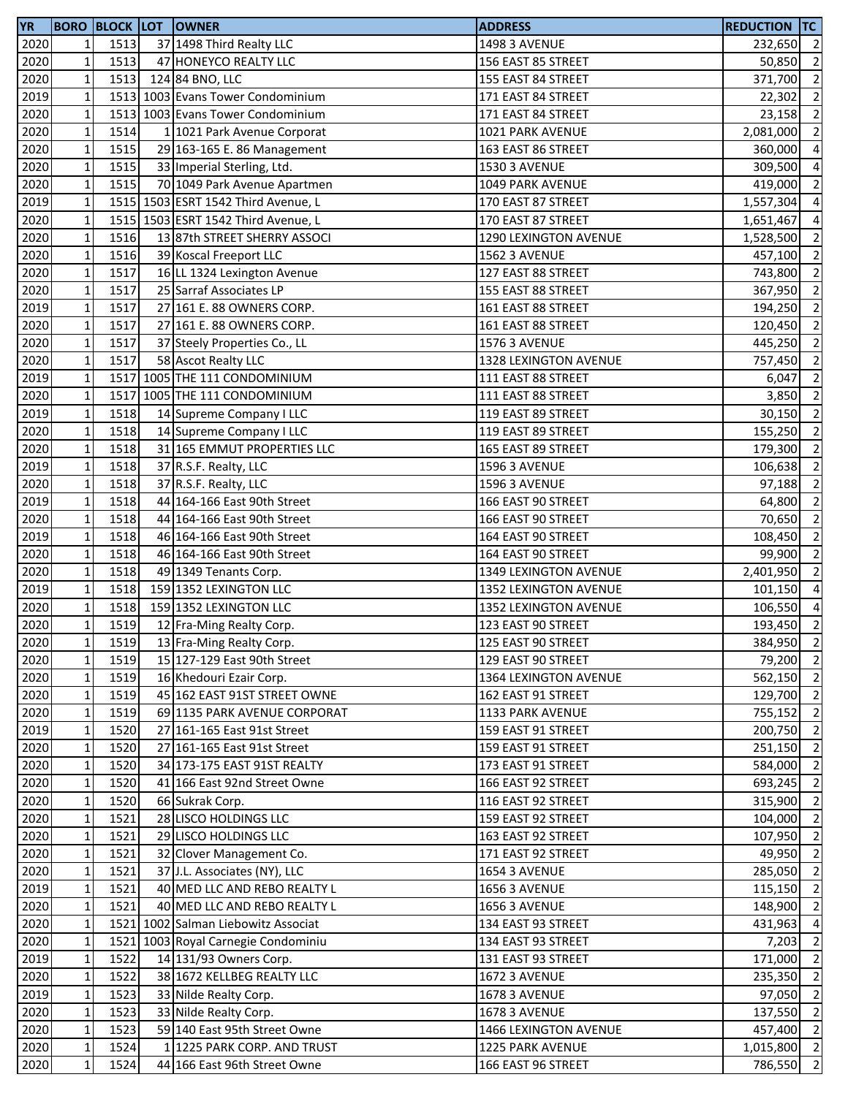| <b>YR</b> |              |      | <b>BORO BLOCK LOT OWNER</b>         | <b>ADDRESS</b>        | <b>REDUCTION TC</b> |                          |
|-----------|--------------|------|-------------------------------------|-----------------------|---------------------|--------------------------|
| 2020      | $\mathbf{1}$ | 1513 | 37 1498 Third Realty LLC            | <b>1498 3 AVENUE</b>  | 232,650 2           |                          |
| 2020      | $\mathbf 1$  | 1513 | 47 HONEYCO REALTY LLC               | 156 EAST 85 STREET    | 50,850 2            |                          |
| 2020      | $\mathbf 1$  | 1513 | 124 84 BNO, LLC                     | 155 EAST 84 STREET    | 371,700 2           |                          |
| 2019      | $\mathbf 1$  |      | 1513 1003 Evans Tower Condominium   | 171 EAST 84 STREET    | 22,302              | $\overline{2}$           |
| 2020      | $\mathbf 1$  |      | 1513 1003 Evans Tower Condominium   | 171 EAST 84 STREET    | 23,158              | $\overline{2}$           |
| 2020      | $\mathbf 1$  | 1514 | 1 1021 Park Avenue Corporat         | 1021 PARK AVENUE      | 2,081,000           | $\overline{2}$           |
| 2020      | $\mathbf 1$  | 1515 | 29 163-165 E. 86 Management         | 163 EAST 86 STREET    | 360,000             | $\overline{4}$           |
| 2020      | $\mathbf 1$  | 1515 | 33 Imperial Sterling, Ltd.          | <b>1530 3 AVENUE</b>  | 309,500             | $\overline{4}$           |
| 2020      | $\mathbf 1$  | 1515 | 70 1049 Park Avenue Apartmen        | 1049 PARK AVENUE      | 419,000             | $\overline{2}$           |
| 2019      | $\mathbf 1$  |      | 1515 1503 ESRT 1542 Third Avenue, L | 170 EAST 87 STREET    |                     | $\overline{a}$           |
|           | $\mathbf 1$  |      |                                     |                       | 1,557,304           |                          |
| 2020      |              |      | 1515 1503 ESRT 1542 Third Avenue, L | 170 EAST 87 STREET    | 1,651,467           | $\overline{4}$           |
| 2020      | $\mathbf 1$  | 1516 | 13 87th STREET SHERRY ASSOCI        | 1290 LEXINGTON AVENUE | 1,528,500           | $\overline{2}$           |
| 2020      | $\mathbf 1$  | 1516 | 39 Koscal Freeport LLC              | <b>1562 3 AVENUE</b>  | 457,100             | $\overline{2}$           |
| 2020      | $\mathbf 1$  | 1517 | 16 LL 1324 Lexington Avenue         | 127 EAST 88 STREET    | 743,800             | $\overline{2}$           |
| 2020      | $\mathbf 1$  | 1517 | 25 Sarraf Associates LP             | 155 EAST 88 STREET    | 367,950             | $\overline{2}$           |
| 2019      | $\mathbf 1$  | 1517 | 27 161 E. 88 OWNERS CORP.           | 161 EAST 88 STREET    | 194,250             | $\overline{2}$           |
| 2020      | $\mathbf 1$  | 1517 | 27 161 E. 88 OWNERS CORP.           | 161 EAST 88 STREET    | 120,450             | $\overline{2}$           |
| 2020      | $\mathbf 1$  | 1517 | 37 Steely Properties Co., LL        | <b>1576 3 AVENUE</b>  | 445,250             | $\overline{\mathbf{c}}$  |
| 2020      | $\mathbf 1$  | 1517 | 58 Ascot Realty LLC                 | 1328 LEXINGTON AVENUE | 757,450             | $\overline{2}$           |
| 2019      | $\mathbf 1$  |      | 1517 1005 THE 111 CONDOMINIUM       | 111 EAST 88 STREET    | 6,047               | $\overline{2}$           |
| 2020      | $\mathbf 1$  |      | 1517 1005 THE 111 CONDOMINIUM       | 111 EAST 88 STREET    | 3,850               | $\overline{2}$           |
| 2019      | $\mathbf 1$  | 1518 | 14 Supreme Company I LLC            | 119 EAST 89 STREET    | 30,150              | $\overline{2}$           |
| 2020      | $\mathbf 1$  | 1518 | 14 Supreme Company I LLC            | 119 EAST 89 STREET    | 155,250             | $\overline{2}$           |
| 2020      | $\mathbf 1$  | 1518 | 31 165 EMMUT PROPERTIES LLC         | 165 EAST 89 STREET    | 179,300             | $\overline{2}$           |
| 2019      | $\mathbf 1$  | 1518 | 37 R.S.F. Realty, LLC               | <b>1596 3 AVENUE</b>  | 106,638             | $\overline{2}$           |
| 2020      | $\mathbf 1$  | 1518 | 37 R.S.F. Realty, LLC               | <b>1596 3 AVENUE</b>  | 97,188              | $\overline{2}$           |
| 2019      | $\mathbf 1$  | 1518 | 44 164-166 East 90th Street         | 166 EAST 90 STREET    | 64,800              | $\overline{2}$           |
| 2020      | $\mathbf 1$  | 1518 | 44 164-166 East 90th Street         | 166 EAST 90 STREET    | 70,650              | $\overline{2}$           |
| 2019      | $\mathbf 1$  | 1518 | 46 164-166 East 90th Street         | 164 EAST 90 STREET    | 108,450             | $\overline{2}$           |
| 2020      | $\mathbf 1$  | 1518 | 46 164-166 East 90th Street         | 164 EAST 90 STREET    | 99,900              | $\overline{2}$           |
| 2020      | $\mathbf 1$  | 1518 | 49 1349 Tenants Corp.               | 1349 LEXINGTON AVENUE | 2,401,950           | $\overline{\phantom{a}}$ |
| 2019      | $\mathbf 1$  | 1518 | 159 1352 LEXINGTON LLC              | 1352 LEXINGTON AVENUE | 101,150             | $\overline{4}$           |
| 2020      | $\mathbf 1$  | 1518 | 159 1352 LEXINGTON LLC              |                       |                     | $\overline{4}$           |
|           | $\mathbf{1}$ |      |                                     | 1352 LEXINGTON AVENUE | 106,550             | $\overline{2}$           |
| 2020      |              | 1519 | 12 Fra-Ming Realty Corp.            | 123 EAST 90 STREET    | 193,450             |                          |
| 2020      | $1\vert$     | 1519 | 13 Fra-Ming Realty Corp.            | 125 EAST 90 STREET    | 384,950 2           |                          |
| 2020      | $\mathbf 1$  | 1519 | 15 127-129 East 90th Street         | 129 EAST 90 STREET    | 79,200 2            |                          |
| 2020      | $\mathbf 1$  | 1519 | 16 Khedouri Ezair Corp.             | 1364 LEXINGTON AVENUE | 562,150 2           |                          |
| 2020      | $\mathbf 1$  | 1519 | 45 162 EAST 91ST STREET OWNE        | 162 EAST 91 STREET    | 129,700 2           |                          |
| 2020      | $\mathbf 1$  | 1519 | 69 1135 PARK AVENUE CORPORAT        | 1133 PARK AVENUE      | 755,152             | $\overline{2}$           |
| 2019      | $\mathbf 1$  | 1520 | 27 161-165 East 91st Street         | 159 EAST 91 STREET    | 200,750             | $\overline{2}$           |
| 2020      | $\mathbf 1$  | 1520 | 27 161-165 East 91st Street         | 159 EAST 91 STREET    | 251,150             | $\overline{2}$           |
| 2020      | $\mathbf 1$  | 1520 | 34 173-175 EAST 91ST REALTY         | 173 EAST 91 STREET    | 584,000             | $\overline{2}$           |
| 2020      | $\mathbf 1$  | 1520 | 41 166 East 92nd Street Owne        | 166 EAST 92 STREET    | 693,245             | $\overline{2}$           |
| 2020      | $\mathbf 1$  | 1520 | 66 Sukrak Corp.                     | 116 EAST 92 STREET    | 315,900             | $\overline{2}$           |
| 2020      | $\mathbf 1$  | 1521 | 28 LISCO HOLDINGS LLC               | 159 EAST 92 STREET    | 104,000 2           |                          |
| 2020      | $\mathbf 1$  | 1521 | 29 LISCO HOLDINGS LLC               | 163 EAST 92 STREET    | 107,950 2           |                          |
| 2020      | $\mathbf 1$  | 1521 | 32 Clover Management Co.            | 171 EAST 92 STREET    | 49,950 2            |                          |
| 2020      | $\mathbf 1$  | 1521 | 37 J.L. Associates (NY), LLC        | <b>1654 3 AVENUE</b>  | 285,050 2           |                          |
| 2019      | $\mathbf 1$  | 1521 | 40 MED LLC AND REBO REALTY L        | <b>1656 3 AVENUE</b>  | 115,150             | $\overline{2}$           |
| 2020      | $\mathbf 1$  | 1521 | 40 MED LLC AND REBO REALTY L        | <b>1656 3 AVENUE</b>  | 148,900             | $\overline{2}$           |
| 2020      | $\mathbf 1$  |      | 1521 1002 Salman Liebowitz Associat | 134 EAST 93 STREET    | 431,963             | $\overline{4}$           |
| 2020      | $\mathbf 1$  |      | 1521 1003 Royal Carnegie Condominiu | 134 EAST 93 STREET    | 7,203               | $\overline{2}$           |
| 2019      | $\mathbf 1$  | 1522 | 14 131/93 Owners Corp.              | 131 EAST 93 STREET    | 171,000 2           |                          |
| 2020      | $\mathbf 1$  | 1522 | 38 1672 KELLBEG REALTY LLC          | <b>1672 3 AVENUE</b>  | 235,350 2           |                          |
| 2019      | $\mathbf 1$  | 1523 | 33 Nilde Realty Corp.               | <b>1678 3 AVENUE</b>  | 97,050 2            |                          |
| 2020      | $\mathbf 1$  | 1523 | 33 Nilde Realty Corp.               | <b>1678 3 AVENUE</b>  | 137,550 2           |                          |
|           |              |      |                                     |                       |                     |                          |
| 2020      | $\mathbf 1$  | 1523 | 59 140 East 95th Street Owne        | 1466 LEXINGTON AVENUE | 457,400 2           |                          |
| 2020      | $\mathbf 1$  | 1524 | 1 1225 PARK CORP. AND TRUST         | 1225 PARK AVENUE      | $1,015,800$ 2       |                          |
| 2020      | $\mathbf{1}$ | 1524 | 44 166 East 96th Street Owne        | 166 EAST 96 STREET    | 786,550 2           |                          |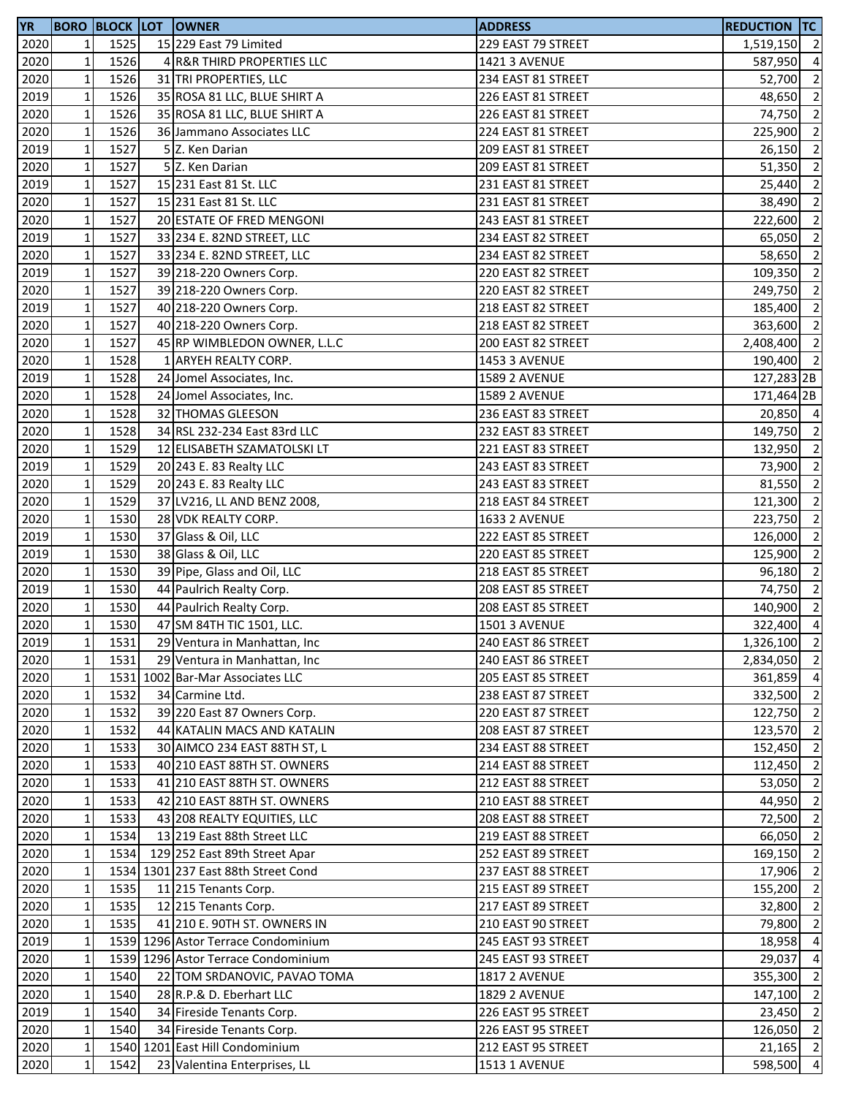| <b>YR</b> |                 |      | <b>BORO BLOCK LOT OWNER</b>                        | <b>ADDRESS</b>                           | <b>REDUCTION TC</b>        |                          |
|-----------|-----------------|------|----------------------------------------------------|------------------------------------------|----------------------------|--------------------------|
| 2020      | $\mathbf{1}$    | 1525 | 15 229 East 79 Limited                             | 229 EAST 79 STREET                       | 1,519,150 2                |                          |
| 2020      | $1\overline{ }$ | 1526 | 4 R&R THIRD PROPERTIES LLC                         | 1421 3 AVENUE                            | 587,950                    | $\overline{4}$           |
| 2020      | $\mathbf 1$     | 1526 | 31 TRI PROPERTIES, LLC                             | 234 EAST 81 STREET                       | 52,700                     | $\overline{2}$           |
| 2019      | $\mathbf 1$     | 1526 | 35 ROSA 81 LLC, BLUE SHIRT A                       | 226 EAST 81 STREET                       | 48,650 2                   |                          |
| 2020      | $\mathbf 1$     | 1526 | 35 ROSA 81 LLC, BLUE SHIRT A                       | 226 EAST 81 STREET                       | 74,750 2                   |                          |
| 2020      | $\mathbf 1$     | 1526 | 36 Jammano Associates LLC                          | 224 EAST 81 STREET                       | 225,900                    | $\overline{2}$           |
| 2019      | $\mathbf 1$     | 1527 | 5 Z. Ken Darian                                    | 209 EAST 81 STREET                       | 26,150                     | $\overline{2}$           |
| 2020      | $\mathbf 1$     | 1527 | 5 Z. Ken Darian                                    | 209 EAST 81 STREET                       | 51,350                     | $\overline{2}$           |
| 2019      | $\mathbf 1$     | 1527 | 15 231 East 81 St. LLC                             | 231 EAST 81 STREET                       | 25,440                     | $\overline{2}$           |
| 2020      | $1\overline{ }$ | 1527 | 15 231 East 81 St. LLC                             | 231 EAST 81 STREET                       | 38,490                     | $\overline{2}$           |
| 2020      | $\mathbf 1$     | 1527 | 20 ESTATE OF FRED MENGONI                          | 243 EAST 81 STREET                       | 222,600                    | $\overline{2}$           |
| 2019      | $\mathbf 1$     | 1527 | 33 234 E. 82ND STREET, LLC                         | 234 EAST 82 STREET                       | 65,050                     | $\overline{2}$           |
| 2020      | $\mathbf 1$     | 1527 | 33 234 E. 82ND STREET, LLC                         | 234 EAST 82 STREET                       | 58,650 2                   |                          |
| 2019      | $\mathbf 1$     | 1527 | 39 218-220 Owners Corp.                            | 220 EAST 82 STREET                       | 109,350                    | $\overline{2}$           |
| 2020      | $\mathbf 1$     | 1527 | 39 218-220 Owners Corp.                            | 220 EAST 82 STREET                       | 249,750                    | $\overline{2}$           |
| 2019      | $\mathbf 1$     | 1527 | 40 218-220 Owners Corp.                            | 218 EAST 82 STREET                       | 185,400                    | $\overline{2}$           |
| 2020      | $\mathbf 1$     | 1527 | 40 218-220 Owners Corp.                            | 218 EAST 82 STREET                       | 363,600                    | $\overline{2}$           |
| 2020      | $1\overline{ }$ | 1527 | 45 RP WIMBLEDON OWNER, L.L.C                       | 200 EAST 82 STREET                       | 2,408,400                  | $\overline{2}$           |
| 2020      | $\mathbf 1$     | 1528 | 1 ARYEH REALTY CORP.                               | 1453 3 AVENUE                            | 190,400                    | $\overline{2}$           |
| 2019      | $1\,$           | 1528 | 24 Jomel Associates, Inc.                          | <b>1589 2 AVENUE</b>                     | 127,283 2B                 |                          |
| 2020      | $1\,$           | 1528 | 24 Jomel Associates, Inc.                          | <b>1589 2 AVENUE</b>                     | 171,464 2B                 |                          |
| 2020      | $\mathbf{1}$    | 1528 | 32 THOMAS GLEESON                                  | 236 EAST 83 STREET                       | 20,850 4                   |                          |
| 2020      | $\mathbf 1$     | 1528 | 34 RSL 232-234 East 83rd LLC                       | 232 EAST 83 STREET                       | 149,750 2                  |                          |
| 2020      | $\mathbf 1$     | 1529 | 12 ELISABETH SZAMATOLSKI LT                        | 221 EAST 83 STREET                       | 132,950 2                  |                          |
| 2019      | $\mathbf 1$     | 1529 | 20 243 E. 83 Realty LLC                            | 243 EAST 83 STREET                       | 73,900 2                   |                          |
| 2020      | $\mathbf 1$     | 1529 | 20 243 E. 83 Realty LLC                            | 243 EAST 83 STREET                       | 81,550                     | $\overline{2}$           |
| 2020      | $\mathbf 1$     | 1529 | 37 LV216, LL AND BENZ 2008,                        | 218 EAST 84 STREET                       | 121,300                    | $\overline{2}$           |
| 2020      | $\mathbf 1$     | 1530 | 28 VDK REALTY CORP.                                | <b>1633 2 AVENUE</b>                     | 223,750 2                  |                          |
| 2019      | $\mathbf 1$     | 1530 | 37 Glass & Oil, LLC                                | 222 EAST 85 STREET                       | 126,000 2                  |                          |
| 2019      | $\mathbf{1}$    | 1530 |                                                    |                                          | 125,900 2                  |                          |
| 2020      | $\mathbf 1$     | 1530 | 38 Glass & Oil, LLC<br>39 Pipe, Glass and Oil, LLC | 220 EAST 85 STREET                       |                            | $\overline{\phantom{a}}$ |
| 2019      | $\mathbf 1$     | 1530 | 44 Paulrich Realty Corp.                           | 218 EAST 85 STREET<br>208 EAST 85 STREET | 96,180<br>74,750 2         |                          |
| 2020      | $\mathbf 1$     | 1530 | 44 Paulrich Realty Corp.                           | 208 EAST 85 STREET                       | 140,900 2                  |                          |
| 2020      | $\mathbf{1}$    | 1530 | 47 SM 84TH TIC 1501, LLC.                          | <b>1501 3 AVENUE</b>                     | 322,400 4                  |                          |
|           | $1\vert$        | 1531 |                                                    |                                          |                            |                          |
| 2019      |                 |      | 29 Ventura in Manhattan, Inc                       | 240 EAST 86 STREET                       | 1,326,100 2<br>2,834,050 2 |                          |
| 2020      | $\mathbf 1$     | 1531 | 29 Ventura in Manhattan, Inc                       | 240 EAST 86 STREET                       |                            |                          |
| 2020      | $1\overline{ }$ |      | 1531 1002 Bar-Mar Associates LLC                   | 205 EAST 85 STREET                       | 361,859                    | $\overline{4}$           |
| 2020      | $1\overline{ }$ | 1532 | 34 Carmine Ltd.                                    | 238 EAST 87 STREET                       | 332,500 2                  |                          |
| 2020      | $1\,$           | 1532 | 39 220 East 87 Owners Corp.                        | 220 EAST 87 STREET                       | 122,750 2                  |                          |
| 2020      | $\mathbf 1$     | 1532 | 44 KATALIN MACS AND KATALIN                        | 208 EAST 87 STREET                       | 123,570 2                  |                          |
| 2020      | $1\overline{ }$ | 1533 | 30 AIMCO 234 EAST 88TH ST, L                       | 234 EAST 88 STREET                       | 152,450                    | $\overline{2}$           |
| 2020      | $1\overline{ }$ | 1533 | 40 210 EAST 88TH ST. OWNERS                        | 214 EAST 88 STREET                       | 112,450                    | $\overline{2}$           |
| 2020      | $1\overline{ }$ | 1533 | 41 210 EAST 88TH ST. OWNERS                        | 212 EAST 88 STREET                       | 53,050                     | $\overline{2}$           |
| 2020      | $\mathbf 1$     | 1533 | 42 210 EAST 88TH ST. OWNERS                        | 210 EAST 88 STREET                       | 44,950                     | $\overline{2}$           |
| 2020      | $1\overline{ }$ | 1533 | 43 208 REALTY EQUITIES, LLC                        | 208 EAST 88 STREET                       | 72,500                     | $\overline{2}$           |
| 2020      | $\mathbf{1}$    | 1534 | 13 219 East 88th Street LLC                        | 219 EAST 88 STREET                       | 66,050                     | $\overline{2}$           |
| 2020      | $1\overline{ }$ | 1534 | 129 252 East 89th Street Apar                      | 252 EAST 89 STREET                       | 169,150 2                  |                          |
| 2020      | $\mathbf{1}$    |      | 1534 1301 237 East 88th Street Cond                | 237 EAST 88 STREET                       | 17,906                     | $\overline{2}$           |
| 2020      | $\mathbf 1$     | 1535 | 11 215 Tenants Corp.                               | 215 EAST 89 STREET                       | 155,200                    | $\overline{2}$           |
| 2020      | $1\overline{ }$ | 1535 | 12 215 Tenants Corp.                               | 217 EAST 89 STREET                       | 32,800                     | $\overline{2}$           |
| 2020      | $1\overline{ }$ | 1535 | 41 210 E. 90TH ST. OWNERS IN                       | 210 EAST 90 STREET                       | 79,800                     | $\overline{2}$           |
| 2019      | $\mathbf{1}$    |      | 1539 1296 Astor Terrace Condominium                | 245 EAST 93 STREET                       | 18,958                     | $\overline{4}$           |
| 2020      | $\mathbf 1$     |      | 1539 1296 Astor Terrace Condominium                | 245 EAST 93 STREET                       | 29,037                     | $\overline{4}$           |
| 2020      | $1\overline{ }$ | 1540 | 22 TOM SRDANOVIC, PAVAO TOMA                       | <b>1817 2 AVENUE</b>                     | 355,300                    | $\overline{2}$           |
| 2020      | $\mathbf{1}$    | 1540 | 28 R.P.& D. Eberhart LLC                           | <b>1829 2 AVENUE</b>                     | 147,100                    | $\overline{2}$           |
| 2019      | $\mathbf 1$     | 1540 | 34 Fireside Tenants Corp.                          | 226 EAST 95 STREET                       | 23,450                     | $\overline{2}$           |
| 2020      | $\mathbf 1$     | 1540 | 34 Fireside Tenants Corp.                          | 226 EAST 95 STREET                       | 126,050 2                  |                          |
| 2020      | $1\vert$        |      | 1540 1201 East Hill Condominium                    | 212 EAST 95 STREET                       | $21,165$ 2                 |                          |
| 2020      | $\mathbf{1}$    | 1542 | 23 Valentina Enterprises, LL                       | <b>1513 1 AVENUE</b>                     | 598,500 4                  |                          |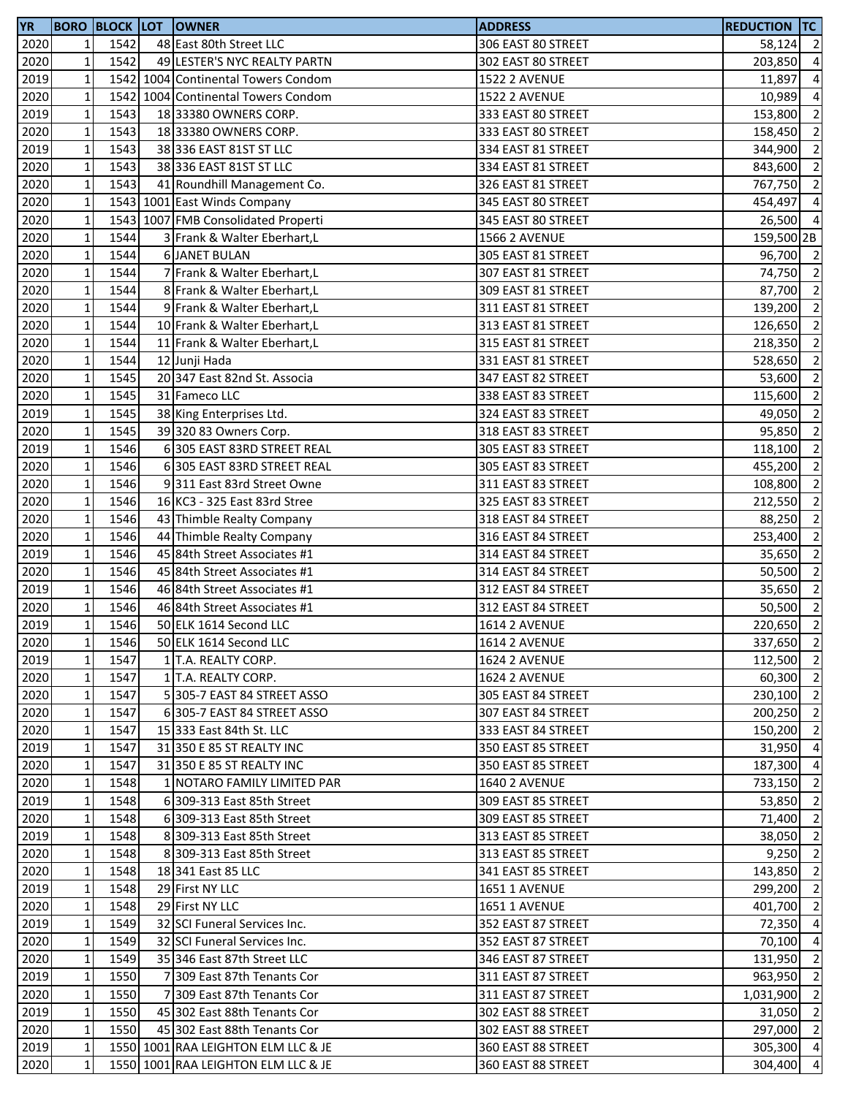| <b>YR</b> |                 |      | <b>BORO BLOCK LOT OWNER</b>         | <b>ADDRESS</b>       | <b>REDUCTION TC</b> |                          |
|-----------|-----------------|------|-------------------------------------|----------------------|---------------------|--------------------------|
| 2020      | $\mathbf{1}$    | 1542 | 48 East 80th Street LLC             | 306 EAST 80 STREET   | 58,124              | $\overline{2}$           |
| 2020      | $\mathbf{1}$    | 1542 | 49 LESTER'S NYC REALTY PARTN        | 302 EAST 80 STREET   | 203,850             | $\overline{4}$           |
| 2019      | $\mathbf{1}$    |      | 1542 1004 Continental Towers Condom | <b>1522 2 AVENUE</b> | 11,897              | $\overline{4}$           |
| 2020      | $\mathbf{1}$    |      | 1542 1004 Continental Towers Condom | <b>1522 2 AVENUE</b> | 10,989              | $\overline{4}$           |
| 2019      | $\mathbf 1$     | 1543 | 18 33380 OWNERS CORP.               | 333 EAST 80 STREET   | 153,800             | $\overline{2}$           |
| 2020      | $\mathbf 1$     | 1543 | 18 33380 OWNERS CORP.               | 333 EAST 80 STREET   | 158,450             | $\overline{2}$           |
| 2019      | $\mathbf 1$     | 1543 | 38 336 EAST 81ST ST LLC             | 334 EAST 81 STREET   | 344,900             | $\overline{2}$           |
| 2020      | $\mathbf 1$     | 1543 | 38 336 EAST 81ST ST LLC             | 334 EAST 81 STREET   | 843,600             | $\overline{2}$           |
| 2020      | $\mathbf 1$     | 1543 | 41 Roundhill Management Co.         | 326 EAST 81 STREET   | 767,750             | $\overline{2}$           |
| 2020      | $1\overline{ }$ |      | 1543 1001 East Winds Company        | 345 EAST 80 STREET   | 454,497             | $\overline{4}$           |
| 2020      | $\mathbf 1$     |      | 1543 1007 FMB Consolidated Properti | 345 EAST 80 STREET   | 26,500 4            |                          |
| 2020      | $\mathbf 1$     | 1544 | 3 Frank & Walter Eberhart,L         | <b>1566 2 AVENUE</b> | 159,500 2B          |                          |
| 2020      | $\mathbf 1$     | 1544 | <b>6 JANET BULAN</b>                | 305 EAST 81 STREET   | 96,700 2            |                          |
| 2020      | $\mathbf 1$     | 1544 | 7 Frank & Walter Eberhart,L         | 307 EAST 81 STREET   | 74,750 2            |                          |
| 2020      | $\mathbf 1$     | 1544 | 8 Frank & Walter Eberhart,L         | 309 EAST 81 STREET   | 87,700              | $\overline{2}$           |
| 2020      | $\mathbf 1$     | 1544 | 9 Frank & Walter Eberhart,L         | 311 EAST 81 STREET   | 139,200             | $\overline{2}$           |
| 2020      | $\mathbf 1$     | 1544 | 10 Frank & Walter Eberhart,L        | 313 EAST 81 STREET   | 126,650             | $\overline{2}$           |
| 2020      | $1\overline{ }$ | 1544 | 11 Frank & Walter Eberhart,L        | 315 EAST 81 STREET   | 218,350             | $\overline{2}$           |
| 2020      | $\mathbf 1$     | 1544 | 12 Junji Hada                       | 331 EAST 81 STREET   | 528,650             | $\overline{2}$           |
| 2020      | $\mathbf 1$     | 1545 | 20 347 East 82nd St. Associa        | 347 EAST 82 STREET   | 53,600              | $\overline{2}$           |
| 2020      | $\mathbf 1$     | 1545 | 31 Fameco LLC                       | 338 EAST 83 STREET   | 115,600             | $\overline{2}$           |
| 2019      | $\mathbf{1}$    | 1545 | 38 King Enterprises Ltd.            | 324 EAST 83 STREET   | 49,050              | $\overline{2}$           |
| 2020      | $\mathbf 1$     | 1545 | 39 320 83 Owners Corp.              | 318 EAST 83 STREET   | 95,850              | $\overline{\phantom{a}}$ |
| 2019      | $\mathbf 1$     | 1546 | 6 305 EAST 83RD STREET REAL         | 305 EAST 83 STREET   | 118,100             | $\overline{2}$           |
| 2020      | $\mathbf 1$     | 1546 | 6 305 EAST 83RD STREET REAL         | 305 EAST 83 STREET   | 455,200             | $\overline{2}$           |
| 2020      | $\mathbf 1$     | 1546 | 9311 East 83rd Street Owne          | 311 EAST 83 STREET   | 108,800             | $\overline{2}$           |
| 2020      | $\mathbf 1$     | 1546 | 16 KC3 - 325 East 83rd Stree        | 325 EAST 83 STREET   | 212,550             | $\overline{\mathbf{2}}$  |
| 2020      | $\mathbf 1$     | 1546 | 43 Thimble Realty Company           | 318 EAST 84 STREET   | 88,250              | $\overline{2}$           |
| 2020      | $\mathbf 1$     | 1546 | 44 Thimble Realty Company           | 316 EAST 84 STREET   | 253,400             | $\overline{\phantom{0}}$ |
| 2019      | $\mathbf 1$     | 1546 | 45 84th Street Associates #1        | 314 EAST 84 STREET   | 35,650              | $\overline{2}$           |
| 2020      | $\mathbf 1$     | 1546 | 45 84th Street Associates #1        | 314 EAST 84 STREET   | 50,500              | $\overline{2}$           |
| 2019      | $\mathbf 1$     | 1546 | 46 84th Street Associates #1        | 312 EAST 84 STREET   | 35,650              | $\overline{2}$           |
| 2020      | $\mathbf 1$     | 1546 | 46 84th Street Associates #1        | 312 EAST 84 STREET   | 50,500              | $\overline{2}$           |
| 2019      | $\mathbf{1}$    | 1546 | 50 ELK 1614 Second LLC              | <b>1614 2 AVENUE</b> | 220,650             | $\overline{2}$           |
| 2020      | 11              | 1546 | 50 ELK 1614 Second LLC              | <b>1614 2 AVENUE</b> | 337,650 2           |                          |
| 2019      | $\mathbf{1}$    | 1547 | 1 T.A. REALTY CORP.                 | <b>1624 2 AVENUE</b> | 112,500 2           |                          |
| 2020      | $1\overline{ }$ | 1547 | 1 T.A. REALTY CORP.                 | <b>1624 2 AVENUE</b> | 60,300              | $\overline{2}$           |
| 2020      | $1\overline{ }$ | 1547 | 5 305-7 EAST 84 STREET ASSO         | 305 EAST 84 STREET   | 230,100 2           |                          |
| 2020      | $1\overline{ }$ | 1547 | 6 305-7 EAST 84 STREET ASSO         | 307 EAST 84 STREET   | 200,250             | $\overline{2}$           |
| 2020      | $\mathbf 1$     | 1547 | 15 333 East 84th St. LLC            | 333 EAST 84 STREET   | 150,200             | $\overline{2}$           |
| 2019      | $1\overline{ }$ | 1547 | 31 350 E 85 ST REALTY INC           | 350 EAST 85 STREET   | 31,950              | $\overline{4}$           |
| 2020      | $1\overline{ }$ | 1547 | 31 350 E 85 ST REALTY INC           | 350 EAST 85 STREET   | 187,300             | $\overline{4}$           |
| 2020      | $1\overline{ }$ | 1548 | 1 NOTARO FAMILY LIMITED PAR         | <b>1640 2 AVENUE</b> | 733.150             | $\overline{2}$           |
| 2019      | $\mathbf{1}$    | 1548 | 6 309-313 East 85th Street          | 309 EAST 85 STREET   | 53,850              | $\overline{2}$           |
| 2020      | $1\overline{ }$ | 1548 | 6 309-313 East 85th Street          | 309 EAST 85 STREET   | 71,400              | $\overline{2}$           |
| 2019      | $\mathbf{1}$    | 1548 | 8 309-313 East 85th Street          | 313 EAST 85 STREET   | 38,050              | $\overline{2}$           |
| 2020      | $1\overline{ }$ | 1548 | 8 309-313 East 85th Street          | 313 EAST 85 STREET   | 9,250               | $\overline{2}$           |
| 2020      | $\mathbf{1}$    | 1548 | 18 341 East 85 LLC                  | 341 EAST 85 STREET   | 143,850             | $\overline{2}$           |
| 2019      | $\mathbf 1$     | 1548 | 29 First NY LLC                     | <b>1651 1 AVENUE</b> | 299,200             | $\overline{2}$           |
| 2020      | $1\overline{ }$ | 1548 | 29 First NY LLC                     | <b>1651 1 AVENUE</b> | 401,700             | $\overline{2}$           |
| 2019      | $1\overline{ }$ | 1549 | 32 SCI Funeral Services Inc.        | 352 EAST 87 STREET   | 72,350              | $\overline{4}$           |
| 2020      | $\mathbf{1}$    | 1549 | 32 SCI Funeral Services Inc.        | 352 EAST 87 STREET   | 70,100              | $\overline{4}$           |
| 2020      | $1\,$           | 1549 | 35 346 East 87th Street LLC         | 346 EAST 87 STREET   | 131,950             | $\overline{2}$           |
| 2019      | $1\overline{ }$ | 1550 | 7 309 East 87th Tenants Cor         | 311 EAST 87 STREET   | 963,950             | $\overline{2}$           |
| 2020      | $1\overline{ }$ | 1550 | 7 309 East 87th Tenants Cor         | 311 EAST 87 STREET   | 1,031,900           | $\overline{2}$           |
| 2019      | $1\overline{ }$ | 1550 | 45 302 East 88th Tenants Cor        | 302 EAST 88 STREET   | 31,050              | $\overline{2}$           |
| 2020      | $1\,$           | 1550 | 45 302 East 88th Tenants Cor        | 302 EAST 88 STREET   | 297,000             | $\overline{2}$           |
| 2019      | $1\overline{ }$ |      | 1550 1001 RAA LEIGHTON ELM LLC & JE | 360 EAST 88 STREET   | 305,300             | $\overline{4}$           |
| 2020      | $\mathbf{1}$    |      | 1550 1001 RAA LEIGHTON ELM LLC & JE | 360 EAST 88 STREET   | 304,400             | $\overline{4}$           |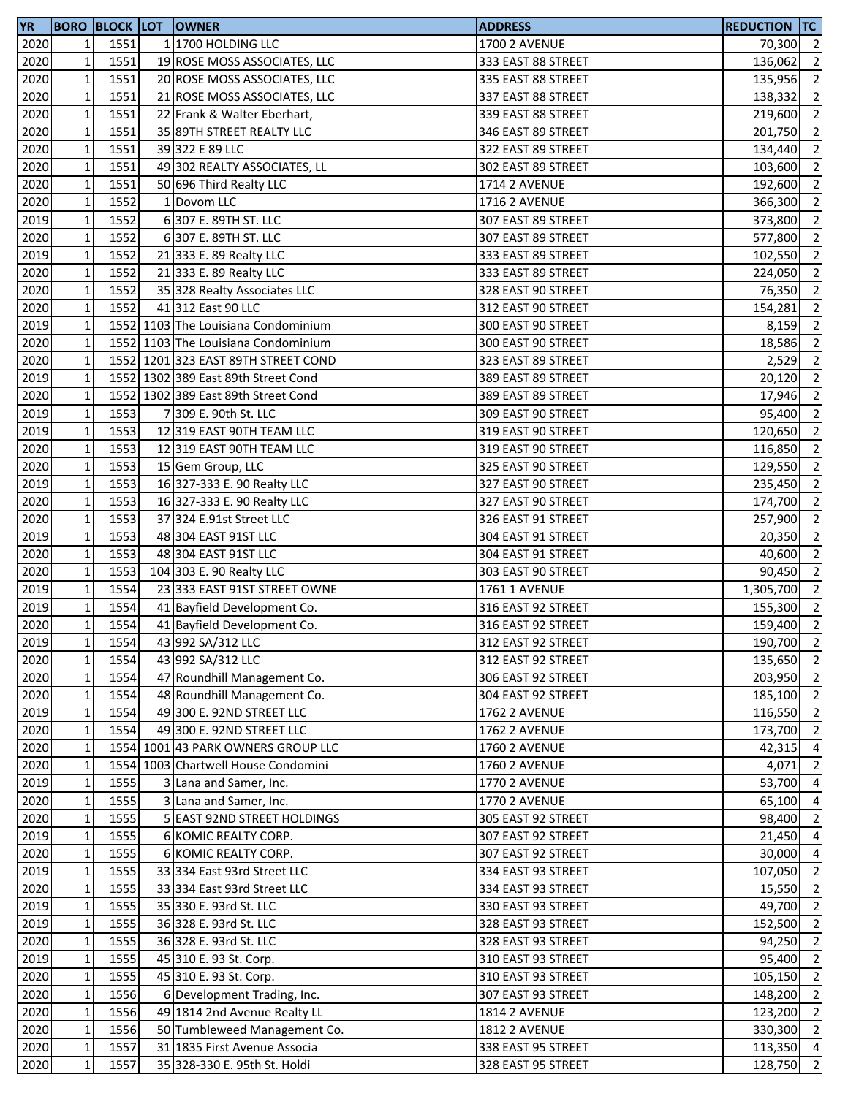| <b>YR</b> |                 |      | <b>BORO BLOCK LOT OWNER</b>         | <b>ADDRESS</b>       | REDUCTION TC |                          |
|-----------|-----------------|------|-------------------------------------|----------------------|--------------|--------------------------|
| 2020      | $1\vert$        | 1551 | 1 1700 HOLDING LLC                  | <b>1700 2 AVENUE</b> | 70,300 2     |                          |
| 2020      | $\mathbf{1}$    | 1551 | 19 ROSE MOSS ASSOCIATES, LLC        | 333 EAST 88 STREET   | 136,062      | $\overline{2}$           |
| 2020      | $1\,$           | 1551 | 20 ROSE MOSS ASSOCIATES, LLC        | 335 EAST 88 STREET   | 135,956 2    |                          |
| 2020      | $1\,$           | 1551 | 21 ROSE MOSS ASSOCIATES, LLC        | 337 EAST 88 STREET   | 138,332      | $\overline{\phantom{a}}$ |
| 2020      | $1\,$           | 1551 | 22 Frank & Walter Eberhart,         | 339 EAST 88 STREET   | 219,600 2    |                          |
| 2020      | $1\,$           | 1551 | 35 89TH STREET REALTY LLC           | 346 EAST 89 STREET   | 201,750      | $\overline{2}$           |
| 2020      | $\mathbf 1$     | 1551 | 39 322 E 89 LLC                     | 322 EAST 89 STREET   | 134,440      | $\overline{2}$           |
| 2020      | $\mathbf 1$     | 1551 | 49 302 REALTY ASSOCIATES, LL        | 302 EAST 89 STREET   | 103,600      | $\overline{\phantom{0}}$ |
| 2020      | $\mathbf 1$     | 1551 | 50 696 Third Realty LLC             | <b>1714 2 AVENUE</b> | 192,600      | $\overline{\phantom{0}}$ |
| 2020      | $1\overline{ }$ | 1552 | 1 Dovom LLC                         | <b>1716 2 AVENUE</b> | 366,300      | $\overline{2}$           |
| 2019      | $\mathbf 1$     | 1552 | 6307 E. 89TH ST. LLC                | 307 EAST 89 STREET   | 373,800      | $\overline{\phantom{0}}$ |
| 2020      | $1\,$           | 1552 | 6 307 E. 89TH ST. LLC               | 307 EAST 89 STREET   |              | $\overline{2}$           |
|           |                 | 1552 |                                     |                      | 577,800      | $\overline{\phantom{a}}$ |
| 2019      | $1\,$           |      | 21 333 E. 89 Realty LLC             | 333 EAST 89 STREET   | 102,550      |                          |
| 2020      | $\mathbf 1$     | 1552 | 21 333 E. 89 Realty LLC             | 333 EAST 89 STREET   | 224,050      | $\overline{\phantom{a}}$ |
| 2020      | $\mathbf 1$     | 1552 | 35 328 Realty Associates LLC        | 328 EAST 90 STREET   | 76,350       | $\overline{2}$           |
| 2020      | $1\,$           | 1552 | 41 312 East 90 LLC                  | 312 EAST 90 STREET   | 154,281      | $\overline{2}$           |
| 2019      | $1\overline{ }$ |      | 1552 1103 The Louisiana Condominium | 300 EAST 90 STREET   | 8,159        | $\overline{2}$           |
| 2020      | $1\overline{ }$ |      | 1552 1103 The Louisiana Condominium | 300 EAST 90 STREET   | 18,586       | $\overline{2}$           |
| 2020      | $\mathbf 1$     |      | 1552 1201 323 EAST 89TH STREET COND | 323 EAST 89 STREET   | 2,529        | $\overline{2}$           |
| 2019      | $1\overline{ }$ |      | 1552 1302 389 East 89th Street Cond | 389 EAST 89 STREET   | 20,120       | $\overline{2}$           |
| 2020      | $1\overline{ }$ |      | 1552 1302 389 East 89th Street Cond | 389 EAST 89 STREET   | 17,946 2     |                          |
| 2019      | $1\,$           | 1553 | 7 309 E. 90th St. LLC               | 309 EAST 90 STREET   | 95,400 2     |                          |
| 2019      | $1\,$           | 1553 | 12 319 EAST 90TH TEAM LLC           | 319 EAST 90 STREET   | 120,650 2    |                          |
| 2020      | $1\,$           | 1553 | 12 319 EAST 90TH TEAM LLC           | 319 EAST 90 STREET   | 116,850 2    |                          |
| 2020      | $1\,$           | 1553 | 15 Gem Group, LLC                   | 325 EAST 90 STREET   | 129,550      | $\overline{\phantom{a}}$ |
| 2019      | $\mathbf 1$     | 1553 | 16 327-333 E. 90 Realty LLC         | 327 EAST 90 STREET   | 235,450      | $\overline{2}$           |
| 2020      | $\mathbf{1}$    | 1553 | 16 327-333 E. 90 Realty LLC         | 327 EAST 90 STREET   | 174,700      | $\overline{2}$           |
| 2020      | $1\,$           | 1553 | 37 324 E.91st Street LLC            | 326 EAST 91 STREET   | 257,900      | $\overline{2}$           |
| 2019      | $1\,$           | 1553 | 48 304 EAST 91ST LLC                | 304 EAST 91 STREET   | 20,350       | $\overline{\phantom{0}}$ |
| 2020      | $1\vert$        | 1553 | 48 304 EAST 91ST LLC                | 304 EAST 91 STREET   | 40,600       | $\overline{2}$           |
| 2020      | $1\,$           | 1553 | 104 303 E. 90 Realty LLC            | 303 EAST 90 STREET   | 90,450       | $\overline{\phantom{0}}$ |
| 2019      | $\mathbf 1$     | 1554 | 23 333 EAST 91ST STREET OWNE        | 1761 1 AVENUE        | 1,305,700 2  |                          |
| 2019      | $\mathbf 1$     | 1554 | 41 Bayfield Development Co.         | 316 EAST 92 STREET   | 155,300      | $\overline{\phantom{a}}$ |
| 2020      | $\mathbf{1}$    | 1554 | 41 Bayfield Development Co.         | 316 EAST 92 STREET   | 159,400      | $\overline{\phantom{0}}$ |
| 2019      | $1\vert$        | 1554 | 43 992 SA/312 LLC                   | 312 EAST 92 STREET   | 190,700 2    |                          |
| 2020      | $\mathbf 1$     | 1554 | 43 992 SA/312 LLC                   | 312 EAST 92 STREET   | 135,650 2    |                          |
|           |                 | 1554 |                                     |                      |              |                          |
| 2020      | $1\vert$        |      | 47 Roundhill Management Co.         | 306 EAST 92 STREET   | 203,950      | $\overline{2}$           |
| 2020      | $1\vert$        | 1554 | 48 Roundhill Management Co.         | 304 EAST 92 STREET   | 185,100 2    |                          |
| 2019      | $1\,$           | 1554 | 49 300 E. 92ND STREET LLC           | <b>1762 2 AVENUE</b> | 116,550 2    |                          |
| 2020      | $\mathbf 1$     | 1554 | 49 300 E. 92ND STREET LLC           | <b>1762 2 AVENUE</b> | 173,700 2    |                          |
| 2020      | $1\overline{ }$ |      | 1554 1001 43 PARK OWNERS GROUP LLC  | <b>1760 2 AVENUE</b> | 42,315       | $\overline{4}$           |
| 2020      | $1\overline{ }$ |      | 1554 1003 Chartwell House Condomini | <b>1760 2 AVENUE</b> | 4,071        | $\overline{2}$           |
| 2019      | $1\overline{ }$ | 1555 | 3 Lana and Samer, Inc.              | <b>1770 2 AVENUE</b> | 53,700 4     |                          |
| 2020      | $\mathbf{1}$    | 1555 | 3 Lana and Samer, Inc.              | <b>1770 2 AVENUE</b> | 65,100       | $\overline{4}$           |
| 2020      | $1\overline{ }$ | 1555 | 5 EAST 92ND STREET HOLDINGS         | 305 EAST 92 STREET   | 98,400       | $\overline{2}$           |
| 2019      | $1\overline{ }$ | 1555 | 6 KOMIC REALTY CORP.                | 307 EAST 92 STREET   | 21,450 4     |                          |
| 2020      | $1\overline{ }$ | 1555 | 6 KOMIC REALTY CORP.                | 307 EAST 92 STREET   | 30,000       | $\overline{4}$           |
| 2019      | $\mathbf{1}$    | 1555 | 33 334 East 93rd Street LLC         | 334 EAST 93 STREET   | 107,050      | $\overline{2}$           |
| 2020      | $1\,$           | 1555 | 33 334 East 93rd Street LLC         | 334 EAST 93 STREET   | 15,550 2     |                          |
| 2019      | $\mathbf{1}$    | 1555 | 35 330 E. 93rd St. LLC              | 330 EAST 93 STREET   | 49,700 2     |                          |
| 2019      | $\mathbf{1}$    | 1555 | 36 328 E. 93rd St. LLC              | 328 EAST 93 STREET   | 152,500      | $\overline{2}$           |
| 2020      | $\mathbf{1}$    | 1555 | 36 328 E. 93rd St. LLC              | 328 EAST 93 STREET   | 94,250       | $\overline{2}$           |
| 2019      | $1\,$           | 1555 | 45 310 E. 93 St. Corp.              | 310 EAST 93 STREET   | 95,400       | $\overline{2}$           |
| 2020      | $1\,$           | 1555 | 45 310 E. 93 St. Corp.              | 310 EAST 93 STREET   | 105,150 2    |                          |
| 2020      | $1\vert$        | 1556 | 6 Development Trading, Inc.         | 307 EAST 93 STREET   | 148,200      | $\overline{\phantom{a}}$ |
| 2020      | $1\,$           | 1556 | 49 1814 2nd Avenue Realty LL        | <b>1814 2 AVENUE</b> | 123,200      | $\overline{2}$           |
| 2020      | $\mathbf 1$     | 1556 | 50 Tumbleweed Management Co.        | <b>1812 2 AVENUE</b> | 330,300 2    |                          |
| 2020      | $\mathbf 1$     | 1557 | 31 1835 First Avenue Associa        | 338 EAST 95 STREET   | 113,350 4    |                          |
| 2020      | $\mathbf 1$     | 1557 | 35 328-330 E. 95th St. Holdi        | 328 EAST 95 STREET   | 128,750      | $\overline{2}$           |
|           |                 |      |                                     |                      |              |                          |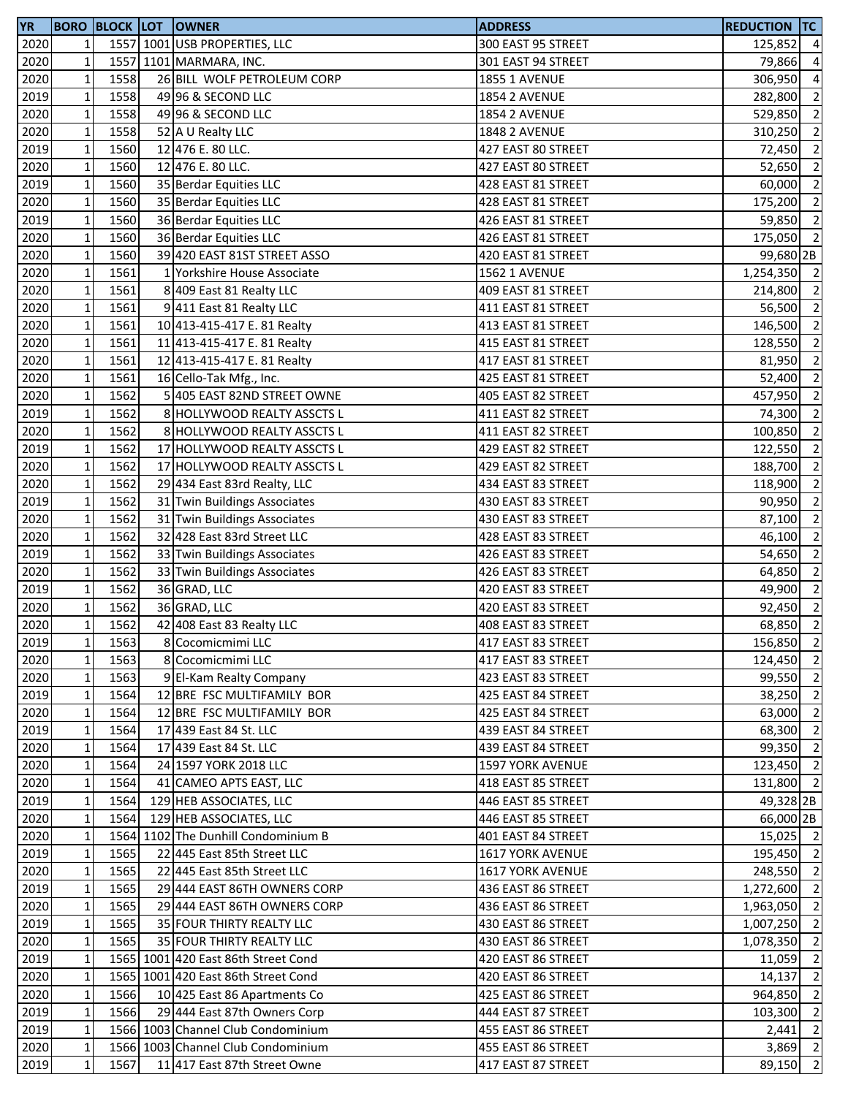| <b>YR</b> |              |      | <b>BORO BLOCK LOT OWNER</b>         | <b>ADDRESS</b>                           | <b>REDUCTION TC</b> |                          |
|-----------|--------------|------|-------------------------------------|------------------------------------------|---------------------|--------------------------|
| 2020      | 1            |      | 1557 1001 USB PROPERTIES, LLC       | 300 EAST 95 STREET                       | 125,852             | $\overline{a}$           |
| 2020      | $\mathbf 1$  |      | 1557 1101 MARMARA, INC.             | 301 EAST 94 STREET                       | 79,866              | $\overline{a}$           |
| 2020      | $\mathbf 1$  | 1558 | 26 BILL WOLF PETROLEUM CORP         | <b>1855 1 AVENUE</b>                     | 306,950             | $\overline{4}$           |
| 2019      | $\mathbf 1$  | 1558 | 49 96 & SECOND LLC                  | <b>1854 2 AVENUE</b>                     | 282,800             | $\overline{2}$           |
| 2020      | $\mathbf 1$  | 1558 | 49 96 & SECOND LLC                  | <b>1854 2 AVENUE</b>                     | 529,850             | $\overline{2}$           |
| 2020      | $\mathbf 1$  | 1558 | 52 A U Realty LLC                   | <b>1848 2 AVENUE</b>                     | 310,250             | $\overline{2}$           |
| 2019      | $\mathbf 1$  | 1560 | 12 476 E. 80 LLC.                   | 427 EAST 80 STREET                       | 72,450              | $\overline{2}$           |
| 2020      | $\mathbf 1$  | 1560 | 12 476 E. 80 LLC.                   | 427 EAST 80 STREET                       | 52,650              | $\overline{2}$           |
| 2019      | $\mathbf 1$  | 1560 | 35 Berdar Equities LLC              | 428 EAST 81 STREET                       | 60,000              | $\overline{2}$           |
| 2020      | $\mathbf 1$  | 1560 | 35 Berdar Equities LLC              | 428 EAST 81 STREET                       | 175,200             | $\overline{2}$           |
| 2019      | $\mathbf 1$  | 1560 | 36 Berdar Equities LLC              | 426 EAST 81 STREET                       | 59,850              | $\overline{2}$           |
| 2020      | $\mathbf 1$  | 1560 | 36 Berdar Equities LLC              | 426 EAST 81 STREET                       | 175,050 2           |                          |
| 2020      | $\mathbf 1$  | 1560 | 39 420 EAST 81ST STREET ASSO        | 420 EAST 81 STREET                       | 99,680 2B           |                          |
| 2020      | $\mathbf 1$  | 1561 | 1 Yorkshire House Associate         | <b>1562 1 AVENUE</b>                     | 1,254,350 2         |                          |
| 2020      | $\mathbf 1$  | 1561 | 8 409 East 81 Realty LLC            | 409 EAST 81 STREET                       | 214,800 2           |                          |
| 2020      | $\mathbf 1$  | 1561 | 9 411 East 81 Realty LLC            | 411 EAST 81 STREET                       | 56,500 2            |                          |
| 2020      | $\mathbf 1$  | 1561 | 10 413-415-417 E. 81 Realty         | 413 EAST 81 STREET                       | 146,500             | $\overline{2}$           |
| 2020      | $\mathbf 1$  | 1561 | 11 413-415-417 E. 81 Realty         |                                          | 128,550             | $\overline{2}$           |
|           | $\mathbf 1$  | 1561 |                                     | 415 EAST 81 STREET<br>417 EAST 81 STREET |                     | $\overline{\phantom{a}}$ |
| 2020      |              |      | 12 413-415-417 E. 81 Realty         |                                          | 81,950              |                          |
| 2020      | $\mathbf 1$  | 1561 | 16 Cello-Tak Mfg., Inc.             | 425 EAST 81 STREET                       | 52,400 2            |                          |
| 2020      | $\mathbf 1$  | 1562 | 5 405 EAST 82ND STREET OWNE         | 405 EAST 82 STREET                       | 457,950 2           |                          |
| 2019      | $\mathbf 1$  | 1562 | 8 HOLLYWOOD REALTY ASSCTS L         | 411 EAST 82 STREET                       | 74,300              | $\overline{2}$           |
| 2020      | $\mathbf 1$  | 1562 | 8 HOLLYWOOD REALTY ASSCTS L         | 411 EAST 82 STREET                       | 100,850             | $\overline{2}$           |
| 2019      | $\mathbf 1$  | 1562 | 17 HOLLYWOOD REALTY ASSCTS L        | 429 EAST 82 STREET                       | 122,550             | $\overline{2}$           |
| 2020      | $\mathbf 1$  | 1562 | 17 HOLLYWOOD REALTY ASSCTS L        | 429 EAST 82 STREET                       | 188,700             | $\overline{2}$           |
| 2020      | $\mathbf 1$  | 1562 | 29 434 East 83rd Realty, LLC        | 434 EAST 83 STREET                       | 118,900             | $\overline{2}$           |
| 2019      | $\mathbf 1$  | 1562 | 31 Twin Buildings Associates        | 430 EAST 83 STREET                       | 90,950              | $\overline{2}$           |
| 2020      | $\mathbf 1$  | 1562 | 31 Twin Buildings Associates        | 430 EAST 83 STREET                       | 87,100              | $\overline{2}$           |
| 2020      | $\mathbf 1$  | 1562 | 32 428 East 83rd Street LLC         | 428 EAST 83 STREET                       | 46,100              | $\overline{2}$           |
| 2019      | $\mathbf 1$  | 1562 | 33 Twin Buildings Associates        | 426 EAST 83 STREET                       | 54,650              | $\overline{2}$           |
| 2020      | $\mathbf 1$  | 1562 | 33 Twin Buildings Associates        | 426 EAST 83 STREET                       | 64,850              | $\overline{2}$           |
| 2019      | $\mathbf 1$  | 1562 | 36 GRAD, LLC                        | 420 EAST 83 STREET                       | 49,900              | $\overline{2}$           |
| 2020      | $\mathbf 1$  | 1562 | 36 GRAD, LLC                        | 420 EAST 83 STREET                       | 92,450              | $\overline{2}$           |
| 2020      | $\mathbf 1$  | 1562 | 42 408 East 83 Realty LLC           | 408 EAST 83 STREET                       | 68,850              | $\overline{2}$           |
| 2019      | 11           | 1563 | 8 Cocomicmimi LLC                   | 417 EAST 83 STREET                       | 156,850 2           |                          |
| 2020      | $\mathbf 1$  | 1563 | 8 Cocomicmimi LLC                   | 417 EAST 83 STREET                       | 124,450 2           |                          |
| 2020      | $\mathbf 1$  | 1563 | 9 El-Kam Realty Company             | 423 EAST 83 STREET                       | 99,550 2            |                          |
| 2019      | $\mathbf 1$  | 1564 | 12 BRE FSC MULTIFAMILY BOR          | 425 EAST 84 STREET                       | 38,250 2            |                          |
| 2020      | $\mathbf 1$  | 1564 | 12 BRE FSC MULTIFAMILY BOR          | 425 EAST 84 STREET                       | 63,000 2            |                          |
| 2019      | $\mathbf 1$  | 1564 | 17 439 East 84 St. LLC              | 439 EAST 84 STREET                       | 68,300 2            |                          |
| 2020      | $\mathbf 1$  | 1564 | 17 439 East 84 St. LLC              | 439 EAST 84 STREET                       | 99,350 2            |                          |
| 2020      | $\mathbf 1$  | 1564 | 24 1597 YORK 2018 LLC               | <b>1597 YORK AVENUE</b>                  | 123,450 2           |                          |
| 2020      | $\mathbf 1$  | 1564 | 41 CAMEO APTS EAST, LLC             | 418 EAST 85 STREET                       | 131,800 2           |                          |
| 2019      | $\mathbf 1$  | 1564 | 129 HEB ASSOCIATES, LLC             | 446 EAST 85 STREET                       | 49,328 2B           |                          |
| 2020      | $\mathbf{1}$ | 1564 | 129 HEB ASSOCIATES, LLC             | 446 EAST 85 STREET                       | 66,000 2B           |                          |
| 2020      | $\mathbf{1}$ |      | 1564 1102 The Dunhill Condominium B | 401 EAST 84 STREET                       | 15,025 2            |                          |
| 2019      | $\mathbf 1$  | 1565 | 22 445 East 85th Street LLC         | <b>1617 YORK AVENUE</b>                  | 195,450 2           |                          |
| 2020      | $\mathbf 1$  | 1565 | 22 445 East 85th Street LLC         | <b>1617 YORK AVENUE</b>                  | 248,550 2           |                          |
| 2019      | $\mathbf{1}$ | 1565 | 29 444 EAST 86TH OWNERS CORP        | 436 EAST 86 STREET                       | 1,272,600           | $\overline{2}$           |
| 2020      | $\mathbf{1}$ | 1565 | 29 444 EAST 86TH OWNERS CORP        | 436 EAST 86 STREET                       | 1,963,050           | $\overline{2}$           |
| 2019      | $\mathbf{1}$ | 1565 | 35 FOUR THIRTY REALTY LLC           | 430 EAST 86 STREET                       | 1,007,250           | $\overline{2}$           |
| 2020      | $\mathbf 1$  | 1565 | 35 FOUR THIRTY REALTY LLC           | 430 EAST 86 STREET                       | 1,078,350           | $\overline{2}$           |
| 2019      | $\mathbf{1}$ |      | 1565 1001 420 East 86th Street Cond | 420 EAST 86 STREET                       | 11,059              | $\overline{2}$           |
| 2020      | $\mathbf 1$  |      | 1565 1001 420 East 86th Street Cond | 420 EAST 86 STREET                       |                     | $\overline{2}$           |
|           |              |      |                                     |                                          | 14,137              | $\overline{2}$           |
| 2020      | $\mathbf 1$  | 1566 | 10 425 East 86 Apartments Co        | 425 EAST 86 STREET                       | 964,850             |                          |
| 2019      | $\mathbf 1$  | 1566 | 29 444 East 87th Owners Corp        | 444 EAST 87 STREET                       | 103,300             | $\overline{2}$           |
| 2019      | $\mathbf 1$  |      | 1566 1003 Channel Club Condominium  | 455 EAST 86 STREET                       | 2,441               | $\overline{2}$           |
| 2020      | $\mathbf 1$  |      | 1566 1003 Channel Club Condominium  | 455 EAST 86 STREET                       | $3,869$ 2           |                          |
| 2019      | $\mathbf 1$  | 1567 | 11 417 East 87th Street Owne        | 417 EAST 87 STREET                       | 89,150              | $\overline{2}$           |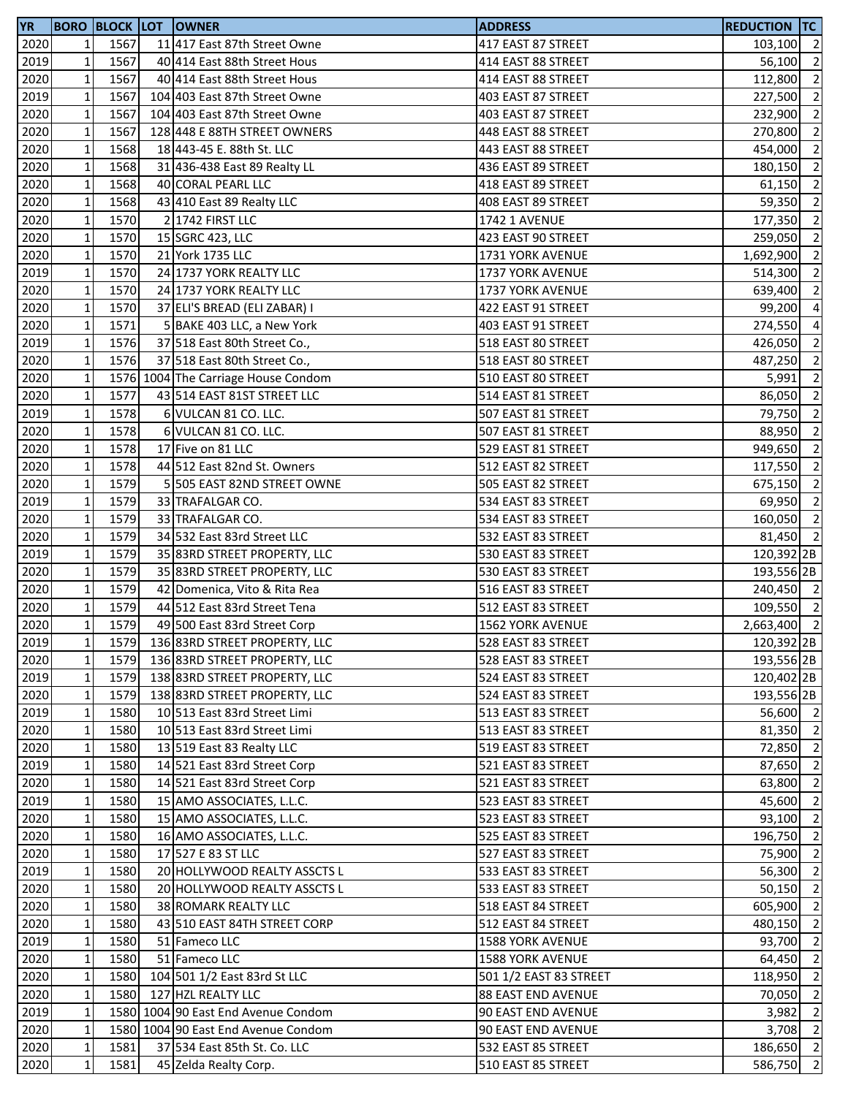| <b>YR</b> |                 |      | <b>BORO BLOCK LOT OWNER</b>         | <b>ADDRESS</b>            | REDUCTION TC          |                          |
|-----------|-----------------|------|-------------------------------------|---------------------------|-----------------------|--------------------------|
| 2020      | 1 <sup>1</sup>  | 1567 | 11 417 East 87th Street Owne        | 417 EAST 87 STREET        | 103,100 2             |                          |
| 2019      | $1\overline{ }$ | 1567 | 40 414 East 88th Street Hous        | 414 EAST 88 STREET        | 56,100                | $\overline{\phantom{a}}$ |
| 2020      | $1\overline{ }$ | 1567 | 40 414 East 88th Street Hous        | 414 EAST 88 STREET        | 112,800               | $\overline{2}$           |
| 2019      | $1\,$           | 1567 | 104 403 East 87th Street Owne       | 403 EAST 87 STREET        | 227,500 2             |                          |
| 2020      | $1\,$           | 1567 | 104 403 East 87th Street Owne       | 403 EAST 87 STREET        | 232,900 2             |                          |
| 2020      | $1\,$           | 1567 | 128 448 E 88TH STREET OWNERS        | 448 EAST 88 STREET        | 270,800               | $\overline{\phantom{0}}$ |
| 2020      | $\mathbf 1$     | 1568 | 18 443-45 E. 88th St. LLC           | 443 EAST 88 STREET        | 454,000               | $\overline{2}$           |
| 2020      | $\mathbf 1$     | 1568 | 31 436-438 East 89 Realty LL        | 436 EAST 89 STREET        | 180,150               | $\overline{\phantom{a}}$ |
| 2020      | $\mathbf 1$     | 1568 | 40 CORAL PEARL LLC                  | 418 EAST 89 STREET        | 61,150                | $\overline{2}$           |
| 2020      | $1\overline{ }$ | 1568 | 43 410 East 89 Realty LLC           | 408 EAST 89 STREET        | 59,350                | $\overline{2}$           |
| 2020      | $\mathbf 1$     | 1570 | 2 1742 FIRST LLC                    | 1742 1 AVENUE             | 177,350 2             |                          |
| 2020      | $\mathbf 1$     | 1570 | 15 SGRC 423, LLC                    | 423 EAST 90 STREET        | 259,050               | $\overline{\phantom{a}}$ |
| 2020      | $1\vert$        | 1570 | 21 York 1735 LLC                    | 1731 YORK AVENUE          | 1,692,900 2           |                          |
| 2019      | $\mathbf 1$     | 1570 | 24 1737 YORK REALTY LLC             | 1737 YORK AVENUE          | 514,300               | $\overline{\phantom{a}}$ |
| 2020      | $\mathbf 1$     | 1570 | 24 1737 YORK REALTY LLC             | 1737 YORK AVENUE          | 639,400 2             |                          |
| 2020      | $\mathbf 1$     | 1570 | 37 ELI'S BREAD (ELI ZABAR) I        | 422 EAST 91 STREET        | 99,200                | $\overline{4}$           |
| 2020      | $\mathbf 1$     | 1571 | 5 BAKE 403 LLC, a New York          | 403 EAST 91 STREET        | 274,550               | $\overline{4}$           |
| 2019      | $1\overline{ }$ | 1576 | 37 518 East 80th Street Co.,        | 518 EAST 80 STREET        | 426,050               | $\overline{2}$           |
| 2020      | $\mathbf 1$     | 1576 | 37 518 East 80th Street Co.,        | 518 EAST 80 STREET        | 487,250               | $\overline{\phantom{a}}$ |
| 2020      | $\mathbf 1$     |      | 1576 1004 The Carriage House Condom | 510 EAST 80 STREET        | 5,991                 | $\overline{2}$           |
| 2020      | $1\vert$        | 1577 | 43 514 EAST 81ST STREET LLC         | 514 EAST 81 STREET        | 86,050 2              |                          |
| 2019      | $\mathbf 1$     | 1578 | 6 VULCAN 81 CO. LLC.                | 507 EAST 81 STREET        | 79,750 2              |                          |
| 2020      | $\mathbf 1$     | 1578 | 6 VULCAN 81 CO. LLC.                | 507 EAST 81 STREET        | 88,950                | $\overline{\phantom{a}}$ |
| 2020      | $\mathbf 1$     | 1578 | 17 Five on 81 LLC                   | 529 EAST 81 STREET        | 949,650 2             |                          |
| 2020      | $\mathbf 1$     | 1578 | 44 512 East 82nd St. Owners         | 512 EAST 82 STREET        | 117,550 2             |                          |
| 2020      | $\mathbf{1}$    | 1579 | 5 505 EAST 82ND STREET OWNE         | 505 EAST 82 STREET        | 675,150               | $\overline{\phantom{0}}$ |
| 2019      | $1\overline{ }$ | 1579 | 33 TRAFALGAR CO.                    | 534 EAST 83 STREET        | 69,950                | $\overline{\phantom{a}}$ |
| 2020      | $\mathbf 1$     | 1579 | 33 TRAFALGAR CO.                    | 534 EAST 83 STREET        | 160,050 2             |                          |
| 2020      | $\mathbf 1$     | 1579 | 34 532 East 83rd Street LLC         | 532 EAST 83 STREET        | 81,450 2              |                          |
| 2019      | $1\vert$        | 1579 | 35 83RD STREET PROPERTY, LLC        | 530 EAST 83 STREET        | 120,392 2B            |                          |
| 2020      | $\mathbf 1$     | 1579 | 35 83RD STREET PROPERTY, LLC        | 530 EAST 83 STREET        | 193,556 2B            |                          |
| 2020      | $\mathbf 1$     | 1579 | 42 Domenica, Vito & Rita Rea        | 516 EAST 83 STREET        | 240,450 2             |                          |
| 2020      | $\mathbf 1$     | 1579 | 44 512 East 83rd Street Tena        | 512 EAST 83 STREET        | 109,550 2             |                          |
| 2020      | $\mathbf{1}$    | 1579 | 49 500 East 83rd Street Corp        | <b>1562 YORK AVENUE</b>   | $2,663,400$ 2         |                          |
| 2019      | $1\vert$        |      | 1579 136 83RD STREET PROPERTY, LLC  | 528 EAST 83 STREET        | 120,392 <sub>2B</sub> |                          |
| 2020      | $\mathbf{1}$    | 1579 | 136 83RD STREET PROPERTY, LLC       | 528 EAST 83 STREET        | 193,556 2B            |                          |
| 2019      | $1\vert$        | 1579 | 138 83RD STREET PROPERTY, LLC       | 524 EAST 83 STREET        | 120,402 2B            |                          |
| 2020      | $1\vert$        | 1579 | 138 83RD STREET PROPERTY, LLC       | 524 EAST 83 STREET        | 193,556 2B            |                          |
| 2019      | $1\vert$        | 1580 | 10 513 East 83rd Street Limi        | 513 EAST 83 STREET        | 56,600 2              |                          |
| 2020      | $\mathbf{1}$    | 1580 | 10 513 East 83rd Street Limi        | 513 EAST 83 STREET        | 81,350 2              |                          |
| 2020      | $1\overline{ }$ | 1580 | 13 519 East 83 Realty LLC           | 519 EAST 83 STREET        | 72,850 2              |                          |
| 2019      | $1\overline{ }$ | 1580 | 14 521 East 83rd Street Corp        | 521 EAST 83 STREET        | 87,650 2              |                          |
| 2020      | $1\overline{ }$ | 1580 | 14 521 East 83rd Street Corp        | 521 EAST 83 STREET        | 63,800                | $\overline{2}$           |
| 2019      | $\mathbf{1}$    | 1580 | 15 AMO ASSOCIATES, L.L.C.           | 523 EAST 83 STREET        | 45,600                | $\overline{2}$           |
| 2020      | $1\overline{ }$ | 1580 | 15 AMO ASSOCIATES, L.L.C.           | 523 EAST 83 STREET        | 93,100                | $\overline{2}$           |
| 2020      | $\mathbf{1}$    | 1580 | 16 AMO ASSOCIATES, L.L.C.           | 525 EAST 83 STREET        | 196,750 2             |                          |
| 2020      | $1\overline{ }$ | 1580 | 17 527 E 83 ST LLC                  | 527 EAST 83 STREET        | 75,900 2              |                          |
| 2019      | $1\overline{ }$ | 1580 | 20 HOLLYWOOD REALTY ASSCTS L        | 533 EAST 83 STREET        | 56,300 2              |                          |
| 2020      | $\mathbf 1$     | 1580 | 20 HOLLYWOOD REALTY ASSCTS L        | 533 EAST 83 STREET        | 50,150 2              |                          |
| 2020      | $1\overline{ }$ | 1580 | 38 ROMARK REALTY LLC                | 518 EAST 84 STREET        | 605,900 2             |                          |
| 2020      | $1\overline{ }$ | 1580 | 43 510 EAST 84TH STREET CORP        | 512 EAST 84 STREET        | 480,150               | $\overline{2}$           |
| 2019      | $\mathbf{1}$    | 1580 | 51 Fameco LLC                       | <b>1588 YORK AVENUE</b>   | 93,700                | $\overline{2}$           |
| 2020      | $\mathbf 1$     | 1580 | 51 Fameco LLC                       | <b>1588 YORK AVENUE</b>   | 64,450                | $\overline{2}$           |
| 2020      | $1\overline{ }$ | 1580 | 104 501 1/2 East 83rd St LLC        | 501 1/2 EAST 83 STREET    | 118,950 2             |                          |
| 2020      | 1 <sup>1</sup>  | 1580 | 127 HZL REALTY LLC                  | <b>88 EAST END AVENUE</b> | 70,050                | $\overline{2}$           |
| 2019      | $1\overline{ }$ |      | 1580 1004 90 East End Avenue Condom | 90 EAST END AVENUE        | 3,982                 | $\overline{2}$           |
| 2020      | $1\,$           |      | 1580 1004 90 East End Avenue Condom | 90 EAST END AVENUE        | 3,708 2               |                          |
| 2020      | $\mathbf{1}$    | 1581 | 37 534 East 85th St. Co. LLC        | 532 EAST 85 STREET        | 186,650 2             |                          |
| 2020      | $\mathbf{1}$    | 1581 | 45 Zelda Realty Corp.               | 510 EAST 85 STREET        | 586,750 2             |                          |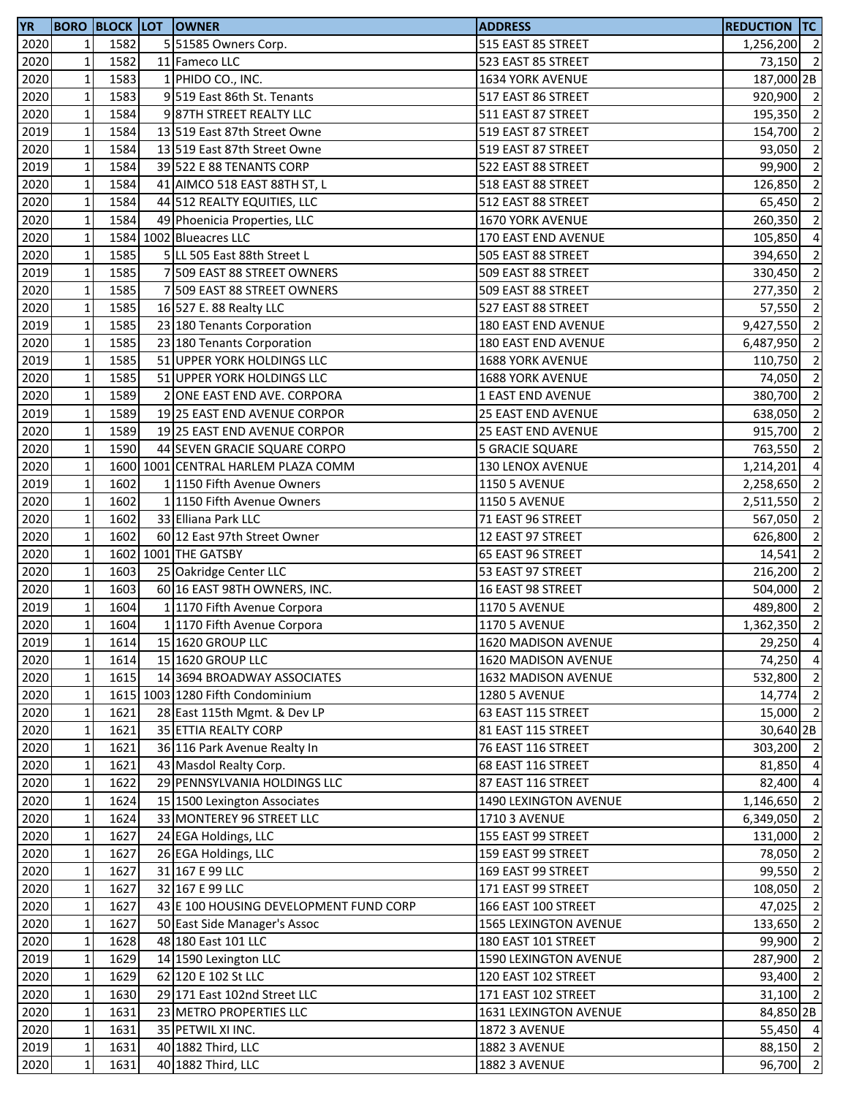| <b>YR</b>    |              |      | <b>BORO BLOCK LOT OWNER</b>                            | <b>ADDRESS</b>                               | <b>REDUCTION TC</b>  |                          |
|--------------|--------------|------|--------------------------------------------------------|----------------------------------------------|----------------------|--------------------------|
| 2020         | 1            | 1582 | 5 51585 Owners Corp.                                   | 515 EAST 85 STREET                           | 1,256,200 2          |                          |
| 2020         | $\mathbf 1$  | 1582 | 11 Fameco LLC                                          | 523 EAST 85 STREET                           | 73,150 2             |                          |
| 2020         | $\mathbf 1$  | 1583 | 1 PHIDO CO., INC.                                      | 1634 YORK AVENUE                             | 187,000 2B           |                          |
| 2020         | $\mathbf 1$  | 1583 | 9 519 East 86th St. Tenants                            | 517 EAST 86 STREET                           | 920,900 2            |                          |
| 2020         | $\mathbf 1$  | 1584 | 987TH STREET REALTY LLC                                | 511 EAST 87 STREET                           | 195,350 2            |                          |
| 2019         | $\mathbf 1$  | 1584 | 13 519 East 87th Street Owne                           | 519 EAST 87 STREET                           | 154,700              | $\overline{2}$           |
| 2020         | $\mathbf 1$  | 1584 | 13 519 East 87th Street Owne                           | 519 EAST 87 STREET                           | 93,050               | $\overline{2}$           |
| 2019         | $\mathbf 1$  | 1584 | 39 522 E 88 TENANTS CORP                               | 522 EAST 88 STREET                           | 99,900               | $\overline{2}$           |
| 2020         | $\mathbf 1$  | 1584 | 41 AIMCO 518 EAST 88TH ST, L                           | 518 EAST 88 STREET                           | 126,850              | $\overline{2}$           |
| 2020         | $\mathbf 1$  | 1584 | 44 512 REALTY EQUITIES, LLC                            | 512 EAST 88 STREET                           | 65,450               | $\overline{2}$           |
| 2020         | $\mathbf 1$  | 1584 | 49 Phoenicia Properties, LLC                           | 1670 YORK AVENUE                             | 260,350              | $\overline{\phantom{a}}$ |
| 2020         | $\mathbf 1$  |      | 1584 1002 Blueacres LLC                                | 170 EAST END AVENUE                          | 105,850              | $\overline{4}$           |
| 2020         | $\mathbf 1$  | 1585 | 5 LL 505 East 88th Street L                            | 505 EAST 88 STREET                           | 394,650              | $\overline{2}$           |
| 2019         | $\mathbf 1$  | 1585 | 7 509 EAST 88 STREET OWNERS                            | 509 EAST 88 STREET                           | 330,450              | $\overline{2}$           |
| 2020         | $\mathbf 1$  | 1585 | 7 509 EAST 88 STREET OWNERS                            | 509 EAST 88 STREET                           | 277,350              | $\overline{2}$           |
| 2020         | $\mathbf 1$  | 1585 | 16 527 E. 88 Realty LLC                                | 527 EAST 88 STREET                           | 57,550               | $\overline{2}$           |
| 2019         | $\mathbf 1$  | 1585 | 23 180 Tenants Corporation                             | 180 EAST END AVENUE                          | 9,427,550            | $\overline{2}$           |
| 2020         | $\mathbf 1$  | 1585 | 23 180 Tenants Corporation                             | 180 EAST END AVENUE                          | 6,487,950            | $\overline{2}$           |
| 2019         | $\mathbf 1$  | 1585 | 51 UPPER YORK HOLDINGS LLC                             | 1688 YORK AVENUE                             | 110,750              | $\overline{2}$           |
| 2020         | $\mathbf 1$  | 1585 | 51 UPPER YORK HOLDINGS LLC                             | 1688 YORK AVENUE                             | 74,050               | $\overline{2}$           |
| 2020         | $\mathbf 1$  | 1589 | 2 ONE EAST END AVE. CORPORA                            | <b>1 EAST END AVENUE</b>                     | 380,700 2            |                          |
| 2019         | $\mathbf 1$  | 1589 | 19 25 EAST END AVENUE CORPOR                           | 25 EAST END AVENUE                           | 638,050              | $\overline{2}$           |
| 2020         | $\mathbf 1$  | 1589 | 19 25 EAST END AVENUE CORPOR                           | 25 EAST END AVENUE                           | 915,700              | $\overline{2}$           |
| 2020         | $\mathbf 1$  | 1590 | 44 SEVEN GRACIE SQUARE CORPO                           | 5 GRACIE SQUARE                              | 763,550              | $\overline{2}$           |
| 2020         | $\mathbf 1$  |      | 1600 1001 CENTRAL HARLEM PLAZA COMM                    | 130 LENOX AVENUE                             | 1,214,201            | $\overline{a}$           |
| 2019         | $\mathbf 1$  | 1602 | 1 1150 Fifth Avenue Owners                             | <b>1150 5 AVENUE</b>                         | 2,258,650            | $\overline{2}$           |
| 2020         | $\mathbf 1$  | 1602 | 1 1150 Fifth Avenue Owners                             | <b>1150 5 AVENUE</b>                         | 2,511,550            | $\overline{2}$           |
| 2020         | $\mathbf 1$  | 1602 | 33 Elliana Park LLC                                    | 71 EAST 96 STREET                            | 567,050              | $\overline{2}$           |
| 2020         | $\mathbf 1$  | 1602 | 60 12 East 97th Street Owner                           | 12 EAST 97 STREET                            | 626,800              | $\overline{\phantom{a}}$ |
| 2020         | $\mathbf 1$  |      | 1602 1001 THE GATSBY                                   | 65 EAST 96 STREET                            | 14,541               | $\overline{2}$           |
| 2020         | $\mathbf 1$  | 1603 |                                                        | 53 EAST 97 STREET                            | 216,200              | $\overline{2}$           |
| 2020         | $\mathbf 1$  | 1603 | 25 Oakridge Center LLC<br>60 16 EAST 98TH OWNERS, INC. | 16 EAST 98 STREET                            | 504,000              | $\overline{2}$           |
| 2019         | $\mathbf 1$  | 1604 | 1 1170 Fifth Avenue Corpora                            |                                              | 489,800 2            |                          |
| 2020         | $\mathbf 1$  | 1604 | 1 1170 Fifth Avenue Corpora                            | <b>1170 5 AVENUE</b><br><b>1170 5 AVENUE</b> | 1,362,350            | $\overline{2}$           |
|              |              | 1614 | 15 1620 GROUP LLC                                      | 1620 MADISON AVENUE                          |                      |                          |
| 2019         | $1\vert$     |      |                                                        |                                              | 29,250 4<br>74,250 4 |                          |
| 2020         | $\mathbf 1$  | 1614 | 15 1620 GROUP LLC<br>14 3694 BROADWAY ASSOCIATES       | 1620 MADISON AVENUE<br>1632 MADISON AVENUE   | 532,800 2            |                          |
| 2020<br>2020 | $\mathbf 1$  | 1615 |                                                        | <b>1280 5 AVENUE</b>                         | 14,774 2             |                          |
|              | $\mathbf 1$  |      | 1615 1003 1280 Fifth Condominium                       |                                              |                      |                          |
| 2020         | $\mathbf 1$  | 1621 | 28 East 115th Mgmt. & Dev LP                           | 63 EAST 115 STREET                           | 15,000 2             |                          |
| 2020         | $\mathbf 1$  | 1621 | 35 ETTIA REALTY CORP                                   | 81 EAST 115 STREET                           | 30,640 2B            |                          |
| 2020         | $\mathbf{1}$ | 1621 | 36 116 Park Avenue Realty In                           | 76 EAST 116 STREET                           | 303,200 2            |                          |
| 2020         | $\mathbf 1$  | 1621 | 43 Masdol Realty Corp.                                 | 68 EAST 116 STREET                           | 81,850 4             |                          |
| 2020         | $\mathbf 1$  | 1622 | 29 PENNSYLVANIA HOLDINGS LLC                           | 87 EAST 116 STREET                           | 82,400 4             |                          |
| 2020         | $\mathbf 1$  | 1624 | 15 1500 Lexington Associates                           | 1490 LEXINGTON AVENUE                        | 1,146,650            | $\overline{2}$           |
| 2020         | $\mathbf{1}$ | 1624 | 33 MONTEREY 96 STREET LLC                              | 1710 3 AVENUE                                | 6,349,050            | $\overline{2}$           |
| 2020         | $\mathbf{1}$ | 1627 | 24 EGA Holdings, LLC                                   | 155 EAST 99 STREET                           | 131,000 2            |                          |
| 2020         | $\mathbf 1$  | 1627 | 26 EGA Holdings, LLC                                   | 159 EAST 99 STREET                           | 78,050 2             |                          |
| 2020         | $\mathbf 1$  | 1627 | 31 167 E 99 LLC                                        | 169 EAST 99 STREET                           | 99,550 2             |                          |
| 2020         | $\mathbf 1$  | 1627 | 32 167 E 99 LLC                                        | 171 EAST 99 STREET                           | 108,050 2            |                          |
| 2020         | $\mathbf 1$  | 1627 | 43 E 100 HOUSING DEVELOPMENT FUND CORP                 | 166 EAST 100 STREET                          | 47,025 2             |                          |
| 2020         | $\mathbf{1}$ | 1627 | 50 East Side Manager's Assoc                           | 1565 LEXINGTON AVENUE                        | 133,650              | $\overline{2}$           |
| 2020         | $\mathbf 1$  | 1628 | 48 180 East 101 LLC                                    | 180 EAST 101 STREET                          | 99,900               | $\overline{2}$           |
| 2019         | $\mathbf 1$  | 1629 | 14 1590 Lexington LLC                                  | 1590 LEXINGTON AVENUE                        | 287,900 2            |                          |
| 2020         | $\mathbf 1$  | 1629 | 62 120 E 102 St LLC                                    | 120 EAST 102 STREET                          | 93,400 2             |                          |
| 2020         | $\mathbf 1$  | 1630 | 29 171 East 102nd Street LLC                           | 171 EAST 102 STREET                          | $31,100$ 2           |                          |
| 2020         | $\mathbf 1$  | 1631 | 23 METRO PROPERTIES LLC                                | 1631 LEXINGTON AVENUE                        | 84,850 2B            |                          |
| 2020         | $\mathbf 1$  | 1631 | 35 PETWIL XI INC.                                      | <b>1872 3 AVENUE</b>                         | 55,450 4             |                          |
| 2019         | $\mathbf 1$  | 1631 | 40 1882 Third, LLC                                     | <b>1882 3 AVENUE</b>                         | 88,150 2             |                          |
| 2020         | $\mathbf 1$  | 1631 | 40 1882 Third, LLC                                     | 1882 3 AVENUE                                | $96,700$ 2           |                          |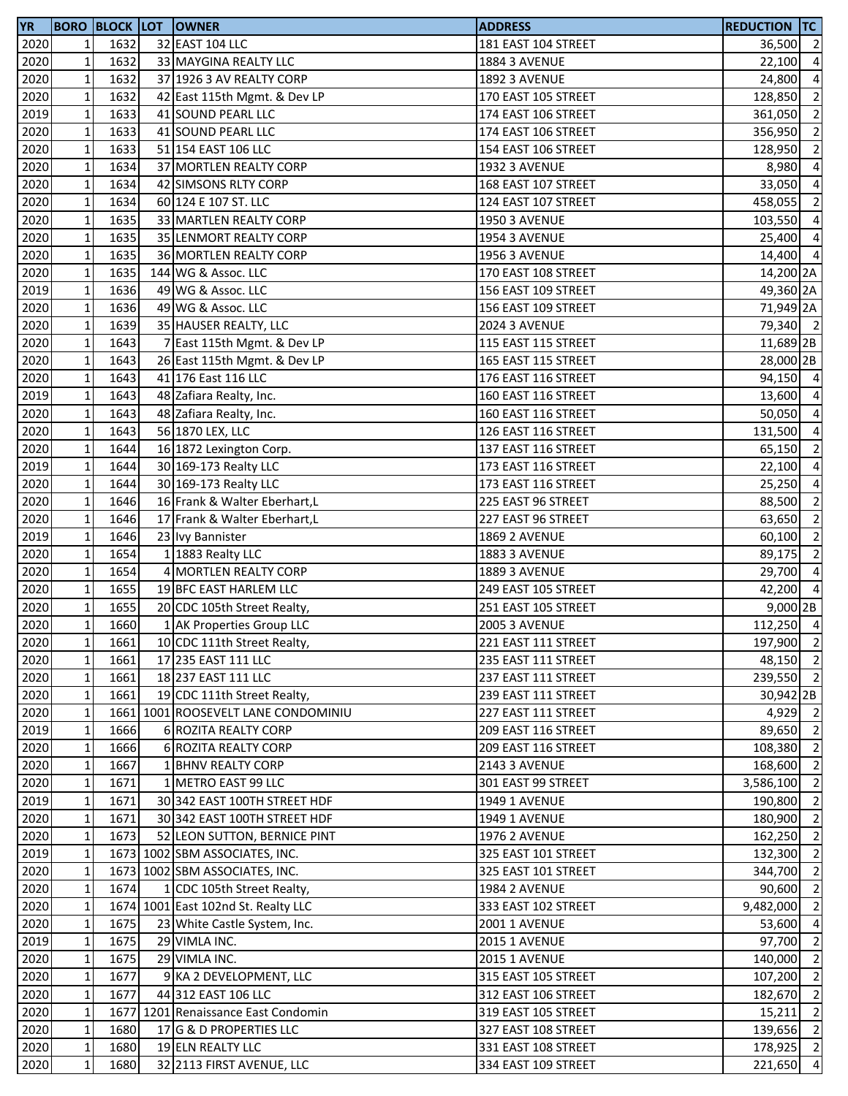| <b>YR</b> |                 |      | <b>BORO BLOCK LOT OWNER</b>         | <b>ADDRESS</b>       | <b>REDUCTION TC</b> |                |
|-----------|-----------------|------|-------------------------------------|----------------------|---------------------|----------------|
| 2020      | $1\vert$        | 1632 | 32 EAST 104 LLC                     | 181 EAST 104 STREET  | 36,500              | $\overline{2}$ |
| 2020      | $\mathbf 1$     | 1632 | 33 MAYGINA REALTY LLC               | <b>1884 3 AVENUE</b> | 22,100              | $\overline{4}$ |
| 2020      | $\mathbf{1}$    | 1632 | 37 1926 3 AV REALTY CORP            | <b>1892 3 AVENUE</b> | 24,800              | $\overline{a}$ |
| 2020      | $\mathbf{1}$    | 1632 | 42 East 115th Mgmt. & Dev LP        | 170 EAST 105 STREET  | 128,850             | $\overline{2}$ |
| 2019      | $1\,$           | 1633 | 41 SOUND PEARL LLC                  | 174 EAST 106 STREET  | 361,050             | $\overline{2}$ |
| 2020      | $\mathbf 1$     | 1633 | 41 SOUND PEARL LLC                  | 174 EAST 106 STREET  | 356,950             | $\overline{2}$ |
| 2020      | $\mathbf 1$     | 1633 | 51 154 EAST 106 LLC                 | 154 EAST 106 STREET  | 128,950             | $\overline{2}$ |
| 2020      | $\mathbf 1$     | 1634 | 37 MORTLEN REALTY CORP              | <b>1932 3 AVENUE</b> | 8,980               | $\overline{4}$ |
| 2020      | $\mathbf 1$     | 1634 | 42 SIMSONS RLTY CORP                | 168 EAST 107 STREET  | 33,050              | $\overline{4}$ |
| 2020      | $\mathbf 1$     | 1634 | 60 124 E 107 ST. LLC                | 124 EAST 107 STREET  | 458,055             | $\overline{2}$ |
| 2020      | $\mathbf 1$     | 1635 | 33 MARTLEN REALTY CORP              | <b>1950 3 AVENUE</b> | 103,550             | $\overline{4}$ |
| 2020      | $1\,$           | 1635 | 35 LENMORT REALTY CORP              | <b>1954 3 AVENUE</b> | 25,400 4            |                |
| 2020      | $\mathbf 1$     | 1635 | 36 MORTLEN REALTY CORP              | <b>1956 3 AVENUE</b> | 14,400 4            |                |
| 2020      | $\mathbf 1$     | 1635 | 144 WG & Assoc. LLC                 | 170 EAST 108 STREET  | 14,200 2A           |                |
| 2019      | $\mathbf 1$     | 1636 | 49 WG & Assoc. LLC                  | 156 EAST 109 STREET  | 49,360 2A           |                |
| 2020      | $\mathbf 1$     | 1636 | 49 WG & Assoc. LLC                  | 156 EAST 109 STREET  | 71,949 2A           |                |
| 2020      | $\mathbf 1$     | 1639 | 35 HAUSER REALTY, LLC               | <b>2024 3 AVENUE</b> | 79,340 2            |                |
| 2020      | $\mathbf 1$     | 1643 | 7 East 115th Mgmt. & Dev LP         | 115 EAST 115 STREET  | 11,689 2B           |                |
| 2020      | $\mathbf 1$     | 1643 | 26 East 115th Mgmt. & Dev LP        | 165 EAST 115 STREET  | 28,000 2B           |                |
| 2020      | $\mathbf 1$     | 1643 | 41 176 East 116 LLC                 | 176 EAST 116 STREET  | 94,150 4            |                |
| 2019      | $\mathbf 1$     | 1643 | 48 Zafiara Realty, Inc.             | 160 EAST 116 STREET  | 13,600 4            |                |
| 2020      | $\mathbf 1$     | 1643 | 48 Zafiara Realty, Inc.             | 160 EAST 116 STREET  | 50,050 4            |                |
| 2020      | $\mathbf 1$     | 1643 | 56 1870 LEX, LLC                    | 126 EAST 116 STREET  | 131,500             | $\overline{4}$ |
| 2020      | $\mathbf 1$     | 1644 | 16 1872 Lexington Corp.             | 137 EAST 116 STREET  | 65,150              | $\overline{2}$ |
| 2019      | $\mathbf 1$     | 1644 | 30 169-173 Realty LLC               | 173 EAST 116 STREET  | 22,100              | $\overline{4}$ |
| 2020      | $\mathbf 1$     | 1644 | 30 169-173 Realty LLC               | 173 EAST 116 STREET  | 25,250              | $\overline{4}$ |
| 2020      | $\mathbf 1$     | 1646 | 16 Frank & Walter Eberhart, L       | 225 EAST 96 STREET   | 88,500              | $\overline{2}$ |
| 2020      | $\mathbf 1$     | 1646 | 17 Frank & Walter Eberhart, L       | 227 EAST 96 STREET   | 63,650              | $\overline{2}$ |
| 2019      | $\mathbf 1$     | 1646 | 23 Ivy Bannister                    | <b>1869 2 AVENUE</b> | 60,100              | $\overline{2}$ |
| 2020      | $\mathbf 1$     | 1654 | 1 1883 Realty LLC                   | <b>1883 3 AVENUE</b> | 89,175              | $\overline{2}$ |
| 2020      | $\mathbf 1$     | 1654 | 4 MORTLEN REALTY CORP               | <b>1889 3 AVENUE</b> | 29,700              | $\overline{4}$ |
| 2020      | $\mathbf 1$     | 1655 | 19 BFC EAST HARLEM LLC              | 249 EAST 105 STREET  | 42,200 4            |                |
| 2020      | $\mathbf 1$     | 1655 | 20 CDC 105th Street Realty,         | 251 EAST 105 STREET  | 9,000 2B            |                |
| 2020      | $\mathbf{1}$    | 1660 | 1 AK Properties Group LLC           | <b>2005 3 AVENUE</b> | 112,250 4           |                |
| 2020      | 11              | 1661 | 10 CDC 111th Street Realty,         | 221 EAST 111 STREET  | 197,900 2           |                |
| 2020      | $1\,$           | 1661 | 17 235 EAST 111 LLC                 | 235 EAST 111 STREET  | 48,150 2            |                |
| 2020      | $1\,$           | 1661 | 18 237 EAST 111 LLC                 | 237 EAST 111 STREET  | 239,550 2           |                |
| 2020      | $\mathbf{1}$    | 1661 | 19 CDC 111th Street Realty,         | 239 EAST 111 STREET  | 30,942 2B           |                |
| 2020      | $\mathbf 1$     |      | 1661 1001 ROOSEVELT LANE CONDOMINIU | 227 EAST 111 STREET  | 4,929 2             |                |
| 2019      | $\mathbf 1$     | 1666 | 6 ROZITA REALTY CORP                | 209 EAST 116 STREET  | 89,650 2            |                |
| 2020      | $\mathbf 1$     | 1666 | 6 ROZITA REALTY CORP                | 209 EAST 116 STREET  | 108,380 2           |                |
| 2020      | $\mathbf 1$     | 1667 | 1 BHNV REALTY CORP                  | <b>2143 3 AVENUE</b> | 168,600             | $\overline{2}$ |
| 2020      | $\mathbf{1}$    | 1671 | 1 METRO EAST 99 LLC                 | 301 EAST 99 STREET   | 3,586,100           | $\overline{2}$ |
| 2019      | $\mathbf{1}$    | 1671 | 30 342 EAST 100TH STREET HDF        | 1949 1 AVENUE        | 190,800             | $\overline{2}$ |
| 2020      | $\mathbf{1}$    | 1671 | 30 342 EAST 100TH STREET HDF        | 1949 1 AVENUE        | 180,900 2           |                |
| 2020      | $\mathbf{1}$    | 1673 | 52 LEON SUTTON, BERNICE PINT        | <b>1976 2 AVENUE</b> | $162,250$ 2         |                |
| 2019      | $1\overline{ }$ |      | 1673 1002 SBM ASSOCIATES, INC.      | 325 EAST 101 STREET  | 132,300 2           |                |
| 2020      | $\mathbf 1$     |      | 1673 1002 SBM ASSOCIATES, INC.      | 325 EAST 101 STREET  | 344,700 2           |                |
| 2020      | $\mathbf{1}$    | 1674 | 1 CDC 105th Street Realty,          | <b>1984 2 AVENUE</b> | 90,600              | $\overline{2}$ |
| 2020      | $\mathbf{1}$    |      | 1674 1001 East 102nd St. Realty LLC | 333 EAST 102 STREET  | 9,482,000           | $\overline{2}$ |
| 2020      | $1\overline{ }$ | 1675 | 23 White Castle System, Inc.        | <b>2001 1 AVENUE</b> | 53,600              | $\overline{4}$ |
| 2019      | $\mathbf 1$     | 1675 | 29 VIMLA INC.                       | <b>2015 1 AVENUE</b> | 97,700              | $\overline{2}$ |
| 2020      | $1\,$           | 1675 | 29 VIMLA INC.                       | <b>2015 1 AVENUE</b> | 140,000             | $\overline{2}$ |
| 2020      | $1\overline{ }$ | 1677 | 9 KA 2 DEVELOPMENT, LLC             | 315 EAST 105 STREET  | 107,200 2           |                |
| 2020      | $1\,$           | 1677 | 44 312 EAST 106 LLC                 | 312 EAST 106 STREET  | 182,670 2           |                |
| 2020      | $\mathbf 1$     |      | 1677 1201 Renaissance East Condomin | 319 EAST 105 STREET  | 15,211              | $\overline{2}$ |
| 2020      | $\mathbf 1$     | 1680 | 17 G & D PROPERTIES LLC             | 327 EAST 108 STREET  | 139,656             | $\overline{2}$ |
| 2020      | $\mathbf 1$     | 1680 | 19 ELN REALTY LLC                   | 331 EAST 108 STREET  | 178,925 2           |                |
| 2020      | $1\overline{ }$ | 1680 | 32 2113 FIRST AVENUE, LLC           | 334 EAST 109 STREET  | 221,650 4           |                |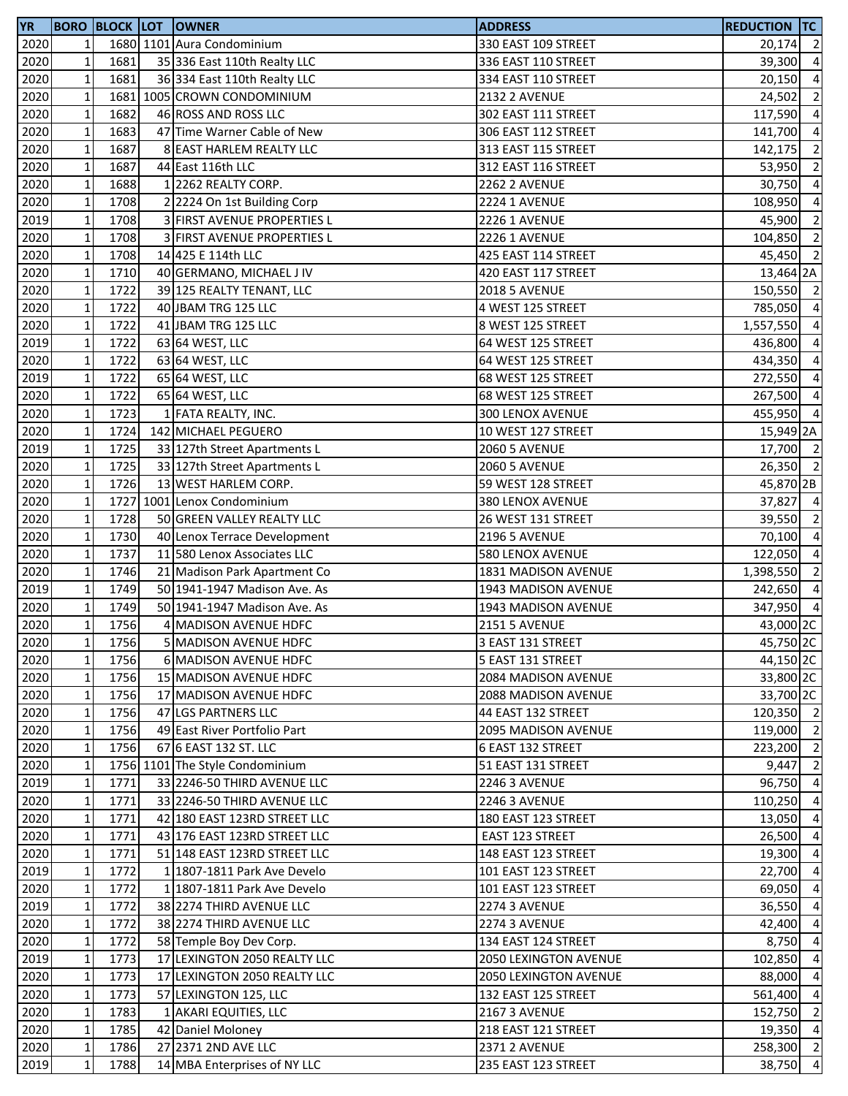| <b>YR</b> |                 |      | <b>BORO BLOCK LOT OWNER</b>     | <b>ADDRESS</b>             | <b>REDUCTION TC</b>  |                         |
|-----------|-----------------|------|---------------------------------|----------------------------|----------------------|-------------------------|
| 2020      | 1               |      | 1680 1101 Aura Condominium      | 330 EAST 109 STREET        | 20,174 2             |                         |
| 2020      | $\mathbf{1}$    | 1681 | 35 336 East 110th Realty LLC    | 336 EAST 110 STREET        | 39,300               | $\overline{a}$          |
| 2020      | $\mathbf 1$     | 1681 | 36 334 East 110th Realty LLC    | 334 EAST 110 STREET        | 20,150               | $\overline{a}$          |
| 2020      | $\mathbf{1}$    |      | 1681 1005 CROWN CONDOMINIUM     | <b>2132 2 AVENUE</b>       | 24,502               | $\overline{2}$          |
| 2020      | $\mathbf 1$     | 1682 | 46 ROSS AND ROSS LLC            | 302 EAST 111 STREET        | 117,590 4            |                         |
| 2020      | $\mathbf 1$     | 1683 | 47 Time Warner Cable of New     | 306 EAST 112 STREET        | 141,700              | $\overline{4}$          |
| 2020      | $\mathbf 1$     | 1687 | 8 EAST HARLEM REALTY LLC        | 313 EAST 115 STREET        | 142,175 2            |                         |
| 2020      | $\mathbf 1$     | 1687 | 44 East 116th LLC               | 312 EAST 116 STREET        | 53,950               | $\overline{2}$          |
| 2020      | $1\,$           | 1688 | 1 2262 REALTY CORP.             | <b>2262 2 AVENUE</b>       | 30,750               | $\overline{a}$          |
| 2020      | $\mathbf 1$     | 1708 | 2 2224 On 1st Building Corp     | <b>2224 1 AVENUE</b>       | 108,950              | $\overline{\mathbf{4}}$ |
| 2019      | $\mathbf 1$     | 1708 | 3 FIRST AVENUE PROPERTIES L     | <b>2226 1 AVENUE</b>       | 45,900               | $\overline{2}$          |
| 2020      | $1\,$           | 1708 | 3 FIRST AVENUE PROPERTIES L     | <b>2226 1 AVENUE</b>       | 104,850              | $\overline{\mathbf{c}}$ |
| 2020      | $1\,$           | 1708 | 14 425 E 114th LLC              | 425 EAST 114 STREET        | 45,450 2             |                         |
| 2020      | $\mathbf 1$     | 1710 | 40 GERMANO, MICHAEL J IV        | 420 EAST 117 STREET        | 13,464 2A            |                         |
| 2020      | $\mathbf 1$     | 1722 | 39 125 REALTY TENANT, LLC       | <b>2018 5 AVENUE</b>       | 150,550 2            |                         |
| 2020      | $\mathbf 1$     | 1722 | 40 JBAM TRG 125 LLC             | 4 WEST 125 STREET          | 785,050              | $\overline{4}$          |
| 2020      | $1\,$           | 1722 | 41 JBAM TRG 125 LLC             | 8 WEST 125 STREET          | 1,557,550            | $\overline{a}$          |
| 2019      | $\mathbf{1}$    | 1722 | 63 64 WEST, LLC                 | 64 WEST 125 STREET         | 436,800              | $\overline{a}$          |
| 2020      | $\mathbf 1$     | 1722 | 63 64 WEST, LLC                 | 64 WEST 125 STREET         | 434,350              | $\overline{a}$          |
| 2019      | $\mathbf 1$     | 1722 | 65 64 WEST, LLC                 | 68 WEST 125 STREET         | 272,550              | $\overline{a}$          |
| 2020      | $\mathbf{1}$    | 1722 | 65 64 WEST, LLC                 | 68 WEST 125 STREET         | 267,500 4            |                         |
| 2020      | $1\,$           | 1723 | 1 FATA REALTY, INC.             | 300 LENOX AVENUE           | 455,950 4            |                         |
| 2020      | $\mathbf 1$     | 1724 | 142 MICHAEL PEGUERO             | 10 WEST 127 STREET         | 15,949 2A            |                         |
| 2019      | $\mathbf 1$     | 1725 | 33 127th Street Apartments L    | <b>2060 5 AVENUE</b>       | 17,700 2             |                         |
| 2020      | $\mathbf 1$     | 1725 | 33 127th Street Apartments L    | <b>2060 5 AVENUE</b>       | 26,350 2             |                         |
| 2020      | $1\,$           | 1726 | 13 WEST HARLEM CORP.            | 59 WEST 128 STREET         | 45,870 2B            |                         |
| 2020      | $\mathbf{1}$    |      | 1727 1001 Lenox Condominium     | 380 LENOX AVENUE           | 37,827               | $\overline{4}$          |
| 2020      | $\mathbf 1$     | 1728 | 50 GREEN VALLEY REALTY LLC      | 26 WEST 131 STREET         | 39,550 2             |                         |
| 2020      | $\mathbf{1}$    | 1730 | 40 Lenox Terrace Development    | <b>2196 5 AVENUE</b>       | 70,100               | $\overline{4}$          |
| 2020      | $\mathbf 1$     | 1737 | 11 580 Lenox Associates LLC     | 580 LENOX AVENUE           | 122,050 4            |                         |
| 2020      | $\mathbf 1$     | 1746 | 21 Madison Park Apartment Co    | 1831 MADISON AVENUE        | 1,398,550            | $\overline{\mathbf{c}}$ |
| 2019      | $\mathbf 1$     | 1749 | 50 1941-1947 Madison Ave. As    | 1943 MADISON AVENUE        | 242,650 4            |                         |
| 2020      | $\mathbf 1$     | 1749 | 50 1941-1947 Madison Ave. As    | 1943 MADISON AVENUE        | 347,950 4            |                         |
| 2020      | $\mathbf{1}$    | 1756 | <b>MADISON AVENUE HDFC</b>      | <b>2151 5 AVENUE</b>       | 43,000 2C            |                         |
| 2020      | $1\vert$        | 1756 | 5 MADISON AVENUE HDFC           | 3 EAST 131 STREET          | 45,750 <sub>2C</sub> |                         |
| 2020      | $\mathbf 1$     | 1756 | 6 MADISON AVENUE HDFC           | 5 EAST 131 STREET          | 44,150 2C            |                         |
| 2020      | $1\overline{ }$ | 1756 | 15 MADISON AVENUE HDFC          | 2084 MADISON AVENUE        | 33,800 2C            |                         |
| 2020      | $\mathbf{1}$    | 1756 | 17 MADISON AVENUE HDFC          | <b>2088 MADISON AVENUE</b> | 33,700 2C            |                         |
| 2020      | $\mathbf 1$     | 1756 | 47 LGS PARTNERS LLC             | 44 EAST 132 STREET         | 120,350 2            |                         |
| 2020      | $\mathbf 1$     | 1756 | 49 East River Portfolio Part    | <b>2095 MADISON AVENUE</b> | 119,000 2            |                         |
| 2020      | $\mathbf 1$     | 1756 | 67 6 EAST 132 ST. LLC           | 6 EAST 132 STREET          | 223,200 2            |                         |
| 2020      | $\mathbf{1}$    |      | 1756 1101 The Style Condominium | 51 EAST 131 STREET         | 9,447 2              |                         |
| 2019      | $1\overline{ }$ | 1771 | 33 2246-50 THIRD AVENUE LLC     | <b>2246 3 AVENUE</b>       | 96,750 4             |                         |
| 2020      | $\mathbf 1$     | 1771 | 33 2246-50 THIRD AVENUE LLC     | <b>2246 3 AVENUE</b>       | 110,250              | $\overline{4}$          |
| 2020      | $\mathbf 1$     | 1771 | 42 180 EAST 123RD STREET LLC    | 180 EAST 123 STREET        | 13,050               | $\overline{a}$          |
| 2020      | $1\overline{ }$ | 1771 | 43 176 EAST 123RD STREET LLC    | EAST 123 STREET            | 26,500 4             |                         |
| 2020      | $1\overline{ }$ | 1771 | 51 148 EAST 123RD STREET LLC    | 148 EAST 123 STREET        | 19,300 4             |                         |
| 2019      | $\mathbf{1}$    | 1772 | 1 1807-1811 Park Ave Develo     | 101 EAST 123 STREET        | 22,700               | $\overline{4}$          |
| 2020      | $\mathbf 1$     | 1772 | 1 1807-1811 Park Ave Develo     | 101 EAST 123 STREET        | 69,050 4             |                         |
| 2019      | $\mathbf 1$     | 1772 | 38 2274 THIRD AVENUE LLC        | <b>2274 3 AVENUE</b>       | 36,550 4             |                         |
| 2020      | $\mathbf{1}$    | 1772 | 38 2274 THIRD AVENUE LLC        | <b>2274 3 AVENUE</b>       | 42,400               | $\overline{a}$          |
| 2020      | $\mathbf{1}$    | 1772 | 58 Temple Boy Dev Corp.         | 134 EAST 124 STREET        | 8,750                | $\overline{4}$          |
| 2019      | $\mathbf{1}$    | 1773 | 17 LEXINGTON 2050 REALTY LLC    | 2050 LEXINGTON AVENUE      | 102,850              | $\overline{4}$          |
| 2020      | $\mathbf 1$     | 1773 | 17 LEXINGTON 2050 REALTY LLC    | 2050 LEXINGTON AVENUE      | 88,000               | $\overline{4}$          |
| 2020      | $\mathbf{1}$    | 1773 | 57 LEXINGTON 125, LLC           | 132 EAST 125 STREET        | 561,400 4            |                         |
| 2020      | $\mathbf 1$     | 1783 | 1 AKARI EQUITIES, LLC           | <b>2167 3 AVENUE</b>       | 152,750 2            |                         |
| 2020      | $\mathbf 1$     | 1785 | 42 Daniel Moloney               | 218 EAST 121 STREET        | 19,350 4             |                         |
| 2020      | $\mathbf 1$     | 1786 | 27 2371 2ND AVE LLC             | <b>2371 2 AVENUE</b>       | 258,300 2            |                         |
| 2019      | $\mathbf 1$     | 1788 | 14 MBA Enterprises of NY LLC    | 235 EAST 123 STREET        | 38,750 4             |                         |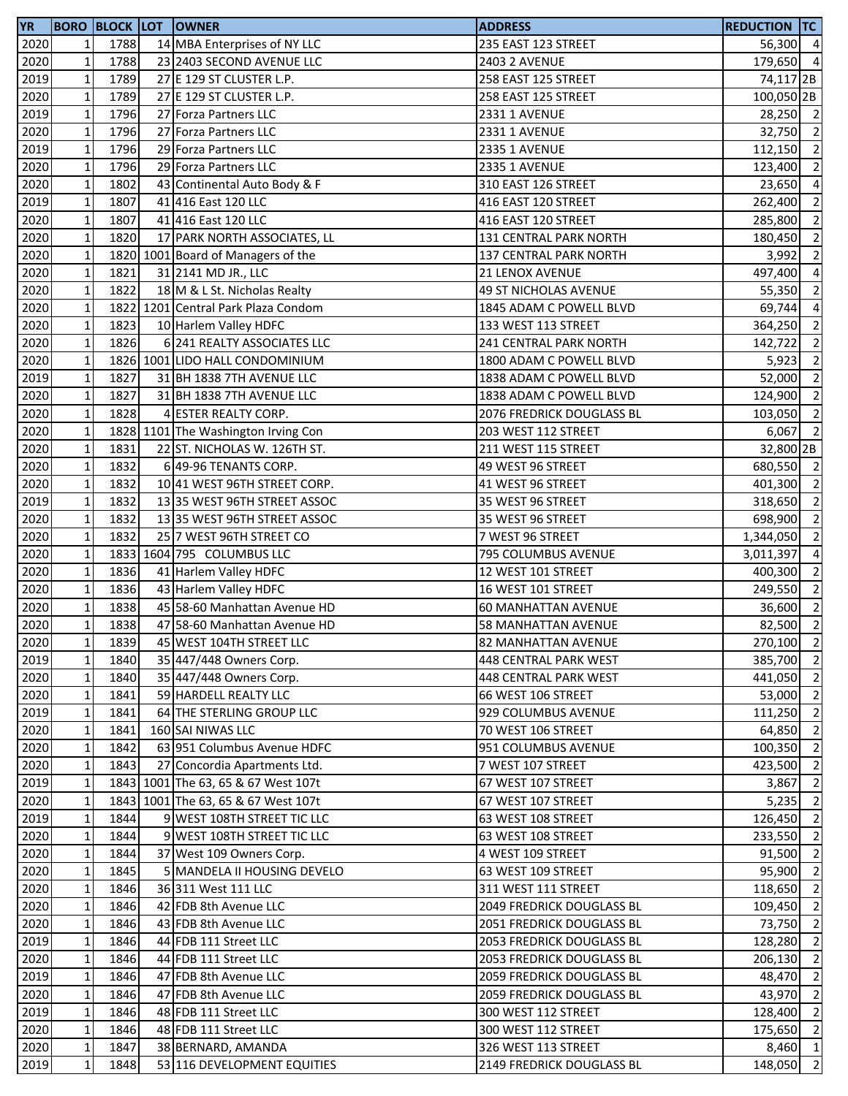| <b>YR</b> |                |      | <b>BORO BLOCK LOT OWNER</b>         | <b>ADDRESS</b>                   | <b>REDUCTION TC</b>  |                          |
|-----------|----------------|------|-------------------------------------|----------------------------------|----------------------|--------------------------|
| 2020      | $\mathbf{1}$   | 1788 | 14 MBA Enterprises of NY LLC        | 235 EAST 123 STREET              | 56,300 4             |                          |
| 2020      | $\mathbf 1$    | 1788 | 23 2403 SECOND AVENUE LLC           | <b>2403 2 AVENUE</b>             | 179,650 4            |                          |
| 2019      | $\mathbf 1$    | 1789 | 27 E 129 ST CLUSTER L.P.            | 258 EAST 125 STREET              | 74,117 <sub>2B</sub> |                          |
| 2020      | $\mathbf 1$    | 1789 | 27 E 129 ST CLUSTER L.P.            | 258 EAST 125 STREET              | 100,050 2B           |                          |
| 2019      | $\mathbf 1$    | 1796 | 27 Forza Partners LLC               | 2331 1 AVENUE                    | 28,250 2             |                          |
| 2020      | $\mathbf 1$    | 1796 | 27 Forza Partners LLC               | 2331 1 AVENUE                    | 32,750               | $\overline{2}$           |
| 2019      | $\mathbf 1$    | 1796 | 29 Forza Partners LLC               | 2335 1 AVENUE                    | 112,150              | $\overline{2}$           |
| 2020      | $\mathbf 1$    | 1796 | 29 Forza Partners LLC               | 2335 1 AVENUE                    | 123,400              | $\overline{2}$           |
| 2020      | $\mathbf 1$    | 1802 | 43 Continental Auto Body & F        | 310 EAST 126 STREET              | 23,650               | $\overline{4}$           |
| 2019      | $\mathbf 1$    | 1807 | 41 416 East 120 LLC                 | 416 EAST 120 STREET              | 262,400              | $\overline{2}$           |
| 2020      | $\mathbf 1$    | 1807 | 41 416 East 120 LLC                 | 416 EAST 120 STREET              | 285,800              | $\overline{2}$           |
| 2020      | $\mathbf 1$    | 1820 | 17 PARK NORTH ASSOCIATES, LL        | 131 CENTRAL PARK NORTH           | 180,450              | $\overline{\phantom{a}}$ |
| 2020      | $\mathbf 1$    |      | 1820 1001 Board of Managers of the  | 137 CENTRAL PARK NORTH           | 3,992                | $\overline{2}$           |
| 2020      | $\mathbf 1$    | 1821 | 31 2141 MD JR., LLC                 | 21 LENOX AVENUE                  | 497,400              | $\overline{4}$           |
| 2020      | $\mathbf 1$    | 1822 | 18 M & L St. Nicholas Realty        | <b>49 ST NICHOLAS AVENUE</b>     | 55,350               | $\overline{2}$           |
| 2020      | $\mathbf 1$    |      | 1822 1201 Central Park Plaza Condom | 1845 ADAM C POWELL BLVD          | 69,744               | $\overline{4}$           |
| 2020      | $\mathbf 1$    | 1823 | 10 Harlem Valley HDFC               | 133 WEST 113 STREET              | 364,250              | $\overline{2}$           |
| 2020      | $\mathbf{1}$   | 1826 | 6 241 REALTY ASSOCIATES LLC         | 241 CENTRAL PARK NORTH           | 142,722              | $\overline{2}$           |
| 2020      | $\mathbf 1$    |      | 1826 1001 LIDO HALL CONDOMINIUM     | 1800 ADAM C POWELL BLVD          | 5,923                | $\overline{2}$           |
| 2019      | $\mathbf 1$    | 1827 | 31 BH 1838 7TH AVENUE LLC           | 1838 ADAM C POWELL BLVD          | 52,000 2             |                          |
| 2020      | $\mathbf 1$    | 1827 | 31 BH 1838 7TH AVENUE LLC           | 1838 ADAM C POWELL BLVD          | 124,900 2            |                          |
| 2020      | $\mathbf 1$    | 1828 | 4 ESTER REALTY CORP.                | 2076 FREDRICK DOUGLASS BL        | 103,050              | $\overline{2}$           |
| 2020      | $\mathbf 1$    |      | 1828 1101 The Washington Irving Con | 203 WEST 112 STREET              | 6,067                | $\overline{2}$           |
| 2020      | $\mathbf 1$    | 1831 | 22 ST. NICHOLAS W. 126TH ST.        |                                  | 32,800 2B            |                          |
|           |                |      |                                     | 211 WEST 115 STREET              | 680,550 2            |                          |
| 2020      | $\mathbf 1$    | 1832 | 6 49-96 TENANTS CORP.               | 49 WEST 96 STREET                |                      |                          |
| 2020      | $\mathbf 1$    | 1832 | 10 41 WEST 96TH STREET CORP.        | 41 WEST 96 STREET                | 401,300              | $\overline{2}$           |
| 2019      | $\mathbf 1$    | 1832 | 1335 WEST 96TH STREET ASSOC         | 35 WEST 96 STREET                | 318,650              | $\overline{2}$           |
| 2020      | $\mathbf 1$    | 1832 | 13 35 WEST 96TH STREET ASSOC        | 35 WEST 96 STREET                | 698,900              | $\overline{2}$           |
| 2020      | $\mathbf 1$    | 1832 | 25 7 WEST 96TH STREET CO            | 7 WEST 96 STREET                 | 1,344,050 2          |                          |
| 2020      | $\mathbf 1$    |      | 1833 1604 795 COLUMBUS LLC          | 795 COLUMBUS AVENUE              | 3,011,397            | $\overline{4}$           |
| 2020      | $\mathbf 1$    | 1836 | 41 Harlem Valley HDFC               | 12 WEST 101 STREET               | 400,300              | $\overline{2}$           |
| 2020      | $\mathbf 1$    | 1836 | 43 Harlem Valley HDFC               | 16 WEST 101 STREET               | 249,550              | $\overline{2}$           |
| 2020      | $\mathbf 1$    | 1838 | 45 58-60 Manhattan Avenue HD        | <b>60 MANHATTAN AVENUE</b>       | 36,600               | $\overline{2}$           |
| 2020      | $\mathbf 1$    | 1838 | 47 58-60 Manhattan Avenue HD        | <b>58 MANHATTAN AVENUE</b>       | 82,500               | $\overline{2}$           |
| 2020      | 1 <sub>l</sub> | 1839 | 45 WEST 104TH STREET LLC            | <b>82 MANHATTAN AVENUE</b>       | 270,100 2            |                          |
| 2019      | $\mathbf 1$    | 1840 | 35 447/448 Owners Corp.             | 448 CENTRAL PARK WEST            | 385,700 2            |                          |
| 2020      | $\mathbf 1$    | 1840 | 35 447/448 Owners Corp.             | 448 CENTRAL PARK WEST            | 441,050 2            |                          |
| 2020      | $\mathbf 1$    | 1841 | 59 HARDELL REALTY LLC               | 66 WEST 106 STREET               | 53,000 2             |                          |
| 2019      | $\mathbf 1$    | 1841 | 64 THE STERLING GROUP LLC           | 929 COLUMBUS AVENUE              | 111,250 2            |                          |
| 2020      | $\mathbf 1$    | 1841 | 160 SAI NIWAS LLC                   | 70 WEST 106 STREET               | 64,850               | $\overline{2}$           |
| 2020      | $\mathbf 1$    | 1842 | 63 951 Columbus Avenue HDFC         | 951 COLUMBUS AVENUE              | 100,350              | $\overline{2}$           |
| 2020      | $\mathbf 1$    | 1843 | 27 Concordia Apartments Ltd.        | 7 WEST 107 STREET                | 423,500              | $\overline{2}$           |
| 2019      | $\mathbf 1$    |      | 1843 1001 The 63, 65 & 67 West 107t | 67 WEST 107 STREET               | 3,867                | $\overline{2}$           |
| 2020      | $\mathbf 1$    |      | 1843 1001 The 63, 65 & 67 West 107t | 67 WEST 107 STREET               | 5,235                | $\overline{2}$           |
| 2019      | $\mathbf 1$    | 1844 | 9 WEST 108TH STREET TIC LLC         | 63 WEST 108 STREET               | 126,450 2            |                          |
| 2020      | $\mathbf{1}$   | 1844 | 9 WEST 108TH STREET TIC LLC         | 63 WEST 108 STREET               | 233,550 2            |                          |
| 2020      | $\mathbf 1$    | 1844 | 37 West 109 Owners Corp.            | 4 WEST 109 STREET                | 91,500               | $\overline{2}$           |
| 2020      | $\mathbf 1$    | 1845 | 5 MANDELA II HOUSING DEVELO         | 63 WEST 109 STREET               | 95,900               | $\overline{2}$           |
| 2020      | $\mathbf{1}$   | 1846 | 36 311 West 111 LLC                 | 311 WEST 111 STREET              | 118,650              | $\overline{2}$           |
| 2020      | $\mathbf{1}$   | 1846 | 42 FDB 8th Avenue LLC               | <b>2049 FREDRICK DOUGLASS BL</b> | 109,450              | $\overline{2}$           |
| 2020      | $\mathbf{1}$   | 1846 | 43 FDB 8th Avenue LLC               | 2051 FREDRICK DOUGLASS BL        | 73,750               | $\overline{2}$           |
| 2019      | $\mathbf 1$    | 1846 | 44 FDB 111 Street LLC               | 2053 FREDRICK DOUGLASS BL        | 128,280              | $\overline{2}$           |
| 2020      | $\mathbf 1$    | 1846 | 44 FDB 111 Street LLC               | 2053 FREDRICK DOUGLASS BL        | 206,130              | $\overline{2}$           |
| 2019      | $\mathbf 1$    | 1846 | 47 FDB 8th Avenue LLC               | <b>2059 FREDRICK DOUGLASS BL</b> | 48,470 2             |                          |
| 2020      | $\mathbf 1$    | 1846 | 47 FDB 8th Avenue LLC               | <b>2059 FREDRICK DOUGLASS BL</b> | 43,970               | $\overline{2}$           |
| 2019      | $\mathbf 1$    | 1846 | 48 FDB 111 Street LLC               | 300 WEST 112 STREET              | 128,400              | $\overline{2}$           |
| 2020      | $\mathbf 1$    | 1846 | 48 FDB 111 Street LLC               | 300 WEST 112 STREET              | 175,650              | $\overline{2}$           |
| 2020      | $\mathbf 1$    | 1847 | 38 BERNARD, AMANDA                  | 326 WEST 113 STREET              | 8,460 1              |                          |
| 2019      | $\mathbf 1$    | 1848 | 53 116 DEVELOPMENT EQUITIES         | 2149 FREDRICK DOUGLASS BL        | 148,050              | $\overline{2}$           |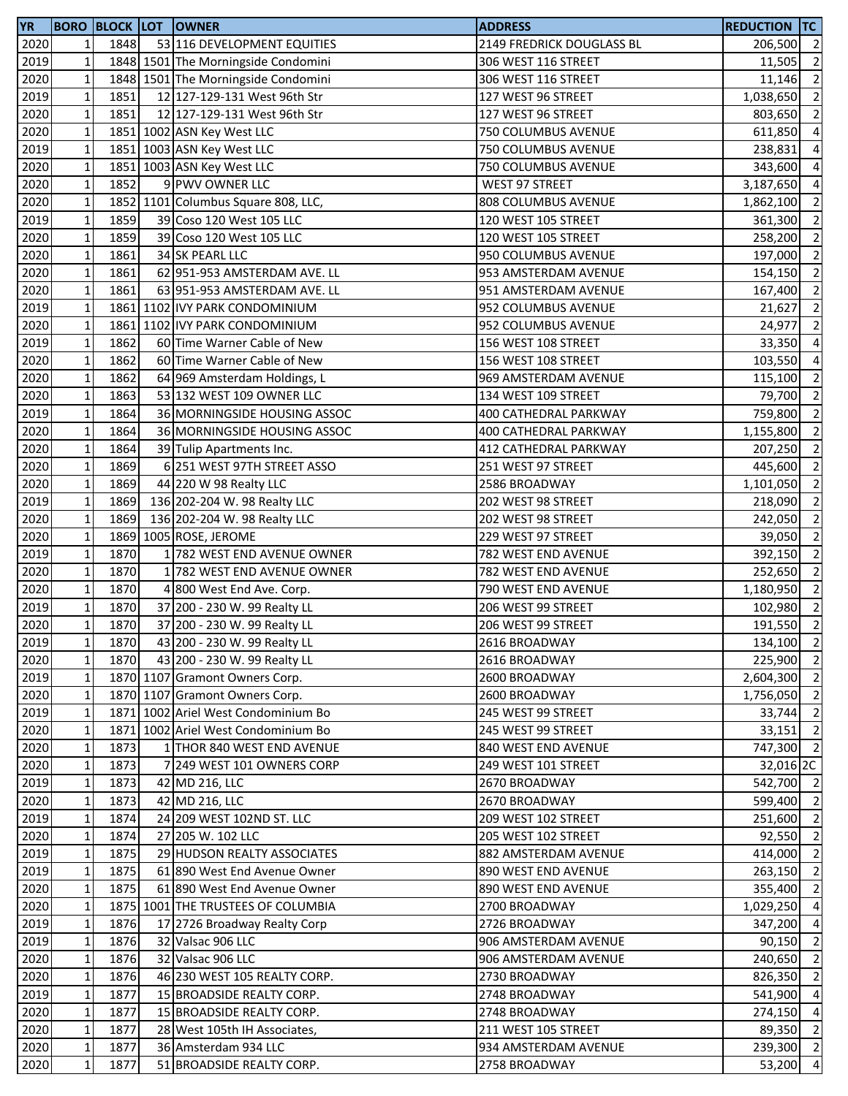| <b>YR</b> |              |      | <b>BORO BLOCK LOT OWNER</b>         | <b>ADDRESS</b>            | <b>REDUCTION TC</b> |                          |
|-----------|--------------|------|-------------------------------------|---------------------------|---------------------|--------------------------|
| 2020      | $\mathbf{1}$ | 1848 | 53 116 DEVELOPMENT EQUITIES         | 2149 FREDRICK DOUGLASS BL | 206,500             | $\overline{2}$           |
| 2019      | $\mathbf 1$  |      | 1848 1501 The Morningside Condomini | 306 WEST 116 STREET       | 11,505              | $\overline{2}$           |
| 2020      | $\mathbf 1$  |      | 1848 1501 The Morningside Condomini | 306 WEST 116 STREET       | 11,146              | $\overline{2}$           |
| 2019      | $\mathbf 1$  | 1851 | 12 127-129-131 West 96th Str        | 127 WEST 96 STREET        | 1,038,650           | $\overline{2}$           |
| 2020      | $\mathbf 1$  | 1851 | 12 127-129-131 West 96th Str        | 127 WEST 96 STREET        | 803,650             | $\overline{2}$           |
| 2020      | $\mathbf 1$  |      | 1851 1002 ASN Key West LLC          | 750 COLUMBUS AVENUE       | 611,850             | $\overline{4}$           |
| 2019      | $\mathbf 1$  |      | 1851 1003 ASN Key West LLC          | 750 COLUMBUS AVENUE       | 238,831             | $\overline{4}$           |
| 2020      | $\mathbf 1$  |      | 1851 1003 ASN Key West LLC          | 750 COLUMBUS AVENUE       | 343,600             | $\overline{4}$           |
| 2020      | $\mathbf 1$  | 1852 | 9 PWV OWNER LLC                     | WEST 97 STREET            | 3,187,650           | $\overline{a}$           |
| 2020      | $\mathbf 1$  |      | 1852 1101 Columbus Square 808, LLC, | 808 COLUMBUS AVENUE       | 1,862,100           | $\overline{2}$           |
| 2019      | $\mathbf 1$  | 1859 |                                     | 120 WEST 105 STREET       |                     | $\overline{2}$           |
|           |              | 1859 | 39 Coso 120 West 105 LLC            |                           | 361,300             |                          |
| 2020      | $\mathbf 1$  |      | 39 Coso 120 West 105 LLC            | 120 WEST 105 STREET       | 258,200 2           |                          |
| 2020      | $\mathbf 1$  | 1861 | 34 SK PEARL LLC                     | 950 COLUMBUS AVENUE       | 197,000 2           |                          |
| 2020      | $\mathbf 1$  | 1861 | 62 951-953 AMSTERDAM AVE. LL        | 953 AMSTERDAM AVENUE      | 154,150             | $\overline{2}$           |
| 2020      | $\mathbf 1$  | 1861 | 63 951-953 AMSTERDAM AVE. LL        | 951 AMSTERDAM AVENUE      | 167,400             | $\overline{2}$           |
| 2019      | $\mathbf 1$  |      | 1861 1102 IVY PARK CONDOMINIUM      | 952 COLUMBUS AVENUE       | 21,627              | $\overline{2}$           |
| 2020      | $\mathbf 1$  |      | 1861 1102 IVY PARK CONDOMINIUM      | 952 COLUMBUS AVENUE       | 24,977              | $\overline{2}$           |
| 2019      | $\mathbf 1$  | 1862 | 60 Time Warner Cable of New         | 156 WEST 108 STREET       | 33,350              | $\overline{4}$           |
| 2020      | $\mathbf 1$  | 1862 | 60 Time Warner Cable of New         | 156 WEST 108 STREET       | 103,550             | $\overline{4}$           |
| 2020      | $\mathbf 1$  | 1862 | 64 969 Amsterdam Holdings, L        | 969 AMSTERDAM AVENUE      | 115,100             | $\overline{\phantom{a}}$ |
| 2020      | $\mathbf 1$  | 1863 | 53 132 WEST 109 OWNER LLC           | 134 WEST 109 STREET       | 79,700 2            |                          |
| 2019      | $\mathbf 1$  | 1864 | 36 MORNINGSIDE HOUSING ASSOC        | 400 CATHEDRAL PARKWAY     | 759,800             | $\overline{2}$           |
| 2020      | $\mathbf 1$  | 1864 | 36 MORNINGSIDE HOUSING ASSOC        | 400 CATHEDRAL PARKWAY     | 1,155,800           | $\overline{2}$           |
| 2020      | $\mathbf 1$  | 1864 | 39 Tulip Apartments Inc.            | 412 CATHEDRAL PARKWAY     | 207,250             | $\overline{2}$           |
| 2020      | $\mathbf 1$  | 1869 | 6 251 WEST 97TH STREET ASSO         | 251 WEST 97 STREET        | 445,600             | $\overline{2}$           |
| 2020      | $\mathbf 1$  | 1869 | 44 220 W 98 Realty LLC              | 2586 BROADWAY             | 1,101,050           | $\overline{2}$           |
| 2019      | $\mathbf 1$  | 1869 | 136 202-204 W. 98 Realty LLC        | 202 WEST 98 STREET        | 218,090             | $\overline{2}$           |
| 2020      | $\mathbf 1$  | 1869 | 136 202-204 W. 98 Realty LLC        | 202 WEST 98 STREET        | 242,050             | $\overline{2}$           |
| 2020      | $\mathbf 1$  | 1869 | 1005 ROSE, JEROME                   | 229 WEST 97 STREET        | 39,050              | $\overline{2}$           |
| 2019      | $\mathbf 1$  | 1870 | 1 782 WEST END AVENUE OWNER         | 782 WEST END AVENUE       | 392,150             | $\overline{2}$           |
| 2020      | $\mathbf 1$  | 1870 | 1 782 WEST END AVENUE OWNER         | 782 WEST END AVENUE       | 252,650             | $\overline{2}$           |
| 2020      | $\mathbf 1$  | 1870 | 4 800 West End Ave. Corp.           | 790 WEST END AVENUE       | 1,180,950           | $\overline{2}$           |
| 2019      | $\mathbf 1$  | 1870 |                                     |                           |                     | $\overline{2}$           |
|           | $\mathbf 1$  |      | 37 200 - 230 W. 99 Realty LL        | 206 WEST 99 STREET        | 102,980             | $\overline{2}$           |
| 2020      |              | 1870 | 37 200 - 230 W. 99 Realty LL        | 206 WEST 99 STREET        | 191,550             |                          |
| 2019      | $1\vert$     | 1870 | 43 200 - 230 W. 99 Realty LL        | 2616 BROADWAY             | 134,100 2           |                          |
| 2020      | $\mathbf 1$  | 1870 | 43 200 - 230 W. 99 Realty LL        | 2616 BROADWAY             | 225,900 2           |                          |
| 2019      | $\mathbf 1$  |      | 1870 1107 Gramont Owners Corp.      | 2600 BROADWAY             | 2,604,300 2         |                          |
| 2020      | $\mathbf 1$  |      | 1870 1107 Gramont Owners Corp.      | 2600 BROADWAY             | 1,756,050 2         |                          |
| 2019      | $\mathbf 1$  |      | 1871 1002 Ariel West Condominium Bo | 245 WEST 99 STREET        | 33,744              | $\overline{2}$           |
| 2020      | $\mathbf 1$  |      | 1871 1002 Ariel West Condominium Bo | 245 WEST 99 STREET        | 33,151              | $\overline{2}$           |
| 2020      | $\mathbf 1$  | 1873 | 1 THOR 840 WEST END AVENUE          | 840 WEST END AVENUE       | 747,300 2           |                          |
| 2020      | $\mathbf 1$  | 1873 | 7 249 WEST 101 OWNERS CORP          | 249 WEST 101 STREET       | 32,016 2C           |                          |
| 2019      | $\mathbf 1$  | 1873 | 42 MD 216, LLC                      | 2670 BROADWAY             | 542,700 2           |                          |
| 2020      | $\mathbf 1$  | 1873 | 42 MD 216, LLC                      | 2670 BROADWAY             | 599,400 2           |                          |
| 2019      | $\mathbf 1$  | 1874 | 24 209 WEST 102ND ST. LLC           | 209 WEST 102 STREET       | 251,600 2           |                          |
| 2020      | $\mathbf{1}$ | 1874 | 27 205 W. 102 LLC                   | 205 WEST 102 STREET       | $92,550$ 2          |                          |
| 2019      | $\mathbf 1$  | 1875 | 29 HUDSON REALTY ASSOCIATES         | 882 AMSTERDAM AVENUE      | 414,000             | $\overline{2}$           |
| 2019      | $\mathbf 1$  | 1875 | 61 890 West End Avenue Owner        | 890 WEST END AVENUE       | 263,150             | $\overline{2}$           |
| 2020      | $\mathbf{1}$ | 1875 | 61 890 West End Avenue Owner        | 890 WEST END AVENUE       | 355,400             | $\overline{2}$           |
| 2020      | $\mathbf 1$  |      | 1875 1001 THE TRUSTEES OF COLUMBIA  | 2700 BROADWAY             | 1,029,250           | $\overline{4}$           |
| 2019      | $\mathbf{1}$ | 1876 | 17 2726 Broadway Realty Corp        | 2726 BROADWAY             | 347,200             | $\overline{4}$           |
| 2019      | $\mathbf 1$  | 1876 | 32 Valsac 906 LLC                   | 906 AMSTERDAM AVENUE      | 90,150              | $\overline{2}$           |
| 2020      | $\mathbf 1$  | 1876 | 32 Valsac 906 LLC                   | 906 AMSTERDAM AVENUE      | 240,650             | $\overline{2}$           |
| 2020      | $\mathbf 1$  | 1876 | 46 230 WEST 105 REALTY CORP.        | 2730 BROADWAY             | 826,350             | $\overline{2}$           |
| 2019      | $\mathbf 1$  | 1877 |                                     | 2748 BROADWAY             | 541,900             | $\overline{4}$           |
|           |              |      | 15 BROADSIDE REALTY CORP.           |                           |                     | $\overline{4}$           |
| 2020      | $\mathbf 1$  | 1877 | 15 BROADSIDE REALTY CORP.           | 2748 BROADWAY             | 274,150             |                          |
| 2020      | $\mathbf 1$  | 1877 | 28 West 105th IH Associates,        | 211 WEST 105 STREET       | 89,350              | $\overline{2}$           |
| 2020      | $\mathbf 1$  | 1877 | 36 Amsterdam 934 LLC                | 934 AMSTERDAM AVENUE      | 239,300 2           |                          |
| 2020      | $\mathbf 1$  | 1877 | 51 BROADSIDE REALTY CORP.           | 2758 BROADWAY             | 53,200 4            |                          |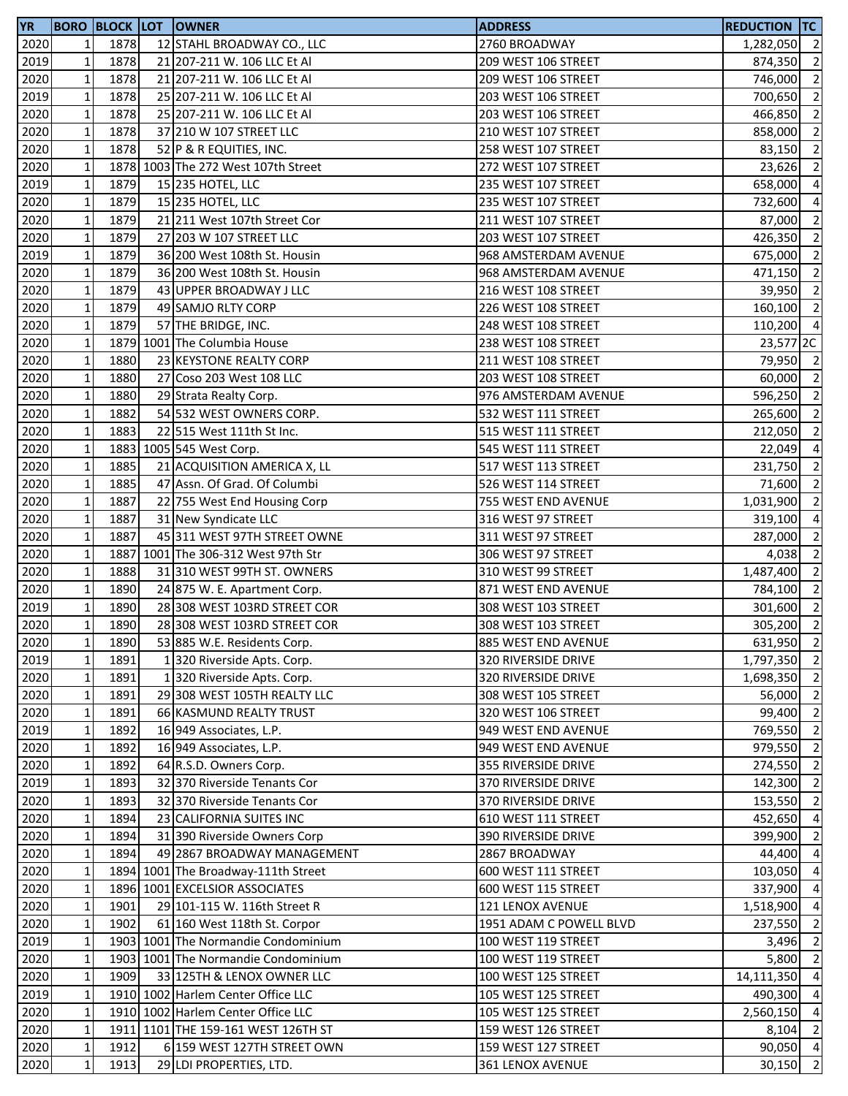| <b>YR</b> |              |      | <b>BORO BLOCK LOT OWNER</b>         | <b>ADDRESS</b>          | <b>REDUCTION TC</b> |                          |
|-----------|--------------|------|-------------------------------------|-------------------------|---------------------|--------------------------|
| 2020      | 1            | 1878 | 12 STAHL BROADWAY CO., LLC          | 2760 BROADWAY           | 1,282,050 2         |                          |
| 2019      | $\mathbf 1$  | 1878 | 21 207-211 W. 106 LLC Et Al         | 209 WEST 106 STREET     | 874,350             | $\overline{\phantom{a}}$ |
| 2020      | $\mathbf 1$  | 1878 | 21 207-211 W. 106 LLC Et Al         | 209 WEST 106 STREET     | 746,000             | $\overline{\phantom{0}}$ |
| 2019      | $\mathbf 1$  | 1878 | 25 207-211 W. 106 LLC Et Al         | 203 WEST 106 STREET     | 700,650             | $\overline{\phantom{0}}$ |
| 2020      | $\mathbf{1}$ | 1878 | 25 207-211 W. 106 LLC Et Al         | 203 WEST 106 STREET     | 466,850 2           |                          |
| 2020      | $\mathbf 1$  | 1878 | 37 210 W 107 STREET LLC             | 210 WEST 107 STREET     | 858,000             | $\overline{\phantom{a}}$ |
| 2020      | $\mathbf 1$  | 1878 | 52 P & R EQUITIES, INC.             | 258 WEST 107 STREET     | 83,150              | $\overline{2}$           |
| 2020      | $\mathbf 1$  |      | 1878 1003 The 272 West 107th Street | 272 WEST 107 STREET     | 23,626              | $\overline{2}$           |
| 2019      | $\mathbf 1$  | 1879 | 15 235 HOTEL, LLC                   | 235 WEST 107 STREET     | 658,000 4           |                          |
| 2020      | $\mathbf 1$  | 1879 | 15 235 HOTEL, LLC                   | 235 WEST 107 STREET     | 732,600             | $\overline{4}$           |
| 2020      | $\mathbf 1$  | 1879 | 21 211 West 107th Street Cor        | 211 WEST 107 STREET     | 87,000              | $\overline{2}$           |
| 2020      | $\mathbf 1$  | 1879 | 27 203 W 107 STREET LLC             | 203 WEST 107 STREET     | 426,350             | $\overline{\phantom{0}}$ |
| 2019      | $\mathbf 1$  | 1879 | 36 200 West 108th St. Housin        | 968 AMSTERDAM AVENUE    | 675,000 2           |                          |
| 2020      | $\mathbf 1$  | 1879 | 36 200 West 108th St. Housin        | 968 AMSTERDAM AVENUE    | 471,150 2           |                          |
| 2020      | $\mathbf 1$  | 1879 | 43 UPPER BROADWAY J LLC             | 216 WEST 108 STREET     | 39,950              | $\overline{2}$           |
| 2020      | $\mathbf 1$  | 1879 | 49 SAMJO RLTY CORP                  | 226 WEST 108 STREET     | 160,100 2           |                          |
| 2020      | $\mathbf 1$  | 1879 | 57 THE BRIDGE, INC.                 | 248 WEST 108 STREET     | 110,200 4           |                          |
| 2020      | $\mathbf 1$  |      | 1879 1001 The Columbia House        | 238 WEST 108 STREET     | 23,577 2C           |                          |
| 2020      | $\mathbf 1$  | 1880 | 23 KEYSTONE REALTY CORP             | 211 WEST 108 STREET     | 79,950 2            |                          |
| 2020      | $\mathbf 1$  | 1880 | 27 Coso 203 West 108 LLC            | 203 WEST 108 STREET     | 60,000 2            |                          |
| 2020      | $\mathbf 1$  | 1880 | 29 Strata Realty Corp.              | 976 AMSTERDAM AVENUE    | 596,250 2           |                          |
| 2020      | $\mathbf 1$  | 1882 | 54 532 WEST OWNERS CORP.            | 532 WEST 111 STREET     | 265,600 2           |                          |
| 2020      | $\mathbf 1$  | 1883 | 22 515 West 111th St Inc.           | 515 WEST 111 STREET     | 212,050 2           |                          |
| 2020      | $\mathbf 1$  |      | 1883 1005 545 West Corp.            | 545 WEST 111 STREET     | 22,049 4            |                          |
| 2020      | $\mathbf 1$  | 1885 | 21 ACQUISITION AMERICA X, LL        | 517 WEST 113 STREET     | 231,750             | $\overline{\phantom{a}}$ |
| 2020      | $\mathbf{1}$ | 1885 | 47 Assn. Of Grad. Of Columbi        | 526 WEST 114 STREET     | 71,600              | $\overline{\phantom{0}}$ |
| 2020      | $\mathbf 1$  | 1887 | 22 755 West End Housing Corp        | 755 WEST END AVENUE     | 1,031,900           | $\overline{2}$           |
| 2020      | $\mathbf 1$  | 1887 | 31 New Syndicate LLC                | 316 WEST 97 STREET      | 319,100             | $\overline{a}$           |
| 2020      | $\mathbf 1$  | 1887 | 45 311 WEST 97TH STREET OWNE        | 311 WEST 97 STREET      | 287,000             | $\overline{2}$           |
| 2020      | $\mathbf 1$  |      | 1887 1001 The 306-312 West 97th Str | 306 WEST 97 STREET      | 4,038 2             |                          |
| 2020      | $\mathbf 1$  | 1888 | 31 310 WEST 99TH ST. OWNERS         | 310 WEST 99 STREET      | 1,487,400           | $\overline{\phantom{0}}$ |
| 2020      | $\mathbf 1$  | 1890 | 24 875 W. E. Apartment Corp.        | 871 WEST END AVENUE     | 784,100             | $\overline{2}$           |
| 2019      | $\mathbf 1$  | 1890 | 28 308 WEST 103RD STREET COR        | 308 WEST 103 STREET     | 301,600             | $\overline{2}$           |
| 2020      | $\mathbf{1}$ | 1890 | 28 308 WEST 103RD STREET COR        | 308 WEST 103 STREET     | 305,200 2           |                          |
| 2020      | $1\vert$     | 1890 | 53 885 W.E. Residents Corp.         | 885 WEST END AVENUE     | 631,950 2           |                          |
| 2019      | $\mathbf 1$  | 1891 | 1320 Riverside Apts. Corp.          | 320 RIVERSIDE DRIVE     | 1,797,350 2         |                          |
| 2020      | $\mathbf 1$  | 1891 | 1320 Riverside Apts. Corp.          | 320 RIVERSIDE DRIVE     | 1,698,350 2         |                          |
| 2020      | $\mathbf 1$  | 1891 | 29 308 WEST 105TH REALTY LLC        | 308 WEST 105 STREET     | 56,000              | $\overline{2}$           |
| 2020      | $\mathbf 1$  | 1891 | 66 KASMUND REALTY TRUST             | 320 WEST 106 STREET     | 99,400 2            |                          |
| 2019      | $\mathbf 1$  | 1892 | 16 949 Associates, L.P.             | 949 WEST END AVENUE     | 769,550             | $\overline{2}$           |
| 2020      | $\mathbf 1$  | 1892 | 16 949 Associates, L.P.             | 949 WEST END AVENUE     | 979,550             | $\overline{2}$           |
| 2020      | $\mathbf 1$  | 1892 | 64 R.S.D. Owners Corp.              | 355 RIVERSIDE DRIVE     | 274,550             | $\overline{\phantom{a}}$ |
| 2019      | $\mathbf 1$  | 1893 | 32 370 Riverside Tenants Cor        | 370 RIVERSIDE DRIVE     | 142,300             | $\overline{2}$           |
| 2020      | $\mathbf 1$  | 1893 | 32 370 Riverside Tenants Cor        | 370 RIVERSIDE DRIVE     | 153,550             | $\overline{2}$           |
| 2020      | $\mathbf 1$  | 1894 | 23 CALIFORNIA SUITES INC            | 610 WEST 111 STREET     | 452,650             | $\overline{4}$           |
| 2020      | $\mathbf 1$  | 1894 | 31 390 Riverside Owners Corp        | 390 RIVERSIDE DRIVE     | 399,900             | $\overline{2}$           |
| 2020      | $\mathbf{1}$ | 1894 | 49 2867 BROADWAY MANAGEMENT         | 2867 BROADWAY           | 44,400 4            |                          |
| 2020      | $\mathbf 1$  |      | 1894 1001 The Broadway-111th Street | 600 WEST 111 STREET     | 103,050 4           |                          |
| 2020      | $\mathbf 1$  |      | 1896 1001 EXCELSIOR ASSOCIATES      | 600 WEST 115 STREET     | 337,900 4           |                          |
| 2020      | $\mathbf{1}$ | 1901 | 29 101-115 W. 116th Street R        | 121 LENOX AVENUE        | 1,518,900           | $\overline{4}$           |
| 2020      | $\mathbf{1}$ | 1902 | 61 160 West 118th St. Corpor        | 1951 ADAM C POWELL BLVD | 237,550             | $\overline{2}$           |
| 2019      | $\mathbf 1$  |      | 1903 1001 The Normandie Condominium | 100 WEST 119 STREET     | 3,496               | $\overline{2}$           |
| 2020      | $\mathbf 1$  |      | 1903 1001 The Normandie Condominium | 100 WEST 119 STREET     | 5,800               | $\overline{2}$           |
| 2020      | $\mathbf 1$  | 1909 | 33 125TH & LENOX OWNER LLC          | 100 WEST 125 STREET     | 14,111,350          | $\overline{4}$           |
| 2019      | $\mathbf 1$  |      | 1910 1002 Harlem Center Office LLC  | 105 WEST 125 STREET     | 490,300 4           |                          |
| 2020      | $\mathbf 1$  |      | 1910 1002 Harlem Center Office LLC  | 105 WEST 125 STREET     | 2,560,150 4         |                          |
| 2020      | $\mathbf 1$  |      | 1911 1101 THE 159-161 WEST 126TH ST | 159 WEST 126 STREET     | 8,104               | $\overline{2}$           |
| 2020      | $\mathbf 1$  | 1912 | 6 159 WEST 127TH STREET OWN         | 159 WEST 127 STREET     | 90,050 4            |                          |
| 2020      | $\mathbf 1$  | 1913 | 29 LDI PROPERTIES, LTD.             | 361 LENOX AVENUE        | 30,150              | $\overline{2}$           |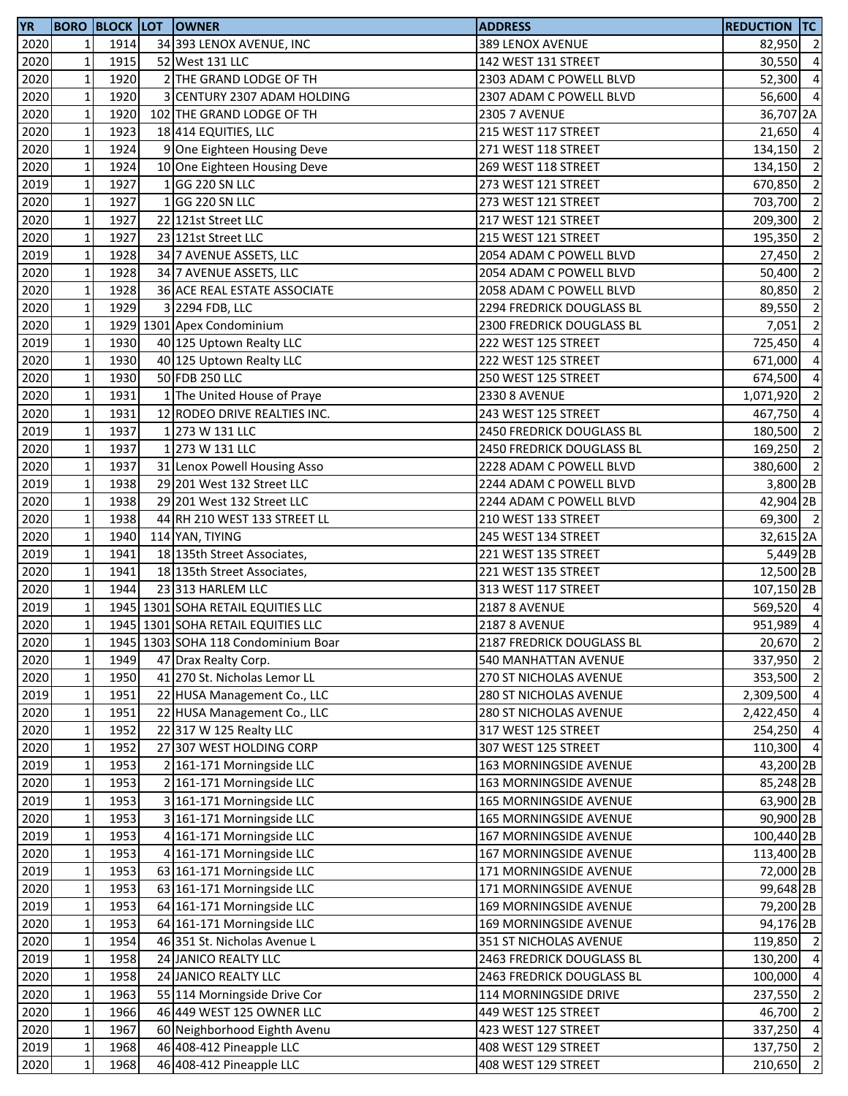| YR   |              |      | <b>BORO BLOCK LOT OWNER</b>         | <b>ADDRESS</b>                | <b>REDUCTION TC</b>   |                |
|------|--------------|------|-------------------------------------|-------------------------------|-----------------------|----------------|
| 2020 | 1            | 1914 | 34 393 LENOX AVENUE, INC            | 389 LENOX AVENUE              | 82,950 2              |                |
| 2020 | $\mathbf 1$  | 1915 | 52 West 131 LLC                     | 142 WEST 131 STREET           | 30,550 4              |                |
| 2020 | $\mathbf 1$  | 1920 | 2 THE GRAND LODGE OF TH             | 2303 ADAM C POWELL BLVD       | 52,300 4              |                |
| 2020 | $\mathbf 1$  | 1920 | 3 CENTURY 2307 ADAM HOLDING         | 2307 ADAM C POWELL BLVD       | 56,600                | $\overline{4}$ |
| 2020 | $\mathbf 1$  | 1920 | 102 THE GRAND LODGE OF TH           | <b>2305 7 AVENUE</b>          | 36,707 2A             |                |
| 2020 | $\mathbf 1$  | 1923 | 18 414 EQUITIES, LLC                | 215 WEST 117 STREET           | 21,650 4              |                |
| 2020 | $\mathbf 1$  | 1924 | 9 One Eighteen Housing Deve         | 271 WEST 118 STREET           | 134,150               | $\overline{2}$ |
| 2020 | $\mathbf 1$  | 1924 | 10 One Eighteen Housing Deve        | 269 WEST 118 STREET           | 134,150               | $\overline{2}$ |
| 2019 | $\mathbf 1$  | 1927 | 1 GG 220 SN LLC                     | 273 WEST 121 STREET           | 670,850               | $\overline{2}$ |
| 2020 | $\mathbf 1$  | 1927 | 1 GG 220 SN LLC                     | 273 WEST 121 STREET           | 703,700               | $\overline{2}$ |
| 2020 | $\mathbf 1$  | 1927 | 22 121st Street LLC                 | 217 WEST 121 STREET           | 209,300               | $\overline{2}$ |
| 2020 | $\mathbf 1$  | 1927 | 23 121st Street LLC                 | 215 WEST 121 STREET           | 195,350               | $\overline{2}$ |
| 2019 | $\mathbf 1$  | 1928 | 34 7 AVENUE ASSETS, LLC             | 2054 ADAM C POWELL BLVD       | 27,450                | $\overline{2}$ |
| 2020 | $\mathbf 1$  | 1928 | 34 7 AVENUE ASSETS, LLC             | 2054 ADAM C POWELL BLVD       | 50,400                | $\overline{2}$ |
| 2020 | $\mathbf 1$  | 1928 | 36 ACE REAL ESTATE ASSOCIATE        | 2058 ADAM C POWELL BLVD       | 80,850                | $\overline{2}$ |
| 2020 | $\mathbf 1$  | 1929 | 3 2294 FDB, LLC                     | 2294 FREDRICK DOUGLASS BL     | 89,550                | $\overline{2}$ |
| 2020 | $\mathbf 1$  |      | 1929 1301 Apex Condominium          | 2300 FREDRICK DOUGLASS BL     | 7,051                 | $\overline{2}$ |
| 2019 | $\mathbf 1$  | 1930 | 40 125 Uptown Realty LLC            | 222 WEST 125 STREET           | 725,450               | $\overline{4}$ |
| 2020 | $\mathbf 1$  | 1930 | 40 125 Uptown Realty LLC            | 222 WEST 125 STREET           | 671,000               | $\overline{a}$ |
| 2020 | $\mathbf 1$  | 1930 | 50 FDB 250 LLC                      | 250 WEST 125 STREET           | 674,500               | $\overline{4}$ |
| 2020 | $\mathbf 1$  | 1931 | 1 The United House of Praye         | <b>2330 8 AVENUE</b>          | 1,071,920 2           |                |
| 2020 | $\mathbf 1$  | 1931 | 12 RODEO DRIVE REALTIES INC.        | 243 WEST 125 STREET           | 467,750 4             |                |
| 2019 | $\mathbf 1$  | 1937 | 1 273 W 131 LLC                     | 2450 FREDRICK DOUGLASS BL     | 180,500 2             |                |
| 2020 | $\mathbf 1$  | 1937 | 1 273 W 131 LLC                     | 2450 FREDRICK DOUGLASS BL     | 169,250               | $\overline{2}$ |
| 2020 | $\mathbf 1$  | 1937 | 31 Lenox Powell Housing Asso        | 2228 ADAM C POWELL BLVD       | 380,600               | $\overline{2}$ |
| 2019 | $\mathbf 1$  | 1938 | 29 201 West 132 Street LLC          | 2244 ADAM C POWELL BLVD       | 3,800 2B              |                |
| 2020 | $\mathbf 1$  | 1938 | 29 201 West 132 Street LLC          | 2244 ADAM C POWELL BLVD       | 42,904 2B             |                |
| 2020 | $\mathbf 1$  | 1938 | 44 RH 210 WEST 133 STREET LL        | 210 WEST 133 STREET           | 69,300 2              |                |
| 2020 | $\mathbf 1$  | 1940 | 114 YAN, TIYING                     | 245 WEST 134 STREET           | 32,615 2A             |                |
| 2019 | $\mathbf 1$  | 1941 | 18 135th Street Associates,         | 221 WEST 135 STREET           | 5,449 2B              |                |
| 2020 | $\mathbf 1$  | 1941 | 18 135th Street Associates,         | 221 WEST 135 STREET           | 12,500 2B             |                |
| 2020 | $\mathbf 1$  | 1944 | 23 313 HARLEM LLC                   | 313 WEST 117 STREET           | 107,150 <sub>2B</sub> |                |
| 2019 | $\mathbf 1$  |      | 1945 1301 SOHA RETAIL EQUITIES LLC  | <b>2187 8 AVENUE</b>          | 569,520 4             |                |
| 2020 | $\mathbf{1}$ |      | 1945 1301 SOHA RETAIL EQUITIES LLC  | <b>2187 8 AVENUE</b>          | 951,989 4             |                |
| 2020 | 1            |      | 1945 1303 SOHA 118 Condominium Boar | 2187 FREDRICK DOUGLASS BL     | 20,670                | $\overline{2}$ |
| 2020 | $\mathbf 1$  | 1949 | 47 Drax Realty Corp.                | 540 MANHATTAN AVENUE          | 337,950               | $\overline{2}$ |
| 2020 | $\mathbf 1$  | 1950 | 41 270 St. Nicholas Lemor LL        | 270 ST NICHOLAS AVENUE        | 353,500               | $\overline{2}$ |
| 2019 | $\mathbf 1$  | 1951 | 22 HUSA Management Co., LLC         | 280 ST NICHOLAS AVENUE        | 2,309,500             | $\overline{4}$ |
| 2020 | $\mathbf 1$  | 1951 | 22 HUSA Management Co., LLC         | 280 ST NICHOLAS AVENUE        | 2,422,450 4           |                |
| 2020 | $\mathbf 1$  | 1952 | 22 317 W 125 Realty LLC             | 317 WEST 125 STREET           | 254,250               | $\overline{4}$ |
| 2020 | $\mathbf 1$  | 1952 | 27 307 WEST HOLDING CORP            | 307 WEST 125 STREET           | 110,300 4             |                |
| 2019 | $\mathbf 1$  | 1953 | 2 161-171 Morningside LLC           | 163 MORNINGSIDE AVENUE        | 43,200 2B             |                |
| 2020 | $\mathbf 1$  | 1953 | 2 161-171 Morningside LLC           | 163 MORNINGSIDE AVENUE        | 85,248 2B             |                |
| 2019 | $\mathbf 1$  | 1953 | 3 161-171 Morningside LLC           | <b>165 MORNINGSIDE AVENUE</b> | 63,900 2B             |                |
| 2020 | $\mathbf 1$  | 1953 | 3 161-171 Morningside LLC           | <b>165 MORNINGSIDE AVENUE</b> | 90,900 2B             |                |
| 2019 | $\mathbf 1$  | 1953 | 4 161-171 Morningside LLC           | 167 MORNINGSIDE AVENUE        | 100,440 2B            |                |
| 2020 | $\mathbf{1}$ | 1953 | 4 161-171 Morningside LLC           | 167 MORNINGSIDE AVENUE        | 113,400 2B            |                |
| 2019 | $\mathbf 1$  | 1953 | 63 161-171 Morningside LLC          | 171 MORNINGSIDE AVENUE        | 72,000 2B             |                |
| 2020 | $\mathbf 1$  | 1953 | 63 161-171 Morningside LLC          | 171 MORNINGSIDE AVENUE        | 99,648 2B             |                |
| 2019 | $\mathbf 1$  | 1953 | 64 161-171 Morningside LLC          | 169 MORNINGSIDE AVENUE        | 79,200 2B             |                |
| 2020 | $\mathbf 1$  | 1953 | 64 161-171 Morningside LLC          | 169 MORNINGSIDE AVENUE        | 94,176 2B             |                |
| 2020 | $\mathbf 1$  | 1954 | 46 351 St. Nicholas Avenue L        | 351 ST NICHOLAS AVENUE        | 119,850 2             |                |
| 2019 | $\mathbf 1$  | 1958 | 24 JANICO REALTY LLC                | 2463 FREDRICK DOUGLASS BL     | 130,200               | $\overline{4}$ |
| 2020 | $\mathbf 1$  | 1958 | 24 JANICO REALTY LLC                | 2463 FREDRICK DOUGLASS BL     | 100,000               | $\overline{4}$ |
| 2020 | $\mathbf 1$  | 1963 | 55 114 Morningside Drive Cor        | 114 MORNINGSIDE DRIVE         | 237,550               | $\overline{2}$ |
| 2020 | $\mathbf 1$  | 1966 | 46 449 WEST 125 OWNER LLC           | 449 WEST 125 STREET           | 46,700                | $\overline{2}$ |
| 2020 | $\mathbf 1$  | 1967 | 60 Neighborhood Eighth Avenu        | 423 WEST 127 STREET           | 337,250               | $\overline{4}$ |
| 2019 | $\mathbf 1$  | 1968 | 46 408-412 Pineapple LLC            | 408 WEST 129 STREET           | 137,750               | $\overline{2}$ |
| 2020 | $\mathbf 1$  | 1968 | 46 408-412 Pineapple LLC            | 408 WEST 129 STREET           | 210,650               | $\overline{2}$ |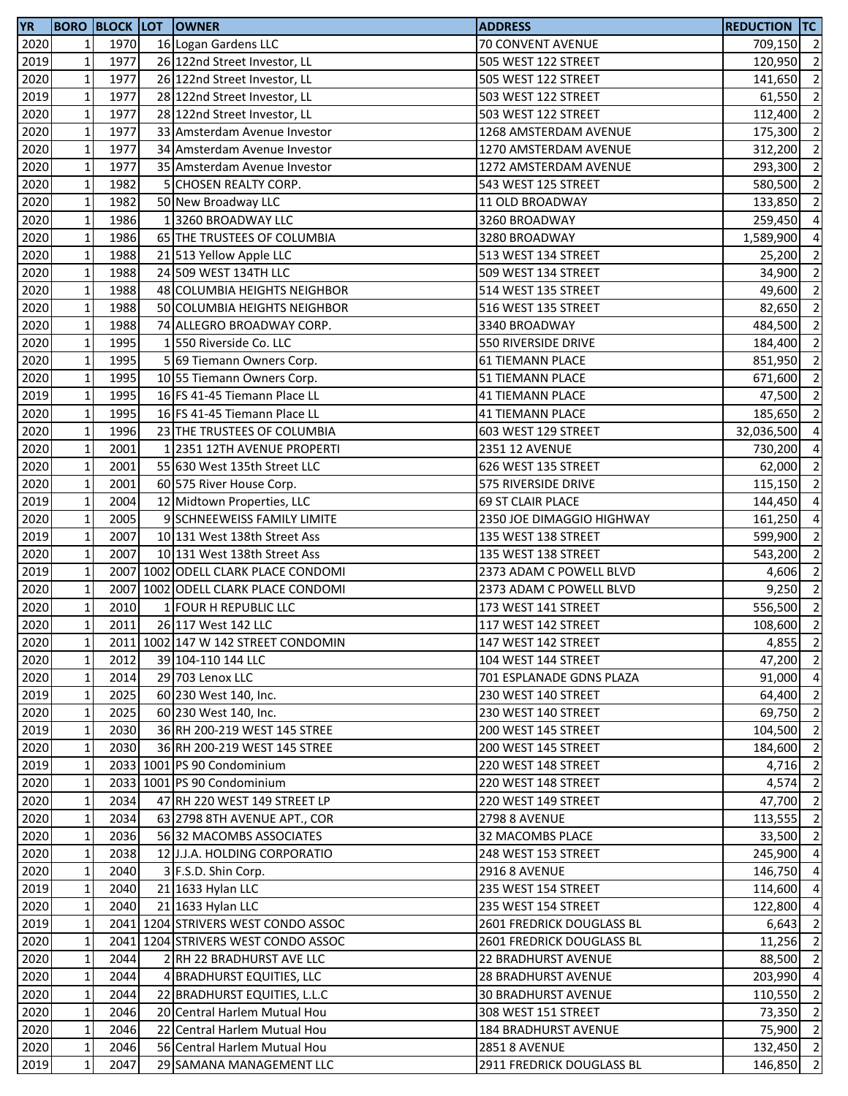| YR   |              |      | <b>BORO BLOCK LOT OWNER</b>         | <b>ADDRESS</b>             | <b>REDUCTION TC</b> |                          |
|------|--------------|------|-------------------------------------|----------------------------|---------------------|--------------------------|
| 2020 | 1            | 1970 | 16 Logan Gardens LLC                | 70 CONVENT AVENUE          | 709,150 2           |                          |
| 2019 | $\mathbf{1}$ | 1977 | 26 122nd Street Investor, LL        | 505 WEST 122 STREET        | 120,950 2           |                          |
| 2020 | $\mathbf 1$  | 1977 | 26 122nd Street Investor, LL        | 505 WEST 122 STREET        | 141,650             | $\overline{\mathbf{c}}$  |
| 2019 | $\mathbf{1}$ | 1977 | 28 122nd Street Investor, LL        | 503 WEST 122 STREET        | 61,550 2            |                          |
| 2020 | $\mathbf{1}$ | 1977 | 28 122nd Street Investor, LL        | 503 WEST 122 STREET        | 112,400             | $\overline{2}$           |
| 2020 | $\mathbf 1$  | 1977 | 33 Amsterdam Avenue Investor        | 1268 AMSTERDAM AVENUE      | 175,300             | $\overline{2}$           |
| 2020 | $\mathbf 1$  | 1977 | 34 Amsterdam Avenue Investor        | 1270 AMSTERDAM AVENUE      | 312,200             | $\overline{2}$           |
| 2020 | $\mathbf{1}$ | 1977 | 35 Amsterdam Avenue Investor        | 1272 AMSTERDAM AVENUE      | 293,300             | $\overline{2}$           |
| 2020 | $\mathbf{1}$ | 1982 | 5 CHOSEN REALTY CORP.               | 543 WEST 125 STREET        | 580,500             | $\overline{2}$           |
| 2020 | $\mathbf{1}$ | 1982 | 50 New Broadway LLC                 | 11 OLD BROADWAY            | 133,850             | $\overline{2}$           |
| 2020 | $\mathbf 1$  | 1986 | 13260 BROADWAY LLC                  | 3260 BROADWAY              | 259,450             | $\overline{a}$           |
| 2020 | $\mathbf 1$  | 1986 | 65 THE TRUSTEES OF COLUMBIA         | 3280 BROADWAY              | 1,589,900           | $\overline{a}$           |
| 2020 | $\mathbf{1}$ | 1988 | 21 513 Yellow Apple LLC             | 513 WEST 134 STREET        | 25,200              | $\overline{\mathbf{c}}$  |
| 2020 | $\mathbf{1}$ | 1988 | 24 509 WEST 134TH LLC               | 509 WEST 134 STREET        | 34,900              | $\overline{2}$           |
| 2020 | $\mathbf 1$  | 1988 | 48 COLUMBIA HEIGHTS NEIGHBOR        | 514 WEST 135 STREET        | 49,600              | $\overline{\phantom{a}}$ |
| 2020 | $\mathbf 1$  | 1988 | 50 COLUMBIA HEIGHTS NEIGHBOR        | 516 WEST 135 STREET        | 82,650              | $\overline{2}$           |
| 2020 | $\mathbf 1$  | 1988 | 74 ALLEGRO BROADWAY CORP.           | 3340 BROADWAY              | 484,500             | $\overline{2}$           |
| 2020 | $\mathbf{1}$ | 1995 | 1550 Riverside Co. LLC              | 550 RIVERSIDE DRIVE        | 184,400             | $\overline{2}$           |
| 2020 | $\mathbf 1$  | 1995 | 5 69 Tiemann Owners Corp.           | 61 TIEMANN PLACE           | 851,950             | $\overline{2}$           |
| 2020 | $\mathbf{1}$ | 1995 | 10 55 Tiemann Owners Corp.          | <b>51 TIEMANN PLACE</b>    | 671,600             | $\overline{\mathbf{c}}$  |
| 2019 | $\mathbf{1}$ | 1995 | 16 FS 41-45 Tiemann Place LL        | <b>41 TIEMANN PLACE</b>    | 47,500 2            |                          |
| 2020 | $\mathbf{1}$ | 1995 | 16 FS 41-45 Tiemann Place LL        | <b>41 TIEMANN PLACE</b>    | 185,650             | $\overline{\mathbf{c}}$  |
| 2020 | $\mathbf 1$  | 1996 | 23 THE TRUSTEES OF COLUMBIA         | 603 WEST 129 STREET        | 32,036,500          | $\overline{a}$           |
| 2020 | $\mathbf 1$  | 2001 | 1 2351 12TH AVENUE PROPERTI         | 2351 12 AVENUE             | 730,200             | $\overline{a}$           |
| 2020 | $\mathbf{1}$ | 2001 | 55 630 West 135th Street LLC        | 626 WEST 135 STREET        | 62,000              | $\overline{2}$           |
| 2020 | $\mathbf{1}$ | 2001 | 60 575 River House Corp.            | 575 RIVERSIDE DRIVE        | 115,150             | $\overline{2}$           |
| 2019 | $\mathbf 1$  | 2004 | 12 Midtown Properties, LLC          | <b>69 ST CLAIR PLACE</b>   | 144,450             | $\overline{a}$           |
| 2020 | $\mathbf 1$  | 2005 | 9 SCHNEEWEISS FAMILY LIMITE         | 2350 JOE DIMAGGIO HIGHWAY  | 161,250             | $\overline{a}$           |
| 2019 | $\mathbf{1}$ | 2007 | 10 131 West 138th Street Ass        | 135 WEST 138 STREET        | 599,900             | $\overline{\mathbf{c}}$  |
| 2020 | $\mathbf{1}$ | 2007 | 10 131 West 138th Street Ass        | 135 WEST 138 STREET        | 543,200             | $\overline{\mathbf{2}}$  |
| 2019 | $\mathbf 1$  |      | 2007 1002 ODELL CLARK PLACE CONDOMI | 2373 ADAM C POWELL BLVD    | 4,606               | $\overline{\mathbf{c}}$  |
| 2020 | $\mathbf 1$  |      | 2007 1002 ODELL CLARK PLACE CONDOMI | 2373 ADAM C POWELL BLVD    | 9,250               | $\overline{2}$           |
| 2020 | $\mathbf{1}$ | 2010 | 1 FOUR H REPUBLIC LLC               | 173 WEST 141 STREET        | 556,500             | $\overline{2}$           |
| 2020 | $\mathbf 1$  | 2011 | 26 117 West 142 LLC                 | 117 WEST 142 STREET        | 108,600             | $\overline{\mathbf{c}}$  |
| 2020 | 11           |      | 2011 1002 147 W 142 STREET CONDOMIN | 147 WEST 142 STREET        | 4,855 2             |                          |
| 2020 | $\mathbf 1$  | 2012 | 39 104-110 144 LLC                  | 104 WEST 144 STREET        | 47,200              | $\overline{\phantom{a}}$ |
| 2020 | $\mathbf 1$  | 2014 | 29 703 Lenox LLC                    | 701 ESPLANADE GDNS PLAZA   | 91,000 4            |                          |
| 2019 | $\mathbf{1}$ | 2025 | 60 230 West 140, Inc.               | 230 WEST 140 STREET        | 64,400 2            |                          |
| 2020 | $\mathbf{1}$ | 2025 | 60 230 West 140, Inc.               | 230 WEST 140 STREET        | 69,750              | $\overline{2}$           |
| 2019 | $\mathbf 1$  | 2030 | 36 RH 200-219 WEST 145 STREE        | 200 WEST 145 STREET        | 104,500 2           |                          |
| 2020 | $\mathbf 1$  | 2030 | 36 RH 200-219 WEST 145 STREE        | 200 WEST 145 STREET        | 184,600 2           |                          |
| 2019 | $\mathbf{1}$ |      | 2033 1001 PS 90 Condominium         | 220 WEST 148 STREET        | 4,716               | $\overline{2}$           |
| 2020 | $\mathbf 1$  |      | 2033 1001 PS 90 Condominium         | 220 WEST 148 STREET        | 4,574               | $\overline{2}$           |
| 2020 | $\mathbf 1$  | 2034 | 47 RH 220 WEST 149 STREET LP        | 220 WEST 149 STREET        | 47,700 2            |                          |
| 2020 | $\mathbf{1}$ | 2034 | 63 2798 8TH AVENUE APT., COR        | <b>2798 8 AVENUE</b>       | 113,555             | $\overline{2}$           |
| 2020 | $\mathbf{1}$ | 2036 | 56 32 MACOMBS ASSOCIATES            | 32 MACOMBS PLACE           | 33,500 2            |                          |
| 2020 | $\mathbf 1$  | 2038 | 12 J.J.A. HOLDING CORPORATIO        | 248 WEST 153 STREET        | 245,900             | $\overline{4}$           |
| 2020 | $\mathbf 1$  | 2040 | 3 F.S.D. Shin Corp.                 | <b>2916 8 AVENUE</b>       | 146,750             | $\overline{4}$           |
| 2019 | $\mathbf 1$  | 2040 | 21 1633 Hylan LLC                   | 235 WEST 154 STREET        | 114,600             | $\overline{4}$           |
| 2020 | 1            | 2040 | 21 1633 Hylan LLC                   | 235 WEST 154 STREET        | 122,800             | $\overline{a}$           |
| 2019 | $\mathbf{1}$ |      | 2041 1204 STRIVERS WEST CONDO ASSOC | 2601 FREDRICK DOUGLASS BL  | 6,643               | $\overline{2}$           |
| 2020 | $\mathbf 1$  |      | 2041 1204 STRIVERS WEST CONDO ASSOC | 2601 FREDRICK DOUGLASS BL  | 11,256              | $\overline{2}$           |
| 2020 | $\mathbf 1$  | 2044 | 2 RH 22 BRADHURST AVE LLC           | 22 BRADHURST AVENUE        | 88,500              | $\overline{2}$           |
| 2020 | $\mathbf{1}$ | 2044 | 4 BRADHURST EQUITIES, LLC           | <b>28 BRADHURST AVENUE</b> | 203,990             | $\overline{a}$           |
| 2020 | $\mathbf 1$  | 2044 | 22 BRADHURST EQUITIES, L.L.C        | <b>30 BRADHURST AVENUE</b> | 110,550             | $\overline{2}$           |
| 2020 | $\mathbf 1$  | 2046 | 20 Central Harlem Mutual Hou        | 308 WEST 151 STREET        | 73,350              | $\overline{2}$           |
| 2020 | $\mathbf 1$  | 2046 | 22 Central Harlem Mutual Hou        | 184 BRADHURST AVENUE       | 75,900              | $\overline{2}$           |
| 2020 | $\mathbf 1$  | 2046 | 56 Central Harlem Mutual Hou        | <b>2851 8 AVENUE</b>       | 132,450 2           |                          |
| 2019 | $\mathbf{1}$ | 2047 | 29 SAMANA MANAGEMENT LLC            | 2911 FREDRICK DOUGLASS BL  | 146,850             | $\overline{2}$           |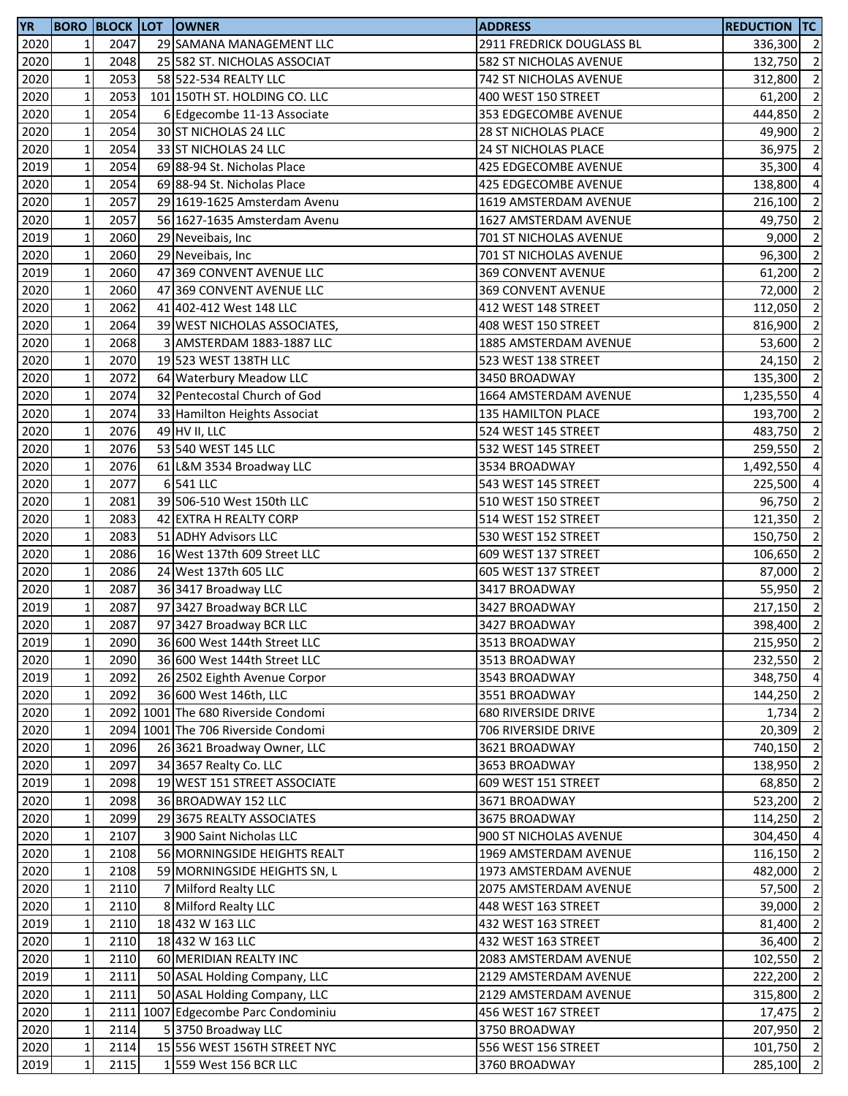| <b>YR</b> |                            |      | <b>BORO BLOCK LOT OWNER</b>         | <b>ADDRESS</b>              | <b>REDUCTION TC</b> |                          |
|-----------|----------------------------|------|-------------------------------------|-----------------------------|---------------------|--------------------------|
| 2020      | $\mathbf{1}$               | 2047 | 29 SAMANA MANAGEMENT LLC            | 2911 FREDRICK DOUGLASS BL   | 336,300 2           |                          |
| 2020      | $1\overline{ }$            | 2048 | 25 582 ST. NICHOLAS ASSOCIAT        | 582 ST NICHOLAS AVENUE      | 132,750             | $\overline{2}$           |
| 2020      | $\mathbf{1}$               | 2053 | 58 522-534 REALTY LLC               | 742 ST NICHOLAS AVENUE      | 312,800             | $\overline{2}$           |
| 2020      | $\mathbf{1}$               | 2053 | 101 150TH ST. HOLDING CO. LLC       | 400 WEST 150 STREET         | 61,200              | $\overline{2}$           |
| 2020      | $\mathbf{1}$               | 2054 | 6 Edgecombe 11-13 Associate         | 353 EDGECOMBE AVENUE        | 444,850             | $\overline{2}$           |
| 2020      | $1\,$                      | 2054 | 30 ST NICHOLAS 24 LLC               | <b>28 ST NICHOLAS PLACE</b> | 49,900              | $\overline{2}$           |
| 2020      | $\mathbf 1$                | 2054 | 33 ST NICHOLAS 24 LLC               | 24 ST NICHOLAS PLACE        | 36,975              | $\overline{2}$           |
| 2019      | $\mathbf 1$                | 2054 | 69 88-94 St. Nicholas Place         | 425 EDGECOMBE AVENUE        | 35,300              | $\overline{4}$           |
| 2020      | $\mathbf 1$                | 2054 | 69 88-94 St. Nicholas Place         | 425 EDGECOMBE AVENUE        | 138,800             | $\overline{a}$           |
| 2020      | $1\overline{ }$            | 2057 | 29 1619-1625 Amsterdam Avenu        | 1619 AMSTERDAM AVENUE       | 216,100             | $\overline{2}$           |
| 2020      | $\mathbf 1$                | 2057 | 56 1627-1635 Amsterdam Avenu        | 1627 AMSTERDAM AVENUE       | 49,750              | $\overline{2}$           |
|           | $\mathbf 1$                | 2060 |                                     |                             |                     | $\overline{2}$           |
| 2019      |                            |      | 29 Neveibais, Inc.                  | 701 ST NICHOLAS AVENUE      | 9,000               |                          |
| 2020      | $\mathbf 1$                | 2060 | 29 Neveibais, Inc.                  | 701 ST NICHOLAS AVENUE      | 96,300              | $\overline{2}$           |
| 2019      | $\mathbf 1$                | 2060 | 47 369 CONVENT AVENUE LLC           | 369 CONVENT AVENUE          | 61,200              | $\overline{2}$           |
| 2020      | $\mathbf 1$                | 2060 | 47 369 CONVENT AVENUE LLC           | 369 CONVENT AVENUE          | 72,000              | $\overline{2}$           |
| 2020      | $\mathbf 1$                | 2062 | 41 402-412 West 148 LLC             | 412 WEST 148 STREET         | 112,050             | $\overline{2}$           |
| 2020      | $\mathbf 1$                | 2064 | 39 WEST NICHOLAS ASSOCIATES,        | 408 WEST 150 STREET         | 816,900             | $\overline{2}$           |
| 2020      | $1\overline{ }$            | 2068 | 3 AMSTERDAM 1883-1887 LLC           | 1885 AMSTERDAM AVENUE       | 53,600              | $\overline{2}$           |
| 2020      | $\mathbf 1$                | 2070 | 19 523 WEST 138TH LLC               | 523 WEST 138 STREET         | 24,150              | $\overline{2}$           |
| 2020      | $\mathbf 1$                | 2072 | 64 Waterbury Meadow LLC             | 3450 BROADWAY               | 135,300             | $\overline{2}$           |
| 2020      | $\mathbf 1$                | 2074 | 32 Pentecostal Church of God        | 1664 AMSTERDAM AVENUE       | 1,235,550           | $\overline{a}$           |
| 2020      | $1\overline{ }$            | 2074 | 33 Hamilton Heights Associat        | 135 HAMILTON PLACE          | 193,700             | $\overline{2}$           |
| 2020      | $1\,$                      | 2076 | 49 HV II, LLC                       | 524 WEST 145 STREET         | 483,750             | $\overline{2}$           |
| 2020      | $\mathbf 1$                | 2076 | 53 540 WEST 145 LLC                 | 532 WEST 145 STREET         | 259,550             | $\overline{2}$           |
| 2020      | $\mathbf 1$                | 2076 | 61 L&M 3534 Broadway LLC            | 3534 BROADWAY               | 1,492,550           | $\overline{4}$           |
| 2020      | $\mathbf{1}$               | 2077 | 6 541 LLC                           | 543 WEST 145 STREET         | 225,500             | $\overline{4}$           |
| 2020      | $\mathbf{1}$               | 2081 | 39 506-510 West 150th LLC           | 510 WEST 150 STREET         | 96,750              | $\overline{2}$           |
| 2020      | $\mathbf 1$                | 2083 | 42 EXTRA H REALTY CORP              | 514 WEST 152 STREET         | 121,350             | $\overline{2}$           |
| 2020      | $1\,$                      | 2083 | 51 ADHY Advisors LLC                | 530 WEST 152 STREET         | 150,750             | $\overline{2}$           |
| 2020      | $\mathbf{1}$               | 2086 | 16 West 137th 609 Street LLC        | 609 WEST 137 STREET         | 106,650             | $\overline{2}$           |
| 2020      | $\mathbf 1$                | 2086 | 24 West 137th 605 LLC               | 605 WEST 137 STREET         | 87,000              | $\overline{2}$           |
| 2020      | $\mathbf{1}$               | 2087 | 36 3417 Broadway LLC                | 3417 BROADWAY               | 55,950 2            |                          |
|           |                            | 2087 |                                     |                             |                     | $\overline{2}$           |
| 2019      | $\mathbf 1$<br>$\mathbf 1$ |      | 97 3427 Broadway BCR LLC            | 3427 BROADWAY               | 217,150             | $\overline{2}$           |
| 2020      |                            | 2087 | 97 3427 Broadway BCR LLC            | 3427 BROADWAY               | 398,400             |                          |
| 2019      | $1\vert$                   | 2090 | 36 600 West 144th Street LLC        | 3513 BROADWAY               | 215,950 2           |                          |
| 2020      | $\mathbf 1$                | 2090 | 36 600 West 144th Street LLC        | 3513 BROADWAY               | 232,550 2           |                          |
| 2019      | $\mathbf{1}$               | 2092 | 26 2502 Eighth Avenue Corpor        | 3543 BROADWAY               | 348,750             | $\overline{4}$           |
| 2020      | $1\overline{ }$            | 2092 | 36 600 West 146th, LLC              | 3551 BROADWAY               | 144,250 2           |                          |
| 2020      | $1\,$                      |      | 2092 1001 The 680 Riverside Condomi | <b>680 RIVERSIDE DRIVE</b>  | 1,734               | $\overline{2}$           |
| 2020      | $\mathbf 1$                |      | 2094 1001 The 706 Riverside Condomi | 706 RIVERSIDE DRIVE         | 20,309              | $\overline{2}$           |
| 2020      | $1\overline{ }$            | 2096 | 26 3621 Broadway Owner, LLC         | 3621 BROADWAY               | 740,150             | $\overline{2}$           |
| 2020      | $\mathbf{1}$               | 2097 | 34 3657 Realty Co. LLC              | 3653 BROADWAY               | 138,950             | $\overline{2}$           |
| 2019      | $1\overline{ }$            | 2098 | 19 WEST 151 STREET ASSOCIATE        | 609 WEST 151 STREET         | 68,850              | $\overline{2}$           |
| 2020      | $\mathbf 1$                | 2098 | 36 BROADWAY 152 LLC                 | 3671 BROADWAY               | 523,200 2           |                          |
| 2020      | $1\overline{ }$            | 2099 | 29 3675 REALTY ASSOCIATES           | 3675 BROADWAY               | 114,250             | $\overline{2}$           |
| 2020      | $\mathbf{1}$               | 2107 | 3 900 Saint Nicholas LLC            | 900 ST NICHOLAS AVENUE      | 304,450 4           |                          |
| 2020      | $1\overline{ }$            | 2108 | 56 MORNINGSIDE HEIGHTS REALT        | 1969 AMSTERDAM AVENUE       | 116,150 2           |                          |
| 2020      | $\mathbf{1}$               | 2108 | 59 MORNINGSIDE HEIGHTS SN, L        | 1973 AMSTERDAM AVENUE       | 482,000 2           |                          |
| 2020      | $\mathbf 1$                | 2110 | 7 Milford Realty LLC                | 2075 AMSTERDAM AVENUE       | 57,500 2            |                          |
| 2020      | $1\overline{ }$            | 2110 | 8 Milford Realty LLC                | 448 WEST 163 STREET         | 39,000              | $\overline{2}$           |
| 2019      | $\mathbf{1}$               | 2110 | 18 432 W 163 LLC                    | 432 WEST 163 STREET         | 81,400              | $\overline{2}$           |
| 2020      | $\mathbf{1}$               | 2110 | 18 432 W 163 LLC                    | 432 WEST 163 STREET         | 36,400              | $\overline{\phantom{a}}$ |
| 2020      | $1\,$                      | 2110 | 60 MERIDIAN REALTY INC              | 2083 AMSTERDAM AVENUE       | 102,550             | $\overline{2}$           |
| 2019      | $1\overline{ }$            | 2111 | 50 ASAL Holding Company, LLC        | 2129 AMSTERDAM AVENUE       | 222,200 2           |                          |
| 2020      | $\mathbf{1}$               | 2111 | 50 ASAL Holding Company, LLC        | 2129 AMSTERDAM AVENUE       | 315,800 2           |                          |
| 2020      | $1\,$                      |      | 2111 1007 Edgecombe Parc Condominiu |                             | 17,475 2            |                          |
|           |                            |      |                                     | 456 WEST 167 STREET         |                     |                          |
| 2020      | $\mathbf 1$                | 2114 | 53750 Broadway LLC                  | 3750 BROADWAY               | 207,950 2           |                          |
| 2020      | $\mathbf 1$                | 2114 | 15 556 WEST 156TH STREET NYC        | 556 WEST 156 STREET         | 101,750 2           |                          |
| 2019      | $\mathbf 1$                | 2115 | 1 559 West 156 BCR LLC              | 3760 BROADWAY               | 285,100             | $\overline{2}$           |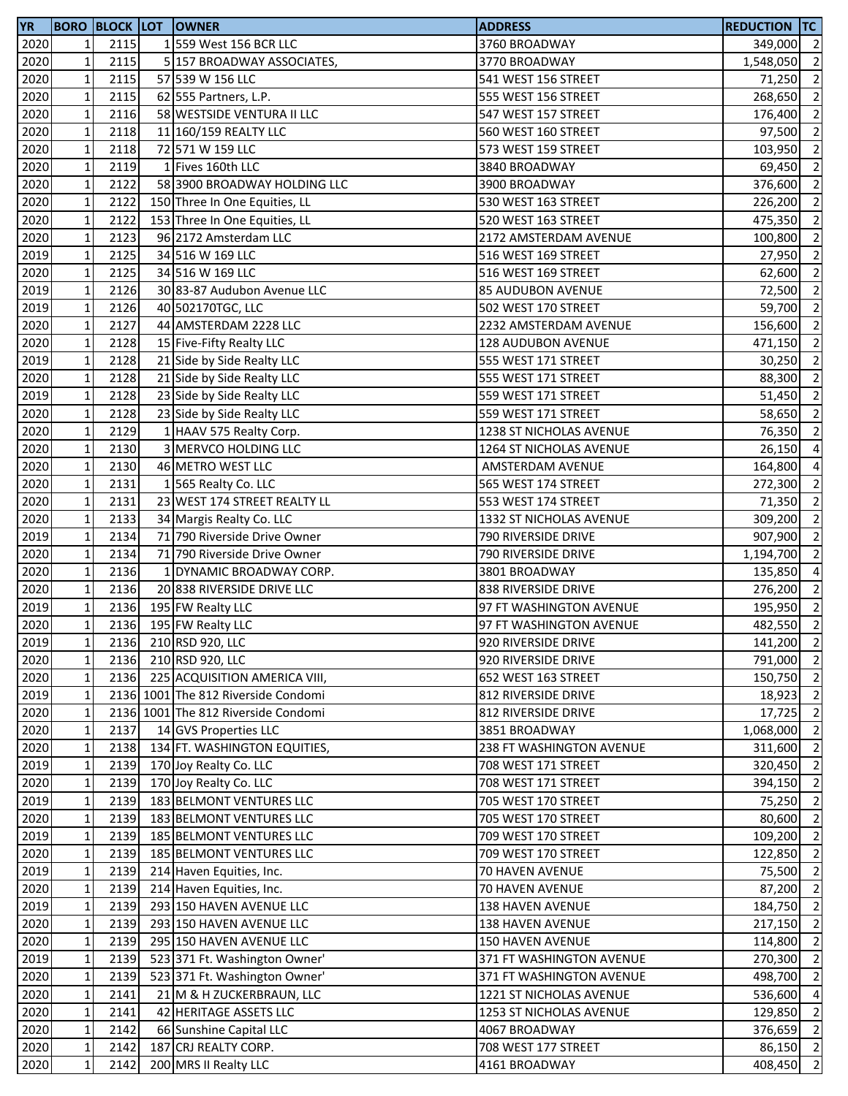| <b>YR</b> |              |      | <b>BORO BLOCK LOT OWNER</b>         | <b>ADDRESS</b>           | <b>REDUCTION TC</b> |                |
|-----------|--------------|------|-------------------------------------|--------------------------|---------------------|----------------|
| 2020      | 1            | 2115 | 1 559 West 156 BCR LLC              | 3760 BROADWAY            | 349,000 2           |                |
| 2020      | $\mathbf 1$  | 2115 | 5 157 BROADWAY ASSOCIATES,          | 3770 BROADWAY            | 1,548,050           | $\overline{2}$ |
| 2020      | $\mathbf 1$  | 2115 | 57 539 W 156 LLC                    | 541 WEST 156 STREET      | 71,250              | $\overline{2}$ |
| 2020      | $\mathbf 1$  | 2115 | 62 555 Partners, L.P.               | 555 WEST 156 STREET      | 268,650             | $\overline{2}$ |
| 2020      | $\mathbf 1$  | 2116 | 58 WESTSIDE VENTURA II LLC          | 547 WEST 157 STREET      | 176,400             | $\overline{2}$ |
| 2020      | $\mathbf 1$  | 2118 | 11 160/159 REALTY LLC               | 560 WEST 160 STREET      | 97,500              | $\overline{2}$ |
| 2020      | $\mathbf 1$  | 2118 | 72 571 W 159 LLC                    | 573 WEST 159 STREET      | 103,950             | $\overline{2}$ |
| 2020      | $\mathbf 1$  | 2119 | 1 Fives 160th LLC                   | 3840 BROADWAY            | 69,450              | $\overline{2}$ |
| 2020      | $\mathbf 1$  | 2122 | 58 3900 BROADWAY HOLDING LLC        | 3900 BROADWAY            | 376,600             | $\overline{2}$ |
| 2020      | $\mathbf 1$  | 2122 | 150 Three In One Equities, LL       | 530 WEST 163 STREET      | 226,200             | $\overline{2}$ |
| 2020      | $\mathbf 1$  | 2122 | 153 Three In One Equities, LL       | 520 WEST 163 STREET      | 475,350             | $\overline{2}$ |
| 2020      | $\mathbf 1$  | 2123 | 96 2172 Amsterdam LLC               | 2172 AMSTERDAM AVENUE    | 100,800             | $\overline{2}$ |
| 2019      | $\mathbf 1$  | 2125 | 34 516 W 169 LLC                    | 516 WEST 169 STREET      | 27,950              | $\overline{2}$ |
| 2020      | $\mathbf 1$  | 2125 | 34 516 W 169 LLC                    | 516 WEST 169 STREET      | 62,600              | $\overline{2}$ |
| 2019      | $\mathbf 1$  | 2126 | 30 83-87 Audubon Avenue LLC         | <b>85 AUDUBON AVENUE</b> | 72,500              | $\overline{2}$ |
| 2019      | $\mathbf 1$  | 2126 | 40 502170TGC, LLC                   | 502 WEST 170 STREET      | 59,700              | $\overline{2}$ |
| 2020      | $\mathbf 1$  | 2127 | 44 AMSTERDAM 2228 LLC               | 2232 AMSTERDAM AVENUE    | 156,600             | $\overline{2}$ |
| 2020      | $\mathbf 1$  | 2128 | 15 Five-Fifty Realty LLC            |                          |                     | $\overline{2}$ |
|           |              | 2128 |                                     | 128 AUDUBON AVENUE       | 471,150             | $\overline{2}$ |
| 2019      | $\mathbf 1$  |      | 21 Side by Side Realty LLC          | 555 WEST 171 STREET      | 30,250              |                |
| 2020      | $\mathbf 1$  | 2128 | 21 Side by Side Realty LLC          | 555 WEST 171 STREET      | 88,300              | $\overline{2}$ |
| 2019      | $\mathbf 1$  | 2128 | 23 Side by Side Realty LLC          | 559 WEST 171 STREET      | 51,450              | $\overline{2}$ |
| 2020      | $\mathbf 1$  | 2128 | 23 Side by Side Realty LLC          | 559 WEST 171 STREET      | 58,650 2            |                |
| 2020      | $\mathbf 1$  | 2129 | 1 HAAV 575 Realty Corp.             | 1238 ST NICHOLAS AVENUE  | 76,350              | $\overline{2}$ |
| 2020      | $\mathbf 1$  | 2130 | 3 MERVCO HOLDING LLC                | 1264 ST NICHOLAS AVENUE  | 26,150              | $\overline{4}$ |
| 2020      | $\mathbf 1$  | 2130 | 46 METRO WEST LLC                   | AMSTERDAM AVENUE         | 164,800             | $\overline{4}$ |
| 2020      | $\mathbf 1$  | 2131 | 1565 Realty Co. LLC                 | 565 WEST 174 STREET      | 272,300             | $\overline{2}$ |
| 2020      | $\mathbf 1$  | 2131 | 23 WEST 174 STREET REALTY LL        | 553 WEST 174 STREET      | 71,350              | $\overline{2}$ |
| 2020      | $\mathbf 1$  | 2133 | 34 Margis Realty Co. LLC            | 1332 ST NICHOLAS AVENUE  | 309,200             | $\overline{2}$ |
| 2019      | $\mathbf 1$  | 2134 | 71 790 Riverside Drive Owner        | 790 RIVERSIDE DRIVE      | 907,900             | $\overline{2}$ |
| 2020      | $\mathbf 1$  | 2134 | 71 790 Riverside Drive Owner        | 790 RIVERSIDE DRIVE      | 1,194,700 2         |                |
| 2020      | $\mathbf 1$  | 2136 | 1 DYNAMIC BROADWAY CORP.            | 3801 BROADWAY            | 135,850             | $\overline{4}$ |
| 2020      | $\mathbf 1$  | 2136 | 20 838 RIVERSIDE DRIVE LLC          | 838 RIVERSIDE DRIVE      | 276,200             | $\overline{2}$ |
| 2019      | $\mathbf 1$  | 2136 | 195 FW Realty LLC                   | 97 FT WASHINGTON AVENUE  | 195,950             | $\overline{2}$ |
| 2020      | $\mathbf 1$  | 2136 | 195 FW Realty LLC                   | 97 FT WASHINGTON AVENUE  | 482,550 2           |                |
| 2019      | $1\vert$     | 2136 | 210 RSD 920, LLC                    | 920 RIVERSIDE DRIVE      | 141,200 2           |                |
| 2020      | $\mathbf 1$  | 2136 | 210 RSD 920, LLC                    | 920 RIVERSIDE DRIVE      | 791,000 2           |                |
| 2020      | $\mathbf 1$  | 2136 | 225 ACQUISITION AMERICA VIII,       | 652 WEST 163 STREET      | 150,750 2           |                |
| 2019      | $\mathbf 1$  |      | 2136 1001 The 812 Riverside Condomi | 812 RIVERSIDE DRIVE      | 18,923 2            |                |
| 2020      | $\mathbf 1$  |      | 2136 1001 The 812 Riverside Condomi | 812 RIVERSIDE DRIVE      | $17,725$ 2          |                |
| 2020      | $\mathbf 1$  | 2137 | 14 GVS Properties LLC               | 3851 BROADWAY            | 1,068,000           | $\overline{2}$ |
| 2020      | $\mathbf 1$  | 2138 | 134 FT. WASHINGTON EQUITIES,        | 238 FT WASHINGTON AVENUE | 311,600             | $\overline{2}$ |
| 2019      | $\mathbf 1$  | 2139 | 170 Joy Realty Co. LLC              | 708 WEST 171 STREET      | 320,450             | $\overline{2}$ |
| 2020      | $\mathbf 1$  | 2139 | 170 Joy Realty Co. LLC              | 708 WEST 171 STREET      | 394,150             | $\overline{2}$ |
| 2019      | $\mathbf 1$  | 2139 | 183 BELMONT VENTURES LLC            | 705 WEST 170 STREET      | 75,250              | $\overline{2}$ |
| 2020      | $\mathbf 1$  | 2139 | 183 BELMONT VENTURES LLC            | 705 WEST 170 STREET      | 80,600              | $\overline{2}$ |
| 2019      | $\mathbf 1$  | 2139 | 185 BELMONT VENTURES LLC            | 709 WEST 170 STREET      | 109,200 2           |                |
| 2020      | $\mathbf{1}$ | 2139 | 185 BELMONT VENTURES LLC            | 709 WEST 170 STREET      | 122,850 2           |                |
| 2019      | $\mathbf{1}$ | 2139 | 214 Haven Equities, Inc.            | 70 HAVEN AVENUE          | 75,500              | $\overline{2}$ |
| 2020      | $\mathbf 1$  | 2139 | 214 Haven Equities, Inc.            | 70 HAVEN AVENUE          | 87,200              | $\overline{2}$ |
| 2019      | $\mathbf{1}$ | 2139 | 293 150 HAVEN AVENUE LLC            | 138 HAVEN AVENUE         | 184,750             | $\overline{2}$ |
| 2020      | $\mathbf{1}$ | 2139 | 293 150 HAVEN AVENUE LLC            | 138 HAVEN AVENUE         | 217,150             | $\overline{2}$ |
| 2020      | $\mathbf{1}$ | 2139 | 295 150 HAVEN AVENUE LLC            | <b>150 HAVEN AVENUE</b>  | 114,800             | $\overline{2}$ |
| 2019      | $\mathbf 1$  | 2139 | 523 371 Ft. Washington Owner'       | 371 FT WASHINGTON AVENUE | 270,300             | $\overline{2}$ |
| 2020      | $\mathbf 1$  | 2139 | 523 371 Ft. Washington Owner'       | 371 FT WASHINGTON AVENUE | 498,700             | $\overline{2}$ |
| 2020      | $\mathbf 1$  | 2141 | 21 M & H ZUCKERBRAUN, LLC           | 1221 ST NICHOLAS AVENUE  | 536,600 4           |                |
| 2020      | $\mathbf 1$  | 2141 | 42 HERITAGE ASSETS LLC              | 1253 ST NICHOLAS AVENUE  | 129,850             | $\overline{2}$ |
| 2020      | $\mathbf 1$  | 2142 | 66 Sunshine Capital LLC             | 4067 BROADWAY            | 376,659             | $\overline{2}$ |
|           | $\mathbf 1$  |      | 187 CRJ REALTY CORP.                | 708 WEST 177 STREET      | 86,150 2            |                |
| 2020      |              | 2142 |                                     |                          |                     | $\overline{2}$ |
| 2020      | $\mathbf 1$  | 2142 | 200 MRS II Realty LLC               | 4161 BROADWAY            | 408,450             |                |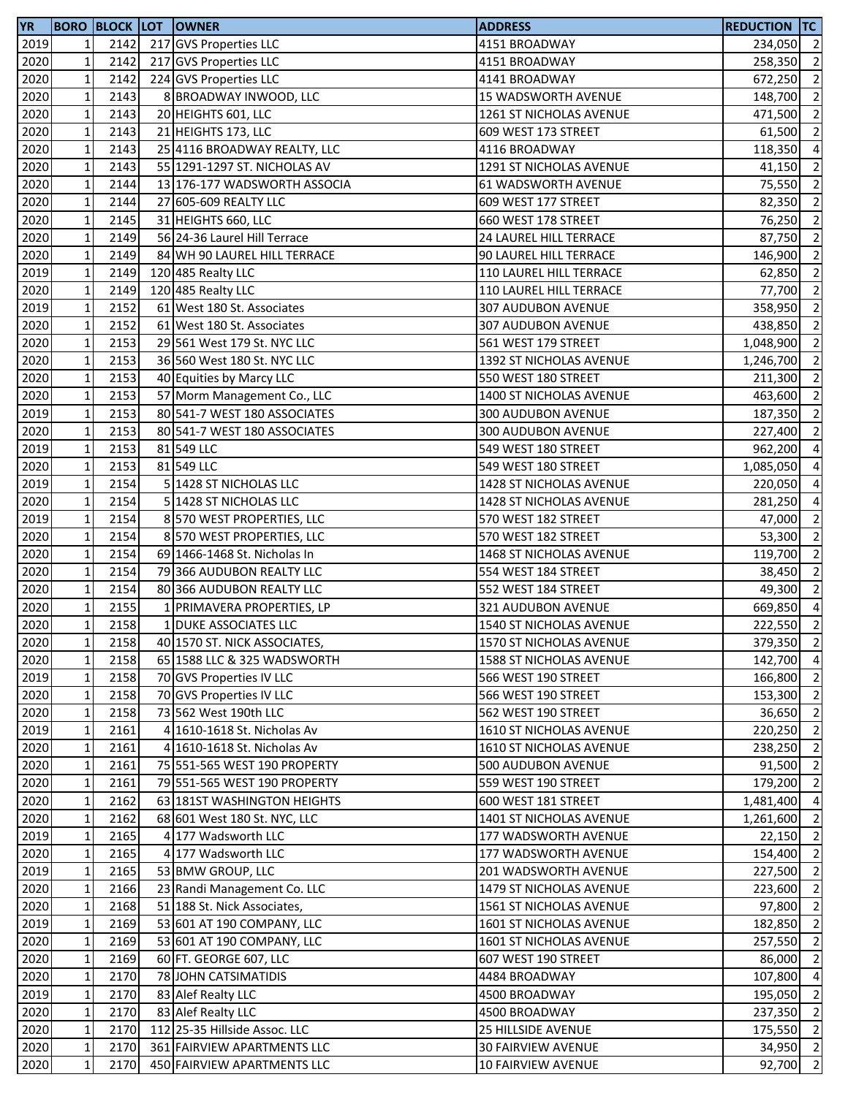| <b>YR</b>         |              |      | <b>BORO BLOCK LOT OWNER</b>   | <b>ADDRESS</b>            | <b>REDUCTION TC</b> |                |
|-------------------|--------------|------|-------------------------------|---------------------------|---------------------|----------------|
| 2019              | $\mathbf{1}$ | 2142 | 217 GVS Properties LLC        | 4151 BROADWAY             | 234,050 2           |                |
| 2020              | $\mathbf 1$  | 2142 | 217 GVS Properties LLC        | 4151 BROADWAY             | 258,350             | $\overline{2}$ |
| 2020              | $\mathbf 1$  | 2142 | 224 GVS Properties LLC        | 4141 BROADWAY             | 672,250             | $\overline{2}$ |
| 2020              | $\mathbf 1$  | 2143 | 8 BROADWAY INWOOD, LLC        | 15 WADSWORTH AVENUE       | 148,700 2           |                |
| 2020              | $\mathbf 1$  | 2143 | 20 HEIGHTS 601, LLC           | 1261 ST NICHOLAS AVENUE   | 471,500             | $\overline{2}$ |
| 2020              | $\mathbf 1$  | 2143 | 21 HEIGHTS 173, LLC           | 609 WEST 173 STREET       | 61,500              | $\overline{2}$ |
| 2020              | $\mathbf 1$  | 2143 | 25 4116 BROADWAY REALTY, LLC  | 4116 BROADWAY             | 118,350             | $\overline{4}$ |
| 2020              | $\mathbf 1$  | 2143 | 55 1291-1297 ST. NICHOLAS AV  | 1291 ST NICHOLAS AVENUE   | 41,150              | $\overline{2}$ |
| 2020              | $\mathbf 1$  | 2144 | 13 176-177 WADSWORTH ASSOCIA  | 61 WADSWORTH AVENUE       | 75,550              | $\overline{2}$ |
| 2020              | $\mathbf 1$  | 2144 | 27 605-609 REALTY LLC         | 609 WEST 177 STREET       | 82,350              | $\overline{2}$ |
| 2020              | $\mathbf 1$  | 2145 | 31 HEIGHTS 660, LLC           | 660 WEST 178 STREET       | 76,250              | $\overline{2}$ |
| 2020              | $\mathbf 1$  | 2149 | 56 24-36 Laurel Hill Terrace  | 24 LAUREL HILL TERRACE    | 87,750              | $\overline{2}$ |
| 2020              | $\mathbf 1$  | 2149 | 84 WH 90 LAUREL HILL TERRACE  | 90 LAUREL HILL TERRACE    | 146,900             | $\overline{2}$ |
| 2019              | $\mathbf 1$  | 2149 | 120 485 Realty LLC            | 110 LAUREL HILL TERRACE   | 62,850              | $\overline{2}$ |
| 2020              | $\mathbf 1$  | 2149 | 120 485 Realty LLC            | 110 LAUREL HILL TERRACE   | 77,700              | $\overline{2}$ |
| 2019              | $\mathbf 1$  | 2152 | 61 West 180 St. Associates    | 307 AUDUBON AVENUE        | 358,950             | $\overline{2}$ |
| 2020              | $\mathbf 1$  | 2152 | 61 West 180 St. Associates    | 307 AUDUBON AVENUE        | 438,850             | $\overline{2}$ |
| 2020              | $\mathbf{1}$ | 2153 | 29 561 West 179 St. NYC LLC   | 561 WEST 179 STREET       |                     | $\overline{2}$ |
|                   | $\mathbf 1$  | 2153 | 36 560 West 180 St. NYC LLC   |                           | 1,048,900           | $\overline{2}$ |
| 2020              |              |      |                               | 1392 ST NICHOLAS AVENUE   | 1,246,700           |                |
| 2020              | $\mathbf 1$  | 2153 | 40 Equities by Marcy LLC      | 550 WEST 180 STREET       | 211,300             | $\overline{2}$ |
| $\overline{2020}$ | $\mathbf 1$  | 2153 | 57 Morm Management Co., LLC   | 1400 ST NICHOLAS AVENUE   | 463,600 2           |                |
| 2019              | $\mathbf 1$  | 2153 | 80 541-7 WEST 180 ASSOCIATES  | 300 AUDUBON AVENUE        | 187,350             | $\overline{2}$ |
| 2020              | $\mathbf 1$  | 2153 | 80 541-7 WEST 180 ASSOCIATES  | 300 AUDUBON AVENUE        | 227,400             | $\overline{2}$ |
| 2019              | $\mathbf 1$  | 2153 | 81 549 LLC                    | 549 WEST 180 STREET       | 962,200             | $\overline{4}$ |
| 2020              | $\mathbf 1$  | 2153 | 81 549 LLC                    | 549 WEST 180 STREET       | 1,085,050           | $\overline{4}$ |
| 2019              | $\mathbf 1$  | 2154 | 5 1428 ST NICHOLAS LLC        | 1428 ST NICHOLAS AVENUE   | 220,050             | $\overline{4}$ |
| 2020              | $\mathbf 1$  | 2154 | 5 1428 ST NICHOLAS LLC        | 1428 ST NICHOLAS AVENUE   | 281,250             | $\overline{a}$ |
| 2019              | $\mathbf 1$  | 2154 | 8 570 WEST PROPERTIES, LLC    | 570 WEST 182 STREET       | 47,000              | $\overline{2}$ |
| 2020              | $\mathbf 1$  | 2154 | 8 570 WEST PROPERTIES, LLC    | 570 WEST 182 STREET       | 53,300              | $\overline{2}$ |
| 2020              | $\mathbf 1$  | 2154 | 69 1466-1468 St. Nicholas In  | 1468 ST NICHOLAS AVENUE   | 119,700             | $\overline{2}$ |
| 2020              | $\mathbf 1$  | 2154 | 79 366 AUDUBON REALTY LLC     | 554 WEST 184 STREET       | 38,450              | $\overline{2}$ |
| 2020              | $\mathbf 1$  | 2154 | 80 366 AUDUBON REALTY LLC     | 552 WEST 184 STREET       | 49,300              | $\overline{2}$ |
| 2020              | $\mathbf 1$  | 2155 | 1 PRIMAVERA PROPERTIES, LP    | 321 AUDUBON AVENUE        | 669,850             | $\overline{4}$ |
| 2020              | $\mathbf 1$  | 2158 | 1 DUKE ASSOCIATES LLC         | 1540 ST NICHOLAS AVENUE   | 222,550             | $\overline{2}$ |
| 2020              | 11           | 2158 | 40 1570 ST. NICK ASSOCIATES,  | 1570 ST NICHOLAS AVENUE   | 379,350 2           |                |
| 2020              | $\mathbf 1$  | 2158 | 65 1588 LLC & 325 WADSWORTH   | 1588 ST NICHOLAS AVENUE   | 142,700 4           |                |
| 2019              | $\mathbf 1$  | 2158 | 70 GVS Properties IV LLC      | 566 WEST 190 STREET       | 166,800 2           |                |
| 2020              | $\mathbf 1$  | 2158 | 70 GVS Properties IV LLC      | 566 WEST 190 STREET       | 153,300 2           |                |
| 2020              | $\mathbf 1$  | 2158 | 73 562 West 190th LLC         | 562 WEST 190 STREET       | 36,650 2            |                |
| 2019              | $\mathbf 1$  | 2161 | 4 1610-1618 St. Nicholas Av   | 1610 ST NICHOLAS AVENUE   | 220,250 2           |                |
| 2020              | $\mathbf 1$  | 2161 | 4 1610-1618 St. Nicholas Av   | 1610 ST NICHOLAS AVENUE   | 238,250             | $\overline{2}$ |
| 2020              | $\mathbf{1}$ | 2161 | 75 551-565 WEST 190 PROPERTY  | 500 AUDUBON AVENUE        | 91,500              | $\overline{2}$ |
| 2020              | $\mathbf 1$  | 2161 | 79 551-565 WEST 190 PROPERTY  | 559 WEST 190 STREET       | 179,200             | $\overline{2}$ |
| 2020              | $\mathbf 1$  | 2162 | 63 181ST WASHINGTON HEIGHTS   | 600 WEST 181 STREET       | 1,481,400           | $\overline{4}$ |
| 2020              | $\mathbf{1}$ | 2162 | 68 601 West 180 St. NYC, LLC  | 1401 ST NICHOLAS AVENUE   | 1,261,600           | $\overline{2}$ |
| 2019              | $\mathbf{1}$ | 2165 | 4 177 Wadsworth LLC           | 177 WADSWORTH AVENUE      | $22,150$ 2          |                |
| 2020              | $\mathbf 1$  | 2165 | 4 177 Wadsworth LLC           | 177 WADSWORTH AVENUE      | 154,400 2           |                |
| 2019              | $\mathbf 1$  | 2165 | 53 BMW GROUP, LLC             | 201 WADSWORTH AVENUE      | 227,500             | $\overline{2}$ |
| 2020              | $\mathbf{1}$ | 2166 | 23 Randi Management Co. LLC   | 1479 ST NICHOLAS AVENUE   | 223,600             | $\overline{2}$ |
| 2020              | $\mathbf{1}$ | 2168 | 51 188 St. Nick Associates,   | 1561 ST NICHOLAS AVENUE   | 97,800              | $\overline{2}$ |
| 2019              | $\mathbf{1}$ | 2169 | 53 601 AT 190 COMPANY, LLC    | 1601 ST NICHOLAS AVENUE   | 182,850             | $\overline{2}$ |
| 2020              | $\mathbf 1$  | 2169 | 53 601 AT 190 COMPANY, LLC    | 1601 ST NICHOLAS AVENUE   | 257,550             | $\overline{2}$ |
| 2020              | $\mathbf 1$  | 2169 | 60 FT. GEORGE 607, LLC        | 607 WEST 190 STREET       | 86,000              | $\overline{2}$ |
| 2020              | $\mathbf 1$  | 2170 | 78 JOHN CATSIMATIDIS          | 4484 BROADWAY             | 107,800 4           |                |
| 2019              | $\mathbf 1$  | 2170 | 83 Alef Realty LLC            | 4500 BROADWAY             | 195,050             | $\overline{2}$ |
| 2020              | $\mathbf 1$  | 2170 | 83 Alef Realty LLC            | 4500 BROADWAY             | 237,350             | $\overline{2}$ |
| 2020              | $\mathbf 1$  | 2170 | 112 25-35 Hillside Assoc. LLC | <b>25 HILLSIDE AVENUE</b> | 175,550             | $\overline{2}$ |
| 2020              | $\mathbf 1$  | 2170 | 361 FAIRVIEW APARTMENTS LLC   | 30 FAIRVIEW AVENUE        | $34,950$ 2          |                |
|                   |              |      |                               |                           |                     | $\overline{2}$ |
| 2020              | $\mathbf 1$  | 2170 | 450 FAIRVIEW APARTMENTS LLC   | 10 FAIRVIEW AVENUE        | 92,700              |                |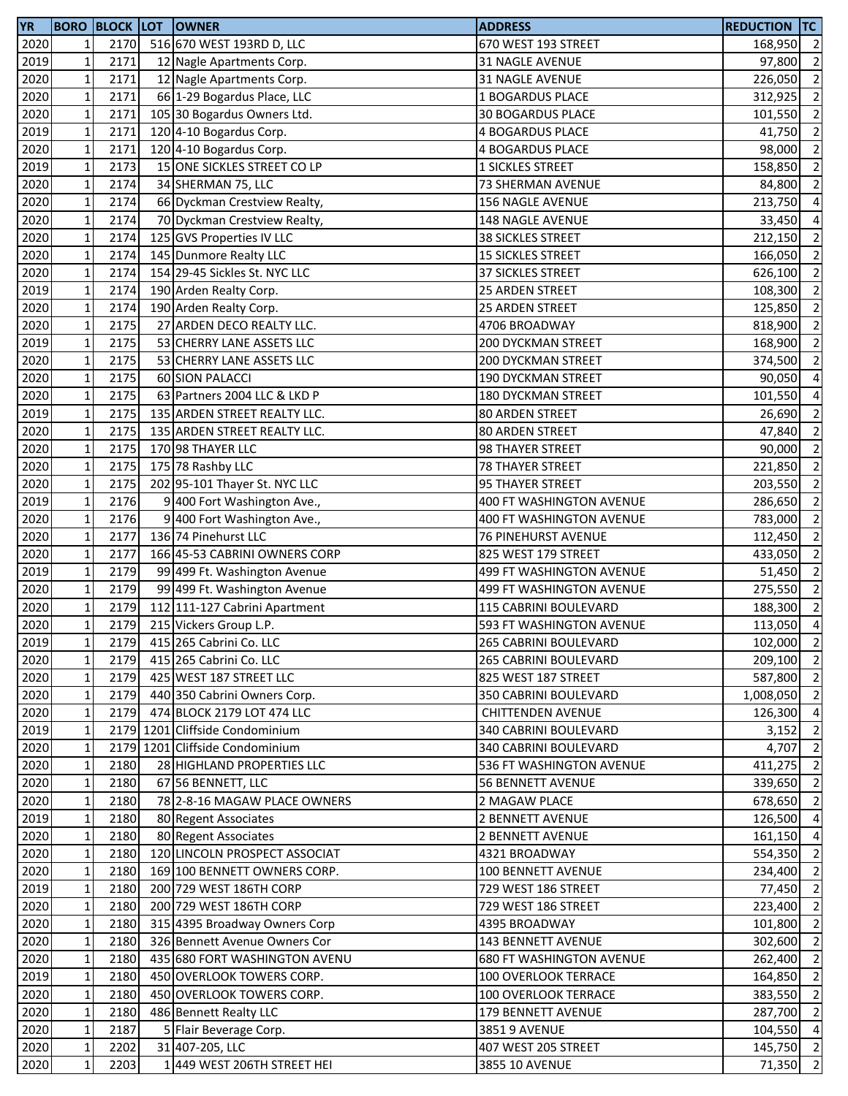| <b>YR</b>    |              |      | <b>BORO BLOCK LOT OWNER</b>                     | <b>ADDRESS</b>                  | <b>REDUCTION TC</b> |                |
|--------------|--------------|------|-------------------------------------------------|---------------------------------|---------------------|----------------|
| 2020         | $\mathbf{1}$ | 2170 | 516 670 WEST 193RD D, LLC                       | 670 WEST 193 STREET             | 168,950             | $\overline{2}$ |
| 2019         | $\mathbf 1$  | 2171 | 12 Nagle Apartments Corp.                       | 31 NAGLE AVENUE                 | 97,800              | $\overline{2}$ |
| 2020         | $\mathbf 1$  | 2171 | 12 Nagle Apartments Corp.                       | 31 NAGLE AVENUE                 | 226,050             | $\overline{2}$ |
| 2020         | $\mathbf 1$  | 2171 | 66 1-29 Bogardus Place, LLC                     | 1 BOGARDUS PLACE                | 312,925             | $\overline{2}$ |
| 2020         | $\mathbf 1$  | 2171 | 105 30 Bogardus Owners Ltd.                     | <b>30 BOGARDUS PLACE</b>        | 101,550             | $\overline{2}$ |
| 2019         | $\mathbf 1$  | 2171 | 120 4-10 Bogardus Corp.                         | <b>4 BOGARDUS PLACE</b>         | 41,750              | $\overline{2}$ |
| 2020         | $\mathbf 1$  | 2171 | 120 4-10 Bogardus Corp.                         | 4 BOGARDUS PLACE                | 98,000              | $\overline{2}$ |
| 2019         | $\mathbf 1$  | 2173 | 15 ONE SICKLES STREET CO LP                     | 1 SICKLES STREET                | 158,850             | $\overline{2}$ |
| 2020         | $\mathbf 1$  | 2174 | 34 SHERMAN 75, LLC                              | 73 SHERMAN AVENUE               | 84,800              | $\overline{2}$ |
| 2020         | $\mathbf 1$  | 2174 | 66 Dyckman Crestview Realty,                    | 156 NAGLE AVENUE                | 213,750             | $\overline{4}$ |
| 2020         | $\mathbf 1$  | 2174 | 70 Dyckman Crestview Realty,                    | 148 NAGLE AVENUE                | 33,450              | $\overline{4}$ |
| 2020         | $\mathbf 1$  | 2174 | 125 GVS Properties IV LLC                       | <b>38 SICKLES STREET</b>        | 212,150             | $\overline{2}$ |
| 2020         | $\mathbf 1$  | 2174 | 145 Dunmore Realty LLC                          | <b>15 SICKLES STREET</b>        | 166,050             | $\overline{2}$ |
| 2020         | $\mathbf 1$  | 2174 | 154 29-45 Sickles St. NYC LLC                   | 37 SICKLES STREET               | 626,100             | $\overline{2}$ |
| 2019         | $\mathbf 1$  | 2174 | 190 Arden Realty Corp.                          | 25 ARDEN STREET                 | 108,300             | $\overline{2}$ |
| 2020         | $\mathbf 1$  | 2174 | 190 Arden Realty Corp.                          | 25 ARDEN STREET                 | 125,850             | $\overline{2}$ |
| 2020         | $\mathbf 1$  | 2175 | 27 ARDEN DECO REALTY LLC.                       | 4706 BROADWAY                   | 818,900             | $\overline{2}$ |
| 2019         | $\mathbf 1$  | 2175 | 53 CHERRY LANE ASSETS LLC                       | 200 DYCKMAN STREET              | 168,900             | $\overline{2}$ |
|              | $\mathbf 1$  | 2175 |                                                 |                                 |                     | $\overline{2}$ |
| 2020         |              |      | 53 CHERRY LANE ASSETS LLC                       | 200 DYCKMAN STREET              | 374,500             |                |
| 2020<br>2020 | $\mathbf 1$  | 2175 | 60 SION PALACCI<br>63 Partners 2004 LLC & LKD P | 190 DYCKMAN STREET              | 90,050              | $\overline{4}$ |
|              | $\mathbf 1$  | 2175 |                                                 | <b>180 DYCKMAN STREET</b>       | 101,550 4           |                |
| 2019         | $\mathbf 1$  | 2175 | 135 ARDEN STREET REALTY LLC.                    | <b>80 ARDEN STREET</b>          | 26,690              | $\overline{2}$ |
| 2020         | $\mathbf 1$  | 2175 | 135 ARDEN STREET REALTY LLC.                    | <b>80 ARDEN STREET</b>          | 47,840              | $\overline{2}$ |
| 2020         | $\mathbf 1$  | 2175 | 170 98 THAYER LLC                               | 98 THAYER STREET                | 90,000              | $\overline{2}$ |
| 2020         | $\mathbf 1$  | 2175 | 175 78 Rashby LLC                               | <b>78 THAYER STREET</b>         | 221,850             | $\overline{2}$ |
| 2020         | $\mathbf 1$  | 2175 | 202 95-101 Thayer St. NYC LLC                   | 95 THAYER STREET                | 203,550             | $\overline{2}$ |
| 2019         | $\mathbf 1$  | 2176 | 9 400 Fort Washington Ave.,                     | 400 FT WASHINGTON AVENUE        | 286,650             | $\overline{2}$ |
| 2020         | $\mathbf 1$  | 2176 | 9 400 Fort Washington Ave.,                     | 400 FT WASHINGTON AVENUE        | 783,000             | $\overline{2}$ |
| 2020         | $\mathbf 1$  | 2177 | 136 74 Pinehurst LLC                            | <b>76 PINEHURST AVENUE</b>      | 112,450             | $\overline{2}$ |
| 2020         | $\mathbf 1$  | 2177 | 166 45-53 CABRINI OWNERS CORP                   | 825 WEST 179 STREET             | 433,050             | $\overline{2}$ |
| 2019         | $\mathbf 1$  | 2179 | 99 499 Ft. Washington Avenue                    | 499 FT WASHINGTON AVENUE        | 51,450              | $\overline{2}$ |
| 2020         | $\mathbf 1$  | 2179 | 99 499 Ft. Washington Avenue                    | 499 FT WASHINGTON AVENUE        | 275,550             | $\overline{2}$ |
| 2020         | $\mathbf 1$  | 2179 | 112 111-127 Cabrini Apartment                   | <b>115 CABRINI BOULEVARD</b>    | 188,300             | $\overline{2}$ |
| 2020         | $\mathbf 1$  | 2179 | 215 Vickers Group L.P.                          | 593 FT WASHINGTON AVENUE        | 113,050             | $\overline{4}$ |
| 2019         | 11           | 2179 | 415 265 Cabrini Co. LLC                         | 265 CABRINI BOULEVARD           | 102,000 2           |                |
| 2020         | $\mathbf 1$  | 2179 | 415 265 Cabrini Co. LLC                         | 265 CABRINI BOULEVARD           | 209,100 2           |                |
| 2020         | $\mathbf 1$  | 2179 | 425 WEST 187 STREET LLC                         | 825 WEST 187 STREET             | 587,800 2           |                |
| 2020         | $\mathbf 1$  | 2179 | 440 350 Cabrini Owners Corp.                    | 350 CABRINI BOULEVARD           | 1,008,050 2         |                |
| 2020         | $\mathbf 1$  | 2179 | 474 BLOCK 2179 LOT 474 LLC                      | <b>CHITTENDEN AVENUE</b>        | 126,300 4           |                |
| 2019         | $\mathbf 1$  |      | 2179 1201 Cliffside Condominium                 | 340 CABRINI BOULEVARD           | 3,152               | $\overline{2}$ |
| 2020         | $\mathbf 1$  |      | 2179 1201 Cliffside Condominium                 | 340 CABRINI BOULEVARD           | 4,707 2             |                |
| 2020         | $\mathbf{1}$ | 2180 | 28 HIGHLAND PROPERTIES LLC                      | 536 FT WASHINGTON AVENUE        | 411,275             | $\overline{2}$ |
| 2020         | $\mathbf 1$  | 2180 | 67 56 BENNETT, LLC                              | <b>56 BENNETT AVENUE</b>        | 339,650 2           |                |
| 2020         | $\mathbf 1$  | 2180 | 78 2-8-16 MAGAW PLACE OWNERS                    | 2 MAGAW PLACE                   | 678,650 2           |                |
| 2019         | $\mathbf 1$  | 2180 | 80 Regent Associates                            | 2 BENNETT AVENUE                | 126,500 4           |                |
| 2020         | $\mathbf{1}$ | 2180 | 80 Regent Associates                            | 2 BENNETT AVENUE                | 161,150 4           |                |
| 2020         | $\mathbf 1$  | 2180 | 120 LINCOLN PROSPECT ASSOCIAT                   | 4321 BROADWAY                   | 554,350 2           |                |
| 2020         | $\mathbf 1$  | 2180 | 169 100 BENNETT OWNERS CORP.                    | <b>100 BENNETT AVENUE</b>       | 234,400 2           |                |
| 2019         | $\mathbf{1}$ | 2180 | 200 729 WEST 186TH CORP                         | 729 WEST 186 STREET             | 77,450              | $\overline{2}$ |
| 2020         | $\mathbf{1}$ | 2180 | 200 729 WEST 186TH CORP                         | 729 WEST 186 STREET             | 223,400             | $\overline{2}$ |
| 2020         | $\mathbf{1}$ | 2180 | 315 4395 Broadway Owners Corp                   | 4395 BROADWAY                   | 101,800             | $\overline{2}$ |
| 2020         | $\mathbf 1$  | 2180 | 326 Bennett Avenue Owners Cor                   | 143 BENNETT AVENUE              | 302,600             | $\overline{2}$ |
| 2020         | $\mathbf{1}$ | 2180 | 435 680 FORT WASHINGTON AVENU                   | <b>680 FT WASHINGTON AVENUE</b> | 262,400             | $\overline{2}$ |
| 2019         | $\mathbf 1$  | 2180 | 450 OVERLOOK TOWERS CORP.                       | <b>100 OVERLOOK TERRACE</b>     | 164,850 2           |                |
| 2020         | $\mathbf 1$  | 2180 | 450 OVERLOOK TOWERS CORP.                       | <b>100 OVERLOOK TERRACE</b>     | 383,550             | $\overline{2}$ |
| 2020         | $\mathbf 1$  | 2180 | 486 Bennett Realty LLC                          | <b>179 BENNETT AVENUE</b>       | 287,700 2           |                |
| 2020         | $\mathbf 1$  | 2187 | 5 Flair Beverage Corp.                          | 3851 9 AVENUE                   | 104,550             | $\overline{4}$ |
| 2020         | $\mathbf 1$  | 2202 | 31 407-205, LLC                                 | 407 WEST 205 STREET             | 145,750 2           |                |
|              |              |      |                                                 |                                 |                     |                |
| 2020         | $\mathbf 1$  | 2203 | 1 449 WEST 206TH STREET HEI                     | 3855 10 AVENUE                  | $71,350$ 2          |                |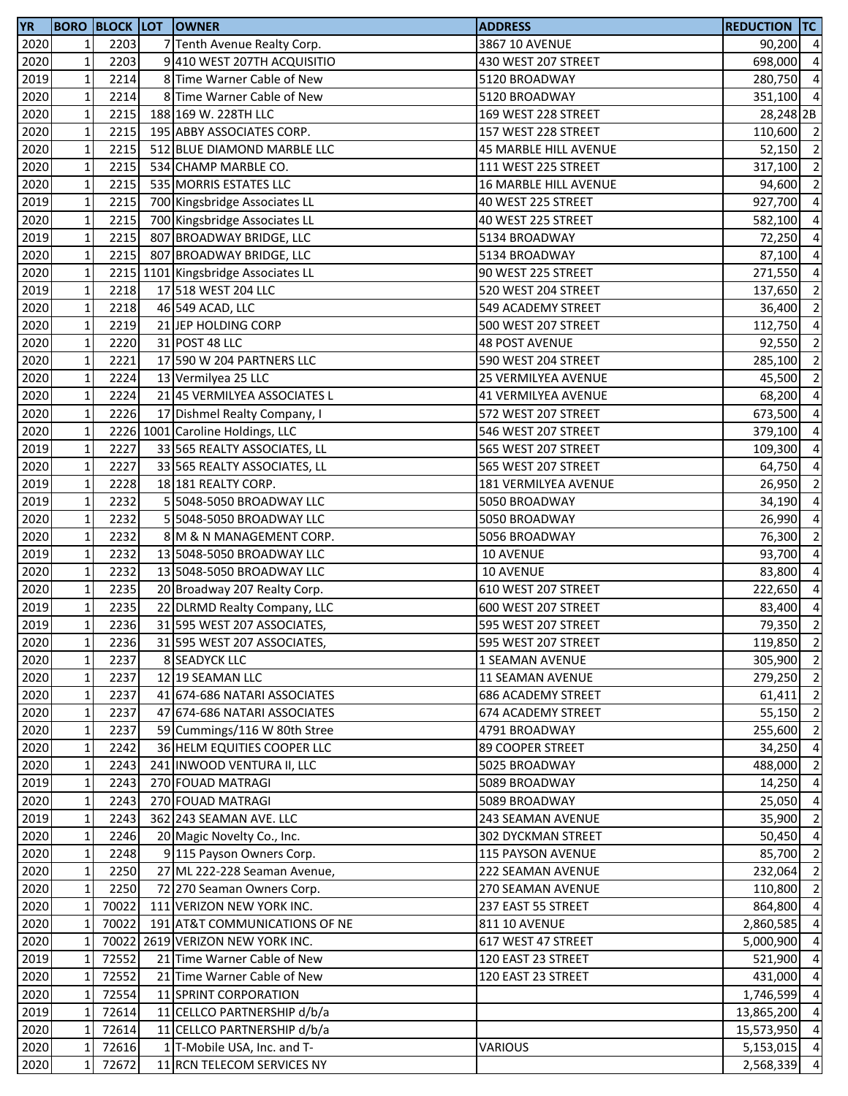| <b>YR</b>    |              |       | <b>BORO BLOCK LOT OWNER</b>                               | <b>ADDRESS</b>                          | <b>REDUCTION TC</b>  |                |
|--------------|--------------|-------|-----------------------------------------------------------|-----------------------------------------|----------------------|----------------|
| 2020         | 1            | 2203  | 7 Tenth Avenue Realty Corp.                               | 3867 10 AVENUE                          | 90,200 4             |                |
| 2020         | $\mathbf{1}$ | 2203  | 9410 WEST 207TH ACQUISITIO                                | 430 WEST 207 STREET                     | 698,000              | $\overline{4}$ |
| 2019         | $\mathbf{1}$ | 2214  | 8 Time Warner Cable of New                                | 5120 BROADWAY                           | 280,750              | $\overline{4}$ |
| 2020         | $\mathbf{1}$ | 2214  | 8 Time Warner Cable of New                                | 5120 BROADWAY                           | 351,100 4            |                |
| 2020         | $\mathbf{1}$ | 2215  | 188 169 W. 228TH LLC                                      | 169 WEST 228 STREET                     | 28,248 2B            |                |
| 2020         | $\mathbf{1}$ | 2215  | 195 ABBY ASSOCIATES CORP.                                 | 157 WEST 228 STREET                     | 110,600 2            |                |
| 2020         | $\mathbf{1}$ | 2215  | 512 BLUE DIAMOND MARBLE LLC                               | 45 MARBLE HILL AVENUE                   | 52,150               | $\overline{2}$ |
| 2020         | $\mathbf{1}$ | 2215  | 534 CHAMP MARBLE CO.                                      | 111 WEST 225 STREET                     | 317,100              | $\overline{2}$ |
| 2020         | $\mathbf{1}$ | 2215  | 535 MORRIS ESTATES LLC                                    | 16 MARBLE HILL AVENUE                   | 94,600               | $\overline{2}$ |
| 2019         | $\mathbf{1}$ | 2215  | 700 Kingsbridge Associates LL                             | 40 WEST 225 STREET                      | 927,700              | $\overline{4}$ |
| 2020         | $\mathbf 1$  | 2215  | 700 Kingsbridge Associates LL                             | 40 WEST 225 STREET                      | 582,100              | $\overline{4}$ |
| 2019         | $\mathbf{1}$ | 2215  | 807 BROADWAY BRIDGE, LLC                                  | 5134 BROADWAY                           | 72,250               | $\overline{a}$ |
| 2020         | $\mathbf{1}$ | 2215  | 807 BROADWAY BRIDGE, LLC                                  | 5134 BROADWAY                           | 87,100 4             |                |
| 2020         | $\mathbf 1$  |       | 2215 1101 Kingsbridge Associates LL                       | 90 WEST 225 STREET                      | 271,550              | $\overline{4}$ |
| 2019         | $\mathbf 1$  | 2218  | 17 518 WEST 204 LLC                                       | 520 WEST 204 STREET                     | 137,650              | $\overline{2}$ |
| 2020         | $\mathbf{1}$ | 2218  | 46 549 ACAD, LLC                                          | 549 ACADEMY STREET                      | 36,400               | $\overline{2}$ |
| 2020         | $\mathbf{1}$ | 2219  | 21 JEP HOLDING CORP                                       | 500 WEST 207 STREET                     | 112,750              | $\overline{4}$ |
| 2020         | $\mathbf{1}$ | 2220  | 31 POST 48 LLC                                            | <b>48 POST AVENUE</b>                   | 92,550               | $\overline{2}$ |
| 2020         | $\mathbf{1}$ | 2221  | 17 590 W 204 PARTNERS LLC                                 | 590 WEST 204 STREET                     | 285,100              | $\overline{2}$ |
| 2020         | $\mathbf{1}$ | 2224  | 13 Vermilyea 25 LLC                                       | <b>25 VERMILYEA AVENUE</b>              | 45,500               | $\overline{2}$ |
| 2020         | 1            | 2224  | 21 45 VERMILYEA ASSOCIATES L                              | <b>41 VERMILYEA AVENUE</b>              | 68,200               | $\overline{4}$ |
| 2020         | $\mathbf{1}$ | 2226  | 17 Dishmel Realty Company, I                              | 572 WEST 207 STREET                     | 673,500 4            |                |
| 2020         | $\mathbf{1}$ |       | 2226 1001 Caroline Holdings, LLC                          | 546 WEST 207 STREET                     | 379,100              | $\overline{4}$ |
| 2019         | $\mathbf{1}$ | 2227  | 33 565 REALTY ASSOCIATES, LL                              | 565 WEST 207 STREET                     | 109,300              | $\overline{4}$ |
| 2020         | $\mathbf{1}$ | 2227  | 33 565 REALTY ASSOCIATES, LL                              | 565 WEST 207 STREET                     | 64,750               | $\overline{4}$ |
| 2019         | $\mathbf{1}$ | 2228  | 18 181 REALTY CORP.                                       | 181 VERMILYEA AVENUE                    | 26,950               | $\overline{2}$ |
| 2019         | $\mathbf 1$  | 2232  | 5 5048-5050 BROADWAY LLC                                  | 5050 BROADWAY                           | 34,190               | $\overline{4}$ |
| 2020         | $\mathbf 1$  | 2232  | 5 5048-5050 BROADWAY LLC                                  | 5050 BROADWAY                           | 26,990               | $\overline{4}$ |
| 2020         | $\mathbf{1}$ | 2232  | 8 M & N MANAGEMENT CORP.                                  | 5056 BROADWAY                           | 76,300               | $\overline{2}$ |
| 2019         | $1\,$        | 2232  | 13 5048-5050 BROADWAY LLC                                 | <b>10 AVENUE</b>                        | 93,700               | $\overline{4}$ |
| 2020         | $\mathbf 1$  | 2232  | 13 5048-5050 BROADWAY LLC                                 | 10 AVENUE                               | 83,800               | $\overline{4}$ |
| 2020         | $\mathbf 1$  | 2235  | 20 Broadway 207 Realty Corp.                              | 610 WEST 207 STREET                     | 222,650              | $\overline{4}$ |
| 2019         | $\mathbf{1}$ | 2235  | 22 DLRMD Realty Company, LLC                              | 600 WEST 207 STREET                     | 83,400               | $\overline{4}$ |
| 2019         | $\mathbf{1}$ | 2236  | 31 595 WEST 207 ASSOCIATES,                               | 595 WEST 207 STREET                     | 79,350               | $\overline{2}$ |
| 2020         | $\mathbf{1}$ | 2236  | 31 595 WEST 207 ASSOCIATES,                               | 595 WEST 207 STREET                     | 119,850 2            |                |
| 2020         | $\mathbf 1$  | 2237  | <b>8 SEADYCK LLC</b>                                      | 1 SEAMAN AVENUE                         | 305,900 2            |                |
| 2020         | $\mathbf{1}$ | 2237  | 12 19 SEAMAN LLC                                          | 11 SEAMAN AVENUE                        | 279,250              | $\overline{2}$ |
| 2020         | $\mathbf{1}$ | 2237  | 41 674-686 NATARI ASSOCIATES                              | <b>686 ACADEMY STREET</b>               | $61,411$ 2           |                |
| 2020         | $\mathbf 1$  | 2237  | 47 674-686 NATARI ASSOCIATES                              | <b>674 ACADEMY STREET</b>               | 55,150 2             |                |
| 2020         | $\mathbf{1}$ | 2237  | 59 Cummings/116 W 80th Stree                              | 4791 BROADWAY                           | 255,600              | $\overline{2}$ |
|              | $\mathbf{1}$ | 2242  |                                                           |                                         | 34,250               | $\overline{4}$ |
| 2020<br>2020 | $\mathbf{1}$ | 2243  | 36 HELM EQUITIES COOPER LLC<br>241 INWOOD VENTURA II, LLC | 89 COOPER STREET<br>5025 BROADWAY       | 488,000              | $\overline{2}$ |
| 2019         | $\mathbf{1}$ | 2243  | 270 FOUAD MATRAGI                                         |                                         |                      | $\overline{4}$ |
| 2020         | $\mathbf 1$  | 2243  | 270 FOUAD MATRAGI                                         | 5089 BROADWAY<br>5089 BROADWAY          | 14,250<br>25,050     | $\overline{4}$ |
| 2019         | $\mathbf{1}$ | 2243  | 362 243 SEAMAN AVE. LLC                                   | 243 SEAMAN AVENUE                       | 35,900               | $\overline{2}$ |
| 2020         | 1            | 2246  |                                                           |                                         | 50,450               | $\overline{4}$ |
| 2020         | 1            | 2248  | 20 Magic Novelty Co., Inc.<br>9 115 Payson Owners Corp.   | 302 DYCKMAN STREET<br>115 PAYSON AVENUE | 85,700 2             |                |
| 2020         | $\mathbf{1}$ | 2250  | 27 ML 222-228 Seaman Avenue,                              |                                         |                      | $\overline{2}$ |
|              |              |       |                                                           | 222 SEAMAN AVENUE                       | 232,064<br>110,800 2 |                |
| 2020         | $\mathbf{1}$ | 2250  | 72 270 Seaman Owners Corp.                                | 270 SEAMAN AVENUE                       |                      |                |
| 2020         | 1            | 70022 | 111 VERIZON NEW YORK INC.                                 | 237 EAST 55 STREET                      | 864,800              | $\overline{4}$ |
| 2020         | 1            | 70022 | 191 AT&T COMMUNICATIONS OF NE                             | 811 10 AVENUE                           | 2,860,585            | $\overline{4}$ |
| 2020         | $\mathbf{1}$ |       | 70022 2619 VERIZON NEW YORK INC.                          | 617 WEST 47 STREET                      | 5,000,900            | $\overline{4}$ |
| 2019         | $\mathbf{1}$ | 72552 | 21 Time Warner Cable of New                               | 120 EAST 23 STREET                      | 521,900              | $\overline{4}$ |
| 2020         | 1            | 72552 | 21 Time Warner Cable of New                               | 120 EAST 23 STREET                      | 431,000              | $\overline{4}$ |
| 2020         | $\mathbf{1}$ | 72554 | 11 SPRINT CORPORATION                                     |                                         | 1,746,599 4          |                |
| 2019         | $\mathbf{1}$ | 72614 | 11 CELLCO PARTNERSHIP d/b/a                               |                                         | 13,865,200           | $\overline{4}$ |
| 2020         | $\mathbf{1}$ | 72614 | 11 CELLCO PARTNERSHIP d/b/a                               |                                         | 15,573,950           | $\overline{4}$ |
| 2020         | 1            | 72616 | 1 T-Mobile USA, Inc. and T-                               | VARIOUS                                 | 5,153,015 4          |                |
| 2020         | $\mathbf{1}$ | 72672 | 11 RCN TELECOM SERVICES NY                                |                                         | 2,568,339            | $\overline{4}$ |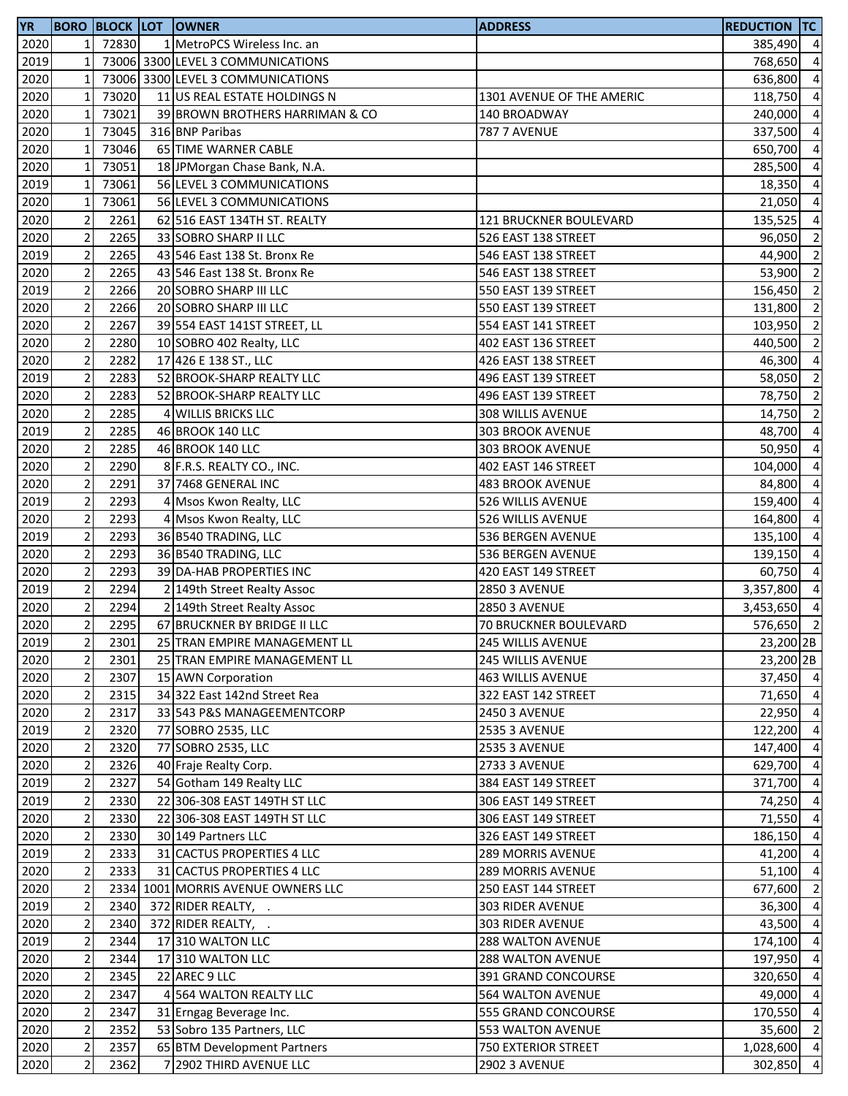| <b>YR</b> |                         |       | <b>BORO BLOCK LOT OWNER</b>        | <b>ADDRESS</b>            | <b>REDUCTION TC</b> |                |
|-----------|-------------------------|-------|------------------------------------|---------------------------|---------------------|----------------|
| 2020      | 1 <sup>1</sup>          | 72830 | 1 MetroPCS Wireless Inc. an        |                           | 385,490 4           |                |
| 2019      | $\mathbf 1$             |       | 73006 3300 LEVEL 3 COMMUNICATIONS  |                           | 768,650 4           |                |
| 2020      | $\mathbf 1$             |       | 73006 3300 LEVEL 3 COMMUNICATIONS  |                           | 636,800             | $\overline{4}$ |
| 2020      | $\mathbf{1}$            | 73020 | 11 US REAL ESTATE HOLDINGS N       | 1301 AVENUE OF THE AMERIC | 118,750 4           |                |
| 2020      | $\mathbf{1}$            | 73021 | 39 BROWN BROTHERS HARRIMAN & CO    | 140 BROADWAY              | 240,000             | $\overline{4}$ |
| 2020      | $\mathbf 1$             | 73045 | 316 BNP Paribas                    | <b>787 7 AVENUE</b>       | 337,500             | $\overline{4}$ |
| 2020      | $\mathbf 1$             | 73046 | 65 TIME WARNER CABLE               |                           | 650,700             | $\overline{a}$ |
| 2020      | $\mathbf{1}$            | 73051 | 18 JPMorgan Chase Bank, N.A.       |                           | 285,500             | $\overline{4}$ |
| 2019      | $\mathbf{1}$            | 73061 | 56 LEVEL 3 COMMUNICATIONS          |                           | 18,350              | $\overline{a}$ |
| 2020      | $\mathbf 1$             | 73061 | 56 LEVEL 3 COMMUNICATIONS          |                           | 21,050              | $\overline{4}$ |
| 2020      | $\mathbf 2$             | 2261  | 62 516 EAST 134TH ST. REALTY       | 121 BRUCKNER BOULEVARD    | 135,525             | $\overline{4}$ |
|           |                         | 2265  |                                    |                           |                     |                |
| 2020      | $\mathbf 2$             |       | 33 SOBRO SHARP II LLC              | 526 EAST 138 STREET       | 96,050              | $\overline{2}$ |
| 2019      | $\overline{c}$          | 2265  | 43 546 East 138 St. Bronx Re       | 546 EAST 138 STREET       | 44,900              | $\overline{2}$ |
| 2020      | $\overline{c}$          | 2265  | 43 546 East 138 St. Bronx Re       | 546 EAST 138 STREET       | 53,900              | $\overline{2}$ |
| 2019      | $\mathbf 2$             | 2266  | 20 SOBRO SHARP III LLC             | 550 EAST 139 STREET       | 156,450             | $\overline{2}$ |
| 2020      | $\mathbf 2$             | 2266  | 20 SOBRO SHARP III LLC             | 550 EAST 139 STREET       | 131,800             | $\overline{2}$ |
| 2020      | $\mathbf 2$             | 2267  | 39 554 EAST 141ST STREET, LL       | 554 EAST 141 STREET       | 103,950             | $\overline{2}$ |
| 2020      | $\mathbf 2$             | 2280  | 10 SOBRO 402 Realty, LLC           | 402 EAST 136 STREET       | 440,500             | $\overline{2}$ |
| 2020      | $\mathbf 2$             | 2282  | 17 426 E 138 ST., LLC              | 426 EAST 138 STREET       | 46,300              | $\overline{a}$ |
| 2019      | $\mathbf 2$             | 2283  | 52 BROOK-SHARP REALTY LLC          | 496 EAST 139 STREET       | 58,050              | $\overline{2}$ |
| 2020      | $\mathbf 2$             | 2283  | 52 BROOK-SHARP REALTY LLC          | 496 EAST 139 STREET       | 78,750              | $\overline{2}$ |
| 2020      | $\mathbf 2$             | 2285  | 4 WILLIS BRICKS LLC                | 308 WILLIS AVENUE         | 14,750              | $\overline{2}$ |
| 2019      | $\overline{c}$          | 2285  | 46 BROOK 140 LLC                   | 303 BROOK AVENUE          | 48,700              | $\overline{4}$ |
| 2020      | $\sqrt{2}$              | 2285  | 46 BROOK 140 LLC                   | 303 BROOK AVENUE          | 50,950              | $\overline{a}$ |
| 2020      | $\overline{2}$          | 2290  | 8 F.R.S. REALTY CO., INC.          | 402 EAST 146 STREET       | 104,000             | $\overline{a}$ |
| 2020      | $\mathbf 2$             | 2291  | 37 7468 GENERAL INC                | <b>483 BROOK AVENUE</b>   | 84,800              | $\overline{a}$ |
| 2019      | $\overline{c}$          | 2293  | 4 Msos Kwon Realty, LLC            | 526 WILLIS AVENUE         | 159,400             | $\overline{4}$ |
| 2020      | $\sqrt{2}$              | 2293  | 4 Msos Kwon Realty, LLC            | 526 WILLIS AVENUE         | 164,800             | $\overline{a}$ |
| 2019      | $\overline{2}$          | 2293  | 36 B540 TRADING, LLC               | 536 BERGEN AVENUE         | 135,100             | $\overline{4}$ |
| 2020      | $\sqrt{2}$              | 2293  | 36 B540 TRADING, LLC               | 536 BERGEN AVENUE         | 139,150             | $\overline{4}$ |
| 2020      | $\overline{c}$          | 2293  | 39 DA-HAB PROPERTIES INC           | 420 EAST 149 STREET       | 60,750              | $\overline{4}$ |
| 2019      | $\mathbf 2$             | 2294  | 2 149th Street Realty Assoc        | <b>2850 3 AVENUE</b>      | 3,357,800           | $\overline{4}$ |
| 2020      | $\overline{2}$          | 2294  |                                    |                           | 3,453,650           | $\overline{4}$ |
|           | $\overline{2}$          |       | 2 149th Street Realty Assoc        | <b>2850 3 AVENUE</b>      |                     | $\overline{2}$ |
| 2020      |                         | 2295  | 67 BRUCKNER BY BRIDGE II LLC       | 70 BRUCKNER BOULEVARD     | 576,650             |                |
| 2019      | $\overline{2}$          | 2301  | 25 TRAN EMPIRE MANAGEMENT LL       | 245 WILLIS AVENUE         | 23,200 2B           |                |
| 2020      | $\mathbf 2$             | 2301  | 25 TRAN EMPIRE MANAGEMENT LL       | 245 WILLIS AVENUE         | 23,200 2B           |                |
| 2020      | $\sqrt{2}$              | 2307  | 15 AWN Corporation                 | 463 WILLIS AVENUE         | 37,450 4            |                |
| 2020      | $\overline{\mathbf{c}}$ | 2315  | 34 322 East 142nd Street Rea       | 322 EAST 142 STREET       | 71,650 4            |                |
| 2020      | $\sqrt{2}$              | 2317  | 33 543 P&S MANAGEEMENTCORP         | <b>2450 3 AVENUE</b>      | 22,950 4            |                |
| 2019      | $\mathbf 2$             | 2320  | 77 SOBRO 2535, LLC                 | <b>2535 3 AVENUE</b>      | 122,200             | $\overline{4}$ |
| 2020      | $\mathbf 2$             | 2320  | 77 SOBRO 2535, LLC                 | <b>2535 3 AVENUE</b>      | 147,400             | $\overline{4}$ |
| 2020      | $\mathbf 2$             | 2326  | 40 Fraje Realty Corp.              | <b>2733 3 AVENUE</b>      | 629,700             | $\overline{4}$ |
| 2019      | $\mathbf 2$             | 2327  | 54 Gotham 149 Realty LLC           | 384 EAST 149 STREET       | 371,700             | $\overline{4}$ |
| 2019      | $\mathbf 2$             | 2330  | 22 306-308 EAST 149TH ST LLC       | 306 EAST 149 STREET       | 74,250              | $\overline{4}$ |
| 2020      | $\mathbf 2$             | 2330  | 22 306-308 EAST 149TH ST LLC       | 306 EAST 149 STREET       | 71,550 4            |                |
| 2020      | $\mathbf 2$             | 2330  | 30 149 Partners LLC                | 326 EAST 149 STREET       | 186,150 4           |                |
| 2019      | $\mathbf 2$             | 2333  | 31 CACTUS PROPERTIES 4 LLC         | <b>289 MORRIS AVENUE</b>  | 41,200 4            |                |
| 2020      | $\sqrt{2}$              | 2333  | 31 CACTUS PROPERTIES 4 LLC         | <b>289 MORRIS AVENUE</b>  | $51,100$ 4          |                |
| 2020      | $\mathbf 2$             |       | 2334 1001 MORRIS AVENUE OWNERS LLC | 250 EAST 144 STREET       | 677,600             | $\overline{2}$ |
| 2019      | $\mathbf 2$             | 2340  | 372 RIDER REALTY, .                | 303 RIDER AVENUE          | 36,300              | $\overline{4}$ |
| 2020      | $\mathbf 2$             | 2340  | 372 RIDER REALTY, .                | 303 RIDER AVENUE          | 43,500              | $\overline{4}$ |
| 2019      | $\mathbf 2$             | 2344  | 17310 WALTON LLC                   | 288 WALTON AVENUE         | 174,100             | $\overline{4}$ |
| 2020      | $\mathbf 2$             | 2344  | 17 310 WALTON LLC                  | 288 WALTON AVENUE         | 197,950             | $\overline{4}$ |
| 2020      | $\mathbf 2$             | 2345  | 22 AREC 9 LLC                      | 391 GRAND CONCOURSE       | 320,650 4           |                |
| 2020      | $\sqrt{2}$              | 2347  | 4 564 WALTON REALTY LLC            | <b>564 WALTON AVENUE</b>  | 49,000 4            |                |
| 2020      | $\mathbf 2$             | 2347  | 31 Erngag Beverage Inc.            | 555 GRAND CONCOURSE       | 170,550             | $\overline{4}$ |
|           | $\mathbf 2$             | 2352  | 53 Sobro 135 Partners, LLC         |                           |                     | $\overline{2}$ |
| 2020      |                         |       |                                    | 553 WALTON AVENUE         | 35,600              |                |
| 2020      | $\sqrt{2}$              | 2357  | 65 BTM Development Partners        | 750 EXTERIOR STREET       | 1,028,600 4         |                |
| 2020      | $\mathbf 2$             | 2362  | 7 2902 THIRD AVENUE LLC            | <b>2902 3 AVENUE</b>      | 302,850 4           |                |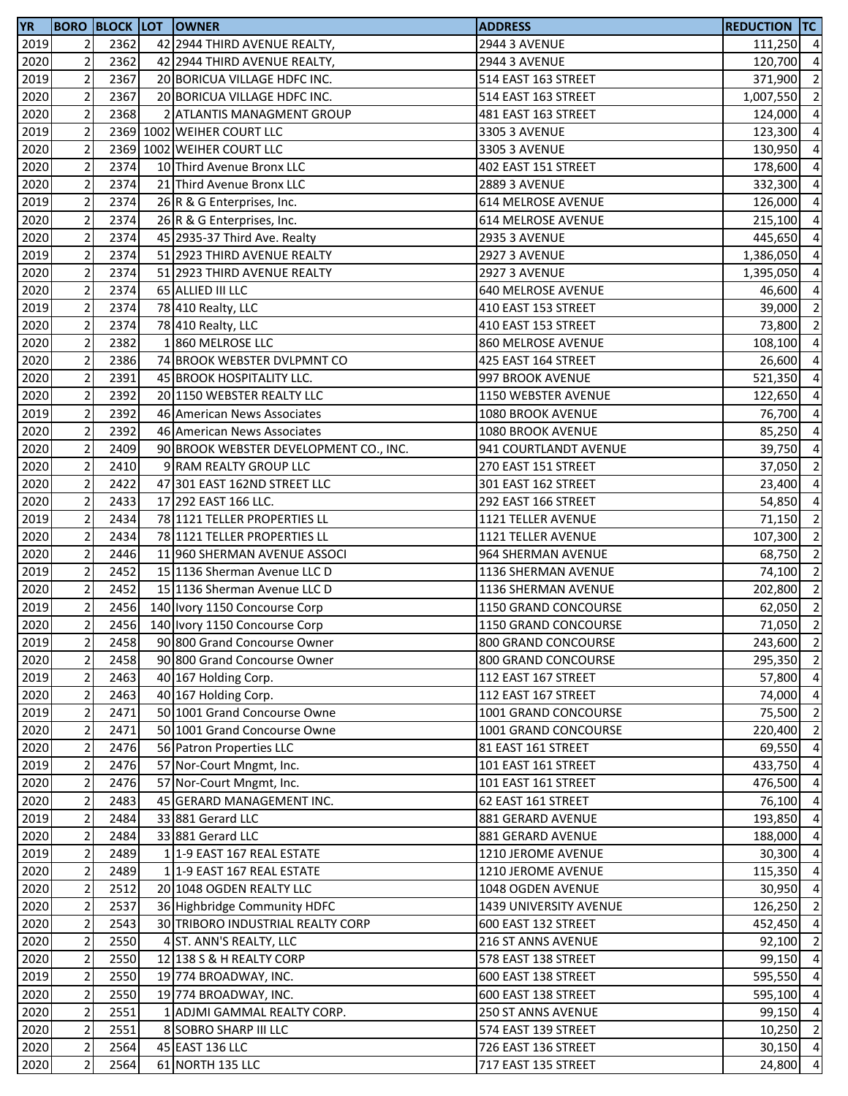| <b>YR</b> |                               |              | <b>BORO BLOCK LOT OWNER</b>                         | <b>ADDRESS</b>                             | <b>REDUCTION TC</b> |                                  |
|-----------|-------------------------------|--------------|-----------------------------------------------------|--------------------------------------------|---------------------|----------------------------------|
| 2019      | $\overline{2}$                | 2362         | 42 2944 THIRD AVENUE REALTY,                        | <b>2944 3 AVENUE</b>                       | 111,250 4           |                                  |
| 2020      | $\overline{2}$                | 2362         | 42 2944 THIRD AVENUE REALTY,                        | <b>2944 3 AVENUE</b>                       | 120,700             | $\overline{a}$                   |
| 2019      | $\overline{2}$                | 2367         | 20 BORICUA VILLAGE HDFC INC.                        | 514 EAST 163 STREET                        | 371,900             | $\overline{\mathbf{c}}$          |
| 2020      | $\overline{2}$                | 2367         | 20 BORICUA VILLAGE HDFC INC.                        | 514 EAST 163 STREET                        | 1,007,550           | $\overline{\mathbf{2}}$          |
| 2020      | $\mathbf 2$                   | 2368         | 2 ATLANTIS MANAGMENT GROUP                          | 481 EAST 163 STREET                        | 124,000             | $\overline{a}$                   |
| 2019      | $\overline{2}$                |              | 2369 1002 WEIHER COURT LLC                          | 3305 3 AVENUE                              | 123,300             | $\overline{4}$                   |
| 2020      | $\overline{2}$                |              | 2369 1002 WEIHER COURT LLC                          | 3305 3 AVENUE                              | 130,950             | $\overline{4}$                   |
| 2020      | $\overline{2}$                | 2374         | 10 Third Avenue Bronx LLC                           | 402 EAST 151 STREET                        | 178,600             | $\overline{a}$                   |
| 2020      | $\mathbf 2$                   | 2374         | 21 Third Avenue Bronx LLC                           | 2889 3 AVENUE                              | 332,300             | $\overline{a}$                   |
| 2019      | $\overline{2}$                | 2374         | 26 R & G Enterprises, Inc.                          | 614 MELROSE AVENUE                         | 126,000             | $\overline{a}$                   |
| 2020      | $\mathbf 2$                   | 2374         | 26 R & G Enterprises, Inc.                          | 614 MELROSE AVENUE                         | 215,100             | $\overline{a}$                   |
| 2020      | $\mathbf 2$                   | 2374         | 45 2935-37 Third Ave. Realty                        | <b>2935 3 AVENUE</b>                       | 445,650             | $\overline{a}$                   |
| 2019      | $\overline{2}$                | 2374         | 51 2923 THIRD AVENUE REALTY                         | <b>2927 3 AVENUE</b>                       | 1,386,050           | $\overline{a}$                   |
| 2020      | $\mathbf{2}$                  | 2374         | 51 2923 THIRD AVENUE REALTY                         | <b>2927 3 AVENUE</b>                       | 1,395,050           | $\overline{a}$                   |
| 2020      | $\mathbf 2$                   | 2374         | 65 ALLIED III LLC                                   | <b>640 MELROSE AVENUE</b>                  | 46,600              | $\overline{a}$                   |
| 2019      | $\mathbf 2$                   | 2374         | 78 410 Realty, LLC                                  | 410 EAST 153 STREET                        | 39,000              | $\overline{2}$                   |
| 2020      | $\overline{2}$                | 2374         | 78 410 Realty, LLC                                  | 410 EAST 153 STREET                        | 73,800              | $\overline{2}$                   |
| 2020      | $\overline{2}$                | 2382         | 1860 MELROSE LLC                                    | 860 MELROSE AVENUE                         | 108,100             | $\overline{\mathbf{4}}$          |
| 2020      | $\mathbf 2$                   | 2386         | 74 BROOK WEBSTER DVLPMNT CO                         | 425 EAST 164 STREET                        | 26,600              | $\overline{a}$                   |
| 2020      | $\overline{2}$                | 2391         | 45 BROOK HOSPITALITY LLC.                           | 997 BROOK AVENUE                           | 521,350             | $\overline{a}$                   |
| 2020      | $\overline{2}$                | 2392         | 20 1150 WEBSTER REALTY LLC                          | 1150 WEBSTER AVENUE                        | 122,650             | $\overline{a}$                   |
| 2019      | $\mathbf 2$                   | 2392         | 46 American News Associates                         | 1080 BROOK AVENUE                          | 76,700              | $\overline{4}$                   |
| 2020      | $\overline{2}$                | 2392         | 46 American News Associates                         | 1080 BROOK AVENUE                          | 85,250              | $\overline{4}$                   |
| 2020      | $\overline{2}$                | 2409         | 90 BROOK WEBSTER DEVELOPMENT CO., INC.              | 941 COURTLANDT AVENUE                      | 39,750              | $\overline{4}$                   |
| 2020      | $\overline{2}$                | 2410         | 9 RAM REALTY GROUP LLC                              | 270 EAST 151 STREET                        | 37,050              | $\overline{2}$                   |
| 2020      | $\overline{2}$                | 2422         | 47 301 EAST 162ND STREET LLC                        | 301 EAST 162 STREET                        | 23,400              | $\overline{a}$                   |
| 2020      | $\mathbf 2$                   | 2433         | 17 292 EAST 166 LLC.                                | 292 EAST 166 STREET                        | 54,850              | $\overline{a}$                   |
| 2019      | $\overline{c}$                | 2434         | 78 1121 TELLER PROPERTIES LL                        | 1121 TELLER AVENUE                         | 71,150              | $\overline{2}$                   |
| 2020      | $\mathbf 2$                   | 2434         | 78 1121 TELLER PROPERTIES LL                        | 1121 TELLER AVENUE                         | 107,300             | $\overline{\mathbf{2}}$          |
| 2020      | $\overline{2}$                | 2446         | 11 960 SHERMAN AVENUE ASSOCI                        | 964 SHERMAN AVENUE                         | 68,750              | $\overline{2}$                   |
| 2019      | $\mathbf 2$                   | 2452         | 15 1136 Sherman Avenue LLC D                        | 1136 SHERMAN AVENUE                        | 74,100              | $\overline{\mathbf{c}}$          |
| 2020      | $\overline{c}$                | 2452         | 15 1136 Sherman Avenue LLC D                        | 1136 SHERMAN AVENUE                        | 202,800 2           |                                  |
| 2019      | $\mathbf 2$                   | 2456         | 140 Ivory 1150 Concourse Corp                       | 1150 GRAND CONCOURSE                       | 62,050 2            |                                  |
| 2020      | $\overline{2}$                | 2456         | 140 Ivory 1150 Concourse Corp                       | 1150 GRAND CONCOURSE                       | 71,050 2            |                                  |
| 2019      | $\overline{2}$                | 2458         | 90 800 Grand Concourse Owner                        | 800 GRAND CONCOURSE                        | 243,600 2           |                                  |
| 2020      | $\mathbf 2$                   | 2458         | 90 800 Grand Concourse Owner                        | 800 GRAND CONCOURSE                        | 295,350 2           |                                  |
| 2019      | $\mathbf 2$                   | 2463         | 40 167 Holding Corp.                                | 112 EAST 167 STREET                        | 57,800              | $\overline{4}$                   |
| 2020      | $\overline{2}$                | 2463         | 40 167 Holding Corp.                                | 112 EAST 167 STREET                        | 74,000 4            |                                  |
| 2019      | $\overline{2}$                | 2471         | 50 1001 Grand Concourse Owne                        | 1001 GRAND CONCOURSE                       | 75,500 2            |                                  |
| 2020      | $\mathbf 2$                   | 2471         | 50 1001 Grand Concourse Owne                        | 1001 GRAND CONCOURSE                       | 220,400 2           |                                  |
| 2020      | $\overline{2}$                | 2476         | 56 Patron Properties LLC                            | 81 EAST 161 STREET                         | 69,550              | $\overline{4}$                   |
| 2019      | $\overline{2}$                | 2476         | 57 Nor-Court Mngmt, Inc.                            |                                            |                     | $\overline{a}$                   |
| 2020      | $\overline{2}$                | 2476         | 57 Nor-Court Mngmt, Inc.                            | 101 EAST 161 STREET<br>101 EAST 161 STREET | 433,750<br>476,500  | $\overline{a}$                   |
| 2020      | $\mathbf 2$                   | 2483         | 45 GERARD MANAGEMENT INC.                           | 62 EAST 161 STREET                         | 76,100              | $\overline{a}$                   |
| 2019      | $\overline{2}$                | 2484         | 33 881 Gerard LLC                                   | 881 GERARD AVENUE                          | 193,850             | $\overline{a}$                   |
| 2020      | $\overline{2}$                | 2484         | 33 881 Gerard LLC                                   | 881 GERARD AVENUE                          | 188,000             | $\overline{a}$                   |
| 2019      | $\overline{2}$                | 2489         | 1 1-9 EAST 167 REAL ESTATE                          | 1210 JEROME AVENUE                         | 30,300              | $\overline{4}$                   |
| 2020      | $\overline{2}$                | 2489         | 1 1-9 EAST 167 REAL ESTATE                          | 1210 JEROME AVENUE                         | 115,350             | $\overline{4}$                   |
| 2020      | $\overline{2}$                | 2512         | 20 1048 OGDEN REALTY LLC                            | 1048 OGDEN AVENUE                          | 30,950              | $\overline{4}$                   |
| 2020      | $\overline{2}$                | 2537         | 36 Highbridge Community HDFC                        | 1439 UNIVERSITY AVENUE                     | 126,250 2           |                                  |
| 2020      | $\overline{2}$                | 2543         | 30 TRIBORO INDUSTRIAL REALTY CORP                   |                                            |                     | $\overline{a}$                   |
|           |                               |              |                                                     | 600 EAST 132 STREET                        | 452,450             |                                  |
| 2020      | $\overline{2}$<br>$\mathbf 2$ | 2550<br>2550 | 4 ST. ANN'S REALTY, LLC<br>12 138 S & H REALTY CORP | 216 ST ANNS AVENUE                         | 92,100              | $\overline{2}$<br>$\overline{4}$ |
| 2020      |                               |              |                                                     | 578 EAST 138 STREET                        | 99,150              |                                  |
| 2019      | $\mathbf 2$                   | 2550         | 19 774 BROADWAY, INC.                               | 600 EAST 138 STREET                        | 595,550             | $\overline{4}$                   |
| 2020      | $\overline{2}$                | 2550         | 19 774 BROADWAY, INC.                               | 600 EAST 138 STREET                        | 595,100             | $\overline{4}$                   |
| 2020      | $\mathbf 2$                   | 2551         | 1 ADJMI GAMMAL REALTY CORP.                         | 250 ST ANNS AVENUE                         | 99,150              | $\overline{4}$                   |
| 2020      | $\overline{c}$                | 2551         | 8 SOBRO SHARP III LLC                               | 574 EAST 139 STREET                        | 10,250 2            |                                  |
| 2020      | $\mathbf 2$                   | 2564         | 45 EAST 136 LLC                                     | 726 EAST 136 STREET                        | 30,150 4            |                                  |
| 2020      | $\mathbf 2$                   | 2564         | 61 NORTH 135 LLC                                    | 717 EAST 135 STREET                        | 24,800              | $\overline{a}$                   |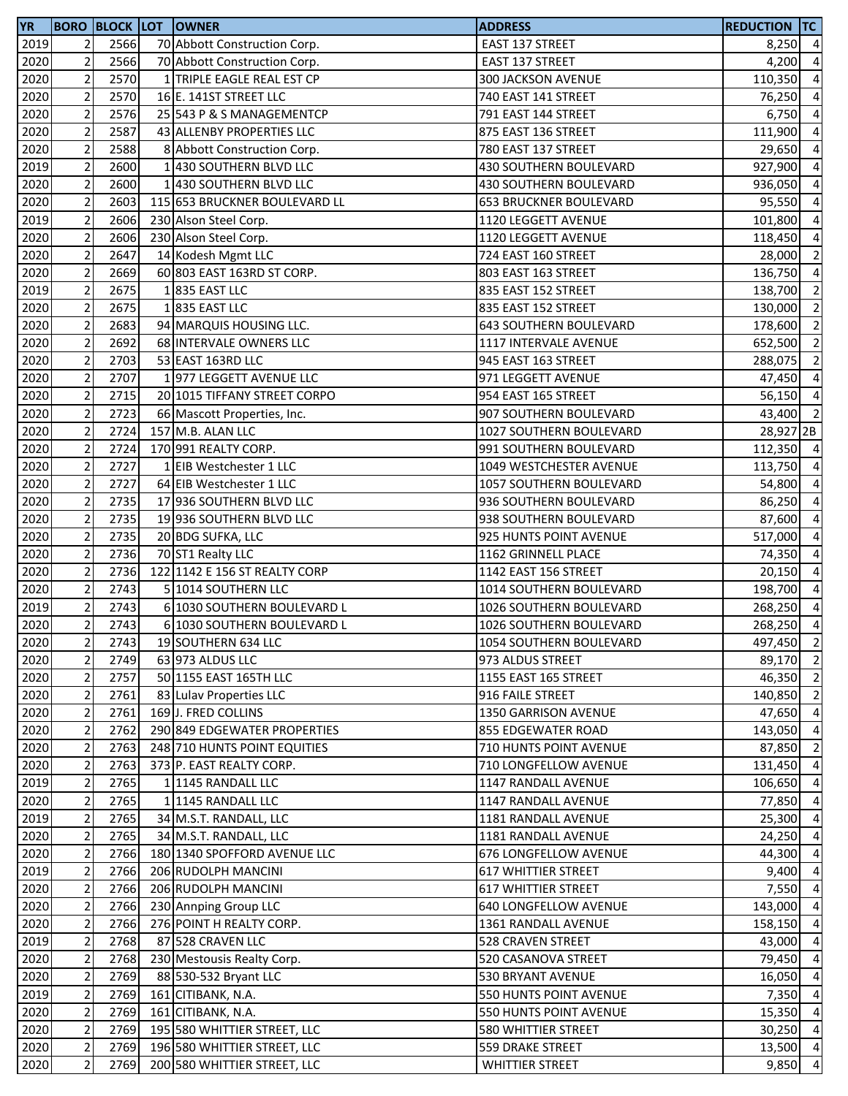| <b>YR</b>    |                                  |              | <b>BORO BLOCK LOT OWNER</b>                       | <b>ADDRESS</b>                                      | <b>REDUCTION TC</b> |                                  |
|--------------|----------------------------------|--------------|---------------------------------------------------|-----------------------------------------------------|---------------------|----------------------------------|
| 2019         | 2                                | 2566         | 70 Abbott Construction Corp.                      | EAST 137 STREET                                     | $8,250$ 4           |                                  |
| 2020         | $\mathbf 2$                      | 2566         | 70 Abbott Construction Corp.                      | EAST 137 STREET                                     | 4,200               | $\overline{4}$                   |
| 2020         | $\mathbf 2$                      | 2570         | 1 TRIPLE EAGLE REAL EST CP                        | 300 JACKSON AVENUE                                  | 110,350             | $\overline{4}$                   |
| 2020         | $\overline{2}$                   | 2570         | 16 E. 141ST STREET LLC                            | 740 EAST 141 STREET                                 | 76,250              | $\overline{4}$                   |
| 2020         | $\mathbf 2$                      | 2576         | 25 543 P & S MANAGEMENTCP                         | 791 EAST 144 STREET                                 | 6,750               | $\overline{4}$                   |
| 2020         | $\mathbf 2$                      | 2587         | 43 ALLENBY PROPERTIES LLC                         | 875 EAST 136 STREET                                 | 111,900 4           |                                  |
| 2020         | $\sqrt{2}$                       | 2588         | 8 Abbott Construction Corp.                       | 780 EAST 137 STREET                                 | 29,650              | $\overline{4}$                   |
| 2019         | $\mathbf 2$                      | 2600         | 1 430 SOUTHERN BLVD LLC                           | 430 SOUTHERN BOULEVARD                              | 927,900             | $\overline{4}$                   |
| 2020         | $\mathbf 2$                      | 2600         | 1 430 SOUTHERN BLVD LLC                           | 430 SOUTHERN BOULEVARD                              | 936,050             | $\overline{4}$                   |
| 2020         | $\mathbf 2$                      | 2603         | 115 653 BRUCKNER BOULEVARD LL                     | <b>653 BRUCKNER BOULEVARD</b>                       | 95,550              | $\overline{a}$                   |
| 2019         | $\overline{2}$                   | 2606         | 230 Alson Steel Corp.                             | 1120 LEGGETT AVENUE                                 | 101,800             | $\overline{4}$                   |
| 2020         | $\mathbf 2$                      | 2606         | 230 Alson Steel Corp.                             | 1120 LEGGETT AVENUE                                 | 118,450             | $\overline{4}$                   |
| 2020         | $\mathbf 2$                      | 2647         | 14 Kodesh Mgmt LLC                                | 724 EAST 160 STREET                                 | 28,000              | $\overline{2}$                   |
| 2020         | $\mathbf 2$                      | 2669         | 60 803 EAST 163RD ST CORP.                        | 803 EAST 163 STREET                                 | 136,750 4           |                                  |
| 2019         | $\mathbf 2$                      | 2675         | 1835 EAST LLC                                     | 835 EAST 152 STREET                                 | 138,700             | $\overline{2}$                   |
| 2020         | $\overline{c}$                   | 2675         | 1835 EAST LLC                                     | 835 EAST 152 STREET                                 | 130,000             | $\overline{2}$                   |
| 2020         | $\mathbf 2$                      | 2683         | 94 MARQUIS HOUSING LLC.                           | <b>643 SOUTHERN BOULEVARD</b>                       | 178,600             | $\overline{2}$                   |
| 2020         | $\overline{2}$                   | 2692         | 68 INTERVALE OWNERS LLC                           | 1117 INTERVALE AVENUE                               | 652,500             | $\overline{2}$                   |
| 2020         | $\overline{2}$                   | 2703         | 53 EAST 163RD LLC                                 | 945 EAST 163 STREET                                 | 288,075             | $\overline{2}$                   |
| 2020         | $\mathbf 2$                      | 2707         | 1977 LEGGETT AVENUE LLC                           | 971 LEGGETT AVENUE                                  | 47,450              | $\overline{4}$                   |
| 2020         | $\mathbf 2$                      | 2715         | 20 1015 TIFFANY STREET CORPO                      | 954 EAST 165 STREET                                 | 56,150              | $\overline{4}$                   |
| 2020         | $\mathbf 2$                      | 2723         | 66 Mascott Properties, Inc.                       | 907 SOUTHERN BOULEVARD                              | 43,400 2            |                                  |
| 2020         | $\mathbf 2$                      | 2724         | 157 M.B. ALAN LLC                                 | 1027 SOUTHERN BOULEVARD                             | 28,927 2B           |                                  |
| 2020         | $\mathbf 2$                      | 2724         | 170 991 REALTY CORP.                              | 991 SOUTHERN BOULEVARD                              | 112,350 4           |                                  |
| 2020         | $\mathbf 2$                      | 2727         | 1 EIB Westchester 1 LLC                           | 1049 WESTCHESTER AVENUE                             | 113,750             | $\overline{4}$                   |
| 2020         | $\mathbf 2$                      | 2727         | 64 EIB Westchester 1 LLC                          | 1057 SOUTHERN BOULEVARD                             | 54,800              | $\overline{4}$                   |
| 2020         | $\mathbf 2$                      | 2735         | 17 936 SOUTHERN BLVD LLC                          | 936 SOUTHERN BOULEVARD                              | 86,250              | $\overline{a}$                   |
| 2020         | $\mathbf 2$                      | 2735         | 19 936 SOUTHERN BLVD LLC                          | 938 SOUTHERN BOULEVARD                              | 87,600              | $\overline{4}$                   |
| 2020         | $\mathbf 2$                      | 2735         | 20 BDG SUFKA, LLC                                 | 925 HUNTS POINT AVENUE                              | 517,000             | $\overline{4}$                   |
| 2020         | $\mathbf 2$                      | 2736         | 70 ST1 Realty LLC                                 | 1162 GRINNELL PLACE                                 | 74,350              | $\overline{4}$                   |
| 2020         | $\mathbf 2$                      | 2736         | 122 1142 E 156 ST REALTY CORP                     | 1142 EAST 156 STREET                                | $20,150$ 4          |                                  |
| 2020         | $\sqrt{2}$                       | 2743         | 5 1014 SOUTHERN LLC                               | 1014 SOUTHERN BOULEVARD                             | 198,700             | $\overline{4}$                   |
| 2019         | $\overline{2}$                   | 2743         | 6 1030 SOUTHERN BOULEVARD L                       | 1026 SOUTHERN BOULEVARD                             | 268,250             | $\overline{4}$                   |
| 2020         | $\overline{2}$                   | 2743         | 6 1030 SOUTHERN BOULEVARD L                       | 1026 SOUTHERN BOULEVARD                             | 268,250             | $\overline{4}$                   |
| 2020         | $\overline{2}$                   | 2743         | 19 SOUTHERN 634 LLC                               | 1054 SOUTHERN BOULEVARD                             | 497,450 2           |                                  |
| 2020         | $\overline{2}$                   | 2749         | 63 973 ALDUS LLC                                  | 973 ALDUS STREET                                    | 89,170              | $\overline{2}$                   |
| 2020         | $\sqrt{2}$                       | 2757         | 50 1155 EAST 165TH LLC                            | 1155 EAST 165 STREET                                | 46,350 2            |                                  |
| 2020         | $\mathbf 2$                      | 2761         | 83 Lulav Properties LLC                           | 916 FAILE STREET                                    | 140,850             | $\overline{2}$                   |
| 2020         | $\mathbf 2$                      | 2761         | 169JJ. FRED COLLINS                               | 1350 GARRISON AVENUE                                | 47,650 4            |                                  |
| 2020         | $\mathbf 2$                      | 2762         | 290 849 EDGEWATER PROPERTIES                      | <b>855 EDGEWATER ROAD</b>                           | 143,050 4           |                                  |
| 2020         | $\overline{\mathbf{c}}$          | 2763         | 248 710 HUNTS POINT EQUITIES                      | <b>710 HUNTS POINT AVENUE</b>                       | 87,850              | $\overline{2}$                   |
| 2020         | $\mathbf 2$                      | 2763         | 373 P. EAST REALTY CORP.                          | 710 LONGFELLOW AVENUE                               | 131,450             | $\overline{4}$                   |
| 2019         | $\overline{2}$<br>$\overline{2}$ | 2765         | 1 1145 RANDALL LLC<br>1 1145 RANDALL LLC          | 1147 RANDALL AVENUE<br><b>1147 RANDALL AVENUE</b>   | 106,650             | $\overline{4}$                   |
| 2020         | $\mathbf 2$                      | 2765         |                                                   |                                                     | 77,850              | $\overline{4}$<br>$\overline{4}$ |
| 2019<br>2020 | $\mathbf 2$                      | 2765<br>2765 | 34 M.S.T. RANDALL, LLC<br>34 M.S.T. RANDALL, LLC  | 1181 RANDALL AVENUE<br>1181 RANDALL AVENUE          | 25,300<br>24,250    | $\overline{4}$                   |
| 2020         | $\mathbf 2$                      | 2766         | 180 1340 SPOFFORD AVENUE LLC                      | 676 LONGFELLOW AVENUE                               | 44,300              | $\overline{4}$                   |
| 2019         | $\mathbf 2$                      | 2766         | 206 RUDOLPH MANCINI                               | <b>617 WHITTIER STREET</b>                          | $9,400$ 4           |                                  |
| 2020         | $\mathbf 2$                      | 2766         |                                                   |                                                     |                     | $\overline{4}$                   |
|              | $\sqrt{2}$                       | 2766         | 206 RUDOLPH MANCINI                               | <b>617 WHITTIER STREET</b><br>640 LONGFELLOW AVENUE | 7,550               | $\overline{4}$                   |
| 2020<br>2020 | $\mathbf 2$                      | 2766         | 230 Annping Group LLC<br>276 POINT H REALTY CORP. | 1361 RANDALL AVENUE                                 | 143,000<br>158,150  | $\overline{4}$                   |
| 2019         | $\mathbf 2$                      | 2768         | 87 528 CRAVEN LLC                                 | 528 CRAVEN STREET                                   | 43,000              | $\overline{4}$                   |
| 2020         | $\overline{2}$                   | 2768         | 230 Mestousis Realty Corp.                        | 520 CASANOVA STREET                                 | 79,450              | $\overline{4}$                   |
| 2020         | $\mathbf 2$                      | 2769         | 88 530-532 Bryant LLC                             | 530 BRYANT AVENUE                                   | 16,050              | $\overline{4}$                   |
| 2019         | $\mathbf 2$                      | 2769         | 161 CITIBANK, N.A.                                | 550 HUNTS POINT AVENUE                              | 7,350               | $\overline{4}$                   |
| 2020         | $\mathbf 2$                      | 2769         | 161 CITIBANK, N.A.                                | 550 HUNTS POINT AVENUE                              | 15,350 4            |                                  |
| 2020         | $\sqrt{2}$                       | 2769         | 195 580 WHITTIER STREET, LLC                      | 580 WHITTIER STREET                                 | 30,250              | $\overline{4}$                   |
| 2020         | $\overline{\mathbf{c}}$          | 2769         | 196 580 WHITTIER STREET, LLC                      | 559 DRAKE STREET                                    | 13,500 4            |                                  |
| 2020         | $\overline{2}$                   | 2769         | 200 580 WHITTIER STREET, LLC                      | <b>WHITTIER STREET</b>                              | 9,850               | $\overline{4}$                   |
|              |                                  |              |                                                   |                                                     |                     |                                  |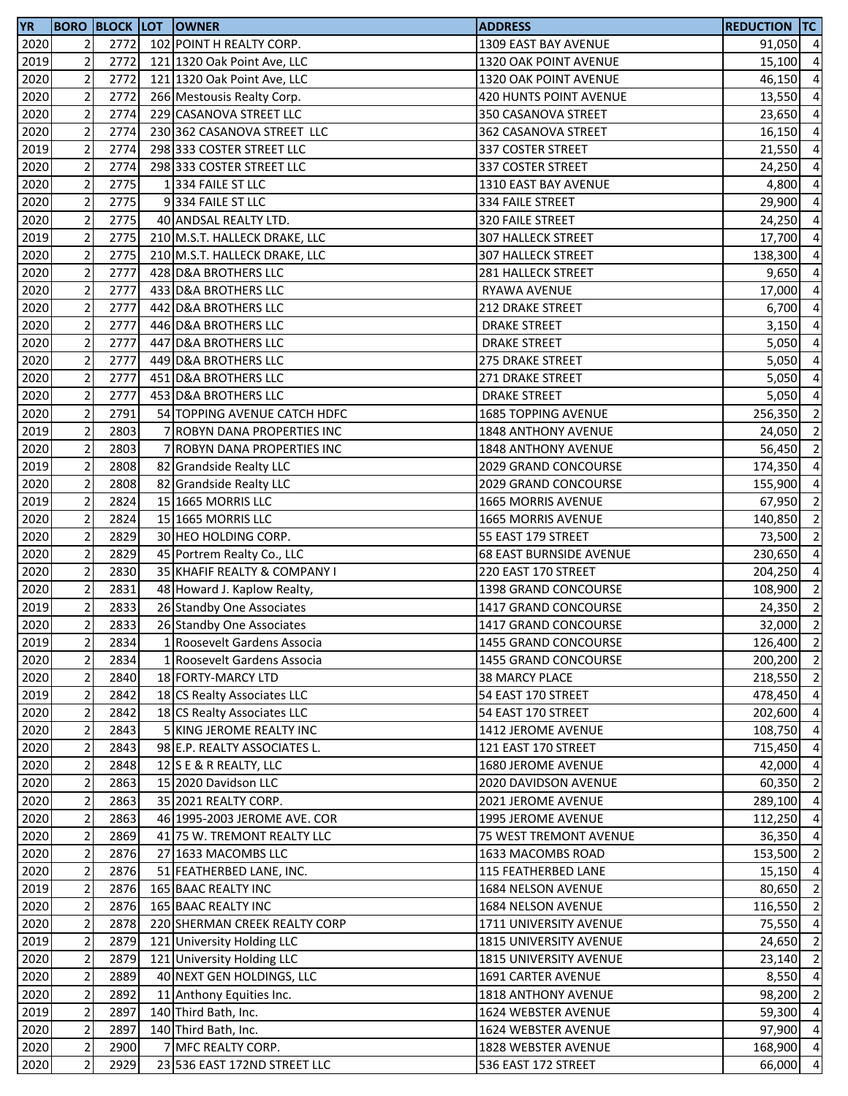| YR   |                         |      | <b>BORO BLOCK LOT OWNER</b>   | <b>ADDRESS</b>                 | <b>REDUCTION TC</b> |                |
|------|-------------------------|------|-------------------------------|--------------------------------|---------------------|----------------|
| 2020 | 2                       | 2772 | 102 POINT H REALTY CORP.      | 1309 EAST BAY AVENUE           | 91,050 4            |                |
| 2019 | $\overline{2}$          | 2772 | 121 1320 Oak Point Ave, LLC   | 1320 OAK POINT AVENUE          | 15,100              | $\overline{4}$ |
| 2020 | $\overline{2}$          | 2772 | 121 1320 Oak Point Ave, LLC   | 1320 OAK POINT AVENUE          | 46,150              | $\overline{4}$ |
| 2020 | $\overline{2}$          | 2772 | 266 Mestousis Realty Corp.    | 420 HUNTS POINT AVENUE         | 13,550              | $\overline{4}$ |
| 2020 | $\overline{2}$          | 2774 | 229 CASANOVA STREET LLC       | 350 CASANOVA STREET            | 23,650              | $\overline{4}$ |
| 2020 | $\overline{\mathbf{c}}$ | 2774 | 230 362 CASANOVA STREET LLC   | 362 CASANOVA STREET            | 16,150              | $\overline{4}$ |
| 2019 | $\mathbf 2$             | 2774 | 298 333 COSTER STREET LLC     | 337 COSTER STREET              | 21,550              | $\overline{4}$ |
| 2020 | $\overline{2}$          | 2774 | 298 333 COSTER STREET LLC     | 337 COSTER STREET              | 24,250              | $\overline{4}$ |
| 2020 | $\mathbf 2$             | 2775 | 1334 FAILE ST LLC             | 1310 EAST BAY AVENUE           | 4,800               | $\overline{4}$ |
| 2020 | $\overline{2}$          | 2775 | 9334 FAILE ST LLC             | 334 FAILE STREET               | 29,900              | $\overline{4}$ |
| 2020 | $\overline{2}$          | 2775 | 40 ANDSAL REALTY LTD.         | 320 FAILE STREET               | 24,250              | $\overline{4}$ |
|      | $\overline{2}$          | 2775 |                               |                                |                     | $\overline{4}$ |
| 2019 | $\overline{2}$          | 2775 | 210 M.S.T. HALLECK DRAKE, LLC | 307 HALLECK STREET             | 17,700              |                |
| 2020 |                         |      | 210 M.S.T. HALLECK DRAKE, LLC | 307 HALLECK STREET             | 138,300 4           |                |
| 2020 | $\mathbf 2$             | 2777 | 428 D&A BROTHERS LLC          | 281 HALLECK STREET             | 9,650               | $\overline{4}$ |
| 2020 | $\overline{c}$          | 2777 | 433 D&A BROTHERS LLC          | RYAWA AVENUE                   | 17,000              | $\overline{4}$ |
| 2020 | $\mathbf 2$             | 2777 | 442 D&A BROTHERS LLC          | 212 DRAKE STREET               | 6,700               | $\overline{a}$ |
| 2020 | $\overline{2}$          | 2777 | 446 D&A BROTHERS LLC          | <b>DRAKE STREET</b>            | 3,150               | $\overline{4}$ |
| 2020 | $\overline{2}$          | 2777 | 447 D&A BROTHERS LLC          | <b>DRAKE STREET</b>            | 5,050               | $\overline{4}$ |
| 2020 | $\overline{2}$          | 2777 | 449 D&A BROTHERS LLC          | 275 DRAKE STREET               | 5,050               | $\overline{4}$ |
| 2020 | $\mathbf 2$             | 2777 | 451 D&A BROTHERS LLC          | 271 DRAKE STREET               | 5,050               | $\overline{4}$ |
| 2020 | $\mathbf 2$             | 2777 | 453 D&A BROTHERS LLC          | <b>DRAKE STREET</b>            | $5,050$ 4           |                |
| 2020 | $\mathbf 2$             | 2791 | 54 TOPPING AVENUE CATCH HDFC  | 1685 TOPPING AVENUE            | 256,350             | $\overline{2}$ |
| 2019 | $\overline{\mathbf{c}}$ | 2803 | 7 ROBYN DANA PROPERTIES INC   | 1848 ANTHONY AVENUE            | 24,050              | $\overline{2}$ |
| 2020 | $\mathbf 2$             | 2803 | 7 ROBYN DANA PROPERTIES INC   | 1848 ANTHONY AVENUE            | 56,450              | $\overline{2}$ |
| 2019 | $\overline{2}$          | 2808 | 82 Grandside Realty LLC       | 2029 GRAND CONCOURSE           | 174,350             | $\overline{a}$ |
| 2020 | $\mathbf 2$             | 2808 | 82 Grandside Realty LLC       | 2029 GRAND CONCOURSE           | 155,900             | $\overline{4}$ |
| 2019 | $\mathbf 2$             | 2824 | 15 1665 MORRIS LLC            | 1665 MORRIS AVENUE             | 67,950              | $\overline{2}$ |
| 2020 | $\overline{2}$          | 2824 | 15 1665 MORRIS LLC            | 1665 MORRIS AVENUE             | 140,850             | $\overline{2}$ |
| 2020 | $\mathbf 2$             | 2829 | 30 HEO HOLDING CORP.          | 55 EAST 179 STREET             | 73,500              | $\overline{2}$ |
| 2020 | $\mathbf 2$             | 2829 | 45 Portrem Realty Co., LLC    | <b>68 EAST BURNSIDE AVENUE</b> | 230,650             | $\overline{4}$ |
| 2020 | $\overline{\mathbf{c}}$ | 2830 | 35 KHAFIF REALTY & COMPANY I  | 220 EAST 170 STREET            | 204,250             | $\overline{4}$ |
| 2020 | $\mathbf 2$             | 2831 | 48 Howard J. Kaplow Realty,   | 1398 GRAND CONCOURSE           | 108,900             | $\overline{2}$ |
| 2019 | $\overline{2}$          | 2833 | 26 Standby One Associates     | 1417 GRAND CONCOURSE           | 24,350              | $\overline{2}$ |
| 2020 | $\overline{2}$          | 2833 | 26 Standby One Associates     | 1417 GRAND CONCOURSE           | 32,000              | $\overline{2}$ |
| 2019 | $\overline{2}$          | 2834 | 1 Roosevelt Gardens Associa   | 1455 GRAND CONCOURSE           | 126,400 2           |                |
| 2020 | $\mathbf 2$             | 2834 | 1 Roosevelt Gardens Associa   | 1455 GRAND CONCOURSE           | 200,200 2           |                |
| 2020 | $\overline{2}$          | 2840 | 18 FORTY-MARCY LTD            | 38 MARCY PLACE                 | 218,550 2           |                |
|      | $\overline{2}$          | 2842 | 18 CS Realty Associates LLC   |                                | 478,450 4           |                |
| 2019 |                         |      |                               | 54 EAST 170 STREET             |                     |                |
| 2020 | $\mathbf 2$             | 2842 | 18 CS Realty Associates LLC   | 54 EAST 170 STREET             | 202,600 4           |                |
| 2020 | $\overline{c}$          | 2843 | 5 KING JEROME REALTY INC      | 1412 JEROME AVENUE             | 108,750 4           |                |
| 2020 | $\mathbf 2$             | 2843 | 98 E.P. REALTY ASSOCIATES L.  | 121 EAST 170 STREET            | 715,450 4           |                |
| 2020 | $\overline{2}$          | 2848 | 12 S E & R REALTY, LLC        | 1680 JEROME AVENUE             | 42,000 4            |                |
| 2020 | $\overline{2}$          | 2863 | 15 2020 Davidson LLC          | 2020 DAVIDSON AVENUE           | 60,350 2            |                |
| 2020 | $\mathbf 2$             | 2863 | 35 2021 REALTY CORP.          | 2021 JEROME AVENUE             | 289,100 4           |                |
| 2020 | $\mathbf 2$             | 2863 | 46 1995-2003 JEROME AVE. COR  | 1995 JEROME AVENUE             | 112,250             | $\overline{4}$ |
| 2020 | $\overline{2}$          | 2869 | 41 75 W. TREMONT REALTY LLC   | 75 WEST TREMONT AVENUE         | 36,350 4            |                |
| 2020 | $\overline{2}$          | 2876 | 27 1633 MACOMBS LLC           | 1633 MACOMBS ROAD              | 153,500 2           |                |
| 2020 | $\mathbf 2$             | 2876 | 51 FEATHERBED LANE, INC.      | 115 FEATHERBED LANE            | 15,150 4            |                |
| 2019 | $\mathbf 2$             | 2876 | 165 BAAC REALTY INC           | 1684 NELSON AVENUE             | 80,650              | $\overline{2}$ |
| 2020 | $\overline{2}$          | 2876 | 165 BAAC REALTY INC           | 1684 NELSON AVENUE             | 116,550             | $\overline{2}$ |
| 2020 | $\overline{2}$          | 2878 | 220 SHERMAN CREEK REALTY CORP | 1711 UNIVERSITY AVENUE         | 75,550              | $\overline{4}$ |
| 2019 | $\mathbf 2$             | 2879 | 121 University Holding LLC    | 1815 UNIVERSITY AVENUE         | 24,650              | $\overline{2}$ |
| 2020 | $\mathbf 2$             | 2879 | 121 University Holding LLC    | 1815 UNIVERSITY AVENUE         | 23,140              | $\overline{2}$ |
| 2020 | $\mathbf 2$             | 2889 | 40 NEXT GEN HOLDINGS, LLC     | <b>1691 CARTER AVENUE</b>      | 8,550 4             |                |
| 2020 | $\overline{2}$          | 2892 | 11 Anthony Equities Inc.      | <b>1818 ANTHONY AVENUE</b>     | 98,200              | $\overline{2}$ |
| 2019 | $\overline{c}$          | 2897 | 140 Third Bath, Inc.          | 1624 WEBSTER AVENUE            | 59,300              | $\overline{4}$ |
| 2020 | $\mathbf 2$             | 2897 | 140 Third Bath, Inc.          | 1624 WEBSTER AVENUE            | 97,900              | $\overline{4}$ |
| 2020 | $\mathbf 2$             | 2900 | 7 MFC REALTY CORP.            | 1828 WEBSTER AVENUE            | 168,900             | $\overline{4}$ |
| 2020 | $\overline{2}$          | 2929 | 23 536 EAST 172ND STREET LLC  | 536 EAST 172 STREET            | 66,000              | $\overline{4}$ |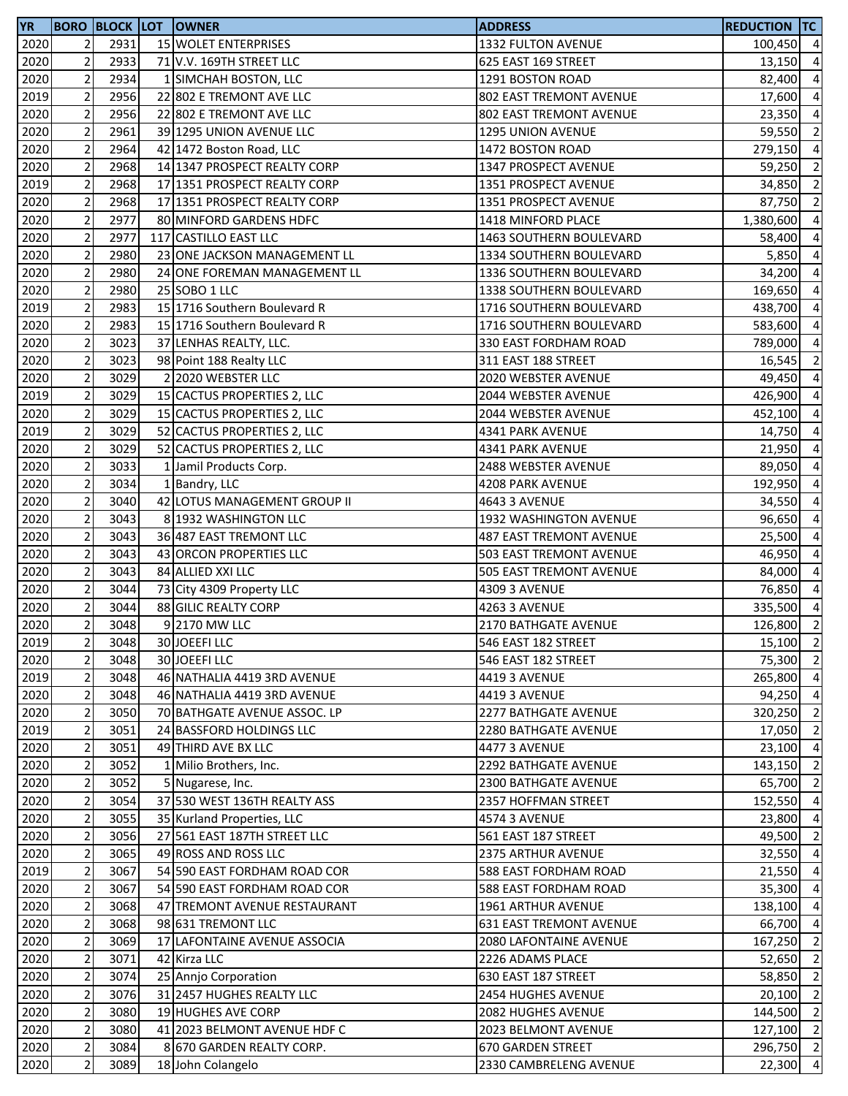| <b>YR</b> |                |      | <b>BORO BLOCK LOT OWNER</b>  | <b>ADDRESS</b>                 | <b>REDUCTION TC</b> |                |
|-----------|----------------|------|------------------------------|--------------------------------|---------------------|----------------|
| 2020      | 2              | 2931 | 15 WOLET ENTERPRISES         | 1332 FULTON AVENUE             | 100,450 4           |                |
| 2020      | $\overline{2}$ | 2933 | 71 V.V. 169TH STREET LLC     | 625 EAST 169 STREET            | 13,150 4            |                |
| 2020      | $\overline{2}$ | 2934 | 1 SIMCHAH BOSTON, LLC        | 1291 BOSTON ROAD               | 82,400              | $\overline{4}$ |
| 2019      | $\overline{2}$ | 2956 | 22 802 E TREMONT AVE LLC     | 802 EAST TREMONT AVENUE        | 17,600              | $\overline{4}$ |
| 2020      | $\mathbf 2$    | 2956 | 22 802 E TREMONT AVE LLC     | 802 EAST TREMONT AVENUE        | 23,350              | $\overline{4}$ |
| 2020      | $\overline{2}$ | 2961 | 39 1295 UNION AVENUE LLC     | 1295 UNION AVENUE              | 59,550              | $\overline{2}$ |
| 2020      | $\mathbf 2$    | 2964 | 42 1472 Boston Road, LLC     | 1472 BOSTON ROAD               | 279,150 4           |                |
| 2020      | $\overline{c}$ | 2968 | 14 1347 PROSPECT REALTY CORP | 1347 PROSPECT AVENUE           | 59,250              | $\overline{2}$ |
| 2019      | $\mathbf 2$    | 2968 | 17 1351 PROSPECT REALTY CORP | 1351 PROSPECT AVENUE           | 34,850              | $\overline{2}$ |
| 2020      | $\overline{2}$ | 2968 | 17 1351 PROSPECT REALTY CORP | 1351 PROSPECT AVENUE           | 87,750              | $\overline{2}$ |
| 2020      | $\overline{2}$ | 2977 | 80 MINFORD GARDENS HDFC      | 1418 MINFORD PLACE             | 1,380,600           | $\overline{4}$ |
| 2020      | $\overline{2}$ | 2977 | 117 CASTILLO EAST LLC        | 1463 SOUTHERN BOULEVARD        | 58,400              | $\overline{a}$ |
| 2020      | $\overline{c}$ | 2980 | 23 ONE JACKSON MANAGEMENT LL | 1334 SOUTHERN BOULEVARD        | 5,850               | $\overline{4}$ |
| 2020      | $\overline{2}$ | 2980 | 24 ONE FOREMAN MANAGEMENT LL | <b>1336 SOUTHERN BOULEVARD</b> | 34,200 4            |                |
| 2020      | $\overline{2}$ | 2980 | 25 SOBO 1 LLC                | <b>1338 SOUTHERN BOULEVARD</b> | 169,650             | $\overline{4}$ |
| 2019      | $\overline{c}$ | 2983 | 15 1716 Southern Boulevard R | 1716 SOUTHERN BOULEVARD        | 438,700             | $\overline{4}$ |
| 2020      | $\overline{c}$ | 2983 | 15 1716 Southern Boulevard R | 1716 SOUTHERN BOULEVARD        | 583,600             | $\overline{4}$ |
| 2020      | $\overline{2}$ | 3023 | 37 LENHAS REALTY, LLC.       | 330 EAST FORDHAM ROAD          | 789,000             | $\overline{a}$ |
| 2020      | $\overline{2}$ | 3023 | 98 Point 188 Realty LLC      | 311 EAST 188 STREET            | 16,545              | $\overline{2}$ |
|           | $\overline{2}$ | 3029 | 2 2020 WEBSTER LLC           |                                |                     |                |
| 2020      | $\overline{2}$ |      |                              | 2020 WEBSTER AVENUE            | 49,450              | $\overline{4}$ |
| 2019      |                | 3029 | 15 CACTUS PROPERTIES 2, LLC  | 2044 WEBSTER AVENUE            | 426,900             | $\overline{4}$ |
| 2020      | $\mathbf 2$    | 3029 | 15 CACTUS PROPERTIES 2, LLC  | 2044 WEBSTER AVENUE            | 452,100             | $\overline{4}$ |
| 2019      | $\overline{2}$ | 3029 | 52 CACTUS PROPERTIES 2, LLC  | 4341 PARK AVENUE               | 14,750 4            |                |
| 2020      | $\mathbf 2$    | 3029 | 52 CACTUS PROPERTIES 2, LLC  | 4341 PARK AVENUE               | 21,950 4            |                |
| 2020      | $\overline{2}$ | 3033 | 1 Jamil Products Corp.       | 2488 WEBSTER AVENUE            | 89,050              | $\overline{4}$ |
| 2020      | $\mathbf 2$    | 3034 | 1 Bandry, LLC                | 4208 PARK AVENUE               | 192,950             | $\overline{4}$ |
| 2020      | $\overline{2}$ | 3040 | 42 LOTUS MANAGEMENT GROUP II | 4643 3 AVENUE                  | 34,550              | $\overline{a}$ |
| 2020      | $\mathbf 2$    | 3043 | 8 1932 WASHINGTON LLC        | 1932 WASHINGTON AVENUE         | 96,650              | $\overline{a}$ |
| 2020      | $\overline{2}$ | 3043 | 36 487 EAST TREMONT LLC      | 487 EAST TREMONT AVENUE        | 25,500              | $\overline{4}$ |
| 2020      | $\mathbf 2$    | 3043 | 43 ORCON PROPERTIES LLC      | 503 EAST TREMONT AVENUE        | 46,950              | $\overline{4}$ |
| 2020      | $\overline{2}$ | 3043 | 84 ALLIED XXI LLC            | 505 EAST TREMONT AVENUE        | 84,000              | $\overline{4}$ |
| 2020      | $\mathbf 2$    | 3044 | 73 City 4309 Property LLC    | 4309 3 AVENUE                  | 76,850              | $\overline{4}$ |
| 2020      | $\overline{c}$ | 3044 | 88 GILIC REALTY CORP         | 4263 3 AVENUE                  | 335,500             | $\overline{4}$ |
| 2020      | $\overline{2}$ | 3048 | 9 2170 MW LLC                | 2170 BATHGATE AVENUE           | 126,800             | $\overline{2}$ |
| 2019      | $\overline{2}$ | 3048 | 30 JOEEFI LLC                | 546 EAST 182 STREET            | 15,100 2            |                |
| 2020      | $\overline{2}$ | 3048 | 30 JOEEFI LLC                | 546 EAST 182 STREET            | 75,300              | $\overline{2}$ |
| 2019      | $\overline{2}$ | 3048 | 46 NATHALIA 4419 3RD AVENUE  | 4419 3 AVENUE                  | 265,800             | $\overline{4}$ |
| 2020      | $\mathbf 2$    | 3048 | 46 NATHALIA 4419 3RD AVENUE  | 4419 3 AVENUE                  | 94,250              | $\overline{4}$ |
| 2020      | $\overline{2}$ | 3050 | 70 BATHGATE AVENUE ASSOC. LP | <b>2277 BATHGATE AVENUE</b>    | 320,250 2           |                |
| 2019      | $\overline{2}$ | 3051 | 24 BASSFORD HOLDINGS LLC     | <b>2280 BATHGATE AVENUE</b>    | 17,050 2            |                |
| 2020      | $\mathbf 2$    | 3051 | 49 THIRD AVE BX LLC          | <b>4477 3 AVENUE</b>           | $23,100$ 4          |                |
| 2020      | $\mathbf 2$    | 3052 | 1 Milio Brothers, Inc.       | 2292 BATHGATE AVENUE           | 143,150             | $\overline{2}$ |
| 2020      | $\overline{2}$ | 3052 | 5 Nugarese, Inc.             | <b>2300 BATHGATE AVENUE</b>    | 65,700              | $\overline{2}$ |
| 2020      | $\overline{2}$ | 3054 | 37 530 WEST 136TH REALTY ASS | 2357 HOFFMAN STREET            | 152,550             | $\overline{4}$ |
| 2020      | $\overline{2}$ | 3055 | 35 Kurland Properties, LLC   | <b>4574 3 AVENUE</b>           | 23,800              | $\overline{4}$ |
| 2020      | $\overline{2}$ | 3056 | 27 561 EAST 187TH STREET LLC | 561 EAST 187 STREET            | 49,500              | $\overline{2}$ |
| 2020      | $\mathbf 2$    | 3065 | 49 ROSS AND ROSS LLC         | 2375 ARTHUR AVENUE             | 32,550              | $\overline{4}$ |
| 2019      | $\overline{2}$ | 3067 | 54 590 EAST FORDHAM ROAD COR | 588 EAST FORDHAM ROAD          | 21,550 4            |                |
| 2020      | $\mathbf 2$    | 3067 | 54 590 EAST FORDHAM ROAD COR | 588 EAST FORDHAM ROAD          | 35,300              | $\overline{4}$ |
| 2020      | $\overline{2}$ | 3068 | 47 TREMONT AVENUE RESTAURANT | 1961 ARTHUR AVENUE             | 138,100             | $\overline{4}$ |
| 2020      | $\overline{c}$ | 3068 | 98 631 TREMONT LLC           | 631 EAST TREMONT AVENUE        | 66,700              | $\overline{4}$ |
| 2020      | $\overline{2}$ | 3069 | 17 LAFONTAINE AVENUE ASSOCIA | 2080 LAFONTAINE AVENUE         | 167,250             | $\overline{2}$ |
| 2020      | $\overline{2}$ | 3071 | 42 Kirza LLC                 | 2226 ADAMS PLACE               | 52,650              | $\overline{2}$ |
| 2020      | $\overline{2}$ | 3074 | 25 Annio Corporation         | 630 EAST 187 STREET            | 58,850              | $\overline{2}$ |
| 2020      | $\mathbf 2$    | 3076 | 31 2457 HUGHES REALTY LLC    | 2454 HUGHES AVENUE             | 20,100              | $\overline{2}$ |
| 2020      | $\overline{2}$ | 3080 | 19 HUGHES AVE CORP           | <b>2082 HUGHES AVENUE</b>      | 144,500             | $\overline{2}$ |
| 2020      | $\overline{2}$ | 3080 | 41 2023 BELMONT AVENUE HDF C | 2023 BELMONT AVENUE            | 127,100             | $\overline{2}$ |
| 2020      | $\mathbf 2$    | 3084 | 8 670 GARDEN REALTY CORP.    | 670 GARDEN STREET              | 296,750 2           |                |
| 2020      | $\overline{2}$ | 3089 | 18 John Colangelo            | 2330 CAMBRELENG AVENUE         | 22,300              | $\overline{4}$ |
|           |                |      |                              |                                |                     |                |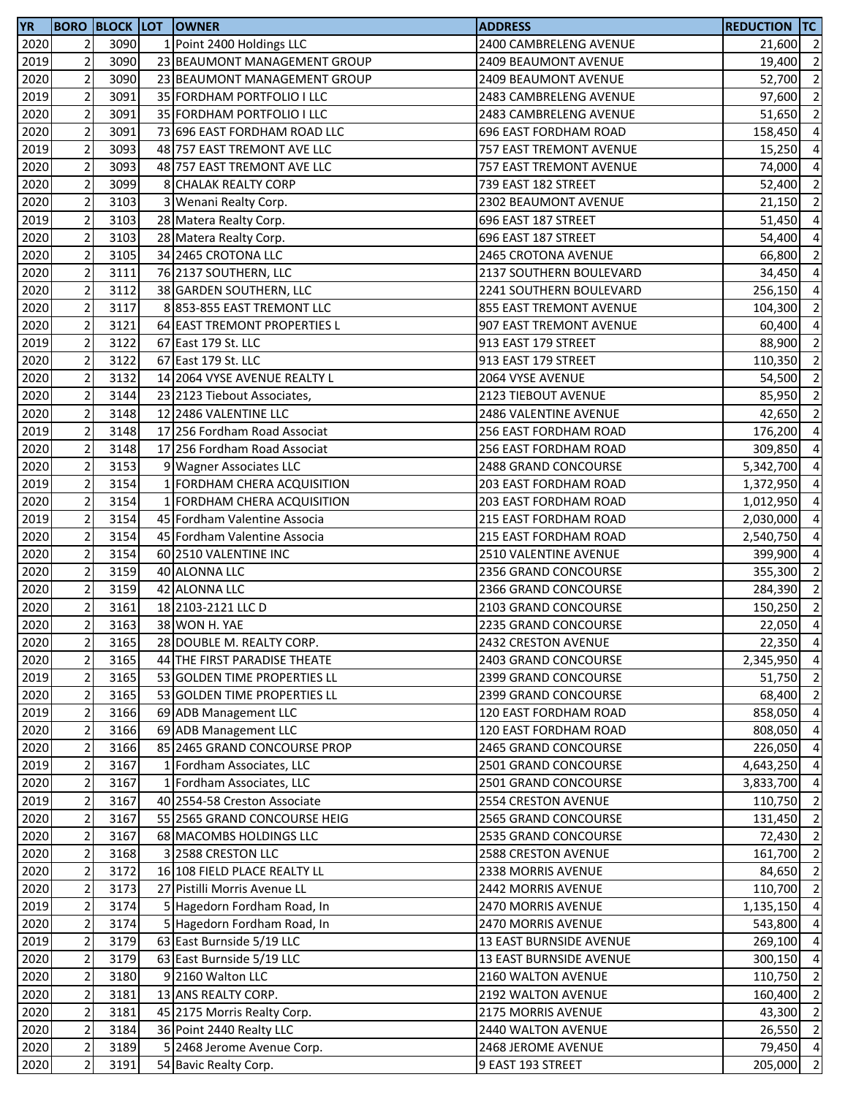| 2020<br>2<br>1 Point 2400 Holdings LLC<br>3090<br>2400 CAMBRELENG AVENUE<br>21,600 2<br>$\overline{2}$<br>3090<br>2019<br>23 BEAUMONT MANAGEMENT GROUP<br>2409 BEAUMONT AVENUE<br>19,400<br>$\overline{2}$<br>2020<br>3090<br>23 BEAUMONT MANAGEMENT GROUP<br>2409 BEAUMONT AVENUE<br>52,700<br>$\mathbf 2$<br>2019<br>3091<br>35 FORDHAM PORTFOLIO I LLC<br>2483 CAMBRELENG AVENUE<br>97,600<br>$\mathbf 2$<br>2020<br>3091<br>35 FORDHAM PORTFOLIO I LLC<br>2483 CAMBRELENG AVENUE<br>51,650<br>$\mathbf 2$<br>2020<br>3091<br>73 696 EAST FORDHAM ROAD LLC<br>696 EAST FORDHAM ROAD<br>158,450<br>$\mathbf 2$<br>2019<br>3093<br>48 757 EAST TREMONT AVE LLC<br>757 EAST TREMONT AVENUE<br>15,250<br>$\sqrt{2}$<br>2020<br>3093<br>48 757 EAST TREMONT AVE LLC<br>757 EAST TREMONT AVENUE<br>74,000<br>$\mathbf 2$<br>2020<br>3099<br>8 CHALAK REALTY CORP<br>739 EAST 182 STREET<br>52,400<br>$\overline{2}$<br>2020<br>3103<br>3 Wenani Realty Corp.<br>2302 BEAUMONT AVENUE<br>21,150<br>$\overline{c}$<br>3103<br>2019<br>696 EAST 187 STREET<br>28 Matera Realty Corp.<br>51,450<br>$\mathbf 2$<br>2020<br>3103<br>696 EAST 187 STREET<br>28 Matera Realty Corp.<br>54,400<br>$\mathbf 2$<br>2020<br>3105<br>34 2465 CROTONA LLC<br><b>2465 CROTONA AVENUE</b><br>66,800<br>$\overline{c}$<br>2020<br>3111<br>76 2137 SOUTHERN, LLC<br>2137 SOUTHERN BOULEVARD<br>34,450<br>$\overline{c}$<br>2020<br>3112<br>38 GARDEN SOUTHERN, LLC<br>2241 SOUTHERN BOULEVARD<br>256,150<br>$\mathbf 2$<br>2020<br>3117<br>8853-855 EAST TREMONT LLC<br>855 EAST TREMONT AVENUE<br>104,300<br>$\overline{2}$<br>2020<br>3121<br>64 EAST TREMONT PROPERTIES L<br>907 EAST TREMONT AVENUE<br>60,400<br>$\overline{2}$<br>2019<br>3122<br>67 East 179 St. LLC<br>913 EAST 179 STREET<br>88,900<br>$\overline{c}$<br>2020<br>3122<br>67 East 179 St. LLC<br>913 EAST 179 STREET<br>110,350<br>$\mathbf 2$<br>2020<br>3132<br>14 2064 VYSE AVENUE REALTY L<br>2064 VYSE AVENUE<br>54,500<br>$\mathbf 2$<br>2020<br>3144<br>85,950<br>2123 TIEBOUT AVENUE<br>23 2123 Tiebout Associates,<br>$\mathbf 2$<br>2020<br>3148<br>12 2486 VALENTINE LLC<br>2486 VALENTINE AVENUE<br>42,650<br>$\mathbf 2$<br>2019<br>3148<br>17 256 Fordham Road Associat<br>256 EAST FORDHAM ROAD<br>176,200<br>$\mathbf 2$<br>2020<br>3148<br>17 256 Fordham Road Associat<br>256 EAST FORDHAM ROAD<br>309,850<br>$\sqrt{2}$<br>2020<br>3153<br>2488 GRAND CONCOURSE<br>5,342,700<br>9 Wagner Associates LLC<br>$\mathbf 2$<br>2019<br>3154<br>1 FORDHAM CHERA ACQUISITION<br>203 EAST FORDHAM ROAD<br>1,372,950<br>$\overline{2}$<br>2020<br>3154<br>1 FORDHAM CHERA ACQUISITION<br>203 EAST FORDHAM ROAD<br>1,012,950<br>$\mathbf 2$<br>2019<br>3154<br>45 Fordham Valentine Associa<br>215 EAST FORDHAM ROAD<br>2,030,000<br>$\sqrt{2}$<br>2020<br>3154<br>45 Fordham Valentine Associa<br>215 EAST FORDHAM ROAD<br>2,540,750<br>$\mathbf 2$<br>2020<br>3154<br>60 2510 VALENTINE INC<br><b>2510 VALENTINE AVENUE</b><br>399,900<br>$\mathbf 2$<br>3159<br>2020<br>40 ALONNA LLC<br>2356 GRAND CONCOURSE<br>355,300<br>$\overline{2}$<br>3159<br>2020<br>42 ALONNA LLC<br>2366 GRAND CONCOURSE<br>284,390<br>$\mathbf 2$<br>2020<br>3161<br>18 2103-2121 LLC D<br>2103 GRAND CONCOURSE<br>150,250<br>$\overline{2}$<br>3163<br>2020<br>38 WON H. YAE<br>2235 GRAND CONCOURSE<br>2020<br>2<br>3165<br>28 DOUBLE M. REALTY CORP.<br>2432 CRESTON AVENUE<br>$\mathbf 2$<br>2020<br>3165<br>44 THE FIRST PARADISE THEATE<br>2403 GRAND CONCOURSE<br>2019<br>$\mathbf 2$<br>3165<br>53 GOLDEN TIME PROPERTIES LL<br>2399 GRAND CONCOURSE<br>51,750<br>$\mathbf 2$<br>2020<br>3165<br>53 GOLDEN TIME PROPERTIES LL<br>2399 GRAND CONCOURSE<br>$\overline{c}$<br>2019<br>3166<br>69 ADB Management LLC<br>120 EAST FORDHAM ROAD<br>$\overline{c}$<br>2020<br>3166<br>69 ADB Management LLC<br>120 EAST FORDHAM ROAD<br>$\overline{2}$<br>2020<br>3166<br>85 2465 GRAND CONCOURSE PROP<br>2465 GRAND CONCOURSE<br>226,050<br>$\overline{2}$<br>2019<br>3167<br>1 Fordham Associates, LLC<br>2501 GRAND CONCOURSE<br>$\mathbf 2$<br>2020<br>3167<br>1 Fordham Associates, LLC<br>2501 GRAND CONCOURSE<br>3,833,700<br>$\mathbf 2$<br>2019<br>3167<br>40 2554-58 Creston Associate<br>2554 CRESTON AVENUE<br>110,750<br>2020<br>$\mathbf 2$<br>3167<br>55 2565 GRAND CONCOURSE HEIG<br>2565 GRAND CONCOURSE<br>131,450<br>2020<br>2<br>3167<br>68 MACOMBS HOLDINGS LLC<br>2535 GRAND CONCOURSE<br>$\mathbf 2$<br>2020<br>3168<br>3 2588 CRESTON LLC<br>2588 CRESTON AVENUE<br>2020<br>$\mathbf 2$<br>3172<br>16 108 FIELD PLACE REALTY LL<br>84,650<br>2338 MORRIS AVENUE<br>$\overline{c}$<br>2020<br>3173<br>27 Pistilli Morris Avenue LL<br>2442 MORRIS AVENUE<br>2019<br>$\mathbf 2$<br>5 Hagedorn Fordham Road, In<br>3174<br>2470 MORRIS AVENUE<br>$\mathbf 2$<br>2020<br>5 Hagedorn Fordham Road, In<br>3174<br>2470 MORRIS AVENUE<br>543,800<br>$\mathbf 2$<br>2019<br>3179<br>63 East Burnside 5/19 LLC<br>13 EAST BURNSIDE AVENUE<br>269,100<br>$\mathbf 2$<br>2020<br>3179<br>63 East Burnside 5/19 LLC<br>13 EAST BURNSIDE AVENUE<br>300,150<br>$\mathbf 2$<br>2020<br>3180<br>9 2160 Walton LLC<br>2160 WALTON AVENUE<br>110,750<br>$\mathbf 2$<br>2020<br>3181<br>13 ANS REALTY CORP.<br>2192 WALTON AVENUE<br>160,400<br>$\mathbf 2$<br>3181<br>2020<br>2175 MORRIS AVENUE<br>43,300<br>45 2175 Morris Realty Corp.<br>$\overline{c}$<br>2020<br>3184<br>36 Point 2440 Realty LLC<br>2440 WALTON AVENUE<br>$\sqrt{2}$<br>5 2468 Jerome Avenue Corp.<br>2020<br>3189<br>2468 JEROME AVENUE<br>$\sqrt{2}$<br>2020<br>3191<br>54 Bavic Realty Corp.<br>9 EAST 193 STREET<br>205,000 | <b>YR</b> |  | <b>BORO BLOCK LOT OWNER</b> | <b>ADDRESS</b> | <b>REDUCTION TC</b> |  |
|----------------------------------------------------------------------------------------------------------------------------------------------------------------------------------------------------------------------------------------------------------------------------------------------------------------------------------------------------------------------------------------------------------------------------------------------------------------------------------------------------------------------------------------------------------------------------------------------------------------------------------------------------------------------------------------------------------------------------------------------------------------------------------------------------------------------------------------------------------------------------------------------------------------------------------------------------------------------------------------------------------------------------------------------------------------------------------------------------------------------------------------------------------------------------------------------------------------------------------------------------------------------------------------------------------------------------------------------------------------------------------------------------------------------------------------------------------------------------------------------------------------------------------------------------------------------------------------------------------------------------------------------------------------------------------------------------------------------------------------------------------------------------------------------------------------------------------------------------------------------------------------------------------------------------------------------------------------------------------------------------------------------------------------------------------------------------------------------------------------------------------------------------------------------------------------------------------------------------------------------------------------------------------------------------------------------------------------------------------------------------------------------------------------------------------------------------------------------------------------------------------------------------------------------------------------------------------------------------------------------------------------------------------------------------------------------------------------------------------------------------------------------------------------------------------------------------------------------------------------------------------------------------------------------------------------------------------------------------------------------------------------------------------------------------------------------------------------------------------------------------------------------------------------------------------------------------------------------------------------------------------------------------------------------------------------------------------------------------------------------------------------------------------------------------------------------------------------------------------------------------------------------------------------------------------------------------------------------------------------------------------------------------------------------------------------------------------------------------------------------------------------------------------------------------------------------------------------------------------------------------------------------------------------------------------------------------------------------------------------------------------------------------------------------------------------------------------------------------------------------------------------------------------------------------------------------------------------------------------------------------------------------------------------------------------------------------------------------------------------------------------------------------------------------------------------------------------------------------------------------------------------------------------------------------------------------------------------------------------------------------------------------------------------------------------------------------------------------------------------------------------------------------------------------------------------------------------------------------------------------------------------------------------------------------------------------------------------------------------------------------------------------------------------------------------------------------------------------------------------------------------------------------------------------------------------------------------------------------------------------------------------------------------------------------------------------------------------------------------------------------------------------------------------------------------------------------------------------------------------------------------------------------------------------------------------------------------------------------------------------------------------------------------|-----------|--|-----------------------------|----------------|---------------------|--|
| $\overline{2}$<br>$\overline{2}$<br>$\overline{\phantom{0}}$<br>$\overline{2}$<br>$\overline{4}$<br>$\overline{4}$<br>$\overline{4}$<br>$\overline{2}$<br>$\overline{2}$<br>$\overline{4}$<br>$\overline{a}$<br>$\overline{2}$<br>$\overline{4}$<br>$\overline{4}$<br>$\overline{2}$<br>$\overline{4}$<br>$\overline{2}$<br>$\overline{2}$<br>$\overline{2}$<br>$\overline{2}$<br>$\overline{2}$<br>$\overline{4}$<br>$\overline{4}$<br>$\overline{4}$<br>$\overline{a}$<br>$\overline{4}$<br>$\overline{a}$<br>$\overline{4}$<br>$\overline{4}$<br>$\overline{2}$<br>$\overline{2}$<br>$\overline{\phantom{a}}$<br>22,350 4<br>2,345,950 4<br>$\overline{2}$<br>858,050 4<br>808,050 4<br>$\overline{4}$<br>4,643,250 4<br>$\overline{4}$<br>$\overline{\phantom{0}}$<br>$\overline{2}$<br>161,700 2<br>$\overline{2}$<br>$\overline{4}$<br>$\overline{4}$<br>$\overline{4}$<br>$\overline{2}$<br>$\overline{2}$<br>$\overline{2}$<br>$\overline{2}$                                                                                                                                                                                                                                                                                                                                                                                                                                                                                                                                                                                                                                                                                                                                                                                                                                                                                                                                                                                                                                                                                                                                                                                                                                                                                                                                                                                                                                                                                                                                                                                                                                                                                                                                                                                                                                                                                                                                                                                                                                                                                                                                                                                                                                                                                                                                                                                                                                                                                                                                                                                                                                                                                                                                                                                                                                                                                                                                                                                                                                                                                                                                                                                                                                                                                                                                                                                                                                                                                                                                                                                                                                                                                                                                                                                                                                                                                                                                                                                                                                                                                                                                                                                                                                                                                                                                                                                                                                                                                                                                                                                                                                                                                                    |           |  |                             |                |                     |  |
| 22,050 4<br>68,400 2<br>72,430 2<br>110,700 2<br>1,135,150 4                                                                                                                                                                                                                                                                                                                                                                                                                                                                                                                                                                                                                                                                                                                                                                                                                                                                                                                                                                                                                                                                                                                                                                                                                                                                                                                                                                                                                                                                                                                                                                                                                                                                                                                                                                                                                                                                                                                                                                                                                                                                                                                                                                                                                                                                                                                                                                                                                                                                                                                                                                                                                                                                                                                                                                                                                                                                                                                                                                                                                                                                                                                                                                                                                                                                                                                                                                                                                                                                                                                                                                                                                                                                                                                                                                                                                                                                                                                                                                                                                                                                                                                                                                                                                                                                                                                                                                                                                                                                                                                                                                                                                                                                                                                                                                                                                                                                                                                                                                                                                                                                                                                                                                                                                                                                                                                                                                                                                                                                                                                                                                                             |           |  |                             |                |                     |  |
|                                                                                                                                                                                                                                                                                                                                                                                                                                                                                                                                                                                                                                                                                                                                                                                                                                                                                                                                                                                                                                                                                                                                                                                                                                                                                                                                                                                                                                                                                                                                                                                                                                                                                                                                                                                                                                                                                                                                                                                                                                                                                                                                                                                                                                                                                                                                                                                                                                                                                                                                                                                                                                                                                                                                                                                                                                                                                                                                                                                                                                                                                                                                                                                                                                                                                                                                                                                                                                                                                                                                                                                                                                                                                                                                                                                                                                                                                                                                                                                                                                                                                                                                                                                                                                                                                                                                                                                                                                                                                                                                                                                                                                                                                                                                                                                                                                                                                                                                                                                                                                                                                                                                                                                                                                                                                                                                                                                                                                                                                                                                                                                                                                                          |           |  |                             |                |                     |  |
|                                                                                                                                                                                                                                                                                                                                                                                                                                                                                                                                                                                                                                                                                                                                                                                                                                                                                                                                                                                                                                                                                                                                                                                                                                                                                                                                                                                                                                                                                                                                                                                                                                                                                                                                                                                                                                                                                                                                                                                                                                                                                                                                                                                                                                                                                                                                                                                                                                                                                                                                                                                                                                                                                                                                                                                                                                                                                                                                                                                                                                                                                                                                                                                                                                                                                                                                                                                                                                                                                                                                                                                                                                                                                                                                                                                                                                                                                                                                                                                                                                                                                                                                                                                                                                                                                                                                                                                                                                                                                                                                                                                                                                                                                                                                                                                                                                                                                                                                                                                                                                                                                                                                                                                                                                                                                                                                                                                                                                                                                                                                                                                                                                                          |           |  |                             |                |                     |  |
|                                                                                                                                                                                                                                                                                                                                                                                                                                                                                                                                                                                                                                                                                                                                                                                                                                                                                                                                                                                                                                                                                                                                                                                                                                                                                                                                                                                                                                                                                                                                                                                                                                                                                                                                                                                                                                                                                                                                                                                                                                                                                                                                                                                                                                                                                                                                                                                                                                                                                                                                                                                                                                                                                                                                                                                                                                                                                                                                                                                                                                                                                                                                                                                                                                                                                                                                                                                                                                                                                                                                                                                                                                                                                                                                                                                                                                                                                                                                                                                                                                                                                                                                                                                                                                                                                                                                                                                                                                                                                                                                                                                                                                                                                                                                                                                                                                                                                                                                                                                                                                                                                                                                                                                                                                                                                                                                                                                                                                                                                                                                                                                                                                                          |           |  |                             |                |                     |  |
|                                                                                                                                                                                                                                                                                                                                                                                                                                                                                                                                                                                                                                                                                                                                                                                                                                                                                                                                                                                                                                                                                                                                                                                                                                                                                                                                                                                                                                                                                                                                                                                                                                                                                                                                                                                                                                                                                                                                                                                                                                                                                                                                                                                                                                                                                                                                                                                                                                                                                                                                                                                                                                                                                                                                                                                                                                                                                                                                                                                                                                                                                                                                                                                                                                                                                                                                                                                                                                                                                                                                                                                                                                                                                                                                                                                                                                                                                                                                                                                                                                                                                                                                                                                                                                                                                                                                                                                                                                                                                                                                                                                                                                                                                                                                                                                                                                                                                                                                                                                                                                                                                                                                                                                                                                                                                                                                                                                                                                                                                                                                                                                                                                                          |           |  |                             |                |                     |  |
|                                                                                                                                                                                                                                                                                                                                                                                                                                                                                                                                                                                                                                                                                                                                                                                                                                                                                                                                                                                                                                                                                                                                                                                                                                                                                                                                                                                                                                                                                                                                                                                                                                                                                                                                                                                                                                                                                                                                                                                                                                                                                                                                                                                                                                                                                                                                                                                                                                                                                                                                                                                                                                                                                                                                                                                                                                                                                                                                                                                                                                                                                                                                                                                                                                                                                                                                                                                                                                                                                                                                                                                                                                                                                                                                                                                                                                                                                                                                                                                                                                                                                                                                                                                                                                                                                                                                                                                                                                                                                                                                                                                                                                                                                                                                                                                                                                                                                                                                                                                                                                                                                                                                                                                                                                                                                                                                                                                                                                                                                                                                                                                                                                                          |           |  |                             |                |                     |  |
|                                                                                                                                                                                                                                                                                                                                                                                                                                                                                                                                                                                                                                                                                                                                                                                                                                                                                                                                                                                                                                                                                                                                                                                                                                                                                                                                                                                                                                                                                                                                                                                                                                                                                                                                                                                                                                                                                                                                                                                                                                                                                                                                                                                                                                                                                                                                                                                                                                                                                                                                                                                                                                                                                                                                                                                                                                                                                                                                                                                                                                                                                                                                                                                                                                                                                                                                                                                                                                                                                                                                                                                                                                                                                                                                                                                                                                                                                                                                                                                                                                                                                                                                                                                                                                                                                                                                                                                                                                                                                                                                                                                                                                                                                                                                                                                                                                                                                                                                                                                                                                                                                                                                                                                                                                                                                                                                                                                                                                                                                                                                                                                                                                                          |           |  |                             |                |                     |  |
|                                                                                                                                                                                                                                                                                                                                                                                                                                                                                                                                                                                                                                                                                                                                                                                                                                                                                                                                                                                                                                                                                                                                                                                                                                                                                                                                                                                                                                                                                                                                                                                                                                                                                                                                                                                                                                                                                                                                                                                                                                                                                                                                                                                                                                                                                                                                                                                                                                                                                                                                                                                                                                                                                                                                                                                                                                                                                                                                                                                                                                                                                                                                                                                                                                                                                                                                                                                                                                                                                                                                                                                                                                                                                                                                                                                                                                                                                                                                                                                                                                                                                                                                                                                                                                                                                                                                                                                                                                                                                                                                                                                                                                                                                                                                                                                                                                                                                                                                                                                                                                                                                                                                                                                                                                                                                                                                                                                                                                                                                                                                                                                                                                                          |           |  |                             |                |                     |  |
|                                                                                                                                                                                                                                                                                                                                                                                                                                                                                                                                                                                                                                                                                                                                                                                                                                                                                                                                                                                                                                                                                                                                                                                                                                                                                                                                                                                                                                                                                                                                                                                                                                                                                                                                                                                                                                                                                                                                                                                                                                                                                                                                                                                                                                                                                                                                                                                                                                                                                                                                                                                                                                                                                                                                                                                                                                                                                                                                                                                                                                                                                                                                                                                                                                                                                                                                                                                                                                                                                                                                                                                                                                                                                                                                                                                                                                                                                                                                                                                                                                                                                                                                                                                                                                                                                                                                                                                                                                                                                                                                                                                                                                                                                                                                                                                                                                                                                                                                                                                                                                                                                                                                                                                                                                                                                                                                                                                                                                                                                                                                                                                                                                                          |           |  |                             |                |                     |  |
|                                                                                                                                                                                                                                                                                                                                                                                                                                                                                                                                                                                                                                                                                                                                                                                                                                                                                                                                                                                                                                                                                                                                                                                                                                                                                                                                                                                                                                                                                                                                                                                                                                                                                                                                                                                                                                                                                                                                                                                                                                                                                                                                                                                                                                                                                                                                                                                                                                                                                                                                                                                                                                                                                                                                                                                                                                                                                                                                                                                                                                                                                                                                                                                                                                                                                                                                                                                                                                                                                                                                                                                                                                                                                                                                                                                                                                                                                                                                                                                                                                                                                                                                                                                                                                                                                                                                                                                                                                                                                                                                                                                                                                                                                                                                                                                                                                                                                                                                                                                                                                                                                                                                                                                                                                                                                                                                                                                                                                                                                                                                                                                                                                                          |           |  |                             |                |                     |  |
|                                                                                                                                                                                                                                                                                                                                                                                                                                                                                                                                                                                                                                                                                                                                                                                                                                                                                                                                                                                                                                                                                                                                                                                                                                                                                                                                                                                                                                                                                                                                                                                                                                                                                                                                                                                                                                                                                                                                                                                                                                                                                                                                                                                                                                                                                                                                                                                                                                                                                                                                                                                                                                                                                                                                                                                                                                                                                                                                                                                                                                                                                                                                                                                                                                                                                                                                                                                                                                                                                                                                                                                                                                                                                                                                                                                                                                                                                                                                                                                                                                                                                                                                                                                                                                                                                                                                                                                                                                                                                                                                                                                                                                                                                                                                                                                                                                                                                                                                                                                                                                                                                                                                                                                                                                                                                                                                                                                                                                                                                                                                                                                                                                                          |           |  |                             |                |                     |  |
|                                                                                                                                                                                                                                                                                                                                                                                                                                                                                                                                                                                                                                                                                                                                                                                                                                                                                                                                                                                                                                                                                                                                                                                                                                                                                                                                                                                                                                                                                                                                                                                                                                                                                                                                                                                                                                                                                                                                                                                                                                                                                                                                                                                                                                                                                                                                                                                                                                                                                                                                                                                                                                                                                                                                                                                                                                                                                                                                                                                                                                                                                                                                                                                                                                                                                                                                                                                                                                                                                                                                                                                                                                                                                                                                                                                                                                                                                                                                                                                                                                                                                                                                                                                                                                                                                                                                                                                                                                                                                                                                                                                                                                                                                                                                                                                                                                                                                                                                                                                                                                                                                                                                                                                                                                                                                                                                                                                                                                                                                                                                                                                                                                                          |           |  |                             |                |                     |  |
|                                                                                                                                                                                                                                                                                                                                                                                                                                                                                                                                                                                                                                                                                                                                                                                                                                                                                                                                                                                                                                                                                                                                                                                                                                                                                                                                                                                                                                                                                                                                                                                                                                                                                                                                                                                                                                                                                                                                                                                                                                                                                                                                                                                                                                                                                                                                                                                                                                                                                                                                                                                                                                                                                                                                                                                                                                                                                                                                                                                                                                                                                                                                                                                                                                                                                                                                                                                                                                                                                                                                                                                                                                                                                                                                                                                                                                                                                                                                                                                                                                                                                                                                                                                                                                                                                                                                                                                                                                                                                                                                                                                                                                                                                                                                                                                                                                                                                                                                                                                                                                                                                                                                                                                                                                                                                                                                                                                                                                                                                                                                                                                                                                                          |           |  |                             |                |                     |  |
|                                                                                                                                                                                                                                                                                                                                                                                                                                                                                                                                                                                                                                                                                                                                                                                                                                                                                                                                                                                                                                                                                                                                                                                                                                                                                                                                                                                                                                                                                                                                                                                                                                                                                                                                                                                                                                                                                                                                                                                                                                                                                                                                                                                                                                                                                                                                                                                                                                                                                                                                                                                                                                                                                                                                                                                                                                                                                                                                                                                                                                                                                                                                                                                                                                                                                                                                                                                                                                                                                                                                                                                                                                                                                                                                                                                                                                                                                                                                                                                                                                                                                                                                                                                                                                                                                                                                                                                                                                                                                                                                                                                                                                                                                                                                                                                                                                                                                                                                                                                                                                                                                                                                                                                                                                                                                                                                                                                                                                                                                                                                                                                                                                                          |           |  |                             |                |                     |  |
|                                                                                                                                                                                                                                                                                                                                                                                                                                                                                                                                                                                                                                                                                                                                                                                                                                                                                                                                                                                                                                                                                                                                                                                                                                                                                                                                                                                                                                                                                                                                                                                                                                                                                                                                                                                                                                                                                                                                                                                                                                                                                                                                                                                                                                                                                                                                                                                                                                                                                                                                                                                                                                                                                                                                                                                                                                                                                                                                                                                                                                                                                                                                                                                                                                                                                                                                                                                                                                                                                                                                                                                                                                                                                                                                                                                                                                                                                                                                                                                                                                                                                                                                                                                                                                                                                                                                                                                                                                                                                                                                                                                                                                                                                                                                                                                                                                                                                                                                                                                                                                                                                                                                                                                                                                                                                                                                                                                                                                                                                                                                                                                                                                                          |           |  |                             |                |                     |  |
|                                                                                                                                                                                                                                                                                                                                                                                                                                                                                                                                                                                                                                                                                                                                                                                                                                                                                                                                                                                                                                                                                                                                                                                                                                                                                                                                                                                                                                                                                                                                                                                                                                                                                                                                                                                                                                                                                                                                                                                                                                                                                                                                                                                                                                                                                                                                                                                                                                                                                                                                                                                                                                                                                                                                                                                                                                                                                                                                                                                                                                                                                                                                                                                                                                                                                                                                                                                                                                                                                                                                                                                                                                                                                                                                                                                                                                                                                                                                                                                                                                                                                                                                                                                                                                                                                                                                                                                                                                                                                                                                                                                                                                                                                                                                                                                                                                                                                                                                                                                                                                                                                                                                                                                                                                                                                                                                                                                                                                                                                                                                                                                                                                                          |           |  |                             |                |                     |  |
|                                                                                                                                                                                                                                                                                                                                                                                                                                                                                                                                                                                                                                                                                                                                                                                                                                                                                                                                                                                                                                                                                                                                                                                                                                                                                                                                                                                                                                                                                                                                                                                                                                                                                                                                                                                                                                                                                                                                                                                                                                                                                                                                                                                                                                                                                                                                                                                                                                                                                                                                                                                                                                                                                                                                                                                                                                                                                                                                                                                                                                                                                                                                                                                                                                                                                                                                                                                                                                                                                                                                                                                                                                                                                                                                                                                                                                                                                                                                                                                                                                                                                                                                                                                                                                                                                                                                                                                                                                                                                                                                                                                                                                                                                                                                                                                                                                                                                                                                                                                                                                                                                                                                                                                                                                                                                                                                                                                                                                                                                                                                                                                                                                                          |           |  |                             |                |                     |  |
|                                                                                                                                                                                                                                                                                                                                                                                                                                                                                                                                                                                                                                                                                                                                                                                                                                                                                                                                                                                                                                                                                                                                                                                                                                                                                                                                                                                                                                                                                                                                                                                                                                                                                                                                                                                                                                                                                                                                                                                                                                                                                                                                                                                                                                                                                                                                                                                                                                                                                                                                                                                                                                                                                                                                                                                                                                                                                                                                                                                                                                                                                                                                                                                                                                                                                                                                                                                                                                                                                                                                                                                                                                                                                                                                                                                                                                                                                                                                                                                                                                                                                                                                                                                                                                                                                                                                                                                                                                                                                                                                                                                                                                                                                                                                                                                                                                                                                                                                                                                                                                                                                                                                                                                                                                                                                                                                                                                                                                                                                                                                                                                                                                                          |           |  |                             |                |                     |  |
|                                                                                                                                                                                                                                                                                                                                                                                                                                                                                                                                                                                                                                                                                                                                                                                                                                                                                                                                                                                                                                                                                                                                                                                                                                                                                                                                                                                                                                                                                                                                                                                                                                                                                                                                                                                                                                                                                                                                                                                                                                                                                                                                                                                                                                                                                                                                                                                                                                                                                                                                                                                                                                                                                                                                                                                                                                                                                                                                                                                                                                                                                                                                                                                                                                                                                                                                                                                                                                                                                                                                                                                                                                                                                                                                                                                                                                                                                                                                                                                                                                                                                                                                                                                                                                                                                                                                                                                                                                                                                                                                                                                                                                                                                                                                                                                                                                                                                                                                                                                                                                                                                                                                                                                                                                                                                                                                                                                                                                                                                                                                                                                                                                                          |           |  |                             |                |                     |  |
|                                                                                                                                                                                                                                                                                                                                                                                                                                                                                                                                                                                                                                                                                                                                                                                                                                                                                                                                                                                                                                                                                                                                                                                                                                                                                                                                                                                                                                                                                                                                                                                                                                                                                                                                                                                                                                                                                                                                                                                                                                                                                                                                                                                                                                                                                                                                                                                                                                                                                                                                                                                                                                                                                                                                                                                                                                                                                                                                                                                                                                                                                                                                                                                                                                                                                                                                                                                                                                                                                                                                                                                                                                                                                                                                                                                                                                                                                                                                                                                                                                                                                                                                                                                                                                                                                                                                                                                                                                                                                                                                                                                                                                                                                                                                                                                                                                                                                                                                                                                                                                                                                                                                                                                                                                                                                                                                                                                                                                                                                                                                                                                                                                                          |           |  |                             |                |                     |  |
|                                                                                                                                                                                                                                                                                                                                                                                                                                                                                                                                                                                                                                                                                                                                                                                                                                                                                                                                                                                                                                                                                                                                                                                                                                                                                                                                                                                                                                                                                                                                                                                                                                                                                                                                                                                                                                                                                                                                                                                                                                                                                                                                                                                                                                                                                                                                                                                                                                                                                                                                                                                                                                                                                                                                                                                                                                                                                                                                                                                                                                                                                                                                                                                                                                                                                                                                                                                                                                                                                                                                                                                                                                                                                                                                                                                                                                                                                                                                                                                                                                                                                                                                                                                                                                                                                                                                                                                                                                                                                                                                                                                                                                                                                                                                                                                                                                                                                                                                                                                                                                                                                                                                                                                                                                                                                                                                                                                                                                                                                                                                                                                                                                                          |           |  |                             |                |                     |  |
|                                                                                                                                                                                                                                                                                                                                                                                                                                                                                                                                                                                                                                                                                                                                                                                                                                                                                                                                                                                                                                                                                                                                                                                                                                                                                                                                                                                                                                                                                                                                                                                                                                                                                                                                                                                                                                                                                                                                                                                                                                                                                                                                                                                                                                                                                                                                                                                                                                                                                                                                                                                                                                                                                                                                                                                                                                                                                                                                                                                                                                                                                                                                                                                                                                                                                                                                                                                                                                                                                                                                                                                                                                                                                                                                                                                                                                                                                                                                                                                                                                                                                                                                                                                                                                                                                                                                                                                                                                                                                                                                                                                                                                                                                                                                                                                                                                                                                                                                                                                                                                                                                                                                                                                                                                                                                                                                                                                                                                                                                                                                                                                                                                                          |           |  |                             |                |                     |  |
|                                                                                                                                                                                                                                                                                                                                                                                                                                                                                                                                                                                                                                                                                                                                                                                                                                                                                                                                                                                                                                                                                                                                                                                                                                                                                                                                                                                                                                                                                                                                                                                                                                                                                                                                                                                                                                                                                                                                                                                                                                                                                                                                                                                                                                                                                                                                                                                                                                                                                                                                                                                                                                                                                                                                                                                                                                                                                                                                                                                                                                                                                                                                                                                                                                                                                                                                                                                                                                                                                                                                                                                                                                                                                                                                                                                                                                                                                                                                                                                                                                                                                                                                                                                                                                                                                                                                                                                                                                                                                                                                                                                                                                                                                                                                                                                                                                                                                                                                                                                                                                                                                                                                                                                                                                                                                                                                                                                                                                                                                                                                                                                                                                                          |           |  |                             |                |                     |  |
|                                                                                                                                                                                                                                                                                                                                                                                                                                                                                                                                                                                                                                                                                                                                                                                                                                                                                                                                                                                                                                                                                                                                                                                                                                                                                                                                                                                                                                                                                                                                                                                                                                                                                                                                                                                                                                                                                                                                                                                                                                                                                                                                                                                                                                                                                                                                                                                                                                                                                                                                                                                                                                                                                                                                                                                                                                                                                                                                                                                                                                                                                                                                                                                                                                                                                                                                                                                                                                                                                                                                                                                                                                                                                                                                                                                                                                                                                                                                                                                                                                                                                                                                                                                                                                                                                                                                                                                                                                                                                                                                                                                                                                                                                                                                                                                                                                                                                                                                                                                                                                                                                                                                                                                                                                                                                                                                                                                                                                                                                                                                                                                                                                                          |           |  |                             |                |                     |  |
|                                                                                                                                                                                                                                                                                                                                                                                                                                                                                                                                                                                                                                                                                                                                                                                                                                                                                                                                                                                                                                                                                                                                                                                                                                                                                                                                                                                                                                                                                                                                                                                                                                                                                                                                                                                                                                                                                                                                                                                                                                                                                                                                                                                                                                                                                                                                                                                                                                                                                                                                                                                                                                                                                                                                                                                                                                                                                                                                                                                                                                                                                                                                                                                                                                                                                                                                                                                                                                                                                                                                                                                                                                                                                                                                                                                                                                                                                                                                                                                                                                                                                                                                                                                                                                                                                                                                                                                                                                                                                                                                                                                                                                                                                                                                                                                                                                                                                                                                                                                                                                                                                                                                                                                                                                                                                                                                                                                                                                                                                                                                                                                                                                                          |           |  |                             |                |                     |  |
|                                                                                                                                                                                                                                                                                                                                                                                                                                                                                                                                                                                                                                                                                                                                                                                                                                                                                                                                                                                                                                                                                                                                                                                                                                                                                                                                                                                                                                                                                                                                                                                                                                                                                                                                                                                                                                                                                                                                                                                                                                                                                                                                                                                                                                                                                                                                                                                                                                                                                                                                                                                                                                                                                                                                                                                                                                                                                                                                                                                                                                                                                                                                                                                                                                                                                                                                                                                                                                                                                                                                                                                                                                                                                                                                                                                                                                                                                                                                                                                                                                                                                                                                                                                                                                                                                                                                                                                                                                                                                                                                                                                                                                                                                                                                                                                                                                                                                                                                                                                                                                                                                                                                                                                                                                                                                                                                                                                                                                                                                                                                                                                                                                                          |           |  |                             |                |                     |  |
|                                                                                                                                                                                                                                                                                                                                                                                                                                                                                                                                                                                                                                                                                                                                                                                                                                                                                                                                                                                                                                                                                                                                                                                                                                                                                                                                                                                                                                                                                                                                                                                                                                                                                                                                                                                                                                                                                                                                                                                                                                                                                                                                                                                                                                                                                                                                                                                                                                                                                                                                                                                                                                                                                                                                                                                                                                                                                                                                                                                                                                                                                                                                                                                                                                                                                                                                                                                                                                                                                                                                                                                                                                                                                                                                                                                                                                                                                                                                                                                                                                                                                                                                                                                                                                                                                                                                                                                                                                                                                                                                                                                                                                                                                                                                                                                                                                                                                                                                                                                                                                                                                                                                                                                                                                                                                                                                                                                                                                                                                                                                                                                                                                                          |           |  |                             |                |                     |  |
|                                                                                                                                                                                                                                                                                                                                                                                                                                                                                                                                                                                                                                                                                                                                                                                                                                                                                                                                                                                                                                                                                                                                                                                                                                                                                                                                                                                                                                                                                                                                                                                                                                                                                                                                                                                                                                                                                                                                                                                                                                                                                                                                                                                                                                                                                                                                                                                                                                                                                                                                                                                                                                                                                                                                                                                                                                                                                                                                                                                                                                                                                                                                                                                                                                                                                                                                                                                                                                                                                                                                                                                                                                                                                                                                                                                                                                                                                                                                                                                                                                                                                                                                                                                                                                                                                                                                                                                                                                                                                                                                                                                                                                                                                                                                                                                                                                                                                                                                                                                                                                                                                                                                                                                                                                                                                                                                                                                                                                                                                                                                                                                                                                                          |           |  |                             |                |                     |  |
|                                                                                                                                                                                                                                                                                                                                                                                                                                                                                                                                                                                                                                                                                                                                                                                                                                                                                                                                                                                                                                                                                                                                                                                                                                                                                                                                                                                                                                                                                                                                                                                                                                                                                                                                                                                                                                                                                                                                                                                                                                                                                                                                                                                                                                                                                                                                                                                                                                                                                                                                                                                                                                                                                                                                                                                                                                                                                                                                                                                                                                                                                                                                                                                                                                                                                                                                                                                                                                                                                                                                                                                                                                                                                                                                                                                                                                                                                                                                                                                                                                                                                                                                                                                                                                                                                                                                                                                                                                                                                                                                                                                                                                                                                                                                                                                                                                                                                                                                                                                                                                                                                                                                                                                                                                                                                                                                                                                                                                                                                                                                                                                                                                                          |           |  |                             |                |                     |  |
|                                                                                                                                                                                                                                                                                                                                                                                                                                                                                                                                                                                                                                                                                                                                                                                                                                                                                                                                                                                                                                                                                                                                                                                                                                                                                                                                                                                                                                                                                                                                                                                                                                                                                                                                                                                                                                                                                                                                                                                                                                                                                                                                                                                                                                                                                                                                                                                                                                                                                                                                                                                                                                                                                                                                                                                                                                                                                                                                                                                                                                                                                                                                                                                                                                                                                                                                                                                                                                                                                                                                                                                                                                                                                                                                                                                                                                                                                                                                                                                                                                                                                                                                                                                                                                                                                                                                                                                                                                                                                                                                                                                                                                                                                                                                                                                                                                                                                                                                                                                                                                                                                                                                                                                                                                                                                                                                                                                                                                                                                                                                                                                                                                                          |           |  |                             |                |                     |  |
|                                                                                                                                                                                                                                                                                                                                                                                                                                                                                                                                                                                                                                                                                                                                                                                                                                                                                                                                                                                                                                                                                                                                                                                                                                                                                                                                                                                                                                                                                                                                                                                                                                                                                                                                                                                                                                                                                                                                                                                                                                                                                                                                                                                                                                                                                                                                                                                                                                                                                                                                                                                                                                                                                                                                                                                                                                                                                                                                                                                                                                                                                                                                                                                                                                                                                                                                                                                                                                                                                                                                                                                                                                                                                                                                                                                                                                                                                                                                                                                                                                                                                                                                                                                                                                                                                                                                                                                                                                                                                                                                                                                                                                                                                                                                                                                                                                                                                                                                                                                                                                                                                                                                                                                                                                                                                                                                                                                                                                                                                                                                                                                                                                                          |           |  |                             |                |                     |  |
|                                                                                                                                                                                                                                                                                                                                                                                                                                                                                                                                                                                                                                                                                                                                                                                                                                                                                                                                                                                                                                                                                                                                                                                                                                                                                                                                                                                                                                                                                                                                                                                                                                                                                                                                                                                                                                                                                                                                                                                                                                                                                                                                                                                                                                                                                                                                                                                                                                                                                                                                                                                                                                                                                                                                                                                                                                                                                                                                                                                                                                                                                                                                                                                                                                                                                                                                                                                                                                                                                                                                                                                                                                                                                                                                                                                                                                                                                                                                                                                                                                                                                                                                                                                                                                                                                                                                                                                                                                                                                                                                                                                                                                                                                                                                                                                                                                                                                                                                                                                                                                                                                                                                                                                                                                                                                                                                                                                                                                                                                                                                                                                                                                                          |           |  |                             |                |                     |  |
|                                                                                                                                                                                                                                                                                                                                                                                                                                                                                                                                                                                                                                                                                                                                                                                                                                                                                                                                                                                                                                                                                                                                                                                                                                                                                                                                                                                                                                                                                                                                                                                                                                                                                                                                                                                                                                                                                                                                                                                                                                                                                                                                                                                                                                                                                                                                                                                                                                                                                                                                                                                                                                                                                                                                                                                                                                                                                                                                                                                                                                                                                                                                                                                                                                                                                                                                                                                                                                                                                                                                                                                                                                                                                                                                                                                                                                                                                                                                                                                                                                                                                                                                                                                                                                                                                                                                                                                                                                                                                                                                                                                                                                                                                                                                                                                                                                                                                                                                                                                                                                                                                                                                                                                                                                                                                                                                                                                                                                                                                                                                                                                                                                                          |           |  |                             |                |                     |  |
|                                                                                                                                                                                                                                                                                                                                                                                                                                                                                                                                                                                                                                                                                                                                                                                                                                                                                                                                                                                                                                                                                                                                                                                                                                                                                                                                                                                                                                                                                                                                                                                                                                                                                                                                                                                                                                                                                                                                                                                                                                                                                                                                                                                                                                                                                                                                                                                                                                                                                                                                                                                                                                                                                                                                                                                                                                                                                                                                                                                                                                                                                                                                                                                                                                                                                                                                                                                                                                                                                                                                                                                                                                                                                                                                                                                                                                                                                                                                                                                                                                                                                                                                                                                                                                                                                                                                                                                                                                                                                                                                                                                                                                                                                                                                                                                                                                                                                                                                                                                                                                                                                                                                                                                                                                                                                                                                                                                                                                                                                                                                                                                                                                                          |           |  |                             |                |                     |  |
|                                                                                                                                                                                                                                                                                                                                                                                                                                                                                                                                                                                                                                                                                                                                                                                                                                                                                                                                                                                                                                                                                                                                                                                                                                                                                                                                                                                                                                                                                                                                                                                                                                                                                                                                                                                                                                                                                                                                                                                                                                                                                                                                                                                                                                                                                                                                                                                                                                                                                                                                                                                                                                                                                                                                                                                                                                                                                                                                                                                                                                                                                                                                                                                                                                                                                                                                                                                                                                                                                                                                                                                                                                                                                                                                                                                                                                                                                                                                                                                                                                                                                                                                                                                                                                                                                                                                                                                                                                                                                                                                                                                                                                                                                                                                                                                                                                                                                                                                                                                                                                                                                                                                                                                                                                                                                                                                                                                                                                                                                                                                                                                                                                                          |           |  |                             |                |                     |  |
|                                                                                                                                                                                                                                                                                                                                                                                                                                                                                                                                                                                                                                                                                                                                                                                                                                                                                                                                                                                                                                                                                                                                                                                                                                                                                                                                                                                                                                                                                                                                                                                                                                                                                                                                                                                                                                                                                                                                                                                                                                                                                                                                                                                                                                                                                                                                                                                                                                                                                                                                                                                                                                                                                                                                                                                                                                                                                                                                                                                                                                                                                                                                                                                                                                                                                                                                                                                                                                                                                                                                                                                                                                                                                                                                                                                                                                                                                                                                                                                                                                                                                                                                                                                                                                                                                                                                                                                                                                                                                                                                                                                                                                                                                                                                                                                                                                                                                                                                                                                                                                                                                                                                                                                                                                                                                                                                                                                                                                                                                                                                                                                                                                                          |           |  |                             |                |                     |  |
|                                                                                                                                                                                                                                                                                                                                                                                                                                                                                                                                                                                                                                                                                                                                                                                                                                                                                                                                                                                                                                                                                                                                                                                                                                                                                                                                                                                                                                                                                                                                                                                                                                                                                                                                                                                                                                                                                                                                                                                                                                                                                                                                                                                                                                                                                                                                                                                                                                                                                                                                                                                                                                                                                                                                                                                                                                                                                                                                                                                                                                                                                                                                                                                                                                                                                                                                                                                                                                                                                                                                                                                                                                                                                                                                                                                                                                                                                                                                                                                                                                                                                                                                                                                                                                                                                                                                                                                                                                                                                                                                                                                                                                                                                                                                                                                                                                                                                                                                                                                                                                                                                                                                                                                                                                                                                                                                                                                                                                                                                                                                                                                                                                                          |           |  |                             |                |                     |  |
|                                                                                                                                                                                                                                                                                                                                                                                                                                                                                                                                                                                                                                                                                                                                                                                                                                                                                                                                                                                                                                                                                                                                                                                                                                                                                                                                                                                                                                                                                                                                                                                                                                                                                                                                                                                                                                                                                                                                                                                                                                                                                                                                                                                                                                                                                                                                                                                                                                                                                                                                                                                                                                                                                                                                                                                                                                                                                                                                                                                                                                                                                                                                                                                                                                                                                                                                                                                                                                                                                                                                                                                                                                                                                                                                                                                                                                                                                                                                                                                                                                                                                                                                                                                                                                                                                                                                                                                                                                                                                                                                                                                                                                                                                                                                                                                                                                                                                                                                                                                                                                                                                                                                                                                                                                                                                                                                                                                                                                                                                                                                                                                                                                                          |           |  |                             |                |                     |  |
|                                                                                                                                                                                                                                                                                                                                                                                                                                                                                                                                                                                                                                                                                                                                                                                                                                                                                                                                                                                                                                                                                                                                                                                                                                                                                                                                                                                                                                                                                                                                                                                                                                                                                                                                                                                                                                                                                                                                                                                                                                                                                                                                                                                                                                                                                                                                                                                                                                                                                                                                                                                                                                                                                                                                                                                                                                                                                                                                                                                                                                                                                                                                                                                                                                                                                                                                                                                                                                                                                                                                                                                                                                                                                                                                                                                                                                                                                                                                                                                                                                                                                                                                                                                                                                                                                                                                                                                                                                                                                                                                                                                                                                                                                                                                                                                                                                                                                                                                                                                                                                                                                                                                                                                                                                                                                                                                                                                                                                                                                                                                                                                                                                                          |           |  |                             |                |                     |  |
|                                                                                                                                                                                                                                                                                                                                                                                                                                                                                                                                                                                                                                                                                                                                                                                                                                                                                                                                                                                                                                                                                                                                                                                                                                                                                                                                                                                                                                                                                                                                                                                                                                                                                                                                                                                                                                                                                                                                                                                                                                                                                                                                                                                                                                                                                                                                                                                                                                                                                                                                                                                                                                                                                                                                                                                                                                                                                                                                                                                                                                                                                                                                                                                                                                                                                                                                                                                                                                                                                                                                                                                                                                                                                                                                                                                                                                                                                                                                                                                                                                                                                                                                                                                                                                                                                                                                                                                                                                                                                                                                                                                                                                                                                                                                                                                                                                                                                                                                                                                                                                                                                                                                                                                                                                                                                                                                                                                                                                                                                                                                                                                                                                                          |           |  |                             |                |                     |  |
|                                                                                                                                                                                                                                                                                                                                                                                                                                                                                                                                                                                                                                                                                                                                                                                                                                                                                                                                                                                                                                                                                                                                                                                                                                                                                                                                                                                                                                                                                                                                                                                                                                                                                                                                                                                                                                                                                                                                                                                                                                                                                                                                                                                                                                                                                                                                                                                                                                                                                                                                                                                                                                                                                                                                                                                                                                                                                                                                                                                                                                                                                                                                                                                                                                                                                                                                                                                                                                                                                                                                                                                                                                                                                                                                                                                                                                                                                                                                                                                                                                                                                                                                                                                                                                                                                                                                                                                                                                                                                                                                                                                                                                                                                                                                                                                                                                                                                                                                                                                                                                                                                                                                                                                                                                                                                                                                                                                                                                                                                                                                                                                                                                                          |           |  |                             |                |                     |  |
|                                                                                                                                                                                                                                                                                                                                                                                                                                                                                                                                                                                                                                                                                                                                                                                                                                                                                                                                                                                                                                                                                                                                                                                                                                                                                                                                                                                                                                                                                                                                                                                                                                                                                                                                                                                                                                                                                                                                                                                                                                                                                                                                                                                                                                                                                                                                                                                                                                                                                                                                                                                                                                                                                                                                                                                                                                                                                                                                                                                                                                                                                                                                                                                                                                                                                                                                                                                                                                                                                                                                                                                                                                                                                                                                                                                                                                                                                                                                                                                                                                                                                                                                                                                                                                                                                                                                                                                                                                                                                                                                                                                                                                                                                                                                                                                                                                                                                                                                                                                                                                                                                                                                                                                                                                                                                                                                                                                                                                                                                                                                                                                                                                                          |           |  |                             |                |                     |  |
|                                                                                                                                                                                                                                                                                                                                                                                                                                                                                                                                                                                                                                                                                                                                                                                                                                                                                                                                                                                                                                                                                                                                                                                                                                                                                                                                                                                                                                                                                                                                                                                                                                                                                                                                                                                                                                                                                                                                                                                                                                                                                                                                                                                                                                                                                                                                                                                                                                                                                                                                                                                                                                                                                                                                                                                                                                                                                                                                                                                                                                                                                                                                                                                                                                                                                                                                                                                                                                                                                                                                                                                                                                                                                                                                                                                                                                                                                                                                                                                                                                                                                                                                                                                                                                                                                                                                                                                                                                                                                                                                                                                                                                                                                                                                                                                                                                                                                                                                                                                                                                                                                                                                                                                                                                                                                                                                                                                                                                                                                                                                                                                                                                                          |           |  |                             |                |                     |  |
|                                                                                                                                                                                                                                                                                                                                                                                                                                                                                                                                                                                                                                                                                                                                                                                                                                                                                                                                                                                                                                                                                                                                                                                                                                                                                                                                                                                                                                                                                                                                                                                                                                                                                                                                                                                                                                                                                                                                                                                                                                                                                                                                                                                                                                                                                                                                                                                                                                                                                                                                                                                                                                                                                                                                                                                                                                                                                                                                                                                                                                                                                                                                                                                                                                                                                                                                                                                                                                                                                                                                                                                                                                                                                                                                                                                                                                                                                                                                                                                                                                                                                                                                                                                                                                                                                                                                                                                                                                                                                                                                                                                                                                                                                                                                                                                                                                                                                                                                                                                                                                                                                                                                                                                                                                                                                                                                                                                                                                                                                                                                                                                                                                                          |           |  |                             |                |                     |  |
|                                                                                                                                                                                                                                                                                                                                                                                                                                                                                                                                                                                                                                                                                                                                                                                                                                                                                                                                                                                                                                                                                                                                                                                                                                                                                                                                                                                                                                                                                                                                                                                                                                                                                                                                                                                                                                                                                                                                                                                                                                                                                                                                                                                                                                                                                                                                                                                                                                                                                                                                                                                                                                                                                                                                                                                                                                                                                                                                                                                                                                                                                                                                                                                                                                                                                                                                                                                                                                                                                                                                                                                                                                                                                                                                                                                                                                                                                                                                                                                                                                                                                                                                                                                                                                                                                                                                                                                                                                                                                                                                                                                                                                                                                                                                                                                                                                                                                                                                                                                                                                                                                                                                                                                                                                                                                                                                                                                                                                                                                                                                                                                                                                                          |           |  |                             |                |                     |  |
|                                                                                                                                                                                                                                                                                                                                                                                                                                                                                                                                                                                                                                                                                                                                                                                                                                                                                                                                                                                                                                                                                                                                                                                                                                                                                                                                                                                                                                                                                                                                                                                                                                                                                                                                                                                                                                                                                                                                                                                                                                                                                                                                                                                                                                                                                                                                                                                                                                                                                                                                                                                                                                                                                                                                                                                                                                                                                                                                                                                                                                                                                                                                                                                                                                                                                                                                                                                                                                                                                                                                                                                                                                                                                                                                                                                                                                                                                                                                                                                                                                                                                                                                                                                                                                                                                                                                                                                                                                                                                                                                                                                                                                                                                                                                                                                                                                                                                                                                                                                                                                                                                                                                                                                                                                                                                                                                                                                                                                                                                                                                                                                                                                                          |           |  |                             |                |                     |  |
|                                                                                                                                                                                                                                                                                                                                                                                                                                                                                                                                                                                                                                                                                                                                                                                                                                                                                                                                                                                                                                                                                                                                                                                                                                                                                                                                                                                                                                                                                                                                                                                                                                                                                                                                                                                                                                                                                                                                                                                                                                                                                                                                                                                                                                                                                                                                                                                                                                                                                                                                                                                                                                                                                                                                                                                                                                                                                                                                                                                                                                                                                                                                                                                                                                                                                                                                                                                                                                                                                                                                                                                                                                                                                                                                                                                                                                                                                                                                                                                                                                                                                                                                                                                                                                                                                                                                                                                                                                                                                                                                                                                                                                                                                                                                                                                                                                                                                                                                                                                                                                                                                                                                                                                                                                                                                                                                                                                                                                                                                                                                                                                                                                                          |           |  |                             |                |                     |  |
|                                                                                                                                                                                                                                                                                                                                                                                                                                                                                                                                                                                                                                                                                                                                                                                                                                                                                                                                                                                                                                                                                                                                                                                                                                                                                                                                                                                                                                                                                                                                                                                                                                                                                                                                                                                                                                                                                                                                                                                                                                                                                                                                                                                                                                                                                                                                                                                                                                                                                                                                                                                                                                                                                                                                                                                                                                                                                                                                                                                                                                                                                                                                                                                                                                                                                                                                                                                                                                                                                                                                                                                                                                                                                                                                                                                                                                                                                                                                                                                                                                                                                                                                                                                                                                                                                                                                                                                                                                                                                                                                                                                                                                                                                                                                                                                                                                                                                                                                                                                                                                                                                                                                                                                                                                                                                                                                                                                                                                                                                                                                                                                                                                                          |           |  |                             |                |                     |  |
| 26,550 2<br>79,450 4                                                                                                                                                                                                                                                                                                                                                                                                                                                                                                                                                                                                                                                                                                                                                                                                                                                                                                                                                                                                                                                                                                                                                                                                                                                                                                                                                                                                                                                                                                                                                                                                                                                                                                                                                                                                                                                                                                                                                                                                                                                                                                                                                                                                                                                                                                                                                                                                                                                                                                                                                                                                                                                                                                                                                                                                                                                                                                                                                                                                                                                                                                                                                                                                                                                                                                                                                                                                                                                                                                                                                                                                                                                                                                                                                                                                                                                                                                                                                                                                                                                                                                                                                                                                                                                                                                                                                                                                                                                                                                                                                                                                                                                                                                                                                                                                                                                                                                                                                                                                                                                                                                                                                                                                                                                                                                                                                                                                                                                                                                                                                                                                                                     |           |  |                             |                |                     |  |
|                                                                                                                                                                                                                                                                                                                                                                                                                                                                                                                                                                                                                                                                                                                                                                                                                                                                                                                                                                                                                                                                                                                                                                                                                                                                                                                                                                                                                                                                                                                                                                                                                                                                                                                                                                                                                                                                                                                                                                                                                                                                                                                                                                                                                                                                                                                                                                                                                                                                                                                                                                                                                                                                                                                                                                                                                                                                                                                                                                                                                                                                                                                                                                                                                                                                                                                                                                                                                                                                                                                                                                                                                                                                                                                                                                                                                                                                                                                                                                                                                                                                                                                                                                                                                                                                                                                                                                                                                                                                                                                                                                                                                                                                                                                                                                                                                                                                                                                                                                                                                                                                                                                                                                                                                                                                                                                                                                                                                                                                                                                                                                                                                                                          |           |  |                             |                |                     |  |
|                                                                                                                                                                                                                                                                                                                                                                                                                                                                                                                                                                                                                                                                                                                                                                                                                                                                                                                                                                                                                                                                                                                                                                                                                                                                                                                                                                                                                                                                                                                                                                                                                                                                                                                                                                                                                                                                                                                                                                                                                                                                                                                                                                                                                                                                                                                                                                                                                                                                                                                                                                                                                                                                                                                                                                                                                                                                                                                                                                                                                                                                                                                                                                                                                                                                                                                                                                                                                                                                                                                                                                                                                                                                                                                                                                                                                                                                                                                                                                                                                                                                                                                                                                                                                                                                                                                                                                                                                                                                                                                                                                                                                                                                                                                                                                                                                                                                                                                                                                                                                                                                                                                                                                                                                                                                                                                                                                                                                                                                                                                                                                                                                                                          |           |  |                             |                |                     |  |
|                                                                                                                                                                                                                                                                                                                                                                                                                                                                                                                                                                                                                                                                                                                                                                                                                                                                                                                                                                                                                                                                                                                                                                                                                                                                                                                                                                                                                                                                                                                                                                                                                                                                                                                                                                                                                                                                                                                                                                                                                                                                                                                                                                                                                                                                                                                                                                                                                                                                                                                                                                                                                                                                                                                                                                                                                                                                                                                                                                                                                                                                                                                                                                                                                                                                                                                                                                                                                                                                                                                                                                                                                                                                                                                                                                                                                                                                                                                                                                                                                                                                                                                                                                                                                                                                                                                                                                                                                                                                                                                                                                                                                                                                                                                                                                                                                                                                                                                                                                                                                                                                                                                                                                                                                                                                                                                                                                                                                                                                                                                                                                                                                                                          |           |  |                             |                |                     |  |
|                                                                                                                                                                                                                                                                                                                                                                                                                                                                                                                                                                                                                                                                                                                                                                                                                                                                                                                                                                                                                                                                                                                                                                                                                                                                                                                                                                                                                                                                                                                                                                                                                                                                                                                                                                                                                                                                                                                                                                                                                                                                                                                                                                                                                                                                                                                                                                                                                                                                                                                                                                                                                                                                                                                                                                                                                                                                                                                                                                                                                                                                                                                                                                                                                                                                                                                                                                                                                                                                                                                                                                                                                                                                                                                                                                                                                                                                                                                                                                                                                                                                                                                                                                                                                                                                                                                                                                                                                                                                                                                                                                                                                                                                                                                                                                                                                                                                                                                                                                                                                                                                                                                                                                                                                                                                                                                                                                                                                                                                                                                                                                                                                                                          |           |  |                             |                |                     |  |
|                                                                                                                                                                                                                                                                                                                                                                                                                                                                                                                                                                                                                                                                                                                                                                                                                                                                                                                                                                                                                                                                                                                                                                                                                                                                                                                                                                                                                                                                                                                                                                                                                                                                                                                                                                                                                                                                                                                                                                                                                                                                                                                                                                                                                                                                                                                                                                                                                                                                                                                                                                                                                                                                                                                                                                                                                                                                                                                                                                                                                                                                                                                                                                                                                                                                                                                                                                                                                                                                                                                                                                                                                                                                                                                                                                                                                                                                                                                                                                                                                                                                                                                                                                                                                                                                                                                                                                                                                                                                                                                                                                                                                                                                                                                                                                                                                                                                                                                                                                                                                                                                                                                                                                                                                                                                                                                                                                                                                                                                                                                                                                                                                                                          |           |  |                             |                |                     |  |
|                                                                                                                                                                                                                                                                                                                                                                                                                                                                                                                                                                                                                                                                                                                                                                                                                                                                                                                                                                                                                                                                                                                                                                                                                                                                                                                                                                                                                                                                                                                                                                                                                                                                                                                                                                                                                                                                                                                                                                                                                                                                                                                                                                                                                                                                                                                                                                                                                                                                                                                                                                                                                                                                                                                                                                                                                                                                                                                                                                                                                                                                                                                                                                                                                                                                                                                                                                                                                                                                                                                                                                                                                                                                                                                                                                                                                                                                                                                                                                                                                                                                                                                                                                                                                                                                                                                                                                                                                                                                                                                                                                                                                                                                                                                                                                                                                                                                                                                                                                                                                                                                                                                                                                                                                                                                                                                                                                                                                                                                                                                                                                                                                                                          |           |  |                             |                |                     |  |
|                                                                                                                                                                                                                                                                                                                                                                                                                                                                                                                                                                                                                                                                                                                                                                                                                                                                                                                                                                                                                                                                                                                                                                                                                                                                                                                                                                                                                                                                                                                                                                                                                                                                                                                                                                                                                                                                                                                                                                                                                                                                                                                                                                                                                                                                                                                                                                                                                                                                                                                                                                                                                                                                                                                                                                                                                                                                                                                                                                                                                                                                                                                                                                                                                                                                                                                                                                                                                                                                                                                                                                                                                                                                                                                                                                                                                                                                                                                                                                                                                                                                                                                                                                                                                                                                                                                                                                                                                                                                                                                                                                                                                                                                                                                                                                                                                                                                                                                                                                                                                                                                                                                                                                                                                                                                                                                                                                                                                                                                                                                                                                                                                                                          |           |  |                             |                |                     |  |
|                                                                                                                                                                                                                                                                                                                                                                                                                                                                                                                                                                                                                                                                                                                                                                                                                                                                                                                                                                                                                                                                                                                                                                                                                                                                                                                                                                                                                                                                                                                                                                                                                                                                                                                                                                                                                                                                                                                                                                                                                                                                                                                                                                                                                                                                                                                                                                                                                                                                                                                                                                                                                                                                                                                                                                                                                                                                                                                                                                                                                                                                                                                                                                                                                                                                                                                                                                                                                                                                                                                                                                                                                                                                                                                                                                                                                                                                                                                                                                                                                                                                                                                                                                                                                                                                                                                                                                                                                                                                                                                                                                                                                                                                                                                                                                                                                                                                                                                                                                                                                                                                                                                                                                                                                                                                                                                                                                                                                                                                                                                                                                                                                                                          |           |  |                             |                |                     |  |
|                                                                                                                                                                                                                                                                                                                                                                                                                                                                                                                                                                                                                                                                                                                                                                                                                                                                                                                                                                                                                                                                                                                                                                                                                                                                                                                                                                                                                                                                                                                                                                                                                                                                                                                                                                                                                                                                                                                                                                                                                                                                                                                                                                                                                                                                                                                                                                                                                                                                                                                                                                                                                                                                                                                                                                                                                                                                                                                                                                                                                                                                                                                                                                                                                                                                                                                                                                                                                                                                                                                                                                                                                                                                                                                                                                                                                                                                                                                                                                                                                                                                                                                                                                                                                                                                                                                                                                                                                                                                                                                                                                                                                                                                                                                                                                                                                                                                                                                                                                                                                                                                                                                                                                                                                                                                                                                                                                                                                                                                                                                                                                                                                                                          |           |  |                             |                |                     |  |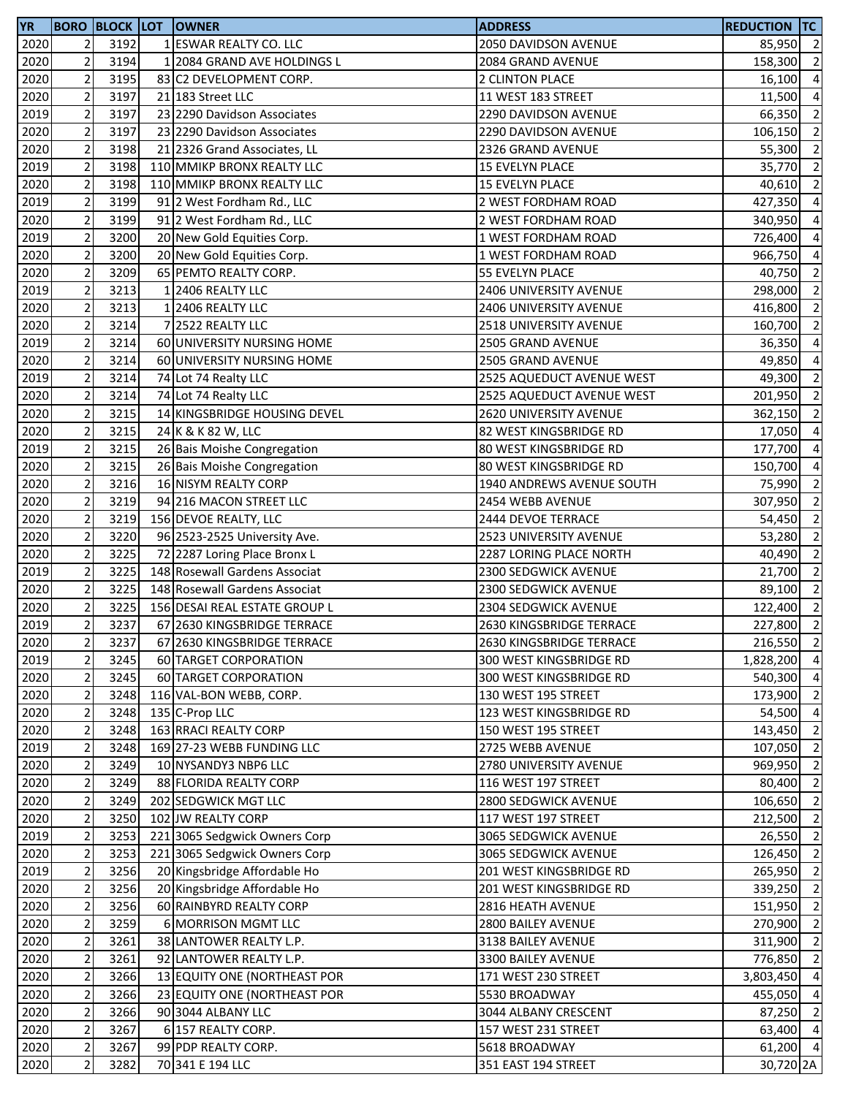| 2020<br>2<br>3192<br>1 ESWAR REALTY CO. LLC<br>85,950<br>2050 DAVIDSON AVENUE<br>$\overline{2}$<br>3194<br>2020<br>1 2084 GRAND AVE HOLDINGS L<br>158,300<br>2084 GRAND AVENUE<br>$\overline{2}$<br>3195<br>2020<br>83 C2 DEVELOPMENT CORP.<br>2 CLINTON PLACE<br>16,100<br>$\mathbf 2$<br>3197<br>2020<br>11 WEST 183 STREET<br>21 183 Street LLC<br>11,500<br>$\mathbf 2$<br>2019<br>3197<br>66,350<br>23 2290 Davidson Associates<br><b>2290 DAVIDSON AVENUE</b><br>$\overline{c}$<br>3197<br>2020<br>23 2290 Davidson Associates<br>2290 DAVIDSON AVENUE<br>106,150<br>$\overline{2}$<br>3198<br>2020<br>21 2326 Grand Associates, LL<br>2326 GRAND AVENUE<br>55,300<br>$\overline{2}$<br>3198<br>2019<br>110 MMIKP BRONX REALTY LLC<br>15 EVELYN PLACE<br>35,770<br>$\overline{2}$<br>2020<br>3198<br>110 MMIKP BRONX REALTY LLC<br>15 EVELYN PLACE<br>40,610<br>$\overline{2}$<br>3199<br>2019<br>91 2 West Fordham Rd., LLC<br>2 WEST FORDHAM ROAD<br>427,350<br>$\overline{2}$<br>3199<br>91 2 West Fordham Rd., LLC<br>2020<br>2 WEST FORDHAM ROAD<br>340,950<br>$\overline{\mathbf{c}}$<br>3200<br>2019<br>20 New Gold Equities Corp.<br>1 WEST FORDHAM ROAD<br>726,400<br>$\overline{2}$<br>3200<br>2020<br>20 New Gold Equities Corp.<br>1 WEST FORDHAM ROAD<br>966,750<br>$\mathbf 2$<br>3209<br>2020<br>65 PEMTO REALTY CORP.<br>55 EVELYN PLACE<br>40,750<br>$\overline{c}$<br>3213<br>2019<br>1 2406 REALTY LLC<br>298,000<br>2406 UNIVERSITY AVENUE<br>$\mathbf 2$<br>2020<br>3213<br>1 2406 REALTY LLC<br>2406 UNIVERSITY AVENUE<br>416,800<br>$\overline{2}$<br>2020<br>3214<br>7 2522 REALTY LLC<br>2518 UNIVERSITY AVENUE<br>160,700<br>$\overline{2}$<br>3214<br>2019<br>60 UNIVERSITY NURSING HOME<br>2505 GRAND AVENUE<br>36,350<br>$\overline{2}$<br>2020<br>3214<br>60 UNIVERSITY NURSING HOME<br>2505 GRAND AVENUE<br>49,850<br>$\mathbf 2$<br>3214<br>2019<br>2525 AQUEDUCT AVENUE WEST<br>49,300<br>74 Lot 74 Realty LLC<br>$\mathbf 2$<br>3214<br>2020<br>2525 AQUEDUCT AVENUE WEST<br>74 Lot 74 Realty LLC<br>$\mathbf 2$<br>2020<br>3215<br>14 KINGSBRIDGE HOUSING DEVEL<br>2620 UNIVERSITY AVENUE<br>362,150<br>$\overline{\mathbf{c}}$<br>3215<br>2020<br>24 K & K 82 W, LLC<br>82 WEST KINGSBRIDGE RD<br>17,050<br>$\mathbf 2$<br>3215<br>2019<br>26 Bais Moishe Congregation<br>80 WEST KINGSBRIDGE RD<br>177,700<br>$\overline{2}$<br>3215<br>2020<br>26 Bais Moishe Congregation<br>80 WEST KINGSBRIDGE RD<br>150,700<br>$\overline{2}$<br>2020<br>3216<br>16 NISYM REALTY CORP<br>1940 ANDREWS AVENUE SOUTH<br>75,990<br>$\mathbf 2$<br>3219<br>2020<br>94 216 MACON STREET LLC<br>2454 WEBB AVENUE<br>307,950<br>$\overline{2}$<br>3219<br>2020<br>156 DEVOE REALTY, LLC<br>2444 DEVOE TERRACE<br>54,450<br>$\mathbf 2$<br>3220<br>2020<br>96 2523-2525 University Ave.<br>2523 UNIVERSITY AVENUE<br>53,280<br>$\mathbf 2$<br>2020<br>3225<br>72 2287 Loring Place Bronx L<br>2287 LORING PLACE NORTH<br>40,490<br>$\mathbf 2$<br>3225<br>2019<br>148 Rosewall Gardens Associat<br>2300 SEDGWICK AVENUE<br>21,700<br>$\overline{2}$<br>3225<br>2020<br>148 Rosewall Gardens Associat<br>2300 SEDGWICK AVENUE<br>89,100<br>$\overline{2}$<br>2020<br>3225<br>156 DESAI REAL ESTATE GROUP L<br>2304 SEDGWICK AVENUE<br>122,400<br>$\overline{2}$<br>2019<br>3237<br>67 2630 KINGSBRIDGE TERRACE<br>2630 KINGSBRIDGE TERRACE<br>227,800<br>2020<br>3237<br>67 2630 KINGSBRIDGE TERRACE<br>2630 KINGSBRIDGE TERRACE<br>$\overline{2}$<br>$\overline{2}$<br>2019<br>3245<br>60 TARGET CORPORATION<br>300 WEST KINGSBRIDGE RD<br>$\overline{c}$<br>2020<br>3245<br>60 TARGET CORPORATION<br>300 WEST KINGSBRIDGE RD<br>$\overline{2}$<br>2020<br>3248<br>116 VAL-BON WEBB, CORP.<br>130 WEST 195 STREET<br>$\mathbf 2$<br>2020<br>3248<br>135 C-Prop LLC<br>123 WEST KINGSBRIDGE RD<br>$\mathbf 2$<br>2020<br>3248<br>163 RRACI REALTY CORP<br>150 WEST 195 STREET<br>$\mathbf 2$<br>2019<br>169 27-23 WEBB FUNDING LLC<br>3248<br>2725 WEBB AVENUE<br>$\overline{2}$<br>2020<br>3249<br>10 NYSANDY3 NBP6 LLC<br>2780 UNIVERSITY AVENUE<br>969,950<br>$\overline{2}$<br>2020<br>3249<br>88 FLORIDA REALTY CORP<br>116 WEST 197 STREET<br>$\overline{2}$<br>2020<br>3249<br>202 SEDGWICK MGT LLC<br>2800 SEDGWICK AVENUE<br>2020<br>2<br>3250<br>102 JW REALTY CORP<br>117 WEST 197 STREET<br>$\overline{2}$<br>2019<br>3253<br>221 3065 Sedgwick Owners Corp<br>3065 SEDGWICK AVENUE<br>$\mathbf 2$<br>2020<br>3253<br>221 3065 Sedgwick Owners Corp<br>3065 SEDGWICK AVENUE<br>$\mathbf 2$<br>2019<br>3256<br>20 Kingsbridge Affordable Ho<br>201 WEST KINGSBRIDGE RD<br>$\mathbf 2$<br>2020<br>3256<br>20 Kingsbridge Affordable Ho<br>201 WEST KINGSBRIDGE RD<br>339,250<br>$\mathbf 2$<br>2020<br>3256<br>60 RAINBYRD REALTY CORP<br>2816 HEATH AVENUE<br>151,950<br>$\mathbf 2$<br>2020<br>3259<br>6 MORRISON MGMT LLC<br>2800 BAILEY AVENUE<br>270,900<br>$\mathbf 2$<br>2020<br>3261<br>38 LANTOWER REALTY L.P.<br>3138 BAILEY AVENUE<br>311,900<br>$\mathbf 2$<br>2020<br>3261<br>92 LANTOWER REALTY L.P.<br>3300 BAILEY AVENUE<br>776,850<br>$\mathbf 2$<br>2020<br>3266<br>13 EQUITY ONE (NORTHEAST POR<br>171 WEST 230 STREET<br>$\overline{2}$<br>2020<br>3266<br>23 EQUITY ONE (NORTHEAST POR<br>5530 BROADWAY<br>$\overline{\mathbf{c}}$<br>2020<br>3266<br>90 3044 ALBANY LLC<br>3044 ALBANY CRESCENT<br>$\mathbf 2$<br>3267<br>2020<br>6 157 REALTY CORP.<br>157 WEST 231 STREET<br>$\mathbf 2$<br>2020<br>3267<br>99 PDP REALTY CORP.<br>5618 BROADWAY<br>$\overline{2}$<br>2020<br>3282<br>70 341 E 194 LLC<br>351 EAST 194 STREET | YR |  | <b>BORO BLOCK LOT OWNER</b> | <b>ADDRESS</b> | <b>REDUCTION TC</b> |                |
|----------------------------------------------------------------------------------------------------------------------------------------------------------------------------------------------------------------------------------------------------------------------------------------------------------------------------------------------------------------------------------------------------------------------------------------------------------------------------------------------------------------------------------------------------------------------------------------------------------------------------------------------------------------------------------------------------------------------------------------------------------------------------------------------------------------------------------------------------------------------------------------------------------------------------------------------------------------------------------------------------------------------------------------------------------------------------------------------------------------------------------------------------------------------------------------------------------------------------------------------------------------------------------------------------------------------------------------------------------------------------------------------------------------------------------------------------------------------------------------------------------------------------------------------------------------------------------------------------------------------------------------------------------------------------------------------------------------------------------------------------------------------------------------------------------------------------------------------------------------------------------------------------------------------------------------------------------------------------------------------------------------------------------------------------------------------------------------------------------------------------------------------------------------------------------------------------------------------------------------------------------------------------------------------------------------------------------------------------------------------------------------------------------------------------------------------------------------------------------------------------------------------------------------------------------------------------------------------------------------------------------------------------------------------------------------------------------------------------------------------------------------------------------------------------------------------------------------------------------------------------------------------------------------------------------------------------------------------------------------------------------------------------------------------------------------------------------------------------------------------------------------------------------------------------------------------------------------------------------------------------------------------------------------------------------------------------------------------------------------------------------------------------------------------------------------------------------------------------------------------------------------------------------------------------------------------------------------------------------------------------------------------------------------------------------------------------------------------------------------------------------------------------------------------------------------------------------------------------------------------------------------------------------------------------------------------------------------------------------------------------------------------------------------------------------------------------------------------------------------------------------------------------------------------------------------------------------------------------------------------------------------------------------------------------------------------------------------------------------------------------------------------------------------------------------------------------------------------------------------------------------------------------------------------------------------------------------------------------------------------------------------------------------------------------------------------------------------------------------------------------------------------------------------------------------------------------------------------------------------------------------------------------------------------------------------------------------------------------------------------------------------------------------------------------------------------------------------------------------------------------------------------------------------------------------------------------------------------------------------------------------------------------------------------------------------------------------------------------------------------------------------------------------------------------------------------------------------------------------------------------------------------------------------------------------------------------------------|----|--|-----------------------------|----------------|---------------------|----------------|
| $\overline{2}$<br>$\overline{4}$<br>$\overline{4}$<br>$\overline{2}$<br>$\overline{2}$<br>$\overline{2}$<br>$\overline{2}$                                                                                                                                                                                                                                                                                                                                                                                                                                                                                                                                                                                                                                                                                                                                                                                                                                                                                                                                                                                                                                                                                                                                                                                                                                                                                                                                                                                                                                                                                                                                                                                                                                                                                                                                                                                                                                                                                                                                                                                                                                                                                                                                                                                                                                                                                                                                                                                                                                                                                                                                                                                                                                                                                                                                                                                                                                                                                                                                                                                                                                                                                                                                                                                                                                                                                                                                                                                                                                                                                                                                                                                                                                                                                                                                                                                                                                                                                                                                                                                                                                                                                                                                                                                                                                                                                                                                                                                                                                                                                                                                                                                                                                                                                                                                                                                                                                                                                                                                                                                                                                                                                                                                                                                                                                                                                                                                                                                                                                                             |    |  |                             |                |                     | $\overline{2}$ |
|                                                                                                                                                                                                                                                                                                                                                                                                                                                                                                                                                                                                                                                                                                                                                                                                                                                                                                                                                                                                                                                                                                                                                                                                                                                                                                                                                                                                                                                                                                                                                                                                                                                                                                                                                                                                                                                                                                                                                                                                                                                                                                                                                                                                                                                                                                                                                                                                                                                                                                                                                                                                                                                                                                                                                                                                                                                                                                                                                                                                                                                                                                                                                                                                                                                                                                                                                                                                                                                                                                                                                                                                                                                                                                                                                                                                                                                                                                                                                                                                                                                                                                                                                                                                                                                                                                                                                                                                                                                                                                                                                                                                                                                                                                                                                                                                                                                                                                                                                                                                                                                                                                                                                                                                                                                                                                                                                                                                                                                                                                                                                                                        |    |  |                             |                |                     |                |
|                                                                                                                                                                                                                                                                                                                                                                                                                                                                                                                                                                                                                                                                                                                                                                                                                                                                                                                                                                                                                                                                                                                                                                                                                                                                                                                                                                                                                                                                                                                                                                                                                                                                                                                                                                                                                                                                                                                                                                                                                                                                                                                                                                                                                                                                                                                                                                                                                                                                                                                                                                                                                                                                                                                                                                                                                                                                                                                                                                                                                                                                                                                                                                                                                                                                                                                                                                                                                                                                                                                                                                                                                                                                                                                                                                                                                                                                                                                                                                                                                                                                                                                                                                                                                                                                                                                                                                                                                                                                                                                                                                                                                                                                                                                                                                                                                                                                                                                                                                                                                                                                                                                                                                                                                                                                                                                                                                                                                                                                                                                                                                                        |    |  |                             |                |                     |                |
|                                                                                                                                                                                                                                                                                                                                                                                                                                                                                                                                                                                                                                                                                                                                                                                                                                                                                                                                                                                                                                                                                                                                                                                                                                                                                                                                                                                                                                                                                                                                                                                                                                                                                                                                                                                                                                                                                                                                                                                                                                                                                                                                                                                                                                                                                                                                                                                                                                                                                                                                                                                                                                                                                                                                                                                                                                                                                                                                                                                                                                                                                                                                                                                                                                                                                                                                                                                                                                                                                                                                                                                                                                                                                                                                                                                                                                                                                                                                                                                                                                                                                                                                                                                                                                                                                                                                                                                                                                                                                                                                                                                                                                                                                                                                                                                                                                                                                                                                                                                                                                                                                                                                                                                                                                                                                                                                                                                                                                                                                                                                                                                        |    |  |                             |                |                     |                |
|                                                                                                                                                                                                                                                                                                                                                                                                                                                                                                                                                                                                                                                                                                                                                                                                                                                                                                                                                                                                                                                                                                                                                                                                                                                                                                                                                                                                                                                                                                                                                                                                                                                                                                                                                                                                                                                                                                                                                                                                                                                                                                                                                                                                                                                                                                                                                                                                                                                                                                                                                                                                                                                                                                                                                                                                                                                                                                                                                                                                                                                                                                                                                                                                                                                                                                                                                                                                                                                                                                                                                                                                                                                                                                                                                                                                                                                                                                                                                                                                                                                                                                                                                                                                                                                                                                                                                                                                                                                                                                                                                                                                                                                                                                                                                                                                                                                                                                                                                                                                                                                                                                                                                                                                                                                                                                                                                                                                                                                                                                                                                                                        |    |  |                             |                |                     |                |
|                                                                                                                                                                                                                                                                                                                                                                                                                                                                                                                                                                                                                                                                                                                                                                                                                                                                                                                                                                                                                                                                                                                                                                                                                                                                                                                                                                                                                                                                                                                                                                                                                                                                                                                                                                                                                                                                                                                                                                                                                                                                                                                                                                                                                                                                                                                                                                                                                                                                                                                                                                                                                                                                                                                                                                                                                                                                                                                                                                                                                                                                                                                                                                                                                                                                                                                                                                                                                                                                                                                                                                                                                                                                                                                                                                                                                                                                                                                                                                                                                                                                                                                                                                                                                                                                                                                                                                                                                                                                                                                                                                                                                                                                                                                                                                                                                                                                                                                                                                                                                                                                                                                                                                                                                                                                                                                                                                                                                                                                                                                                                                                        |    |  |                             |                |                     |                |
|                                                                                                                                                                                                                                                                                                                                                                                                                                                                                                                                                                                                                                                                                                                                                                                                                                                                                                                                                                                                                                                                                                                                                                                                                                                                                                                                                                                                                                                                                                                                                                                                                                                                                                                                                                                                                                                                                                                                                                                                                                                                                                                                                                                                                                                                                                                                                                                                                                                                                                                                                                                                                                                                                                                                                                                                                                                                                                                                                                                                                                                                                                                                                                                                                                                                                                                                                                                                                                                                                                                                                                                                                                                                                                                                                                                                                                                                                                                                                                                                                                                                                                                                                                                                                                                                                                                                                                                                                                                                                                                                                                                                                                                                                                                                                                                                                                                                                                                                                                                                                                                                                                                                                                                                                                                                                                                                                                                                                                                                                                                                                                                        |    |  |                             |                |                     |                |
| $\overline{2}$<br>$\overline{4}$<br>$\overline{4}$<br>$\overline{4}$<br>$\overline{4}$<br>$\overline{2}$<br>$\overline{2}$<br>$\overline{2}$<br>$\overline{2}$<br>$\overline{4}$<br>$\overline{4}$<br>$\overline{2}$<br>201,950 2<br>$\overline{2}$<br>$\overline{4}$<br>$\overline{4}$<br>$\overline{4}$<br>$\overline{2}$<br>$\overline{2}$<br>$\overline{2}$<br>$\overline{2}$<br>$\overline{2}$<br>$\overline{2}$<br>$\overline{2}$<br>$\overline{2}$<br>$\overline{2}$<br>216,550 2<br>1,828,200 4<br>540,300 4<br>173,900 2<br>54,500 4<br>143,450 2<br>107,050 2<br>$\overline{2}$<br>80,400 2<br>106,650 2<br>212,500 2<br>$26,550$ 2<br>126,450 2<br>265,950 2<br>$\overline{2}$<br>$\overline{2}$<br>$\overline{2}$<br>$\overline{2}$<br>$\overline{2}$<br>3,803,450 4<br>455,050 4<br>87,250 2<br>63,400 4<br>61,200 4<br>30,720 2A                                                                                                                                                                                                                                                                                                                                                                                                                                                                                                                                                                                                                                                                                                                                                                                                                                                                                                                                                                                                                                                                                                                                                                                                                                                                                                                                                                                                                                                                                                                                                                                                                                                                                                                                                                                                                                                                                                                                                                                                                                                                                                                                                                                                                                                                                                                                                                                                                                                                                                                                                                                                                                                                                                                                                                                                                                                                                                                                                                                                                                                                                                                                                                                                                                                                                                                                                                                                                                                                                                                                                                                                                                                                                                                                                                                                                                                                                                                                                                                                                                                                                                                                                                                                                                                                                                                                                                                                                                                                                                                                                                                                                                                                                                                                         |    |  |                             |                |                     |                |
|                                                                                                                                                                                                                                                                                                                                                                                                                                                                                                                                                                                                                                                                                                                                                                                                                                                                                                                                                                                                                                                                                                                                                                                                                                                                                                                                                                                                                                                                                                                                                                                                                                                                                                                                                                                                                                                                                                                                                                                                                                                                                                                                                                                                                                                                                                                                                                                                                                                                                                                                                                                                                                                                                                                                                                                                                                                                                                                                                                                                                                                                                                                                                                                                                                                                                                                                                                                                                                                                                                                                                                                                                                                                                                                                                                                                                                                                                                                                                                                                                                                                                                                                                                                                                                                                                                                                                                                                                                                                                                                                                                                                                                                                                                                                                                                                                                                                                                                                                                                                                                                                                                                                                                                                                                                                                                                                                                                                                                                                                                                                                                                        |    |  |                             |                |                     |                |
|                                                                                                                                                                                                                                                                                                                                                                                                                                                                                                                                                                                                                                                                                                                                                                                                                                                                                                                                                                                                                                                                                                                                                                                                                                                                                                                                                                                                                                                                                                                                                                                                                                                                                                                                                                                                                                                                                                                                                                                                                                                                                                                                                                                                                                                                                                                                                                                                                                                                                                                                                                                                                                                                                                                                                                                                                                                                                                                                                                                                                                                                                                                                                                                                                                                                                                                                                                                                                                                                                                                                                                                                                                                                                                                                                                                                                                                                                                                                                                                                                                                                                                                                                                                                                                                                                                                                                                                                                                                                                                                                                                                                                                                                                                                                                                                                                                                                                                                                                                                                                                                                                                                                                                                                                                                                                                                                                                                                                                                                                                                                                                                        |    |  |                             |                |                     |                |
|                                                                                                                                                                                                                                                                                                                                                                                                                                                                                                                                                                                                                                                                                                                                                                                                                                                                                                                                                                                                                                                                                                                                                                                                                                                                                                                                                                                                                                                                                                                                                                                                                                                                                                                                                                                                                                                                                                                                                                                                                                                                                                                                                                                                                                                                                                                                                                                                                                                                                                                                                                                                                                                                                                                                                                                                                                                                                                                                                                                                                                                                                                                                                                                                                                                                                                                                                                                                                                                                                                                                                                                                                                                                                                                                                                                                                                                                                                                                                                                                                                                                                                                                                                                                                                                                                                                                                                                                                                                                                                                                                                                                                                                                                                                                                                                                                                                                                                                                                                                                                                                                                                                                                                                                                                                                                                                                                                                                                                                                                                                                                                                        |    |  |                             |                |                     |                |
|                                                                                                                                                                                                                                                                                                                                                                                                                                                                                                                                                                                                                                                                                                                                                                                                                                                                                                                                                                                                                                                                                                                                                                                                                                                                                                                                                                                                                                                                                                                                                                                                                                                                                                                                                                                                                                                                                                                                                                                                                                                                                                                                                                                                                                                                                                                                                                                                                                                                                                                                                                                                                                                                                                                                                                                                                                                                                                                                                                                                                                                                                                                                                                                                                                                                                                                                                                                                                                                                                                                                                                                                                                                                                                                                                                                                                                                                                                                                                                                                                                                                                                                                                                                                                                                                                                                                                                                                                                                                                                                                                                                                                                                                                                                                                                                                                                                                                                                                                                                                                                                                                                                                                                                                                                                                                                                                                                                                                                                                                                                                                                                        |    |  |                             |                |                     |                |
|                                                                                                                                                                                                                                                                                                                                                                                                                                                                                                                                                                                                                                                                                                                                                                                                                                                                                                                                                                                                                                                                                                                                                                                                                                                                                                                                                                                                                                                                                                                                                                                                                                                                                                                                                                                                                                                                                                                                                                                                                                                                                                                                                                                                                                                                                                                                                                                                                                                                                                                                                                                                                                                                                                                                                                                                                                                                                                                                                                                                                                                                                                                                                                                                                                                                                                                                                                                                                                                                                                                                                                                                                                                                                                                                                                                                                                                                                                                                                                                                                                                                                                                                                                                                                                                                                                                                                                                                                                                                                                                                                                                                                                                                                                                                                                                                                                                                                                                                                                                                                                                                                                                                                                                                                                                                                                                                                                                                                                                                                                                                                                                        |    |  |                             |                |                     |                |
|                                                                                                                                                                                                                                                                                                                                                                                                                                                                                                                                                                                                                                                                                                                                                                                                                                                                                                                                                                                                                                                                                                                                                                                                                                                                                                                                                                                                                                                                                                                                                                                                                                                                                                                                                                                                                                                                                                                                                                                                                                                                                                                                                                                                                                                                                                                                                                                                                                                                                                                                                                                                                                                                                                                                                                                                                                                                                                                                                                                                                                                                                                                                                                                                                                                                                                                                                                                                                                                                                                                                                                                                                                                                                                                                                                                                                                                                                                                                                                                                                                                                                                                                                                                                                                                                                                                                                                                                                                                                                                                                                                                                                                                                                                                                                                                                                                                                                                                                                                                                                                                                                                                                                                                                                                                                                                                                                                                                                                                                                                                                                                                        |    |  |                             |                |                     |                |
|                                                                                                                                                                                                                                                                                                                                                                                                                                                                                                                                                                                                                                                                                                                                                                                                                                                                                                                                                                                                                                                                                                                                                                                                                                                                                                                                                                                                                                                                                                                                                                                                                                                                                                                                                                                                                                                                                                                                                                                                                                                                                                                                                                                                                                                                                                                                                                                                                                                                                                                                                                                                                                                                                                                                                                                                                                                                                                                                                                                                                                                                                                                                                                                                                                                                                                                                                                                                                                                                                                                                                                                                                                                                                                                                                                                                                                                                                                                                                                                                                                                                                                                                                                                                                                                                                                                                                                                                                                                                                                                                                                                                                                                                                                                                                                                                                                                                                                                                                                                                                                                                                                                                                                                                                                                                                                                                                                                                                                                                                                                                                                                        |    |  |                             |                |                     |                |
|                                                                                                                                                                                                                                                                                                                                                                                                                                                                                                                                                                                                                                                                                                                                                                                                                                                                                                                                                                                                                                                                                                                                                                                                                                                                                                                                                                                                                                                                                                                                                                                                                                                                                                                                                                                                                                                                                                                                                                                                                                                                                                                                                                                                                                                                                                                                                                                                                                                                                                                                                                                                                                                                                                                                                                                                                                                                                                                                                                                                                                                                                                                                                                                                                                                                                                                                                                                                                                                                                                                                                                                                                                                                                                                                                                                                                                                                                                                                                                                                                                                                                                                                                                                                                                                                                                                                                                                                                                                                                                                                                                                                                                                                                                                                                                                                                                                                                                                                                                                                                                                                                                                                                                                                                                                                                                                                                                                                                                                                                                                                                                                        |    |  |                             |                |                     |                |
|                                                                                                                                                                                                                                                                                                                                                                                                                                                                                                                                                                                                                                                                                                                                                                                                                                                                                                                                                                                                                                                                                                                                                                                                                                                                                                                                                                                                                                                                                                                                                                                                                                                                                                                                                                                                                                                                                                                                                                                                                                                                                                                                                                                                                                                                                                                                                                                                                                                                                                                                                                                                                                                                                                                                                                                                                                                                                                                                                                                                                                                                                                                                                                                                                                                                                                                                                                                                                                                                                                                                                                                                                                                                                                                                                                                                                                                                                                                                                                                                                                                                                                                                                                                                                                                                                                                                                                                                                                                                                                                                                                                                                                                                                                                                                                                                                                                                                                                                                                                                                                                                                                                                                                                                                                                                                                                                                                                                                                                                                                                                                                                        |    |  |                             |                |                     |                |
|                                                                                                                                                                                                                                                                                                                                                                                                                                                                                                                                                                                                                                                                                                                                                                                                                                                                                                                                                                                                                                                                                                                                                                                                                                                                                                                                                                                                                                                                                                                                                                                                                                                                                                                                                                                                                                                                                                                                                                                                                                                                                                                                                                                                                                                                                                                                                                                                                                                                                                                                                                                                                                                                                                                                                                                                                                                                                                                                                                                                                                                                                                                                                                                                                                                                                                                                                                                                                                                                                                                                                                                                                                                                                                                                                                                                                                                                                                                                                                                                                                                                                                                                                                                                                                                                                                                                                                                                                                                                                                                                                                                                                                                                                                                                                                                                                                                                                                                                                                                                                                                                                                                                                                                                                                                                                                                                                                                                                                                                                                                                                                                        |    |  |                             |                |                     |                |
|                                                                                                                                                                                                                                                                                                                                                                                                                                                                                                                                                                                                                                                                                                                                                                                                                                                                                                                                                                                                                                                                                                                                                                                                                                                                                                                                                                                                                                                                                                                                                                                                                                                                                                                                                                                                                                                                                                                                                                                                                                                                                                                                                                                                                                                                                                                                                                                                                                                                                                                                                                                                                                                                                                                                                                                                                                                                                                                                                                                                                                                                                                                                                                                                                                                                                                                                                                                                                                                                                                                                                                                                                                                                                                                                                                                                                                                                                                                                                                                                                                                                                                                                                                                                                                                                                                                                                                                                                                                                                                                                                                                                                                                                                                                                                                                                                                                                                                                                                                                                                                                                                                                                                                                                                                                                                                                                                                                                                                                                                                                                                                                        |    |  |                             |                |                     |                |
|                                                                                                                                                                                                                                                                                                                                                                                                                                                                                                                                                                                                                                                                                                                                                                                                                                                                                                                                                                                                                                                                                                                                                                                                                                                                                                                                                                                                                                                                                                                                                                                                                                                                                                                                                                                                                                                                                                                                                                                                                                                                                                                                                                                                                                                                                                                                                                                                                                                                                                                                                                                                                                                                                                                                                                                                                                                                                                                                                                                                                                                                                                                                                                                                                                                                                                                                                                                                                                                                                                                                                                                                                                                                                                                                                                                                                                                                                                                                                                                                                                                                                                                                                                                                                                                                                                                                                                                                                                                                                                                                                                                                                                                                                                                                                                                                                                                                                                                                                                                                                                                                                                                                                                                                                                                                                                                                                                                                                                                                                                                                                                                        |    |  |                             |                |                     |                |
|                                                                                                                                                                                                                                                                                                                                                                                                                                                                                                                                                                                                                                                                                                                                                                                                                                                                                                                                                                                                                                                                                                                                                                                                                                                                                                                                                                                                                                                                                                                                                                                                                                                                                                                                                                                                                                                                                                                                                                                                                                                                                                                                                                                                                                                                                                                                                                                                                                                                                                                                                                                                                                                                                                                                                                                                                                                                                                                                                                                                                                                                                                                                                                                                                                                                                                                                                                                                                                                                                                                                                                                                                                                                                                                                                                                                                                                                                                                                                                                                                                                                                                                                                                                                                                                                                                                                                                                                                                                                                                                                                                                                                                                                                                                                                                                                                                                                                                                                                                                                                                                                                                                                                                                                                                                                                                                                                                                                                                                                                                                                                                                        |    |  |                             |                |                     |                |
|                                                                                                                                                                                                                                                                                                                                                                                                                                                                                                                                                                                                                                                                                                                                                                                                                                                                                                                                                                                                                                                                                                                                                                                                                                                                                                                                                                                                                                                                                                                                                                                                                                                                                                                                                                                                                                                                                                                                                                                                                                                                                                                                                                                                                                                                                                                                                                                                                                                                                                                                                                                                                                                                                                                                                                                                                                                                                                                                                                                                                                                                                                                                                                                                                                                                                                                                                                                                                                                                                                                                                                                                                                                                                                                                                                                                                                                                                                                                                                                                                                                                                                                                                                                                                                                                                                                                                                                                                                                                                                                                                                                                                                                                                                                                                                                                                                                                                                                                                                                                                                                                                                                                                                                                                                                                                                                                                                                                                                                                                                                                                                                        |    |  |                             |                |                     |                |
|                                                                                                                                                                                                                                                                                                                                                                                                                                                                                                                                                                                                                                                                                                                                                                                                                                                                                                                                                                                                                                                                                                                                                                                                                                                                                                                                                                                                                                                                                                                                                                                                                                                                                                                                                                                                                                                                                                                                                                                                                                                                                                                                                                                                                                                                                                                                                                                                                                                                                                                                                                                                                                                                                                                                                                                                                                                                                                                                                                                                                                                                                                                                                                                                                                                                                                                                                                                                                                                                                                                                                                                                                                                                                                                                                                                                                                                                                                                                                                                                                                                                                                                                                                                                                                                                                                                                                                                                                                                                                                                                                                                                                                                                                                                                                                                                                                                                                                                                                                                                                                                                                                                                                                                                                                                                                                                                                                                                                                                                                                                                                                                        |    |  |                             |                |                     |                |
|                                                                                                                                                                                                                                                                                                                                                                                                                                                                                                                                                                                                                                                                                                                                                                                                                                                                                                                                                                                                                                                                                                                                                                                                                                                                                                                                                                                                                                                                                                                                                                                                                                                                                                                                                                                                                                                                                                                                                                                                                                                                                                                                                                                                                                                                                                                                                                                                                                                                                                                                                                                                                                                                                                                                                                                                                                                                                                                                                                                                                                                                                                                                                                                                                                                                                                                                                                                                                                                                                                                                                                                                                                                                                                                                                                                                                                                                                                                                                                                                                                                                                                                                                                                                                                                                                                                                                                                                                                                                                                                                                                                                                                                                                                                                                                                                                                                                                                                                                                                                                                                                                                                                                                                                                                                                                                                                                                                                                                                                                                                                                                                        |    |  |                             |                |                     |                |
|                                                                                                                                                                                                                                                                                                                                                                                                                                                                                                                                                                                                                                                                                                                                                                                                                                                                                                                                                                                                                                                                                                                                                                                                                                                                                                                                                                                                                                                                                                                                                                                                                                                                                                                                                                                                                                                                                                                                                                                                                                                                                                                                                                                                                                                                                                                                                                                                                                                                                                                                                                                                                                                                                                                                                                                                                                                                                                                                                                                                                                                                                                                                                                                                                                                                                                                                                                                                                                                                                                                                                                                                                                                                                                                                                                                                                                                                                                                                                                                                                                                                                                                                                                                                                                                                                                                                                                                                                                                                                                                                                                                                                                                                                                                                                                                                                                                                                                                                                                                                                                                                                                                                                                                                                                                                                                                                                                                                                                                                                                                                                                                        |    |  |                             |                |                     |                |
|                                                                                                                                                                                                                                                                                                                                                                                                                                                                                                                                                                                                                                                                                                                                                                                                                                                                                                                                                                                                                                                                                                                                                                                                                                                                                                                                                                                                                                                                                                                                                                                                                                                                                                                                                                                                                                                                                                                                                                                                                                                                                                                                                                                                                                                                                                                                                                                                                                                                                                                                                                                                                                                                                                                                                                                                                                                                                                                                                                                                                                                                                                                                                                                                                                                                                                                                                                                                                                                                                                                                                                                                                                                                                                                                                                                                                                                                                                                                                                                                                                                                                                                                                                                                                                                                                                                                                                                                                                                                                                                                                                                                                                                                                                                                                                                                                                                                                                                                                                                                                                                                                                                                                                                                                                                                                                                                                                                                                                                                                                                                                                                        |    |  |                             |                |                     |                |
|                                                                                                                                                                                                                                                                                                                                                                                                                                                                                                                                                                                                                                                                                                                                                                                                                                                                                                                                                                                                                                                                                                                                                                                                                                                                                                                                                                                                                                                                                                                                                                                                                                                                                                                                                                                                                                                                                                                                                                                                                                                                                                                                                                                                                                                                                                                                                                                                                                                                                                                                                                                                                                                                                                                                                                                                                                                                                                                                                                                                                                                                                                                                                                                                                                                                                                                                                                                                                                                                                                                                                                                                                                                                                                                                                                                                                                                                                                                                                                                                                                                                                                                                                                                                                                                                                                                                                                                                                                                                                                                                                                                                                                                                                                                                                                                                                                                                                                                                                                                                                                                                                                                                                                                                                                                                                                                                                                                                                                                                                                                                                                                        |    |  |                             |                |                     |                |
|                                                                                                                                                                                                                                                                                                                                                                                                                                                                                                                                                                                                                                                                                                                                                                                                                                                                                                                                                                                                                                                                                                                                                                                                                                                                                                                                                                                                                                                                                                                                                                                                                                                                                                                                                                                                                                                                                                                                                                                                                                                                                                                                                                                                                                                                                                                                                                                                                                                                                                                                                                                                                                                                                                                                                                                                                                                                                                                                                                                                                                                                                                                                                                                                                                                                                                                                                                                                                                                                                                                                                                                                                                                                                                                                                                                                                                                                                                                                                                                                                                                                                                                                                                                                                                                                                                                                                                                                                                                                                                                                                                                                                                                                                                                                                                                                                                                                                                                                                                                                                                                                                                                                                                                                                                                                                                                                                                                                                                                                                                                                                                                        |    |  |                             |                |                     |                |
|                                                                                                                                                                                                                                                                                                                                                                                                                                                                                                                                                                                                                                                                                                                                                                                                                                                                                                                                                                                                                                                                                                                                                                                                                                                                                                                                                                                                                                                                                                                                                                                                                                                                                                                                                                                                                                                                                                                                                                                                                                                                                                                                                                                                                                                                                                                                                                                                                                                                                                                                                                                                                                                                                                                                                                                                                                                                                                                                                                                                                                                                                                                                                                                                                                                                                                                                                                                                                                                                                                                                                                                                                                                                                                                                                                                                                                                                                                                                                                                                                                                                                                                                                                                                                                                                                                                                                                                                                                                                                                                                                                                                                                                                                                                                                                                                                                                                                                                                                                                                                                                                                                                                                                                                                                                                                                                                                                                                                                                                                                                                                                                        |    |  |                             |                |                     |                |
|                                                                                                                                                                                                                                                                                                                                                                                                                                                                                                                                                                                                                                                                                                                                                                                                                                                                                                                                                                                                                                                                                                                                                                                                                                                                                                                                                                                                                                                                                                                                                                                                                                                                                                                                                                                                                                                                                                                                                                                                                                                                                                                                                                                                                                                                                                                                                                                                                                                                                                                                                                                                                                                                                                                                                                                                                                                                                                                                                                                                                                                                                                                                                                                                                                                                                                                                                                                                                                                                                                                                                                                                                                                                                                                                                                                                                                                                                                                                                                                                                                                                                                                                                                                                                                                                                                                                                                                                                                                                                                                                                                                                                                                                                                                                                                                                                                                                                                                                                                                                                                                                                                                                                                                                                                                                                                                                                                                                                                                                                                                                                                                        |    |  |                             |                |                     |                |
|                                                                                                                                                                                                                                                                                                                                                                                                                                                                                                                                                                                                                                                                                                                                                                                                                                                                                                                                                                                                                                                                                                                                                                                                                                                                                                                                                                                                                                                                                                                                                                                                                                                                                                                                                                                                                                                                                                                                                                                                                                                                                                                                                                                                                                                                                                                                                                                                                                                                                                                                                                                                                                                                                                                                                                                                                                                                                                                                                                                                                                                                                                                                                                                                                                                                                                                                                                                                                                                                                                                                                                                                                                                                                                                                                                                                                                                                                                                                                                                                                                                                                                                                                                                                                                                                                                                                                                                                                                                                                                                                                                                                                                                                                                                                                                                                                                                                                                                                                                                                                                                                                                                                                                                                                                                                                                                                                                                                                                                                                                                                                                                        |    |  |                             |                |                     |                |
|                                                                                                                                                                                                                                                                                                                                                                                                                                                                                                                                                                                                                                                                                                                                                                                                                                                                                                                                                                                                                                                                                                                                                                                                                                                                                                                                                                                                                                                                                                                                                                                                                                                                                                                                                                                                                                                                                                                                                                                                                                                                                                                                                                                                                                                                                                                                                                                                                                                                                                                                                                                                                                                                                                                                                                                                                                                                                                                                                                                                                                                                                                                                                                                                                                                                                                                                                                                                                                                                                                                                                                                                                                                                                                                                                                                                                                                                                                                                                                                                                                                                                                                                                                                                                                                                                                                                                                                                                                                                                                                                                                                                                                                                                                                                                                                                                                                                                                                                                                                                                                                                                                                                                                                                                                                                                                                                                                                                                                                                                                                                                                                        |    |  |                             |                |                     |                |
|                                                                                                                                                                                                                                                                                                                                                                                                                                                                                                                                                                                                                                                                                                                                                                                                                                                                                                                                                                                                                                                                                                                                                                                                                                                                                                                                                                                                                                                                                                                                                                                                                                                                                                                                                                                                                                                                                                                                                                                                                                                                                                                                                                                                                                                                                                                                                                                                                                                                                                                                                                                                                                                                                                                                                                                                                                                                                                                                                                                                                                                                                                                                                                                                                                                                                                                                                                                                                                                                                                                                                                                                                                                                                                                                                                                                                                                                                                                                                                                                                                                                                                                                                                                                                                                                                                                                                                                                                                                                                                                                                                                                                                                                                                                                                                                                                                                                                                                                                                                                                                                                                                                                                                                                                                                                                                                                                                                                                                                                                                                                                                                        |    |  |                             |                |                     |                |
|                                                                                                                                                                                                                                                                                                                                                                                                                                                                                                                                                                                                                                                                                                                                                                                                                                                                                                                                                                                                                                                                                                                                                                                                                                                                                                                                                                                                                                                                                                                                                                                                                                                                                                                                                                                                                                                                                                                                                                                                                                                                                                                                                                                                                                                                                                                                                                                                                                                                                                                                                                                                                                                                                                                                                                                                                                                                                                                                                                                                                                                                                                                                                                                                                                                                                                                                                                                                                                                                                                                                                                                                                                                                                                                                                                                                                                                                                                                                                                                                                                                                                                                                                                                                                                                                                                                                                                                                                                                                                                                                                                                                                                                                                                                                                                                                                                                                                                                                                                                                                                                                                                                                                                                                                                                                                                                                                                                                                                                                                                                                                                                        |    |  |                             |                |                     |                |
|                                                                                                                                                                                                                                                                                                                                                                                                                                                                                                                                                                                                                                                                                                                                                                                                                                                                                                                                                                                                                                                                                                                                                                                                                                                                                                                                                                                                                                                                                                                                                                                                                                                                                                                                                                                                                                                                                                                                                                                                                                                                                                                                                                                                                                                                                                                                                                                                                                                                                                                                                                                                                                                                                                                                                                                                                                                                                                                                                                                                                                                                                                                                                                                                                                                                                                                                                                                                                                                                                                                                                                                                                                                                                                                                                                                                                                                                                                                                                                                                                                                                                                                                                                                                                                                                                                                                                                                                                                                                                                                                                                                                                                                                                                                                                                                                                                                                                                                                                                                                                                                                                                                                                                                                                                                                                                                                                                                                                                                                                                                                                                                        |    |  |                             |                |                     |                |
|                                                                                                                                                                                                                                                                                                                                                                                                                                                                                                                                                                                                                                                                                                                                                                                                                                                                                                                                                                                                                                                                                                                                                                                                                                                                                                                                                                                                                                                                                                                                                                                                                                                                                                                                                                                                                                                                                                                                                                                                                                                                                                                                                                                                                                                                                                                                                                                                                                                                                                                                                                                                                                                                                                                                                                                                                                                                                                                                                                                                                                                                                                                                                                                                                                                                                                                                                                                                                                                                                                                                                                                                                                                                                                                                                                                                                                                                                                                                                                                                                                                                                                                                                                                                                                                                                                                                                                                                                                                                                                                                                                                                                                                                                                                                                                                                                                                                                                                                                                                                                                                                                                                                                                                                                                                                                                                                                                                                                                                                                                                                                                                        |    |  |                             |                |                     |                |
|                                                                                                                                                                                                                                                                                                                                                                                                                                                                                                                                                                                                                                                                                                                                                                                                                                                                                                                                                                                                                                                                                                                                                                                                                                                                                                                                                                                                                                                                                                                                                                                                                                                                                                                                                                                                                                                                                                                                                                                                                                                                                                                                                                                                                                                                                                                                                                                                                                                                                                                                                                                                                                                                                                                                                                                                                                                                                                                                                                                                                                                                                                                                                                                                                                                                                                                                                                                                                                                                                                                                                                                                                                                                                                                                                                                                                                                                                                                                                                                                                                                                                                                                                                                                                                                                                                                                                                                                                                                                                                                                                                                                                                                                                                                                                                                                                                                                                                                                                                                                                                                                                                                                                                                                                                                                                                                                                                                                                                                                                                                                                                                        |    |  |                             |                |                     |                |
|                                                                                                                                                                                                                                                                                                                                                                                                                                                                                                                                                                                                                                                                                                                                                                                                                                                                                                                                                                                                                                                                                                                                                                                                                                                                                                                                                                                                                                                                                                                                                                                                                                                                                                                                                                                                                                                                                                                                                                                                                                                                                                                                                                                                                                                                                                                                                                                                                                                                                                                                                                                                                                                                                                                                                                                                                                                                                                                                                                                                                                                                                                                                                                                                                                                                                                                                                                                                                                                                                                                                                                                                                                                                                                                                                                                                                                                                                                                                                                                                                                                                                                                                                                                                                                                                                                                                                                                                                                                                                                                                                                                                                                                                                                                                                                                                                                                                                                                                                                                                                                                                                                                                                                                                                                                                                                                                                                                                                                                                                                                                                                                        |    |  |                             |                |                     |                |
|                                                                                                                                                                                                                                                                                                                                                                                                                                                                                                                                                                                                                                                                                                                                                                                                                                                                                                                                                                                                                                                                                                                                                                                                                                                                                                                                                                                                                                                                                                                                                                                                                                                                                                                                                                                                                                                                                                                                                                                                                                                                                                                                                                                                                                                                                                                                                                                                                                                                                                                                                                                                                                                                                                                                                                                                                                                                                                                                                                                                                                                                                                                                                                                                                                                                                                                                                                                                                                                                                                                                                                                                                                                                                                                                                                                                                                                                                                                                                                                                                                                                                                                                                                                                                                                                                                                                                                                                                                                                                                                                                                                                                                                                                                                                                                                                                                                                                                                                                                                                                                                                                                                                                                                                                                                                                                                                                                                                                                                                                                                                                                                        |    |  |                             |                |                     |                |
|                                                                                                                                                                                                                                                                                                                                                                                                                                                                                                                                                                                                                                                                                                                                                                                                                                                                                                                                                                                                                                                                                                                                                                                                                                                                                                                                                                                                                                                                                                                                                                                                                                                                                                                                                                                                                                                                                                                                                                                                                                                                                                                                                                                                                                                                                                                                                                                                                                                                                                                                                                                                                                                                                                                                                                                                                                                                                                                                                                                                                                                                                                                                                                                                                                                                                                                                                                                                                                                                                                                                                                                                                                                                                                                                                                                                                                                                                                                                                                                                                                                                                                                                                                                                                                                                                                                                                                                                                                                                                                                                                                                                                                                                                                                                                                                                                                                                                                                                                                                                                                                                                                                                                                                                                                                                                                                                                                                                                                                                                                                                                                                        |    |  |                             |                |                     |                |
|                                                                                                                                                                                                                                                                                                                                                                                                                                                                                                                                                                                                                                                                                                                                                                                                                                                                                                                                                                                                                                                                                                                                                                                                                                                                                                                                                                                                                                                                                                                                                                                                                                                                                                                                                                                                                                                                                                                                                                                                                                                                                                                                                                                                                                                                                                                                                                                                                                                                                                                                                                                                                                                                                                                                                                                                                                                                                                                                                                                                                                                                                                                                                                                                                                                                                                                                                                                                                                                                                                                                                                                                                                                                                                                                                                                                                                                                                                                                                                                                                                                                                                                                                                                                                                                                                                                                                                                                                                                                                                                                                                                                                                                                                                                                                                                                                                                                                                                                                                                                                                                                                                                                                                                                                                                                                                                                                                                                                                                                                                                                                                                        |    |  |                             |                |                     |                |
|                                                                                                                                                                                                                                                                                                                                                                                                                                                                                                                                                                                                                                                                                                                                                                                                                                                                                                                                                                                                                                                                                                                                                                                                                                                                                                                                                                                                                                                                                                                                                                                                                                                                                                                                                                                                                                                                                                                                                                                                                                                                                                                                                                                                                                                                                                                                                                                                                                                                                                                                                                                                                                                                                                                                                                                                                                                                                                                                                                                                                                                                                                                                                                                                                                                                                                                                                                                                                                                                                                                                                                                                                                                                                                                                                                                                                                                                                                                                                                                                                                                                                                                                                                                                                                                                                                                                                                                                                                                                                                                                                                                                                                                                                                                                                                                                                                                                                                                                                                                                                                                                                                                                                                                                                                                                                                                                                                                                                                                                                                                                                                                        |    |  |                             |                |                     |                |
|                                                                                                                                                                                                                                                                                                                                                                                                                                                                                                                                                                                                                                                                                                                                                                                                                                                                                                                                                                                                                                                                                                                                                                                                                                                                                                                                                                                                                                                                                                                                                                                                                                                                                                                                                                                                                                                                                                                                                                                                                                                                                                                                                                                                                                                                                                                                                                                                                                                                                                                                                                                                                                                                                                                                                                                                                                                                                                                                                                                                                                                                                                                                                                                                                                                                                                                                                                                                                                                                                                                                                                                                                                                                                                                                                                                                                                                                                                                                                                                                                                                                                                                                                                                                                                                                                                                                                                                                                                                                                                                                                                                                                                                                                                                                                                                                                                                                                                                                                                                                                                                                                                                                                                                                                                                                                                                                                                                                                                                                                                                                                                                        |    |  |                             |                |                     |                |
|                                                                                                                                                                                                                                                                                                                                                                                                                                                                                                                                                                                                                                                                                                                                                                                                                                                                                                                                                                                                                                                                                                                                                                                                                                                                                                                                                                                                                                                                                                                                                                                                                                                                                                                                                                                                                                                                                                                                                                                                                                                                                                                                                                                                                                                                                                                                                                                                                                                                                                                                                                                                                                                                                                                                                                                                                                                                                                                                                                                                                                                                                                                                                                                                                                                                                                                                                                                                                                                                                                                                                                                                                                                                                                                                                                                                                                                                                                                                                                                                                                                                                                                                                                                                                                                                                                                                                                                                                                                                                                                                                                                                                                                                                                                                                                                                                                                                                                                                                                                                                                                                                                                                                                                                                                                                                                                                                                                                                                                                                                                                                                                        |    |  |                             |                |                     |                |
|                                                                                                                                                                                                                                                                                                                                                                                                                                                                                                                                                                                                                                                                                                                                                                                                                                                                                                                                                                                                                                                                                                                                                                                                                                                                                                                                                                                                                                                                                                                                                                                                                                                                                                                                                                                                                                                                                                                                                                                                                                                                                                                                                                                                                                                                                                                                                                                                                                                                                                                                                                                                                                                                                                                                                                                                                                                                                                                                                                                                                                                                                                                                                                                                                                                                                                                                                                                                                                                                                                                                                                                                                                                                                                                                                                                                                                                                                                                                                                                                                                                                                                                                                                                                                                                                                                                                                                                                                                                                                                                                                                                                                                                                                                                                                                                                                                                                                                                                                                                                                                                                                                                                                                                                                                                                                                                                                                                                                                                                                                                                                                                        |    |  |                             |                |                     |                |
|                                                                                                                                                                                                                                                                                                                                                                                                                                                                                                                                                                                                                                                                                                                                                                                                                                                                                                                                                                                                                                                                                                                                                                                                                                                                                                                                                                                                                                                                                                                                                                                                                                                                                                                                                                                                                                                                                                                                                                                                                                                                                                                                                                                                                                                                                                                                                                                                                                                                                                                                                                                                                                                                                                                                                                                                                                                                                                                                                                                                                                                                                                                                                                                                                                                                                                                                                                                                                                                                                                                                                                                                                                                                                                                                                                                                                                                                                                                                                                                                                                                                                                                                                                                                                                                                                                                                                                                                                                                                                                                                                                                                                                                                                                                                                                                                                                                                                                                                                                                                                                                                                                                                                                                                                                                                                                                                                                                                                                                                                                                                                                                        |    |  |                             |                |                     |                |
|                                                                                                                                                                                                                                                                                                                                                                                                                                                                                                                                                                                                                                                                                                                                                                                                                                                                                                                                                                                                                                                                                                                                                                                                                                                                                                                                                                                                                                                                                                                                                                                                                                                                                                                                                                                                                                                                                                                                                                                                                                                                                                                                                                                                                                                                                                                                                                                                                                                                                                                                                                                                                                                                                                                                                                                                                                                                                                                                                                                                                                                                                                                                                                                                                                                                                                                                                                                                                                                                                                                                                                                                                                                                                                                                                                                                                                                                                                                                                                                                                                                                                                                                                                                                                                                                                                                                                                                                                                                                                                                                                                                                                                                                                                                                                                                                                                                                                                                                                                                                                                                                                                                                                                                                                                                                                                                                                                                                                                                                                                                                                                                        |    |  |                             |                |                     |                |
|                                                                                                                                                                                                                                                                                                                                                                                                                                                                                                                                                                                                                                                                                                                                                                                                                                                                                                                                                                                                                                                                                                                                                                                                                                                                                                                                                                                                                                                                                                                                                                                                                                                                                                                                                                                                                                                                                                                                                                                                                                                                                                                                                                                                                                                                                                                                                                                                                                                                                                                                                                                                                                                                                                                                                                                                                                                                                                                                                                                                                                                                                                                                                                                                                                                                                                                                                                                                                                                                                                                                                                                                                                                                                                                                                                                                                                                                                                                                                                                                                                                                                                                                                                                                                                                                                                                                                                                                                                                                                                                                                                                                                                                                                                                                                                                                                                                                                                                                                                                                                                                                                                                                                                                                                                                                                                                                                                                                                                                                                                                                                                                        |    |  |                             |                |                     |                |
|                                                                                                                                                                                                                                                                                                                                                                                                                                                                                                                                                                                                                                                                                                                                                                                                                                                                                                                                                                                                                                                                                                                                                                                                                                                                                                                                                                                                                                                                                                                                                                                                                                                                                                                                                                                                                                                                                                                                                                                                                                                                                                                                                                                                                                                                                                                                                                                                                                                                                                                                                                                                                                                                                                                                                                                                                                                                                                                                                                                                                                                                                                                                                                                                                                                                                                                                                                                                                                                                                                                                                                                                                                                                                                                                                                                                                                                                                                                                                                                                                                                                                                                                                                                                                                                                                                                                                                                                                                                                                                                                                                                                                                                                                                                                                                                                                                                                                                                                                                                                                                                                                                                                                                                                                                                                                                                                                                                                                                                                                                                                                                                        |    |  |                             |                |                     |                |
|                                                                                                                                                                                                                                                                                                                                                                                                                                                                                                                                                                                                                                                                                                                                                                                                                                                                                                                                                                                                                                                                                                                                                                                                                                                                                                                                                                                                                                                                                                                                                                                                                                                                                                                                                                                                                                                                                                                                                                                                                                                                                                                                                                                                                                                                                                                                                                                                                                                                                                                                                                                                                                                                                                                                                                                                                                                                                                                                                                                                                                                                                                                                                                                                                                                                                                                                                                                                                                                                                                                                                                                                                                                                                                                                                                                                                                                                                                                                                                                                                                                                                                                                                                                                                                                                                                                                                                                                                                                                                                                                                                                                                                                                                                                                                                                                                                                                                                                                                                                                                                                                                                                                                                                                                                                                                                                                                                                                                                                                                                                                                                                        |    |  |                             |                |                     |                |
|                                                                                                                                                                                                                                                                                                                                                                                                                                                                                                                                                                                                                                                                                                                                                                                                                                                                                                                                                                                                                                                                                                                                                                                                                                                                                                                                                                                                                                                                                                                                                                                                                                                                                                                                                                                                                                                                                                                                                                                                                                                                                                                                                                                                                                                                                                                                                                                                                                                                                                                                                                                                                                                                                                                                                                                                                                                                                                                                                                                                                                                                                                                                                                                                                                                                                                                                                                                                                                                                                                                                                                                                                                                                                                                                                                                                                                                                                                                                                                                                                                                                                                                                                                                                                                                                                                                                                                                                                                                                                                                                                                                                                                                                                                                                                                                                                                                                                                                                                                                                                                                                                                                                                                                                                                                                                                                                                                                                                                                                                                                                                                                        |    |  |                             |                |                     |                |
|                                                                                                                                                                                                                                                                                                                                                                                                                                                                                                                                                                                                                                                                                                                                                                                                                                                                                                                                                                                                                                                                                                                                                                                                                                                                                                                                                                                                                                                                                                                                                                                                                                                                                                                                                                                                                                                                                                                                                                                                                                                                                                                                                                                                                                                                                                                                                                                                                                                                                                                                                                                                                                                                                                                                                                                                                                                                                                                                                                                                                                                                                                                                                                                                                                                                                                                                                                                                                                                                                                                                                                                                                                                                                                                                                                                                                                                                                                                                                                                                                                                                                                                                                                                                                                                                                                                                                                                                                                                                                                                                                                                                                                                                                                                                                                                                                                                                                                                                                                                                                                                                                                                                                                                                                                                                                                                                                                                                                                                                                                                                                                                        |    |  |                             |                |                     |                |
|                                                                                                                                                                                                                                                                                                                                                                                                                                                                                                                                                                                                                                                                                                                                                                                                                                                                                                                                                                                                                                                                                                                                                                                                                                                                                                                                                                                                                                                                                                                                                                                                                                                                                                                                                                                                                                                                                                                                                                                                                                                                                                                                                                                                                                                                                                                                                                                                                                                                                                                                                                                                                                                                                                                                                                                                                                                                                                                                                                                                                                                                                                                                                                                                                                                                                                                                                                                                                                                                                                                                                                                                                                                                                                                                                                                                                                                                                                                                                                                                                                                                                                                                                                                                                                                                                                                                                                                                                                                                                                                                                                                                                                                                                                                                                                                                                                                                                                                                                                                                                                                                                                                                                                                                                                                                                                                                                                                                                                                                                                                                                                                        |    |  |                             |                |                     |                |
|                                                                                                                                                                                                                                                                                                                                                                                                                                                                                                                                                                                                                                                                                                                                                                                                                                                                                                                                                                                                                                                                                                                                                                                                                                                                                                                                                                                                                                                                                                                                                                                                                                                                                                                                                                                                                                                                                                                                                                                                                                                                                                                                                                                                                                                                                                                                                                                                                                                                                                                                                                                                                                                                                                                                                                                                                                                                                                                                                                                                                                                                                                                                                                                                                                                                                                                                                                                                                                                                                                                                                                                                                                                                                                                                                                                                                                                                                                                                                                                                                                                                                                                                                                                                                                                                                                                                                                                                                                                                                                                                                                                                                                                                                                                                                                                                                                                                                                                                                                                                                                                                                                                                                                                                                                                                                                                                                                                                                                                                                                                                                                                        |    |  |                             |                |                     |                |
|                                                                                                                                                                                                                                                                                                                                                                                                                                                                                                                                                                                                                                                                                                                                                                                                                                                                                                                                                                                                                                                                                                                                                                                                                                                                                                                                                                                                                                                                                                                                                                                                                                                                                                                                                                                                                                                                                                                                                                                                                                                                                                                                                                                                                                                                                                                                                                                                                                                                                                                                                                                                                                                                                                                                                                                                                                                                                                                                                                                                                                                                                                                                                                                                                                                                                                                                                                                                                                                                                                                                                                                                                                                                                                                                                                                                                                                                                                                                                                                                                                                                                                                                                                                                                                                                                                                                                                                                                                                                                                                                                                                                                                                                                                                                                                                                                                                                                                                                                                                                                                                                                                                                                                                                                                                                                                                                                                                                                                                                                                                                                                                        |    |  |                             |                |                     |                |
|                                                                                                                                                                                                                                                                                                                                                                                                                                                                                                                                                                                                                                                                                                                                                                                                                                                                                                                                                                                                                                                                                                                                                                                                                                                                                                                                                                                                                                                                                                                                                                                                                                                                                                                                                                                                                                                                                                                                                                                                                                                                                                                                                                                                                                                                                                                                                                                                                                                                                                                                                                                                                                                                                                                                                                                                                                                                                                                                                                                                                                                                                                                                                                                                                                                                                                                                                                                                                                                                                                                                                                                                                                                                                                                                                                                                                                                                                                                                                                                                                                                                                                                                                                                                                                                                                                                                                                                                                                                                                                                                                                                                                                                                                                                                                                                                                                                                                                                                                                                                                                                                                                                                                                                                                                                                                                                                                                                                                                                                                                                                                                                        |    |  |                             |                |                     |                |
|                                                                                                                                                                                                                                                                                                                                                                                                                                                                                                                                                                                                                                                                                                                                                                                                                                                                                                                                                                                                                                                                                                                                                                                                                                                                                                                                                                                                                                                                                                                                                                                                                                                                                                                                                                                                                                                                                                                                                                                                                                                                                                                                                                                                                                                                                                                                                                                                                                                                                                                                                                                                                                                                                                                                                                                                                                                                                                                                                                                                                                                                                                                                                                                                                                                                                                                                                                                                                                                                                                                                                                                                                                                                                                                                                                                                                                                                                                                                                                                                                                                                                                                                                                                                                                                                                                                                                                                                                                                                                                                                                                                                                                                                                                                                                                                                                                                                                                                                                                                                                                                                                                                                                                                                                                                                                                                                                                                                                                                                                                                                                                                        |    |  |                             |                |                     |                |
|                                                                                                                                                                                                                                                                                                                                                                                                                                                                                                                                                                                                                                                                                                                                                                                                                                                                                                                                                                                                                                                                                                                                                                                                                                                                                                                                                                                                                                                                                                                                                                                                                                                                                                                                                                                                                                                                                                                                                                                                                                                                                                                                                                                                                                                                                                                                                                                                                                                                                                                                                                                                                                                                                                                                                                                                                                                                                                                                                                                                                                                                                                                                                                                                                                                                                                                                                                                                                                                                                                                                                                                                                                                                                                                                                                                                                                                                                                                                                                                                                                                                                                                                                                                                                                                                                                                                                                                                                                                                                                                                                                                                                                                                                                                                                                                                                                                                                                                                                                                                                                                                                                                                                                                                                                                                                                                                                                                                                                                                                                                                                                                        |    |  |                             |                |                     |                |
|                                                                                                                                                                                                                                                                                                                                                                                                                                                                                                                                                                                                                                                                                                                                                                                                                                                                                                                                                                                                                                                                                                                                                                                                                                                                                                                                                                                                                                                                                                                                                                                                                                                                                                                                                                                                                                                                                                                                                                                                                                                                                                                                                                                                                                                                                                                                                                                                                                                                                                                                                                                                                                                                                                                                                                                                                                                                                                                                                                                                                                                                                                                                                                                                                                                                                                                                                                                                                                                                                                                                                                                                                                                                                                                                                                                                                                                                                                                                                                                                                                                                                                                                                                                                                                                                                                                                                                                                                                                                                                                                                                                                                                                                                                                                                                                                                                                                                                                                                                                                                                                                                                                                                                                                                                                                                                                                                                                                                                                                                                                                                                                        |    |  |                             |                |                     |                |
|                                                                                                                                                                                                                                                                                                                                                                                                                                                                                                                                                                                                                                                                                                                                                                                                                                                                                                                                                                                                                                                                                                                                                                                                                                                                                                                                                                                                                                                                                                                                                                                                                                                                                                                                                                                                                                                                                                                                                                                                                                                                                                                                                                                                                                                                                                                                                                                                                                                                                                                                                                                                                                                                                                                                                                                                                                                                                                                                                                                                                                                                                                                                                                                                                                                                                                                                                                                                                                                                                                                                                                                                                                                                                                                                                                                                                                                                                                                                                                                                                                                                                                                                                                                                                                                                                                                                                                                                                                                                                                                                                                                                                                                                                                                                                                                                                                                                                                                                                                                                                                                                                                                                                                                                                                                                                                                                                                                                                                                                                                                                                                                        |    |  |                             |                |                     |                |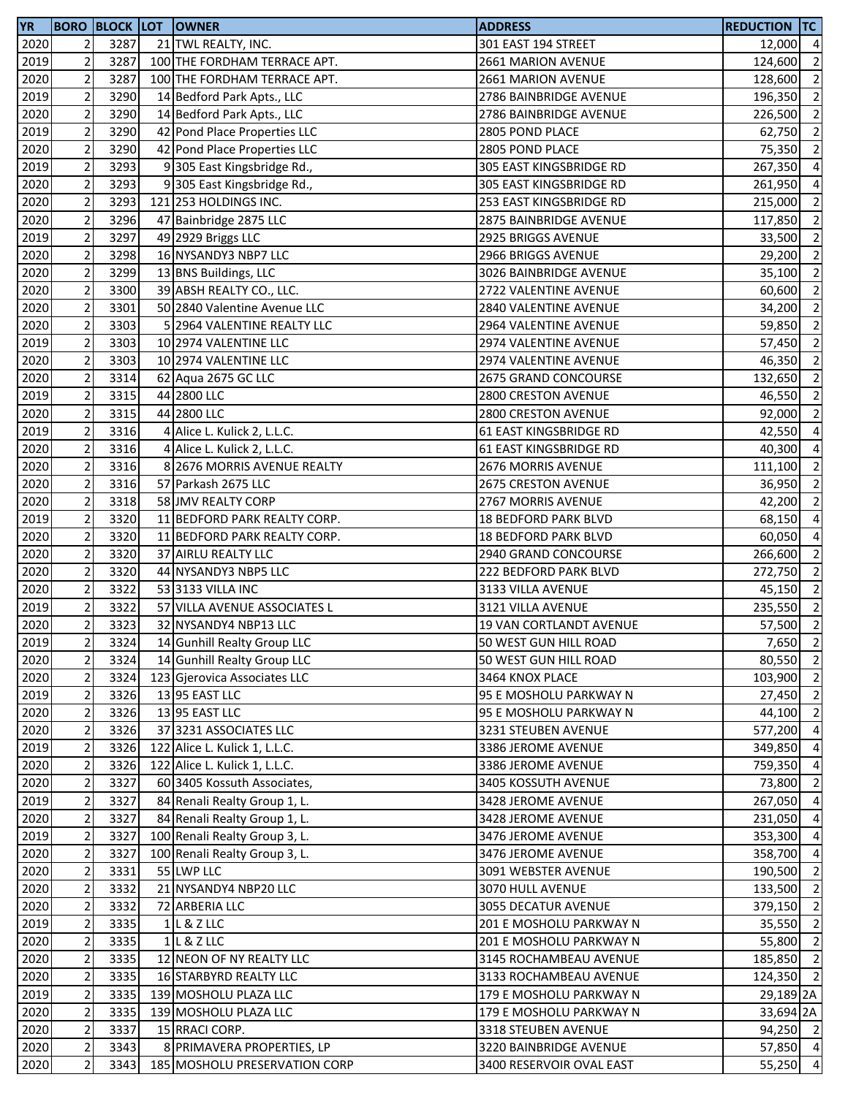| <b>YR</b> |                         |      | <b>BORO BLOCK LOT OWNER</b>   | <b>ADDRESS</b>           | <b>REDUCTION TC</b>   |                          |
|-----------|-------------------------|------|-------------------------------|--------------------------|-----------------------|--------------------------|
| 2020      | 2                       | 3287 | 21 TWL REALTY, INC.           | 301 EAST 194 STREET      | 12,000 4              |                          |
| 2019      | $\overline{2}$          | 3287 | 100 THE FORDHAM TERRACE APT.  | 2661 MARION AVENUE       | 124,600               | $\overline{\phantom{a}}$ |
| 2020      | $\overline{2}$          | 3287 | 100 THE FORDHAM TERRACE APT.  | 2661 MARION AVENUE       | 128,600               | $\overline{2}$           |
| 2019      | $\mathbf 2$             | 3290 | 14 Bedford Park Apts., LLC    | 2786 BAINBRIDGE AVENUE   | 196,350 2             |                          |
| 2020      | $\overline{2}$          | 3290 | 14 Bedford Park Apts., LLC    | 2786 BAINBRIDGE AVENUE   | 226,500 2             |                          |
| 2019      | $\mathbf 2$             | 3290 | 42 Pond Place Properties LLC  | 2805 POND PLACE          | 62,750                | $\overline{2}$           |
| 2020      | $\overline{2}$          | 3290 | 42 Pond Place Properties LLC  | 2805 POND PLACE          | 75,350                | $\overline{2}$           |
| 2019      | $\overline{\mathbf{c}}$ | 3293 | 9 305 East Kingsbridge Rd.,   | 305 EAST KINGSBRIDGE RD  | 267,350               | $\overline{4}$           |
| 2020      | $\overline{2}$          | 3293 | 9305 East Kingsbridge Rd.,    | 305 EAST KINGSBRIDGE RD  | 261,950               | $\overline{4}$           |
| 2020      | $\overline{2}$          | 3293 | 121 253 HOLDINGS INC.         | 253 EAST KINGSBRIDGE RD  | 215,000               | $\overline{2}$           |
| 2020      | $\overline{2}$          | 3296 | 47 Bainbridge 2875 LLC        | 2875 BAINBRIDGE AVENUE   | 117,850               | $\overline{2}$           |
| 2019      | $\mathbf 2$             | 3297 | 49 2929 Briggs LLC            | 2925 BRIGGS AVENUE       | 33,500                | $\overline{2}$           |
| 2020      | $\overline{2}$          | 3298 | 16 NYSANDY3 NBP7 LLC          | 2966 BRIGGS AVENUE       | 29,200 2              |                          |
| 2020      | $\overline{2}$          | 3299 | 13 BNS Buildings, LLC         | 3026 BAINBRIDGE AVENUE   | 35,100                | $\overline{2}$           |
| 2020      | $\overline{c}$          | 3300 | 39 ABSH REALTY CO., LLC.      | 2722 VALENTINE AVENUE    | 60,600                | $\overline{2}$           |
| 2020      | $\overline{2}$          | 3301 | 50 2840 Valentine Avenue LLC  | 2840 VALENTINE AVENUE    | 34,200                | $\overline{2}$           |
| 2020      | $\overline{2}$          | 3303 | 5 2964 VALENTINE REALTY LLC   | 2964 VALENTINE AVENUE    | 59,850                | $\overline{2}$           |
| 2019      | $\overline{2}$          | 3303 | 10 2974 VALENTINE LLC         | 2974 VALENTINE AVENUE    | 57,450                | $\overline{2}$           |
| 2020      | $\mathbf 2$             | 3303 | 10 2974 VALENTINE LLC         | 2974 VALENTINE AVENUE    | 46,350                | $\overline{2}$           |
|           |                         | 3314 |                               |                          |                       | $\overline{2}$           |
| 2020      | $\overline{2}$          | 3315 | 62 Aqua 2675 GC LLC           | 2675 GRAND CONCOURSE     | 132,650<br>46,550 2   |                          |
| 2019      | 2                       |      | 44 2800 LLC                   | 2800 CRESTON AVENUE      |                       | $\overline{2}$           |
| 2020      | $\overline{2}$          | 3315 | 44 2800 LLC                   | 2800 CRESTON AVENUE      | 92,000                |                          |
| 2019      | $\mathbf 2$             | 3316 | 4 Alice L. Kulick 2, L.L.C.   | 61 EAST KINGSBRIDGE RD   | 42,550                | $\overline{4}$           |
| 2020      | $\overline{2}$          | 3316 | 4 Alice L. Kulick 2, L.L.C.   | 61 EAST KINGSBRIDGE RD   | 40,300                | $\overline{4}$           |
| 2020      | $\mathbf 2$             | 3316 | 8 2676 MORRIS AVENUE REALTY   | 2676 MORRIS AVENUE       | 111,100               | $\overline{2}$           |
| 2020      | $\overline{2}$          | 3316 | 57 Parkash 2675 LLC           | 2675 CRESTON AVENUE      | 36,950                | $\overline{2}$           |
| 2020      | $\overline{2}$          | 3318 | 58 JMV REALTY CORP            | 2767 MORRIS AVENUE       | 42,200                | $\overline{2}$           |
| 2019      | $\overline{2}$          | 3320 | 11 BEDFORD PARK REALTY CORP.  | 18 BEDFORD PARK BLVD     | 68,150                | $\overline{4}$           |
| 2020      | $\overline{\mathbf{c}}$ | 3320 | 11 BEDFORD PARK REALTY CORP.  | 18 BEDFORD PARK BLVD     | 60,050                | $\overline{a}$           |
| 2020      | $\overline{2}$          | 3320 | 37 AIRLU REALTY LLC           | 2940 GRAND CONCOURSE     | 266,600               | $\overline{2}$           |
| 2020      | $\mathbf 2$             | 3320 | 44 NYSANDY3 NBP5 LLC          | 222 BEDFORD PARK BLVD    | 272,750               | $\overline{2}$           |
| 2020      | $\overline{c}$          | 3322 | 53 3133 VILLA INC             | 3133 VILLA AVENUE        | 45,150 2              |                          |
| 2019      | $\mathbf 2$             | 3322 | 57 VILLA AVENUE ASSOCIATES L  | 3121 VILLA AVENUE        | 235,550               | $\overline{2}$           |
| 2020      | $\overline{2}$          | 3323 | 32 NYSANDY4 NBP13 LLC         | 19 VAN CORTLANDT AVENUE  | 57,500                | $\overline{2}$           |
| 2019      | 2                       | 3324 | 14 Gunhill Realty Group LLC   | 50 WEST GUN HILL ROAD    | 7,650 2               |                          |
| 2020      | $\mathbf 2$             | 3324 | 14 Gunhill Realty Group LLC   | 50 WEST GUN HILL ROAD    | 80,550 2              |                          |
| 2020      | $\mathbf 2$             | 3324 | 123 Gjerovica Associates LLC  | 3464 KNOX PLACE          | 103,900               | $\overline{2}$           |
| 2019      | $\overline{2}$          | 3326 | 13 95 EAST LLC                | 95 E MOSHOLU PARKWAY N   | 27,450 2              |                          |
| 2020      | $\overline{2}$          | 3326 | 13 95 EAST LLC                | 95 E MOSHOLU PARKWAY N   | 44,100                | $\overline{2}$           |
| 2020      | $\overline{\mathbf{c}}$ | 3326 | 37 3231 ASSOCIATES LLC        | 3231 STEUBEN AVENUE      | 577,200               | $\overline{4}$           |
| 2019      | $\mathbf 2$             | 3326 | 122 Alice L. Kulick 1, L.L.C. | 3386 JEROME AVENUE       | 349,850               | $\overline{4}$           |
| 2020      | $\mathbf 2$             | 3326 | 122 Alice L. Kulick 1, L.L.C. | 3386 JEROME AVENUE       | 759,350               | $\overline{4}$           |
| 2020      | $\overline{2}$          | 3327 | 60 3405 Kossuth Associates,   | 3405 KOSSUTH AVENUE      | 73,800                | $\overline{2}$           |
| 2019      | $\mathbf 2$             | 3327 | 84 Renali Realty Group 1, L.  | 3428 JEROME AVENUE       | 267,050               | $\overline{4}$           |
| 2020      | $\overline{2}$          | 3327 | 84 Renali Realty Group 1, L.  | 3428 JEROME AVENUE       | 231,050               | $\overline{4}$           |
| 2019      | $\overline{2}$          | 3327 | 100 Renali Realty Group 3, L. | 3476 JEROME AVENUE       | 353,300 4             |                          |
| 2020      | $\overline{2}$          | 3327 | 100 Renali Realty Group 3, L. | 3476 JEROME AVENUE       | 358,700 4             |                          |
| 2020      | $\mathbf 2$             | 3331 | 55 LWP LLC                    | 3091 WEBSTER AVENUE      | 190,500 2             |                          |
| 2020      | $\overline{2}$          | 3332 | 21 NYSANDY4 NBP20 LLC         | 3070 HULL AVENUE         | 133,500 2             |                          |
| 2020      | $\mathbf 2$             | 3332 | 72 ARBERIA LLC                | 3055 DECATUR AVENUE      | 379,150 2             |                          |
| 2019      | $\mathbf 2$             | 3335 | $1$ L & Z LLC                 | 201 E MOSHOLU PARKWAY N  | 35,550                | $\overline{2}$           |
| 2020      | $\mathbf 2$             | 3335 | $1$ L & Z LLC                 | 201 E MOSHOLU PARKWAY N  | 55,800                | $\overline{2}$           |
| 2020      | $\overline{2}$          | 3335 | 12 NEON OF NY REALTY LLC      | 3145 ROCHAMBEAU AVENUE   | 185,850 2             |                          |
| 2020      | $\overline{2}$          | 3335 | 16 STARBYRD REALTY LLC        | 3133 ROCHAMBEAU AVENUE   | 124,350 2             |                          |
| 2019      | $\overline{2}$          | 3335 | 139 MOSHOLU PLAZA LLC         | 179 E MOSHOLU PARKWAY N  | 29,189 <sub>2</sub> A |                          |
| 2020      | $\mathbf 2$             | 3335 | 139 MOSHOLU PLAZA LLC         | 179 E MOSHOLU PARKWAY N  | 33,694 2A             |                          |
| 2020      | $\overline{c}$          | 3337 | 15 RRACI CORP.                | 3318 STEUBEN AVENUE      | 94,250 2              |                          |
| 2020      | $\mathbf 2$             | 3343 | 8 PRIMAVERA PROPERTIES, LP    | 3220 BAINBRIDGE AVENUE   | 57,850 4              |                          |
| 2020      | $\mathbf 2$             | 3343 | 185 MOSHOLU PRESERVATION CORP | 3400 RESERVOIR OVAL EAST | 55,250 4              |                          |
|           |                         |      |                               |                          |                       |                          |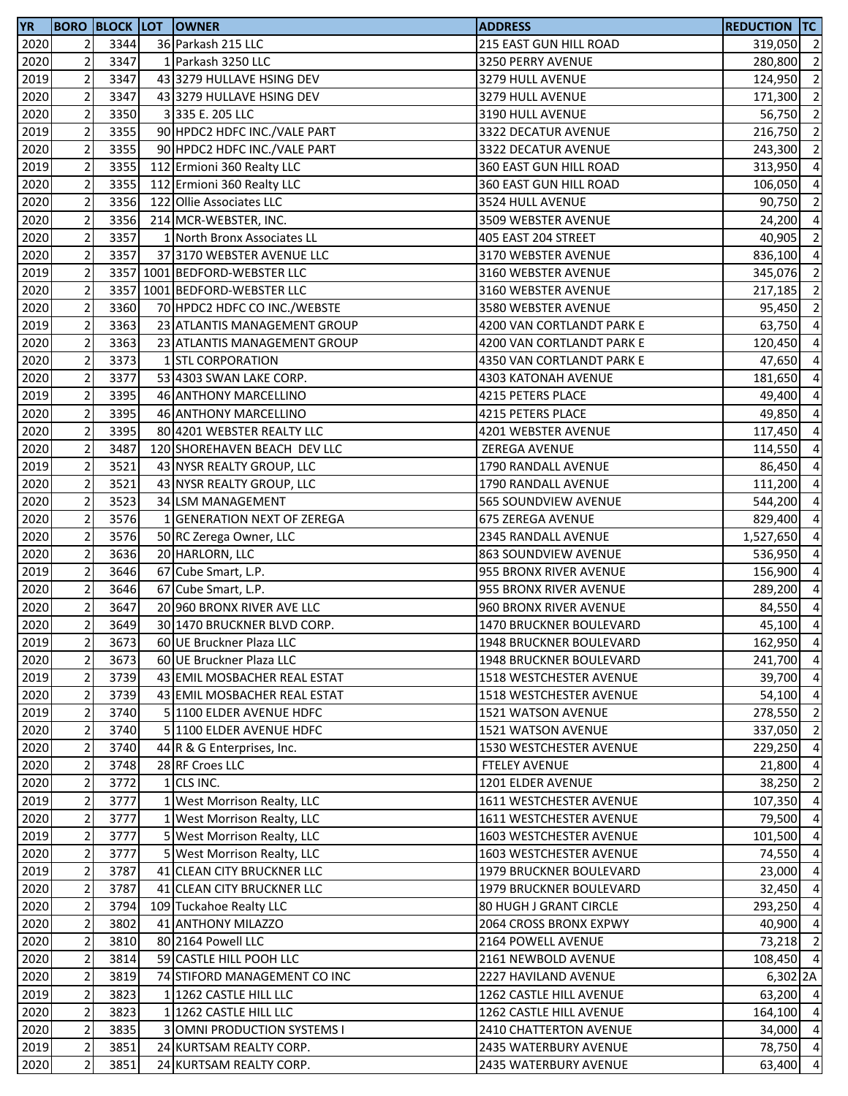| <b>YR</b> |                         |      | <b>BORO BLOCK LOT OWNER</b>        | <b>ADDRESS</b>              | <b>REDUCTION TC</b> |                          |
|-----------|-------------------------|------|------------------------------------|-----------------------------|---------------------|--------------------------|
| 2020      | 2                       | 3344 | 36 Parkash 215 LLC                 | 215 EAST GUN HILL ROAD      | 319,050 2           |                          |
| 2020      | $\mathbf 2$             | 3347 | 1 Parkash 3250 LLC                 | 3250 PERRY AVENUE           | 280,800             | $\overline{\phantom{a}}$ |
| 2019      | $\mathbf 2$             | 3347 | 43 3279 HULLAVE HSING DEV          | 3279 HULL AVENUE            | 124,950             | $\overline{2}$           |
| 2020      | $\mathbf 2$             | 3347 | 43 3279 HULLAVE HSING DEV          | 3279 HULL AVENUE            | 171,300 2           |                          |
| 2020      | $\mathbf 2$             | 3350 | 3335 E. 205 LLC                    | 3190 HULL AVENUE            | 56,750 2            |                          |
| 2019      | $\mathbf 2$             | 3355 | 90 HPDC2 HDFC INC./VALE PART       | 3322 DECATUR AVENUE         | 216,750             | $\overline{2}$           |
| 2020      | $\mathbf 2$             | 3355 | 90 HPDC2 HDFC INC./VALE PART       | 3322 DECATUR AVENUE         | 243,300 2           |                          |
| 2019      | $\sqrt{2}$              | 3355 | 112 Ermioni 360 Realty LLC         | 360 EAST GUN HILL ROAD      | 313,950             | $\overline{4}$           |
| 2020      | $\overline{2}$          | 3355 | 112 Ermioni 360 Realty LLC         | 360 EAST GUN HILL ROAD      | 106,050             | $\overline{a}$           |
| 2020      | $\overline{2}$          | 3356 | 122 Ollie Associates LLC           | 3524 HULL AVENUE            | 90,750              | $\overline{2}$           |
| 2020      | $\mathbf 2$             | 3356 | 214 MCR-WEBSTER, INC.              | 3509 WEBSTER AVENUE         | 24,200              | $\overline{4}$           |
| 2020      | $\mathbf 2$             | 3357 | 1 North Bronx Associates LL        | 405 EAST 204 STREET         | 40,905              | $\overline{2}$           |
| 2020      | $\mathbf 2$             | 3357 | 37 3170 WEBSTER AVENUE LLC         | 3170 WEBSTER AVENUE         | 836,100 4           |                          |
| 2019      | $\mathbf 2$             |      | 3357 1001 BEDFORD-WEBSTER LLC      | 3160 WEBSTER AVENUE         | 345,076             | $\overline{2}$           |
| 2020      | $\overline{c}$          |      | 3357 1001 BEDFORD-WEBSTER LLC      | 3160 WEBSTER AVENUE         | 217,185             | $\overline{2}$           |
| 2020      | $\mathbf 2$             | 3360 | 70 HPDC2 HDFC CO INC./WEBSTE       | 3580 WEBSTER AVENUE         | 95,450              | $\overline{2}$           |
| 2019      | $\overline{2}$          | 3363 | 23 ATLANTIS MANAGEMENT GROUP       | 4200 VAN CORTLANDT PARK E   | 63,750              | $\overline{a}$           |
| 2020      | $\overline{2}$          | 3363 | 23 ATLANTIS MANAGEMENT GROUP       | 4200 VAN CORTLANDT PARK E   | 120,450             | $\overline{4}$           |
| 2020      | $\mathbf 2$             | 3373 | 1 STL CORPORATION                  | 4350 VAN CORTLANDT PARK E   | 47,650              | $\overline{a}$           |
| 2020      | $\mathbf 2$             | 3377 | 53 4303 SWAN LAKE CORP.            | 4303 KATONAH AVENUE         | 181,650             | $\overline{4}$           |
| 2019      | 2                       | 3395 | 46 ANTHONY MARCELLINO              | 4215 PETERS PLACE           | 49,400              | $\overline{4}$           |
| 2020      | $\mathbf 2$             | 3395 | 46 ANTHONY MARCELLINO              | 4215 PETERS PLACE           | 49,850              | $\overline{4}$           |
| 2020      | $\mathbf 2$             | 3395 | 80 4201 WEBSTER REALTY LLC         | 4201 WEBSTER AVENUE         | 117,450             | -4                       |
| 2020      | $\mathbf 2$             | 3487 | 120 SHOREHAVEN BEACH DEV LLC       | ZEREGA AVENUE               | 114,550             | $\overline{4}$           |
| 2019      | $\sqrt{2}$              | 3521 | 43 NYSR REALTY GROUP, LLC          | 1790 RANDALL AVENUE         | 86,450              | $\overline{a}$           |
| 2020      | $\mathbf 2$             | 3521 | 43 NYSR REALTY GROUP, LLC          | 1790 RANDALL AVENUE         | 111,200             | $\overline{a}$           |
| 2020      | $\mathbf 2$             | 3523 | 34 LSM MANAGEMENT                  | 565 SOUNDVIEW AVENUE        | 544,200             | $\overline{4}$           |
| 2020      | $\mathbf 2$             | 3576 | 1 GENERATION NEXT OF ZEREGA        | 675 ZEREGA AVENUE           | 829,400             | $\overline{4}$           |
| 2020      | $\sqrt{2}$              | 3576 | 50 RC Zerega Owner, LLC            | 2345 RANDALL AVENUE         | 1,527,650           | $\overline{4}$           |
| 2020      | $\mathbf 2$             | 3636 | 20 HARLORN, LLC                    | <b>863 SOUNDVIEW AVENUE</b> | 536,950             | $\overline{4}$           |
| 2019      | $\sqrt{2}$              | 3646 | 67 Cube Smart, L.P.                | 955 BRONX RIVER AVENUE      | 156,900             | $\overline{4}$           |
| 2020      | $\overline{c}$          | 3646 | 67 Cube Smart, L.P.                | 955 BRONX RIVER AVENUE      | 289,200             | $\overline{4}$           |
| 2020      | $\sqrt{2}$              | 3647 | 20 960 BRONX RIVER AVE LLC         | 960 BRONX RIVER AVENUE      | 84,550              | $\overline{4}$           |
| 2020      | $\overline{2}$          | 3649 | 30 1470 BRUCKNER BLVD CORP.        | 1470 BRUCKNER BOULEVARD     | 45,100              | $\overline{4}$           |
| 2019      | 2                       | 3673 | 60 UE Bruckner Plaza LLC           | 1948 BRUCKNER BOULEVARD     | 162,950 4           |                          |
| 2020      | $\mathbf 2$             | 3673 | 60 UE Bruckner Plaza LLC           | 1948 BRUCKNER BOULEVARD     | 241,700 4           |                          |
| 2019      | $\mathbf 2$             | 3739 | 43 EMIL MOSBACHER REAL ESTAT       | 1518 WESTCHESTER AVENUE     | 39,700              | $\overline{4}$           |
| 2020      | $\mathbf 2$             | 3739 | 43 EMIL MOSBACHER REAL ESTAT       | 1518 WESTCHESTER AVENUE     | 54,100 4            |                          |
| 2019      | $\overline{\mathbf{c}}$ | 3740 | 5 1100 ELDER AVENUE HDFC           | <b>1521 WATSON AVENUE</b>   | 278,550             | $\overline{2}$           |
| 2020      | $\overline{\mathbf{c}}$ | 3740 | 5 1100 ELDER AVENUE HDFC           | <b>1521 WATSON AVENUE</b>   | 337,050             | $\overline{2}$           |
| 2020      | $\mathbf 2$             | 3740 | 44 R & G Enterprises, Inc.         | 1530 WESTCHESTER AVENUE     | 229,250             | $\overline{4}$           |
| 2020      | $\overline{2}$          | 3748 | 28 RF Croes LLC                    | <b>FTELEY AVENUE</b>        | 21,800              | $\overline{4}$           |
| 2020      | $\mathbf 2$             | 3772 | 1 CLS INC.                         | 1201 ELDER AVENUE           | 38,250              | $\overline{2}$           |
| 2019      | $\mathbf 2$             | 3777 | 1 West Morrison Realty, LLC        | 1611 WESTCHESTER AVENUE     | 107,350             | $\overline{4}$           |
| 2020      | $\mathbf 2$             | 3777 | 1 West Morrison Realty, LLC        | 1611 WESTCHESTER AVENUE     | 79,500              | $\overline{4}$           |
| 2019      | 2                       | 3777 | 5 West Morrison Realty, LLC        | 1603 WESTCHESTER AVENUE     | 101,500             | $\overline{4}$           |
| 2020      | $\mathbf 2$             | 3777 | 5 West Morrison Realty, LLC        | 1603 WESTCHESTER AVENUE     | 74,550              | $\overline{4}$           |
| 2019      | $\mathbf 2$             | 3787 | 41 CLEAN CITY BRUCKNER LLC         | 1979 BRUCKNER BOULEVARD     | 23,000              | $\overline{4}$           |
| 2020      | $\mathbf 2$             | 3787 | 41 CLEAN CITY BRUCKNER LLC         | 1979 BRUCKNER BOULEVARD     | 32,450              | $\overline{4}$           |
| 2020      | $\sqrt{2}$              | 3794 | 109 Tuckahoe Realty LLC            | 80 HUGH J GRANT CIRCLE      | 293,250             | $\overline{4}$           |
| 2020      | $\mathbf 2$             | 3802 | 41 ANTHONY MILAZZO                 | 2064 CROSS BRONX EXPWY      | 40,900              | $\overline{4}$           |
| 2020      | $\mathbf 2$             | 3810 | 80 2164 Powell LLC                 | 2164 POWELL AVENUE          | 73,218              | $\overline{2}$           |
| 2020      | $\mathbf 2$             | 3814 | 59 CASTLE HILL POOH LLC            | 2161 NEWBOLD AVENUE         | 108,450 4           |                          |
| 2020      | $\sqrt{2}$              | 3819 | 74 STIFORD MANAGEMENT CO INC       | 2227 HAVILAND AVENUE        | 6,302 2A            |                          |
| 2019      | $\mathbf 2$             | 3823 | 1 1262 CASTLE HILL LLC             | 1262 CASTLE HILL AVENUE     | 63,200 4            |                          |
| 2020      | $\mathbf 2$             | 3823 | 1 1262 CASTLE HILL LLC             | 1262 CASTLE HILL AVENUE     | 164,100 4           |                          |
| 2020      | $\mathbf 2$             | 3835 | <b>3 OMNI PRODUCTION SYSTEMS I</b> | 2410 CHATTERTON AVENUE      | 34,000 4            |                          |
| 2019      | $\sqrt{2}$              | 3851 | 24 KURTSAM REALTY CORP.            | 2435 WATERBURY AVENUE       | 78,750 4            |                          |
| 2020      | $\sqrt{2}$              | 3851 | 24 KURTSAM REALTY CORP.            | 2435 WATERBURY AVENUE       | 63,400              | $\overline{4}$           |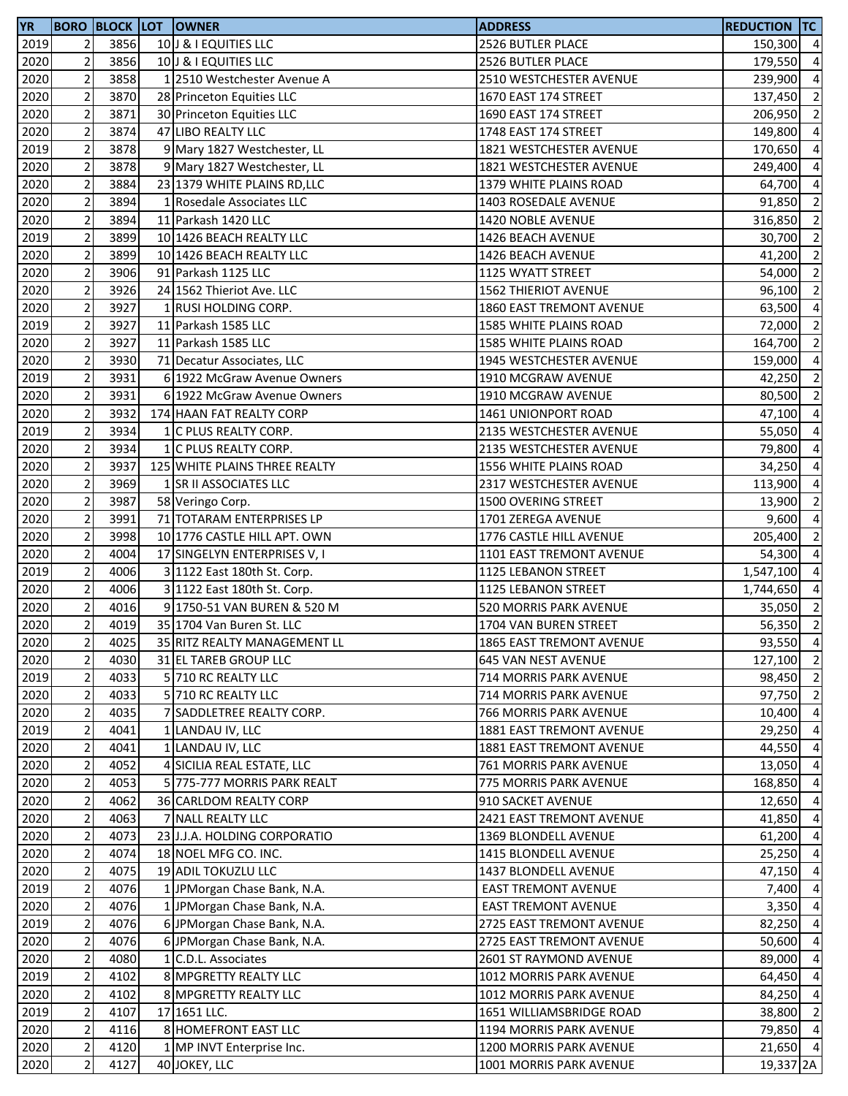| <b>YR</b> |                |      | <b>BORO BLOCK LOT OWNER</b>   | <b>ADDRESS</b>                 | <b>REDUCTION TC</b>  |                          |
|-----------|----------------|------|-------------------------------|--------------------------------|----------------------|--------------------------|
| 2019      | $\overline{2}$ | 3856 | 10 J & I EQUITIES LLC         | 2526 BUTLER PLACE              | 150,300 4            |                          |
| 2020      | $\overline{2}$ | 3856 | 10 J & I EQUITIES LLC         | <b>2526 BUTLER PLACE</b>       | 179,550              | $\overline{4}$           |
| 2020      | $\overline{c}$ | 3858 | 1 2510 Westchester Avenue A   | 2510 WESTCHESTER AVENUE        | 239,900              | $\overline{4}$           |
| 2020      | $\mathbf 2$    | 3870 | 28 Princeton Equities LLC     | 1670 EAST 174 STREET           | 137,450              | $\overline{2}$           |
| 2020      | $\mathbf 2$    | 3871 | 30 Princeton Equities LLC     | 1690 EAST 174 STREET           | 206,950              | $\overline{2}$           |
| 2020      | $\mathbf 2$    | 3874 | 47 LIBO REALTY LLC            | 1748 EAST 174 STREET           | 149,800              | $\overline{4}$           |
| 2019      | $\overline{c}$ | 3878 | 9 Mary 1827 Westchester, LL   | 1821 WESTCHESTER AVENUE        | 170,650              | $\overline{4}$           |
| 2020      | $\mathbf 2$    | 3878 | 9 Mary 1827 Westchester, LL   | 1821 WESTCHESTER AVENUE        | 249,400              | $\overline{4}$           |
| 2020      | $\mathbf 2$    | 3884 | 23 1379 WHITE PLAINS RD, LLC  | 1379 WHITE PLAINS ROAD         | 64,700               | $\overline{a}$           |
| 2020      | $\mathbf 2$    | 3894 | 1 Rosedale Associates LLC     | 1403 ROSEDALE AVENUE           | 91,850               | $\overline{2}$           |
| 2020      | $\sqrt{2}$     | 3894 | 11 Parkash 1420 LLC           | 1420 NOBLE AVENUE              | 316,850              | $\overline{2}$           |
| 2019      | $\mathbf 2$    | 3899 | 10 1426 BEACH REALTY LLC      | 1426 BEACH AVENUE              | 30,700               | $\overline{2}$           |
| 2020      | $\sqrt{2}$     | 3899 | 10 1426 BEACH REALTY LLC      | 1426 BEACH AVENUE              | 41,200               | $\overline{2}$           |
| 2020      | $\mathbf 2$    | 3906 | 91 Parkash 1125 LLC           | 1125 WYATT STREET              | 54,000               | $\overline{2}$           |
| 2020      | $\sqrt{2}$     | 3926 | 24 1562 Thieriot Ave. LLC     | <b>1562 THIERIOT AVENUE</b>    | 96,100               | $\overline{2}$           |
| 2020      | $\mathbf 2$    | 3927 | 1 RUSI HOLDING CORP.          | 1860 EAST TREMONT AVENUE       | 63,500               | $\overline{4}$           |
| 2019      | $\mathbf 2$    | 3927 | 11 Parkash 1585 LLC           | 1585 WHITE PLAINS ROAD         | 72,000               | $\overline{2}$           |
| 2020      | $\mathbf 2$    | 3927 | 11 Parkash 1585 LLC           | 1585 WHITE PLAINS ROAD         |                      | $\overline{2}$           |
|           | $\mathbf 2$    |      | 71 Decatur Associates, LLC    |                                | 164,700              | $\overline{4}$           |
| 2020      |                | 3930 |                               | 1945 WESTCHESTER AVENUE        | 159,000              |                          |
| 2019      | $\overline{2}$ | 3931 | 6 1922 McGraw Avenue Owners   | 1910 MCGRAW AVENUE             | 42,250               | $\overline{2}$           |
| 2020      | $\mathbf 2$    | 3931 | 6 1922 McGraw Avenue Owners   | 1910 MCGRAW AVENUE             | 80,500               | $\overline{2}$           |
| 2020      | $\mathbf 2$    | 3932 | 174 HAAN FAT REALTY CORP      | 1461 UNIONPORT ROAD            | 47,100 4             |                          |
| 2019      | $\mathbf 2$    | 3934 | 1 C PLUS REALTY CORP.         | 2135 WESTCHESTER AVENUE        | 55,050               | $\overline{4}$           |
| 2020      | $\overline{c}$ | 3934 | 1 C PLUS REALTY CORP.         | 2135 WESTCHESTER AVENUE        | 79,800               | $\overline{4}$           |
| 2020      | $\overline{2}$ | 3937 | 125 WHITE PLAINS THREE REALTY | 1556 WHITE PLAINS ROAD         | 34,250               | $\overline{4}$           |
| 2020      | $\overline{2}$ | 3969 | 1 SR II ASSOCIATES LLC        | 2317 WESTCHESTER AVENUE        | 113,900              | $\overline{a}$           |
| 2020      | $\mathbf 2$    | 3987 | 58 Veringo Corp.              | <b>1500 OVERING STREET</b>     | 13,900               | $\overline{2}$           |
| 2020      | $\mathbf 2$    | 3991 | 71 TOTARAM ENTERPRISES LP     | 1701 ZEREGA AVENUE             | 9,600                | $\overline{a}$           |
| 2020      | $\mathbf 2$    | 3998 | 10 1776 CASTLE HILL APT. OWN  | 1776 CASTLE HILL AVENUE        | 205,400              | $\overline{2}$           |
| 2020      | $\mathbf 2$    | 4004 | 17 SINGELYN ENTERPRISES V, I  | 1101 EAST TREMONT AVENUE       | 54,300               | $\overline{4}$           |
| 2019      | $\mathbf 2$    | 4006 | 3 1122 East 180th St. Corp.   | 1125 LEBANON STREET            | 1,547,100            | $\overline{4}$           |
| 2020      | $\overline{c}$ | 4006 | 3 1122 East 180th St. Corp.   | 1125 LEBANON STREET            | 1,744,650            | $\overline{4}$           |
| 2020      | $\mathbf 2$    | 4016 | 9 1750-51 VAN BUREN & 520 M   | 520 MORRIS PARK AVENUE         | 35,050               | $\overline{2}$           |
| 2020      | $\mathbf 2$    | 4019 | 35 1704 Van Buren St. LLC     | 1704 VAN BUREN STREET          | 56,350               | $\overline{2}$           |
| 2020      | 2              | 4025 | 35 RITZ REALTY MANAGEMENT LL  | 1865 EAST TREMONT AVENUE       | 93,550 4             |                          |
| 2020      | $\mathbf 2$    | 4030 | 31 EL TAREB GROUP LLC         | 645 VAN NEST AVENUE            | 127,100              | $\overline{\phantom{a}}$ |
| 2019      | $\mathbf 2$    | 4033 | 5 710 RC REALTY LLC           | 714 MORRIS PARK AVENUE         | 98,450 2             |                          |
| 2020      | $\sqrt{2}$     | 4033 | 5 710 RC REALTY LLC           | 714 MORRIS PARK AVENUE         | 97,750 2             |                          |
| 2020      | $\mathbf 2$    | 4035 | 7 SADDLETREE REALTY CORP.     | 766 MORRIS PARK AVENUE         | 10,400 4             |                          |
| 2019      | $\sqrt{2}$     | 4041 | 1 LANDAU IV, LLC              | 1881 EAST TREMONT AVENUE       | 29,250 4             |                          |
| 2020      | $\overline{2}$ | 4041 | 1 LANDAU IV, LLC              | 1881 EAST TREMONT AVENUE       | 44,550 4             |                          |
| 2020      | $\mathbf 2$    | 4052 | 4 SICILIA REAL ESTATE, LLC    | 761 MORRIS PARK AVENUE         | 13,050               | $\overline{4}$           |
| 2020      | $\mathbf 2$    | 4053 | 5 775-777 MORRIS PARK REALT   | 775 MORRIS PARK AVENUE         | 168,850              | $\overline{4}$           |
| 2020      | $\overline{2}$ | 4062 | 36 CARLDOM REALTY CORP        | 910 SACKET AVENUE              | 12,650               | $\overline{4}$           |
| 2020      | $\mathbf 2$    | 4063 | 7 NALL REALTY LLC             | 2421 EAST TREMONT AVENUE       | 41,850               | $\overline{4}$           |
| 2020      | $\overline{2}$ | 4073 | 23 J.J.A. HOLDING CORPORATIO  | 1369 BLONDELL AVENUE           | 61,200               | $\overline{4}$           |
| 2020      | $\mathbf 2$    | 4074 | 18 NOEL MFG CO. INC.          | 1415 BLONDELL AVENUE           | 25,250 4             |                          |
| 2020      | $\mathbf 2$    | 4075 | 19 ADIL TOKUZLU LLC           | 1437 BLONDELL AVENUE           | 47,150 4             |                          |
| 2019      | $\overline{c}$ | 4076 | 1 JPMorgan Chase Bank, N.A.   | <b>EAST TREMONT AVENUE</b>     | 7,400 4              |                          |
| 2020      | $\mathbf 2$    | 4076 | 1 JPMorgan Chase Bank, N.A.   | <b>EAST TREMONT AVENUE</b>     | 3,350                | $\overline{4}$           |
| 2019      | $\mathbf 2$    | 4076 | 6 JPMorgan Chase Bank, N.A.   | 2725 EAST TREMONT AVENUE       | 82,250               | $\overline{4}$           |
| 2020      | $\mathbf 2$    | 4076 | 6 JPMorgan Chase Bank, N.A.   | 2725 EAST TREMONT AVENUE       | 50,600               | $\overline{4}$           |
| 2020      | $\mathbf 2$    | 4080 | 1 C.D.L. Associates           | 2601 ST RAYMOND AVENUE         | 89,000               | $\overline{4}$           |
|           | $\mathbf 2$    | 4102 | 8 MPGRETTY REALTY LLC         | 1012 MORRIS PARK AVENUE        |                      | $\overline{4}$           |
| 2019      |                |      |                               |                                | 64,450               |                          |
| 2020      | $\mathbf 2$    | 4102 | 8 MPGRETTY REALTY LLC         | 1012 MORRIS PARK AVENUE        | 84,250 4             |                          |
| 2019      | $\mathbf 2$    | 4107 | 17 1651 LLC.                  | 1651 WILLIAMSBRIDGE ROAD       | 38,800 2             |                          |
| 2020      | $\overline{c}$ | 4116 | 8 HOMEFRONT EAST LLC          | <b>1194 MORRIS PARK AVENUE</b> | 79,850 4             |                          |
| 2020      | $\mathbf 2$    | 4120 | 1 MP INVT Enterprise Inc.     | 1200 MORRIS PARK AVENUE        | 21,650 4             |                          |
| 2020      | $\mathbf 2$    | 4127 | 40 JOKEY, LLC                 | 1001 MORRIS PARK AVENUE        | 19,337 <sub>2A</sub> |                          |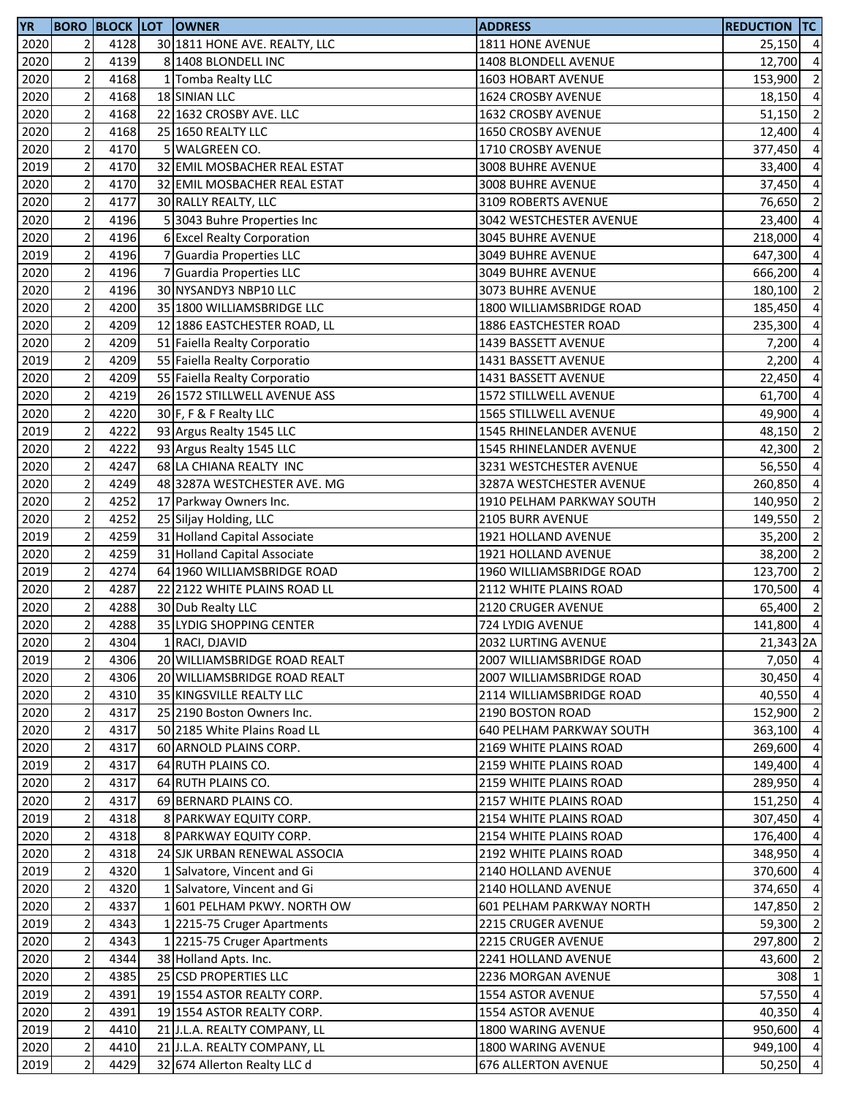| YR   |                         |      | <b>BORO BLOCK LOT OWNER</b>   | <b>ADDRESS</b>                  | <b>REDUCTION TC</b> |                |
|------|-------------------------|------|-------------------------------|---------------------------------|---------------------|----------------|
| 2020 | 2                       | 4128 | 30 1811 HONE AVE. REALTY, LLC | 1811 HONE AVENUE                | 25,150 4            |                |
| 2020 | $\mathbf 2$             | 4139 | 8 1408 BLONDELL INC           | 1408 BLONDELL AVENUE            | 12,700              | $\overline{4}$ |
| 2020 | $\overline{2}$          | 4168 | 1 Tomba Realty LLC            | 1603 HOBART AVENUE              | 153,900             | $\overline{2}$ |
| 2020 | $\mathbf 2$             | 4168 | 18 SINIAN LLC                 | 1624 CROSBY AVENUE              | 18,150              | $\overline{4}$ |
| 2020 | $\mathbf 2$             | 4168 | 22 1632 CROSBY AVE. LLC       | 1632 CROSBY AVENUE              | 51,150              | $\overline{2}$ |
| 2020 | $\mathbf 2$             | 4168 | 25 1650 REALTY LLC            | 1650 CROSBY AVENUE              | 12,400              | $\overline{4}$ |
| 2020 | $\overline{2}$          | 4170 | <b>WALGREEN CO.</b>           | 1710 CROSBY AVENUE              | 377,450             | $\overline{4}$ |
| 2019 | $\mathbf 2$             | 4170 | 32 EMIL MOSBACHER REAL ESTAT  | 3008 BUHRE AVENUE               | 33,400              | $\overline{a}$ |
| 2020 | $\mathbf 2$             | 4170 | 32 EMIL MOSBACHER REAL ESTAT  | 3008 BUHRE AVENUE               | 37,450              | $\overline{a}$ |
| 2020 | $\mathbf 2$             | 4177 | 30 RALLY REALTY, LLC          | 3109 ROBERTS AVENUE             | 76,650              | $\overline{2}$ |
| 2020 | $\mathbf 2$             | 4196 | 53043 Buhre Properties Inc    | 3042 WESTCHESTER AVENUE         | 23,400              | $\overline{a}$ |
| 2020 | $\mathbf 2$             | 4196 | 6 Excel Realty Corporation    | 3045 BUHRE AVENUE               | 218,000             | $\overline{4}$ |
| 2019 | $\mathbf 2$             | 4196 | 7 Guardia Properties LLC      | <b>3049 BUHRE AVENUE</b>        | 647,300             | $\overline{a}$ |
| 2020 | $\mathbf 2$             | 4196 | 7 Guardia Properties LLC      | <b>3049 BUHRE AVENUE</b>        | 666,200             | $\overline{4}$ |
| 2020 | $\overline{c}$          | 4196 | 30 NYSANDY3 NBP10 LLC         | <b>3073 BUHRE AVENUE</b>        | 180,100             | $\overline{2}$ |
| 2020 | $\overline{c}$          | 4200 | 35 1800 WILLIAMSBRIDGE LLC    | 1800 WILLIAMSBRIDGE ROAD        | 185,450             | $\overline{4}$ |
| 2020 | $\overline{2}$          | 4209 | 12 1886 EASTCHESTER ROAD, LL  | 1886 EASTCHESTER ROAD           | 235,300             | $\overline{4}$ |
| 2020 | $\mathbf 2$             | 4209 | 51 Faiella Realty Corporatio  | 1439 BASSETT AVENUE             | 7,200               | $\overline{4}$ |
| 2019 | $\mathbf 2$             | 4209 | 55 Faiella Realty Corporatio  | 1431 BASSETT AVENUE             | 2,200               | $\overline{4}$ |
| 2020 | $\overline{2}$          | 4209 | 55 Faiella Realty Corporatio  | 1431 BASSETT AVENUE             | 22,450              | $\overline{4}$ |
| 2020 | $\mathbf 2$             | 4219 | 26 1572 STILLWELL AVENUE ASS  | 1572 STILLWELL AVENUE           | 61,700              | $\overline{4}$ |
| 2020 | $\mathbf 2$             | 4220 | 30 F, F & F Realty LLC        | 1565 STILLWELL AVENUE           | 49,900              | $\overline{4}$ |
| 2019 | $\mathbf 2$             | 4222 | 93 Argus Realty 1545 LLC      | 1545 RHINELANDER AVENUE         | 48,150              | $\overline{2}$ |
| 2020 | $\overline{2}$          | 4222 | 93 Argus Realty 1545 LLC      | 1545 RHINELANDER AVENUE         | 42,300              | $\overline{2}$ |
| 2020 | $\mathbf 2$             | 4247 | 68 LA CHIANA REALTY INC       | 3231 WESTCHESTER AVENUE         | 56,550              | $\overline{4}$ |
| 2020 | $\mathbf 2$             | 4249 | 48 3287A WESTCHESTER AVE. MG  | 3287A WESTCHESTER AVENUE        | 260,850             | $\overline{4}$ |
| 2020 | $\mathbf 2$             | 4252 | 17 Parkway Owners Inc.        | 1910 PELHAM PARKWAY SOUTH       | 140,950             | $\overline{2}$ |
| 2020 | $\overline{2}$          | 4252 | 25 Siljay Holding, LLC        | 2105 BURR AVENUE                | 149,550             | $\overline{2}$ |
| 2019 | $\mathbf 2$             | 4259 | 31 Holland Capital Associate  | 1921 HOLLAND AVENUE             | 35,200              | $\overline{2}$ |
| 2020 | $\mathbf 2$             | 4259 | 31 Holland Capital Associate  | 1921 HOLLAND AVENUE             | 38,200              | $\overline{2}$ |
| 2019 | $\mathbf 2$             | 4274 | 64 1960 WILLIAMSBRIDGE ROAD   | 1960 WILLIAMSBRIDGE ROAD        | 123,700             | $\overline{2}$ |
| 2020 | $\overline{2}$          | 4287 | 22 2122 WHITE PLAINS ROAD LL  | 2112 WHITE PLAINS ROAD          | 170,500             | $\overline{4}$ |
| 2020 | $\sqrt{2}$              | 4288 | 30 Dub Realty LLC             | 2120 CRUGER AVENUE              | 65,400              | $\overline{2}$ |
| 2020 | $\overline{2}$          | 4288 | 35 LYDIG SHOPPING CENTER      | 724 LYDIG AVENUE                | 141,800             | $\overline{4}$ |
| 2020 | 2                       | 4304 | 1 RACI, DJAVID                | 2032 LURTING AVENUE             | 21,343 2A           |                |
| 2019 | $\mathbf 2$             | 4306 | 20 WILLIAMSBRIDGE ROAD REALT  | 2007 WILLIAMSBRIDGE ROAD        | 7,050 4             |                |
| 2020 | $\mathbf 2$             | 4306 | 20 WILLIAMSBRIDGE ROAD REALT  | 2007 WILLIAMSBRIDGE ROAD        | 30,450              | $\overline{4}$ |
| 2020 | $\mathbf 2$             | 4310 | 35 KINGSVILLE REALTY LLC      | 2114 WILLIAMSBRIDGE ROAD        | 40,550 4            |                |
| 2020 | $\mathbf 2$             | 4317 | 25 2190 Boston Owners Inc.    | 2190 BOSTON ROAD                | 152,900             | $\overline{2}$ |
| 2020 | $\overline{\mathbf{c}}$ | 4317 | 50 2185 White Plains Road LL  | <b>640 PELHAM PARKWAY SOUTH</b> | 363,100             | $\overline{4}$ |
| 2020 | $\mathbf 2$             | 4317 | 60 ARNOLD PLAINS CORP.        | 2169 WHITE PLAINS ROAD          | 269,600             | $\overline{4}$ |
| 2019 | $\mathbf 2$             | 4317 | 64 RUTH PLAINS CO.            | 2159 WHITE PLAINS ROAD          | 149,400             | $\overline{4}$ |
| 2020 | $\mathbf 2$             | 4317 | 64 RUTH PLAINS CO.            | 2159 WHITE PLAINS ROAD          | 289,950             | $\overline{4}$ |
| 2020 | $\mathbf 2$             | 4317 | 69 BERNARD PLAINS CO.         | 2157 WHITE PLAINS ROAD          | 151,250             | $\overline{4}$ |
| 2019 | $\mathbf 2$             | 4318 | 8 PARKWAY EQUITY CORP.        | 2154 WHITE PLAINS ROAD          | 307,450             | $\overline{4}$ |
| 2020 | 2                       | 4318 | 8 PARKWAY EQUITY CORP.        | 2154 WHITE PLAINS ROAD          | 176,400             | $\overline{4}$ |
| 2020 | $\mathbf 2$             | 4318 | 24 SJK URBAN RENEWAL ASSOCIA  | 2192 WHITE PLAINS ROAD          | 348,950             | $\overline{4}$ |
| 2019 | $\mathbf 2$             | 4320 | 1 Salvatore, Vincent and Gi   | 2140 HOLLAND AVENUE             | 370,600             | $\overline{4}$ |
| 2020 | $\mathbf 2$             | 4320 | 1 Salvatore, Vincent and Gi   | 2140 HOLLAND AVENUE             | 374,650 4           |                |
| 2020 | $\sqrt{2}$              | 4337 | 1 601 PELHAM PKWY. NORTH OW   | 601 PELHAM PARKWAY NORTH        | 147,850             | $\overline{2}$ |
| 2019 | $\mathbf 2$             | 4343 | 1 2215-75 Cruger Apartments   | 2215 CRUGER AVENUE              | 59,300              | $\overline{2}$ |
| 2020 | $\mathbf 2$             | 4343 | 1 2215-75 Cruger Apartments   | 2215 CRUGER AVENUE              | 297,800             | $\overline{2}$ |
| 2020 | $\mathbf 2$             | 4344 | 38 Holland Apts. Inc.         | 2241 HOLLAND AVENUE             | 43,600              | $\overline{2}$ |
| 2020 | $\sqrt{2}$              | 4385 | 25 CSD PROPERTIES LLC         | 2236 MORGAN AVENUE              | 308                 | $\mathbf{1}$   |
| 2019 | $\mathbf 2$             | 4391 | 19 1554 ASTOR REALTY CORP.    | 1554 ASTOR AVENUE               | 57,550 4            |                |
| 2020 | $\mathbf 2$             | 4391 | 19 1554 ASTOR REALTY CORP.    | 1554 ASTOR AVENUE               | 40,350              | $\overline{4}$ |
| 2019 | $\overline{2}$          | 4410 | 21 J.L.A. REALTY COMPANY, LL  | 1800 WARING AVENUE              | 950,600 4           |                |
| 2020 | $\sqrt{2}$              | 4410 | 21 J.L.A. REALTY COMPANY, LL  | 1800 WARING AVENUE              | 949,100 4           |                |
| 2019 | $\sqrt{2}$              | 4429 | 32 674 Allerton Realty LLC d  | <b>676 ALLERTON AVENUE</b>      | 50,250 4            |                |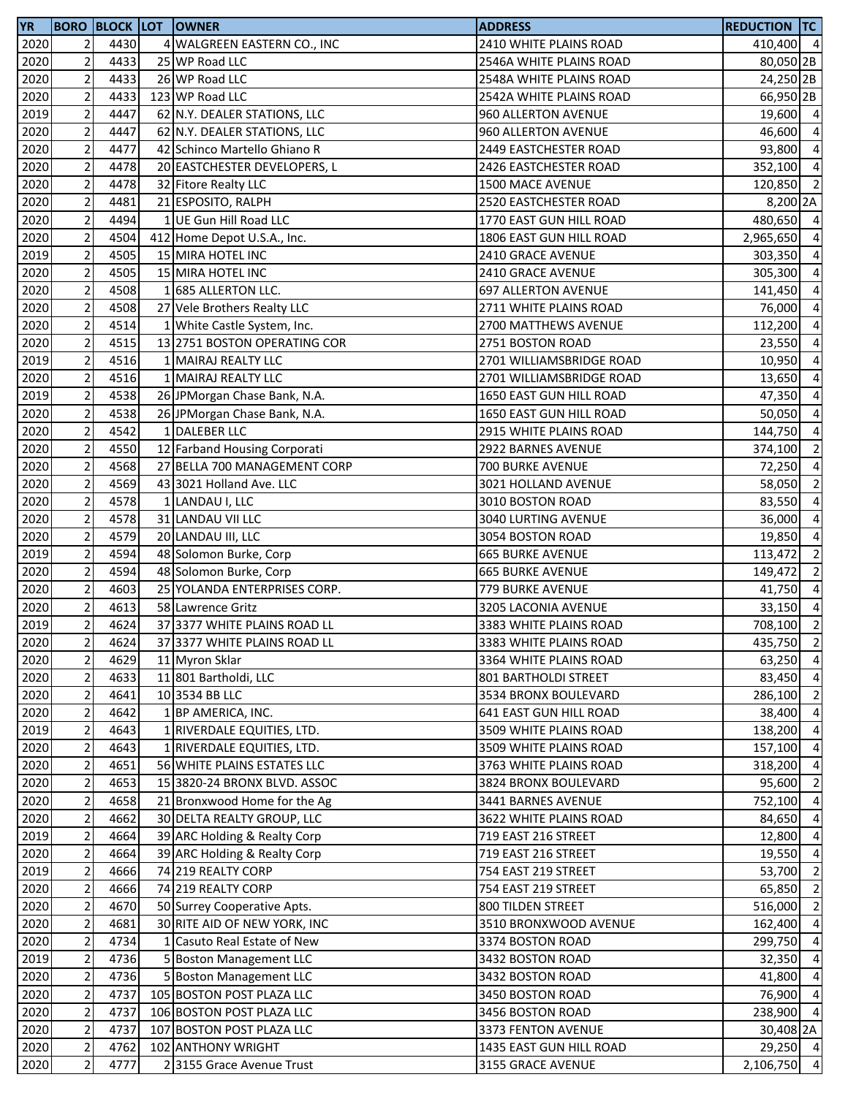| 2020<br>2<br>4430<br>4 WALGREEN EASTERN CO., INC<br>2410 WHITE PLAINS ROAD<br>410,400 4<br>$\overline{2}$<br>4433<br>25 WP Road LLC<br>2020<br>80,050 2B<br>2546A WHITE PLAINS ROAD<br>$\overline{2}$<br>2020<br>4433<br>26 WP Road LLC<br>2548A WHITE PLAINS ROAD<br>$\mathbf 2$<br>4433<br>2020<br>123 WP Road LLC<br>2542A WHITE PLAINS ROAD<br>$\overline{2}$<br>2019<br>4447<br>62 N.Y. DEALER STATIONS, LLC<br>960 ALLERTON AVENUE<br>$\mathbf 2$<br>4447<br>2020<br>62 N.Y. DEALER STATIONS, LLC<br>960 ALLERTON AVENUE<br>$\overline{c}$<br>2020<br>4477<br>42 Schinco Martello Ghiano R<br>2449 EASTCHESTER ROAD<br>$\overline{\mathbf{c}}$<br>4478<br>2020<br>20 EASTCHESTER DEVELOPERS, L<br>2426 EASTCHESTER ROAD<br>$\mathbf 2$<br>4478<br>2020<br>32 Fitore Realty LLC<br>1500 MACE AVENUE<br>120,850<br>$\overline{2}$<br>2020<br>4481<br>21 ESPOSITO, RALPH<br>2520 EASTCHESTER ROAD<br>$\mathbf 2$<br>4494<br>1 UE Gun Hill Road LLC<br>2020<br>1770 EAST GUN HILL ROAD<br>$\mathbf 2$<br>4504<br>2020<br>1806 EAST GUN HILL ROAD<br>2,965,650<br>412 Home Depot U.S.A., Inc.<br>$\mathbf 2$<br>4505<br>2019<br>15 MIRA HOTEL INC<br>2410 GRACE AVENUE<br>$\overline{c}$<br>2020<br>4505<br>15 MIRA HOTEL INC<br>2410 GRACE AVENUE<br>$\overline{c}$<br>4508<br>2020<br>1 685 ALLERTON LLC.<br><b>697 ALLERTON AVENUE</b><br>$\overline{2}$<br>4508<br>2020<br>27 Vele Brothers Realty LLC<br>2711 WHITE PLAINS ROAD<br>76,000<br>$\overline{2}$<br>2020<br>4514<br>1 White Castle System, Inc.<br>2700 MATTHEWS AVENUE<br>112,200<br>$\overline{2}$<br>4515<br>2020<br>13 2751 BOSTON OPERATING COR<br>23,550<br>2751 BOSTON ROAD<br>$\overline{c}$<br>4516<br>2019<br>1 MAIRAJ REALTY LLC<br>2701 WILLIAMSBRIDGE ROAD<br>10,950<br>$\overline{2}$<br>2020<br>4516<br>1 MAIRAJ REALTY LLC<br>2701 WILLIAMSBRIDGE ROAD<br>13,650<br>$\mathbf 2$<br>4538<br>2019<br>26 JPMorgan Chase Bank, N.A.<br>47,350<br>1650 EAST GUN HILL ROAD<br>$\overline{2}$<br>4538<br>2020<br>26 JPMorgan Chase Bank, N.A.<br>1650 EAST GUN HILL ROAD<br>$\mathbf 2$<br>4542<br>1 DALEBER LLC<br>2020<br>144,750<br>2915 WHITE PLAINS ROAD<br>$\overline{c}$<br>2020<br>4550<br>12 Farband Housing Corporati<br>2922 BARNES AVENUE<br>374,100<br>$\mathbf 2$<br>2020<br>4568<br>27 BELLA 700 MANAGEMENT CORP<br>700 BURKE AVENUE<br>72,250<br>$\mathbf 2$<br>4569<br>2020<br>43 3021 Holland Ave. LLC<br>3021 HOLLAND AVENUE<br>58,050<br>$\overline{2}$<br>4578<br>2020<br>3010 BOSTON ROAD<br>83,550<br>1 LANDAU I, LLC<br>$\overline{2}$<br>4578<br>2020<br>31 LANDAU VII LLC<br>3040 LURTING AVENUE<br>36,000<br>$\overline{\mathbf{c}}$<br>4579<br>2020<br>20 LANDAU III, LLC<br>3054 BOSTON ROAD<br>$\mathbf 2$<br>4594<br>2019<br>48 Solomon Burke, Corp<br><b>665 BURKE AVENUE</b><br>113,472<br>$\mathbf 2$<br>4594<br>2020<br>48 Solomon Burke, Corp<br><b>665 BURKE AVENUE</b><br>149,472<br>$\overline{c}$<br>4603<br>2020<br>25 YOLANDA ENTERPRISES CORP.<br>779 BURKE AVENUE<br>$\mathbf 2$<br>4613<br>2020<br>58 Lawrence Gritz<br>3205 LACONIA AVENUE<br>33,150<br>$\overline{2}$<br>4624<br>2019<br>37 3377 WHITE PLAINS ROAD LL<br>3383 WHITE PLAINS ROAD<br>708,100<br>2020<br>2<br>4624<br>37 3377 WHITE PLAINS ROAD LL<br>3383 WHITE PLAINS ROAD<br>$\mathbf 2$<br>4629<br>2020<br>11 Myron Sklar<br>3364 WHITE PLAINS ROAD<br>$\mathbf 2$<br>2020<br>4633<br>11 801 Bartholdi, LLC<br>801 BARTHOLDI STREET<br>83,450<br>$\mathbf 2$<br>10 3534 BB LLC<br>2020<br>4641<br>3534 BRONX BOULEVARD<br>$\mathbf 2$<br>2020<br>4642<br>1 BP AMERICA, INC.<br>641 EAST GUN HILL ROAD<br>$\overline{c}$<br>2019<br>4643<br>1 RIVERDALE EQUITIES, LTD.<br>138,200<br>3509 WHITE PLAINS ROAD<br>$\mathbf 2$<br>2020<br>4643<br>1 RIVERDALE EQUITIES, LTD.<br>3509 WHITE PLAINS ROAD<br>157,100<br>$\mathbf 2$<br>2020<br>4651<br>56 WHITE PLAINS ESTATES LLC<br>3763 WHITE PLAINS ROAD<br>318,200<br>$\mathbf 2$<br>2020<br>4653<br>15 3820-24 BRONX BLVD. ASSOC<br>95,600<br>3824 BRONX BOULEVARD<br>$\mathbf 2$<br>4658<br>21 Bronxwood Home for the Ag<br>2020<br>3441 BARNES AVENUE<br>752,100<br>2020<br>$\overline{2}$<br>4662<br>30 DELTA REALTY GROUP, LLC<br>3622 WHITE PLAINS ROAD<br>84,650<br>2019<br>$\overline{2}$<br>4664<br>39 ARC Holding & Realty Corp<br>719 EAST 216 STREET<br>$\mathbf 2$<br>2020<br>4664<br>39 ARC Holding & Realty Corp<br>719 EAST 216 STREET<br>$\mathbf 2$<br>2019<br>4666<br>74 219 REALTY CORP<br>53,700<br>754 EAST 219 STREET<br>$\overline{c}$<br>2020<br>4666<br>74 219 REALTY CORP<br>754 EAST 219 STREET<br>$\mathbf 2$<br>2020<br>4670<br>50 Surrey Cooperative Apts.<br>800 TILDEN STREET<br>$\mathbf 2$<br>2020<br>4681<br>30 RITE AID OF NEW YORK, INC<br>3510 BRONXWOOD AVENUE<br>162,400<br>$\overline{2}$<br>1 Casuto Real Estate of New<br>2020<br>4734<br>3374 BOSTON ROAD<br>299,750<br>$\overline{c}$<br>5 Boston Management LLC<br>2019<br>4736<br>3432 BOSTON ROAD<br>32,350<br>$\mathbf 2$<br>2020<br>4736<br>5 Boston Management LLC<br>41,800<br>3432 BOSTON ROAD<br>$\overline{2}$<br>2020<br>4737<br>105 BOSTON POST PLAZA LLC<br>3450 BOSTON ROAD<br>$\mathbf 2$<br>2020<br>4737<br>106 BOSTON POST PLAZA LLC<br>3456 BOSTON ROAD<br>$\overline{c}$<br>2020<br>4737<br>107 BOSTON POST PLAZA LLC<br>3373 FENTON AVENUE<br>$\overline{c}$<br>2020<br>4762<br>102 ANTHONY WRIGHT<br>1435 EAST GUN HILL ROAD<br>$\mathbf 2$<br>2020<br>4777<br>23155 Grace Avenue Trust<br>3155 GRACE AVENUE | <b>YR</b> |  | <b>BORO BLOCK LOT OWNER</b> | <b>ADDRESS</b> | <b>REDUCTION TC</b> |                |
|------------------------------------------------------------------------------------------------------------------------------------------------------------------------------------------------------------------------------------------------------------------------------------------------------------------------------------------------------------------------------------------------------------------------------------------------------------------------------------------------------------------------------------------------------------------------------------------------------------------------------------------------------------------------------------------------------------------------------------------------------------------------------------------------------------------------------------------------------------------------------------------------------------------------------------------------------------------------------------------------------------------------------------------------------------------------------------------------------------------------------------------------------------------------------------------------------------------------------------------------------------------------------------------------------------------------------------------------------------------------------------------------------------------------------------------------------------------------------------------------------------------------------------------------------------------------------------------------------------------------------------------------------------------------------------------------------------------------------------------------------------------------------------------------------------------------------------------------------------------------------------------------------------------------------------------------------------------------------------------------------------------------------------------------------------------------------------------------------------------------------------------------------------------------------------------------------------------------------------------------------------------------------------------------------------------------------------------------------------------------------------------------------------------------------------------------------------------------------------------------------------------------------------------------------------------------------------------------------------------------------------------------------------------------------------------------------------------------------------------------------------------------------------------------------------------------------------------------------------------------------------------------------------------------------------------------------------------------------------------------------------------------------------------------------------------------------------------------------------------------------------------------------------------------------------------------------------------------------------------------------------------------------------------------------------------------------------------------------------------------------------------------------------------------------------------------------------------------------------------------------------------------------------------------------------------------------------------------------------------------------------------------------------------------------------------------------------------------------------------------------------------------------------------------------------------------------------------------------------------------------------------------------------------------------------------------------------------------------------------------------------------------------------------------------------------------------------------------------------------------------------------------------------------------------------------------------------------------------------------------------------------------------------------------------------------------------------------------------------------------------------------------------------------------------------------------------------------------------------------------------------------------------------------------------------------------------------------------------------------------------------------------------------------------------------------------------------------------------------------------------------------------------------------------------------------------------------------------------------------------------------------------------------------------------------------------------------------------------------------------------------------------------------------------------------------------------------------------------------------------------------------------------------------------------------------------------------------------------------------------------------------------------------------------------------------------------------------------------------------------------------------------------------------------------------------------------------------------|-----------|--|-----------------------------|----------------|---------------------|----------------|
|                                                                                                                                                                                                                                                                                                                                                                                                                                                                                                                                                                                                                                                                                                                                                                                                                                                                                                                                                                                                                                                                                                                                                                                                                                                                                                                                                                                                                                                                                                                                                                                                                                                                                                                                                                                                                                                                                                                                                                                                                                                                                                                                                                                                                                                                                                                                                                                                                                                                                                                                                                                                                                                                                                                                                                                                                                                                                                                                                                                                                                                                                                                                                                                                                                                                                                                                                                                                                                                                                                                                                                                                                                                                                                                                                                                                                                                                                                                                                                                                                                                                                                                                                                                                                                                                                                                                                                                                                                                                                                                                                                                                                                                                                                                                                                                                                                                                                                                                                                                                                                                                                                                                                                                                                                                                                                                                                                                                                                                                        |           |  |                             |                |                     |                |
| 24,250 2B<br>66,950 2B<br>19,600 4<br>46,600 4<br>93,800 4<br>352,100 4<br>$\overline{2}$<br>8,200 2A<br>480,650 4<br>$\overline{4}$<br>303,350 4<br>305,300 4<br>141,450 4<br>$\overline{4}$<br>$\overline{4}$<br>$\overline{a}$<br>$\overline{4}$<br>$\overline{a}$<br>$\overline{4}$<br>50,050 4<br>$\overline{4}$<br>$\overline{2}$<br>$\overline{4}$<br>$\overline{2}$<br>$\overline{4}$<br>$\overline{4}$<br>19,850 4<br>$\overline{2}$<br>$\overline{2}$<br>41,750 4<br>$\overline{4}$<br>$\overline{2}$<br>435,750 2<br>63,250 4<br>$\overline{4}$<br>286,100 2<br>38,400 4<br>$\overline{4}$<br>$\overline{4}$<br>$\overline{4}$<br>$\overline{4}$<br>$\overline{4}$<br>12,800 4<br>19,550 4<br>$\overline{2}$<br>65,850 2<br>516,000 2<br>$\overline{4}$<br>$\overline{4}$<br>$\overline{4}$<br>76,900 4<br>238,900 4<br>30,408 2A<br>29,250 4<br>2,106,750 4                                                                                                                                                                                                                                                                                                                                                                                                                                                                                                                                                                                                                                                                                                                                                                                                                                                                                                                                                                                                                                                                                                                                                                                                                                                                                                                                                                                                                                                                                                                                                                                                                                                                                                                                                                                                                                                                                                                                                                                                                                                                                                                                                                                                                                                                                                                                                                                                                                                                                                                                                                                                                                                                                                                                                                                                                                                                                                                                                                                                                                                                                                                                                                                                                                                                                                                                                                                                                                                                                                                                                                                                                                                                                                                                                                                                                                                                                                                                                                                                                                                                                                                                                                                                                                                                                                                                                                                                                                                                                                                                                                                                |           |  |                             |                |                     |                |
|                                                                                                                                                                                                                                                                                                                                                                                                                                                                                                                                                                                                                                                                                                                                                                                                                                                                                                                                                                                                                                                                                                                                                                                                                                                                                                                                                                                                                                                                                                                                                                                                                                                                                                                                                                                                                                                                                                                                                                                                                                                                                                                                                                                                                                                                                                                                                                                                                                                                                                                                                                                                                                                                                                                                                                                                                                                                                                                                                                                                                                                                                                                                                                                                                                                                                                                                                                                                                                                                                                                                                                                                                                                                                                                                                                                                                                                                                                                                                                                                                                                                                                                                                                                                                                                                                                                                                                                                                                                                                                                                                                                                                                                                                                                                                                                                                                                                                                                                                                                                                                                                                                                                                                                                                                                                                                                                                                                                                                                                        |           |  |                             |                |                     |                |
|                                                                                                                                                                                                                                                                                                                                                                                                                                                                                                                                                                                                                                                                                                                                                                                                                                                                                                                                                                                                                                                                                                                                                                                                                                                                                                                                                                                                                                                                                                                                                                                                                                                                                                                                                                                                                                                                                                                                                                                                                                                                                                                                                                                                                                                                                                                                                                                                                                                                                                                                                                                                                                                                                                                                                                                                                                                                                                                                                                                                                                                                                                                                                                                                                                                                                                                                                                                                                                                                                                                                                                                                                                                                                                                                                                                                                                                                                                                                                                                                                                                                                                                                                                                                                                                                                                                                                                                                                                                                                                                                                                                                                                                                                                                                                                                                                                                                                                                                                                                                                                                                                                                                                                                                                                                                                                                                                                                                                                                                        |           |  |                             |                |                     |                |
|                                                                                                                                                                                                                                                                                                                                                                                                                                                                                                                                                                                                                                                                                                                                                                                                                                                                                                                                                                                                                                                                                                                                                                                                                                                                                                                                                                                                                                                                                                                                                                                                                                                                                                                                                                                                                                                                                                                                                                                                                                                                                                                                                                                                                                                                                                                                                                                                                                                                                                                                                                                                                                                                                                                                                                                                                                                                                                                                                                                                                                                                                                                                                                                                                                                                                                                                                                                                                                                                                                                                                                                                                                                                                                                                                                                                                                                                                                                                                                                                                                                                                                                                                                                                                                                                                                                                                                                                                                                                                                                                                                                                                                                                                                                                                                                                                                                                                                                                                                                                                                                                                                                                                                                                                                                                                                                                                                                                                                                                        |           |  |                             |                |                     |                |
|                                                                                                                                                                                                                                                                                                                                                                                                                                                                                                                                                                                                                                                                                                                                                                                                                                                                                                                                                                                                                                                                                                                                                                                                                                                                                                                                                                                                                                                                                                                                                                                                                                                                                                                                                                                                                                                                                                                                                                                                                                                                                                                                                                                                                                                                                                                                                                                                                                                                                                                                                                                                                                                                                                                                                                                                                                                                                                                                                                                                                                                                                                                                                                                                                                                                                                                                                                                                                                                                                                                                                                                                                                                                                                                                                                                                                                                                                                                                                                                                                                                                                                                                                                                                                                                                                                                                                                                                                                                                                                                                                                                                                                                                                                                                                                                                                                                                                                                                                                                                                                                                                                                                                                                                                                                                                                                                                                                                                                                                        |           |  |                             |                |                     |                |
|                                                                                                                                                                                                                                                                                                                                                                                                                                                                                                                                                                                                                                                                                                                                                                                                                                                                                                                                                                                                                                                                                                                                                                                                                                                                                                                                                                                                                                                                                                                                                                                                                                                                                                                                                                                                                                                                                                                                                                                                                                                                                                                                                                                                                                                                                                                                                                                                                                                                                                                                                                                                                                                                                                                                                                                                                                                                                                                                                                                                                                                                                                                                                                                                                                                                                                                                                                                                                                                                                                                                                                                                                                                                                                                                                                                                                                                                                                                                                                                                                                                                                                                                                                                                                                                                                                                                                                                                                                                                                                                                                                                                                                                                                                                                                                                                                                                                                                                                                                                                                                                                                                                                                                                                                                                                                                                                                                                                                                                                        |           |  |                             |                |                     |                |
|                                                                                                                                                                                                                                                                                                                                                                                                                                                                                                                                                                                                                                                                                                                                                                                                                                                                                                                                                                                                                                                                                                                                                                                                                                                                                                                                                                                                                                                                                                                                                                                                                                                                                                                                                                                                                                                                                                                                                                                                                                                                                                                                                                                                                                                                                                                                                                                                                                                                                                                                                                                                                                                                                                                                                                                                                                                                                                                                                                                                                                                                                                                                                                                                                                                                                                                                                                                                                                                                                                                                                                                                                                                                                                                                                                                                                                                                                                                                                                                                                                                                                                                                                                                                                                                                                                                                                                                                                                                                                                                                                                                                                                                                                                                                                                                                                                                                                                                                                                                                                                                                                                                                                                                                                                                                                                                                                                                                                                                                        |           |  |                             |                |                     |                |
|                                                                                                                                                                                                                                                                                                                                                                                                                                                                                                                                                                                                                                                                                                                                                                                                                                                                                                                                                                                                                                                                                                                                                                                                                                                                                                                                                                                                                                                                                                                                                                                                                                                                                                                                                                                                                                                                                                                                                                                                                                                                                                                                                                                                                                                                                                                                                                                                                                                                                                                                                                                                                                                                                                                                                                                                                                                                                                                                                                                                                                                                                                                                                                                                                                                                                                                                                                                                                                                                                                                                                                                                                                                                                                                                                                                                                                                                                                                                                                                                                                                                                                                                                                                                                                                                                                                                                                                                                                                                                                                                                                                                                                                                                                                                                                                                                                                                                                                                                                                                                                                                                                                                                                                                                                                                                                                                                                                                                                                                        |           |  |                             |                |                     |                |
|                                                                                                                                                                                                                                                                                                                                                                                                                                                                                                                                                                                                                                                                                                                                                                                                                                                                                                                                                                                                                                                                                                                                                                                                                                                                                                                                                                                                                                                                                                                                                                                                                                                                                                                                                                                                                                                                                                                                                                                                                                                                                                                                                                                                                                                                                                                                                                                                                                                                                                                                                                                                                                                                                                                                                                                                                                                                                                                                                                                                                                                                                                                                                                                                                                                                                                                                                                                                                                                                                                                                                                                                                                                                                                                                                                                                                                                                                                                                                                                                                                                                                                                                                                                                                                                                                                                                                                                                                                                                                                                                                                                                                                                                                                                                                                                                                                                                                                                                                                                                                                                                                                                                                                                                                                                                                                                                                                                                                                                                        |           |  |                             |                |                     |                |
|                                                                                                                                                                                                                                                                                                                                                                                                                                                                                                                                                                                                                                                                                                                                                                                                                                                                                                                                                                                                                                                                                                                                                                                                                                                                                                                                                                                                                                                                                                                                                                                                                                                                                                                                                                                                                                                                                                                                                                                                                                                                                                                                                                                                                                                                                                                                                                                                                                                                                                                                                                                                                                                                                                                                                                                                                                                                                                                                                                                                                                                                                                                                                                                                                                                                                                                                                                                                                                                                                                                                                                                                                                                                                                                                                                                                                                                                                                                                                                                                                                                                                                                                                                                                                                                                                                                                                                                                                                                                                                                                                                                                                                                                                                                                                                                                                                                                                                                                                                                                                                                                                                                                                                                                                                                                                                                                                                                                                                                                        |           |  |                             |                |                     |                |
|                                                                                                                                                                                                                                                                                                                                                                                                                                                                                                                                                                                                                                                                                                                                                                                                                                                                                                                                                                                                                                                                                                                                                                                                                                                                                                                                                                                                                                                                                                                                                                                                                                                                                                                                                                                                                                                                                                                                                                                                                                                                                                                                                                                                                                                                                                                                                                                                                                                                                                                                                                                                                                                                                                                                                                                                                                                                                                                                                                                                                                                                                                                                                                                                                                                                                                                                                                                                                                                                                                                                                                                                                                                                                                                                                                                                                                                                                                                                                                                                                                                                                                                                                                                                                                                                                                                                                                                                                                                                                                                                                                                                                                                                                                                                                                                                                                                                                                                                                                                                                                                                                                                                                                                                                                                                                                                                                                                                                                                                        |           |  |                             |                |                     |                |
|                                                                                                                                                                                                                                                                                                                                                                                                                                                                                                                                                                                                                                                                                                                                                                                                                                                                                                                                                                                                                                                                                                                                                                                                                                                                                                                                                                                                                                                                                                                                                                                                                                                                                                                                                                                                                                                                                                                                                                                                                                                                                                                                                                                                                                                                                                                                                                                                                                                                                                                                                                                                                                                                                                                                                                                                                                                                                                                                                                                                                                                                                                                                                                                                                                                                                                                                                                                                                                                                                                                                                                                                                                                                                                                                                                                                                                                                                                                                                                                                                                                                                                                                                                                                                                                                                                                                                                                                                                                                                                                                                                                                                                                                                                                                                                                                                                                                                                                                                                                                                                                                                                                                                                                                                                                                                                                                                                                                                                                                        |           |  |                             |                |                     |                |
|                                                                                                                                                                                                                                                                                                                                                                                                                                                                                                                                                                                                                                                                                                                                                                                                                                                                                                                                                                                                                                                                                                                                                                                                                                                                                                                                                                                                                                                                                                                                                                                                                                                                                                                                                                                                                                                                                                                                                                                                                                                                                                                                                                                                                                                                                                                                                                                                                                                                                                                                                                                                                                                                                                                                                                                                                                                                                                                                                                                                                                                                                                                                                                                                                                                                                                                                                                                                                                                                                                                                                                                                                                                                                                                                                                                                                                                                                                                                                                                                                                                                                                                                                                                                                                                                                                                                                                                                                                                                                                                                                                                                                                                                                                                                                                                                                                                                                                                                                                                                                                                                                                                                                                                                                                                                                                                                                                                                                                                                        |           |  |                             |                |                     |                |
|                                                                                                                                                                                                                                                                                                                                                                                                                                                                                                                                                                                                                                                                                                                                                                                                                                                                                                                                                                                                                                                                                                                                                                                                                                                                                                                                                                                                                                                                                                                                                                                                                                                                                                                                                                                                                                                                                                                                                                                                                                                                                                                                                                                                                                                                                                                                                                                                                                                                                                                                                                                                                                                                                                                                                                                                                                                                                                                                                                                                                                                                                                                                                                                                                                                                                                                                                                                                                                                                                                                                                                                                                                                                                                                                                                                                                                                                                                                                                                                                                                                                                                                                                                                                                                                                                                                                                                                                                                                                                                                                                                                                                                                                                                                                                                                                                                                                                                                                                                                                                                                                                                                                                                                                                                                                                                                                                                                                                                                                        |           |  |                             |                |                     |                |
|                                                                                                                                                                                                                                                                                                                                                                                                                                                                                                                                                                                                                                                                                                                                                                                                                                                                                                                                                                                                                                                                                                                                                                                                                                                                                                                                                                                                                                                                                                                                                                                                                                                                                                                                                                                                                                                                                                                                                                                                                                                                                                                                                                                                                                                                                                                                                                                                                                                                                                                                                                                                                                                                                                                                                                                                                                                                                                                                                                                                                                                                                                                                                                                                                                                                                                                                                                                                                                                                                                                                                                                                                                                                                                                                                                                                                                                                                                                                                                                                                                                                                                                                                                                                                                                                                                                                                                                                                                                                                                                                                                                                                                                                                                                                                                                                                                                                                                                                                                                                                                                                                                                                                                                                                                                                                                                                                                                                                                                                        |           |  |                             |                |                     |                |
|                                                                                                                                                                                                                                                                                                                                                                                                                                                                                                                                                                                                                                                                                                                                                                                                                                                                                                                                                                                                                                                                                                                                                                                                                                                                                                                                                                                                                                                                                                                                                                                                                                                                                                                                                                                                                                                                                                                                                                                                                                                                                                                                                                                                                                                                                                                                                                                                                                                                                                                                                                                                                                                                                                                                                                                                                                                                                                                                                                                                                                                                                                                                                                                                                                                                                                                                                                                                                                                                                                                                                                                                                                                                                                                                                                                                                                                                                                                                                                                                                                                                                                                                                                                                                                                                                                                                                                                                                                                                                                                                                                                                                                                                                                                                                                                                                                                                                                                                                                                                                                                                                                                                                                                                                                                                                                                                                                                                                                                                        |           |  |                             |                |                     |                |
|                                                                                                                                                                                                                                                                                                                                                                                                                                                                                                                                                                                                                                                                                                                                                                                                                                                                                                                                                                                                                                                                                                                                                                                                                                                                                                                                                                                                                                                                                                                                                                                                                                                                                                                                                                                                                                                                                                                                                                                                                                                                                                                                                                                                                                                                                                                                                                                                                                                                                                                                                                                                                                                                                                                                                                                                                                                                                                                                                                                                                                                                                                                                                                                                                                                                                                                                                                                                                                                                                                                                                                                                                                                                                                                                                                                                                                                                                                                                                                                                                                                                                                                                                                                                                                                                                                                                                                                                                                                                                                                                                                                                                                                                                                                                                                                                                                                                                                                                                                                                                                                                                                                                                                                                                                                                                                                                                                                                                                                                        |           |  |                             |                |                     |                |
|                                                                                                                                                                                                                                                                                                                                                                                                                                                                                                                                                                                                                                                                                                                                                                                                                                                                                                                                                                                                                                                                                                                                                                                                                                                                                                                                                                                                                                                                                                                                                                                                                                                                                                                                                                                                                                                                                                                                                                                                                                                                                                                                                                                                                                                                                                                                                                                                                                                                                                                                                                                                                                                                                                                                                                                                                                                                                                                                                                                                                                                                                                                                                                                                                                                                                                                                                                                                                                                                                                                                                                                                                                                                                                                                                                                                                                                                                                                                                                                                                                                                                                                                                                                                                                                                                                                                                                                                                                                                                                                                                                                                                                                                                                                                                                                                                                                                                                                                                                                                                                                                                                                                                                                                                                                                                                                                                                                                                                                                        |           |  |                             |                |                     |                |
|                                                                                                                                                                                                                                                                                                                                                                                                                                                                                                                                                                                                                                                                                                                                                                                                                                                                                                                                                                                                                                                                                                                                                                                                                                                                                                                                                                                                                                                                                                                                                                                                                                                                                                                                                                                                                                                                                                                                                                                                                                                                                                                                                                                                                                                                                                                                                                                                                                                                                                                                                                                                                                                                                                                                                                                                                                                                                                                                                                                                                                                                                                                                                                                                                                                                                                                                                                                                                                                                                                                                                                                                                                                                                                                                                                                                                                                                                                                                                                                                                                                                                                                                                                                                                                                                                                                                                                                                                                                                                                                                                                                                                                                                                                                                                                                                                                                                                                                                                                                                                                                                                                                                                                                                                                                                                                                                                                                                                                                                        |           |  |                             |                |                     |                |
|                                                                                                                                                                                                                                                                                                                                                                                                                                                                                                                                                                                                                                                                                                                                                                                                                                                                                                                                                                                                                                                                                                                                                                                                                                                                                                                                                                                                                                                                                                                                                                                                                                                                                                                                                                                                                                                                                                                                                                                                                                                                                                                                                                                                                                                                                                                                                                                                                                                                                                                                                                                                                                                                                                                                                                                                                                                                                                                                                                                                                                                                                                                                                                                                                                                                                                                                                                                                                                                                                                                                                                                                                                                                                                                                                                                                                                                                                                                                                                                                                                                                                                                                                                                                                                                                                                                                                                                                                                                                                                                                                                                                                                                                                                                                                                                                                                                                                                                                                                                                                                                                                                                                                                                                                                                                                                                                                                                                                                                                        |           |  |                             |                |                     |                |
|                                                                                                                                                                                                                                                                                                                                                                                                                                                                                                                                                                                                                                                                                                                                                                                                                                                                                                                                                                                                                                                                                                                                                                                                                                                                                                                                                                                                                                                                                                                                                                                                                                                                                                                                                                                                                                                                                                                                                                                                                                                                                                                                                                                                                                                                                                                                                                                                                                                                                                                                                                                                                                                                                                                                                                                                                                                                                                                                                                                                                                                                                                                                                                                                                                                                                                                                                                                                                                                                                                                                                                                                                                                                                                                                                                                                                                                                                                                                                                                                                                                                                                                                                                                                                                                                                                                                                                                                                                                                                                                                                                                                                                                                                                                                                                                                                                                                                                                                                                                                                                                                                                                                                                                                                                                                                                                                                                                                                                                                        |           |  |                             |                |                     |                |
|                                                                                                                                                                                                                                                                                                                                                                                                                                                                                                                                                                                                                                                                                                                                                                                                                                                                                                                                                                                                                                                                                                                                                                                                                                                                                                                                                                                                                                                                                                                                                                                                                                                                                                                                                                                                                                                                                                                                                                                                                                                                                                                                                                                                                                                                                                                                                                                                                                                                                                                                                                                                                                                                                                                                                                                                                                                                                                                                                                                                                                                                                                                                                                                                                                                                                                                                                                                                                                                                                                                                                                                                                                                                                                                                                                                                                                                                                                                                                                                                                                                                                                                                                                                                                                                                                                                                                                                                                                                                                                                                                                                                                                                                                                                                                                                                                                                                                                                                                                                                                                                                                                                                                                                                                                                                                                                                                                                                                                                                        |           |  |                             |                |                     |                |
|                                                                                                                                                                                                                                                                                                                                                                                                                                                                                                                                                                                                                                                                                                                                                                                                                                                                                                                                                                                                                                                                                                                                                                                                                                                                                                                                                                                                                                                                                                                                                                                                                                                                                                                                                                                                                                                                                                                                                                                                                                                                                                                                                                                                                                                                                                                                                                                                                                                                                                                                                                                                                                                                                                                                                                                                                                                                                                                                                                                                                                                                                                                                                                                                                                                                                                                                                                                                                                                                                                                                                                                                                                                                                                                                                                                                                                                                                                                                                                                                                                                                                                                                                                                                                                                                                                                                                                                                                                                                                                                                                                                                                                                                                                                                                                                                                                                                                                                                                                                                                                                                                                                                                                                                                                                                                                                                                                                                                                                                        |           |  |                             |                |                     |                |
|                                                                                                                                                                                                                                                                                                                                                                                                                                                                                                                                                                                                                                                                                                                                                                                                                                                                                                                                                                                                                                                                                                                                                                                                                                                                                                                                                                                                                                                                                                                                                                                                                                                                                                                                                                                                                                                                                                                                                                                                                                                                                                                                                                                                                                                                                                                                                                                                                                                                                                                                                                                                                                                                                                                                                                                                                                                                                                                                                                                                                                                                                                                                                                                                                                                                                                                                                                                                                                                                                                                                                                                                                                                                                                                                                                                                                                                                                                                                                                                                                                                                                                                                                                                                                                                                                                                                                                                                                                                                                                                                                                                                                                                                                                                                                                                                                                                                                                                                                                                                                                                                                                                                                                                                                                                                                                                                                                                                                                                                        |           |  |                             |                |                     |                |
|                                                                                                                                                                                                                                                                                                                                                                                                                                                                                                                                                                                                                                                                                                                                                                                                                                                                                                                                                                                                                                                                                                                                                                                                                                                                                                                                                                                                                                                                                                                                                                                                                                                                                                                                                                                                                                                                                                                                                                                                                                                                                                                                                                                                                                                                                                                                                                                                                                                                                                                                                                                                                                                                                                                                                                                                                                                                                                                                                                                                                                                                                                                                                                                                                                                                                                                                                                                                                                                                                                                                                                                                                                                                                                                                                                                                                                                                                                                                                                                                                                                                                                                                                                                                                                                                                                                                                                                                                                                                                                                                                                                                                                                                                                                                                                                                                                                                                                                                                                                                                                                                                                                                                                                                                                                                                                                                                                                                                                                                        |           |  |                             |                |                     |                |
|                                                                                                                                                                                                                                                                                                                                                                                                                                                                                                                                                                                                                                                                                                                                                                                                                                                                                                                                                                                                                                                                                                                                                                                                                                                                                                                                                                                                                                                                                                                                                                                                                                                                                                                                                                                                                                                                                                                                                                                                                                                                                                                                                                                                                                                                                                                                                                                                                                                                                                                                                                                                                                                                                                                                                                                                                                                                                                                                                                                                                                                                                                                                                                                                                                                                                                                                                                                                                                                                                                                                                                                                                                                                                                                                                                                                                                                                                                                                                                                                                                                                                                                                                                                                                                                                                                                                                                                                                                                                                                                                                                                                                                                                                                                                                                                                                                                                                                                                                                                                                                                                                                                                                                                                                                                                                                                                                                                                                                                                        |           |  |                             |                |                     |                |
|                                                                                                                                                                                                                                                                                                                                                                                                                                                                                                                                                                                                                                                                                                                                                                                                                                                                                                                                                                                                                                                                                                                                                                                                                                                                                                                                                                                                                                                                                                                                                                                                                                                                                                                                                                                                                                                                                                                                                                                                                                                                                                                                                                                                                                                                                                                                                                                                                                                                                                                                                                                                                                                                                                                                                                                                                                                                                                                                                                                                                                                                                                                                                                                                                                                                                                                                                                                                                                                                                                                                                                                                                                                                                                                                                                                                                                                                                                                                                                                                                                                                                                                                                                                                                                                                                                                                                                                                                                                                                                                                                                                                                                                                                                                                                                                                                                                                                                                                                                                                                                                                                                                                                                                                                                                                                                                                                                                                                                                                        |           |  |                             |                |                     |                |
|                                                                                                                                                                                                                                                                                                                                                                                                                                                                                                                                                                                                                                                                                                                                                                                                                                                                                                                                                                                                                                                                                                                                                                                                                                                                                                                                                                                                                                                                                                                                                                                                                                                                                                                                                                                                                                                                                                                                                                                                                                                                                                                                                                                                                                                                                                                                                                                                                                                                                                                                                                                                                                                                                                                                                                                                                                                                                                                                                                                                                                                                                                                                                                                                                                                                                                                                                                                                                                                                                                                                                                                                                                                                                                                                                                                                                                                                                                                                                                                                                                                                                                                                                                                                                                                                                                                                                                                                                                                                                                                                                                                                                                                                                                                                                                                                                                                                                                                                                                                                                                                                                                                                                                                                                                                                                                                                                                                                                                                                        |           |  |                             |                |                     |                |
|                                                                                                                                                                                                                                                                                                                                                                                                                                                                                                                                                                                                                                                                                                                                                                                                                                                                                                                                                                                                                                                                                                                                                                                                                                                                                                                                                                                                                                                                                                                                                                                                                                                                                                                                                                                                                                                                                                                                                                                                                                                                                                                                                                                                                                                                                                                                                                                                                                                                                                                                                                                                                                                                                                                                                                                                                                                                                                                                                                                                                                                                                                                                                                                                                                                                                                                                                                                                                                                                                                                                                                                                                                                                                                                                                                                                                                                                                                                                                                                                                                                                                                                                                                                                                                                                                                                                                                                                                                                                                                                                                                                                                                                                                                                                                                                                                                                                                                                                                                                                                                                                                                                                                                                                                                                                                                                                                                                                                                                                        |           |  |                             |                |                     |                |
|                                                                                                                                                                                                                                                                                                                                                                                                                                                                                                                                                                                                                                                                                                                                                                                                                                                                                                                                                                                                                                                                                                                                                                                                                                                                                                                                                                                                                                                                                                                                                                                                                                                                                                                                                                                                                                                                                                                                                                                                                                                                                                                                                                                                                                                                                                                                                                                                                                                                                                                                                                                                                                                                                                                                                                                                                                                                                                                                                                                                                                                                                                                                                                                                                                                                                                                                                                                                                                                                                                                                                                                                                                                                                                                                                                                                                                                                                                                                                                                                                                                                                                                                                                                                                                                                                                                                                                                                                                                                                                                                                                                                                                                                                                                                                                                                                                                                                                                                                                                                                                                                                                                                                                                                                                                                                                                                                                                                                                                                        |           |  |                             |                |                     |                |
|                                                                                                                                                                                                                                                                                                                                                                                                                                                                                                                                                                                                                                                                                                                                                                                                                                                                                                                                                                                                                                                                                                                                                                                                                                                                                                                                                                                                                                                                                                                                                                                                                                                                                                                                                                                                                                                                                                                                                                                                                                                                                                                                                                                                                                                                                                                                                                                                                                                                                                                                                                                                                                                                                                                                                                                                                                                                                                                                                                                                                                                                                                                                                                                                                                                                                                                                                                                                                                                                                                                                                                                                                                                                                                                                                                                                                                                                                                                                                                                                                                                                                                                                                                                                                                                                                                                                                                                                                                                                                                                                                                                                                                                                                                                                                                                                                                                                                                                                                                                                                                                                                                                                                                                                                                                                                                                                                                                                                                                                        |           |  |                             |                |                     |                |
|                                                                                                                                                                                                                                                                                                                                                                                                                                                                                                                                                                                                                                                                                                                                                                                                                                                                                                                                                                                                                                                                                                                                                                                                                                                                                                                                                                                                                                                                                                                                                                                                                                                                                                                                                                                                                                                                                                                                                                                                                                                                                                                                                                                                                                                                                                                                                                                                                                                                                                                                                                                                                                                                                                                                                                                                                                                                                                                                                                                                                                                                                                                                                                                                                                                                                                                                                                                                                                                                                                                                                                                                                                                                                                                                                                                                                                                                                                                                                                                                                                                                                                                                                                                                                                                                                                                                                                                                                                                                                                                                                                                                                                                                                                                                                                                                                                                                                                                                                                                                                                                                                                                                                                                                                                                                                                                                                                                                                                                                        |           |  |                             |                |                     |                |
|                                                                                                                                                                                                                                                                                                                                                                                                                                                                                                                                                                                                                                                                                                                                                                                                                                                                                                                                                                                                                                                                                                                                                                                                                                                                                                                                                                                                                                                                                                                                                                                                                                                                                                                                                                                                                                                                                                                                                                                                                                                                                                                                                                                                                                                                                                                                                                                                                                                                                                                                                                                                                                                                                                                                                                                                                                                                                                                                                                                                                                                                                                                                                                                                                                                                                                                                                                                                                                                                                                                                                                                                                                                                                                                                                                                                                                                                                                                                                                                                                                                                                                                                                                                                                                                                                                                                                                                                                                                                                                                                                                                                                                                                                                                                                                                                                                                                                                                                                                                                                                                                                                                                                                                                                                                                                                                                                                                                                                                                        |           |  |                             |                |                     |                |
|                                                                                                                                                                                                                                                                                                                                                                                                                                                                                                                                                                                                                                                                                                                                                                                                                                                                                                                                                                                                                                                                                                                                                                                                                                                                                                                                                                                                                                                                                                                                                                                                                                                                                                                                                                                                                                                                                                                                                                                                                                                                                                                                                                                                                                                                                                                                                                                                                                                                                                                                                                                                                                                                                                                                                                                                                                                                                                                                                                                                                                                                                                                                                                                                                                                                                                                                                                                                                                                                                                                                                                                                                                                                                                                                                                                                                                                                                                                                                                                                                                                                                                                                                                                                                                                                                                                                                                                                                                                                                                                                                                                                                                                                                                                                                                                                                                                                                                                                                                                                                                                                                                                                                                                                                                                                                                                                                                                                                                                                        |           |  |                             |                |                     |                |
|                                                                                                                                                                                                                                                                                                                                                                                                                                                                                                                                                                                                                                                                                                                                                                                                                                                                                                                                                                                                                                                                                                                                                                                                                                                                                                                                                                                                                                                                                                                                                                                                                                                                                                                                                                                                                                                                                                                                                                                                                                                                                                                                                                                                                                                                                                                                                                                                                                                                                                                                                                                                                                                                                                                                                                                                                                                                                                                                                                                                                                                                                                                                                                                                                                                                                                                                                                                                                                                                                                                                                                                                                                                                                                                                                                                                                                                                                                                                                                                                                                                                                                                                                                                                                                                                                                                                                                                                                                                                                                                                                                                                                                                                                                                                                                                                                                                                                                                                                                                                                                                                                                                                                                                                                                                                                                                                                                                                                                                                        |           |  |                             |                |                     |                |
|                                                                                                                                                                                                                                                                                                                                                                                                                                                                                                                                                                                                                                                                                                                                                                                                                                                                                                                                                                                                                                                                                                                                                                                                                                                                                                                                                                                                                                                                                                                                                                                                                                                                                                                                                                                                                                                                                                                                                                                                                                                                                                                                                                                                                                                                                                                                                                                                                                                                                                                                                                                                                                                                                                                                                                                                                                                                                                                                                                                                                                                                                                                                                                                                                                                                                                                                                                                                                                                                                                                                                                                                                                                                                                                                                                                                                                                                                                                                                                                                                                                                                                                                                                                                                                                                                                                                                                                                                                                                                                                                                                                                                                                                                                                                                                                                                                                                                                                                                                                                                                                                                                                                                                                                                                                                                                                                                                                                                                                                        |           |  |                             |                |                     |                |
|                                                                                                                                                                                                                                                                                                                                                                                                                                                                                                                                                                                                                                                                                                                                                                                                                                                                                                                                                                                                                                                                                                                                                                                                                                                                                                                                                                                                                                                                                                                                                                                                                                                                                                                                                                                                                                                                                                                                                                                                                                                                                                                                                                                                                                                                                                                                                                                                                                                                                                                                                                                                                                                                                                                                                                                                                                                                                                                                                                                                                                                                                                                                                                                                                                                                                                                                                                                                                                                                                                                                                                                                                                                                                                                                                                                                                                                                                                                                                                                                                                                                                                                                                                                                                                                                                                                                                                                                                                                                                                                                                                                                                                                                                                                                                                                                                                                                                                                                                                                                                                                                                                                                                                                                                                                                                                                                                                                                                                                                        |           |  |                             |                |                     |                |
|                                                                                                                                                                                                                                                                                                                                                                                                                                                                                                                                                                                                                                                                                                                                                                                                                                                                                                                                                                                                                                                                                                                                                                                                                                                                                                                                                                                                                                                                                                                                                                                                                                                                                                                                                                                                                                                                                                                                                                                                                                                                                                                                                                                                                                                                                                                                                                                                                                                                                                                                                                                                                                                                                                                                                                                                                                                                                                                                                                                                                                                                                                                                                                                                                                                                                                                                                                                                                                                                                                                                                                                                                                                                                                                                                                                                                                                                                                                                                                                                                                                                                                                                                                                                                                                                                                                                                                                                                                                                                                                                                                                                                                                                                                                                                                                                                                                                                                                                                                                                                                                                                                                                                                                                                                                                                                                                                                                                                                                                        |           |  |                             |                |                     |                |
|                                                                                                                                                                                                                                                                                                                                                                                                                                                                                                                                                                                                                                                                                                                                                                                                                                                                                                                                                                                                                                                                                                                                                                                                                                                                                                                                                                                                                                                                                                                                                                                                                                                                                                                                                                                                                                                                                                                                                                                                                                                                                                                                                                                                                                                                                                                                                                                                                                                                                                                                                                                                                                                                                                                                                                                                                                                                                                                                                                                                                                                                                                                                                                                                                                                                                                                                                                                                                                                                                                                                                                                                                                                                                                                                                                                                                                                                                                                                                                                                                                                                                                                                                                                                                                                                                                                                                                                                                                                                                                                                                                                                                                                                                                                                                                                                                                                                                                                                                                                                                                                                                                                                                                                                                                                                                                                                                                                                                                                                        |           |  |                             |                |                     |                |
|                                                                                                                                                                                                                                                                                                                                                                                                                                                                                                                                                                                                                                                                                                                                                                                                                                                                                                                                                                                                                                                                                                                                                                                                                                                                                                                                                                                                                                                                                                                                                                                                                                                                                                                                                                                                                                                                                                                                                                                                                                                                                                                                                                                                                                                                                                                                                                                                                                                                                                                                                                                                                                                                                                                                                                                                                                                                                                                                                                                                                                                                                                                                                                                                                                                                                                                                                                                                                                                                                                                                                                                                                                                                                                                                                                                                                                                                                                                                                                                                                                                                                                                                                                                                                                                                                                                                                                                                                                                                                                                                                                                                                                                                                                                                                                                                                                                                                                                                                                                                                                                                                                                                                                                                                                                                                                                                                                                                                                                                        |           |  |                             |                |                     |                |
|                                                                                                                                                                                                                                                                                                                                                                                                                                                                                                                                                                                                                                                                                                                                                                                                                                                                                                                                                                                                                                                                                                                                                                                                                                                                                                                                                                                                                                                                                                                                                                                                                                                                                                                                                                                                                                                                                                                                                                                                                                                                                                                                                                                                                                                                                                                                                                                                                                                                                                                                                                                                                                                                                                                                                                                                                                                                                                                                                                                                                                                                                                                                                                                                                                                                                                                                                                                                                                                                                                                                                                                                                                                                                                                                                                                                                                                                                                                                                                                                                                                                                                                                                                                                                                                                                                                                                                                                                                                                                                                                                                                                                                                                                                                                                                                                                                                                                                                                                                                                                                                                                                                                                                                                                                                                                                                                                                                                                                                                        |           |  |                             |                |                     |                |
|                                                                                                                                                                                                                                                                                                                                                                                                                                                                                                                                                                                                                                                                                                                                                                                                                                                                                                                                                                                                                                                                                                                                                                                                                                                                                                                                                                                                                                                                                                                                                                                                                                                                                                                                                                                                                                                                                                                                                                                                                                                                                                                                                                                                                                                                                                                                                                                                                                                                                                                                                                                                                                                                                                                                                                                                                                                                                                                                                                                                                                                                                                                                                                                                                                                                                                                                                                                                                                                                                                                                                                                                                                                                                                                                                                                                                                                                                                                                                                                                                                                                                                                                                                                                                                                                                                                                                                                                                                                                                                                                                                                                                                                                                                                                                                                                                                                                                                                                                                                                                                                                                                                                                                                                                                                                                                                                                                                                                                                                        |           |  |                             |                |                     |                |
|                                                                                                                                                                                                                                                                                                                                                                                                                                                                                                                                                                                                                                                                                                                                                                                                                                                                                                                                                                                                                                                                                                                                                                                                                                                                                                                                                                                                                                                                                                                                                                                                                                                                                                                                                                                                                                                                                                                                                                                                                                                                                                                                                                                                                                                                                                                                                                                                                                                                                                                                                                                                                                                                                                                                                                                                                                                                                                                                                                                                                                                                                                                                                                                                                                                                                                                                                                                                                                                                                                                                                                                                                                                                                                                                                                                                                                                                                                                                                                                                                                                                                                                                                                                                                                                                                                                                                                                                                                                                                                                                                                                                                                                                                                                                                                                                                                                                                                                                                                                                                                                                                                                                                                                                                                                                                                                                                                                                                                                                        |           |  |                             |                |                     | $\overline{2}$ |
|                                                                                                                                                                                                                                                                                                                                                                                                                                                                                                                                                                                                                                                                                                                                                                                                                                                                                                                                                                                                                                                                                                                                                                                                                                                                                                                                                                                                                                                                                                                                                                                                                                                                                                                                                                                                                                                                                                                                                                                                                                                                                                                                                                                                                                                                                                                                                                                                                                                                                                                                                                                                                                                                                                                                                                                                                                                                                                                                                                                                                                                                                                                                                                                                                                                                                                                                                                                                                                                                                                                                                                                                                                                                                                                                                                                                                                                                                                                                                                                                                                                                                                                                                                                                                                                                                                                                                                                                                                                                                                                                                                                                                                                                                                                                                                                                                                                                                                                                                                                                                                                                                                                                                                                                                                                                                                                                                                                                                                                                        |           |  |                             |                |                     |                |
|                                                                                                                                                                                                                                                                                                                                                                                                                                                                                                                                                                                                                                                                                                                                                                                                                                                                                                                                                                                                                                                                                                                                                                                                                                                                                                                                                                                                                                                                                                                                                                                                                                                                                                                                                                                                                                                                                                                                                                                                                                                                                                                                                                                                                                                                                                                                                                                                                                                                                                                                                                                                                                                                                                                                                                                                                                                                                                                                                                                                                                                                                                                                                                                                                                                                                                                                                                                                                                                                                                                                                                                                                                                                                                                                                                                                                                                                                                                                                                                                                                                                                                                                                                                                                                                                                                                                                                                                                                                                                                                                                                                                                                                                                                                                                                                                                                                                                                                                                                                                                                                                                                                                                                                                                                                                                                                                                                                                                                                                        |           |  |                             |                |                     |                |
|                                                                                                                                                                                                                                                                                                                                                                                                                                                                                                                                                                                                                                                                                                                                                                                                                                                                                                                                                                                                                                                                                                                                                                                                                                                                                                                                                                                                                                                                                                                                                                                                                                                                                                                                                                                                                                                                                                                                                                                                                                                                                                                                                                                                                                                                                                                                                                                                                                                                                                                                                                                                                                                                                                                                                                                                                                                                                                                                                                                                                                                                                                                                                                                                                                                                                                                                                                                                                                                                                                                                                                                                                                                                                                                                                                                                                                                                                                                                                                                                                                                                                                                                                                                                                                                                                                                                                                                                                                                                                                                                                                                                                                                                                                                                                                                                                                                                                                                                                                                                                                                                                                                                                                                                                                                                                                                                                                                                                                                                        |           |  |                             |                |                     |                |
|                                                                                                                                                                                                                                                                                                                                                                                                                                                                                                                                                                                                                                                                                                                                                                                                                                                                                                                                                                                                                                                                                                                                                                                                                                                                                                                                                                                                                                                                                                                                                                                                                                                                                                                                                                                                                                                                                                                                                                                                                                                                                                                                                                                                                                                                                                                                                                                                                                                                                                                                                                                                                                                                                                                                                                                                                                                                                                                                                                                                                                                                                                                                                                                                                                                                                                                                                                                                                                                                                                                                                                                                                                                                                                                                                                                                                                                                                                                                                                                                                                                                                                                                                                                                                                                                                                                                                                                                                                                                                                                                                                                                                                                                                                                                                                                                                                                                                                                                                                                                                                                                                                                                                                                                                                                                                                                                                                                                                                                                        |           |  |                             |                |                     |                |
|                                                                                                                                                                                                                                                                                                                                                                                                                                                                                                                                                                                                                                                                                                                                                                                                                                                                                                                                                                                                                                                                                                                                                                                                                                                                                                                                                                                                                                                                                                                                                                                                                                                                                                                                                                                                                                                                                                                                                                                                                                                                                                                                                                                                                                                                                                                                                                                                                                                                                                                                                                                                                                                                                                                                                                                                                                                                                                                                                                                                                                                                                                                                                                                                                                                                                                                                                                                                                                                                                                                                                                                                                                                                                                                                                                                                                                                                                                                                                                                                                                                                                                                                                                                                                                                                                                                                                                                                                                                                                                                                                                                                                                                                                                                                                                                                                                                                                                                                                                                                                                                                                                                                                                                                                                                                                                                                                                                                                                                                        |           |  |                             |                |                     |                |
|                                                                                                                                                                                                                                                                                                                                                                                                                                                                                                                                                                                                                                                                                                                                                                                                                                                                                                                                                                                                                                                                                                                                                                                                                                                                                                                                                                                                                                                                                                                                                                                                                                                                                                                                                                                                                                                                                                                                                                                                                                                                                                                                                                                                                                                                                                                                                                                                                                                                                                                                                                                                                                                                                                                                                                                                                                                                                                                                                                                                                                                                                                                                                                                                                                                                                                                                                                                                                                                                                                                                                                                                                                                                                                                                                                                                                                                                                                                                                                                                                                                                                                                                                                                                                                                                                                                                                                                                                                                                                                                                                                                                                                                                                                                                                                                                                                                                                                                                                                                                                                                                                                                                                                                                                                                                                                                                                                                                                                                                        |           |  |                             |                |                     |                |
|                                                                                                                                                                                                                                                                                                                                                                                                                                                                                                                                                                                                                                                                                                                                                                                                                                                                                                                                                                                                                                                                                                                                                                                                                                                                                                                                                                                                                                                                                                                                                                                                                                                                                                                                                                                                                                                                                                                                                                                                                                                                                                                                                                                                                                                                                                                                                                                                                                                                                                                                                                                                                                                                                                                                                                                                                                                                                                                                                                                                                                                                                                                                                                                                                                                                                                                                                                                                                                                                                                                                                                                                                                                                                                                                                                                                                                                                                                                                                                                                                                                                                                                                                                                                                                                                                                                                                                                                                                                                                                                                                                                                                                                                                                                                                                                                                                                                                                                                                                                                                                                                                                                                                                                                                                                                                                                                                                                                                                                                        |           |  |                             |                |                     |                |
|                                                                                                                                                                                                                                                                                                                                                                                                                                                                                                                                                                                                                                                                                                                                                                                                                                                                                                                                                                                                                                                                                                                                                                                                                                                                                                                                                                                                                                                                                                                                                                                                                                                                                                                                                                                                                                                                                                                                                                                                                                                                                                                                                                                                                                                                                                                                                                                                                                                                                                                                                                                                                                                                                                                                                                                                                                                                                                                                                                                                                                                                                                                                                                                                                                                                                                                                                                                                                                                                                                                                                                                                                                                                                                                                                                                                                                                                                                                                                                                                                                                                                                                                                                                                                                                                                                                                                                                                                                                                                                                                                                                                                                                                                                                                                                                                                                                                                                                                                                                                                                                                                                                                                                                                                                                                                                                                                                                                                                                                        |           |  |                             |                |                     |                |
|                                                                                                                                                                                                                                                                                                                                                                                                                                                                                                                                                                                                                                                                                                                                                                                                                                                                                                                                                                                                                                                                                                                                                                                                                                                                                                                                                                                                                                                                                                                                                                                                                                                                                                                                                                                                                                                                                                                                                                                                                                                                                                                                                                                                                                                                                                                                                                                                                                                                                                                                                                                                                                                                                                                                                                                                                                                                                                                                                                                                                                                                                                                                                                                                                                                                                                                                                                                                                                                                                                                                                                                                                                                                                                                                                                                                                                                                                                                                                                                                                                                                                                                                                                                                                                                                                                                                                                                                                                                                                                                                                                                                                                                                                                                                                                                                                                                                                                                                                                                                                                                                                                                                                                                                                                                                                                                                                                                                                                                                        |           |  |                             |                |                     |                |
|                                                                                                                                                                                                                                                                                                                                                                                                                                                                                                                                                                                                                                                                                                                                                                                                                                                                                                                                                                                                                                                                                                                                                                                                                                                                                                                                                                                                                                                                                                                                                                                                                                                                                                                                                                                                                                                                                                                                                                                                                                                                                                                                                                                                                                                                                                                                                                                                                                                                                                                                                                                                                                                                                                                                                                                                                                                                                                                                                                                                                                                                                                                                                                                                                                                                                                                                                                                                                                                                                                                                                                                                                                                                                                                                                                                                                                                                                                                                                                                                                                                                                                                                                                                                                                                                                                                                                                                                                                                                                                                                                                                                                                                                                                                                                                                                                                                                                                                                                                                                                                                                                                                                                                                                                                                                                                                                                                                                                                                                        |           |  |                             |                |                     |                |
|                                                                                                                                                                                                                                                                                                                                                                                                                                                                                                                                                                                                                                                                                                                                                                                                                                                                                                                                                                                                                                                                                                                                                                                                                                                                                                                                                                                                                                                                                                                                                                                                                                                                                                                                                                                                                                                                                                                                                                                                                                                                                                                                                                                                                                                                                                                                                                                                                                                                                                                                                                                                                                                                                                                                                                                                                                                                                                                                                                                                                                                                                                                                                                                                                                                                                                                                                                                                                                                                                                                                                                                                                                                                                                                                                                                                                                                                                                                                                                                                                                                                                                                                                                                                                                                                                                                                                                                                                                                                                                                                                                                                                                                                                                                                                                                                                                                                                                                                                                                                                                                                                                                                                                                                                                                                                                                                                                                                                                                                        |           |  |                             |                |                     | $\overline{4}$ |
|                                                                                                                                                                                                                                                                                                                                                                                                                                                                                                                                                                                                                                                                                                                                                                                                                                                                                                                                                                                                                                                                                                                                                                                                                                                                                                                                                                                                                                                                                                                                                                                                                                                                                                                                                                                                                                                                                                                                                                                                                                                                                                                                                                                                                                                                                                                                                                                                                                                                                                                                                                                                                                                                                                                                                                                                                                                                                                                                                                                                                                                                                                                                                                                                                                                                                                                                                                                                                                                                                                                                                                                                                                                                                                                                                                                                                                                                                                                                                                                                                                                                                                                                                                                                                                                                                                                                                                                                                                                                                                                                                                                                                                                                                                                                                                                                                                                                                                                                                                                                                                                                                                                                                                                                                                                                                                                                                                                                                                                                        |           |  |                             |                |                     |                |
|                                                                                                                                                                                                                                                                                                                                                                                                                                                                                                                                                                                                                                                                                                                                                                                                                                                                                                                                                                                                                                                                                                                                                                                                                                                                                                                                                                                                                                                                                                                                                                                                                                                                                                                                                                                                                                                                                                                                                                                                                                                                                                                                                                                                                                                                                                                                                                                                                                                                                                                                                                                                                                                                                                                                                                                                                                                                                                                                                                                                                                                                                                                                                                                                                                                                                                                                                                                                                                                                                                                                                                                                                                                                                                                                                                                                                                                                                                                                                                                                                                                                                                                                                                                                                                                                                                                                                                                                                                                                                                                                                                                                                                                                                                                                                                                                                                                                                                                                                                                                                                                                                                                                                                                                                                                                                                                                                                                                                                                                        |           |  |                             |                |                     |                |
|                                                                                                                                                                                                                                                                                                                                                                                                                                                                                                                                                                                                                                                                                                                                                                                                                                                                                                                                                                                                                                                                                                                                                                                                                                                                                                                                                                                                                                                                                                                                                                                                                                                                                                                                                                                                                                                                                                                                                                                                                                                                                                                                                                                                                                                                                                                                                                                                                                                                                                                                                                                                                                                                                                                                                                                                                                                                                                                                                                                                                                                                                                                                                                                                                                                                                                                                                                                                                                                                                                                                                                                                                                                                                                                                                                                                                                                                                                                                                                                                                                                                                                                                                                                                                                                                                                                                                                                                                                                                                                                                                                                                                                                                                                                                                                                                                                                                                                                                                                                                                                                                                                                                                                                                                                                                                                                                                                                                                                                                        |           |  |                             |                |                     |                |
|                                                                                                                                                                                                                                                                                                                                                                                                                                                                                                                                                                                                                                                                                                                                                                                                                                                                                                                                                                                                                                                                                                                                                                                                                                                                                                                                                                                                                                                                                                                                                                                                                                                                                                                                                                                                                                                                                                                                                                                                                                                                                                                                                                                                                                                                                                                                                                                                                                                                                                                                                                                                                                                                                                                                                                                                                                                                                                                                                                                                                                                                                                                                                                                                                                                                                                                                                                                                                                                                                                                                                                                                                                                                                                                                                                                                                                                                                                                                                                                                                                                                                                                                                                                                                                                                                                                                                                                                                                                                                                                                                                                                                                                                                                                                                                                                                                                                                                                                                                                                                                                                                                                                                                                                                                                                                                                                                                                                                                                                        |           |  |                             |                |                     |                |
|                                                                                                                                                                                                                                                                                                                                                                                                                                                                                                                                                                                                                                                                                                                                                                                                                                                                                                                                                                                                                                                                                                                                                                                                                                                                                                                                                                                                                                                                                                                                                                                                                                                                                                                                                                                                                                                                                                                                                                                                                                                                                                                                                                                                                                                                                                                                                                                                                                                                                                                                                                                                                                                                                                                                                                                                                                                                                                                                                                                                                                                                                                                                                                                                                                                                                                                                                                                                                                                                                                                                                                                                                                                                                                                                                                                                                                                                                                                                                                                                                                                                                                                                                                                                                                                                                                                                                                                                                                                                                                                                                                                                                                                                                                                                                                                                                                                                                                                                                                                                                                                                                                                                                                                                                                                                                                                                                                                                                                                                        |           |  |                             |                |                     |                |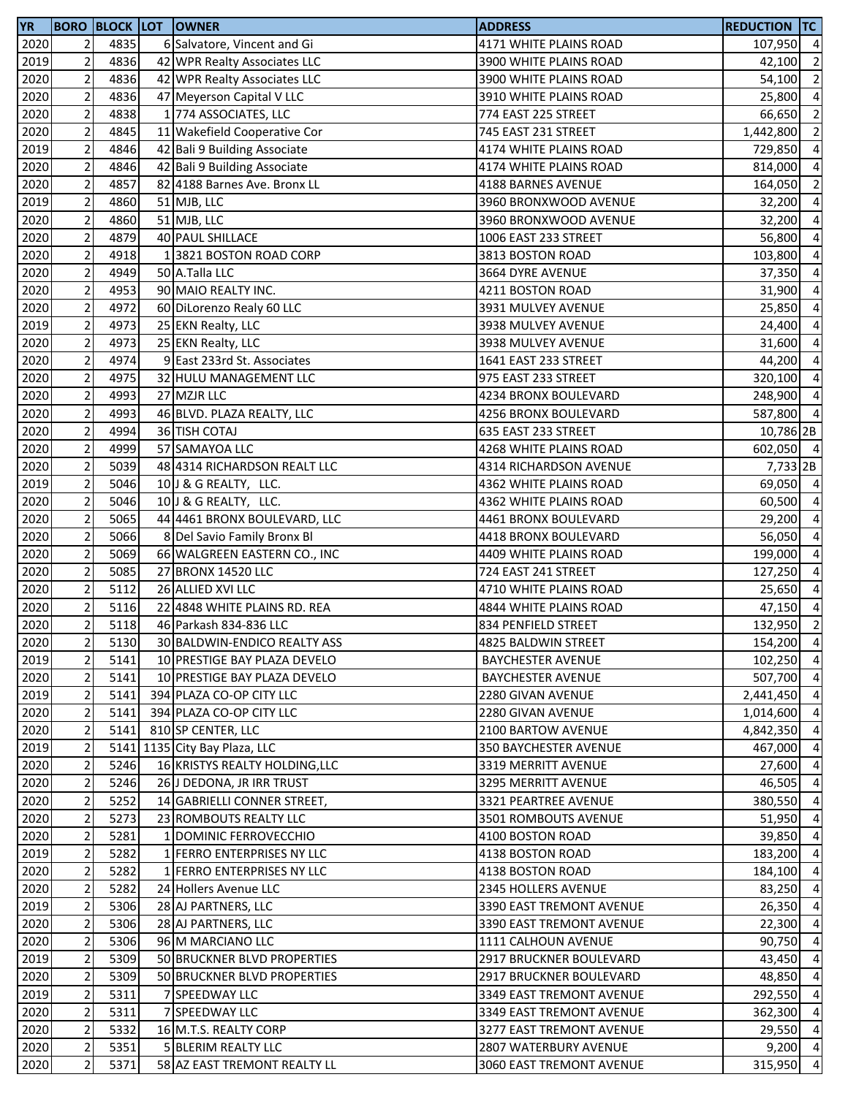| <b>YR</b> |                |      | <b>BORO BLOCK LOT OWNER</b>    | <b>ADDRESS</b>           | <b>REDUCTION TC</b> |                |
|-----------|----------------|------|--------------------------------|--------------------------|---------------------|----------------|
| 2020      | 2              | 4835 | 6 Salvatore, Vincent and Gi    | 4171 WHITE PLAINS ROAD   | 107,950 4           |                |
| 2019      | $\mathbf 2$    | 4836 | 42 WPR Realty Associates LLC   | 3900 WHITE PLAINS ROAD   | 42,100              | $\overline{2}$ |
| 2020      | $\mathbf 2$    | 4836 | 42 WPR Realty Associates LLC   | 3900 WHITE PLAINS ROAD   | 54,100              | $\overline{2}$ |
| 2020      | $\mathbf 2$    | 4836 | 47 Meyerson Capital V LLC      | 3910 WHITE PLAINS ROAD   | 25,800              | $\overline{4}$ |
| 2020      | $\mathbf 2$    | 4838 | 1 774 ASSOCIATES, LLC          | 774 EAST 225 STREET      | 66,650              | $\overline{2}$ |
| 2020      | $\mathbf 2$    | 4845 | 11 Wakefield Cooperative Cor   | 745 EAST 231 STREET      | 1,442,800           | $\overline{2}$ |
| 2019      | $\overline{2}$ | 4846 | 42 Bali 9 Building Associate   | 4174 WHITE PLAINS ROAD   | 729,850             | $\overline{4}$ |
| 2020      | $\mathbf 2$    | 4846 | 42 Bali 9 Building Associate   | 4174 WHITE PLAINS ROAD   | 814,000             | $\overline{4}$ |
| 2020      | $\mathbf 2$    | 4857 | 82 4188 Barnes Ave. Bronx LL   | 4188 BARNES AVENUE       | 164,050             | $\overline{2}$ |
| 2019      | $\mathbf 2$    | 4860 | 51 MJB, LLC                    | 3960 BRONXWOOD AVENUE    | 32,200              | $\overline{4}$ |
| 2020      | $\mathbf 2$    | 4860 | 51 MJB, LLC                    | 3960 BRONXWOOD AVENUE    | 32,200              | $\overline{4}$ |
| 2020      | $\mathbf 2$    | 4879 | 40 PAUL SHILLACE               | 1006 EAST 233 STREET     | 56,800              | $\overline{4}$ |
| 2020      | $\mathbf 2$    | 4918 | 1 3821 BOSTON ROAD CORP        | 3813 BOSTON ROAD         | 103,800             | $\overline{4}$ |
| 2020      | $\mathbf 2$    | 4949 | 50 A.Talla LLC                 | 3664 DYRE AVENUE         | 37,350              | $\overline{4}$ |
| 2020      | $\overline{c}$ | 4953 | 90 MAIO REALTY INC.            | 4211 BOSTON ROAD         | 31,900              | $\overline{4}$ |
| 2020      | $\mathbf 2$    | 4972 | 60 DiLorenzo Realy 60 LLC      | 3931 MULVEY AVENUE       | 25,850              | $\overline{4}$ |
| 2019      | $\overline{2}$ | 4973 | 25 EKN Realty, LLC             | 3938 MULVEY AVENUE       | 24,400              | $\overline{4}$ |
| 2020      | $\mathbf 2$    | 4973 | 25 EKN Realty, LLC             | 3938 MULVEY AVENUE       | 31,600              | $\overline{4}$ |
| 2020      | $\mathbf 2$    | 4974 | 9 East 233rd St. Associates    | 1641 EAST 233 STREET     | 44,200              | $\overline{a}$ |
| 2020      | $\overline{2}$ | 4975 | 32 HULU MANAGEMENT LLC         | 975 EAST 233 STREET      | 320,100             | $\overline{a}$ |
| 2020      | $\mathbf 2$    | 4993 | 27 MZJR LLC                    | 4234 BRONX BOULEVARD     | 248,900 4           |                |
| 2020      | $\mathbf 2$    | 4993 | 46 BLVD. PLAZA REALTY, LLC     | 4256 BRONX BOULEVARD     | 587,800 4           |                |
| 2020      | $\mathbf 2$    | 4994 | 36 TISH COTAJ                  | 635 EAST 233 STREET      | 10,786 2B           |                |
| 2020      | $\overline{2}$ | 4999 | 57 SAMAYOA LLC                 | 4268 WHITE PLAINS ROAD   | 602,050 4           |                |
| 2020      | $\mathbf 2$    | 5039 | 48 4314 RICHARDSON REALT LLC   | 4314 RICHARDSON AVENUE   | 7,733 2B            |                |
| 2019      | $\mathbf 2$    | 5046 | 10 J & G REALTY, LLC.          | 4362 WHITE PLAINS ROAD   | 69,050 4            |                |
| 2020      | $\mathbf 2$    | 5046 | 10 J & G REALTY, LLC.          | 4362 WHITE PLAINS ROAD   | 60,500              | $\overline{4}$ |
| 2020      | $\mathbf 2$    | 5065 | 44 4461 BRONX BOULEVARD, LLC   | 4461 BRONX BOULEVARD     | 29,200              | $\overline{4}$ |
| 2020      | $\mathbf 2$    | 5066 | 8 Del Savio Family Bronx Bl    | 4418 BRONX BOULEVARD     | 56,050              | $\overline{4}$ |
| 2020      | $\mathbf 2$    | 5069 | 66 WALGREEN EASTERN CO., INC   | 4409 WHITE PLAINS ROAD   | 199,000             | $\overline{4}$ |
| 2020      | $\mathbf 2$    | 5085 | 27 BRONX 14520 LLC             | 724 EAST 241 STREET      | 127,250             | $\overline{4}$ |
| 2020      | $\overline{2}$ | 5112 | 26 ALLIED XVI LLC              | 4710 WHITE PLAINS ROAD   | 25,650              | $\overline{4}$ |
| 2020      | $\mathbf 2$    | 5116 | 22 4848 WHITE PLAINS RD. REA   | 4844 WHITE PLAINS ROAD   | 47,150              | $\overline{4}$ |
| 2020      | $\overline{2}$ | 5118 | 46 Parkash 834-836 LLC         | 834 PENFIELD STREET      | 132,950             | $\overline{2}$ |
| 2020      | 2              | 5130 | 30 BALDWIN-ENDICO REALTY ASS   | 4825 BALDWIN STREET      | 154,200 4           |                |
| 2019      | $\mathbf 2$    | 5141 | 10 PRESTIGE BAY PLAZA DEVELO   | <b>BAYCHESTER AVENUE</b> | 102,250 4           |                |
| 2020      | $\mathbf 2$    | 5141 | 10 PRESTIGE BAY PLAZA DEVELO   | <b>BAYCHESTER AVENUE</b> | 507,700             | $\overline{4}$ |
| 2019      | $\overline{2}$ | 5141 | 394 PLAZA CO-OP CITY LLC       | 2280 GIVAN AVENUE        | 2,441,450 4         |                |
| 2020      | $\mathbf 2$    | 5141 | 394 PLAZA CO-OP CITY LLC       | 2280 GIVAN AVENUE        | 1,014,600 4         |                |
| 2020      | $\overline{c}$ | 5141 | 810 SP CENTER, LLC             | 2100 BARTOW AVENUE       | 4,842,350           | $\overline{4}$ |
| 2019      | $\mathbf 2$    |      | 5141 1135 City Bay Plaza, LLC  | 350 BAYCHESTER AVENUE    | 467,000             | $\overline{4}$ |
| 2020      | $\overline{2}$ | 5246 | 16 KRISTYS REALTY HOLDING, LLC | 3319 MERRITT AVENUE      | 27,600              | $\overline{4}$ |
| 2020      | $\mathbf 2$    | 5246 | 26 J DEDONA, JR IRR TRUST      | 3295 MERRITT AVENUE      | 46,505              | $\overline{4}$ |
| 2020      | $\mathbf 2$    | 5252 | 14 GABRIELLI CONNER STREET,    | 3321 PEARTREE AVENUE     | 380,550             | $\overline{4}$ |
| 2020      | $\mathbf 2$    | 5273 | 23 ROMBOUTS REALTY LLC         | 3501 ROMBOUTS AVENUE     | 51,950              | $\overline{4}$ |
| 2020      | 2              | 5281 | 1 DOMINIC FERROVECCHIO         | 4100 BOSTON ROAD         | 39,850              | $\overline{4}$ |
| 2019      | $\mathbf 2$    | 5282 | 1 FERRO ENTERPRISES NY LLC     | 4138 BOSTON ROAD         | 183,200 4           |                |
| 2020      | $\mathbf 2$    | 5282 | 1 FERRO ENTERPRISES NY LLC     | 4138 BOSTON ROAD         | 184,100 4           |                |
| 2020      | $\sqrt{2}$     | 5282 | 24 Hollers Avenue LLC          | 2345 HOLLERS AVENUE      | 83,250 4            |                |
| 2019      | $\mathbf 2$    | 5306 | 28 AJ PARTNERS, LLC            | 3390 EAST TREMONT AVENUE | 26,350              | $\overline{4}$ |
| 2020      | $\mathbf 2$    | 5306 | 28 AJ PARTNERS, LLC            | 3390 EAST TREMONT AVENUE | 22,300              | $\overline{4}$ |
| 2020      | $\mathbf 2$    | 5306 | 96 M MARCIANO LLC              | 1111 CALHOUN AVENUE      | 90,750              | $\overline{4}$ |
| 2019      | $\mathbf 2$    | 5309 | 50 BRUCKNER BLVD PROPERTIES    | 2917 BRUCKNER BOULEVARD  | 43,450              | $\overline{4}$ |
| 2020      | $\mathbf 2$    | 5309 | 50 BRUCKNER BLVD PROPERTIES    | 2917 BRUCKNER BOULEVARD  | 48,850              | $\overline{4}$ |
| 2019      | $\mathbf 2$    | 5311 | 7 SPEEDWAY LLC                 | 3349 EAST TREMONT AVENUE | 292,550 4           |                |
| 2020      | $\mathbf 2$    | 5311 | 7 SPEEDWAY LLC                 | 3349 EAST TREMONT AVENUE | 362,300             | $\overline{4}$ |
| 2020      | $\mathbf 2$    | 5332 | 16 M.T.S. REALTY CORP          | 3277 EAST TREMONT AVENUE | 29,550              | $\overline{4}$ |
| 2020      | $\sqrt{2}$     | 5351 | 5 BLERIM REALTY LLC            | 2807 WATERBURY AVENUE    | $9,200$ 4           |                |
| 2020      | $\mathbf 2$    | 5371 | 58 AZ EAST TREMONT REALTY LL   | 3060 EAST TREMONT AVENUE | 315,950 4           |                |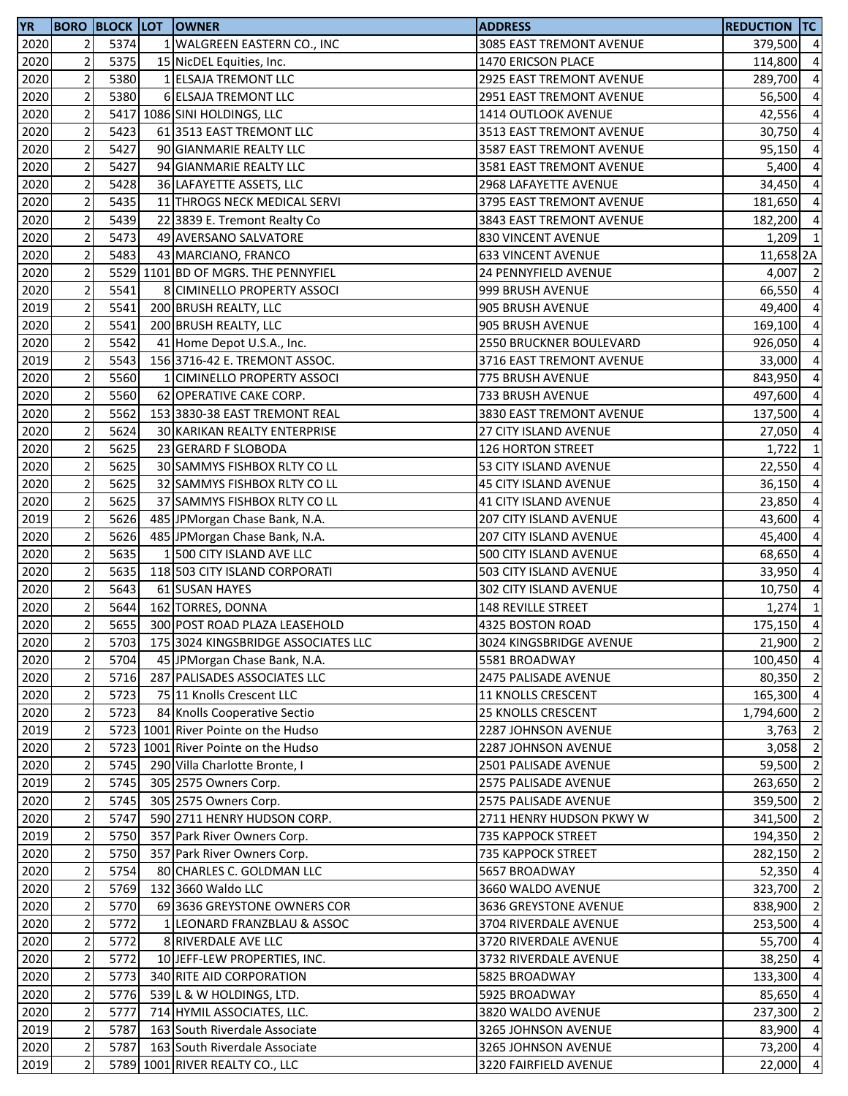| <b>YR</b> |                |      | <b>BORO BLOCK LOT OWNER</b>         | <b>ADDRESS</b>                                   | <b>REDUCTION TC</b> |                         |
|-----------|----------------|------|-------------------------------------|--------------------------------------------------|---------------------|-------------------------|
| 2020      | 2              | 5374 | 1 WALGREEN EASTERN CO., INC         | 3085 EAST TREMONT AVENUE                         | 379,500 4           |                         |
| 2020      | $\overline{2}$ | 5375 | 15 NicDEL Equities, Inc.            | 1470 ERICSON PLACE                               | 114,800             | $\overline{4}$          |
| 2020      | $\overline{2}$ | 5380 | 1 ELSAJA TREMONT LLC                | 2925 EAST TREMONT AVENUE                         | 289,700             | $\overline{4}$          |
| 2020      | $\overline{2}$ | 5380 | 6 ELSAJA TREMONT LLC                | 2951 EAST TREMONT AVENUE                         | 56,500              | $\overline{4}$          |
| 2020      | $\overline{2}$ |      | 5417 1086 SINI HOLDINGS, LLC        | 1414 OUTLOOK AVENUE                              | 42,556              | $\overline{4}$          |
| 2020      | $\overline{2}$ | 5423 | 61 3513 EAST TREMONT LLC            | 3513 EAST TREMONT AVENUE                         | 30,750              | $\overline{4}$          |
| 2020      | $\mathbf 2$    | 5427 | 90 GIANMARIE REALTY LLC             | 3587 EAST TREMONT AVENUE                         | 95,150              | $\overline{4}$          |
| 2020      | $\overline{2}$ | 5427 | 94 GIANMARIE REALTY LLC             | 3581 EAST TREMONT AVENUE                         | 5,400               | $\overline{4}$          |
| 2020      | $\mathbf 2$    | 5428 | 36 LAFAYETTE ASSETS, LLC            | 2968 LAFAYETTE AVENUE                            | 34,450              | $\overline{a}$          |
| 2020      | $\mathbf 2$    | 5435 | 11 THROGS NECK MEDICAL SERVI        | 3795 EAST TREMONT AVENUE                         | 181,650             | $\overline{4}$          |
| 2020      | $\overline{2}$ | 5439 | 22 3839 E. Tremont Realty Co        | 3843 EAST TREMONT AVENUE                         | 182,200             | $\overline{a}$          |
| 2020      | $\overline{2}$ | 5473 | 49 AVERSANO SALVATORE               | 830 VINCENT AVENUE                               | 1,209               | $\overline{1}$          |
|           | $\mathbf 2$    | 5483 |                                     |                                                  |                     |                         |
| 2020      | $\overline{2}$ |      | 43 MARCIANO, FRANCO                 | <b>633 VINCENT AVENUE</b>                        | 11,658 2A           |                         |
| 2020      |                |      | 5529 1101 BD OF MGRS. THE PENNYFIEL | 24 PENNYFIELD AVENUE                             | 4,007               | $\overline{\mathbf{2}}$ |
| 2020      | $\mathbf 2$    | 5541 | 8 CIMINELLO PROPERTY ASSOCI         | 999 BRUSH AVENUE                                 | 66,550              | $\overline{4}$          |
| 2019      | $\overline{2}$ | 5541 | 200 BRUSH REALTY, LLC               | 905 BRUSH AVENUE                                 | 49,400              | $\overline{4}$          |
| 2020      | $\overline{2}$ | 5541 | 200 BRUSH REALTY, LLC               | 905 BRUSH AVENUE                                 | 169,100             | $\overline{4}$          |
| 2020      | $\overline{2}$ | 5542 | 41 Home Depot U.S.A., Inc.          | 2550 BRUCKNER BOULEVARD                          | 926,050             | $\overline{4}$          |
| 2019      | $\overline{2}$ | 5543 | 156 3716-42 E. TREMONT ASSOC.       | 3716 EAST TREMONT AVENUE                         | 33,000              | $\overline{4}$          |
| 2020      | $\overline{2}$ | 5560 | 1 CIMINELLO PROPERTY ASSOCI         | 775 BRUSH AVENUE                                 | 843,950             | $\overline{4}$          |
| 2020      | $\overline{2}$ | 5560 | 62 OPERATIVE CAKE CORP.             | 733 BRUSH AVENUE                                 | 497,600             | $\overline{4}$          |
| 2020      | $\overline{2}$ | 5562 | 153 3830-38 EAST TREMONT REAL       | 3830 EAST TREMONT AVENUE                         | 137,500             | $\overline{4}$          |
| 2020      | $\overline{2}$ | 5624 | 30 KARIKAN REALTY ENTERPRISE        | 27 CITY ISLAND AVENUE                            | 27,050              | $\overline{4}$          |
| 2020      | $\mathbf 2$    | 5625 | 23 GERARD F SLOBODA                 | <b>126 HORTON STREET</b>                         | 1,722               | $\mathbf{1}$            |
| 2020      | $\overline{2}$ | 5625 | 30 SAMMYS FISHBOX RLTY CO LL        | 53 CITY ISLAND AVENUE                            | 22,550              | $\overline{4}$          |
| 2020      | $\overline{2}$ | 5625 | 32 SAMMYS FISHBOX RLTY CO LL        | 45 CITY ISLAND AVENUE                            | 36,150              | $\overline{a}$          |
| 2020      | $\overline{2}$ | 5625 | 37 SAMMYS FISHBOX RLTY CO LL        | 41 CITY ISLAND AVENUE                            | 23,850              | $\overline{4}$          |
| 2019      | $\overline{2}$ | 5626 | 485 JPMorgan Chase Bank, N.A.       | 207 CITY ISLAND AVENUE                           | 43,600              | $\overline{a}$          |
| 2020      | $\overline{2}$ | 5626 | 485 JPMorgan Chase Bank, N.A.       | 207 CITY ISLAND AVENUE                           | 45,400              | $\overline{4}$          |
| 2020      | $\overline{2}$ | 5635 | 1 500 CITY ISLAND AVE LLC           | 500 CITY ISLAND AVENUE                           | 68,650              | $\overline{4}$          |
| 2020      | $\overline{2}$ | 5635 | 118 503 CITY ISLAND CORPORATI       | 503 CITY ISLAND AVENUE                           | 33,950              | $\overline{4}$          |
| 2020      | $\overline{c}$ | 5643 | 61 SUSAN HAYES                      | 302 CITY ISLAND AVENUE                           | 10,750              | $\overline{4}$          |
| 2020      | $\overline{2}$ | 5644 | 162 TORRES, DONNA                   | 148 REVILLE STREET                               | 1,274               | $\mathbf{1}$            |
| 2020      | $\overline{2}$ | 5655 | 300 POST ROAD PLAZA LEASEHOLD       | 4325 BOSTON ROAD                                 | 175,150 4           |                         |
| 2020      | 2              | 5703 | 175 3024 KINGSBRIDGE ASSOCIATES LLC | 3024 KINGSBRIDGE AVENUE                          | 21,900 2            |                         |
| 2020      | $\mathbf 2$    | 5704 | 45 JPMorgan Chase Bank, N.A.        | 5581 BROADWAY                                    | 100,450 4           |                         |
| 2020      | $\mathbf 2$    | 5716 | 287 PALISADES ASSOCIATES LLC        | 2475 PALISADE AVENUE                             | 80,350 2            |                         |
| 2020      | $\mathbf 2$    | 5723 | 75 11 Knolls Crescent LLC           | 11 KNOLLS CRESCENT                               | 165,300 4           |                         |
| 2020      | $\overline{2}$ | 5723 | 84 Knolls Cooperative Sectio        |                                                  | 1,794,600 2         |                         |
|           |                |      |                                     | 25 KNOLLS CRESCENT<br><b>2287 JOHNSON AVENUE</b> |                     | $\overline{2}$          |
| 2019      | $\mathbf 2$    |      | 5723 1001 River Pointe on the Hudso |                                                  | 3,763               |                         |
| 2020      | $\mathbf 2$    |      | 5723 1001 River Pointe on the Hudso | 2287 JOHNSON AVENUE                              | 3,058               | $\overline{2}$          |
| 2020      | $\mathbf 2$    | 5745 | 290 Villa Charlotte Bronte, I       | 2501 PALISADE AVENUE                             | 59,500 2            |                         |
| 2019      | $\mathbf 2$    | 5745 | 305 2575 Owners Corp.               | 2575 PALISADE AVENUE                             | 263,650             | $\overline{2}$          |
| 2020      | $\overline{2}$ | 5745 | 305 2575 Owners Corp.               | 2575 PALISADE AVENUE                             | 359,500             | $\overline{2}$          |
| 2020      | $\overline{2}$ | 5747 | 590 2711 HENRY HUDSON CORP.         | 2711 HENRY HUDSON PKWY W                         | 341,500 2           |                         |
| 2019      | $\mathbf 2$    | 5750 | 357 Park River Owners Corp.         | 735 KAPPOCK STREET                               | 194,350 2           |                         |
| 2020      | 2              | 5750 | 357 Park River Owners Corp.         | 735 KAPPOCK STREET                               | 282,150 2           |                         |
| 2020      | $\overline{2}$ | 5754 | 80 CHARLES C. GOLDMAN LLC           | 5657 BROADWAY                                    | 52,350 4            |                         |
| 2020      | $\overline{c}$ | 5769 | 132 3660 Waldo LLC                  | 3660 WALDO AVENUE                                | 323,700 2           |                         |
| 2020      | $\mathbf 2$    | 5770 | 69 3636 GREYSTONE OWNERS COR        | 3636 GREYSTONE AVENUE                            | 838,900             | $\overline{2}$          |
| 2020      | $\mathbf 2$    | 5772 | 1 LEONARD FRANZBLAU & ASSOC         | 3704 RIVERDALE AVENUE                            | 253,500             | $\overline{4}$          |
| 2020      | $\overline{2}$ | 5772 | 8 RIVERDALE AVE LLC                 | 3720 RIVERDALE AVENUE                            | 55,700              | $\overline{4}$          |
| 2020      | $\mathbf 2$    | 5772 | 10 JEFF-LEW PROPERTIES, INC.        | 3732 RIVERDALE AVENUE                            | 38,250              | $\overline{4}$          |
| 2020      | $\mathbf 2$    | 5773 | 340 RITE AID CORPORATION            | 5825 BROADWAY                                    | 133,300             | $\overline{4}$          |
| 2020      | $\overline{2}$ | 5776 | 539 L & W HOLDINGS, LTD.            | 5925 BROADWAY                                    | 85,650 4            |                         |
| 2020      | $\overline{2}$ | 5777 | 714 HYMIL ASSOCIATES, LLC.          | 3820 WALDO AVENUE                                | 237,300 2           |                         |
| 2019      | $\overline{c}$ | 5787 | 163 South Riverdale Associate       | 3265 JOHNSON AVENUE                              | 83,900 4            |                         |
| 2020      | $\mathbf 2$    | 5787 | 163 South Riverdale Associate       | 3265 JOHNSON AVENUE                              | 73,200 4            |                         |
| 2019      | $\mathbf 2$    |      | 5789 1001 RIVER REALTY CO., LLC     | 3220 FAIRFIELD AVENUE                            | 22,000 4            |                         |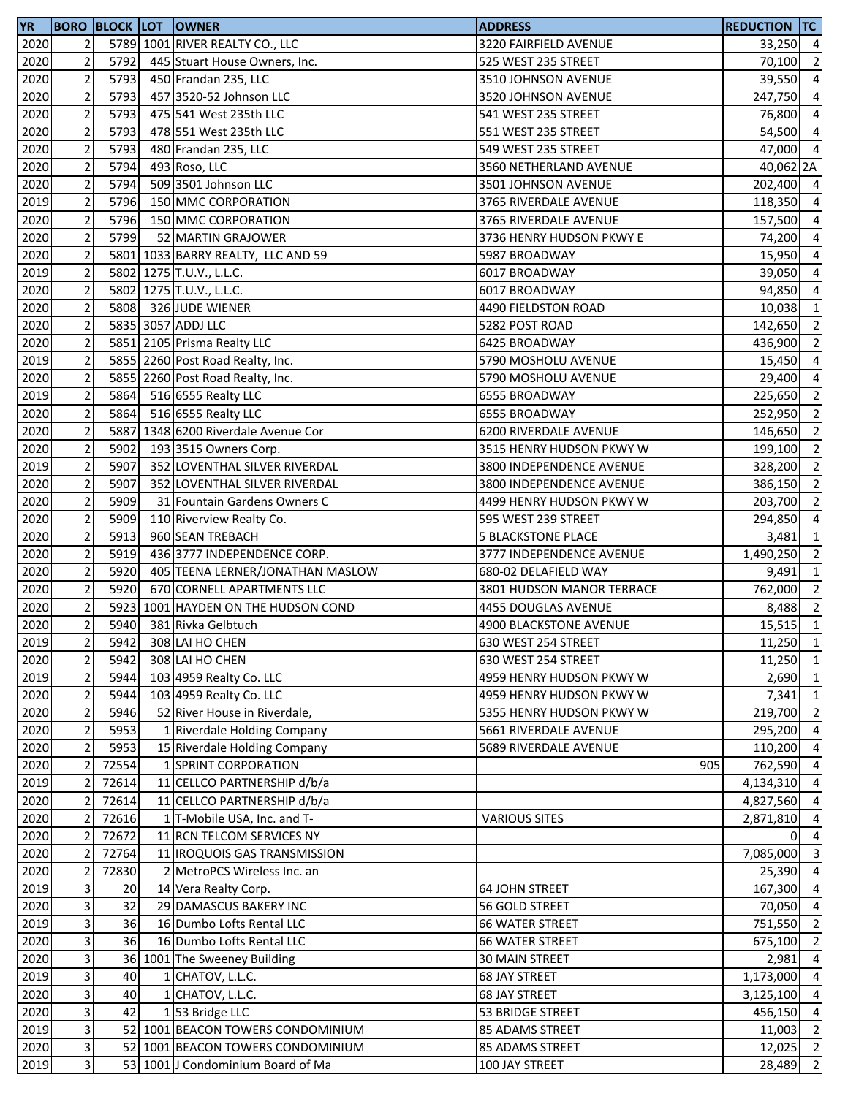| <b>YR</b> |                         |       | <b>BORO BLOCK LOT OWNER</b>         | <b>ADDRESS</b>            | <b>REDUCTION TC</b> |                |
|-----------|-------------------------|-------|-------------------------------------|---------------------------|---------------------|----------------|
| 2020      | $\overline{2}$          |       | 5789 1001 RIVER REALTY CO., LLC     | 3220 FAIRFIELD AVENUE     | 33,250 4            |                |
| 2020      | $\mathbf 2$             | 5792  | 445 Stuart House Owners, Inc.       | 525 WEST 235 STREET       | 70,100 2            |                |
| 2020      | $\overline{2}$          | 5793  | 450 Frandan 235, LLC                | 3510 JOHNSON AVENUE       | 39,550              | $\overline{4}$ |
| 2020      | $\mathbf 2$             | 5793  | 457 3520-52 Johnson LLC             | 3520 JOHNSON AVENUE       | 247,750             | $\overline{a}$ |
| 2020      | $\mathbf 2$             | 5793  | 475 541 West 235th LLC              | 541 WEST 235 STREET       | 76,800 4            |                |
| 2020      | $\mathbf 2$             | 5793  | 478 551 West 235th LLC              | 551 WEST 235 STREET       | 54,500 4            |                |
| 2020      | $\mathbf 2$             | 5793  | 480 Frandan 235, LLC                | 549 WEST 235 STREET       | 47,000 4            |                |
| 2020      | $\mathbf 2$             | 5794  | 493 Roso, LLC                       | 3560 NETHERLAND AVENUE    | 40,062 2A           |                |
| 2020      | $\overline{2}$          | 5794  | 509 3501 Johnson LLC                | 3501 JOHNSON AVENUE       | 202,400 4           |                |
| 2019      | $\mathbf 2$             | 5796  | 150 MMC CORPORATION                 | 3765 RIVERDALE AVENUE     | 118,350 4           |                |
| 2020      | $\mathbf 2$             | 5796  | 150 MMC CORPORATION                 | 3765 RIVERDALE AVENUE     | 157,500             | $\overline{a}$ |
| 2020      | $\mathbf 2$             | 5799  | 52 MARTIN GRAJOWER                  | 3736 HENRY HUDSON PKWY E  | 74,200              | $\overline{a}$ |
| 2020      | $\mathbf 2$             |       | 5801 1033 BARRY REALTY, LLC AND 59  | 5987 BROADWAY             | 15,950 4            |                |
| 2019      | $\overline{c}$          |       | 5802 1275 T.U.V., L.L.C.            | 6017 BROADWAY             | 39,050 4            |                |
| 2020      | $\mathbf 2$             |       | 5802 1275 T.U.V., L.L.C.            | 6017 BROADWAY             | 94,850 4            |                |
| 2020      | $\overline{c}$          |       | 5808 326 JUDE WIENER                | 4490 FIELDSTON ROAD       | 10,038              | $\mathbf{1}$   |
| 2020      | $\overline{2}$          |       | 5835 3057 ADDJ LLC                  | 5282 POST ROAD            | 142,650 2           |                |
| 2020      | $\overline{2}$          |       | 5851 2105 Prisma Realty LLC         | 6425 BROADWAY             | 436,900             | $\overline{2}$ |
| 2019      | $\mathbf 2$             |       | 5855 2260 Post Road Realty, Inc.    | 5790 MOSHOLU AVENUE       | 15,450              | $\overline{a}$ |
| 2020      | $\overline{2}$          |       | 5855 2260 Post Road Realty, Inc.    | 5790 MOSHOLU AVENUE       | 29,400              | $\overline{a}$ |
| 2019      | $\mathbf 2$             | 5864  | 516 6555 Realty LLC                 | 6555 BROADWAY             | 225,650 2           |                |
| 2020      | $\mathbf 2$             | 5864  | 516 6555 Realty LLC                 | 6555 BROADWAY             | 252,950 2           |                |
| 2020      | $\overline{c}$          |       | 5887 1348 6200 Riverdale Avenue Cor | 6200 RIVERDALE AVENUE     | 146,650             | $\overline{2}$ |
| 2020      | $\mathbf 2$             | 5902  | 193 3515 Owners Corp.               | 3515 HENRY HUDSON PKWY W  | 199,100 2           |                |
| 2019      | $\mathbf 2$             | 5907  | 352 LOVENTHAL SILVER RIVERDAL       | 3800 INDEPENDENCE AVENUE  | 328,200             | $\overline{2}$ |
| 2020      | $\overline{2}$          | 5907  | 352 LOVENTHAL SILVER RIVERDAL       | 3800 INDEPENDENCE AVENUE  | 386,150             | $\overline{2}$ |
| 2020      | $\mathbf 2$             | 5909  | 31 Fountain Gardens Owners C        | 4499 HENRY HUDSON PKWY W  | 203,700             | $\overline{2}$ |
| 2020      | $\mathbf 2$             | 5909  | 110 Riverview Realty Co.            | 595 WEST 239 STREET       | 294,850             | $\overline{4}$ |
| 2020      | $\mathbf 2$             | 5913  | 960 SEAN TREBACH                    | <b>5 BLACKSTONE PLACE</b> | $3,481$ 1           |                |
| 2020      | $\overline{2}$          | 5919  | 436 3777 INDEPENDENCE CORP.         | 3777 INDEPENDENCE AVENUE  | 1,490,250 2         |                |
| 2020      | $\mathbf 2$             | 5920  | 405 TEENA LERNER/JONATHAN MASLOW    | 680-02 DELAFIELD WAY      | 9,491               | $\mathbf{1}$   |
| 2020      | $\overline{2}$          | 5920  | 670 CORNELL APARTMENTS LLC          | 3801 HUDSON MANOR TERRACE | 762,000 2           |                |
| 2020      | $\mathbf 2$             |       | 5923 1001 HAYDEN ON THE HUDSON COND | 4455 DOUGLAS AVENUE       | 8,488 2             |                |
| 2020      | $\overline{2}$          | 5940  | 381 Rivka Gelbtuch                  | 4900 BLACKSTONE AVENUE    | $15,515$ 1          |                |
| 2019      | 2                       | 5942  | 308 LAI HO CHEN                     | 630 WEST 254 STREET       | 11,250 1            |                |
| 2020      | $\mathbf 2$             | 5942  | 308 LAI HO CHEN                     | 630 WEST 254 STREET       | $11,250$ 1          |                |
| 2019      | $\mathbf 2$             | 5944  | 103 4959 Realty Co. LLC             | 4959 HENRY HUDSON PKWY W  | 2,690               | $\vert$ 1      |
| 2020      | $\mathbf 2$             | 5944  | 103 4959 Realty Co. LLC             | 4959 HENRY HUDSON PKWY W  | $7,341$ 1           |                |
| 2020      | $\mathbf 2$             | 5946  | 52 River House in Riverdale,        | 5355 HENRY HUDSON PKWY W  | 219,700 2           |                |
| 2020      | $\mathbf 2$             | 5953  | 1 Riverdale Holding Company         | 5661 RIVERDALE AVENUE     | 295,200 4           |                |
| 2020      | $\mathbf 2$             | 5953  | 15 Riverdale Holding Company        | 5689 RIVERDALE AVENUE     | 110,200             | $\overline{a}$ |
| 2020      | $\overline{2}$          | 72554 | 1 SPRINT CORPORATION                | 905                       | 762,590 4           |                |
| 2019      | $\overline{2}$          | 72614 | 11 CELLCO PARTNERSHIP d/b/a         |                           | 4,134,310 4         |                |
| 2020      | $\mathbf 2$             | 72614 | 11 CELLCO PARTNERSHIP d/b/a         |                           | 4,827,560           | $\overline{a}$ |
| 2020      | $\overline{2}$          | 72616 | 1 T-Mobile USA, Inc. and T-         | <b>VARIOUS SITES</b>      | 2,871,810           | $\overline{a}$ |
| 2020      | $\mathbf 2$             | 72672 | 11 RCN TELCOM SERVICES NY           |                           | 0 I                 | $\overline{4}$ |
| 2020      | $\overline{2}$          | 72764 | 11 IROQUOIS GAS TRANSMISSION        |                           | 7,085,000 3         |                |
| 2020      | $\overline{2}$          | 72830 | 2 MetroPCS Wireless Inc. an         |                           | 25,390              | $\overline{a}$ |
| 2019      | $\mathsf 3$             | 20    | 14 Vera Realty Corp.                | <b>64 JOHN STREET</b>     | 167,300             | $\overline{4}$ |
| 2020      | $\mathbf{3}$            | 32    | 29 DAMASCUS BAKERY INC              | 56 GOLD STREET            | 70,050              | $\overline{a}$ |
| 2019      | 3                       | 36    | 16 Dumbo Lofts Rental LLC           | <b>66 WATER STREET</b>    | 751,550 2           |                |
| 2020      | 3                       | 36    | 16 Dumbo Lofts Rental LLC           | <b>66 WATER STREET</b>    | 675,100             | $\overline{2}$ |
| 2020      | 3                       |       | 36 1001 The Sweeney Building        | 30 MAIN STREET            | 2,981               | $\overline{a}$ |
| 2019      | $\mathbf{3}$            | 40    | 1 CHATOV, L.L.C.                    | <b>68 JAY STREET</b>      | 1,173,000           | $\overline{a}$ |
| 2020      | 3                       | 40    | 1 CHATOV, L.L.C.                    | <b>68 JAY STREET</b>      | 3,125,100 4         |                |
| 2020      | $\mathbf{3}$            | 42    | 153 Bridge LLC                      | 53 BRIDGE STREET          | 456,150 4           |                |
| 2019      | $\mathbf{3}$            |       | 52 1001 BEACON TOWERS CONDOMINIUM   | 85 ADAMS STREET           | 11,003 2            |                |
| 2020      | $\overline{\mathbf{3}}$ |       | 52 1001 BEACON TOWERS CONDOMINIUM   | 85 ADAMS STREET           | 12,025 2            |                |
| 2019      | $\overline{\mathbf{3}}$ |       | 53 1001 J Condominium Board of Ma   | 100 JAY STREET            | 28,489 2            |                |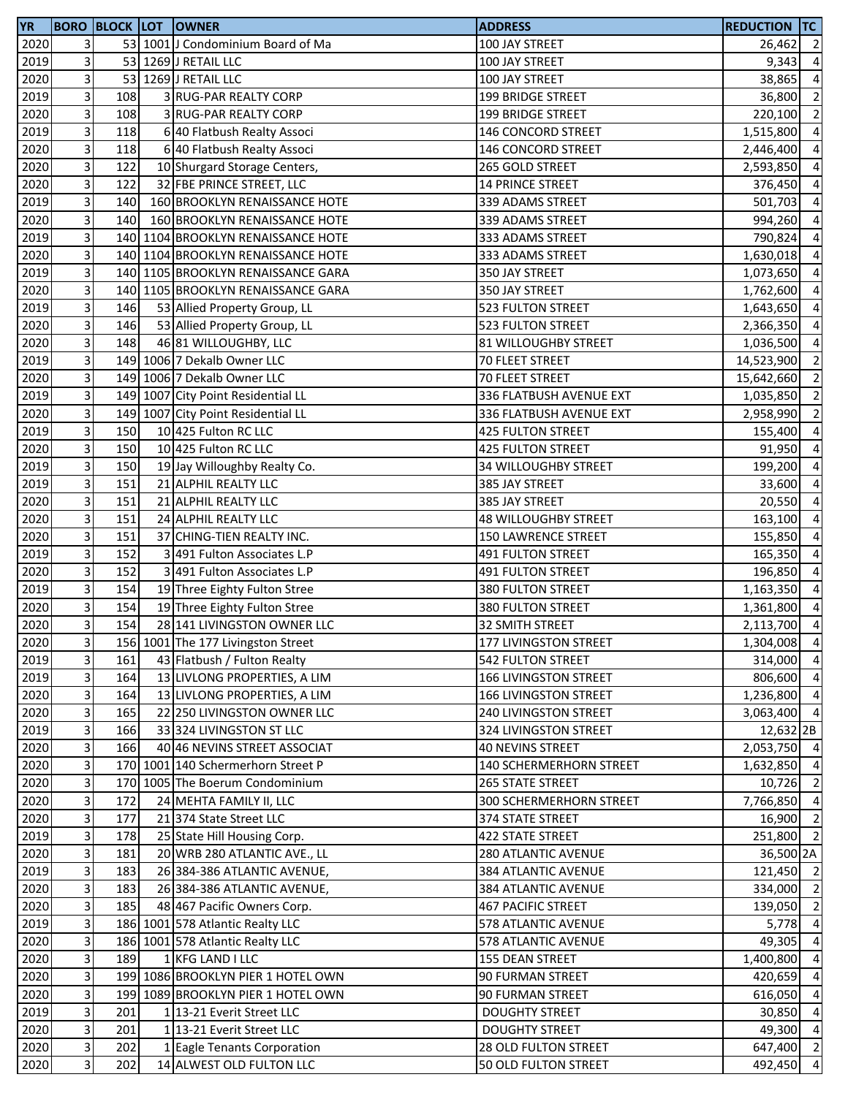| <b>YR</b> |                         |     | <b>BORO BLOCK LOT OWNER</b>        | <b>ADDRESS</b>               | <b>REDUCTION TC</b> |                |
|-----------|-------------------------|-----|------------------------------------|------------------------------|---------------------|----------------|
| 2020      | 3                       |     | 53 1001 J Condominium Board of Ma  | 100 JAY STREET               | 26,462              | $\overline{2}$ |
| 2019      | 3                       |     | 53 1269 J RETAIL LLC               | 100 JAY STREET               | 9,343               | $\overline{4}$ |
| 2020      | 3                       |     | 53 1269 J RETAIL LLC               | 100 JAY STREET               | 38,865              | $\overline{4}$ |
| 2019      | 3                       | 108 | 3 RUG-PAR REALTY CORP              | 199 BRIDGE STREET            | 36,800              | $\overline{2}$ |
| 2020      | 3                       | 108 | 3 RUG-PAR REALTY CORP              | <b>199 BRIDGE STREET</b>     | 220,100             | $\overline{2}$ |
| 2019      | $\overline{3}$          | 118 | 6 40 Flatbush Realty Associ        | 146 CONCORD STREET           | 1,515,800           | $\overline{4}$ |
| 2020      | $\overline{3}$          | 118 | 6 40 Flatbush Realty Associ        | 146 CONCORD STREET           | 2,446,400           | $\overline{4}$ |
| 2020      | 3                       | 122 | 10 Shurgard Storage Centers,       | 265 GOLD STREET              | 2,593,850           | $\overline{a}$ |
| 2020      | 3                       | 122 | 32 FBE PRINCE STREET, LLC          | 14 PRINCE STREET             | 376,450             | $\overline{a}$ |
| 2019      | 3                       | 140 | 160 BROOKLYN RENAISSANCE HOTE      | 339 ADAMS STREET             | 501,703             | $\overline{4}$ |
| 2020      | 3                       | 140 | 160 BROOKLYN RENAISSANCE HOTE      | 339 ADAMS STREET             | 994,260             | $\overline{4}$ |
|           | 3                       |     |                                    | 333 ADAMS STREET             |                     |                |
| 2019      |                         |     | 140 1104 BROOKLYN RENAISSANCE HOTE |                              | 790,824             | $\overline{4}$ |
| 2020      | 3                       |     | 140 1104 BROOKLYN RENAISSANCE HOTE | 333 ADAMS STREET             | 1,630,018           | $\overline{4}$ |
| 2019      | 3                       |     | 140 1105 BROOKLYN RENAISSANCE GARA | 350 JAY STREET               | 1,073,650           | $\overline{4}$ |
| 2020      | 3                       |     | 140 1105 BROOKLYN RENAISSANCE GARA | 350 JAY STREET               | 1,762,600           | $\overline{4}$ |
| 2019      | 3                       | 146 | 53 Allied Property Group, LL       | 523 FULTON STREET            | 1,643,650           | $\overline{4}$ |
| 2020      | 3                       | 146 | 53 Allied Property Group, LL       | 523 FULTON STREET            | 2,366,350           | $\overline{4}$ |
| 2020      | 3                       | 148 | 46 81 WILLOUGHBY, LLC              | 81 WILLOUGHBY STREET         | 1,036,500           | $\overline{4}$ |
| 2019      | 3                       |     | 149 1006 7 Dekalb Owner LLC        | 70 FLEET STREET              | 14,523,900          | $\overline{2}$ |
| 2020      | 3                       |     | 149 1006 7 Dekalb Owner LLC        | 70 FLEET STREET              | 15,642,660          | $\overline{2}$ |
| 2019      | 3                       |     | 149 1007 City Point Residential LL | 336 FLATBUSH AVENUE EXT      | 1,035,850           | $\overline{2}$ |
| 2020      | 3                       |     | 149 1007 City Point Residential LL | 336 FLATBUSH AVENUE EXT      | 2,958,990           | $\overline{2}$ |
| 2019      | $\overline{3}$          | 150 | 10 425 Fulton RC LLC               | <b>425 FULTON STREET</b>     | 155,400             | $\overline{4}$ |
| 2020      | $\overline{3}$          | 150 | 10 425 Fulton RC LLC               | <b>425 FULTON STREET</b>     | 91,950              | $\overline{a}$ |
| 2019      | 3                       | 150 | 19 Jay Willoughby Realty Co.       | 34 WILLOUGHBY STREET         | 199,200             | $\overline{4}$ |
| 2019      | 3                       | 151 | 21 ALPHIL REALTY LLC               | 385 JAY STREET               | 33,600              | $\overline{4}$ |
| 2020      | 3                       | 151 | 21 ALPHIL REALTY LLC               | 385 JAY STREET               | 20,550              | $\overline{4}$ |
| 2020      | 3                       | 151 | 24 ALPHIL REALTY LLC               | 48 WILLOUGHBY STREET         | 163,100             | $\overline{a}$ |
| 2020      | 3                       | 151 | 37 CHING-TIEN REALTY INC.          | <b>150 LAWRENCE STREET</b>   | 155,850             | $\overline{4}$ |
| 2019      | 3                       | 152 | 3 491 Fulton Associates L.P        | <b>491 FULTON STREET</b>     | 165,350             | $\overline{4}$ |
| 2020      | $\overline{3}$          | 152 | 3 491 Fulton Associates L.P        | <b>491 FULTON STREET</b>     | 196,850             | $\overline{4}$ |
| 2019      | $\overline{3}$          | 154 | 19 Three Eighty Fulton Stree       |                              |                     |                |
|           |                         |     |                                    | 380 FULTON STREET            | 1,163,350           | $\overline{4}$ |
| 2020      | 3                       | 154 | 19 Three Eighty Fulton Stree       | 380 FULTON STREET            | 1,361,800           | $\overline{4}$ |
| 2020      | 3                       | 154 | 28 141 LIVINGSTON OWNER LLC        | 32 SMITH STREET              | 2,113,700           | $\overline{4}$ |
| 2020      | $\overline{\mathbf{3}}$ |     | 156 1001 The 177 Livingston Street | 177 LIVINGSTON STREET        | 1,304,008 4         |                |
| 2019      | $\overline{3}$          | 161 | 43 Flatbush / Fulton Realty        | <b>542 FULTON STREET</b>     | 314,000             | $\overline{4}$ |
| 2019      | $\overline{3}$          | 164 | 13 LIVLONG PROPERTIES, A LIM       | <b>166 LIVINGSTON STREET</b> | 806,600 4           |                |
| 2020      | 3                       | 164 | 13 LIVLONG PROPERTIES, A LIM       | <b>166 LIVINGSTON STREET</b> | 1,236,800 4         |                |
| 2020      | 3                       | 165 | 22 250 LIVINGSTON OWNER LLC        | 240 LIVINGSTON STREET        | 3,063,400 4         |                |
| 2019      | $\overline{\mathbf{3}}$ | 166 | 33 324 LIVINGSTON ST LLC           | 324 LIVINGSTON STREET        | 12,632 2B           |                |
| 2020      | $\overline{3}$          | 166 | 40 46 NEVINS STREET ASSOCIAT       | <b>40 NEVINS STREET</b>      | 2,053,750 4         |                |
| 2020      | $\overline{3}$          |     | 170 1001 140 Schermerhorn Street P | 140 SCHERMERHORN STREET      | 1,632,850           | $\overline{4}$ |
| 2020      | 3                       |     | 170 1005 The Boerum Condominium    | 265 STATE STREET             | 10,726              | $\overline{2}$ |
| 2020      | 3                       | 172 | 24 MEHTA FAMILY II, LLC            | 300 SCHERMERHORN STREET      | 7,766,850           | $\overline{4}$ |
| 2020      | 3                       | 177 | 21 374 State Street LLC            | 374 STATE STREET             | 16,900 2            |                |
| 2019      | $\mathsf 3$             | 178 | 25 State Hill Housing Corp.        | 422 STATE STREET             | 251,800 2           |                |
| 2020      | 3                       | 181 | 20 WRB 280 ATLANTIC AVE., LL       | 280 ATLANTIC AVENUE          | 36,500 2A           |                |
| 2019      | 3                       | 183 | 26 384-386 ATLANTIC AVENUE,        | 384 ATLANTIC AVENUE          | 121,450 2           |                |
| 2020      | $\vert$ 3               | 183 | 26 384-386 ATLANTIC AVENUE,        | 384 ATLANTIC AVENUE          | 334,000 2           |                |
| 2020      | 3                       | 185 | 48 467 Pacific Owners Corp.        | 467 PACIFIC STREET           | 139,050             | $\overline{2}$ |
| 2019      | 3                       |     | 186 1001 578 Atlantic Realty LLC   | 578 ATLANTIC AVENUE          | $5,778$ 4           |                |
| 2020      | 3                       |     | 186 1001 578 Atlantic Realty LLC   | 578 ATLANTIC AVENUE          | 49,305              | $\overline{4}$ |
| 2020      | 3                       | 189 | 1 KFG LAND I LLC                   | 155 DEAN STREET              | 1,400,800           | $\overline{4}$ |
| 2020      | 3                       |     | 199 1086 BROOKLYN PIER 1 HOTEL OWN |                              | 420,659 4           |                |
|           |                         |     |                                    | 90 FURMAN STREET             |                     |                |
| 2020      | 3                       |     | 199 1089 BROOKLYN PIER 1 HOTEL OWN | 90 FURMAN STREET             | 616,050 4           |                |
| 2019      | $\mathsf 3$             | 201 | 1 13-21 Everit Street LLC          | <b>DOUGHTY STREET</b>        | 30,850              | $\overline{4}$ |
| 2020      | $\overline{\mathbf{3}}$ | 201 | 1 13-21 Everit Street LLC          | <b>DOUGHTY STREET</b>        | 49,300              | $\overline{4}$ |
| 2020      | $\overline{\mathbf{3}}$ | 202 | 1 Eagle Tenants Corporation        | 28 OLD FULTON STREET         | 647,400             | $\overline{2}$ |
| 2020      | $\overline{3}$          | 202 | 14 ALWEST OLD FULTON LLC           | 50 OLD FULTON STREET         | 492,450             | $\overline{4}$ |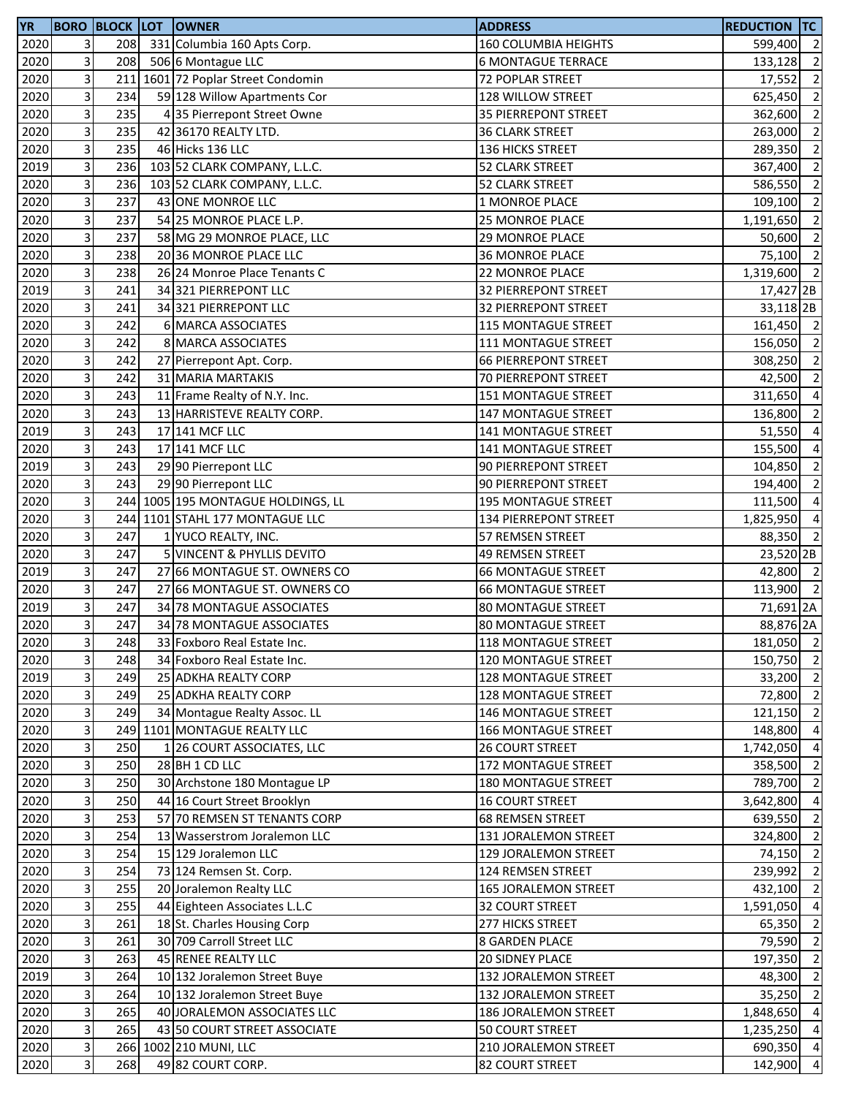| 2020<br>3<br>208<br>331 Columbia 160 Apts Corp.<br>160 COLUMBIA HEIGHTS<br>599,400<br>3<br>2020<br>208<br>506 6 Montague LLC<br><b>6 MONTAGUE TERRACE</b><br>133,128<br>3<br>2020<br>211<br>1601 72 Poplar Street Condomin<br>72 POPLAR STREET<br>17,552<br>$\mathsf 3$<br>59 128 Willow Apartments Cor<br>2020<br>234<br>128 WILLOW STREET<br>625,450<br>3<br>235<br>2020<br>362,600<br>4 35 Pierrepont Street Owne<br><b>35 PIERREPONT STREET</b><br>3<br>235<br>2020<br>263,000<br>42 36170 REALTY LTD.<br><b>36 CLARK STREET</b><br>$\overline{\mathbf{3}}$<br>2020<br>235<br>46 Hicks 136 LLC<br>136 HICKS STREET<br>289,350<br>3<br>2019<br>236<br>103 52 CLARK COMPANY, L.L.C.<br>52 CLARK STREET<br>367,400<br>3<br>2020<br>236<br>103 52 CLARK COMPANY, L.L.C.<br>52 CLARK STREET<br>586,550<br>3<br>237<br>2020<br>43 ONE MONROE LLC<br>1 MONROE PLACE<br>109,100<br>$\overline{3}$<br>2020<br>237<br>54 25 MONROE PLACE L.P.<br>25 MONROE PLACE<br>1,191,650<br>3<br>237<br>2020<br>58 MG 29 MONROE PLACE, LLC<br><b>29 MONROE PLACE</b><br>3<br>238<br>2020<br>20 36 MONROE PLACE LLC<br><b>36 MONROE PLACE</b><br>3<br>238<br>2020<br>26 24 Monroe Place Tenants C<br>22 MONROE PLACE<br>$\overline{3}$<br>241<br>2019<br>34 321 PIERREPONT LLC<br><b>32 PIERREPONT STREET</b><br>$\overline{3}$<br>2020<br>241<br>34 321 PIERREPONT LLC<br><b>32 PIERREPONT STREET</b><br>3<br>2020<br>242<br>6 MARCA ASSOCIATES<br><b>115 MONTAGUE STREET</b><br>3<br>2020<br>242<br>8 MARCA ASSOCIATES<br>111 MONTAGUE STREET<br>156,050<br>3<br>2020<br>242<br>27 Pierrepont Apt. Corp.<br><b>66 PIERREPONT STREET</b><br>308,250<br>3<br>2020<br>242<br>31 MARIA MARTAKIS<br>70 PIERREPONT STREET<br>3<br>2020<br>243<br>11 Frame Realty of N.Y. Inc.<br>151 MONTAGUE STREET<br>3<br>2020<br>243<br>13 HARRISTEVE REALTY CORP.<br><b>147 MONTAGUE STREET</b><br>136,800<br>3<br>243<br>2019<br>51,550<br>17 141 MCF LLC<br>141 MONTAGUE STREET<br>$\overline{\mathbf{3}}$<br>2020<br>243<br>17 141 MCF LLC<br>141 MONTAGUE STREET<br>155,500<br>3<br>2019<br>243<br>29 90 Pierrepont LLC<br>90 PIERREPONT STREET<br>104,850<br>3<br>243<br>2020<br>29 90 Pierrepont LLC<br>90 PIERREPONT STREET<br>194,400<br>3<br>2020<br>244 1005 195 MONTAGUE HOLDINGS, LL<br>195 MONTAGUE STREET<br>111,500<br>3<br>244 1101 STAHL 177 MONTAGUE LLC<br>2020<br>134 PIERREPONT STREET<br>1,825,950<br>3<br>2020<br>247<br>1 YUCO REALTY, INC.<br>57 REMSEN STREET<br>3<br>2020<br>247<br>5 VINCENT & PHYLLIS DEVITO<br><b>49 REMSEN STREET</b><br>3<br>247<br>2019<br>27 66 MONTAGUE ST. OWNERS CO<br><b>66 MONTAGUE STREET</b><br>$\overline{\mathbf{3}}$<br>247<br>2020<br>27 66 MONTAGUE ST. OWNERS CO<br><b>66 MONTAGUE STREET</b><br>$\overline{3}$<br>2019<br>247<br>34 78 MONTAGUE ASSOCIATES<br><b>80 MONTAGUE STREET</b><br>3<br>2020<br>247<br>34 78 MONTAGUE ASSOCIATES<br><b>80 MONTAGUE STREET</b><br>2020<br>3 <sup>1</sup><br>248<br>33 Foxboro Real Estate Inc.<br><b>118 MONTAGUE STREET</b><br>3<br>2020<br>248<br>34 Foxboro Real Estate Inc.<br>120 MONTAGUE STREET<br>$\overline{3}$<br>2019<br>249<br>25 ADKHA REALTY CORP<br>128 MONTAGUE STREET<br>3<br>2020<br>249<br>25 ADKHA REALTY CORP<br><b>128 MONTAGUE STREET</b><br>3<br>2020<br>249<br>34 Montague Realty Assoc. LL<br>146 MONTAGUE STREET<br>$\overline{3}$<br>2020<br>249 1101 MONTAGUE REALTY LLC<br>166 MONTAGUE STREET<br>$\overline{\mathbf{3}}$<br>2020<br>250<br><b>26 COURT STREET</b><br>1 26 COURT ASSOCIATES, LLC<br>1,742,050<br>3<br>2020<br>250<br>28 BH 1 CD LLC<br>172 MONTAGUE STREET<br>358,500<br>3<br>2020<br>30 Archstone 180 Montague LP<br>250<br><b>180 MONTAGUE STREET</b><br>789,700<br>3<br>2020<br>250<br>44 16 Court Street Brooklyn<br><b>16 COURT STREET</b><br>3,642,800<br>$\overline{3}$<br>2020<br>57 70 REMSEN ST TENANTS CORP<br>253<br><b>68 REMSEN STREET</b><br>639,550<br>$\mathsf 3$<br>2020<br>254<br>131 JORALEMON STREET<br>13 Wasserstrom Joralemon LLC<br>3<br>2020<br>254<br>15 129 Joralemon LLC<br>129 JORALEMON STREET<br>74,150<br>3<br>2020<br>254<br>73 124 Remsen St. Corp.<br>124 REMSEN STREET<br>239,992<br>$\overline{3}$<br>2020<br>20 Joralemon Realty LLC<br>255<br>165 JORALEMON STREET<br>432,100<br>$\overline{3}$<br>2020<br>255<br>44 Eighteen Associates L.L.C<br>32 COURT STREET<br>1,591,050<br>3<br>2020<br>261<br>18 St. Charles Housing Corp<br>65,350<br>277 HICKS STREET<br>3<br>2020<br>261<br>30 709 Carroll Street LLC<br><b>8 GARDEN PLACE</b><br>79,590<br>3<br>2020<br>263<br>45 RENEE REALTY LLC<br>20 SIDNEY PLACE<br>197,350<br>3<br>2019<br>264<br>10 132 Joralemon Street Buye<br>132 JORALEMON STREET<br>3<br>2020<br>264<br>10 132 Joralemon Street Buye<br>35,250<br>132 JORALEMON STREET<br>3<br>265<br>2020<br>40 JORALEMON ASSOCIATES LLC<br>186 JORALEMON STREET<br>1,848,650<br>$\overline{\mathbf{3}}$<br>265<br>2020<br>43 50 COURT STREET ASSOCIATE<br>50 COURT STREET<br>1,235,250<br>$\overline{\mathbf{3}}$<br>2020<br>266 1002 210 MUNI, LLC<br>210 JORALEMON STREET<br>$\overline{3}$<br>2020<br>268<br>142,900<br>49 82 COURT CORP.<br>82 COURT STREET | <b>YR</b> |  | <b>BORO BLOCK LOT OWNER</b> | <b>ADDRESS</b> | <b>REDUCTION TC</b> |                |
|---------------------------------------------------------------------------------------------------------------------------------------------------------------------------------------------------------------------------------------------------------------------------------------------------------------------------------------------------------------------------------------------------------------------------------------------------------------------------------------------------------------------------------------------------------------------------------------------------------------------------------------------------------------------------------------------------------------------------------------------------------------------------------------------------------------------------------------------------------------------------------------------------------------------------------------------------------------------------------------------------------------------------------------------------------------------------------------------------------------------------------------------------------------------------------------------------------------------------------------------------------------------------------------------------------------------------------------------------------------------------------------------------------------------------------------------------------------------------------------------------------------------------------------------------------------------------------------------------------------------------------------------------------------------------------------------------------------------------------------------------------------------------------------------------------------------------------------------------------------------------------------------------------------------------------------------------------------------------------------------------------------------------------------------------------------------------------------------------------------------------------------------------------------------------------------------------------------------------------------------------------------------------------------------------------------------------------------------------------------------------------------------------------------------------------------------------------------------------------------------------------------------------------------------------------------------------------------------------------------------------------------------------------------------------------------------------------------------------------------------------------------------------------------------------------------------------------------------------------------------------------------------------------------------------------------------------------------------------------------------------------------------------------------------------------------------------------------------------------------------------------------------------------------------------------------------------------------------------------------------------------------------------------------------------------------------------------------------------------------------------------------------------------------------------------------------------------------------------------------------------------------------------------------------------------------------------------------------------------------------------------------------------------------------------------------------------------------------------------------------------------------------------------------------------------------------------------------------------------------------------------------------------------------------------------------------------------------------------------------------------------------------------------------------------------------------------------------------------------------------------------------------------------------------------------------------------------------------------------------------------------------------------------------------------------------------------------------------------------------------------------------------------------------------------------------------------------------------------------------------------------------------------------------------------------------------------------------------------------------------------------------------------------------------------------------------------------------------------------------------------------------------------------------------------------------------------------------------------------------------------------------------------------------------------------------------------------------------------------------------------------------------------------------------------------------------------------------------------------------------------------------|-----------|--|-----------------------------|----------------|---------------------|----------------|
| $\overline{2}$<br>$\overline{2}$<br>$\overline{2}$<br>$\overline{2}$<br>$\overline{2}$<br>$\overline{2}$<br>$\overline{2}$<br>$\overline{2}$<br>$\overline{2}$<br>50,600 2<br>75,100 2<br>1,319,600 2<br>17,427 2B<br>33,118 <sub>2B</sub><br>161,450 2<br>$\overline{2}$<br>$\overline{\phantom{0}}$<br>42,500 2<br>311,650 4<br>$\overline{2}$<br>$\overline{4}$<br>$\overline{2}$<br>$\overline{2}$<br>$\overline{4}$<br>$\overline{a}$<br>88,350 2<br>23,520 <sub>2B</sub><br>42,800 2<br>113,900 2<br>71,691 2A<br>88,876 2A<br>181,050 2<br>150,750 2<br>33,200 2<br>72,800 2<br>121,150 2<br>148,800 4<br>$\overline{4}$<br>$\overline{2}$<br>$\overline{2}$<br>$\overline{4}$<br>$\overline{2}$<br>324,800 2<br>$\overline{2}$<br>$\overline{2}$<br>48,300 2<br>$\overline{2}$<br>$\overline{4}$<br>$\overline{4}$<br>690,350 4<br>$\overline{4}$                                                                                                                                                                                                                                                                                                                                                                                                                                                                                                                                                                                                                                                                                                                                                                                                                                                                                                                                                                                                                                                                                                                                                                                                                                                                                                                                                                                                                                                                                                                                                                                                                                                                                                                                                                                                                                                                                                                                                                                                                                                                                                                                                                                                                                                                                                                                                                                                                                                                                                                                                                                                                                                                                                                                                                                                                                                                                                                                                                                                                                                                                                                                                                                                                                                                                                                                                                                                                                                                                                                                                                                                                                                                                                                                                                                                                                                                                                                                                                                                                                                                                                                                                                                                                                                                             |           |  |                             |                |                     | $\overline{2}$ |
|                                                                                                                                                                                                                                                                                                                                                                                                                                                                                                                                                                                                                                                                                                                                                                                                                                                                                                                                                                                                                                                                                                                                                                                                                                                                                                                                                                                                                                                                                                                                                                                                                                                                                                                                                                                                                                                                                                                                                                                                                                                                                                                                                                                                                                                                                                                                                                                                                                                                                                                                                                                                                                                                                                                                                                                                                                                                                                                                                                                                                                                                                                                                                                                                                                                                                                                                                                                                                                                                                                                                                                                                                                                                                                                                                                                                                                                                                                                                                                                                                                                                                                                                                                                                                                                                                                                                                                                                                                                                                                                                                                                                                                                                                                                                                                                                                                                                                                                                                                                                                                                                                                                                       |           |  |                             |                |                     | $\overline{2}$ |
|                                                                                                                                                                                                                                                                                                                                                                                                                                                                                                                                                                                                                                                                                                                                                                                                                                                                                                                                                                                                                                                                                                                                                                                                                                                                                                                                                                                                                                                                                                                                                                                                                                                                                                                                                                                                                                                                                                                                                                                                                                                                                                                                                                                                                                                                                                                                                                                                                                                                                                                                                                                                                                                                                                                                                                                                                                                                                                                                                                                                                                                                                                                                                                                                                                                                                                                                                                                                                                                                                                                                                                                                                                                                                                                                                                                                                                                                                                                                                                                                                                                                                                                                                                                                                                                                                                                                                                                                                                                                                                                                                                                                                                                                                                                                                                                                                                                                                                                                                                                                                                                                                                                                       |           |  |                             |                |                     |                |
|                                                                                                                                                                                                                                                                                                                                                                                                                                                                                                                                                                                                                                                                                                                                                                                                                                                                                                                                                                                                                                                                                                                                                                                                                                                                                                                                                                                                                                                                                                                                                                                                                                                                                                                                                                                                                                                                                                                                                                                                                                                                                                                                                                                                                                                                                                                                                                                                                                                                                                                                                                                                                                                                                                                                                                                                                                                                                                                                                                                                                                                                                                                                                                                                                                                                                                                                                                                                                                                                                                                                                                                                                                                                                                                                                                                                                                                                                                                                                                                                                                                                                                                                                                                                                                                                                                                                                                                                                                                                                                                                                                                                                                                                                                                                                                                                                                                                                                                                                                                                                                                                                                                                       |           |  |                             |                |                     |                |
|                                                                                                                                                                                                                                                                                                                                                                                                                                                                                                                                                                                                                                                                                                                                                                                                                                                                                                                                                                                                                                                                                                                                                                                                                                                                                                                                                                                                                                                                                                                                                                                                                                                                                                                                                                                                                                                                                                                                                                                                                                                                                                                                                                                                                                                                                                                                                                                                                                                                                                                                                                                                                                                                                                                                                                                                                                                                                                                                                                                                                                                                                                                                                                                                                                                                                                                                                                                                                                                                                                                                                                                                                                                                                                                                                                                                                                                                                                                                                                                                                                                                                                                                                                                                                                                                                                                                                                                                                                                                                                                                                                                                                                                                                                                                                                                                                                                                                                                                                                                                                                                                                                                                       |           |  |                             |                |                     |                |
|                                                                                                                                                                                                                                                                                                                                                                                                                                                                                                                                                                                                                                                                                                                                                                                                                                                                                                                                                                                                                                                                                                                                                                                                                                                                                                                                                                                                                                                                                                                                                                                                                                                                                                                                                                                                                                                                                                                                                                                                                                                                                                                                                                                                                                                                                                                                                                                                                                                                                                                                                                                                                                                                                                                                                                                                                                                                                                                                                                                                                                                                                                                                                                                                                                                                                                                                                                                                                                                                                                                                                                                                                                                                                                                                                                                                                                                                                                                                                                                                                                                                                                                                                                                                                                                                                                                                                                                                                                                                                                                                                                                                                                                                                                                                                                                                                                                                                                                                                                                                                                                                                                                                       |           |  |                             |                |                     |                |
|                                                                                                                                                                                                                                                                                                                                                                                                                                                                                                                                                                                                                                                                                                                                                                                                                                                                                                                                                                                                                                                                                                                                                                                                                                                                                                                                                                                                                                                                                                                                                                                                                                                                                                                                                                                                                                                                                                                                                                                                                                                                                                                                                                                                                                                                                                                                                                                                                                                                                                                                                                                                                                                                                                                                                                                                                                                                                                                                                                                                                                                                                                                                                                                                                                                                                                                                                                                                                                                                                                                                                                                                                                                                                                                                                                                                                                                                                                                                                                                                                                                                                                                                                                                                                                                                                                                                                                                                                                                                                                                                                                                                                                                                                                                                                                                                                                                                                                                                                                                                                                                                                                                                       |           |  |                             |                |                     |                |
|                                                                                                                                                                                                                                                                                                                                                                                                                                                                                                                                                                                                                                                                                                                                                                                                                                                                                                                                                                                                                                                                                                                                                                                                                                                                                                                                                                                                                                                                                                                                                                                                                                                                                                                                                                                                                                                                                                                                                                                                                                                                                                                                                                                                                                                                                                                                                                                                                                                                                                                                                                                                                                                                                                                                                                                                                                                                                                                                                                                                                                                                                                                                                                                                                                                                                                                                                                                                                                                                                                                                                                                                                                                                                                                                                                                                                                                                                                                                                                                                                                                                                                                                                                                                                                                                                                                                                                                                                                                                                                                                                                                                                                                                                                                                                                                                                                                                                                                                                                                                                                                                                                                                       |           |  |                             |                |                     |                |
|                                                                                                                                                                                                                                                                                                                                                                                                                                                                                                                                                                                                                                                                                                                                                                                                                                                                                                                                                                                                                                                                                                                                                                                                                                                                                                                                                                                                                                                                                                                                                                                                                                                                                                                                                                                                                                                                                                                                                                                                                                                                                                                                                                                                                                                                                                                                                                                                                                                                                                                                                                                                                                                                                                                                                                                                                                                                                                                                                                                                                                                                                                                                                                                                                                                                                                                                                                                                                                                                                                                                                                                                                                                                                                                                                                                                                                                                                                                                                                                                                                                                                                                                                                                                                                                                                                                                                                                                                                                                                                                                                                                                                                                                                                                                                                                                                                                                                                                                                                                                                                                                                                                                       |           |  |                             |                |                     |                |
|                                                                                                                                                                                                                                                                                                                                                                                                                                                                                                                                                                                                                                                                                                                                                                                                                                                                                                                                                                                                                                                                                                                                                                                                                                                                                                                                                                                                                                                                                                                                                                                                                                                                                                                                                                                                                                                                                                                                                                                                                                                                                                                                                                                                                                                                                                                                                                                                                                                                                                                                                                                                                                                                                                                                                                                                                                                                                                                                                                                                                                                                                                                                                                                                                                                                                                                                                                                                                                                                                                                                                                                                                                                                                                                                                                                                                                                                                                                                                                                                                                                                                                                                                                                                                                                                                                                                                                                                                                                                                                                                                                                                                                                                                                                                                                                                                                                                                                                                                                                                                                                                                                                                       |           |  |                             |                |                     |                |
|                                                                                                                                                                                                                                                                                                                                                                                                                                                                                                                                                                                                                                                                                                                                                                                                                                                                                                                                                                                                                                                                                                                                                                                                                                                                                                                                                                                                                                                                                                                                                                                                                                                                                                                                                                                                                                                                                                                                                                                                                                                                                                                                                                                                                                                                                                                                                                                                                                                                                                                                                                                                                                                                                                                                                                                                                                                                                                                                                                                                                                                                                                                                                                                                                                                                                                                                                                                                                                                                                                                                                                                                                                                                                                                                                                                                                                                                                                                                                                                                                                                                                                                                                                                                                                                                                                                                                                                                                                                                                                                                                                                                                                                                                                                                                                                                                                                                                                                                                                                                                                                                                                                                       |           |  |                             |                |                     |                |
|                                                                                                                                                                                                                                                                                                                                                                                                                                                                                                                                                                                                                                                                                                                                                                                                                                                                                                                                                                                                                                                                                                                                                                                                                                                                                                                                                                                                                                                                                                                                                                                                                                                                                                                                                                                                                                                                                                                                                                                                                                                                                                                                                                                                                                                                                                                                                                                                                                                                                                                                                                                                                                                                                                                                                                                                                                                                                                                                                                                                                                                                                                                                                                                                                                                                                                                                                                                                                                                                                                                                                                                                                                                                                                                                                                                                                                                                                                                                                                                                                                                                                                                                                                                                                                                                                                                                                                                                                                                                                                                                                                                                                                                                                                                                                                                                                                                                                                                                                                                                                                                                                                                                       |           |  |                             |                |                     |                |
|                                                                                                                                                                                                                                                                                                                                                                                                                                                                                                                                                                                                                                                                                                                                                                                                                                                                                                                                                                                                                                                                                                                                                                                                                                                                                                                                                                                                                                                                                                                                                                                                                                                                                                                                                                                                                                                                                                                                                                                                                                                                                                                                                                                                                                                                                                                                                                                                                                                                                                                                                                                                                                                                                                                                                                                                                                                                                                                                                                                                                                                                                                                                                                                                                                                                                                                                                                                                                                                                                                                                                                                                                                                                                                                                                                                                                                                                                                                                                                                                                                                                                                                                                                                                                                                                                                                                                                                                                                                                                                                                                                                                                                                                                                                                                                                                                                                                                                                                                                                                                                                                                                                                       |           |  |                             |                |                     |                |
|                                                                                                                                                                                                                                                                                                                                                                                                                                                                                                                                                                                                                                                                                                                                                                                                                                                                                                                                                                                                                                                                                                                                                                                                                                                                                                                                                                                                                                                                                                                                                                                                                                                                                                                                                                                                                                                                                                                                                                                                                                                                                                                                                                                                                                                                                                                                                                                                                                                                                                                                                                                                                                                                                                                                                                                                                                                                                                                                                                                                                                                                                                                                                                                                                                                                                                                                                                                                                                                                                                                                                                                                                                                                                                                                                                                                                                                                                                                                                                                                                                                                                                                                                                                                                                                                                                                                                                                                                                                                                                                                                                                                                                                                                                                                                                                                                                                                                                                                                                                                                                                                                                                                       |           |  |                             |                |                     |                |
|                                                                                                                                                                                                                                                                                                                                                                                                                                                                                                                                                                                                                                                                                                                                                                                                                                                                                                                                                                                                                                                                                                                                                                                                                                                                                                                                                                                                                                                                                                                                                                                                                                                                                                                                                                                                                                                                                                                                                                                                                                                                                                                                                                                                                                                                                                                                                                                                                                                                                                                                                                                                                                                                                                                                                                                                                                                                                                                                                                                                                                                                                                                                                                                                                                                                                                                                                                                                                                                                                                                                                                                                                                                                                                                                                                                                                                                                                                                                                                                                                                                                                                                                                                                                                                                                                                                                                                                                                                                                                                                                                                                                                                                                                                                                                                                                                                                                                                                                                                                                                                                                                                                                       |           |  |                             |                |                     |                |
|                                                                                                                                                                                                                                                                                                                                                                                                                                                                                                                                                                                                                                                                                                                                                                                                                                                                                                                                                                                                                                                                                                                                                                                                                                                                                                                                                                                                                                                                                                                                                                                                                                                                                                                                                                                                                                                                                                                                                                                                                                                                                                                                                                                                                                                                                                                                                                                                                                                                                                                                                                                                                                                                                                                                                                                                                                                                                                                                                                                                                                                                                                                                                                                                                                                                                                                                                                                                                                                                                                                                                                                                                                                                                                                                                                                                                                                                                                                                                                                                                                                                                                                                                                                                                                                                                                                                                                                                                                                                                                                                                                                                                                                                                                                                                                                                                                                                                                                                                                                                                                                                                                                                       |           |  |                             |                |                     |                |
|                                                                                                                                                                                                                                                                                                                                                                                                                                                                                                                                                                                                                                                                                                                                                                                                                                                                                                                                                                                                                                                                                                                                                                                                                                                                                                                                                                                                                                                                                                                                                                                                                                                                                                                                                                                                                                                                                                                                                                                                                                                                                                                                                                                                                                                                                                                                                                                                                                                                                                                                                                                                                                                                                                                                                                                                                                                                                                                                                                                                                                                                                                                                                                                                                                                                                                                                                                                                                                                                                                                                                                                                                                                                                                                                                                                                                                                                                                                                                                                                                                                                                                                                                                                                                                                                                                                                                                                                                                                                                                                                                                                                                                                                                                                                                                                                                                                                                                                                                                                                                                                                                                                                       |           |  |                             |                |                     |                |
|                                                                                                                                                                                                                                                                                                                                                                                                                                                                                                                                                                                                                                                                                                                                                                                                                                                                                                                                                                                                                                                                                                                                                                                                                                                                                                                                                                                                                                                                                                                                                                                                                                                                                                                                                                                                                                                                                                                                                                                                                                                                                                                                                                                                                                                                                                                                                                                                                                                                                                                                                                                                                                                                                                                                                                                                                                                                                                                                                                                                                                                                                                                                                                                                                                                                                                                                                                                                                                                                                                                                                                                                                                                                                                                                                                                                                                                                                                                                                                                                                                                                                                                                                                                                                                                                                                                                                                                                                                                                                                                                                                                                                                                                                                                                                                                                                                                                                                                                                                                                                                                                                                                                       |           |  |                             |                |                     |                |
|                                                                                                                                                                                                                                                                                                                                                                                                                                                                                                                                                                                                                                                                                                                                                                                                                                                                                                                                                                                                                                                                                                                                                                                                                                                                                                                                                                                                                                                                                                                                                                                                                                                                                                                                                                                                                                                                                                                                                                                                                                                                                                                                                                                                                                                                                                                                                                                                                                                                                                                                                                                                                                                                                                                                                                                                                                                                                                                                                                                                                                                                                                                                                                                                                                                                                                                                                                                                                                                                                                                                                                                                                                                                                                                                                                                                                                                                                                                                                                                                                                                                                                                                                                                                                                                                                                                                                                                                                                                                                                                                                                                                                                                                                                                                                                                                                                                                                                                                                                                                                                                                                                                                       |           |  |                             |                |                     |                |
|                                                                                                                                                                                                                                                                                                                                                                                                                                                                                                                                                                                                                                                                                                                                                                                                                                                                                                                                                                                                                                                                                                                                                                                                                                                                                                                                                                                                                                                                                                                                                                                                                                                                                                                                                                                                                                                                                                                                                                                                                                                                                                                                                                                                                                                                                                                                                                                                                                                                                                                                                                                                                                                                                                                                                                                                                                                                                                                                                                                                                                                                                                                                                                                                                                                                                                                                                                                                                                                                                                                                                                                                                                                                                                                                                                                                                                                                                                                                                                                                                                                                                                                                                                                                                                                                                                                                                                                                                                                                                                                                                                                                                                                                                                                                                                                                                                                                                                                                                                                                                                                                                                                                       |           |  |                             |                |                     |                |
|                                                                                                                                                                                                                                                                                                                                                                                                                                                                                                                                                                                                                                                                                                                                                                                                                                                                                                                                                                                                                                                                                                                                                                                                                                                                                                                                                                                                                                                                                                                                                                                                                                                                                                                                                                                                                                                                                                                                                                                                                                                                                                                                                                                                                                                                                                                                                                                                                                                                                                                                                                                                                                                                                                                                                                                                                                                                                                                                                                                                                                                                                                                                                                                                                                                                                                                                                                                                                                                                                                                                                                                                                                                                                                                                                                                                                                                                                                                                                                                                                                                                                                                                                                                                                                                                                                                                                                                                                                                                                                                                                                                                                                                                                                                                                                                                                                                                                                                                                                                                                                                                                                                                       |           |  |                             |                |                     |                |
|                                                                                                                                                                                                                                                                                                                                                                                                                                                                                                                                                                                                                                                                                                                                                                                                                                                                                                                                                                                                                                                                                                                                                                                                                                                                                                                                                                                                                                                                                                                                                                                                                                                                                                                                                                                                                                                                                                                                                                                                                                                                                                                                                                                                                                                                                                                                                                                                                                                                                                                                                                                                                                                                                                                                                                                                                                                                                                                                                                                                                                                                                                                                                                                                                                                                                                                                                                                                                                                                                                                                                                                                                                                                                                                                                                                                                                                                                                                                                                                                                                                                                                                                                                                                                                                                                                                                                                                                                                                                                                                                                                                                                                                                                                                                                                                                                                                                                                                                                                                                                                                                                                                                       |           |  |                             |                |                     |                |
|                                                                                                                                                                                                                                                                                                                                                                                                                                                                                                                                                                                                                                                                                                                                                                                                                                                                                                                                                                                                                                                                                                                                                                                                                                                                                                                                                                                                                                                                                                                                                                                                                                                                                                                                                                                                                                                                                                                                                                                                                                                                                                                                                                                                                                                                                                                                                                                                                                                                                                                                                                                                                                                                                                                                                                                                                                                                                                                                                                                                                                                                                                                                                                                                                                                                                                                                                                                                                                                                                                                                                                                                                                                                                                                                                                                                                                                                                                                                                                                                                                                                                                                                                                                                                                                                                                                                                                                                                                                                                                                                                                                                                                                                                                                                                                                                                                                                                                                                                                                                                                                                                                                                       |           |  |                             |                |                     |                |
|                                                                                                                                                                                                                                                                                                                                                                                                                                                                                                                                                                                                                                                                                                                                                                                                                                                                                                                                                                                                                                                                                                                                                                                                                                                                                                                                                                                                                                                                                                                                                                                                                                                                                                                                                                                                                                                                                                                                                                                                                                                                                                                                                                                                                                                                                                                                                                                                                                                                                                                                                                                                                                                                                                                                                                                                                                                                                                                                                                                                                                                                                                                                                                                                                                                                                                                                                                                                                                                                                                                                                                                                                                                                                                                                                                                                                                                                                                                                                                                                                                                                                                                                                                                                                                                                                                                                                                                                                                                                                                                                                                                                                                                                                                                                                                                                                                                                                                                                                                                                                                                                                                                                       |           |  |                             |                |                     |                |
|                                                                                                                                                                                                                                                                                                                                                                                                                                                                                                                                                                                                                                                                                                                                                                                                                                                                                                                                                                                                                                                                                                                                                                                                                                                                                                                                                                                                                                                                                                                                                                                                                                                                                                                                                                                                                                                                                                                                                                                                                                                                                                                                                                                                                                                                                                                                                                                                                                                                                                                                                                                                                                                                                                                                                                                                                                                                                                                                                                                                                                                                                                                                                                                                                                                                                                                                                                                                                                                                                                                                                                                                                                                                                                                                                                                                                                                                                                                                                                                                                                                                                                                                                                                                                                                                                                                                                                                                                                                                                                                                                                                                                                                                                                                                                                                                                                                                                                                                                                                                                                                                                                                                       |           |  |                             |                |                     | $\overline{4}$ |
|                                                                                                                                                                                                                                                                                                                                                                                                                                                                                                                                                                                                                                                                                                                                                                                                                                                                                                                                                                                                                                                                                                                                                                                                                                                                                                                                                                                                                                                                                                                                                                                                                                                                                                                                                                                                                                                                                                                                                                                                                                                                                                                                                                                                                                                                                                                                                                                                                                                                                                                                                                                                                                                                                                                                                                                                                                                                                                                                                                                                                                                                                                                                                                                                                                                                                                                                                                                                                                                                                                                                                                                                                                                                                                                                                                                                                                                                                                                                                                                                                                                                                                                                                                                                                                                                                                                                                                                                                                                                                                                                                                                                                                                                                                                                                                                                                                                                                                                                                                                                                                                                                                                                       |           |  |                             |                |                     |                |
|                                                                                                                                                                                                                                                                                                                                                                                                                                                                                                                                                                                                                                                                                                                                                                                                                                                                                                                                                                                                                                                                                                                                                                                                                                                                                                                                                                                                                                                                                                                                                                                                                                                                                                                                                                                                                                                                                                                                                                                                                                                                                                                                                                                                                                                                                                                                                                                                                                                                                                                                                                                                                                                                                                                                                                                                                                                                                                                                                                                                                                                                                                                                                                                                                                                                                                                                                                                                                                                                                                                                                                                                                                                                                                                                                                                                                                                                                                                                                                                                                                                                                                                                                                                                                                                                                                                                                                                                                                                                                                                                                                                                                                                                                                                                                                                                                                                                                                                                                                                                                                                                                                                                       |           |  |                             |                |                     |                |
|                                                                                                                                                                                                                                                                                                                                                                                                                                                                                                                                                                                                                                                                                                                                                                                                                                                                                                                                                                                                                                                                                                                                                                                                                                                                                                                                                                                                                                                                                                                                                                                                                                                                                                                                                                                                                                                                                                                                                                                                                                                                                                                                                                                                                                                                                                                                                                                                                                                                                                                                                                                                                                                                                                                                                                                                                                                                                                                                                                                                                                                                                                                                                                                                                                                                                                                                                                                                                                                                                                                                                                                                                                                                                                                                                                                                                                                                                                                                                                                                                                                                                                                                                                                                                                                                                                                                                                                                                                                                                                                                                                                                                                                                                                                                                                                                                                                                                                                                                                                                                                                                                                                                       |           |  |                             |                |                     |                |
|                                                                                                                                                                                                                                                                                                                                                                                                                                                                                                                                                                                                                                                                                                                                                                                                                                                                                                                                                                                                                                                                                                                                                                                                                                                                                                                                                                                                                                                                                                                                                                                                                                                                                                                                                                                                                                                                                                                                                                                                                                                                                                                                                                                                                                                                                                                                                                                                                                                                                                                                                                                                                                                                                                                                                                                                                                                                                                                                                                                                                                                                                                                                                                                                                                                                                                                                                                                                                                                                                                                                                                                                                                                                                                                                                                                                                                                                                                                                                                                                                                                                                                                                                                                                                                                                                                                                                                                                                                                                                                                                                                                                                                                                                                                                                                                                                                                                                                                                                                                                                                                                                                                                       |           |  |                             |                |                     |                |
|                                                                                                                                                                                                                                                                                                                                                                                                                                                                                                                                                                                                                                                                                                                                                                                                                                                                                                                                                                                                                                                                                                                                                                                                                                                                                                                                                                                                                                                                                                                                                                                                                                                                                                                                                                                                                                                                                                                                                                                                                                                                                                                                                                                                                                                                                                                                                                                                                                                                                                                                                                                                                                                                                                                                                                                                                                                                                                                                                                                                                                                                                                                                                                                                                                                                                                                                                                                                                                                                                                                                                                                                                                                                                                                                                                                                                                                                                                                                                                                                                                                                                                                                                                                                                                                                                                                                                                                                                                                                                                                                                                                                                                                                                                                                                                                                                                                                                                                                                                                                                                                                                                                                       |           |  |                             |                |                     |                |
|                                                                                                                                                                                                                                                                                                                                                                                                                                                                                                                                                                                                                                                                                                                                                                                                                                                                                                                                                                                                                                                                                                                                                                                                                                                                                                                                                                                                                                                                                                                                                                                                                                                                                                                                                                                                                                                                                                                                                                                                                                                                                                                                                                                                                                                                                                                                                                                                                                                                                                                                                                                                                                                                                                                                                                                                                                                                                                                                                                                                                                                                                                                                                                                                                                                                                                                                                                                                                                                                                                                                                                                                                                                                                                                                                                                                                                                                                                                                                                                                                                                                                                                                                                                                                                                                                                                                                                                                                                                                                                                                                                                                                                                                                                                                                                                                                                                                                                                                                                                                                                                                                                                                       |           |  |                             |                |                     |                |
|                                                                                                                                                                                                                                                                                                                                                                                                                                                                                                                                                                                                                                                                                                                                                                                                                                                                                                                                                                                                                                                                                                                                                                                                                                                                                                                                                                                                                                                                                                                                                                                                                                                                                                                                                                                                                                                                                                                                                                                                                                                                                                                                                                                                                                                                                                                                                                                                                                                                                                                                                                                                                                                                                                                                                                                                                                                                                                                                                                                                                                                                                                                                                                                                                                                                                                                                                                                                                                                                                                                                                                                                                                                                                                                                                                                                                                                                                                                                                                                                                                                                                                                                                                                                                                                                                                                                                                                                                                                                                                                                                                                                                                                                                                                                                                                                                                                                                                                                                                                                                                                                                                                                       |           |  |                             |                |                     |                |
|                                                                                                                                                                                                                                                                                                                                                                                                                                                                                                                                                                                                                                                                                                                                                                                                                                                                                                                                                                                                                                                                                                                                                                                                                                                                                                                                                                                                                                                                                                                                                                                                                                                                                                                                                                                                                                                                                                                                                                                                                                                                                                                                                                                                                                                                                                                                                                                                                                                                                                                                                                                                                                                                                                                                                                                                                                                                                                                                                                                                                                                                                                                                                                                                                                                                                                                                                                                                                                                                                                                                                                                                                                                                                                                                                                                                                                                                                                                                                                                                                                                                                                                                                                                                                                                                                                                                                                                                                                                                                                                                                                                                                                                                                                                                                                                                                                                                                                                                                                                                                                                                                                                                       |           |  |                             |                |                     |                |
|                                                                                                                                                                                                                                                                                                                                                                                                                                                                                                                                                                                                                                                                                                                                                                                                                                                                                                                                                                                                                                                                                                                                                                                                                                                                                                                                                                                                                                                                                                                                                                                                                                                                                                                                                                                                                                                                                                                                                                                                                                                                                                                                                                                                                                                                                                                                                                                                                                                                                                                                                                                                                                                                                                                                                                                                                                                                                                                                                                                                                                                                                                                                                                                                                                                                                                                                                                                                                                                                                                                                                                                                                                                                                                                                                                                                                                                                                                                                                                                                                                                                                                                                                                                                                                                                                                                                                                                                                                                                                                                                                                                                                                                                                                                                                                                                                                                                                                                                                                                                                                                                                                                                       |           |  |                             |                |                     |                |
|                                                                                                                                                                                                                                                                                                                                                                                                                                                                                                                                                                                                                                                                                                                                                                                                                                                                                                                                                                                                                                                                                                                                                                                                                                                                                                                                                                                                                                                                                                                                                                                                                                                                                                                                                                                                                                                                                                                                                                                                                                                                                                                                                                                                                                                                                                                                                                                                                                                                                                                                                                                                                                                                                                                                                                                                                                                                                                                                                                                                                                                                                                                                                                                                                                                                                                                                                                                                                                                                                                                                                                                                                                                                                                                                                                                                                                                                                                                                                                                                                                                                                                                                                                                                                                                                                                                                                                                                                                                                                                                                                                                                                                                                                                                                                                                                                                                                                                                                                                                                                                                                                                                                       |           |  |                             |                |                     |                |
|                                                                                                                                                                                                                                                                                                                                                                                                                                                                                                                                                                                                                                                                                                                                                                                                                                                                                                                                                                                                                                                                                                                                                                                                                                                                                                                                                                                                                                                                                                                                                                                                                                                                                                                                                                                                                                                                                                                                                                                                                                                                                                                                                                                                                                                                                                                                                                                                                                                                                                                                                                                                                                                                                                                                                                                                                                                                                                                                                                                                                                                                                                                                                                                                                                                                                                                                                                                                                                                                                                                                                                                                                                                                                                                                                                                                                                                                                                                                                                                                                                                                                                                                                                                                                                                                                                                                                                                                                                                                                                                                                                                                                                                                                                                                                                                                                                                                                                                                                                                                                                                                                                                                       |           |  |                             |                |                     |                |
|                                                                                                                                                                                                                                                                                                                                                                                                                                                                                                                                                                                                                                                                                                                                                                                                                                                                                                                                                                                                                                                                                                                                                                                                                                                                                                                                                                                                                                                                                                                                                                                                                                                                                                                                                                                                                                                                                                                                                                                                                                                                                                                                                                                                                                                                                                                                                                                                                                                                                                                                                                                                                                                                                                                                                                                                                                                                                                                                                                                                                                                                                                                                                                                                                                                                                                                                                                                                                                                                                                                                                                                                                                                                                                                                                                                                                                                                                                                                                                                                                                                                                                                                                                                                                                                                                                                                                                                                                                                                                                                                                                                                                                                                                                                                                                                                                                                                                                                                                                                                                                                                                                                                       |           |  |                             |                |                     |                |
|                                                                                                                                                                                                                                                                                                                                                                                                                                                                                                                                                                                                                                                                                                                                                                                                                                                                                                                                                                                                                                                                                                                                                                                                                                                                                                                                                                                                                                                                                                                                                                                                                                                                                                                                                                                                                                                                                                                                                                                                                                                                                                                                                                                                                                                                                                                                                                                                                                                                                                                                                                                                                                                                                                                                                                                                                                                                                                                                                                                                                                                                                                                                                                                                                                                                                                                                                                                                                                                                                                                                                                                                                                                                                                                                                                                                                                                                                                                                                                                                                                                                                                                                                                                                                                                                                                                                                                                                                                                                                                                                                                                                                                                                                                                                                                                                                                                                                                                                                                                                                                                                                                                                       |           |  |                             |                |                     |                |
|                                                                                                                                                                                                                                                                                                                                                                                                                                                                                                                                                                                                                                                                                                                                                                                                                                                                                                                                                                                                                                                                                                                                                                                                                                                                                                                                                                                                                                                                                                                                                                                                                                                                                                                                                                                                                                                                                                                                                                                                                                                                                                                                                                                                                                                                                                                                                                                                                                                                                                                                                                                                                                                                                                                                                                                                                                                                                                                                                                                                                                                                                                                                                                                                                                                                                                                                                                                                                                                                                                                                                                                                                                                                                                                                                                                                                                                                                                                                                                                                                                                                                                                                                                                                                                                                                                                                                                                                                                                                                                                                                                                                                                                                                                                                                                                                                                                                                                                                                                                                                                                                                                                                       |           |  |                             |                |                     |                |
|                                                                                                                                                                                                                                                                                                                                                                                                                                                                                                                                                                                                                                                                                                                                                                                                                                                                                                                                                                                                                                                                                                                                                                                                                                                                                                                                                                                                                                                                                                                                                                                                                                                                                                                                                                                                                                                                                                                                                                                                                                                                                                                                                                                                                                                                                                                                                                                                                                                                                                                                                                                                                                                                                                                                                                                                                                                                                                                                                                                                                                                                                                                                                                                                                                                                                                                                                                                                                                                                                                                                                                                                                                                                                                                                                                                                                                                                                                                                                                                                                                                                                                                                                                                                                                                                                                                                                                                                                                                                                                                                                                                                                                                                                                                                                                                                                                                                                                                                                                                                                                                                                                                                       |           |  |                             |                |                     |                |
|                                                                                                                                                                                                                                                                                                                                                                                                                                                                                                                                                                                                                                                                                                                                                                                                                                                                                                                                                                                                                                                                                                                                                                                                                                                                                                                                                                                                                                                                                                                                                                                                                                                                                                                                                                                                                                                                                                                                                                                                                                                                                                                                                                                                                                                                                                                                                                                                                                                                                                                                                                                                                                                                                                                                                                                                                                                                                                                                                                                                                                                                                                                                                                                                                                                                                                                                                                                                                                                                                                                                                                                                                                                                                                                                                                                                                                                                                                                                                                                                                                                                                                                                                                                                                                                                                                                                                                                                                                                                                                                                                                                                                                                                                                                                                                                                                                                                                                                                                                                                                                                                                                                                       |           |  |                             |                |                     |                |
|                                                                                                                                                                                                                                                                                                                                                                                                                                                                                                                                                                                                                                                                                                                                                                                                                                                                                                                                                                                                                                                                                                                                                                                                                                                                                                                                                                                                                                                                                                                                                                                                                                                                                                                                                                                                                                                                                                                                                                                                                                                                                                                                                                                                                                                                                                                                                                                                                                                                                                                                                                                                                                                                                                                                                                                                                                                                                                                                                                                                                                                                                                                                                                                                                                                                                                                                                                                                                                                                                                                                                                                                                                                                                                                                                                                                                                                                                                                                                                                                                                                                                                                                                                                                                                                                                                                                                                                                                                                                                                                                                                                                                                                                                                                                                                                                                                                                                                                                                                                                                                                                                                                                       |           |  |                             |                |                     |                |
|                                                                                                                                                                                                                                                                                                                                                                                                                                                                                                                                                                                                                                                                                                                                                                                                                                                                                                                                                                                                                                                                                                                                                                                                                                                                                                                                                                                                                                                                                                                                                                                                                                                                                                                                                                                                                                                                                                                                                                                                                                                                                                                                                                                                                                                                                                                                                                                                                                                                                                                                                                                                                                                                                                                                                                                                                                                                                                                                                                                                                                                                                                                                                                                                                                                                                                                                                                                                                                                                                                                                                                                                                                                                                                                                                                                                                                                                                                                                                                                                                                                                                                                                                                                                                                                                                                                                                                                                                                                                                                                                                                                                                                                                                                                                                                                                                                                                                                                                                                                                                                                                                                                                       |           |  |                             |                |                     |                |
|                                                                                                                                                                                                                                                                                                                                                                                                                                                                                                                                                                                                                                                                                                                                                                                                                                                                                                                                                                                                                                                                                                                                                                                                                                                                                                                                                                                                                                                                                                                                                                                                                                                                                                                                                                                                                                                                                                                                                                                                                                                                                                                                                                                                                                                                                                                                                                                                                                                                                                                                                                                                                                                                                                                                                                                                                                                                                                                                                                                                                                                                                                                                                                                                                                                                                                                                                                                                                                                                                                                                                                                                                                                                                                                                                                                                                                                                                                                                                                                                                                                                                                                                                                                                                                                                                                                                                                                                                                                                                                                                                                                                                                                                                                                                                                                                                                                                                                                                                                                                                                                                                                                                       |           |  |                             |                |                     |                |
|                                                                                                                                                                                                                                                                                                                                                                                                                                                                                                                                                                                                                                                                                                                                                                                                                                                                                                                                                                                                                                                                                                                                                                                                                                                                                                                                                                                                                                                                                                                                                                                                                                                                                                                                                                                                                                                                                                                                                                                                                                                                                                                                                                                                                                                                                                                                                                                                                                                                                                                                                                                                                                                                                                                                                                                                                                                                                                                                                                                                                                                                                                                                                                                                                                                                                                                                                                                                                                                                                                                                                                                                                                                                                                                                                                                                                                                                                                                                                                                                                                                                                                                                                                                                                                                                                                                                                                                                                                                                                                                                                                                                                                                                                                                                                                                                                                                                                                                                                                                                                                                                                                                                       |           |  |                             |                |                     |                |
|                                                                                                                                                                                                                                                                                                                                                                                                                                                                                                                                                                                                                                                                                                                                                                                                                                                                                                                                                                                                                                                                                                                                                                                                                                                                                                                                                                                                                                                                                                                                                                                                                                                                                                                                                                                                                                                                                                                                                                                                                                                                                                                                                                                                                                                                                                                                                                                                                                                                                                                                                                                                                                                                                                                                                                                                                                                                                                                                                                                                                                                                                                                                                                                                                                                                                                                                                                                                                                                                                                                                                                                                                                                                                                                                                                                                                                                                                                                                                                                                                                                                                                                                                                                                                                                                                                                                                                                                                                                                                                                                                                                                                                                                                                                                                                                                                                                                                                                                                                                                                                                                                                                                       |           |  |                             |                |                     |                |
|                                                                                                                                                                                                                                                                                                                                                                                                                                                                                                                                                                                                                                                                                                                                                                                                                                                                                                                                                                                                                                                                                                                                                                                                                                                                                                                                                                                                                                                                                                                                                                                                                                                                                                                                                                                                                                                                                                                                                                                                                                                                                                                                                                                                                                                                                                                                                                                                                                                                                                                                                                                                                                                                                                                                                                                                                                                                                                                                                                                                                                                                                                                                                                                                                                                                                                                                                                                                                                                                                                                                                                                                                                                                                                                                                                                                                                                                                                                                                                                                                                                                                                                                                                                                                                                                                                                                                                                                                                                                                                                                                                                                                                                                                                                                                                                                                                                                                                                                                                                                                                                                                                                                       |           |  |                             |                |                     |                |
|                                                                                                                                                                                                                                                                                                                                                                                                                                                                                                                                                                                                                                                                                                                                                                                                                                                                                                                                                                                                                                                                                                                                                                                                                                                                                                                                                                                                                                                                                                                                                                                                                                                                                                                                                                                                                                                                                                                                                                                                                                                                                                                                                                                                                                                                                                                                                                                                                                                                                                                                                                                                                                                                                                                                                                                                                                                                                                                                                                                                                                                                                                                                                                                                                                                                                                                                                                                                                                                                                                                                                                                                                                                                                                                                                                                                                                                                                                                                                                                                                                                                                                                                                                                                                                                                                                                                                                                                                                                                                                                                                                                                                                                                                                                                                                                                                                                                                                                                                                                                                                                                                                                                       |           |  |                             |                |                     |                |
|                                                                                                                                                                                                                                                                                                                                                                                                                                                                                                                                                                                                                                                                                                                                                                                                                                                                                                                                                                                                                                                                                                                                                                                                                                                                                                                                                                                                                                                                                                                                                                                                                                                                                                                                                                                                                                                                                                                                                                                                                                                                                                                                                                                                                                                                                                                                                                                                                                                                                                                                                                                                                                                                                                                                                                                                                                                                                                                                                                                                                                                                                                                                                                                                                                                                                                                                                                                                                                                                                                                                                                                                                                                                                                                                                                                                                                                                                                                                                                                                                                                                                                                                                                                                                                                                                                                                                                                                                                                                                                                                                                                                                                                                                                                                                                                                                                                                                                                                                                                                                                                                                                                                       |           |  |                             |                |                     |                |
|                                                                                                                                                                                                                                                                                                                                                                                                                                                                                                                                                                                                                                                                                                                                                                                                                                                                                                                                                                                                                                                                                                                                                                                                                                                                                                                                                                                                                                                                                                                                                                                                                                                                                                                                                                                                                                                                                                                                                                                                                                                                                                                                                                                                                                                                                                                                                                                                                                                                                                                                                                                                                                                                                                                                                                                                                                                                                                                                                                                                                                                                                                                                                                                                                                                                                                                                                                                                                                                                                                                                                                                                                                                                                                                                                                                                                                                                                                                                                                                                                                                                                                                                                                                                                                                                                                                                                                                                                                                                                                                                                                                                                                                                                                                                                                                                                                                                                                                                                                                                                                                                                                                                       |           |  |                             |                |                     |                |
|                                                                                                                                                                                                                                                                                                                                                                                                                                                                                                                                                                                                                                                                                                                                                                                                                                                                                                                                                                                                                                                                                                                                                                                                                                                                                                                                                                                                                                                                                                                                                                                                                                                                                                                                                                                                                                                                                                                                                                                                                                                                                                                                                                                                                                                                                                                                                                                                                                                                                                                                                                                                                                                                                                                                                                                                                                                                                                                                                                                                                                                                                                                                                                                                                                                                                                                                                                                                                                                                                                                                                                                                                                                                                                                                                                                                                                                                                                                                                                                                                                                                                                                                                                                                                                                                                                                                                                                                                                                                                                                                                                                                                                                                                                                                                                                                                                                                                                                                                                                                                                                                                                                                       |           |  |                             |                |                     | $\overline{2}$ |
|                                                                                                                                                                                                                                                                                                                                                                                                                                                                                                                                                                                                                                                                                                                                                                                                                                                                                                                                                                                                                                                                                                                                                                                                                                                                                                                                                                                                                                                                                                                                                                                                                                                                                                                                                                                                                                                                                                                                                                                                                                                                                                                                                                                                                                                                                                                                                                                                                                                                                                                                                                                                                                                                                                                                                                                                                                                                                                                                                                                                                                                                                                                                                                                                                                                                                                                                                                                                                                                                                                                                                                                                                                                                                                                                                                                                                                                                                                                                                                                                                                                                                                                                                                                                                                                                                                                                                                                                                                                                                                                                                                                                                                                                                                                                                                                                                                                                                                                                                                                                                                                                                                                                       |           |  |                             |                |                     | $\overline{4}$ |
|                                                                                                                                                                                                                                                                                                                                                                                                                                                                                                                                                                                                                                                                                                                                                                                                                                                                                                                                                                                                                                                                                                                                                                                                                                                                                                                                                                                                                                                                                                                                                                                                                                                                                                                                                                                                                                                                                                                                                                                                                                                                                                                                                                                                                                                                                                                                                                                                                                                                                                                                                                                                                                                                                                                                                                                                                                                                                                                                                                                                                                                                                                                                                                                                                                                                                                                                                                                                                                                                                                                                                                                                                                                                                                                                                                                                                                                                                                                                                                                                                                                                                                                                                                                                                                                                                                                                                                                                                                                                                                                                                                                                                                                                                                                                                                                                                                                                                                                                                                                                                                                                                                                                       |           |  |                             |                |                     | $\overline{2}$ |
|                                                                                                                                                                                                                                                                                                                                                                                                                                                                                                                                                                                                                                                                                                                                                                                                                                                                                                                                                                                                                                                                                                                                                                                                                                                                                                                                                                                                                                                                                                                                                                                                                                                                                                                                                                                                                                                                                                                                                                                                                                                                                                                                                                                                                                                                                                                                                                                                                                                                                                                                                                                                                                                                                                                                                                                                                                                                                                                                                                                                                                                                                                                                                                                                                                                                                                                                                                                                                                                                                                                                                                                                                                                                                                                                                                                                                                                                                                                                                                                                                                                                                                                                                                                                                                                                                                                                                                                                                                                                                                                                                                                                                                                                                                                                                                                                                                                                                                                                                                                                                                                                                                                                       |           |  |                             |                |                     | $\overline{2}$ |
|                                                                                                                                                                                                                                                                                                                                                                                                                                                                                                                                                                                                                                                                                                                                                                                                                                                                                                                                                                                                                                                                                                                                                                                                                                                                                                                                                                                                                                                                                                                                                                                                                                                                                                                                                                                                                                                                                                                                                                                                                                                                                                                                                                                                                                                                                                                                                                                                                                                                                                                                                                                                                                                                                                                                                                                                                                                                                                                                                                                                                                                                                                                                                                                                                                                                                                                                                                                                                                                                                                                                                                                                                                                                                                                                                                                                                                                                                                                                                                                                                                                                                                                                                                                                                                                                                                                                                                                                                                                                                                                                                                                                                                                                                                                                                                                                                                                                                                                                                                                                                                                                                                                                       |           |  |                             |                |                     | $\overline{2}$ |
|                                                                                                                                                                                                                                                                                                                                                                                                                                                                                                                                                                                                                                                                                                                                                                                                                                                                                                                                                                                                                                                                                                                                                                                                                                                                                                                                                                                                                                                                                                                                                                                                                                                                                                                                                                                                                                                                                                                                                                                                                                                                                                                                                                                                                                                                                                                                                                                                                                                                                                                                                                                                                                                                                                                                                                                                                                                                                                                                                                                                                                                                                                                                                                                                                                                                                                                                                                                                                                                                                                                                                                                                                                                                                                                                                                                                                                                                                                                                                                                                                                                                                                                                                                                                                                                                                                                                                                                                                                                                                                                                                                                                                                                                                                                                                                                                                                                                                                                                                                                                                                                                                                                                       |           |  |                             |                |                     |                |
|                                                                                                                                                                                                                                                                                                                                                                                                                                                                                                                                                                                                                                                                                                                                                                                                                                                                                                                                                                                                                                                                                                                                                                                                                                                                                                                                                                                                                                                                                                                                                                                                                                                                                                                                                                                                                                                                                                                                                                                                                                                                                                                                                                                                                                                                                                                                                                                                                                                                                                                                                                                                                                                                                                                                                                                                                                                                                                                                                                                                                                                                                                                                                                                                                                                                                                                                                                                                                                                                                                                                                                                                                                                                                                                                                                                                                                                                                                                                                                                                                                                                                                                                                                                                                                                                                                                                                                                                                                                                                                                                                                                                                                                                                                                                                                                                                                                                                                                                                                                                                                                                                                                                       |           |  |                             |                |                     |                |
|                                                                                                                                                                                                                                                                                                                                                                                                                                                                                                                                                                                                                                                                                                                                                                                                                                                                                                                                                                                                                                                                                                                                                                                                                                                                                                                                                                                                                                                                                                                                                                                                                                                                                                                                                                                                                                                                                                                                                                                                                                                                                                                                                                                                                                                                                                                                                                                                                                                                                                                                                                                                                                                                                                                                                                                                                                                                                                                                                                                                                                                                                                                                                                                                                                                                                                                                                                                                                                                                                                                                                                                                                                                                                                                                                                                                                                                                                                                                                                                                                                                                                                                                                                                                                                                                                                                                                                                                                                                                                                                                                                                                                                                                                                                                                                                                                                                                                                                                                                                                                                                                                                                                       |           |  |                             |                |                     |                |
|                                                                                                                                                                                                                                                                                                                                                                                                                                                                                                                                                                                                                                                                                                                                                                                                                                                                                                                                                                                                                                                                                                                                                                                                                                                                                                                                                                                                                                                                                                                                                                                                                                                                                                                                                                                                                                                                                                                                                                                                                                                                                                                                                                                                                                                                                                                                                                                                                                                                                                                                                                                                                                                                                                                                                                                                                                                                                                                                                                                                                                                                                                                                                                                                                                                                                                                                                                                                                                                                                                                                                                                                                                                                                                                                                                                                                                                                                                                                                                                                                                                                                                                                                                                                                                                                                                                                                                                                                                                                                                                                                                                                                                                                                                                                                                                                                                                                                                                                                                                                                                                                                                                                       |           |  |                             |                |                     |                |
|                                                                                                                                                                                                                                                                                                                                                                                                                                                                                                                                                                                                                                                                                                                                                                                                                                                                                                                                                                                                                                                                                                                                                                                                                                                                                                                                                                                                                                                                                                                                                                                                                                                                                                                                                                                                                                                                                                                                                                                                                                                                                                                                                                                                                                                                                                                                                                                                                                                                                                                                                                                                                                                                                                                                                                                                                                                                                                                                                                                                                                                                                                                                                                                                                                                                                                                                                                                                                                                                                                                                                                                                                                                                                                                                                                                                                                                                                                                                                                                                                                                                                                                                                                                                                                                                                                                                                                                                                                                                                                                                                                                                                                                                                                                                                                                                                                                                                                                                                                                                                                                                                                                                       |           |  |                             |                |                     |                |
|                                                                                                                                                                                                                                                                                                                                                                                                                                                                                                                                                                                                                                                                                                                                                                                                                                                                                                                                                                                                                                                                                                                                                                                                                                                                                                                                                                                                                                                                                                                                                                                                                                                                                                                                                                                                                                                                                                                                                                                                                                                                                                                                                                                                                                                                                                                                                                                                                                                                                                                                                                                                                                                                                                                                                                                                                                                                                                                                                                                                                                                                                                                                                                                                                                                                                                                                                                                                                                                                                                                                                                                                                                                                                                                                                                                                                                                                                                                                                                                                                                                                                                                                                                                                                                                                                                                                                                                                                                                                                                                                                                                                                                                                                                                                                                                                                                                                                                                                                                                                                                                                                                                                       |           |  |                             |                |                     |                |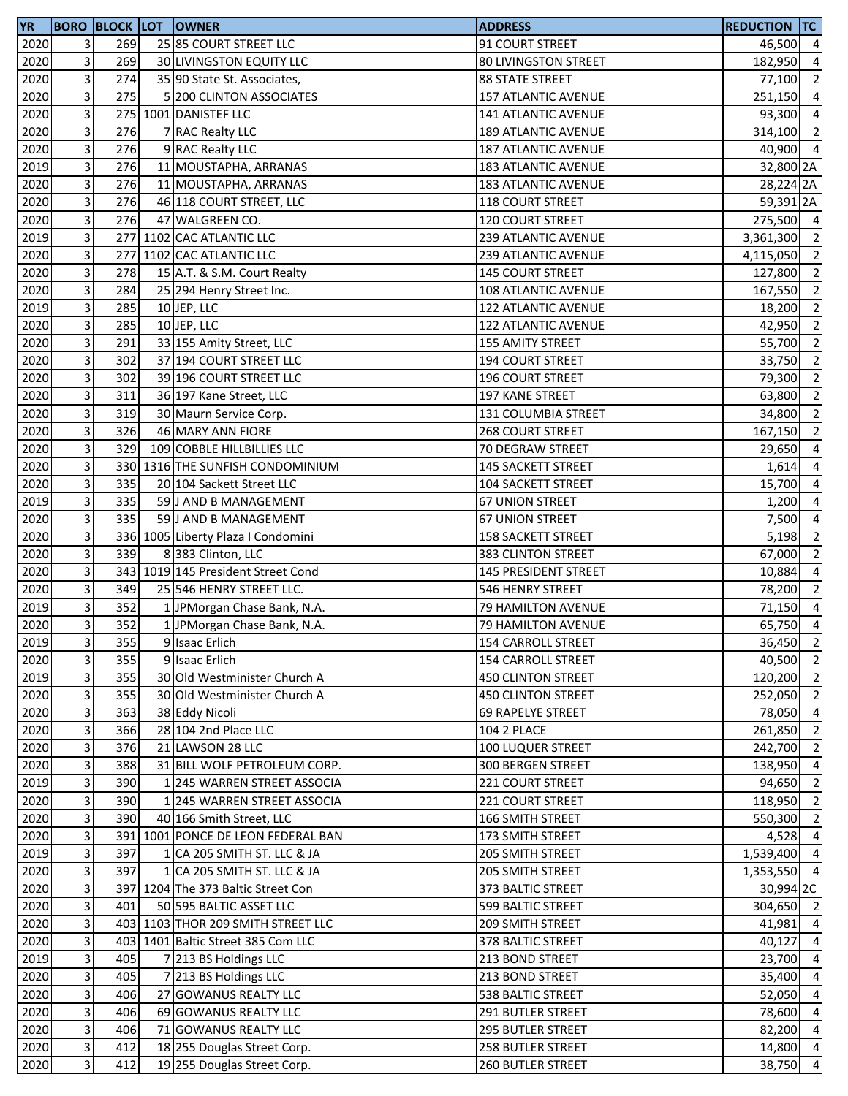| <b>YR</b> |                         |     | <b>BORO BLOCK LOT OWNER</b>        | <b>ADDRESS</b>              | REDUCTION TC         |                          |
|-----------|-------------------------|-----|------------------------------------|-----------------------------|----------------------|--------------------------|
| 2020      | 3 <sup>1</sup>          | 269 | 25 85 COURT STREET LLC             | 91 COURT STREET             | 46,500 4             |                          |
| 2020      | $\overline{3}$          | 269 | 30 LIVINGSTON EQUITY LLC           | <b>80 LIVINGSTON STREET</b> | 182,950              | $\overline{4}$           |
| 2020      | $\overline{\mathbf{3}}$ | 274 | 35 90 State St. Associates,        | <b>88 STATE STREET</b>      | 77,100               | $\overline{\mathbf{c}}$  |
| 2020      | 3                       | 275 | 5 200 CLINTON ASSOCIATES           | 157 ATLANTIC AVENUE         | 251,150              | $\overline{a}$           |
| 2020      | $\mathbf{3}$            |     | 275 1001 DANISTEF LLC              | 141 ATLANTIC AVENUE         | 93,300 4             |                          |
| 2020      | $\overline{3}$          | 276 | 7 RAC Realty LLC                   | 189 ATLANTIC AVENUE         | 314,100 2            |                          |
| 2020      | 3                       | 276 | 9 RAC Realty LLC                   | 187 ATLANTIC AVENUE         | 40,900               | $\overline{4}$           |
| 2019      | $\overline{\mathbf{3}}$ | 276 | 11 MOUSTAPHA, ARRANAS              | 183 ATLANTIC AVENUE         | 32,800 2A            |                          |
| 2020      | $\overline{3}$          | 276 | 11 MOUSTAPHA, ARRANAS              | 183 ATLANTIC AVENUE         | 28,224 2A            |                          |
| 2020      | $\overline{\mathbf{3}}$ | 276 | 46 118 COURT STREET, LLC           | 118 COURT STREET            | 59,391 <sub>2A</sub> |                          |
| 2020      | $\overline{3}$          | 276 | 47 WALGREEN CO.                    | 120 COURT STREET            | 275,500 4            |                          |
| 2019      | $\overline{\mathbf{3}}$ |     | 277 1102 CAC ATLANTIC LLC          | 239 ATLANTIC AVENUE         | 3,361,300 2          |                          |
| 2020      | $\mathbf{3}$            | 277 | 1102 CAC ATLANTIC LLC              | 239 ATLANTIC AVENUE         | 4,115,050 2          |                          |
| 2020      | $\mathbf{3}$            | 278 | 15 A.T. & S.M. Court Realty        | <b>145 COURT STREET</b>     | 127,800 2            |                          |
| 2020      | $\overline{\mathbf{3}}$ | 284 | 25 294 Henry Street Inc.           | 108 ATLANTIC AVENUE         | 167,550              | $\overline{\mathbf{c}}$  |
| 2019      | $\overline{3}$          | 285 | 10 JEP, LLC                        | 122 ATLANTIC AVENUE         | 18,200               | $\overline{\phantom{a}}$ |
| 2020      | $\overline{3}$          | 285 | 10 JEP, LLC                        | 122 ATLANTIC AVENUE         | 42,950               | $\overline{2}$           |
| 2020      | $\mathbf{3}$            | 291 | 33 155 Amity Street, LLC           | 155 AMITY STREET            | 55,700               | $\overline{2}$           |
| 2020      | 3                       | 302 | 37 194 COURT STREET LLC            | 194 COURT STREET            | 33,750               | $\overline{\mathbf{c}}$  |
| 2020      | $\overline{\mathbf{3}}$ | 302 | 39 196 COURT STREET LLC            | 196 COURT STREET            | 79,300               | $\overline{\mathbf{c}}$  |
| 2020      | 3                       | 311 | 36 197 Kane Street, LLC            | 197 KANE STREET             | 63,800               | $\overline{2}$           |
| 2020      | $\mathbf{3}$            | 319 | 30 Maurn Service Corp.             | 131 COLUMBIA STREET         | 34,800 2             |                          |
| 2020      | $\overline{3}$          | 326 | 46 MARY ANN FIORE                  | <b>268 COURT STREET</b>     | 167,150              | $\overline{2}$           |
| 2020      | 3                       | 329 | 109 COBBLE HILLBILLIES LLC         | 70 DEGRAW STREET            | 29,650               | $\overline{a}$           |
| 2020      | $\overline{\mathbf{3}}$ |     | 330 1316 THE SUNFISH CONDOMINIUM   | <b>145 SACKETT STREET</b>   | 1,614                | $\overline{a}$           |
| 2020      | $\mathbf{3}$            | 335 | 20 104 Sackett Street LLC          | 104 SACKETT STREET          | 15,700               | $\overline{a}$           |
| 2019      | $\overline{3}$          | 335 | 59 J AND B MANAGEMENT              | <b>67 UNION STREET</b>      | 1,200                | $\overline{a}$           |
| 2020      | $\overline{\mathbf{3}}$ | 335 | 59 J AND B MANAGEMENT              | <b>67 UNION STREET</b>      | 7,500                | $\overline{a}$           |
| 2020      | 3                       |     | 336 1005 Liberty Plaza I Condomini | <b>158 SACKETT STREET</b>   | 5,198                | $\overline{2}$           |
| 2020      | $\mathbf{3}$            | 339 | 8 383 Clinton, LLC                 | 383 CLINTON STREET          | 67,000               | $\overline{2}$           |
| 2020      | 3                       |     | 343 1019 145 President Street Cond | 145 PRESIDENT STREET        | 10,884               | $\overline{a}$           |
| 2020      | 3                       | 349 | 25 546 HENRY STREET LLC.           | 546 HENRY STREET            | 78,200               | $\overline{2}$           |
| 2019      | $\overline{3}$          | 352 | 1 JPMorgan Chase Bank, N.A.        | 79 HAMILTON AVENUE          | 71,150               | $\overline{4}$           |
| 2020      | $\overline{3}$          | 352 | 1 JPMorgan Chase Bank, N.A.        | 79 HAMILTON AVENUE          | 65,750 4             |                          |
| 2019      | $\overline{\mathbf{3}}$ | 355 | 9 Isaac Erlich                     | 154 CARROLL STREET          | 36,450 2             |                          |
| 2020      | $\overline{\mathbf{3}}$ | 355 | 9 Isaac Erlich                     | 154 CARROLL STREET          | 40,500               | $\overline{\mathbf{2}}$  |
| 2019      | $\overline{3}$          | 355 | 30 Old Westminister Church A       | <b>450 CLINTON STREET</b>   | 120,200              | $\overline{2}$           |
| 2020      | 3                       | 355 | 30 Old Westminister Church A       | <b>450 CLINTON STREET</b>   | 252,050 2            |                          |
| 2020      | $\mathbf{3}$            | 363 | 38 Eddy Nicoli                     | <b>69 RAPELYE STREET</b>    | 78,050 4             |                          |
| 2020      | $\overline{3}$          | 366 | 28 104 2nd Place LLC               | <b>104 2 PLACE</b>          | 261,850              | $\overline{2}$           |
| 2020      | $\overline{3}$          | 376 | 21 LAWSON 28 LLC                   | 100 LUQUER STREET           | 242,700 2            |                          |
| 2020      | $\overline{3}$          | 388 | 31 BILL WOLF PETROLEUM CORP.       | 300 BERGEN STREET           | 138,950              | $\overline{a}$           |
| 2019      | $\overline{3}$          | 390 | 1 245 WARREN STREET ASSOCIA        | 221 COURT STREET            | 94,650               | $\overline{2}$           |
| 2020      | $\overline{\mathbf{3}}$ | 390 | 1 245 WARREN STREET ASSOCIA        | 221 COURT STREET            | 118,950              | $\overline{2}$           |
| 2020      | 3                       | 390 | 40 166 Smith Street, LLC           | 166 SMITH STREET            | 550,300              | $\overline{2}$           |
| 2020      | 3                       |     | 391 1001 PONCE DE LEON FEDERAL BAN | 173 SMITH STREET            | 4,528                | $\overline{4}$           |
| 2019      | $\mathbf{3}$            | 397 | 1 CA 205 SMITH ST. LLC & JA        | 205 SMITH STREET            | 1,539,400 4          |                          |
| 2020      | $\overline{3}$          | 397 | 1 CA 205 SMITH ST. LLC & JA        | 205 SMITH STREET            | 1,353,550 4          |                          |
| 2020      | 3                       |     | 397 1204 The 373 Baltic Street Con | 373 BALTIC STREET           | 30,994 2C            |                          |
| 2020      | $\overline{3}$          | 401 | 50 595 BALTIC ASSET LLC            | 599 BALTIC STREET           | 304,650 2            |                          |
| 2020      | $\overline{3}$          |     | 403 1103 THOR 209 SMITH STREET LLC | 209 SMITH STREET            | 41,981               | $\overline{a}$           |
| 2020      | $\overline{3}$          | 403 | 1401 Baltic Street 385 Com LLC     | 378 BALTIC STREET           | 40,127               | $\overline{a}$           |
| 2019      | $\overline{\mathbf{3}}$ | 405 | 7 213 BS Holdings LLC              | 213 BOND STREET             | 23,700               | $\overline{4}$           |
| 2020      | 3                       | 405 | 7 213 BS Holdings LLC              | 213 BOND STREET             | 35,400               | $\overline{a}$           |
| 2020      | $\mathbf{3}$            | 406 | 27 GOWANUS REALTY LLC              | 538 BALTIC STREET           | 52,050               | $\overline{4}$           |
| 2020      | $\overline{3}$          | 406 | 69 GOWANUS REALTY LLC              | <b>291 BUTLER STREET</b>    | 78,600 4             |                          |
| 2020      | 3                       | 406 | 71 GOWANUS REALTY LLC              | 295 BUTLER STREET           | 82,200 4             |                          |
| 2020      | $\overline{\mathbf{3}}$ | 412 | 18 255 Douglas Street Corp.        | 258 BUTLER STREET           | 14,800               | $\overline{4}$           |
| 2020      | $\overline{3}$          | 412 | 19 255 Douglas Street Corp.        | <b>260 BUTLER STREET</b>    | 38,750               | $\overline{a}$           |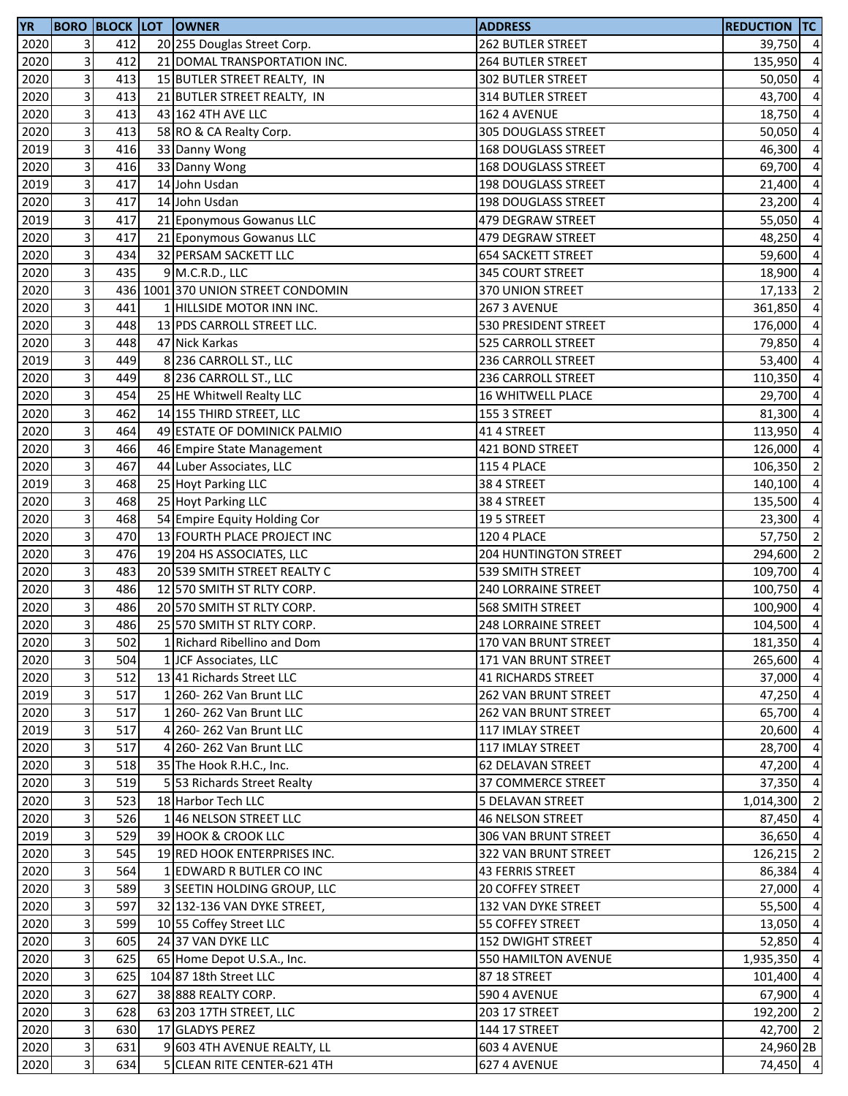| <b>YR</b> |                         | <b>BORO BLOCK LOT</b> | <b>OWNER</b>                       | <b>ADDRESS</b>             | <b>REDUCTION TC</b> |                |
|-----------|-------------------------|-----------------------|------------------------------------|----------------------------|---------------------|----------------|
| 2020      | 3                       | 412                   | 20 255 Douglas Street Corp.        | 262 BUTLER STREET          | 39,750 4            |                |
| 2020      | 3                       | 412                   | 21 DOMAL TRANSPORTATION INC.       | 264 BUTLER STREET          | 135,950 4           |                |
| 2020      | 3                       | 413                   | 15 BUTLER STREET REALTY, IN        | 302 BUTLER STREET          | 50,050              | $\overline{4}$ |
| 2020      | 3                       | 413                   | 21 BUTLER STREET REALTY, IN        | 314 BUTLER STREET          | 43,700 4            |                |
| 2020      | $\overline{\mathbf{3}}$ | 413                   | 43 162 4TH AVE LLC                 | 162 4 AVENUE               | 18,750              | $\overline{4}$ |
| 2020      | 3                       | 413                   | 58 RO & CA Realty Corp.            | 305 DOUGLASS STREET        | 50,050              | $\overline{a}$ |
| 2019      | 3                       | 416                   | 33 Danny Wong                      | <b>168 DOUGLASS STREET</b> | 46,300              | $\overline{a}$ |
| 2020      | $\mathbf{3}$            | 416                   | 33 Danny Wong                      | 168 DOUGLASS STREET        | 69,700              | $\overline{a}$ |
| 2019      | υ                       | 417                   | 14 John Usdan                      | 198 DOUGLASS STREET        | 21,400              | $\overline{a}$ |
| 2020      | $\overline{\mathbf{3}}$ | 417                   | 14 John Usdan                      | <b>198 DOUGLASS STREET</b> | 23,200              | $\overline{a}$ |
| 2019      | 3                       | 417                   | 21 Eponymous Gowanus LLC           | 479 DEGRAW STREET          | 55,050              | $\overline{a}$ |
|           |                         | 417                   |                                    |                            |                     |                |
| 2020      | 3                       |                       | 21 Eponymous Gowanus LLC           | 479 DEGRAW STREET          | 48,250              | $\overline{a}$ |
| 2020      | $\overline{\mathbf{3}}$ | 434                   | 32 PERSAM SACKETT LLC              | <b>654 SACKETT STREET</b>  | 59,600              | $\overline{a}$ |
| 2020      | $\mathbf{3}$            | 435                   | 9 M.C.R.D., LLC                    | 345 COURT STREET           | 18,900              | $\overline{a}$ |
| 2020      | 3                       |                       | 436 1001 370 UNION STREET CONDOMIN | 370 UNION STREET           | 17,133              | $\overline{2}$ |
| 2020      | $\overline{\mathbf{3}}$ | 441                   | 1 HILLSIDE MOTOR INN INC.          | 267 3 AVENUE               | 361,850             | $\overline{a}$ |
| 2020      | $\overline{\mathbf{3}}$ | 448                   | 13 PDS CARROLL STREET LLC.         | 530 PRESIDENT STREET       | 176,000             | $\overline{a}$ |
| 2020      | $\overline{\mathbf{3}}$ | 448                   | 47 Nick Karkas                     | 525 CARROLL STREET         | 79,850              | $\overline{a}$ |
| 2019      | 3                       | 449                   | 8 236 CARROLL ST., LLC             | 236 CARROLL STREET         | 53,400              | $\overline{a}$ |
| 2020      | 3                       | 449                   | 8 236 CARROLL ST., LLC             | 236 CARROLL STREET         | 110,350             | $\overline{a}$ |
| 2020      | 3                       | 454                   | 25 HE Whitwell Realty LLC          | 16 WHITWELL PLACE          | 29,700 4            |                |
| 2020      | $\overline{\mathbf{3}}$ | 462                   | 14 155 THIRD STREET, LLC           | 155 3 STREET               | 81,300 4            |                |
| 2020      | 3                       | 464                   | 49 ESTATE OF DOMINICK PALMIO       | 41 4 STREET                | 113,950             | $\overline{4}$ |
| 2020      | 3                       | 466                   | 46 Empire State Management         | 421 BOND STREET            | 126,000             | $\overline{a}$ |
| 2020      | $\mathbf{3}$            | 467                   | 44 Luber Associates, LLC           | <b>115 4 PLACE</b>         | 106,350             | $\overline{2}$ |
| 2019      | $\overline{\mathbf{3}}$ | 468                   | 25 Hoyt Parking LLC                | 38 4 STREET                | 140,100             | $\overline{a}$ |
| 2020      | 3                       | 468                   | 25 Hoyt Parking LLC                | 38 4 STREET                | 135,500             | $\overline{a}$ |
| 2020      | 3                       | 468                   | 54 Empire Equity Holding Cor       | 195 STREET                 | 23,300              | $\overline{a}$ |
| 2020      | 3                       | 470                   | 13 FOURTH PLACE PROJECT INC        | <b>120 4 PLACE</b>         | 57,750 2            |                |
| 2020      | $\overline{\mathbf{3}}$ | 476                   | 19 204 HS ASSOCIATES, LLC          | 204 HUNTINGTON STREET      | 294,600             | $\overline{2}$ |
| 2020      | 3                       | 483                   | 20 539 SMITH STREET REALTY C       | 539 SMITH STREET           | 109,700             | $\overline{a}$ |
| 2020      | $\mathbf{3}$            | 486                   | 12 570 SMITH ST RLTY CORP.         | 240 LORRAINE STREET        | 100,750             | $\overline{a}$ |
| 2020      | $\mathbf{3}$            | 486                   | 20 570 SMITH ST RLTY CORP.         | 568 SMITH STREET           | 100,900 4           |                |
| 2020      | μ                       | 486                   | 25 570 SMITH ST RLTY CORP.         | 248 LORRAINE STREET        | 104,500 4           |                |
|           | $\overline{\mathbf{3}}$ | 502                   | 1 Richard Ribellino and Dom        | 170 VAN BRUNT STREET       |                     |                |
| 2020      | $\overline{\mathbf{3}}$ |                       |                                    |                            | 181,350 4           |                |
| 2020      |                         | 504                   | 1 JCF Associates, LLC              | 171 VAN BRUNT STREET       | 265,600 4           |                |
| 2020      | $\mathbf{3}$            | 512                   | 13 41 Richards Street LLC          | <b>41 RICHARDS STREET</b>  | 37,000              | $\overline{4}$ |
| 2019      | $\mathbf{3}$            | 517                   | 1 260-262 Van Brunt LLC            | 262 VAN BRUNT STREET       | 47,250 4            |                |
| 2020      | $\vert$                 | 517                   | 1 260-262 Van Brunt LLC            | 262 VAN BRUNT STREET       | 65,700              | $\overline{4}$ |
| 2019      | $\overline{3}$          | 517                   | 4 260-262 Van Brunt LLC            | 117 IMLAY STREET           | 20,600              | $\overline{4}$ |
| 2020      | $\overline{3}$          | 517                   | 260-262 Van Brunt LLC              | 117 IMLAY STREET           | 28,700              | $\overline{a}$ |
| 2020      | $\mathbf{3}$            | 518                   | 35 The Hook R.H.C., Inc.           | 62 DELAVAN STREET          | 47,200              | $\overline{a}$ |
| 2020      | $\mathsf{3}$            | 519                   | 5 53 Richards Street Realty        | 37 COMMERCE STREET         | 37,350              | $\overline{4}$ |
| 2020      | $\overline{\mathbf{3}}$ | 523                   | 18 Harbor Tech LLC                 | 5 DELAVAN STREET           | 1,014,300 2         |                |
| 2020      | 3                       | 526                   | 146 NELSON STREET LLC              | 46 NELSON STREET           | 87,450              | $\overline{4}$ |
| 2019      | $\mathbf{3}$            | 529                   | 39 HOOK & CROOK LLC                | 306 VAN BRUNT STREET       | 36,650 4            |                |
| 2020      | $\mathsf{3}$            | 545                   | 19 RED HOOK ENTERPRISES INC.       | 322 VAN BRUNT STREET       | 126,215 2           |                |
| 2020      | $\mathbf{3}$            | 564                   | 1 EDWARD R BUTLER CO INC           | <b>43 FERRIS STREET</b>    | 86,384              | $\overline{4}$ |
| 2020      | $\overline{3}$          | 589                   | 3 SEETIN HOLDING GROUP, LLC        | <b>20 COFFEY STREET</b>    | 27,000              | $\overline{a}$ |
| 2020      | $\overline{3}$          | 597                   | 32 132-136 VAN DYKE STREET,        | 132 VAN DYKE STREET        | 55,500 4            |                |
| 2020      | $\mathsf{a}$            | 599                   | 10 55 Coffey Street LLC            | 55 COFFEY STREET           | 13,050              | $\overline{4}$ |
| 2020      | $\mathbf{3}$            | 605                   | 24 37 VAN DYKE LLC                 | <b>152 DWIGHT STREET</b>   | 52,850              | $\overline{4}$ |
| 2020      | $\overline{\mathbf{3}}$ | 625                   | 65 Home Depot U.S.A., Inc.         | 550 HAMILTON AVENUE        | 1,935,350           | $\overline{4}$ |
| 2020      | $\mathbf{3}$            | 625                   | 104 87 18th Street LLC             | 87 18 STREET               | 101,400 4           |                |
| 2020      | $\mathsf{a}$            | 627                   | 38 888 REALTY CORP.                | <b>590 4 AVENUE</b>        | 67,900 4            |                |
| 2020      | $\mathsf 3$             | 628                   | 63 203 17TH STREET, LLC            | 203 17 STREET              | 192,200 2           |                |
| 2020      | $\overline{3}$          | 630                   | 17 GLADYS PEREZ                    | 144 17 STREET              | 42,700 2            |                |
| 2020      | $\overline{3}$          | 631                   | 9 603 4TH AVENUE REALTY, LL        | 603 4 AVENUE               | 24,960 2B           |                |
| 2020      | $\overline{3}$          | 634                   | 5 CLEAN RITE CENTER-621 4TH        | 627 4 AVENUE               | 74,450 4            |                |
|           |                         |                       |                                    |                            |                     |                |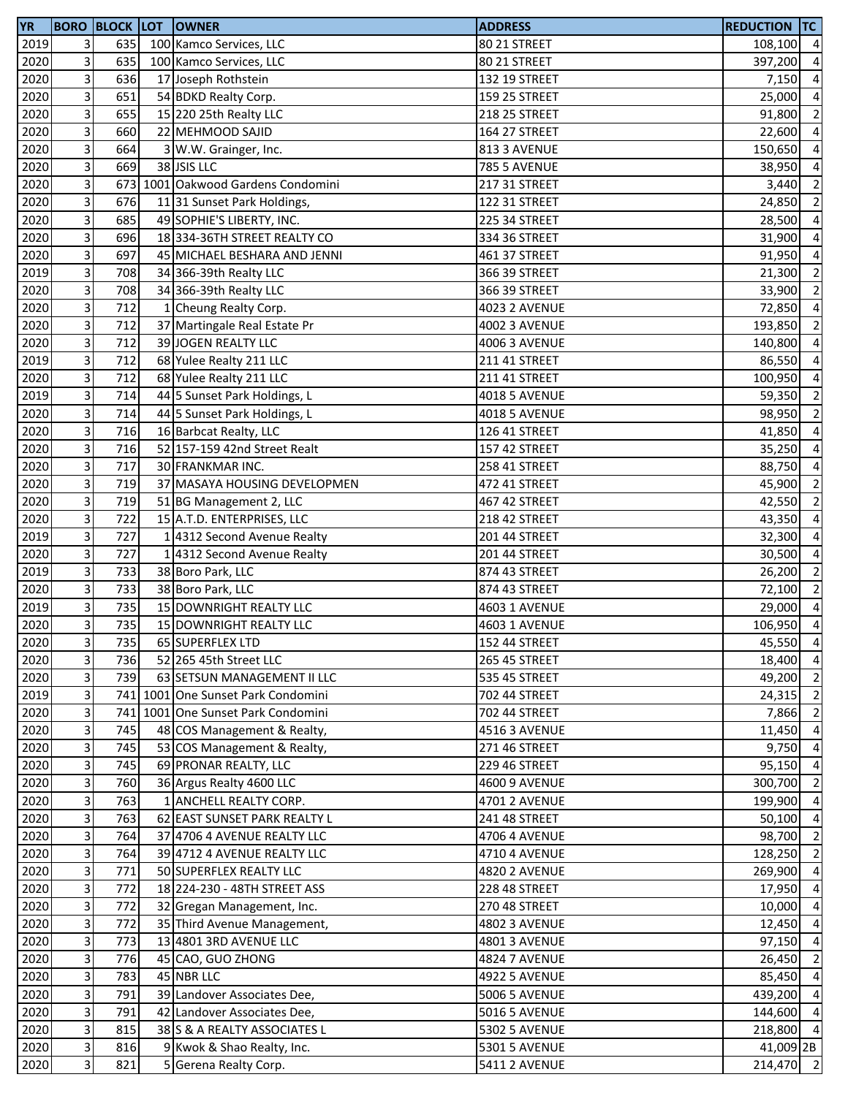| <b>YR</b> |                         |     | <b>BORO BLOCK LOT OWNER</b>        | <b>ADDRESS</b>       | <b>REDUCTION TC</b> |                |
|-----------|-------------------------|-----|------------------------------------|----------------------|---------------------|----------------|
| 2019      | 3                       | 635 | 100 Kamco Services, LLC            | 80 21 STREET         | 108,100 4           |                |
| 2020      | 3                       | 635 | 100 Kamco Services, LLC            | 80 21 STREET         | 397,200             | $\overline{a}$ |
| 2020      | $\overline{\mathbf{3}}$ | 636 | 17 Joseph Rothstein                | 132 19 STREET        | 7,150               | $\overline{a}$ |
| 2020      | 3                       | 651 | 54 BDKD Realty Corp.               | 159 25 STREET        | 25,000 4            |                |
| 2020      | 3                       | 655 | 15 220 25th Realty LLC             | 218 25 STREET        | 91,800              | $\overline{2}$ |
| 2020      | 3                       | 660 | 22 MEHMOOD SAJID                   | 164 27 STREET        | 22,600              | $\overline{a}$ |
| 2020      | $\vert$                 | 664 | W.W. Grainger, Inc.                | 813 3 AVENUE         | 150,650             | $\overline{4}$ |
| 2020      | $\mathbf{3}$            | 669 | 38 JSIS LLC                        | <b>785 5 AVENUE</b>  | 38,950              | $\overline{a}$ |
| 2020      | υ                       |     | 673 1001 Oakwood Gardens Condomini | 217 31 STREET        | 3,440               | $\overline{2}$ |
| 2020      | $\overline{\mathbf{3}}$ | 676 | 11 31 Sunset Park Holdings,        | 122 31 STREET        | 24,850              | $\overline{2}$ |
| 2020      | 3                       | 685 | 49 SOPHIE'S LIBERTY, INC.          | 225 34 STREET        | 28,500              | $\overline{a}$ |
| 2020      | $\mathbf{3}$            | 696 | 18 334-36TH STREET REALTY CO       | 334 36 STREET        | 31,900              | $\overline{a}$ |
| 2020      | $\overline{\mathbf{3}}$ | 697 | 45 MICHAEL BESHARA AND JENNI       | 461 37 STREET        | 91,950              | $\overline{4}$ |
| 2019      | $\mathbf{3}$            | 708 | 34 366-39th Realty LLC             | 366 39 STREET        | 21,300              | $\overline{2}$ |
| 2020      | $\overline{\mathbf{3}}$ | 708 | 34 366-39th Realty LLC             | 366 39 STREET        | 33,900 2            |                |
| 2020      | $\overline{3}$          | 712 | 1 Cheung Realty Corp.              | <b>4023 2 AVENUE</b> | 72,850              | $\overline{a}$ |
| 2020      | $\overline{\mathbf{3}}$ | 712 | 37 Martingale Real Estate Pr       | <b>4002 3 AVENUE</b> | 193,850             | $\overline{2}$ |
| 2020      | $\overline{\mathbf{3}}$ | 712 | 39 JOGEN REALTY LLC                | <b>4006 3 AVENUE</b> | 140,800             | $\overline{a}$ |
| 2019      | $\overline{\mathbf{3}}$ | 712 | 68 Yulee Realty 211 LLC            | 211 41 STREET        | 86,550              | $\overline{a}$ |
| 2020      | 3                       | 712 | 68 Yulee Realty 211 LLC            | 211 41 STREET        | 100,950             | $\overline{a}$ |
| 2019      | $\mathbf{3}$            | 714 | 44 5 Sunset Park Holdings, L       | <b>4018 5 AVENUE</b> | 59,350 2            |                |
| 2020      | $\overline{\mathbf{3}}$ | 714 | 44 5 Sunset Park Holdings, L       | <b>4018 5 AVENUE</b> | 98,950              | $\overline{2}$ |
| 2020      | $\mathsf 3$             | 716 | 16 Barbcat Realty, LLC             | 126 41 STREET        | 41,850              | $\overline{4}$ |
| 2020      | $\overline{3}$          | 716 | 52 157-159 42nd Street Realt       | 157 42 STREET        | 35,250              | $\overline{a}$ |
| 2020      | $\mathbf{3}$            | 717 | 30 FRANKMAR INC.                   | 258 41 STREET        | 88,750              | $\overline{4}$ |
| 2020      | $\overline{3}$          | 719 | 37 MASAYA HOUSING DEVELOPMEN       | 472 41 STREET        | 45,900              | $\overline{2}$ |
| 2020      | 3                       | 719 | 51 BG Management 2, LLC            | 467 42 STREET        | 42,550              | $\overline{2}$ |
| 2020      | $\overline{\mathbf{3}}$ | 722 | 15 A.T.D. ENTERPRISES, LLC         | 218 42 STREET        | 43,350              | $\overline{a}$ |
| 2019      | 3                       | 727 | 1 4312 Second Avenue Realty        | 201 44 STREET        | $32,300$ 4          |                |
| 2020      | $\overline{\mathbf{3}}$ | 727 | 1 4312 Second Avenue Realty        | 201 44 STREET        | 30,500              | $\overline{4}$ |
| 2019      | $\overline{\mathbf{3}}$ | 733 | 38 Boro Park, LLC                  | 874 43 STREET        | 26,200              | $\overline{2}$ |
| 2020      | $\overline{3}$          | 733 | 38 Boro Park, LLC                  | 874 43 STREET        | 72,100              | $\overline{2}$ |
| 2019      | $\mathbf{3}$            | 735 | 15 DOWNRIGHT REALTY LLC            | 4603 1 AVENUE        | 29,000 4            |                |
| 2020      | $\overline{\mathbf{3}}$ | 735 | 15 DOWNRIGHT REALTY LLC            | 4603 1 AVENUE        | 106,950             | $\overline{4}$ |
| 2020      | 3                       | 735 | 65 SUPERFLEX LTD                   | 152 44 STREET        | 45,550 4            |                |
| 2020      | $\overline{\mathbf{3}}$ | 736 | 52 265 45th Street LLC             | 265 45 STREET        | 18,400 4            |                |
| 2020      | $\mathbf{3}$            | 739 | 63 SETSUN MANAGEMENT II LLC        | 535 45 STREET        | 49,200 2            |                |
| 2019      | $\mathbf{3}$            |     | 741 1001 One Sunset Park Condomini | 702 44 STREET        | 24,315 2            |                |
| 2020      | 3                       |     | 741 1001 One Sunset Park Condomini | 702 44 STREET        | 7,866               | $\overline{2}$ |
| 2020      | $\overline{\mathbf{3}}$ | 745 | 48 COS Management & Realty,        | 4516 3 AVENUE        | 11,450              | $\overline{4}$ |
| 2020      | $\overline{3}$          | 745 | 53 COS Management & Realty,        | 271 46 STREET        | 9,750               | $\overline{a}$ |
| 2020      | $\mathbf{3}$            | 745 | 69 PRONAR REALTY, LLC              | 229 46 STREET        | 95,150              | $\overline{a}$ |
| 2020      | $\overline{\mathbf{3}}$ | 760 | 36 Argus Realty 4600 LLC           | <b>4600 9 AVENUE</b> | 300,700             | $\overline{2}$ |
| 2020      | $\overline{\mathbf{3}}$ | 763 | 1 ANCHELL REALTY CORP.             | 4701 2 AVENUE        | 199,900             | $\overline{4}$ |
| 2020      | 3                       | 763 | 62 EAST SUNSET PARK REALTY L       | 241 48 STREET        | 50,100              | $\overline{a}$ |
| 2020      | $\mathbf{3}$            | 764 | 37 4706 4 AVENUE REALTY LLC        | <b>4706 4 AVENUE</b> | 98,700 2            |                |
| 2020      | $\overline{\mathbf{3}}$ | 764 | 39 4712 4 AVENUE REALTY LLC        | 4710 4 AVENUE        | 128,250             | $\overline{2}$ |
| 2020      | $\mathsf 3$             | 771 | 50 SUPERFLEX REALTY LLC            | <b>4820 2 AVENUE</b> | 269,900             | $\overline{4}$ |
| 2020      | $\overline{3}$          | 772 | 18 224-230 - 48TH STREET ASS       | 228 48 STREET        | 17,950              | $\overline{a}$ |
| 2020      | $\mathbf{3}$            | 772 | 32 Gregan Management, Inc.         | 270 48 STREET        | 10,000              | $\overline{a}$ |
| 2020      | $\mathsf{a}$            | 772 | 35 Third Avenue Management,        | <b>4802 3 AVENUE</b> | 12,450              | $\overline{a}$ |
| 2020      | $\mathbf{3}$            | 773 | 13 4801 3RD AVENUE LLC             | <b>4801 3 AVENUE</b> | 97,150              | $\overline{4}$ |
| 2020      | $\mathbf{3}$            | 776 | 45 CAO, GUO ZHONG                  | <b>4824 7 AVENUE</b> | 26,450              | $\overline{2}$ |
| 2020      | $\mathbf{3}$            | 783 | 45 NBR LLC                         | <b>4922 5 AVENUE</b> | 85,450 4            |                |
| 2020      | 3                       | 791 | 39 Landover Associates Dee,        | <b>5006 5 AVENUE</b> | 439,200             | $\overline{4}$ |
| 2020      | $\mathsf 3$             | 791 | 42 Landover Associates Dee,        | <b>5016 5 AVENUE</b> | 144,600 4           |                |
| 2020      | $\overline{3}$          | 815 | 38 S & A REALTY ASSOCIATES L       | <b>5302 5 AVENUE</b> | 218,800 4           |                |
| 2020      | $\overline{3}$          | 816 | 9 Kwok & Shao Realty, Inc.         | 5301 5 AVENUE        | 41,009 2B           |                |
| 2020      | $\overline{3}$          | 821 | 5 Gerena Realty Corp.              | <b>5411 2 AVENUE</b> | 214,470 2           |                |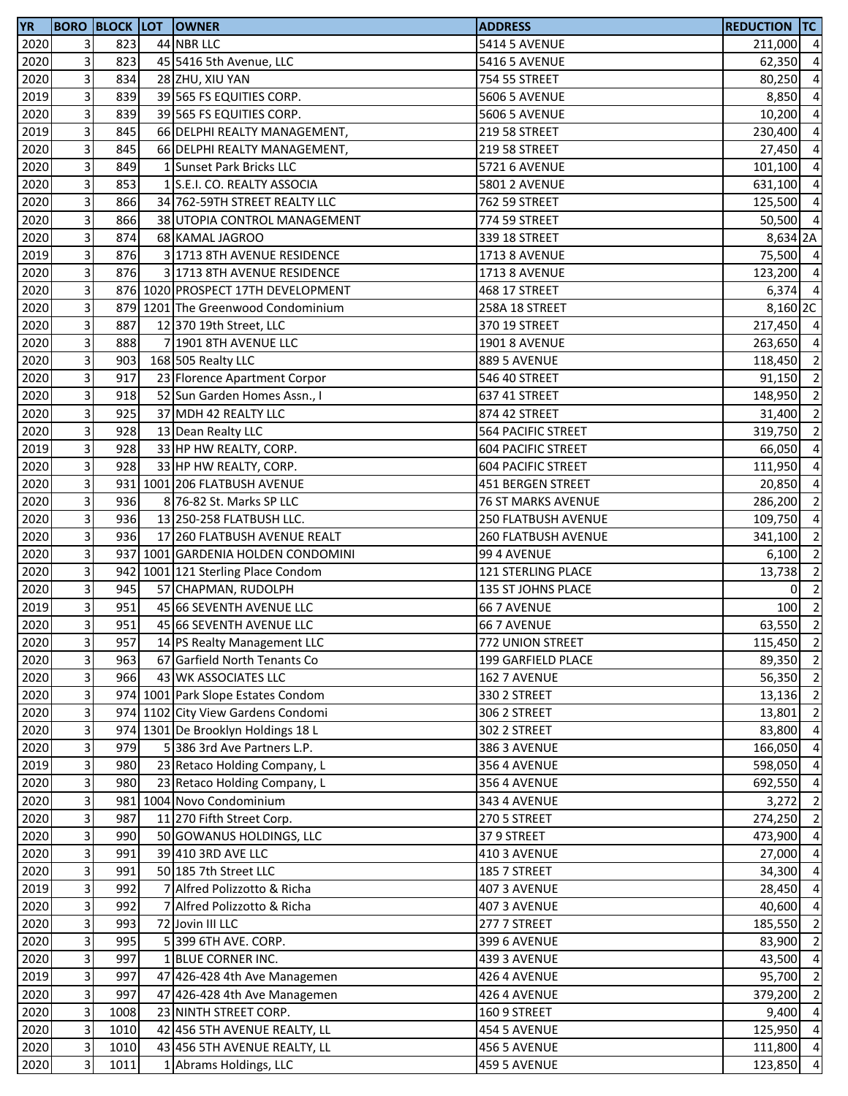| <b>YR</b> |                              | <b>BORO BLOCK LOT</b> | <b>OWNER</b>                                         | <b>ADDRESS</b>                    | REDUCTION TC |                         |
|-----------|------------------------------|-----------------------|------------------------------------------------------|-----------------------------------|--------------|-------------------------|
| 2020      | $\overline{\mathbf{3}}$      | 823                   | 44 NBR LLC                                           | <b>5414 5 AVENUE</b>              | 211,000 4    |                         |
| 2020      | 3                            | 823                   | 45 5416 5th Avenue, LLC                              | <b>5416 5 AVENUE</b>              | 62,350 4     |                         |
| 2020      | 3                            | 834                   | 28 ZHU, XIU YAN                                      | 754 55 STREET                     | 80,250       | $\overline{a}$          |
| 2019      | $\mathbf{3}$                 | 839                   | 39 565 FS EQUITIES CORP.                             | <b>5606 5 AVENUE</b>              | 8,850 4      |                         |
| 2020      | $\overline{3}$               | 839                   | 39 565 FS EQUITIES CORP.                             | <b>5606 5 AVENUE</b>              | $10,200$ 4   |                         |
| 2019      | 3                            | 845                   | 66 DELPHI REALTY MANAGEMENT,                         | 219 58 STREET                     | 230,400      | $\overline{4}$          |
| 2020      | $\overline{3}$               | 845                   | 66 DELPHI REALTY MANAGEMENT,                         | 219 58 STREET                     | 27,450       | $\overline{a}$          |
| 2020      | $\overline{3}$               | 849                   | 1 Sunset Park Bricks LLC                             | 5721 6 AVENUE                     | 101,100      | $\overline{4}$          |
| 2020      | $\overline{\mathbf{3}}$      | 853                   | 1 S.E.I. CO. REALTY ASSOCIA                          | <b>5801 2 AVENUE</b>              | 631,100      | $\overline{a}$          |
| 2020      | $\overline{3}$               | 866                   | 34 762-59TH STREET REALTY LLC                        | 762 59 STREET                     | 125,500      | $\overline{4}$          |
| 2020      | $\overline{\mathbf{3}}$      | 866                   | 38 UTOPIA CONTROL MANAGEMENT                         | 774 59 STREET                     | 50,500 4     |                         |
| 2020      | $\mathbf{3}$                 | 874                   | 68 KAMAL JAGROO                                      | 339 18 STREET                     | 8,634 2A     |                         |
| 2019      | $\overline{\mathbf{3}}$      | 876                   | 3 1713 8TH AVENUE RESIDENCE                          | <b>1713 8 AVENUE</b>              | 75,500 4     |                         |
| 2020      | $\overline{3}$               | 876                   | 3 1713 8TH AVENUE RESIDENCE                          | <b>1713 8 AVENUE</b>              | 123,200 4    |                         |
| 2020      | $\vert$ 3                    |                       | 876 1020 PROSPECT 17TH DEVELOPMENT                   | 468 17 STREET                     | $6,374$ 4    |                         |
| 2020      | $\overline{3}$               |                       | 879 1201 The Greenwood Condominium                   | 258A 18 STREET                    | 8,160 2C     |                         |
| 2020      | $\overline{3}$               | 887                   | 12 370 19th Street, LLC                              | 370 19 STREET                     | 217,450 4    |                         |
| 2020      | $\overline{3}$               | 888                   | 7 1901 8TH AVENUE LLC                                | <b>1901 8 AVENUE</b>              | 263,650 4    |                         |
| 2020      | $\overline{\mathbf{3}}$      | 903                   | 168 505 Realty LLC                                   | 889 5 AVENUE                      | 118,450 2    |                         |
| 2020      | $\overline{\mathbf{3}}$      | 917                   | 23 Florence Apartment Corpor                         | 546 40 STREET                     | 91,150 2     |                         |
| 2020      | $\mathbf{3}$                 | 918                   | 52 Sun Garden Homes Assn., I                         | 637 41 STREET                     | 148,950 2    |                         |
| 2020      | $\overline{3}$               | 925                   | 37 MDH 42 REALTY LLC                                 | 874 42 STREET                     | 31,400 2     |                         |
| 2020      | 3                            | 928                   | 13 Dean Realty LLC                                   | 564 PACIFIC STREET                | 319,750 2    |                         |
| 2019      | $\overline{\mathbf{3}}$      | 928                   | 33 HP HW REALTY, CORP.                               | <b>604 PACIFIC STREET</b>         | 66,050       | $\overline{a}$          |
| 2020      | $\overline{3}$               | 928                   | 33 HP HW REALTY, CORP.                               | <b>604 PACIFIC STREET</b>         | 111,950      | $\overline{a}$          |
| 2020      | $\vert$ 3                    |                       | 931 1001 206 FLATBUSH AVENUE                         | 451 BERGEN STREET                 | 20,850       | $\overline{a}$          |
| 2020      | $\overline{\mathbf{3}}$      | 936                   | 8 76-82 St. Marks SP LLC                             | 76 ST MARKS AVENUE                | 286,200      | $\overline{\mathbf{c}}$ |
| 2020      | 3                            | 936                   | 13 250-258 FLATBUSH LLC.                             | 250 FLATBUSH AVENUE               | 109,750      | $\overline{a}$          |
| 2020      | $\mathbf{3}$                 | 936                   | 17 260 FLATBUSH AVENUE REALT                         | 260 FLATBUSH AVENUE               | 341,100 2    |                         |
| 2020      | $\overline{3}$               |                       | 937 1001 GARDENIA HOLDEN CONDOMINI                   | 99 4 AVENUE                       | $6,100$ 2    |                         |
| 2020      | 3                            |                       | 942 1001 121 Sterling Place Condom                   | 121 STERLING PLACE                | 13,738       | $\overline{\mathbf{c}}$ |
| 2020      | $\overline{3}$               | 945                   | 57 CHAPMAN, RUDOLPH                                  |                                   | 01           | $\overline{\mathbf{c}}$ |
| 2019      | $\overline{3}$               | 951                   | 45 66 SEVENTH AVENUE LLC                             | 135 ST JOHNS PLACE<br>66 7 AVENUE | 100          | $\overline{2}$          |
| 2020      | $\overline{3}$               | 951                   | 45 66 SEVENTH AVENUE LLC                             |                                   | 63,550       | $\overline{2}$          |
|           |                              |                       |                                                      | 66 7 AVENUE                       |              |                         |
| 2020      | $\overline{\mathbf{3}}$<br>3 | 957<br>963            | 14 PS Realty Management LLC                          | 772 UNION STREET                  | 115,450 2    |                         |
| 2020      |                              |                       | 67 Garfield North Tenants Co<br>43 WK ASSOCIATES LLC | 199 GARFIELD PLACE                | 89,350 2     |                         |
| 2020      | $\mathbf{3}$                 | 966                   |                                                      | 162 7 AVENUE                      | 56,350 2     |                         |
| 2020      | $\overline{3}$               |                       | 974 1001 Park Slope Estates Condom                   | 330 2 STREET                      | 13,136 2     |                         |
| 2020      | $\overline{3}$               |                       | 974 1102 City View Gardens Condomi                   | 306 2 STREET                      | 13,801       | $\overline{2}$          |
| 2020      | $\overline{3}$               |                       | 974 1301 De Brooklyn Holdings 18 L                   | 302 2 STREET                      | 83,800       | $\overline{4}$          |
| 2020      | $\overline{3}$               | 979                   | 5 386 3rd Ave Partners L.P.                          | 386 3 AVENUE                      | 166,050      | $\overline{a}$          |
| 2019      | $\mathbf{3}$                 | 980                   | 23 Retaco Holding Company, L                         | <b>356 4 AVENUE</b>               | 598,050      | $\overline{a}$          |
| 2020      | $\overline{\mathbf{3}}$      | 980                   | 23 Retaco Holding Company, L                         | 356 4 AVENUE                      | 692,550      | $\overline{a}$          |
| 2020      | $\overline{\mathbf{3}}$      |                       | 981 1004 Novo Condominium                            | 343 4 AVENUE                      | 3,272        | $\overline{2}$          |
| 2020      | 3                            | 987                   | 11 270 Fifth Street Corp.                            | 270 5 STREET                      | 274,250 2    |                         |
| 2020      | $\mathbf{3}$                 | 990                   | 50 GOWANUS HOLDINGS, LLC                             | 379 STREET                        | 473,900 4    |                         |
| 2020      | $\overline{3}$               | 991                   | 39 410 3RD AVE LLC                                   | 410 3 AVENUE                      | 27,000 4     |                         |
| 2020      | 3                            | 991                   | 50 185 7th Street LLC                                | 185 7 STREET                      | 34,300       | $\overline{4}$          |
| 2019      | $\overline{3}$               | 992                   | Alfred Polizzotto & Richa                            | 407 3 AVENUE                      | 28,450       | $\overline{4}$          |
| 2020      | $\overline{3}$               | 992                   | Alfred Polizzotto & Richa                            | 407 3 AVENUE                      | 40,600       | $\overline{a}$          |
| 2020      | $\overline{3}$               | 993                   | 72 Jovin III LLC                                     | 277 7 STREET                      | 185,550      | $\overline{2}$          |
| 2020      | $\mathbf{3}$                 | 995                   | 5 399 6TH AVE. CORP.                                 | 399 6 AVENUE                      | 83,900       | $\overline{2}$          |
| 2020      | $\overline{\mathbf{3}}$      | 997                   | 1 BLUE CORNER INC.                                   | 439 3 AVENUE                      | 43,500       | $\overline{a}$          |
| 2019      | $\mathbf{3}$                 | 997                   | 47 426-428 4th Ave Managemen                         | 426 4 AVENUE                      | 95,700       | $\overline{2}$          |
| 2020      | $\overline{3}$               | 997                   | 47 426-428 4th Ave Managemen                         | 426 4 AVENUE                      | 379,200      | $\overline{\mathbf{c}}$ |
| 2020      | 3                            | 1008                  | 23 NINTH STREET CORP.                                | 160 9 STREET                      | 9,400        | $\overline{4}$          |
| 2020      | 3                            | 1010                  | 42 456 5TH AVENUE REALTY, LL                         | 454 5 AVENUE                      | 125,950      | $\overline{4}$          |
| 2020      | $\mathbf{3}$                 | 1010                  | 43 456 5TH AVENUE REALTY, LL                         | 456 5 AVENUE                      | 111,800 4    |                         |
| 2020      | $\mathbf{3}$                 | 1011                  | 1 Abrams Holdings, LLC                               | 459 5 AVENUE                      | 123,850      | $\overline{4}$          |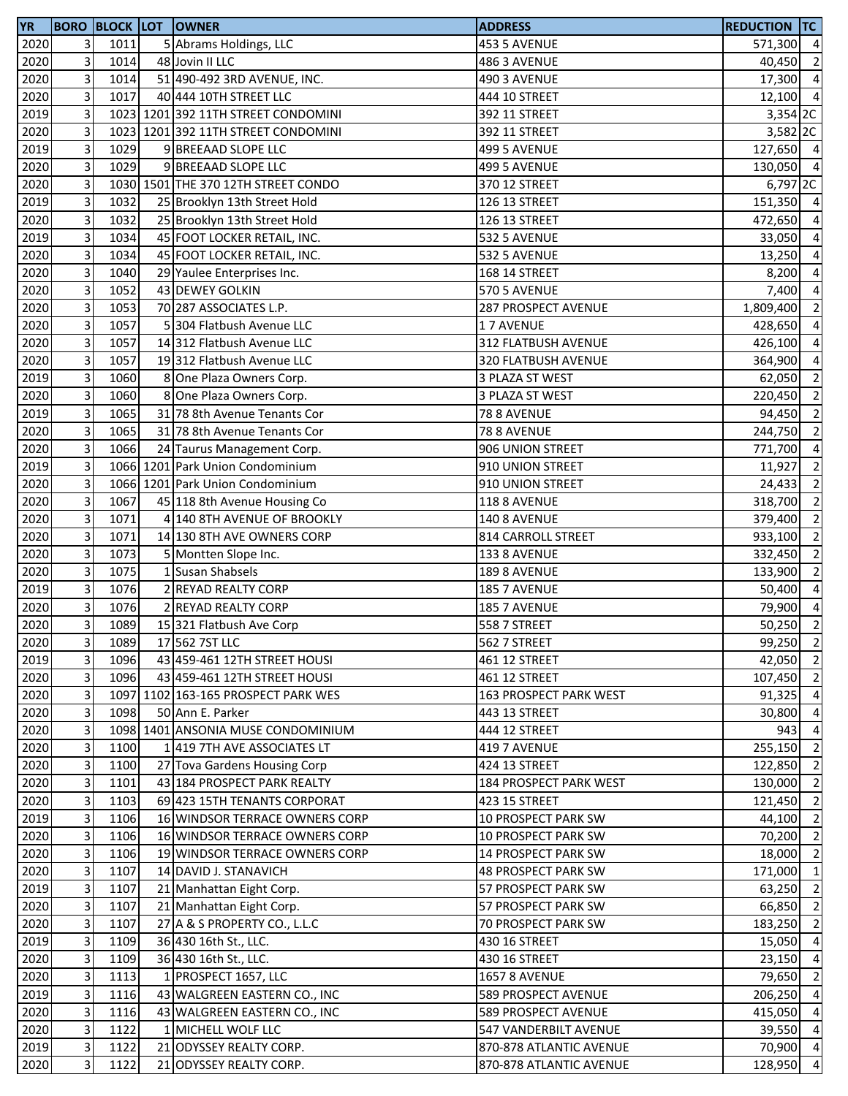| <b>YR</b> |                         |      | <b>BORO BLOCK LOT OWNER</b>         | <b>ADDRESS</b>                          | <b>REDUCTION TC</b> |                |
|-----------|-------------------------|------|-------------------------------------|-----------------------------------------|---------------------|----------------|
| 2020      | $\overline{3}$          | 1011 | 5 Abrams Holdings, LLC              | 453 5 AVENUE                            | 571,300 4           |                |
| 2020      | $\overline{3}$          | 1014 | 48 Jovin II LLC                     | 486 3 AVENUE                            | 40,450              | $\overline{2}$ |
| 2020      | 3                       | 1014 | 51 490-492 3RD AVENUE, INC.         | 490 3 AVENUE                            | 17,300 4            |                |
| 2020      | $\overline{\mathbf{3}}$ | 1017 | 40 444 10TH STREET LLC              | 444 10 STREET                           | 12,100 4            |                |
| 2019      | $\mathbf{3}$            |      | 1023 1201 392 11TH STREET CONDOMINI | 392 11 STREET                           | 3,354 2C            |                |
| 2020      | $\overline{\mathbf{3}}$ |      | 1023 1201 392 11TH STREET CONDOMINI | 392 11 STREET                           | 3,582 2C            |                |
| 2019      | 3                       | 1029 | 9 BREEAAD SLOPE LLC                 | 499 5 AVENUE                            | 127,650 4           |                |
| 2020      | $\overline{\mathbf{3}}$ | 1029 | 9 BREEAAD SLOPE LLC                 | <b>499 5 AVENUE</b>                     | 130,050 4           |                |
| 2020      | 3                       |      | 1030 1501 THE 370 12TH STREET CONDO | 370 12 STREET                           | 6,797 2C            |                |
| 2019      | $\overline{\mathbf{3}}$ | 1032 | 25 Brooklyn 13th Street Hold        | 126 13 STREET                           | 151,350 4           |                |
| 2020      | 3                       | 1032 | 25 Brooklyn 13th Street Hold        | 126 13 STREET                           | 472,650 4           |                |
| 2019      | $\overline{\mathbf{3}}$ | 1034 | 45 FOOT LOCKER RETAIL, INC.         | 532 5 AVENUE                            | 33,050 4            |                |
| 2020      | $\mathbf{3}$            | 1034 | 45 FOOT LOCKER RETAIL, INC.         | 532 5 AVENUE                            | 13,250 4            |                |
| 2020      | $\overline{\mathbf{3}}$ | 1040 | 29 Yaulee Enterprises Inc.          | 168 14 STREET                           | 8,200 4             |                |
| 2020      | $\mathbf{3}$            | 1052 | 43 DEWEY GOLKIN                     | <b>570 5 AVENUE</b>                     | 7,400               | $\overline{4}$ |
| 2020      | $\overline{\mathbf{3}}$ | 1053 | 70 287 ASSOCIATES L.P.              | 287 PROSPECT AVENUE                     | 1,809,400           | $\overline{2}$ |
| 2020      | 3                       | 1057 | 5 304 Flatbush Avenue LLC           | 17 AVENUE                               | 428,650             | $\overline{4}$ |
| 2020      | 3                       | 1057 | 14 312 Flatbush Avenue LLC          | 312 FLATBUSH AVENUE                     | 426,100             | $\overline{4}$ |
| 2020      | 3                       | 1057 | 19312 Flatbush Avenue LLC           | 320 FLATBUSH AVENUE                     | 364,900             | $\overline{4}$ |
| 2019      | $\overline{\mathbf{3}}$ | 1060 | 8 One Plaza Owners Corp.            | 3 PLAZA ST WEST                         | 62,050              | $\overline{2}$ |
| 2020      | 3                       | 1060 | 8 One Plaza Owners Corp.            | 3 PLAZA ST WEST                         | 220,450 2           |                |
| 2019      | 3                       | 1065 | 31 78 8th Avenue Tenants Cor        | 78 8 AVENUE                             | 94,450 2            |                |
| 2020      | $\mathbf{3}$            | 1065 | 31 78 8th Avenue Tenants Cor        | 78 8 AVENUE                             | 244,750             | $\overline{2}$ |
| 2020      | 3                       | 1066 | 24 Taurus Management Corp.          | 906 UNION STREET                        | 771,700             | $\overline{4}$ |
| 2019      | 3                       |      | 1066 1201 Park Union Condominium    | 910 UNION STREET                        | 11,927              | $\overline{2}$ |
| 2020      | 3                       |      | 1066 1201 Park Union Condominium    | 910 UNION STREET                        | 24,433              | $\overline{2}$ |
| 2020      | $\overline{\mathbf{3}}$ | 1067 | 45 118 8th Avenue Housing Co        | 118 8 AVENUE                            | 318,700             | $\overline{2}$ |
| 2020      | 3                       | 1071 | 4 140 8TH AVENUE OF BROOKLY         | 140 8 AVENUE                            | 379,400             | $\overline{2}$ |
| 2020      | $\overline{\mathbf{3}}$ | 1071 | 14 130 8TH AVE OWNERS CORP          | 814 CARROLL STREET                      | 933,100             | $\overline{2}$ |
| 2020      | $\mathbf{3}$            | 1073 | 5 Montten Slope Inc.                | 133 8 AVENUE                            | 332,450 2           |                |
| 2020      | $\mathbf{3}$            | 1075 | 1 Susan Shabsels                    | 189 8 AVENUE                            | 133,900             | $\overline{2}$ |
| 2019      | 3                       | 1076 | 2 REYAD REALTY CORP                 | 185 7 AVENUE                            | 50,400 4            |                |
| 2020      | $\overline{\mathbf{3}}$ | 1076 | <b>REYAD REALTY CORP</b>            | 185 7 AVENUE                            | 79,900              | $\overline{4}$ |
| 2020      | 3                       | 1089 | 15 321 Flatbush Ave Corp            | 558 7 STREET                            | $50,250$ 2          |                |
| 2020      | 3 <sup>l</sup>          | 1089 | 17 562 7ST LLC                      | 562 7 STREET                            | 99,250 2            |                |
| 2019      | 3 <sup>1</sup>          | 1096 | 43 459-461 12TH STREET HOUSI        | 461 12 STREET                           | 42,050 2            |                |
| 2020      | $\overline{3}$          | 1096 | 43 459-461 12TH STREET HOUSI        | 461 12 STREET                           | 107,450 2           |                |
| 2020      | 3                       |      | 1097 1102 163-165 PROSPECT PARK WES | 163 PROSPECT PARK WEST                  | $91,325$ 4          |                |
| 2020      | $\overline{3}$          | 1098 | 50 Ann E. Parker                    | 443 13 STREET                           | 30,800 4            |                |
| 2020      | $\overline{3}$          |      | 1098 1401 ANSONIA MUSE CONDOMINIUM  | 444 12 STREET                           | 943                 | $\overline{4}$ |
| 2020      | $\mathbf{3}$            | 1100 | 1 419 7TH AVE ASSOCIATES LT         | 419 7 AVENUE                            | 255,150 2           |                |
| 2020      | 3                       | 1100 | 27 Tova Gardens Housing Corp        | 424 13 STREET                           | 122,850             | $\overline{2}$ |
| 2020      | $\mathbf{3}$            | 1101 | 43 184 PROSPECT PARK REALTY         |                                         | 130,000             | $\overline{2}$ |
| 2020      | 3                       | 1103 | 69 423 15TH TENANTS CORPORAT        | 184 PROSPECT PARK WEST<br>423 15 STREET | 121,450 2           |                |
| 2019      | 3                       | 1106 | 16 WINDSOR TERRACE OWNERS CORP      | 10 PROSPECT PARK SW                     | 44,100 2            |                |
| 2020      | 3                       | 1106 | 16 WINDSOR TERRACE OWNERS CORP      | 10 PROSPECT PARK SW                     | 70,200 2            |                |
| 2020      | $\overline{3}$          | 1106 | 19 WINDSOR TERRACE OWNERS CORP      | 14 PROSPECT PARK SW                     | 18,000 2            |                |
| 2020      | $\overline{3}$          | 1107 |                                     |                                         | 171,000 1           |                |
|           | $\mathbf{3}$            | 1107 | 14 DAVID J. STANAVICH               | 48 PROSPECT PARK SW                     | 63,250              | $\overline{2}$ |
| 2019      |                         |      | 21 Manhattan Eight Corp.            | 57 PROSPECT PARK SW                     |                     | $\overline{2}$ |
| 2020      | $\overline{3}$<br>3     | 1107 | 21 Manhattan Eight Corp.            | 57 PROSPECT PARK SW                     | 66,850              | $\overline{2}$ |
| 2020      | $\overline{3}$          | 1107 | 27 A & S PROPERTY CO., L.L.C        | 70 PROSPECT PARK SW                     | 183,250             | $\overline{4}$ |
| 2019      | 3                       | 1109 | 36 430 16th St., LLC.               | 430 16 STREET                           | 15,050              | $\overline{4}$ |
| 2020      |                         | 1109 | 36 430 16th St., LLC.               | 430 16 STREET                           | 23,150              |                |
| 2020      | 3                       | 1113 | 1 PROSPECT 1657, LLC                | <b>1657 8 AVENUE</b>                    | 79,650              | $\overline{2}$ |
| 2019      | $\overline{3}$          | 1116 | 43 WALGREEN EASTERN CO., INC        | 589 PROSPECT AVENUE                     | 206,250 4           |                |
| 2020      | $\overline{3}$          | 1116 | 43 WALGREEN EASTERN CO., INC        | 589 PROSPECT AVENUE                     | 415,050 4           |                |
| 2020      | $\mathbf{3}$            | 1122 | 1 MICHELL WOLF LLC                  | 547 VANDERBILT AVENUE                   | 39,550              | $\overline{4}$ |
| 2019      | $\overline{3}$          | 1122 | 21 ODYSSEY REALTY CORP.             | 870-878 ATLANTIC AVENUE                 | 70,900 4            |                |
| 2020      | $\overline{3}$          | 1122 | 21 ODYSSEY REALTY CORP.             | 870-878 ATLANTIC AVENUE                 | 128,950 4           |                |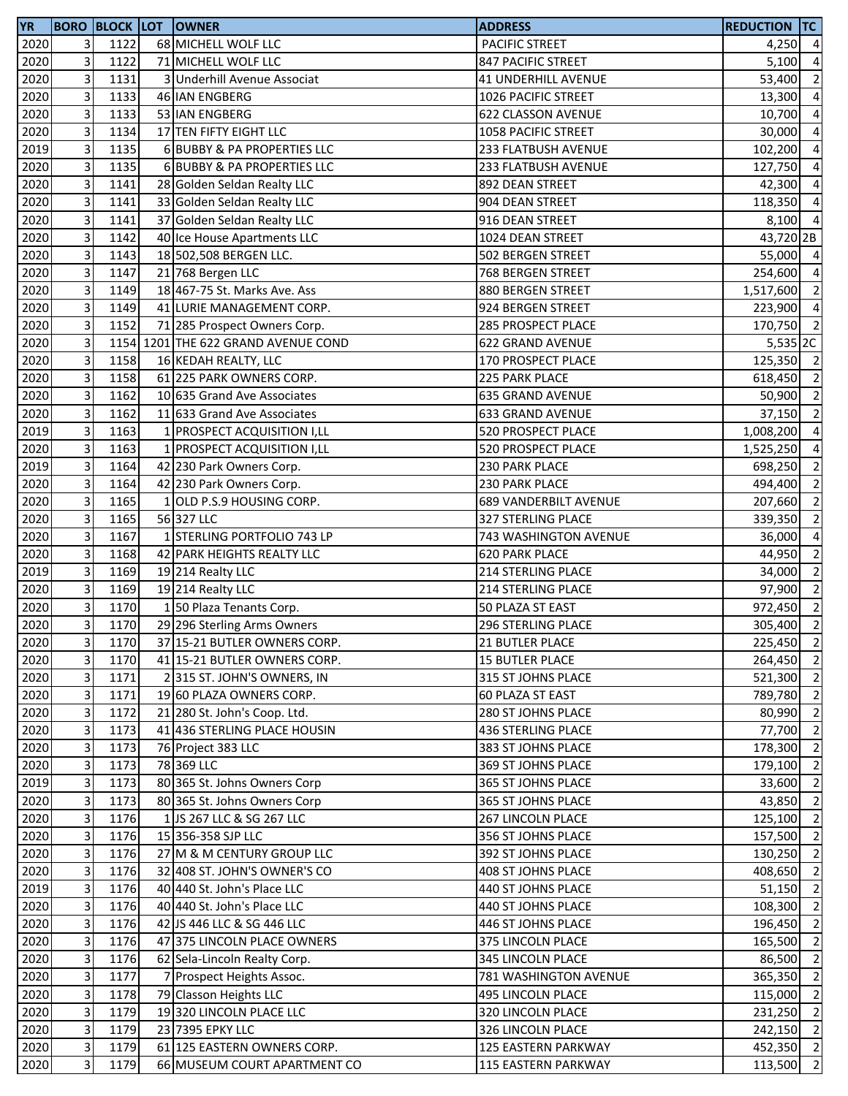| <b>YR</b> |                         |      | <b>BORO BLOCK LOT OWNER</b>         | <b>ADDRESS</b>               | <b>REDUCTION TC</b> |                          |
|-----------|-------------------------|------|-------------------------------------|------------------------------|---------------------|--------------------------|
| 2020      | 3                       | 1122 | 68 MICHELL WOLF LLC                 | PACIFIC STREET               | $4,250$ 4           |                          |
| 2020      | 3                       | 1122 | 71 MICHELL WOLF LLC                 | 847 PACIFIC STREET           | 5,100               | $\overline{a}$           |
| 2020      | 3                       | 1131 | 3 Underhill Avenue Associat         | <b>41 UNDERHILL AVENUE</b>   | 53,400              | $\overline{2}$           |
| 2020      | 3                       | 1133 | 46 IAN ENGBERG                      | 1026 PACIFIC STREET          | 13,300              | $\overline{a}$           |
| 2020      | 3                       | 1133 | 53 IAN ENGBERG                      | 622 CLASSON AVENUE           | 10,700              | $\overline{4}$           |
| 2020      | 3                       | 1134 | 17 TEN FIFTY EIGHT LLC              | 1058 PACIFIC STREET          | 30,000              | $\overline{a}$           |
| 2019      | 3                       | 1135 | 6 BUBBY & PA PROPERTIES LLC         | 233 FLATBUSH AVENUE          | 102,200             | $\overline{4}$           |
| 2020      | 3                       | 1135 | 6 BUBBY & PA PROPERTIES LLC         | 233 FLATBUSH AVENUE          | 127,750             | $\overline{a}$           |
| 2020      | 3                       | 1141 | 28 Golden Seldan Realty LLC         | 892 DEAN STREET              | 42,300              | $\overline{a}$           |
| 2020      | 3                       | 1141 | 33 Golden Seldan Realty LLC         | 904 DEAN STREET              | 118,350             | $\overline{a}$           |
| 2020      | 3                       | 1141 | 37 Golden Seldan Realty LLC         | 916 DEAN STREET              | 8,100               | $\overline{4}$           |
| 2020      | 3                       | 1142 | 40 Ice House Apartments LLC         | 1024 DEAN STREET             | 43,720 2B           |                          |
| 2020      | 3                       | 1143 | 18 502,508 BERGEN LLC.              | 502 BERGEN STREET            | 55,000 4            |                          |
| 2020      | 3                       | 1147 | 21 768 Bergen LLC                   | 768 BERGEN STREET            | 254,600 4           |                          |
| 2020      | 3                       | 1149 | 18 467-75 St. Marks Ave. Ass        | 880 BERGEN STREET            | 1,517,600 2         |                          |
| 2020      | 3                       | 1149 | 41 LURIE MANAGEMENT CORP.           | 924 BERGEN STREET            | 223,900             | $\overline{4}$           |
| 2020      | 3                       | 1152 | 71 285 Prospect Owners Corp.        | 285 PROSPECT PLACE           | 170,750 2           |                          |
| 2020      | 3                       |      | 1154 1201 THE 622 GRAND AVENUE COND | 622 GRAND AVENUE             | $5,535$ 2C          |                          |
| 2020      | 3                       | 1158 | 16 KEDAH REALTY, LLC                | 170 PROSPECT PLACE           | 125,350 2           |                          |
| 2020      | 3                       | 1158 | 61 225 PARK OWNERS CORP.            | 225 PARK PLACE               | 618,450             | $\overline{\mathbf{2}}$  |
| 2020      | 3                       | 1162 | 10 635 Grand Ave Associates         | <b>635 GRAND AVENUE</b>      | 50,900 2            |                          |
| 2020      | 3                       | 1162 | 11 633 Grand Ave Associates         | 633 GRAND AVENUE             | $37,150$ 2          |                          |
| 2019      | 3                       | 1163 | 1 PROSPECT ACQUISITION I, LL        | 520 PROSPECT PLACE           | 1,008,200           | $\overline{a}$           |
| 2020      | 3                       | 1163 | 1 PROSPECT ACQUISITION I,LL         | 520 PROSPECT PLACE           | 1,525,250           | $\overline{a}$           |
| 2019      | 3                       | 1164 | 42 230 Park Owners Corp.            | 230 PARK PLACE               | 698,250             | $\overline{\mathbf{c}}$  |
| 2020      | 3                       | 1164 | 42 230 Park Owners Corp.            | 230 PARK PLACE               | 494,400             | $\overline{2}$           |
| 2020      | 3                       | 1165 | 1 OLD P.S.9 HOUSING CORP.           | <b>689 VANDERBILT AVENUE</b> | 207,660             | $\overline{2}$           |
| 2020      | 3                       | 1165 | 56 327 LLC                          | 327 STERLING PLACE           | 339,350             | $\overline{\mathbf{2}}$  |
| 2020      | $\mathbf{3}$            | 1167 | 1 STERLING PORTFOLIO 743 LP         | 743 WASHINGTON AVENUE        | 36,000              | $\overline{a}$           |
| 2020      | 3                       | 1168 | 42 PARK HEIGHTS REALTY LLC          | <b>620 PARK PLACE</b>        | 44,950              | $\overline{\mathbf{c}}$  |
| 2019      | 3                       | 1169 | 19 214 Realty LLC                   | 214 STERLING PLACE           | 34,000              | $\overline{2}$           |
| 2020      | $\overline{3}$          | 1169 | 19 214 Realty LLC                   | 214 STERLING PLACE           | 97,900              | $\overline{\phantom{a}}$ |
| 2020      | 3                       | 1170 | 150 Plaza Tenants Corp.             | 50 PLAZA ST EAST             | 972,450 2           |                          |
| 2020      | 3                       | 1170 | 29 296 Sterling Arms Owners         | 296 STERLING PLACE           | 305,400 2           |                          |
| 2020      | $\overline{\mathbf{3}}$ | 1170 | 37 15-21 BUTLER OWNERS CORP.        | 21 BUTLER PLACE              | 225,450 2           |                          |
| 2020      | 3                       | 1170 | 41 15-21 BUTLER OWNERS CORP.        | <b>15 BUTLER PLACE</b>       | 264,450 2           |                          |
| 2020      | $\mathbf{3}$            | 1171 | 2315 ST. JOHN'S OWNERS, IN          | 315 ST JOHNS PLACE           | 521,300 2           |                          |
| 2020      | $\mathbf{3}$            | 1171 | 19 60 PLAZA OWNERS CORP.            | 60 PLAZA ST EAST             | 789,780 2           |                          |
| 2020      | $\mathbf{3}$            | 1172 | 21 280 St. John's Coop. Ltd.        | <b>280 ST JOHNS PLACE</b>    | 80,990 2            |                          |
| 2020      | 3                       | 1173 | 41 436 STERLING PLACE HOUSIN        | <b>436 STERLING PLACE</b>    | 77,700 2            |                          |
| 2020      | $\mathbf{3}$            | 1173 | 76 Project 383 LLC                  | 383 ST JOHNS PLACE           | 178,300             | $\overline{2}$           |
| 2020      | 3                       | 1173 | 78 369 LLC                          | 369 ST JOHNS PLACE           | 179,100 2           |                          |
| 2019      | 3                       | 1173 | 80 365 St. Johns Owners Corp        | 365 ST JOHNS PLACE           | 33,600              | $\overline{2}$           |
| 2020      | 3                       | 1173 | 80 365 St. Johns Owners Corp        | 365 ST JOHNS PLACE           | 43,850 2            |                          |
| 2020      | 3                       | 1176 | 1 JS 267 LLC & SG 267 LLC           | <b>267 LINCOLN PLACE</b>     | 125,100             | $\overline{2}$           |
| 2020      | 3                       | 1176 | 15 356-358 SJP LLC                  | 356 ST JOHNS PLACE           | 157,500 2           |                          |
| 2020      | 3                       | 1176 | 27 M & M CENTURY GROUP LLC          | 392 ST JOHNS PLACE           | 130,250 2           |                          |
| 2020      | $\mathbf{3}$            | 1176 | 32 408 ST. JOHN'S OWNER'S CO        | 408 ST JOHNS PLACE           | 408,650 2           |                          |
| 2019      | $\mathbf{3}$            | 1176 | 40 440 St. John's Place LLC         | 440 ST JOHNS PLACE           | 51,150 2            |                          |
| 2020      | $\mathbf{3}$            | 1176 | 40 440 St. John's Place LLC         | 440 ST JOHNS PLACE           | 108,300 2           |                          |
| 2020      | 3                       | 1176 | 42 JS 446 LLC & SG 446 LLC          | 446 ST JOHNS PLACE           | 196,450             | $\overline{2}$           |
| 2020      | $\mathbf{3}$            | 1176 | 47 375 LINCOLN PLACE OWNERS         | 375 LINCOLN PLACE            | 165,500             | $\overline{\mathbf{c}}$  |
| 2020      | $\mathbf{3}$            | 1176 | 62 Sela-Lincoln Realty Corp.        | 345 LINCOLN PLACE            | 86,500              | $\overline{2}$           |
| 2020      | $\mathbf{3}$            | 1177 | 7 Prospect Heights Assoc.           | 781 WASHINGTON AVENUE        | 365,350             | $\overline{\mathbf{c}}$  |
| 2020      | 3                       | 1178 | 79 Classon Heights LLC              | 495 LINCOLN PLACE            | 115,000 2           |                          |
| 2020      | $\mathbf{3}$            | 1179 | 19320 LINCOLN PLACE LLC             | 320 LINCOLN PLACE            | 231,250 2           |                          |
| 2020      | 3                       | 1179 | 23 7395 EPKY LLC                    | 326 LINCOLN PLACE            | 242,150 2           |                          |
| 2020      | $\vert$ 3               | 1179 | 61 125 EASTERN OWNERS CORP.         | 125 EASTERN PARKWAY          | 452,350 2           |                          |
| 2020      | $\mathsf 3$             | 1179 | 66 MUSEUM COURT APARTMENT CO        | 115 EASTERN PARKWAY          | 113,500 2           |                          |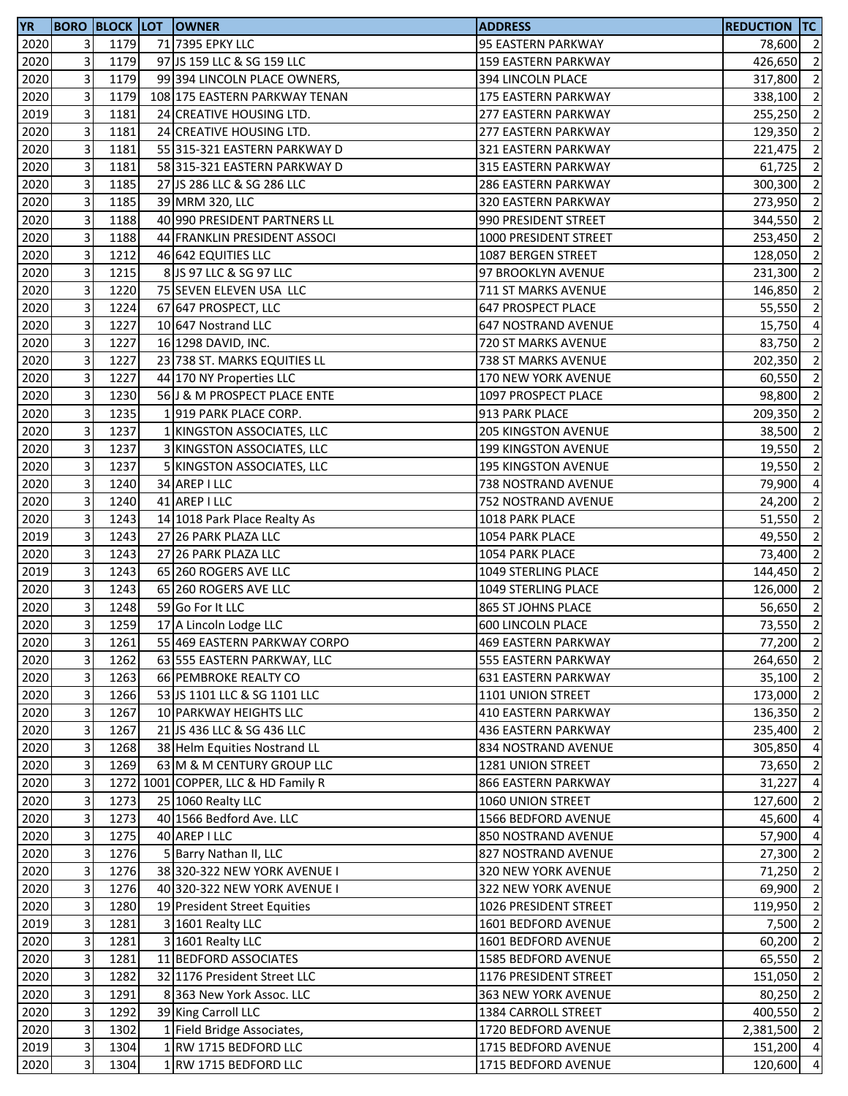| <b>YR</b>         |                           |      | <b>BORO BLOCK LOT OWNER</b>         | <b>ADDRESS</b>             | <b>REDUCTION TC</b> |                |
|-------------------|---------------------------|------|-------------------------------------|----------------------------|---------------------|----------------|
| 2020              | 3                         | 1179 | 71 7395 EPKY LLC                    | 95 EASTERN PARKWAY         | 78,600 2            |                |
| 2020              | 3                         | 1179 | 97 JS 159 LLC & SG 159 LLC          | <b>159 EASTERN PARKWAY</b> | 426,650             | $\overline{2}$ |
| 2020              | 3                         | 1179 | 99 394 LINCOLN PLACE OWNERS,        | 394 LINCOLN PLACE          | 317,800             | $\overline{2}$ |
| 2020              | 3                         | 1179 | 108 175 EASTERN PARKWAY TENAN       | 175 EASTERN PARKWAY        | 338,100 2           |                |
| 2019              | 3                         | 1181 | 24 CREATIVE HOUSING LTD.            | 277 EASTERN PARKWAY        | 255,250             | $\overline{2}$ |
| 2020              | 3                         | 1181 | 24 CREATIVE HOUSING LTD.            | 277 EASTERN PARKWAY        | 129,350             | $\overline{2}$ |
| 2020              | 3                         | 1181 | 55 315-321 EASTERN PARKWAY D        | 321 EASTERN PARKWAY        | 221,475             | $\overline{2}$ |
| 2020              | 3                         | 1181 | 58 315-321 EASTERN PARKWAY D        | 315 EASTERN PARKWAY        | 61,725              | $\overline{2}$ |
| 2020              | 3                         | 1185 | 27 JS 286 LLC & SG 286 LLC          | <b>286 EASTERN PARKWAY</b> | 300,300             | $\overline{2}$ |
| 2020              | 3                         | 1185 | 39 MRM 320, LLC                     | 320 EASTERN PARKWAY        | 273,950             | $\overline{2}$ |
| 2020              | 3                         | 1188 | 40 990 PRESIDENT PARTNERS LL        | 990 PRESIDENT STREET       | 344,550             | $\overline{2}$ |
| 2020              | 3                         | 1188 | 44 FRANKLIN PRESIDENT ASSOCI        | 1000 PRESIDENT STREET      | 253,450 2           |                |
| 2020              | 3                         | 1212 | 46 642 EQUITIES LLC                 | 1087 BERGEN STREET         | 128,050             | $\overline{2}$ |
| 2020              | 3                         | 1215 | 8 JS 97 LLC & SG 97 LLC             | 97 BROOKLYN AVENUE         | 231,300             | $\overline{2}$ |
| 2020              | 3                         | 1220 | 75 SEVEN ELEVEN USA LLC             | 711 ST MARKS AVENUE        | 146,850             | $\overline{2}$ |
| 2020              | 3                         | 1224 | 67 647 PROSPECT, LLC                | <b>647 PROSPECT PLACE</b>  | 55,550              | $\overline{2}$ |
| 2020              | 3                         | 1227 | 10 647 Nostrand LLC                 | 647 NOSTRAND AVENUE        | 15,750              | $\overline{4}$ |
| 2020              | 3                         | 1227 | 16 1298 DAVID, INC.                 | 720 ST MARKS AVENUE        | 83,750              | $\overline{2}$ |
| 2020              | 3                         | 1227 | 23 738 ST. MARKS EQUITIES LL        | 738 ST MARKS AVENUE        | 202,350 2           |                |
| 2020              | 3                         | 1227 | 44 170 NY Properties LLC            | 170 NEW YORK AVENUE        | 60,550 2            |                |
| $\overline{2020}$ | 3                         | 1230 | 56 J & M PROSPECT PLACE ENTE        | 1097 PROSPECT PLACE        | 98,800 2            |                |
| 2020              | 3                         | 1235 | 1919 PARK PLACE CORP.               | 913 PARK PLACE             | 209,350             | $\overline{2}$ |
| 2020              | 3                         | 1237 | 1 KINGSTON ASSOCIATES, LLC          | <b>205 KINGSTON AVENUE</b> | 38,500              | $\overline{2}$ |
| 2020              | 3                         | 1237 | 3 KINGSTON ASSOCIATES, LLC          | 199 KINGSTON AVENUE        | 19,550              | $\overline{2}$ |
| 2020              | 3                         | 1237 | 5 KINGSTON ASSOCIATES, LLC          | <b>195 KINGSTON AVENUE</b> | 19,550              | $\overline{2}$ |
| 2020              | 3                         | 1240 |                                     |                            |                     | $\overline{4}$ |
|                   | 3                         |      | 34 AREP I LLC                       | 738 NOSTRAND AVENUE        | 79,900              |                |
| 2020              |                           | 1240 | 41 AREP I LLC                       | 752 NOSTRAND AVENUE        | 24,200              | $\overline{2}$ |
| 2020              | 3                         | 1243 | 14 1018 Park Place Realty As        | 1018 PARK PLACE            | 51,550              | $\overline{2}$ |
| 2019              | 3                         | 1243 | 27 26 PARK PLAZA LLC                | 1054 PARK PLACE            | 49,550              | $\overline{2}$ |
| 2020              | 3                         | 1243 | 27 26 PARK PLAZA LLC                | 1054 PARK PLACE            | 73,400              | $\overline{2}$ |
| 2019              | 3                         | 1243 | 65 260 ROGERS AVE LLC               | 1049 STERLING PLACE        | 144,450             | $\overline{2}$ |
| 2020              | 3                         | 1243 | 65 260 ROGERS AVE LLC               | 1049 STERLING PLACE        | 126,000             | $\overline{2}$ |
| 2020              | 3                         | 1248 | 59 Go For It LLC                    | 865 ST JOHNS PLACE         | 56,650              | $\overline{2}$ |
| 2020              | 3                         | 1259 | 17 A Lincoln Lodge LLC              | <b>600 LINCOLN PLACE</b>   | 73,550              | $\overline{2}$ |
| 2020              | $\overline{\mathbf{3}}$   | 1261 | 55 469 EASTERN PARKWAY CORPO        | 469 EASTERN PARKWAY        | 77,200 2            |                |
| 2020              | 3                         | 1262 | 63 555 EASTERN PARKWAY, LLC         | 555 EASTERN PARKWAY        | 264,650 2           |                |
| 2020              | 3                         | 1263 | 66 PEMBROKE REALTY CO               | 631 EASTERN PARKWAY        | $35,100$ 2          |                |
| 2020              | 3                         | 1266 | 53 JS 1101 LLC & SG 1101 LLC        | 1101 UNION STREET          | 173,000 2           |                |
| 2020              | 3                         | 1267 | 10 PARKWAY HEIGHTS LLC              | 410 EASTERN PARKWAY        | 136,350 2           |                |
| 2020              | 3                         | 1267 | 21 JS 436 LLC & SG 436 LLC          | 436 EASTERN PARKWAY        | 235,400 2           |                |
| 2020              | 3                         | 1268 | 38 Helm Equities Nostrand LL        | 834 NOSTRAND AVENUE        | 305,850             | $\overline{4}$ |
| 2020              | 3                         | 1269 | 63 M & M CENTURY GROUP LLC          | 1281 UNION STREET          | 73,650              | $\overline{2}$ |
| 2020              | 3                         |      | 1272 1001 COPPER, LLC & HD Family R | 866 EASTERN PARKWAY        | 31,227              | $\overline{4}$ |
| 2020              | 3                         | 1273 | 25 1060 Realty LLC                  | 1060 UNION STREET          | 127,600             | $\overline{2}$ |
| 2020              | 3                         | 1273 | 40 1566 Bedford Ave. LLC            | 1566 BEDFORD AVENUE        | 45,600              | $\overline{4}$ |
| 2020              | 3                         | 1275 | 40 AREP I LLC                       | 850 NOSTRAND AVENUE        | 57,900 4            |                |
| 2020              | 3                         | 1276 | 5 Barry Nathan II, LLC              | 827 NOSTRAND AVENUE        | 27,300              | $\overline{2}$ |
| 2020              | 3                         | 1276 | 38 320-322 NEW YORK AVENUE I        | 320 NEW YORK AVENUE        | 71,250              | $\overline{2}$ |
| 2020              | 3                         | 1276 | 40 320-322 NEW YORK AVENUE I        | 322 NEW YORK AVENUE        | 69,900              | $\overline{2}$ |
| 2020              | 3                         | 1280 | 19 President Street Equities        | 1026 PRESIDENT STREET      | 119,950             | $\overline{2}$ |
| 2019              | 3                         | 1281 | 3 1601 Realty LLC                   | 1601 BEDFORD AVENUE        | 7,500               | $\overline{2}$ |
| 2020              | 3                         | 1281 | 3 1601 Realty LLC                   | 1601 BEDFORD AVENUE        | 60,200              | $\overline{2}$ |
| 2020              | 3                         | 1281 | 11 BEDFORD ASSOCIATES               | 1585 BEDFORD AVENUE        | 65,550              | $\overline{2}$ |
| 2020              | 3                         | 1282 | 32 1176 President Street LLC        | 1176 PRESIDENT STREET      | 151,050             | $\overline{2}$ |
| 2020              | 3                         | 1291 | 8 363 New York Assoc. LLC           | 363 NEW YORK AVENUE        | 80,250              | $\overline{2}$ |
| 2020              | 3                         | 1292 | 39 King Carroll LLC                 | 1384 CARROLL STREET        | 400,550             | $\overline{2}$ |
| 2020              | 3                         | 1302 | 1 Field Bridge Associates,          | 1720 BEDFORD AVENUE        | 2,381,500           | $\overline{2}$ |
| 2019              | $\ensuremath{\mathsf{3}}$ | 1304 | 1 RW 1715 BEDFORD LLC               | 1715 BEDFORD AVENUE        | 151,200 4           |                |
| 2020              | 3                         | 1304 | 1 RW 1715 BEDFORD LLC               | 1715 BEDFORD AVENUE        | 120,600             | $\overline{4}$ |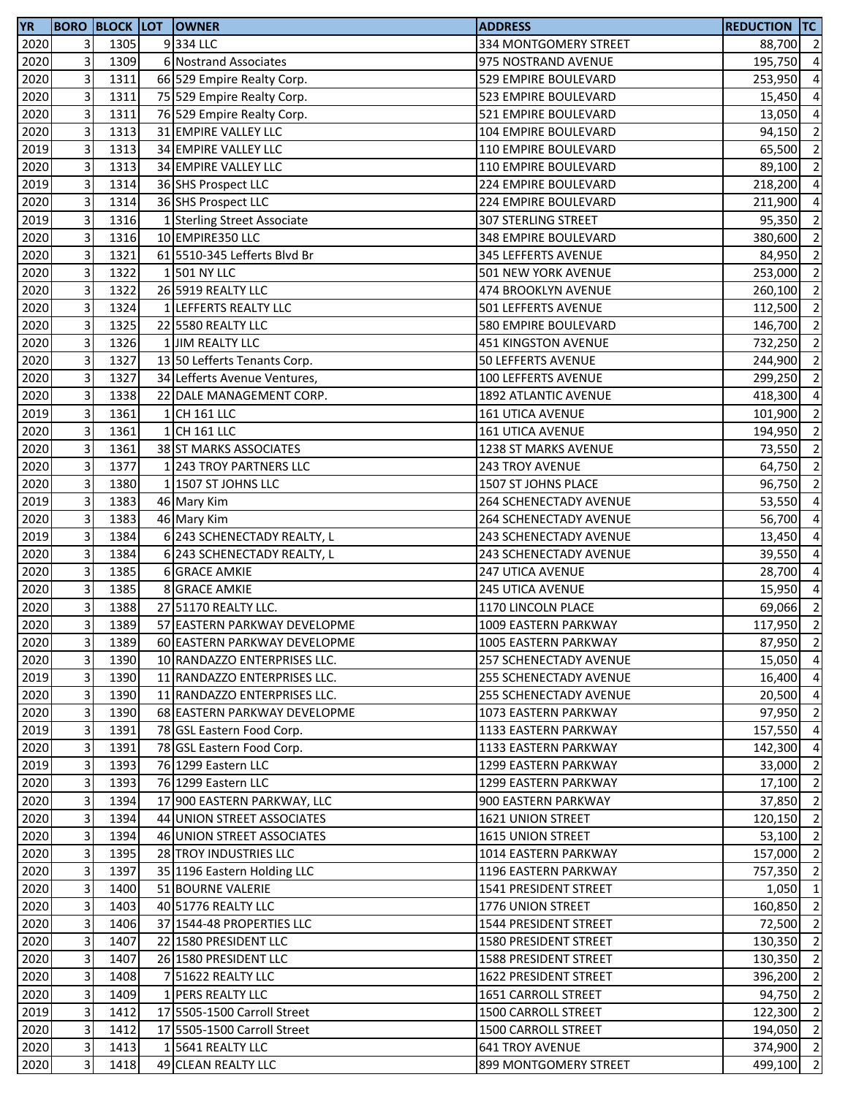| <b>YR</b> |                         |      | <b>BORO BLOCK LOT OWNER</b>  | <b>ADDRESS</b>                | <b>REDUCTION TC</b> |                          |
|-----------|-------------------------|------|------------------------------|-------------------------------|---------------------|--------------------------|
| 2020      | 3                       | 1305 | 9334 LLC                     | 334 MONTGOMERY STREET         | 88,700 2            |                          |
| 2020      | 3                       | 1309 | 6 Nostrand Associates        | 975 NOSTRAND AVENUE           | 195,750             | $\overline{4}$           |
| 2020      | 3                       | 1311 | 66 529 Empire Realty Corp.   | 529 EMPIRE BOULEVARD          | 253,950             | $\overline{4}$           |
| 2020      | 3                       | 1311 | 75 529 Empire Realty Corp.   | 523 EMPIRE BOULEVARD          | 15,450              | $\overline{4}$           |
| 2020      | 3                       | 1311 | 76 529 Empire Realty Corp.   | 521 EMPIRE BOULEVARD          | 13,050 4            |                          |
| 2020      | 3                       | 1313 | 31 EMPIRE VALLEY LLC         | 104 EMPIRE BOULEVARD          | 94,150              | $\overline{2}$           |
| 2019      | 3                       | 1313 | 34 EMPIRE VALLEY LLC         | 110 EMPIRE BOULEVARD          | 65,500              | $\overline{2}$           |
| 2020      | 3                       | 1313 | 34 EMPIRE VALLEY LLC         | 110 EMPIRE BOULEVARD          | 89,100              | $\overline{2}$           |
| 2019      | 3                       | 1314 | 36 SHS Prospect LLC          | 224 EMPIRE BOULEVARD          | 218,200             | $\overline{4}$           |
| 2020      | 3                       | 1314 | 36 SHS Prospect LLC          | 224 EMPIRE BOULEVARD          | 211,900             | $\overline{4}$           |
| 2019      | 3                       | 1316 | 1 Sterling Street Associate  | 307 STERLING STREET           | 95,350              | $\overline{2}$           |
| 2020      | 3                       | 1316 | 10 EMPIRE350 LLC             | 348 EMPIRE BOULEVARD          | 380,600             | $\overline{2}$           |
| 2020      | 3                       | 1321 | 61 5510-345 Lefferts Blvd Br | 345 LEFFERTS AVENUE           | 84,950              | $\overline{2}$           |
| 2020      | 3                       | 1322 | 1 501 NY LLC                 | <b>501 NEW YORK AVENUE</b>    | 253,000             | $\overline{2}$           |
| 2020      | 3                       | 1322 | 26 5919 REALTY LLC           | 474 BROOKLYN AVENUE           | 260,100             | $\overline{2}$           |
| 2020      | 3                       | 1324 | 1 LEFFERTS REALTY LLC        | 501 LEFFERTS AVENUE           | 112,500             | $\overline{2}$           |
| 2020      | 3                       | 1325 | 22 5580 REALTY LLC           | 580 EMPIRE BOULEVARD          | 146,700             | $\overline{2}$           |
| 2020      | 3                       | 1326 | 1 JIM REALTY LLC             | 451 KINGSTON AVENUE           | 732,250             | $\overline{2}$           |
| 2020      | 3                       | 1327 | 13 50 Lefferts Tenants Corp. | 50 LEFFERTS AVENUE            | 244,900             | $\overline{2}$           |
| 2020      | 3                       | 1327 | 34 Lefferts Avenue Ventures, | 100 LEFFERTS AVENUE           | 299,250             | $\overline{2}$           |
| 2020      | 3                       | 1338 | 22 DALE MANAGEMENT CORP.     | 1892 ATLANTIC AVENUE          | 418,300 4           |                          |
| 2019      | 3                       | 1361 | 1 CH 161 LLC                 | <b>161 UTICA AVENUE</b>       | 101,900             | $\overline{2}$           |
| 2020      | 3                       | 1361 | 1 CH 161 LLC                 | <b>161 UTICA AVENUE</b>       | 194,950             | $\overline{\phantom{a}}$ |
| 2020      | 3                       | 1361 | 38 ST MARKS ASSOCIATES       | 1238 ST MARKS AVENUE          | 73,550              | $\overline{2}$           |
| 2020      | 3                       | 1377 | 1 243 TROY PARTNERS LLC      | 243 TROY AVENUE               | 64,750              | $\overline{2}$           |
| 2020      | 3                       | 1380 | 1 1507 ST JOHNS LLC          | 1507 ST JOHNS PLACE           | 96,750              | $\overline{2}$           |
| 2019      | 3                       | 1383 | 46 Mary Kim                  | 264 SCHENECTADY AVENUE        | 53,550              | $\overline{4}$           |
|           | 3                       | 1383 |                              | 264 SCHENECTADY AVENUE        |                     | $\overline{4}$           |
| 2020      | 3                       |      | 46 Mary Kim                  |                               | 56,700              |                          |
| 2019      | 3                       | 1384 | 6 243 SCHENECTADY REALTY, L  | 243 SCHENECTADY AVENUE        | 13,450              | $\overline{4}$           |
| 2020      | 3                       | 1384 | 6 243 SCHENECTADY REALTY, L  | 243 SCHENECTADY AVENUE        | 39,550              | $\overline{4}$           |
| 2020      | 3                       | 1385 | <b>6 GRACE AMKIE</b>         | 247 UTICA AVENUE              | 28,700              | $\overline{4}$           |
| 2020      |                         | 1385 | <b>8 GRACE AMKIE</b>         | <b>245 UTICA AVENUE</b>       | 15,950              | $\overline{4}$           |
| 2020      | 3                       | 1388 | 27 51170 REALTY LLC.         | 1170 LINCOLN PLACE            | 69,066 2            |                          |
| 2020      | 3                       | 1389 | 57 EASTERN PARKWAY DEVELOPME | 1009 EASTERN PARKWAY          | 117,950             | $\overline{2}$           |
| 2020      | $\overline{\mathbf{3}}$ | 1389 | 60 EASTERN PARKWAY DEVELOPME | 1005 EASTERN PARKWAY          | 87,950 2            |                          |
| 2020      | 3                       | 1390 | 10 RANDAZZO ENTERPRISES LLC. | <b>257 SCHENECTADY AVENUE</b> | 15,050 4            |                          |
| 2019      | 3                       | 1390 | 11 RANDAZZO ENTERPRISES LLC. | 255 SCHENECTADY AVENUE        | 16,400              | $\overline{4}$           |
| 2020      | 3                       | 1390 | 11 RANDAZZO ENTERPRISES LLC. | <b>255 SCHENECTADY AVENUE</b> | 20,500 4            |                          |
| 2020      | 3                       | 1390 | 68 EASTERN PARKWAY DEVELOPME | 1073 EASTERN PARKWAY          | 97,950              | $\overline{2}$           |
| 2019      | 3                       | 1391 | 78 GSL Eastern Food Corp.    | 1133 EASTERN PARKWAY          | 157,550 4           |                          |
| 2020      | 3                       | 1391 | 78 GSL Eastern Food Corp.    | 1133 EASTERN PARKWAY          | 142,300             | $\overline{4}$           |
| 2019      | 3                       | 1393 | 76 1299 Eastern LLC          | 1299 EASTERN PARKWAY          | 33,000              | $\overline{2}$           |
| 2020      | 3                       | 1393 | 76 1299 Eastern LLC          | 1299 EASTERN PARKWAY          | 17,100              | $\overline{2}$           |
| 2020      | 3                       | 1394 | 17 900 EASTERN PARKWAY, LLC  | 900 EASTERN PARKWAY           | 37,850              | $\overline{2}$           |
| 2020      | 3                       | 1394 | 44 UNION STREET ASSOCIATES   | 1621 UNION STREET             | 120,150             | $\overline{2}$           |
| 2020      | 3                       | 1394 | 46 UNION STREET ASSOCIATES   | 1615 UNION STREET             | 53,100 2            |                          |
| 2020      | 3                       | 1395 | 28 TROY INDUSTRIES LLC       | 1014 EASTERN PARKWAY          | 157,000 2           |                          |
| 2020      | 3                       | 1397 | 35 1196 Eastern Holding LLC  | 1196 EASTERN PARKWAY          | 757,350             | $\overline{2}$           |
| 2020      | 3                       | 1400 | 51 BOURNE VALERIE            | 1541 PRESIDENT STREET         | $1,050$ 1           |                          |
| 2020      | 3                       | 1403 | 40 51776 REALTY LLC          | 1776 UNION STREET             | 160,850             | $\overline{2}$           |
| 2020      | 3                       | 1406 | 37 1544-48 PROPERTIES LLC    | 1544 PRESIDENT STREET         | 72,500              | $\overline{2}$           |
| 2020      | 3                       | 1407 | 22 1580 PRESIDENT LLC        | 1580 PRESIDENT STREET         | 130,350             | $\overline{2}$           |
| 2020      | 3                       | 1407 | 26 1580 PRESIDENT LLC        | 1588 PRESIDENT STREET         | 130,350             | $\overline{2}$           |
| 2020      | 3                       | 1408 | 7 51622 REALTY LLC           | 1622 PRESIDENT STREET         | 396,200 2           |                          |
| 2020      | 3                       | 1409 | 1 PERS REALTY LLC            | 1651 CARROLL STREET           | 94,750 2            |                          |
| 2019      | 3                       | 1412 | 17 5505-1500 Carroll Street  | 1500 CARROLL STREET           | 122,300             | $\overline{2}$           |
| 2020      | 3                       | 1412 | 17 5505-1500 Carroll Street  | 1500 CARROLL STREET           | 194,050 2           |                          |
| 2020      | 3                       | 1413 | 1 5641 REALTY LLC            | <b>641 TROY AVENUE</b>        | 374,900 2           |                          |
| 2020      | 3                       | 1418 | 49 CLEAN REALTY LLC          | 899 MONTGOMERY STREET         | 499,100 2           |                          |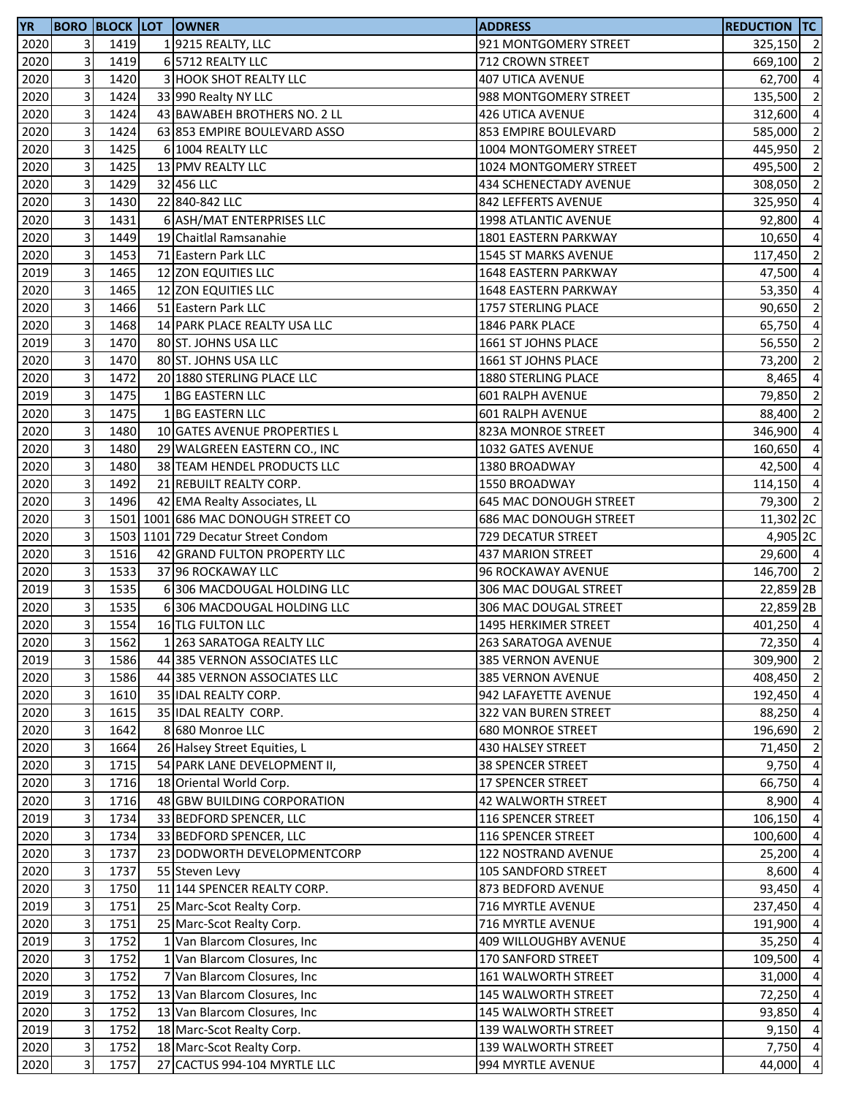| <b>YR</b>    |        |              | <b>BORO BLOCK LOT OWNER</b>                   | <b>ADDRESS</b>              | <b>REDUCTION TC</b> |                                  |
|--------------|--------|--------------|-----------------------------------------------|-----------------------------|---------------------|----------------------------------|
| 2020         | 3      | 1419         | 19215 REALTY, LLC                             | 921 MONTGOMERY STREET       | 325,150 2           |                                  |
| 2020         | 3      | 1419         | 6 5712 REALTY LLC                             | 712 CROWN STREET            | 669,100             | $\overline{2}$                   |
| 2020         | 3      | 1420         | 3 HOOK SHOT REALTY LLC                        | <b>407 UTICA AVENUE</b>     | 62,700              | $\overline{4}$                   |
| 2020         | 3      | 1424         | 33 990 Realty NY LLC                          | 988 MONTGOMERY STREET       | 135,500             | $\overline{2}$                   |
| 2020         | 3      | 1424         | 43 BAWABEH BROTHERS NO. 2 LL                  | 426 UTICA AVENUE            | 312,600 4           |                                  |
| 2020         | 3      | 1424         | 63 853 EMPIRE BOULEVARD ASSO                  | 853 EMPIRE BOULEVARD        | 585,000             | $\overline{2}$                   |
| 2020         | 3      | 1425         | 6 1004 REALTY LLC                             | 1004 MONTGOMERY STREET      | 445,950             | $\overline{2}$                   |
| 2020         | 3      | 1425         | 13 PMV REALTY LLC                             | 1024 MONTGOMERY STREET      | 495,500             | $\overline{2}$                   |
| 2020         | 3      | 1429         | 32 456 LLC                                    | 434 SCHENECTADY AVENUE      | 308,050             | $\overline{2}$                   |
| 2020         | 3      | 1430         | 22 840-842 LLC                                | 842 LEFFERTS AVENUE         | 325,950             | $\overline{a}$                   |
| 2020         | 3      | 1431         | 6 ASH/MAT ENTERPRISES LLC                     | 1998 ATLANTIC AVENUE        | 92,800              | $\overline{a}$                   |
| 2020         | 3      | 1449         | 19 Chaitlal Ramsanahie                        | 1801 EASTERN PARKWAY        | 10,650              | $\overline{4}$                   |
| 2020         | 3      | 1453         | 71 Eastern Park LLC                           | 1545 ST MARKS AVENUE        | 117,450             | $\overline{2}$                   |
| 2019         | 3      | 1465         | 12 ZON EQUITIES LLC                           | <b>1648 EASTERN PARKWAY</b> | 47,500 4            |                                  |
| 2020         | 3      | 1465         | 12 ZON EQUITIES LLC                           | <b>1648 EASTERN PARKWAY</b> | 53,350              | $\overline{4}$                   |
| 2020         | 3      | 1466         | 51 Eastern Park LLC                           | 1757 STERLING PLACE         | 90,650              | $\overline{2}$                   |
| 2020         | 3      | 1468         | 14 PARK PLACE REALTY USA LLC                  | 1846 PARK PLACE             | 65,750              | $\overline{a}$                   |
| 2019         | 3      | 1470         | 80 ST. JOHNS USA LLC                          | 1661 ST JOHNS PLACE         | 56,550              | $\overline{2}$                   |
| 2020         | 3      | 1470         | 80 ST. JOHNS USA LLC                          | 1661 ST JOHNS PLACE         | 73,200              | $\overline{2}$                   |
| 2020         | 3      | 1472         | 20 1880 STERLING PLACE LLC                    | 1880 STERLING PLACE         | 8,465               | $\overline{4}$                   |
| 2019         | 3      | 1475         | 1 BG EASTERN LLC                              | 601 RALPH AVENUE            | 79,850              | $\overline{2}$                   |
| 2020         | 3      | 1475         | 1 BG EASTERN LLC                              | 601 RALPH AVENUE            | 88,400              | $\overline{2}$                   |
| 2020         | 3      | 1480         | 10 GATES AVENUE PROPERTIES L                  | 823A MONROE STREET          | 346,900             | $\overline{4}$                   |
| 2020         | 3      | 1480         | 29 WALGREEN EASTERN CO., INC                  | 1032 GATES AVENUE           | 160,650             | $\overline{4}$                   |
| 2020         | 3      | 1480         | 38 TEAM HENDEL PRODUCTS LLC                   | 1380 BROADWAY               | 42,500              | $\overline{4}$                   |
| 2020         | 3      | 1492         | 21 REBUILT REALTY CORP.                       | 1550 BROADWAY               | 114,150             | $\overline{4}$                   |
| 2020         | 3      | 1496         | 42 EMA Realty Associates, LL                  | 645 MAC DONOUGH STREET      | 79,300              | $\overline{2}$                   |
| 2020         | 3      |              | 1501 1001 686 MAC DONOUGH STREET CO           | 686 MAC DONOUGH STREET      | 11,302 2C           |                                  |
| 2020         | 3      |              | 1503 1101 729 Decatur Street Condom           | 729 DECATUR STREET          | 4,905 2C            |                                  |
| 2020         | 3      | 1516         | 42 GRAND FULTON PROPERTY LLC                  | 437 MARION STREET           | 29,600 4            |                                  |
| 2020         | 3      | 1533         | 37 96 ROCKAWAY LLC                            | 96 ROCKAWAY AVENUE          | 146,700 2           |                                  |
| 2019         | 3      | 1535         | 6 306 MACDOUGAL HOLDING LLC                   | 306 MAC DOUGAL STREET       | 22,859 2B           |                                  |
| 2020         | 3      | 1535         | 6 306 MACDOUGAL HOLDING LLC                   | 306 MAC DOUGAL STREET       | 22,859 2B           |                                  |
| 2020         | 3      | 1554         | 16 TLG FULTON LLC                             | 1495 HERKIMER STREET        | 401,250 4           |                                  |
| 2020         | 3      | 1562         | 1 263 SARATOGA REALTY LLC                     | 263 SARATOGA AVENUE         | 72,350 4            |                                  |
| 2019         | 3      | 1586         | 44 385 VERNON ASSOCIATES LLC                  | 385 VERNON AVENUE           | 309,900             | $\overline{\phantom{a}}$         |
| 2020         | 3      | 1586         | 44 385 VERNON ASSOCIATES LLC                  | 385 VERNON AVENUE           | 408,450 2           |                                  |
| 2020         | 3      | 1610         | 35 IDAL REALTY CORP.                          | 942 LAFAYETTE AVENUE        | 192,450 4           |                                  |
| 2020         | 3      | 1615         | 35 IDAL REALTY CORP.                          | 322 VAN BUREN STREET        | 88,250 4            |                                  |
| 2020         | 3      | 1642         | 8 680 Monroe LLC                              | <b>680 MONROE STREET</b>    | 196,690             | $\overline{2}$                   |
| 2020         | 3      | 1664         | 26 Halsey Street Equities, L                  | 430 HALSEY STREET           | 71,450 2            |                                  |
| 2020         | 3      | 1715         | 54 PARK LANE DEVELOPMENT II,                  | <b>38 SPENCER STREET</b>    | 9,750               | $\overline{4}$                   |
| 2020         | 3      | 1716         | 18 Oriental World Corp.                       | 17 SPENCER STREET           | 66,750              | $\overline{4}$                   |
| 2020         | 3      | 1716         | 48 GBW BUILDING CORPORATION                   | 42 WALWORTH STREET          | 8,900               | $\overline{4}$                   |
| 2019         | 3      | 1734         | 33 BEDFORD SPENCER, LLC                       | 116 SPENCER STREET          | 106,150             | $\overline{4}$                   |
| 2020         | 3      | 1734         | 33 BEDFORD SPENCER, LLC                       | 116 SPENCER STREET          | 100,600             | $\overline{4}$                   |
| 2020         | 3      | 1737         | 23 DODWORTH DEVELOPMENTCORP                   | <b>122 NOSTRAND AVENUE</b>  | 25,200 4            |                                  |
| 2020         | 3      | 1737         |                                               | <b>105 SANDFORD STREET</b>  | 8,600 4             |                                  |
| 2020         | 3      | 1750         | 55 Steven Levy<br>11 144 SPENCER REALTY CORP. | 873 BEDFORD AVENUE          | 93,450              | $\overline{4}$                   |
|              |        |              |                                               |                             |                     | $\overline{4}$                   |
| 2019<br>2020 | 3<br>3 | 1751<br>1751 | 25 Marc-Scot Realty Corp.                     | 716 MYRTLE AVENUE           | 237,450             | $\overline{4}$                   |
|              |        |              | 25 Marc-Scot Realty Corp.                     | 716 MYRTLE AVENUE           | 191,900             |                                  |
| 2019         | 3<br>3 | 1752<br>1752 | 1 Van Blarcom Closures, Inc.                  | 409 WILLOUGHBY AVENUE       | 35,250              | $\overline{4}$<br>$\overline{4}$ |
| 2020         |        |              | 1 Van Blarcom Closures, Inc.                  | 170 SANFORD STREET          | 109,500             |                                  |
| 2020         | 3      | 1752         | 7 Van Blarcom Closures, Inc.                  | 161 WALWORTH STREET         | 31,000              | $\overline{4}$                   |
| 2019         | 3      | 1752         | 13 Van Blarcom Closures, Inc.                 | <b>145 WALWORTH STREET</b>  | 72,250 4            |                                  |
| 2020         | 3      | 1752         | 13 Van Blarcom Closures, Inc.                 | <b>145 WALWORTH STREET</b>  | 93,850              | $\overline{4}$                   |
| 2019         | 3      | 1752         | 18 Marc-Scot Realty Corp.                     | <b>139 WALWORTH STREET</b>  | $9,150$ 4           |                                  |
| 2020         | 3      | 1752         | 18 Marc-Scot Realty Corp.                     | 139 WALWORTH STREET         | 7,750               | $\overline{4}$                   |
| 2020         | 3      | 1757         | 27 CACTUS 994-104 MYRTLE LLC                  | 994 MYRTLE AVENUE           | 44,000              | $\overline{4}$                   |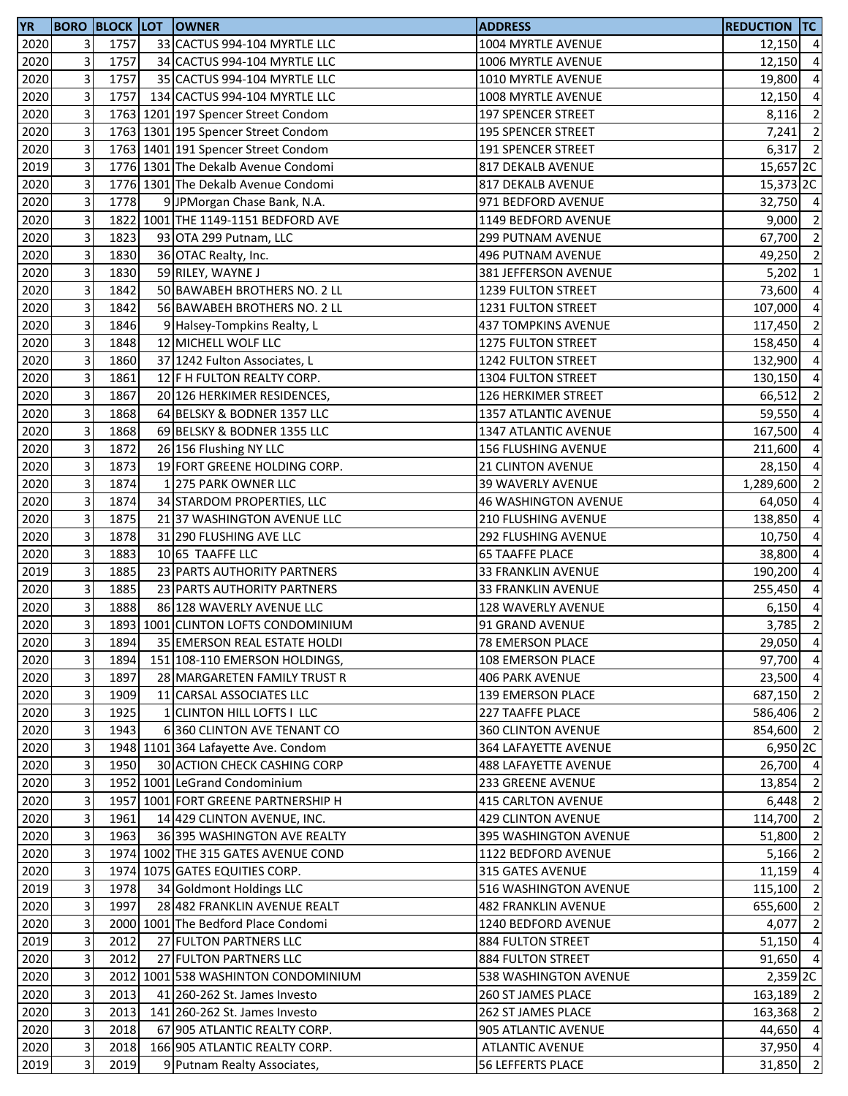| <b>YR</b> |                         |      | <b>BORO BLOCK LOT OWNER</b>         | <b>ADDRESS</b>              | <b>REDUCTION TC</b> |                |
|-----------|-------------------------|------|-------------------------------------|-----------------------------|---------------------|----------------|
| 2020      | 3                       | 1757 | 33 CACTUS 994-104 MYRTLE LLC        | 1004 MYRTLE AVENUE          | $12,150$ 4          |                |
| 2020      | 3                       | 1757 | 34 CACTUS 994-104 MYRTLE LLC        | 1006 MYRTLE AVENUE          | 12,150              | $\overline{4}$ |
| 2020      | 3                       | 1757 | 35 CACTUS 994-104 MYRTLE LLC        | 1010 MYRTLE AVENUE          | 19,800              | $\overline{4}$ |
| 2020      | 3                       | 1757 | 134 CACTUS 994-104 MYRTLE LLC       | 1008 MYRTLE AVENUE          | 12,150              | $\overline{4}$ |
| 2020      | 3                       |      | 1763 1201 197 Spencer Street Condom | 197 SPENCER STREET          | 8,116               | $\overline{2}$ |
| 2020      | 3                       |      | 1763 1301 195 Spencer Street Condom | <b>195 SPENCER STREET</b>   | 7,241               | $\overline{2}$ |
| 2020      | 3                       |      | 1763 1401 191 Spencer Street Condom | 191 SPENCER STREET          | 6,317               | $\overline{2}$ |
| 2019      | 3                       |      | 1776 1301 The Dekalb Avenue Condomi | 817 DEKALB AVENUE           | 15,657 2C           |                |
| 2020      | 3                       |      | 1776 1301 The Dekalb Avenue Condomi | 817 DEKALB AVENUE           | 15,373 2C           |                |
| 2020      | 3                       | 1778 | 9 JPMorgan Chase Bank, N.A.         | 971 BEDFORD AVENUE          | 32,750 4            |                |
| 2020      | 3                       |      | 1822 1001 THE 1149-1151 BEDFORD AVE | 1149 BEDFORD AVENUE         | $9,000$ 2           |                |
| 2020      | 3                       | 1823 | 93 OTA 299 Putnam, LLC              | 299 PUTNAM AVENUE           | 67,700 2            |                |
| 2020      | 3                       | 1830 | 36 OTAC Realty, Inc.                | 496 PUTNAM AVENUE           | 49,250 2            |                |
| 2020      | 3                       | 1830 | 59 RILEY, WAYNE J                   | 381 JEFFERSON AVENUE        | 5,202               | $\overline{1}$ |
| 2020      | 3                       | 1842 | 50 BAWABEH BROTHERS NO. 2 LL        | 1239 FULTON STREET          | 73,600              | $\overline{4}$ |
| 2020      | 3                       | 1842 | 56 BAWABEH BROTHERS NO. 2 LL        | 1231 FULTON STREET          | 107,000             | $\overline{4}$ |
| 2020      | 3                       | 1846 | 9 Halsey-Tompkins Realty, L         | <b>437 TOMPKINS AVENUE</b>  | 117,450             | $\overline{2}$ |
| 2020      | 3                       | 1848 | 12 MICHELL WOLF LLC                 | 1275 FULTON STREET          | 158,450             | $\overline{4}$ |
| 2020      | 3                       | 1860 | 37 1242 Fulton Associates, L        | 1242 FULTON STREET          | 132,900             | $\overline{4}$ |
| 2020      | 3                       | 1861 | 12 F H FULTON REALTY CORP.          | 1304 FULTON STREET          | 130,150             | $\overline{4}$ |
| 2020      | 3                       | 1867 | 20 126 HERKIMER RESIDENCES,         | 126 HERKIMER STREET         | 66,512              | $\overline{2}$ |
| 2020      | 3                       | 1868 | 64 BELSKY & BODNER 1357 LLC         | 1357 ATLANTIC AVENUE        | 59,550              | $\overline{4}$ |
| 2020      | 3                       | 1868 | 69 BELSKY & BODNER 1355 LLC         | 1347 ATLANTIC AVENUE        | 167,500             | $\overline{4}$ |
| 2020      | 3                       | 1872 | 26 156 Flushing NY LLC              | <b>156 FLUSHING AVENUE</b>  | 211,600             | $\overline{4}$ |
| 2020      | 3                       | 1873 | 19 FORT GREENE HOLDING CORP.        | <b>21 CLINTON AVENUE</b>    | 28,150              | $\overline{a}$ |
|           | 3                       | 1874 | 1 275 PARK OWNER LLC                |                             |                     | $\overline{2}$ |
| 2020      | 3                       | 1874 |                                     | 39 WAVERLY AVENUE           | 1,289,600           |                |
| 2020      |                         |      | 34 STARDOM PROPERTIES, LLC          | <b>46 WASHINGTON AVENUE</b> | 64,050              | $\overline{4}$ |
| 2020      | 3                       | 1875 | 21 37 WASHINGTON AVENUE LLC         | 210 FLUSHING AVENUE         | 138,850             | $\overline{4}$ |
| 2020      | 3                       | 1878 | 31 290 FLUSHING AVE LLC             | <b>292 FLUSHING AVENUE</b>  | 10,750              | $\overline{4}$ |
| 2020      | 3                       | 1883 | 10 65 TAAFFE LLC                    | <b>65 TAAFFE PLACE</b>      | 38,800              | $\overline{4}$ |
| 2019      | 3                       | 1885 | 23 PARTS AUTHORITY PARTNERS         | 33 FRANKLIN AVENUE          | 190,200             | $\overline{4}$ |
| 2020      | 3                       | 1885 | 23 PARTS AUTHORITY PARTNERS         | 33 FRANKLIN AVENUE          | 255,450             | $\overline{a}$ |
| 2020      | 3                       | 1888 | 86 128 WAVERLY AVENUE LLC           | <b>128 WAVERLY AVENUE</b>   | 6,150               | $\overline{4}$ |
| 2020      | 3                       |      | 1893 1001 CLINTON LOFTS CONDOMINIUM | 91 GRAND AVENUE             | 3,785               | $\overline{2}$ |
| 2020      | $\overline{\mathbf{3}}$ | 1894 | 35 EMERSON REAL ESTATE HOLDI        | <b>78 EMERSON PLACE</b>     | 29,050 4            |                |
| 2020      | 3                       | 1894 | 151 108-110 EMERSON HOLDINGS,       | 108 EMERSON PLACE           | 97,700 4            |                |
| 2020      | 3                       | 1897 | 28 MARGARETEN FAMILY TRUST R        | <b>406 PARK AVENUE</b>      | 23,500 4            |                |
| 2020      | 3                       | 1909 | 11 CARSAL ASSOCIATES LLC            | 139 EMERSON PLACE           | 687,150 2           |                |
| 2020      | 3                       | 1925 | 1 CLINTON HILL LOFTS I LLC          | <b>227 TAAFFE PLACE</b>     | 586,406 2           |                |
| 2020      | 3                       | 1943 | 6 360 CLINTON AVE TENANT CO         | 360 CLINTON AVENUE          | 854,600 2           |                |
| 2020      | 3                       |      | 1948 1101 364 Lafayette Ave. Condom | 364 LAFAYETTE AVENUE        | 6,950 2C            |                |
| 2020      | 3                       | 1950 | 30 ACTION CHECK CASHING CORP        | 488 LAFAYETTE AVENUE        | 26,700 4            |                |
| 2020      | 3                       |      | 1952 1001 LeGrand Condominium       | 233 GREENE AVENUE           | 13,854              | $\overline{2}$ |
| 2020      | 3                       |      | 1957 1001 FORT GREENE PARTNERSHIP H | 415 CARLTON AVENUE          | 6,448               | $\overline{2}$ |
| 2020      | 3                       | 1961 | 14 429 CLINTON AVENUE, INC.         | <b>429 CLINTON AVENUE</b>   | 114,700 2           |                |
| 2020      | 3                       | 1963 | 36 395 WASHINGTON AVE REALTY        | 395 WASHINGTON AVENUE       | 51,800 2            |                |
| 2020      | 3                       |      | 1974 1002 THE 315 GATES AVENUE COND | 1122 BEDFORD AVENUE         | 5,166               | $\overline{2}$ |
| 2020      | 3                       |      | 1974 1075 GATES EQUITIES CORP.      | 315 GATES AVENUE            | 11,159 4            |                |
| 2019      | 3                       | 1978 | 34 Goldmont Holdings LLC            | 516 WASHINGTON AVENUE       | 115,100             | $\overline{2}$ |
| 2020      | 3                       | 1997 | 28 482 FRANKLIN AVENUE REALT        | <b>482 FRANKLIN AVENUE</b>  | 655,600             | $\overline{2}$ |
| 2020      | 3                       |      | 2000 1001 The Bedford Place Condomi | 1240 BEDFORD AVENUE         | 4,077               | $\overline{2}$ |
| 2019      | 3                       | 2012 | 27 FULTON PARTNERS LLC              | 884 FULTON STREET           | $51,150$ 4          |                |
| 2020      | 3                       | 2012 | 27 FULTON PARTNERS LLC              | 884 FULTON STREET           | 91,650              | $\overline{4}$ |
| 2020      | 3                       |      | 2012 1001 538 WASHINTON CONDOMINIUM | 538 WASHINGTON AVENUE       | $2,359$ 2C          |                |
| 2020      | 3                       | 2013 | 41 260-262 St. James Investo        | <b>260 ST JAMES PLACE</b>   | 163,189 2           |                |
| 2020      | 3                       | 2013 | 141 260-262 St. James Investo       | 262 ST JAMES PLACE          | 163,368             | $\overline{2}$ |
| 2020      | 3                       | 2018 | 67 905 ATLANTIC REALTY CORP.        | 905 ATLANTIC AVENUE         | 44,650              | $\overline{4}$ |
| 2020      | 3                       | 2018 | 166 905 ATLANTIC REALTY CORP.       | <b>ATLANTIC AVENUE</b>      | 37,950 4            |                |
| 2019      | 3                       | 2019 | 9 Putnam Realty Associates,         | 56 LEFFERTS PLACE           | 31,850              | $\overline{2}$ |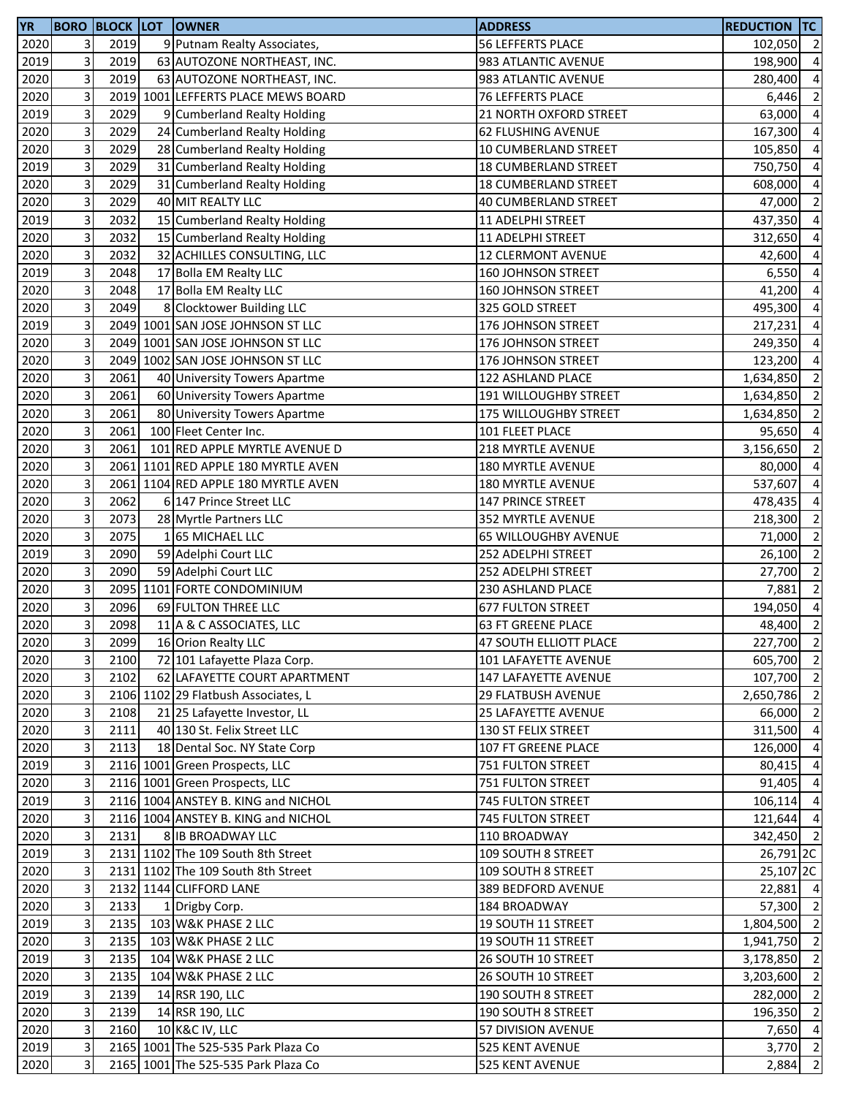| <b>YR</b> |                           |      | <b>BORO BLOCK LOT OWNER</b>         | <b>ADDRESS</b>             | <b>REDUCTION TC</b>  |                          |
|-----------|---------------------------|------|-------------------------------------|----------------------------|----------------------|--------------------------|
| 2020      | 3 <sup>1</sup>            | 2019 | 9 Putnam Realty Associates,         | 56 LEFFERTS PLACE          | 102,050 2            |                          |
| 2019      | 3                         | 2019 | 63 AUTOZONE NORTHEAST, INC.         | 983 ATLANTIC AVENUE        | 198,900              | $\overline{a}$           |
| 2020      | $\overline{\mathbf{3}}$   | 2019 | 63 AUTOZONE NORTHEAST, INC.         | 983 ATLANTIC AVENUE        | 280,400              | $\overline{4}$           |
| 2020      | 3                         |      | 2019 1001 LEFFERTS PLACE MEWS BOARD | 76 LEFFERTS PLACE          | 6,446                | $\overline{2}$           |
| 2019      | 3                         | 2029 | 9 Cumberland Realty Holding         | 21 NORTH OXFORD STREET     | 63,000 4             |                          |
| 2020      | $\mathbf{3}$              | 2029 | 24 Cumberland Realty Holding        | 62 FLUSHING AVENUE         | 167,300              | $\overline{4}$           |
| 2020      | $\mathbf{3}$              | 2029 | 28 Cumberland Realty Holding        | 10 CUMBERLAND STREET       | 105,850              | $\overline{4}$           |
| 2019      | 3                         | 2029 | 31 Cumberland Realty Holding        | 18 CUMBERLAND STREET       | 750,750              | $\overline{a}$           |
| 2020      | 3                         | 2029 | 31 Cumberland Realty Holding        | 18 CUMBERLAND STREET       | 608,000              | $\overline{a}$           |
| 2020      | $\overline{\mathbf{3}}$   | 2029 | 40 MIT REALTY LLC                   | 40 CUMBERLAND STREET       | 47,000               | $\overline{2}$           |
| 2019      | 3                         | 2032 | 15 Cumberland Realty Holding        | 11 ADELPHI STREET          | 437,350              | $\overline{4}$           |
| 2020      | $\mathbf{3}$              | 2032 | 15 Cumberland Realty Holding        | 11 ADELPHI STREET          | 312,650              | $\overline{4}$           |
| 2020      | $\mathbf{3}$              | 2032 | 32 ACHILLES CONSULTING, LLC         | <b>12 CLERMONT AVENUE</b>  | 42,600               | $\overline{4}$           |
| 2019      | $\overline{3}$            | 2048 | 17 Bolla EM Realty LLC              | 160 JOHNSON STREET         | 6,550                | $\overline{4}$           |
| 2020      | 3                         | 2048 | 17 Bolla EM Realty LLC              | <b>160 JOHNSON STREET</b>  | 41,200               | $\overline{4}$           |
| 2020      | $\mathbf{3}$              | 2049 | 8 Clocktower Building LLC           | 325 GOLD STREET            | 495,300              | $\overline{4}$           |
| 2019      | 3                         |      | 2049 1001 SAN JOSE JOHNSON ST LLC   | 176 JOHNSON STREET         | 217,231              | $\overline{4}$           |
| 2020      | $\overline{3}$            |      | 2049 1001 SAN JOSE JOHNSON ST LLC   | 176 JOHNSON STREET         | 249,350              | $\overline{4}$           |
| 2020      | 3                         |      | 2049 1002 SAN JOSE JOHNSON ST LLC   | 176 JOHNSON STREET         | 123,200              | $\overline{a}$           |
| 2020      | 3                         | 2061 | 40 University Towers Apartme        | 122 ASHLAND PLACE          | 1,634,850            | $\overline{2}$           |
| 2020      | 3                         | 2061 | 60 University Towers Apartme        | 191 WILLOUGHBY STREET      | 1,634,850            | $\overline{2}$           |
| 2020      | $\overline{\mathbf{3}}$   | 2061 | 80 University Towers Apartme        | 175 WILLOUGHBY STREET      | 1,634,850            | $\overline{2}$           |
| 2020      | 3                         | 2061 | 100 Fleet Center Inc.               | 101 FLEET PLACE            | 95,650               | $\overline{4}$           |
| 2020      | $\mathbf{3}$              | 2061 | 101 RED APPLE MYRTLE AVENUE D       | 218 MYRTLE AVENUE          | 3,156,650            | $\overline{2}$           |
| 2020      | 3                         |      | 2061 1101 RED APPLE 180 MYRTLE AVEN | 180 MYRTLE AVENUE          | 80,000               | $\overline{4}$           |
| 2020      | 3                         |      | 2061 1104 RED APPLE 180 MYRTLE AVEN | 180 MYRTLE AVENUE          | 537,607              | $\overline{a}$           |
| 2020      | 3                         | 2062 | 6 147 Prince Street LLC             | 147 PRINCE STREET          | 478,435              | $\overline{a}$           |
| 2020      | 3                         | 2073 | 28 Myrtle Partners LLC              | 352 MYRTLE AVENUE          | 218,300              | $\overline{2}$           |
| 2020      | $\mathbf{3}$              | 2075 | 165 MICHAEL LLC                     | 65 WILLOUGHBY AVENUE       | 71,000               | $\overline{\phantom{a}}$ |
| 2019      | $\overline{3}$            | 2090 | 59 Adelphi Court LLC                | 252 ADELPHI STREET         | 26,100               | $\overline{2}$           |
| 2020      | 3                         | 2090 | 59 Adelphi Court LLC                | 252 ADELPHI STREET         | 27,700               | $\overline{2}$           |
| 2020      | $\overline{\mathbf{3}}$   |      | 2095 1101 FORTE CONDOMINIUM         | 230 ASHLAND PLACE          | 7,881                | $\overline{2}$           |
| 2020      | 3                         | 2096 | 69 FULTON THREE LLC                 | <b>677 FULTON STREET</b>   | 194,050              | $\overline{4}$           |
| 2020      | 3                         | 2098 | 11 A & C ASSOCIATES, LLC            | 63 FT GREENE PLACE         | 48,400               | $\overline{2}$           |
| 2020      | 3 <sup>1</sup>            | 2099 | 16 Orion Realty LLC                 | 47 SOUTH ELLIOTT PLACE     | 227,700 2            |                          |
| 2020      | $\mathbf{3}$              | 2100 | 72 101 Lafayette Plaza Corp.        | 101 LAFAYETTE AVENUE       | 605,700 2            |                          |
| 2020      | $\overline{3}$            | 2102 | 62 LAFAYETTE COURT APARTMENT        | 147 LAFAYETTE AVENUE       | 107,700 2            |                          |
| 2020      | 3 <sup>1</sup>            |      | 2106 1102 29 Flatbush Associates, L | <b>29 FLATBUSH AVENUE</b>  | 2,650,786 2          |                          |
| 2020      | $\overline{3}$            | 2108 | 21 25 Lafayette Investor, LL        | <b>25 LAFAYETTE AVENUE</b> | 66,000 2             |                          |
| 2020      | $\ensuremath{\mathsf{3}}$ | 2111 | 40 130 St. Felix Street LLC         | 130 ST FELIX STREET        | 311,500 4            |                          |
| 2020      | $\overline{3}$            | 2113 | 18 Dental Soc. NY State Corp        | 107 FT GREENE PLACE        | 126,000              | $\overline{4}$           |
| 2019      | 3                         |      | 2116 1001 Green Prospects, LLC      | 751 FULTON STREET          | 80,415               | $\overline{4}$           |
| 2020      | 3                         |      | 2116 1001 Green Prospects, LLC      | 751 FULTON STREET          | 91,405               | $\overline{4}$           |
| 2019      | 3                         |      | 2116 1004 ANSTEY B. KING and NICHOL | 745 FULTON STREET          | 106,114              | $\overline{4}$           |
| 2020      | 3                         |      | 2116 1004 ANSTEY B. KING and NICHOL | 745 FULTON STREET          | 121,644              | $\overline{4}$           |
| 2020      | $\overline{3}$            | 2131 | 8 IB BROADWAY LLC                   | 110 BROADWAY               | 342,450 2            |                          |
| 2019      | 3 <sup>1</sup>            |      | 2131 1102 The 109 South 8th Street  | 109 SOUTH 8 STREET         | 26,791 <sub>2C</sub> |                          |
| 2020      | 3                         |      | 2131 1102 The 109 South 8th Street  | 109 SOUTH 8 STREET         | 25,107 2C            |                          |
| 2020      | $\mathbf{3}$              |      | 2132 1144 CLIFFORD LANE             | 389 BEDFORD AVENUE         | 22,881               | $\overline{4}$           |
| 2020      | 3                         | 2133 | 1 Drigby Corp.                      | 184 BROADWAY               | 57,300 2             |                          |
| 2019      | 3                         | 2135 | 103 W&K PHASE 2 LLC                 | 19 SOUTH 11 STREET         | 1,804,500 2          |                          |
| 2020      | 3                         | 2135 | 103 W&K PHASE 2 LLC                 | 19 SOUTH 11 STREET         | 1,941,750 2          |                          |
| 2019      | $\overline{3}$            | 2135 | 104 W&K PHASE 2 LLC                 | 26 SOUTH 10 STREET         | 3,178,850            | $\overline{2}$           |
| 2020      | 3 <sup>1</sup>            | 2135 | 104 W&K PHASE 2 LLC                 | 26 SOUTH 10 STREET         | 3,203,600 2          |                          |
| 2019      | $\overline{3}$            | 2139 | 14 RSR 190, LLC                     | 190 SOUTH 8 STREET         | 282,000 2            |                          |
| 2020      | $\overline{3}$            | 2139 | 14 RSR 190, LLC                     | <b>190 SOUTH 8 STREET</b>  | 196,350 2            |                          |
| 2020      | $\mathbf{3}$              | 2160 | 10 K&C IV, LLC                      | 57 DIVISION AVENUE         | 7,650 4              |                          |
| 2019      | $\overline{3}$            |      | 2165 1001 The 525-535 Park Plaza Co | 525 KENT AVENUE            | $3,770$ 2            |                          |
| 2020      | $\overline{3}$            |      | 2165 1001 The 525-535 Park Plaza Co | 525 KENT AVENUE            | 2,884                | $\overline{2}$           |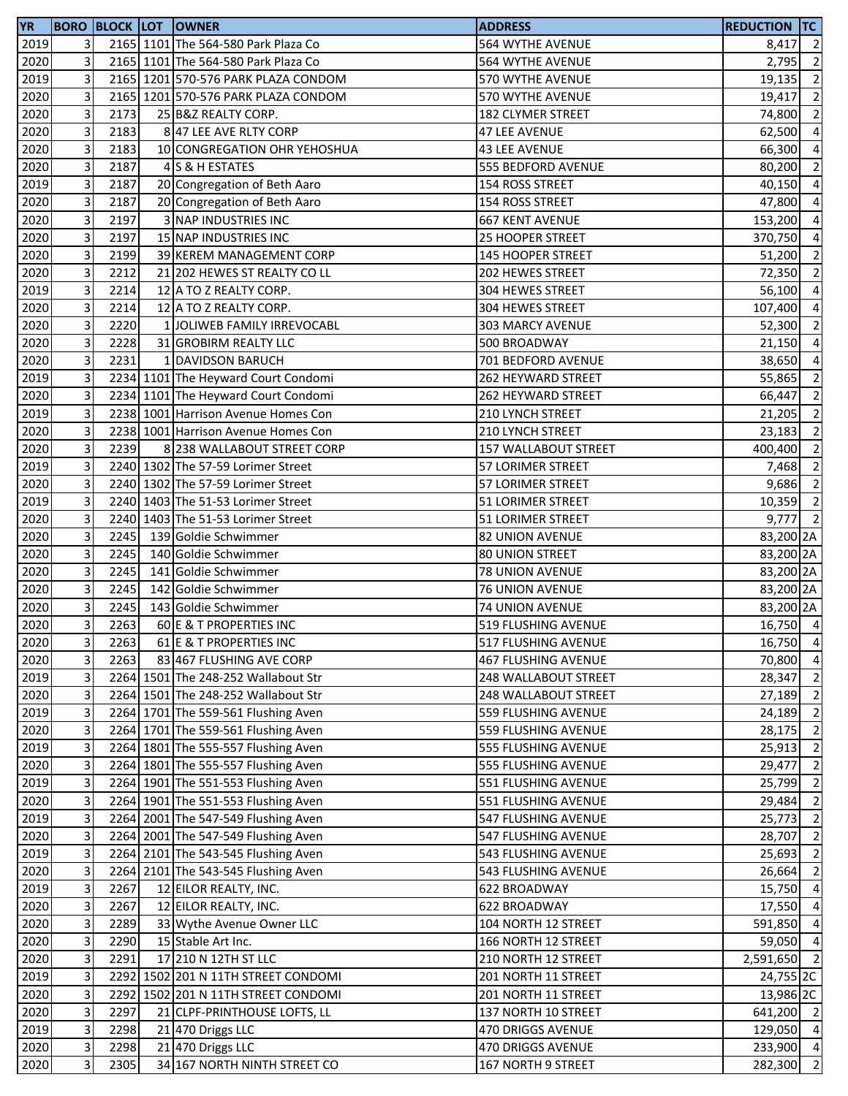| <b>YR</b> |                |      | <b>BORO BLOCK LOT OWNER</b>         | <b>ADDRESS</b>             | <b>REDUCTION TC</b> |                |
|-----------|----------------|------|-------------------------------------|----------------------------|---------------------|----------------|
| 2019      | $\overline{3}$ |      | 2165 1101 The 564-580 Park Plaza Co | 564 WYTHE AVENUE           | 8,417 2             |                |
| 2020      | 3              |      | 2165 1101 The 564-580 Park Plaza Co | 564 WYTHE AVENUE           | 2,795               | $\overline{2}$ |
| 2019      | 3              |      | 2165 1201 570-576 PARK PLAZA CONDOM | 570 WYTHE AVENUE           | 19,135              | $\overline{2}$ |
| 2020      | 3              |      | 2165 1201 570-576 PARK PLAZA CONDOM | 570 WYTHE AVENUE           | 19,417              | $\overline{2}$ |
| 2020      | 3              | 2173 | 25 B&Z REALTY CORP.                 | 182 CLYMER STREET          | 74,800 2            |                |
| 2020      | 3              | 2183 | 8 47 LEE AVE RLTY CORP              | <b>47 LEE AVENUE</b>       | 62,500 4            |                |
| 2020      | 3              | 2183 | 10 CONGREGATION OHR YEHOSHUA        | <b>43 LEE AVENUE</b>       | 66,300              | $\overline{4}$ |
| 2020      | 3              | 2187 | 4 S & H ESTATES                     | 555 BEDFORD AVENUE         | 80,200              | $\overline{2}$ |
| 2019      | 3              | 2187 | 20 Congregation of Beth Aaro        | 154 ROSS STREET            | 40,150              | $\overline{4}$ |
| 2020      | 3              | 2187 | 20 Congregation of Beth Aaro        | 154 ROSS STREET            | 47,800              | $\overline{a}$ |
| 2020      | 3              | 2197 | 3 NAP INDUSTRIES INC                | <b>667 KENT AVENUE</b>     | 153,200             | $\overline{4}$ |
| 2020      | 3              | 2197 | 15 NAP INDUSTRIES INC               | 25 HOOPER STREET           | 370,750             | $\overline{4}$ |
|           | 3              | 2199 | 39 KEREM MANAGEMENT CORP            | 145 HOOPER STREET          | 51,200 2            |                |
| 2020      | 3              | 2212 |                                     |                            | 72,350 2            |                |
| 2020      |                |      | 21 202 HEWES ST REALTY CO LL        | 202 HEWES STREET           |                     |                |
| 2019      | 3              | 2214 | 12 A TO Z REALTY CORP.              | 304 HEWES STREET           | 56,100              | $\overline{4}$ |
| 2020      | 3              | 2214 | 12 A TO Z REALTY CORP.              | 304 HEWES STREET           | 107,400             | $\overline{4}$ |
| 2020      | 3              | 2220 | 1 JOLIWEB FAMILY IRREVOCABL         | 303 MARCY AVENUE           | 52,300              | $\overline{2}$ |
| 2020      | 3              | 2228 | 31 GROBIRM REALTY LLC               | 500 BROADWAY               | 21,150              | $\overline{4}$ |
| 2020      | 3              | 2231 | 1 DAVIDSON BARUCH                   | 701 BEDFORD AVENUE         | 38,650              | $\overline{a}$ |
| 2019      | 3              |      | 2234 1101 The Heyward Court Condomi | 262 HEYWARD STREET         | 55,865              | $\overline{2}$ |
| 2020      | 3              |      | 2234 1101 The Heyward Court Condomi | 262 HEYWARD STREET         | 66,447              | $\overline{2}$ |
| 2019      | 3              |      | 2238 1001 Harrison Avenue Homes Con | 210 LYNCH STREET           | $21,205$ 2          |                |
| 2020      | 3              |      | 2238 1001 Harrison Avenue Homes Con | 210 LYNCH STREET           | 23,183              | $\overline{2}$ |
| 2020      | 3              | 2239 | 8 238 WALLABOUT STREET CORP         | 157 WALLABOUT STREET       | 400,400             | $\overline{2}$ |
| 2019      | 3              |      | 2240 1302 The 57-59 Lorimer Street  | 57 LORIMER STREET          | 7,468               | $\overline{2}$ |
| 2020      | 3              |      | 2240 1302 The 57-59 Lorimer Street  | 57 LORIMER STREET          | 9,686               | $\overline{2}$ |
| 2019      | 3              |      | 2240 1403 The 51-53 Lorimer Street  | 51 LORIMER STREET          | 10,359              | $\overline{2}$ |
| 2020      | 3              |      | 2240 1403 The 51-53 Lorimer Street  | 51 LORIMER STREET          | $9,777$ 2           |                |
| 2020      | 3              | 2245 | 139 Goldie Schwimmer                | 82 UNION AVENUE            | 83,200 2A           |                |
| 2020      | 3              | 2245 | 140 Goldie Schwimmer                | <b>80 UNION STREET</b>     | 83,200 2A           |                |
| 2020      | 3              | 2245 | 141 Goldie Schwimmer                | <b>78 UNION AVENUE</b>     | 83,200 2A           |                |
| 2020      | 3              | 2245 | 142 Goldie Schwimmer                | <b>76 UNION AVENUE</b>     | 83,200 2A           |                |
| 2020      | 3              | 2245 | 143 Goldie Schwimmer                | 74 UNION AVENUE            | 83,200 2A           |                |
| 2020      | 3              | 2263 | 60 E & T PROPERTIES INC             | 519 FLUSHING AVENUE        | 16,750 4            |                |
| 2020      | 3              | 2263 | 61 E & T PROPERTIES INC             | 517 FLUSHING AVENUE        | 16,750 4            |                |
| 2020      | 3              | 2263 | 83 467 FLUSHING AVE CORP            | <b>467 FLUSHING AVENUE</b> | 70,800 4            |                |
| 2019      | 3              |      | 2264 1501 The 248-252 Wallabout Str | 248 WALLABOUT STREET       | 28,347              | $\overline{2}$ |
| 2020      | 3              |      | 2264 1501 The 248-252 Wallabout Str | 248 WALLABOUT STREET       | 27,189 2            |                |
| 2019      | 3              |      | 2264 1701 The 559-561 Flushing Aven | 559 FLUSHING AVENUE        | 24,189 2            |                |
| 2020      | 3              |      |                                     | 559 FLUSHING AVENUE        | 28,175 2            |                |
|           |                |      | 2264 1701 The 559-561 Flushing Aven |                            |                     |                |
| 2019      | 3              |      | 2264 1801 The 555-557 Flushing Aven | 555 FLUSHING AVENUE        | 25,913 2            |                |
| 2020      | 3              |      | 2264 1801 The 555-557 Flushing Aven | 555 FLUSHING AVENUE        | 29,477 2            |                |
| 2019      | 3              |      | 2264 1901 The 551-553 Flushing Aven | 551 FLUSHING AVENUE        | 25,799 2            |                |
| 2020      | 3              |      | 2264 1901 The 551-553 Flushing Aven | 551 FLUSHING AVENUE        | 29,484              | $\overline{2}$ |
| 2019      | 3              |      | 2264 2001 The 547-549 Flushing Aven | 547 FLUSHING AVENUE        | $25,773$ 2          |                |
| 2020      | 3              |      | 2264 2001 The 547-549 Flushing Aven | 547 FLUSHING AVENUE        | 28,707 2            |                |
| 2019      | 3              |      | 2264 2101 The 543-545 Flushing Aven | 543 FLUSHING AVENUE        | 25,693 2            |                |
| 2020      | 3              |      | 2264 2101 The 543-545 Flushing Aven | 543 FLUSHING AVENUE        | 26,664 2            |                |
| 2019      | 3              | 2267 | 12 EILOR REALTY, INC.               | 622 BROADWAY               | 15,750 4            |                |
| 2020      | 3              | 2267 | 12 EILOR REALTY, INC.               | 622 BROADWAY               | 17,550 4            |                |
| 2020      | 3              | 2289 | 33 Wythe Avenue Owner LLC           | 104 NORTH 12 STREET        | 591,850 4           |                |
| 2020      | 3              | 2290 | 15 Stable Art Inc.                  | 166 NORTH 12 STREET        | 59,050 4            |                |
| 2020      | 3              | 2291 | 17 210 N 12TH ST LLC                | 210 NORTH 12 STREET        | 2,591,650 2         |                |
| 2019      | 3              |      | 2292 1502 201 N 11TH STREET CONDOMI | 201 NORTH 11 STREET        | 24,755 2C           |                |
| 2020      | 3              |      | 2292 1502 201 N 11TH STREET CONDOMI | 201 NORTH 11 STREET        | 13,986 2C           |                |
| 2020      | 3              | 2297 | 21 CLPF-PRINTHOUSE LOFTS, LL        | 137 NORTH 10 STREET        | 641,200 2           |                |
| 2019      | 3              | 2298 | 21 470 Driggs LLC                   | 470 DRIGGS AVENUE          | 129,050 4           |                |
| 2020      | 3              | 2298 | 21 470 Driggs LLC                   | 470 DRIGGS AVENUE          | 233,900 4           |                |
| 2020      | 3              | 2305 | 34 167 NORTH NINTH STREET CO        | 167 NORTH 9 STREET         | 282,300 2           |                |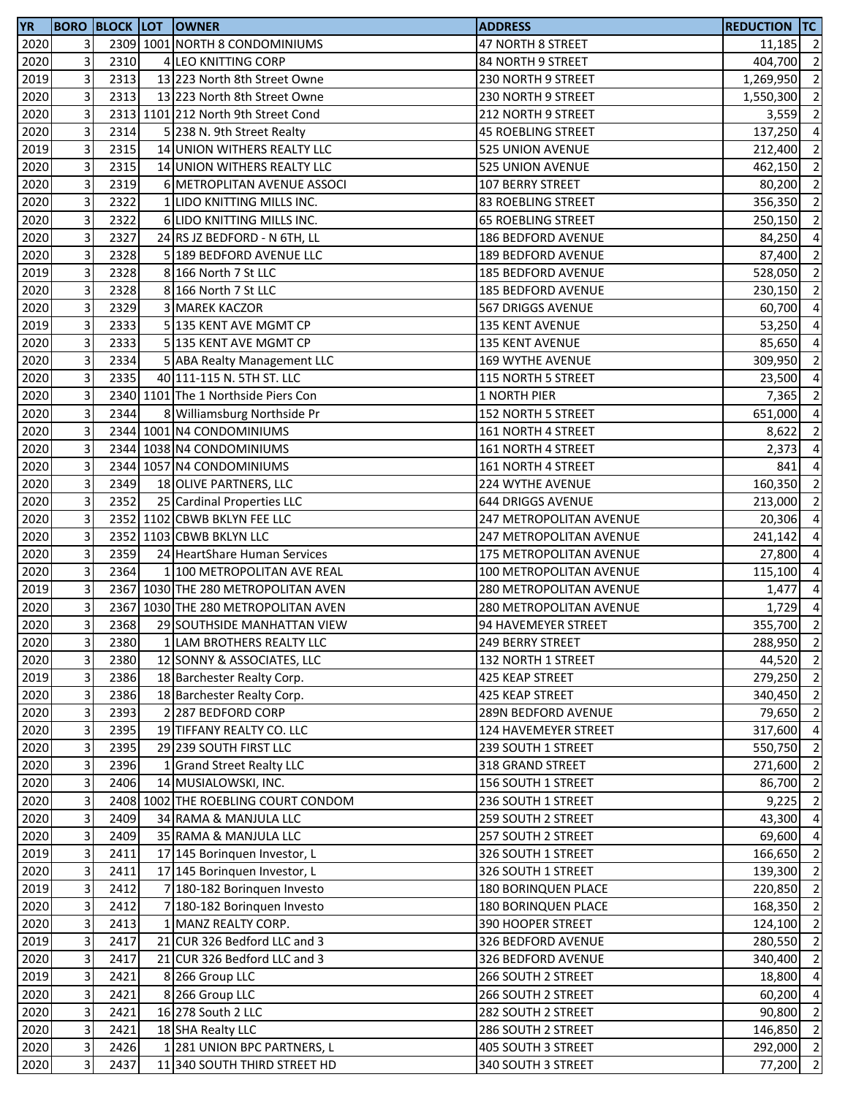| <b>YR</b> |                         |      | <b>BORO BLOCK LOT OWNER</b>         | <b>ADDRESS</b>                 | <b>REDUCTION TC</b> |                |
|-----------|-------------------------|------|-------------------------------------|--------------------------------|---------------------|----------------|
| 2020      | 3                       |      | 2309 1001 NORTH 8 CONDOMINIUMS      | 47 NORTH 8 STREET              | 11,185              | $\overline{2}$ |
| 2020      | 3                       | 2310 | 4 LEO KNITTING CORP                 | 84 NORTH 9 STREET              | 404,700             | $\overline{2}$ |
| 2019      | 3                       | 2313 | 13 223 North 8th Street Owne        | 230 NORTH 9 STREET             | 1,269,950           | $\overline{2}$ |
| 2020      | 3                       | 2313 | 13 223 North 8th Street Owne        | 230 NORTH 9 STREET             | 1,550,300           | $\overline{2}$ |
| 2020      | 3                       |      | 2313 1101 212 North 9th Street Cond | 212 NORTH 9 STREET             | 3,559               | $\overline{2}$ |
| 2020      | 3                       | 2314 | 5 238 N. 9th Street Realty          | <b>45 ROEBLING STREET</b>      | 137,250             | $\overline{4}$ |
| 2019      | 3                       | 2315 | 14 UNION WITHERS REALTY LLC         | 525 UNION AVENUE               | 212,400             | $\overline{2}$ |
| 2020      | 3                       | 2315 | 14 UNION WITHERS REALTY LLC         | 525 UNION AVENUE               | 462,150             | $\overline{2}$ |
| 2020      | 3                       | 2319 | 6 METROPLITAN AVENUE ASSOCI         | 107 BERRY STREET               | 80,200              | $\overline{2}$ |
| 2020      | 3                       | 2322 | 1 LIDO KNITTING MILLS INC.          | 83 ROEBLING STREET             | 356,350             | $\overline{2}$ |
| 2020      | 3                       | 2322 | 6 LIDO KNITTING MILLS INC.          | <b>65 ROEBLING STREET</b>      | 250,150             | $\overline{2}$ |
| 2020      | 3                       | 2327 | 24 RS JZ BEDFORD - N 6TH, LL        | 186 BEDFORD AVENUE             | 84,250              | $\overline{4}$ |
| 2020      | 3                       | 2328 | 5 189 BEDFORD AVENUE LLC            | 189 BEDFORD AVENUE             | 87,400              | $\overline{2}$ |
| 2019      | 3                       | 2328 | 8 166 North 7 St LLC                | <b>185 BEDFORD AVENUE</b>      | 528,050             | $\overline{2}$ |
| 2020      | 3                       | 2328 | 8 166 North 7 St LLC                | 185 BEDFORD AVENUE             | 230,150             | $\overline{2}$ |
| 2020      | 3                       | 2329 | 3 MAREK KACZOR                      | 567 DRIGGS AVENUE              | 60,700              | $\overline{4}$ |
| 2019      | 3                       | 2333 | 5 135 KENT AVE MGMT CP              | <b>135 KENT AVENUE</b>         | 53,250              | $\overline{4}$ |
| 2020      | 3                       | 2333 | 5 135 KENT AVE MGMT CP              | 135 KENT AVENUE                |                     | $\overline{4}$ |
|           | 3                       |      |                                     |                                | 85,650              | $\overline{2}$ |
| 2020      |                         | 2334 | 5 ABA Realty Management LLC         | 169 WYTHE AVENUE               | 309,950             |                |
| 2020      | 3                       | 2335 | 40 111-115 N. 5TH ST. LLC           | 115 NORTH 5 STREET             | 23,500              | $\overline{4}$ |
| 2020      | 3                       |      | 2340 1101 The 1 Northside Piers Con | 1 NORTH PIER                   | 7,365               | $\overline{2}$ |
| 2020      | 3                       | 2344 | 8 Williamsburg Northside Pr         | <b>152 NORTH 5 STREET</b>      | 651,000             | $\overline{4}$ |
| 2020      | 3                       |      | 2344 1001 N4 CONDOMINIUMS           | 161 NORTH 4 STREET             | 8,622               | $\overline{2}$ |
| 2020      | 3                       |      | 2344 1038 N4 CONDOMINIUMS           | 161 NORTH 4 STREET             | 2,373               | $\overline{4}$ |
| 2020      | 3                       |      | 2344 1057 N4 CONDOMINIUMS           | 161 NORTH 4 STREET             | 841                 | $\overline{4}$ |
| 2020      | 3                       | 2349 | 18 OLIVE PARTNERS, LLC              | 224 WYTHE AVENUE               | 160,350             | $\overline{2}$ |
| 2020      | 3                       | 2352 | 25 Cardinal Properties LLC          | 644 DRIGGS AVENUE              | 213,000             | $\overline{2}$ |
| 2020      | 3                       |      | 2352 1102 CBWB BKLYN FEE LLC        | 247 METROPOLITAN AVENUE        | 20,306              | $\overline{a}$ |
| 2020      | 3                       |      | 2352 1103 CBWB BKLYN LLC            | <b>247 METROPOLITAN AVENUE</b> | 241,142             | $\overline{a}$ |
| 2020      | 3                       | 2359 | 24 HeartShare Human Services        | <b>175 METROPOLITAN AVENUE</b> | 27,800              | $\overline{4}$ |
| 2020      | 3                       | 2364 | 1 100 METROPOLITAN AVE REAL         | 100 METROPOLITAN AVENUE        | 115,100             | $\overline{4}$ |
| 2019      | 3                       |      | 2367 1030 THE 280 METROPOLITAN AVEN | 280 METROPOLITAN AVENUE        | 1,477               | $\overline{4}$ |
| 2020      | 3                       |      | 2367 1030 THE 280 METROPOLITAN AVEN | 280 METROPOLITAN AVENUE        | 1,729               | $\overline{4}$ |
| 2020      | 3                       | 2368 | 29 SOUTHSIDE MANHATTAN VIEW         | 94 HAVEMEYER STREET            | 355,700             | $\overline{2}$ |
| 2020      | $\overline{\mathbf{3}}$ | 2380 | 1 LAM BROTHERS REALTY LLC           | 249 BERRY STREET               | 288,950 2           |                |
| 2020      | 3                       | 2380 | 12 SONNY & ASSOCIATES, LLC          | 132 NORTH 1 STREET             | 44,520 2            |                |
| 2019      | 3                       | 2386 | 18 Barchester Realty Corp.          | 425 KEAP STREET                | 279,250 2           |                |
| 2020      | 3                       | 2386 | 18 Barchester Realty Corp.          | 425 KEAP STREET                | 340,450 2           |                |
| 2020      | 3                       | 2393 | 2 287 BEDFORD CORP                  | 289N BEDFORD AVENUE            | 79,650              | $\overline{2}$ |
| 2020      | 3                       | 2395 | 19 TIFFANY REALTY CO. LLC           | 124 HAVEMEYER STREET           | 317,600 4           |                |
| 2020      | 3                       | 2395 | 29 239 SOUTH FIRST LLC              | 239 SOUTH 1 STREET             | 550,750             | $\overline{2}$ |
| 2020      | 3                       | 2396 | 1 Grand Street Realty LLC           | 318 GRAND STREET               | 271,600             | $\overline{2}$ |
| 2020      | 3                       | 2406 | 14 MUSIALOWSKI, INC.                | 156 SOUTH 1 STREET             | 86,700              | $\overline{2}$ |
| 2020      | 3                       |      | 2408 1002 THE ROEBLING COURT CONDOM | 236 SOUTH 1 STREET             | 9,225               | $\overline{2}$ |
| 2020      | 3                       | 2409 | 34 RAMA & MANJULA LLC               | 259 SOUTH 2 STREET             | 43,300              | $\overline{4}$ |
| 2020      | 3                       | 2409 | 35 RAMA & MANJULA LLC               | 257 SOUTH 2 STREET             | 69,600 4            |                |
| 2019      | 3                       | 2411 | 17 145 Boringuen Investor, L        | 326 SOUTH 1 STREET             | 166,650             | $\overline{2}$ |
| 2020      | 3                       | 2411 | 17 145 Borinquen Investor, L        | 326 SOUTH 1 STREET             | 139,300             | $\overline{2}$ |
| 2019      | 3                       | 2412 | 7 180-182 Borinquen Investo         | <b>180 BORINQUEN PLACE</b>     | 220,850             | $\overline{2}$ |
| 2020      | 3                       | 2412 | 7 180-182 Borinquen Investo         | 180 BORINQUEN PLACE            | 168,350             | $\overline{2}$ |
| 2020      | 3                       | 2413 | 1 MANZ REALTY CORP.                 | 390 HOOPER STREET              | 124,100             | $\overline{2}$ |
| 2019      | 3                       | 2417 | 21 CUR 326 Bedford LLC and 3        | 326 BEDFORD AVENUE             | 280,550             | $\overline{2}$ |
| 2020      | 3                       | 2417 | 21 CUR 326 Bedford LLC and 3        | 326 BEDFORD AVENUE             | 340,400             | $\overline{2}$ |
| 2019      | 3                       | 2421 | 8 266 Group LLC                     | 266 SOUTH 2 STREET             | 18,800              | $\overline{4}$ |
| 2020      | 3                       | 2421 | 8 266 Group LLC                     | 266 SOUTH 2 STREET             | 60,200              | $\overline{4}$ |
| 2020      | 3                       | 2421 | 16 278 South 2 LLC                  | 282 SOUTH 2 STREET             | 90,800              | $\overline{2}$ |
| 2020      | 3                       | 2421 | 18 SHA Realty LLC                   | 286 SOUTH 2 STREET             | 146,850             | $\overline{2}$ |
| 2020      | 3                       | 2426 | 1 281 UNION BPC PARTNERS, L         | 405 SOUTH 3 STREET             | 292,000 2           |                |
| 2020      | 3                       | 2437 | 11 340 SOUTH THIRD STREET HD        | 340 SOUTH 3 STREET             | 77,200              | $\overline{2}$ |
|           |                         |      |                                     |                                |                     |                |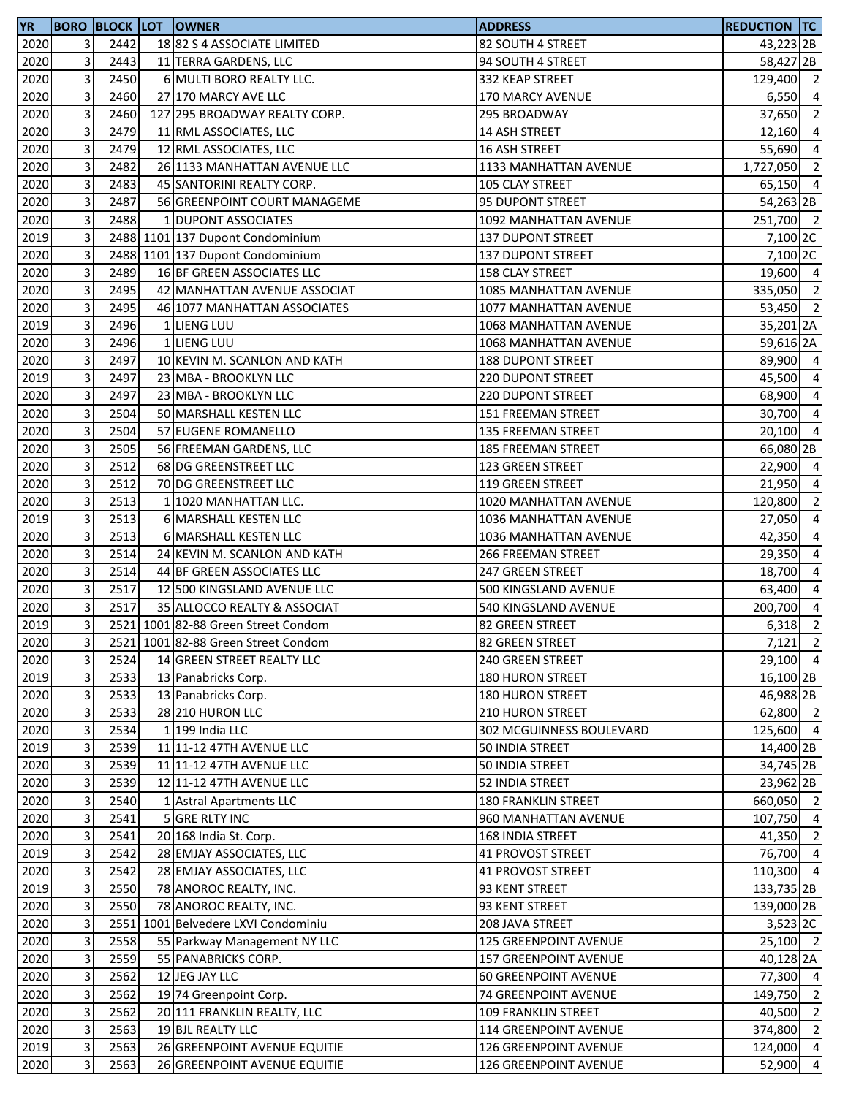| <b>YR</b> |                |      | <b>BORO BLOCK LOT OWNER</b>         | <b>ADDRESS</b>               | Reduction  TC         |                |
|-----------|----------------|------|-------------------------------------|------------------------------|-----------------------|----------------|
| 2020      | $\overline{3}$ | 2442 | 18 82 S 4 ASSOCIATE LIMITED         | 82 SOUTH 4 STREET            | 43,223 2B             |                |
| 2020      | 3              | 2443 | 11 TERRA GARDENS, LLC               | 94 SOUTH 4 STREET            | 58,427 <sub>2B</sub>  |                |
| 2020      | 3              | 2450 | 6 MULTI BORO REALTY LLC.            | 332 KEAP STREET              | 129,400 2             |                |
| 2020      | 3              | 2460 | 27 170 MARCY AVE LLC                | 170 MARCY AVENUE             | 6,550                 | $\overline{4}$ |
| 2020      | 3              | 2460 | 127 295 BROADWAY REALTY CORP.       | 295 BROADWAY                 | 37,650                | $\overline{2}$ |
| 2020      | 3              | 2479 | 11 RML ASSOCIATES, LLC              | 14 ASH STREET                | 12,160 4              |                |
| 2020      | 3              | 2479 | 12 RML ASSOCIATES, LLC              | <b>16 ASH STREET</b>         | 55,690                | $\overline{4}$ |
| 2020      | 3              | 2482 | 26 1133 MANHATTAN AVENUE LLC        | 1133 MANHATTAN AVENUE        | 1,727,050 2           |                |
| 2020      | $\mathsf{3}$   | 2483 | 45 SANTORINI REALTY CORP.           | 105 CLAY STREET              | 65,150 4              |                |
| 2020      | 3              | 2487 | 56 GREENPOINT COURT MANAGEME        | 95 DUPONT STREET             | 54,263 2B             |                |
| 2020      | 3              | 2488 | 1 DUPONT ASSOCIATES                 | 1092 MANHATTAN AVENUE        | 251,700 2             |                |
| 2019      | 3              |      | 2488 1101 137 Dupont Condominium    | 137 DUPONT STREET            | 7,100 2C              |                |
| 2020      | 3              |      | 2488 1101 137 Dupont Condominium    | <b>137 DUPONT STREET</b>     | 7,100 2C              |                |
| 2020      | 3              | 2489 | 16 BF GREEN ASSOCIATES LLC          | 158 CLAY STREET              | 19,600 4              |                |
| 2020      | 3              | 2495 | 42 MANHATTAN AVENUE ASSOCIAT        | <b>1085 MANHATTAN AVENUE</b> | 335,050 2             |                |
| 2020      | 3              | 2495 | 46 1077 MANHATTAN ASSOCIATES        | 1077 MANHATTAN AVENUE        | 53,450 2              |                |
| 2019      | 3              | 2496 | 1 LIENG LUU                         | 1068 MANHATTAN AVENUE        | 35,201 2A             |                |
| 2020      | 3              | 2496 | 1 LIENG LUU                         | <b>1068 MANHATTAN AVENUE</b> | 59,616 2A             |                |
| 2020      | 3              | 2497 | 10 KEVIN M. SCANLON AND KATH        | <b>188 DUPONT STREET</b>     | 89,900 4              |                |
| 2019      | 3              | 2497 | 23 MBA - BROOKLYN LLC               | 220 DUPONT STREET            | 45,500                | $\overline{4}$ |
| 2020      | 3              | 2497 | 23 MBA - BROOKLYN LLC               | <b>220 DUPONT STREET</b>     | 68,900                | $\overline{a}$ |
| 2020      | 3              | 2504 | 50 MARSHALL KESTEN LLC              | 151 FREEMAN STREET           | 30,700 4              |                |
| 2020      | 3              | 2504 | 57 EUGENE ROMANELLO                 | <b>135 FREEMAN STREET</b>    | 20,100 4              |                |
| 2020      | 3              | 2505 | 56 FREEMAN GARDENS, LLC             | <b>185 FREEMAN STREET</b>    | 66,080 2B             |                |
| 2020      | 3              | 2512 | 68 DG GREENSTREET LLC               | 123 GREEN STREET             | 22,900 4              |                |
| 2020      | 3              | 2512 | 70 DG GREENSTREET LLC               | 119 GREEN STREET             | 21,950                | $\overline{a}$ |
| 2020      | 3              | 2513 | 1 1020 MANHATTAN LLC.               | 1020 MANHATTAN AVENUE        | 120,800               | $\overline{2}$ |
| 2019      | 3              | 2513 | 6 MARSHALL KESTEN LLC               | 1036 MANHATTAN AVENUE        | 27,050                | $\overline{a}$ |
| 2020      | 3              | 2513 | 6 MARSHALL KESTEN LLC               | 1036 MANHATTAN AVENUE        | 42,350                | $\overline{a}$ |
| 2020      | 3              | 2514 | 24 KEVIN M. SCANLON AND KATH        | 266 FREEMAN STREET           | 29,350                | $\overline{a}$ |
| 2020      | 3              | 2514 | 44 BF GREEN ASSOCIATES LLC          | <b>247 GREEN STREET</b>      | 18,700                | $\overline{a}$ |
| 2020      | 3              | 2517 | 12 500 KINGSLAND AVENUE LLC         | 500 KINGSLAND AVENUE         | 63,400                | $\overline{a}$ |
| 2020      | 3              | 2517 | 35 ALLOCCO REALTY & ASSOCIAT        | 540 KINGSLAND AVENUE         | 200,700               | $\overline{4}$ |
| 2019      | 3              |      | 2521 1001 82-88 Green Street Condom | 82 GREEN STREET              | $6,318$ 2             |                |
| 2020      | 3              |      | 2521 1001 82-88 Green Street Condom | 82 GREEN STREET              | $7,121$ 2             |                |
| 2020      | 3              | 2524 | 14 GREEN STREET REALTY LLC          | 240 GREEN STREET             | $29,100$ 4            |                |
| 2019      | 3              | 2533 | 13 Panabricks Corp.                 | <b>180 HURON STREET</b>      | 16,100 2B             |                |
| 2020      | 3              | 2533 | 13 Panabricks Corp.                 | 180 HURON STREET             | 46,988 2B             |                |
| 2020      | 3              | 2533 | 28 210 HURON LLC                    | <b>210 HURON STREET</b>      | 62,800 2              |                |
| 2020      | 3              | 2534 | $1$ 199 India LLC                   | 302 MCGUINNESS BOULEVARD     | 125,600 4             |                |
| 2019      | 3              | 2539 | 11 11-12 47TH AVENUE LLC            | 50 INDIA STREET              | 14,400 2B             |                |
| 2020      | 3              | 2539 | 11 11-12 47TH AVENUE LLC            | 50 INDIA STREET              | 34,745 2B             |                |
| 2020      | 3              | 2539 | 12 11-12 47TH AVENUE LLC            | 52 INDIA STREET              | 23,962 2B             |                |
| 2020      | 3              | 2540 | 1 Astral Apartments LLC             | 180 FRANKLIN STREET          | 660,050 2             |                |
| 2020      | 3              | 2541 | 5 GRE RLTY INC                      | 960 MANHATTAN AVENUE         | 107,750 4             |                |
| 2020      | 3              | 2541 | 20 168 India St. Corp.              | 168 INDIA STREET             | 41,350 2              |                |
| 2019      | $\mathsf{3}$   | 2542 | 28 EMJAY ASSOCIATES, LLC            | 41 PROVOST STREET            | 76,700 4              |                |
| 2020      | 3              | 2542 | 28 EMJAY ASSOCIATES, LLC            | 41 PROVOST STREET            | 110,300 4             |                |
| 2019      | 3              | 2550 | 78 ANOROC REALTY, INC.              | 93 KENT STREET               | 133,735 <sub>2B</sub> |                |
| 2020      | 3              | 2550 | 78 ANOROC REALTY, INC.              | 93 KENT STREET               | 139,000 2B            |                |
| 2020      | $\mathsf{3}$   |      | 2551 1001 Belvedere LXVI Condominiu | 208 JAVA STREET              | 3,523 2C              |                |
| 2020      | 3              | 2558 | 55 Parkway Management NY LLC        | 125 GREENPOINT AVENUE        | $25,100$ 2            |                |
| 2020      | 3              | 2559 | 55 PANABRICKS CORP.                 | 157 GREENPOINT AVENUE        | 40,128 <sub>2A</sub>  |                |
| 2020      | 3              | 2562 | 12 JEG JAY LLC                      | <b>60 GREENPOINT AVENUE</b>  | 77,300 4              |                |
| 2020      | $\mathsf{3}$   | 2562 | 19 74 Greenpoint Corp.              | 74 GREENPOINT AVENUE         | 149,750 2             |                |
| 2020      | 3              | 2562 | 20 111 FRANKLIN REALTY, LLC         | <b>109 FRANKLIN STREET</b>   | 40,500 2              |                |
| 2020      | 3              | 2563 | 19 BJL REALTY LLC                   | 114 GREENPOINT AVENUE        | 374,800               | $\overline{2}$ |
| 2019      | $\mathsf 3$    | 2563 | 26 GREENPOINT AVENUE EQUITIE        | 126 GREENPOINT AVENUE        | 124,000 4             |                |
| 2020      | 3              | 2563 | 26 GREENPOINT AVENUE EQUITIE        | 126 GREENPOINT AVENUE        | 52,900                | $\overline{4}$ |
|           |                |      |                                     |                              |                       |                |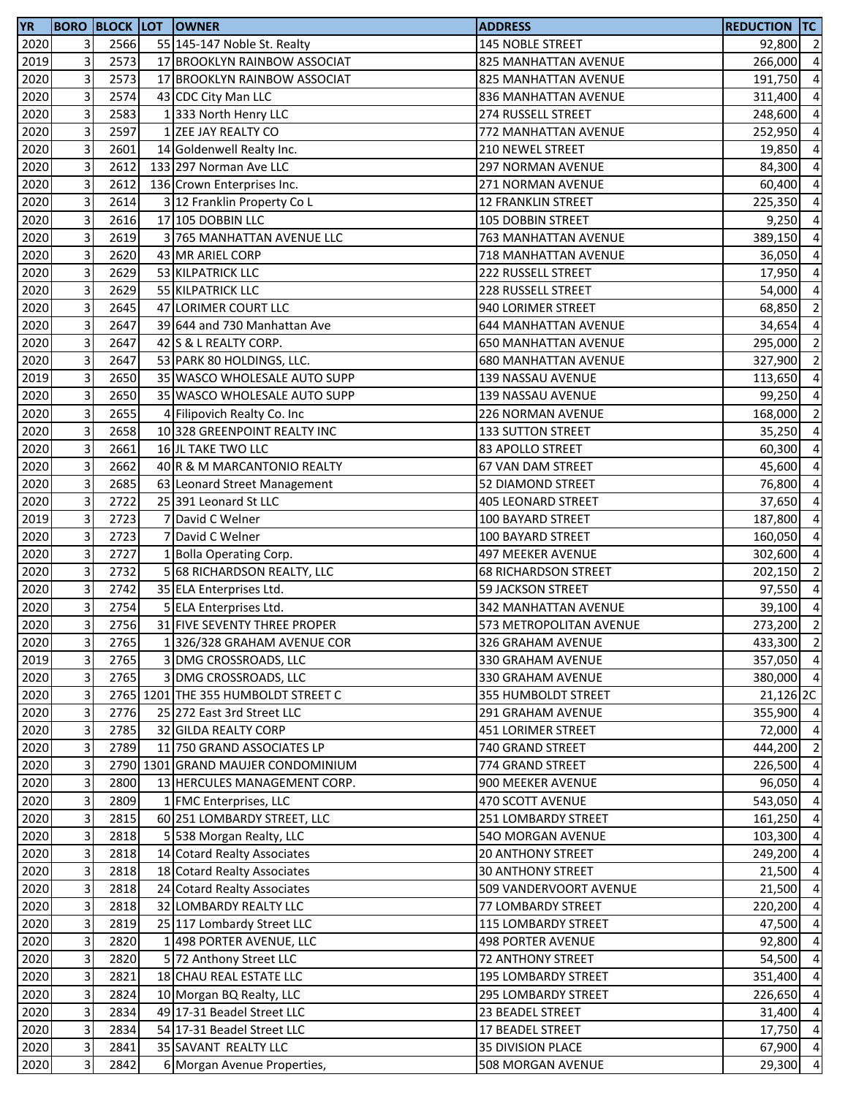| <b>YR</b> |   |      | <b>BORO BLOCK LOT OWNER</b>         | <b>ADDRESS</b>                                      | <b>REDUCTION TC</b> |                |
|-----------|---|------|-------------------------------------|-----------------------------------------------------|---------------------|----------------|
| 2020      | 3 | 2566 | 55 145-147 Noble St. Realty         | 145 NOBLE STREET                                    | 92,800 2            |                |
| 2019      | 3 | 2573 | 17 BROOKLYN RAINBOW ASSOCIAT        | 825 MANHATTAN AVENUE                                | 266,000             | $\overline{4}$ |
| 2020      | 3 | 2573 | 17 BROOKLYN RAINBOW ASSOCIAT        | 825 MANHATTAN AVENUE                                | 191,750             | $\overline{4}$ |
| 2020      | 3 | 2574 | 43 CDC City Man LLC                 | 836 MANHATTAN AVENUE                                | 311,400             | $\overline{4}$ |
| 2020      | 3 | 2583 | 1333 North Henry LLC                | 274 RUSSELL STREET                                  | 248,600             | $\overline{4}$ |
| 2020      | 3 | 2597 | 1 ZEE JAY REALTY CO                 | 772 MANHATTAN AVENUE                                | 252,950             | $\overline{4}$ |
| 2020      | 3 | 2601 | 14 Goldenwell Realty Inc.           | 210 NEWEL STREET                                    | 19,850              | $\overline{4}$ |
| 2020      | 3 | 2612 | 133 297 Norman Ave LLC              | <b>297 NORMAN AVENUE</b>                            | 84,300              | $\overline{4}$ |
| 2020      | 3 | 2612 | 136 Crown Enterprises Inc.          | 271 NORMAN AVENUE                                   | 60,400              | $\overline{4}$ |
| 2020      | 3 | 2614 | 3 12 Franklin Property Co L         | <b>12 FRANKLIN STREET</b>                           | 225,350             | $\overline{4}$ |
| 2020      | 3 | 2616 | 17 105 DOBBIN LLC                   | 105 DOBBIN STREET                                   | 9,250               | $\overline{4}$ |
| 2020      | 3 | 2619 | 3 765 MANHATTAN AVENUE LLC          | 763 MANHATTAN AVENUE                                | 389,150             | $\overline{4}$ |
| 2020      | 3 | 2620 | 43 MR ARIEL CORP                    | 718 MANHATTAN AVENUE                                | 36,050              | $\overline{a}$ |
| 2020      | 3 | 2629 | 53 KILPATRICK LLC                   | 222 RUSSELL STREET                                  | 17,950              | $\overline{4}$ |
| 2020      | 3 | 2629 | 55 KILPATRICK LLC                   | 228 RUSSELL STREET                                  | 54,000              | $\overline{4}$ |
| 2020      | 3 | 2645 | 47 LORIMER COURT LLC                | 940 LORIMER STREET                                  | 68,850              | $\overline{2}$ |
| 2020      | 3 | 2647 | 39 644 and 730 Manhattan Ave        |                                                     |                     | $\overline{4}$ |
|           | 3 | 2647 |                                     | 644 MANHATTAN AVENUE<br><b>650 MANHATTAN AVENUE</b> | 34,654              | $\overline{2}$ |
| 2020      |   |      | 42 S & L REALTY CORP.               |                                                     | 295,000             |                |
| 2020      | 3 | 2647 | 53 PARK 80 HOLDINGS, LLC.           | <b>680 MANHATTAN AVENUE</b>                         | 327,900             | $\overline{2}$ |
| 2019      | 3 | 2650 | 35 WASCO WHOLESALE AUTO SUPP        | 139 NASSAU AVENUE                                   | 113,650             | $\overline{4}$ |
| 2020      | 3 | 2650 | 35 WASCO WHOLESALE AUTO SUPP        | 139 NASSAU AVENUE                                   | 99,250              | $\overline{4}$ |
| 2020      | 3 | 2655 | 4 Filipovich Realty Co. Inc         | 226 NORMAN AVENUE                                   | 168,000             | $\overline{2}$ |
| 2020      | 3 | 2658 | 10 328 GREENPOINT REALTY INC        | <b>133 SUTTON STREET</b>                            | 35,250              | $\overline{4}$ |
| 2020      | 3 | 2661 | 16 JL TAKE TWO LLC                  | 83 APOLLO STREET                                    | 60,300              | $\overline{4}$ |
| 2020      | 3 | 2662 | 40 R & M MARCANTONIO REALTY         | 67 VAN DAM STREET                                   | 45,600              | $\overline{4}$ |
| 2020      | 3 | 2685 | 63 Leonard Street Management        | 52 DIAMOND STREET                                   | 76,800              | $\overline{4}$ |
| 2020      | 3 | 2722 | 25 391 Leonard St LLC               | <b>405 LEONARD STREET</b>                           | 37,650              | $\overline{4}$ |
| 2019      | 3 | 2723 | 7 David C Welner                    | 100 BAYARD STREET                                   | 187,800             | $\overline{4}$ |
| 2020      | 3 | 2723 | 7 David C Welner                    | 100 BAYARD STREET                                   | 160,050             | $\overline{4}$ |
| 2020      | 3 | 2727 | 1 Bolla Operating Corp.             | <b>497 MEEKER AVENUE</b>                            | 302,600             | $\overline{4}$ |
| 2020      | 3 | 2732 | 5 68 RICHARDSON REALTY, LLC         | <b>68 RICHARDSON STREET</b>                         | 202,150             | $\overline{2}$ |
| 2020      | 3 | 2742 | 35 ELA Enterprises Ltd.             | 59 JACKSON STREET                                   | 97,550              | $\overline{4}$ |
| 2020      | 3 | 2754 | 5 ELA Enterprises Ltd.              | <b>342 MANHATTAN AVENUE</b>                         | 39,100              | $\overline{4}$ |
| 2020      | 3 | 2756 | 31 FIVE SEVENTY THREE PROPER        | 573 METROPOLITAN AVENUE                             | 273,200             | $\overline{2}$ |
| 2020      | 3 | 2765 | 1326/328 GRAHAM AVENUE COR          | 326 GRAHAM AVENUE                                   | 433,300 2           |                |
| 2019      | 3 | 2765 | 3 DMG CROSSROADS, LLC               | 330 GRAHAM AVENUE                                   | 357,050 4           |                |
| 2020      | 3 | 2765 | 3 DMG CROSSROADS, LLC               | 330 GRAHAM AVENUE                                   | 380,000 4           |                |
| 2020      | 3 |      | 2765 1201 THE 355 HUMBOLDT STREET C | 355 HUMBOLDT STREET                                 | 21,126 2C           |                |
| 2020      | 3 | 2776 | 25 272 East 3rd Street LLC          | 291 GRAHAM AVENUE                                   | 355,900 4           |                |
| 2020      | 3 | 2785 | 32 GILDA REALTY CORP                | 451 LORIMER STREET                                  | 72,000 4            |                |
| 2020      | 3 | 2789 | 11 750 GRAND ASSOCIATES LP          | 740 GRAND STREET                                    | 444,200 2           |                |
| 2020      | 3 |      | 2790 1301 GRAND MAUJER CONDOMINIUM  | 774 GRAND STREET                                    | 226,500             | $\overline{4}$ |
| 2020      | 3 | 2800 | 13 HERCULES MANAGEMENT CORP.        | 900 MEEKER AVENUE                                   | 96,050              | $\overline{4}$ |
| 2020      | 3 | 2809 | 1 FMC Enterprises, LLC              | 470 SCOTT AVENUE                                    | 543,050             | $\overline{4}$ |
| 2020      | 3 | 2815 | 60 251 LOMBARDY STREET, LLC         | 251 LOMBARDY STREET                                 | 161,250             | $\overline{4}$ |
| 2020      | 3 | 2818 | 5 538 Morgan Realty, LLC            | 540 MORGAN AVENUE                                   | 103,300             | $\overline{4}$ |
| 2020      | 3 | 2818 | 14 Cotard Realty Associates         | <b>20 ANTHONY STREET</b>                            | 249,200             | $\overline{4}$ |
| 2020      | 3 | 2818 | 18 Cotard Realty Associates         | <b>30 ANTHONY STREET</b>                            | 21,500 4            |                |
| 2020      | 3 | 2818 | 24 Cotard Realty Associates         | 509 VANDERVOORT AVENUE                              | 21,500              | $\overline{4}$ |
| 2020      | 3 | 2818 | 32 LOMBARDY REALTY LLC              | 77 LOMBARDY STREET                                  | 220,200             | $\overline{4}$ |
| 2020      | 3 | 2819 | 25 117 Lombardy Street LLC          | 115 LOMBARDY STREET                                 | 47,500              | $\overline{4}$ |
| 2020      | 3 | 2820 | 1 498 PORTER AVENUE, LLC            | <b>498 PORTER AVENUE</b>                            | 92,800              | $\overline{4}$ |
| 2020      | 3 | 2820 | 5 72 Anthony Street LLC             | 72 ANTHONY STREET                                   | 54,500              | $\overline{4}$ |
| 2020      | 3 | 2821 | 18 CHAU REAL ESTATE LLC             | 195 LOMBARDY STREET                                 | 351,400             | $\overline{4}$ |
| 2020      | 3 | 2824 | 10 Morgan BQ Realty, LLC            | <b>295 LOMBARDY STREET</b>                          | 226,650             | $\overline{4}$ |
| 2020      | 3 | 2834 | 49 17-31 Beadel Street LLC          | 23 BEADEL STREET                                    | 31,400 4            |                |
| 2020      | 3 | 2834 | 54 17-31 Beadel Street LLC          | 17 BEADEL STREET                                    | 17,750 4            |                |
| 2020      | 3 | 2841 | 35 SAVANT REALTY LLC                | 35 DIVISION PLACE                                   | 67,900              | $\overline{4}$ |
|           |   |      |                                     |                                                     |                     |                |
| 2020      | 3 | 2842 | 6 Morgan Avenue Properties,         | 508 MORGAN AVENUE                                   | 29,300 4            |                |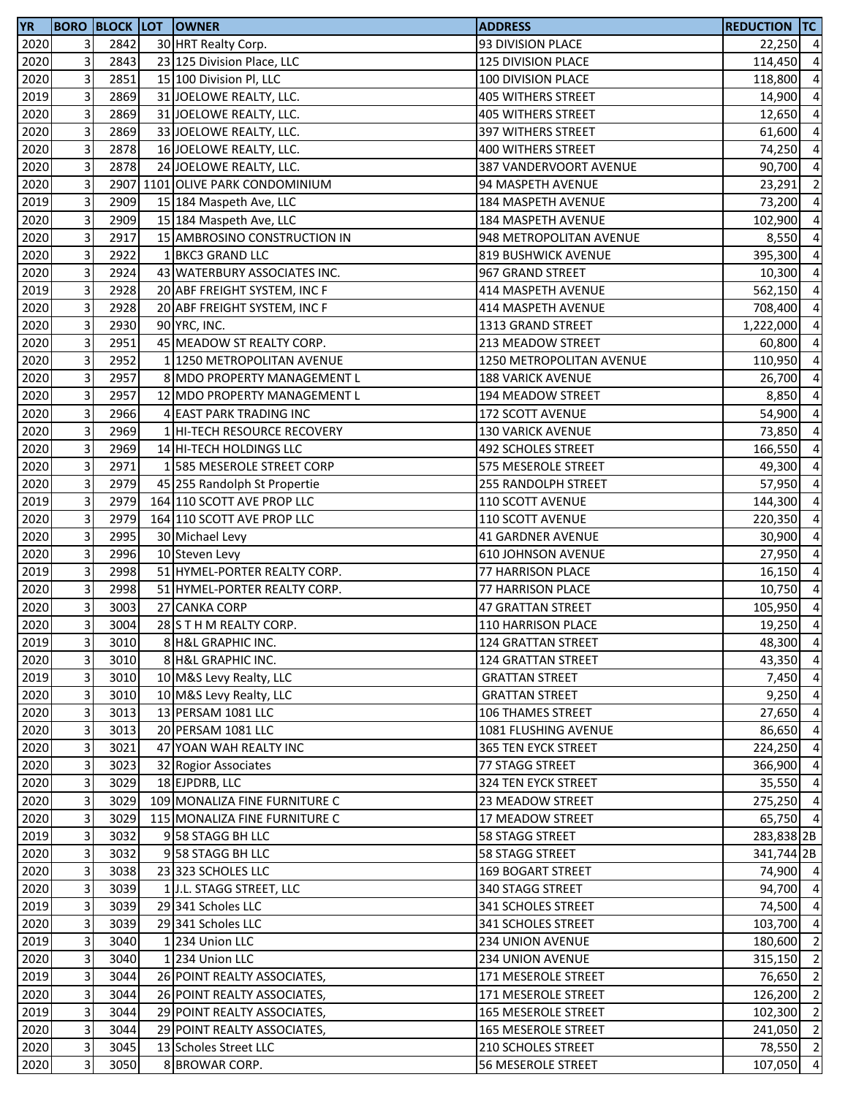| <b>YR</b> |                           |              | <b>BORO BLOCK LOT OWNER</b>      | <b>ADDRESS</b>                | <b>REDUCTION TC</b> |                |
|-----------|---------------------------|--------------|----------------------------------|-------------------------------|---------------------|----------------|
| 2020      | 3                         | 2842         | 30 HRT Realty Corp.              | 93 DIVISION PLACE             | $22,250$ 4          |                |
| 2020      | 3                         | 2843         | 23 125 Division Place, LLC       | 125 DIVISION PLACE            | 114,450             | $\overline{4}$ |
| 2020      | 3                         | 2851         | 15 100 Division Pl, LLC          | 100 DIVISION PLACE            | 118,800             | $\overline{4}$ |
| 2019      | 3                         | 2869         | 31 JOELOWE REALTY, LLC.          | <b>405 WITHERS STREET</b>     | 14,900              | $\overline{4}$ |
| 2020      | 3                         | 2869         | 31 JOELOWE REALTY, LLC.          | <b>405 WITHERS STREET</b>     | 12,650              | $\overline{4}$ |
| 2020      | 3                         | 2869         | 33 JOELOWE REALTY, LLC.          | 397 WITHERS STREET            | 61,600              | $\overline{4}$ |
| 2020      | 3                         | 2878         | 16 JOELOWE REALTY, LLC.          | 400 WITHERS STREET            | 74,250              | $\overline{4}$ |
| 2020      | 3                         | 2878         | 24 JOELOWE REALTY, LLC.          | <b>387 VANDERVOORT AVENUE</b> | 90,700              | $\overline{4}$ |
| 2020      | 3                         |              | 2907 1101 OLIVE PARK CONDOMINIUM | 94 MASPETH AVENUE             | 23,291              | $\overline{2}$ |
| 2019      | 3                         | 2909         | 15 184 Maspeth Ave, LLC          | 184 MASPETH AVENUE            | 73,200              | $\overline{4}$ |
| 2020      | 3                         | 2909         | 15 184 Maspeth Ave, LLC          | 184 MASPETH AVENUE            | 102,900             | $\overline{4}$ |
| 2020      | 3                         | 2917         | 15 AMBROSINO CONSTRUCTION IN     | 948 METROPOLITAN AVENUE       | 8,550               | $\overline{4}$ |
| 2020      | 3                         | 2922         | 1 BKC3 GRAND LLC                 | <b>819 BUSHWICK AVENUE</b>    | 395,300             | $\overline{4}$ |
| 2020      | 3                         | 2924         | 43 WATERBURY ASSOCIATES INC.     | 967 GRAND STREET              | 10,300              | $\overline{4}$ |
| 2019      | 3                         | 2928         | 20 ABF FREIGHT SYSTEM, INC F     | 414 MASPETH AVENUE            | 562,150             | $\overline{4}$ |
| 2020      | 3                         | 2928         | 20 ABF FREIGHT SYSTEM, INC F     | 414 MASPETH AVENUE            | 708,400             | $\overline{4}$ |
| 2020      | 3                         | 2930         | 90 YRC, INC.                     | 1313 GRAND STREET             | 1,222,000           | $\overline{4}$ |
| 2020      | 3                         | 2951         | 45 MEADOW ST REALTY CORP.        |                               | 60,800              | $\overline{4}$ |
|           | 3                         | 2952         |                                  | 213 MEADOW STREET             |                     | $\overline{4}$ |
| 2020      |                           |              | 1 1250 METROPOLITAN AVENUE       | 1250 METROPOLITAN AVENUE      | 110,950             |                |
| 2020      | 3                         | 2957         | 8 MDO PROPERTY MANAGEMENT L      | <b>188 VARICK AVENUE</b>      | 26,700              | $\overline{4}$ |
| 2020      | 3                         | 2957         | 12 MDO PROPERTY MANAGEMENT L     | 194 MEADOW STREET             | 8,850 4             |                |
| 2020      | 3                         | 2966         | 4 EAST PARK TRADING INC          | 172 SCOTT AVENUE              | 54,900              | $\overline{4}$ |
| 2020      | 3                         | 2969         | 1 HI-TECH RESOURCE RECOVERY      | <b>130 VARICK AVENUE</b>      | 73,850              | $\overline{4}$ |
| 2020      | 3                         | 2969         | 14 HI-TECH HOLDINGS LLC          | 492 SCHOLES STREET            | 166,550             | $\overline{4}$ |
| 2020      | 3                         | 2971         | 1 585 MESEROLE STREET CORP       | 575 MESEROLE STREET           | 49,300              | $\overline{4}$ |
| 2020      | 3                         | 2979         | 45 255 Randolph St Propertie     | 255 RANDOLPH STREET           | 57,950              | $\overline{4}$ |
| 2019      | 3                         | 2979         | 164 110 SCOTT AVE PROP LLC       | 110 SCOTT AVENUE              | 144,300             | $\overline{4}$ |
| 2020      | 3                         | 2979         | 164 110 SCOTT AVE PROP LLC       | 110 SCOTT AVENUE              | 220,350             | $\overline{4}$ |
| 2020      | 3                         | 2995         | 30 Michael Levy                  | <b>41 GARDNER AVENUE</b>      | 30,900              | $\overline{a}$ |
| 2020      | 3                         | 2996         | 10 Steven Levy                   | <b>610 JOHNSON AVENUE</b>     | 27,950              | $\overline{4}$ |
| 2019      | 3                         | 2998         | 51 HYMEL-PORTER REALTY CORP.     | 77 HARRISON PLACE             | 16,150              | $\overline{4}$ |
| 2020      | 3                         | 2998         | 51 HYMEL-PORTER REALTY CORP.     | 77 HARRISON PLACE             | 10,750              | $\overline{4}$ |
| 2020      | 3                         | 3003         | 27 CANKA CORP                    | 47 GRATTAN STREET             | 105,950             | $\overline{4}$ |
| 2020      | 3                         | 3004         | 28 S T H M REALTY CORP.          | 110 HARRISON PLACE            | 19,250              | $\overline{4}$ |
| 2019      | $\overline{\mathbf{3}}$   | 3010         | 8 H&L GRAPHIC INC.               | <b>124 GRATTAN STREET</b>     | 48,300 4            |                |
| 2020      | 3                         | 3010         | 8 H&L GRAPHIC INC.               | 124 GRATTAN STREET            | 43,350 4            |                |
| 2019      | 3                         | 3010         | 10 M&S Levy Realty, LLC          | <b>GRATTAN STREET</b>         | 7,450               | $\overline{4}$ |
| 2020      | 3                         | 3010         | 10 M&S Levy Realty, LLC          | <b>GRATTAN STREET</b>         | $9,250$ 4           |                |
| 2020      | 3                         | 3013         | 13 PERSAM 1081 LLC               | <b>106 THAMES STREET</b>      | 27,650 4            |                |
| 2020      | 3                         | 3013         | 20 PERSAM 1081 LLC               | 1081 FLUSHING AVENUE          | 86,650 4            |                |
| 2020      | 3                         | 3021         | 47 YOAN WAH REALTY INC           | 365 TEN EYCK STREET           | 224,250             | $\overline{4}$ |
| 2020      | 3                         | 3023         | 32 Rogior Associates             | 77 STAGG STREET               | 366,900             | $\overline{4}$ |
| 2020      | 3                         | 3029         | 18 EJPDRB, LLC                   | 324 TEN EYCK STREET           | 35,550 4            |                |
| 2020      | 3                         | 3029         | 109 MONALIZA FINE FURNITURE C    | 23 MEADOW STREET              | 275,250 4           |                |
| 2020      | 3                         | 3029         | 115 MONALIZA FINE FURNITURE C    | 17 MEADOW STREET              | 65,750 4            |                |
| 2019      | 3                         | 3032         | 958 STAGG BH LLC                 | 58 STAGG STREET               | 283,838 2B          |                |
| 2020      | 3                         | 3032         | 958 STAGG BH LLC                 | 58 STAGG STREET               | 341,744 2B          |                |
| 2020      | 3                         | 3038         | 23 323 SCHOLES LLC               | 169 BOGART STREET             | 74,900 4            |                |
| 2020      | 3                         | 3039         | 1 J.L. STAGG STREET, LLC         | 340 STAGG STREET              | 94,700              | $\overline{4}$ |
| 2019      | 3                         | 3039         | 29 341 Scholes LLC               | 341 SCHOLES STREET            | 74,500              | $\overline{4}$ |
| 2020      | 3                         | 3039         | 29 341 Scholes LLC               | 341 SCHOLES STREET            | 103,700             | $\overline{4}$ |
| 2019      | 3                         | 3040         | 1234 Union LLC                   | 234 UNION AVENUE              | 180,600             | $\overline{2}$ |
| 2020      | 3                         | 3040         | 1234 Union LLC                   | 234 UNION AVENUE              | 315,150             | $\overline{2}$ |
| 2019      | 3                         | 3044         | 26 POINT REALTY ASSOCIATES,      | 171 MESEROLE STREET           | 76,650              | $\overline{2}$ |
| 2020      | 3                         | 3044         | 26 POINT REALTY ASSOCIATES,      | 171 MESEROLE STREET           | 126,200             | $\overline{2}$ |
| 2019      | 3                         | 3044         | 29 POINT REALTY ASSOCIATES,      | <b>165 MESEROLE STREET</b>    |                     | $\overline{2}$ |
|           | 3                         |              |                                  |                               | 102,300             | $\overline{2}$ |
| 2020      |                           | 3044<br>3045 | 29 POINT REALTY ASSOCIATES,      | 165 MESEROLE STREET           | 241,050<br>78,550 2 |                |
| 2020      | $\ensuremath{\mathsf{3}}$ |              | 13 Scholes Street LLC            | 210 SCHOLES STREET            |                     |                |
| 2020      | 3                         | 3050         | 8 BROWAR CORP.                   | 56 MESEROLE STREET            | 107,050 4           |                |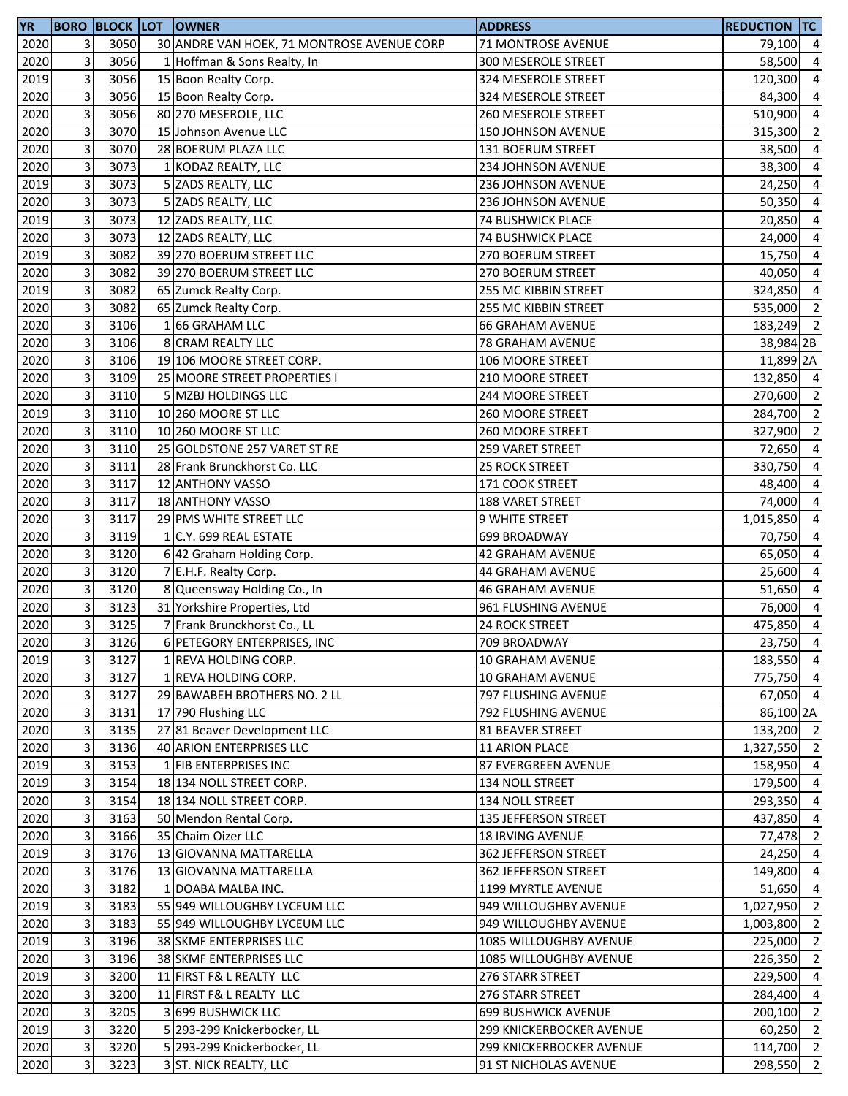| 3<br>2020<br>3050<br>30 ANDRE VAN HOEK, 71 MONTROSE AVENUE CORP<br>71 MONTROSE AVENUE<br>79,100<br>$\overline{\mathbf{4}}$<br>3<br>2020<br>3056<br>1 Hoffman & Sons Realty, In<br>$\overline{a}$<br>300 MESEROLE STREET<br>58,500<br>3<br>2019<br>3056<br>$\overline{a}$<br>15 Boon Realty Corp.<br>324 MESEROLE STREET<br>120,300<br>3<br>$\overline{a}$<br>2020<br>3056<br>15 Boon Realty Corp.<br>324 MESEROLE STREET<br>84,300<br>3<br>3056<br>80 270 MESEROLE, LLC<br>$\overline{a}$<br>2020<br>510,900<br>260 MESEROLE STREET<br>3<br>$\overline{2}$<br>2020<br>3070<br>15 Johnson Avenue LLC<br>150 JOHNSON AVENUE<br>315,300<br>3<br>3070<br>$\overline{a}$<br>2020<br>28 BOERUM PLAZA LLC<br>131 BOERUM STREET<br>38,500<br>3<br>$\overline{a}$<br>2020<br>3073<br>1 KODAZ REALTY, LLC<br>234 JOHNSON AVENUE<br>38,300<br>3<br>$\overline{a}$<br>2019<br>3073<br>5 ZADS REALTY, LLC<br>236 JOHNSON AVENUE<br>24,250<br>3<br>3073<br>2020<br>$\overline{a}$<br>5 ZADS REALTY, LLC<br>236 JOHNSON AVENUE<br>50,350<br>3<br>3073<br>2019<br>12 ZADS REALTY, LLC<br>74 BUSHWICK PLACE<br>20,850<br>3<br>3073<br>2020<br>12 ZADS REALTY, LLC<br><b>74 BUSHWICK PLACE</b><br>24,000<br>3<br>2019<br>3082<br>39 270 BOERUM STREET LLC<br>15,750<br>270 BOERUM STREET<br>3<br>3082<br>2020<br>39 270 BOERUM STREET LLC<br>40,050<br>270 BOERUM STREET<br>3<br>2019<br>3082<br>65 Zumck Realty Corp.<br>255 MC KIBBIN STREET<br>324,850<br>3<br>2020<br>3082<br>65 Zumck Realty Corp.<br>255 MC KIBBIN STREET<br>535,000<br>3<br>2020<br>3106<br>166 GRAHAM LLC<br><b>66 GRAHAM AVENUE</b><br>183,249<br>3<br>2020<br>3106<br>8 CRAM REALTY LLC<br>78 GRAHAM AVENUE<br>38,984 2B<br>3<br>2020<br>3106<br>19 106 MOORE STREET CORP.<br>106 MOORE STREET<br>11,899 2A<br>3<br>3109<br>2020<br>25 MOORE STREET PROPERTIES I<br>210 MOORE STREET<br>3<br>2020<br>3110<br>5 MZBJ HOLDINGS LLC<br>244 MOORE STREET<br>270,600<br>3<br>3110<br>2019<br>10 260 MOORE ST LLC<br>284,700<br><b>260 MOORE STREET</b><br>3<br>2020<br>3110<br>10 260 MOORE ST LLC<br>260 MOORE STREET<br>327,900<br>$\mathbf{3}$<br>2020<br>3110<br>25 GOLDSTONE 257 VARET ST RE<br>259 VARET STREET<br>72,650<br>3<br>2020<br>3111<br>28 Frank Brunckhorst Co. LLC<br><b>25 ROCK STREET</b><br>330,750<br>3<br>2020<br>3117<br>12 ANTHONY VASSO<br>171 COOK STREET<br>48,400<br>3<br>2020<br>3117<br>18 ANTHONY VASSO<br>188 VARET STREET<br>74,000<br>$\mathbf{3}$<br>3117<br>2020<br>29 PMS WHITE STREET LLC<br>1,015,850<br><b>9 WHITE STREET</b><br>3<br>3119<br>2020<br>1 C.Y. 699 REAL ESTATE<br>699 BROADWAY<br>70,750<br>3<br>3120<br>2020<br>65,050<br>6 42 Graham Holding Corp.<br><b>42 GRAHAM AVENUE</b><br>3<br>2020<br>3120<br>7 E.H.F. Realty Corp.<br>44 GRAHAM AVENUE<br>25,600<br>3<br>8 Queensway Holding Co., In<br>2020<br>3120<br><b>46 GRAHAM AVENUE</b><br>51,650<br>3<br>31 Yorkshire Properties, Ltd<br>2020<br>3123<br>76,000<br>961 FLUSHING AVENUE<br>3<br>2020<br>3125<br>7 Frank Brunckhorst Co., LL<br>475,850<br>24 ROCK STREET<br>2020<br>3126<br>709 BROADWAY<br>$\overline{3}$<br>6 PETEGORY ENTERPRISES, INC<br>$\mathbf{3}$<br>2019<br>3127<br>1 REVA HOLDING CORP.<br>10 GRAHAM AVENUE<br>$\mathbf{3}$<br>2020<br>3127<br>1 REVA HOLDING CORP.<br>10 GRAHAM AVENUE<br>3<br>2020<br>3127<br>29 BAWABEH BROTHERS NO. 2 LL<br>797 FLUSHING AVENUE<br>$\ensuremath{\mathsf{3}}$<br>2020<br>3131<br>17 790 Flushing LLC<br>792 FLUSHING AVENUE<br>$\mathbf{3}$<br>2020<br>3135<br>27 81 Beaver Development LLC<br>81 BEAVER STREET<br>3<br>2020<br>3136<br>40 ARION ENTERPRISES LLC<br>11 ARION PLACE<br>3<br>2019<br>3153<br>1 FIB ENTERPRISES INC<br>87 EVERGREEN AVENUE<br>158,950<br>3<br>2019<br>3154<br>18 134 NOLL STREET CORP.<br>134 NOLL STREET<br>179,500<br>2020<br>3<br>3154<br>18 134 NOLL STREET CORP.<br>134 NOLL STREET<br>293,350<br>$\mathbf{3}$<br>2020<br>3163<br>50 Mendon Rental Corp.<br>135 JEFFERSON STREET<br>3<br>2020<br>3166<br>35 Chaim Oizer LLC<br><b>18 IRVING AVENUE</b><br>$\mathbf{3}$<br>2019<br>3176<br>24,250<br>13 GIOVANNA MATTARELLA<br>362 JEFFERSON STREET<br>$\ensuremath{\mathsf{3}}$<br>2020<br>3176<br>13 GIOVANNA MATTARELLA<br>362 JEFFERSON STREET<br>149,800<br>3<br>2020<br>3182<br>1 DOABA MALBA INC.<br>1199 MYRTLE AVENUE<br>3<br>2019<br>3183<br>55 949 WILLOUGHBY LYCEUM LLC<br>949 WILLOUGHBY AVENUE<br>1,027,950<br>3<br>2020<br>3183<br>55 949 WILLOUGHBY LYCEUM LLC<br>949 WILLOUGHBY AVENUE<br>1,003,800<br>$\mathbf{3}$<br>2019<br>3196<br>38 SKMF ENTERPRISES LLC<br>1085 WILLOUGHBY AVENUE<br>225,000<br>$\mathbf{3}$<br>2020<br>3196<br>38 SKMF ENTERPRISES LLC<br>1085 WILLOUGHBY AVENUE<br>3<br>2019<br>3200<br>11 FIRST F& L REALTY LLC<br>276 STARR STREET<br>$\mathbf{3}$<br>2020<br>3200<br>11 FIRST F& L REALTY LLC<br>284,400<br>276 STARR STREET<br>3<br>2020<br>3205<br>3 699 BUSHWICK LLC<br><b>699 BUSHWICK AVENUE</b><br>3<br>2019<br>3220<br>5 293-299 Knickerbocker, LL<br>299 KNICKERBOCKER AVENUE<br>3<br>2020<br>3220<br>5 293-299 Knickerbocker, LL<br><b>299 KNICKERBOCKER AVENUE</b><br>$\mathbf{3}$<br>2020<br>3223<br>3 ST. NICK REALTY, LLC<br>298,550<br>91 ST NICHOLAS AVENUE | <b>YR</b> |  | <b>BORO BLOCK LOT OWNER</b> | <b>ADDRESS</b> | <b>REDUCTION TC</b> |  |
|------------------------------------------------------------------------------------------------------------------------------------------------------------------------------------------------------------------------------------------------------------------------------------------------------------------------------------------------------------------------------------------------------------------------------------------------------------------------------------------------------------------------------------------------------------------------------------------------------------------------------------------------------------------------------------------------------------------------------------------------------------------------------------------------------------------------------------------------------------------------------------------------------------------------------------------------------------------------------------------------------------------------------------------------------------------------------------------------------------------------------------------------------------------------------------------------------------------------------------------------------------------------------------------------------------------------------------------------------------------------------------------------------------------------------------------------------------------------------------------------------------------------------------------------------------------------------------------------------------------------------------------------------------------------------------------------------------------------------------------------------------------------------------------------------------------------------------------------------------------------------------------------------------------------------------------------------------------------------------------------------------------------------------------------------------------------------------------------------------------------------------------------------------------------------------------------------------------------------------------------------------------------------------------------------------------------------------------------------------------------------------------------------------------------------------------------------------------------------------------------------------------------------------------------------------------------------------------------------------------------------------------------------------------------------------------------------------------------------------------------------------------------------------------------------------------------------------------------------------------------------------------------------------------------------------------------------------------------------------------------------------------------------------------------------------------------------------------------------------------------------------------------------------------------------------------------------------------------------------------------------------------------------------------------------------------------------------------------------------------------------------------------------------------------------------------------------------------------------------------------------------------------------------------------------------------------------------------------------------------------------------------------------------------------------------------------------------------------------------------------------------------------------------------------------------------------------------------------------------------------------------------------------------------------------------------------------------------------------------------------------------------------------------------------------------------------------------------------------------------------------------------------------------------------------------------------------------------------------------------------------------------------------------------------------------------------------------------------------------------------------------------------------------------------------------------------------------------------------------------------------------------------------------------------------------------------------------------------------------------------------------------------------------------------------------------------------------------------------------------------------------------------------------------------------------------------------------------------------------------------------------------------------------------------------------------------------------------------------------------------------------------------------------------------------------------------------------------------------------------------------------------------------------------------------------|-----------|--|-----------------------------|----------------|---------------------|--|
|                                                                                                                                                                                                                                                                                                                                                                                                                                                                                                                                                                                                                                                                                                                                                                                                                                                                                                                                                                                                                                                                                                                                                                                                                                                                                                                                                                                                                                                                                                                                                                                                                                                                                                                                                                                                                                                                                                                                                                                                                                                                                                                                                                                                                                                                                                                                                                                                                                                                                                                                                                                                                                                                                                                                                                                                                                                                                                                                                                                                                                                                                                                                                                                                                                                                                                                                                                                                                                                                                                                                                                                                                                                                                                                                                                                                                                                                                                                                                                                                                                                                                                                                                                                                                                                                                                                                                                                                                                                                                                                                                                                                                                                                                                                                                                                                                                                                                                                                                                                                                                                                                                                                                                                    |           |  |                             |                |                     |  |
|                                                                                                                                                                                                                                                                                                                                                                                                                                                                                                                                                                                                                                                                                                                                                                                                                                                                                                                                                                                                                                                                                                                                                                                                                                                                                                                                                                                                                                                                                                                                                                                                                                                                                                                                                                                                                                                                                                                                                                                                                                                                                                                                                                                                                                                                                                                                                                                                                                                                                                                                                                                                                                                                                                                                                                                                                                                                                                                                                                                                                                                                                                                                                                                                                                                                                                                                                                                                                                                                                                                                                                                                                                                                                                                                                                                                                                                                                                                                                                                                                                                                                                                                                                                                                                                                                                                                                                                                                                                                                                                                                                                                                                                                                                                                                                                                                                                                                                                                                                                                                                                                                                                                                                                    |           |  |                             |                |                     |  |
|                                                                                                                                                                                                                                                                                                                                                                                                                                                                                                                                                                                                                                                                                                                                                                                                                                                                                                                                                                                                                                                                                                                                                                                                                                                                                                                                                                                                                                                                                                                                                                                                                                                                                                                                                                                                                                                                                                                                                                                                                                                                                                                                                                                                                                                                                                                                                                                                                                                                                                                                                                                                                                                                                                                                                                                                                                                                                                                                                                                                                                                                                                                                                                                                                                                                                                                                                                                                                                                                                                                                                                                                                                                                                                                                                                                                                                                                                                                                                                                                                                                                                                                                                                                                                                                                                                                                                                                                                                                                                                                                                                                                                                                                                                                                                                                                                                                                                                                                                                                                                                                                                                                                                                                    |           |  |                             |                |                     |  |
|                                                                                                                                                                                                                                                                                                                                                                                                                                                                                                                                                                                                                                                                                                                                                                                                                                                                                                                                                                                                                                                                                                                                                                                                                                                                                                                                                                                                                                                                                                                                                                                                                                                                                                                                                                                                                                                                                                                                                                                                                                                                                                                                                                                                                                                                                                                                                                                                                                                                                                                                                                                                                                                                                                                                                                                                                                                                                                                                                                                                                                                                                                                                                                                                                                                                                                                                                                                                                                                                                                                                                                                                                                                                                                                                                                                                                                                                                                                                                                                                                                                                                                                                                                                                                                                                                                                                                                                                                                                                                                                                                                                                                                                                                                                                                                                                                                                                                                                                                                                                                                                                                                                                                                                    |           |  |                             |                |                     |  |
|                                                                                                                                                                                                                                                                                                                                                                                                                                                                                                                                                                                                                                                                                                                                                                                                                                                                                                                                                                                                                                                                                                                                                                                                                                                                                                                                                                                                                                                                                                                                                                                                                                                                                                                                                                                                                                                                                                                                                                                                                                                                                                                                                                                                                                                                                                                                                                                                                                                                                                                                                                                                                                                                                                                                                                                                                                                                                                                                                                                                                                                                                                                                                                                                                                                                                                                                                                                                                                                                                                                                                                                                                                                                                                                                                                                                                                                                                                                                                                                                                                                                                                                                                                                                                                                                                                                                                                                                                                                                                                                                                                                                                                                                                                                                                                                                                                                                                                                                                                                                                                                                                                                                                                                    |           |  |                             |                |                     |  |
|                                                                                                                                                                                                                                                                                                                                                                                                                                                                                                                                                                                                                                                                                                                                                                                                                                                                                                                                                                                                                                                                                                                                                                                                                                                                                                                                                                                                                                                                                                                                                                                                                                                                                                                                                                                                                                                                                                                                                                                                                                                                                                                                                                                                                                                                                                                                                                                                                                                                                                                                                                                                                                                                                                                                                                                                                                                                                                                                                                                                                                                                                                                                                                                                                                                                                                                                                                                                                                                                                                                                                                                                                                                                                                                                                                                                                                                                                                                                                                                                                                                                                                                                                                                                                                                                                                                                                                                                                                                                                                                                                                                                                                                                                                                                                                                                                                                                                                                                                                                                                                                                                                                                                                                    |           |  |                             |                |                     |  |
|                                                                                                                                                                                                                                                                                                                                                                                                                                                                                                                                                                                                                                                                                                                                                                                                                                                                                                                                                                                                                                                                                                                                                                                                                                                                                                                                                                                                                                                                                                                                                                                                                                                                                                                                                                                                                                                                                                                                                                                                                                                                                                                                                                                                                                                                                                                                                                                                                                                                                                                                                                                                                                                                                                                                                                                                                                                                                                                                                                                                                                                                                                                                                                                                                                                                                                                                                                                                                                                                                                                                                                                                                                                                                                                                                                                                                                                                                                                                                                                                                                                                                                                                                                                                                                                                                                                                                                                                                                                                                                                                                                                                                                                                                                                                                                                                                                                                                                                                                                                                                                                                                                                                                                                    |           |  |                             |                |                     |  |
|                                                                                                                                                                                                                                                                                                                                                                                                                                                                                                                                                                                                                                                                                                                                                                                                                                                                                                                                                                                                                                                                                                                                                                                                                                                                                                                                                                                                                                                                                                                                                                                                                                                                                                                                                                                                                                                                                                                                                                                                                                                                                                                                                                                                                                                                                                                                                                                                                                                                                                                                                                                                                                                                                                                                                                                                                                                                                                                                                                                                                                                                                                                                                                                                                                                                                                                                                                                                                                                                                                                                                                                                                                                                                                                                                                                                                                                                                                                                                                                                                                                                                                                                                                                                                                                                                                                                                                                                                                                                                                                                                                                                                                                                                                                                                                                                                                                                                                                                                                                                                                                                                                                                                                                    |           |  |                             |                |                     |  |
|                                                                                                                                                                                                                                                                                                                                                                                                                                                                                                                                                                                                                                                                                                                                                                                                                                                                                                                                                                                                                                                                                                                                                                                                                                                                                                                                                                                                                                                                                                                                                                                                                                                                                                                                                                                                                                                                                                                                                                                                                                                                                                                                                                                                                                                                                                                                                                                                                                                                                                                                                                                                                                                                                                                                                                                                                                                                                                                                                                                                                                                                                                                                                                                                                                                                                                                                                                                                                                                                                                                                                                                                                                                                                                                                                                                                                                                                                                                                                                                                                                                                                                                                                                                                                                                                                                                                                                                                                                                                                                                                                                                                                                                                                                                                                                                                                                                                                                                                                                                                                                                                                                                                                                                    |           |  |                             |                |                     |  |
| $\overline{a}$<br>$\overline{a}$<br>$\overline{a}$<br>$\overline{4}$<br>$\overline{a}$<br>$\overline{2}$<br>$\overline{2}$<br>132,850 4<br>$\overline{\mathbf{c}}$<br>$\overline{\mathbf{c}}$<br>$\overline{2}$<br>$\overline{a}$<br>$\overline{a}$<br>$\overline{a}$<br>$\overline{a}$<br>$\overline{a}$<br>$\overline{a}$<br>$\overline{a}$<br>$\overline{a}$<br>$\overline{a}$<br>$\overline{a}$<br>$\overline{4}$<br>23,750 4<br>183,550 4<br>775,750 4<br>67,050 4<br>86,100 2A<br>133,200 2<br>1,327,550 2<br>$\overline{a}$<br>$\overline{a}$<br>$\overline{4}$<br>437,850 4<br>77,478 2<br>$\overline{4}$<br>$\overline{4}$<br>51,650 4<br>$\overline{2}$<br>$\overline{2}$<br>$\overline{2}$<br>226,350 2<br>229,500 4<br>$\overline{4}$<br>200,100 2<br>60,250 2<br>114,700 2<br>$\overline{2}$                                                                                                                                                                                                                                                                                                                                                                                                                                                                                                                                                                                                                                                                                                                                                                                                                                                                                                                                                                                                                                                                                                                                                                                                                                                                                                                                                                                                                                                                                                                                                                                                                                                                                                                                                                                                                                                                                                                                                                                                                                                                                                                                                                                                                                                                                                                                                                                                                                                                                                                                                                                                                                                                                                                                                                                                                                                                                                                                                                                                                                                                                                                                                                                                                                                                                                                                                                                                                                                                                                                                                                                                                                                                                                                                                                                                                                                                                                                                                                                                                                                                                                                                                                                                                                                                                                                                                                          |           |  |                             |                |                     |  |
|                                                                                                                                                                                                                                                                                                                                                                                                                                                                                                                                                                                                                                                                                                                                                                                                                                                                                                                                                                                                                                                                                                                                                                                                                                                                                                                                                                                                                                                                                                                                                                                                                                                                                                                                                                                                                                                                                                                                                                                                                                                                                                                                                                                                                                                                                                                                                                                                                                                                                                                                                                                                                                                                                                                                                                                                                                                                                                                                                                                                                                                                                                                                                                                                                                                                                                                                                                                                                                                                                                                                                                                                                                                                                                                                                                                                                                                                                                                                                                                                                                                                                                                                                                                                                                                                                                                                                                                                                                                                                                                                                                                                                                                                                                                                                                                                                                                                                                                                                                                                                                                                                                                                                                                    |           |  |                             |                |                     |  |
|                                                                                                                                                                                                                                                                                                                                                                                                                                                                                                                                                                                                                                                                                                                                                                                                                                                                                                                                                                                                                                                                                                                                                                                                                                                                                                                                                                                                                                                                                                                                                                                                                                                                                                                                                                                                                                                                                                                                                                                                                                                                                                                                                                                                                                                                                                                                                                                                                                                                                                                                                                                                                                                                                                                                                                                                                                                                                                                                                                                                                                                                                                                                                                                                                                                                                                                                                                                                                                                                                                                                                                                                                                                                                                                                                                                                                                                                                                                                                                                                                                                                                                                                                                                                                                                                                                                                                                                                                                                                                                                                                                                                                                                                                                                                                                                                                                                                                                                                                                                                                                                                                                                                                                                    |           |  |                             |                |                     |  |
|                                                                                                                                                                                                                                                                                                                                                                                                                                                                                                                                                                                                                                                                                                                                                                                                                                                                                                                                                                                                                                                                                                                                                                                                                                                                                                                                                                                                                                                                                                                                                                                                                                                                                                                                                                                                                                                                                                                                                                                                                                                                                                                                                                                                                                                                                                                                                                                                                                                                                                                                                                                                                                                                                                                                                                                                                                                                                                                                                                                                                                                                                                                                                                                                                                                                                                                                                                                                                                                                                                                                                                                                                                                                                                                                                                                                                                                                                                                                                                                                                                                                                                                                                                                                                                                                                                                                                                                                                                                                                                                                                                                                                                                                                                                                                                                                                                                                                                                                                                                                                                                                                                                                                                                    |           |  |                             |                |                     |  |
|                                                                                                                                                                                                                                                                                                                                                                                                                                                                                                                                                                                                                                                                                                                                                                                                                                                                                                                                                                                                                                                                                                                                                                                                                                                                                                                                                                                                                                                                                                                                                                                                                                                                                                                                                                                                                                                                                                                                                                                                                                                                                                                                                                                                                                                                                                                                                                                                                                                                                                                                                                                                                                                                                                                                                                                                                                                                                                                                                                                                                                                                                                                                                                                                                                                                                                                                                                                                                                                                                                                                                                                                                                                                                                                                                                                                                                                                                                                                                                                                                                                                                                                                                                                                                                                                                                                                                                                                                                                                                                                                                                                                                                                                                                                                                                                                                                                                                                                                                                                                                                                                                                                                                                                    |           |  |                             |                |                     |  |
|                                                                                                                                                                                                                                                                                                                                                                                                                                                                                                                                                                                                                                                                                                                                                                                                                                                                                                                                                                                                                                                                                                                                                                                                                                                                                                                                                                                                                                                                                                                                                                                                                                                                                                                                                                                                                                                                                                                                                                                                                                                                                                                                                                                                                                                                                                                                                                                                                                                                                                                                                                                                                                                                                                                                                                                                                                                                                                                                                                                                                                                                                                                                                                                                                                                                                                                                                                                                                                                                                                                                                                                                                                                                                                                                                                                                                                                                                                                                                                                                                                                                                                                                                                                                                                                                                                                                                                                                                                                                                                                                                                                                                                                                                                                                                                                                                                                                                                                                                                                                                                                                                                                                                                                    |           |  |                             |                |                     |  |
|                                                                                                                                                                                                                                                                                                                                                                                                                                                                                                                                                                                                                                                                                                                                                                                                                                                                                                                                                                                                                                                                                                                                                                                                                                                                                                                                                                                                                                                                                                                                                                                                                                                                                                                                                                                                                                                                                                                                                                                                                                                                                                                                                                                                                                                                                                                                                                                                                                                                                                                                                                                                                                                                                                                                                                                                                                                                                                                                                                                                                                                                                                                                                                                                                                                                                                                                                                                                                                                                                                                                                                                                                                                                                                                                                                                                                                                                                                                                                                                                                                                                                                                                                                                                                                                                                                                                                                                                                                                                                                                                                                                                                                                                                                                                                                                                                                                                                                                                                                                                                                                                                                                                                                                    |           |  |                             |                |                     |  |
|                                                                                                                                                                                                                                                                                                                                                                                                                                                                                                                                                                                                                                                                                                                                                                                                                                                                                                                                                                                                                                                                                                                                                                                                                                                                                                                                                                                                                                                                                                                                                                                                                                                                                                                                                                                                                                                                                                                                                                                                                                                                                                                                                                                                                                                                                                                                                                                                                                                                                                                                                                                                                                                                                                                                                                                                                                                                                                                                                                                                                                                                                                                                                                                                                                                                                                                                                                                                                                                                                                                                                                                                                                                                                                                                                                                                                                                                                                                                                                                                                                                                                                                                                                                                                                                                                                                                                                                                                                                                                                                                                                                                                                                                                                                                                                                                                                                                                                                                                                                                                                                                                                                                                                                    |           |  |                             |                |                     |  |
|                                                                                                                                                                                                                                                                                                                                                                                                                                                                                                                                                                                                                                                                                                                                                                                                                                                                                                                                                                                                                                                                                                                                                                                                                                                                                                                                                                                                                                                                                                                                                                                                                                                                                                                                                                                                                                                                                                                                                                                                                                                                                                                                                                                                                                                                                                                                                                                                                                                                                                                                                                                                                                                                                                                                                                                                                                                                                                                                                                                                                                                                                                                                                                                                                                                                                                                                                                                                                                                                                                                                                                                                                                                                                                                                                                                                                                                                                                                                                                                                                                                                                                                                                                                                                                                                                                                                                                                                                                                                                                                                                                                                                                                                                                                                                                                                                                                                                                                                                                                                                                                                                                                                                                                    |           |  |                             |                |                     |  |
|                                                                                                                                                                                                                                                                                                                                                                                                                                                                                                                                                                                                                                                                                                                                                                                                                                                                                                                                                                                                                                                                                                                                                                                                                                                                                                                                                                                                                                                                                                                                                                                                                                                                                                                                                                                                                                                                                                                                                                                                                                                                                                                                                                                                                                                                                                                                                                                                                                                                                                                                                                                                                                                                                                                                                                                                                                                                                                                                                                                                                                                                                                                                                                                                                                                                                                                                                                                                                                                                                                                                                                                                                                                                                                                                                                                                                                                                                                                                                                                                                                                                                                                                                                                                                                                                                                                                                                                                                                                                                                                                                                                                                                                                                                                                                                                                                                                                                                                                                                                                                                                                                                                                                                                    |           |  |                             |                |                     |  |
|                                                                                                                                                                                                                                                                                                                                                                                                                                                                                                                                                                                                                                                                                                                                                                                                                                                                                                                                                                                                                                                                                                                                                                                                                                                                                                                                                                                                                                                                                                                                                                                                                                                                                                                                                                                                                                                                                                                                                                                                                                                                                                                                                                                                                                                                                                                                                                                                                                                                                                                                                                                                                                                                                                                                                                                                                                                                                                                                                                                                                                                                                                                                                                                                                                                                                                                                                                                                                                                                                                                                                                                                                                                                                                                                                                                                                                                                                                                                                                                                                                                                                                                                                                                                                                                                                                                                                                                                                                                                                                                                                                                                                                                                                                                                                                                                                                                                                                                                                                                                                                                                                                                                                                                    |           |  |                             |                |                     |  |
|                                                                                                                                                                                                                                                                                                                                                                                                                                                                                                                                                                                                                                                                                                                                                                                                                                                                                                                                                                                                                                                                                                                                                                                                                                                                                                                                                                                                                                                                                                                                                                                                                                                                                                                                                                                                                                                                                                                                                                                                                                                                                                                                                                                                                                                                                                                                                                                                                                                                                                                                                                                                                                                                                                                                                                                                                                                                                                                                                                                                                                                                                                                                                                                                                                                                                                                                                                                                                                                                                                                                                                                                                                                                                                                                                                                                                                                                                                                                                                                                                                                                                                                                                                                                                                                                                                                                                                                                                                                                                                                                                                                                                                                                                                                                                                                                                                                                                                                                                                                                                                                                                                                                                                                    |           |  |                             |                |                     |  |
|                                                                                                                                                                                                                                                                                                                                                                                                                                                                                                                                                                                                                                                                                                                                                                                                                                                                                                                                                                                                                                                                                                                                                                                                                                                                                                                                                                                                                                                                                                                                                                                                                                                                                                                                                                                                                                                                                                                                                                                                                                                                                                                                                                                                                                                                                                                                                                                                                                                                                                                                                                                                                                                                                                                                                                                                                                                                                                                                                                                                                                                                                                                                                                                                                                                                                                                                                                                                                                                                                                                                                                                                                                                                                                                                                                                                                                                                                                                                                                                                                                                                                                                                                                                                                                                                                                                                                                                                                                                                                                                                                                                                                                                                                                                                                                                                                                                                                                                                                                                                                                                                                                                                                                                    |           |  |                             |                |                     |  |
|                                                                                                                                                                                                                                                                                                                                                                                                                                                                                                                                                                                                                                                                                                                                                                                                                                                                                                                                                                                                                                                                                                                                                                                                                                                                                                                                                                                                                                                                                                                                                                                                                                                                                                                                                                                                                                                                                                                                                                                                                                                                                                                                                                                                                                                                                                                                                                                                                                                                                                                                                                                                                                                                                                                                                                                                                                                                                                                                                                                                                                                                                                                                                                                                                                                                                                                                                                                                                                                                                                                                                                                                                                                                                                                                                                                                                                                                                                                                                                                                                                                                                                                                                                                                                                                                                                                                                                                                                                                                                                                                                                                                                                                                                                                                                                                                                                                                                                                                                                                                                                                                                                                                                                                    |           |  |                             |                |                     |  |
|                                                                                                                                                                                                                                                                                                                                                                                                                                                                                                                                                                                                                                                                                                                                                                                                                                                                                                                                                                                                                                                                                                                                                                                                                                                                                                                                                                                                                                                                                                                                                                                                                                                                                                                                                                                                                                                                                                                                                                                                                                                                                                                                                                                                                                                                                                                                                                                                                                                                                                                                                                                                                                                                                                                                                                                                                                                                                                                                                                                                                                                                                                                                                                                                                                                                                                                                                                                                                                                                                                                                                                                                                                                                                                                                                                                                                                                                                                                                                                                                                                                                                                                                                                                                                                                                                                                                                                                                                                                                                                                                                                                                                                                                                                                                                                                                                                                                                                                                                                                                                                                                                                                                                                                    |           |  |                             |                |                     |  |
|                                                                                                                                                                                                                                                                                                                                                                                                                                                                                                                                                                                                                                                                                                                                                                                                                                                                                                                                                                                                                                                                                                                                                                                                                                                                                                                                                                                                                                                                                                                                                                                                                                                                                                                                                                                                                                                                                                                                                                                                                                                                                                                                                                                                                                                                                                                                                                                                                                                                                                                                                                                                                                                                                                                                                                                                                                                                                                                                                                                                                                                                                                                                                                                                                                                                                                                                                                                                                                                                                                                                                                                                                                                                                                                                                                                                                                                                                                                                                                                                                                                                                                                                                                                                                                                                                                                                                                                                                                                                                                                                                                                                                                                                                                                                                                                                                                                                                                                                                                                                                                                                                                                                                                                    |           |  |                             |                |                     |  |
|                                                                                                                                                                                                                                                                                                                                                                                                                                                                                                                                                                                                                                                                                                                                                                                                                                                                                                                                                                                                                                                                                                                                                                                                                                                                                                                                                                                                                                                                                                                                                                                                                                                                                                                                                                                                                                                                                                                                                                                                                                                                                                                                                                                                                                                                                                                                                                                                                                                                                                                                                                                                                                                                                                                                                                                                                                                                                                                                                                                                                                                                                                                                                                                                                                                                                                                                                                                                                                                                                                                                                                                                                                                                                                                                                                                                                                                                                                                                                                                                                                                                                                                                                                                                                                                                                                                                                                                                                                                                                                                                                                                                                                                                                                                                                                                                                                                                                                                                                                                                                                                                                                                                                                                    |           |  |                             |                |                     |  |
|                                                                                                                                                                                                                                                                                                                                                                                                                                                                                                                                                                                                                                                                                                                                                                                                                                                                                                                                                                                                                                                                                                                                                                                                                                                                                                                                                                                                                                                                                                                                                                                                                                                                                                                                                                                                                                                                                                                                                                                                                                                                                                                                                                                                                                                                                                                                                                                                                                                                                                                                                                                                                                                                                                                                                                                                                                                                                                                                                                                                                                                                                                                                                                                                                                                                                                                                                                                                                                                                                                                                                                                                                                                                                                                                                                                                                                                                                                                                                                                                                                                                                                                                                                                                                                                                                                                                                                                                                                                                                                                                                                                                                                                                                                                                                                                                                                                                                                                                                                                                                                                                                                                                                                                    |           |  |                             |                |                     |  |
|                                                                                                                                                                                                                                                                                                                                                                                                                                                                                                                                                                                                                                                                                                                                                                                                                                                                                                                                                                                                                                                                                                                                                                                                                                                                                                                                                                                                                                                                                                                                                                                                                                                                                                                                                                                                                                                                                                                                                                                                                                                                                                                                                                                                                                                                                                                                                                                                                                                                                                                                                                                                                                                                                                                                                                                                                                                                                                                                                                                                                                                                                                                                                                                                                                                                                                                                                                                                                                                                                                                                                                                                                                                                                                                                                                                                                                                                                                                                                                                                                                                                                                                                                                                                                                                                                                                                                                                                                                                                                                                                                                                                                                                                                                                                                                                                                                                                                                                                                                                                                                                                                                                                                                                    |           |  |                             |                |                     |  |
|                                                                                                                                                                                                                                                                                                                                                                                                                                                                                                                                                                                                                                                                                                                                                                                                                                                                                                                                                                                                                                                                                                                                                                                                                                                                                                                                                                                                                                                                                                                                                                                                                                                                                                                                                                                                                                                                                                                                                                                                                                                                                                                                                                                                                                                                                                                                                                                                                                                                                                                                                                                                                                                                                                                                                                                                                                                                                                                                                                                                                                                                                                                                                                                                                                                                                                                                                                                                                                                                                                                                                                                                                                                                                                                                                                                                                                                                                                                                                                                                                                                                                                                                                                                                                                                                                                                                                                                                                                                                                                                                                                                                                                                                                                                                                                                                                                                                                                                                                                                                                                                                                                                                                                                    |           |  |                             |                |                     |  |
|                                                                                                                                                                                                                                                                                                                                                                                                                                                                                                                                                                                                                                                                                                                                                                                                                                                                                                                                                                                                                                                                                                                                                                                                                                                                                                                                                                                                                                                                                                                                                                                                                                                                                                                                                                                                                                                                                                                                                                                                                                                                                                                                                                                                                                                                                                                                                                                                                                                                                                                                                                                                                                                                                                                                                                                                                                                                                                                                                                                                                                                                                                                                                                                                                                                                                                                                                                                                                                                                                                                                                                                                                                                                                                                                                                                                                                                                                                                                                                                                                                                                                                                                                                                                                                                                                                                                                                                                                                                                                                                                                                                                                                                                                                                                                                                                                                                                                                                                                                                                                                                                                                                                                                                    |           |  |                             |                |                     |  |
|                                                                                                                                                                                                                                                                                                                                                                                                                                                                                                                                                                                                                                                                                                                                                                                                                                                                                                                                                                                                                                                                                                                                                                                                                                                                                                                                                                                                                                                                                                                                                                                                                                                                                                                                                                                                                                                                                                                                                                                                                                                                                                                                                                                                                                                                                                                                                                                                                                                                                                                                                                                                                                                                                                                                                                                                                                                                                                                                                                                                                                                                                                                                                                                                                                                                                                                                                                                                                                                                                                                                                                                                                                                                                                                                                                                                                                                                                                                                                                                                                                                                                                                                                                                                                                                                                                                                                                                                                                                                                                                                                                                                                                                                                                                                                                                                                                                                                                                                                                                                                                                                                                                                                                                    |           |  |                             |                |                     |  |
|                                                                                                                                                                                                                                                                                                                                                                                                                                                                                                                                                                                                                                                                                                                                                                                                                                                                                                                                                                                                                                                                                                                                                                                                                                                                                                                                                                                                                                                                                                                                                                                                                                                                                                                                                                                                                                                                                                                                                                                                                                                                                                                                                                                                                                                                                                                                                                                                                                                                                                                                                                                                                                                                                                                                                                                                                                                                                                                                                                                                                                                                                                                                                                                                                                                                                                                                                                                                                                                                                                                                                                                                                                                                                                                                                                                                                                                                                                                                                                                                                                                                                                                                                                                                                                                                                                                                                                                                                                                                                                                                                                                                                                                                                                                                                                                                                                                                                                                                                                                                                                                                                                                                                                                    |           |  |                             |                |                     |  |
|                                                                                                                                                                                                                                                                                                                                                                                                                                                                                                                                                                                                                                                                                                                                                                                                                                                                                                                                                                                                                                                                                                                                                                                                                                                                                                                                                                                                                                                                                                                                                                                                                                                                                                                                                                                                                                                                                                                                                                                                                                                                                                                                                                                                                                                                                                                                                                                                                                                                                                                                                                                                                                                                                                                                                                                                                                                                                                                                                                                                                                                                                                                                                                                                                                                                                                                                                                                                                                                                                                                                                                                                                                                                                                                                                                                                                                                                                                                                                                                                                                                                                                                                                                                                                                                                                                                                                                                                                                                                                                                                                                                                                                                                                                                                                                                                                                                                                                                                                                                                                                                                                                                                                                                    |           |  |                             |                |                     |  |
|                                                                                                                                                                                                                                                                                                                                                                                                                                                                                                                                                                                                                                                                                                                                                                                                                                                                                                                                                                                                                                                                                                                                                                                                                                                                                                                                                                                                                                                                                                                                                                                                                                                                                                                                                                                                                                                                                                                                                                                                                                                                                                                                                                                                                                                                                                                                                                                                                                                                                                                                                                                                                                                                                                                                                                                                                                                                                                                                                                                                                                                                                                                                                                                                                                                                                                                                                                                                                                                                                                                                                                                                                                                                                                                                                                                                                                                                                                                                                                                                                                                                                                                                                                                                                                                                                                                                                                                                                                                                                                                                                                                                                                                                                                                                                                                                                                                                                                                                                                                                                                                                                                                                                                                    |           |  |                             |                |                     |  |
|                                                                                                                                                                                                                                                                                                                                                                                                                                                                                                                                                                                                                                                                                                                                                                                                                                                                                                                                                                                                                                                                                                                                                                                                                                                                                                                                                                                                                                                                                                                                                                                                                                                                                                                                                                                                                                                                                                                                                                                                                                                                                                                                                                                                                                                                                                                                                                                                                                                                                                                                                                                                                                                                                                                                                                                                                                                                                                                                                                                                                                                                                                                                                                                                                                                                                                                                                                                                                                                                                                                                                                                                                                                                                                                                                                                                                                                                                                                                                                                                                                                                                                                                                                                                                                                                                                                                                                                                                                                                                                                                                                                                                                                                                                                                                                                                                                                                                                                                                                                                                                                                                                                                                                                    |           |  |                             |                |                     |  |
|                                                                                                                                                                                                                                                                                                                                                                                                                                                                                                                                                                                                                                                                                                                                                                                                                                                                                                                                                                                                                                                                                                                                                                                                                                                                                                                                                                                                                                                                                                                                                                                                                                                                                                                                                                                                                                                                                                                                                                                                                                                                                                                                                                                                                                                                                                                                                                                                                                                                                                                                                                                                                                                                                                                                                                                                                                                                                                                                                                                                                                                                                                                                                                                                                                                                                                                                                                                                                                                                                                                                                                                                                                                                                                                                                                                                                                                                                                                                                                                                                                                                                                                                                                                                                                                                                                                                                                                                                                                                                                                                                                                                                                                                                                                                                                                                                                                                                                                                                                                                                                                                                                                                                                                    |           |  |                             |                |                     |  |
|                                                                                                                                                                                                                                                                                                                                                                                                                                                                                                                                                                                                                                                                                                                                                                                                                                                                                                                                                                                                                                                                                                                                                                                                                                                                                                                                                                                                                                                                                                                                                                                                                                                                                                                                                                                                                                                                                                                                                                                                                                                                                                                                                                                                                                                                                                                                                                                                                                                                                                                                                                                                                                                                                                                                                                                                                                                                                                                                                                                                                                                                                                                                                                                                                                                                                                                                                                                                                                                                                                                                                                                                                                                                                                                                                                                                                                                                                                                                                                                                                                                                                                                                                                                                                                                                                                                                                                                                                                                                                                                                                                                                                                                                                                                                                                                                                                                                                                                                                                                                                                                                                                                                                                                    |           |  |                             |                |                     |  |
|                                                                                                                                                                                                                                                                                                                                                                                                                                                                                                                                                                                                                                                                                                                                                                                                                                                                                                                                                                                                                                                                                                                                                                                                                                                                                                                                                                                                                                                                                                                                                                                                                                                                                                                                                                                                                                                                                                                                                                                                                                                                                                                                                                                                                                                                                                                                                                                                                                                                                                                                                                                                                                                                                                                                                                                                                                                                                                                                                                                                                                                                                                                                                                                                                                                                                                                                                                                                                                                                                                                                                                                                                                                                                                                                                                                                                                                                                                                                                                                                                                                                                                                                                                                                                                                                                                                                                                                                                                                                                                                                                                                                                                                                                                                                                                                                                                                                                                                                                                                                                                                                                                                                                                                    |           |  |                             |                |                     |  |
|                                                                                                                                                                                                                                                                                                                                                                                                                                                                                                                                                                                                                                                                                                                                                                                                                                                                                                                                                                                                                                                                                                                                                                                                                                                                                                                                                                                                                                                                                                                                                                                                                                                                                                                                                                                                                                                                                                                                                                                                                                                                                                                                                                                                                                                                                                                                                                                                                                                                                                                                                                                                                                                                                                                                                                                                                                                                                                                                                                                                                                                                                                                                                                                                                                                                                                                                                                                                                                                                                                                                                                                                                                                                                                                                                                                                                                                                                                                                                                                                                                                                                                                                                                                                                                                                                                                                                                                                                                                                                                                                                                                                                                                                                                                                                                                                                                                                                                                                                                                                                                                                                                                                                                                    |           |  |                             |                |                     |  |
|                                                                                                                                                                                                                                                                                                                                                                                                                                                                                                                                                                                                                                                                                                                                                                                                                                                                                                                                                                                                                                                                                                                                                                                                                                                                                                                                                                                                                                                                                                                                                                                                                                                                                                                                                                                                                                                                                                                                                                                                                                                                                                                                                                                                                                                                                                                                                                                                                                                                                                                                                                                                                                                                                                                                                                                                                                                                                                                                                                                                                                                                                                                                                                                                                                                                                                                                                                                                                                                                                                                                                                                                                                                                                                                                                                                                                                                                                                                                                                                                                                                                                                                                                                                                                                                                                                                                                                                                                                                                                                                                                                                                                                                                                                                                                                                                                                                                                                                                                                                                                                                                                                                                                                                    |           |  |                             |                |                     |  |
|                                                                                                                                                                                                                                                                                                                                                                                                                                                                                                                                                                                                                                                                                                                                                                                                                                                                                                                                                                                                                                                                                                                                                                                                                                                                                                                                                                                                                                                                                                                                                                                                                                                                                                                                                                                                                                                                                                                                                                                                                                                                                                                                                                                                                                                                                                                                                                                                                                                                                                                                                                                                                                                                                                                                                                                                                                                                                                                                                                                                                                                                                                                                                                                                                                                                                                                                                                                                                                                                                                                                                                                                                                                                                                                                                                                                                                                                                                                                                                                                                                                                                                                                                                                                                                                                                                                                                                                                                                                                                                                                                                                                                                                                                                                                                                                                                                                                                                                                                                                                                                                                                                                                                                                    |           |  |                             |                |                     |  |
|                                                                                                                                                                                                                                                                                                                                                                                                                                                                                                                                                                                                                                                                                                                                                                                                                                                                                                                                                                                                                                                                                                                                                                                                                                                                                                                                                                                                                                                                                                                                                                                                                                                                                                                                                                                                                                                                                                                                                                                                                                                                                                                                                                                                                                                                                                                                                                                                                                                                                                                                                                                                                                                                                                                                                                                                                                                                                                                                                                                                                                                                                                                                                                                                                                                                                                                                                                                                                                                                                                                                                                                                                                                                                                                                                                                                                                                                                                                                                                                                                                                                                                                                                                                                                                                                                                                                                                                                                                                                                                                                                                                                                                                                                                                                                                                                                                                                                                                                                                                                                                                                                                                                                                                    |           |  |                             |                |                     |  |
|                                                                                                                                                                                                                                                                                                                                                                                                                                                                                                                                                                                                                                                                                                                                                                                                                                                                                                                                                                                                                                                                                                                                                                                                                                                                                                                                                                                                                                                                                                                                                                                                                                                                                                                                                                                                                                                                                                                                                                                                                                                                                                                                                                                                                                                                                                                                                                                                                                                                                                                                                                                                                                                                                                                                                                                                                                                                                                                                                                                                                                                                                                                                                                                                                                                                                                                                                                                                                                                                                                                                                                                                                                                                                                                                                                                                                                                                                                                                                                                                                                                                                                                                                                                                                                                                                                                                                                                                                                                                                                                                                                                                                                                                                                                                                                                                                                                                                                                                                                                                                                                                                                                                                                                    |           |  |                             |                |                     |  |
|                                                                                                                                                                                                                                                                                                                                                                                                                                                                                                                                                                                                                                                                                                                                                                                                                                                                                                                                                                                                                                                                                                                                                                                                                                                                                                                                                                                                                                                                                                                                                                                                                                                                                                                                                                                                                                                                                                                                                                                                                                                                                                                                                                                                                                                                                                                                                                                                                                                                                                                                                                                                                                                                                                                                                                                                                                                                                                                                                                                                                                                                                                                                                                                                                                                                                                                                                                                                                                                                                                                                                                                                                                                                                                                                                                                                                                                                                                                                                                                                                                                                                                                                                                                                                                                                                                                                                                                                                                                                                                                                                                                                                                                                                                                                                                                                                                                                                                                                                                                                                                                                                                                                                                                    |           |  |                             |                |                     |  |
|                                                                                                                                                                                                                                                                                                                                                                                                                                                                                                                                                                                                                                                                                                                                                                                                                                                                                                                                                                                                                                                                                                                                                                                                                                                                                                                                                                                                                                                                                                                                                                                                                                                                                                                                                                                                                                                                                                                                                                                                                                                                                                                                                                                                                                                                                                                                                                                                                                                                                                                                                                                                                                                                                                                                                                                                                                                                                                                                                                                                                                                                                                                                                                                                                                                                                                                                                                                                                                                                                                                                                                                                                                                                                                                                                                                                                                                                                                                                                                                                                                                                                                                                                                                                                                                                                                                                                                                                                                                                                                                                                                                                                                                                                                                                                                                                                                                                                                                                                                                                                                                                                                                                                                                    |           |  |                             |                |                     |  |
|                                                                                                                                                                                                                                                                                                                                                                                                                                                                                                                                                                                                                                                                                                                                                                                                                                                                                                                                                                                                                                                                                                                                                                                                                                                                                                                                                                                                                                                                                                                                                                                                                                                                                                                                                                                                                                                                                                                                                                                                                                                                                                                                                                                                                                                                                                                                                                                                                                                                                                                                                                                                                                                                                                                                                                                                                                                                                                                                                                                                                                                                                                                                                                                                                                                                                                                                                                                                                                                                                                                                                                                                                                                                                                                                                                                                                                                                                                                                                                                                                                                                                                                                                                                                                                                                                                                                                                                                                                                                                                                                                                                                                                                                                                                                                                                                                                                                                                                                                                                                                                                                                                                                                                                    |           |  |                             |                |                     |  |
|                                                                                                                                                                                                                                                                                                                                                                                                                                                                                                                                                                                                                                                                                                                                                                                                                                                                                                                                                                                                                                                                                                                                                                                                                                                                                                                                                                                                                                                                                                                                                                                                                                                                                                                                                                                                                                                                                                                                                                                                                                                                                                                                                                                                                                                                                                                                                                                                                                                                                                                                                                                                                                                                                                                                                                                                                                                                                                                                                                                                                                                                                                                                                                                                                                                                                                                                                                                                                                                                                                                                                                                                                                                                                                                                                                                                                                                                                                                                                                                                                                                                                                                                                                                                                                                                                                                                                                                                                                                                                                                                                                                                                                                                                                                                                                                                                                                                                                                                                                                                                                                                                                                                                                                    |           |  |                             |                |                     |  |
|                                                                                                                                                                                                                                                                                                                                                                                                                                                                                                                                                                                                                                                                                                                                                                                                                                                                                                                                                                                                                                                                                                                                                                                                                                                                                                                                                                                                                                                                                                                                                                                                                                                                                                                                                                                                                                                                                                                                                                                                                                                                                                                                                                                                                                                                                                                                                                                                                                                                                                                                                                                                                                                                                                                                                                                                                                                                                                                                                                                                                                                                                                                                                                                                                                                                                                                                                                                                                                                                                                                                                                                                                                                                                                                                                                                                                                                                                                                                                                                                                                                                                                                                                                                                                                                                                                                                                                                                                                                                                                                                                                                                                                                                                                                                                                                                                                                                                                                                                                                                                                                                                                                                                                                    |           |  |                             |                |                     |  |
|                                                                                                                                                                                                                                                                                                                                                                                                                                                                                                                                                                                                                                                                                                                                                                                                                                                                                                                                                                                                                                                                                                                                                                                                                                                                                                                                                                                                                                                                                                                                                                                                                                                                                                                                                                                                                                                                                                                                                                                                                                                                                                                                                                                                                                                                                                                                                                                                                                                                                                                                                                                                                                                                                                                                                                                                                                                                                                                                                                                                                                                                                                                                                                                                                                                                                                                                                                                                                                                                                                                                                                                                                                                                                                                                                                                                                                                                                                                                                                                                                                                                                                                                                                                                                                                                                                                                                                                                                                                                                                                                                                                                                                                                                                                                                                                                                                                                                                                                                                                                                                                                                                                                                                                    |           |  |                             |                |                     |  |
|                                                                                                                                                                                                                                                                                                                                                                                                                                                                                                                                                                                                                                                                                                                                                                                                                                                                                                                                                                                                                                                                                                                                                                                                                                                                                                                                                                                                                                                                                                                                                                                                                                                                                                                                                                                                                                                                                                                                                                                                                                                                                                                                                                                                                                                                                                                                                                                                                                                                                                                                                                                                                                                                                                                                                                                                                                                                                                                                                                                                                                                                                                                                                                                                                                                                                                                                                                                                                                                                                                                                                                                                                                                                                                                                                                                                                                                                                                                                                                                                                                                                                                                                                                                                                                                                                                                                                                                                                                                                                                                                                                                                                                                                                                                                                                                                                                                                                                                                                                                                                                                                                                                                                                                    |           |  |                             |                |                     |  |
|                                                                                                                                                                                                                                                                                                                                                                                                                                                                                                                                                                                                                                                                                                                                                                                                                                                                                                                                                                                                                                                                                                                                                                                                                                                                                                                                                                                                                                                                                                                                                                                                                                                                                                                                                                                                                                                                                                                                                                                                                                                                                                                                                                                                                                                                                                                                                                                                                                                                                                                                                                                                                                                                                                                                                                                                                                                                                                                                                                                                                                                                                                                                                                                                                                                                                                                                                                                                                                                                                                                                                                                                                                                                                                                                                                                                                                                                                                                                                                                                                                                                                                                                                                                                                                                                                                                                                                                                                                                                                                                                                                                                                                                                                                                                                                                                                                                                                                                                                                                                                                                                                                                                                                                    |           |  |                             |                |                     |  |
|                                                                                                                                                                                                                                                                                                                                                                                                                                                                                                                                                                                                                                                                                                                                                                                                                                                                                                                                                                                                                                                                                                                                                                                                                                                                                                                                                                                                                                                                                                                                                                                                                                                                                                                                                                                                                                                                                                                                                                                                                                                                                                                                                                                                                                                                                                                                                                                                                                                                                                                                                                                                                                                                                                                                                                                                                                                                                                                                                                                                                                                                                                                                                                                                                                                                                                                                                                                                                                                                                                                                                                                                                                                                                                                                                                                                                                                                                                                                                                                                                                                                                                                                                                                                                                                                                                                                                                                                                                                                                                                                                                                                                                                                                                                                                                                                                                                                                                                                                                                                                                                                                                                                                                                    |           |  |                             |                |                     |  |
|                                                                                                                                                                                                                                                                                                                                                                                                                                                                                                                                                                                                                                                                                                                                                                                                                                                                                                                                                                                                                                                                                                                                                                                                                                                                                                                                                                                                                                                                                                                                                                                                                                                                                                                                                                                                                                                                                                                                                                                                                                                                                                                                                                                                                                                                                                                                                                                                                                                                                                                                                                                                                                                                                                                                                                                                                                                                                                                                                                                                                                                                                                                                                                                                                                                                                                                                                                                                                                                                                                                                                                                                                                                                                                                                                                                                                                                                                                                                                                                                                                                                                                                                                                                                                                                                                                                                                                                                                                                                                                                                                                                                                                                                                                                                                                                                                                                                                                                                                                                                                                                                                                                                                                                    |           |  |                             |                |                     |  |
|                                                                                                                                                                                                                                                                                                                                                                                                                                                                                                                                                                                                                                                                                                                                                                                                                                                                                                                                                                                                                                                                                                                                                                                                                                                                                                                                                                                                                                                                                                                                                                                                                                                                                                                                                                                                                                                                                                                                                                                                                                                                                                                                                                                                                                                                                                                                                                                                                                                                                                                                                                                                                                                                                                                                                                                                                                                                                                                                                                                                                                                                                                                                                                                                                                                                                                                                                                                                                                                                                                                                                                                                                                                                                                                                                                                                                                                                                                                                                                                                                                                                                                                                                                                                                                                                                                                                                                                                                                                                                                                                                                                                                                                                                                                                                                                                                                                                                                                                                                                                                                                                                                                                                                                    |           |  |                             |                |                     |  |
|                                                                                                                                                                                                                                                                                                                                                                                                                                                                                                                                                                                                                                                                                                                                                                                                                                                                                                                                                                                                                                                                                                                                                                                                                                                                                                                                                                                                                                                                                                                                                                                                                                                                                                                                                                                                                                                                                                                                                                                                                                                                                                                                                                                                                                                                                                                                                                                                                                                                                                                                                                                                                                                                                                                                                                                                                                                                                                                                                                                                                                                                                                                                                                                                                                                                                                                                                                                                                                                                                                                                                                                                                                                                                                                                                                                                                                                                                                                                                                                                                                                                                                                                                                                                                                                                                                                                                                                                                                                                                                                                                                                                                                                                                                                                                                                                                                                                                                                                                                                                                                                                                                                                                                                    |           |  |                             |                |                     |  |
|                                                                                                                                                                                                                                                                                                                                                                                                                                                                                                                                                                                                                                                                                                                                                                                                                                                                                                                                                                                                                                                                                                                                                                                                                                                                                                                                                                                                                                                                                                                                                                                                                                                                                                                                                                                                                                                                                                                                                                                                                                                                                                                                                                                                                                                                                                                                                                                                                                                                                                                                                                                                                                                                                                                                                                                                                                                                                                                                                                                                                                                                                                                                                                                                                                                                                                                                                                                                                                                                                                                                                                                                                                                                                                                                                                                                                                                                                                                                                                                                                                                                                                                                                                                                                                                                                                                                                                                                                                                                                                                                                                                                                                                                                                                                                                                                                                                                                                                                                                                                                                                                                                                                                                                    |           |  |                             |                |                     |  |
|                                                                                                                                                                                                                                                                                                                                                                                                                                                                                                                                                                                                                                                                                                                                                                                                                                                                                                                                                                                                                                                                                                                                                                                                                                                                                                                                                                                                                                                                                                                                                                                                                                                                                                                                                                                                                                                                                                                                                                                                                                                                                                                                                                                                                                                                                                                                                                                                                                                                                                                                                                                                                                                                                                                                                                                                                                                                                                                                                                                                                                                                                                                                                                                                                                                                                                                                                                                                                                                                                                                                                                                                                                                                                                                                                                                                                                                                                                                                                                                                                                                                                                                                                                                                                                                                                                                                                                                                                                                                                                                                                                                                                                                                                                                                                                                                                                                                                                                                                                                                                                                                                                                                                                                    |           |  |                             |                |                     |  |
|                                                                                                                                                                                                                                                                                                                                                                                                                                                                                                                                                                                                                                                                                                                                                                                                                                                                                                                                                                                                                                                                                                                                                                                                                                                                                                                                                                                                                                                                                                                                                                                                                                                                                                                                                                                                                                                                                                                                                                                                                                                                                                                                                                                                                                                                                                                                                                                                                                                                                                                                                                                                                                                                                                                                                                                                                                                                                                                                                                                                                                                                                                                                                                                                                                                                                                                                                                                                                                                                                                                                                                                                                                                                                                                                                                                                                                                                                                                                                                                                                                                                                                                                                                                                                                                                                                                                                                                                                                                                                                                                                                                                                                                                                                                                                                                                                                                                                                                                                                                                                                                                                                                                                                                    |           |  |                             |                |                     |  |
|                                                                                                                                                                                                                                                                                                                                                                                                                                                                                                                                                                                                                                                                                                                                                                                                                                                                                                                                                                                                                                                                                                                                                                                                                                                                                                                                                                                                                                                                                                                                                                                                                                                                                                                                                                                                                                                                                                                                                                                                                                                                                                                                                                                                                                                                                                                                                                                                                                                                                                                                                                                                                                                                                                                                                                                                                                                                                                                                                                                                                                                                                                                                                                                                                                                                                                                                                                                                                                                                                                                                                                                                                                                                                                                                                                                                                                                                                                                                                                                                                                                                                                                                                                                                                                                                                                                                                                                                                                                                                                                                                                                                                                                                                                                                                                                                                                                                                                                                                                                                                                                                                                                                                                                    |           |  |                             |                |                     |  |
|                                                                                                                                                                                                                                                                                                                                                                                                                                                                                                                                                                                                                                                                                                                                                                                                                                                                                                                                                                                                                                                                                                                                                                                                                                                                                                                                                                                                                                                                                                                                                                                                                                                                                                                                                                                                                                                                                                                                                                                                                                                                                                                                                                                                                                                                                                                                                                                                                                                                                                                                                                                                                                                                                                                                                                                                                                                                                                                                                                                                                                                                                                                                                                                                                                                                                                                                                                                                                                                                                                                                                                                                                                                                                                                                                                                                                                                                                                                                                                                                                                                                                                                                                                                                                                                                                                                                                                                                                                                                                                                                                                                                                                                                                                                                                                                                                                                                                                                                                                                                                                                                                                                                                                                    |           |  |                             |                |                     |  |
|                                                                                                                                                                                                                                                                                                                                                                                                                                                                                                                                                                                                                                                                                                                                                                                                                                                                                                                                                                                                                                                                                                                                                                                                                                                                                                                                                                                                                                                                                                                                                                                                                                                                                                                                                                                                                                                                                                                                                                                                                                                                                                                                                                                                                                                                                                                                                                                                                                                                                                                                                                                                                                                                                                                                                                                                                                                                                                                                                                                                                                                                                                                                                                                                                                                                                                                                                                                                                                                                                                                                                                                                                                                                                                                                                                                                                                                                                                                                                                                                                                                                                                                                                                                                                                                                                                                                                                                                                                                                                                                                                                                                                                                                                                                                                                                                                                                                                                                                                                                                                                                                                                                                                                                    |           |  |                             |                |                     |  |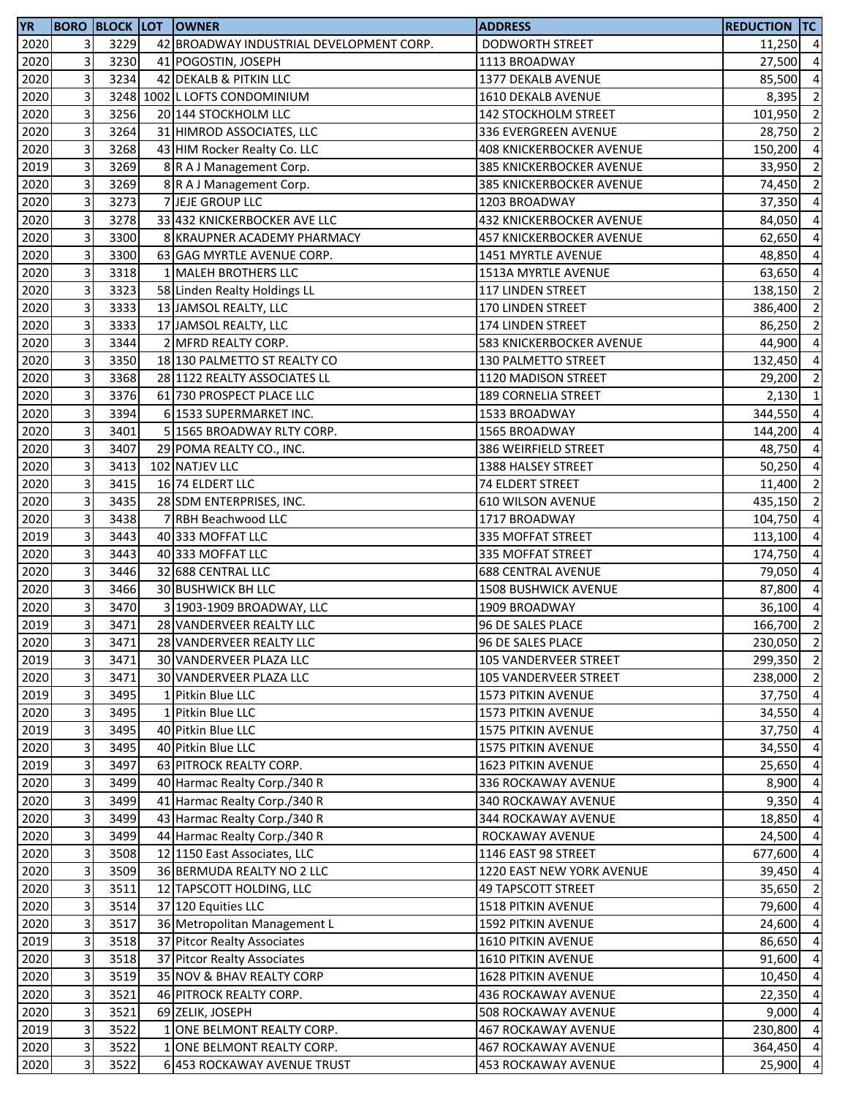| 2020<br>3<br>3229<br>42 BROADWAY INDUSTRIAL DEVELOPMENT CORP.<br><b>DODWORTH STREET</b><br>$11,250$ 4<br>3<br>2020<br>3230<br>41 POGOSTIN, JOSEPH<br>27,500<br>1113 BROADWAY<br>2020<br>3<br>3234<br>42 DEKALB & PITKIN LLC<br>1377 DEKALB AVENUE<br>85,500<br>3<br>3248 1002 L LOFTS CONDOMINIUM<br>2020<br>1610 DEKALB AVENUE<br>3<br>3256<br>2020<br>20 144 STOCKHOLM LLC<br>101,950<br>142 STOCKHOLM STREET<br>3<br>3264<br>2020<br>31 HIMROD ASSOCIATES, LLC<br>28,750<br>336 EVERGREEN AVENUE<br>3<br>3268<br>2020<br>43 HIM Rocker Realty Co. LLC<br><b>408 KNICKERBOCKER AVENUE</b><br>150,200<br>3<br>3269<br>2019<br>8 R A J Management Corp.<br>385 KNICKERBOCKER AVENUE<br>33,950<br>3<br>3269<br>2020<br>8 R A J Management Corp.<br>385 KNICKERBOCKER AVENUE<br>74,450<br>3<br>3273<br>2020<br>7 JEJE GROUP LLC<br>1203 BROADWAY<br>37,350<br>3<br>3278<br>33 432 KNICKERBOCKER AVE LLC<br>2020<br>432 KNICKERBOCKER AVENUE<br>84,050<br>3<br>3300<br>2020<br>8 KRAUPNER ACADEMY PHARMACY<br>457 KNICKERBOCKER AVENUE<br>62,650<br>3<br>2020<br>3300<br>63 GAG MYRTLE AVENUE CORP.<br>1451 MYRTLE AVENUE<br>48,850<br>3<br>3318<br>2020<br>1 MALEH BROTHERS LLC<br>1513A MYRTLE AVENUE<br>63,650<br>3<br>3323<br>2020<br>58 Linden Realty Holdings LL<br>117 LINDEN STREET<br>138,150<br>3<br>3333<br>2020<br>13 JAMSOL REALTY, LLC<br>170 LINDEN STREET<br>386,400<br>3<br>3333<br>2020<br>17 JAMSOL REALTY, LLC<br>174 LINDEN STREET<br>86,250<br>3<br>2020<br>3344<br>2 MFRD REALTY CORP.<br>583 KNICKERBOCKER AVENUE<br>44,900<br>3<br>2020<br>3350<br>18 130 PALMETTO ST REALTY CO<br>130 PALMETTO STREET<br>132,450<br>3<br>3368<br>2020<br>28 1122 REALTY ASSOCIATES LL<br>1120 MADISON STREET<br>29,200<br>$\mathsf{3}$<br>3376<br>2020<br>61 730 PROSPECT PLACE LLC<br><b>189 CORNELIA STREET</b><br>3<br>2020<br>3394<br>344,550<br>6 1533 SUPERMARKET INC.<br>1533 BROADWAY<br>3<br>2020<br>3401<br>5 1565 BROADWAY RLTY CORP.<br>144,200<br>1565 BROADWAY<br>3<br>2020<br>3407<br>29 POMA REALTY CO., INC.<br>386 WEIRFIELD STREET<br>48,750<br>3<br>3413<br>2020<br>102 NATJEV LLC<br>1388 HALSEY STREET<br>50,250<br>3<br>2020<br>3415<br>16 74 ELDERT LLC<br><b>74 ELDERT STREET</b><br>11,400<br>3<br>3435<br>2020<br>28 SDM ENTERPRISES, INC.<br>610 WILSON AVENUE<br>435,150<br>3<br>3438<br>2020<br>7 RBH Beachwood LLC<br>1717 BROADWAY<br>104,750<br>3<br>3443<br>2019<br>40 333 MOFFAT LLC<br>335 MOFFAT STREET<br>113,100<br>3<br>2020<br>3443<br>40 333 MOFFAT LLC<br>335 MOFFAT STREET<br>174,750<br>3<br>3446<br>2020<br>32 688 CENTRAL LLC<br><b>688 CENTRAL AVENUE</b><br>79,050<br>3<br>3466<br>2020<br>30 BUSHWICK BH LLC<br><b>1508 BUSHWICK AVENUE</b><br>87,800<br>3<br>3470<br>2020<br>3 1903-1909 BROADWAY, LLC<br>1909 BROADWAY<br>3<br>3471<br>2019<br>166,700<br>28 VANDERVEER REALTY LLC<br>96 DE SALES PLACE<br>2020<br>$\overline{\mathbf{3}}$<br>3471<br>28 VANDERVEER REALTY LLC<br>96 DE SALES PLACE<br>3<br>2019<br>3471<br>30 VANDERVEER PLAZA LLC<br>105 VANDERVEER STREET<br>3<br>2020<br>3471<br>30 VANDERVEER PLAZA LLC<br>105 VANDERVEER STREET<br>3<br>2019<br>3495<br>1 Pitkin Blue LLC<br>1573 PITKIN AVENUE<br>3<br>2020<br>3495<br>1 Pitkin Blue LLC<br>34,550<br>1573 PITKIN AVENUE<br>3<br>2019<br>3495<br>40 Pitkin Blue LLC<br>1575 PITKIN AVENUE<br>37,750<br>3<br>2020<br>3495<br>40 Pitkin Blue LLC<br>1575 PITKIN AVENUE<br>34,550<br>3<br>2019<br>3497<br>63 PITROCK REALTY CORP.<br>1623 PITKIN AVENUE<br>25,650<br>3<br>2020<br>3499<br>40 Harmac Realty Corp./340 R<br>336 ROCKAWAY AVENUE<br>8,900<br>3<br>2020<br>3499<br>41 Harmac Realty Corp./340 R<br>340 ROCKAWAY AVENUE<br>9,350<br>3<br>43 Harmac Realty Corp./340 R<br>2020<br>3499<br>344 ROCKAWAY AVENUE<br>18,850<br>3<br>2020<br>3499<br>44 Harmac Realty Corp./340 R<br>ROCKAWAY AVENUE<br>24,500<br>3<br>2020<br>3508<br>12 1150 East Associates, LLC<br>1146 EAST 98 STREET<br>677,600<br>3<br>2020<br>3509<br>36 BERMUDA REALTY NO 2 LLC<br>39,450<br>1220 EAST NEW YORK AVENUE<br>3<br>2020<br>3511<br>12 TAPSCOTT HOLDING, LLC<br>49 TAPSCOTT STREET<br>3<br>2020<br>3514<br>37 120 Equities LLC<br>1518 PITKIN AVENUE<br>79,600<br>3<br>2020<br>3517<br>36 Metropolitan Management L<br>1592 PITKIN AVENUE<br>24,600<br>3<br>3518<br>2019<br>37 Pitcor Realty Associates<br>1610 PITKIN AVENUE<br>86,650<br>3<br>3518<br>2020<br>37 Pitcor Realty Associates<br>1610 PITKIN AVENUE<br>91,600<br>3<br>3519<br>2020<br>35 NOV & BHAV REALTY CORP<br>1628 PITKIN AVENUE<br>3<br>2020<br>3521<br>46 PITROCK REALTY CORP.<br>22,350<br><b>436 ROCKAWAY AVENUE</b><br>3<br>3521<br>2020<br>69 ZELIK, JOSEPH<br>508 ROCKAWAY AVENUE<br>9,000<br>3<br>2019<br>3522<br>1 ONE BELMONT REALTY CORP.<br>230,800<br><b>467 ROCKAWAY AVENUE</b><br>3<br>2020<br>3522<br>1 ONE BELMONT REALTY CORP.<br><b>467 ROCKAWAY AVENUE</b> | YR   |   |      | <b>BORO BLOCK LOT OWNER</b> | <b>ADDRESS</b>      | <b>REDUCTION TC</b> |  |
|---------------------------------------------------------------------------------------------------------------------------------------------------------------------------------------------------------------------------------------------------------------------------------------------------------------------------------------------------------------------------------------------------------------------------------------------------------------------------------------------------------------------------------------------------------------------------------------------------------------------------------------------------------------------------------------------------------------------------------------------------------------------------------------------------------------------------------------------------------------------------------------------------------------------------------------------------------------------------------------------------------------------------------------------------------------------------------------------------------------------------------------------------------------------------------------------------------------------------------------------------------------------------------------------------------------------------------------------------------------------------------------------------------------------------------------------------------------------------------------------------------------------------------------------------------------------------------------------------------------------------------------------------------------------------------------------------------------------------------------------------------------------------------------------------------------------------------------------------------------------------------------------------------------------------------------------------------------------------------------------------------------------------------------------------------------------------------------------------------------------------------------------------------------------------------------------------------------------------------------------------------------------------------------------------------------------------------------------------------------------------------------------------------------------------------------------------------------------------------------------------------------------------------------------------------------------------------------------------------------------------------------------------------------------------------------------------------------------------------------------------------------------------------------------------------------------------------------------------------------------------------------------------------------------------------------------------------------------------------------------------------------------------------------------------------------------------------------------------------------------------------------------------------------------------------------------------------------------------------------------------------------------------------------------------------------------------------------------------------------------------------------------------------------------------------------------------------------------------------------------------------------------------------------------------------------------------------------------------------------------------------------------------------------------------------------------------------------------------------------------------------------------------------------------------------------------------------------------------------------------------------------------------------------------------------------------------------------------------------------------------------------------------------------------------------------------------------------------------------------------------------------------------------------------------------------------------------------------------------------------------------------------------------------------------------------------------------------------------------------------------------------------------------------------------------------------------------------------------------------------------------------------------------------------------------------------------------------------------------------------------------------------------------------------------------------------------------------------------------------------------------------------------------------------------------------------------------------------------------------------------|------|---|------|-----------------------------|---------------------|---------------------|--|
| $\overline{a}$<br>$\overline{a}$<br>8,395 2<br>$\overline{2}$<br>$\overline{2}$<br>$\overline{4}$<br>$\overline{2}$<br>$\overline{2}$<br>$\overline{a}$<br>$\overline{a}$<br>$\overline{a}$<br>$\overline{a}$<br>$\overline{a}$<br>$\overline{2}$<br>$\overline{2}$<br>$\overline{2}$<br>$\overline{a}$<br>$\overline{a}$<br>$\overline{2}$<br>$2,130$ 1<br>$\overline{a}$<br>$\overline{a}$<br>$\overline{a}$<br>$\overline{a}$<br>$\overline{2}$<br>$\overline{2}$<br>$\overline{a}$<br>$\overline{a}$<br>$\overline{a}$<br>$\overline{a}$<br>$\overline{a}$<br>36,100 4<br>$\overline{2}$<br>230,050 2<br>299,350 2<br>238,000 2<br>37,750 4<br>$\overline{4}$<br>$\overline{a}$<br>$\overline{a}$<br>$\overline{a}$<br>$\overline{a}$<br>$\overline{4}$<br>$\overline{4}$<br>$\overline{4}$<br>$\overline{a}$<br>$\overline{4}$<br>35,650 2<br>$\overline{a}$<br>$\overline{4}$<br>$\overline{4}$<br>$\overline{4}$<br>10,450 4<br>$\overline{4}$<br>$\overline{a}$<br>$\overline{4}$<br>364,450 4<br>25,900 4                                                                                                                                                                                                                                                                                                                                                                                                                                                                                                                                                                                                                                                                                                                                                                                                                                                                                                                                                                                                                                                                                                                                                                                                                                                                                                                                                                                                                                                                                                                                                                                                                                                                                                                                                                                                                                                                                                                                                                                                                                                                                                                                                                                                                                                                                                                                                                                                                                                                                                                                                                                                                                                                                                                                                                                                                                                                                                                                                                                                                                                                                                                                                                                                                                                                                                                                                                                                                                                                                                                                                                                                                                                                                                                                                                                                                                                        |      |   |      |                             |                     |                     |  |
|                                                                                                                                                                                                                                                                                                                                                                                                                                                                                                                                                                                                                                                                                                                                                                                                                                                                                                                                                                                                                                                                                                                                                                                                                                                                                                                                                                                                                                                                                                                                                                                                                                                                                                                                                                                                                                                                                                                                                                                                                                                                                                                                                                                                                                                                                                                                                                                                                                                                                                                                                                                                                                                                                                                                                                                                                                                                                                                                                                                                                                                                                                                                                                                                                                                                                                                                                                                                                                                                                                                                                                                                                                                                                                                                                                                                                                                                                                                                                                                                                                                                                                                                                                                                                                                                                                                                                                                                                                                                                                                                                                                                                                                                                                                                                                                                                                                                           |      |   |      |                             |                     |                     |  |
|                                                                                                                                                                                                                                                                                                                                                                                                                                                                                                                                                                                                                                                                                                                                                                                                                                                                                                                                                                                                                                                                                                                                                                                                                                                                                                                                                                                                                                                                                                                                                                                                                                                                                                                                                                                                                                                                                                                                                                                                                                                                                                                                                                                                                                                                                                                                                                                                                                                                                                                                                                                                                                                                                                                                                                                                                                                                                                                                                                                                                                                                                                                                                                                                                                                                                                                                                                                                                                                                                                                                                                                                                                                                                                                                                                                                                                                                                                                                                                                                                                                                                                                                                                                                                                                                                                                                                                                                                                                                                                                                                                                                                                                                                                                                                                                                                                                                           |      |   |      |                             |                     |                     |  |
|                                                                                                                                                                                                                                                                                                                                                                                                                                                                                                                                                                                                                                                                                                                                                                                                                                                                                                                                                                                                                                                                                                                                                                                                                                                                                                                                                                                                                                                                                                                                                                                                                                                                                                                                                                                                                                                                                                                                                                                                                                                                                                                                                                                                                                                                                                                                                                                                                                                                                                                                                                                                                                                                                                                                                                                                                                                                                                                                                                                                                                                                                                                                                                                                                                                                                                                                                                                                                                                                                                                                                                                                                                                                                                                                                                                                                                                                                                                                                                                                                                                                                                                                                                                                                                                                                                                                                                                                                                                                                                                                                                                                                                                                                                                                                                                                                                                                           |      |   |      |                             |                     |                     |  |
|                                                                                                                                                                                                                                                                                                                                                                                                                                                                                                                                                                                                                                                                                                                                                                                                                                                                                                                                                                                                                                                                                                                                                                                                                                                                                                                                                                                                                                                                                                                                                                                                                                                                                                                                                                                                                                                                                                                                                                                                                                                                                                                                                                                                                                                                                                                                                                                                                                                                                                                                                                                                                                                                                                                                                                                                                                                                                                                                                                                                                                                                                                                                                                                                                                                                                                                                                                                                                                                                                                                                                                                                                                                                                                                                                                                                                                                                                                                                                                                                                                                                                                                                                                                                                                                                                                                                                                                                                                                                                                                                                                                                                                                                                                                                                                                                                                                                           |      |   |      |                             |                     |                     |  |
|                                                                                                                                                                                                                                                                                                                                                                                                                                                                                                                                                                                                                                                                                                                                                                                                                                                                                                                                                                                                                                                                                                                                                                                                                                                                                                                                                                                                                                                                                                                                                                                                                                                                                                                                                                                                                                                                                                                                                                                                                                                                                                                                                                                                                                                                                                                                                                                                                                                                                                                                                                                                                                                                                                                                                                                                                                                                                                                                                                                                                                                                                                                                                                                                                                                                                                                                                                                                                                                                                                                                                                                                                                                                                                                                                                                                                                                                                                                                                                                                                                                                                                                                                                                                                                                                                                                                                                                                                                                                                                                                                                                                                                                                                                                                                                                                                                                                           |      |   |      |                             |                     |                     |  |
|                                                                                                                                                                                                                                                                                                                                                                                                                                                                                                                                                                                                                                                                                                                                                                                                                                                                                                                                                                                                                                                                                                                                                                                                                                                                                                                                                                                                                                                                                                                                                                                                                                                                                                                                                                                                                                                                                                                                                                                                                                                                                                                                                                                                                                                                                                                                                                                                                                                                                                                                                                                                                                                                                                                                                                                                                                                                                                                                                                                                                                                                                                                                                                                                                                                                                                                                                                                                                                                                                                                                                                                                                                                                                                                                                                                                                                                                                                                                                                                                                                                                                                                                                                                                                                                                                                                                                                                                                                                                                                                                                                                                                                                                                                                                                                                                                                                                           |      |   |      |                             |                     |                     |  |
|                                                                                                                                                                                                                                                                                                                                                                                                                                                                                                                                                                                                                                                                                                                                                                                                                                                                                                                                                                                                                                                                                                                                                                                                                                                                                                                                                                                                                                                                                                                                                                                                                                                                                                                                                                                                                                                                                                                                                                                                                                                                                                                                                                                                                                                                                                                                                                                                                                                                                                                                                                                                                                                                                                                                                                                                                                                                                                                                                                                                                                                                                                                                                                                                                                                                                                                                                                                                                                                                                                                                                                                                                                                                                                                                                                                                                                                                                                                                                                                                                                                                                                                                                                                                                                                                                                                                                                                                                                                                                                                                                                                                                                                                                                                                                                                                                                                                           |      |   |      |                             |                     |                     |  |
|                                                                                                                                                                                                                                                                                                                                                                                                                                                                                                                                                                                                                                                                                                                                                                                                                                                                                                                                                                                                                                                                                                                                                                                                                                                                                                                                                                                                                                                                                                                                                                                                                                                                                                                                                                                                                                                                                                                                                                                                                                                                                                                                                                                                                                                                                                                                                                                                                                                                                                                                                                                                                                                                                                                                                                                                                                                                                                                                                                                                                                                                                                                                                                                                                                                                                                                                                                                                                                                                                                                                                                                                                                                                                                                                                                                                                                                                                                                                                                                                                                                                                                                                                                                                                                                                                                                                                                                                                                                                                                                                                                                                                                                                                                                                                                                                                                                                           |      |   |      |                             |                     |                     |  |
|                                                                                                                                                                                                                                                                                                                                                                                                                                                                                                                                                                                                                                                                                                                                                                                                                                                                                                                                                                                                                                                                                                                                                                                                                                                                                                                                                                                                                                                                                                                                                                                                                                                                                                                                                                                                                                                                                                                                                                                                                                                                                                                                                                                                                                                                                                                                                                                                                                                                                                                                                                                                                                                                                                                                                                                                                                                                                                                                                                                                                                                                                                                                                                                                                                                                                                                                                                                                                                                                                                                                                                                                                                                                                                                                                                                                                                                                                                                                                                                                                                                                                                                                                                                                                                                                                                                                                                                                                                                                                                                                                                                                                                                                                                                                                                                                                                                                           |      |   |      |                             |                     |                     |  |
|                                                                                                                                                                                                                                                                                                                                                                                                                                                                                                                                                                                                                                                                                                                                                                                                                                                                                                                                                                                                                                                                                                                                                                                                                                                                                                                                                                                                                                                                                                                                                                                                                                                                                                                                                                                                                                                                                                                                                                                                                                                                                                                                                                                                                                                                                                                                                                                                                                                                                                                                                                                                                                                                                                                                                                                                                                                                                                                                                                                                                                                                                                                                                                                                                                                                                                                                                                                                                                                                                                                                                                                                                                                                                                                                                                                                                                                                                                                                                                                                                                                                                                                                                                                                                                                                                                                                                                                                                                                                                                                                                                                                                                                                                                                                                                                                                                                                           |      |   |      |                             |                     |                     |  |
|                                                                                                                                                                                                                                                                                                                                                                                                                                                                                                                                                                                                                                                                                                                                                                                                                                                                                                                                                                                                                                                                                                                                                                                                                                                                                                                                                                                                                                                                                                                                                                                                                                                                                                                                                                                                                                                                                                                                                                                                                                                                                                                                                                                                                                                                                                                                                                                                                                                                                                                                                                                                                                                                                                                                                                                                                                                                                                                                                                                                                                                                                                                                                                                                                                                                                                                                                                                                                                                                                                                                                                                                                                                                                                                                                                                                                                                                                                                                                                                                                                                                                                                                                                                                                                                                                                                                                                                                                                                                                                                                                                                                                                                                                                                                                                                                                                                                           |      |   |      |                             |                     |                     |  |
|                                                                                                                                                                                                                                                                                                                                                                                                                                                                                                                                                                                                                                                                                                                                                                                                                                                                                                                                                                                                                                                                                                                                                                                                                                                                                                                                                                                                                                                                                                                                                                                                                                                                                                                                                                                                                                                                                                                                                                                                                                                                                                                                                                                                                                                                                                                                                                                                                                                                                                                                                                                                                                                                                                                                                                                                                                                                                                                                                                                                                                                                                                                                                                                                                                                                                                                                                                                                                                                                                                                                                                                                                                                                                                                                                                                                                                                                                                                                                                                                                                                                                                                                                                                                                                                                                                                                                                                                                                                                                                                                                                                                                                                                                                                                                                                                                                                                           |      |   |      |                             |                     |                     |  |
|                                                                                                                                                                                                                                                                                                                                                                                                                                                                                                                                                                                                                                                                                                                                                                                                                                                                                                                                                                                                                                                                                                                                                                                                                                                                                                                                                                                                                                                                                                                                                                                                                                                                                                                                                                                                                                                                                                                                                                                                                                                                                                                                                                                                                                                                                                                                                                                                                                                                                                                                                                                                                                                                                                                                                                                                                                                                                                                                                                                                                                                                                                                                                                                                                                                                                                                                                                                                                                                                                                                                                                                                                                                                                                                                                                                                                                                                                                                                                                                                                                                                                                                                                                                                                                                                                                                                                                                                                                                                                                                                                                                                                                                                                                                                                                                                                                                                           |      |   |      |                             |                     |                     |  |
|                                                                                                                                                                                                                                                                                                                                                                                                                                                                                                                                                                                                                                                                                                                                                                                                                                                                                                                                                                                                                                                                                                                                                                                                                                                                                                                                                                                                                                                                                                                                                                                                                                                                                                                                                                                                                                                                                                                                                                                                                                                                                                                                                                                                                                                                                                                                                                                                                                                                                                                                                                                                                                                                                                                                                                                                                                                                                                                                                                                                                                                                                                                                                                                                                                                                                                                                                                                                                                                                                                                                                                                                                                                                                                                                                                                                                                                                                                                                                                                                                                                                                                                                                                                                                                                                                                                                                                                                                                                                                                                                                                                                                                                                                                                                                                                                                                                                           |      |   |      |                             |                     |                     |  |
|                                                                                                                                                                                                                                                                                                                                                                                                                                                                                                                                                                                                                                                                                                                                                                                                                                                                                                                                                                                                                                                                                                                                                                                                                                                                                                                                                                                                                                                                                                                                                                                                                                                                                                                                                                                                                                                                                                                                                                                                                                                                                                                                                                                                                                                                                                                                                                                                                                                                                                                                                                                                                                                                                                                                                                                                                                                                                                                                                                                                                                                                                                                                                                                                                                                                                                                                                                                                                                                                                                                                                                                                                                                                                                                                                                                                                                                                                                                                                                                                                                                                                                                                                                                                                                                                                                                                                                                                                                                                                                                                                                                                                                                                                                                                                                                                                                                                           |      |   |      |                             |                     |                     |  |
|                                                                                                                                                                                                                                                                                                                                                                                                                                                                                                                                                                                                                                                                                                                                                                                                                                                                                                                                                                                                                                                                                                                                                                                                                                                                                                                                                                                                                                                                                                                                                                                                                                                                                                                                                                                                                                                                                                                                                                                                                                                                                                                                                                                                                                                                                                                                                                                                                                                                                                                                                                                                                                                                                                                                                                                                                                                                                                                                                                                                                                                                                                                                                                                                                                                                                                                                                                                                                                                                                                                                                                                                                                                                                                                                                                                                                                                                                                                                                                                                                                                                                                                                                                                                                                                                                                                                                                                                                                                                                                                                                                                                                                                                                                                                                                                                                                                                           |      |   |      |                             |                     |                     |  |
|                                                                                                                                                                                                                                                                                                                                                                                                                                                                                                                                                                                                                                                                                                                                                                                                                                                                                                                                                                                                                                                                                                                                                                                                                                                                                                                                                                                                                                                                                                                                                                                                                                                                                                                                                                                                                                                                                                                                                                                                                                                                                                                                                                                                                                                                                                                                                                                                                                                                                                                                                                                                                                                                                                                                                                                                                                                                                                                                                                                                                                                                                                                                                                                                                                                                                                                                                                                                                                                                                                                                                                                                                                                                                                                                                                                                                                                                                                                                                                                                                                                                                                                                                                                                                                                                                                                                                                                                                                                                                                                                                                                                                                                                                                                                                                                                                                                                           |      |   |      |                             |                     |                     |  |
|                                                                                                                                                                                                                                                                                                                                                                                                                                                                                                                                                                                                                                                                                                                                                                                                                                                                                                                                                                                                                                                                                                                                                                                                                                                                                                                                                                                                                                                                                                                                                                                                                                                                                                                                                                                                                                                                                                                                                                                                                                                                                                                                                                                                                                                                                                                                                                                                                                                                                                                                                                                                                                                                                                                                                                                                                                                                                                                                                                                                                                                                                                                                                                                                                                                                                                                                                                                                                                                                                                                                                                                                                                                                                                                                                                                                                                                                                                                                                                                                                                                                                                                                                                                                                                                                                                                                                                                                                                                                                                                                                                                                                                                                                                                                                                                                                                                                           |      |   |      |                             |                     |                     |  |
|                                                                                                                                                                                                                                                                                                                                                                                                                                                                                                                                                                                                                                                                                                                                                                                                                                                                                                                                                                                                                                                                                                                                                                                                                                                                                                                                                                                                                                                                                                                                                                                                                                                                                                                                                                                                                                                                                                                                                                                                                                                                                                                                                                                                                                                                                                                                                                                                                                                                                                                                                                                                                                                                                                                                                                                                                                                                                                                                                                                                                                                                                                                                                                                                                                                                                                                                                                                                                                                                                                                                                                                                                                                                                                                                                                                                                                                                                                                                                                                                                                                                                                                                                                                                                                                                                                                                                                                                                                                                                                                                                                                                                                                                                                                                                                                                                                                                           |      |   |      |                             |                     |                     |  |
|                                                                                                                                                                                                                                                                                                                                                                                                                                                                                                                                                                                                                                                                                                                                                                                                                                                                                                                                                                                                                                                                                                                                                                                                                                                                                                                                                                                                                                                                                                                                                                                                                                                                                                                                                                                                                                                                                                                                                                                                                                                                                                                                                                                                                                                                                                                                                                                                                                                                                                                                                                                                                                                                                                                                                                                                                                                                                                                                                                                                                                                                                                                                                                                                                                                                                                                                                                                                                                                                                                                                                                                                                                                                                                                                                                                                                                                                                                                                                                                                                                                                                                                                                                                                                                                                                                                                                                                                                                                                                                                                                                                                                                                                                                                                                                                                                                                                           |      |   |      |                             |                     |                     |  |
|                                                                                                                                                                                                                                                                                                                                                                                                                                                                                                                                                                                                                                                                                                                                                                                                                                                                                                                                                                                                                                                                                                                                                                                                                                                                                                                                                                                                                                                                                                                                                                                                                                                                                                                                                                                                                                                                                                                                                                                                                                                                                                                                                                                                                                                                                                                                                                                                                                                                                                                                                                                                                                                                                                                                                                                                                                                                                                                                                                                                                                                                                                                                                                                                                                                                                                                                                                                                                                                                                                                                                                                                                                                                                                                                                                                                                                                                                                                                                                                                                                                                                                                                                                                                                                                                                                                                                                                                                                                                                                                                                                                                                                                                                                                                                                                                                                                                           |      |   |      |                             |                     |                     |  |
|                                                                                                                                                                                                                                                                                                                                                                                                                                                                                                                                                                                                                                                                                                                                                                                                                                                                                                                                                                                                                                                                                                                                                                                                                                                                                                                                                                                                                                                                                                                                                                                                                                                                                                                                                                                                                                                                                                                                                                                                                                                                                                                                                                                                                                                                                                                                                                                                                                                                                                                                                                                                                                                                                                                                                                                                                                                                                                                                                                                                                                                                                                                                                                                                                                                                                                                                                                                                                                                                                                                                                                                                                                                                                                                                                                                                                                                                                                                                                                                                                                                                                                                                                                                                                                                                                                                                                                                                                                                                                                                                                                                                                                                                                                                                                                                                                                                                           |      |   |      |                             |                     |                     |  |
|                                                                                                                                                                                                                                                                                                                                                                                                                                                                                                                                                                                                                                                                                                                                                                                                                                                                                                                                                                                                                                                                                                                                                                                                                                                                                                                                                                                                                                                                                                                                                                                                                                                                                                                                                                                                                                                                                                                                                                                                                                                                                                                                                                                                                                                                                                                                                                                                                                                                                                                                                                                                                                                                                                                                                                                                                                                                                                                                                                                                                                                                                                                                                                                                                                                                                                                                                                                                                                                                                                                                                                                                                                                                                                                                                                                                                                                                                                                                                                                                                                                                                                                                                                                                                                                                                                                                                                                                                                                                                                                                                                                                                                                                                                                                                                                                                                                                           |      |   |      |                             |                     |                     |  |
|                                                                                                                                                                                                                                                                                                                                                                                                                                                                                                                                                                                                                                                                                                                                                                                                                                                                                                                                                                                                                                                                                                                                                                                                                                                                                                                                                                                                                                                                                                                                                                                                                                                                                                                                                                                                                                                                                                                                                                                                                                                                                                                                                                                                                                                                                                                                                                                                                                                                                                                                                                                                                                                                                                                                                                                                                                                                                                                                                                                                                                                                                                                                                                                                                                                                                                                                                                                                                                                                                                                                                                                                                                                                                                                                                                                                                                                                                                                                                                                                                                                                                                                                                                                                                                                                                                                                                                                                                                                                                                                                                                                                                                                                                                                                                                                                                                                                           |      |   |      |                             |                     |                     |  |
|                                                                                                                                                                                                                                                                                                                                                                                                                                                                                                                                                                                                                                                                                                                                                                                                                                                                                                                                                                                                                                                                                                                                                                                                                                                                                                                                                                                                                                                                                                                                                                                                                                                                                                                                                                                                                                                                                                                                                                                                                                                                                                                                                                                                                                                                                                                                                                                                                                                                                                                                                                                                                                                                                                                                                                                                                                                                                                                                                                                                                                                                                                                                                                                                                                                                                                                                                                                                                                                                                                                                                                                                                                                                                                                                                                                                                                                                                                                                                                                                                                                                                                                                                                                                                                                                                                                                                                                                                                                                                                                                                                                                                                                                                                                                                                                                                                                                           |      |   |      |                             |                     |                     |  |
|                                                                                                                                                                                                                                                                                                                                                                                                                                                                                                                                                                                                                                                                                                                                                                                                                                                                                                                                                                                                                                                                                                                                                                                                                                                                                                                                                                                                                                                                                                                                                                                                                                                                                                                                                                                                                                                                                                                                                                                                                                                                                                                                                                                                                                                                                                                                                                                                                                                                                                                                                                                                                                                                                                                                                                                                                                                                                                                                                                                                                                                                                                                                                                                                                                                                                                                                                                                                                                                                                                                                                                                                                                                                                                                                                                                                                                                                                                                                                                                                                                                                                                                                                                                                                                                                                                                                                                                                                                                                                                                                                                                                                                                                                                                                                                                                                                                                           |      |   |      |                             |                     |                     |  |
|                                                                                                                                                                                                                                                                                                                                                                                                                                                                                                                                                                                                                                                                                                                                                                                                                                                                                                                                                                                                                                                                                                                                                                                                                                                                                                                                                                                                                                                                                                                                                                                                                                                                                                                                                                                                                                                                                                                                                                                                                                                                                                                                                                                                                                                                                                                                                                                                                                                                                                                                                                                                                                                                                                                                                                                                                                                                                                                                                                                                                                                                                                                                                                                                                                                                                                                                                                                                                                                                                                                                                                                                                                                                                                                                                                                                                                                                                                                                                                                                                                                                                                                                                                                                                                                                                                                                                                                                                                                                                                                                                                                                                                                                                                                                                                                                                                                                           |      |   |      |                             |                     |                     |  |
|                                                                                                                                                                                                                                                                                                                                                                                                                                                                                                                                                                                                                                                                                                                                                                                                                                                                                                                                                                                                                                                                                                                                                                                                                                                                                                                                                                                                                                                                                                                                                                                                                                                                                                                                                                                                                                                                                                                                                                                                                                                                                                                                                                                                                                                                                                                                                                                                                                                                                                                                                                                                                                                                                                                                                                                                                                                                                                                                                                                                                                                                                                                                                                                                                                                                                                                                                                                                                                                                                                                                                                                                                                                                                                                                                                                                                                                                                                                                                                                                                                                                                                                                                                                                                                                                                                                                                                                                                                                                                                                                                                                                                                                                                                                                                                                                                                                                           |      |   |      |                             |                     |                     |  |
|                                                                                                                                                                                                                                                                                                                                                                                                                                                                                                                                                                                                                                                                                                                                                                                                                                                                                                                                                                                                                                                                                                                                                                                                                                                                                                                                                                                                                                                                                                                                                                                                                                                                                                                                                                                                                                                                                                                                                                                                                                                                                                                                                                                                                                                                                                                                                                                                                                                                                                                                                                                                                                                                                                                                                                                                                                                                                                                                                                                                                                                                                                                                                                                                                                                                                                                                                                                                                                                                                                                                                                                                                                                                                                                                                                                                                                                                                                                                                                                                                                                                                                                                                                                                                                                                                                                                                                                                                                                                                                                                                                                                                                                                                                                                                                                                                                                                           |      |   |      |                             |                     |                     |  |
|                                                                                                                                                                                                                                                                                                                                                                                                                                                                                                                                                                                                                                                                                                                                                                                                                                                                                                                                                                                                                                                                                                                                                                                                                                                                                                                                                                                                                                                                                                                                                                                                                                                                                                                                                                                                                                                                                                                                                                                                                                                                                                                                                                                                                                                                                                                                                                                                                                                                                                                                                                                                                                                                                                                                                                                                                                                                                                                                                                                                                                                                                                                                                                                                                                                                                                                                                                                                                                                                                                                                                                                                                                                                                                                                                                                                                                                                                                                                                                                                                                                                                                                                                                                                                                                                                                                                                                                                                                                                                                                                                                                                                                                                                                                                                                                                                                                                           |      |   |      |                             |                     |                     |  |
|                                                                                                                                                                                                                                                                                                                                                                                                                                                                                                                                                                                                                                                                                                                                                                                                                                                                                                                                                                                                                                                                                                                                                                                                                                                                                                                                                                                                                                                                                                                                                                                                                                                                                                                                                                                                                                                                                                                                                                                                                                                                                                                                                                                                                                                                                                                                                                                                                                                                                                                                                                                                                                                                                                                                                                                                                                                                                                                                                                                                                                                                                                                                                                                                                                                                                                                                                                                                                                                                                                                                                                                                                                                                                                                                                                                                                                                                                                                                                                                                                                                                                                                                                                                                                                                                                                                                                                                                                                                                                                                                                                                                                                                                                                                                                                                                                                                                           |      |   |      |                             |                     |                     |  |
|                                                                                                                                                                                                                                                                                                                                                                                                                                                                                                                                                                                                                                                                                                                                                                                                                                                                                                                                                                                                                                                                                                                                                                                                                                                                                                                                                                                                                                                                                                                                                                                                                                                                                                                                                                                                                                                                                                                                                                                                                                                                                                                                                                                                                                                                                                                                                                                                                                                                                                                                                                                                                                                                                                                                                                                                                                                                                                                                                                                                                                                                                                                                                                                                                                                                                                                                                                                                                                                                                                                                                                                                                                                                                                                                                                                                                                                                                                                                                                                                                                                                                                                                                                                                                                                                                                                                                                                                                                                                                                                                                                                                                                                                                                                                                                                                                                                                           |      |   |      |                             |                     |                     |  |
|                                                                                                                                                                                                                                                                                                                                                                                                                                                                                                                                                                                                                                                                                                                                                                                                                                                                                                                                                                                                                                                                                                                                                                                                                                                                                                                                                                                                                                                                                                                                                                                                                                                                                                                                                                                                                                                                                                                                                                                                                                                                                                                                                                                                                                                                                                                                                                                                                                                                                                                                                                                                                                                                                                                                                                                                                                                                                                                                                                                                                                                                                                                                                                                                                                                                                                                                                                                                                                                                                                                                                                                                                                                                                                                                                                                                                                                                                                                                                                                                                                                                                                                                                                                                                                                                                                                                                                                                                                                                                                                                                                                                                                                                                                                                                                                                                                                                           |      |   |      |                             |                     |                     |  |
|                                                                                                                                                                                                                                                                                                                                                                                                                                                                                                                                                                                                                                                                                                                                                                                                                                                                                                                                                                                                                                                                                                                                                                                                                                                                                                                                                                                                                                                                                                                                                                                                                                                                                                                                                                                                                                                                                                                                                                                                                                                                                                                                                                                                                                                                                                                                                                                                                                                                                                                                                                                                                                                                                                                                                                                                                                                                                                                                                                                                                                                                                                                                                                                                                                                                                                                                                                                                                                                                                                                                                                                                                                                                                                                                                                                                                                                                                                                                                                                                                                                                                                                                                                                                                                                                                                                                                                                                                                                                                                                                                                                                                                                                                                                                                                                                                                                                           |      |   |      |                             |                     |                     |  |
|                                                                                                                                                                                                                                                                                                                                                                                                                                                                                                                                                                                                                                                                                                                                                                                                                                                                                                                                                                                                                                                                                                                                                                                                                                                                                                                                                                                                                                                                                                                                                                                                                                                                                                                                                                                                                                                                                                                                                                                                                                                                                                                                                                                                                                                                                                                                                                                                                                                                                                                                                                                                                                                                                                                                                                                                                                                                                                                                                                                                                                                                                                                                                                                                                                                                                                                                                                                                                                                                                                                                                                                                                                                                                                                                                                                                                                                                                                                                                                                                                                                                                                                                                                                                                                                                                                                                                                                                                                                                                                                                                                                                                                                                                                                                                                                                                                                                           |      |   |      |                             |                     |                     |  |
|                                                                                                                                                                                                                                                                                                                                                                                                                                                                                                                                                                                                                                                                                                                                                                                                                                                                                                                                                                                                                                                                                                                                                                                                                                                                                                                                                                                                                                                                                                                                                                                                                                                                                                                                                                                                                                                                                                                                                                                                                                                                                                                                                                                                                                                                                                                                                                                                                                                                                                                                                                                                                                                                                                                                                                                                                                                                                                                                                                                                                                                                                                                                                                                                                                                                                                                                                                                                                                                                                                                                                                                                                                                                                                                                                                                                                                                                                                                                                                                                                                                                                                                                                                                                                                                                                                                                                                                                                                                                                                                                                                                                                                                                                                                                                                                                                                                                           |      |   |      |                             |                     |                     |  |
|                                                                                                                                                                                                                                                                                                                                                                                                                                                                                                                                                                                                                                                                                                                                                                                                                                                                                                                                                                                                                                                                                                                                                                                                                                                                                                                                                                                                                                                                                                                                                                                                                                                                                                                                                                                                                                                                                                                                                                                                                                                                                                                                                                                                                                                                                                                                                                                                                                                                                                                                                                                                                                                                                                                                                                                                                                                                                                                                                                                                                                                                                                                                                                                                                                                                                                                                                                                                                                                                                                                                                                                                                                                                                                                                                                                                                                                                                                                                                                                                                                                                                                                                                                                                                                                                                                                                                                                                                                                                                                                                                                                                                                                                                                                                                                                                                                                                           |      |   |      |                             |                     |                     |  |
|                                                                                                                                                                                                                                                                                                                                                                                                                                                                                                                                                                                                                                                                                                                                                                                                                                                                                                                                                                                                                                                                                                                                                                                                                                                                                                                                                                                                                                                                                                                                                                                                                                                                                                                                                                                                                                                                                                                                                                                                                                                                                                                                                                                                                                                                                                                                                                                                                                                                                                                                                                                                                                                                                                                                                                                                                                                                                                                                                                                                                                                                                                                                                                                                                                                                                                                                                                                                                                                                                                                                                                                                                                                                                                                                                                                                                                                                                                                                                                                                                                                                                                                                                                                                                                                                                                                                                                                                                                                                                                                                                                                                                                                                                                                                                                                                                                                                           |      |   |      |                             |                     |                     |  |
|                                                                                                                                                                                                                                                                                                                                                                                                                                                                                                                                                                                                                                                                                                                                                                                                                                                                                                                                                                                                                                                                                                                                                                                                                                                                                                                                                                                                                                                                                                                                                                                                                                                                                                                                                                                                                                                                                                                                                                                                                                                                                                                                                                                                                                                                                                                                                                                                                                                                                                                                                                                                                                                                                                                                                                                                                                                                                                                                                                                                                                                                                                                                                                                                                                                                                                                                                                                                                                                                                                                                                                                                                                                                                                                                                                                                                                                                                                                                                                                                                                                                                                                                                                                                                                                                                                                                                                                                                                                                                                                                                                                                                                                                                                                                                                                                                                                                           |      |   |      |                             |                     |                     |  |
|                                                                                                                                                                                                                                                                                                                                                                                                                                                                                                                                                                                                                                                                                                                                                                                                                                                                                                                                                                                                                                                                                                                                                                                                                                                                                                                                                                                                                                                                                                                                                                                                                                                                                                                                                                                                                                                                                                                                                                                                                                                                                                                                                                                                                                                                                                                                                                                                                                                                                                                                                                                                                                                                                                                                                                                                                                                                                                                                                                                                                                                                                                                                                                                                                                                                                                                                                                                                                                                                                                                                                                                                                                                                                                                                                                                                                                                                                                                                                                                                                                                                                                                                                                                                                                                                                                                                                                                                                                                                                                                                                                                                                                                                                                                                                                                                                                                                           |      |   |      |                             |                     |                     |  |
|                                                                                                                                                                                                                                                                                                                                                                                                                                                                                                                                                                                                                                                                                                                                                                                                                                                                                                                                                                                                                                                                                                                                                                                                                                                                                                                                                                                                                                                                                                                                                                                                                                                                                                                                                                                                                                                                                                                                                                                                                                                                                                                                                                                                                                                                                                                                                                                                                                                                                                                                                                                                                                                                                                                                                                                                                                                                                                                                                                                                                                                                                                                                                                                                                                                                                                                                                                                                                                                                                                                                                                                                                                                                                                                                                                                                                                                                                                                                                                                                                                                                                                                                                                                                                                                                                                                                                                                                                                                                                                                                                                                                                                                                                                                                                                                                                                                                           |      |   |      |                             |                     |                     |  |
|                                                                                                                                                                                                                                                                                                                                                                                                                                                                                                                                                                                                                                                                                                                                                                                                                                                                                                                                                                                                                                                                                                                                                                                                                                                                                                                                                                                                                                                                                                                                                                                                                                                                                                                                                                                                                                                                                                                                                                                                                                                                                                                                                                                                                                                                                                                                                                                                                                                                                                                                                                                                                                                                                                                                                                                                                                                                                                                                                                                                                                                                                                                                                                                                                                                                                                                                                                                                                                                                                                                                                                                                                                                                                                                                                                                                                                                                                                                                                                                                                                                                                                                                                                                                                                                                                                                                                                                                                                                                                                                                                                                                                                                                                                                                                                                                                                                                           |      |   |      |                             |                     |                     |  |
|                                                                                                                                                                                                                                                                                                                                                                                                                                                                                                                                                                                                                                                                                                                                                                                                                                                                                                                                                                                                                                                                                                                                                                                                                                                                                                                                                                                                                                                                                                                                                                                                                                                                                                                                                                                                                                                                                                                                                                                                                                                                                                                                                                                                                                                                                                                                                                                                                                                                                                                                                                                                                                                                                                                                                                                                                                                                                                                                                                                                                                                                                                                                                                                                                                                                                                                                                                                                                                                                                                                                                                                                                                                                                                                                                                                                                                                                                                                                                                                                                                                                                                                                                                                                                                                                                                                                                                                                                                                                                                                                                                                                                                                                                                                                                                                                                                                                           |      |   |      |                             |                     |                     |  |
|                                                                                                                                                                                                                                                                                                                                                                                                                                                                                                                                                                                                                                                                                                                                                                                                                                                                                                                                                                                                                                                                                                                                                                                                                                                                                                                                                                                                                                                                                                                                                                                                                                                                                                                                                                                                                                                                                                                                                                                                                                                                                                                                                                                                                                                                                                                                                                                                                                                                                                                                                                                                                                                                                                                                                                                                                                                                                                                                                                                                                                                                                                                                                                                                                                                                                                                                                                                                                                                                                                                                                                                                                                                                                                                                                                                                                                                                                                                                                                                                                                                                                                                                                                                                                                                                                                                                                                                                                                                                                                                                                                                                                                                                                                                                                                                                                                                                           |      |   |      |                             |                     |                     |  |
|                                                                                                                                                                                                                                                                                                                                                                                                                                                                                                                                                                                                                                                                                                                                                                                                                                                                                                                                                                                                                                                                                                                                                                                                                                                                                                                                                                                                                                                                                                                                                                                                                                                                                                                                                                                                                                                                                                                                                                                                                                                                                                                                                                                                                                                                                                                                                                                                                                                                                                                                                                                                                                                                                                                                                                                                                                                                                                                                                                                                                                                                                                                                                                                                                                                                                                                                                                                                                                                                                                                                                                                                                                                                                                                                                                                                                                                                                                                                                                                                                                                                                                                                                                                                                                                                                                                                                                                                                                                                                                                                                                                                                                                                                                                                                                                                                                                                           |      |   |      |                             |                     |                     |  |
|                                                                                                                                                                                                                                                                                                                                                                                                                                                                                                                                                                                                                                                                                                                                                                                                                                                                                                                                                                                                                                                                                                                                                                                                                                                                                                                                                                                                                                                                                                                                                                                                                                                                                                                                                                                                                                                                                                                                                                                                                                                                                                                                                                                                                                                                                                                                                                                                                                                                                                                                                                                                                                                                                                                                                                                                                                                                                                                                                                                                                                                                                                                                                                                                                                                                                                                                                                                                                                                                                                                                                                                                                                                                                                                                                                                                                                                                                                                                                                                                                                                                                                                                                                                                                                                                                                                                                                                                                                                                                                                                                                                                                                                                                                                                                                                                                                                                           |      |   |      |                             |                     |                     |  |
|                                                                                                                                                                                                                                                                                                                                                                                                                                                                                                                                                                                                                                                                                                                                                                                                                                                                                                                                                                                                                                                                                                                                                                                                                                                                                                                                                                                                                                                                                                                                                                                                                                                                                                                                                                                                                                                                                                                                                                                                                                                                                                                                                                                                                                                                                                                                                                                                                                                                                                                                                                                                                                                                                                                                                                                                                                                                                                                                                                                                                                                                                                                                                                                                                                                                                                                                                                                                                                                                                                                                                                                                                                                                                                                                                                                                                                                                                                                                                                                                                                                                                                                                                                                                                                                                                                                                                                                                                                                                                                                                                                                                                                                                                                                                                                                                                                                                           |      |   |      |                             |                     |                     |  |
|                                                                                                                                                                                                                                                                                                                                                                                                                                                                                                                                                                                                                                                                                                                                                                                                                                                                                                                                                                                                                                                                                                                                                                                                                                                                                                                                                                                                                                                                                                                                                                                                                                                                                                                                                                                                                                                                                                                                                                                                                                                                                                                                                                                                                                                                                                                                                                                                                                                                                                                                                                                                                                                                                                                                                                                                                                                                                                                                                                                                                                                                                                                                                                                                                                                                                                                                                                                                                                                                                                                                                                                                                                                                                                                                                                                                                                                                                                                                                                                                                                                                                                                                                                                                                                                                                                                                                                                                                                                                                                                                                                                                                                                                                                                                                                                                                                                                           |      |   |      |                             |                     |                     |  |
|                                                                                                                                                                                                                                                                                                                                                                                                                                                                                                                                                                                                                                                                                                                                                                                                                                                                                                                                                                                                                                                                                                                                                                                                                                                                                                                                                                                                                                                                                                                                                                                                                                                                                                                                                                                                                                                                                                                                                                                                                                                                                                                                                                                                                                                                                                                                                                                                                                                                                                                                                                                                                                                                                                                                                                                                                                                                                                                                                                                                                                                                                                                                                                                                                                                                                                                                                                                                                                                                                                                                                                                                                                                                                                                                                                                                                                                                                                                                                                                                                                                                                                                                                                                                                                                                                                                                                                                                                                                                                                                                                                                                                                                                                                                                                                                                                                                                           |      |   |      |                             |                     |                     |  |
|                                                                                                                                                                                                                                                                                                                                                                                                                                                                                                                                                                                                                                                                                                                                                                                                                                                                                                                                                                                                                                                                                                                                                                                                                                                                                                                                                                                                                                                                                                                                                                                                                                                                                                                                                                                                                                                                                                                                                                                                                                                                                                                                                                                                                                                                                                                                                                                                                                                                                                                                                                                                                                                                                                                                                                                                                                                                                                                                                                                                                                                                                                                                                                                                                                                                                                                                                                                                                                                                                                                                                                                                                                                                                                                                                                                                                                                                                                                                                                                                                                                                                                                                                                                                                                                                                                                                                                                                                                                                                                                                                                                                                                                                                                                                                                                                                                                                           |      |   |      |                             |                     |                     |  |
|                                                                                                                                                                                                                                                                                                                                                                                                                                                                                                                                                                                                                                                                                                                                                                                                                                                                                                                                                                                                                                                                                                                                                                                                                                                                                                                                                                                                                                                                                                                                                                                                                                                                                                                                                                                                                                                                                                                                                                                                                                                                                                                                                                                                                                                                                                                                                                                                                                                                                                                                                                                                                                                                                                                                                                                                                                                                                                                                                                                                                                                                                                                                                                                                                                                                                                                                                                                                                                                                                                                                                                                                                                                                                                                                                                                                                                                                                                                                                                                                                                                                                                                                                                                                                                                                                                                                                                                                                                                                                                                                                                                                                                                                                                                                                                                                                                                                           |      |   |      |                             |                     |                     |  |
|                                                                                                                                                                                                                                                                                                                                                                                                                                                                                                                                                                                                                                                                                                                                                                                                                                                                                                                                                                                                                                                                                                                                                                                                                                                                                                                                                                                                                                                                                                                                                                                                                                                                                                                                                                                                                                                                                                                                                                                                                                                                                                                                                                                                                                                                                                                                                                                                                                                                                                                                                                                                                                                                                                                                                                                                                                                                                                                                                                                                                                                                                                                                                                                                                                                                                                                                                                                                                                                                                                                                                                                                                                                                                                                                                                                                                                                                                                                                                                                                                                                                                                                                                                                                                                                                                                                                                                                                                                                                                                                                                                                                                                                                                                                                                                                                                                                                           |      |   |      |                             |                     |                     |  |
|                                                                                                                                                                                                                                                                                                                                                                                                                                                                                                                                                                                                                                                                                                                                                                                                                                                                                                                                                                                                                                                                                                                                                                                                                                                                                                                                                                                                                                                                                                                                                                                                                                                                                                                                                                                                                                                                                                                                                                                                                                                                                                                                                                                                                                                                                                                                                                                                                                                                                                                                                                                                                                                                                                                                                                                                                                                                                                                                                                                                                                                                                                                                                                                                                                                                                                                                                                                                                                                                                                                                                                                                                                                                                                                                                                                                                                                                                                                                                                                                                                                                                                                                                                                                                                                                                                                                                                                                                                                                                                                                                                                                                                                                                                                                                                                                                                                                           |      |   |      |                             |                     |                     |  |
|                                                                                                                                                                                                                                                                                                                                                                                                                                                                                                                                                                                                                                                                                                                                                                                                                                                                                                                                                                                                                                                                                                                                                                                                                                                                                                                                                                                                                                                                                                                                                                                                                                                                                                                                                                                                                                                                                                                                                                                                                                                                                                                                                                                                                                                                                                                                                                                                                                                                                                                                                                                                                                                                                                                                                                                                                                                                                                                                                                                                                                                                                                                                                                                                                                                                                                                                                                                                                                                                                                                                                                                                                                                                                                                                                                                                                                                                                                                                                                                                                                                                                                                                                                                                                                                                                                                                                                                                                                                                                                                                                                                                                                                                                                                                                                                                                                                                           |      |   |      |                             |                     |                     |  |
|                                                                                                                                                                                                                                                                                                                                                                                                                                                                                                                                                                                                                                                                                                                                                                                                                                                                                                                                                                                                                                                                                                                                                                                                                                                                                                                                                                                                                                                                                                                                                                                                                                                                                                                                                                                                                                                                                                                                                                                                                                                                                                                                                                                                                                                                                                                                                                                                                                                                                                                                                                                                                                                                                                                                                                                                                                                                                                                                                                                                                                                                                                                                                                                                                                                                                                                                                                                                                                                                                                                                                                                                                                                                                                                                                                                                                                                                                                                                                                                                                                                                                                                                                                                                                                                                                                                                                                                                                                                                                                                                                                                                                                                                                                                                                                                                                                                                           |      |   |      |                             |                     |                     |  |
|                                                                                                                                                                                                                                                                                                                                                                                                                                                                                                                                                                                                                                                                                                                                                                                                                                                                                                                                                                                                                                                                                                                                                                                                                                                                                                                                                                                                                                                                                                                                                                                                                                                                                                                                                                                                                                                                                                                                                                                                                                                                                                                                                                                                                                                                                                                                                                                                                                                                                                                                                                                                                                                                                                                                                                                                                                                                                                                                                                                                                                                                                                                                                                                                                                                                                                                                                                                                                                                                                                                                                                                                                                                                                                                                                                                                                                                                                                                                                                                                                                                                                                                                                                                                                                                                                                                                                                                                                                                                                                                                                                                                                                                                                                                                                                                                                                                                           |      |   |      |                             |                     |                     |  |
|                                                                                                                                                                                                                                                                                                                                                                                                                                                                                                                                                                                                                                                                                                                                                                                                                                                                                                                                                                                                                                                                                                                                                                                                                                                                                                                                                                                                                                                                                                                                                                                                                                                                                                                                                                                                                                                                                                                                                                                                                                                                                                                                                                                                                                                                                                                                                                                                                                                                                                                                                                                                                                                                                                                                                                                                                                                                                                                                                                                                                                                                                                                                                                                                                                                                                                                                                                                                                                                                                                                                                                                                                                                                                                                                                                                                                                                                                                                                                                                                                                                                                                                                                                                                                                                                                                                                                                                                                                                                                                                                                                                                                                                                                                                                                                                                                                                                           |      |   |      |                             |                     |                     |  |
|                                                                                                                                                                                                                                                                                                                                                                                                                                                                                                                                                                                                                                                                                                                                                                                                                                                                                                                                                                                                                                                                                                                                                                                                                                                                                                                                                                                                                                                                                                                                                                                                                                                                                                                                                                                                                                                                                                                                                                                                                                                                                                                                                                                                                                                                                                                                                                                                                                                                                                                                                                                                                                                                                                                                                                                                                                                                                                                                                                                                                                                                                                                                                                                                                                                                                                                                                                                                                                                                                                                                                                                                                                                                                                                                                                                                                                                                                                                                                                                                                                                                                                                                                                                                                                                                                                                                                                                                                                                                                                                                                                                                                                                                                                                                                                                                                                                                           |      |   |      |                             |                     |                     |  |
|                                                                                                                                                                                                                                                                                                                                                                                                                                                                                                                                                                                                                                                                                                                                                                                                                                                                                                                                                                                                                                                                                                                                                                                                                                                                                                                                                                                                                                                                                                                                                                                                                                                                                                                                                                                                                                                                                                                                                                                                                                                                                                                                                                                                                                                                                                                                                                                                                                                                                                                                                                                                                                                                                                                                                                                                                                                                                                                                                                                                                                                                                                                                                                                                                                                                                                                                                                                                                                                                                                                                                                                                                                                                                                                                                                                                                                                                                                                                                                                                                                                                                                                                                                                                                                                                                                                                                                                                                                                                                                                                                                                                                                                                                                                                                                                                                                                                           | 2020 | 3 | 3522 | 6 453 ROCKAWAY AVENUE TRUST | 453 ROCKAWAY AVENUE |                     |  |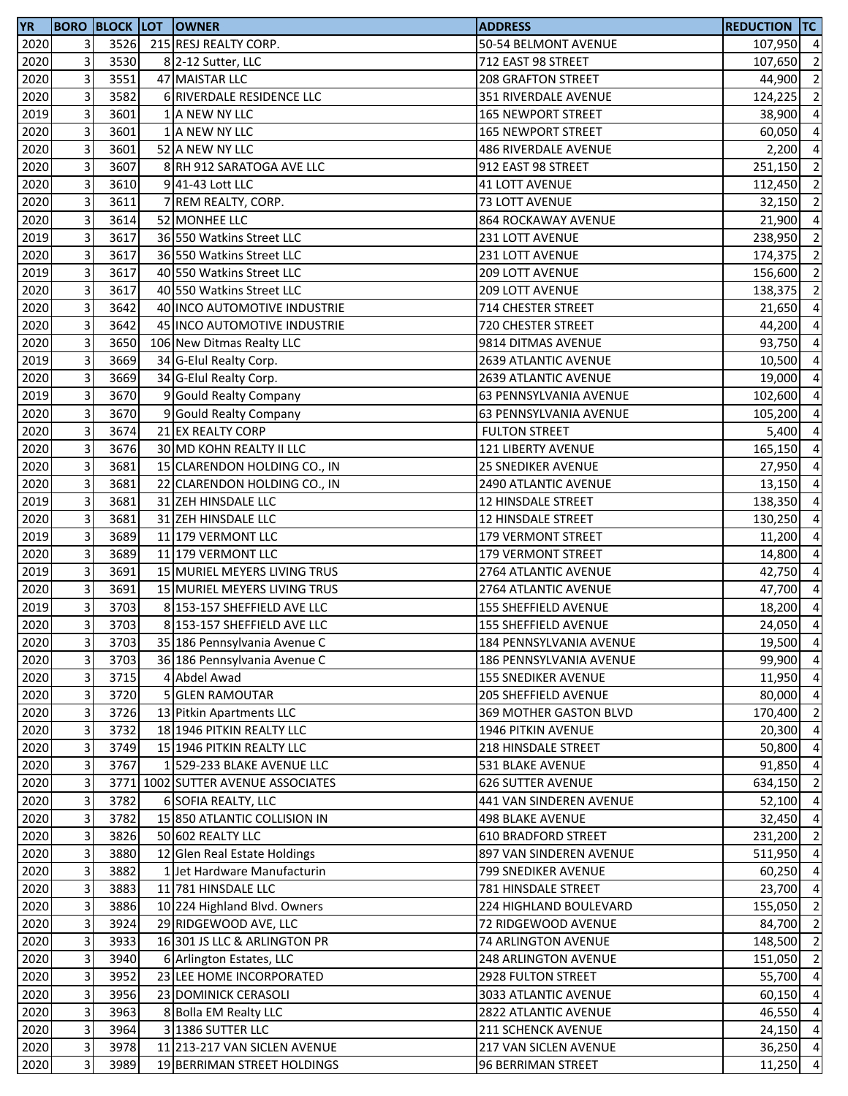| <b>YR</b> |   |      | <b>BORO BLOCK LOT OWNER</b>        | <b>ADDRESS</b>              | <b>REDUCTION TC</b> |                |
|-----------|---|------|------------------------------------|-----------------------------|---------------------|----------------|
| 2020      | 3 | 3526 | 215 RESJ REALTY CORP.              | 50-54 BELMONT AVENUE        | 107,950 4           |                |
| 2020      | 3 | 3530 | 8 2-12 Sutter, LLC                 | 712 EAST 98 STREET          | 107,650             | $\overline{2}$ |
| 2020      | 3 | 3551 | 47 MAISTAR LLC                     | <b>208 GRAFTON STREET</b>   | 44,900              | $\overline{2}$ |
| 2020      | 3 | 3582 | 6 RIVERDALE RESIDENCE LLC          | 351 RIVERDALE AVENUE        | 124,225             | $\overline{2}$ |
| 2019      | 3 | 3601 | 1 A NEW NY LLC                     | <b>165 NEWPORT STREET</b>   | 38,900              | $\overline{4}$ |
| 2020      | 3 | 3601 | 1 A NEW NY LLC                     | <b>165 NEWPORT STREET</b>   | 60,050              | $\overline{4}$ |
| 2020      | 3 | 3601 | 52 A NEW NY LLC                    | <b>486 RIVERDALE AVENUE</b> | 2,200               | $\overline{4}$ |
| 2020      | 3 | 3607 | 8 RH 912 SARATOGA AVE LLC          | 912 EAST 98 STREET          | 251,150             | $\overline{2}$ |
| 2020      | 3 | 3610 | 941-43 Lott LLC                    | <b>41 LOTT AVENUE</b>       | 112,450             | $\overline{2}$ |
| 2020      | 3 | 3611 | 7 REM REALTY, CORP.                | 73 LOTT AVENUE              | 32,150              | $\overline{2}$ |
| 2020      | 3 | 3614 | 52 MONHEE LLC                      | 864 ROCKAWAY AVENUE         | 21,900              | $\overline{a}$ |
| 2019      | 3 | 3617 | 36 550 Watkins Street LLC          | 231 LOTT AVENUE             | 238,950             | $\overline{2}$ |
| 2020      | 3 | 3617 | 36 550 Watkins Street LLC          | 231 LOTT AVENUE             | 174,375             | $\overline{2}$ |
| 2019      | 3 | 3617 | 40 550 Watkins Street LLC          | 209 LOTT AVENUE             | 156,600             | $\overline{2}$ |
| 2020      | 3 | 3617 | 40 550 Watkins Street LLC          | 209 LOTT AVENUE             | 138,375             | $\overline{2}$ |
| 2020      | 3 | 3642 | 40 INCO AUTOMOTIVE INDUSTRIE       | 714 CHESTER STREET          | 21,650              | $\overline{4}$ |
| 2020      | 3 | 3642 | 45 INCO AUTOMOTIVE INDUSTRIE       | 720 CHESTER STREET          | 44,200              | $\overline{a}$ |
| 2020      | 3 | 3650 | 106 New Ditmas Realty LLC          | 9814 DITMAS AVENUE          | 93,750              | $\overline{4}$ |
| 2019      | 3 | 3669 | 34 G-Elul Realty Corp.             | 2639 ATLANTIC AVENUE        | 10,500              | $\overline{4}$ |
| 2020      | 3 | 3669 | 34 G-Elul Realty Corp.             | 2639 ATLANTIC AVENUE        | 19,000              | $\overline{4}$ |
| 2019      | 3 | 3670 | 9 Gould Realty Company             | 63 PENNSYLVANIA AVENUE      | 102,600             | $\overline{4}$ |
| 2020      | 3 | 3670 | 9 Gould Realty Company             | 63 PENNSYLVANIA AVENUE      | 105,200             | $\overline{4}$ |
| 2020      | 3 | 3674 | 21 EX REALTY CORP                  | <b>FULTON STREET</b>        | 5,400               | $\overline{4}$ |
| 2020      | 3 | 3676 | 30 MD KOHN REALTY II LLC           | <b>121 LIBERTY AVENUE</b>   | 165,150             | $\overline{4}$ |
| 2020      | 3 | 3681 | 15 CLARENDON HOLDING CO., IN       | <b>25 SNEDIKER AVENUE</b>   | 27,950              | $\overline{4}$ |
| 2020      | 3 | 3681 | 22 CLARENDON HOLDING CO., IN       | 2490 ATLANTIC AVENUE        | 13,150              | $\overline{a}$ |
| 2019      | 3 | 3681 | 31 ZEH HINSDALE LLC                | 12 HINSDALE STREET          | 138,350             | $\overline{4}$ |
| 2020      | 3 | 3681 | 31 ZEH HINSDALE LLC                | 12 HINSDALE STREET          | 130,250             | $\overline{4}$ |
| 2019      | 3 | 3689 | 11 179 VERMONT LLC                 | 179 VERMONT STREET          | 11,200              | $\overline{4}$ |
| 2020      | 3 | 3689 | 11 179 VERMONT LLC                 | <b>179 VERMONT STREET</b>   | 14,800              | $\overline{4}$ |
| 2019      | 3 | 3691 | 15 MURIEL MEYERS LIVING TRUS       | 2764 ATLANTIC AVENUE        | 42,750              | $\overline{4}$ |
| 2020      | 3 | 3691 | 15 MURIEL MEYERS LIVING TRUS       | 2764 ATLANTIC AVENUE        | 47,700              | $\overline{4}$ |
| 2019      | 3 | 3703 | 8 153-157 SHEFFIELD AVE LLC        | 155 SHEFFIELD AVENUE        | 18,200              | $\overline{4}$ |
| 2020      | 3 | 3703 | 8 153-157 SHEFFIELD AVE LLC        | 155 SHEFFIELD AVENUE        | 24,050              | $\overline{4}$ |
| 2020      | 3 | 3703 | 35 186 Pennsylvania Avenue C       | 184 PENNSYLVANIA AVENUE     | 19,500 4            |                |
| 2020      | 3 | 3703 | 36 186 Pennsylvania Avenue C       | 186 PENNSYLVANIA AVENUE     | 99,900              | $\overline{4}$ |
| 2020      | 3 | 3715 | 4 Abdel Awad                       | <b>155 SNEDIKER AVENUE</b>  | 11,950              | $\overline{4}$ |
| 2020      | 3 | 3720 | <b>5 GLEN RAMOUTAR</b>             | 205 SHEFFIELD AVENUE        | 80,000              | $\overline{4}$ |
| 2020      | 3 | 3726 | 13 Pitkin Apartments LLC           | 369 MOTHER GASTON BLVD      | 170,400 2           |                |
| 2020      | 3 | 3732 | 18 1946 PITKIN REALTY LLC          | 1946 PITKIN AVENUE          | 20,300              | $\overline{4}$ |
| 2020      | 3 | 3749 | 15 1946 PITKIN REALTY LLC          | 218 HINSDALE STREET         | 50,800              | $\overline{4}$ |
| 2020      | 3 | 3767 | 1 529-233 BLAKE AVENUE LLC         | 531 BLAKE AVENUE            | 91,850              | $\overline{4}$ |
| 2020      | 3 |      | 3771 1002 SUTTER AVENUE ASSOCIATES | <b>626 SUTTER AVENUE</b>    | 634,150             | $\overline{2}$ |
| 2020      | 3 | 3782 | 6 SOFIA REALTY, LLC                | 441 VAN SINDEREN AVENUE     | 52,100              | $\overline{4}$ |
| 2020      | 3 | 3782 | 15 850 ATLANTIC COLLISION IN       | 498 BLAKE AVENUE            | 32,450              | $\overline{4}$ |
| 2020      | 3 | 3826 | 50 602 REALTY LLC                  | <b>610 BRADFORD STREET</b>  | 231,200             | $\overline{2}$ |
| 2020      | 3 | 3880 | 12 Glen Real Estate Holdings       | 897 VAN SINDEREN AVENUE     | 511,950 4           |                |
| 2020      | 3 | 3882 | 1 Jet Hardware Manufacturin        | 799 SNEDIKER AVENUE         | 60,250 4            |                |
| 2020      | 3 | 3883 | 11 781 HINSDALE LLC                | 781 HINSDALE STREET         | 23,700 4            |                |
| 2020      | 3 | 3886 | 10 224 Highland Blvd. Owners       | 224 HIGHLAND BOULEVARD      | 155,050             | $\overline{2}$ |
| 2020      | 3 | 3924 | 29 RIDGEWOOD AVE, LLC              | 72 RIDGEWOOD AVENUE         | 84,700              | $\overline{2}$ |
| 2020      | 3 | 3933 | 16 301 JS LLC & ARLINGTON PR       | 74 ARLINGTON AVENUE         | 148,500             | $\overline{2}$ |
| 2020      | 3 | 3940 | 6 Arlington Estates, LLC           | <b>248 ARLINGTON AVENUE</b> | 151,050             | $\overline{2}$ |
| 2020      | 3 | 3952 | 23 LEE HOME INCORPORATED           | 2928 FULTON STREET          | 55,700              | $\overline{4}$ |
| 2020      | 3 | 3956 | 23 DOMINICK CERASOLI               | 3033 ATLANTIC AVENUE        | 60,150 4            |                |
| 2020      | 3 | 3963 | 8 Bolla EM Realty LLC              | <b>2822 ATLANTIC AVENUE</b> | 46,550 4            |                |
| 2020      | 3 | 3964 | 3 1386 SUTTER LLC                  | 211 SCHENCK AVENUE          | $24,150$ 4          |                |
| 2020      | 3 | 3978 | 11 213-217 VAN SICLEN AVENUE       | 217 VAN SICLEN AVENUE       | 36,250 4            |                |
| 2020      | 3 | 3989 | 19 BERRIMAN STREET HOLDINGS        | 96 BERRIMAN STREET          | 11,250 4            |                |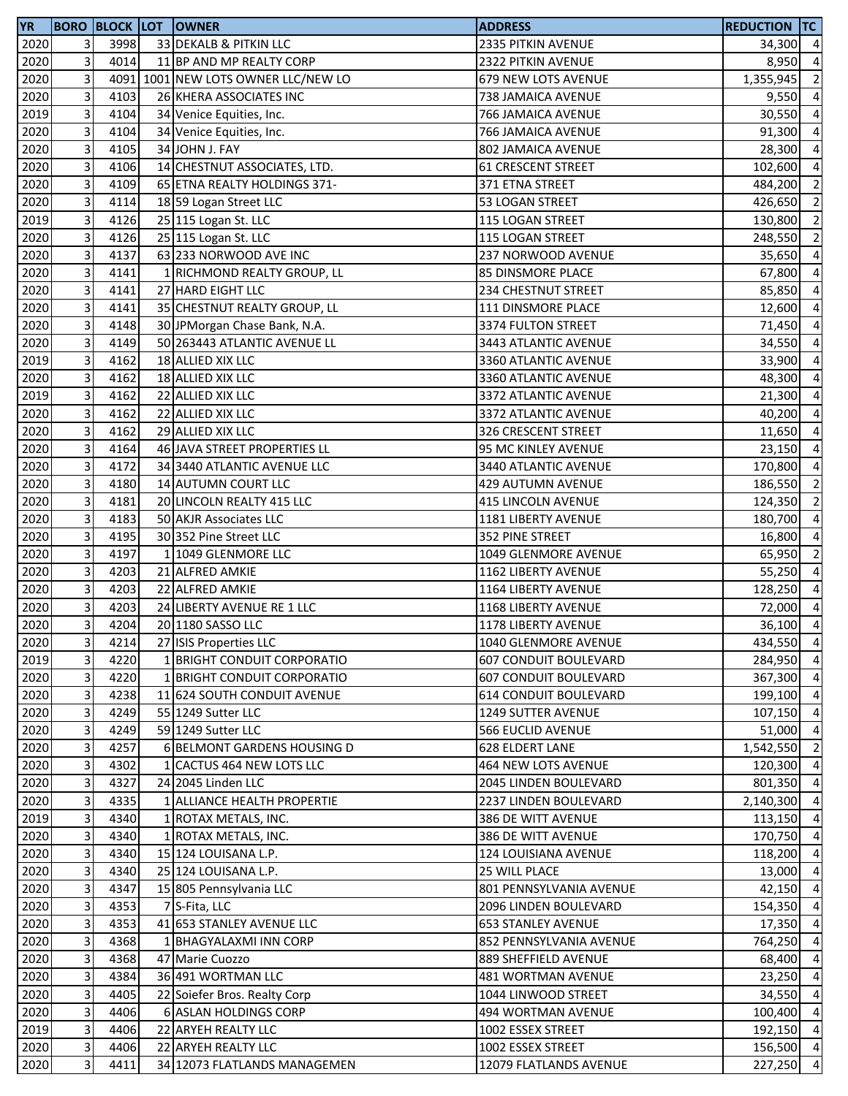| <b>YR</b> |                |      | <b>BORO BLOCK LOT OWNER</b>         | <b>ADDRESS</b>               | <b>REDUCTION TC</b> |                         |
|-----------|----------------|------|-------------------------------------|------------------------------|---------------------|-------------------------|
| 2020      | 3              | 3998 | 33 DEKALB & PITKIN LLC              | 2335 PITKIN AVENUE           | 34,300 4            |                         |
| 2020      | 3              | 4014 | 11 BP AND MP REALTY CORP            | 2322 PITKIN AVENUE           | 8,950 4             |                         |
| 2020      | 3              |      | 4091 1001 NEW LOTS OWNER LLC/NEW LO | 679 NEW LOTS AVENUE          | 1,355,945           | $\overline{2}$          |
| 2020      | 3              | 4103 | 26 KHERA ASSOCIATES INC             | 738 JAMAICA AVENUE           | 9,550               | $\overline{a}$          |
| 2019      | 3              | 4104 | 34 Venice Equities, Inc.            | 766 JAMAICA AVENUE           | 30,550              | $\overline{a}$          |
| 2020      | 3              | 4104 | 34 Venice Equities, Inc.            | 766 JAMAICA AVENUE           | 91,300              | $\overline{a}$          |
| 2020      | 3              | 4105 | 34 JOHN J. FAY                      | 802 JAMAICA AVENUE           | 28,300              | $\overline{a}$          |
| 2020      | 3              | 4106 | 14 CHESTNUT ASSOCIATES, LTD.        | <b>61 CRESCENT STREET</b>    | 102,600             | $\overline{a}$          |
| 2020      | 3              | 4109 | 65 ETNA REALTY HOLDINGS 371-        | 371 ETNA STREET              | 484,200             | $\overline{2}$          |
| 2020      | 3              | 4114 | 18 59 Logan Street LLC              | 53 LOGAN STREET              | 426,650             | $\overline{2}$          |
| 2019      | 3              | 4126 | 25 115 Logan St. LLC                | 115 LOGAN STREET             | 130,800             | $\overline{2}$          |
| 2020      | 3              | 4126 | 25 115 Logan St. LLC                | 115 LOGAN STREET             | 248,550             | $\overline{2}$          |
| 2020      | 3              | 4137 | 63 233 NORWOOD AVE INC              | 237 NORWOOD AVENUE           | 35,650              | $\overline{a}$          |
| 2020      | 3              | 4141 |                                     | <b>85 DINSMORE PLACE</b>     | 67,800 4            |                         |
|           | 3              |      | 1 RICHMOND REALTY GROUP, LL         |                              |                     |                         |
| 2020      |                | 4141 | 27 HARD EIGHT LLC                   | <b>234 CHESTNUT STREET</b>   | 85,850              | $\overline{4}$          |
| 2020      | 3              | 4141 | 35 CHESTNUT REALTY GROUP, LL        | 111 DINSMORE PLACE           | 12,600              | $\overline{4}$          |
| 2020      | 3              | 4148 | 30 JPMorgan Chase Bank, N.A.        | 3374 FULTON STREET           | 71,450              | $\overline{a}$          |
| 2020      | 3              | 4149 | 50 263443 ATLANTIC AVENUE LL        | 3443 ATLANTIC AVENUE         | 34,550              | $\overline{a}$          |
| 2019      | 3              | 4162 | 18 ALLIED XIX LLC                   | 3360 ATLANTIC AVENUE         | 33,900              | $\overline{a}$          |
| 2020      | 3              | 4162 | 18 ALLIED XIX LLC                   | 3360 ATLANTIC AVENUE         | 48,300              | $\overline{a}$          |
| 2019      | 3              | 4162 | 22 ALLIED XIX LLC                   | 3372 ATLANTIC AVENUE         | 21,300              | $\overline{a}$          |
| 2020      | 3              | 4162 | 22 ALLIED XIX LLC                   | 3372 ATLANTIC AVENUE         | 40,200              | $\overline{a}$          |
| 2020      | 3              | 4162 | 29 ALLIED XIX LLC                   | 326 CRESCENT STREET          | $11,650$ 4          |                         |
| 2020      | 3              | 4164 | 46 JAVA STREET PROPERTIES LL        | 95 MC KINLEY AVENUE          | 23,150              | $\overline{a}$          |
| 2020      | 3              | 4172 | 34 3440 ATLANTIC AVENUE LLC         | 3440 ATLANTIC AVENUE         | 170,800             | $\overline{4}$          |
| 2020      | 3              | 4180 | 14 AUTUMN COURT LLC                 | 429 AUTUMN AVENUE            | 186,550             | $\overline{\mathbf{c}}$ |
| 2020      | 3              | 4181 | 20 LINCOLN REALTY 415 LLC           | 415 LINCOLN AVENUE           | 124,350             | $\overline{2}$          |
| 2020      | 3              | 4183 | 50 AKJR Associates LLC              | 1181 LIBERTY AVENUE          | 180,700             | $\overline{a}$          |
| 2020      | 3              | 4195 | 30 352 Pine Street LLC              | 352 PINE STREET              | 16,800              | $\overline{a}$          |
| 2020      | 3              | 4197 | 1 1049 GLENMORE LLC                 | 1049 GLENMORE AVENUE         | 65,950              | $\overline{2}$          |
| 2020      | 3              | 4203 | 21 ALFRED AMKIE                     | 1162 LIBERTY AVENUE          | 55,250 4            |                         |
| 2020      | 3              | 4203 | 22 ALFRED AMKIE                     | 1164 LIBERTY AVENUE          | 128,250             | $\overline{a}$          |
| 2020      | 3              | 4203 | 24 LIBERTY AVENUE RE 1 LLC          | 1168 LIBERTY AVENUE          | 72,000              | $\overline{4}$          |
| 2020      | 3              | 4204 | 20 1180 SASSO LLC                   | 1178 LIBERTY AVENUE          | 36,100              | $\overline{4}$          |
| 2020      | 31             | 4214 | 27 ISIS Properties LLC              | 1040 GLENMORE AVENUE         | 434,550 4           |                         |
| 2019      | 3              | 4220 | 1 BRIGHT CONDUIT CORPORATIO         | <b>607 CONDUIT BOULEVARD</b> | 284,950 4           |                         |
| 2020      | 3              | 4220 | 1 BRIGHT CONDUIT CORPORATIO         | <b>607 CONDUIT BOULEVARD</b> | 367,300             | $\overline{4}$          |
| 2020      | 3              | 4238 | 11 624 SOUTH CONDUIT AVENUE         | <b>614 CONDUIT BOULEVARD</b> | 199,100             | $\overline{a}$          |
| 2020      | 3              | 4249 | 55 1249 Sutter LLC                  | <b>1249 SUTTER AVENUE</b>    | 107,150 4           |                         |
| 2020      | 3              | 4249 | 59 1249 Sutter LLC                  | <b>566 EUCLID AVENUE</b>     | 51,000 4            |                         |
|           | 3              |      |                                     |                              |                     |                         |
| 2020      |                | 4257 | 6 BELMONT GARDENS HOUSING D         | <b>628 ELDERT LANE</b>       | 1,542,550 2         |                         |
| 2020      | 3              | 4302 | 1 CACTUS 464 NEW LOTS LLC           | 464 NEW LOTS AVENUE          | 120,300             | $\overline{4}$          |
| 2020      | 3              | 4327 | 24 2045 Linden LLC                  | <b>2045 LINDEN BOULEVARD</b> | 801,350             | $\overline{4}$          |
| 2020      | 3              | 4335 | 1 ALLIANCE HEALTH PROPERTIE         | 2237 LINDEN BOULEVARD        | 2,140,300           | $\overline{a}$          |
| 2019      | 3              | 4340 | 1 ROTAX METALS, INC.                | 386 DE WITT AVENUE           | 113,150 4           |                         |
| 2020      | 3              | 4340 | 1 ROTAX METALS, INC.                | 386 DE WITT AVENUE           | 170,750             | $\overline{4}$          |
| 2020      | 3              | 4340 | 15 124 LOUISANA L.P.                | 124 LOUISIANA AVENUE         | 118,200             | $\overline{4}$          |
| 2020      | 3              | 4340 | 25 124 LOUISANA L.P.                | 25 WILL PLACE                | 13,000 4            |                         |
| 2020      | 3              | 4347 | 15 805 Pennsylvania LLC             | 801 PENNSYLVANIA AVENUE      | 42,150 4            |                         |
| 2020      | 3              | 4353 | 7 S-Fita, LLC                       | 2096 LINDEN BOULEVARD        | 154,350             | $\overline{4}$          |
| 2020      | 3              | 4353 | 41 653 STANLEY AVENUE LLC           | <b>653 STANLEY AVENUE</b>    | 17,350              | $\overline{4}$          |
| 2020      | 3              | 4368 | 1 BHAGYALAXMI INN CORP              | 852 PENNSYLVANIA AVENUE      | 764,250             | $\overline{a}$          |
| 2020      | 3              | 4368 | 47 Marie Cuozzo                     | 889 SHEFFIELD AVENUE         | 68,400              | $\overline{a}$          |
| 2020      | 3              | 4384 | 36 491 WORTMAN LLC                  | 481 WORTMAN AVENUE           | 23,250              | $\overline{4}$          |
| 2020      | 3              | 4405 | 22 Soiefer Bros. Realty Corp        | 1044 LINWOOD STREET          | 34,550              | $\overline{a}$          |
| 2020      | 3              | 4406 | 6 ASLAN HOLDINGS CORP               | 494 WORTMAN AVENUE           | 100,400 4           |                         |
| 2019      | 3              | 4406 | 22 ARYEH REALTY LLC                 | 1002 ESSEX STREET            | 192,150             | $\overline{4}$          |
| 2020      | $\overline{3}$ | 4406 | 22 ARYEH REALTY LLC                 | 1002 ESSEX STREET            | 156,500 4           |                         |
| 2020      | 3              | 4411 | 34 12073 FLATLANDS MANAGEMEN        | 12079 FLATLANDS AVENUE       | 227,250             | $\overline{4}$          |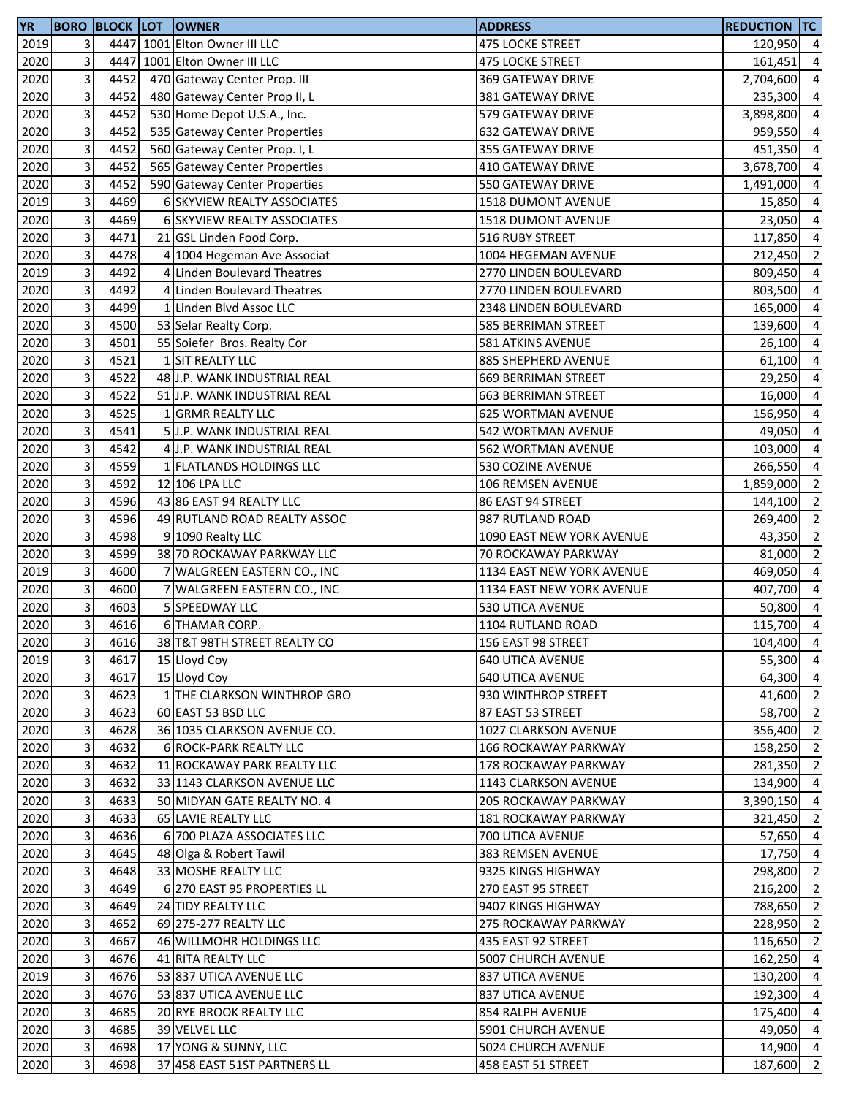| 2019<br>3<br>4447 1001 Elton Owner III LLC<br>475 LOCKE STREET<br>120,950 4<br>3<br>4447<br>1001 Elton Owner III LLC<br>2020<br>475 LOCKE STREET<br>161,451<br>3<br>4452<br>2020<br>470 Gateway Center Prop. III<br>369 GATEWAY DRIVE<br>2,704,600<br>3<br>2020<br>4452<br>480 Gateway Center Prop II, L<br>381 GATEWAY DRIVE<br>235,300<br>3<br>2020<br>4452<br>530 Home Depot U.S.A., Inc.<br>579 GATEWAY DRIVE<br>3,898,800<br>3<br>4452<br>2020<br>535 Gateway Center Properties<br><b>632 GATEWAY DRIVE</b><br>959,550<br>3<br>4452<br>2020<br>560 Gateway Center Prop. I, L<br>355 GATEWAY DRIVE<br>451,350<br>3<br>4452<br>2020<br>565 Gateway Center Properties<br>410 GATEWAY DRIVE<br>3,678,700<br>3<br>4452<br>2020<br>590 Gateway Center Properties<br>550 GATEWAY DRIVE<br>1,491,000<br>3<br>4469<br>2019<br>6 SKYVIEW REALTY ASSOCIATES<br>1518 DUMONT AVENUE<br>15,850<br>3<br>4469<br>2020<br>6 SKYVIEW REALTY ASSOCIATES<br>1518 DUMONT AVENUE<br>23,050<br>3<br>4471<br>2020<br>21 GSL Linden Food Corp.<br>516 RUBY STREET<br>117,850<br>3<br>2020<br>4478<br>4 1004 Hegeman Ave Associat<br>1004 HEGEMAN AVENUE<br>212,450<br>3<br>4492<br>4 Linden Boulevard Theatres<br>2019<br>2770 LINDEN BOULEVARD<br>809,450<br>3<br>4492<br>2020<br>4 Linden Boulevard Theatres<br>2770 LINDEN BOULEVARD<br>803,500<br>3<br>2020<br>4499<br>1 Linden Blvd Assoc LLC<br>2348 LINDEN BOULEVARD<br>165,000<br>3<br>2020<br>4500<br>53 Selar Realty Corp.<br>585 BERRIMAN STREET<br>139,600<br>3<br>4501<br>2020<br>55 Soiefer Bros. Realty Cor<br>581 ATKINS AVENUE<br>26,100<br>3<br>4521<br>2020<br>1 SIT REALTY LLC<br>885 SHEPHERD AVENUE<br>61,100<br>3<br>4522<br>48 J.P. WANK INDUSTRIAL REAL<br>2020<br>669 BERRIMAN STREET<br>29,250<br>3<br>4522<br>2020<br>51 J.P. WANK INDUSTRIAL REAL<br><b>663 BERRIMAN STREET</b><br>3<br>2020<br>4525<br>1 GRMR REALTY LLC<br>625 WORTMAN AVENUE<br>156,950<br>3<br>4541<br>2020<br>5 J.P. WANK INDUSTRIAL REAL<br>542 WORTMAN AVENUE<br>49,050<br>3<br>2020<br>4542<br>4 J.P. WANK INDUSTRIAL REAL<br>562 WORTMAN AVENUE<br>103,000<br>3<br>2020<br>4559<br>1 FLATLANDS HOLDINGS LLC<br>530 COZINE AVENUE<br>266,550<br>3<br>2020<br>4592<br>12 106 LPA LLC<br>106 REMSEN AVENUE<br>1,859,000<br>3<br>4596<br>2020<br>43 86 EAST 94 REALTY LLC<br>86 EAST 94 STREET<br>144,100<br>3<br>4596<br>2020<br>49 RUTLAND ROAD REALTY ASSOC<br>987 RUTLAND ROAD<br>269,400<br>3<br>4598<br>2020<br>1090 EAST NEW YORK AVENUE<br>9 1090 Realty LLC<br>43,350<br>3<br>2020<br>4599<br>38 70 ROCKAWAY PARKWAY LLC<br>70 ROCKAWAY PARKWAY<br>81,000<br>3<br>4600<br>2019<br>7 WALGREEN EASTERN CO., INC<br>1134 EAST NEW YORK AVENUE<br>469,050<br>3<br>4600<br>2020<br>7 WALGREEN EASTERN CO., INC<br>1134 EAST NEW YORK AVENUE<br>407,700<br>3<br>4603<br>2020<br>5 SPEEDWAY LLC<br>530 UTICA AVENUE<br>50,800<br>3<br>4616<br>2020<br>6 THAMAR CORP.<br>1104 RUTLAND ROAD<br>115,700<br>2020<br>$\overline{\mathbf{3}}$<br>4616<br>38 T&T 98TH STREET REALTY CO<br>156 EAST 98 STREET<br>3<br>4617<br>2019<br>640 UTICA AVENUE<br>15 Lloyd Coy<br>3<br>2020<br>4617<br>15 Lloyd Coy<br><b>640 UTICA AVENUE</b><br>3<br>2020<br>4623<br>1 THE CLARKSON WINTHROP GRO<br>930 WINTHROP STREET<br>41,600<br>3<br>4623<br>2020<br>60 EAST 53 BSD LLC<br>58,700<br>87 EAST 53 STREET<br>3<br>4628<br>2020<br>36 1035 CLARKSON AVENUE CO.<br>1027 CLARKSON AVENUE<br>3<br>2020<br>4632<br>6 ROCK-PARK REALTY LLC<br><b>166 ROCKAWAY PARKWAY</b><br>3<br>2020<br>4632<br>11 ROCKAWAY PARK REALTY LLC<br>178 ROCKAWAY PARKWAY<br>281,350<br>3<br>2020<br>4632<br>33 1143 CLARKSON AVENUE LLC<br>1143 CLARKSON AVENUE<br>134,900<br>3<br>2020<br>4633<br>50 MIDYAN GATE REALTY NO. 4<br>205 ROCKAWAY PARKWAY<br>3,390,150<br>3<br>2020<br>4633<br>65 LAVIE REALTY LLC<br><b>181 ROCKAWAY PARKWAY</b><br>321,450<br>$\mathsf{3}$<br>2020<br>4636<br>6 700 PLAZA ASSOCIATES LLC<br>700 UTICA AVENUE<br>3<br>2020<br>4645<br>48 Olga & Robert Tawil<br>383 REMSEN AVENUE<br>3<br>2020<br>4648<br>298,800<br>33 MOSHE REALTY LLC<br>9325 KINGS HIGHWAY<br>3<br>2020<br>4649<br>6 270 EAST 95 PROPERTIES LL<br>270 EAST 95 STREET<br>216,200<br>3<br>2020<br>4649<br>24 TIDY REALTY LLC<br>9407 KINGS HIGHWAY<br>788,650<br>3<br>2020<br>4652<br>69 275-277 REALTY LLC<br>275 ROCKAWAY PARKWAY<br>228,950<br>3<br>2020<br>4667<br>46 WILLMOHR HOLDINGS LLC<br>435 EAST 92 STREET<br>116,650<br>3<br>2020<br>4676<br>41 RITA REALTY LLC<br>5007 CHURCH AVENUE<br>162,250<br>3<br>2019<br>4676<br>53 837 UTICA AVENUE LLC<br>837 UTICA AVENUE<br>130,200<br>3<br>2020<br>4676<br>53 837 UTICA AVENUE LLC<br>192,300<br>837 UTICA AVENUE<br>3<br>4685<br>2020<br>20 RYE BROOK REALTY LLC<br>175,400<br>854 RALPH AVENUE<br>3<br>2020<br>4685<br>39 VELVEL LLC<br>49,050<br>5901 CHURCH AVENUE<br>3<br>2020<br>4698<br>17 YONG & SUNNY, LLC<br>5024 CHURCH AVENUE<br>3<br>2020<br>4698<br>37 458 EAST 51ST PARTNERS LL<br>458 EAST 51 STREET<br>187,600 | <b>YR</b> |  | <b>BORO BLOCK LOT OWNER</b> | <b>ADDRESS</b> | <b>REDUCTION TC</b> |                |
|-------------------------------------------------------------------------------------------------------------------------------------------------------------------------------------------------------------------------------------------------------------------------------------------------------------------------------------------------------------------------------------------------------------------------------------------------------------------------------------------------------------------------------------------------------------------------------------------------------------------------------------------------------------------------------------------------------------------------------------------------------------------------------------------------------------------------------------------------------------------------------------------------------------------------------------------------------------------------------------------------------------------------------------------------------------------------------------------------------------------------------------------------------------------------------------------------------------------------------------------------------------------------------------------------------------------------------------------------------------------------------------------------------------------------------------------------------------------------------------------------------------------------------------------------------------------------------------------------------------------------------------------------------------------------------------------------------------------------------------------------------------------------------------------------------------------------------------------------------------------------------------------------------------------------------------------------------------------------------------------------------------------------------------------------------------------------------------------------------------------------------------------------------------------------------------------------------------------------------------------------------------------------------------------------------------------------------------------------------------------------------------------------------------------------------------------------------------------------------------------------------------------------------------------------------------------------------------------------------------------------------------------------------------------------------------------------------------------------------------------------------------------------------------------------------------------------------------------------------------------------------------------------------------------------------------------------------------------------------------------------------------------------------------------------------------------------------------------------------------------------------------------------------------------------------------------------------------------------------------------------------------------------------------------------------------------------------------------------------------------------------------------------------------------------------------------------------------------------------------------------------------------------------------------------------------------------------------------------------------------------------------------------------------------------------------------------------------------------------------------------------------------------------------------------------------------------------------------------------------------------------------------------------------------------------------------------------------------------------------------------------------------------------------------------------------------------------------------------------------------------------------------------------------------------------------------------------------------------------------------------------------------------------------------------------------------------------------------------------------------------------------------------------------------------------------------------------------------------------------------------------------------------------------------------------------------------------------------------------------------------------------------------------------------------------------------------------------------------------------------------------------------------------------------------------------------------------------------------------------------------------------------------------------------------------------------------------------------------------------|-----------|--|-----------------------------|----------------|---------------------|----------------|
|                                                                                                                                                                                                                                                                                                                                                                                                                                                                                                                                                                                                                                                                                                                                                                                                                                                                                                                                                                                                                                                                                                                                                                                                                                                                                                                                                                                                                                                                                                                                                                                                                                                                                                                                                                                                                                                                                                                                                                                                                                                                                                                                                                                                                                                                                                                                                                                                                                                                                                                                                                                                                                                                                                                                                                                                                                                                                                                                                                                                                                                                                                                                                                                                                                                                                                                                                                                                                                                                                                                                                                                                                                                                                                                                                                                                                                                                                                                                                                                                                                                                                                                                                                                                                                                                                                                                                                                                                                                                                                                                                                                                                                                                                                                                                                                                                                                                                                                                                                                     |           |  |                             |                |                     |                |
| $\overline{4}$<br>$\overline{4}$<br>$\overline{4}$<br>$\overline{4}$<br>$\overline{4}$<br>$\overline{4}$<br>$\overline{4}$<br>$\overline{4}$<br>$\overline{4}$<br>$\overline{a}$<br>$\overline{2}$<br>$\overline{4}$<br>$\overline{4}$<br>$\overline{a}$<br>$\overline{4}$<br>$\overline{4}$<br>$\overline{4}$<br>$\overline{a}$<br>16,000 4<br>$\overline{4}$<br>$\overline{4}$<br>$\overline{4}$<br>$\overline{a}$<br>$\overline{2}$<br>$\overline{2}$<br>$\overline{2}$<br>$\overline{2}$<br>$\overline{2}$<br>$\overline{4}$<br>$\overline{4}$<br>$\overline{4}$<br>$\overline{4}$<br>104,400 4<br>55,300 4<br>64,300 4<br>$\overline{2}$<br>$\overline{2}$<br>356,400 2<br>158,250 2<br>$\overline{2}$<br>$\overline{4}$<br>$\overline{4}$<br>$\overline{2}$<br>57,650 4<br>17,750 4<br>$\overline{2}$<br>$\overline{2}$<br>$\overline{2}$<br>$\overline{2}$<br>$\overline{2}$<br>$\overline{4}$<br>$\overline{4}$<br>$\overline{4}$<br>$\overline{4}$<br>$\overline{4}$<br>14,900 4<br>$\overline{2}$                                                                                                                                                                                                                                                                                                                                                                                                                                                                                                                                                                                                                                                                                                                                                                                                                                                                                                                                                                                                                                                                                                                                                                                                                                                                                                                                                                                                                                                                                                                                                                                                                                                                                                                                                                                                                                                                                                                                                                                                                                                                                                                                                                                                                                                                                                                                                                                                                                                                                                                                                                                                                                                                                                                                                                                                                                                                                                                                                                                                                                                                                                                                                                                                                                                                                                                                                                                                                                                                                                                                                                                                                                                                                                                                                                                                                                                                                                                                                                         |           |  |                             |                |                     | $\overline{4}$ |
|                                                                                                                                                                                                                                                                                                                                                                                                                                                                                                                                                                                                                                                                                                                                                                                                                                                                                                                                                                                                                                                                                                                                                                                                                                                                                                                                                                                                                                                                                                                                                                                                                                                                                                                                                                                                                                                                                                                                                                                                                                                                                                                                                                                                                                                                                                                                                                                                                                                                                                                                                                                                                                                                                                                                                                                                                                                                                                                                                                                                                                                                                                                                                                                                                                                                                                                                                                                                                                                                                                                                                                                                                                                                                                                                                                                                                                                                                                                                                                                                                                                                                                                                                                                                                                                                                                                                                                                                                                                                                                                                                                                                                                                                                                                                                                                                                                                                                                                                                                                     |           |  |                             |                |                     |                |
|                                                                                                                                                                                                                                                                                                                                                                                                                                                                                                                                                                                                                                                                                                                                                                                                                                                                                                                                                                                                                                                                                                                                                                                                                                                                                                                                                                                                                                                                                                                                                                                                                                                                                                                                                                                                                                                                                                                                                                                                                                                                                                                                                                                                                                                                                                                                                                                                                                                                                                                                                                                                                                                                                                                                                                                                                                                                                                                                                                                                                                                                                                                                                                                                                                                                                                                                                                                                                                                                                                                                                                                                                                                                                                                                                                                                                                                                                                                                                                                                                                                                                                                                                                                                                                                                                                                                                                                                                                                                                                                                                                                                                                                                                                                                                                                                                                                                                                                                                                                     |           |  |                             |                |                     |                |
|                                                                                                                                                                                                                                                                                                                                                                                                                                                                                                                                                                                                                                                                                                                                                                                                                                                                                                                                                                                                                                                                                                                                                                                                                                                                                                                                                                                                                                                                                                                                                                                                                                                                                                                                                                                                                                                                                                                                                                                                                                                                                                                                                                                                                                                                                                                                                                                                                                                                                                                                                                                                                                                                                                                                                                                                                                                                                                                                                                                                                                                                                                                                                                                                                                                                                                                                                                                                                                                                                                                                                                                                                                                                                                                                                                                                                                                                                                                                                                                                                                                                                                                                                                                                                                                                                                                                                                                                                                                                                                                                                                                                                                                                                                                                                                                                                                                                                                                                                                                     |           |  |                             |                |                     |                |
|                                                                                                                                                                                                                                                                                                                                                                                                                                                                                                                                                                                                                                                                                                                                                                                                                                                                                                                                                                                                                                                                                                                                                                                                                                                                                                                                                                                                                                                                                                                                                                                                                                                                                                                                                                                                                                                                                                                                                                                                                                                                                                                                                                                                                                                                                                                                                                                                                                                                                                                                                                                                                                                                                                                                                                                                                                                                                                                                                                                                                                                                                                                                                                                                                                                                                                                                                                                                                                                                                                                                                                                                                                                                                                                                                                                                                                                                                                                                                                                                                                                                                                                                                                                                                                                                                                                                                                                                                                                                                                                                                                                                                                                                                                                                                                                                                                                                                                                                                                                     |           |  |                             |                |                     |                |
|                                                                                                                                                                                                                                                                                                                                                                                                                                                                                                                                                                                                                                                                                                                                                                                                                                                                                                                                                                                                                                                                                                                                                                                                                                                                                                                                                                                                                                                                                                                                                                                                                                                                                                                                                                                                                                                                                                                                                                                                                                                                                                                                                                                                                                                                                                                                                                                                                                                                                                                                                                                                                                                                                                                                                                                                                                                                                                                                                                                                                                                                                                                                                                                                                                                                                                                                                                                                                                                                                                                                                                                                                                                                                                                                                                                                                                                                                                                                                                                                                                                                                                                                                                                                                                                                                                                                                                                                                                                                                                                                                                                                                                                                                                                                                                                                                                                                                                                                                                                     |           |  |                             |                |                     |                |
|                                                                                                                                                                                                                                                                                                                                                                                                                                                                                                                                                                                                                                                                                                                                                                                                                                                                                                                                                                                                                                                                                                                                                                                                                                                                                                                                                                                                                                                                                                                                                                                                                                                                                                                                                                                                                                                                                                                                                                                                                                                                                                                                                                                                                                                                                                                                                                                                                                                                                                                                                                                                                                                                                                                                                                                                                                                                                                                                                                                                                                                                                                                                                                                                                                                                                                                                                                                                                                                                                                                                                                                                                                                                                                                                                                                                                                                                                                                                                                                                                                                                                                                                                                                                                                                                                                                                                                                                                                                                                                                                                                                                                                                                                                                                                                                                                                                                                                                                                                                     |           |  |                             |                |                     |                |
|                                                                                                                                                                                                                                                                                                                                                                                                                                                                                                                                                                                                                                                                                                                                                                                                                                                                                                                                                                                                                                                                                                                                                                                                                                                                                                                                                                                                                                                                                                                                                                                                                                                                                                                                                                                                                                                                                                                                                                                                                                                                                                                                                                                                                                                                                                                                                                                                                                                                                                                                                                                                                                                                                                                                                                                                                                                                                                                                                                                                                                                                                                                                                                                                                                                                                                                                                                                                                                                                                                                                                                                                                                                                                                                                                                                                                                                                                                                                                                                                                                                                                                                                                                                                                                                                                                                                                                                                                                                                                                                                                                                                                                                                                                                                                                                                                                                                                                                                                                                     |           |  |                             |                |                     |                |
|                                                                                                                                                                                                                                                                                                                                                                                                                                                                                                                                                                                                                                                                                                                                                                                                                                                                                                                                                                                                                                                                                                                                                                                                                                                                                                                                                                                                                                                                                                                                                                                                                                                                                                                                                                                                                                                                                                                                                                                                                                                                                                                                                                                                                                                                                                                                                                                                                                                                                                                                                                                                                                                                                                                                                                                                                                                                                                                                                                                                                                                                                                                                                                                                                                                                                                                                                                                                                                                                                                                                                                                                                                                                                                                                                                                                                                                                                                                                                                                                                                                                                                                                                                                                                                                                                                                                                                                                                                                                                                                                                                                                                                                                                                                                                                                                                                                                                                                                                                                     |           |  |                             |                |                     |                |
|                                                                                                                                                                                                                                                                                                                                                                                                                                                                                                                                                                                                                                                                                                                                                                                                                                                                                                                                                                                                                                                                                                                                                                                                                                                                                                                                                                                                                                                                                                                                                                                                                                                                                                                                                                                                                                                                                                                                                                                                                                                                                                                                                                                                                                                                                                                                                                                                                                                                                                                                                                                                                                                                                                                                                                                                                                                                                                                                                                                                                                                                                                                                                                                                                                                                                                                                                                                                                                                                                                                                                                                                                                                                                                                                                                                                                                                                                                                                                                                                                                                                                                                                                                                                                                                                                                                                                                                                                                                                                                                                                                                                                                                                                                                                                                                                                                                                                                                                                                                     |           |  |                             |                |                     |                |
|                                                                                                                                                                                                                                                                                                                                                                                                                                                                                                                                                                                                                                                                                                                                                                                                                                                                                                                                                                                                                                                                                                                                                                                                                                                                                                                                                                                                                                                                                                                                                                                                                                                                                                                                                                                                                                                                                                                                                                                                                                                                                                                                                                                                                                                                                                                                                                                                                                                                                                                                                                                                                                                                                                                                                                                                                                                                                                                                                                                                                                                                                                                                                                                                                                                                                                                                                                                                                                                                                                                                                                                                                                                                                                                                                                                                                                                                                                                                                                                                                                                                                                                                                                                                                                                                                                                                                                                                                                                                                                                                                                                                                                                                                                                                                                                                                                                                                                                                                                                     |           |  |                             |                |                     |                |
|                                                                                                                                                                                                                                                                                                                                                                                                                                                                                                                                                                                                                                                                                                                                                                                                                                                                                                                                                                                                                                                                                                                                                                                                                                                                                                                                                                                                                                                                                                                                                                                                                                                                                                                                                                                                                                                                                                                                                                                                                                                                                                                                                                                                                                                                                                                                                                                                                                                                                                                                                                                                                                                                                                                                                                                                                                                                                                                                                                                                                                                                                                                                                                                                                                                                                                                                                                                                                                                                                                                                                                                                                                                                                                                                                                                                                                                                                                                                                                                                                                                                                                                                                                                                                                                                                                                                                                                                                                                                                                                                                                                                                                                                                                                                                                                                                                                                                                                                                                                     |           |  |                             |                |                     |                |
|                                                                                                                                                                                                                                                                                                                                                                                                                                                                                                                                                                                                                                                                                                                                                                                                                                                                                                                                                                                                                                                                                                                                                                                                                                                                                                                                                                                                                                                                                                                                                                                                                                                                                                                                                                                                                                                                                                                                                                                                                                                                                                                                                                                                                                                                                                                                                                                                                                                                                                                                                                                                                                                                                                                                                                                                                                                                                                                                                                                                                                                                                                                                                                                                                                                                                                                                                                                                                                                                                                                                                                                                                                                                                                                                                                                                                                                                                                                                                                                                                                                                                                                                                                                                                                                                                                                                                                                                                                                                                                                                                                                                                                                                                                                                                                                                                                                                                                                                                                                     |           |  |                             |                |                     |                |
|                                                                                                                                                                                                                                                                                                                                                                                                                                                                                                                                                                                                                                                                                                                                                                                                                                                                                                                                                                                                                                                                                                                                                                                                                                                                                                                                                                                                                                                                                                                                                                                                                                                                                                                                                                                                                                                                                                                                                                                                                                                                                                                                                                                                                                                                                                                                                                                                                                                                                                                                                                                                                                                                                                                                                                                                                                                                                                                                                                                                                                                                                                                                                                                                                                                                                                                                                                                                                                                                                                                                                                                                                                                                                                                                                                                                                                                                                                                                                                                                                                                                                                                                                                                                                                                                                                                                                                                                                                                                                                                                                                                                                                                                                                                                                                                                                                                                                                                                                                                     |           |  |                             |                |                     |                |
|                                                                                                                                                                                                                                                                                                                                                                                                                                                                                                                                                                                                                                                                                                                                                                                                                                                                                                                                                                                                                                                                                                                                                                                                                                                                                                                                                                                                                                                                                                                                                                                                                                                                                                                                                                                                                                                                                                                                                                                                                                                                                                                                                                                                                                                                                                                                                                                                                                                                                                                                                                                                                                                                                                                                                                                                                                                                                                                                                                                                                                                                                                                                                                                                                                                                                                                                                                                                                                                                                                                                                                                                                                                                                                                                                                                                                                                                                                                                                                                                                                                                                                                                                                                                                                                                                                                                                                                                                                                                                                                                                                                                                                                                                                                                                                                                                                                                                                                                                                                     |           |  |                             |                |                     |                |
|                                                                                                                                                                                                                                                                                                                                                                                                                                                                                                                                                                                                                                                                                                                                                                                                                                                                                                                                                                                                                                                                                                                                                                                                                                                                                                                                                                                                                                                                                                                                                                                                                                                                                                                                                                                                                                                                                                                                                                                                                                                                                                                                                                                                                                                                                                                                                                                                                                                                                                                                                                                                                                                                                                                                                                                                                                                                                                                                                                                                                                                                                                                                                                                                                                                                                                                                                                                                                                                                                                                                                                                                                                                                                                                                                                                                                                                                                                                                                                                                                                                                                                                                                                                                                                                                                                                                                                                                                                                                                                                                                                                                                                                                                                                                                                                                                                                                                                                                                                                     |           |  |                             |                |                     |                |
|                                                                                                                                                                                                                                                                                                                                                                                                                                                                                                                                                                                                                                                                                                                                                                                                                                                                                                                                                                                                                                                                                                                                                                                                                                                                                                                                                                                                                                                                                                                                                                                                                                                                                                                                                                                                                                                                                                                                                                                                                                                                                                                                                                                                                                                                                                                                                                                                                                                                                                                                                                                                                                                                                                                                                                                                                                                                                                                                                                                                                                                                                                                                                                                                                                                                                                                                                                                                                                                                                                                                                                                                                                                                                                                                                                                                                                                                                                                                                                                                                                                                                                                                                                                                                                                                                                                                                                                                                                                                                                                                                                                                                                                                                                                                                                                                                                                                                                                                                                                     |           |  |                             |                |                     |                |
|                                                                                                                                                                                                                                                                                                                                                                                                                                                                                                                                                                                                                                                                                                                                                                                                                                                                                                                                                                                                                                                                                                                                                                                                                                                                                                                                                                                                                                                                                                                                                                                                                                                                                                                                                                                                                                                                                                                                                                                                                                                                                                                                                                                                                                                                                                                                                                                                                                                                                                                                                                                                                                                                                                                                                                                                                                                                                                                                                                                                                                                                                                                                                                                                                                                                                                                                                                                                                                                                                                                                                                                                                                                                                                                                                                                                                                                                                                                                                                                                                                                                                                                                                                                                                                                                                                                                                                                                                                                                                                                                                                                                                                                                                                                                                                                                                                                                                                                                                                                     |           |  |                             |                |                     |                |
|                                                                                                                                                                                                                                                                                                                                                                                                                                                                                                                                                                                                                                                                                                                                                                                                                                                                                                                                                                                                                                                                                                                                                                                                                                                                                                                                                                                                                                                                                                                                                                                                                                                                                                                                                                                                                                                                                                                                                                                                                                                                                                                                                                                                                                                                                                                                                                                                                                                                                                                                                                                                                                                                                                                                                                                                                                                                                                                                                                                                                                                                                                                                                                                                                                                                                                                                                                                                                                                                                                                                                                                                                                                                                                                                                                                                                                                                                                                                                                                                                                                                                                                                                                                                                                                                                                                                                                                                                                                                                                                                                                                                                                                                                                                                                                                                                                                                                                                                                                                     |           |  |                             |                |                     |                |
|                                                                                                                                                                                                                                                                                                                                                                                                                                                                                                                                                                                                                                                                                                                                                                                                                                                                                                                                                                                                                                                                                                                                                                                                                                                                                                                                                                                                                                                                                                                                                                                                                                                                                                                                                                                                                                                                                                                                                                                                                                                                                                                                                                                                                                                                                                                                                                                                                                                                                                                                                                                                                                                                                                                                                                                                                                                                                                                                                                                                                                                                                                                                                                                                                                                                                                                                                                                                                                                                                                                                                                                                                                                                                                                                                                                                                                                                                                                                                                                                                                                                                                                                                                                                                                                                                                                                                                                                                                                                                                                                                                                                                                                                                                                                                                                                                                                                                                                                                                                     |           |  |                             |                |                     |                |
|                                                                                                                                                                                                                                                                                                                                                                                                                                                                                                                                                                                                                                                                                                                                                                                                                                                                                                                                                                                                                                                                                                                                                                                                                                                                                                                                                                                                                                                                                                                                                                                                                                                                                                                                                                                                                                                                                                                                                                                                                                                                                                                                                                                                                                                                                                                                                                                                                                                                                                                                                                                                                                                                                                                                                                                                                                                                                                                                                                                                                                                                                                                                                                                                                                                                                                                                                                                                                                                                                                                                                                                                                                                                                                                                                                                                                                                                                                                                                                                                                                                                                                                                                                                                                                                                                                                                                                                                                                                                                                                                                                                                                                                                                                                                                                                                                                                                                                                                                                                     |           |  |                             |                |                     |                |
|                                                                                                                                                                                                                                                                                                                                                                                                                                                                                                                                                                                                                                                                                                                                                                                                                                                                                                                                                                                                                                                                                                                                                                                                                                                                                                                                                                                                                                                                                                                                                                                                                                                                                                                                                                                                                                                                                                                                                                                                                                                                                                                                                                                                                                                                                                                                                                                                                                                                                                                                                                                                                                                                                                                                                                                                                                                                                                                                                                                                                                                                                                                                                                                                                                                                                                                                                                                                                                                                                                                                                                                                                                                                                                                                                                                                                                                                                                                                                                                                                                                                                                                                                                                                                                                                                                                                                                                                                                                                                                                                                                                                                                                                                                                                                                                                                                                                                                                                                                                     |           |  |                             |                |                     |                |
|                                                                                                                                                                                                                                                                                                                                                                                                                                                                                                                                                                                                                                                                                                                                                                                                                                                                                                                                                                                                                                                                                                                                                                                                                                                                                                                                                                                                                                                                                                                                                                                                                                                                                                                                                                                                                                                                                                                                                                                                                                                                                                                                                                                                                                                                                                                                                                                                                                                                                                                                                                                                                                                                                                                                                                                                                                                                                                                                                                                                                                                                                                                                                                                                                                                                                                                                                                                                                                                                                                                                                                                                                                                                                                                                                                                                                                                                                                                                                                                                                                                                                                                                                                                                                                                                                                                                                                                                                                                                                                                                                                                                                                                                                                                                                                                                                                                                                                                                                                                     |           |  |                             |                |                     |                |
|                                                                                                                                                                                                                                                                                                                                                                                                                                                                                                                                                                                                                                                                                                                                                                                                                                                                                                                                                                                                                                                                                                                                                                                                                                                                                                                                                                                                                                                                                                                                                                                                                                                                                                                                                                                                                                                                                                                                                                                                                                                                                                                                                                                                                                                                                                                                                                                                                                                                                                                                                                                                                                                                                                                                                                                                                                                                                                                                                                                                                                                                                                                                                                                                                                                                                                                                                                                                                                                                                                                                                                                                                                                                                                                                                                                                                                                                                                                                                                                                                                                                                                                                                                                                                                                                                                                                                                                                                                                                                                                                                                                                                                                                                                                                                                                                                                                                                                                                                                                     |           |  |                             |                |                     |                |
|                                                                                                                                                                                                                                                                                                                                                                                                                                                                                                                                                                                                                                                                                                                                                                                                                                                                                                                                                                                                                                                                                                                                                                                                                                                                                                                                                                                                                                                                                                                                                                                                                                                                                                                                                                                                                                                                                                                                                                                                                                                                                                                                                                                                                                                                                                                                                                                                                                                                                                                                                                                                                                                                                                                                                                                                                                                                                                                                                                                                                                                                                                                                                                                                                                                                                                                                                                                                                                                                                                                                                                                                                                                                                                                                                                                                                                                                                                                                                                                                                                                                                                                                                                                                                                                                                                                                                                                                                                                                                                                                                                                                                                                                                                                                                                                                                                                                                                                                                                                     |           |  |                             |                |                     |                |
|                                                                                                                                                                                                                                                                                                                                                                                                                                                                                                                                                                                                                                                                                                                                                                                                                                                                                                                                                                                                                                                                                                                                                                                                                                                                                                                                                                                                                                                                                                                                                                                                                                                                                                                                                                                                                                                                                                                                                                                                                                                                                                                                                                                                                                                                                                                                                                                                                                                                                                                                                                                                                                                                                                                                                                                                                                                                                                                                                                                                                                                                                                                                                                                                                                                                                                                                                                                                                                                                                                                                                                                                                                                                                                                                                                                                                                                                                                                                                                                                                                                                                                                                                                                                                                                                                                                                                                                                                                                                                                                                                                                                                                                                                                                                                                                                                                                                                                                                                                                     |           |  |                             |                |                     |                |
|                                                                                                                                                                                                                                                                                                                                                                                                                                                                                                                                                                                                                                                                                                                                                                                                                                                                                                                                                                                                                                                                                                                                                                                                                                                                                                                                                                                                                                                                                                                                                                                                                                                                                                                                                                                                                                                                                                                                                                                                                                                                                                                                                                                                                                                                                                                                                                                                                                                                                                                                                                                                                                                                                                                                                                                                                                                                                                                                                                                                                                                                                                                                                                                                                                                                                                                                                                                                                                                                                                                                                                                                                                                                                                                                                                                                                                                                                                                                                                                                                                                                                                                                                                                                                                                                                                                                                                                                                                                                                                                                                                                                                                                                                                                                                                                                                                                                                                                                                                                     |           |  |                             |                |                     |                |
|                                                                                                                                                                                                                                                                                                                                                                                                                                                                                                                                                                                                                                                                                                                                                                                                                                                                                                                                                                                                                                                                                                                                                                                                                                                                                                                                                                                                                                                                                                                                                                                                                                                                                                                                                                                                                                                                                                                                                                                                                                                                                                                                                                                                                                                                                                                                                                                                                                                                                                                                                                                                                                                                                                                                                                                                                                                                                                                                                                                                                                                                                                                                                                                                                                                                                                                                                                                                                                                                                                                                                                                                                                                                                                                                                                                                                                                                                                                                                                                                                                                                                                                                                                                                                                                                                                                                                                                                                                                                                                                                                                                                                                                                                                                                                                                                                                                                                                                                                                                     |           |  |                             |                |                     |                |
|                                                                                                                                                                                                                                                                                                                                                                                                                                                                                                                                                                                                                                                                                                                                                                                                                                                                                                                                                                                                                                                                                                                                                                                                                                                                                                                                                                                                                                                                                                                                                                                                                                                                                                                                                                                                                                                                                                                                                                                                                                                                                                                                                                                                                                                                                                                                                                                                                                                                                                                                                                                                                                                                                                                                                                                                                                                                                                                                                                                                                                                                                                                                                                                                                                                                                                                                                                                                                                                                                                                                                                                                                                                                                                                                                                                                                                                                                                                                                                                                                                                                                                                                                                                                                                                                                                                                                                                                                                                                                                                                                                                                                                                                                                                                                                                                                                                                                                                                                                                     |           |  |                             |                |                     |                |
|                                                                                                                                                                                                                                                                                                                                                                                                                                                                                                                                                                                                                                                                                                                                                                                                                                                                                                                                                                                                                                                                                                                                                                                                                                                                                                                                                                                                                                                                                                                                                                                                                                                                                                                                                                                                                                                                                                                                                                                                                                                                                                                                                                                                                                                                                                                                                                                                                                                                                                                                                                                                                                                                                                                                                                                                                                                                                                                                                                                                                                                                                                                                                                                                                                                                                                                                                                                                                                                                                                                                                                                                                                                                                                                                                                                                                                                                                                                                                                                                                                                                                                                                                                                                                                                                                                                                                                                                                                                                                                                                                                                                                                                                                                                                                                                                                                                                                                                                                                                     |           |  |                             |                |                     |                |
|                                                                                                                                                                                                                                                                                                                                                                                                                                                                                                                                                                                                                                                                                                                                                                                                                                                                                                                                                                                                                                                                                                                                                                                                                                                                                                                                                                                                                                                                                                                                                                                                                                                                                                                                                                                                                                                                                                                                                                                                                                                                                                                                                                                                                                                                                                                                                                                                                                                                                                                                                                                                                                                                                                                                                                                                                                                                                                                                                                                                                                                                                                                                                                                                                                                                                                                                                                                                                                                                                                                                                                                                                                                                                                                                                                                                                                                                                                                                                                                                                                                                                                                                                                                                                                                                                                                                                                                                                                                                                                                                                                                                                                                                                                                                                                                                                                                                                                                                                                                     |           |  |                             |                |                     |                |
|                                                                                                                                                                                                                                                                                                                                                                                                                                                                                                                                                                                                                                                                                                                                                                                                                                                                                                                                                                                                                                                                                                                                                                                                                                                                                                                                                                                                                                                                                                                                                                                                                                                                                                                                                                                                                                                                                                                                                                                                                                                                                                                                                                                                                                                                                                                                                                                                                                                                                                                                                                                                                                                                                                                                                                                                                                                                                                                                                                                                                                                                                                                                                                                                                                                                                                                                                                                                                                                                                                                                                                                                                                                                                                                                                                                                                                                                                                                                                                                                                                                                                                                                                                                                                                                                                                                                                                                                                                                                                                                                                                                                                                                                                                                                                                                                                                                                                                                                                                                     |           |  |                             |                |                     |                |
|                                                                                                                                                                                                                                                                                                                                                                                                                                                                                                                                                                                                                                                                                                                                                                                                                                                                                                                                                                                                                                                                                                                                                                                                                                                                                                                                                                                                                                                                                                                                                                                                                                                                                                                                                                                                                                                                                                                                                                                                                                                                                                                                                                                                                                                                                                                                                                                                                                                                                                                                                                                                                                                                                                                                                                                                                                                                                                                                                                                                                                                                                                                                                                                                                                                                                                                                                                                                                                                                                                                                                                                                                                                                                                                                                                                                                                                                                                                                                                                                                                                                                                                                                                                                                                                                                                                                                                                                                                                                                                                                                                                                                                                                                                                                                                                                                                                                                                                                                                                     |           |  |                             |                |                     |                |
|                                                                                                                                                                                                                                                                                                                                                                                                                                                                                                                                                                                                                                                                                                                                                                                                                                                                                                                                                                                                                                                                                                                                                                                                                                                                                                                                                                                                                                                                                                                                                                                                                                                                                                                                                                                                                                                                                                                                                                                                                                                                                                                                                                                                                                                                                                                                                                                                                                                                                                                                                                                                                                                                                                                                                                                                                                                                                                                                                                                                                                                                                                                                                                                                                                                                                                                                                                                                                                                                                                                                                                                                                                                                                                                                                                                                                                                                                                                                                                                                                                                                                                                                                                                                                                                                                                                                                                                                                                                                                                                                                                                                                                                                                                                                                                                                                                                                                                                                                                                     |           |  |                             |                |                     |                |
|                                                                                                                                                                                                                                                                                                                                                                                                                                                                                                                                                                                                                                                                                                                                                                                                                                                                                                                                                                                                                                                                                                                                                                                                                                                                                                                                                                                                                                                                                                                                                                                                                                                                                                                                                                                                                                                                                                                                                                                                                                                                                                                                                                                                                                                                                                                                                                                                                                                                                                                                                                                                                                                                                                                                                                                                                                                                                                                                                                                                                                                                                                                                                                                                                                                                                                                                                                                                                                                                                                                                                                                                                                                                                                                                                                                                                                                                                                                                                                                                                                                                                                                                                                                                                                                                                                                                                                                                                                                                                                                                                                                                                                                                                                                                                                                                                                                                                                                                                                                     |           |  |                             |                |                     |                |
|                                                                                                                                                                                                                                                                                                                                                                                                                                                                                                                                                                                                                                                                                                                                                                                                                                                                                                                                                                                                                                                                                                                                                                                                                                                                                                                                                                                                                                                                                                                                                                                                                                                                                                                                                                                                                                                                                                                                                                                                                                                                                                                                                                                                                                                                                                                                                                                                                                                                                                                                                                                                                                                                                                                                                                                                                                                                                                                                                                                                                                                                                                                                                                                                                                                                                                                                                                                                                                                                                                                                                                                                                                                                                                                                                                                                                                                                                                                                                                                                                                                                                                                                                                                                                                                                                                                                                                                                                                                                                                                                                                                                                                                                                                                                                                                                                                                                                                                                                                                     |           |  |                             |                |                     |                |
|                                                                                                                                                                                                                                                                                                                                                                                                                                                                                                                                                                                                                                                                                                                                                                                                                                                                                                                                                                                                                                                                                                                                                                                                                                                                                                                                                                                                                                                                                                                                                                                                                                                                                                                                                                                                                                                                                                                                                                                                                                                                                                                                                                                                                                                                                                                                                                                                                                                                                                                                                                                                                                                                                                                                                                                                                                                                                                                                                                                                                                                                                                                                                                                                                                                                                                                                                                                                                                                                                                                                                                                                                                                                                                                                                                                                                                                                                                                                                                                                                                                                                                                                                                                                                                                                                                                                                                                                                                                                                                                                                                                                                                                                                                                                                                                                                                                                                                                                                                                     |           |  |                             |                |                     |                |
|                                                                                                                                                                                                                                                                                                                                                                                                                                                                                                                                                                                                                                                                                                                                                                                                                                                                                                                                                                                                                                                                                                                                                                                                                                                                                                                                                                                                                                                                                                                                                                                                                                                                                                                                                                                                                                                                                                                                                                                                                                                                                                                                                                                                                                                                                                                                                                                                                                                                                                                                                                                                                                                                                                                                                                                                                                                                                                                                                                                                                                                                                                                                                                                                                                                                                                                                                                                                                                                                                                                                                                                                                                                                                                                                                                                                                                                                                                                                                                                                                                                                                                                                                                                                                                                                                                                                                                                                                                                                                                                                                                                                                                                                                                                                                                                                                                                                                                                                                                                     |           |  |                             |                |                     |                |
|                                                                                                                                                                                                                                                                                                                                                                                                                                                                                                                                                                                                                                                                                                                                                                                                                                                                                                                                                                                                                                                                                                                                                                                                                                                                                                                                                                                                                                                                                                                                                                                                                                                                                                                                                                                                                                                                                                                                                                                                                                                                                                                                                                                                                                                                                                                                                                                                                                                                                                                                                                                                                                                                                                                                                                                                                                                                                                                                                                                                                                                                                                                                                                                                                                                                                                                                                                                                                                                                                                                                                                                                                                                                                                                                                                                                                                                                                                                                                                                                                                                                                                                                                                                                                                                                                                                                                                                                                                                                                                                                                                                                                                                                                                                                                                                                                                                                                                                                                                                     |           |  |                             |                |                     |                |
|                                                                                                                                                                                                                                                                                                                                                                                                                                                                                                                                                                                                                                                                                                                                                                                                                                                                                                                                                                                                                                                                                                                                                                                                                                                                                                                                                                                                                                                                                                                                                                                                                                                                                                                                                                                                                                                                                                                                                                                                                                                                                                                                                                                                                                                                                                                                                                                                                                                                                                                                                                                                                                                                                                                                                                                                                                                                                                                                                                                                                                                                                                                                                                                                                                                                                                                                                                                                                                                                                                                                                                                                                                                                                                                                                                                                                                                                                                                                                                                                                                                                                                                                                                                                                                                                                                                                                                                                                                                                                                                                                                                                                                                                                                                                                                                                                                                                                                                                                                                     |           |  |                             |                |                     |                |
|                                                                                                                                                                                                                                                                                                                                                                                                                                                                                                                                                                                                                                                                                                                                                                                                                                                                                                                                                                                                                                                                                                                                                                                                                                                                                                                                                                                                                                                                                                                                                                                                                                                                                                                                                                                                                                                                                                                                                                                                                                                                                                                                                                                                                                                                                                                                                                                                                                                                                                                                                                                                                                                                                                                                                                                                                                                                                                                                                                                                                                                                                                                                                                                                                                                                                                                                                                                                                                                                                                                                                                                                                                                                                                                                                                                                                                                                                                                                                                                                                                                                                                                                                                                                                                                                                                                                                                                                                                                                                                                                                                                                                                                                                                                                                                                                                                                                                                                                                                                     |           |  |                             |                |                     |                |
|                                                                                                                                                                                                                                                                                                                                                                                                                                                                                                                                                                                                                                                                                                                                                                                                                                                                                                                                                                                                                                                                                                                                                                                                                                                                                                                                                                                                                                                                                                                                                                                                                                                                                                                                                                                                                                                                                                                                                                                                                                                                                                                                                                                                                                                                                                                                                                                                                                                                                                                                                                                                                                                                                                                                                                                                                                                                                                                                                                                                                                                                                                                                                                                                                                                                                                                                                                                                                                                                                                                                                                                                                                                                                                                                                                                                                                                                                                                                                                                                                                                                                                                                                                                                                                                                                                                                                                                                                                                                                                                                                                                                                                                                                                                                                                                                                                                                                                                                                                                     |           |  |                             |                |                     |                |
|                                                                                                                                                                                                                                                                                                                                                                                                                                                                                                                                                                                                                                                                                                                                                                                                                                                                                                                                                                                                                                                                                                                                                                                                                                                                                                                                                                                                                                                                                                                                                                                                                                                                                                                                                                                                                                                                                                                                                                                                                                                                                                                                                                                                                                                                                                                                                                                                                                                                                                                                                                                                                                                                                                                                                                                                                                                                                                                                                                                                                                                                                                                                                                                                                                                                                                                                                                                                                                                                                                                                                                                                                                                                                                                                                                                                                                                                                                                                                                                                                                                                                                                                                                                                                                                                                                                                                                                                                                                                                                                                                                                                                                                                                                                                                                                                                                                                                                                                                                                     |           |  |                             |                |                     |                |
|                                                                                                                                                                                                                                                                                                                                                                                                                                                                                                                                                                                                                                                                                                                                                                                                                                                                                                                                                                                                                                                                                                                                                                                                                                                                                                                                                                                                                                                                                                                                                                                                                                                                                                                                                                                                                                                                                                                                                                                                                                                                                                                                                                                                                                                                                                                                                                                                                                                                                                                                                                                                                                                                                                                                                                                                                                                                                                                                                                                                                                                                                                                                                                                                                                                                                                                                                                                                                                                                                                                                                                                                                                                                                                                                                                                                                                                                                                                                                                                                                                                                                                                                                                                                                                                                                                                                                                                                                                                                                                                                                                                                                                                                                                                                                                                                                                                                                                                                                                                     |           |  |                             |                |                     |                |
|                                                                                                                                                                                                                                                                                                                                                                                                                                                                                                                                                                                                                                                                                                                                                                                                                                                                                                                                                                                                                                                                                                                                                                                                                                                                                                                                                                                                                                                                                                                                                                                                                                                                                                                                                                                                                                                                                                                                                                                                                                                                                                                                                                                                                                                                                                                                                                                                                                                                                                                                                                                                                                                                                                                                                                                                                                                                                                                                                                                                                                                                                                                                                                                                                                                                                                                                                                                                                                                                                                                                                                                                                                                                                                                                                                                                                                                                                                                                                                                                                                                                                                                                                                                                                                                                                                                                                                                                                                                                                                                                                                                                                                                                                                                                                                                                                                                                                                                                                                                     |           |  |                             |                |                     |                |
|                                                                                                                                                                                                                                                                                                                                                                                                                                                                                                                                                                                                                                                                                                                                                                                                                                                                                                                                                                                                                                                                                                                                                                                                                                                                                                                                                                                                                                                                                                                                                                                                                                                                                                                                                                                                                                                                                                                                                                                                                                                                                                                                                                                                                                                                                                                                                                                                                                                                                                                                                                                                                                                                                                                                                                                                                                                                                                                                                                                                                                                                                                                                                                                                                                                                                                                                                                                                                                                                                                                                                                                                                                                                                                                                                                                                                                                                                                                                                                                                                                                                                                                                                                                                                                                                                                                                                                                                                                                                                                                                                                                                                                                                                                                                                                                                                                                                                                                                                                                     |           |  |                             |                |                     |                |
|                                                                                                                                                                                                                                                                                                                                                                                                                                                                                                                                                                                                                                                                                                                                                                                                                                                                                                                                                                                                                                                                                                                                                                                                                                                                                                                                                                                                                                                                                                                                                                                                                                                                                                                                                                                                                                                                                                                                                                                                                                                                                                                                                                                                                                                                                                                                                                                                                                                                                                                                                                                                                                                                                                                                                                                                                                                                                                                                                                                                                                                                                                                                                                                                                                                                                                                                                                                                                                                                                                                                                                                                                                                                                                                                                                                                                                                                                                                                                                                                                                                                                                                                                                                                                                                                                                                                                                                                                                                                                                                                                                                                                                                                                                                                                                                                                                                                                                                                                                                     |           |  |                             |                |                     |                |
|                                                                                                                                                                                                                                                                                                                                                                                                                                                                                                                                                                                                                                                                                                                                                                                                                                                                                                                                                                                                                                                                                                                                                                                                                                                                                                                                                                                                                                                                                                                                                                                                                                                                                                                                                                                                                                                                                                                                                                                                                                                                                                                                                                                                                                                                                                                                                                                                                                                                                                                                                                                                                                                                                                                                                                                                                                                                                                                                                                                                                                                                                                                                                                                                                                                                                                                                                                                                                                                                                                                                                                                                                                                                                                                                                                                                                                                                                                                                                                                                                                                                                                                                                                                                                                                                                                                                                                                                                                                                                                                                                                                                                                                                                                                                                                                                                                                                                                                                                                                     |           |  |                             |                |                     |                |
|                                                                                                                                                                                                                                                                                                                                                                                                                                                                                                                                                                                                                                                                                                                                                                                                                                                                                                                                                                                                                                                                                                                                                                                                                                                                                                                                                                                                                                                                                                                                                                                                                                                                                                                                                                                                                                                                                                                                                                                                                                                                                                                                                                                                                                                                                                                                                                                                                                                                                                                                                                                                                                                                                                                                                                                                                                                                                                                                                                                                                                                                                                                                                                                                                                                                                                                                                                                                                                                                                                                                                                                                                                                                                                                                                                                                                                                                                                                                                                                                                                                                                                                                                                                                                                                                                                                                                                                                                                                                                                                                                                                                                                                                                                                                                                                                                                                                                                                                                                                     |           |  |                             |                |                     |                |
|                                                                                                                                                                                                                                                                                                                                                                                                                                                                                                                                                                                                                                                                                                                                                                                                                                                                                                                                                                                                                                                                                                                                                                                                                                                                                                                                                                                                                                                                                                                                                                                                                                                                                                                                                                                                                                                                                                                                                                                                                                                                                                                                                                                                                                                                                                                                                                                                                                                                                                                                                                                                                                                                                                                                                                                                                                                                                                                                                                                                                                                                                                                                                                                                                                                                                                                                                                                                                                                                                                                                                                                                                                                                                                                                                                                                                                                                                                                                                                                                                                                                                                                                                                                                                                                                                                                                                                                                                                                                                                                                                                                                                                                                                                                                                                                                                                                                                                                                                                                     |           |  |                             |                |                     |                |
|                                                                                                                                                                                                                                                                                                                                                                                                                                                                                                                                                                                                                                                                                                                                                                                                                                                                                                                                                                                                                                                                                                                                                                                                                                                                                                                                                                                                                                                                                                                                                                                                                                                                                                                                                                                                                                                                                                                                                                                                                                                                                                                                                                                                                                                                                                                                                                                                                                                                                                                                                                                                                                                                                                                                                                                                                                                                                                                                                                                                                                                                                                                                                                                                                                                                                                                                                                                                                                                                                                                                                                                                                                                                                                                                                                                                                                                                                                                                                                                                                                                                                                                                                                                                                                                                                                                                                                                                                                                                                                                                                                                                                                                                                                                                                                                                                                                                                                                                                                                     |           |  |                             |                |                     |                |
|                                                                                                                                                                                                                                                                                                                                                                                                                                                                                                                                                                                                                                                                                                                                                                                                                                                                                                                                                                                                                                                                                                                                                                                                                                                                                                                                                                                                                                                                                                                                                                                                                                                                                                                                                                                                                                                                                                                                                                                                                                                                                                                                                                                                                                                                                                                                                                                                                                                                                                                                                                                                                                                                                                                                                                                                                                                                                                                                                                                                                                                                                                                                                                                                                                                                                                                                                                                                                                                                                                                                                                                                                                                                                                                                                                                                                                                                                                                                                                                                                                                                                                                                                                                                                                                                                                                                                                                                                                                                                                                                                                                                                                                                                                                                                                                                                                                                                                                                                                                     |           |  |                             |                |                     |                |
|                                                                                                                                                                                                                                                                                                                                                                                                                                                                                                                                                                                                                                                                                                                                                                                                                                                                                                                                                                                                                                                                                                                                                                                                                                                                                                                                                                                                                                                                                                                                                                                                                                                                                                                                                                                                                                                                                                                                                                                                                                                                                                                                                                                                                                                                                                                                                                                                                                                                                                                                                                                                                                                                                                                                                                                                                                                                                                                                                                                                                                                                                                                                                                                                                                                                                                                                                                                                                                                                                                                                                                                                                                                                                                                                                                                                                                                                                                                                                                                                                                                                                                                                                                                                                                                                                                                                                                                                                                                                                                                                                                                                                                                                                                                                                                                                                                                                                                                                                                                     |           |  |                             |                |                     |                |
|                                                                                                                                                                                                                                                                                                                                                                                                                                                                                                                                                                                                                                                                                                                                                                                                                                                                                                                                                                                                                                                                                                                                                                                                                                                                                                                                                                                                                                                                                                                                                                                                                                                                                                                                                                                                                                                                                                                                                                                                                                                                                                                                                                                                                                                                                                                                                                                                                                                                                                                                                                                                                                                                                                                                                                                                                                                                                                                                                                                                                                                                                                                                                                                                                                                                                                                                                                                                                                                                                                                                                                                                                                                                                                                                                                                                                                                                                                                                                                                                                                                                                                                                                                                                                                                                                                                                                                                                                                                                                                                                                                                                                                                                                                                                                                                                                                                                                                                                                                                     |           |  |                             |                |                     |                |
|                                                                                                                                                                                                                                                                                                                                                                                                                                                                                                                                                                                                                                                                                                                                                                                                                                                                                                                                                                                                                                                                                                                                                                                                                                                                                                                                                                                                                                                                                                                                                                                                                                                                                                                                                                                                                                                                                                                                                                                                                                                                                                                                                                                                                                                                                                                                                                                                                                                                                                                                                                                                                                                                                                                                                                                                                                                                                                                                                                                                                                                                                                                                                                                                                                                                                                                                                                                                                                                                                                                                                                                                                                                                                                                                                                                                                                                                                                                                                                                                                                                                                                                                                                                                                                                                                                                                                                                                                                                                                                                                                                                                                                                                                                                                                                                                                                                                                                                                                                                     |           |  |                             |                |                     |                |
|                                                                                                                                                                                                                                                                                                                                                                                                                                                                                                                                                                                                                                                                                                                                                                                                                                                                                                                                                                                                                                                                                                                                                                                                                                                                                                                                                                                                                                                                                                                                                                                                                                                                                                                                                                                                                                                                                                                                                                                                                                                                                                                                                                                                                                                                                                                                                                                                                                                                                                                                                                                                                                                                                                                                                                                                                                                                                                                                                                                                                                                                                                                                                                                                                                                                                                                                                                                                                                                                                                                                                                                                                                                                                                                                                                                                                                                                                                                                                                                                                                                                                                                                                                                                                                                                                                                                                                                                                                                                                                                                                                                                                                                                                                                                                                                                                                                                                                                                                                                     |           |  |                             |                |                     |                |
|                                                                                                                                                                                                                                                                                                                                                                                                                                                                                                                                                                                                                                                                                                                                                                                                                                                                                                                                                                                                                                                                                                                                                                                                                                                                                                                                                                                                                                                                                                                                                                                                                                                                                                                                                                                                                                                                                                                                                                                                                                                                                                                                                                                                                                                                                                                                                                                                                                                                                                                                                                                                                                                                                                                                                                                                                                                                                                                                                                                                                                                                                                                                                                                                                                                                                                                                                                                                                                                                                                                                                                                                                                                                                                                                                                                                                                                                                                                                                                                                                                                                                                                                                                                                                                                                                                                                                                                                                                                                                                                                                                                                                                                                                                                                                                                                                                                                                                                                                                                     |           |  |                             |                |                     |                |
|                                                                                                                                                                                                                                                                                                                                                                                                                                                                                                                                                                                                                                                                                                                                                                                                                                                                                                                                                                                                                                                                                                                                                                                                                                                                                                                                                                                                                                                                                                                                                                                                                                                                                                                                                                                                                                                                                                                                                                                                                                                                                                                                                                                                                                                                                                                                                                                                                                                                                                                                                                                                                                                                                                                                                                                                                                                                                                                                                                                                                                                                                                                                                                                                                                                                                                                                                                                                                                                                                                                                                                                                                                                                                                                                                                                                                                                                                                                                                                                                                                                                                                                                                                                                                                                                                                                                                                                                                                                                                                                                                                                                                                                                                                                                                                                                                                                                                                                                                                                     |           |  |                             |                |                     |                |
|                                                                                                                                                                                                                                                                                                                                                                                                                                                                                                                                                                                                                                                                                                                                                                                                                                                                                                                                                                                                                                                                                                                                                                                                                                                                                                                                                                                                                                                                                                                                                                                                                                                                                                                                                                                                                                                                                                                                                                                                                                                                                                                                                                                                                                                                                                                                                                                                                                                                                                                                                                                                                                                                                                                                                                                                                                                                                                                                                                                                                                                                                                                                                                                                                                                                                                                                                                                                                                                                                                                                                                                                                                                                                                                                                                                                                                                                                                                                                                                                                                                                                                                                                                                                                                                                                                                                                                                                                                                                                                                                                                                                                                                                                                                                                                                                                                                                                                                                                                                     |           |  |                             |                |                     |                |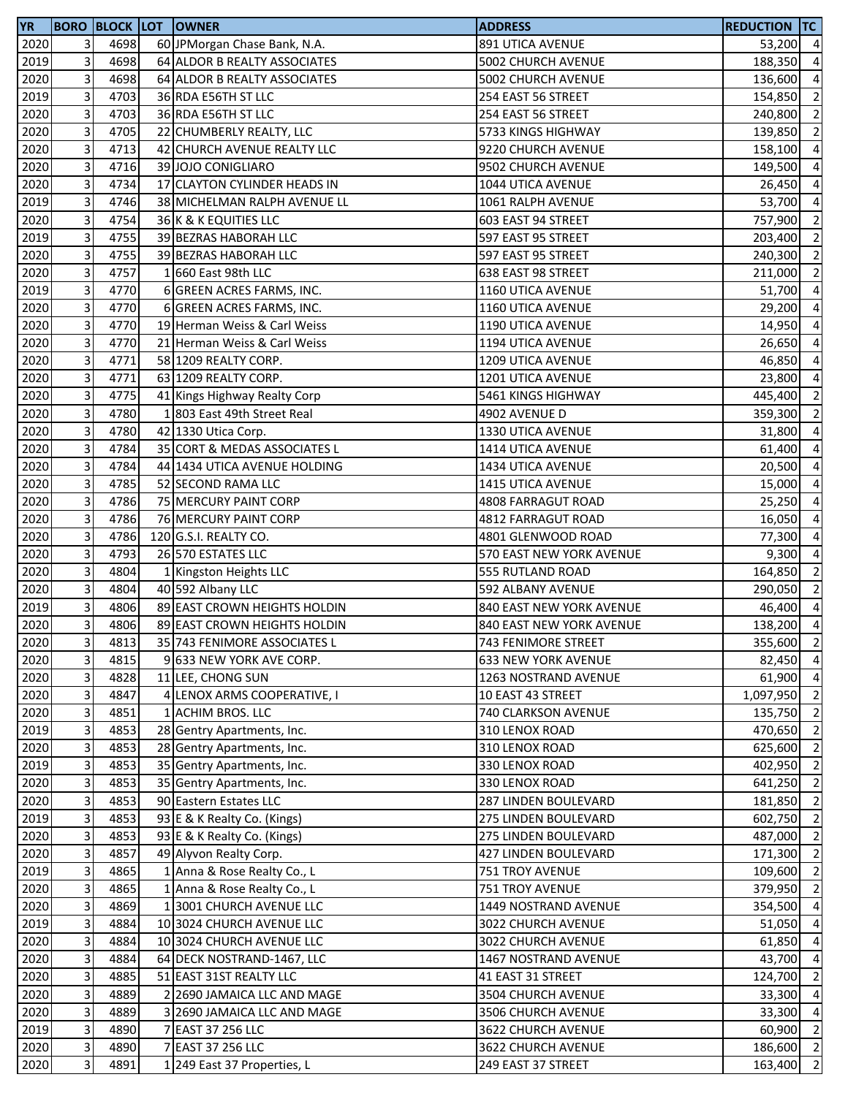| <b>YR</b> |                         |      | <b>BORO BLOCK LOT OWNER</b>  | <b>ADDRESS</b>                                  | Reduction  TC      |                |
|-----------|-------------------------|------|------------------------------|-------------------------------------------------|--------------------|----------------|
| 2020      | $\overline{3}$          | 4698 | 60 JPMorgan Chase Bank, N.A. | 891 UTICA AVENUE                                | 53,200 4           |                |
| 2019      | $\overline{3}$          | 4698 | 64 ALDOR B REALTY ASSOCIATES | 5002 CHURCH AVENUE                              | 188,350            | $\overline{4}$ |
| 2020      | 3                       | 4698 | 64 ALDOR B REALTY ASSOCIATES | 5002 CHURCH AVENUE                              | 136,600            | $\overline{4}$ |
| 2019      | 3                       | 4703 | 36 RDA E56TH ST LLC          | 254 EAST 56 STREET                              | 154,850            | $\overline{2}$ |
| 2020      | 3                       | 4703 | 36 RDA E56TH ST LLC          | 254 EAST 56 STREET                              | 240,800            | $\overline{2}$ |
| 2020      | 3                       | 4705 | 22 CHUMBERLY REALTY, LLC     | 5733 KINGS HIGHWAY                              | 139,850            | $\overline{2}$ |
| 2020      | 3                       | 4713 | 42 CHURCH AVENUE REALTY LLC  | 9220 CHURCH AVENUE                              | 158,100            | $\overline{4}$ |
| 2020      | $\mathbf{3}$            | 4716 | 39 JOJO CONIGLIARO           | 9502 CHURCH AVENUE                              | 149,500            | $\overline{4}$ |
| 2020      | $\overline{3}$          | 4734 | 17 CLAYTON CYLINDER HEADS IN | 1044 UTICA AVENUE                               | 26,450             | $\overline{4}$ |
| 2019      | 3                       | 4746 | 38 MICHELMAN RALPH AVENUE LL | 1061 RALPH AVENUE                               | 53,700             | $\overline{4}$ |
| 2020      | 3                       | 4754 | 36 K & K EQUITIES LLC        | 603 EAST 94 STREET                              | 757,900            | $\overline{2}$ |
| 2019      | 3                       | 4755 | 39 BEZRAS HABORAH LLC        | 597 EAST 95 STREET                              | 203,400            | $\overline{2}$ |
| 2020      | 3                       | 4755 | 39 BEZRAS HABORAH LLC        | 597 EAST 95 STREET                              | 240,300            | $\overline{2}$ |
| 2020      | $\mathbf{3}$            | 4757 | 1 660 East 98th LLC          | 638 EAST 98 STREET                              | 211,000            | $\overline{2}$ |
| 2019      | $\overline{3}$          | 4770 | 6 GREEN ACRES FARMS, INC.    | <b>1160 UTICA AVENUE</b>                        | 51,700 4           |                |
| 2020      | $\mathbf{3}$            | 4770 | 6 GREEN ACRES FARMS, INC.    | 1160 UTICA AVENUE                               | 29,200             | $\overline{4}$ |
| 2020      | $\overline{3}$          | 4770 | 19 Herman Weiss & Carl Weiss | 1190 UTICA AVENUE                               | 14,950             | $\overline{4}$ |
| 2020      | 3                       | 4770 | 21 Herman Weiss & Carl Weiss | 1194 UTICA AVENUE                               | 26,650             | $\overline{a}$ |
| 2020      | $\overline{\mathbf{3}}$ | 4771 | 58 1209 REALTY CORP.         | 1209 UTICA AVENUE                               | 46,850             | $\overline{4}$ |
| 2020      | $\overline{\mathbf{3}}$ | 4771 | 63 1209 REALTY CORP.         | 1201 UTICA AVENUE                               | 23,800             | $\overline{4}$ |
| 2020      | 3                       | 4775 | 41 Kings Highway Realty Corp | 5461 KINGS HIGHWAY                              | 445,400            | $\overline{2}$ |
| 2020      | 3                       | 4780 | 1803 East 49th Street Real   | 4902 AVENUE D                                   | 359,300            | $\overline{2}$ |
| 2020      | 3                       | 4780 | 42 1330 Utica Corp.          | 1330 UTICA AVENUE                               | 31,800             | $\overline{4}$ |
| 2020      | 3                       | 4784 | 35 CORT & MEDAS ASSOCIATES L | 1414 UTICA AVENUE                               | 61,400             | $\overline{4}$ |
| 2020      | $\mathbf{3}$            | 4784 | 44 1434 UTICA AVENUE HOLDING | 1434 UTICA AVENUE                               | 20,500             | $\overline{4}$ |
| 2020      | 3                       | 4785 | 52 SECOND RAMA LLC           | 1415 UTICA AVENUE                               | 15,000             | $\overline{4}$ |
| 2020      | 3                       | 4786 | 75 MERCURY PAINT CORP        | 4808 FARRAGUT ROAD                              | 25,250             | $\overline{a}$ |
| 2020      | 3                       | 4786 | 76 MERCURY PAINT CORP        | 4812 FARRAGUT ROAD                              | 16,050             | $\overline{4}$ |
| 2020      | $\overline{\mathbf{3}}$ | 4786 | 120 G.S.I. REALTY CO.        | 4801 GLENWOOD ROAD                              | 77,300             | $\overline{4}$ |
| 2020      | 3                       | 4793 | 26 570 ESTATES LLC           | 570 EAST NEW YORK AVENUE                        | 9,300              | $\overline{4}$ |
| 2020      | 3                       | 4804 | 1 Kingston Heights LLC       | 555 RUTLAND ROAD                                | 164,850            | $\overline{2}$ |
| 2020      | 3                       | 4804 | 40 592 Albany LLC            | 592 ALBANY AVENUE                               | 290,050            | $\overline{2}$ |
| 2019      | $\mathbf{3}$            | 4806 | 89 EAST CROWN HEIGHTS HOLDIN | 840 EAST NEW YORK AVENUE                        | 46,400             | $\overline{4}$ |
| 2020      | 3                       | 4806 | 89 EAST CROWN HEIGHTS HOLDIN | 840 EAST NEW YORK AVENUE                        | 138,200            | $\overline{4}$ |
| 2020      | 31                      | 4813 | 35 743 FENIMORE ASSOCIATES L | 743 FENIMORE STREET                             | 355,600            | $\overline{2}$ |
| 2020      | 3                       | 4815 | 9 633 NEW YORK AVE CORP.     | <b>633 NEW YORK AVENUE</b>                      | 82,450 4           |                |
| 2020      | $\mathbf{3}$            | 4828 | 11 LEE, CHONG SUN            | 1263 NOSTRAND AVENUE                            | 61,900             | $\overline{4}$ |
| 2020      | $\mathbf{3}$            | 4847 | 4 LENOX ARMS COOPERATIVE, I  | 10 EAST 43 STREET                               | 1,097,950          | $\overline{2}$ |
| 2020      | $\mathbf{3}$            | 4851 | 1 ACHIM BROS. LLC            | 740 CLARKSON AVENUE                             | 135,750 2          |                |
| 2019      | $\overline{3}$          | 4853 | 28 Gentry Apartments, Inc.   | 310 LENOX ROAD                                  | 470,650            | $\overline{2}$ |
| 2020      | $\mathbf{3}$            | 4853 | 28 Gentry Apartments, Inc.   | 310 LENOX ROAD                                  | 625,600            | $\overline{2}$ |
| 2019      | $\mathbf{3}$            | 4853 | 35 Gentry Apartments, Inc.   | 330 LENOX ROAD                                  | 402,950            | $\overline{2}$ |
| 2020      | $\mathbf{3}$            | 4853 | 35 Gentry Apartments, Inc.   | 330 LENOX ROAD                                  | 641,250            | $\overline{2}$ |
| 2020      | 3                       | 4853 | 90 Eastern Estates LLC       | 287 LINDEN BOULEVARD                            | 181,850            | $\overline{2}$ |
| 2019      | 3                       | 4853 | 93 E & K Realty Co. (Kings)  | 275 LINDEN BOULEVARD                            | 602,750            | $\overline{2}$ |
| 2020      | $\mathbf{3}$            | 4853 | 93 E & K Realty Co. (Kings)  | 275 LINDEN BOULEVARD                            | 487,000            | $\overline{2}$ |
| 2020      | $\overline{3}$          | 4857 | 49 Alyvon Realty Corp.       | 427 LINDEN BOULEVARD                            | 171,300            | $\overline{2}$ |
| 2019      | 3                       | 4865 | 1 Anna & Rose Realty Co., L  | 751 TROY AVENUE                                 | 109,600 2          |                |
| 2020      | $\mathbf{3}$            | 4865 | 1 Anna & Rose Realty Co., L  | 751 TROY AVENUE                                 | 379,950            | $\overline{2}$ |
| 2020      | $\mathbf{3}$            | 4869 | 1 3001 CHURCH AVENUE LLC     | 1449 NOSTRAND AVENUE                            | 354,500 4          |                |
| 2019      | 3                       | 4884 | 10 3024 CHURCH AVENUE LLC    | 3022 CHURCH AVENUE                              | 51,050             | -4             |
| 2020      | 3                       | 4884 | 10 3024 CHURCH AVENUE LLC    | 3022 CHURCH AVENUE                              | 61,850             | $\overline{4}$ |
| 2020      | 3                       | 4884 | 64 DECK NOSTRAND-1467, LLC   | 1467 NOSTRAND AVENUE                            | 43,700             | $\overline{4}$ |
| 2020      | $\mathbf{3}$            | 4885 | 51 EAST 31ST REALTY LLC      | 41 EAST 31 STREET                               | 124,700            | $\overline{2}$ |
|           | $\overline{3}$          | 4889 | 2 2690 JAMAICA LLC AND MAGE  |                                                 |                    | $\overline{4}$ |
| 2020      | $\overline{3}$          | 4889 |                              | 3504 CHURCH AVENUE<br><b>3506 CHURCH AVENUE</b> | 33,300<br>33,300 4 |                |
| 2020      |                         |      | 3 2690 JAMAICA LLC AND MAGE  |                                                 |                    |                |
| 2019      | $\overline{3}$          | 4890 | 7 EAST 37 256 LLC            | 3622 CHURCH AVENUE                              | 60,900             | $\overline{2}$ |
| 2020      | $\overline{\mathbf{3}}$ | 4890 | 7 EAST 37 256 LLC            | 3622 CHURCH AVENUE                              | 186,600 2          |                |
| 2020      | $\mathbf{3}$            | 4891 | 1 249 East 37 Properties, L  | 249 EAST 37 STREET                              | 163,400            | $\overline{2}$ |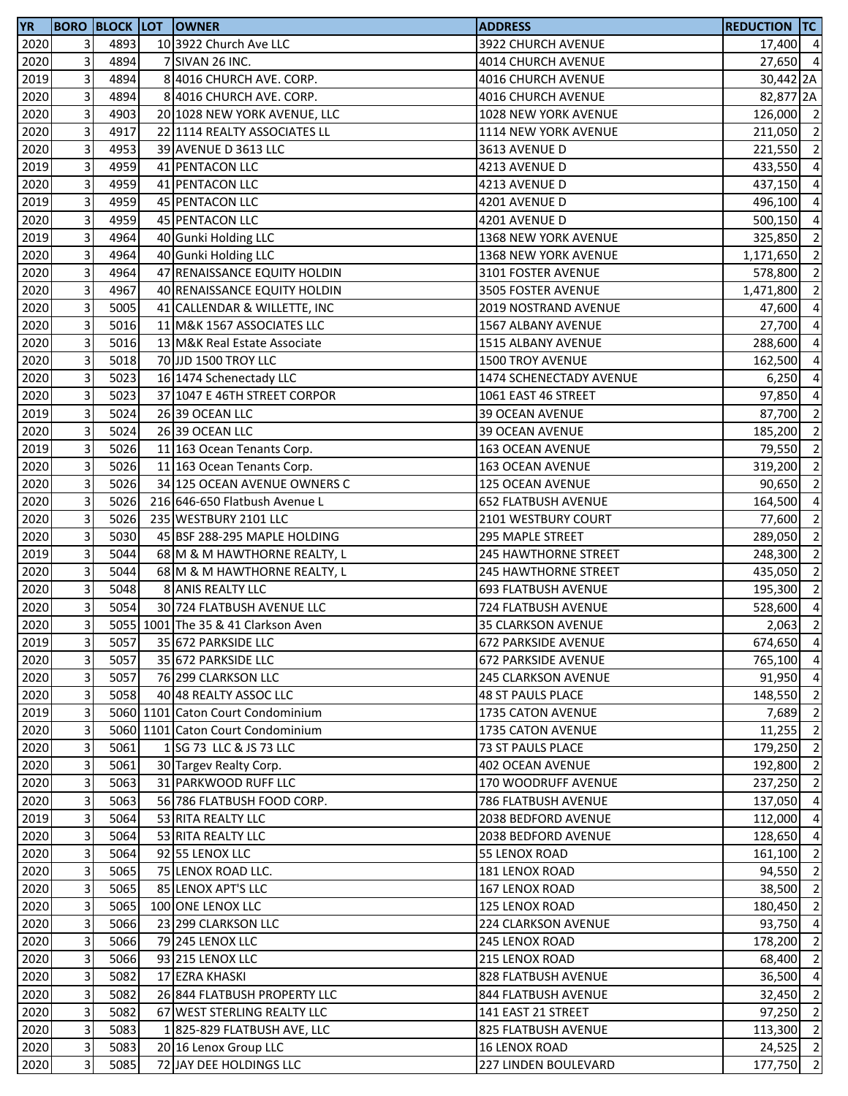| <b>YR</b> |              |      | <b>BORO BLOCK LOT OWNER</b>         | <b>ADDRESS</b>              | <b>REDUCTION TC</b> |                |
|-----------|--------------|------|-------------------------------------|-----------------------------|---------------------|----------------|
| 2020      | 3            | 4893 | 10 3922 Church Ave LLC              | 3922 CHURCH AVENUE          | 17,400 4            |                |
| 2020      | 3            | 4894 | 7 SIVAN 26 INC.                     | 4014 CHURCH AVENUE          | 27,650 4            |                |
| 2019      | 3            | 4894 | 8 4016 CHURCH AVE. CORP.            | 4016 CHURCH AVENUE          | 30,442 2A           |                |
| 2020      | 3            | 4894 | 8 4016 CHURCH AVE. CORP.            | 4016 CHURCH AVENUE          | 82,877 2A           |                |
| 2020      | 3            | 4903 | 20 1028 NEW YORK AVENUE, LLC        | 1028 NEW YORK AVENUE        | 126,000 2           |                |
| 2020      | 3            | 4917 | 22 1114 REALTY ASSOCIATES LL        | 1114 NEW YORK AVENUE        | 211,050 2           |                |
| 2020      | 3            | 4953 | 39 AVENUE D 3613 LLC                | 3613 AVENUE D               | 221,550 2           |                |
| 2019      | 3            | 4959 | 41 PENTACON LLC                     | 4213 AVENUE D               | 433,550             | $\overline{4}$ |
| 2020      | 3            | 4959 | 41 PENTACON LLC                     | 4213 AVENUE D               | 437,150             | $\overline{4}$ |
| 2019      | 3            | 4959 | <b>45 PENTACON LLC</b>              | 4201 AVENUE D               | 496,100             | $\overline{a}$ |
| 2020      | 3            | 4959 | 45 PENTACON LLC                     | 4201 AVENUE D               | 500,150             | $\overline{a}$ |
| 2019      | 3            | 4964 | 40 Gunki Holding LLC                | 1368 NEW YORK AVENUE        | 325,850             | $\overline{2}$ |
| 2020      | 3            | 4964 | 40 Gunki Holding LLC                | 1368 NEW YORK AVENUE        | 1,171,650 2         |                |
| 2020      | 3            | 4964 | 47 RENAISSANCE EQUITY HOLDIN        | 3101 FOSTER AVENUE          | 578,800             | $\overline{2}$ |
| 2020      | 3            | 4967 | 40 RENAISSANCE EQUITY HOLDIN        | 3505 FOSTER AVENUE          | 1,471,800           | $\overline{2}$ |
| 2020      | 3            | 5005 | 41 CALLENDAR & WILLETTE, INC        | 2019 NOSTRAND AVENUE        | 47,600              | $\overline{4}$ |
| 2020      | 3            | 5016 | 11 M&K 1567 ASSOCIATES LLC          | 1567 ALBANY AVENUE          | 27,700              | $\overline{4}$ |
| 2020      | 3            | 5016 | 13 M&K Real Estate Associate        | 1515 ALBANY AVENUE          | 288,600             | $\overline{a}$ |
| 2020      | 3            | 5018 | 70 JJD 1500 TROY LLC                | 1500 TROY AVENUE            | 162,500             | $\overline{4}$ |
| 2020      | 3            | 5023 | 16 1474 Schenectady LLC             | 1474 SCHENECTADY AVENUE     | 6,250               | $\overline{4}$ |
| 2020      | 3            | 5023 | 37 1047 E 46TH STREET CORPOR        | 1061 EAST 46 STREET         | 97,850              | $\overline{4}$ |
| 2019      | 3            | 5024 | 26 39 OCEAN LLC                     | 39 OCEAN AVENUE             | 87,700 2            |                |
| 2020      | 3            | 5024 | 26 39 OCEAN LLC                     | <b>39 OCEAN AVENUE</b>      | 185,200             | $\overline{2}$ |
| 2019      | 3            | 5026 | 11 163 Ocean Tenants Corp.          | 163 OCEAN AVENUE            | 79,550              | $\overline{2}$ |
| 2020      | 3            | 5026 | 11 163 Ocean Tenants Corp.          | 163 OCEAN AVENUE            | 319,200             | $\overline{2}$ |
| 2020      | 3            | 5026 | 34 125 OCEAN AVENUE OWNERS C        | <b>125 OCEAN AVENUE</b>     | 90,650              | $\overline{2}$ |
| 2020      | 3            | 5026 | 216 646-650 Flatbush Avenue L       | <b>652 FLATBUSH AVENUE</b>  | 164,500             | $\overline{a}$ |
| 2020      | 3            | 5026 | 235 WESTBURY 2101 LLC               | 2101 WESTBURY COURT         | 77,600              | $\overline{2}$ |
| 2020      | 3            | 5030 | 45 BSF 288-295 MAPLE HOLDING        | 295 MAPLE STREET            | 289,050             | $\overline{2}$ |
| 2019      | 3            | 5044 | 68 M & M HAWTHORNE REALTY, L        | <b>245 HAWTHORNE STREET</b> | 248,300 2           |                |
| 2020      | 3            | 5044 | 68 M & M HAWTHORNE REALTY, L        | <b>245 HAWTHORNE STREET</b> | 435,050             | $\overline{2}$ |
| 2020      | 3            | 5048 | 8 ANIS REALTY LLC                   | <b>693 FLATBUSH AVENUE</b>  | 195,300             | $\overline{2}$ |
| 2020      | 3            | 5054 | 30 724 FLATBUSH AVENUE LLC          | 724 FLATBUSH AVENUE         | 528,600             | $\overline{4}$ |
| 2020      | 3            |      | 5055 1001 The 35 & 41 Clarkson Aven | 35 CLARKSON AVENUE          | 2,063               | $\overline{2}$ |
| 2019      | $\mathbf{3}$ | 5057 | 35 672 PARKSIDE LLC                 | <b>672 PARKSIDE AVENUE</b>  | 674,650 4           |                |
| 2020      | 3            | 5057 | 35 672 PARKSIDE LLC                 | <b>672 PARKSIDE AVENUE</b>  | 765,100 4           |                |
| 2020      | 3            | 5057 | 76 299 CLARKSON LLC                 | 245 CLARKSON AVENUE         | 91,950 4            |                |
| 2020      | 3            | 5058 | 40 48 REALTY ASSOC LLC              | <b>48 ST PAULS PLACE</b>    | 148,550 2           |                |
| 2019      | 3            |      | 5060 1101 Caton Court Condominium   | 1735 CATON AVENUE           | 7,689               | $\overline{2}$ |
| 2020      | 3            |      | 5060 1101 Caton Court Condominium   | 1735 CATON AVENUE           | 11,255              | $\overline{2}$ |
| 2020      | 3            | 5061 | 1 SG 73 LLC & JS 73 LLC             | 73 ST PAULS PLACE           | 179,250 2           |                |
| 2020      | 3            | 5061 | 30 Targev Realty Corp.              | 402 OCEAN AVENUE            | 192,800 2           |                |
| 2020      | 3            | 5063 | 31 PARKWOOD RUFF LLC                | 170 WOODRUFF AVENUE         | 237,250             | $\overline{2}$ |
| 2020      | 3            | 5063 | 56 786 FLATBUSH FOOD CORP.          | 786 FLATBUSH AVENUE         | 137,050             | $\overline{4}$ |
| 2019      | 3            | 5064 | 53 RITA REALTY LLC                  | 2038 BEDFORD AVENUE         | 112,000 4           |                |
| 2020      | 3            | 5064 | 53 RITA REALTY LLC                  | 2038 BEDFORD AVENUE         | 128,650 4           |                |
| 2020      | 3            | 5064 | 92 55 LENOX LLC                     | 55 LENOX ROAD               | 161,100 2           |                |
| 2020      | 3            | 5065 | 75 LENOX ROAD LLC.                  | <b>181 LENOX ROAD</b>       | 94,550 2            |                |
| 2020      | 3            | 5065 | 85 LENOX APT'S LLC                  | 167 LENOX ROAD              | 38,500 2            |                |
| 2020      | 3            | 5065 | 100 ONE LENOX LLC                   | 125 LENOX ROAD              | 180,450             | $\overline{2}$ |
| 2020      | 3            | 5066 | 23 299 CLARKSON LLC                 | <b>224 CLARKSON AVENUE</b>  | 93,750 4            |                |
| 2020      | 3            | 5066 | 79 245 LENOX LLC                    | <b>245 LENOX ROAD</b>       | 178,200             | $\overline{2}$ |
| 2020      | 3            | 5066 | 93 215 LENOX LLC                    | 215 LENOX ROAD              | 68,400              | $\overline{2}$ |
| 2020      | 3            | 5082 | 17 EZRA KHASKI                      | 828 FLATBUSH AVENUE         | 36,500              | $\overline{4}$ |
| 2020      | 3            | 5082 | 26 844 FLATBUSH PROPERTY LLC        | 844 FLATBUSH AVENUE         | 32,450 2            |                |
| 2020      | 3            | 5082 | 67 WEST STERLING REALTY LLC         | 141 EAST 21 STREET          | 97,250              | $\overline{2}$ |
| 2020      | 3            | 5083 | 1825-829 FLATBUSH AVE, LLC          | 825 FLATBUSH AVENUE         | 113,300 2           |                |
| 2020      | 3            | 5083 | 20 16 Lenox Group LLC               | <b>16 LENOX ROAD</b>        | 24,525 2            |                |
| 2020      | 3            | 5085 | 72 JAY DEE HOLDINGS LLC             | 227 LINDEN BOULEVARD        | 177,750 2           |                |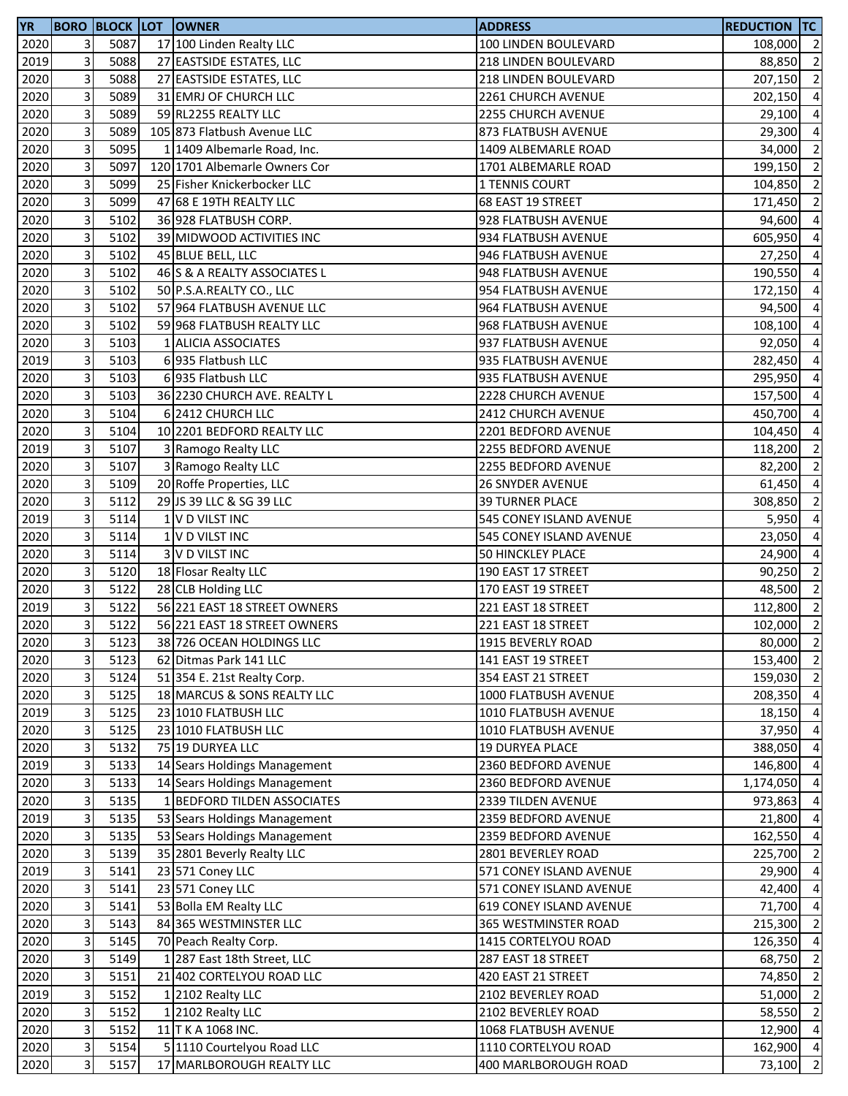| <b>YR</b> |   |      | <b>BORO BLOCK LOT OWNER</b>   | <b>ADDRESS</b>           | <b>REDUCTION TC</b> |                          |
|-----------|---|------|-------------------------------|--------------------------|---------------------|--------------------------|
| 2020      | 3 | 5087 | 17 100 Linden Realty LLC      | 100 LINDEN BOULEVARD     | 108,000 2           |                          |
| 2019      | 3 | 5088 | 27 EASTSIDE ESTATES, LLC      | 218 LINDEN BOULEVARD     | 88,850              | $\overline{2}$           |
| 2020      | 3 | 5088 | 27 EASTSIDE ESTATES, LLC      | 218 LINDEN BOULEVARD     | 207,150             | $\overline{\phantom{a}}$ |
| 2020      | 3 | 5089 | 31 EMRJ OF CHURCH LLC         | 2261 CHURCH AVENUE       | 202,150             | $\overline{4}$           |
| 2020      | 3 | 5089 | 59 RL2255 REALTY LLC          | 2255 CHURCH AVENUE       | 29,100 4            |                          |
| 2020      | 3 | 5089 | 105 873 Flatbush Avenue LLC   | 873 FLATBUSH AVENUE      | 29,300 4            |                          |
| 2020      | 3 | 5095 | 1 1409 Albemarle Road, Inc.   | 1409 ALBEMARLE ROAD      | 34,000              | $\overline{2}$           |
| 2020      | 3 | 5097 | 120 1701 Albemarle Owners Cor | 1701 ALBEMARLE ROAD      | 199,150             | $\overline{2}$           |
| 2020      | 3 | 5099 | 25 Fisher Knickerbocker LLC   | 1 TENNIS COURT           | 104,850             | $\overline{2}$           |
| 2020      | 3 | 5099 | 47 68 E 19TH REALTY LLC       | 68 EAST 19 STREET        | 171,450             | $\overline{2}$           |
| 2020      | 3 | 5102 | 36 928 FLATBUSH CORP.         | 928 FLATBUSH AVENUE      | 94,600              | $\overline{a}$           |
| 2020      | 3 | 5102 | 39 MIDWOOD ACTIVITIES INC     | 934 FLATBUSH AVENUE      | 605,950             | $\overline{4}$           |
| 2020      | 3 | 5102 | 45 BLUE BELL, LLC             | 946 FLATBUSH AVENUE      | 27,250 4            |                          |
| 2020      | 3 | 5102 | 46 S & A REALTY ASSOCIATES L  | 948 FLATBUSH AVENUE      | 190,550 4           |                          |
| 2020      | 3 | 5102 | 50 P.S.A.REALTY CO., LLC      | 954 FLATBUSH AVENUE      | 172,150             | $\overline{4}$           |
| 2020      | 3 | 5102 | 57 964 FLATBUSH AVENUE LLC    | 964 FLATBUSH AVENUE      | 94,500              | $\overline{4}$           |
| 2020      | 3 | 5102 | 59 968 FLATBUSH REALTY LLC    | 968 FLATBUSH AVENUE      | 108,100             | $\overline{4}$           |
| 2020      | 3 | 5103 | 1 ALICIA ASSOCIATES           | 937 FLATBUSH AVENUE      | 92,050              | $\overline{4}$           |
| 2019      | 3 | 5103 | 6 935 Flatbush LLC            | 935 FLATBUSH AVENUE      | 282,450             | $\overline{4}$           |
| 2020      | 3 | 5103 | 6 935 Flatbush LLC            | 935 FLATBUSH AVENUE      | 295,950             | $\overline{4}$           |
| 2020      | 3 | 5103 | 36 2230 CHURCH AVE. REALTY L  | 2228 CHURCH AVENUE       | 157,500             | $\overline{4}$           |
| 2020      | 3 | 5104 | 6 2412 CHURCH LLC             | 2412 CHURCH AVENUE       | 450,700 4           |                          |
| 2020      | 3 | 5104 | 10 2201 BEDFORD REALTY LLC    | 2201 BEDFORD AVENUE      | 104,450 4           |                          |
| 2019      | 3 | 5107 | 3 Ramogo Realty LLC           | 2255 BEDFORD AVENUE      | 118,200             | $\overline{2}$           |
| 2020      | 3 | 5107 | 3 Ramogo Realty LLC           | 2255 BEDFORD AVENUE      | 82,200              | $\overline{2}$           |
| 2020      | 3 | 5109 | 20 Roffe Properties, LLC      | <b>26 SNYDER AVENUE</b>  | 61,450              | $\overline{4}$           |
| 2020      | 3 | 5112 | 29 JS 39 LLC & SG 39 LLC      | <b>39 TURNER PLACE</b>   | 308,850             | $\overline{2}$           |
| 2019      | 3 | 5114 | 1 V D VILST INC               | 545 CONEY ISLAND AVENUE  | 5,950               | $\overline{a}$           |
| 2020      | 3 | 5114 | 1 V D VILST INC               | 545 CONEY ISLAND AVENUE  | 23,050              | $\overline{a}$           |
| 2020      | 3 | 5114 | 3 V D VILST INC               | <b>50 HINCKLEY PLACE</b> | 24,900              | $\overline{4}$           |
| 2020      | 3 | 5120 | 18 Flosar Realty LLC          | 190 EAST 17 STREET       | 90,250              | $\overline{2}$           |
| 2020      | 3 | 5122 | 28 CLB Holding LLC            | 170 EAST 19 STREET       | 48,500              | $\overline{2}$           |
| 2019      | 3 | 5122 | 56 221 EAST 18 STREET OWNERS  | 221 EAST 18 STREET       | 112,800             | $\overline{2}$           |
| 2020      | 3 | 5122 | 56 221 EAST 18 STREET OWNERS  | 221 EAST 18 STREET       | 102,000 2           |                          |
| 2020      | 3 | 5123 | 38 726 OCEAN HOLDINGS LLC     | 1915 BEVERLY ROAD        | 80,000 2            |                          |
| 2020      | 3 | 5123 | 62 Ditmas Park 141 LLC        | 141 EAST 19 STREET       | 153,400 2           |                          |
| 2020      | 3 | 5124 | 51 354 E. 21st Realty Corp.   | 354 EAST 21 STREET       | 159,030             | $\overline{2}$           |
| 2020      | 3 | 5125 | 18 MARCUS & SONS REALTY LLC   | 1000 FLATBUSH AVENUE     | 208,350 4           |                          |
| 2019      | 3 | 5125 | 23 1010 FLATBUSH LLC          | 1010 FLATBUSH AVENUE     | 18,150 4            |                          |
| 2020      | 3 | 5125 | 23 1010 FLATBUSH LLC          | 1010 FLATBUSH AVENUE     | 37,950 4            |                          |
| 2020      | 3 | 5132 | 75 19 DURYEA LLC              | 19 DURYEA PLACE          | 388,050 4           |                          |
| 2019      | 3 | 5133 | 14 Sears Holdings Management  | 2360 BEDFORD AVENUE      | 146,800 4           |                          |
| 2020      | 3 | 5133 | 14 Sears Holdings Management  | 2360 BEDFORD AVENUE      | 1,174,050           | $\overline{4}$           |
| 2020      | 3 | 5135 | 1 BEDFORD TILDEN ASSOCIATES   | 2339 TILDEN AVENUE       | 973,863             | $\overline{4}$           |
| 2019      | 3 | 5135 | 53 Sears Holdings Management  | 2359 BEDFORD AVENUE      | 21,800              | $\overline{4}$           |
| 2020      | 3 | 5135 | 53 Sears Holdings Management  | 2359 BEDFORD AVENUE      | 162,550             | $\overline{4}$           |
| 2020      | 3 | 5139 | 35 2801 Beverly Realty LLC    | 2801 BEVERLEY ROAD       | 225,700 2           |                          |
| 2019      | 3 | 5141 | 23 571 Coney LLC              | 571 CONEY ISLAND AVENUE  | 29,900 4            |                          |
| 2020      | 3 | 5141 | 23 571 Coney LLC              | 571 CONEY ISLAND AVENUE  | 42,400 4            |                          |
| 2020      | 3 | 5141 | 53 Bolla EM Realty LLC        | 619 CONEY ISLAND AVENUE  | 71,700              | $\overline{4}$           |
| 2020      | 3 | 5143 | 84 365 WESTMINSTER LLC        | 365 WESTMINSTER ROAD     | 215,300             | $\overline{2}$           |
| 2020      | 3 | 5145 | 70 Peach Realty Corp.         | 1415 CORTELYOU ROAD      | 126,350             | $\overline{4}$           |
| 2020      | 3 | 5149 | 1 287 East 18th Street, LLC   | 287 EAST 18 STREET       | 68,750              | $\overline{\phantom{0}}$ |
| 2020      | 3 | 5151 | 21 402 CORTELYOU ROAD LLC     | 420 EAST 21 STREET       | 74,850              | $\overline{2}$           |
| 2019      | 3 | 5152 | 1 2102 Realty LLC             | 2102 BEVERLEY ROAD       | 51,000              | $\overline{2}$           |
| 2020      | 3 | 5152 | 1 2102 Realty LLC             | 2102 BEVERLEY ROAD       | 58,550              | $\overline{\phantom{a}}$ |
| 2020      | 3 | 5152 | 11 T K A 1068 INC.            | 1068 FLATBUSH AVENUE     | 12,900 4            |                          |
| 2020      | 3 | 5154 | 5 1110 Courtelyou Road LLC    | 1110 CORTELYOU ROAD      | 162,900 4           |                          |
| 2020      | 3 | 5157 | 17 MARLBOROUGH REALTY LLC     | 400 MARLBOROUGH ROAD     | 73,100              | $\overline{2}$           |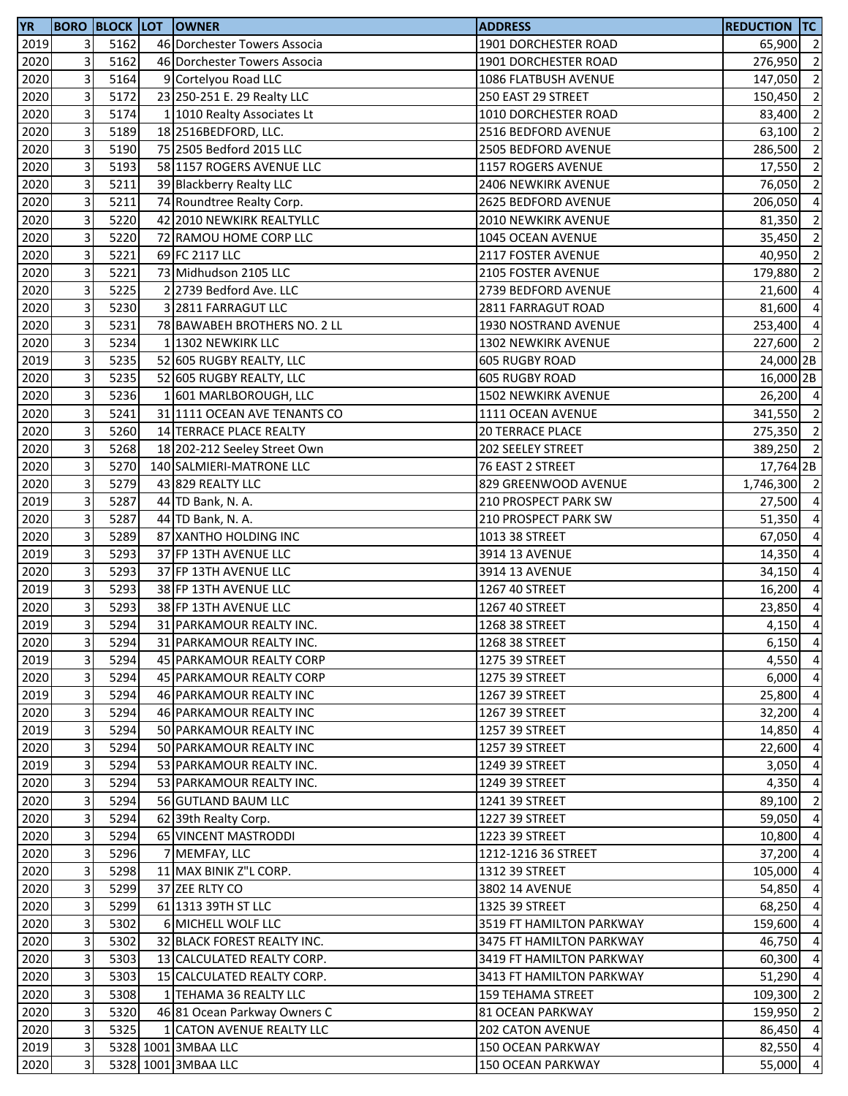| <b>YR</b> |                         |      | <b>BORO BLOCK LOT OWNER</b>  | <b>ADDRESS</b>             | <b>REDUCTION TC</b> |                |
|-----------|-------------------------|------|------------------------------|----------------------------|---------------------|----------------|
| 2019      | 3                       | 5162 | 46 Dorchester Towers Associa | 1901 DORCHESTER ROAD       | 65,900 2            |                |
| 2020      | 3                       | 5162 | 46 Dorchester Towers Associa | 1901 DORCHESTER ROAD       | 276,950             | $\overline{2}$ |
| 2020      | 3                       | 5164 | 9 Cortelyou Road LLC         | 1086 FLATBUSH AVENUE       | 147,050             | $\overline{2}$ |
| 2020      | 3                       | 5172 | 23 250-251 E. 29 Realty LLC  | 250 EAST 29 STREET         | 150,450 2           |                |
| 2020      | 3                       | 5174 | 1 1010 Realty Associates Lt  | 1010 DORCHESTER ROAD       | 83,400              | $\overline{2}$ |
| 2020      | 3                       | 5189 | 18 2516BEDFORD, LLC.         | 2516 BEDFORD AVENUE        | 63,100              | $\overline{2}$ |
| 2020      | 3                       | 5190 | 75 2505 Bedford 2015 LLC     | 2505 BEDFORD AVENUE        | 286,500             | $\overline{2}$ |
| 2020      | 3                       | 5193 | 58 1157 ROGERS AVENUE LLC    | 1157 ROGERS AVENUE         | 17,550              | $\overline{2}$ |
| 2020      | 3                       | 5211 | 39 Blackberry Realty LLC     | <b>2406 NEWKIRK AVENUE</b> | 76,050              | $\overline{2}$ |
| 2020      | 3                       | 5211 | 74 Roundtree Realty Corp.    | 2625 BEDFORD AVENUE        | 206,050             | $\overline{4}$ |
| 2020      | 3                       | 5220 | 42 2010 NEWKIRK REALTYLLC    | 2010 NEWKIRK AVENUE        | 81,350              | $\overline{2}$ |
| 2020      | 3                       | 5220 | 72 RAMOU HOME CORP LLC       | 1045 OCEAN AVENUE          | 35,450              | $\overline{2}$ |
| 2020      | 3                       | 5221 | 69 FC 2117 LLC               | 2117 FOSTER AVENUE         | 40,950 2            |                |
| 2020      | 3                       | 5221 | 73 Midhudson 2105 LLC        | <b>2105 FOSTER AVENUE</b>  | 179,880             | $\overline{2}$ |
| 2020      | 3                       | 5225 | 2 2739 Bedford Ave. LLC      | 2739 BEDFORD AVENUE        | 21,600              | $\overline{4}$ |
| 2020      | 3                       | 5230 | 3 2811 FARRAGUT LLC          | 2811 FARRAGUT ROAD         | 81,600              | $\overline{4}$ |
| 2020      | 3                       | 5231 | 78 BAWABEH BROTHERS NO. 2 LL | 1930 NOSTRAND AVENUE       | 253,400 4           |                |
| 2020      | 3                       | 5234 | 1 1302 NEWKIRK LLC           | 1302 NEWKIRK AVENUE        | 227,600             | $\overline{2}$ |
| 2019      | 3                       | 5235 | 52 605 RUGBY REALTY, LLC     | <b>605 RUGBY ROAD</b>      | 24,000 2B           |                |
| 2020      | 3                       | 5235 | 52 605 RUGBY REALTY, LLC     | 605 RUGBY ROAD             | 16,000 2B           |                |
| 2020      | 3                       | 5236 | 1 601 MARLBOROUGH, LLC       | 1502 NEWKIRK AVENUE        | 26,200 4            |                |
| 2020      | 3                       | 5241 | 31 1111 OCEAN AVE TENANTS CO | 1111 OCEAN AVENUE          | 341,550 2           |                |
| 2020      | 3                       | 5260 | 14 TERRACE PLACE REALTY      | <b>20 TERRACE PLACE</b>    | 275,350 2           |                |
| 2020      | 3                       | 5268 | 18 202-212 Seeley Street Own | 202 SEELEY STREET          | 389,250 2           |                |
| 2020      | 3                       | 5270 | 140 SALMIERI-MATRONE LLC     | 76 EAST 2 STREET           | 17,764 2B           |                |
| 2020      | 3                       | 5279 | 43 829 REALTY LLC            | 829 GREENWOOD AVENUE       | 1,746,300 2         |                |
| 2019      | 3                       | 5287 | 44 TD Bank, N. A.            | 210 PROSPECT PARK SW       | 27,500              | $\overline{4}$ |
| 2020      | 3                       | 5287 | 44 TD Bank, N. A.            | 210 PROSPECT PARK SW       | 51,350              | $\overline{4}$ |
| 2020      | 3                       | 5289 | 87 XANTHO HOLDING INC        | 1013 38 STREET             | 67,050              | $\overline{4}$ |
| 2019      | 3                       | 5293 | 37 FP 13TH AVENUE LLC        | 3914 13 AVENUE             | 14,350 4            |                |
| 2020      | 3                       | 5293 | 37 FP 13TH AVENUE LLC        | 3914 13 AVENUE             | 34,150              | $\overline{4}$ |
| 2019      | 3                       | 5293 | 38 FP 13TH AVENUE LLC        | 1267 40 STREET             | 16,200              | $\overline{4}$ |
| 2020      | 3                       | 5293 | 38 FP 13TH AVENUE LLC        | 1267 40 STREET             | 23,850              | $\overline{4}$ |
| 2019      | 3                       | 5294 | 31 PARKAMOUR REALTY INC.     | 1268 38 STREET             | 4,150               | $\overline{4}$ |
| 2020      | $\overline{\mathbf{3}}$ | 5294 | 31 PARKAMOUR REALTY INC.     | 1268 38 STREET             | $6,150$ 4           |                |
| 2019      | 3                       | 5294 | 45 PARKAMOUR REALTY CORP     | 1275 39 STREET             | 4,550 4             |                |
| 2020      | 3                       | 5294 | 45 PARKAMOUR REALTY CORP     | 1275 39 STREET             | 6,000               | $\overline{4}$ |
| 2019      | 3                       | 5294 | 46 PARKAMOUR REALTY INC      | 1267 39 STREET             | 25,800 4            |                |
| 2020      | 3                       | 5294 | 46 PARKAMOUR REALTY INC      | 1267 39 STREET             | 32,200              | $\overline{4}$ |
| 2019      | 3                       | 5294 | 50 PARKAMOUR REALTY INC      | 1257 39 STREET             | 14,850              | $\overline{4}$ |
| 2020      | 3                       | 5294 | 50 PARKAMOUR REALTY INC      | 1257 39 STREET             | 22,600              | $\overline{4}$ |
| 2019      | 3                       | 5294 | 53 PARKAMOUR REALTY INC.     | 1249 39 STREET             | 3,050               | $\overline{4}$ |
| 2020      | 3                       | 5294 | 53 PARKAMOUR REALTY INC.     | 1249 39 STREET             | 4,350               | $\overline{4}$ |
| 2020      | 3                       | 5294 | 56 GUTLAND BAUM LLC          | 1241 39 STREET             | 89,100              | $\overline{2}$ |
| 2020      | 3                       | 5294 | 62 39th Realty Corp.         | 1227 39 STREET             | 59,050              | $\overline{4}$ |
| 2020      | 3                       | 5294 | 65 VINCENT MASTRODDI         | 1223 39 STREET             | 10,800              | $\overline{4}$ |
| 2020      | 3                       | 5296 | 7 MEMFAY, LLC                | 1212-1216 36 STREET        | 37,200              | $\overline{4}$ |
| 2020      | 3                       | 5298 | 11 MAX BINIK Z"L CORP.       | 1312 39 STREET             | 105,000             | $\overline{4}$ |
| 2020      | 3                       | 5299 | 37 ZEE RLTY CO               | <b>3802 14 AVENUE</b>      | 54,850              | $\overline{4}$ |
| 2020      | 3                       | 5299 | 61 1313 39TH ST LLC          | 1325 39 STREET             | 68,250              | -4             |
| 2020      | 3                       | 5302 | <b>6 MICHELL WOLF LLC</b>    | 3519 FT HAMILTON PARKWAY   | 159,600             | $\overline{4}$ |
| 2020      | 3                       | 5302 | 32 BLACK FOREST REALTY INC.  | 3475 FT HAMILTON PARKWAY   | 46,750              | $\overline{4}$ |
| 2020      | 3                       | 5303 | 13 CALCULATED REALTY CORP.   | 3419 FT HAMILTON PARKWAY   | 60,300              | $\overline{4}$ |
| 2020      | 3                       | 5303 | 15 CALCULATED REALTY CORP.   | 3413 FT HAMILTON PARKWAY   | 51,290              | $\overline{4}$ |
| 2020      | 3                       | 5308 | 1 TEHAMA 36 REALTY LLC       | <b>159 TEHAMA STREET</b>   | 109,300             | $\overline{2}$ |
| 2020      | 3                       | 5320 | 46 81 Ocean Parkway Owners C | <b>81 OCEAN PARKWAY</b>    | 159,950             | $\overline{2}$ |
| 2020      | 3                       | 5325 | 1 CATON AVENUE REALTY LLC    | 202 CATON AVENUE           | 86,450 4            |                |
| 2019      | 3                       |      | 5328 1001 3MBAA LLC          | 150 OCEAN PARKWAY          | 82,550 4            |                |
| 2020      | 3                       |      | 5328 1001 3MBAA LLC          | 150 OCEAN PARKWAY          | 55,000 4            |                |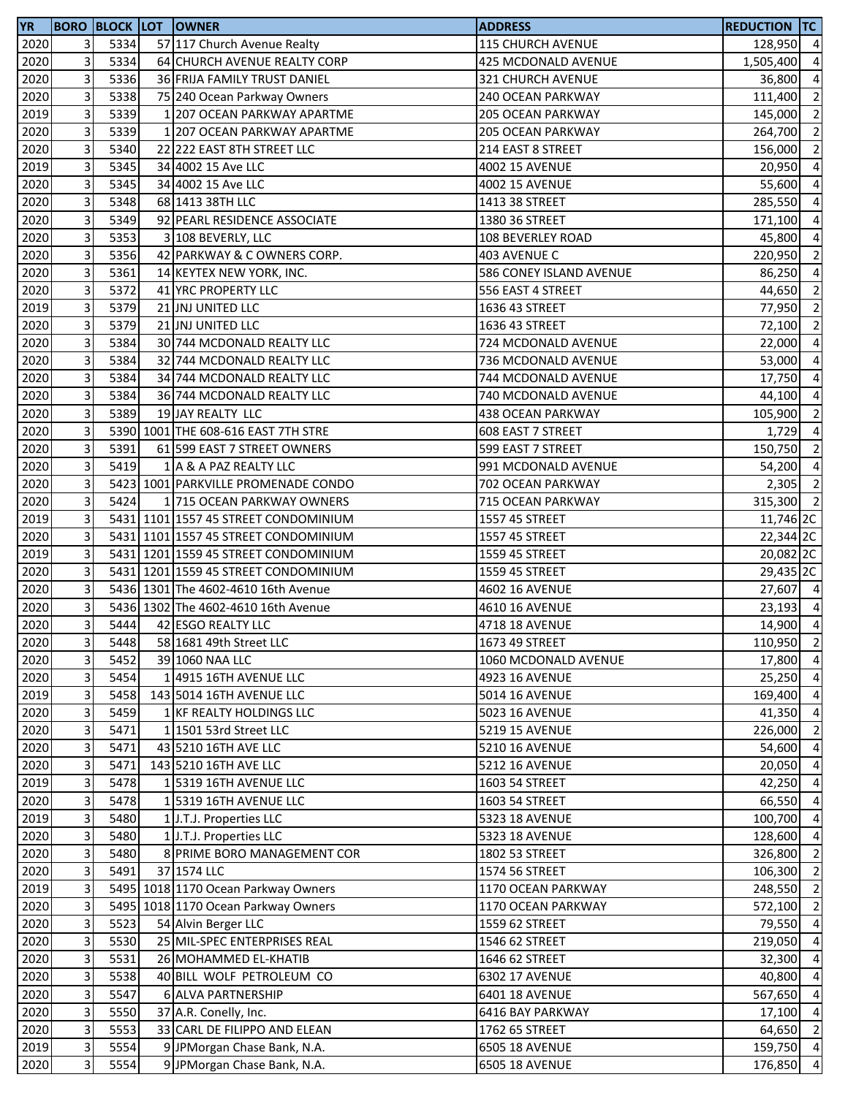| <b>YR</b> |                           |      | <b>BORO BLOCK LOT OWNER</b>          | <b>ADDRESS</b>           | <b>REDUCTION TC</b> |                |
|-----------|---------------------------|------|--------------------------------------|--------------------------|---------------------|----------------|
| 2020      | 3                         | 5334 | 57 117 Church Avenue Realty          | <b>115 CHURCH AVENUE</b> | 128,950 4           |                |
| 2020      | 3                         | 5334 | 64 CHURCH AVENUE REALTY CORP         | 425 MCDONALD AVENUE      | 1,505,400           | $\overline{4}$ |
| 2020      | 3                         | 5336 | 36 FRIJA FAMILY TRUST DANIEL         | 321 CHURCH AVENUE        | 36,800              | $\overline{4}$ |
| 2020      | 3                         | 5338 | 75 240 Ocean Parkway Owners          | 240 OCEAN PARKWAY        | 111,400 2           |                |
| 2019      | 3                         | 5339 | 1 207 OCEAN PARKWAY APARTME          | 205 OCEAN PARKWAY        | 145,000             | $\overline{2}$ |
| 2020      | 3                         | 5339 | 1 207 OCEAN PARKWAY APARTME          | 205 OCEAN PARKWAY        | 264,700             | $\overline{2}$ |
| 2020      | 3                         | 5340 | 22 222 EAST 8TH STREET LLC           | 214 EAST 8 STREET        | 156,000             | $\overline{2}$ |
| 2019      | 3                         | 5345 | 34 4002 15 Ave LLC                   | <b>4002 15 AVENUE</b>    | 20,950              | $\overline{4}$ |
| 2020      | 3                         | 5345 | 34 4002 15 Ave LLC                   | <b>4002 15 AVENUE</b>    | 55,600              | $\overline{4}$ |
| 2020      | 3                         | 5348 | 68 1413 38TH LLC                     | 1413 38 STREET           | 285,550             | $\overline{4}$ |
| 2020      | 3                         | 5349 | 92 PEARL RESIDENCE ASSOCIATE         | 1380 36 STREET           | 171,100             | $\overline{4}$ |
| 2020      | 3                         | 5353 | 3 108 BEVERLY, LLC                   | <b>108 BEVERLEY ROAD</b> | 45,800              | $\overline{a}$ |
| 2020      | 3                         | 5356 | 42 PARKWAY & C OWNERS CORP.          | 403 AVENUE C             | 220,950 2           |                |
| 2020      | 3                         | 5361 | 14 KEYTEX NEW YORK, INC.             | 586 CONEY ISLAND AVENUE  | 86,250              | $\overline{4}$ |
| 2020      | 3                         | 5372 | 41 YRC PROPERTY LLC                  | 556 EAST 4 STREET        | 44,650              | $\overline{2}$ |
| 2019      | 3                         | 5379 | 21 JNJ UNITED LLC                    | 1636 43 STREET           | 77,950              | $\overline{2}$ |
| 2020      | 3                         | 5379 | 21 JNJ UNITED LLC                    | 1636 43 STREET           | 72,100              | $\overline{2}$ |
| 2020      | 3                         | 5384 | 30 744 MCDONALD REALTY LLC           | 724 MCDONALD AVENUE      | 22,000              | $\overline{a}$ |
| 2020      | 3                         | 5384 | 32 744 MCDONALD REALTY LLC           | 736 MCDONALD AVENUE      | 53,000              | $\overline{a}$ |
| 2020      | 3                         | 5384 | 34 744 MCDONALD REALTY LLC           | 744 MCDONALD AVENUE      | 17,750              | $\overline{a}$ |
| 2020      | 3                         | 5384 | 36 744 MCDONALD REALTY LLC           | 740 MCDONALD AVENUE      | 44,100              | $\overline{4}$ |
| 2020      | 3                         | 5389 | 19 JAY REALTY LLC                    | 438 OCEAN PARKWAY        | 105,900             | $\overline{2}$ |
| 2020      | 3                         |      | 5390 1001 THE 608-616 EAST 7TH STRE  | 608 EAST 7 STREET        | 1,729               | $\overline{4}$ |
| 2020      | 3                         | 5391 | 61 599 EAST 7 STREET OWNERS          | 599 EAST 7 STREET        | 150,750             | $\overline{2}$ |
| 2020      | 3                         | 5419 | 1 A & A PAZ REALTY LLC               | 991 MCDONALD AVENUE      | 54,200              | $\overline{4}$ |
| 2020      | 3                         |      | 5423 1001 PARKVILLE PROMENADE CONDO  | 702 OCEAN PARKWAY        | 2,305               | $\overline{2}$ |
| 2020      | 3                         | 5424 | 1 715 OCEAN PARKWAY OWNERS           | 715 OCEAN PARKWAY        | 315,300             | $\overline{2}$ |
| 2019      | 3                         |      | 5431 1101 1557 45 STREET CONDOMINIUM | 1557 45 STREET           | 11,746 2C           |                |
| 2020      | 3                         |      | 5431 1101 1557 45 STREET CONDOMINIUM | 1557 45 STREET           | 22,344 2C           |                |
| 2019      | 3                         |      | 5431 1201 1559 45 STREET CONDOMINIUM | 1559 45 STREET           | 20,082 2C           |                |
| 2020      | 3                         |      | 5431 1201 1559 45 STREET CONDOMINIUM | 1559 45 STREET           | 29,435 2C           |                |
| 2020      | 3                         |      | 5436 1301 The 4602-4610 16th Avenue  | 4602 16 AVENUE           | 27,607 4            |                |
| 2020      | 3                         |      | 5436 1302 The 4602-4610 16th Avenue  | 4610 16 AVENUE           | 23,193 4            |                |
| 2020      | 3                         | 5444 | 42 ESGO REALTY LLC                   | 4718 18 AVENUE           | 14,900 4            |                |
| 2020      | $\overline{\mathbf{3}}$   | 5448 | 58 1681 49th Street LLC              | 1673 49 STREET           | 110,950 2           |                |
| 2020      | 3                         | 5452 | 39 1060 NAA LLC                      | 1060 MCDONALD AVENUE     | 17,800 4            |                |
| 2020      | 3                         | 5454 | 1 4915 16TH AVENUE LLC               | 4923 16 AVENUE           | 25,250              | $\overline{4}$ |
| 2019      | 3                         | 5458 | 143 5014 16TH AVENUE LLC             | 5014 16 AVENUE           | 169,400 4           |                |
| 2020      | 3                         | 5459 | 1 KF REALTY HOLDINGS LLC             | 5023 16 AVENUE           | 41,350 4            |                |
| 2020      | 3                         | 5471 | 1 1501 53rd Street LLC               | 5219 15 AVENUE           | 226,000             | $\overline{2}$ |
| 2020      | 3                         | 5471 | 43 5210 16TH AVE LLC                 | 5210 16 AVENUE           | 54,600              | $\overline{4}$ |
| 2020      | 3                         | 5471 | 143 5210 16TH AVE LLC                | 5212 16 AVENUE           | 20,050 4            |                |
| 2019      | 3                         | 5478 | 1 5319 16TH AVENUE LLC               | 1603 54 STREET           | 42,250              | $\overline{4}$ |
| 2020      | 3                         | 5478 | 1 5319 16TH AVENUE LLC               | 1603 54 STREET           | 66,550              | $\overline{4}$ |
| 2019      | 3                         | 5480 | 1 J.T.J. Properties LLC              | 5323 18 AVENUE           | 100,700             | $\overline{4}$ |
| 2020      | 3                         | 5480 | 1 J.T.J. Properties LLC              | 5323 18 AVENUE           | 128,600 4           |                |
| 2020      | 3                         | 5480 | 8 PRIME BORO MANAGEMENT COR          | 1802 53 STREET           | 326,800 2           |                |
| 2020      | 3                         | 5491 | 37 1574 LLC                          | 1574 56 STREET           | 106,300 2           |                |
| 2019      | 3                         |      | 5495 1018 1170 Ocean Parkway Owners  | 1170 OCEAN PARKWAY       | 248,550 2           |                |
| 2020      | 3                         |      | 5495 1018 1170 Ocean Parkway Owners  | 1170 OCEAN PARKWAY       | 572,100 2           |                |
| 2020      | 3                         | 5523 | 54 Alvin Berger LLC                  | 1559 62 STREET           | 79,550 4            |                |
| 2020      | 3                         | 5530 | 25 MIL-SPEC ENTERPRISES REAL         | 1546 62 STREET           | 219,050             | $\overline{4}$ |
| 2020      | 3                         | 5531 | 26 MOHAMMED EL-KHATIB                | 1646 62 STREET           | 32,300              | $\overline{4}$ |
| 2020      | 3                         | 5538 | 40 BILL WOLF PETROLEUM CO            | 6302 17 AVENUE           | 40,800              | $\overline{4}$ |
| 2020      | 3                         | 5547 | 6 ALVA PARTNERSHIP                   | 6401 18 AVENUE           | 567,650 4           |                |
| 2020      | 3                         | 5550 | 37 A.R. Conelly, Inc.                | 6416 BAY PARKWAY         | 17,100 4            |                |
| 2020      | 3                         | 5553 | 33 CARL DE FILIPPO AND ELEAN         | 1762 65 STREET           | 64,650 2            |                |
| 2019      | $\ensuremath{\mathsf{3}}$ | 5554 | 9 JPMorgan Chase Bank, N.A.          | 6505 18 AVENUE           | 159,750 4           |                |
| 2020      | 3                         | 5554 | 9 JPMorgan Chase Bank, N.A.          | 6505 18 AVENUE           | 176,850 4           |                |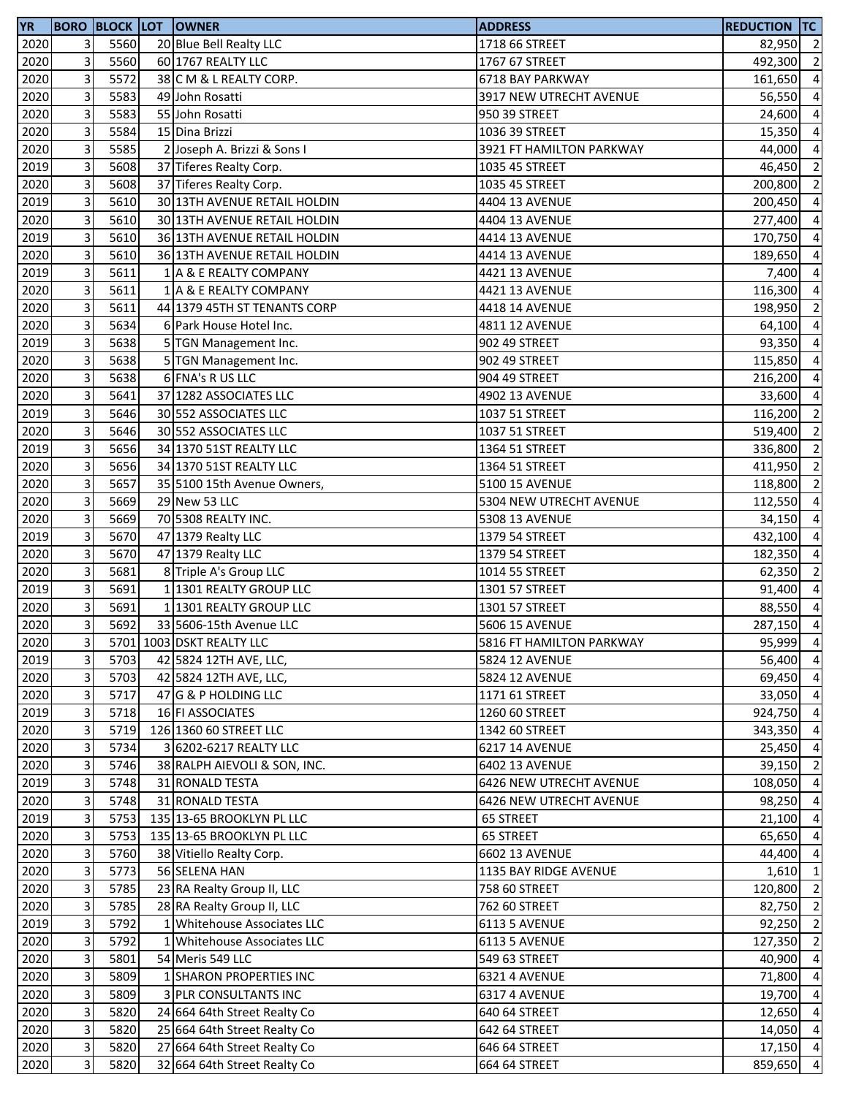| YR   |                         |      | <b>BORO BLOCK LOT OWNER</b>  | <b>ADDRESS</b>           | <b>REDUCTION TC</b> |                         |
|------|-------------------------|------|------------------------------|--------------------------|---------------------|-------------------------|
| 2020 | 3                       | 5560 | 20 Blue Bell Realty LLC      | 1718 66 STREET           | 82,950 2            |                         |
| 2020 | 3                       | 5560 | 60 1767 REALTY LLC           | 1767 67 STREET           | 492,300             | $\overline{2}$          |
| 2020 | 3                       | 5572 | 38 C M & L REALTY CORP.      | 6718 BAY PARKWAY         | 161,650             | $\overline{a}$          |
| 2020 | 3                       | 5583 | 49 John Rosatti              | 3917 NEW UTRECHT AVENUE  | 56,550              | $\overline{a}$          |
| 2020 | 3                       | 5583 | 55 John Rosatti              | 950 39 STREET            | 24,600              | $\overline{a}$          |
| 2020 | 3                       | 5584 | 15 Dina Brizzi               | 1036 39 STREET           | 15,350              | $\overline{a}$          |
| 2020 | 3                       | 5585 | 2 Joseph A. Brizzi & Sons I  | 3921 FT HAMILTON PARKWAY | 44,000              | $\overline{a}$          |
| 2019 | 3                       | 5608 | 37 Tiferes Realty Corp.      | 1035 45 STREET           | 46,450              | $\overline{2}$          |
| 2020 | 3                       | 5608 | 37 Tiferes Realty Corp.      | 1035 45 STREET           | 200,800             | $\overline{2}$          |
| 2019 | 3                       | 5610 | 30 13TH AVENUE RETAIL HOLDIN | 4404 13 AVENUE           | 200,450             | $\overline{a}$          |
| 2020 | 3                       | 5610 | 30 13TH AVENUE RETAIL HOLDIN | 4404 13 AVENUE           | 277,400             | $\overline{a}$          |
| 2019 | 3                       | 5610 | 36 13TH AVENUE RETAIL HOLDIN | 4414 13 AVENUE           | 170,750             | $\overline{a}$          |
| 2020 | 3                       | 5610 | 36 13TH AVENUE RETAIL HOLDIN | 4414 13 AVENUE           | 189,650             | $\overline{4}$          |
| 2019 | 3                       | 5611 | 1 A & E REALTY COMPANY       | 4421 13 AVENUE           | 7,400               | $\overline{4}$          |
| 2020 | 3                       | 5611 | 1 A & E REALTY COMPANY       | 4421 13 AVENUE           | 116,300             | $\overline{a}$          |
| 2020 | 3                       | 5611 | 44 1379 45TH ST TENANTS CORP | 4418 14 AVENUE           | 198,950             | $\overline{2}$          |
| 2020 | 3                       | 5634 | 6 Park House Hotel Inc.      | 4811 12 AVENUE           | 64,100              | $\overline{a}$          |
| 2019 | 3                       | 5638 | 5 TGN Management Inc.        | 902 49 STREET            | 93,350              | $\overline{a}$          |
| 2020 | 3                       | 5638 | 5 TGN Management Inc.        | 902 49 STREET            | 115,850             | $\overline{a}$          |
| 2020 | 3                       | 5638 | 6 FNA's R US LLC             | 904 49 STREET            | 216,200             | $\overline{a}$          |
| 2020 | 3                       | 5641 | 37 1282 ASSOCIATES LLC       | 4902 13 AVENUE           | 33,600              | $\overline{a}$          |
| 2019 | 3                       | 5646 | 30 552 ASSOCIATES LLC        | 1037 51 STREET           | 116,200             | $\overline{2}$          |
| 2020 | 3                       | 5646 | 30 552 ASSOCIATES LLC        | 1037 51 STREET           | 519,400             | $\overline{2}$          |
| 2019 | 3                       | 5656 | 34 1370 51ST REALTY LLC      | 1364 51 STREET           | 336,800             | $\overline{2}$          |
| 2020 | 3                       | 5656 | 34 1370 51ST REALTY LLC      | 1364 51 STREET           | 411,950             | $\overline{2}$          |
| 2020 | 3                       | 5657 | 35 5100 15th Avenue Owners,  | 5100 15 AVENUE           | 118,800             | $\overline{2}$          |
| 2020 | 3                       | 5669 | 29 New 53 LLC                | 5304 NEW UTRECHT AVENUE  | 112,550             | $\overline{a}$          |
| 2020 | 3                       | 5669 | 70 5308 REALTY INC.          | 5308 13 AVENUE           | 34,150              | $\overline{a}$          |
| 2019 | 3                       | 5670 | 47 1379 Realty LLC           | 1379 54 STREET           | 432,100             | $\overline{a}$          |
| 2020 | 3                       | 5670 | 47 1379 Realty LLC           | 1379 54 STREET           | 182,350 4           |                         |
| 2020 | 3                       | 5681 | 8 Triple A's Group LLC       | 1014 55 STREET           | 62,350              | $\overline{\mathbf{c}}$ |
| 2019 | 3                       | 5691 | 1 1301 REALTY GROUP LLC      | 1301 57 STREET           | 91,400              | $\overline{4}$          |
| 2020 | 3                       | 5691 | 1 1301 REALTY GROUP LLC      | 1301 57 STREET           | 88,550              | $\overline{4}$          |
| 2020 | 3                       | 5692 | 33 5606-15th Avenue LLC      | 5606 15 AVENUE           | 287,150             | $\overline{4}$          |
| 2020 | $\overline{\mathbf{3}}$ |      | 5701 1003 DSKT REALTY LLC    | 5816 FT HAMILTON PARKWAY | 95,999 4            |                         |
| 2019 | 3                       | 5703 | 42 5824 12TH AVE, LLC,       | 5824 12 AVENUE           | 56,400 4            |                         |
| 2020 | $\mathbf{3}$            | 5703 | 42 5824 12TH AVE, LLC,       | 5824 12 AVENUE           | 69,450              | $\overline{4}$          |
| 2020 | 3                       | 5717 | 47 G & P HOLDING LLC         | 1171 61 STREET           | 33,050 4            |                         |
| 2019 | 3                       | 5718 | 16 FI ASSOCIATES             | 1260 60 STREET           | 924,750 4           |                         |
| 2020 | 3                       | 5719 | 126 1360 60 STREET LLC       | 1342 60 STREET           | 343,350 4           |                         |
| 2020 | 3                       | 5734 | 3 6202-6217 REALTY LLC       | 6217 14 AVENUE           | 25,450              | $\overline{4}$          |
| 2020 | 3                       | 5746 | 38 RALPH AIEVOLI & SON, INC. | 6402 13 AVENUE           | 39,150              | $\overline{2}$          |
| 2019 | 3                       | 5748 | 31 RONALD TESTA              | 6426 NEW UTRECHT AVENUE  | 108,050             | $\overline{4}$          |
| 2020 | 3                       | 5748 | 31 RONALD TESTA              | 6426 NEW UTRECHT AVENUE  | 98,250              | $\overline{a}$          |
| 2019 | 3                       | 5753 | 135 13-65 BROOKLYN PL LLC    | 65 STREET                | 21,100              | $\overline{4}$          |
| 2020 | 3                       | 5753 | 135 13-65 BROOKLYN PL LLC    | 65 STREET                | 65,650              | $\overline{4}$          |
| 2020 | 3                       | 5760 | 38 Vitiello Realty Corp.     | 6602 13 AVENUE           | 44,400              | $\overline{4}$          |
| 2020 | 3                       | 5773 | 56 SELENA HAN                | 1135 BAY RIDGE AVENUE    | 1,610               | $\mathbf{1}$            |
| 2020 | 3                       | 5785 | 23 RA Realty Group II, LLC   | 758 60 STREET            | 120,800 2           |                         |
| 2020 | 3                       | 5785 | 28 RA Realty Group II, LLC   | 762 60 STREET            | 82,750              | $\overline{2}$          |
| 2019 | 3                       | 5792 | 1 Whitehouse Associates LLC  | <b>6113 5 AVENUE</b>     | 92,250              | $\overline{2}$          |
| 2020 | 3                       | 5792 | 1 Whitehouse Associates LLC  | <b>6113 5 AVENUE</b>     | 127,350             | $\overline{2}$          |
| 2020 | 3                       | 5801 | 54 Meris 549 LLC             | 549 63 STREET            | 40,900              | $\overline{4}$          |
| 2020 | 3                       | 5809 | 1 SHARON PROPERTIES INC      | 6321 4 AVENUE            | 71,800              | $\overline{a}$          |
| 2020 | 3                       | 5809 | <b>3 PLR CONSULTANTS INC</b> | 6317 4 AVENUE            | 19,700              | $\overline{4}$          |
| 2020 | 3                       | 5820 | 24 664 64th Street Realty Co | 640 64 STREET            | 12,650              | $\overline{4}$          |
| 2020 | 3                       | 5820 | 25 664 64th Street Realty Co | 642 64 STREET            | 14,050 4            |                         |
| 2020 | $\mathbf{3}$            | 5820 | 27 664 64th Street Realty Co | 646 64 STREET            | 17,150 4            |                         |
| 2020 | 3                       | 5820 | 32 664 64th Street Realty Co | 664 64 STREET            | 859,650 4           |                         |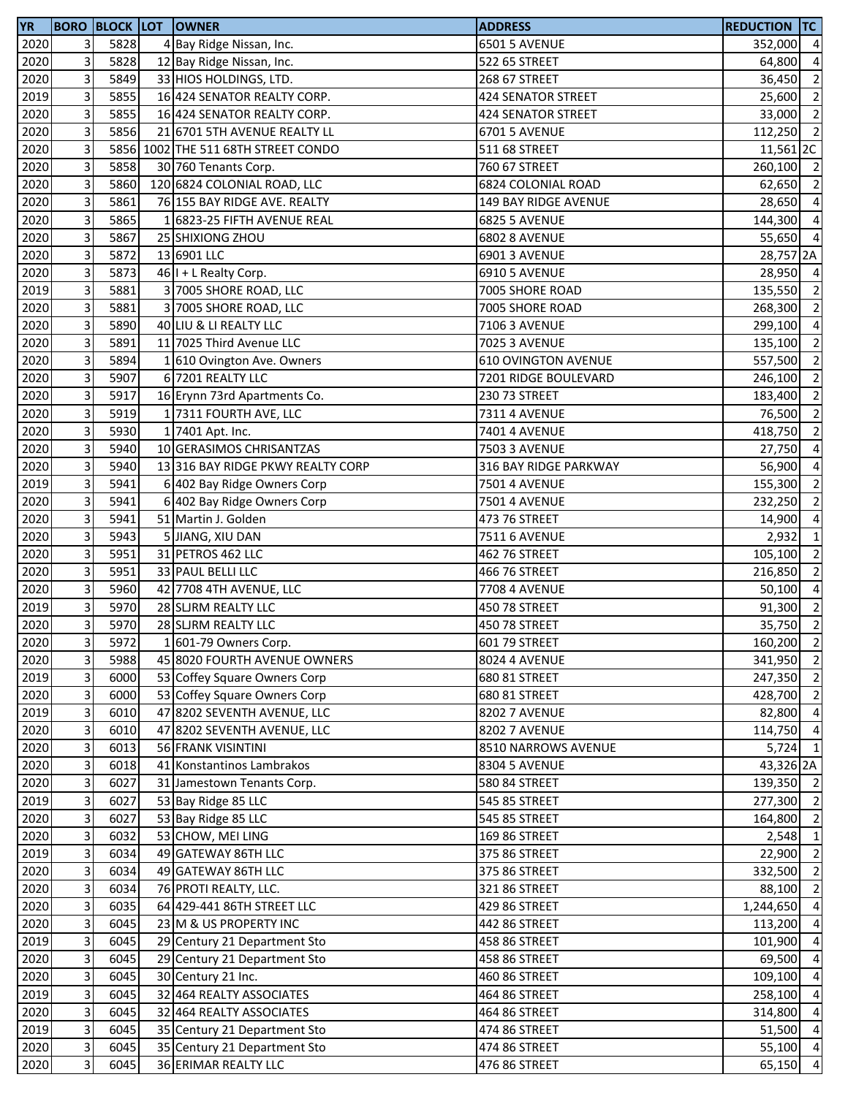| <b>YR</b> |                           |      | <b>BORO BLOCK LOT OWNER</b>         | <b>ADDRESS</b>             | <b>REDUCTION TC</b> |                |
|-----------|---------------------------|------|-------------------------------------|----------------------------|---------------------|----------------|
| 2020      | 3 <sup>1</sup>            | 5828 | 4 Bay Ridge Nissan, Inc.            | <b>6501 5 AVENUE</b>       | 352,000 4           |                |
| 2020      | 3                         | 5828 | 12 Bay Ridge Nissan, Inc.           | 522 65 STREET              | 64,800              | $\overline{4}$ |
| 2020      | $\overline{\mathbf{3}}$   | 5849 | 33 HIOS HOLDINGS, LTD.              | 268 67 STREET              | 36,450              | $\overline{2}$ |
| 2019      | 3                         | 5855 | 16 424 SENATOR REALTY CORP.         | <b>424 SENATOR STREET</b>  | 25,600 2            |                |
| 2020      | 3                         | 5855 | 16 424 SENATOR REALTY CORP.         | 424 SENATOR STREET         | 33,000 2            |                |
| 2020      | $\mathbf{3}$              | 5856 | 21 6701 5TH AVENUE REALTY LL        | 6701 5 AVENUE              | 112,250 2           |                |
| 2020      | 3                         |      | 5856 1002 THE 511 68TH STREET CONDO | 511 68 STREET              | 11,561 2C           |                |
| 2020      | 3                         | 5858 | 30 760 Tenants Corp.                | 760 67 STREET              | 260,100 2           |                |
| 2020      | 3                         | 5860 | 120 6824 COLONIAL ROAD, LLC         | <b>6824 COLONIAL ROAD</b>  | 62,650              | $\overline{2}$ |
| 2020      | 3                         | 5861 | 76 155 BAY RIDGE AVE. REALTY        | 149 BAY RIDGE AVENUE       | 28,650              | $\overline{4}$ |
| 2020      | 3                         | 5865 | 16823-25 FIFTH AVENUE REAL          | <b>6825 5 AVENUE</b>       | 144,300             | $\overline{4}$ |
| 2020      | 3                         | 5867 | 25 SHIXIONG ZHOU                    | <b>6802 8 AVENUE</b>       | 55,650              | $\overline{4}$ |
| 2020      | $\mathbf{3}$              | 5872 | 13 6901 LLC                         | <b>6901 3 AVENUE</b>       | 28,757 2A           |                |
| 2020      | $\overline{3}$            | 5873 | 46 I + L Realty Corp.               | 6910 5 AVENUE              | 28,950 4            |                |
| 2019      | 3                         | 5881 | 3 7005 SHORE ROAD, LLC              | 7005 SHORE ROAD            | 135,550             | $\overline{2}$ |
| 2020      | $\overline{\mathbf{3}}$   | 5881 | 3 7005 SHORE ROAD, LLC              | 7005 SHORE ROAD            | 268,300             | $\overline{2}$ |
| 2020      | 3                         | 5890 | 40 LIU & LI REALTY LLC              | 7106 3 AVENUE              | 299,100             | $\overline{4}$ |
| 2020      | $\overline{3}$            | 5891 | 11 7025 Third Avenue LLC            | <b>7025 3 AVENUE</b>       | 135,100             | $\overline{2}$ |
| 2020      | 3                         | 5894 | 1 610 Ovington Ave. Owners          | <b>610 OVINGTON AVENUE</b> | 557,500             | $\overline{2}$ |
| 2020      | 3                         | 5907 | 6 7201 REALTY LLC                   | 7201 RIDGE BOULEVARD       | 246,100             | $\overline{2}$ |
| 2020      | 3                         | 5917 | 16 Erynn 73rd Apartments Co.        | 230 73 STREET              | 183,400             | $\overline{2}$ |
| 2020      | 3                         | 5919 | 1 7311 FOURTH AVE, LLC              | <b>7311 4 AVENUE</b>       | 76,500 2            |                |
| 2020      | 3                         | 5930 | 1 7401 Apt. Inc.                    | 7401 4 AVENUE              | 418,750             | $\overline{2}$ |
| 2020      | $\mathbf{3}$              | 5940 | 10 GERASIMOS CHRISANTZAS            | 7503 3 AVENUE              | 27,750              | $\overline{4}$ |
| 2020      | 3                         | 5940 | 13 316 BAY RIDGE PKWY REALTY CORP   | 316 BAY RIDGE PARKWAY      | 56,900              | $\overline{4}$ |
| 2019      | 3                         | 5941 | 6 402 Bay Ridge Owners Corp         | <b>7501 4 AVENUE</b>       | 155,300             | $\overline{2}$ |
| 2020      | 3                         | 5941 | 6 402 Bay Ridge Owners Corp         | <b>7501 4 AVENUE</b>       | 232,250             | $\overline{2}$ |
| 2020      | $\mathbf{3}$              | 5941 | 51 Martin J. Golden                 | 473 76 STREET              | 14,900              | $\overline{4}$ |
| 2020      | $\mathbf{3}$              | 5943 | 5 JIANG, XIU DAN                    | 7511 6 AVENUE              | 2,932               | $\mathbf{1}$   |
| 2020      | $\overline{3}$            | 5951 | 31 PETROS 462 LLC                   | 462 76 STREET              | 105,100 2           |                |
| 2020      | 3                         | 5951 | 33 PAUL BELLI LLC                   | 466 76 STREET              | 216,850             | $\overline{2}$ |
| 2020      | $\mathbf{3}$              | 5960 | 42 7708 4TH AVENUE, LLC             | <b>7708 4 AVENUE</b>       | 50,100 4            |                |
| 2019      | 3                         | 5970 | 28 SLJRM REALTY LLC                 | 450 78 STREET              | 91,300 2            |                |
| 2020      | 3                         | 5970 | 28 SLJRM REALTY LLC                 | 450 78 STREET              | 35,750              | $\overline{2}$ |
| 2020      | 3 <sup>1</sup>            | 5972 | 1 601-79 Owners Corp.               | 601 79 STREET              | 160,200 2           |                |
| 2020      | 3                         | 5988 | 45 8020 FOURTH AVENUE OWNERS        | <b>8024 4 AVENUE</b>       | 341,950 2           |                |
| 2019      | $\mathbf{3}$              | 6000 | 53 Coffey Square Owners Corp        | 680 81 STREET              | 247,350             | $\overline{2}$ |
| 2020      | $\mathbf{3}$              | 6000 | 53 Coffey Square Owners Corp        | 680 81 STREET              | 428,700 2           |                |
| 2019      | $\overline{3}$            | 6010 | 47 8202 SEVENTH AVENUE, LLC         | 8202 7 AVENUE              | 82,800 4            |                |
| 2020      | $\ensuremath{\mathsf{3}}$ | 6010 | 47 8202 SEVENTH AVENUE, LLC         | 8202 7 AVENUE              | 114,750 4           |                |
| 2020      | 3                         | 6013 | 56 FRANK VISINTINI                  | 8510 NARROWS AVENUE        | $5,724$ 1           |                |
| 2020      | 3                         | 6018 | 41 Konstantinos Lambrakos           | 8304 5 AVENUE              | 43,326 2A           |                |
| 2020      | 3                         | 6027 | 31 Jamestown Tenants Corp.          | 580 84 STREET              | 139,350 2           |                |
| 2019      | 3                         | 6027 | 53 Bay Ridge 85 LLC                 | 545 85 STREET              | 277,300 2           |                |
| 2020      | 3                         | 6027 | 53 Bay Ridge 85 LLC                 | 545 85 STREET              | 164,800             | $\overline{2}$ |
| 2020      | 3                         | 6032 | 53 CHOW, MEI LING                   | 169 86 STREET              | 2,548               | $\mathbf{1}$   |
| 2019      | 3                         | 6034 | 49 GATEWAY 86TH LLC                 | 375 86 STREET              | $22,900$ 2          |                |
| 2020      | $\mathbf{3}$              | 6034 | 49 GATEWAY 86TH LLC                 | 375 86 STREET              | 332,500             | $\overline{2}$ |
| 2020      | $\mathbf{3}$              | 6034 | 76 PROTI REALTY, LLC.               | 321 86 STREET              | 88,100              | $\overline{2}$ |
| 2020      | 3                         | 6035 | 64 429-441 86TH STREET LLC          | 429 86 STREET              | 1,244,650           | $\overline{4}$ |
| 2020      | $\mathbf{3}$              | 6045 | 23 M & US PROPERTY INC              | 442 86 STREET              | 113,200             | $\overline{4}$ |
| 2019      | 3                         | 6045 | 29 Century 21 Department Sto        | 458 86 STREET              | 101,900             | $\overline{4}$ |
| 2020      | $\mathbf{3}$              | 6045 | 29 Century 21 Department Sto        | 458 86 STREET              | 69,500              | $\overline{4}$ |
| 2020      | 3                         | 6045 | 30 Century 21 Inc.                  | 460 86 STREET              | 109,100             | $\overline{4}$ |
| 2019      | $\overline{3}$            | 6045 | 32 464 REALTY ASSOCIATES            | 464 86 STREET              | 258,100             | $\overline{4}$ |
| 2020      | $\mathbf{3}$              | 6045 | 32 464 REALTY ASSOCIATES            | 464 86 STREET              | 314,800             | $\overline{4}$ |
| 2019      | $\mathbf{3}$              | 6045 | 35 Century 21 Department Sto        | 474 86 STREET              | 51,500              | $\overline{4}$ |
| 2020      | $\overline{3}$            | 6045 | 35 Century 21 Department Sto        | 474 86 STREET              | 55,100 4            |                |
| 2020      | $\mathbf{3}$              | 6045 | 36 ERIMAR REALTY LLC                | 476 86 STREET              | 65,150 4            |                |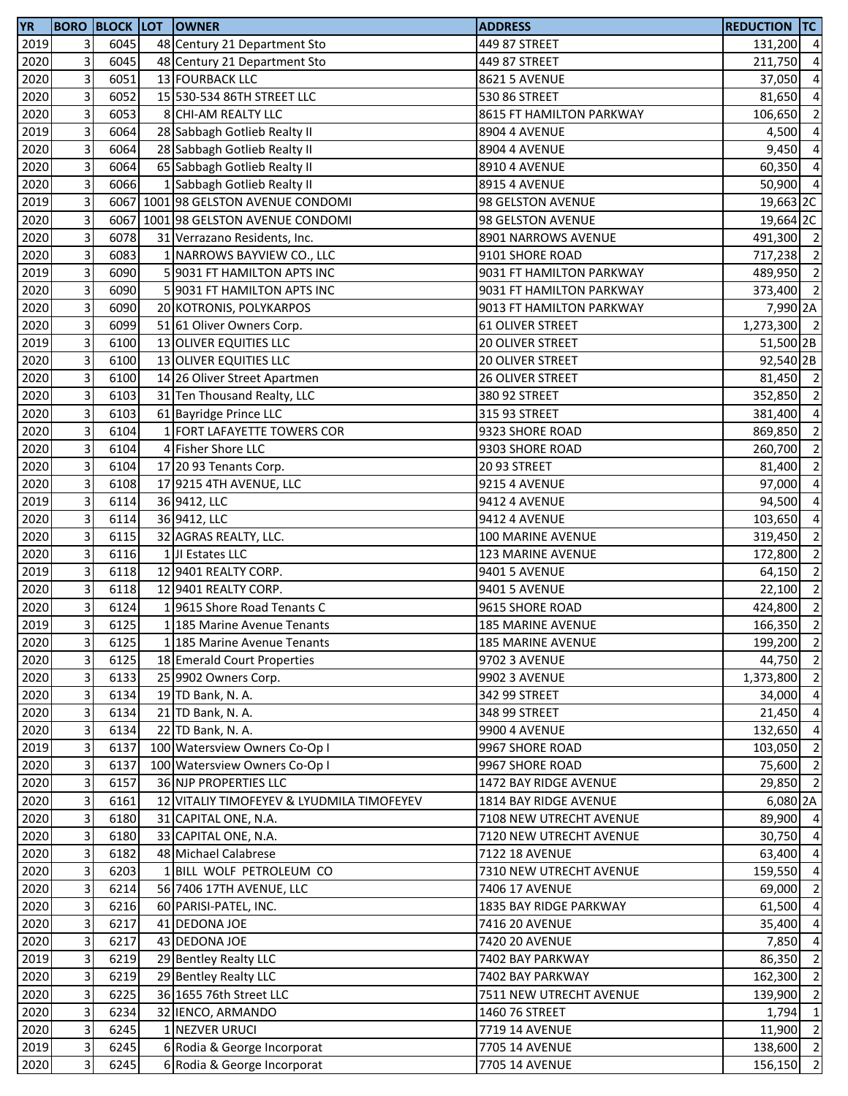| <b>YR</b> |                           |      | <b>BORO BLOCK LOT OWNER</b>               | <b>ADDRESS</b>           | <b>REDUCTION TC</b> |                |
|-----------|---------------------------|------|-------------------------------------------|--------------------------|---------------------|----------------|
| 2019      | 3                         | 6045 | 48 Century 21 Department Sto              | 449 87 STREET            | 131,200 4           |                |
| 2020      | 3                         | 6045 | 48 Century 21 Department Sto              | 449 87 STREET            | 211,750             | $\overline{4}$ |
| 2020      | 3                         | 6051 | 13 FOURBACK LLC                           | <b>8621 5 AVENUE</b>     | 37,050              | $\overline{4}$ |
| 2020      | 3                         | 6052 | 15 530-534 86TH STREET LLC                | 530 86 STREET            | 81,650              | $\overline{4}$ |
| 2020      | 3                         | 6053 | 8 CHI-AM REALTY LLC                       | 8615 FT HAMILTON PARKWAY | 106,650             | $\overline{2}$ |
| 2019      | 3                         | 6064 | 28 Sabbagh Gotlieb Realty II              | 8904 4 AVENUE            | 4,500               | $\overline{4}$ |
| 2020      | 3                         | 6064 | 28 Sabbagh Gotlieb Realty II              | 8904 4 AVENUE            | 9,450               | $\overline{4}$ |
| 2020      | 3                         | 6064 | 65 Sabbagh Gotlieb Realty II              | 8910 4 AVENUE            | 60,350              | $\overline{4}$ |
| 2020      | 3                         | 6066 | 1 Sabbagh Gotlieb Realty II               | 8915 4 AVENUE            | 50,900              | $\overline{4}$ |
| 2019      | 3                         |      | 6067 1001 98 GELSTON AVENUE CONDOMI       | 98 GELSTON AVENUE        | 19,663 2C           |                |
| 2020      | 3                         |      | 6067 1001 98 GELSTON AVENUE CONDOMI       | 98 GELSTON AVENUE        | 19,664 2C           |                |
| 2020      | 3                         | 6078 | 31 Verrazano Residents, Inc.              | 8901 NARROWS AVENUE      | 491,300 2           |                |
| 2020      | 3                         | 6083 | 1 NARROWS BAYVIEW CO., LLC                | 9101 SHORE ROAD          | 717,238 2           |                |
| 2019      | 3                         | 6090 | 5 9031 FT HAMILTON APTS INC               | 9031 FT HAMILTON PARKWAY | 489,950 2           |                |
| 2020      | 3                         | 6090 | 5 9031 FT HAMILTON APTS INC               | 9031 FT HAMILTON PARKWAY | 373,400 2           |                |
| 2020      | 3                         | 6090 | 20 KOTRONIS, POLYKARPOS                   | 9013 FT HAMILTON PARKWAY | 7,990 2A            |                |
| 2020      | 3                         | 6099 | 51 61 Oliver Owners Corp.                 | 61 OLIVER STREET         | 1,273,300 2         |                |
| 2019      | 3                         | 6100 | 13 OLIVER EQUITIES LLC                    | 20 OLIVER STREET         | 51,500 2B           |                |
|           | 3                         | 6100 | 13 OLIVER EQUITIES LLC                    |                          |                     |                |
| 2020      |                           |      |                                           | 20 OLIVER STREET         | 92,540 2B           |                |
| 2020      | 3<br>3                    | 6100 | 14 26 Oliver Street Apartmen              | 26 OLIVER STREET         | 81,450 2            |                |
| 2020      |                           | 6103 | 31 Ten Thousand Realty, LLC               | 380 92 STREET            | 352,850 2           |                |
| 2020      | 3                         | 6103 | 61 Bayridge Prince LLC                    | 315 93 STREET            | 381,400 4           |                |
| 2020      | 3                         | 6104 | 1 FORT LAFAYETTE TOWERS COR               | 9323 SHORE ROAD          | 869,850             | $\overline{2}$ |
| 2020      | 3                         | 6104 | 4 Fisher Shore LLC                        | 9303 SHORE ROAD          | 260,700             | $\overline{2}$ |
| 2020      | 3                         | 6104 | 17 20 93 Tenants Corp.                    | 20 93 STREET             | 81,400              | $\overline{2}$ |
| 2020      | 3                         | 6108 | 17 9215 4TH AVENUE, LLC                   | <b>9215 4 AVENUE</b>     | 97,000              | $\overline{a}$ |
| 2019      | 3                         | 6114 | 36 9412, LLC                              | 9412 4 AVENUE            | 94,500              | $\overline{4}$ |
| 2020      | 3                         | 6114 | 36 9412, LLC                              | 9412 4 AVENUE            | 103,650             | $\overline{a}$ |
| 2020      | 3                         | 6115 | 32 AGRAS REALTY, LLC.                     | 100 MARINE AVENUE        | 319,450             | $\overline{2}$ |
| 2020      | 3                         | 6116 | 1 JI Estates LLC                          | <b>123 MARINE AVENUE</b> | 172,800             | $\overline{2}$ |
| 2019      | 3                         | 6118 | 12 9401 REALTY CORP.                      | 9401 5 AVENUE            | 64,150              | $\overline{2}$ |
| 2020      | 3                         | 6118 | 12 9401 REALTY CORP.                      | 9401 5 AVENUE            | 22,100              | $\overline{2}$ |
| 2020      | 3                         | 6124 | 19615 Shore Road Tenants C                | 9615 SHORE ROAD          | 424,800             | $\overline{2}$ |
| 2019      | 3                         | 6125 | 1 185 Marine Avenue Tenants               | <b>185 MARINE AVENUE</b> | 166,350             | $\overline{2}$ |
| 2020      | $\overline{\mathbf{3}}$   | 6125 | 1 185 Marine Avenue Tenants               | <b>185 MARINE AVENUE</b> | 199,200 2           |                |
| 2020      | 3                         | 6125 | 18 Emerald Court Properties               | 9702 3 AVENUE            | 44,750 2            |                |
| 2020      | 3                         | 6133 | 25 9902 Owners Corp.                      | 9902 3 AVENUE            | 1,373,800 2         |                |
| 2020      | 3                         | 6134 | 19 TD Bank, N. A.                         | 342 99 STREET            | 34,000 4            |                |
| 2020      | 3                         | 6134 | 21 TD Bank, N. A.                         | 348 99 STREET            | 21,450 4            |                |
| 2020      | 3                         | 6134 | 22 TD Bank, N. A.                         | 9900 4 AVENUE            | 132,650 4           |                |
| 2019      | 3                         | 6137 | 100 Watersview Owners Co-Op I             | 9967 SHORE ROAD          | 103,050             | $\overline{2}$ |
| 2020      | 3                         | 6137 | 100 Watersview Owners Co-Op I             | 9967 SHORE ROAD          | 75,600              | $\overline{2}$ |
| 2020      | 3                         | 6157 | 36 NJP PROPERTIES LLC                     | 1472 BAY RIDGE AVENUE    | 29,850 2            |                |
| 2020      | 3                         | 6161 | 12 VITALIY TIMOFEYEV & LYUDMILA TIMOFEYEV | 1814 BAY RIDGE AVENUE    | 6,080 2A            |                |
| 2020      | 3                         | 6180 | 31 CAPITAL ONE, N.A.                      | 7108 NEW UTRECHT AVENUE  | 89,900 4            |                |
| 2020      | 3                         | 6180 | 33 CAPITAL ONE, N.A.                      | 7120 NEW UTRECHT AVENUE  | 30,750 4            |                |
| 2020      | 3                         | 6182 | 48 Michael Calabrese                      | 7122 18 AVENUE           | 63,400 4            |                |
| 2020      | 3                         | 6203 | 1 BILL WOLF PETROLEUM CO                  | 7310 NEW UTRECHT AVENUE  | 159,550             | $\overline{4}$ |
| 2020      | 3                         | 6214 | 56 7406 17TH AVENUE, LLC                  | 7406 17 AVENUE           | 69,000              | $\overline{2}$ |
| 2020      | 3                         | 6216 | 60 PARISI-PATEL, INC.                     | 1835 BAY RIDGE PARKWAY   | 61,500              | $\overline{4}$ |
| 2020      | 3                         | 6217 | 41 DEDONA JOE                             | 7416 20 AVENUE           | 35,400              | $\overline{4}$ |
| 2020      | 3                         | 6217 | 43 DEDONA JOE                             | 7420 20 AVENUE           | 7,850               | $\overline{4}$ |
| 2019      | 3                         | 6219 | 29 Bentley Realty LLC                     | 7402 BAY PARKWAY         | 86,350              | $\overline{2}$ |
| 2020      | 3                         | 6219 | 29 Bentley Realty LLC                     | 7402 BAY PARKWAY         | 162,300             | $\overline{2}$ |
|           | 3                         |      |                                           |                          |                     | $\overline{2}$ |
| 2020      |                           | 6225 | 36 1655 76th Street LLC                   | 7511 NEW UTRECHT AVENUE  | 139,900             |                |
| 2020      | 3                         | 6234 | 32 IENCO, ARMANDO                         | 1460 76 STREET           | 1,794               | $\mathbf{1}$   |
| 2020      | 3                         | 6245 | 1 NEZVER URUCI                            | 7719 14 AVENUE           | 11,900              | $\overline{2}$ |
| 2019      | $\ensuremath{\mathsf{3}}$ | 6245 | 6 Rodia & George Incorporat               | 7705 14 AVENUE           | 138,600 2           |                |
| 2020      | 3                         | 6245 | 6 Rodia & George Incorporat               | 7705 14 AVENUE           | $156, 150$ 2        |                |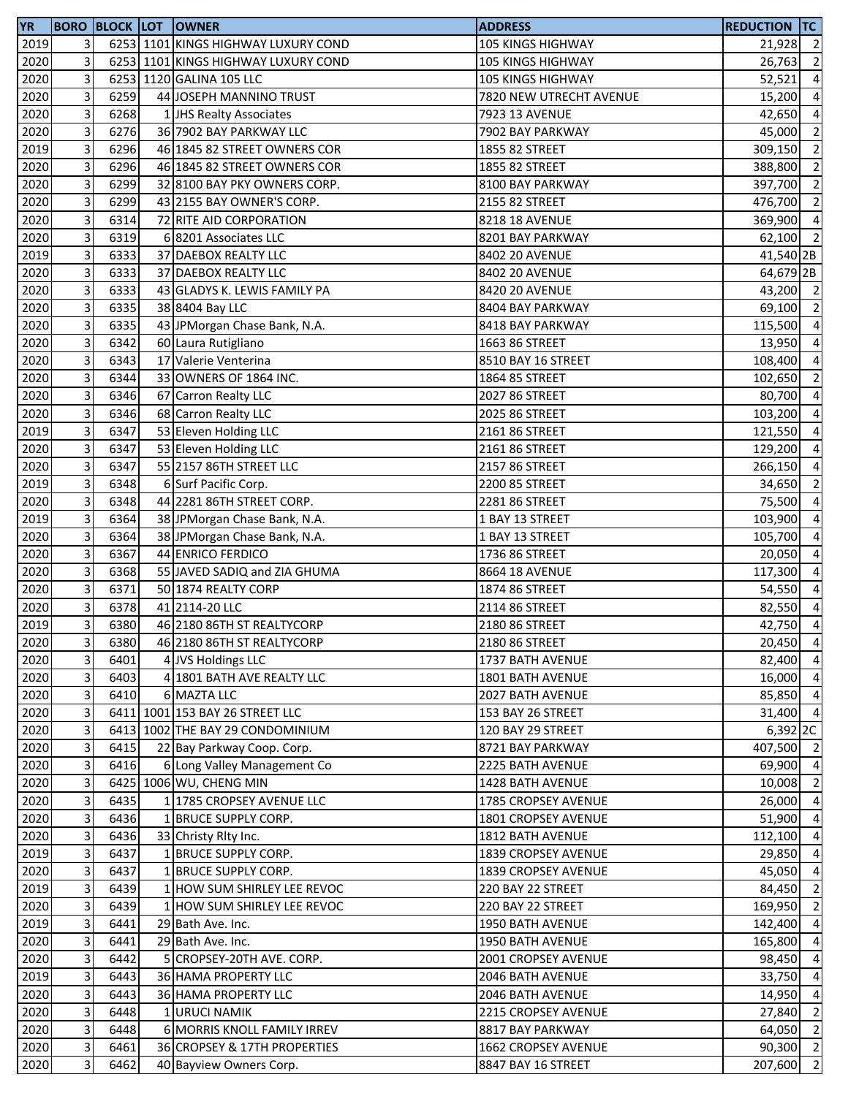| <b>YR</b> |                         |      | <b>BORO BLOCK LOT OWNER</b>         | <b>ADDRESS</b>           | <b>REDUCTION TC</b> |                |
|-----------|-------------------------|------|-------------------------------------|--------------------------|---------------------|----------------|
| 2019      | $\overline{3}$          |      | 6253 1101 KINGS HIGHWAY LUXURY COND | <b>105 KINGS HIGHWAY</b> | 21,928 2            |                |
| 2020      | 3                       |      | 6253 1101 KINGS HIGHWAY LUXURY COND | 105 KINGS HIGHWAY        | 26,763 2            |                |
| 2020      | 3                       |      | 6253 1120 GALINA 105 LLC            | 105 KINGS HIGHWAY        | 52,521              | $\overline{a}$ |
| 2020      | 3                       | 6259 | 44 JOSEPH MANNINO TRUST             | 7820 NEW UTRECHT AVENUE  | 15,200 4            |                |
| 2020      | 3                       | 6268 | 1 JHS Realty Associates             | 7923 13 AVENUE           | 42,650              | $\overline{4}$ |
| 2020      | 3                       | 6276 | 36 7902 BAY PARKWAY LLC             | 7902 BAY PARKWAY         | 45,000 2            |                |
| 2019      | 3                       | 6296 | 46 1845 82 STREET OWNERS COR        | 1855 82 STREET           | 309,150             | $\overline{2}$ |
| 2020      | 3                       | 6296 | 46 1845 82 STREET OWNERS COR        | 1855 82 STREET           | 388,800             | $\overline{2}$ |
| 2020      | 3                       | 6299 | 32 8100 BAY PKY OWNERS CORP.        | 8100 BAY PARKWAY         | 397,700             | $\overline{2}$ |
| 2020      | 3                       | 6299 | 43 2155 BAY OWNER'S CORP.           | 2155 82 STREET           | 476,700             | $\overline{2}$ |
| 2020      | 3                       | 6314 | 72 RITE AID CORPORATION             | 8218 18 AVENUE           | 369,900             | $\overline{4}$ |
|           | 3                       | 6319 | 6 8201 Associates LLC               | 8201 BAY PARKWAY         | 62,100 2            |                |
| 2020      | 3                       |      |                                     |                          |                     |                |
| 2019      |                         | 6333 | 37 DAEBOX REALTY LLC                | 8402 20 AVENUE           | 41,540 2B           |                |
| 2020      | 3                       | 6333 | 37 DAEBOX REALTY LLC                | 8402 20 AVENUE           | 64,679 2B           |                |
| 2020      | 3                       | 6333 | 43 GLADYS K. LEWIS FAMILY PA        | 8420 20 AVENUE           | 43,200 2            |                |
| 2020      | 3                       | 6335 | 38 8404 Bay LLC                     | 8404 BAY PARKWAY         | 69,100 2            |                |
| 2020      | 3                       | 6335 | 43 JPMorgan Chase Bank, N.A.        | 8418 BAY PARKWAY         | 115,500             | $\overline{4}$ |
| 2020      | 3                       | 6342 | 60 Laura Rutigliano                 | 1663 86 STREET           | 13,950              | $\overline{a}$ |
| 2020      | 3                       | 6343 | 17 Valerie Venterina                | 8510 BAY 16 STREET       | 108,400             | $\overline{a}$ |
| 2020      | 3                       | 6344 | 33 OWNERS OF 1864 INC.              | 1864 85 STREET           | 102,650 2           |                |
| 2020      | 3                       | 6346 | 67 Carron Realty LLC                | 2027 86 STREET           | 80,700 4            |                |
| 2020      | 3                       | 6346 | 68 Carron Realty LLC                | 2025 86 STREET           | 103,200 4           |                |
| 2019      | 3                       | 6347 | 53 Eleven Holding LLC               | 2161 86 STREET           | 121,550             | $\overline{4}$ |
| 2020      | 3                       | 6347 | 53 Eleven Holding LLC               | 2161 86 STREET           | 129,200             | $\overline{a}$ |
| 2020      | 3                       | 6347 | 55 2157 86TH STREET LLC             | 2157 86 STREET           | 266,150             | $\overline{a}$ |
| 2019      | 3                       | 6348 | 6 Surf Pacific Corp.                | 2200 85 STREET           | 34,650              | $\overline{2}$ |
| 2020      | 3                       | 6348 | 44 2281 86TH STREET CORP.           | 2281 86 STREET           | 75,500              | $\overline{a}$ |
| 2019      | 3                       | 6364 | 38 JPMorgan Chase Bank, N.A.        | 1 BAY 13 STREET          | 103,900             | $\overline{a}$ |
| 2020      | 3                       | 6364 | 38 JPMorgan Chase Bank, N.A.        | 1 BAY 13 STREET          | 105,700             | $\overline{a}$ |
| 2020      | 3                       | 6367 | 44 ENRICO FERDICO                   | 1736 86 STREET           | 20,050              | $\overline{a}$ |
| 2020      | 3                       | 6368 | 55 JAVED SADIQ and ZIA GHUMA        | 8664 18 AVENUE           | 117,300             | $\overline{4}$ |
| 2020      | 3                       | 6371 | 50 1874 REALTY CORP                 | 1874 86 STREET           | 54,550              | $\overline{a}$ |
| 2020      | 3                       | 6378 | 41 2114-20 LLC                      | 2114 86 STREET           | 82,550 4            |                |
| 2019      | 3                       | 6380 | 46 2180 86TH ST REALTYCORP          | 2180 86 STREET           | 42,750              | $\overline{4}$ |
| 2020      | $\overline{\mathbf{3}}$ | 6380 | 46 2180 86TH ST REALTYCORP          | 2180 86 STREET           | 20,450 4            |                |
| 2020      | 3                       | 6401 |                                     | 1737 BATH AVENUE         | 82,400 4            |                |
|           |                         |      | 4 JVS Holdings LLC                  |                          |                     |                |
| 2020      | $\mathbf{3}$            | 6403 | 4 1801 BATH AVE REALTY LLC          | 1801 BATH AVENUE         | 16,000 4            |                |
| 2020      | 3                       | 6410 | 6 MAZTA LLC                         | 2027 BATH AVENUE         | 85,850 4            |                |
| 2020      | 3                       |      | 6411 1001 153 BAY 26 STREET LLC     | 153 BAY 26 STREET        | 31,400              | $\overline{4}$ |
| 2020      | 3                       |      | 6413 1002 THE BAY 29 CONDOMINIUM    | 120 BAY 29 STREET        | 6,392 2C            |                |
| 2020      | 3                       | 6415 | 22 Bay Parkway Coop. Corp.          | 8721 BAY PARKWAY         | 407,500 2           |                |
| 2020      | 3                       | 6416 | 6 Long Valley Management Co         | 2225 BATH AVENUE         | 69,900              | $\overline{4}$ |
| 2020      | 3                       |      | 6425 1006 WU, CHENG MIN             | 1428 BATH AVENUE         | 10,008              | $\overline{2}$ |
| 2020      | 3                       | 6435 | 1 1785 CROPSEY AVENUE LLC           | 1785 CROPSEY AVENUE      | 26,000              | $\overline{4}$ |
| 2020      | 3                       | 6436 | 1 BRUCE SUPPLY CORP.                | 1801 CROPSEY AVENUE      | 51,900              | $\overline{a}$ |
| 2020      | 3                       | 6436 | 33 Christy Rity Inc.                | 1812 BATH AVENUE         | 112,100 4           |                |
| 2019      | 3                       | 6437 | 1 BRUCE SUPPLY CORP.                | 1839 CROPSEY AVENUE      | 29,850              | $\overline{4}$ |
| 2020      | 3                       | 6437 | 1 BRUCE SUPPLY CORP.                | 1839 CROPSEY AVENUE      | 45,050              | $\overline{4}$ |
| 2019      | 3                       | 6439 | 1 HOW SUM SHIRLEY LEE REVOC         | 220 BAY 22 STREET        | 84,450              | $\overline{2}$ |
| 2020      | 3                       | 6439 | 1 HOW SUM SHIRLEY LEE REVOC         | 220 BAY 22 STREET        | 169,950             | $\overline{2}$ |
| 2019      | 3                       | 6441 | 29 Bath Ave. Inc.                   | 1950 BATH AVENUE         | 142,400             | $\overline{a}$ |
| 2020      | 3                       | 6441 | 29 Bath Ave. Inc.                   | 1950 BATH AVENUE         | 165,800             | $\overline{a}$ |
| 2020      | 3                       | 6442 | 5 CROPSEY-20TH AVE. CORP.           | 2001 CROPSEY AVENUE      | 98,450              | $\overline{a}$ |
| 2019      | 3                       | 6443 | 36 HAMA PROPERTY LLC                | 2046 BATH AVENUE         | 33,750 4            |                |
| 2020      | 3                       | 6443 | 36 HAMA PROPERTY LLC                | <b>2046 BATH AVENUE</b>  | 14,950 4            |                |
| 2020      | 3                       | 6448 | 1 URUCI NAMIK                       | 2215 CROPSEY AVENUE      | 27,840              | $\overline{2}$ |
| 2020      | 3                       | 6448 | 6 MORRIS KNOLL FAMILY IRREV         | 8817 BAY PARKWAY         | 64,050              | $\overline{2}$ |
| 2020      | $\mathbf{3}$            | 6461 | 36 CROPSEY & 17TH PROPERTIES        | 1662 CROPSEY AVENUE      | 90,300 2            |                |
| 2020      | 3                       | 6462 | 40 Bayview Owners Corp.             | 8847 BAY 16 STREET       | 207,600             | $\overline{2}$ |
|           |                         |      |                                     |                          |                     |                |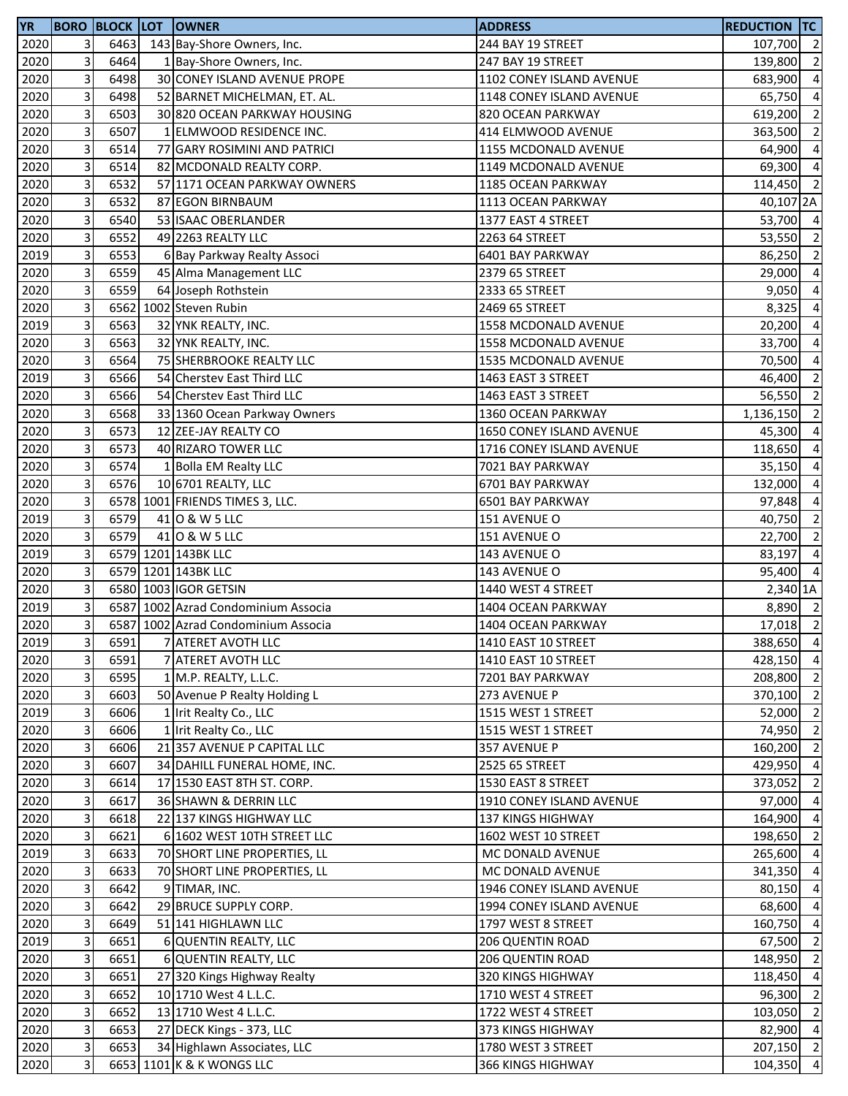| <b>YR</b> |   |      | <b>BORO BLOCK LOT OWNER</b>         | <b>ADDRESS</b>           | REDUCTION TC          |                          |
|-----------|---|------|-------------------------------------|--------------------------|-----------------------|--------------------------|
| 2020      | 3 | 6463 | 143 Bay-Shore Owners, Inc.          | 244 BAY 19 STREET        | 107,700 2             |                          |
| 2020      | 3 | 6464 | 1 Bay-Shore Owners, Inc.            | 247 BAY 19 STREET        | 139,800               | $\overline{2}$           |
| 2020      | 3 | 6498 | 30 CONEY ISLAND AVENUE PROPE        | 1102 CONEY ISLAND AVENUE | 683,900               | $\overline{4}$           |
| 2020      | 3 | 6498 | 52 BARNET MICHELMAN, ET. AL.        | 1148 CONEY ISLAND AVENUE | 65,750                | $\overline{4}$           |
| 2020      | 3 | 6503 | 30 820 OCEAN PARKWAY HOUSING        | 820 OCEAN PARKWAY        | 619,200               | $\overline{2}$           |
| 2020      | 3 | 6507 | 1 ELMWOOD RESIDENCE INC.            | 414 ELMWOOD AVENUE       | 363,500               | $\overline{2}$           |
| 2020      | 3 | 6514 | 77 GARY ROSIMINI AND PATRICI        | 1155 MCDONALD AVENUE     | 64,900                | $\overline{4}$           |
| 2020      | 3 | 6514 | 82 MCDONALD REALTY CORP.            | 1149 MCDONALD AVENUE     | 69,300                | $\overline{4}$           |
| 2020      | 3 | 6532 | 57 1171 OCEAN PARKWAY OWNERS        | 1185 OCEAN PARKWAY       | 114,450               | $\overline{2}$           |
| 2020      | 3 | 6532 | 87 EGON BIRNBAUM                    | 1113 OCEAN PARKWAY       | 40,107 <sub>2</sub> A |                          |
| 2020      | 3 | 6540 | 53 ISAAC OBERLANDER                 | 1377 EAST 4 STREET       | 53,700 4              |                          |
| 2020      | 3 | 6552 | 49 2263 REALTY LLC                  | 2263 64 STREET           | 53,550                | $\overline{2}$           |
| 2019      | 3 | 6553 | 6 Bay Parkway Realty Associ         | 6401 BAY PARKWAY         | 86,250                | $\overline{2}$           |
| 2020      | 3 | 6559 |                                     |                          |                       | $\overline{4}$           |
|           | 3 | 6559 | 45 Alma Management LLC              | 2379 65 STREET           | 29,000                |                          |
| 2020      |   |      | 64 Joseph Rothstein                 | 2333 65 STREET           | 9,050                 | $\overline{4}$           |
| 2020      | 3 |      | 6562 1002 Steven Rubin              | 2469 65 STREET           | 8,325                 | $\overline{4}$           |
| 2019      | 3 | 6563 | 32 YNK REALTY, INC.                 | 1558 MCDONALD AVENUE     | 20,200                | $\overline{4}$           |
| 2020      | 3 | 6563 | 32 YNK REALTY, INC.                 | 1558 MCDONALD AVENUE     | 33,700                | $\overline{a}$           |
| 2020      | 3 | 6564 | 75 SHERBROOKE REALTY LLC            | 1535 MCDONALD AVENUE     | 70,500                | $\overline{a}$           |
| 2019      | 3 | 6566 | 54 Cherstev East Third LLC          | 1463 EAST 3 STREET       | 46,400                | $\overline{2}$           |
| 2020      | 3 | 6566 | 54 Cherstev East Third LLC          | 1463 EAST 3 STREET       | 56,550                | $\overline{\phantom{0}}$ |
| 2020      | 3 | 6568 | 33 1360 Ocean Parkway Owners        | 1360 OCEAN PARKWAY       | 1,136,150             | $\overline{2}$           |
| 2020      | 3 | 6573 | 12 ZEE-JAY REALTY CO                | 1650 CONEY ISLAND AVENUE | 45,300                | $\overline{4}$           |
| 2020      | 3 | 6573 | 40 RIZARO TOWER LLC                 | 1716 CONEY ISLAND AVENUE | 118,650               | $\overline{4}$           |
| 2020      | 3 | 6574 | 1 Bolla EM Realty LLC               | 7021 BAY PARKWAY         | 35,150                | $\overline{4}$           |
| 2020      | 3 | 6576 | 10 6701 REALTY, LLC                 | 6701 BAY PARKWAY         | 132,000               | $\overline{4}$           |
| 2020      | 3 |      | 6578 1001 FRIENDS TIMES 3, LLC.     | 6501 BAY PARKWAY         | 97,848                | $\overline{a}$           |
| 2019      | 3 | 6579 | 41 0 & W 5 LLC                      | 151 AVENUE O             | 40,750                | $\overline{2}$           |
| 2020      | 3 | 6579 | 41 0 & W 5 LLC                      | 151 AVENUE O             | 22,700                | $\overline{2}$           |
| 2019      | 3 |      | 6579 1201 143BK LLC                 | 143 AVENUE O             | 83,197 4              |                          |
| 2020      | 3 |      | 6579 1201 143BK LLC                 | 143 AVENUE O             | 95,400                | $\overline{4}$           |
| 2020      | 3 |      | 6580 1003 IGOR GETSIN               | 1440 WEST 4 STREET       | 2,340 1A              |                          |
| 2019      | 3 |      | 6587 1002 Azrad Condominium Associa | 1404 OCEAN PARKWAY       | 8,890 2               |                          |
| 2020      | 3 |      | 6587 1002 Azrad Condominium Associa | 1404 OCEAN PARKWAY       | 17,018 2              |                          |
| 2019      | 3 | 6591 | 7 ATERET AVOTH LLC                  | 1410 EAST 10 STREET      | 388,650 4             |                          |
| 2020      | 3 | 6591 | 7 ATERET AVOTH LLC                  | 1410 EAST 10 STREET      | 428,150               | $\overline{4}$           |
| 2020      | 3 | 6595 | 1 M.P. REALTY, L.L.C.               | 7201 BAY PARKWAY         | 208,800               | $\overline{2}$           |
| 2020      | 3 | 6603 | 50 Avenue P Realty Holding L        | 273 AVENUE P             | 370,100               | $\overline{2}$           |
| 2019      | 3 | 6606 | 1 Irit Realty Co., LLC              | 1515 WEST 1 STREET       | 52,000                | $\overline{2}$           |
| 2020      | 3 | 6606 | 1 Irit Realty Co., LLC              | 1515 WEST 1 STREET       | 74,950                | $\overline{2}$           |
| 2020      | 3 | 6606 | 21 357 AVENUE P CAPITAL LLC         | 357 AVENUE P             |                       | $\overline{2}$           |
|           | 3 | 6607 | 34 DAHILL FUNERAL HOME, INC.        |                          | 160,200<br>429,950 4  |                          |
| 2020      | 3 |      |                                     | 2525 65 STREET           |                       |                          |
| 2020      |   | 6614 | 17 1530 EAST 8TH ST. CORP.          | 1530 EAST 8 STREET       | 373,052               | $\overline{2}$           |
| 2020      | 3 | 6617 | 36 SHAWN & DERRIN LLC               | 1910 CONEY ISLAND AVENUE | 97,000                | $\overline{4}$           |
| 2020      | 3 | 6618 | 22 137 KINGS HIGHWAY LLC            | 137 KINGS HIGHWAY        | 164,900               | $\overline{4}$           |
| 2020      | 3 | 6621 | 6 1602 WEST 10TH STREET LLC         | 1602 WEST 10 STREET      | 198,650               | $\overline{2}$           |
| 2019      | 3 | 6633 | 70 SHORT LINE PROPERTIES, LL        | MC DONALD AVENUE         | 265,600 4             |                          |
| 2020      | 3 | 6633 | 70 SHORT LINE PROPERTIES, LL        | MC DONALD AVENUE         | 341,350 4             |                          |
| 2020      | 3 | 6642 | 9 TIMAR, INC.                       | 1946 CONEY ISLAND AVENUE | 80,150 4              |                          |
| 2020      | 3 | 6642 | 29 BRUCE SUPPLY CORP.               | 1994 CONEY ISLAND AVENUE | 68,600                | $\overline{4}$           |
| 2020      | 3 | 6649 | 51 141 HIGHLAWN LLC                 | 1797 WEST 8 STREET       | 160,750 4             |                          |
| 2019      | 3 | 6651 | 6 QUENTIN REALTY, LLC               | 206 QUENTIN ROAD         | 67,500                | $\overline{2}$           |
| 2020      | 3 | 6651 | 6 QUENTIN REALTY, LLC               | <b>206 QUENTIN ROAD</b>  | 148,950               | $\overline{2}$           |
| 2020      | 3 | 6651 | 27 320 Kings Highway Realty         | 320 KINGS HIGHWAY        | 118,450               | $\overline{4}$           |
| 2020      | 3 | 6652 | 10 1710 West 4 L.L.C.               | 1710 WEST 4 STREET       | 96,300                | $\overline{2}$           |
| 2020      | 3 | 6652 | 13 1710 West 4 L.L.C.               | 1722 WEST 4 STREET       | 103,050               | $\overline{\phantom{a}}$ |
| 2020      | 3 | 6653 | 27 DECK Kings - 373, LLC            | 373 KINGS HIGHWAY        | 82,900 4              |                          |
| 2020      | 3 | 6653 | 34 Highlawn Associates, LLC         | 1780 WEST 3 STREET       | 207,150 2             |                          |
| 2020      | 3 |      | 6653 1101 K & K WONGS LLC           | 366 KINGS HIGHWAY        | 104,350 4             |                          |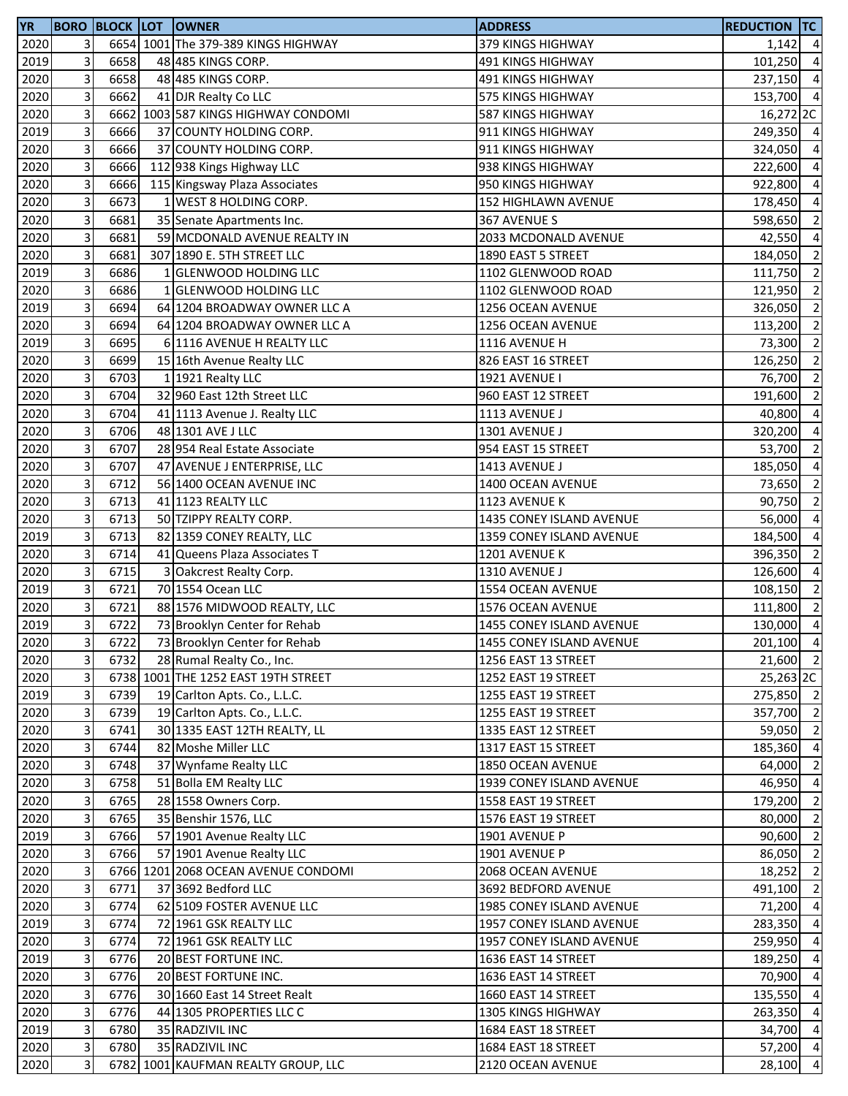| <b>YR</b>    |                           |              | <b>BORO BLOCK LOT OWNER</b>                              | <b>ADDRESS</b>                                       | <b>REDUCTION TC</b> |                                  |
|--------------|---------------------------|--------------|----------------------------------------------------------|------------------------------------------------------|---------------------|----------------------------------|
| 2020         | 3                         |              | 6654 1001 The 379-389 KINGS HIGHWAY                      | 379 KINGS HIGHWAY                                    | $1,142$ 4           |                                  |
| 2019         | 3                         | 6658         | 48 485 KINGS CORP.                                       | 491 KINGS HIGHWAY                                    | 101,250 4           |                                  |
| 2020         | 3                         | 6658         | 48 485 KINGS CORP.                                       | 491 KINGS HIGHWAY                                    | 237,150             | $\overline{4}$                   |
| 2020         | 3                         | 6662         | 41 DJR Realty Co LLC                                     | 575 KINGS HIGHWAY                                    | 153,700 4           |                                  |
| 2020         | 3                         |              | 6662 1003 587 KINGS HIGHWAY CONDOMI                      | 587 KINGS HIGHWAY                                    | 16,272 2C           |                                  |
| 2019         | 3                         | 6666         | 37 COUNTY HOLDING CORP.                                  | 911 KINGS HIGHWAY                                    | 249,350 4           |                                  |
| 2020         | 3                         | 6666         | 37 COUNTY HOLDING CORP.                                  | 911 KINGS HIGHWAY                                    | 324,050             | $\overline{4}$                   |
| 2020         | 3                         | 6666         | 112 938 Kings Highway LLC                                | 938 KINGS HIGHWAY                                    | 222,600 4           |                                  |
| 2020         | 3                         | 6666         | 115 Kingsway Plaza Associates                            | 950 KINGS HIGHWAY                                    | 922,800             | $\overline{a}$                   |
| 2020         | 3                         | 6673         | 1 WEST 8 HOLDING CORP.                                   | 152 HIGHLAWN AVENUE                                  | 178,450             | $\overline{4}$                   |
| 2020         | 3                         | 6681         | 35 Senate Apartments Inc.                                | 367 AVENUE S                                         | 598,650             | $\overline{2}$                   |
| 2020         | 3                         | 6681         | 59 MCDONALD AVENUE REALTY IN                             | 2033 MCDONALD AVENUE                                 | 42,550 4            |                                  |
| 2020         | 3                         | 6681         | 307 1890 E. 5TH STREET LLC                               | 1890 EAST 5 STREET                                   | 184,050 2           |                                  |
| 2019         | 3                         | 6686         | 1 GLENWOOD HOLDING LLC                                   | 1102 GLENWOOD ROAD                                   | 111,750             | $\overline{2}$                   |
| 2020         | 3                         | 6686         | 1 GLENWOOD HOLDING LLC                                   | 1102 GLENWOOD ROAD                                   | 121,950             | $\overline{\phantom{a}}$         |
| 2019         | 3                         | 6694         | 64 1204 BROADWAY OWNER LLC A                             | 1256 OCEAN AVENUE                                    | 326,050             | $\overline{2}$                   |
| 2020         | 3                         | 6694         | 64 1204 BROADWAY OWNER LLC A                             | 1256 OCEAN AVENUE                                    | 113,200             | $\overline{2}$                   |
| 2019         | 3                         | 6695         | 6 1116 AVENUE H REALTY LLC                               | 1116 AVENUE H                                        | 73,300              | $\overline{2}$                   |
| 2020         | 3                         | 6699         | 15 16th Avenue Realty LLC                                | 826 EAST 16 STREET                                   | 126,250             | $\overline{2}$                   |
| 2020         | 3                         | 6703         | 1 1921 Realty LLC                                        | 1921 AVENUE I                                        | 76,700 2            |                                  |
| 2020         | 3                         | 6704         | 32 960 East 12th Street LLC                              | 960 EAST 12 STREET                                   | 191,600 2           |                                  |
| 2020         | 3                         | 6704         | 41 1113 Avenue J. Realty LLC                             | 1113 AVENUE J                                        | 40,800              | $\overline{4}$                   |
| 2020         | 3                         | 6706         | 48 1301 AVE J LLC                                        | 1301 AVENUE J                                        | 320,200             | $\overline{4}$                   |
| 2020         | 3                         | 6707         | 28 954 Real Estate Associate                             | 954 EAST 15 STREET                                   | 53,700              | $\overline{2}$                   |
| 2020         | 3                         | 6707         | 47 AVENUE J ENTERPRISE, LLC                              | 1413 AVENUE J                                        | 185,050             | $\overline{4}$                   |
| 2020         | 3                         | 6712         | 56 1400 OCEAN AVENUE INC                                 | 1400 OCEAN AVENUE                                    | 73,650              | $\overline{2}$                   |
| 2020         | 3                         | 6713         | 41 1123 REALTY LLC                                       | 1123 AVENUE K                                        | 90,750              | $\overline{2}$                   |
| 2020         | 3                         | 6713         | 50 TZIPPY REALTY CORP.                                   | 1435 CONEY ISLAND AVENUE                             | 56,000              | $\overline{a}$                   |
| 2019         | 3                         | 6713         | 82 1359 CONEY REALTY, LLC                                | 1359 CONEY ISLAND AVENUE                             | 184,500             | $\overline{4}$                   |
| 2020         | 3                         | 6714         | 41 Queens Plaza Associates T                             | 1201 AVENUE K                                        | 396,350             | $\overline{2}$                   |
| 2020         | 3                         | 6715         | 3 Oakcrest Realty Corp.                                  | 1310 AVENUE J                                        | 126,600             | $\overline{4}$                   |
| 2019         | 3                         | 6721         | 70 1554 Ocean LLC                                        | 1554 OCEAN AVENUE                                    | 108,150             | $\overline{2}$                   |
| 2020         | 3                         | 6721         | 88 1576 MIDWOOD REALTY, LLC                              | 1576 OCEAN AVENUE                                    | 111,800             | $\overline{2}$                   |
| 2019         | 3                         | 6722         | 73 Brooklyn Center for Rehab                             | 1455 CONEY ISLAND AVENUE                             | 130,000             | $\overline{4}$                   |
| 2020         | 3 <sup>1</sup>            | 6722         | 73 Brooklyn Center for Rehab                             | 1455 CONEY ISLAND AVENUE                             | 201,100 4           |                                  |
| 2020         | 3                         | 6732         | 28 Rumal Realty Co., Inc.                                | 1256 EAST 13 STREET                                  | 21,600 2            |                                  |
| 2020         | 3                         |              | 6738 1001 THE 1252 EAST 19TH STREET                      | 1252 EAST 19 STREET                                  | 25,263 2C           |                                  |
| 2019         | 3                         | 6739         | 19 Carlton Apts. Co., L.L.C.                             | 1255 EAST 19 STREET                                  | 275,850 2           |                                  |
| 2020         | 3                         | 6739         | 19 Carlton Apts. Co., L.L.C.                             | 1255 EAST 19 STREET                                  | 357,700 2           |                                  |
| 2020         | 3                         | 6741         | 30 1335 EAST 12TH REALTY, LL                             | 1335 EAST 12 STREET                                  | 59,050 2            |                                  |
| 2020         | 3                         | 6744         | 82 Moshe Miller LLC                                      | 1317 EAST 15 STREET                                  | 185,360             | $\overline{4}$                   |
| 2020         | 3                         | 6748         | 37 Wynfame Realty LLC                                    | 1850 OCEAN AVENUE                                    | 64,000              | $\overline{2}$                   |
| 2020         | 3                         | 6758         | 51 Bolla EM Realty LLC                                   | 1939 CONEY ISLAND AVENUE                             | 46,950 4            |                                  |
| 2020         | 3                         | 6765         | 28 1558 Owners Corp.                                     | 1558 EAST 19 STREET                                  | 179,200 2           |                                  |
| 2020         | 3                         | 6765         | 35 Benshir 1576, LLC                                     | 1576 EAST 19 STREET                                  | 80,000 2            |                                  |
| 2019         | 3                         | 6766         | 57 1901 Avenue Realty LLC                                | 1901 AVENUE P                                        | $90,600$ 2          |                                  |
| 2020         | 3                         | 6766         | 57 1901 Avenue Realty LLC                                | 1901 AVENUE P                                        | 86,050 2            |                                  |
| 2020         | 3                         |              | 6766 1201 2068 OCEAN AVENUE CONDOMI                      |                                                      | 18,252              | $\overline{2}$                   |
| 2020         | 3                         | 6771         | 37 3692 Bedford LLC                                      | 2068 OCEAN AVENUE<br>3692 BEDFORD AVENUE             | 491,100             | $\overline{2}$                   |
|              | 3                         |              |                                                          |                                                      |                     |                                  |
| 2020<br>2019 | 3                         | 6774<br>6774 | 62 5109 FOSTER AVENUE LLC<br>72 1961 GSK REALTY LLC      | 1985 CONEY ISLAND AVENUE                             | 71,200<br>283,350   | $\overline{4}$<br>$\overline{4}$ |
| 2020         | 3                         | 6774         | 72 1961 GSK REALTY LLC                                   | 1957 CONEY ISLAND AVENUE<br>1957 CONEY ISLAND AVENUE | 259,950             | $\overline{4}$                   |
| 2019         | 3                         | 6776         | 20 BEST FORTUNE INC.                                     | 1636 EAST 14 STREET                                  | 189,250             | $\overline{4}$                   |
| 2020         | 3                         | 6776         | 20 BEST FORTUNE INC.                                     |                                                      |                     | $\overline{4}$                   |
| 2020         | 3                         | 6776         |                                                          | 1636 EAST 14 STREET<br>1660 EAST 14 STREET           | 70,900<br>135,550 4 |                                  |
|              | 3                         | 6776         | 30 1660 East 14 Street Realt<br>44 1305 PROPERTIES LLC C |                                                      |                     | $\overline{4}$                   |
| 2020         | 3                         | 6780         | 35 RADZIVIL INC                                          | 1305 KINGS HIGHWAY<br>1684 EAST 18 STREET            | 263,350             | $\overline{4}$                   |
| 2019<br>2020 | $\ensuremath{\mathsf{3}}$ | 6780         |                                                          |                                                      | 34,700<br>57,200 4  |                                  |
|              | 3                         |              | 35 RADZIVIL INC                                          | 1684 EAST 18 STREET                                  |                     |                                  |
| 2020         |                           |              | 6782 1001 KAUFMAN REALTY GROUP, LLC                      | 2120 OCEAN AVENUE                                    | 28,100 4            |                                  |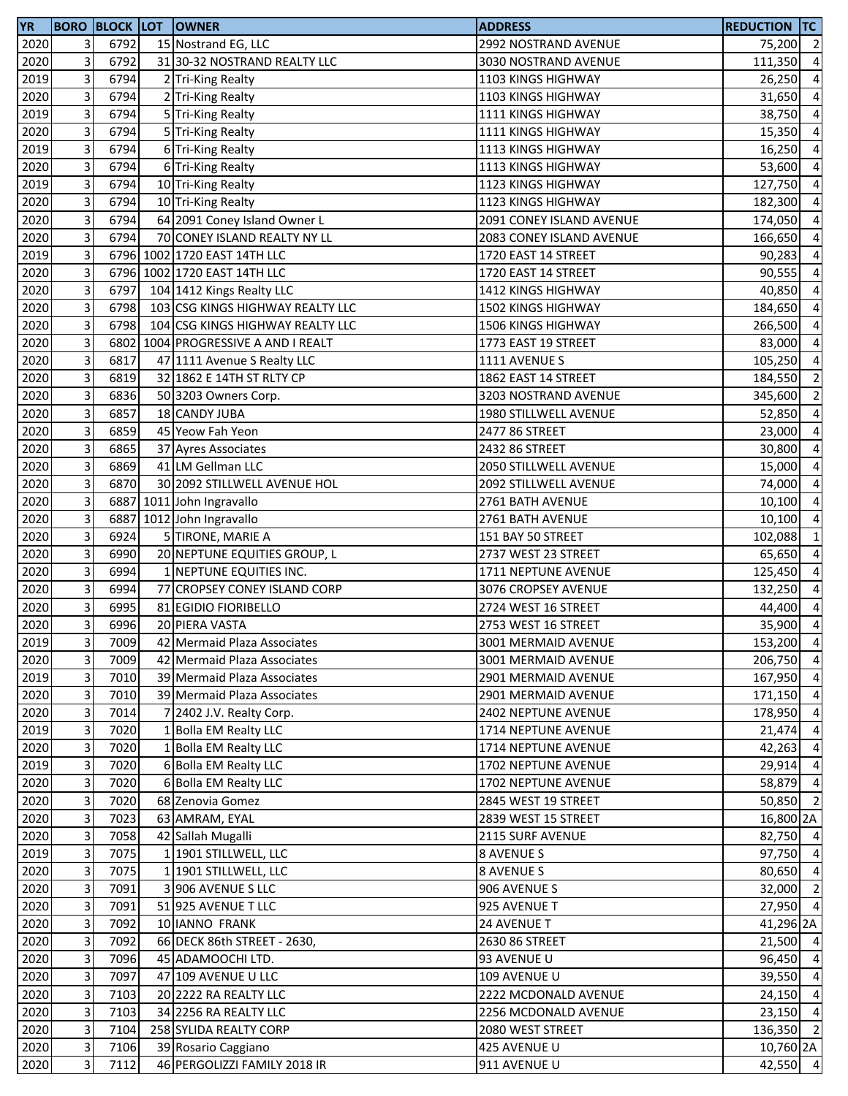| <b>YR</b> |                         | <b>BORO BLOCK LOT</b> | <b>IOWNER</b>                    | <b>ADDRESS</b>           | <b>REDUCTION TC</b> |                |
|-----------|-------------------------|-----------------------|----------------------------------|--------------------------|---------------------|----------------|
| 2020      | 3                       | 6792                  | 15 Nostrand EG, LLC              | 2992 NOSTRAND AVENUE     | 75,200 2            |                |
| 2020      | 3                       | 6792                  | 31 30-32 NOSTRAND REALTY LLC     | 3030 NOSTRAND AVENUE     | 111,350             | $\overline{4}$ |
| 2019      | 3                       | 6794                  | 2 Tri-King Realty                | 1103 KINGS HIGHWAY       | 26,250              | $\overline{4}$ |
| 2020      | 3                       | 6794                  | 2 Tri-King Realty                | 1103 KINGS HIGHWAY       | 31,650              | $\overline{4}$ |
| 2019      | 3                       | 6794                  | 5 Tri-King Realty                | 1111 KINGS HIGHWAY       | 38,750              | $\overline{a}$ |
| 2020      | 3                       | 6794                  | 5 Tri-King Realty                | 1111 KINGS HIGHWAY       | 15,350              | $\overline{4}$ |
| 2019      | 3                       | 6794                  | 6 Tri-King Realty                | 1113 KINGS HIGHWAY       | 16,250              | $\overline{a}$ |
| 2020      | 3                       | 6794                  | 6 Tri-King Realty                | 1113 KINGS HIGHWAY       | 53,600              | $\overline{a}$ |
| 2019      | 3                       | 6794                  | 10 Tri-King Realty               | 1123 KINGS HIGHWAY       | 127,750             | $\overline{a}$ |
| 2020      | 3                       | 6794                  | 10 Tri-King Realty               | 1123 KINGS HIGHWAY       | 182,300             | $\overline{a}$ |
| 2020      | 3                       | 6794                  | 64 2091 Coney Island Owner L     | 2091 CONEY ISLAND AVENUE | 174,050             | $\overline{a}$ |
| 2020      | 3                       | 6794                  | 70 CONEY ISLAND REALTY NY LL     | 2083 CONEY ISLAND AVENUE | 166,650             | $\overline{a}$ |
| 2019      | 3                       |                       | 6796 1002 1720 EAST 14TH LLC     | 1720 EAST 14 STREET      | 90,283              | $\overline{a}$ |
| 2020      | 3                       |                       | 6796 1002 1720 EAST 14TH LLC     | 1720 EAST 14 STREET      | 90,555              | $\overline{a}$ |
| 2020      | 3                       | 6797                  | 104 1412 Kings Realty LLC        | 1412 KINGS HIGHWAY       | 40,850              | $\overline{a}$ |
| 2020      | 3                       | 6798                  | 103 CSG KINGS HIGHWAY REALTY LLC | 1502 KINGS HIGHWAY       | 184,650             | $\overline{a}$ |
| 2020      | 3                       | 6798                  | 104 CSG KINGS HIGHWAY REALTY LLC | 1506 KINGS HIGHWAY       | 266,500             | $\overline{a}$ |
| 2020      | 3                       | 6802                  | 1004 PROGRESSIVE A AND I REALT   | 1773 EAST 19 STREET      | 83,000              | $\overline{a}$ |
| 2020      | 3                       | 6817                  | 47 1111 Avenue S Realty LLC      | 1111 AVENUE S            | 105,250             | $\overline{a}$ |
| 2020      | 3                       | 6819                  | 32 1862 E 14TH ST RLTY CP        | 1862 EAST 14 STREET      | 184,550 2           |                |
| 2020      | 3                       | 6836                  | 50 3203 Owners Corp.             | 3203 NOSTRAND AVENUE     | 345,600             | $\overline{2}$ |
| 2020      | 3                       | 6857                  | 18 CANDY JUBA                    | 1980 STILLWELL AVENUE    | 52,850              | $\overline{a}$ |
| 2020      | 3                       | 6859                  | 45 Yeow Fah Yeon                 | 2477 86 STREET           | 23,000              | $\overline{4}$ |
| 2020      | 3                       | 6865                  | 37 Ayres Associates              | 2432 86 STREET           | 30,800              | $\overline{a}$ |
| 2020      | 3                       | 6869                  | 41 LM Gellman LLC                | 2050 STILLWELL AVENUE    | 15,000              | $\overline{a}$ |
| 2020      | 3                       | 6870                  | 30 2092 STILLWELL AVENUE HOL     | 2092 STILLWELL AVENUE    | 74,000              | $\overline{a}$ |
| 2020      | 3                       | 6887                  | 1011 John Ingravallo             | 2761 BATH AVENUE         | 10,100              | $\overline{a}$ |
| 2020      | 3                       | 6887                  | 1012 John Ingravallo             | 2761 BATH AVENUE         | $10,100$ 4          |                |
| 2020      | 3                       | 6924                  | 5 TIRONE, MARIE A                | 151 BAY 50 STREET        | 102,088             | $\vert$ 1      |
| 2020      | 3                       | 6990                  | 20 NEPTUNE EQUITIES GROUP, L     | 2737 WEST 23 STREET      | 65,650              | $\overline{a}$ |
| 2020      | 3                       | 6994                  | 1 NEPTUNE EQUITIES INC.          | 1711 NEPTUNE AVENUE      | 125,450             | $\overline{a}$ |
| 2020      | 3                       | 6994                  | 77 CROPSEY CONEY ISLAND CORP     | 3076 CROPSEY AVENUE      | 132,250             | $\overline{a}$ |
| 2020      | 3                       | 6995                  | 81 EGIDIO FIORIBELLO             | 2724 WEST 16 STREET      | 44,400              | $\overline{a}$ |
| 2020      | 3                       | 6996                  | 20 PIERA VASTA                   | 2753 WEST 16 STREET      | 35,900 4            |                |
| 2019      | 3 <sup>1</sup>          | 7009                  | 42 Mermaid Plaza Associates      | 3001 MERMAID AVENUE      | 153,200 4           |                |
| 2020      | 3                       | 7009                  | 42 Mermaid Plaza Associates      | 3001 MERMAID AVENUE      | 206,750 4           |                |
| 2019      | 3                       | 7010                  | 39 Mermaid Plaza Associates      | 2901 MERMAID AVENUE      | 167,950 4           |                |
| 2020      | $\overline{\mathbf{3}}$ | 7010                  | 39 Mermaid Plaza Associates      | 2901 MERMAID AVENUE      | 171,150 4           |                |
| 2020      | 3                       | 7014                  | 7 2402 J.V. Realty Corp.         | 2402 NEPTUNE AVENUE      | 178,950 4           |                |
| 2019      | 3                       | 7020                  | 1 Bolla EM Realty LLC            | 1714 NEPTUNE AVENUE      | $21,474$ 4          |                |
| 2020      | 3                       | 7020                  | 1 Bolla EM Realty LLC            | 1714 NEPTUNE AVENUE      | $42,263$ 4          |                |
| 2019      | 3                       | 7020                  | 6 Bolla EM Realty LLC            | 1702 NEPTUNE AVENUE      | 29,914 4            |                |
| 2020      | 3                       | 7020                  | 6 Bolla EM Realty LLC            | 1702 NEPTUNE AVENUE      | 58,879 4            |                |
| 2020      | 3                       | 7020                  | 68 Zenovia Gomez                 | 2845 WEST 19 STREET      | 50,850 2            |                |
| 2020      | 3                       | 7023                  | 63 AMRAM, EYAL                   | 2839 WEST 15 STREET      | 16,800 2A           |                |
| 2020      | 3                       | 7058                  | 42 Sallah Mugalli                | 2115 SURF AVENUE         | 82,750 4            |                |
| 2019      | 3                       | 7075                  | 1 1901 STILLWELL, LLC            | 8 AVENUE S               | 97,750 4            |                |
| 2020      | 3                       | 7075                  | 1 1901 STILLWELL, LLC            | 8 AVENUE S               | 80,650 4            |                |
| 2020      | 3                       | 7091                  | 3 906 AVENUE S LLC               | 906 AVENUE S             | 32,000 2            |                |
| 2020      | 3                       | 7091                  | 51 925 AVENUE T LLC              | 925 AVENUE T             | 27,950 4            |                |
| 2020      | 3                       | 7092                  | 10 IANNO FRANK                   | 24 AVENUE T              | 41,296 2A           |                |
| 2020      | 3                       | 7092                  | 66 DECK 86th STREET - 2630,      | 2630 86 STREET           | 21,500 4            |                |
| 2020      | 3                       | 7096                  | 45 ADAMOOCHI LTD.                | 93 AVENUE U              | 96,450 4            |                |
| 2020      | 3                       | 7097                  | 47 109 AVENUE U LLC              | 109 AVENUE U             | 39,550 4            |                |
| 2020      | 3                       | 7103                  | 20 2222 RA REALTY LLC            | 2222 MCDONALD AVENUE     | $24,150$ 4          |                |
| 2020      | 3                       | 7103                  | 34 2256 RA REALTY LLC            | 2256 MCDONALD AVENUE     | $23,150$ 4          |                |
| 2020      | 3                       | 7104                  | 258 SYLIDA REALTY CORP           | 2080 WEST STREET         | 136,350 2           |                |
| 2020      | $\mathbf{3}$            | 7106                  | 39 Rosario Caggiano              | 425 AVENUE U             | 10,760 2A           |                |
| 2020      | $\mathbf{3}$            | 7112                  | 46 PERGOLIZZI FAMILY 2018 IR     | 911 AVENUE U             | 42,550 4            |                |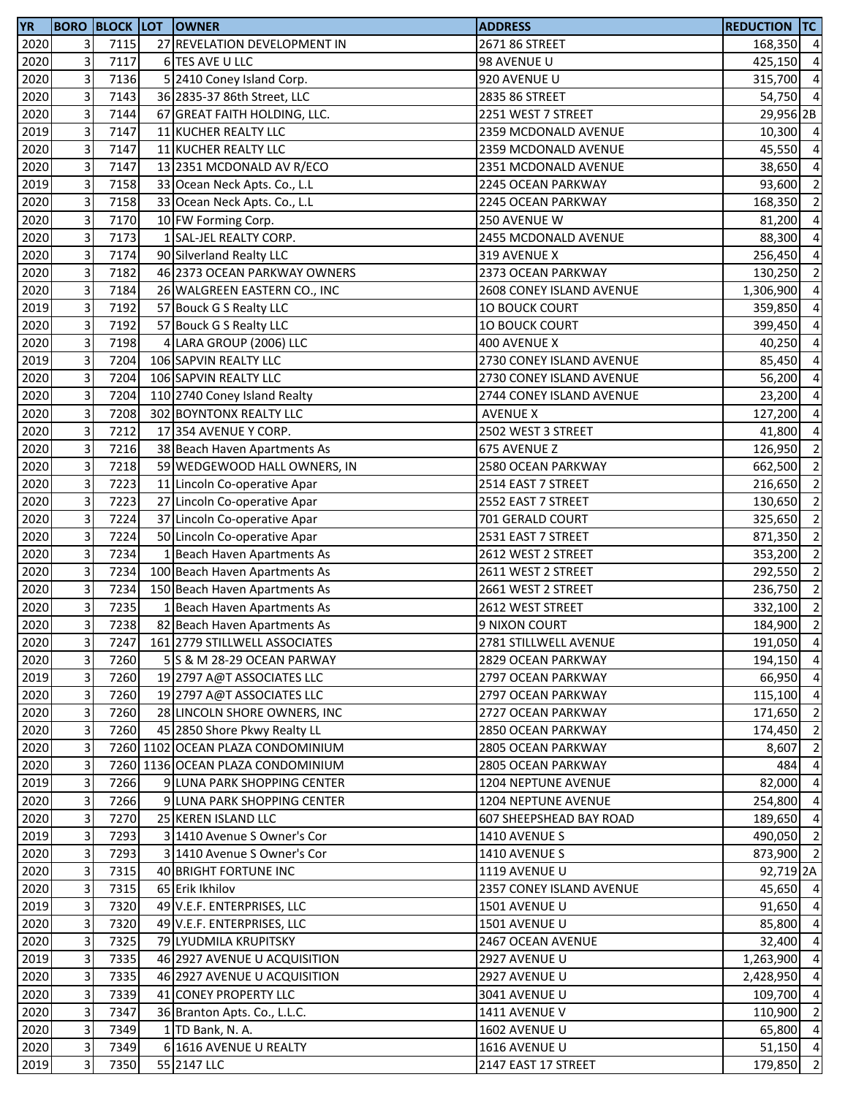| <b>YR</b> |              |      | <b>BORO BLOCK LOT OWNER</b>       | <b>ADDRESS</b>                         | <b>REDUCTION TC</b>  |                |
|-----------|--------------|------|-----------------------------------|----------------------------------------|----------------------|----------------|
| 2020      | 3            | 7115 | 27 REVELATION DEVELOPMENT IN      | 2671 86 STREET                         | 168,350 4            |                |
| 2020      | 3            | 7117 | 6 TES AVE U LLC                   | 98 AVENUE U                            | 425,150 4            |                |
| 2020      | 3            | 7136 | 52410 Coney Island Corp.          | 920 AVENUE U                           | 315,700 4            |                |
| 2020      | 3            | 7143 | 36 2835-37 86th Street, LLC       | 2835 86 STREET                         | 54,750 4             |                |
| 2020      | 3            | 7144 | 67 GREAT FAITH HOLDING, LLC.      | 2251 WEST 7 STREET                     | 29,956 2B            |                |
| 2019      | 3            | 7147 | 11 KUCHER REALTY LLC              | 2359 MCDONALD AVENUE                   | 10,300 4             |                |
| 2020      | 3            | 7147 | 11 KUCHER REALTY LLC              | 2359 MCDONALD AVENUE                   | 45,550 4             |                |
| 2020      | 3            | 7147 | 13 2351 MCDONALD AV R/ECO         | 2351 MCDONALD AVENUE                   | 38,650               | $\overline{4}$ |
| 2019      | 3            | 7158 | 33 Ocean Neck Apts. Co., L.L      | 2245 OCEAN PARKWAY                     | 93,600               | $\overline{2}$ |
| 2020      | 3            | 7158 | 33 Ocean Neck Apts. Co., L.L      | 2245 OCEAN PARKWAY                     | 168,350              | $\overline{2}$ |
| 2020      | 3            | 7170 | 10 FW Forming Corp.               | 250 AVENUE W                           | 81,200               | $\overline{4}$ |
| 2020      | 3            | 7173 | 1 SAL-JEL REALTY CORP.            | 2455 MCDONALD AVENUE                   | 88,300               | $\overline{4}$ |
| 2020      | 3            | 7174 | 90 Silverland Realty LLC          | 319 AVENUE X                           | 256,450              | $\overline{4}$ |
| 2020      | 3            | 7182 | 46 2373 OCEAN PARKWAY OWNERS      | 2373 OCEAN PARKWAY                     | 130,250              | $\overline{2}$ |
| 2020      | 3            | 7184 | 26 WALGREEN EASTERN CO., INC      | 2608 CONEY ISLAND AVENUE               | 1,306,900            | $\overline{4}$ |
| 2019      | 3            | 7192 | 57 Bouck G S Realty LLC           | <b>10 BOUCK COURT</b>                  | 359,850              | $\overline{4}$ |
| 2020      | 3            | 7192 | 57 Bouck G S Realty LLC           | <b>10 BOUCK COURT</b>                  | 399,450              | $\overline{4}$ |
| 2020      | 3            | 7198 | 4 LARA GROUP (2006) LLC           | 400 AVENUE X                           | 40,250               | $\overline{4}$ |
| 2019      | 3            | 7204 | 106 SAPVIN REALTY LLC             | 2730 CONEY ISLAND AVENUE               | 85,450               | $\overline{4}$ |
| 2020      | 3            | 7204 | 106 SAPVIN REALTY LLC             | 2730 CONEY ISLAND AVENUE               | 56,200               | $\overline{4}$ |
| 2020      | 3            | 7204 | 110 2740 Coney Island Realty      | 2744 CONEY ISLAND AVENUE               | 23,200               | $\overline{4}$ |
| 2020      | 3            | 7208 | 302 BOYNTONX REALTY LLC           | <b>AVENUE X</b>                        | 127,200 4            |                |
| 2020      | 3            | 7212 | 17 354 AVENUE Y CORP.             | 2502 WEST 3 STREET                     | 41,800 4             |                |
| 2020      | 3            | 7216 | 38 Beach Haven Apartments As      | 675 AVENUE Z                           | 126,950              | $\overline{2}$ |
| 2020      | 3            | 7218 | 59 WEDGEWOOD HALL OWNERS, IN      | 2580 OCEAN PARKWAY                     | 662,500              | $\overline{2}$ |
| 2020      | 3            | 7223 | 11 Lincoln Co-operative Apar      | 2514 EAST 7 STREET                     | 216,650              | $\overline{2}$ |
| 2020      | 3            | 7223 | 27 Lincoln Co-operative Apar      | 2552 EAST 7 STREET                     | 130,650              | $\overline{2}$ |
| 2020      | 3            | 7224 | 37 Lincoln Co-operative Apar      |                                        | 325,650              | $\overline{2}$ |
|           | 3            | 7224 |                                   | 701 GERALD COURT<br>2531 EAST 7 STREET |                      | $\overline{2}$ |
| 2020      | 3            | 7234 | 50 Lincoln Co-operative Apar      | 2612 WEST 2 STREET                     | 871,350<br>353,200 2 |                |
| 2020      | 3            |      | 1 Beach Haven Apartments As       |                                        |                      | $\overline{2}$ |
| 2020      | 3            | 7234 | 100 Beach Haven Apartments As     | 2611 WEST 2 STREET                     | 292,550              | $\overline{2}$ |
| 2020      |              | 7234 | 150 Beach Haven Apartments As     | 2661 WEST 2 STREET                     | 236,750              | $\overline{2}$ |
| 2020      | 3            | 7235 | 1 Beach Haven Apartments As       | 2612 WEST STREET                       | 332,100              |                |
| 2020      | 3            | 7238 | 82 Beach Haven Apartments As      | 9 NIXON COURT                          | 184,900 2            |                |
| 2020      | $\mathbf{3}$ | 7247 | 161 2779 STILLWELL ASSOCIATES     | 2781 STILLWELL AVENUE                  | 191,050 4            |                |
| 2020      | 3            | 7260 | 5 S & M 28-29 OCEAN PARWAY        | 2829 OCEAN PARKWAY                     | 194,150 4            |                |
| 2019      | 3            | 7260 | 19 2797 A@T ASSOCIATES LLC        | 2797 OCEAN PARKWAY                     | 66,950               | $\overline{4}$ |
| 2020      | 3            | 7260 | 19 2797 A@T ASSOCIATES LLC        | 2797 OCEAN PARKWAY                     | 115,100 4            |                |
| 2020      | 3            | 7260 | 28 LINCOLN SHORE OWNERS, INC      | 2727 OCEAN PARKWAY                     | 171,650 2            |                |
| 2020      | 3            | 7260 | 45 2850 Shore Pkwy Realty LL      | 2850 OCEAN PARKWAY                     | 174,450              | $\overline{2}$ |
| 2020      | 3            |      | 7260 1102 OCEAN PLAZA CONDOMINIUM | 2805 OCEAN PARKWAY                     | 8,607                | $\overline{2}$ |
| 2020      | 3            |      | 7260 1136 OCEAN PLAZA CONDOMINIUM | 2805 OCEAN PARKWAY                     | 484                  | $\overline{4}$ |
| 2019      | 3            | 7266 | 9 LUNA PARK SHOPPING CENTER       | 1204 NEPTUNE AVENUE                    | 82,000               | $\overline{4}$ |
| 2020      | 3            | 7266 | 9 LUNA PARK SHOPPING CENTER       | 1204 NEPTUNE AVENUE                    | 254,800              | $\overline{4}$ |
| 2020      | 3            | 7270 | 25 KEREN ISLAND LLC               | 607 SHEEPSHEAD BAY ROAD                | 189,650              | $\overline{4}$ |
| 2019      | 3            | 7293 | 3 1410 Avenue S Owner's Cor       | 1410 AVENUE S                          | 490,050 2            |                |
| 2020      | 3            | 7293 | 3 1410 Avenue S Owner's Cor       | 1410 AVENUE S                          | 873,900 2            |                |
| 2020      | 3            | 7315 | 40 BRIGHT FORTUNE INC             | 1119 AVENUE U                          | 92,719 2A            |                |
| 2020      | 3            | 7315 | 65 Erik Ikhilov                   | 2357 CONEY ISLAND AVENUE               | 45,650 4             |                |
| 2019      | 3            | 7320 | 49 V.E.F. ENTERPRISES, LLC        | 1501 AVENUE U                          | 91,650               | $\overline{4}$ |
| 2020      | 3            | 7320 | 49 V.E.F. ENTERPRISES, LLC        | 1501 AVENUE U                          | 85,800               | $\overline{4}$ |
| 2020      | 3            | 7325 | 79 LYUDMILA KRUPITSKY             | 2467 OCEAN AVENUE                      | 32,400               | $\overline{4}$ |
| 2019      | 3            | 7335 | 46 2927 AVENUE U ACQUISITION      | 2927 AVENUE U                          | 1,263,900            | $\overline{4}$ |
| 2020      | 3            | 7335 | 46 2927 AVENUE U ACQUISITION      | 2927 AVENUE U                          | 2,428,950            | $\overline{4}$ |
| 2020      | 3            | 7339 | 41 CONEY PROPERTY LLC             | 3041 AVENUE U                          | 109,700              | $\overline{4}$ |
| 2020      | 3            | 7347 | 36 Branton Apts. Co., L.L.C.      | 1411 AVENUE V                          | 110,900              | $\overline{2}$ |
| 2020      | 3            | 7349 | 1 TD Bank, N. A.                  | 1602 AVENUE U                          | 65,800 4             |                |
| 2020      | 3            | 7349 | 6 1616 AVENUE U REALTY            | 1616 AVENUE U                          | $51,150$ 4           |                |
| 2019      | 3            | 7350 | 55 2147 LLC                       | 2147 EAST 17 STREET                    | 179,850              | $\overline{2}$ |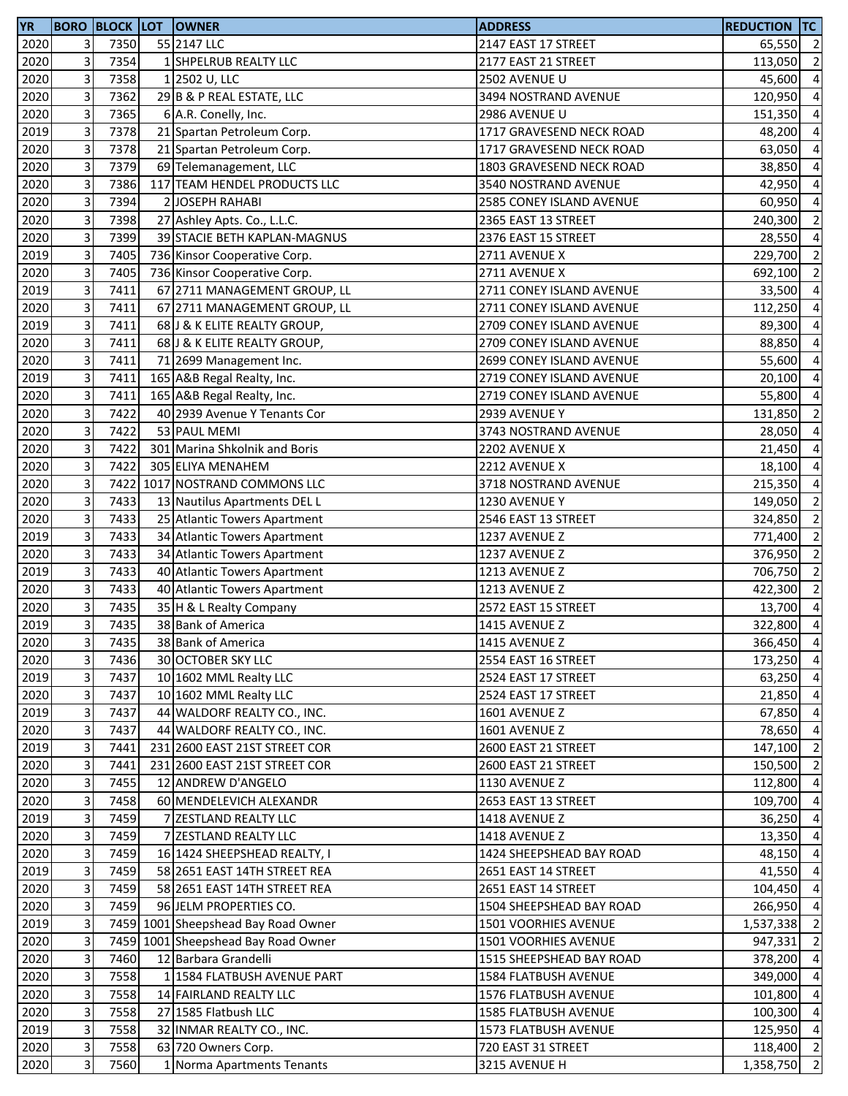| <b>YR</b> |                         | <b>BORO BLOCK LOT</b> | <b>OWNER</b>                        | <b>ADDRESS</b>              | <b>REDUCTION TC</b> |                          |
|-----------|-------------------------|-----------------------|-------------------------------------|-----------------------------|---------------------|--------------------------|
| 2020      | $\overline{3}$          | 7350                  | 55 2147 LLC                         | 2147 EAST 17 STREET         | 65,550 2            |                          |
| 2020      | $\overline{\mathbf{3}}$ | 7354                  | 1 SHPELRUB REALTY LLC               | 2177 EAST 21 STREET         | 113,050             | $\overline{2}$           |
| 2020      | 3                       | 7358                  | 1 2502 U, LLC                       | 2502 AVENUE U               | 45,600              | $\overline{4}$           |
| 2020      | 3                       | 7362                  | 29 B & P REAL ESTATE, LLC           | 3494 NOSTRAND AVENUE        | 120,950             | $\overline{4}$           |
| 2020      | 3                       | 7365                  | 6 A.R. Conelly, Inc.                | 2986 AVENUE U               | 151,350             | $\overline{a}$           |
| 2019      | $\mathbf{3}$            | 7378                  | 21 Spartan Petroleum Corp.          | 1717 GRAVESEND NECK ROAD    | 48,200              | $\overline{4}$           |
| 2020      | 3                       | 7378                  | 21 Spartan Petroleum Corp.          | 1717 GRAVESEND NECK ROAD    | 63,050              | $\overline{a}$           |
| 2020      | 3                       | 7379                  | 69 Telemanagement, LLC              | 1803 GRAVESEND NECK ROAD    | 38,850              | $\overline{\mathbf{4}}$  |
| 2020      | 3                       | 7386                  | 117 TEAM HENDEL PRODUCTS LLC        | 3540 NOSTRAND AVENUE        | 42,950              | $\overline{a}$           |
| 2020      | 3                       | 7394                  | 2 JOSEPH RAHABI                     | 2585 CONEY ISLAND AVENUE    | 60,950              | $\overline{a}$           |
| 2020      | 3                       | 7398                  | 27 Ashley Apts. Co., L.L.C.         | 2365 EAST 13 STREET         | 240,300             | $\overline{2}$           |
| 2020      | 3                       | 7399                  | 39 STACIE BETH KAPLAN-MAGNUS        | 2376 EAST 15 STREET         | 28,550              | $\overline{4}$           |
| 2019      | $\overline{\mathbf{3}}$ | 7405                  | 736 Kinsor Cooperative Corp.        | 2711 AVENUE X               | 229,700             | $\overline{2}$           |
| 2020      | 3                       | 7405                  | 736 Kinsor Cooperative Corp.        | 2711 AVENUE X               | 692,100             | $\overline{2}$           |
| 2019      | $\overline{\mathbf{3}}$ | 7411                  | 67 2711 MANAGEMENT GROUP, LL        | 2711 CONEY ISLAND AVENUE    | 33,500              | $\overline{a}$           |
| 2020      | 3                       | 7411                  | 67 2711 MANAGEMENT GROUP, LL        | 2711 CONEY ISLAND AVENUE    | 112,250             | $\overline{\mathbf{4}}$  |
| 2019      | $\overline{\mathbf{3}}$ | 7411                  | 68 J & K ELITE REALTY GROUP,        | 2709 CONEY ISLAND AVENUE    | 89,300              | $\overline{a}$           |
| 2020      | 3                       | 7411                  | 68 J & K ELITE REALTY GROUP,        | 2709 CONEY ISLAND AVENUE    |                     | $\overline{a}$           |
|           | $\overline{\mathbf{3}}$ | 7411                  |                                     |                             | 88,850              |                          |
| 2020      |                         |                       | 71 2699 Management Inc.             | 2699 CONEY ISLAND AVENUE    | 55,600              | $\overline{\mathbf{4}}$  |
| 2019      | 3                       | 7411                  | 165 A&B Regal Realty, Inc.          | 2719 CONEY ISLAND AVENUE    | 20,100              | $\overline{4}$           |
| 2020      | 3                       | 7411                  | 165 A&B Regal Realty, Inc.          | 2719 CONEY ISLAND AVENUE    | 55,800              | $\overline{a}$           |
| 2020      | 3                       | 7422                  | 40 2939 Avenue Y Tenants Cor        | 2939 AVENUE Y               | 131,850             | $\overline{2}$           |
| 2020      | $\overline{\mathbf{3}}$ | 7422                  | 53 PAUL MEMI                        | 3743 NOSTRAND AVENUE        | 28,050              | $\overline{4}$           |
| 2020      | 3                       | 7422                  | 301 Marina Shkolnik and Boris       | 2202 AVENUE X               | 21,450              | $\overline{a}$           |
| 2020      | 3                       | 7422                  | 305 ELIYA MENAHEM                   | 2212 AVENUE X               | 18,100              | $\overline{\mathbf{4}}$  |
| 2020      | 3                       | 7422                  | 1017 NOSTRAND COMMONS LLC           | 3718 NOSTRAND AVENUE        | 215,350             | $\overline{a}$           |
| 2020      | $\overline{\mathbf{3}}$ | 7433                  | 13 Nautilus Apartments DEL L        | 1230 AVENUE Y               | 149,050             | $\overline{\mathbf{2}}$  |
| 2020      | 3                       | 7433                  | 25 Atlantic Towers Apartment        | 2546 EAST 13 STREET         | 324,850             | $\overline{\mathbf{c}}$  |
| 2019      | $\overline{3}$          | 7433                  | 34 Atlantic Towers Apartment        | 1237 AVENUE Z               | 771,400             | $\overline{2}$           |
| 2020      | $\mathbf{3}$            | 7433                  | 34 Atlantic Towers Apartment        | 1237 AVENUE Z               | 376,950             | $\overline{\mathbf{2}}$  |
| 2019      | $\overline{\mathbf{3}}$ | 7433                  | 40 Atlantic Towers Apartment        | 1213 AVENUE Z               | 706,750             | $\overline{\mathbf{c}}$  |
| 2020      | $\overline{\mathbf{3}}$ | 7433                  | 40 Atlantic Towers Apartment        | 1213 AVENUE Z               | 422,300             | $\overline{\phantom{a}}$ |
| 2020      | $\overline{\mathbf{3}}$ | 7435                  | 35 H & L Realty Company             | 2572 EAST 15 STREET         | 13,700              | $\overline{4}$           |
| 2019      | 3                       | 7435                  | 38 Bank of America                  | 1415 AVENUE Z               | 322,800             | $\overline{\phantom{a}}$ |
| 2020      | 3 <sup>l</sup>          | 7435                  | 38 Bank of America                  | 1415 AVENUE Z               | 366,450 4           |                          |
| 2020      | 3                       | 7436                  | 30 OCTOBER SKY LLC                  | 2554 EAST 16 STREET         | 173,250             | $\overline{4}$           |
| 2019      | $\mathbf{3}$            | 7437                  | 10 1602 MML Realty LLC              | 2524 EAST 17 STREET         | 63,250 4            |                          |
| 2020      | $\overline{3}$          | 7437                  | 10 1602 MML Realty LLC              | 2524 EAST 17 STREET         | 21,850 4            |                          |
| 2019      | $\mathbf{3}$            | 7437                  | 44 WALDORF REALTY CO., INC.         | 1601 AVENUE Z               | 67,850              | $\overline{4}$           |
| 2020      | 3                       | 7437                  | 44 WALDORF REALTY CO., INC.         | 1601 AVENUE Z               | 78,650              | $\overline{4}$           |
| 2019      | 3                       | 7441                  | 231 2600 EAST 21ST STREET COR       | 2600 EAST 21 STREET         | 147,100             | $\overline{2}$           |
| 2020      | 3                       | 7441                  | 231 2600 EAST 21ST STREET COR       | 2600 EAST 21 STREET         | 150,500             | $\overline{2}$           |
| 2020      | 3                       | 7455                  | 12 ANDREW D'ANGELO                  | 1130 AVENUE Z               | 112,800             | $\overline{a}$           |
| 2020      | 3                       | 7458                  | 60 MENDELEVICH ALEXANDR             | 2653 EAST 13 STREET         | 109,700             | $\overline{a}$           |
| 2019      | $\mathbf{3}$            | 7459                  | 7 ZESTLAND REALTY LLC               | 1418 AVENUE Z               | 36,250              | $\overline{4}$           |
| 2020      | 3                       | 7459                  | 7 ZESTLAND REALTY LLC               | 1418 AVENUE Z               | 13,350 4            |                          |
| 2020      | $\mathbf{3}$            | 7459                  | 16 1424 SHEEPSHEAD REALTY, I        | 1424 SHEEPSHEAD BAY ROAD    | 48,150              | $\overline{4}$           |
| 2019      | $\mathbf{3}$            | 7459                  | 58 2651 EAST 14TH STREET REA        | 2651 EAST 14 STREET         | 41,550              | $\overline{4}$           |
| 2020      | 3                       | 7459                  | 58 2651 EAST 14TH STREET REA        | 2651 EAST 14 STREET         | 104,450             | $\overline{a}$           |
| 2020      | 3                       | 7459                  | 96 JELM PROPERTIES CO.              | 1504 SHEEPSHEAD BAY ROAD    | 266,950             | $\overline{a}$           |
| 2019      | 3                       |                       | 7459 1001 Sheepshead Bay Road Owner | 1501 VOORHIES AVENUE        | 1,537,338           | $\overline{2}$           |
| 2020      | 3                       |                       | 7459 1001 Sheepshead Bay Road Owner | 1501 VOORHIES AVENUE        | 947,331             | $\overline{2}$           |
| 2020      | $\mathbf{3}$            | 7460                  | 12 Barbara Grandelli                | 1515 SHEEPSHEAD BAY ROAD    | 378,200             | $\overline{a}$           |
| 2020      | $\overline{3}$          | 7558                  | 1 1584 FLATBUSH AVENUE PART         | <b>1584 FLATBUSH AVENUE</b> | 349,000             | $\overline{4}$           |
| 2020      | $\overline{3}$          | 7558                  | 14 FAIRLAND REALTY LLC              | 1576 FLATBUSH AVENUE        | 101,800             | $\overline{4}$           |
| 2020      | $\mathbf{3}$            | 7558                  | 27 1585 Flatbush LLC                | 1585 FLATBUSH AVENUE        | 100,300             | $\overline{4}$           |
| 2019      | 3                       | 7558                  | 32 INMAR REALTY CO., INC.           | 1573 FLATBUSH AVENUE        | 125,950             | $\overline{4}$           |
| 2020      | $\mathbf{3}$            | 7558                  | 63 720 Owners Corp.                 | 720 EAST 31 STREET          | 118,400 2           |                          |
| 2020      | 3                       | 7560                  | 1 Norma Apartments Tenants          | 3215 AVENUE H               | 1,358,750           | $\overline{2}$           |
|           |                         |                       |                                     |                             |                     |                          |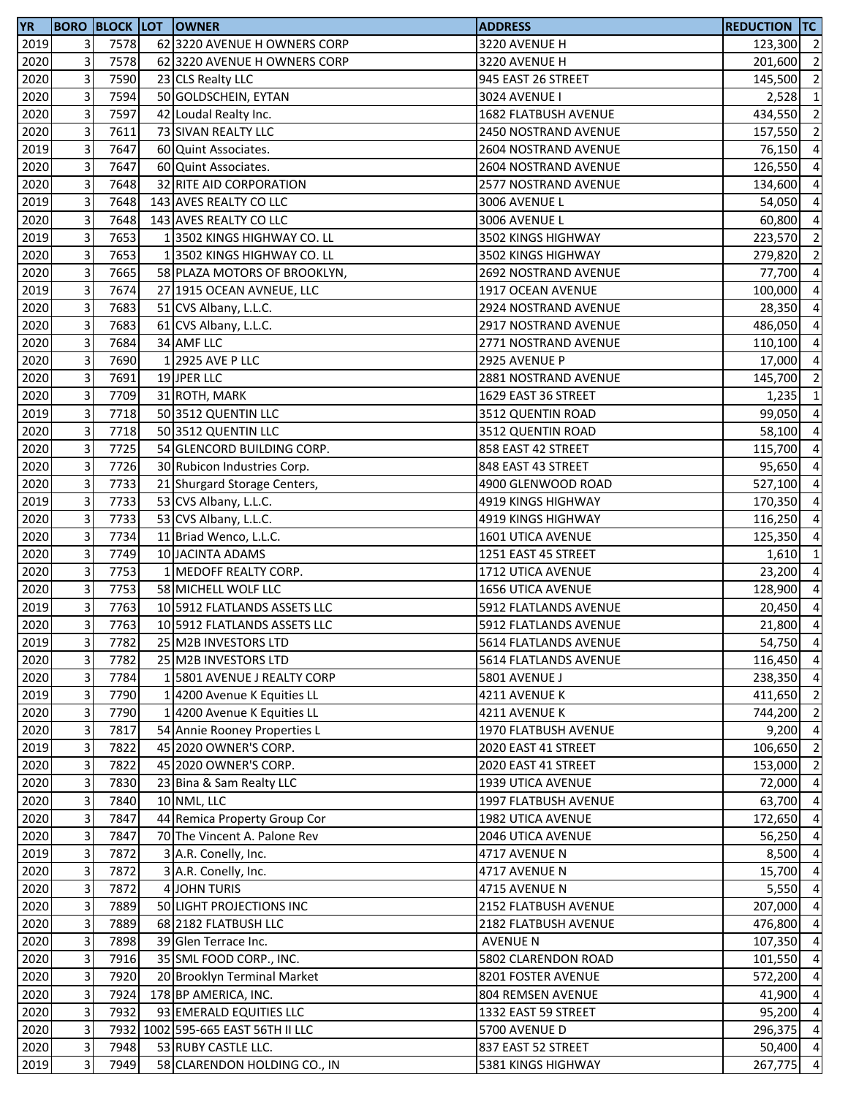| <b>YR</b> |                           |      | <b>BORO BLOCK LOT OWNER</b>        | <b>ADDRESS</b>        | <b>REDUCTION TC</b> |                          |
|-----------|---------------------------|------|------------------------------------|-----------------------|---------------------|--------------------------|
| 2019      | 3                         | 7578 | 62 3220 AVENUE H OWNERS CORP       | 3220 AVENUE H         | 123,300 2           |                          |
| 2020      | 3                         | 7578 | 62 3220 AVENUE H OWNERS CORP       | 3220 AVENUE H         | 201,600 2           |                          |
| 2020      | 3                         | 7590 | 23 CLS Realty LLC                  | 945 EAST 26 STREET    | 145,500             | $\overline{2}$           |
| 2020      | 3                         | 7594 | 50 GOLDSCHEIN, EYTAN               | 3024 AVENUE I         | $2,528$ 1           |                          |
| 2020      | 3                         | 7597 | 42 Loudal Realty Inc.              | 1682 FLATBUSH AVENUE  | 434,550 2           |                          |
| 2020      | 3                         | 7611 | 73 SIVAN REALTY LLC                | 2450 NOSTRAND AVENUE  | 157,550             | $\overline{\phantom{a}}$ |
| 2019      | 3                         | 7647 | 60 Quint Associates.               | 2604 NOSTRAND AVENUE  | 76,150              | $\overline{4}$           |
| 2020      | 3                         | 7647 | 60 Quint Associates.               | 2604 NOSTRAND AVENUE  | 126,550             | $\overline{a}$           |
| 2020      | 3                         | 7648 | 32 RITE AID CORPORATION            | 2577 NOSTRAND AVENUE  | 134,600             | $\overline{a}$           |
| 2019      | 3                         | 7648 | 143 AVES REALTY CO LLC             | 3006 AVENUE L         | 54,050              | $\overline{a}$           |
| 2020      | 3                         | 7648 | 143 AVES REALTY CO LLC             | 3006 AVENUE L         | 60,800              | $\overline{a}$           |
| 2019      | 3                         | 7653 | 13502 KINGS HIGHWAY CO. LL         | 3502 KINGS HIGHWAY    | 223,570             | $\overline{2}$           |
| 2020      | 3                         | 7653 | 13502 KINGS HIGHWAY CO. LL         | 3502 KINGS HIGHWAY    | 279,820 2           |                          |
| 2020      | 3                         | 7665 | 58 PLAZA MOTORS OF BROOKLYN,       | 2692 NOSTRAND AVENUE  | 77,700 4            |                          |
| 2019      | 3                         | 7674 | 27 1915 OCEAN AVNEUE, LLC          | 1917 OCEAN AVENUE     | 100,000             | $\overline{4}$           |
| 2020      | 3                         | 7683 | 51 CVS Albany, L.L.C.              | 2924 NOSTRAND AVENUE  | 28,350              | $\overline{a}$           |
| 2020      | 3                         | 7683 | 61 CVS Albany, L.L.C.              | 2917 NOSTRAND AVENUE  | 486,050             | $\overline{a}$           |
| 2020      | 3                         | 7684 | 34 AMF LLC                         | 2771 NOSTRAND AVENUE  | 110,100             | $\overline{a}$           |
| 2020      | 3                         | 7690 | 1 2925 AVE P LLC                   | 2925 AVENUE P         | 17,000              | $\overline{a}$           |
| 2020      | 3                         | 7691 | 19 JPER LLC                        | 2881 NOSTRAND AVENUE  | 145,700             | $\overline{\mathbf{c}}$  |
| 2020      | $\mathbf{3}$              | 7709 | 31 ROTH, MARK                      | 1629 EAST 36 STREET   | $1,235$ 1           |                          |
| 2019      | 3                         | 7718 | 50 3512 QUENTIN LLC                | 3512 QUENTIN ROAD     | 99,050 4            |                          |
| 2020      | 3                         | 7718 | 50 3512 QUENTIN LLC                | 3512 QUENTIN ROAD     | 58,100              | $\overline{4}$           |
| 2020      | 3                         | 7725 | 54 GLENCORD BUILDING CORP.         | 858 EAST 42 STREET    | 115,700             | $\overline{4}$           |
| 2020      | 3                         | 7726 | 30 Rubicon Industries Corp.        | 848 EAST 43 STREET    | 95,650              | $\overline{a}$           |
| 2020      | 3                         | 7733 | 21 Shurgard Storage Centers,       | 4900 GLENWOOD ROAD    | 527,100             | $\overline{a}$           |
| 2019      | 3                         | 7733 | 53 CVS Albany, L.L.C.              | 4919 KINGS HIGHWAY    | 170,350             | $\overline{a}$           |
| 2020      | 3                         | 7733 | 53 CVS Albany, L.L.C.              | 4919 KINGS HIGHWAY    | 116,250             | $\overline{a}$           |
| 2020      | $\mathbf{3}$              | 7734 | 11 Briad Wenco, L.L.C.             | 1601 UTICA AVENUE     | 125,350             | $\overline{a}$           |
| 2020      | 3                         | 7749 | 10 JACINTA ADAMS                   | 1251 EAST 45 STREET   | $1,610$ 1           |                          |
| 2020      | 3                         | 7753 | 1 MEDOFF REALTY CORP.              | 1712 UTICA AVENUE     | 23,200              | $\overline{4}$           |
| 2020      | 3                         | 7753 | 58 MICHELL WOLF LLC                | 1656 UTICA AVENUE     | 128,900             | $\overline{4}$           |
| 2019      | 3                         | 7763 | 10 5912 FLATLANDS ASSETS LLC       | 5912 FLATLANDS AVENUE | 20,450 4            |                          |
| 2020      | 3                         | 7763 | 10 5912 FLATLANDS ASSETS LLC       | 5912 FLATLANDS AVENUE | 21,800 4            |                          |
| 2019      | $\overline{\mathbf{3}}$   | 7782 | 25 M2B INVESTORS LTD               | 5614 FLATLANDS AVENUE | 54,750 4            |                          |
| 2020      | 3                         | 7782 | 25 M2B INVESTORS LTD               | 5614 FLATLANDS AVENUE | 116,450 4           |                          |
| 2020      | $\mathbf{3}$              | 7784 | 1 5801 AVENUE J REALTY CORP        | 5801 AVENUE J         | 238,350             | $\overline{a}$           |
| 2019      | 3                         | 7790 | 1 4200 Avenue K Equities LL        | 4211 AVENUE K         | 411,650 2           |                          |
| 2020      | 3                         | 7790 | 1 4200 Avenue K Equities LL        | 4211 AVENUE K         | 744,200 2           |                          |
| 2020      | 3                         | 7817 | 54 Annie Rooney Properties L       | 1970 FLATBUSH AVENUE  | $9,200$ 4           |                          |
| 2019      | 3                         | 7822 | 45 2020 OWNER'S CORP.              | 2020 EAST 41 STREET   | 106,650             | $\overline{2}$           |
| 2020      | 3                         | 7822 | 45 2020 OWNER'S CORP.              | 2020 EAST 41 STREET   | 153,000             | $\overline{2}$           |
| 2020      | 3                         | 7830 | 23 Bina & Sam Realty LLC           | 1939 UTICA AVENUE     | 72,000              | $\overline{4}$           |
| 2020      | 3                         | 7840 | 10 NML, LLC                        | 1997 FLATBUSH AVENUE  | 63,700 4            |                          |
| 2020      | $\mathbf{3}$              | 7847 | 44 Remica Property Group Cor       | 1982 UTICA AVENUE     | 172,650             | $\overline{a}$           |
| 2020      | 3                         | 7847 | 70 The Vincent A. Palone Rev       | 2046 UTICA AVENUE     | 56,250              | $\overline{4}$           |
| 2019      | 3                         | 7872 | 3 A.R. Conelly, Inc.               | 4717 AVENUE N         | 8,500 4             |                          |
| 2020      | 3                         | 7872 | 3 A.R. Conelly, Inc.               | 4717 AVENUE N         | 15,700              | $\overline{4}$           |
| 2020      | 3                         | 7872 | 4 JOHN TURIS                       | 4715 AVENUE N         | 5,550               | $\overline{4}$           |
| 2020      | 3                         | 7889 | 50 LIGHT PROJECTIONS INC           | 2152 FLATBUSH AVENUE  | 207,000             | $\overline{4}$           |
| 2020      | 3                         | 7889 | 68 2182 FLATBUSH LLC               | 2182 FLATBUSH AVENUE  | 476,800             | $\overline{a}$           |
| 2020      | $\mathbf{3}$              | 7898 | 39 Glen Terrace Inc.               | <b>AVENUE N</b>       | 107,350             | $\overline{a}$           |
| 2020      | 3                         | 7916 | 35 SML FOOD CORP., INC.            | 5802 CLARENDON ROAD   | 101,550             | $\overline{4}$           |
| 2020      | $\mathbf{3}$              | 7920 | 20 Brooklyn Terminal Market        | 8201 FOSTER AVENUE    | 572,200             | $\overline{a}$           |
| 2020      | 3                         | 7924 | 178 BP AMERICA, INC.               | 804 REMSEN AVENUE     | 41,900 4            |                          |
| 2020      | $\mathbf{3}$              | 7932 | 93 EMERALD EQUITIES LLC            | 1332 EAST 59 STREET   | 95,200              | $\overline{4}$           |
| 2020      | 3                         |      | 7932 1002 595-665 EAST 56TH II LLC | 5700 AVENUE D         | 296,375 4           |                          |
| 2020      | $\vert$ 3                 | 7948 | 53 RUBY CASTLE LLC.                | 837 EAST 52 STREET    | 50,400 4            |                          |
| 2019      | $\ensuremath{\mathsf{3}}$ | 7949 | 58 CLARENDON HOLDING CO., IN       | 5381 KINGS HIGHWAY    | 267,775 4           |                          |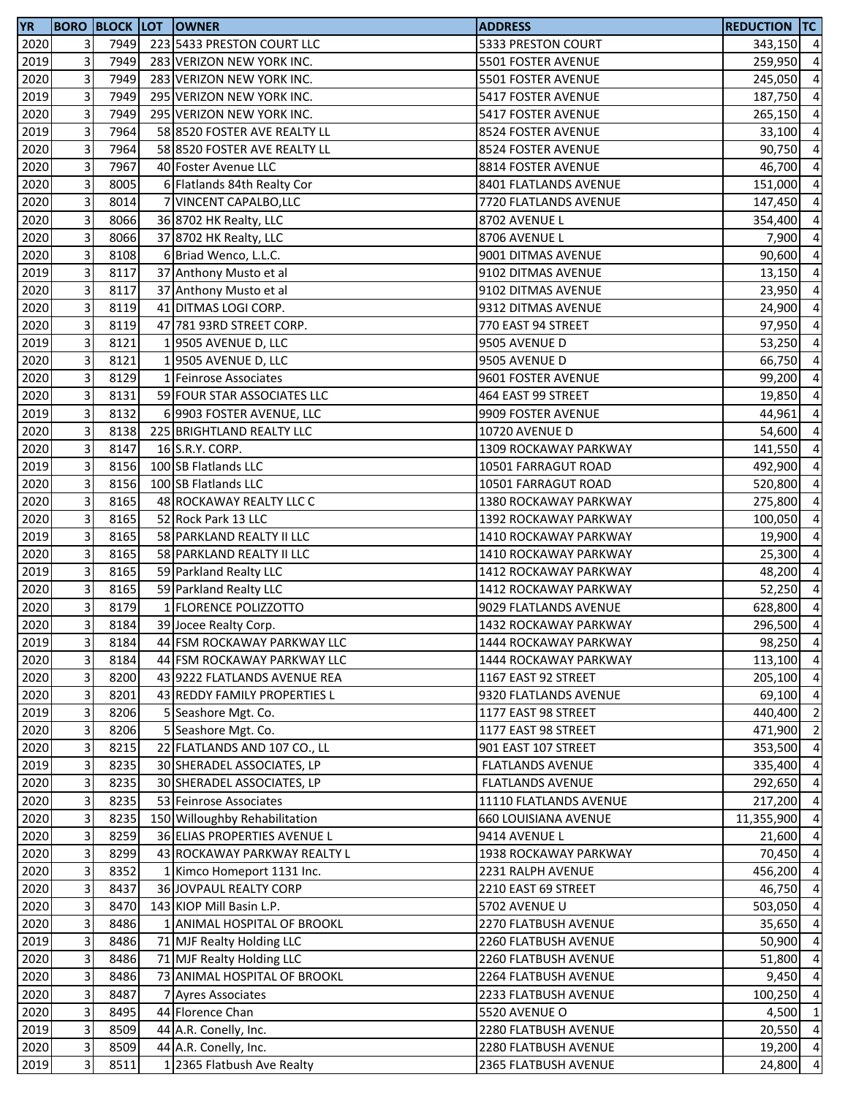| <b>YR</b> |   |      | <b>BORO BLOCK LOT OWNER</b>   | <b>ADDRESS</b>          | REDUCTION TC |                |
|-----------|---|------|-------------------------------|-------------------------|--------------|----------------|
| 2020      | 3 | 7949 | 223 5433 PRESTON COURT LLC    | 5333 PRESTON COURT      | 343,150 4    |                |
| 2019      | 3 | 7949 | 283 VERIZON NEW YORK INC.     | 5501 FOSTER AVENUE      | 259,950 4    |                |
| 2020      | 3 | 7949 | 283 VERIZON NEW YORK INC.     | 5501 FOSTER AVENUE      | 245,050      | $\overline{4}$ |
| 2019      | 3 | 7949 | 295 VERIZON NEW YORK INC.     | 5417 FOSTER AVENUE      | 187,750      | $\overline{4}$ |
| 2020      | 3 | 7949 | 295 VERIZON NEW YORK INC.     | 5417 FOSTER AVENUE      | 265,150 4    |                |
| 2019      | 3 | 7964 | 58 8520 FOSTER AVE REALTY LL  | 8524 FOSTER AVENUE      | 33,100       | $\overline{4}$ |
| 2020      | 3 | 7964 | 58 8520 FOSTER AVE REALTY LL  | 8524 FOSTER AVENUE      | 90,750       | $\overline{4}$ |
| 2020      | 3 | 7967 | 40 Foster Avenue LLC          | 8814 FOSTER AVENUE      | 46,700       | $\overline{4}$ |
| 2020      | 3 | 8005 | 6 Flatlands 84th Realty Cor   | 8401 FLATLANDS AVENUE   | 151,000      | $\overline{4}$ |
| 2020      | 3 | 8014 | 7 VINCENT CAPALBO, LLC        | 7720 FLATLANDS AVENUE   | 147,450      | $\overline{4}$ |
| 2020      | 3 | 8066 | 36 8702 HK Realty, LLC        | 8702 AVENUE L           | 354,400      | $\overline{a}$ |
| 2020      | 3 | 8066 | 37 8702 HK Realty, LLC        | 8706 AVENUE L           | 7,900        | $\overline{4}$ |
| 2020      | 3 | 8108 | 6 Briad Wenco, L.L.C.         | 9001 DITMAS AVENUE      | 90,600       | $\overline{4}$ |
| 2019      | 3 | 8117 | 37 Anthony Musto et al        | 9102 DITMAS AVENUE      | $13,150$ 4   |                |
| 2020      | 3 | 8117 | 37 Anthony Musto et al        | 9102 DITMAS AVENUE      | 23,950       | $\overline{4}$ |
| 2020      | 3 | 8119 | 41 DITMAS LOGI CORP.          | 9312 DITMAS AVENUE      | 24,900       | $\overline{4}$ |
| 2020      | 3 | 8119 | 47 781 93RD STREET CORP.      | 770 EAST 94 STREET      | 97,950       | $\overline{4}$ |
| 2019      | 3 | 8121 | 19505 AVENUE D, LLC           | 9505 AVENUE D           | 53,250       | $\overline{a}$ |
| 2020      | 3 | 8121 | 1 9505 AVENUE D, LLC          | 9505 AVENUE D           | 66,750       | $\overline{a}$ |
| 2020      | 3 | 8129 | 1 Feinrose Associates         | 9601 FOSTER AVENUE      | 99,200       | $\overline{4}$ |
| 2020      | 3 | 8131 | 59 FOUR STAR ASSOCIATES LLC   | 464 EAST 99 STREET      | 19,850       | $\overline{4}$ |
| 2019      | 3 | 8132 | 6 9903 FOSTER AVENUE, LLC     | 9909 FOSTER AVENUE      | 44,961       | $\overline{a}$ |
| 2020      | 3 | 8138 | 225 BRIGHTLAND REALTY LLC     | 10720 AVENUE D          | 54,600       | $\overline{4}$ |
| 2020      | 3 | 8147 | 16 S.R.Y. CORP.               | 1309 ROCKAWAY PARKWAY   | 141,550      | $\overline{4}$ |
| 2019      | 3 | 8156 | 100 SB Flatlands LLC          | 10501 FARRAGUT ROAD     | 492,900      | $\overline{4}$ |
| 2020      | 3 | 8156 | 100 SB Flatlands LLC          | 10501 FARRAGUT ROAD     | 520,800      | $\overline{4}$ |
| 2020      | 3 | 8165 | 48 ROCKAWAY REALTY LLC C      | 1380 ROCKAWAY PARKWAY   | 275,800      | $\overline{a}$ |
| 2020      | 3 | 8165 | 52 Rock Park 13 LLC           | 1392 ROCKAWAY PARKWAY   | 100,050      | $\overline{a}$ |
| 2019      | 3 | 8165 | 58 PARKLAND REALTY II LLC     | 1410 ROCKAWAY PARKWAY   | 19,900       | $\overline{a}$ |
| 2020      | 3 | 8165 | 58 PARKLAND REALTY II LLC     | 1410 ROCKAWAY PARKWAY   | 25,300       | $\overline{4}$ |
| 2019      | 3 | 8165 | 59 Parkland Realty LLC        | 1412 ROCKAWAY PARKWAY   | 48,200       | $\overline{4}$ |
| 2020      | 3 | 8165 | 59 Parkland Realty LLC        | 1412 ROCKAWAY PARKWAY   | 52,250       | $\overline{4}$ |
| 2020      | 3 | 8179 | 1 FLORENCE POLIZZOTTO         | 9029 FLATLANDS AVENUE   | 628,800      | $\overline{4}$ |
| 2020      | 3 | 8184 | 39 Jocee Realty Corp.         | 1432 ROCKAWAY PARKWAY   | 296,500 4    |                |
| 2019      | 3 | 8184 | 44 FSM ROCKAWAY PARKWAY LLC   | 1444 ROCKAWAY PARKWAY   | 98,250 4     |                |
| 2020      | 3 | 8184 | 44 FSM ROCKAWAY PARKWAY LLC   | 1444 ROCKAWAY PARKWAY   | 113,100 4    |                |
| 2020      | 3 | 8200 | 43 9222 FLATLANDS AVENUE REA  | 1167 EAST 92 STREET     | 205,100      | $\overline{4}$ |
| 2020      | 3 | 8201 | 43 REDDY FAMILY PROPERTIES L  | 9320 FLATLANDS AVENUE   | 69,100       | $\overline{4}$ |
| 2019      | 3 | 8206 | 5 Seashore Mgt. Co.           | 1177 EAST 98 STREET     | 440,400      | $\overline{2}$ |
| 2020      | 3 | 8206 | 5 Seashore Mgt. Co.           | 1177 EAST 98 STREET     | 471,900      | $\overline{2}$ |
| 2020      | 3 | 8215 | 22 FLATLANDS AND 107 CO., LL  | 901 EAST 107 STREET     | 353,500 4    |                |
| 2019      | 3 | 8235 | 30 SHERADEL ASSOCIATES, LP    | <b>FLATLANDS AVENUE</b> | 335,400 4    |                |
| 2020      | 3 | 8235 | 30 SHERADEL ASSOCIATES, LP    | <b>FLATLANDS AVENUE</b> | 292,650      | $\overline{4}$ |
| 2020      | 3 | 8235 | 53 Feinrose Associates        | 11110 FLATLANDS AVENUE  | 217,200      | $\overline{4}$ |
| 2020      | 3 | 8235 | 150 Willoughby Rehabilitation | 660 LOUISIANA AVENUE    | 11,355,900   | $\overline{4}$ |
| 2020      | 3 | 8259 | 36 ELIAS PROPERTIES AVENUE L  | 9414 AVENUE L           | 21,600       | $\overline{4}$ |
| 2020      | 3 | 8299 | 43 ROCKAWAY PARKWAY REALTY L  | 1938 ROCKAWAY PARKWAY   | 70,450 4     |                |
| 2020      | 3 | 8352 | 1 Kimco Homeport 1131 Inc.    | 2231 RALPH AVENUE       | 456,200 4    |                |
| 2020      | 3 | 8437 | 36 JOVPAUL REALTY CORP        | 2210 EAST 69 STREET     | 46,750 4     |                |
| 2020      | 3 | 8470 | 143 KIOP Mill Basin L.P.      | 5702 AVENUE U           | 503,050      | $\overline{4}$ |
| 2020      | 3 | 8486 | 1 ANIMAL HOSPITAL OF BROOKL   | 2270 FLATBUSH AVENUE    | 35,650 4     |                |
| 2019      | 3 | 8486 | 71 MJF Realty Holding LLC     | 2260 FLATBUSH AVENUE    | 50,900       | $\overline{4}$ |
| 2020      | 3 | 8486 | 71 MJF Realty Holding LLC     | 2260 FLATBUSH AVENUE    | 51,800       | $\overline{4}$ |
| 2020      | 3 | 8486 | 73 ANIMAL HOSPITAL OF BROOKL  | 2264 FLATBUSH AVENUE    | 9,450        | $\overline{4}$ |
| 2020      | 3 | 8487 | 7 Ayres Associates            | 2233 FLATBUSH AVENUE    | 100,250 4    |                |
| 2020      | 3 | 8495 | 44 Florence Chan              | 5520 AVENUE O           | 4,500        | $\overline{1}$ |
| 2019      | 3 | 8509 | 44 A.R. Conelly, Inc.         | 2280 FLATBUSH AVENUE    | 20,550 4     |                |
| 2020      | 3 | 8509 | 44 A.R. Conelly, Inc.         | 2280 FLATBUSH AVENUE    | 19,200 4     |                |
| 2019      | 3 | 8511 | 1 2365 Flatbush Ave Realty    | 2365 FLATBUSH AVENUE    | 24,800 4     |                |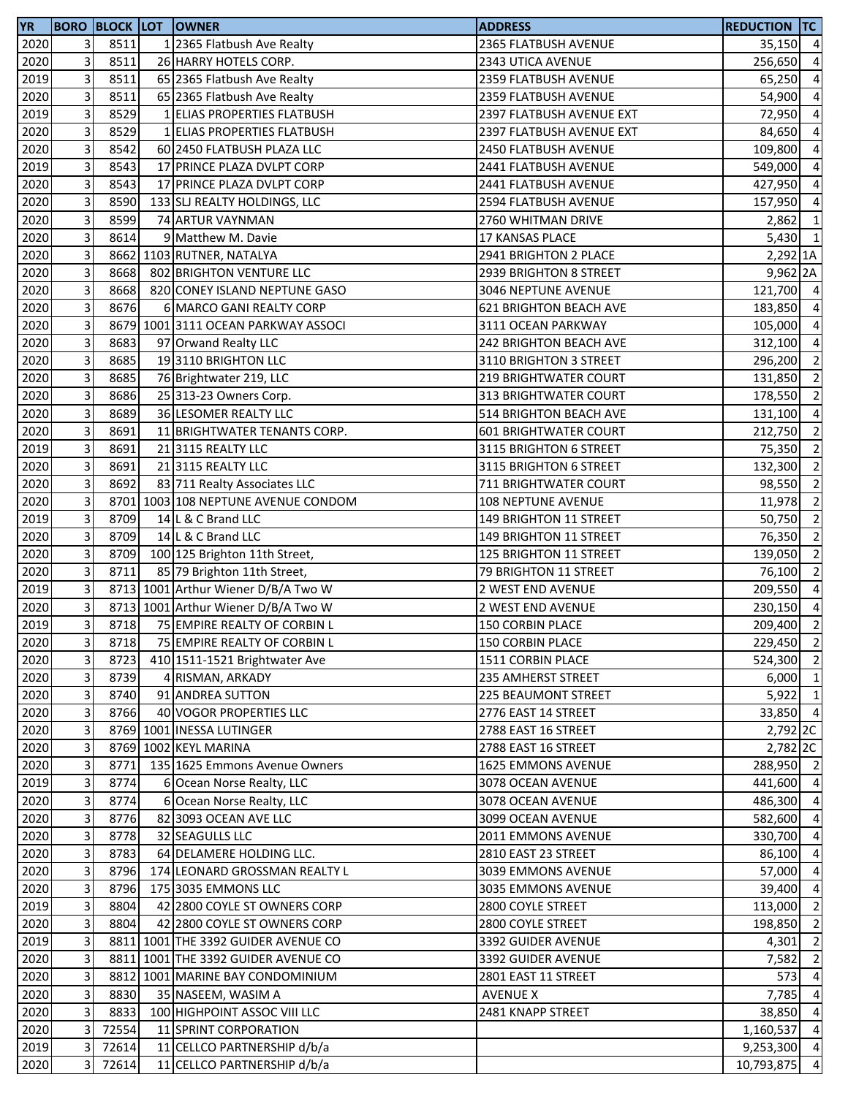| <b>YR</b> |   |       | <b>BORO BLOCK LOT OWNER</b>         | <b>ADDRESS</b>                | <b>REDUCTION TC</b> |                |
|-----------|---|-------|-------------------------------------|-------------------------------|---------------------|----------------|
| 2020      | 3 | 8511  | 1 2365 Flatbush Ave Realty          | 2365 FLATBUSH AVENUE          | $35,150$ 4          |                |
| 2020      | 3 | 8511  | 26 HARRY HOTELS CORP.               | 2343 UTICA AVENUE             | 256,650             | $\overline{4}$ |
| 2019      | 3 | 8511  | 65 2365 Flatbush Ave Realty         | 2359 FLATBUSH AVENUE          | 65,250              | $\overline{4}$ |
| 2020      | 3 | 8511  | 65 2365 Flatbush Ave Realty         | 2359 FLATBUSH AVENUE          | 54,900              | $\overline{4}$ |
| 2019      | 3 | 8529  | 1 ELIAS PROPERTIES FLATBUSH         | 2397 FLATBUSH AVENUE EXT      | 72,950              | $\overline{4}$ |
| 2020      | 3 | 8529  | 1 ELIAS PROPERTIES FLATBUSH         | 2397 FLATBUSH AVENUE EXT      | 84,650              | $\overline{4}$ |
| 2020      | 3 | 8542  | 60 2450 FLATBUSH PLAZA LLC          | 2450 FLATBUSH AVENUE          | 109,800             | $\overline{4}$ |
| 2019      | 3 | 8543  | 17 PRINCE PLAZA DVLPT CORP          | 2441 FLATBUSH AVENUE          | 549,000             | $\overline{4}$ |
| 2020      | 3 | 8543  | 17 PRINCE PLAZA DVLPT CORP          | 2441 FLATBUSH AVENUE          | 427,950             | $\overline{4}$ |
| 2020      | 3 | 8590  | 133 SLJ REALTY HOLDINGS, LLC        | 2594 FLATBUSH AVENUE          | 157,950             | $\overline{a}$ |
| 2020      | 3 | 8599  | 74 ARTUR VAYNMAN                    | 2760 WHITMAN DRIVE            | 2,862               | $\mathbf{1}$   |
| 2020      | 3 | 8614  | 9 Matthew M. Davie                  | 17 KANSAS PLACE               | $5,430$ 1           |                |
|           | 3 |       | 8662 1103 RUTNER, NATALYA           | 2941 BRIGHTON 2 PLACE         |                     |                |
| 2020      | 3 |       |                                     |                               | 2,292 1A            |                |
| 2020      |   | 8668  | 802 BRIGHTON VENTURE LLC            | 2939 BRIGHTON 8 STREET        | 9,962 2A            |                |
| 2020      | 3 | 8668  | 820 CONEY ISLAND NEPTUNE GASO       | 3046 NEPTUNE AVENUE           | 121,700 4           |                |
| 2020      | 3 | 8676  | 6 MARCO GANI REALTY CORP            | <b>621 BRIGHTON BEACH AVE</b> | 183,850             | $\overline{4}$ |
| 2020      | 3 |       | 8679 1001 3111 OCEAN PARKWAY ASSOCI | 3111 OCEAN PARKWAY            | 105,000             | $\overline{4}$ |
| 2020      | 3 | 8683  | 97 Orwand Realty LLC                | 242 BRIGHTON BEACH AVE        | 312,100             | $\overline{4}$ |
| 2020      | 3 | 8685  | 193110 BRIGHTON LLC                 | 3110 BRIGHTON 3 STREET        | 296,200             | $\overline{2}$ |
| 2020      | 3 | 8685  | 76 Brightwater 219, LLC             | <b>219 BRIGHTWATER COURT</b>  | 131,850             | $\overline{2}$ |
| 2020      | 3 | 8686  | 25 313-23 Owners Corp.              | 313 BRIGHTWATER COURT         | 178,550 2           |                |
| 2020      | 3 | 8689  | 36 LESOMER REALTY LLC               | 514 BRIGHTON BEACH AVE        | 131,100 4           |                |
| 2020      | 3 | 8691  | 11 BRIGHTWATER TENANTS CORP.        | <b>601 BRIGHTWATER COURT</b>  | 212,750             | $\overline{2}$ |
| 2019      | 3 | 8691  | 21 3115 REALTY LLC                  | 3115 BRIGHTON 6 STREET        | 75,350              | $\overline{2}$ |
| 2020      | 3 | 8691  | 21 3115 REALTY LLC                  | 3115 BRIGHTON 6 STREET        | 132,300             | $\overline{2}$ |
| 2020      | 3 | 8692  | 83 711 Realty Associates LLC        | 711 BRIGHTWATER COURT         | 98,550              | $\overline{2}$ |
| 2020      | 3 |       | 8701 1003 108 NEPTUNE AVENUE CONDOM | 108 NEPTUNE AVENUE            | 11,978              | $\overline{2}$ |
| 2019      | 3 | 8709  | 14 L & C Brand LLC                  | 149 BRIGHTON 11 STREET        | 50,750              | $\overline{2}$ |
| 2020      | 3 | 8709  | 14 L & C Brand LLC                  | 149 BRIGHTON 11 STREET        | 76,350              | $\overline{2}$ |
| 2020      | 3 | 8709  | 100 125 Brighton 11th Street,       | 125 BRIGHTON 11 STREET        | 139,050             | $\overline{2}$ |
| 2020      | 3 | 8711  | 85 79 Brighton 11th Street,         | 79 BRIGHTON 11 STREET         | 76,100              | $\overline{2}$ |
| 2019      | 3 |       | 8713 1001 Arthur Wiener D/B/A Two W | 2 WEST END AVENUE             | 209,550             | $\overline{4}$ |
| 2020      | 3 |       | 8713 1001 Arthur Wiener D/B/A Two W | 2 WEST END AVENUE             | 230,150             | $\overline{4}$ |
| 2019      | 3 | 8718  | 75 EMPIRE REALTY OF CORBIN L        | 150 CORBIN PLACE              | 209,400             | $\overline{2}$ |
| 2020      | 3 | 8718  | 75 EMPIRE REALTY OF CORBIN L        | 150 CORBIN PLACE              | 229,450 2           |                |
| 2020      | 3 | 8723  | 410 1511-1521 Brightwater Ave       | 1511 CORBIN PLACE             | 524,300 2           |                |
| 2020      | 3 | 8739  | 4 RISMAN, ARKADY                    | 235 AMHERST STREET            | $6,000$ 1           |                |
| 2020      | 3 | 8740  | 91 ANDREA SUTTON                    | 225 BEAUMONT STREET           | $5,922$ 1           |                |
| 2020      | 3 | 8766  | 40 VOGOR PROPERTIES LLC             | 2776 EAST 14 STREET           | 33,850 4            |                |
|           |   |       |                                     |                               |                     |                |
| 2020      | 3 |       | 8769 1001 INESSA LUTINGER           | 2788 EAST 16 STREET           | 2,792 2C            |                |
| 2020      | 3 |       | 8769 1002 KEYL MARINA               | 2788 EAST 16 STREET           | 2,782 2C            |                |
| 2020      | 3 | 8771  | 135 1625 Emmons Avenue Owners       | 1625 EMMONS AVENUE            | 288,950 2           |                |
| 2019      | 3 | 8774  | 6 Ocean Norse Realty, LLC           | 3078 OCEAN AVENUE             | 441,600 4           |                |
| 2020      | 3 | 8774  | 6 Ocean Norse Realty, LLC           | 3078 OCEAN AVENUE             | 486,300             | $\overline{4}$ |
| 2020      | 3 | 8776  | 82 3093 OCEAN AVE LLC               | 3099 OCEAN AVENUE             | 582,600 4           |                |
| 2020      | 3 | 8778  | 32 SEAGULLS LLC                     | 2011 EMMONS AVENUE            | 330,700 4           |                |
| 2020      | 3 | 8783  | 64 DELAMERE HOLDING LLC.            | 2810 EAST 23 STREET           | 86,100 4            |                |
| 2020      | 3 | 8796  | 174 LEONARD GROSSMAN REALTY L       | 3039 EMMONS AVENUE            | 57,000 4            |                |
| 2020      | 3 | 8796  | 175 3035 EMMONS LLC                 | 3035 EMMONS AVENUE            | 39,400 4            |                |
| 2019      | 3 | 8804  | 42 2800 COYLE ST OWNERS CORP        | 2800 COYLE STREET             | 113,000             | $\overline{2}$ |
| 2020      | 3 | 8804  | 42 2800 COYLE ST OWNERS CORP        | 2800 COYLE STREET             | 198,850             | $\overline{2}$ |
| 2019      | 3 |       | 8811 1001 THE 3392 GUIDER AVENUE CO | 3392 GUIDER AVENUE            | 4,301               | $\overline{2}$ |
| 2020      | 3 |       | 8811 1001 THE 3392 GUIDER AVENUE CO | 3392 GUIDER AVENUE            | 7,582               | $\overline{2}$ |
| 2020      | 3 |       | 8812 1001 MARINE BAY CONDOMINIUM    | 2801 EAST 11 STREET           | 573                 | $\overline{4}$ |
| 2020      | 3 | 8830  | 35 NASEEM, WASIM A                  | <b>AVENUE X</b>               | 7,785               | $\overline{4}$ |
| 2020      | 3 | 8833  | 100 HIGHPOINT ASSOC VIII LLC        | 2481 KNAPP STREET             | 38,850              | $\overline{4}$ |
| 2020      | 3 | 72554 | 11 SPRINT CORPORATION               |                               | 1,160,537           | $\overline{4}$ |
| 2019      | 3 | 72614 | 11 CELLCO PARTNERSHIP d/b/a         |                               | 9,253,300 4         |                |
| 2020      | 3 | 72614 | 11 CELLCO PARTNERSHIP d/b/a         |                               | 10,793,875 4        |                |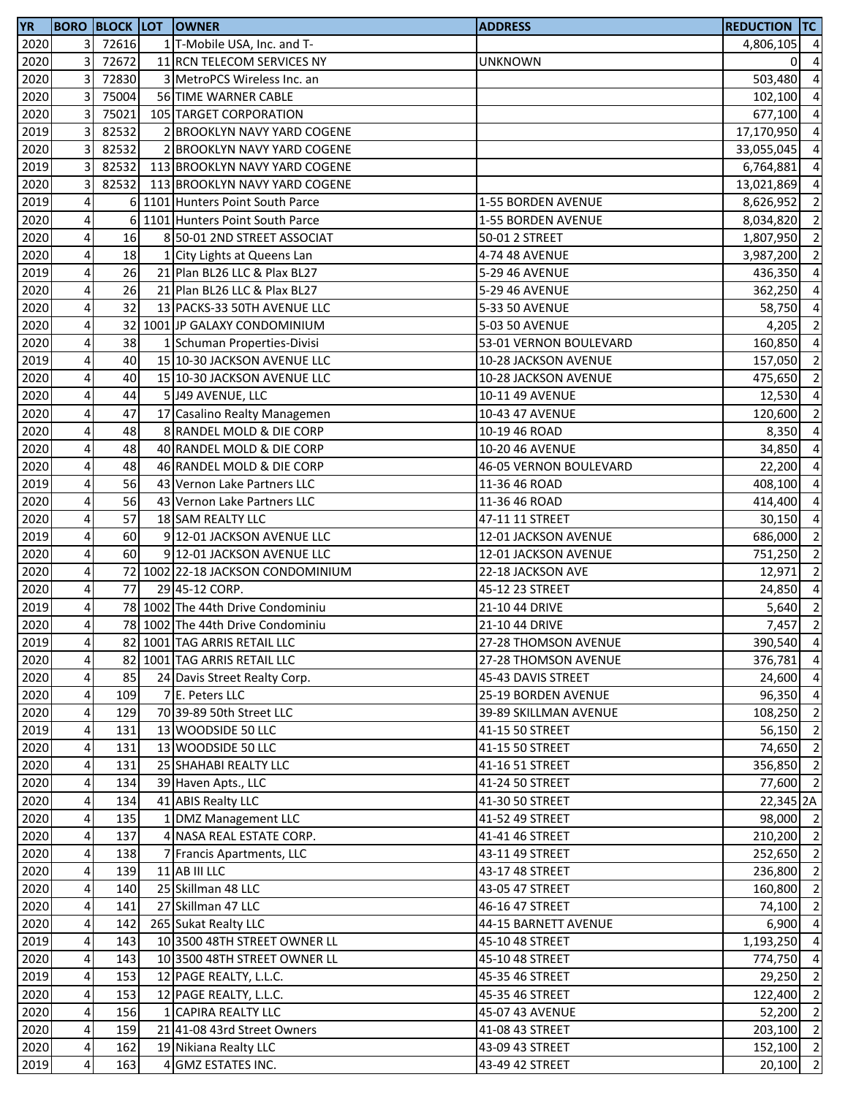| <b>YR</b> |                         |         | <b>BORO BLOCK LOT OWNER</b>       | <b>ADDRESS</b>                                 | <b>REDUCTION TC</b> |                                  |
|-----------|-------------------------|---------|-----------------------------------|------------------------------------------------|---------------------|----------------------------------|
| 2020      |                         | 3 72616 | 1 T-Mobile USA, Inc. and T-       |                                                | 4,806,105 4         |                                  |
| 2020      | $\overline{3}$          | 72672   | 11 RCN TELECOM SERVICES NY        | <b>UNKNOWN</b>                                 | οı                  | $\overline{a}$                   |
| 2020      | 3                       | 72830   | 3 MetroPCS Wireless Inc. an       |                                                | 503,480             | $\overline{a}$                   |
| 2020      | 3                       | 75004   | 56 TIME WARNER CABLE              |                                                | 102,100             | $\overline{a}$                   |
| 2020      | 3                       | 75021   | 105 TARGET CORPORATION            |                                                | 677,100             | $\overline{4}$                   |
| 2019      | 3                       | 82532   | 2 BROOKLYN NAVY YARD COGENE       |                                                | 17,170,950          | $\overline{4}$                   |
| 2020      | 3                       | 82532   | 2 BROOKLYN NAVY YARD COGENE       |                                                | 33,055,045          | $\overline{a}$                   |
| 2019      | 3                       | 82532   | 113 BROOKLYN NAVY YARD COGENE     |                                                | 6,764,881           | $\overline{a}$                   |
| 2020      | 3                       | 82532   | 113 BROOKLYN NAVY YARD COGENE     |                                                | 13,021,869          | $\overline{a}$                   |
| 2019      | 4                       |         | 6 1101 Hunters Point South Parce  | 1-55 BORDEN AVENUE                             | 8,626,952           | $\overline{2}$                   |
| 2020      | 4                       | 6       | 1101 Hunters Point South Parce    | 1-55 BORDEN AVENUE                             | 8,034,820           | $\overline{2}$                   |
| 2020      | $\overline{\mathbf{4}}$ | 16      | 8 50-01 2ND STREET ASSOCIAT       | 50-01 2 STREET                                 | 1,807,950           | $\overline{2}$                   |
| 2020      | 4                       | 18      | 1 City Lights at Queens Lan       | 4-74 48 AVENUE                                 | 3,987,200 2         |                                  |
| 2019      | $\overline{\mathbf{4}}$ | 26      | 21 Plan BL26 LLC & Plax BL27      | 5-29 46 AVENUE                                 | 436,350 4           |                                  |
| 2020      | 4                       | 26      | 21 Plan BL26 LLC & Plax BL27      | 5-29 46 AVENUE                                 | 362,250             | $\overline{4}$                   |
| 2020      | 4                       | 32      | 13 PACKS-33 50TH AVENUE LLC       | 5-33 50 AVENUE                                 | 58,750              | $\overline{a}$                   |
| 2020      | 4                       |         | 32 1001 JP GALAXY CONDOMINIUM     | 5-03 50 AVENUE                                 | 4,205               | $\overline{2}$                   |
| 2020      | 4                       | 38      | 1 Schuman Properties-Divisi       |                                                |                     | $\overline{\mathbf{4}}$          |
| 2019      | 4                       | 40      | 15 10-30 JACKSON AVENUE LLC       | 53-01 VERNON BOULEVARD<br>10-28 JACKSON AVENUE | 160,850             |                                  |
|           | $\overline{\mathbf{4}}$ | 40      |                                   |                                                | 157,050             | $\overline{2}$<br>$\overline{2}$ |
| 2020      |                         |         | 15 10-30 JACKSON AVENUE LLC       | 10-28 JACKSON AVENUE                           | 475,650             |                                  |
| 2020      | 4                       | 44      | 5 J49 AVENUE, LLC                 | 10-11 49 AVENUE                                | 12,530              | $\overline{4}$                   |
| 2020      | 4                       | 47      | 17 Casalino Realty Managemen      | 10-43 47 AVENUE                                | 120,600 2           |                                  |
| 2020      | 4                       | 48      | 8 RANDEL MOLD & DIE CORP          | 10-19 46 ROAD                                  | 8,350 4             |                                  |
| 2020      | 4                       | 48      | 40 RANDEL MOLD & DIE CORP         | 10-20 46 AVENUE                                | 34,850              | $\overline{a}$                   |
| 2020      | 4                       | 48      | 46 RANDEL MOLD & DIE CORP         | 46-05 VERNON BOULEVARD                         | 22,200              | $\overline{a}$                   |
| 2019      | 4                       | 56      | 43 Vernon Lake Partners LLC       | 11-36 46 ROAD                                  | 408,100             | $\overline{a}$                   |
| 2020      | 4                       | 56      | 43 Vernon Lake Partners LLC       | 11-36 46 ROAD                                  | 414,400             | $\overline{a}$                   |
| 2020      | 4                       | 57      | 18 SAM REALTY LLC                 | 47-11 11 STREET                                | 30,150              | $\overline{a}$                   |
| 2019      | 4                       | 60      | 9 12-01 JACKSON AVENUE LLC        | 12-01 JACKSON AVENUE                           | 686,000             | $\overline{2}$                   |
| 2020      | 4                       | 60      | 9 12-01 JACKSON AVENUE LLC        | 12-01 JACKSON AVENUE                           | 751,250 2           |                                  |
| 2020      | $\overline{\mathbf{4}}$ |         | 72 1002 22-18 JACKSON CONDOMINIUM | 22-18 JACKSON AVE                              | 12,971              | $\overline{\mathbf{2}}$          |
| 2020      | 4                       | 77      | 29 45-12 CORP.                    | 45-12 23 STREET                                | 24,850              | $\overline{4}$                   |
| 2019      | $\overline{a}$          |         | 78 1002 The 44th Drive Condominiu | 21-10 44 DRIVE                                 | 5,640               | $\overline{2}$                   |
| 2020      | 4                       |         | 78 1002 The 44th Drive Condominiu | 21-10 44 DRIVE                                 | 7,457 2             |                                  |
| 2019      | $\overline{4}$          |         | 82 1001 TAG ARRIS RETAIL LLC      | 27-28 THOMSON AVENUE                           | 390,540 4           |                                  |
| 2020      | 4                       |         | 82 1001 TAG ARRIS RETAIL LLC      | 27-28 THOMSON AVENUE                           | 376,781             | $\overline{a}$                   |
| 2020      | $\overline{\mathbf{4}}$ | 85      | 24 Davis Street Realty Corp.      | 45-43 DAVIS STREET                             | 24,600              | $\overline{4}$                   |
| 2020      | 4                       | 109     | 7 E. Peters LLC                   | 25-19 BORDEN AVENUE                            | 96,350              | $\overline{4}$                   |
| 2020      | $\overline{\mathbf{4}}$ | 129     | 70 39-89 50th Street LLC          | 39-89 SKILLMAN AVENUE                          | 108,250 2           |                                  |
| 2019      | $\overline{4}$          | 131     | 13 WOODSIDE 50 LLC                | 41-15 50 STREET                                | 56,150              | $\overline{\phantom{a}}$         |
| 2020      | $\overline{4}$          | 131     | 13 WOODSIDE 50 LLC                | 41-15 50 STREET                                | 74,650 2            |                                  |
| 2020      | $\overline{a}$          | 131     | 25 SHAHABI REALTY LLC             | 41-16 51 STREET                                | 356,850 2           |                                  |
| 2020      | $\overline{4}$          | 134     | 39 Haven Apts., LLC               | 41-24 50 STREET                                | 77,600 2            |                                  |
| 2020      | $\overline{4}$          | 134     | 41 ABIS Realty LLC                | 41-30 50 STREET                                | 22,345 2A           |                                  |
| 2020      | $\overline{\mathbf{4}}$ | 135     | 1 DMZ Management LLC              | 41-52 49 STREET                                | 98,000 2            |                                  |
| 2020      | $\overline{4}$          | 137     | 4 NASA REAL ESTATE CORP.          | 41-41 46 STREET                                | 210,200 2           |                                  |
| 2020      | $\pmb{4}$               | 138     | 7 Francis Apartments, LLC         | 43-11 49 STREET                                | 252,650 2           |                                  |
| 2020      | $\overline{4}$          | 139     | 11 AB III LLC                     | 43-17 48 STREET                                | 236,800 2           |                                  |
| 2020      | $\overline{\mathbf{4}}$ | 140     | 25 Skillman 48 LLC                | 43-05 47 STREET                                | 160,800 2           |                                  |
| 2020      | $\overline{4}$          | 141     | 27 Skillman 47 LLC                | 46-16 47 STREET                                | 74,100              | $\overline{2}$                   |
| 2020      | $\overline{\mathbf{r}}$ | 142     | 265 Sukat Realty LLC              | 44-15 BARNETT AVENUE                           | 6,900               | $\overline{a}$                   |
| 2019      | $\overline{a}$          | 143     | 10 3500 48TH STREET OWNER LL      | 45-10 48 STREET                                | 1,193,250           | $\overline{a}$                   |
| 2020      | $\overline{\mathbf{4}}$ | 143     | 10 3500 48TH STREET OWNER LL      | 45-10 48 STREET                                | 774,750 4           |                                  |
| 2019      | $\overline{4}$          | 153     | 12 PAGE REALTY, L.L.C.            | 45-35 46 STREET                                | 29,250              | $\overline{2}$                   |
| 2020      | $\pmb{4}$               | 153     | 12 PAGE REALTY, L.L.C.            | 45-35 46 STREET                                | 122,400 2           |                                  |
| 2020      | $\overline{\mathbf{4}}$ | 156     | 1 CAPIRA REALTY LLC               | 45-07 43 AVENUE                                | 52,200 2            |                                  |
| 2020      | $\overline{\mathbf{4}}$ | 159     | 21 41-08 43rd Street Owners       | 41-08 43 STREET                                | 203,100 2           |                                  |
| 2020      | $\pmb{4}$               | 162     | 19 Nikiana Realty LLC             | 43-09 43 STREET                                | 152,100 2           |                                  |
| 2019      | $\overline{a}$          | 163     | GMZ ESTATES INC.                  | 43-49 42 STREET                                | 20,100 2            |                                  |
|           |                         |         |                                   |                                                |                     |                                  |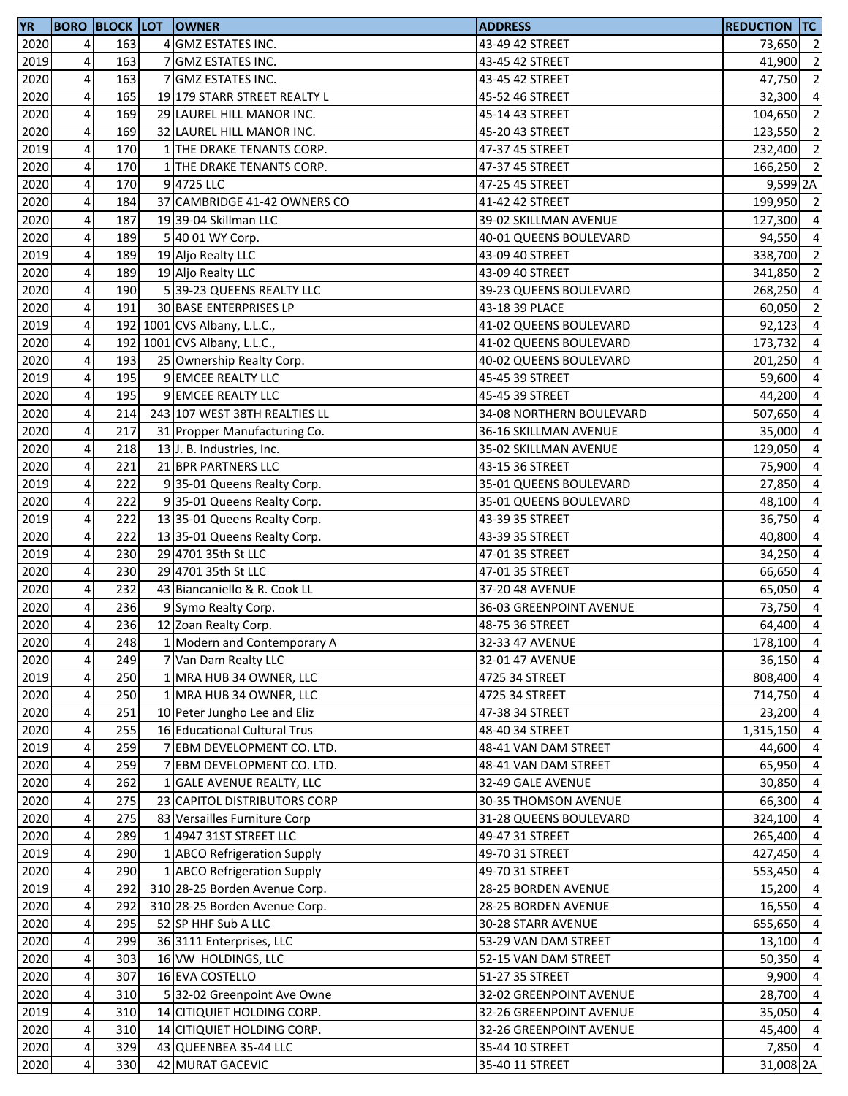| <b>YR</b>    |                                                    | <b>BORO BLOCK LOT</b> |   | <b>OWNER</b>                                        | <b>ADDRESS</b>                     | <b>REDUCTION TC</b> |                                  |
|--------------|----------------------------------------------------|-----------------------|---|-----------------------------------------------------|------------------------------------|---------------------|----------------------------------|
| 2020         | 4                                                  | 163                   | 4 | <b>GMZ ESTATES INC.</b>                             | 43-49 42 STREET                    | 73,650 2            |                                  |
| 2019         | 4                                                  | 163                   |   | <b>GMZ ESTATES INC.</b>                             | 43-45 42 STREET                    | 41,900              | $\overline{2}$                   |
| 2020         | $\overline{\mathbf{4}}$                            | 163                   |   | GMZ ESTATES INC.                                    | 43-45 42 STREET                    | 47,750              | $\overline{2}$                   |
| 2020         | $\overline{\mathbf{4}}$                            | 165                   |   | 19 179 STARR STREET REALTY L                        | 45-52 46 STREET                    | 32,300              | $\overline{a}$                   |
| 2020         | $\overline{\mathbf{4}}$                            | 169                   |   | 29 LAUREL HILL MANOR INC.                           | 45-14 43 STREET                    | 104,650 2           |                                  |
| 2020         | $\overline{\mathbf{4}}$                            | 169                   |   | 32 LAUREL HILL MANOR INC.                           | 45-20 43 STREET                    | 123,550             | $\overline{\mathbf{c}}$          |
| 2019         | $\overline{\mathbf{4}}$                            | 170                   |   | 1 THE DRAKE TENANTS CORP.                           | 47-37 45 STREET                    | 232,400 2           |                                  |
| 2020         | $\pmb{4}$                                          | 170                   |   | THE DRAKE TENANTS CORP.                             | 47-37 45 STREET                    | 166,250             | $\overline{2}$                   |
| 2020         | $\pmb{4}$                                          | 170                   |   | 9 4725 LLC                                          | 47-25 45 STREET                    | 9,599 2A            |                                  |
| 2020         | 4                                                  | 184                   |   | 37 CAMBRIDGE 41-42 OWNERS CO                        | 41-42 42 STREET                    | 199,950 2           |                                  |
| 2020         | $\overline{\mathbf{r}}$                            | 187                   |   | 19 39-04 Skillman LLC                               | 39-02 SKILLMAN AVENUE              | 127,300             | $\overline{a}$                   |
| 2020         | $\overline{\mathbf{4}}$                            | 189                   |   | 5 40 01 WY Corp.                                    | 40-01 QUEENS BOULEVARD             | 94,550              | $\overline{a}$                   |
| 2019         | $\pmb{4}$                                          | 189                   |   | 19 Aljo Realty LLC                                  | 43-09 40 STREET                    | 338,700 2           |                                  |
| 2020         | $\overline{\mathbf{4}}$                            | 189                   |   | 19 Aljo Realty LLC                                  | 43-09 40 STREET                    | 341,850             | $\overline{\mathbf{c}}$          |
| 2020         | $\overline{\mathbf{4}}$                            | 190                   |   | 5 39-23 QUEENS REALTY LLC                           | 39-23 QUEENS BOULEVARD             | 268,250             | $\overline{a}$                   |
| 2020         | $\overline{4}$                                     | 191                   |   | 30 BASE ENTERPRISES LP                              | 43-18 39 PLACE                     | 60,050              | $\overline{\mathbf{c}}$          |
| 2019         | $\pmb{4}$                                          |                       |   | 192 1001 CVS Albany, L.L.C.,                        | 41-02 QUEENS BOULEVARD             | 92,123              | $\overline{\mathbf{4}}$          |
| 2020         | $\overline{\mathbf{4}}$                            |                       |   | 192 1001 CVS Albany, L.L.C.,                        | 41-02 QUEENS BOULEVARD             | 173,732             | $\overline{\mathbf{4}}$          |
| 2020         | $\pmb{4}$                                          | 193                   |   | 25 Ownership Realty Corp.                           | 40-02 QUEENS BOULEVARD             | 201,250             | $\overline{a}$                   |
| 2019         | $\overline{\mathbf{4}}$                            | 195                   |   | 9 EMCEE REALTY LLC                                  | 45-45 39 STREET                    | 59,600              | $\overline{\mathbf{4}}$          |
| 2020         | 4                                                  | 195                   |   | 9 EMCEE REALTY LLC                                  | 45-45 39 STREET                    | 44,200              | $\overline{4}$                   |
| 2020         | $\overline{\mathbf{4}}$                            | 214                   |   | 243 107 WEST 38TH REALTIES LL                       | 34-08 NORTHERN BOULEVARD           | 507,650             | $\overline{a}$                   |
| 2020         | 4                                                  | 217                   |   | 31 Propper Manufacturing Co.                        | 36-16 SKILLMAN AVENUE              | 35,000              | $\overline{4}$                   |
| 2020         | $\pmb{4}$                                          | 218                   |   | 13 J. B. Industries, Inc.                           | 35-02 SKILLMAN AVENUE              | 129,050             | $\overline{4}$                   |
| 2020         | $\overline{a}$                                     | 221                   |   | 21 BPR PARTNERS LLC                                 | 43-15 36 STREET                    | 75,900              | $\overline{a}$                   |
| 2019         | 4                                                  | 222                   |   | 9 35-01 Queens Realty Corp.                         | 35-01 QUEENS BOULEVARD             | 27,850              | $\overline{a}$                   |
| 2020         | 4                                                  | 222                   |   | 9 35-01 Queens Realty Corp.                         | 35-01 QUEENS BOULEVARD             | 48,100              | $\overline{a}$                   |
| 2019         | $\pmb{4}$                                          | 222                   |   | 13 35-01 Queens Realty Corp.                        | 43-39 35 STREET                    | 36,750              | $\overline{a}$                   |
| 2020         | $\pmb{4}$                                          | 222                   |   | 13 35-01 Queens Realty Corp.                        | 43-39 35 STREET                    | 40,800              | $\overline{a}$                   |
| 2019         | $\overline{\mathbf{4}}$                            | 230                   |   | 29 4701 35th St LLC                                 |                                    | 34,250              | $\overline{a}$                   |
| 2020         | $\overline{\mathbf{4}}$                            | 230                   |   | 29 4701 35th St LLC                                 | 47-01 35 STREET                    | 66,650              | $\overline{4}$                   |
| 2020         | $\overline{\mathbf{4}}$                            | 232                   |   | 43 Biancaniello & R. Cook LL                        | 47-01 35 STREET<br>37-20 48 AVENUE | 65,050              | $\overline{4}$                   |
|              |                                                    | 236                   |   |                                                     |                                    |                     |                                  |
| 2020<br>2020 | $\overline{\mathbf{r}}$<br>$\overline{\mathbf{r}}$ | 236                   |   | 9 Symo Realty Corp.                                 | 36-03 GREENPOINT AVENUE            | 73,750<br>64,400    | $\overline{4}$<br>$\overline{4}$ |
|              |                                                    |                       |   | 12 Zoan Realty Corp.                                | 48-75 36 STREET                    |                     |                                  |
| 2020         | 4 <sup>1</sup>                                     | 248<br>249            |   | 1 Modern and Contemporary A<br>7 Van Dam Realty LLC | 32-33 47 AVENUE                    | 178,100 4           |                                  |
| 2020         | $\overline{\mathbf{r}}$                            |                       |   |                                                     | 32-01 47 AVENUE                    | 36,150 4            |                                  |
| 2019         | $\pmb{4}$                                          | 250                   |   | 1 MRA HUB 34 OWNER, LLC                             | 4725 34 STREET                     | 808,400             | $\overline{a}$                   |
| 2020         | $\pmb{4}$                                          | 250                   |   | 1 MRA HUB 34 OWNER, LLC                             | 4725 34 STREET                     | 714,750 4           |                                  |
| 2020         | $\overline{\mathbf{4}}$                            | 251                   |   | 10 Peter Jungho Lee and Eliz                        | 47-38 34 STREET                    | 23,200 4            |                                  |
| 2020         | $\overline{\mathbf{4}}$                            | 255                   |   | 16 Educational Cultural Trus                        | 48-40 34 STREET                    | 1,315,150           | $\overline{4}$                   |
| 2019         | $\overline{\mathbf{r}}$                            | 259                   |   | 7 EBM DEVELOPMENT CO. LTD.                          | 48-41 VAN DAM STREET               | 44,600              | $\overline{4}$                   |
| 2020         | $\overline{\mathbf{r}}$                            | 259                   |   | EBM DEVELOPMENT CO. LTD.                            | 48-41 VAN DAM STREET               | 65,950              | $\overline{a}$                   |
| 2020         | $\overline{4}$                                     | 262                   |   | 1 GALE AVENUE REALTY, LLC                           | 32-49 GALE AVENUE                  | 30,850              | $\overline{a}$                   |
| 2020         | $\overline{\mathbf{4}}$                            | 275                   |   | 23 CAPITOL DISTRIBUTORS CORP                        | 30-35 THOMSON AVENUE               | 66,300              | $\overline{a}$                   |
| 2020         | $\overline{\mathbf{4}}$                            | 275                   |   | 83 Versailles Furniture Corp                        | 31-28 QUEENS BOULEVARD             | 324,100             | $\overline{a}$                   |
| 2020         | $\overline{4}$                                     | 289                   |   | 1 4947 31ST STREET LLC                              | 49-47 31 STREET                    | 265,400             | $\overline{a}$                   |
| 2019         | $\overline{\mathbf{4}}$                            | 290                   |   | 1 ABCO Refrigeration Supply                         | 49-70 31 STREET                    | 427,450             | $\overline{4}$                   |
| 2020         | $\overline{\mathbf{4}}$                            | 290                   |   | 1 ABCO Refrigeration Supply                         | 49-70 31 STREET                    | 553,450             | $\overline{4}$                   |
| 2019         | $\overline{\mathbf{4}}$                            | 292                   |   | 310 28-25 Borden Avenue Corp.                       | 28-25 BORDEN AVENUE                | 15,200              | $\overline{4}$                   |
| 2020         | $\overline{a}$                                     | 292                   |   | 310 28-25 Borden Avenue Corp.                       | 28-25 BORDEN AVENUE                | 16,550              | $\overline{4}$                   |
| 2020         | 4                                                  | 295                   |   | 52 SP HHF Sub A LLC                                 | 30-28 STARR AVENUE                 | 655,650             | $\overline{a}$                   |
| 2020         | 4                                                  | 299                   |   | 36 3111 Enterprises, LLC                            | 53-29 VAN DAM STREET               | 13,100              | $\overline{a}$                   |
| 2020         | $\overline{\mathbf{4}}$                            | 303                   |   | 16 VW HOLDINGS, LLC                                 | 52-15 VAN DAM STREET               | 50,350              | $\overline{a}$                   |
| 2020         | 4                                                  | 307                   |   | 16 EVA COSTELLO                                     | 51-27 35 STREET                    | 9,900               | $\overline{a}$                   |
| 2020         | $\overline{\mathbf{4}}$                            | 310                   |   | 532-02 Greenpoint Ave Owne                          | 32-02 GREENPOINT AVENUE            | 28,700 4            |                                  |
| 2019         | $\overline{\mathbf{4}}$                            | 310                   |   | 14 CITIQUIET HOLDING CORP.                          | 32-26 GREENPOINT AVENUE            | 35,050              | $\overline{4}$                   |
| 2020         | $\overline{\mathbf{4}}$                            | 310                   |   | 14 CITIQUIET HOLDING CORP.                          | 32-26 GREENPOINT AVENUE            | 45,400              | $\overline{4}$                   |
| 2020         | $\overline{\mathbf{r}}$                            | 329                   |   | 43 QUEENBEA 35-44 LLC                               | 35-44 10 STREET                    | 7,850 4             |                                  |
| 2020         | $\pmb{4}$                                          | 330                   |   | 42 MURAT GACEVIC                                    | 35-40 11 STREET                    | 31,008 2A           |                                  |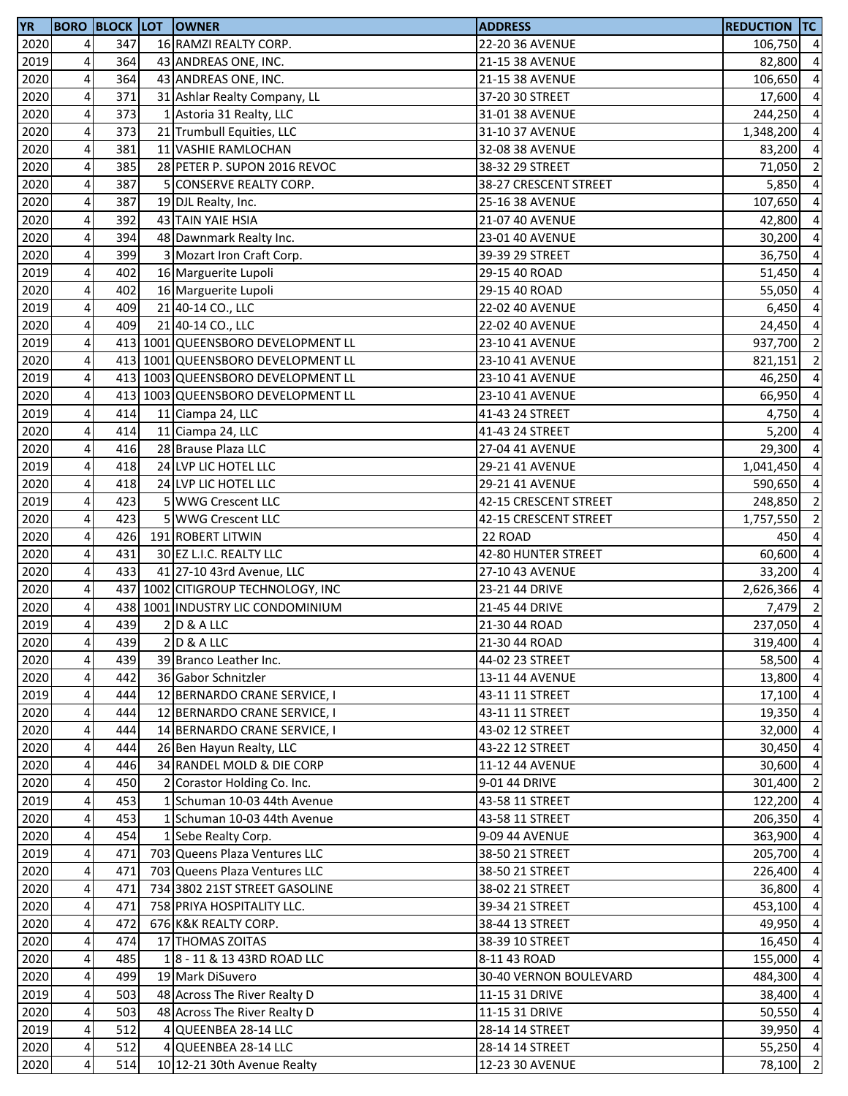| <b>YR</b> |                         | <b>BORO BLOCK LOT</b> | <b>OWNER</b>                       | <b>ADDRESS</b>         | <b>REDUCTION TC</b> |                          |
|-----------|-------------------------|-----------------------|------------------------------------|------------------------|---------------------|--------------------------|
| 2020      | 4                       | 347                   | 16 RAMZI REALTY CORP.              | 22-20 36 AVENUE        | 106,750 4           |                          |
| 2019      | 4                       | 364                   | 43 ANDREAS ONE, INC.               | 21-15 38 AVENUE        | 82,800              | $\overline{a}$           |
| 2020      | 4                       | 364                   | 43 ANDREAS ONE, INC.               | 21-15 38 AVENUE        | 106,650             | $\overline{\mathbf{4}}$  |
| 2020      | 4                       | 371                   | 31 Ashlar Realty Company, LL       | 37-20 30 STREET        | 17,600              | $\overline{4}$           |
| 2020      | $\overline{\mathbf{4}}$ | 373                   | 1 Astoria 31 Realty, LLC           | 31-01 38 AVENUE        | 244,250             | $\overline{4}$           |
| 2020      | 4                       | 373                   | 21 Trumbull Equities, LLC          | 31-10 37 AVENUE        | 1,348,200           | $\overline{4}$           |
| 2020      | 4                       | 381                   | 11 VASHIE RAMLOCHAN                | 32-08 38 AVENUE        | 83,200              | $\overline{a}$           |
| 2020      | 4                       | 385                   | 28 PETER P. SUPON 2016 REVOC       | 38-32 29 STREET        | 71,050              | $\overline{2}$           |
| 2020      | 4                       | 387                   | <b>CONSERVE REALTY CORP.</b>       | 38-27 CRESCENT STREET  | 5,850               | $\overline{a}$           |
| 2020      | 4                       | 387                   | 19 DJL Realty, Inc.                | 25-16 38 AVENUE        | 107,650             | $\overline{a}$           |
| 2020      | $\overline{\mathbf{4}}$ | 392                   | 43 TAIN YAIE HSIA                  | 21-07 40 AVENUE        | 42,800              | $\overline{a}$           |
| 2020      | 4                       | 394                   | 48 Dawnmark Realty Inc.            | 23-01 40 AVENUE        | 30,200              | $\overline{a}$           |
| 2020      | $\overline{\mathbf{4}}$ | 399                   | 3 Mozart Iron Craft Corp.          | 39-39 29 STREET        | 36,750              | $\overline{4}$           |
| 2019      | $\overline{\mathbf{4}}$ | 402                   | 16 Marguerite Lupoli               | 29-15 40 ROAD          | 51,450              | $\overline{4}$           |
| 2020      | $\pmb{4}$               | 402                   | 16 Marguerite Lupoli               | 29-15 40 ROAD          | 55,050              | $\overline{4}$           |
| 2019      | 4                       | 409                   | 21 40-14 CO., LLC                  | 22-02 40 AVENUE        | 6,450               | $\overline{a}$           |
| 2020      | 4                       | 409                   | 21 40-14 CO., LLC                  | 22-02 40 AVENUE        | 24,450              | $\overline{\mathbf{4}}$  |
| 2019      | 4                       |                       | 413 1001 QUEENSBORO DEVELOPMENT LL | 23-10 41 AVENUE        | 937,700             | $\overline{2}$           |
| 2020      | $\overline{\mathbf{4}}$ |                       | 413 1001 QUEENSBORO DEVELOPMENT LL | 23-10 41 AVENUE        | 821,151             | $\overline{2}$           |
| 2019      | 4                       |                       | 413 1003 QUEENSBORO DEVELOPMENT LL | 23-10 41 AVENUE        | 46,250              | $\overline{a}$           |
| 2020      | $\pmb{4}$               |                       | 413 1003 QUEENSBORO DEVELOPMENT LL | 23-10 41 AVENUE        | 66,950              | $\overline{a}$           |
| 2019      | 4                       | 414                   | 11 Ciampa 24, LLC                  | 41-43 24 STREET        | 4,750               | $\overline{4}$           |
| 2020      | 4                       | 414                   | 11 Ciampa 24, LLC                  | 41-43 24 STREET        | 5,200               | $\overline{a}$           |
| 2020      | 4                       | 416                   | 28 Brause Plaza LLC                | 27-04 41 AVENUE        | 29,300              | $\overline{a}$           |
| 2019      | 4                       | 418                   | 24 LVP LIC HOTEL LLC               | 29-21 41 AVENUE        | 1,041,450           | $\overline{a}$           |
| 2020      | 4                       | 418                   | 24 LVP LIC HOTEL LLC               | 29-21 41 AVENUE        | 590,650             | $\overline{a}$           |
| 2019      | 4                       | 423                   | 5 WWG Crescent LLC                 | 42-15 CRESCENT STREET  | 248,850             | $\overline{2}$           |
| 2020      | $\overline{\mathbf{4}}$ | 423                   | 5 WWG Crescent LLC                 | 42-15 CRESCENT STREET  | 1,757,550           | $\overline{2}$           |
| 2020      | $\pmb{4}$               | 426                   | 191 ROBERT LITWIN                  | 22 ROAD                | 450                 | $\overline{a}$           |
| 2020      | $\overline{\mathbf{4}}$ | 431                   | 30 EZ L.I.C. REALTY LLC            | 42-80 HUNTER STREET    | 60,600              | $\overline{4}$           |
| 2020      | $\pmb{4}$               | 433                   | 41 27-10 43rd Avenue, LLC          | 27-10 43 AVENUE        | 33,200              | $\overline{a}$           |
| 2020      | $\overline{4}$          |                       | 437 1002 CITIGROUP TECHNOLOGY, INC | 23-21 44 DRIVE         | 2,626,366           | $\overline{a}$           |
| 2020      | 4                       |                       | 438 1001 INDUSTRY LIC CONDOMINIUM  | 21-45 44 DRIVE         | $7,479$ 2           |                          |
| 2019      | 4                       | 439                   | $2$ D & A LLC                      | 21-30 44 ROAD          | 237,050             | $\overline{\phantom{a}}$ |
| 2020      | 4                       | 439                   | $2$ D & A LLC                      | 21-30 44 ROAD          | 319,400 4           |                          |
| 2020      | $\overline{\mathbf{4}}$ | 439                   | 39 Branco Leather Inc.             | 44-02 23 STREET        | 58,500 4            |                          |
| 2020      | 4                       | 442                   | 36 Gabor Schnitzler                | 13-11 44 AVENUE        | 13,800 4            |                          |
| 2019      | $\overline{\mathbf{4}}$ | 444                   | 12 BERNARDO CRANE SERVICE, I       | 43-11 11 STREET        | $17,100$ 4          |                          |
| 2020      | 4                       | 444                   | 12 BERNARDO CRANE SERVICE, I       | 43-11 11 STREET        | 19,350              | $\overline{4}$           |
| 2020      | $\overline{4}$          | 444                   | 14 BERNARDO CRANE SERVICE, I       | 43-02 12 STREET        | 32,000              | $\overline{4}$           |
| 2020      | 4                       | 444                   | 26 Ben Hayun Realty, LLC           | 43-22 12 STREET        | 30,450              | $\overline{4}$           |
| 2020      | 4                       | 446                   | 34 RANDEL MOLD & DIE CORP          | 11-12 44 AVENUE        | 30,600              | $\overline{a}$           |
| 2020      | 4                       | 450                   | Corastor Holding Co. Inc.          | 9-01 44 DRIVE          | 301,400             | $\overline{2}$           |
| 2019      | $\overline{\mathbf{4}}$ | 453                   | 1 Schuman 10-03 44th Avenue        | 43-58 11 STREET        | 122,200             | $\overline{4}$           |
| 2020      | 4                       | 453                   | 1 Schuman 10-03 44th Avenue        | 43-58 11 STREET        | 206,350             | $\overline{a}$           |
| 2020      | $\pmb{4}$               | 454                   | 1 Sebe Realty Corp.                | 9-09 44 AVENUE         | 363,900 4           |                          |
| 2019      | $\overline{4}$          | 471                   | 703 Queens Plaza Ventures LLC      | 38-50 21 STREET        | 205,700 4           |                          |
| 2020      | 4                       | 471                   | 703 Queens Plaza Ventures LLC      | 38-50 21 STREET        | 226,400             | $\overline{4}$           |
| 2020      | $\overline{a}$          | 471                   | 734 3802 21ST STREET GASOLINE      | 38-02 21 STREET        | 36,800              | $\overline{4}$           |
| 2020      | 4                       | 471                   | 758 PRIYA HOSPITALITY LLC.         | 39-34 21 STREET        | 453,100             | $\overline{a}$           |
| 2020      | 4                       | 472                   | 676 K&K REALTY CORP.               | 38-44 13 STREET        | 49,950              | $\overline{a}$           |
| 2020      | $\pmb{4}$               | 474                   | 17 THOMAS ZOITAS                   | 38-39 10 STREET        | 16,450              | $\overline{a}$           |
| 2020      | $\overline{4}$          | 485                   | 18 - 11 & 13 43RD ROAD LLC         | 8-11 43 ROAD           | 155,000             | $\overline{a}$           |
| 2020      | 4                       | 499                   | 19 Mark DiSuvero                   | 30-40 VERNON BOULEVARD | 484,300 4           |                          |
| 2019      | $\overline{\mathbf{4}}$ | 503                   | 48 Across The River Realty D       | 11-15 31 DRIVE         | 38,400 4            |                          |
| 2020      | $\overline{\mathbf{4}}$ | 503                   | 48 Across The River Realty D       | 11-15 31 DRIVE         | 50,550 4            |                          |
| 2019      | $\overline{4}$          | 512                   | QUEENBEA 28-14 LLC                 | 28-14 14 STREET        | 39,950              | $\overline{4}$           |
| 2020      | $\pmb{4}$               | 512                   | 4 QUEENBEA 28-14 LLC               | 28-14 14 STREET        | 55,250 4            |                          |
| 2020      | $\pmb{4}$               | 514                   | 10 12-21 30th Avenue Realty        | 12-23 30 AVENUE        | 78,100              | $\overline{2}$           |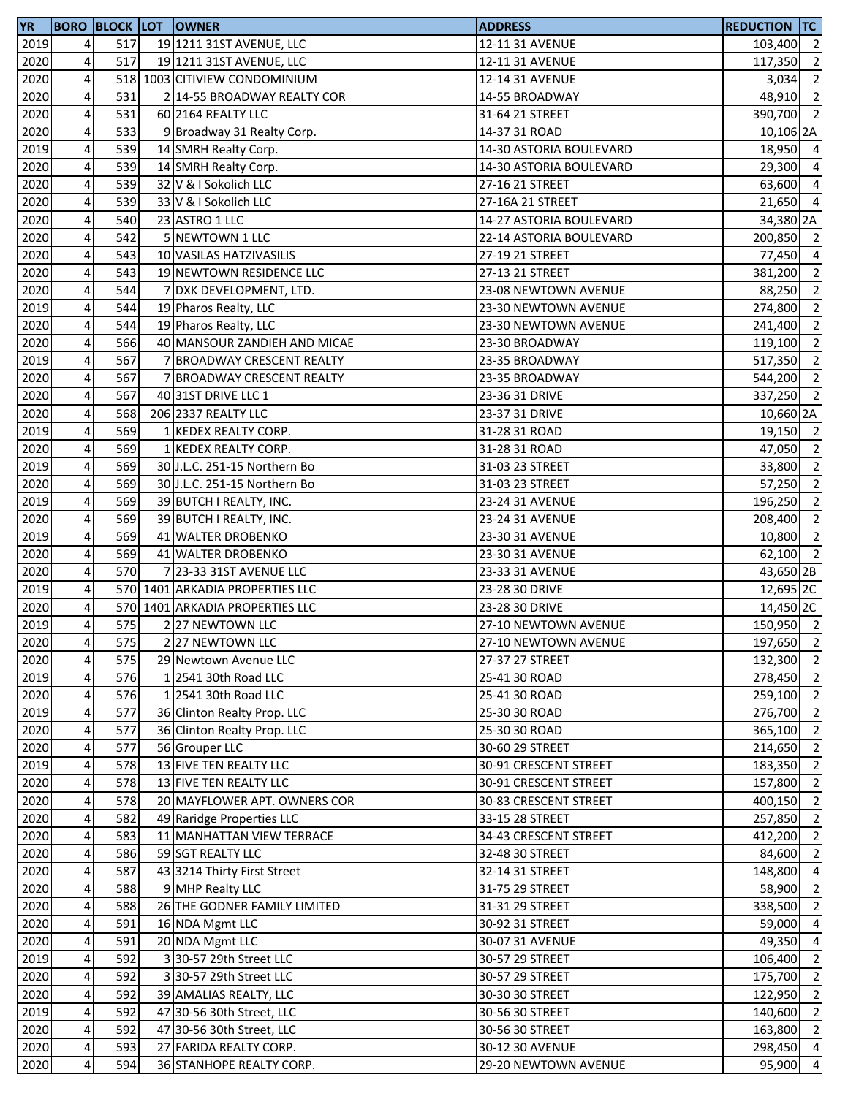| 2019<br>$\overline{\mathbf{r}}$<br>517<br>19 1211 31ST AVENUE, LLC<br>12-11 31 AVENUE<br>103,400 2<br>$\overline{4}$<br>517<br>2020<br>19 1211 31ST AVENUE, LLC<br>12-11 31 AVENUE<br>$\overline{\mathbf{r}}$<br>2020<br>518 1003 CITIVIEW CONDOMINIUM<br>12-14 31 AVENUE<br>3,034<br>4<br>2020<br>531<br>2 14-55 BROADWAY REALTY COR<br>14-55 BROADWAY<br>$\pmb{4}$<br>531<br>2020<br>60 2164 REALTY LLC<br>31-64 21 STREET<br>$\overline{4}$<br>2020<br>533<br>9 Broadway 31 Realty Corp.<br>14-37 31 ROAD<br>4<br>539<br>2019<br>14 SMRH Realty Corp.<br>14-30 ASTORIA BOULEVARD<br>18,950<br>2020<br>4<br>539<br>14 SMRH Realty Corp.<br>14-30 ASTORIA BOULEVARD<br>29,300<br>4<br>2020<br>539<br>32 V & I Sokolich LLC<br>27-16 21 STREET<br>63,600<br>4<br>2020<br>539<br>33 V & I Sokolich LLC<br>27-16A 21 STREET<br>21,650<br>4<br>2020<br>540<br>23 ASTRO 1 LLC<br>14-27 ASTORIA BOULEVARD<br>$\overline{\mathbf{4}}$<br>542<br>5 NEWTOWN 1 LLC<br>2020<br>22-14 ASTORIA BOULEVARD<br>$\pmb{4}$<br>2020<br>543<br>10 VASILAS HATZIVASILIS<br>27-19 21 STREET<br>77,450<br>$\overline{\mathbf{4}}$<br>2020<br>543<br>19 NEWTOWN RESIDENCE LLC<br>27-13 21 STREET<br>$\overline{\mathbf{4}}$<br>544<br>2020<br>23-08 NEWTOWN AVENUE<br>88,250<br>7 DXK DEVELOPMENT, LTD.<br>$\overline{\mathbf{4}}$<br>544<br>2019<br>19 Pharos Realty, LLC<br>23-30 NEWTOWN AVENUE<br>274,800<br>4<br>544<br>2020<br>19 Pharos Realty, LLC<br>23-30 NEWTOWN AVENUE<br>241,400<br>4<br>566<br>2020<br>40 MANSOUR ZANDIEH AND MICAE<br>23-30 BROADWAY<br>119,100<br>2019<br>4<br>567<br>7 BROADWAY CRESCENT REALTY<br>23-35 BROADWAY<br>517,350<br>$\overline{\mathbf{4}}$<br>2020<br>567<br>7 BROADWAY CRESCENT REALTY<br>23-35 BROADWAY<br>4<br>567<br>2020<br>40 31ST DRIVE LLC 1<br>23-36 31 DRIVE<br>4<br>568<br>2020<br>206 2337 REALTY LLC<br>23-37 31 DRIVE<br>4<br>2019<br>569<br>1 KEDEX REALTY CORP.<br>31-28 31 ROAD<br>4<br>569<br>2020<br>1 KEDEX REALTY CORP.<br>31-28 31 ROAD<br>2019<br>4<br>569<br>30 J.L.C. 251-15 Northern Bo<br>31-03 23 STREET<br>33,800<br>569<br>4<br>2020<br>30 J.L.C. 251-15 Northern Bo<br>31-03 23 STREET<br>57,250<br>4<br>2019<br>569<br>39 BUTCH I REALTY, INC.<br>23-24 31 AVENUE<br>196,250<br>$\pmb{4}$<br>569<br>2020<br>39 BUTCH I REALTY, INC.<br>23-24 31 AVENUE<br>208,400<br>$\overline{\mathbf{4}}$<br>569<br>2019<br>41 WALTER DROBENKO<br>23-30 31 AVENUE<br>10,800<br>$\pmb{4}$<br>569<br>2020<br>41 WALTER DROBENKO<br>23-30 31 AVENUE<br>$\overline{\mathbf{4}}$<br>2020<br>570<br>7 23-33 31ST AVENUE LLC<br>23-33 31 AVENUE<br>$\overline{\mathbf{4}}$<br>2019<br>570 1401 ARKADIA PROPERTIES LLC<br>23-28 30 DRIVE<br>2020<br>$\overline{a}$<br>570 1401 ARKADIA PROPERTIES LLC<br>23-28 30 DRIVE<br>4<br>2019<br>575<br>227 NEWTOWN LLC<br>27-10 NEWTOWN AVENUE<br>2020<br>4 <sub>l</sub><br>575<br>227 NEWTOWN LLC<br>27-10 NEWTOWN AVENUE<br>4<br>575<br>2020<br>29 Newtown Avenue LLC<br>27-37 27 STREET<br>132,300<br>$\overline{\mathbf{4}}$<br>576<br>2019<br>1 2541 30th Road LLC<br>25-41 30 ROAD<br>2020<br>4<br>576<br>1 2541 30th Road LLC<br>25-41 30 ROAD<br>$\overline{\mathbf{4}}$<br>2019<br>577<br>36 Clinton Realty Prop. LLC<br>25-30 30 ROAD<br>$\overline{4}$<br>577<br>2020<br>36 Clinton Realty Prop. LLC<br>365,100<br>25-30 30 ROAD<br>577<br>$\overline{4}$<br>2020<br>56 Grouper LLC<br>30-60 29 STREET<br>578<br>2019<br>$\overline{a}$<br>13 FIVE TEN REALTY LLC<br>30-91 CRESCENT STREET<br>$\overline{4}$<br>2020<br>578<br>13 FIVE TEN REALTY LLC<br>30-91 CRESCENT STREET<br>157,800<br>$\overline{4}$<br>20 MAYFLOWER APT. OWNERS COR<br>2020<br>578<br>30-83 CRESCENT STREET<br>400,150<br>$\overline{\mathbf{4}}$<br>2020<br>582<br>49 Raridge Properties LLC<br>33-15 28 STREET<br>257,850<br>$\overline{4}$<br>11 MANHATTAN VIEW TERRACE<br>2020<br>583<br>34-43 CRESCENT STREET<br>$\pmb{4}$<br>59 SGT REALTY LLC<br>2020<br>586<br>32-48 30 STREET<br>$\overline{4}$<br>2020<br>587<br>43 3214 Thirty First Street<br>32-14 31 STREET<br>2020<br>$\pmb{4}$<br>588<br>9 MHP Realty LLC<br>31-75 29 STREET<br>58,900<br>2020<br>$\overline{a}$<br>588<br>26 THE GODNER FAMILY LIMITED<br>31-31 29 STREET<br>338,500<br>$\pmb{4}$<br>2020<br>591<br>16 NDA Mgmt LLC<br>30-92 31 STREET<br>59,000<br>$\overline{4}$<br>2020<br>591<br>20 NDA Mgmt LLC<br>49,350<br>30-07 31 AVENUE<br>$\overline{\mathbf{4}}$<br>592<br>3 30-57 29th Street LLC<br>2019<br>30-57 29 STREET<br>106,400<br>$\overline{4}$<br>592<br>3 30-57 29th Street LLC<br>2020<br>30-57 29 STREET<br>175,700<br>$\pmb{4}$<br>592<br>2020<br>39 AMALIAS REALTY, LLC<br>30-30 30 STREET<br>$\overline{\mathbf{4}}$<br>592<br>2019<br>47 30-56 30th Street, LLC<br>30-56 30 STREET<br>140,600<br>$\overline{\mathbf{4}}$<br>592<br>2020<br>47 30-56 30th Street, LLC<br>30-56 30 STREET<br>$\vert 4 \vert$<br>2020<br>593<br>27 FARIDA REALTY CORP.<br>30-12 30 AVENUE<br>2020<br>$\overline{\mathbf{r}}$<br>594<br>36 STANHOPE REALTY CORP.<br>29-20 NEWTOWN AVENUE | <b>YR</b> |  | <b>BORO BLOCK LOT OWNER</b> | <b>ADDRESS</b> | <b>REDUCTION TC</b> |                |
|-----------------------------------------------------------------------------------------------------------------------------------------------------------------------------------------------------------------------------------------------------------------------------------------------------------------------------------------------------------------------------------------------------------------------------------------------------------------------------------------------------------------------------------------------------------------------------------------------------------------------------------------------------------------------------------------------------------------------------------------------------------------------------------------------------------------------------------------------------------------------------------------------------------------------------------------------------------------------------------------------------------------------------------------------------------------------------------------------------------------------------------------------------------------------------------------------------------------------------------------------------------------------------------------------------------------------------------------------------------------------------------------------------------------------------------------------------------------------------------------------------------------------------------------------------------------------------------------------------------------------------------------------------------------------------------------------------------------------------------------------------------------------------------------------------------------------------------------------------------------------------------------------------------------------------------------------------------------------------------------------------------------------------------------------------------------------------------------------------------------------------------------------------------------------------------------------------------------------------------------------------------------------------------------------------------------------------------------------------------------------------------------------------------------------------------------------------------------------------------------------------------------------------------------------------------------------------------------------------------------------------------------------------------------------------------------------------------------------------------------------------------------------------------------------------------------------------------------------------------------------------------------------------------------------------------------------------------------------------------------------------------------------------------------------------------------------------------------------------------------------------------------------------------------------------------------------------------------------------------------------------------------------------------------------------------------------------------------------------------------------------------------------------------------------------------------------------------------------------------------------------------------------------------------------------------------------------------------------------------------------------------------------------------------------------------------------------------------------------------------------------------------------------------------------------------------------------------------------------------------------------------------------------------------------------------------------------------------------------------------------------------------------------------------------------------------------------------------------------------------------------------------------------------------------------------------------------------------------------------------------------------------------------------------------------------------------------------------------------------------------------------------------------------------------------------------------------------------------------------------------------------------------------------------------------------------------------------------------------------------------------------------------------------------------------------------------------------------------------------------------------------------------------------------------------------------------------------------------------------------------------------------------------------------------------------------------------------------------------------------------------------------------------------|-----------|--|-----------------------------|----------------|---------------------|----------------|
| 117,350 2<br>$\overline{\mathbf{c}}$<br>48,910 2<br>390,700 2<br>10,106 2A<br>$\overline{\mathbf{4}}$<br>$\overline{4}$<br>$\overline{4}$<br>$\overline{4}$<br>34,380 2A<br>200,850 2<br>$\overline{4}$<br>381,200 2<br>$\overline{2}$<br>$\overline{2}$<br>$\overline{2}$<br>$\overline{2}$<br>$\overline{\mathbf{c}}$<br>544,200 2<br>337,250 2<br>10,660 2A<br>19,150 2<br>47,050 2<br>$\overline{2}$<br>$\overline{2}$<br>$\overline{2}$<br>$\overline{2}$<br>$\overline{\mathbf{c}}$<br>62,100 2<br>43,650 2B<br>12,695 2C<br>14,450 2C<br>150,950 2<br>197,650 2<br>$\overline{2}$<br>278,450 2<br>259,100 2<br>276,700 2<br>$\overline{2}$<br>214,650 2<br>183,350 2<br>412,200 2<br>84,600 2<br>148,800 4<br>$\overline{2}$<br>$\overline{\mathbf{c}}$<br>122,950 2<br>$\overline{2}$<br>163,800 2<br>298,450 4<br>95,900 4                                                                                                                                                                                                                                                                                                                                                                                                                                                                                                                                                                                                                                                                                                                                                                                                                                                                                                                                                                                                                                                                                                                                                                                                                                                                                                                                                                                                                                                                                                                                                                                                                                                                                                                                                                                                                                                                                                                                                                                                                                                                                                                                                                                                                                                                                                                                                                                                                                                                                                                                                                                                                                                                                                                                                                                                                                                                                                                                                                                                                                                                                                                                                                                                                                                                                                                                                                                                                                                                                                                                                                                                                                                                                                                                                                                                                                                                                                                                                                                                                                                                                                                                                                                               |           |  |                             |                |                     |                |
|                                                                                                                                                                                                                                                                                                                                                                                                                                                                                                                                                                                                                                                                                                                                                                                                                                                                                                                                                                                                                                                                                                                                                                                                                                                                                                                                                                                                                                                                                                                                                                                                                                                                                                                                                                                                                                                                                                                                                                                                                                                                                                                                                                                                                                                                                                                                                                                                                                                                                                                                                                                                                                                                                                                                                                                                                                                                                                                                                                                                                                                                                                                                                                                                                                                                                                                                                                                                                                                                                                                                                                                                                                                                                                                                                                                                                                                                                                                                                                                                                                                                                                                                                                                                                                                                                                                                                                                                                                                                                                                                                                                                                                                                                                                                                                                                                                                                                                                                                                                                                                   |           |  |                             |                |                     |                |
|                                                                                                                                                                                                                                                                                                                                                                                                                                                                                                                                                                                                                                                                                                                                                                                                                                                                                                                                                                                                                                                                                                                                                                                                                                                                                                                                                                                                                                                                                                                                                                                                                                                                                                                                                                                                                                                                                                                                                                                                                                                                                                                                                                                                                                                                                                                                                                                                                                                                                                                                                                                                                                                                                                                                                                                                                                                                                                                                                                                                                                                                                                                                                                                                                                                                                                                                                                                                                                                                                                                                                                                                                                                                                                                                                                                                                                                                                                                                                                                                                                                                                                                                                                                                                                                                                                                                                                                                                                                                                                                                                                                                                                                                                                                                                                                                                                                                                                                                                                                                                                   |           |  |                             |                |                     |                |
|                                                                                                                                                                                                                                                                                                                                                                                                                                                                                                                                                                                                                                                                                                                                                                                                                                                                                                                                                                                                                                                                                                                                                                                                                                                                                                                                                                                                                                                                                                                                                                                                                                                                                                                                                                                                                                                                                                                                                                                                                                                                                                                                                                                                                                                                                                                                                                                                                                                                                                                                                                                                                                                                                                                                                                                                                                                                                                                                                                                                                                                                                                                                                                                                                                                                                                                                                                                                                                                                                                                                                                                                                                                                                                                                                                                                                                                                                                                                                                                                                                                                                                                                                                                                                                                                                                                                                                                                                                                                                                                                                                                                                                                                                                                                                                                                                                                                                                                                                                                                                                   |           |  |                             |                |                     |                |
|                                                                                                                                                                                                                                                                                                                                                                                                                                                                                                                                                                                                                                                                                                                                                                                                                                                                                                                                                                                                                                                                                                                                                                                                                                                                                                                                                                                                                                                                                                                                                                                                                                                                                                                                                                                                                                                                                                                                                                                                                                                                                                                                                                                                                                                                                                                                                                                                                                                                                                                                                                                                                                                                                                                                                                                                                                                                                                                                                                                                                                                                                                                                                                                                                                                                                                                                                                                                                                                                                                                                                                                                                                                                                                                                                                                                                                                                                                                                                                                                                                                                                                                                                                                                                                                                                                                                                                                                                                                                                                                                                                                                                                                                                                                                                                                                                                                                                                                                                                                                                                   |           |  |                             |                |                     |                |
|                                                                                                                                                                                                                                                                                                                                                                                                                                                                                                                                                                                                                                                                                                                                                                                                                                                                                                                                                                                                                                                                                                                                                                                                                                                                                                                                                                                                                                                                                                                                                                                                                                                                                                                                                                                                                                                                                                                                                                                                                                                                                                                                                                                                                                                                                                                                                                                                                                                                                                                                                                                                                                                                                                                                                                                                                                                                                                                                                                                                                                                                                                                                                                                                                                                                                                                                                                                                                                                                                                                                                                                                                                                                                                                                                                                                                                                                                                                                                                                                                                                                                                                                                                                                                                                                                                                                                                                                                                                                                                                                                                                                                                                                                                                                                                                                                                                                                                                                                                                                                                   |           |  |                             |                |                     |                |
|                                                                                                                                                                                                                                                                                                                                                                                                                                                                                                                                                                                                                                                                                                                                                                                                                                                                                                                                                                                                                                                                                                                                                                                                                                                                                                                                                                                                                                                                                                                                                                                                                                                                                                                                                                                                                                                                                                                                                                                                                                                                                                                                                                                                                                                                                                                                                                                                                                                                                                                                                                                                                                                                                                                                                                                                                                                                                                                                                                                                                                                                                                                                                                                                                                                                                                                                                                                                                                                                                                                                                                                                                                                                                                                                                                                                                                                                                                                                                                                                                                                                                                                                                                                                                                                                                                                                                                                                                                                                                                                                                                                                                                                                                                                                                                                                                                                                                                                                                                                                                                   |           |  |                             |                |                     |                |
|                                                                                                                                                                                                                                                                                                                                                                                                                                                                                                                                                                                                                                                                                                                                                                                                                                                                                                                                                                                                                                                                                                                                                                                                                                                                                                                                                                                                                                                                                                                                                                                                                                                                                                                                                                                                                                                                                                                                                                                                                                                                                                                                                                                                                                                                                                                                                                                                                                                                                                                                                                                                                                                                                                                                                                                                                                                                                                                                                                                                                                                                                                                                                                                                                                                                                                                                                                                                                                                                                                                                                                                                                                                                                                                                                                                                                                                                                                                                                                                                                                                                                                                                                                                                                                                                                                                                                                                                                                                                                                                                                                                                                                                                                                                                                                                                                                                                                                                                                                                                                                   |           |  |                             |                |                     |                |
|                                                                                                                                                                                                                                                                                                                                                                                                                                                                                                                                                                                                                                                                                                                                                                                                                                                                                                                                                                                                                                                                                                                                                                                                                                                                                                                                                                                                                                                                                                                                                                                                                                                                                                                                                                                                                                                                                                                                                                                                                                                                                                                                                                                                                                                                                                                                                                                                                                                                                                                                                                                                                                                                                                                                                                                                                                                                                                                                                                                                                                                                                                                                                                                                                                                                                                                                                                                                                                                                                                                                                                                                                                                                                                                                                                                                                                                                                                                                                                                                                                                                                                                                                                                                                                                                                                                                                                                                                                                                                                                                                                                                                                                                                                                                                                                                                                                                                                                                                                                                                                   |           |  |                             |                |                     |                |
|                                                                                                                                                                                                                                                                                                                                                                                                                                                                                                                                                                                                                                                                                                                                                                                                                                                                                                                                                                                                                                                                                                                                                                                                                                                                                                                                                                                                                                                                                                                                                                                                                                                                                                                                                                                                                                                                                                                                                                                                                                                                                                                                                                                                                                                                                                                                                                                                                                                                                                                                                                                                                                                                                                                                                                                                                                                                                                                                                                                                                                                                                                                                                                                                                                                                                                                                                                                                                                                                                                                                                                                                                                                                                                                                                                                                                                                                                                                                                                                                                                                                                                                                                                                                                                                                                                                                                                                                                                                                                                                                                                                                                                                                                                                                                                                                                                                                                                                                                                                                                                   |           |  |                             |                |                     |                |
|                                                                                                                                                                                                                                                                                                                                                                                                                                                                                                                                                                                                                                                                                                                                                                                                                                                                                                                                                                                                                                                                                                                                                                                                                                                                                                                                                                                                                                                                                                                                                                                                                                                                                                                                                                                                                                                                                                                                                                                                                                                                                                                                                                                                                                                                                                                                                                                                                                                                                                                                                                                                                                                                                                                                                                                                                                                                                                                                                                                                                                                                                                                                                                                                                                                                                                                                                                                                                                                                                                                                                                                                                                                                                                                                                                                                                                                                                                                                                                                                                                                                                                                                                                                                                                                                                                                                                                                                                                                                                                                                                                                                                                                                                                                                                                                                                                                                                                                                                                                                                                   |           |  |                             |                |                     |                |
|                                                                                                                                                                                                                                                                                                                                                                                                                                                                                                                                                                                                                                                                                                                                                                                                                                                                                                                                                                                                                                                                                                                                                                                                                                                                                                                                                                                                                                                                                                                                                                                                                                                                                                                                                                                                                                                                                                                                                                                                                                                                                                                                                                                                                                                                                                                                                                                                                                                                                                                                                                                                                                                                                                                                                                                                                                                                                                                                                                                                                                                                                                                                                                                                                                                                                                                                                                                                                                                                                                                                                                                                                                                                                                                                                                                                                                                                                                                                                                                                                                                                                                                                                                                                                                                                                                                                                                                                                                                                                                                                                                                                                                                                                                                                                                                                                                                                                                                                                                                                                                   |           |  |                             |                |                     |                |
|                                                                                                                                                                                                                                                                                                                                                                                                                                                                                                                                                                                                                                                                                                                                                                                                                                                                                                                                                                                                                                                                                                                                                                                                                                                                                                                                                                                                                                                                                                                                                                                                                                                                                                                                                                                                                                                                                                                                                                                                                                                                                                                                                                                                                                                                                                                                                                                                                                                                                                                                                                                                                                                                                                                                                                                                                                                                                                                                                                                                                                                                                                                                                                                                                                                                                                                                                                                                                                                                                                                                                                                                                                                                                                                                                                                                                                                                                                                                                                                                                                                                                                                                                                                                                                                                                                                                                                                                                                                                                                                                                                                                                                                                                                                                                                                                                                                                                                                                                                                                                                   |           |  |                             |                |                     |                |
|                                                                                                                                                                                                                                                                                                                                                                                                                                                                                                                                                                                                                                                                                                                                                                                                                                                                                                                                                                                                                                                                                                                                                                                                                                                                                                                                                                                                                                                                                                                                                                                                                                                                                                                                                                                                                                                                                                                                                                                                                                                                                                                                                                                                                                                                                                                                                                                                                                                                                                                                                                                                                                                                                                                                                                                                                                                                                                                                                                                                                                                                                                                                                                                                                                                                                                                                                                                                                                                                                                                                                                                                                                                                                                                                                                                                                                                                                                                                                                                                                                                                                                                                                                                                                                                                                                                                                                                                                                                                                                                                                                                                                                                                                                                                                                                                                                                                                                                                                                                                                                   |           |  |                             |                |                     |                |
|                                                                                                                                                                                                                                                                                                                                                                                                                                                                                                                                                                                                                                                                                                                                                                                                                                                                                                                                                                                                                                                                                                                                                                                                                                                                                                                                                                                                                                                                                                                                                                                                                                                                                                                                                                                                                                                                                                                                                                                                                                                                                                                                                                                                                                                                                                                                                                                                                                                                                                                                                                                                                                                                                                                                                                                                                                                                                                                                                                                                                                                                                                                                                                                                                                                                                                                                                                                                                                                                                                                                                                                                                                                                                                                                                                                                                                                                                                                                                                                                                                                                                                                                                                                                                                                                                                                                                                                                                                                                                                                                                                                                                                                                                                                                                                                                                                                                                                                                                                                                                                   |           |  |                             |                |                     |                |
|                                                                                                                                                                                                                                                                                                                                                                                                                                                                                                                                                                                                                                                                                                                                                                                                                                                                                                                                                                                                                                                                                                                                                                                                                                                                                                                                                                                                                                                                                                                                                                                                                                                                                                                                                                                                                                                                                                                                                                                                                                                                                                                                                                                                                                                                                                                                                                                                                                                                                                                                                                                                                                                                                                                                                                                                                                                                                                                                                                                                                                                                                                                                                                                                                                                                                                                                                                                                                                                                                                                                                                                                                                                                                                                                                                                                                                                                                                                                                                                                                                                                                                                                                                                                                                                                                                                                                                                                                                                                                                                                                                                                                                                                                                                                                                                                                                                                                                                                                                                                                                   |           |  |                             |                |                     |                |
|                                                                                                                                                                                                                                                                                                                                                                                                                                                                                                                                                                                                                                                                                                                                                                                                                                                                                                                                                                                                                                                                                                                                                                                                                                                                                                                                                                                                                                                                                                                                                                                                                                                                                                                                                                                                                                                                                                                                                                                                                                                                                                                                                                                                                                                                                                                                                                                                                                                                                                                                                                                                                                                                                                                                                                                                                                                                                                                                                                                                                                                                                                                                                                                                                                                                                                                                                                                                                                                                                                                                                                                                                                                                                                                                                                                                                                                                                                                                                                                                                                                                                                                                                                                                                                                                                                                                                                                                                                                                                                                                                                                                                                                                                                                                                                                                                                                                                                                                                                                                                                   |           |  |                             |                |                     |                |
|                                                                                                                                                                                                                                                                                                                                                                                                                                                                                                                                                                                                                                                                                                                                                                                                                                                                                                                                                                                                                                                                                                                                                                                                                                                                                                                                                                                                                                                                                                                                                                                                                                                                                                                                                                                                                                                                                                                                                                                                                                                                                                                                                                                                                                                                                                                                                                                                                                                                                                                                                                                                                                                                                                                                                                                                                                                                                                                                                                                                                                                                                                                                                                                                                                                                                                                                                                                                                                                                                                                                                                                                                                                                                                                                                                                                                                                                                                                                                                                                                                                                                                                                                                                                                                                                                                                                                                                                                                                                                                                                                                                                                                                                                                                                                                                                                                                                                                                                                                                                                                   |           |  |                             |                |                     |                |
|                                                                                                                                                                                                                                                                                                                                                                                                                                                                                                                                                                                                                                                                                                                                                                                                                                                                                                                                                                                                                                                                                                                                                                                                                                                                                                                                                                                                                                                                                                                                                                                                                                                                                                                                                                                                                                                                                                                                                                                                                                                                                                                                                                                                                                                                                                                                                                                                                                                                                                                                                                                                                                                                                                                                                                                                                                                                                                                                                                                                                                                                                                                                                                                                                                                                                                                                                                                                                                                                                                                                                                                                                                                                                                                                                                                                                                                                                                                                                                                                                                                                                                                                                                                                                                                                                                                                                                                                                                                                                                                                                                                                                                                                                                                                                                                                                                                                                                                                                                                                                                   |           |  |                             |                |                     |                |
|                                                                                                                                                                                                                                                                                                                                                                                                                                                                                                                                                                                                                                                                                                                                                                                                                                                                                                                                                                                                                                                                                                                                                                                                                                                                                                                                                                                                                                                                                                                                                                                                                                                                                                                                                                                                                                                                                                                                                                                                                                                                                                                                                                                                                                                                                                                                                                                                                                                                                                                                                                                                                                                                                                                                                                                                                                                                                                                                                                                                                                                                                                                                                                                                                                                                                                                                                                                                                                                                                                                                                                                                                                                                                                                                                                                                                                                                                                                                                                                                                                                                                                                                                                                                                                                                                                                                                                                                                                                                                                                                                                                                                                                                                                                                                                                                                                                                                                                                                                                                                                   |           |  |                             |                |                     |                |
|                                                                                                                                                                                                                                                                                                                                                                                                                                                                                                                                                                                                                                                                                                                                                                                                                                                                                                                                                                                                                                                                                                                                                                                                                                                                                                                                                                                                                                                                                                                                                                                                                                                                                                                                                                                                                                                                                                                                                                                                                                                                                                                                                                                                                                                                                                                                                                                                                                                                                                                                                                                                                                                                                                                                                                                                                                                                                                                                                                                                                                                                                                                                                                                                                                                                                                                                                                                                                                                                                                                                                                                                                                                                                                                                                                                                                                                                                                                                                                                                                                                                                                                                                                                                                                                                                                                                                                                                                                                                                                                                                                                                                                                                                                                                                                                                                                                                                                                                                                                                                                   |           |  |                             |                |                     |                |
|                                                                                                                                                                                                                                                                                                                                                                                                                                                                                                                                                                                                                                                                                                                                                                                                                                                                                                                                                                                                                                                                                                                                                                                                                                                                                                                                                                                                                                                                                                                                                                                                                                                                                                                                                                                                                                                                                                                                                                                                                                                                                                                                                                                                                                                                                                                                                                                                                                                                                                                                                                                                                                                                                                                                                                                                                                                                                                                                                                                                                                                                                                                                                                                                                                                                                                                                                                                                                                                                                                                                                                                                                                                                                                                                                                                                                                                                                                                                                                                                                                                                                                                                                                                                                                                                                                                                                                                                                                                                                                                                                                                                                                                                                                                                                                                                                                                                                                                                                                                                                                   |           |  |                             |                |                     |                |
|                                                                                                                                                                                                                                                                                                                                                                                                                                                                                                                                                                                                                                                                                                                                                                                                                                                                                                                                                                                                                                                                                                                                                                                                                                                                                                                                                                                                                                                                                                                                                                                                                                                                                                                                                                                                                                                                                                                                                                                                                                                                                                                                                                                                                                                                                                                                                                                                                                                                                                                                                                                                                                                                                                                                                                                                                                                                                                                                                                                                                                                                                                                                                                                                                                                                                                                                                                                                                                                                                                                                                                                                                                                                                                                                                                                                                                                                                                                                                                                                                                                                                                                                                                                                                                                                                                                                                                                                                                                                                                                                                                                                                                                                                                                                                                                                                                                                                                                                                                                                                                   |           |  |                             |                |                     |                |
|                                                                                                                                                                                                                                                                                                                                                                                                                                                                                                                                                                                                                                                                                                                                                                                                                                                                                                                                                                                                                                                                                                                                                                                                                                                                                                                                                                                                                                                                                                                                                                                                                                                                                                                                                                                                                                                                                                                                                                                                                                                                                                                                                                                                                                                                                                                                                                                                                                                                                                                                                                                                                                                                                                                                                                                                                                                                                                                                                                                                                                                                                                                                                                                                                                                                                                                                                                                                                                                                                                                                                                                                                                                                                                                                                                                                                                                                                                                                                                                                                                                                                                                                                                                                                                                                                                                                                                                                                                                                                                                                                                                                                                                                                                                                                                                                                                                                                                                                                                                                                                   |           |  |                             |                |                     |                |
|                                                                                                                                                                                                                                                                                                                                                                                                                                                                                                                                                                                                                                                                                                                                                                                                                                                                                                                                                                                                                                                                                                                                                                                                                                                                                                                                                                                                                                                                                                                                                                                                                                                                                                                                                                                                                                                                                                                                                                                                                                                                                                                                                                                                                                                                                                                                                                                                                                                                                                                                                                                                                                                                                                                                                                                                                                                                                                                                                                                                                                                                                                                                                                                                                                                                                                                                                                                                                                                                                                                                                                                                                                                                                                                                                                                                                                                                                                                                                                                                                                                                                                                                                                                                                                                                                                                                                                                                                                                                                                                                                                                                                                                                                                                                                                                                                                                                                                                                                                                                                                   |           |  |                             |                |                     |                |
|                                                                                                                                                                                                                                                                                                                                                                                                                                                                                                                                                                                                                                                                                                                                                                                                                                                                                                                                                                                                                                                                                                                                                                                                                                                                                                                                                                                                                                                                                                                                                                                                                                                                                                                                                                                                                                                                                                                                                                                                                                                                                                                                                                                                                                                                                                                                                                                                                                                                                                                                                                                                                                                                                                                                                                                                                                                                                                                                                                                                                                                                                                                                                                                                                                                                                                                                                                                                                                                                                                                                                                                                                                                                                                                                                                                                                                                                                                                                                                                                                                                                                                                                                                                                                                                                                                                                                                                                                                                                                                                                                                                                                                                                                                                                                                                                                                                                                                                                                                                                                                   |           |  |                             |                |                     |                |
|                                                                                                                                                                                                                                                                                                                                                                                                                                                                                                                                                                                                                                                                                                                                                                                                                                                                                                                                                                                                                                                                                                                                                                                                                                                                                                                                                                                                                                                                                                                                                                                                                                                                                                                                                                                                                                                                                                                                                                                                                                                                                                                                                                                                                                                                                                                                                                                                                                                                                                                                                                                                                                                                                                                                                                                                                                                                                                                                                                                                                                                                                                                                                                                                                                                                                                                                                                                                                                                                                                                                                                                                                                                                                                                                                                                                                                                                                                                                                                                                                                                                                                                                                                                                                                                                                                                                                                                                                                                                                                                                                                                                                                                                                                                                                                                                                                                                                                                                                                                                                                   |           |  |                             |                |                     |                |
|                                                                                                                                                                                                                                                                                                                                                                                                                                                                                                                                                                                                                                                                                                                                                                                                                                                                                                                                                                                                                                                                                                                                                                                                                                                                                                                                                                                                                                                                                                                                                                                                                                                                                                                                                                                                                                                                                                                                                                                                                                                                                                                                                                                                                                                                                                                                                                                                                                                                                                                                                                                                                                                                                                                                                                                                                                                                                                                                                                                                                                                                                                                                                                                                                                                                                                                                                                                                                                                                                                                                                                                                                                                                                                                                                                                                                                                                                                                                                                                                                                                                                                                                                                                                                                                                                                                                                                                                                                                                                                                                                                                                                                                                                                                                                                                                                                                                                                                                                                                                                                   |           |  |                             |                |                     |                |
|                                                                                                                                                                                                                                                                                                                                                                                                                                                                                                                                                                                                                                                                                                                                                                                                                                                                                                                                                                                                                                                                                                                                                                                                                                                                                                                                                                                                                                                                                                                                                                                                                                                                                                                                                                                                                                                                                                                                                                                                                                                                                                                                                                                                                                                                                                                                                                                                                                                                                                                                                                                                                                                                                                                                                                                                                                                                                                                                                                                                                                                                                                                                                                                                                                                                                                                                                                                                                                                                                                                                                                                                                                                                                                                                                                                                                                                                                                                                                                                                                                                                                                                                                                                                                                                                                                                                                                                                                                                                                                                                                                                                                                                                                                                                                                                                                                                                                                                                                                                                                                   |           |  |                             |                |                     |                |
|                                                                                                                                                                                                                                                                                                                                                                                                                                                                                                                                                                                                                                                                                                                                                                                                                                                                                                                                                                                                                                                                                                                                                                                                                                                                                                                                                                                                                                                                                                                                                                                                                                                                                                                                                                                                                                                                                                                                                                                                                                                                                                                                                                                                                                                                                                                                                                                                                                                                                                                                                                                                                                                                                                                                                                                                                                                                                                                                                                                                                                                                                                                                                                                                                                                                                                                                                                                                                                                                                                                                                                                                                                                                                                                                                                                                                                                                                                                                                                                                                                                                                                                                                                                                                                                                                                                                                                                                                                                                                                                                                                                                                                                                                                                                                                                                                                                                                                                                                                                                                                   |           |  |                             |                |                     |                |
|                                                                                                                                                                                                                                                                                                                                                                                                                                                                                                                                                                                                                                                                                                                                                                                                                                                                                                                                                                                                                                                                                                                                                                                                                                                                                                                                                                                                                                                                                                                                                                                                                                                                                                                                                                                                                                                                                                                                                                                                                                                                                                                                                                                                                                                                                                                                                                                                                                                                                                                                                                                                                                                                                                                                                                                                                                                                                                                                                                                                                                                                                                                                                                                                                                                                                                                                                                                                                                                                                                                                                                                                                                                                                                                                                                                                                                                                                                                                                                                                                                                                                                                                                                                                                                                                                                                                                                                                                                                                                                                                                                                                                                                                                                                                                                                                                                                                                                                                                                                                                                   |           |  |                             |                |                     |                |
|                                                                                                                                                                                                                                                                                                                                                                                                                                                                                                                                                                                                                                                                                                                                                                                                                                                                                                                                                                                                                                                                                                                                                                                                                                                                                                                                                                                                                                                                                                                                                                                                                                                                                                                                                                                                                                                                                                                                                                                                                                                                                                                                                                                                                                                                                                                                                                                                                                                                                                                                                                                                                                                                                                                                                                                                                                                                                                                                                                                                                                                                                                                                                                                                                                                                                                                                                                                                                                                                                                                                                                                                                                                                                                                                                                                                                                                                                                                                                                                                                                                                                                                                                                                                                                                                                                                                                                                                                                                                                                                                                                                                                                                                                                                                                                                                                                                                                                                                                                                                                                   |           |  |                             |                |                     |                |
|                                                                                                                                                                                                                                                                                                                                                                                                                                                                                                                                                                                                                                                                                                                                                                                                                                                                                                                                                                                                                                                                                                                                                                                                                                                                                                                                                                                                                                                                                                                                                                                                                                                                                                                                                                                                                                                                                                                                                                                                                                                                                                                                                                                                                                                                                                                                                                                                                                                                                                                                                                                                                                                                                                                                                                                                                                                                                                                                                                                                                                                                                                                                                                                                                                                                                                                                                                                                                                                                                                                                                                                                                                                                                                                                                                                                                                                                                                                                                                                                                                                                                                                                                                                                                                                                                                                                                                                                                                                                                                                                                                                                                                                                                                                                                                                                                                                                                                                                                                                                                                   |           |  |                             |                |                     |                |
|                                                                                                                                                                                                                                                                                                                                                                                                                                                                                                                                                                                                                                                                                                                                                                                                                                                                                                                                                                                                                                                                                                                                                                                                                                                                                                                                                                                                                                                                                                                                                                                                                                                                                                                                                                                                                                                                                                                                                                                                                                                                                                                                                                                                                                                                                                                                                                                                                                                                                                                                                                                                                                                                                                                                                                                                                                                                                                                                                                                                                                                                                                                                                                                                                                                                                                                                                                                                                                                                                                                                                                                                                                                                                                                                                                                                                                                                                                                                                                                                                                                                                                                                                                                                                                                                                                                                                                                                                                                                                                                                                                                                                                                                                                                                                                                                                                                                                                                                                                                                                                   |           |  |                             |                |                     |                |
|                                                                                                                                                                                                                                                                                                                                                                                                                                                                                                                                                                                                                                                                                                                                                                                                                                                                                                                                                                                                                                                                                                                                                                                                                                                                                                                                                                                                                                                                                                                                                                                                                                                                                                                                                                                                                                                                                                                                                                                                                                                                                                                                                                                                                                                                                                                                                                                                                                                                                                                                                                                                                                                                                                                                                                                                                                                                                                                                                                                                                                                                                                                                                                                                                                                                                                                                                                                                                                                                                                                                                                                                                                                                                                                                                                                                                                                                                                                                                                                                                                                                                                                                                                                                                                                                                                                                                                                                                                                                                                                                                                                                                                                                                                                                                                                                                                                                                                                                                                                                                                   |           |  |                             |                |                     |                |
|                                                                                                                                                                                                                                                                                                                                                                                                                                                                                                                                                                                                                                                                                                                                                                                                                                                                                                                                                                                                                                                                                                                                                                                                                                                                                                                                                                                                                                                                                                                                                                                                                                                                                                                                                                                                                                                                                                                                                                                                                                                                                                                                                                                                                                                                                                                                                                                                                                                                                                                                                                                                                                                                                                                                                                                                                                                                                                                                                                                                                                                                                                                                                                                                                                                                                                                                                                                                                                                                                                                                                                                                                                                                                                                                                                                                                                                                                                                                                                                                                                                                                                                                                                                                                                                                                                                                                                                                                                                                                                                                                                                                                                                                                                                                                                                                                                                                                                                                                                                                                                   |           |  |                             |                |                     |                |
|                                                                                                                                                                                                                                                                                                                                                                                                                                                                                                                                                                                                                                                                                                                                                                                                                                                                                                                                                                                                                                                                                                                                                                                                                                                                                                                                                                                                                                                                                                                                                                                                                                                                                                                                                                                                                                                                                                                                                                                                                                                                                                                                                                                                                                                                                                                                                                                                                                                                                                                                                                                                                                                                                                                                                                                                                                                                                                                                                                                                                                                                                                                                                                                                                                                                                                                                                                                                                                                                                                                                                                                                                                                                                                                                                                                                                                                                                                                                                                                                                                                                                                                                                                                                                                                                                                                                                                                                                                                                                                                                                                                                                                                                                                                                                                                                                                                                                                                                                                                                                                   |           |  |                             |                |                     |                |
|                                                                                                                                                                                                                                                                                                                                                                                                                                                                                                                                                                                                                                                                                                                                                                                                                                                                                                                                                                                                                                                                                                                                                                                                                                                                                                                                                                                                                                                                                                                                                                                                                                                                                                                                                                                                                                                                                                                                                                                                                                                                                                                                                                                                                                                                                                                                                                                                                                                                                                                                                                                                                                                                                                                                                                                                                                                                                                                                                                                                                                                                                                                                                                                                                                                                                                                                                                                                                                                                                                                                                                                                                                                                                                                                                                                                                                                                                                                                                                                                                                                                                                                                                                                                                                                                                                                                                                                                                                                                                                                                                                                                                                                                                                                                                                                                                                                                                                                                                                                                                                   |           |  |                             |                |                     |                |
|                                                                                                                                                                                                                                                                                                                                                                                                                                                                                                                                                                                                                                                                                                                                                                                                                                                                                                                                                                                                                                                                                                                                                                                                                                                                                                                                                                                                                                                                                                                                                                                                                                                                                                                                                                                                                                                                                                                                                                                                                                                                                                                                                                                                                                                                                                                                                                                                                                                                                                                                                                                                                                                                                                                                                                                                                                                                                                                                                                                                                                                                                                                                                                                                                                                                                                                                                                                                                                                                                                                                                                                                                                                                                                                                                                                                                                                                                                                                                                                                                                                                                                                                                                                                                                                                                                                                                                                                                                                                                                                                                                                                                                                                                                                                                                                                                                                                                                                                                                                                                                   |           |  |                             |                |                     |                |
|                                                                                                                                                                                                                                                                                                                                                                                                                                                                                                                                                                                                                                                                                                                                                                                                                                                                                                                                                                                                                                                                                                                                                                                                                                                                                                                                                                                                                                                                                                                                                                                                                                                                                                                                                                                                                                                                                                                                                                                                                                                                                                                                                                                                                                                                                                                                                                                                                                                                                                                                                                                                                                                                                                                                                                                                                                                                                                                                                                                                                                                                                                                                                                                                                                                                                                                                                                                                                                                                                                                                                                                                                                                                                                                                                                                                                                                                                                                                                                                                                                                                                                                                                                                                                                                                                                                                                                                                                                                                                                                                                                                                                                                                                                                                                                                                                                                                                                                                                                                                                                   |           |  |                             |                |                     |                |
|                                                                                                                                                                                                                                                                                                                                                                                                                                                                                                                                                                                                                                                                                                                                                                                                                                                                                                                                                                                                                                                                                                                                                                                                                                                                                                                                                                                                                                                                                                                                                                                                                                                                                                                                                                                                                                                                                                                                                                                                                                                                                                                                                                                                                                                                                                                                                                                                                                                                                                                                                                                                                                                                                                                                                                                                                                                                                                                                                                                                                                                                                                                                                                                                                                                                                                                                                                                                                                                                                                                                                                                                                                                                                                                                                                                                                                                                                                                                                                                                                                                                                                                                                                                                                                                                                                                                                                                                                                                                                                                                                                                                                                                                                                                                                                                                                                                                                                                                                                                                                                   |           |  |                             |                |                     |                |
|                                                                                                                                                                                                                                                                                                                                                                                                                                                                                                                                                                                                                                                                                                                                                                                                                                                                                                                                                                                                                                                                                                                                                                                                                                                                                                                                                                                                                                                                                                                                                                                                                                                                                                                                                                                                                                                                                                                                                                                                                                                                                                                                                                                                                                                                                                                                                                                                                                                                                                                                                                                                                                                                                                                                                                                                                                                                                                                                                                                                                                                                                                                                                                                                                                                                                                                                                                                                                                                                                                                                                                                                                                                                                                                                                                                                                                                                                                                                                                                                                                                                                                                                                                                                                                                                                                                                                                                                                                                                                                                                                                                                                                                                                                                                                                                                                                                                                                                                                                                                                                   |           |  |                             |                |                     |                |
|                                                                                                                                                                                                                                                                                                                                                                                                                                                                                                                                                                                                                                                                                                                                                                                                                                                                                                                                                                                                                                                                                                                                                                                                                                                                                                                                                                                                                                                                                                                                                                                                                                                                                                                                                                                                                                                                                                                                                                                                                                                                                                                                                                                                                                                                                                                                                                                                                                                                                                                                                                                                                                                                                                                                                                                                                                                                                                                                                                                                                                                                                                                                                                                                                                                                                                                                                                                                                                                                                                                                                                                                                                                                                                                                                                                                                                                                                                                                                                                                                                                                                                                                                                                                                                                                                                                                                                                                                                                                                                                                                                                                                                                                                                                                                                                                                                                                                                                                                                                                                                   |           |  |                             |                |                     |                |
|                                                                                                                                                                                                                                                                                                                                                                                                                                                                                                                                                                                                                                                                                                                                                                                                                                                                                                                                                                                                                                                                                                                                                                                                                                                                                                                                                                                                                                                                                                                                                                                                                                                                                                                                                                                                                                                                                                                                                                                                                                                                                                                                                                                                                                                                                                                                                                                                                                                                                                                                                                                                                                                                                                                                                                                                                                                                                                                                                                                                                                                                                                                                                                                                                                                                                                                                                                                                                                                                                                                                                                                                                                                                                                                                                                                                                                                                                                                                                                                                                                                                                                                                                                                                                                                                                                                                                                                                                                                                                                                                                                                                                                                                                                                                                                                                                                                                                                                                                                                                                                   |           |  |                             |                |                     | $\overline{2}$ |
|                                                                                                                                                                                                                                                                                                                                                                                                                                                                                                                                                                                                                                                                                                                                                                                                                                                                                                                                                                                                                                                                                                                                                                                                                                                                                                                                                                                                                                                                                                                                                                                                                                                                                                                                                                                                                                                                                                                                                                                                                                                                                                                                                                                                                                                                                                                                                                                                                                                                                                                                                                                                                                                                                                                                                                                                                                                                                                                                                                                                                                                                                                                                                                                                                                                                                                                                                                                                                                                                                                                                                                                                                                                                                                                                                                                                                                                                                                                                                                                                                                                                                                                                                                                                                                                                                                                                                                                                                                                                                                                                                                                                                                                                                                                                                                                                                                                                                                                                                                                                                                   |           |  |                             |                |                     | $\overline{2}$ |
|                                                                                                                                                                                                                                                                                                                                                                                                                                                                                                                                                                                                                                                                                                                                                                                                                                                                                                                                                                                                                                                                                                                                                                                                                                                                                                                                                                                                                                                                                                                                                                                                                                                                                                                                                                                                                                                                                                                                                                                                                                                                                                                                                                                                                                                                                                                                                                                                                                                                                                                                                                                                                                                                                                                                                                                                                                                                                                                                                                                                                                                                                                                                                                                                                                                                                                                                                                                                                                                                                                                                                                                                                                                                                                                                                                                                                                                                                                                                                                                                                                                                                                                                                                                                                                                                                                                                                                                                                                                                                                                                                                                                                                                                                                                                                                                                                                                                                                                                                                                                                                   |           |  |                             |                |                     | $\overline{2}$ |
|                                                                                                                                                                                                                                                                                                                                                                                                                                                                                                                                                                                                                                                                                                                                                                                                                                                                                                                                                                                                                                                                                                                                                                                                                                                                                                                                                                                                                                                                                                                                                                                                                                                                                                                                                                                                                                                                                                                                                                                                                                                                                                                                                                                                                                                                                                                                                                                                                                                                                                                                                                                                                                                                                                                                                                                                                                                                                                                                                                                                                                                                                                                                                                                                                                                                                                                                                                                                                                                                                                                                                                                                                                                                                                                                                                                                                                                                                                                                                                                                                                                                                                                                                                                                                                                                                                                                                                                                                                                                                                                                                                                                                                                                                                                                                                                                                                                                                                                                                                                                                                   |           |  |                             |                |                     |                |
|                                                                                                                                                                                                                                                                                                                                                                                                                                                                                                                                                                                                                                                                                                                                                                                                                                                                                                                                                                                                                                                                                                                                                                                                                                                                                                                                                                                                                                                                                                                                                                                                                                                                                                                                                                                                                                                                                                                                                                                                                                                                                                                                                                                                                                                                                                                                                                                                                                                                                                                                                                                                                                                                                                                                                                                                                                                                                                                                                                                                                                                                                                                                                                                                                                                                                                                                                                                                                                                                                                                                                                                                                                                                                                                                                                                                                                                                                                                                                                                                                                                                                                                                                                                                                                                                                                                                                                                                                                                                                                                                                                                                                                                                                                                                                                                                                                                                                                                                                                                                                                   |           |  |                             |                |                     |                |
|                                                                                                                                                                                                                                                                                                                                                                                                                                                                                                                                                                                                                                                                                                                                                                                                                                                                                                                                                                                                                                                                                                                                                                                                                                                                                                                                                                                                                                                                                                                                                                                                                                                                                                                                                                                                                                                                                                                                                                                                                                                                                                                                                                                                                                                                                                                                                                                                                                                                                                                                                                                                                                                                                                                                                                                                                                                                                                                                                                                                                                                                                                                                                                                                                                                                                                                                                                                                                                                                                                                                                                                                                                                                                                                                                                                                                                                                                                                                                                                                                                                                                                                                                                                                                                                                                                                                                                                                                                                                                                                                                                                                                                                                                                                                                                                                                                                                                                                                                                                                                                   |           |  |                             |                |                     |                |
|                                                                                                                                                                                                                                                                                                                                                                                                                                                                                                                                                                                                                                                                                                                                                                                                                                                                                                                                                                                                                                                                                                                                                                                                                                                                                                                                                                                                                                                                                                                                                                                                                                                                                                                                                                                                                                                                                                                                                                                                                                                                                                                                                                                                                                                                                                                                                                                                                                                                                                                                                                                                                                                                                                                                                                                                                                                                                                                                                                                                                                                                                                                                                                                                                                                                                                                                                                                                                                                                                                                                                                                                                                                                                                                                                                                                                                                                                                                                                                                                                                                                                                                                                                                                                                                                                                                                                                                                                                                                                                                                                                                                                                                                                                                                                                                                                                                                                                                                                                                                                                   |           |  |                             |                |                     | $\overline{2}$ |
|                                                                                                                                                                                                                                                                                                                                                                                                                                                                                                                                                                                                                                                                                                                                                                                                                                                                                                                                                                                                                                                                                                                                                                                                                                                                                                                                                                                                                                                                                                                                                                                                                                                                                                                                                                                                                                                                                                                                                                                                                                                                                                                                                                                                                                                                                                                                                                                                                                                                                                                                                                                                                                                                                                                                                                                                                                                                                                                                                                                                                                                                                                                                                                                                                                                                                                                                                                                                                                                                                                                                                                                                                                                                                                                                                                                                                                                                                                                                                                                                                                                                                                                                                                                                                                                                                                                                                                                                                                                                                                                                                                                                                                                                                                                                                                                                                                                                                                                                                                                                                                   |           |  |                             |                |                     | $\overline{2}$ |
|                                                                                                                                                                                                                                                                                                                                                                                                                                                                                                                                                                                                                                                                                                                                                                                                                                                                                                                                                                                                                                                                                                                                                                                                                                                                                                                                                                                                                                                                                                                                                                                                                                                                                                                                                                                                                                                                                                                                                                                                                                                                                                                                                                                                                                                                                                                                                                                                                                                                                                                                                                                                                                                                                                                                                                                                                                                                                                                                                                                                                                                                                                                                                                                                                                                                                                                                                                                                                                                                                                                                                                                                                                                                                                                                                                                                                                                                                                                                                                                                                                                                                                                                                                                                                                                                                                                                                                                                                                                                                                                                                                                                                                                                                                                                                                                                                                                                                                                                                                                                                                   |           |  |                             |                |                     | $\overline{a}$ |
|                                                                                                                                                                                                                                                                                                                                                                                                                                                                                                                                                                                                                                                                                                                                                                                                                                                                                                                                                                                                                                                                                                                                                                                                                                                                                                                                                                                                                                                                                                                                                                                                                                                                                                                                                                                                                                                                                                                                                                                                                                                                                                                                                                                                                                                                                                                                                                                                                                                                                                                                                                                                                                                                                                                                                                                                                                                                                                                                                                                                                                                                                                                                                                                                                                                                                                                                                                                                                                                                                                                                                                                                                                                                                                                                                                                                                                                                                                                                                                                                                                                                                                                                                                                                                                                                                                                                                                                                                                                                                                                                                                                                                                                                                                                                                                                                                                                                                                                                                                                                                                   |           |  |                             |                |                     | $\overline{a}$ |
|                                                                                                                                                                                                                                                                                                                                                                                                                                                                                                                                                                                                                                                                                                                                                                                                                                                                                                                                                                                                                                                                                                                                                                                                                                                                                                                                                                                                                                                                                                                                                                                                                                                                                                                                                                                                                                                                                                                                                                                                                                                                                                                                                                                                                                                                                                                                                                                                                                                                                                                                                                                                                                                                                                                                                                                                                                                                                                                                                                                                                                                                                                                                                                                                                                                                                                                                                                                                                                                                                                                                                                                                                                                                                                                                                                                                                                                                                                                                                                                                                                                                                                                                                                                                                                                                                                                                                                                                                                                                                                                                                                                                                                                                                                                                                                                                                                                                                                                                                                                                                                   |           |  |                             |                |                     |                |
|                                                                                                                                                                                                                                                                                                                                                                                                                                                                                                                                                                                                                                                                                                                                                                                                                                                                                                                                                                                                                                                                                                                                                                                                                                                                                                                                                                                                                                                                                                                                                                                                                                                                                                                                                                                                                                                                                                                                                                                                                                                                                                                                                                                                                                                                                                                                                                                                                                                                                                                                                                                                                                                                                                                                                                                                                                                                                                                                                                                                                                                                                                                                                                                                                                                                                                                                                                                                                                                                                                                                                                                                                                                                                                                                                                                                                                                                                                                                                                                                                                                                                                                                                                                                                                                                                                                                                                                                                                                                                                                                                                                                                                                                                                                                                                                                                                                                                                                                                                                                                                   |           |  |                             |                |                     |                |
|                                                                                                                                                                                                                                                                                                                                                                                                                                                                                                                                                                                                                                                                                                                                                                                                                                                                                                                                                                                                                                                                                                                                                                                                                                                                                                                                                                                                                                                                                                                                                                                                                                                                                                                                                                                                                                                                                                                                                                                                                                                                                                                                                                                                                                                                                                                                                                                                                                                                                                                                                                                                                                                                                                                                                                                                                                                                                                                                                                                                                                                                                                                                                                                                                                                                                                                                                                                                                                                                                                                                                                                                                                                                                                                                                                                                                                                                                                                                                                                                                                                                                                                                                                                                                                                                                                                                                                                                                                                                                                                                                                                                                                                                                                                                                                                                                                                                                                                                                                                                                                   |           |  |                             |                |                     |                |
|                                                                                                                                                                                                                                                                                                                                                                                                                                                                                                                                                                                                                                                                                                                                                                                                                                                                                                                                                                                                                                                                                                                                                                                                                                                                                                                                                                                                                                                                                                                                                                                                                                                                                                                                                                                                                                                                                                                                                                                                                                                                                                                                                                                                                                                                                                                                                                                                                                                                                                                                                                                                                                                                                                                                                                                                                                                                                                                                                                                                                                                                                                                                                                                                                                                                                                                                                                                                                                                                                                                                                                                                                                                                                                                                                                                                                                                                                                                                                                                                                                                                                                                                                                                                                                                                                                                                                                                                                                                                                                                                                                                                                                                                                                                                                                                                                                                                                                                                                                                                                                   |           |  |                             |                |                     |                |
|                                                                                                                                                                                                                                                                                                                                                                                                                                                                                                                                                                                                                                                                                                                                                                                                                                                                                                                                                                                                                                                                                                                                                                                                                                                                                                                                                                                                                                                                                                                                                                                                                                                                                                                                                                                                                                                                                                                                                                                                                                                                                                                                                                                                                                                                                                                                                                                                                                                                                                                                                                                                                                                                                                                                                                                                                                                                                                                                                                                                                                                                                                                                                                                                                                                                                                                                                                                                                                                                                                                                                                                                                                                                                                                                                                                                                                                                                                                                                                                                                                                                                                                                                                                                                                                                                                                                                                                                                                                                                                                                                                                                                                                                                                                                                                                                                                                                                                                                                                                                                                   |           |  |                             |                |                     |                |
|                                                                                                                                                                                                                                                                                                                                                                                                                                                                                                                                                                                                                                                                                                                                                                                                                                                                                                                                                                                                                                                                                                                                                                                                                                                                                                                                                                                                                                                                                                                                                                                                                                                                                                                                                                                                                                                                                                                                                                                                                                                                                                                                                                                                                                                                                                                                                                                                                                                                                                                                                                                                                                                                                                                                                                                                                                                                                                                                                                                                                                                                                                                                                                                                                                                                                                                                                                                                                                                                                                                                                                                                                                                                                                                                                                                                                                                                                                                                                                                                                                                                                                                                                                                                                                                                                                                                                                                                                                                                                                                                                                                                                                                                                                                                                                                                                                                                                                                                                                                                                                   |           |  |                             |                |                     |                |
|                                                                                                                                                                                                                                                                                                                                                                                                                                                                                                                                                                                                                                                                                                                                                                                                                                                                                                                                                                                                                                                                                                                                                                                                                                                                                                                                                                                                                                                                                                                                                                                                                                                                                                                                                                                                                                                                                                                                                                                                                                                                                                                                                                                                                                                                                                                                                                                                                                                                                                                                                                                                                                                                                                                                                                                                                                                                                                                                                                                                                                                                                                                                                                                                                                                                                                                                                                                                                                                                                                                                                                                                                                                                                                                                                                                                                                                                                                                                                                                                                                                                                                                                                                                                                                                                                                                                                                                                                                                                                                                                                                                                                                                                                                                                                                                                                                                                                                                                                                                                                                   |           |  |                             |                |                     |                |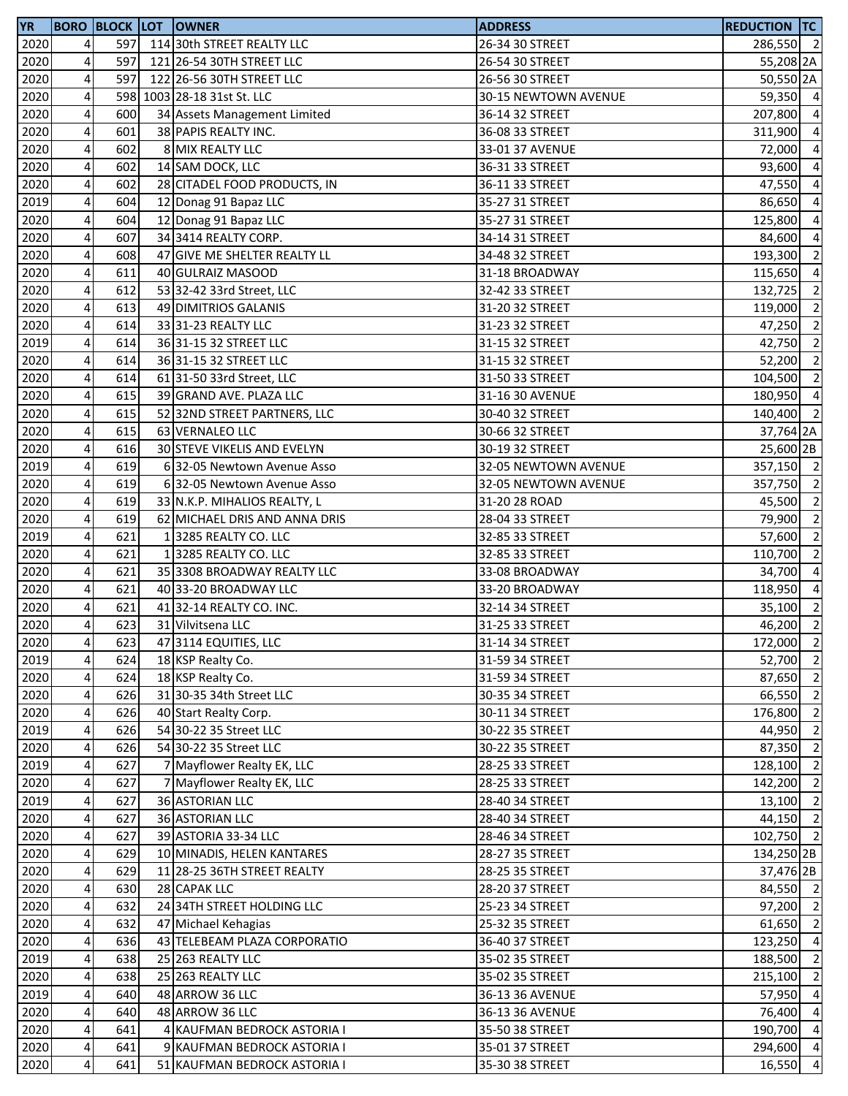| <b>YR</b>    |                         | <b>BORO BLOCK LOT</b> | <b>OWNER</b>                                         | <b>ADDRESS</b>       | <b>REDUCTION TC</b>  |                         |
|--------------|-------------------------|-----------------------|------------------------------------------------------|----------------------|----------------------|-------------------------|
| 2020         | 4                       | 597                   | 114 30th STREET REALTY LLC                           | 26-34 30 STREET      | 286,550 2            |                         |
| 2020         | 4                       | 597                   | 121 26-54 30TH STREET LLC                            | 26-54 30 STREET      | 55,208 2A            |                         |
| 2020         | 4                       | 597                   | 122 26-56 30TH STREET LLC                            | 26-56 30 STREET      | 50,550 2A            |                         |
| 2020         | 4                       |                       | 598 1003 28-18 31st St. LLC                          | 30-15 NEWTOWN AVENUE | 59,350 4             |                         |
| 2020         | $\overline{\mathbf{4}}$ | 600                   | 34 Assets Management Limited                         | 36-14 32 STREET      | 207,800 4            |                         |
| 2020         | 4                       | 601                   | 38 PAPIS REALTY INC.                                 | 36-08 33 STREET      | 311,900              | $\overline{4}$          |
| 2020         | 4                       | 602                   | 8 MIX REALTY LLC                                     | 33-01 37 AVENUE      | 72,000               | $\overline{4}$          |
| 2020         | $\overline{a}$          | 602                   | 14 SAM DOCK, LLC                                     | 36-31 33 STREET      | 93,600               | $\overline{a}$          |
| 2020         | 4                       | 602                   | 28 CITADEL FOOD PRODUCTS, IN                         | 36-11 33 STREET      | 47,550               | $\overline{a}$          |
| 2019         | 4                       | 604                   | 12 Donag 91 Bapaz LLC                                | 35-27 31 STREET      | 86,650               | $\overline{a}$          |
| 2020         | 4                       | 604                   | 12 Donag 91 Bapaz LLC                                | 35-27 31 STREET      | 125,800              | $\overline{a}$          |
| 2020         | 4                       | 607                   | 34 3414 REALTY CORP.                                 | 34-14 31 STREET      | 84,600               | $\overline{a}$          |
| 2020         | 4                       | 608                   | 47 GIVE ME SHELTER REALTY LL                         | 34-48 32 STREET      | 193,300 2            |                         |
| 2020         | $\overline{\mathbf{4}}$ | 611                   | 40 GULRAIZ MASOOD                                    | 31-18 BROADWAY       | 115,650              | $\overline{a}$          |
| 2020         | $\pmb{4}$               | 612                   | 53 32-42 33rd Street, LLC                            | 32-42 33 STREET      | 132,725              | $\overline{\mathbf{c}}$ |
| 2020         | $\overline{4}$          | 613                   | 49 DIMITRIOS GALANIS                                 | 31-20 32 STREET      | 119,000              | $\overline{2}$          |
| 2020         | $\pmb{4}$               | 614                   | 33 31-23 REALTY LLC                                  | 31-23 32 STREET      | 47,250               | $\overline{2}$          |
| 2019         | 4                       | 614                   | 36 31-15 32 STREET LLC                               | 31-15 32 STREET      | 42,750               | $\overline{2}$          |
| 2020         | 4                       | 614                   | 36 31-15 32 STREET LLC                               | 31-15 32 STREET      | 52,200               | $\overline{\mathbf{2}}$ |
| 2020         | 4                       | 614                   | 61 31-50 33rd Street, LLC                            | 31-50 33 STREET      | 104,500              | $\overline{2}$          |
| 2020         | 4                       | 615                   | 39 GRAND AVE. PLAZA LLC                              | 31-16 30 AVENUE      | 180,950 4            |                         |
| 2020         | $\overline{\mathbf{4}}$ | 615                   | 52 32ND STREET PARTNERS, LLC                         | 30-40 32 STREET      | 140,400 2            |                         |
| 2020         | 4                       | 615                   | 63 VERNALEO LLC                                      | 30-66 32 STREET      | 37,764 2A            |                         |
| 2020         | $\overline{\mathbf{r}}$ | 616                   | 30 STEVE VIKELIS AND EVELYN                          | 30-19 32 STREET      | 25,600 2B            |                         |
| 2019         | $\overline{a}$          | 619                   | 6 32-05 Newtown Avenue Asso                          | 32-05 NEWTOWN AVENUE | 357,150 2            |                         |
| 2020         | 4                       | 619                   | 6 32-05 Newtown Avenue Asso                          | 32-05 NEWTOWN AVENUE | 357,750              | $\overline{2}$          |
| 2020         | 4                       | 619                   | 33 N.K.P. MIHALIOS REALTY, L                         | 31-20 28 ROAD        | 45,500               | $\overline{\mathbf{c}}$ |
| 2020         | $\overline{\mathbf{4}}$ | 619                   | 62 MICHAEL DRIS AND ANNA DRIS                        | 28-04 33 STREET      |                      | $\overline{\mathbf{2}}$ |
| 2019         | 4                       | 621                   | 13285 REALTY CO. LLC                                 |                      | 79,900               | $\overline{\mathbf{c}}$ |
|              | $\overline{\mathbf{4}}$ | 621                   |                                                      | 32-85 33 STREET      | 57,600               | $\overline{2}$          |
| 2020         | $\overline{\mathbf{4}}$ |                       | 13285 REALTY CO. LLC                                 | 32-85 33 STREET      | 110,700              | $\overline{4}$          |
| 2020<br>2020 | $\overline{\mathbf{4}}$ | 621<br>621            | 35 3308 BROADWAY REALTY LLC<br>40 33-20 BROADWAY LLC | 33-08 BROADWAY       | 34,700               | $\overline{4}$          |
|              |                         |                       |                                                      | 33-20 BROADWAY       | 118,950              |                         |
| 2020<br>2020 | $\overline{a}$          | 621<br>623            | 41 32-14 REALTY CO. INC.                             | 32-14 34 STREET      | 35,100 2<br>46,200 2 |                         |
|              | 4                       |                       | 31 Vilvitsena LLC                                    | 31-25 33 STREET      |                      |                         |
| 2020         | $\overline{4}$          | 623                   | 47 3114 EQUITIES, LLC                                | 31-14 34 STREET      | 172,000              | $\overline{\mathbf{c}}$ |
| 2019         | 4                       | 624                   | 18 KSP Realty Co.                                    | 31-59 34 STREET      | 52,700 2             |                         |
| 2020         | $\overline{\mathbf{r}}$ | 624                   | 18 KSP Realty Co.                                    | 31-59 34 STREET      | 87,650               | $\overline{2}$          |
| 2020         | $\pmb{4}$               | 626                   | 31 30-35 34th Street LLC                             | 30-35 34 STREET      | 66,550 2             |                         |
| 2020         | $\overline{\mathbf{r}}$ | 626                   | 40 Start Realty Corp.                                | 30-11 34 STREET      | 176,800              | $\overline{2}$          |
| 2019         | $\pmb{4}$               | 626                   | 54 30-22 35 Street LLC                               | 30-22 35 STREET      | 44,950               | $\overline{2}$          |
| 2020         | $\overline{a}$          | 626                   | 54 30-22 35 Street LLC                               | 30-22 35 STREET      | 87,350               | $\overline{2}$          |
| 2019         | $\overline{\mathbf{r}}$ | 627                   | 7 Mayflower Realty EK, LLC                           | 28-25 33 STREET      | 128,100              | $\overline{2}$          |
| 2020         | $\overline{4}$          | 627                   | 7 Mayflower Realty EK, LLC                           | 28-25 33 STREET      | 142,200              | $\overline{2}$          |
| 2019         | 4                       | 627                   | 36 ASTORIAN LLC                                      | 28-40 34 STREET      | 13,100               | $\overline{2}$          |
| 2020         | 4                       | 627                   | <b>36 ASTORIAN LLC</b>                               | 28-40 34 STREET      | 44,150               | $\overline{2}$          |
| 2020         | 4                       | 627                   | 39 ASTORIA 33-34 LLC                                 | 28-46 34 STREET      | 102,750 2            |                         |
| 2020         | $\overline{\mathbf{r}}$ | 629                   | 10 MINADIS, HELEN KANTARES                           | 28-27 35 STREET      | 134,250 2B           |                         |
| 2020         | 4                       | 629                   | 11 28-25 36TH STREET REALTY                          | 28-25 35 STREET      | 37,476 2B            |                         |
| 2020         | $\overline{\mathbf{r}}$ | 630                   | 28 CAPAK LLC                                         | 28-20 37 STREET      | 84,550 2             |                         |
| 2020         | $\overline{a}$          | 632                   | 24 34TH STREET HOLDING LLC                           | 25-23 34 STREET      | 97,200 2             |                         |
| 2020         | 4                       | 632                   | 47 Michael Kehagias                                  | 25-32 35 STREET      | 61,650               | $\overline{2}$          |
| 2020         | 4                       | 636                   | 43 TELEBEAM PLAZA CORPORATIO                         | 36-40 37 STREET      | 123,250              | $\overline{4}$          |
| 2019         | $\overline{\mathbf{4}}$ | 638                   | 25 263 REALTY LLC                                    | 35-02 35 STREET      | 188,500              | $\overline{2}$          |
| 2020         | 4                       | 638                   | 25 263 REALTY LLC                                    | 35-02 35 STREET      | 215,100              | $\overline{2}$          |
| 2019         | $\overline{\mathbf{4}}$ | 640                   | 48 ARROW 36 LLC                                      | 36-13 36 AVENUE      | 57,950               | $\overline{a}$          |
| 2020         | $\overline{4}$          | 640                   | 48 ARROW 36 LLC                                      | 36-13 36 AVENUE      | 76,400               | $\overline{4}$          |
| 2020         | $\overline{\mathbf{r}}$ | 641                   | KAUFMAN BEDROCK ASTORIA I                            | 35-50 38 STREET      | 190,700              | $\overline{4}$          |
| 2020         | $\overline{\mathbf{r}}$ | 641                   | 9 KAUFMAN BEDROCK ASTORIA I                          | 35-01 37 STREET      | 294,600 4            |                         |
| 2020         | $\pmb{4}$               | 641                   | 51 KAUFMAN BEDROCK ASTORIA I                         | 35-30 38 STREET      | 16,550               | $\overline{a}$          |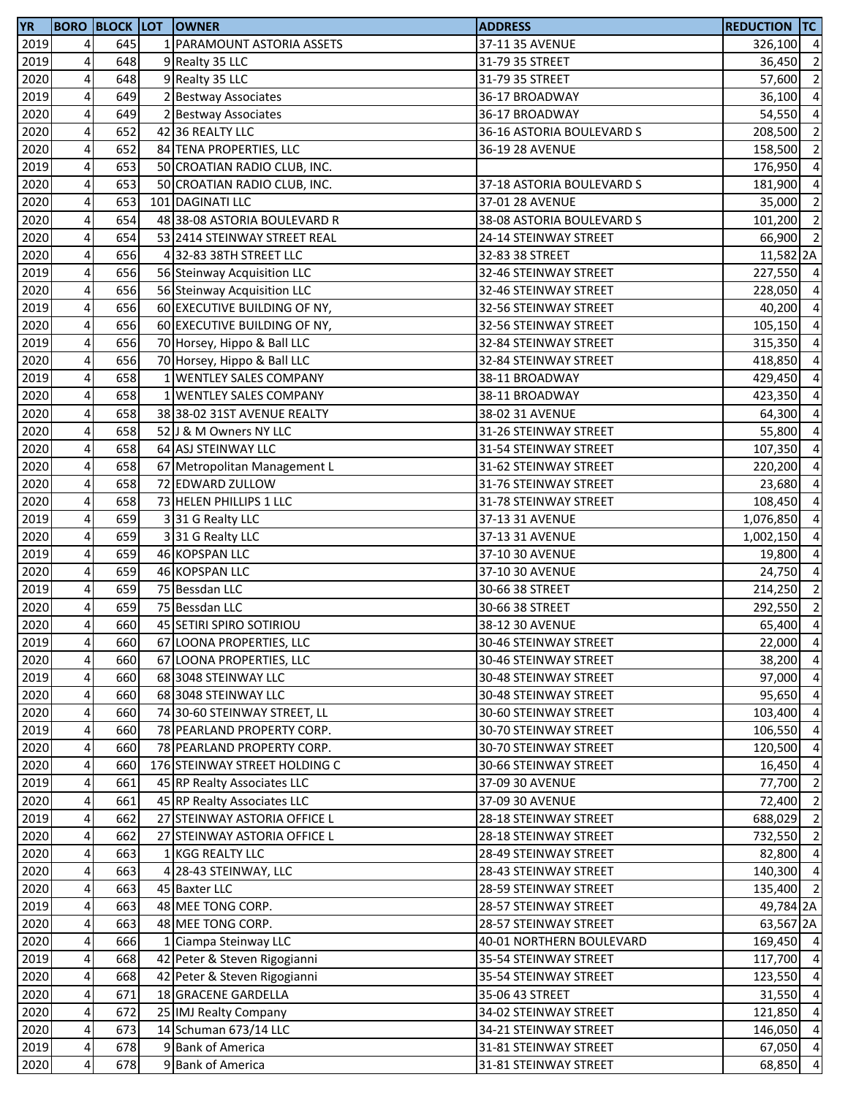| <b>YR</b> |                         | <b>BORO BLOCK LOT</b> | <b>OWNER</b>                  | <b>ADDRESS</b>            | <b>REDUCTION TC</b> |                |
|-----------|-------------------------|-----------------------|-------------------------------|---------------------------|---------------------|----------------|
| 2019      | 4                       | 645                   | 1 PARAMOUNT ASTORIA ASSETS    | 37-11 35 AVENUE           | 326,100 4           |                |
| 2019      | 4                       | 648                   | 9 Realty 35 LLC               | 31-79 35 STREET           | 36,450 2            |                |
| 2020      | $\overline{\mathbf{4}}$ | 648                   | 9 Realty 35 LLC               | 31-79 35 STREET           | 57,600              | $\overline{2}$ |
| 2019      | 4                       | 649                   | 2 Bestway Associates          | 36-17 BROADWAY            | 36,100 4            |                |
| 2020      | $\overline{\mathbf{4}}$ | 649                   | 2 Bestway Associates          | 36-17 BROADWAY            | 54,550              | $\overline{a}$ |
| 2020      | $\pmb{4}$               | 652                   | 42 36 REALTY LLC              | 36-16 ASTORIA BOULEVARD S | 208,500             | $\overline{2}$ |
| 2020      | 4                       | 652                   | 84 TENA PROPERTIES, LLC       | 36-19 28 AVENUE           | 158,500             | $\overline{2}$ |
| 2019      | 4                       | 653                   | 50 CROATIAN RADIO CLUB, INC.  |                           | 176,950             | $\overline{a}$ |
| 2020      | $\overline{\mathbf{4}}$ | 653                   | 50 CROATIAN RADIO CLUB, INC.  | 37-18 ASTORIA BOULEVARD S | 181,900             | $\overline{a}$ |
| 2020      | 4                       | 653                   | 101 DAGINATI LLC              | 37-01 28 AVENUE           | 35,000              | $\overline{2}$ |
| 2020      | $\overline{\mathbf{4}}$ | 654                   | 48 38-08 ASTORIA BOULEVARD R  | 38-08 ASTORIA BOULEVARD S | 101,200 2           |                |
| 2020      | 4                       | 654                   | 53 2414 STEINWAY STREET REAL  | 24-14 STEINWAY STREET     | 66,900 2            |                |
| 2020      | $\overline{\mathbf{4}}$ | 656                   | 4 32-83 38TH STREET LLC       | 32-83 38 STREET           | 11,582 2A           |                |
| 2019      | $\overline{\mathbf{4}}$ | 656                   | 56 Steinway Acquisition LLC   | 32-46 STEINWAY STREET     | 227,550             | $\overline{4}$ |
| 2020      | $\overline{\mathbf{4}}$ | 656                   | 56 Steinway Acquisition LLC   | 32-46 STEINWAY STREET     | 228,050 4           |                |
| 2019      | 4                       | 656                   | 60 EXECUTIVE BUILDING OF NY,  | 32-56 STEINWAY STREET     | 40,200              | $\overline{a}$ |
| 2020      | $\overline{\mathbf{4}}$ | 656                   | 60 EXECUTIVE BUILDING OF NY,  | 32-56 STEINWAY STREET     | 105,150             | $\overline{a}$ |
| 2019      | 4                       | 656                   | 70 Horsey, Hippo & Ball LLC   | 32-84 STEINWAY STREET     | 315,350             | $\overline{a}$ |
| 2020      | $\overline{\mathbf{4}}$ | 656                   | 70 Horsey, Hippo & Ball LLC   | 32-84 STEINWAY STREET     | 418,850             | $\overline{a}$ |
| 2019      | $\pmb{4}$               | 658                   | 1 WENTLEY SALES COMPANY       | 38-11 BROADWAY            | 429,450             | $\overline{a}$ |
| 2020      | $\overline{\mathbf{4}}$ | 658                   | 1 WENTLEY SALES COMPANY       | 38-11 BROADWAY            | 423,350 4           |                |
| 2020      | $\overline{\mathbf{4}}$ | 658                   | 38 38-02 31ST AVENUE REALTY   | 38-02 31 AVENUE           | 64,300              | $\overline{a}$ |
| 2020      | $\pmb{4}$               | 658                   | 52 J & M Owners NY LLC        | 31-26 STEINWAY STREET     | 55,800              | $\overline{a}$ |
| 2020      | 4                       | 658                   | 64 ASJ STEINWAY LLC           | 31-54 STEINWAY STREET     | 107,350             | $\overline{a}$ |
| 2020      | 4                       | 658                   | 67 Metropolitan Management L  | 31-62 STEINWAY STREET     | 220,200             | $\overline{a}$ |
| 2020      | $\overline{\mathbf{4}}$ | 658                   | 72 EDWARD ZULLOW              | 31-76 STEINWAY STREET     | 23,680              | $\overline{a}$ |
| 2020      | $\pmb{4}$               | 658                   | 73 HELEN PHILLIPS 1 LLC       | 31-78 STEINWAY STREET     | 108,450             | $\overline{a}$ |
| 2019      | $\overline{\mathbf{4}}$ | 659                   | 331 G Realty LLC              | 37-13 31 AVENUE           | 1,076,850           | $\overline{a}$ |
| 2020      | $\pmb{4}$               | 659                   | 331 G Realty LLC              | 37-13 31 AVENUE           | 1,002,150 4         |                |
| 2019      | $\overline{\mathbf{4}}$ | 659                   | 46 KOPSPAN LLC                | 37-10 30 AVENUE           | 19,800              | $\overline{a}$ |
| 2020      | $\pmb{4}$               | 659                   | 46 KOPSPAN LLC                | 37-10 30 AVENUE           | 24,750              | $\overline{a}$ |
| 2019      | $\overline{\mathbf{r}}$ | 659                   | 75 Bessdan LLC                | 30-66 38 STREET           | 214,250             | $\overline{2}$ |
| 2020      | 4                       | 659                   | 75 Bessdan LLC                | 30-66 38 STREET           | 292,550             | $\overline{2}$ |
| 2020      | 4                       | 660                   | 45 SETIRI SPIRO SOTIRIOU      | 38-12 30 AVENUE           | 65,400              | $\overline{a}$ |
| 2019      | $\overline{4}$          | 660                   | 67 LOONA PROPERTIES, LLC      | 30-46 STEINWAY STREET     | 22,000 4            |                |
| 2020      | $\overline{\mathbf{4}}$ | 660                   | 67 LOONA PROPERTIES, LLC      | 30-46 STEINWAY STREET     | 38,200 4            |                |
| 2019      | 4                       | 660                   | 68 3048 STEINWAY LLC          | 30-48 STEINWAY STREET     | 97,000              | $\overline{4}$ |
| 2020      | $\overline{\mathbf{4}}$ | 660                   | 68 3048 STEINWAY LLC          | 30-48 STEINWAY STREET     | 95,650              | $\overline{a}$ |
| 2020      | 4                       | 660                   | 74 30-60 STEINWAY STREET, LL  | 30-60 STEINWAY STREET     | 103,400             | $\overline{4}$ |
| 2019      | $\overline{\mathbf{4}}$ | 660                   | 78 PEARLAND PROPERTY CORP.    | 30-70 STEINWAY STREET     | 106,550             | $\overline{4}$ |
| 2020      | 4                       | 660                   | 78 PEARLAND PROPERTY CORP.    | 30-70 STEINWAY STREET     | 120,500             | $\overline{4}$ |
| 2020      | 4                       | 660                   | 176 STEINWAY STREET HOLDING C | 30-66 STEINWAY STREET     | 16,450              | $\overline{a}$ |
| 2019      | 4                       | 661                   | 45 RP Realty Associates LLC   | 37-09 30 AVENUE           | 77,700              | $\overline{2}$ |
| 2020      | $\overline{\mathbf{4}}$ | 661                   | 45 RP Realty Associates LLC   | 37-09 30 AVENUE           | 72,400              | $\overline{2}$ |
| 2019      | 4                       | 662                   | 27 STEINWAY ASTORIA OFFICE L  | 28-18 STEINWAY STREET     | 688,029             | $\overline{2}$ |
| 2020      | $\pmb{4}$               | 662                   | 27 STEINWAY ASTORIA OFFICE L  | 28-18 STEINWAY STREET     | 732,550 2           |                |
| 2020      | 4                       | 663                   | 1 KGG REALTY LLC              | 28-49 STEINWAY STREET     | 82,800              | $\overline{4}$ |
| 2020      | 4                       | 663                   | 4 28-43 STEINWAY, LLC         | 28-43 STEINWAY STREET     | 140,300             | $\overline{4}$ |
| 2020      | 4                       | 663                   | 45 Baxter LLC                 | 28-59 STEINWAY STREET     | 135,400 2           |                |
| 2019      | 4                       | 663                   | 48 MEE TONG CORP.             | 28-57 STEINWAY STREET     | 49,784 2A           |                |
| 2020      | 4                       | 663                   | 48 MEE TONG CORP.             | 28-57 STEINWAY STREET     | 63,567 2A           |                |
| 2020      | 4                       | 666                   | 1 Ciampa Steinway LLC         | 40-01 NORTHERN BOULEVARD  | 169,450 4           |                |
| 2019      | 4                       | 668                   | 42 Peter & Steven Rigogianni  | 35-54 STEINWAY STREET     | 117,700             | $\overline{a}$ |
| 2020      | 4                       | 668                   | 42 Peter & Steven Rigogianni  | 35-54 STEINWAY STREET     | 123,550 4           |                |
| 2020      | $\overline{\mathbf{4}}$ | 671                   | 18 GRACENE GARDELLA           | 35-06 43 STREET           | 31,550              | $\overline{a}$ |
| 2020      | $\overline{\mathbf{4}}$ | 672                   | 25 IMJ Realty Company         | 34-02 STEINWAY STREET     | 121,850             | $\overline{a}$ |
| 2020      | $\overline{a}$          | 673                   | 14 Schuman 673/14 LLC         | 34-21 STEINWAY STREET     | 146,050             | $\overline{a}$ |
| 2019      | $\pmb{4}$               | 678                   | 9 Bank of America             | 31-81 STEINWAY STREET     | 67,050 4            |                |
| 2020      | $\pmb{4}$               | 678                   | 9 Bank of America             | 31-81 STEINWAY STREET     | 68,850 4            |                |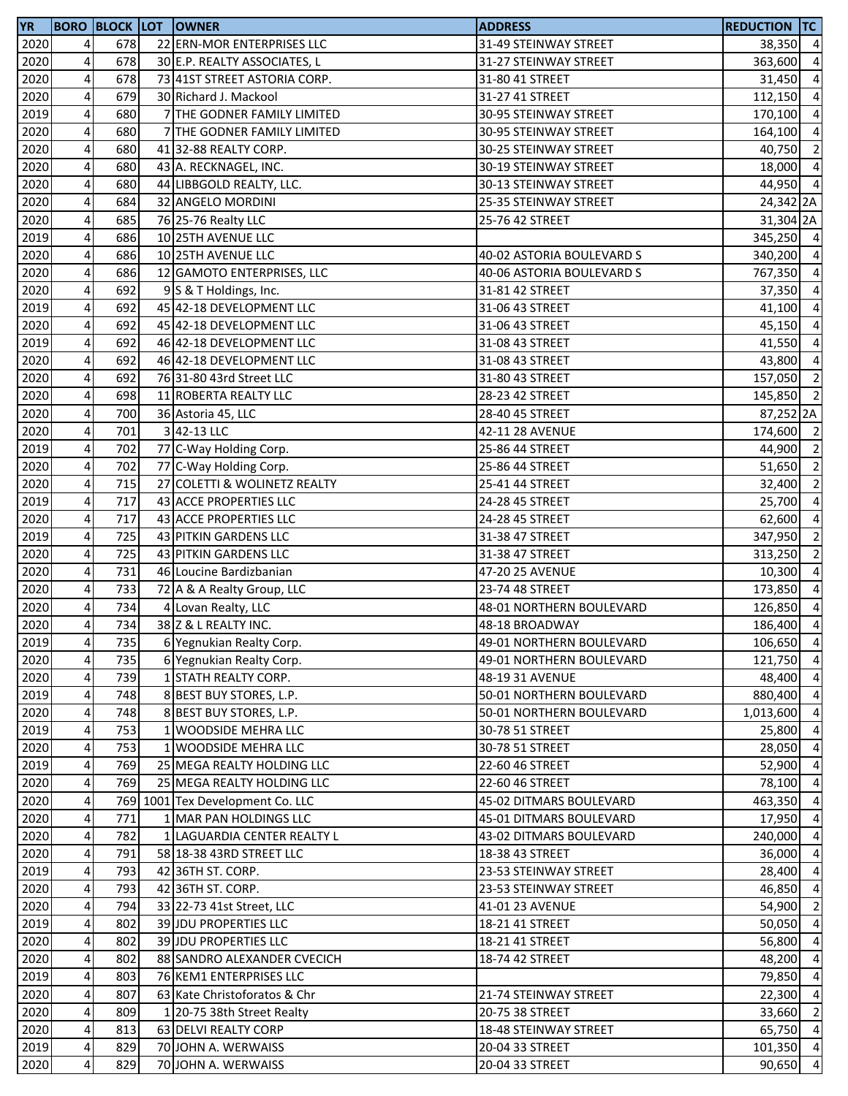| <b>YR</b> |                         | <b>BORO BLOCK LOT</b> |   | <b>OWNER</b>                     | <b>ADDRESS</b>            | <b>REDUCTION TC</b> |                |
|-----------|-------------------------|-----------------------|---|----------------------------------|---------------------------|---------------------|----------------|
| 2020      | 4                       | 678                   |   | 22 ERN-MOR ENTERPRISES LLC       | 31-49 STEINWAY STREET     | 38,350 4            |                |
| 2020      | $\pmb{4}$               | 678                   |   | 30 E.P. REALTY ASSOCIATES, L     | 31-27 STEINWAY STREET     | 363,600 4           |                |
| 2020      | 4                       | 678                   |   | 73 41ST STREET ASTORIA CORP.     | 31-80 41 STREET           | 31,450              | $\overline{a}$ |
| 2020      | 4                       | 679                   |   | 30 Richard J. Mackool            | 31-27 41 STREET           | 112,150 4           |                |
| 2019      | $\overline{\mathbf{4}}$ | 680                   |   | 7 THE GODNER FAMILY LIMITED      | 30-95 STEINWAY STREET     | 170,100             | $\overline{4}$ |
| 2020      | $\pmb{4}$               | 680                   |   | 7 THE GODNER FAMILY LIMITED      | 30-95 STEINWAY STREET     | 164,100             | $\overline{4}$ |
| 2020      | 4                       | 680                   |   | 41 32-88 REALTY CORP.            | 30-25 STEINWAY STREET     | 40,750              | $\overline{2}$ |
| 2020      | 4                       | 680                   |   | 43 A. RECKNAGEL, INC.            | 30-19 STEINWAY STREET     | 18,000              | $\overline{a}$ |
| 2020      | $\overline{\mathbf{4}}$ | 680                   |   | 44 LIBBGOLD REALTY, LLC.         | 30-13 STEINWAY STREET     | 44,950 4            |                |
| 2020      | 4                       | 684                   |   | 32 ANGELO MORDINI                | 25-35 STEINWAY STREET     | 24,342 2A           |                |
| 2020      | $\overline{\mathbf{4}}$ | 685                   |   | 76 25-76 Realty LLC              | 25-76 42 STREET           | 31,304 2A           |                |
| 2019      | 4                       | 686                   |   | 10 25TH AVENUE LLC               |                           | 345,250 4           |                |
| 2020      | $\overline{\mathbf{4}}$ | 686                   |   | 10 25TH AVENUE LLC               | 40-02 ASTORIA BOULEVARD S | 340,200 4           |                |
| 2020      | $\overline{\mathbf{4}}$ | 686                   |   | 12 GAMOTO ENTERPRISES, LLC       | 40-06 ASTORIA BOULEVARD S | 767,350 4           |                |
| 2020      | $\overline{\mathbf{4}}$ | 692                   |   | 9 S & T Holdings, Inc.           | 31-81 42 STREET           | 37,350              | $\overline{a}$ |
| 2019      | 4                       | 692                   |   | 45 42-18 DEVELOPMENT LLC         | 31-06 43 STREET           | 41,100              | $\overline{a}$ |
| 2020      | 4                       | 692                   |   | 45 42-18 DEVELOPMENT LLC         | 31-06 43 STREET           | 45,150              | $\overline{a}$ |
| 2019      | 4                       | 692                   |   | 46 42-18 DEVELOPMENT LLC         | 31-08 43 STREET           | 41,550              | $\overline{a}$ |
| 2020      | $\overline{\mathbf{4}}$ | 692                   |   | 46 42-18 DEVELOPMENT LLC         | 31-08 43 STREET           | 43,800              | $\overline{a}$ |
| 2020      | 4                       | 692                   |   | 76 31-80 43rd Street LLC         | 31-80 43 STREET           | 157,050 2           |                |
| 2020      | $\pmb{4}$               | 698                   |   | 11 ROBERTA REALTY LLC            | 28-23 42 STREET           | 145,850 2           |                |
| 2020      | $\overline{\mathbf{4}}$ | 700                   |   | 36 Astoria 45, LLC               | 28-40 45 STREET           | 87,252 2A           |                |
| 2020      | $\pmb{4}$               | 701                   |   | 342-13 LLC                       | 42-11 28 AVENUE           | 174,600 2           |                |
| 2019      | 4                       | 702                   |   | 77 C-Way Holding Corp.           | 25-86 44 STREET           | 44,900 2            |                |
| 2020      | 4                       | 702                   |   | 77 C-Way Holding Corp.           | 25-86 44 STREET           | 51,650 2            |                |
| 2020      | 4                       | 715                   |   | 27 COLETTI & WOLINETZ REALTY     | 25-41 44 STREET           | 32,400              | $\overline{2}$ |
| 2019      | $\pmb{4}$               | 717                   |   | 43 ACCE PROPERTIES LLC           | 24-28 45 STREET           | 25,700              | $\overline{a}$ |
| 2020      | $\overline{\mathbf{4}}$ | 717                   |   | 43 ACCE PROPERTIES LLC           | 24-28 45 STREET           | 62,600              | $\overline{a}$ |
| 2019      | $\pmb{4}$               | 725                   |   | 43 PITKIN GARDENS LLC            | 31-38 47 STREET           | 347,950 2           |                |
| 2020      | $\overline{\mathbf{4}}$ | 725                   |   | 43 PITKIN GARDENS LLC            | 31-38 47 STREET           | 313,250             | $\overline{2}$ |
| 2020      | $\pmb{4}$               | 731                   |   | 46 Loucine Bardizbanian          | 47-20 25 AVENUE           | 10,300              | $\overline{a}$ |
| 2020      | 4                       | 733                   |   | 72 A & A Realty Group, LLC       | 23-74 48 STREET           | 173,850             | $\overline{a}$ |
| 2020      | 4                       | 734                   | 4 | Lovan Realty, LLC                | 48-01 NORTHERN BOULEVARD  | 126,850             | $\overline{a}$ |
| 2020      | 4                       | 734                   |   | 38 Z & L REALTY INC.             | 48-18 BROADWAY            | 186,400             | $\overline{a}$ |
| 2019      | 41                      | 735                   |   | 6 Yegnukian Realty Corp.         | 49-01 NORTHERN BOULEVARD  | 106,650 4           |                |
| 2020      | $\overline{\mathbf{4}}$ | 735                   |   | 6 Yegnukian Realty Corp.         | 49-01 NORTHERN BOULEVARD  | 121,750 4           |                |
| 2020      | $\pmb{4}$               | 739                   |   | 1 STATH REALTY CORP.             | 48-19 31 AVENUE           | 48,400              | $\overline{4}$ |
| 2019      | $\overline{\mathbf{4}}$ | 748                   |   | 8 BEST BUY STORES, L.P.          | 50-01 NORTHERN BOULEVARD  | 880,400 4           |                |
| 2020      | $\overline{\mathbf{4}}$ | 748                   |   | 8 BEST BUY STORES, L.P.          | 50-01 NORTHERN BOULEVARD  | 1,013,600           | $\overline{4}$ |
| 2019      | $\overline{\mathbf{4}}$ | 753                   |   | 1 WOODSIDE MEHRA LLC             | 30-78 51 STREET           | 25,800              | $\overline{a}$ |
| 2020      | 4                       | 753                   |   | 1 WOODSIDE MEHRA LLC             | 30-78 51 STREET           | 28,050              | $\overline{a}$ |
| 2019      | 4                       | 769                   |   | 25 MEGA REALTY HOLDING LLC       | 22-60 46 STREET           | 52,900              | $\overline{a}$ |
| 2020      | 4                       | 769                   |   | 25 MEGA REALTY HOLDING LLC       | 22-60 46 STREET           | 78,100              | $\overline{4}$ |
| 2020      | $\overline{\mathbf{4}}$ |                       |   | 769 1001 Tex Development Co. LLC | 45-02 DITMARS BOULEVARD   | 463,350             | $\overline{4}$ |
| 2020      | 4                       | 771                   |   | 1 MAR PAN HOLDINGS LLC           | 45-01 DITMARS BOULEVARD   | 17,950              | $\overline{4}$ |
| 2020      | $\overline{\mathbf{4}}$ | 782                   |   | 1 LAGUARDIA CENTER REALTY L      | 43-02 DITMARS BOULEVARD   | 240,000 4           |                |
| 2020      | $\overline{\mathbf{r}}$ | 791                   |   | 58 18-38 43RD STREET LLC         | 18-38 43 STREET           | 36,000              | $\overline{4}$ |
| 2019      | 4                       | 793                   |   | 42 36TH ST. CORP.                | 23-53 STEINWAY STREET     | 28,400              | $\overline{a}$ |
| 2020      | 4                       | 793                   |   | 42 36TH ST. CORP.                | 23-53 STEINWAY STREET     | 46,850              | $\overline{4}$ |
| 2020      | 4                       | 794                   |   | 33 22-73 41st Street, LLC        | 41-01 23 AVENUE           | 54,900              | $\overline{2}$ |
| 2019      | 4                       | 802                   |   | 39 JDU PROPERTIES LLC            | 18-21 41 STREET           | 50,050              | $\overline{a}$ |
| 2020      | 4                       | 802                   |   | 39 JDU PROPERTIES LLC            | 18-21 41 STREET           | 56,800              | $\overline{4}$ |
| 2020      | 4                       | 802                   |   | 88 SANDRO ALEXANDER CVECICH      | 18-74 42 STREET           | 48,200              | $\overline{4}$ |
| 2019      | 4                       | 803                   |   | 76 KEM1 ENTERPRISES LLC          |                           | 79,850              | $\overline{4}$ |
| 2020      | $\overline{\mathbf{4}}$ | 807                   |   | 63 Kate Christoforatos & Chr     | 21-74 STEINWAY STREET     | 22,300              | $\overline{a}$ |
| 2020      | $\overline{\mathbf{4}}$ | 809                   |   | 1 20-75 38th Street Realty       | 20-75 38 STREET           | 33,660              | $\overline{2}$ |
| 2020      | $\overline{\mathbf{r}}$ | 813                   |   | 63 DELVI REALTY CORP             | 18-48 STEINWAY STREET     | 65,750              | $\overline{a}$ |
| 2019      | $\pmb{4}$               | 829                   |   | 70 JOHN A. WERWAISS              | 20-04 33 STREET           | 101,350 4           |                |
| 2020      | $\pmb{4}$               | 829                   |   | 70 JOHN A. WERWAISS              | 20-04 33 STREET           | 90,650 4            |                |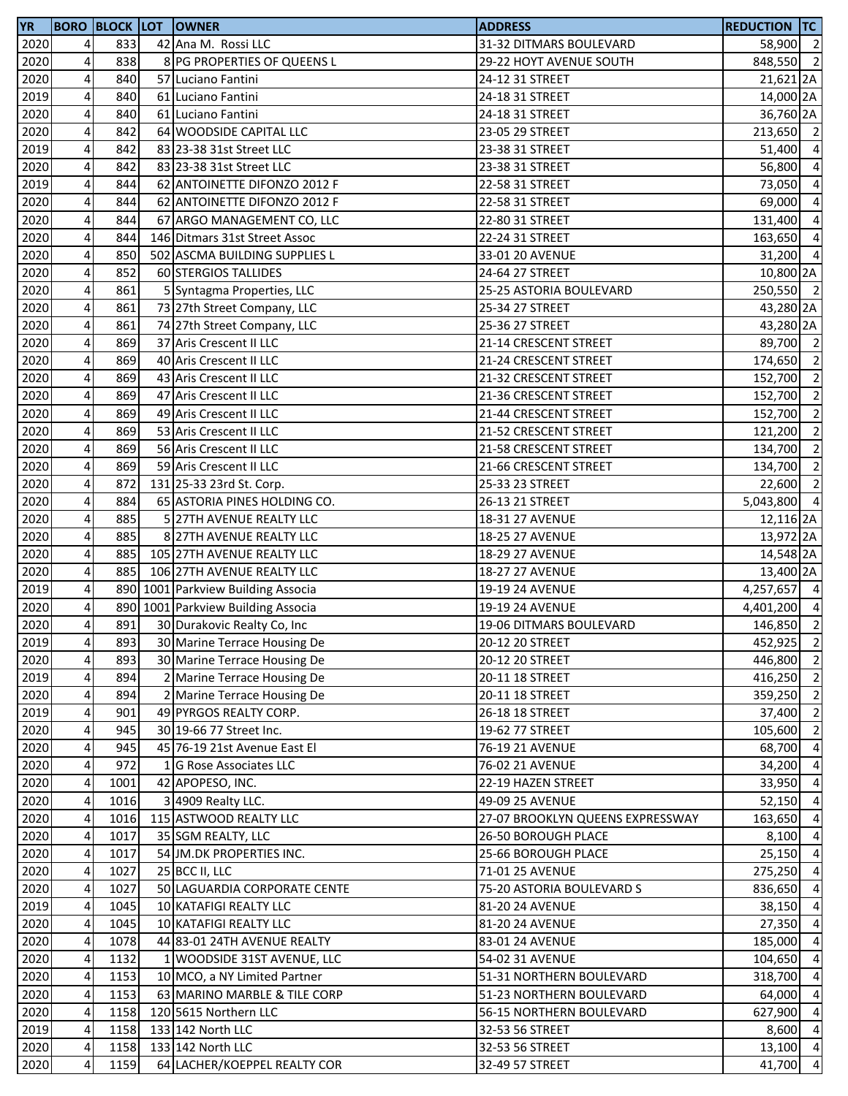| <b>YR</b> |                         | <b>BORO BLOCK LOT</b> | <b>OWNER</b>                       | <b>ADDRESS</b>                   | <b>REDUCTION TC</b> |                |
|-----------|-------------------------|-----------------------|------------------------------------|----------------------------------|---------------------|----------------|
| 2020      | 4                       | 833                   | 42 Ana M. Rossi LLC                | 31-32 DITMARS BOULEVARD          | 58,900 2            |                |
| 2020      | 4                       | 838                   | 8 PG PROPERTIES OF QUEENS L        | 29-22 HOYT AVENUE SOUTH          | 848,550 2           |                |
| 2020      | 4                       | 840                   | 57 Luciano Fantini                 | 24-12 31 STREET                  | 21,621 2A           |                |
| 2019      | 4                       | 840                   | 61 Luciano Fantini                 | 24-18 31 STREET                  | 14,000 2A           |                |
| 2020      | $\overline{\mathbf{4}}$ | 840                   | 61 Luciano Fantini                 | 24-18 31 STREET                  | 36,760 2A           |                |
| 2020      | 4                       | 842                   | 64 WOODSIDE CAPITAL LLC            | 23-05 29 STREET                  | 213,650 2           |                |
| 2019      | 4                       | 842                   | 83 23-38 31st Street LLC           | 23-38 31 STREET                  | 51,400              | $\overline{a}$ |
| 2020      | 4                       | 842                   | 83 23-38 31st Street LLC           | 23-38 31 STREET                  | 56,800 4            |                |
| 2019      | $\overline{\mathbf{4}}$ | 844                   | 62 ANTOINETTE DIFONZO 2012 F       | 22-58 31 STREET                  | 73,050              | $\overline{a}$ |
| 2020      | 4                       | 844                   | 62 ANTOINETTE DIFONZO 2012 F       | 22-58 31 STREET                  | 69,000              | $\overline{a}$ |
| 2020      | $\overline{\mathbf{4}}$ | 844                   | 67 ARGO MANAGEMENT CO, LLC         | 22-80 31 STREET                  | 131,400             | $\overline{a}$ |
| 2020      | 4                       | 844                   | 146 Ditmars 31st Street Assoc      | 22-24 31 STREET                  | 163,650             | $\overline{a}$ |
| 2020      | $\overline{\mathbf{4}}$ | 850                   | 502 ASCMA BUILDING SUPPLIES L      | 33-01 20 AVENUE                  | 31,200 4            |                |
| 2020      | $\overline{\mathbf{4}}$ | 852                   | 60 STERGIOS TALLIDES               | 24-64 27 STREET                  | 10,800 2A           |                |
| 2020      | $\overline{\mathbf{4}}$ | 861                   | 5 Syntagma Properties, LLC         | 25-25 ASTORIA BOULEVARD          | 250,550 2           |                |
| 2020      | 4                       | 861                   | 73 27th Street Company, LLC        | 25-34 27 STREET                  | 43,280 2A           |                |
| 2020      | $\overline{\mathbf{4}}$ | 861                   | 74 27th Street Company, LLC        | 25-36 27 STREET                  | 43,280 2A           |                |
| 2020      | 4                       | 869                   | 37 Aris Crescent II LLC            |                                  |                     |                |
|           |                         |                       | 40 Aris Crescent II LLC            | 21-14 CRESCENT STREET            | 89,700 2            |                |
| 2020      | $\overline{\mathbf{4}}$ | 869                   |                                    | 21-24 CRESCENT STREET            | 174,650 2           |                |
| 2020      | 4                       | 869                   | 43 Aris Crescent II LLC            | 21-32 CRESCENT STREET            | 152,700 2           |                |
| 2020      | $\pmb{4}$               | 869                   | 47 Aris Crescent II LLC            | 21-36 CRESCENT STREET            | 152,700 2           |                |
| 2020      | $\overline{\mathbf{4}}$ | 869                   | 49 Aris Crescent II LLC            | 21-44 CRESCENT STREET            | 152,700 2           |                |
| 2020      | 4                       | 869                   | 53 Aris Crescent II LLC            | 21-52 CRESCENT STREET            | 121,200             | $\overline{2}$ |
| 2020      | 4                       | 869                   | 56 Aris Crescent II LLC            | 21-58 CRESCENT STREET            | 134,700             | $\overline{2}$ |
| 2020      | 4                       | 869                   | 59 Aris Crescent II LLC            | 21-66 CRESCENT STREET            | 134,700 2           |                |
| 2020      | 4                       | 872                   | 131 25-33 23rd St. Corp.           | 25-33 23 STREET                  | 22,600              | $\overline{2}$ |
| 2020      | $\pmb{4}$               | 884                   | 65 ASTORIA PINES HOLDING CO.       | 26-13 21 STREET                  | 5,043,800 4         |                |
| 2020      | $\overline{\mathbf{4}}$ | 885                   | 5 27TH AVENUE REALTY LLC           | 18-31 27 AVENUE                  | 12,116 2A           |                |
| 2020      | $\pmb{4}$               | 885                   | 8 27TH AVENUE REALTY LLC           | 18-25 27 AVENUE                  | 13,972 2A           |                |
| 2020      | $\overline{\mathbf{4}}$ | 885                   | 105 27TH AVENUE REALTY LLC         | 18-29 27 AVENUE                  | 14,548 2A           |                |
| 2020      | $\pmb{4}$               | 885                   | 106 27TH AVENUE REALTY LLC         | 18-27 27 AVENUE                  | 13,400 2A           |                |
| 2019      | 4                       |                       | 890 1001 Parkview Building Associa | 19-19 24 AVENUE                  | 4,257,657 4         |                |
| 2020      | 4                       |                       | 890 1001 Parkview Building Associa | 19-19 24 AVENUE                  | 4,401,200 4         |                |
| 2020      | 4                       | 891                   | 30 Durakovic Realty Co, Inc        | 19-06 DITMARS BOULEVARD          | 146,850 2           |                |
| 2019      | 4 <sub>l</sub>          | 893                   | 30 Marine Terrace Housing De       | 20-12 20 STREET                  | 452,925 2           |                |
| 2020      | $\overline{\mathbf{4}}$ | 893                   | 30 Marine Terrace Housing De       | 20-12 20 STREET                  | 446,800 2           |                |
| 2019      | $\pmb{4}$               | 894                   | 2 Marine Terrace Housing De        | 20-11 18 STREET                  | 416,250 2           |                |
| 2020      | $\overline{\mathbf{4}}$ | 894                   | 2 Marine Terrace Housing De        | 20-11 18 STREET                  | 359,250 2           |                |
| 2019      | 4                       | 901                   | 49 PYRGOS REALTY CORP.             | 26-18 18 STREET                  | 37,400              | $\overline{2}$ |
| 2020      | 4                       | 945                   | 30 19-66 77 Street Inc.            | 19-62 77 STREET                  | 105,600 2           |                |
| 2020      | 4                       | 945                   | 45 76-19 21st Avenue East El       | 76-19 21 AVENUE                  | 68,700 4            |                |
| 2020      | 4                       | 972                   | 1 G Rose Associates LLC            | 76-02 21 AVENUE                  | 34,200 4            |                |
| 2020      | 4                       | 1001                  | 42 APOPESO, INC.                   | 22-19 HAZEN STREET               | 33,950 4            |                |
| 2020      | 4                       | 1016                  | 3 4909 Realty LLC.                 | 49-09 25 AVENUE                  | 52,150              | $\overline{4}$ |
| 2020      | 4                       | 1016                  | 115 ASTWOOD REALTY LLC             | 27-07 BROOKLYN QUEENS EXPRESSWAY | 163,650             | $\overline{a}$ |
| 2020      | $\pmb{4}$               | 1017                  | 35 SGM REALTY, LLC                 | 26-50 BOROUGH PLACE              | $8,100$ 4           |                |
| 2020      | 4                       | 1017                  | 54 JM.DK PROPERTIES INC.           | 25-66 BOROUGH PLACE              | $25,150$ 4          |                |
| 2020      | 4                       | 1027                  | 25 BCC II, LLC                     | 71-01 25 AVENUE                  | 275,250             | $\overline{4}$ |
| 2020      | 4                       | 1027                  | 50 LAGUARDIA CORPORATE CENTE       | 75-20 ASTORIA BOULEVARD S        | 836,650             | $\overline{a}$ |
| 2019      | 4                       | 1045                  | 10 KATAFIGI REALTY LLC             | 81-20 24 AVENUE                  | $38,150$ 4          |                |
| 2020      | 4                       | 1045                  | 10 KATAFIGI REALTY LLC             | 81-20 24 AVENUE                  | $27,350$ 4          |                |
| 2020      | 4                       | 1078                  | 44 83-01 24TH AVENUE REALTY        | 83-01 24 AVENUE                  | 185,000             | $\overline{4}$ |
| 2020      | 4                       | 1132                  | 1 WOODSIDE 31ST AVENUE, LLC        | 54-02 31 AVENUE                  | 104,650             | $\overline{a}$ |
| 2020      | 4                       | 1153                  | 10 MCO, a NY Limited Partner       | 51-31 NORTHERN BOULEVARD         | 318,700 4           |                |
|           | $\overline{\mathbf{4}}$ |                       |                                    |                                  |                     |                |
| 2020      |                         | 1153                  | 63 MARINO MARBLE & TILE CORP       | 51-23 NORTHERN BOULEVARD         | 64,000 4            |                |
| 2020      | 4                       | 1158                  | 120 5615 Northern LLC              | 56-15 NORTHERN BOULEVARD         | 627,900 4           |                |
| 2019      | 4                       | 1158                  | 133 142 North LLC                  | 32-53 56 STREET                  | 8,600 4             |                |
| 2020      | 4                       | 1158                  | 133 142 North LLC                  | 32-53 56 STREET                  | 13,100 4            |                |
| 2020      | 4                       | 1159                  | 64 LACHER/KOEPPEL REALTY COR       | 32-49 57 STREET                  | 41,700 4            |                |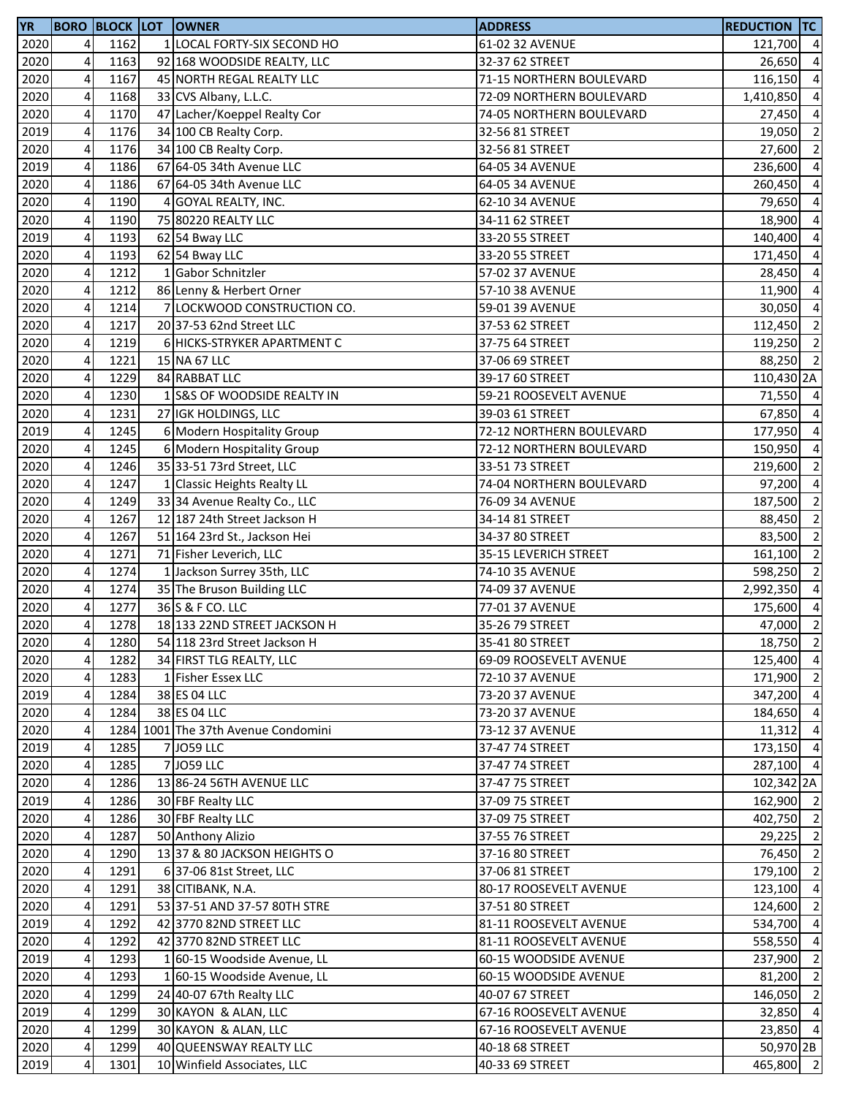| <b>YR</b> |                         |      |   | <b>BORO BLOCK LOT OWNER</b>         | <b>ADDRESS</b>           | <b>REDUCTION TC</b> |                |
|-----------|-------------------------|------|---|-------------------------------------|--------------------------|---------------------|----------------|
| 2020      | $\overline{4}$          | 1162 |   | 1 LOCAL FORTY-SIX SECOND HO         | 61-02 32 AVENUE          | 121,700 4           |                |
| 2020      | 4                       | 1163 |   | 92 168 WOODSIDE REALTY, LLC         | 32-37 62 STREET          | 26,650              | $\overline{4}$ |
| 2020      | $\overline{\mathbf{4}}$ | 1167 |   | 45 NORTH REGAL REALTY LLC           | 71-15 NORTHERN BOULEVARD | 116,150             | $\overline{4}$ |
| 2020      | $\overline{\mathbf{4}}$ | 1168 |   | 33 CVS Albany, L.L.C.               | 72-09 NORTHERN BOULEVARD | 1,410,850           | $\overline{4}$ |
| 2020      | $\overline{\mathbf{r}}$ | 1170 |   | 47 Lacher/Koeppel Realty Cor        | 74-05 NORTHERN BOULEVARD | 27,450 4            |                |
| 2019      | 4                       | 1176 |   | 34 100 CB Realty Corp.              | 32-56 81 STREET          | 19,050              | $\overline{2}$ |
| 2020      | $\pmb{4}$               | 1176 |   | 34 100 CB Realty Corp.              | 32-56 81 STREET          | 27,600              | $\overline{2}$ |
| 2019      | 4                       | 1186 |   | 67 64-05 34th Avenue LLC            | 64-05 34 AVENUE          | 236,600             | $\overline{4}$ |
| 2020      | 4                       | 1186 |   | 67 64-05 34th Avenue LLC            | 64-05 34 AVENUE          | 260,450             | $\overline{a}$ |
| 2020      | 4                       | 1190 | 4 | <b>GOYAL REALTY, INC.</b>           | 62-10 34 AVENUE          | 79,650              | $\overline{4}$ |
| 2020      | 4                       | 1190 |   | 75 80220 REALTY LLC                 | 34-11 62 STREET          | 18,900              | $\overline{4}$ |
| 2019      | $\overline{\mathbf{4}}$ | 1193 |   | 62 54 Bway LLC                      | 33-20 55 STREET          | 140,400             | $\overline{4}$ |
| 2020      | $\pmb{4}$               | 1193 |   | 62 54 Bway LLC                      | 33-20 55 STREET          | 171,450             | $\overline{4}$ |
| 2020      | $\overline{\mathbf{4}}$ | 1212 |   | 1 Gabor Schnitzler                  | 57-02 37 AVENUE          | 28,450 4            |                |
| 2020      | $\overline{\mathbf{4}}$ | 1212 |   | 86 Lenny & Herbert Orner            | 57-10 38 AVENUE          | 11,900              | $\overline{4}$ |
| 2020      | $\pmb{4}$               | 1214 |   | 7 LOCKWOOD CONSTRUCTION CO.         | 59-01 39 AVENUE          | 30,050              | $\overline{4}$ |
| 2020      | 4                       | 1217 |   | 20 37-53 62nd Street LLC            | 37-53 62 STREET          | 112,450             | $\overline{2}$ |
| 2020      | $\overline{\mathbf{4}}$ | 1219 |   | 6 HICKS-STRYKER APARTMENT C         | 37-75 64 STREET          | 119,250             | $\overline{2}$ |
| 2020      | 4                       | 1221 |   | 15 NA 67 LLC                        | 37-06 69 STREET          | 88,250 2            |                |
| 2020      | $\overline{\mathbf{4}}$ | 1229 |   | 84 RABBAT LLC                       | 39-17 60 STREET          | 110,430 2A          |                |
| 2020      | $\overline{\mathbf{r}}$ | 1230 |   | 1 S&S OF WOODSIDE REALTY IN         | 59-21 ROOSEVELT AVENUE   | 71,550 4            |                |
| 2020      | 4                       | 1231 |   | 27 IGK HOLDINGS, LLC                | 39-03 61 STREET          | 67,850 4            |                |
| 2019      | 4                       | 1245 |   | 6 Modern Hospitality Group          | 72-12 NORTHERN BOULEVARD | 177,950 4           |                |
| 2020      | $\pmb{4}$               | 1245 |   | 6 Modern Hospitality Group          | 72-12 NORTHERN BOULEVARD | 150,950             | $\overline{4}$ |
| 2020      | 4                       | 1246 |   | 35 33-51 73rd Street, LLC           | 33-51 73 STREET          | 219,600             | $\overline{2}$ |
| 2020      | 4                       | 1247 |   | 1 Classic Heights Realty LL         | 74-04 NORTHERN BOULEVARD | 97,200              | $\overline{a}$ |
|           | 4                       | 1249 |   |                                     |                          |                     | $\overline{2}$ |
| 2020      | $\pmb{4}$               | 1267 |   | 33 34 Avenue Realty Co., LLC        | 76-09 34 AVENUE          | 187,500             | $\overline{2}$ |
| 2020      |                         |      |   | 12 187 24th Street Jackson H        | 34-14 81 STREET          | 88,450              | $\overline{2}$ |
| 2020      | 4                       | 1267 |   | 51 164 23rd St., Jackson Hei        | 34-37 80 STREET          | 83,500              |                |
| 2020      | $\pmb{4}$               | 1271 |   | 71 Fisher Leverich, LLC             | 35-15 LEVERICH STREET    | 161,100             | $\overline{2}$ |
| 2020      | $\overline{\mathbf{4}}$ | 1274 |   | 1 Jackson Surrey 35th, LLC          | 74-10 35 AVENUE          | 598,250             | $\overline{2}$ |
| 2020      | $\pmb{4}$               | 1274 |   | 35 The Bruson Building LLC          | 74-09 37 AVENUE          | 2,992,350           | $\overline{4}$ |
| 2020      | 4<br>4                  | 1277 |   | 36 S & F CO. LLC                    | 77-01 37 AVENUE          | 175,600             | $\overline{4}$ |
| 2020      |                         | 1278 |   | 18 133 22ND STREET JACKSON H        | 35-26 79 STREET          | 47,000              | $\overline{2}$ |
| 2020      | 4 <sub>l</sub>          | 1280 |   | 54 118 23rd Street Jackson H        | 35-41 80 STREET          | 18,750 2            |                |
| 2020      | 4                       | 1282 |   | 34 FIRST TLG REALTY, LLC            | 69-09 ROOSEVELT AVENUE   | 125,400 4           |                |
| 2020      | $\overline{\mathbf{4}}$ | 1283 |   | 1 Fisher Essex LLC                  | 72-10 37 AVENUE          | 171,900 2           |                |
| 2019      | 4                       | 1284 |   | 38 ES 04 LLC                        | 73-20 37 AVENUE          | 347,200 4           |                |
| 2020      | $\overline{4}$          | 1284 |   | 38 ES 04 LLC                        | 73-20 37 AVENUE          | 184,650 4           |                |
| 2020      | 4                       |      |   | 1284 1001 The 37th Avenue Condomini | 73-12 37 AVENUE          | $11,312$ 4          |                |
| 2019      | 4                       | 1285 |   | 7 JO59 LLC                          | 37-47 74 STREET          | 173,150 4           |                |
| 2020      | 4                       | 1285 |   | 7 JO59 LLC                          | 37-47 74 STREET          | 287,100 4           |                |
| 2020      | 4                       | 1286 |   | 13 86-24 56TH AVENUE LLC            | 37-47 75 STREET          | 102,342 2A          |                |
| 2019      | 4                       | 1286 |   | 30 FBF Realty LLC                   | 37-09 75 STREET          | 162,900 2           |                |
| 2020      | 4                       | 1286 |   | 30 FBF Realty LLC                   | 37-09 75 STREET          | 402,750 2           |                |
| 2020      | 4                       | 1287 |   | 50 Anthony Alizio                   | 37-55 76 STREET          | 29,225 2            |                |
| 2020      | $\overline{\mathbf{r}}$ | 1290 |   | 1337 & 80 JACKSON HEIGHTS O         | 37-16 80 STREET          | 76,450 2            |                |
| 2020      | $\overline{a}$          | 1291 |   | 6 37-06 81st Street, LLC            | 37-06 81 STREET          | 179,100 2           |                |
| 2020      | 4                       | 1291 |   | 38 CITIBANK, N.A.                   | 80-17 ROOSEVELT AVENUE   | 123,100 4           |                |
| 2020      | 4                       | 1291 |   | 53 37-51 AND 37-57 80TH STRE        | 37-51 80 STREET          | 124,600             | $\overline{2}$ |
| 2019      | 4                       | 1292 |   | 42 3770 82ND STREET LLC             | 81-11 ROOSEVELT AVENUE   | 534,700             | $\overline{4}$ |
| 2020      | 4                       | 1292 |   | 42 3770 82ND STREET LLC             | 81-11 ROOSEVELT AVENUE   | 558,550             | $\overline{4}$ |
| 2019      | 4                       | 1293 |   | 1 60-15 Woodside Avenue, LL         | 60-15 WOODSIDE AVENUE    | 237,900             | $\overline{2}$ |
| 2020      | 4                       | 1293 |   | 1 60-15 Woodside Avenue, LL         | 60-15 WOODSIDE AVENUE    | 81,200              | $\overline{2}$ |
| 2020      | $\overline{\mathbf{r}}$ | 1299 |   | 24 40-07 67th Realty LLC            | 40-07 67 STREET          | 146,050 2           |                |
| 2019      | $\overline{4}$          | 1299 |   | 30 KAYON & ALAN, LLC                | 67-16 ROOSEVELT AVENUE   | 32,850 4            |                |
| 2020      | 4                       | 1299 |   | 30 KAYON & ALAN, LLC                | 67-16 ROOSEVELT AVENUE   | 23,850 4            |                |
| 2020      | $\pmb{4}$               | 1299 |   | 40 QUEENSWAY REALTY LLC             | 40-18 68 STREET          | 50,970 2B           |                |
| 2019      | 4                       | 1301 |   | 10 Winfield Associates, LLC         | 40-33 69 STREET          | 465,800 2           |                |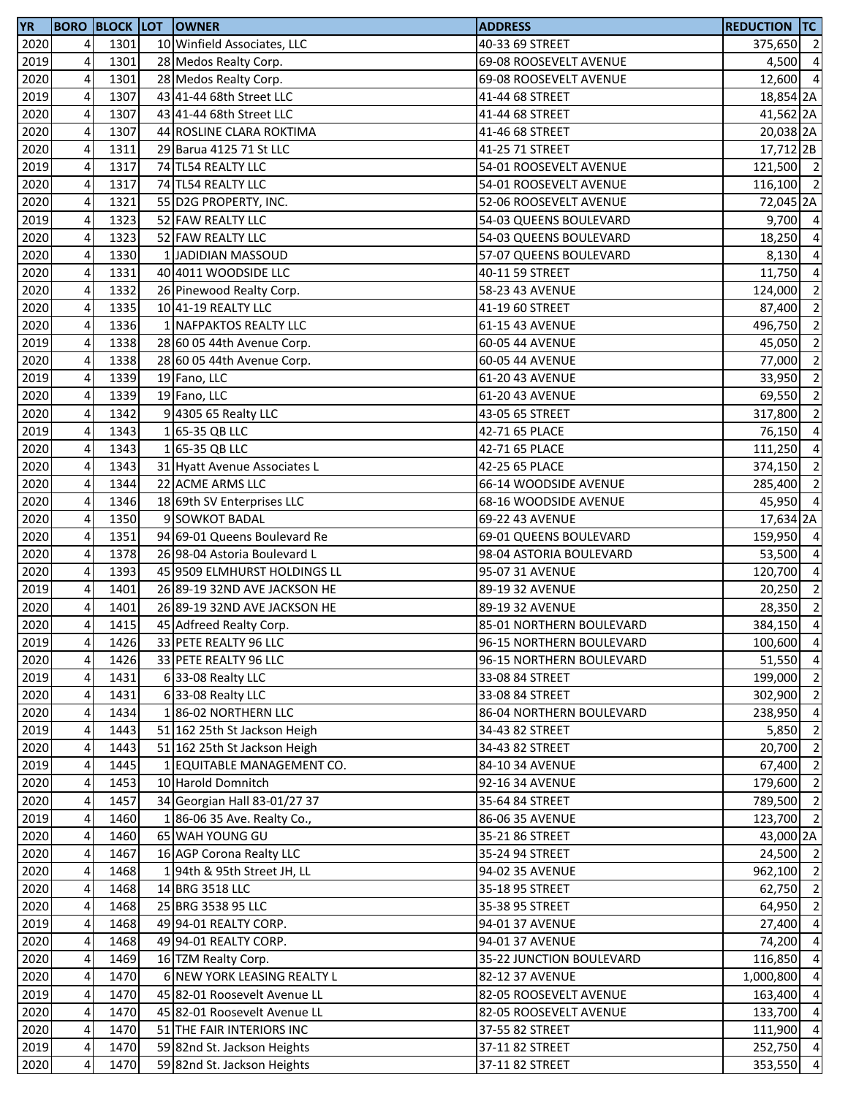| <b>YR</b> |                              |      | <b>BORO BLOCK LOT OWNER</b>  | <b>ADDRESS</b>           | <b>REDUCTION TC</b> |                |
|-----------|------------------------------|------|------------------------------|--------------------------|---------------------|----------------|
| 2020      | $\overline{4}$               | 1301 | 10 Winfield Associates, LLC  | 40-33 69 STREET          | 375,650 2           |                |
| 2019      | 4                            | 1301 | 28 Medos Realty Corp.        | 69-08 ROOSEVELT AVENUE   | 4,500 4             |                |
| 2020      | $\pmb{4}$                    | 1301 | 28 Medos Realty Corp.        | 69-08 ROOSEVELT AVENUE   | 12,600 4            |                |
| 2019      | 4                            | 1307 | 43 41-44 68th Street LLC     | 41-44 68 STREET          | 18,854 2A           |                |
| 2020      | $\overline{\mathbf{r}}$      | 1307 | 43 41-44 68th Street LLC     | 41-44 68 STREET          | 41,562 2A           |                |
| 2020      | 4                            | 1307 | 44 ROSLINE CLARA ROKTIMA     | 41-46 68 STREET          | 20,038 2A           |                |
| 2020      | 4                            | 1311 | 29 Barua 4125 71 St LLC      | 41-25 71 STREET          | 17,712 2B           |                |
| 2019      | 4                            | 1317 | 74 TL54 REALTY LLC           | 54-01 ROOSEVELT AVENUE   | 121,500 2           |                |
| 2020      | 4                            | 1317 | 74 TL54 REALTY LLC           | 54-01 ROOSEVELT AVENUE   | 116,100 2           |                |
| 2020      | 4                            | 1321 | 55 D2G PROPERTY, INC.        | 52-06 ROOSEVELT AVENUE   | 72,045 2A           |                |
| 2019      | 4                            | 1323 | 52 FAW REALTY LLC            | 54-03 QUEENS BOULEVARD   | $9,700$ 4           |                |
| 2020      | $\pmb{4}$                    | 1323 | 52 FAW REALTY LLC            | 54-03 QUEENS BOULEVARD   | 18,250 4            |                |
| 2020      | $\pmb{4}$                    | 1330 | 1 JADIDIAN MASSOUD           | 57-07 QUEENS BOULEVARD   | 8,130               | $\overline{4}$ |
| 2020      | $\overline{\mathbf{4}}$      | 1331 | 40 4011 WOODSIDE LLC         | 40-11 59 STREET          | 11,750 4            |                |
| 2020      | $\overline{\mathbf{4}}$      | 1332 | 26 Pinewood Realty Corp.     | 58-23 43 AVENUE          | 124,000             | $\overline{2}$ |
| 2020      | $\pmb{4}$                    | 1335 | 10 41-19 REALTY LLC          | 41-19 60 STREET          | 87,400              | $\overline{2}$ |
| 2020      | 4                            | 1336 | 1 NAFPAKTOS REALTY LLC       | 61-15 43 AVENUE          | 496,750             | $\overline{2}$ |
| 2019      | 4                            | 1338 | 28 60 05 44th Avenue Corp.   | 60-05 44 AVENUE          | 45,050              | $\overline{2}$ |
| 2020      | 4                            | 1338 | 28 60 05 44th Avenue Corp.   | 60-05 44 AVENUE          | 77,000              | $\overline{2}$ |
| 2019      | $\pmb{4}$                    | 1339 | 19 Fano, LLC                 | 61-20 43 AVENUE          | 33,950              | $\overline{2}$ |
| 2020      | 4                            | 1339 | 19 Fano, LLC                 | 61-20 43 AVENUE          | 69,550              | $\overline{2}$ |
| 2020      | 4                            | 1342 | 9 4305 65 Realty LLC         | 43-05 65 STREET          | 317,800 2           |                |
| 2019      | 4                            | 1343 | 1 65-35 QB LLC               | 42-71 65 PLACE           | 76,150 4            |                |
| 2020      | 4                            | 1343 | 1 65-35 QB LLC               | 42-71 65 PLACE           | 111,250 4           |                |
| 2020      | 4                            | 1343 | 31 Hyatt Avenue Associates L | 42-25 65 PLACE           | 374,150             | $\overline{2}$ |
| 2020      | 4                            | 1344 | 22 ACME ARMS LLC             | 66-14 WOODSIDE AVENUE    | 285,400             | $\overline{2}$ |
| 2020      | 4                            | 1346 | 18 69th SV Enterprises LLC   | 68-16 WOODSIDE AVENUE    | 45,950 4            |                |
|           | $\pmb{4}$                    | 1350 | 9 SOWKOT BADAL               | 69-22 43 AVENUE          |                     |                |
| 2020      |                              | 1351 | 94 69-01 Queens Boulevard Re |                          | 17,634 2A           |                |
| 2020      | 4                            | 1378 |                              | 69-01 QUEENS BOULEVARD   | 159,950 4           |                |
| 2020      | 4<br>$\overline{\mathbf{4}}$ |      | 26 98-04 Astoria Boulevard L | 98-04 ASTORIA BOULEVARD  | 53,500 4            |                |
| 2020      |                              | 1393 | 45 9509 ELMHURST HOLDINGS LL | 95-07 31 AVENUE          | 120,700 4           |                |
| 2019      | $\pmb{4}$                    | 1401 | 26 89-19 32ND AVE JACKSON HE | 89-19 32 AVENUE          | 20,250              | $\overline{2}$ |
| 2020      | 4                            | 1401 | 26 89-19 32ND AVE JACKSON HE | 89-19 32 AVENUE          | 28,350              | $\overline{2}$ |
| 2020      | 4                            | 1415 | 45 Adfreed Realty Corp.      | 85-01 NORTHERN BOULEVARD | 384,150             | $\overline{4}$ |
| 2019      | 4 <sub>l</sub>               | 1426 | 33 PETE REALTY 96 LLC        | 96-15 NORTHERN BOULEVARD | 100,600 4           |                |
| 2020      | 4                            | 1426 | 33 PETE REALTY 96 LLC        | 96-15 NORTHERN BOULEVARD | 51,550 4            |                |
| 2019      | $\overline{\mathbf{4}}$      | 1431 | 6 33-08 Realty LLC           | 33-08 84 STREET          | 199,000 2           |                |
| 2020      | 4                            | 1431 | 633-08 Realty LLC            | 33-08 84 STREET          | 302,900 2           |                |
| 2020      | 4                            | 1434 | 186-02 NORTHERN LLC          | 86-04 NORTHERN BOULEVARD | 238,950 4           |                |
| 2019      | 4                            | 1443 | 51 162 25th St Jackson Heigh | 34-43 82 STREET          | 5,850               | $\overline{2}$ |
| 2020      | 4                            | 1443 | 51 162 25th St Jackson Heigh | 34-43 82 STREET          | 20,700 2            |                |
| 2019      | 4                            | 1445 | 1 EQUITABLE MANAGEMENT CO.   | 84-10 34 AVENUE          | 67,400              | $\overline{2}$ |
| 2020      | 4                            | 1453 | 10 Harold Domnitch           | 92-16 34 AVENUE          | 179,600             | $\overline{2}$ |
| 2020      | 4                            | 1457 | 34 Georgian Hall 83-01/27 37 | 35-64 84 STREET          | 789,500 2           |                |
| 2019      | 4                            | 1460 | 186-0635 Ave. Realty Co.,    | 86-06 35 AVENUE          | 123,700 2           |                |
| 2020      | 4                            | 1460 | 65 WAH YOUNG GU              | 35-21 86 STREET          | 43,000 2A           |                |
| 2020      | $\overline{\mathbf{r}}$      | 1467 | 16 AGP Corona Realty LLC     | 35-24 94 STREET          | 24,500 2            |                |
| 2020      | 4                            | 1468 | 194th & 95th Street JH, LL   | 94-02 35 AVENUE          | 962,100 2           |                |
| 2020      | 4                            | 1468 | 14 BRG 3518 LLC              | 35-18 95 STREET          | 62,750 2            |                |
| 2020      | 4                            | 1468 | 25 BRG 3538 95 LLC           | 35-38 95 STREET          | 64,950              | $\overline{2}$ |
| 2019      | 4                            | 1468 | 49 94-01 REALTY CORP.        | 94-01 37 AVENUE          | 27,400              | $\overline{4}$ |
| 2020      | 4                            | 1468 | 49 94-01 REALTY CORP.        | 94-01 37 AVENUE          | 74,200              | $\overline{4}$ |
| 2020      | 4                            | 1469 | 16 TZM Realty Corp.          | 35-22 JUNCTION BOULEVARD | 116,850             | $\overline{4}$ |
| 2020      | 4                            | 1470 | 6 NEW YORK LEASING REALTY L  | 82-12 37 AVENUE          | 1,000,800           | $\overline{4}$ |
| 2019      | 4                            | 1470 | 45 82-01 Roosevelt Avenue LL | 82-05 ROOSEVELT AVENUE   | 163,400             | $\overline{4}$ |
| 2020      | $\overline{4}$               | 1470 | 45 82-01 Roosevelt Avenue LL | 82-05 ROOSEVELT AVENUE   | 133,700 4           |                |
| 2020      | 4                            | 1470 | 51 THE FAIR INTERIORS INC    | 37-55 82 STREET          | 111,900 4           |                |
| 2019      | $\pmb{4}$                    | 1470 | 59 82nd St. Jackson Heights  | 37-11 82 STREET          | 252,750 4           |                |
| 2020      | 4                            | 1470 | 59 82nd St. Jackson Heights  | 37-11 82 STREET          | 353,550 4           |                |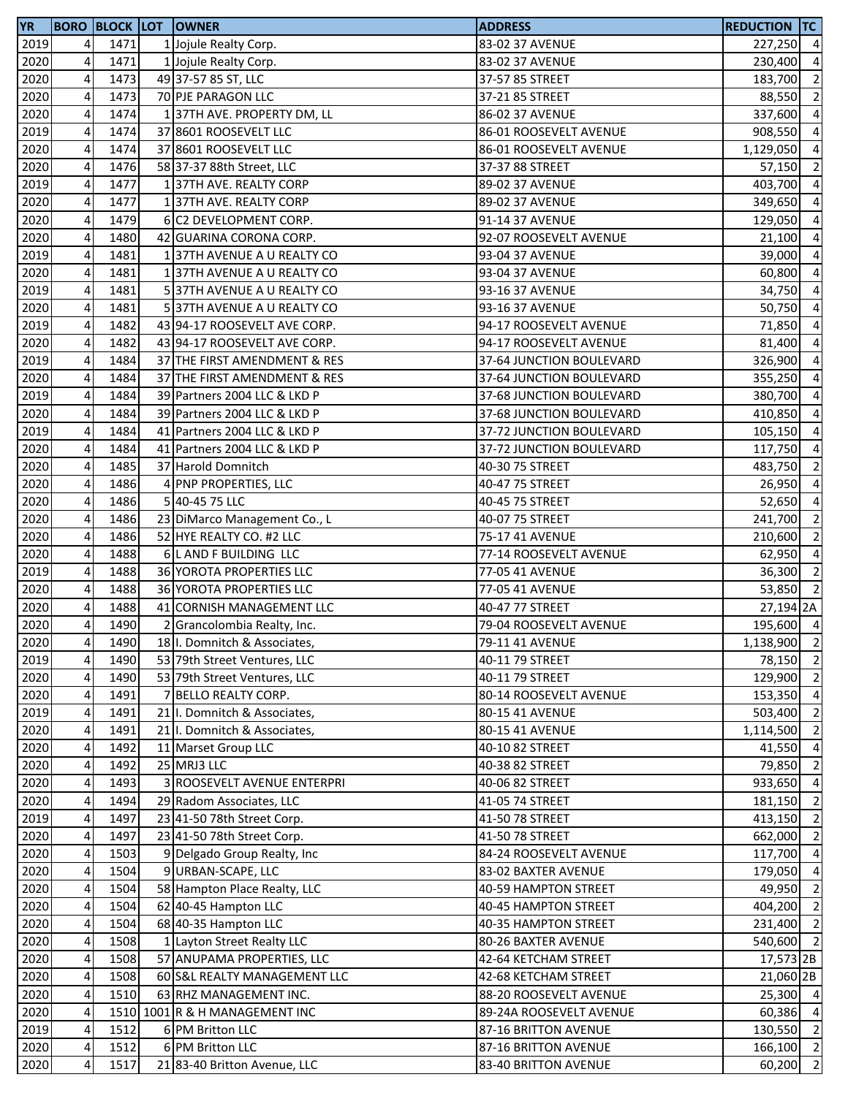| <b>YR</b> |                         |      |   | <b>BORO BLOCK LOT OWNER</b>    | <b>ADDRESS</b>           | <b>REDUCTION TC</b> |                |
|-----------|-------------------------|------|---|--------------------------------|--------------------------|---------------------|----------------|
| 2019      | $\overline{4}$          | 1471 |   | 1 Jojule Realty Corp.          | 83-02 37 AVENUE          | 227,250 4           |                |
| 2020      | 4                       | 1471 |   | 1 Jojule Realty Corp.          | 83-02 37 AVENUE          | 230,400             | $\overline{4}$ |
| 2020      | 4                       | 1473 |   | 49 37-57 85 ST, LLC            | 37-57 85 STREET          | 183,700             | $\overline{2}$ |
| 2020      | 4                       | 1473 |   | 70 PJE PARAGON LLC             | 37-21 85 STREET          | 88,550              | $\overline{2}$ |
| 2020      | 4                       | 1474 |   | 137TH AVE. PROPERTY DM, LL     | 86-02 37 AVENUE          | 337,600             | $\overline{4}$ |
| 2019      | 4                       | 1474 |   | 37 8601 ROOSEVELT LLC          | 86-01 ROOSEVELT AVENUE   | 908,550             | $\overline{4}$ |
| 2020      | 4                       | 1474 |   | 37 8601 ROOSEVELT LLC          | 86-01 ROOSEVELT AVENUE   | 1,129,050           | $\overline{4}$ |
| 2020      | 4                       | 1476 |   | 58 37-37 88th Street, LLC      | 37-37 88 STREET          | 57,150              | $\overline{2}$ |
| 2019      | 4                       | 1477 |   | 1 37TH AVE. REALTY CORP        | 89-02 37 AVENUE          | 403,700             | $\overline{a}$ |
| 2020      | 4                       | 1477 |   | 137TH AVE. REALTY CORP         | 89-02 37 AVENUE          | 349,650             | $\overline{4}$ |
| 2020      | $\overline{\mathbf{4}}$ | 1479 |   | 6 C2 DEVELOPMENT CORP.         | 91-14 37 AVENUE          | 129,050             | $\overline{4}$ |
| 2020      | 4                       | 1480 |   | 42 GUARINA CORONA CORP.        | 92-07 ROOSEVELT AVENUE   | 21,100              | $\overline{a}$ |
| 2019      | $\overline{\mathbf{4}}$ | 1481 |   | 137TH AVENUE A U REALTY CO     | 93-04 37 AVENUE          | 39,000              | $\overline{4}$ |
| 2020      | $\overline{\mathbf{4}}$ | 1481 |   | 137TH AVENUE A U REALTY CO     | 93-04 37 AVENUE          | 60,800              | $\overline{4}$ |
| 2019      | $\overline{\mathbf{4}}$ | 1481 |   | 537TH AVENUE A U REALTY CO     | 93-16 37 AVENUE          | 34,750              | $\overline{4}$ |
| 2020      | 4                       | 1481 |   | 37TH AVENUE A U REALTY CO      | 93-16 37 AVENUE          | 50,750              | $\overline{4}$ |
| 2019      | 4                       | 1482 |   | 43 94-17 ROOSEVELT AVE CORP.   | 94-17 ROOSEVELT AVENUE   | 71,850              | $\overline{4}$ |
| 2020      | 4                       | 1482 |   | 43 94-17 ROOSEVELT AVE CORP.   | 94-17 ROOSEVELT AVENUE   | 81,400              | $\overline{a}$ |
| 2019      | 4                       | 1484 |   | 37 THE FIRST AMENDMENT & RES   | 37-64 JUNCTION BOULEVARD | 326,900             | $\overline{4}$ |
| 2020      | 4                       | 1484 |   | 37 THE FIRST AMENDMENT & RES   | 37-64 JUNCTION BOULEVARD | 355,250             | $\overline{a}$ |
| 2019      | 4                       | 1484 |   | 39 Partners 2004 LLC & LKD P   | 37-68 JUNCTION BOULEVARD | 380,700 4           |                |
| 2020      | 4                       | 1484 |   | 39 Partners 2004 LLC & LKD P   | 37-68 JUNCTION BOULEVARD | 410,850             | $\overline{4}$ |
| 2019      | 4                       | 1484 |   | 41 Partners 2004 LLC & LKD P   | 37-72 JUNCTION BOULEVARD | 105,150             | $\overline{4}$ |
|           | 4                       | 1484 |   | 41 Partners 2004 LLC & LKD P   |                          |                     | $\overline{4}$ |
| 2020      |                         |      |   |                                | 37-72 JUNCTION BOULEVARD | 117,750             | $\overline{2}$ |
| 2020      | 4                       | 1485 |   | 37 Harold Domnitch             | 40-30 75 STREET          | 483,750             |                |
| 2020      | 4                       | 1486 | 4 | PNP PROPERTIES, LLC            | 40-47 75 STREET          | 26,950              | $\overline{4}$ |
| 2020      | 4                       | 1486 |   | 5 40-45 75 LLC                 | 40-45 75 STREET          | 52,650              | $\overline{4}$ |
| 2020      | 4                       | 1486 |   | 23 DiMarco Management Co., L   | 40-07 75 STREET          | 241,700             | $\overline{2}$ |
| 2020      | 4                       | 1486 |   | 52 HYE REALTY CO. #2 LLC       | 75-17 41 AVENUE          | 210,600             | $\overline{2}$ |
| 2020      | $\overline{\mathbf{4}}$ | 1488 |   | 6 L AND F BUILDING LLC         | 77-14 ROOSEVELT AVENUE   | 62,950              | $\overline{4}$ |
| 2019      | 4                       | 1488 |   | 36 YOROTA PROPERTIES LLC       | 77-05 41 AVENUE          | 36,300              | $\overline{2}$ |
| 2020      | 4                       | 1488 |   | 36 YOROTA PROPERTIES LLC       | 77-05 41 AVENUE          | 53,850              | $\overline{2}$ |
| 2020      | 4                       | 1488 |   | 41 CORNISH MANAGEMENT LLC      | 40-47 77 STREET          | 27,194 2A           |                |
| 2020      | $\overline{4}$          | 1490 |   | Grancolombia Realty, Inc.      | 79-04 ROOSEVELT AVENUE   | 195,600 4           |                |
| 2020      | 41                      | 1490 |   | 18 I. Domnitch & Associates,   | 79-11 41 AVENUE          | 1,138,900 2         |                |
| 2019      | $\overline{\mathbf{4}}$ | 1490 |   | 53 79th Street Ventures, LLC   | 40-11 79 STREET          | 78,150 2            |                |
| 2020      | $\pmb{4}$               | 1490 |   | 53 79th Street Ventures, LLC   | 40-11 79 STREET          | 129,900 2           |                |
| 2020      | $\overline{\mathbf{4}}$ | 1491 |   | 7 BELLO REALTY CORP.           | 80-14 ROOSEVELT AVENUE   | 153,350 4           |                |
| 2019      | 4                       | 1491 |   | 21 I. Domnitch & Associates,   | 80-15 41 AVENUE          | 503,400             | $\overline{2}$ |
| 2020      | $\pmb{4}$               | 1491 |   | 21 I. Domnitch & Associates,   | 80-15 41 AVENUE          | 1,114,500 2         |                |
| 2020      | 4                       | 1492 |   | 11 Marset Group LLC            | 40-10 82 STREET          | 41,550              | $\overline{4}$ |
| 2020      | 4                       | 1492 |   | 25 MRJ3 LLC                    | 40-38 82 STREET          | 79,850              | $\overline{2}$ |
| 2020      | 4                       | 1493 |   | 3 ROOSEVELT AVENUE ENTERPRI    | 40-06 82 STREET          | 933,650             | $\overline{4}$ |
| 2020      | $\overline{\mathbf{4}}$ | 1494 |   | 29 Radom Associates, LLC       | 41-05 74 STREET          | 181,150             | $\overline{2}$ |
| 2019      | 4                       | 1497 |   | 23 41-50 78th Street Corp.     | 41-50 78 STREET          | 413,150 2           |                |
| 2020      | $\pmb{4}$               | 1497 |   | 23 41-50 78th Street Corp.     | 41-50 78 STREET          | 662,000 2           |                |
| 2020      | $\overline{4}$          | 1503 |   | 9 Delgado Group Realty, Inc.   | 84-24 ROOSEVELT AVENUE   | 117,700 4           |                |
| 2020      | 4                       | 1504 |   | 9 URBAN-SCAPE, LLC             | 83-02 BAXTER AVENUE      | 179,050 4           |                |
| 2020      | 4                       | 1504 |   | 58 Hampton Place Realty, LLC   | 40-59 HAMPTON STREET     | 49,950              | $\overline{2}$ |
| 2020      | 4                       | 1504 |   | 62 40-45 Hampton LLC           | 40-45 HAMPTON STREET     | 404,200 2           |                |
| 2020      | 4                       | 1504 |   | 68 40-35 Hampton LLC           | 40-35 HAMPTON STREET     | 231,400             | $\overline{2}$ |
| 2020      | $\pmb{4}$               | 1508 |   | 1 Layton Street Realty LLC     | 80-26 BAXTER AVENUE      | 540,600 2           |                |
| 2020      | 4                       | 1508 |   | 57 ANUPAMA PROPERTIES, LLC     | 42-64 KETCHAM STREET     | 17,573 2B           |                |
| 2020      | $\overline{\mathbf{r}}$ | 1508 |   | 60 S&L REALTY MANAGEMENT LLC   | 42-68 KETCHAM STREET     | 21,060 2B           |                |
| 2020      | $\overline{4}$          | 1510 |   | 63 RHZ MANAGEMENT INC.         | 88-20 ROOSEVELT AVENUE   | 25,300 4            |                |
| 2020      | 4                       |      |   | 1510 1001 R & H MANAGEMENT INC | 89-24A ROOSEVELT AVENUE  | 60,386 4            |                |
| 2019      | 4                       | 1512 |   | 6 PM Britton LLC               | 87-16 BRITTON AVENUE     | 130,550             | $\overline{2}$ |
| 2020      | 4                       | 1512 |   | 6 PM Britton LLC               | 87-16 BRITTON AVENUE     | 166,100 2           |                |
| 2020      | 4                       | 1517 |   | 21 83-40 Britton Avenue, LLC   | 83-40 BRITTON AVENUE     | 60,200              | $\overline{2}$ |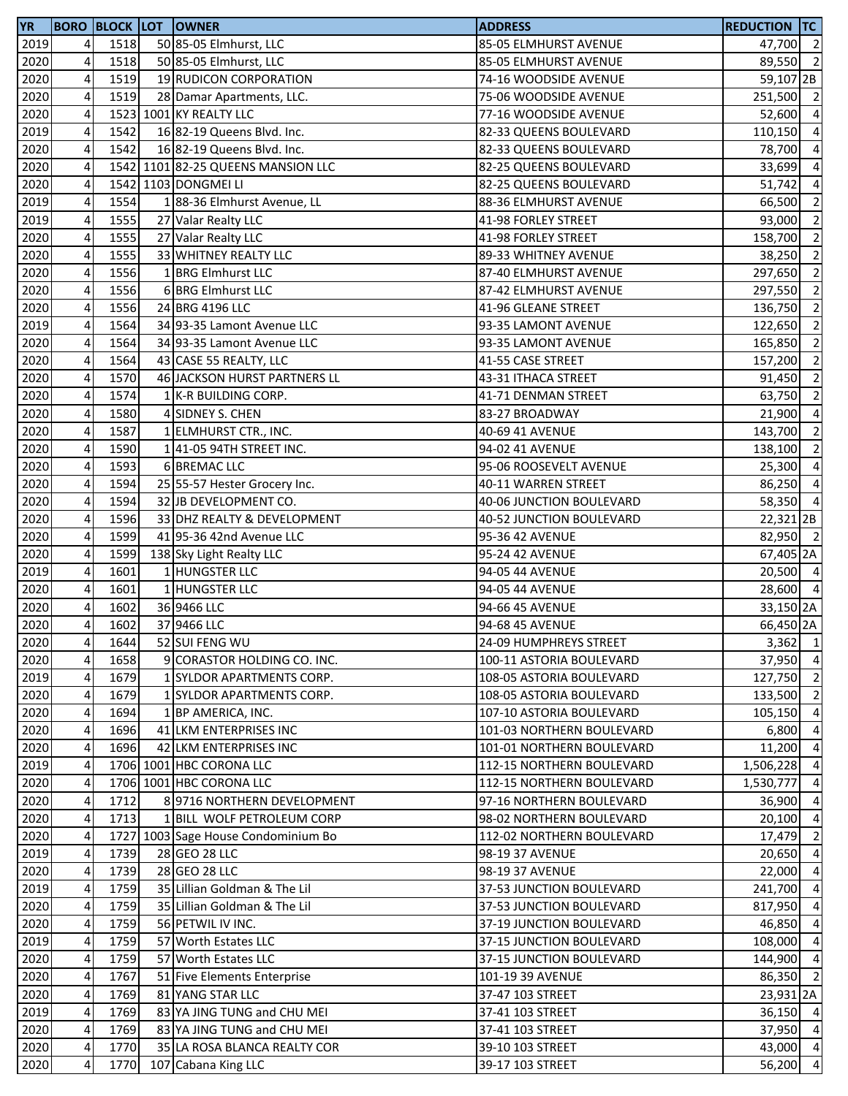| <b>YR</b> |                         |      | <b>BORO BLOCK LOT OWNER</b>         | <b>ADDRESS</b>            | <b>REDUCTION TC</b>  |                |
|-----------|-------------------------|------|-------------------------------------|---------------------------|----------------------|----------------|
| 2019      | $\overline{4}$          | 1518 | 50 85-05 Elmhurst, LLC              | 85-05 ELMHURST AVENUE     | 47,700 2             |                |
| 2020      | 4                       | 1518 | 50 85-05 Elmhurst, LLC              | 85-05 ELMHURST AVENUE     | 89,550 2             |                |
| 2020      | $\overline{\mathbf{4}}$ | 1519 | 19 RUDICON CORPORATION              | 74-16 WOODSIDE AVENUE     | 59,107 2B            |                |
| 2020      | 4                       | 1519 | 28 Damar Apartments, LLC.           | 75-06 WOODSIDE AVENUE     | 251,500 2            |                |
| 2020      | $\overline{\mathbf{r}}$ |      | 1523 1001 KY REALTY LLC             | 77-16 WOODSIDE AVENUE     | 52,600 4             |                |
| 2019      | 4                       | 1542 | 16 82-19 Queens Blvd. Inc.          | 82-33 QUEENS BOULEVARD    | 110,150 4            |                |
| 2020      | 4                       | 1542 | 16 82-19 Queens Blvd. Inc.          | 82-33 QUEENS BOULEVARD    | 78,700               | $\overline{4}$ |
| 2020      | 4                       |      | 1542 1101 82-25 QUEENS MANSION LLC  | 82-25 QUEENS BOULEVARD    | 33,699               | $\overline{4}$ |
| 2020      | 4                       |      | 1542 1103 DONGMEI LI                | 82-25 QUEENS BOULEVARD    | 51,742               | $\overline{4}$ |
| 2019      | 4                       | 1554 | 188-36 Elmhurst Avenue, LL          | 88-36 ELMHURST AVENUE     | 66,500               | $\overline{2}$ |
| 2019      | 4                       | 1555 | 27 Valar Realty LLC                 | 41-98 FORLEY STREET       | 93,000               | $\overline{2}$ |
| 2020      | $\pmb{4}$               | 1555 | 27 Valar Realty LLC                 | 41-98 FORLEY STREET       | 158,700              | $\overline{2}$ |
| 2020      | $\pmb{4}$               | 1555 | 33 WHITNEY REALTY LLC               | 89-33 WHITNEY AVENUE      | 38,250 2             |                |
| 2020      | $\overline{\mathbf{4}}$ | 1556 | 1 BRG Elmhurst LLC                  | 87-40 ELMHURST AVENUE     | 297,650              | $\overline{2}$ |
| 2020      | $\overline{\mathbf{4}}$ | 1556 | 6 BRG Elmhurst LLC                  | 87-42 ELMHURST AVENUE     | 297,550              | $\overline{2}$ |
| 2020      | $\pmb{4}$               | 1556 | 24 BRG 4196 LLC                     | 41-96 GLEANE STREET       | 136,750              | $\overline{2}$ |
| 2019      | 4                       | 1564 | 34 93-35 Lamont Avenue LLC          | 93-35 LAMONT AVENUE       | 122,650              | $\overline{2}$ |
| 2020      | 4                       | 1564 | 34 93-35 Lamont Avenue LLC          | 93-35 LAMONT AVENUE       | 165,850              | $\overline{2}$ |
| 2020      | 4                       | 1564 | 43 CASE 55 REALTY, LLC              | 41-55 CASE STREET         | 157,200              | $\overline{2}$ |
| 2020      | $\overline{\mathbf{4}}$ | 1570 | 46 JACKSON HURST PARTNERS LL        | 43-31 ITHACA STREET       | 91,450               | $\overline{2}$ |
| 2020      | $\overline{4}$          | 1574 | 1 K-R BUILDING CORP.                | 41-71 DENMAN STREET       | 63,750               | $\overline{2}$ |
| 2020      | 4                       | 1580 | 4 SIDNEY S. CHEN                    | 83-27 BROADWAY            | $21,900$ 4           |                |
| 2020      | 4                       | 1587 | 1 ELMHURST CTR., INC.               | 40-69 41 AVENUE           | 143,700              | $\overline{2}$ |
| 2020      | $\overline{\mathbf{4}}$ | 1590 | 1 41-05 94TH STREET INC.            | 94-02 41 AVENUE           | 138,100              | $\overline{2}$ |
| 2020      | 4                       | 1593 | 6 BREMAC LLC                        | 95-06 ROOSEVELT AVENUE    | 25,300               | $\overline{4}$ |
| 2020      | 4                       | 1594 | 25 55-57 Hester Grocery Inc.        | 40-11 WARREN STREET       | 86,250               | $\overline{4}$ |
| 2020      | 4                       | 1594 | 32 JB DEVELOPMENT CO.               | 40-06 JUNCTION BOULEVARD  | 58,350               | $\overline{4}$ |
| 2020      | $\pmb{4}$               | 1596 | 33 DHZ REALTY & DEVELOPMENT         | 40-52 JUNCTION BOULEVARD  | $22,321$ 2B          |                |
| 2020      | 4                       | 1599 | 41 95-36 42nd Avenue LLC            | 95-36 42 AVENUE           | 82,950 2             |                |
| 2020      | $\pmb{4}$               | 1599 | 138 Sky Light Realty LLC            | 95-24 42 AVENUE           | 67,405 2A            |                |
| 2019      | $\overline{\mathbf{4}}$ | 1601 | 1 HUNGSTER LLC                      | 94-05 44 AVENUE           | 20,500 4             |                |
| 2020      | $\pmb{4}$               | 1601 | 1 HUNGSTER LLC                      | 94-05 44 AVENUE           | 28,600 4             |                |
| 2020      | 4                       | 1602 | 36 9466 LLC                         | 94-66 45 AVENUE           | 33,150 2A            |                |
| 2020      | 4                       | 1602 | 37 9466 LLC                         | 94-68 45 AVENUE           | 66,450 2A            |                |
| 2020      | 41                      | 1644 | 52 SUI FENG WU                      | 24-09 HUMPHREYS STREET    | $3,362$ 1            |                |
| 2020      | $\overline{4}$          | 1658 | 9 CORASTOR HOLDING CO. INC.         | 100-11 ASTORIA BOULEVARD  | 37,950 4             |                |
| 2019      | $\overline{4}$          | 1679 | 1 SYLDOR APARTMENTS CORP.           | 108-05 ASTORIA BOULEVARD  | 127,750              | $\overline{2}$ |
| 2020      | 4                       | 1679 | 1 SYLDOR APARTMENTS CORP.           | 108-05 ASTORIA BOULEVARD  | 133,500 2            |                |
| 2020      | $\overline{4}$          | 1694 | 1 BP AMERICA, INC.                  | 107-10 ASTORIA BOULEVARD  | 105,150 4            |                |
| 2020      | 4                       | 1696 | 41 LKM ENTERPRISES INC              | 101-03 NORTHERN BOULEVARD | 6,800                | $\overline{4}$ |
| 2020      | 4                       | 1696 | 42 LKM ENTERPRISES INC              | 101-01 NORTHERN BOULEVARD | 11,200 4             |                |
| 2019      | 4                       |      | 1706 1001 HBC CORONA LLC            | 112-15 NORTHERN BOULEVARD | 1,506,228            | $\overline{4}$ |
| 2020      | 4                       |      | 1706 1001 HBC CORONA LLC            | 112-15 NORTHERN BOULEVARD | 1,530,777            | $\overline{4}$ |
| 2020      | 4                       | 1712 | 8 9716 NORTHERN DEVELOPMENT         | 97-16 NORTHERN BOULEVARD  | 36,900               | $\overline{4}$ |
| 2020      | 4                       | 1713 | 1 BILL WOLF PETROLEUM CORP          | 98-02 NORTHERN BOULEVARD  | 20,100               | $\overline{4}$ |
| 2020      | 4                       |      | 1727 1003 Sage House Condominium Bo | 112-02 NORTHERN BOULEVARD | 17,479               | $\overline{2}$ |
| 2019      | $\overline{a}$          | 1739 | 28 GEO 28 LLC                       | 98-19 37 AVENUE           | 20,650 4             |                |
| 2020      | $\overline{a}$          | 1739 | 28 GEO 28 LLC                       | 98-19 37 AVENUE           | 22,000 4             |                |
| 2019      | $\pmb{4}$               | 1759 | 35 Lillian Goldman & The Lil        | 37-53 JUNCTION BOULEVARD  | 241,700              | $\overline{4}$ |
| 2020      | 4                       | 1759 | 35 Lillian Goldman & The Lil        | 37-53 JUNCTION BOULEVARD  | 817,950              | $\overline{4}$ |
| 2020      | 4                       | 1759 | 56 PETWIL IV INC.                   | 37-19 JUNCTION BOULEVARD  | 46,850               | $\overline{4}$ |
| 2019      | 4                       | 1759 | 57 Worth Estates LLC                | 37-15 JUNCTION BOULEVARD  | 108,000              | $\overline{4}$ |
| 2020      | 4                       | 1759 | 57 Worth Estates LLC                | 37-15 JUNCTION BOULEVARD  | 144,900              | $\overline{4}$ |
| 2020      | 4                       | 1767 | 51 Five Elements Enterprise         | 101-19 39 AVENUE          | 86,350               | $\overline{2}$ |
| 2020      | $\overline{\mathbf{r}}$ | 1769 | 81 YANG STAR LLC                    | 37-47 103 STREET          | 23,931 <sub>2A</sub> |                |
| 2019      | $\overline{4}$          | 1769 | 83 YA JING TUNG and CHU MEI         | 37-41 103 STREET          | 36,150 4             |                |
| 2020      | 4                       | 1769 | 83 YA JING TUNG and CHU MEI         | 37-41 103 STREET          | 37,950 4             |                |
| 2020      | $\pmb{4}$               | 1770 | 35 LA ROSA BLANCA REALTY COR        | 39-10 103 STREET          | 43,000 4             |                |
| 2020      | 4                       | 1770 | 107 Cabana King LLC                 | 39-17 103 STREET          | 56,200 4             |                |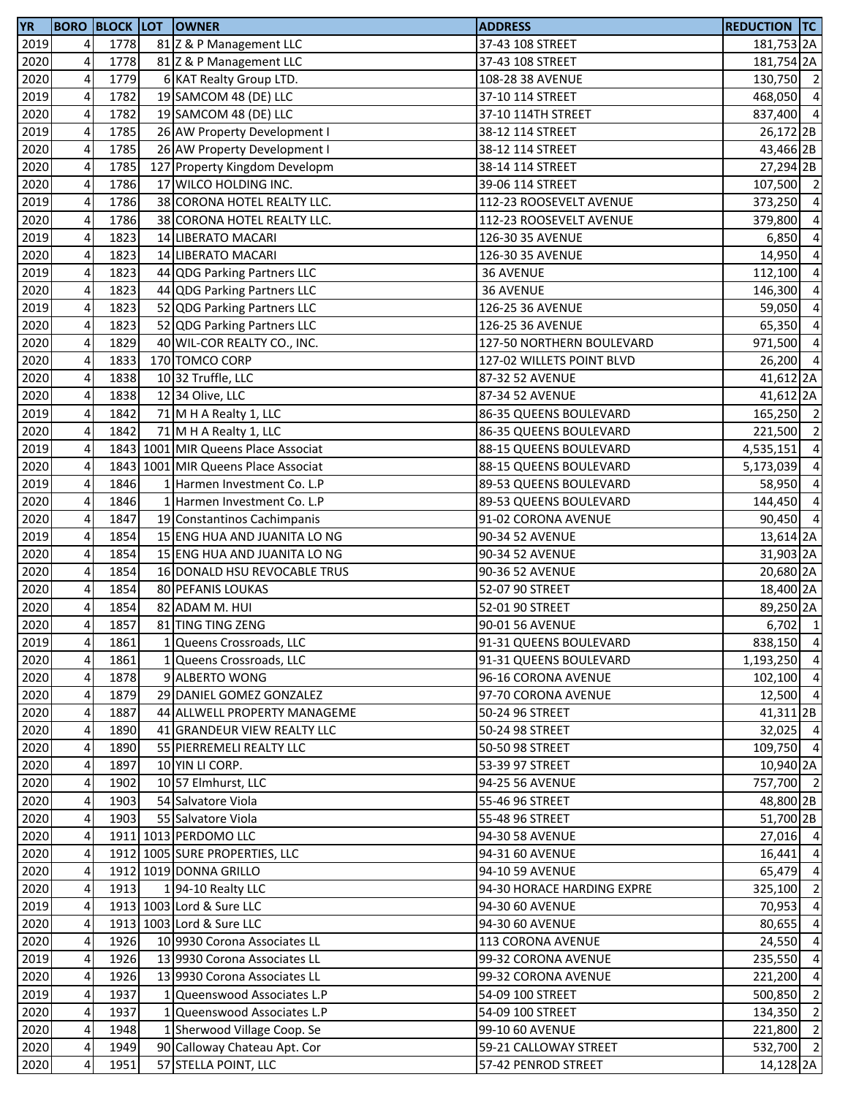| <b>YR</b> |                         |      | <b>BORO BLOCK LOT OWNER</b>         | <b>ADDRESS</b>             | <b>REDUCTION TC</b> |                |
|-----------|-------------------------|------|-------------------------------------|----------------------------|---------------------|----------------|
| 2019      | 4                       | 1778 | 81 Z & P Management LLC             | 37-43 108 STREET           | 181,753 2A          |                |
| 2020      | 4                       | 1778 | 81 Z & P Management LLC             | 37-43 108 STREET           | 181,754 2A          |                |
| 2020      | $\overline{\mathbf{4}}$ | 1779 | 6 KAT Realty Group LTD.             | 108-28 38 AVENUE           | 130,750 2           |                |
| 2019      | 4                       | 1782 | 19 SAMCOM 48 (DE) LLC               | 37-10 114 STREET           | 468,050             | $\overline{4}$ |
| 2020      | $\overline{\mathbf{4}}$ | 1782 | 19 SAMCOM 48 (DE) LLC               | 37-10 114TH STREET         | 837,400 4           |                |
| 2019      | 4                       | 1785 | 26 AW Property Development I        | 38-12 114 STREET           | 26,172 2B           |                |
| 2020      | $\overline{\mathbf{4}}$ | 1785 | 26 AW Property Development I        | 38-12 114 STREET           | 43,466 2B           |                |
| 2020      | 4                       | 1785 | 127 Property Kingdom Developm       | 38-14 114 STREET           | 27,294 2B           |                |
| 2020      | 4                       | 1786 | 17 WILCO HOLDING INC.               | 39-06 114 STREET           | 107,500 2           |                |
| 2019      | 4                       | 1786 | 38 CORONA HOTEL REALTY LLC.         | 112-23 ROOSEVELT AVENUE    | 373,250             | $\overline{4}$ |
| 2020      | $\overline{\mathbf{4}}$ | 1786 | 38 CORONA HOTEL REALTY LLC.         | 112-23 ROOSEVELT AVENUE    | 379,800             | $\overline{a}$ |
| 2019      | 4                       | 1823 | 14 LIBERATO MACARI                  | 126-30 35 AVENUE           | 6,850               | $\overline{a}$ |
| 2020      | 4                       | 1823 | 14 LIBERATO MACARI                  | 126-30 35 AVENUE           | 14,950              | $\overline{a}$ |
| 2019      | $\overline{\mathbf{4}}$ | 1823 | 44 QDG Parking Partners LLC         | 36 AVENUE                  | 112,100             | $\overline{a}$ |
| 2020      | $\pmb{4}$               | 1823 | 44 QDG Parking Partners LLC         | 36 AVENUE                  | 146,300             | $\overline{a}$ |
| 2019      | 4                       | 1823 | 52 QDG Parking Partners LLC         | 126-25 36 AVENUE           | 59,050              | $\overline{4}$ |
| 2020      | 4                       | 1823 | 52 QDG Parking Partners LLC         | 126-25 36 AVENUE           | 65,350              | $\overline{a}$ |
| 2020      | 4                       | 1829 | 40 WIL-COR REALTY CO., INC.         | 127-50 NORTHERN BOULEVARD  | 971,500             | $\overline{a}$ |
| 2020      | $\overline{\mathbf{4}}$ | 1833 | 170 TOMCO CORP                      | 127-02 WILLETS POINT BLVD  | 26,200              | $\overline{4}$ |
| 2020      | 4                       | 1838 | 10 32 Truffle, LLC                  | 87-32 52 AVENUE            | 41,612 2A           |                |
| 2020      | 4                       | 1838 | 12 34 Olive, LLC                    | 87-34 52 AVENUE            | 41,612 2A           |                |
| 2019      | $\overline{\mathbf{4}}$ | 1842 | 71 M H A Realty 1, LLC              | 86-35 QUEENS BOULEVARD     | 165,250 2           |                |
| 2020      | 4                       | 1842 | 71 M H A Realty 1, LLC              | 86-35 QUEENS BOULEVARD     | 221,500 2           |                |
| 2019      | 4                       |      | 1843 1001 MIR Queens Place Associat | 88-15 QUEENS BOULEVARD     | 4,535,151           | $\overline{4}$ |
| 2020      | 4                       |      | 1843 1001 MIR Queens Place Associat | 88-15 QUEENS BOULEVARD     | 5,173,039           | $\overline{a}$ |
| 2019      | 4                       | 1846 | 1 Harmen Investment Co. L.P         | 89-53 QUEENS BOULEVARD     | 58,950              | $\overline{a}$ |
| 2020      | $\overline{4}$          | 1846 | 1 Harmen Investment Co. L.P         | 89-53 QUEENS BOULEVARD     | 144,450             | $\overline{4}$ |
| 2020      | $\pmb{4}$               | 1847 | 19 Constantinos Cachimpanis         | 91-02 CORONA AVENUE        | 90,450 4            |                |
| 2019      | 4                       | 1854 | 15 ENG HUA AND JUANITA LO NG        | 90-34 52 AVENUE            | 13,614 2A           |                |
| 2020      | $\overline{\mathbf{4}}$ | 1854 | 15 ENG HUA AND JUANITA LO NG        | 90-34 52 AVENUE            | 31,903 2A           |                |
| 2020      | 4                       | 1854 | 16 DONALD HSU REVOCABLE TRUS        | 90-36 52 AVENUE            | 20,680 2A           |                |
| 2020      | 4                       | 1854 | 80 PEFANIS LOUKAS                   | 52-07 90 STREET            | 18,400 2A           |                |
| 2020      | 4                       | 1854 | 82 ADAM M. HUI                      | 52-01 90 STREET            | 89,250 2A           |                |
| 2020      | $\overline{4}$          | 1857 | 81 TING TING ZENG                   | 90-01 56 AVENUE            | $6,702$ 1           |                |
| 2019      | 4 <sup>1</sup>          | 1861 | 1 Queens Crossroads, LLC            | 91-31 QUEENS BOULEVARD     | 838,150 4           |                |
| 2020      | $\pmb{4}$               | 1861 | 1 Queens Crossroads, LLC            | 91-31 QUEENS BOULEVARD     | 1,193,250 4         |                |
| 2020      | 4                       | 1878 | 9 ALBERTO WONG                      | 96-16 CORONA AVENUE        | 102,100             | $\overline{4}$ |
| 2020      | 4                       | 1879 | 29 DANIEL GOMEZ GONZALEZ            | 97-70 CORONA AVENUE        | 12,500 4            |                |
| 2020      | 4                       | 1887 | 44 ALLWELL PROPERTY MANAGEME        | 50-24 96 STREET            | $41,311$ 2B         |                |
| 2020      | 4                       | 1890 | 41 GRANDEUR VIEW REALTY LLC         | 50-24 98 STREET            | 32,025 4            |                |
| 2020      | 4                       | 1890 | 55 PIERREMELI REALTY LLC            | 50-50 98 STREET            | 109,750 4           |                |
| 2020      | 4                       | 1897 | 10 YIN LI CORP.                     | 53-39 97 STREET            | 10,940 2A           |                |
| 2020      | 4                       | 1902 | 10 57 Elmhurst, LLC                 | 94-25 56 AVENUE            | 757,700 2           |                |
| 2020      | 4                       | 1903 | 54 Salvatore Viola                  | 55-46 96 STREET            | 48,800 2B           |                |
| 2020      | 4                       | 1903 | 55 Salvatore Viola                  | 55-48 96 STREET            | 51,700 2B           |                |
| 2020      | 4                       |      | 1911 1013 PERDOMO LLC               | 94-30 58 AVENUE            | 27,016 4            |                |
| 2020      | 4                       |      | 1912 1005 SURE PROPERTIES, LLC      | 94-31 60 AVENUE            | $16,441$ 4          |                |
| 2020      | 4                       |      | 1912 1019 DONNA GRILLO              | 94-10 59 AVENUE            | 65,479 4            |                |
| 2020      | 4                       | 1913 | 194-10 Realty LLC                   | 94-30 HORACE HARDING EXPRE | 325,100 2           |                |
| 2019      | 4                       |      | 1913 1003 Lord & Sure LLC           | 94-30 60 AVENUE            | 70,953              | $\overline{4}$ |
| 2020      | 4                       |      | 1913 1003 Lord & Sure LLC           | 94-30 60 AVENUE            | 80,655              | $\overline{a}$ |
| 2020      | 4                       | 1926 | 10 9930 Corona Associates LL        | 113 CORONA AVENUE          | 24,550              | $\overline{a}$ |
| 2019      | $\overline{\mathbf{4}}$ | 1926 | 13 9930 Corona Associates LL        | 99-32 CORONA AVENUE        | 235,550             | $\overline{4}$ |
| 2020      | 4                       | 1926 | 13 9930 Corona Associates LL        | 99-32 CORONA AVENUE        | 221,200             | $\overline{a}$ |
| 2019      | 4                       | 1937 | 1 Queenswood Associates L.P         | 54-09 100 STREET           | 500,850 2           |                |
| 2020      | 4                       | 1937 | 1 Queenswood Associates L.P         | 54-09 100 STREET           | 134,350             | $\overline{2}$ |
| 2020      | 4                       | 1948 | 1 Sherwood Village Coop. Se         | 99-10 60 AVENUE            | 221,800 2           |                |
| 2020      | 4                       | 1949 | 90 Calloway Chateau Apt. Cor        | 59-21 CALLOWAY STREET      | 532,700 2           |                |
| 2020      | $\pmb{4}$               | 1951 | 57 STELLA POINT, LLC                | 57-42 PENROD STREET        | 14,128 2A           |                |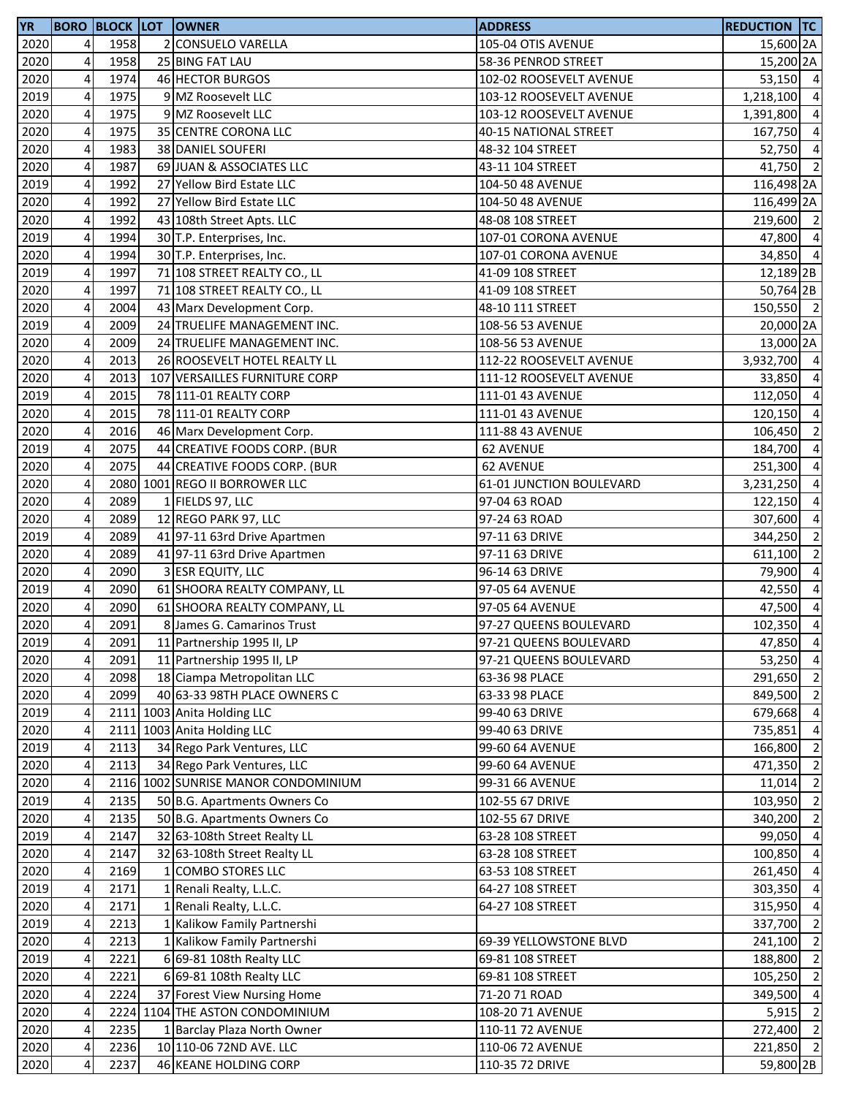| <b>YR</b>    |        |              | <b>BORO BLOCK LOT OWNER</b>                                    | <b>ADDRESS</b>                                   | <b>REDUCTION TC</b>    |                                  |
|--------------|--------|--------------|----------------------------------------------------------------|--------------------------------------------------|------------------------|----------------------------------|
| 2020         | 4      | 1958         | 2 CONSUELO VARELLA                                             | 105-04 OTIS AVENUE                               | 15,600 2A              |                                  |
| 2020         | 4      | 1958         | 25 BING FAT LAU                                                | 58-36 PENROD STREET                              | 15,200 2A              |                                  |
| 2020         | 4      | 1974         | 46 HECTOR BURGOS                                               | 102-02 ROOSEVELT AVENUE                          | 53,150 4               |                                  |
| 2019         | 4      | 1975         | 9 MZ Roosevelt LLC                                             | 103-12 ROOSEVELT AVENUE                          | 1,218,100 4            |                                  |
| 2020         | 4      | 1975         | 9 MZ Roosevelt LLC                                             | 103-12 ROOSEVELT AVENUE                          | 1,391,800 4            |                                  |
| 2020         | 4      | 1975         | 35 CENTRE CORONA LLC                                           | 40-15 NATIONAL STREET                            | 167,750 4              |                                  |
| 2020         | 4      | 1983         | 38 DANIEL SOUFERI                                              | 48-32 104 STREET                                 | 52,750 4               |                                  |
| 2020         | 4      | 1987         | 69 JUAN & ASSOCIATES LLC                                       | 43-11 104 STREET                                 | 41,750 2               |                                  |
| 2019         | 4      | 1992         | 27 Yellow Bird Estate LLC                                      | 104-50 48 AVENUE                                 | 116,498 2A             |                                  |
| 2020         | 4      | 1992         | 27 Yellow Bird Estate LLC                                      | 104-50 48 AVENUE                                 | 116,499 2A             |                                  |
| 2020         | 4      | 1992         | 43 108th Street Apts. LLC                                      | 48-08 108 STREET                                 | 219,600 2              |                                  |
| 2019         | 4      | 1994         | 30 T.P. Enterprises, Inc.                                      | 107-01 CORONA AVENUE                             | 47,800 4               |                                  |
| 2020         | 4      | 1994         | 30 T.P. Enterprises, Inc.                                      | 107-01 CORONA AVENUE                             | 34,850 4               |                                  |
| 2019         | 4      | 1997         | 71 108 STREET REALTY CO., LL                                   | 41-09 108 STREET                                 | 12,189 <sub>2B</sub>   |                                  |
| 2020         | 4      | 1997         | 71 108 STREET REALTY CO., LL                                   | 41-09 108 STREET                                 | 50,764 2B              |                                  |
| 2020         | 4      | 2004         | 43 Marx Development Corp.                                      | 48-10 111 STREET                                 | 150,550 2              |                                  |
| 2019         | 4      | 2009         | 24 TRUELIFE MANAGEMENT INC.                                    | 108-56 53 AVENUE                                 | 20,000 2A              |                                  |
| 2020         | 4      | 2009         | 24 TRUELIFE MANAGEMENT INC.                                    | 108-56 53 AVENUE                                 | 13,000 2A              |                                  |
| 2020         | 4      | 2013         | 26 ROOSEVELT HOTEL REALTY LL                                   | 112-22 ROOSEVELT AVENUE                          | 3,932,700 4            |                                  |
| 2020         | 4      | 2013         | 107 VERSAILLES FURNITURE CORP                                  | 111-12 ROOSEVELT AVENUE                          | 33,850                 | $\overline{4}$                   |
| 2019         | 4      | 2015         | 78 111-01 REALTY CORP                                          | 111-01 43 AVENUE                                 | 112,050 4              |                                  |
| 2020         | 4      | 2015         | 78 111-01 REALTY CORP                                          | 111-01 43 AVENUE                                 | 120,150 4              |                                  |
| 2020         | 4      | 2016         | 46 Marx Development Corp.                                      | 111-88 43 AVENUE                                 | 106,450 2              |                                  |
| 2019         | 4      | 2075         | 44 CREATIVE FOODS CORP. (BUR                                   | 62 AVENUE                                        | 184,700 4              |                                  |
| 2020         | 4      | 2075         | 44 CREATIVE FOODS CORP. (BUR                                   | <b>62 AVENUE</b>                                 | 251,300                | $\overline{4}$                   |
| 2020         | 4      |              | 2080 1001 REGO II BORROWER LLC                                 | 61-01 JUNCTION BOULEVARD                         | 3,231,250              | $\overline{a}$                   |
| 2020         | 4      | 2089         | 1 FIELDS 97, LLC                                               | 97-04 63 ROAD                                    | 122,150                | $\overline{a}$                   |
| 2020         | 4      | 2089         | 12 REGO PARK 97, LLC                                           | 97-24 63 ROAD                                    | 307,600                | $\overline{4}$                   |
| 2019         | 4      | 2089         |                                                                |                                                  |                        | $\overline{2}$                   |
|              | 4      | 2089         | 41 97-11 63rd Drive Apartmen                                   | 97-11 63 DRIVE<br>97-11 63 DRIVE                 | 344,250                | $\overline{2}$                   |
| 2020         | 4      | 2090         | 41 97-11 63rd Drive Apartmen                                   |                                                  | 611,100<br>79,900      | $\overline{4}$                   |
| 2020         | 4      | 2090         | 3 ESR EQUITY, LLC                                              | 96-14 63 DRIVE<br>97-05 64 AVENUE                |                        | $\overline{4}$                   |
| 2019         |        |              | 61 SHOORA REALTY COMPANY, LL                                   |                                                  | 42,550                 | $\overline{4}$                   |
| 2020<br>2020 | 4<br>4 | 2090<br>2091 | 61 SHOORA REALTY COMPANY, LL<br>8 James G. Camarinos Trust     | 97-05 64 AVENUE<br>97-27 QUEENS BOULEVARD        | 47,500<br>102,350 4    |                                  |
|              | 4      |              |                                                                |                                                  |                        |                                  |
| 2019<br>2020 | 4      | 2091<br>2091 | 11 Partnership 1995 II, LP<br>11 Partnership 1995 II, LP       | 97-21 QUEENS BOULEVARD<br>97-21 QUEENS BOULEVARD | 47,850 4<br>53,250 4   |                                  |
| 2020         | 4      | 2098         | 18 Ciampa Metropolitan LLC                                     | 63-36 98 PLACE                                   | 291,650                | $\overline{2}$                   |
| 2020         | 4      | 2099         | 40 63-33 98TH PLACE OWNERS C                                   | 63-33 98 PLACE                                   | 849,500 2              |                                  |
|              | 4      |              | 2111 1003 Anita Holding LLC                                    | 99-40 63 DRIVE                                   | 679,668                | $\overline{4}$                   |
| 2019         |        |              | 2111 1003 Anita Holding LLC                                    |                                                  |                        | $\overline{4}$                   |
| 2020         | 4      |              |                                                                | 99-40 63 DRIVE                                   | 735,851                |                                  |
| 2019<br>2020 | 4      | 2113<br>2113 | 34 Rego Park Ventures, LLC<br>34 Rego Park Ventures, LLC       | 99-60 64 AVENUE                                  | 166,800                | $\overline{2}$<br>$\overline{2}$ |
|              | 4      |              |                                                                | 99-60 64 AVENUE                                  | 471,350                |                                  |
| 2020         | 4      |              | 2116 1002 SUNRISE MANOR CONDOMINIUM                            | 99-31 66 AVENUE                                  | 11,014                 | $\overline{2}$                   |
| 2019<br>2020 | 4<br>4 | 2135<br>2135 | 50 B.G. Apartments Owners Co<br>50 B.G. Apartments Owners Co   | 102-55 67 DRIVE<br>102-55 67 DRIVE               | 103,950<br>340,200     | $\overline{2}$<br>$\overline{2}$ |
|              |        |              |                                                                |                                                  |                        |                                  |
| 2019<br>2020 | 4<br>4 | 2147<br>2147 | 32 63-108th Street Realty LL                                   | 63-28 108 STREET                                 | 99,050 4<br>100,850 4  |                                  |
|              |        |              | 32 63-108th Street Realty LL                                   | 63-28 108 STREET                                 |                        |                                  |
| 2020<br>2019 | 4      | 2169<br>2171 | 1 COMBO STORES LLC<br>1 Renali Realty, L.L.C.                  | 63-53 108 STREET<br>64-27 108 STREET             | 261,450 4<br>303,350 4 |                                  |
|              | 4      |              |                                                                |                                                  |                        |                                  |
| 2020         | 4      | 2171         | 1 Renali Realty, L.L.C.                                        | 64-27 108 STREET                                 | 315,950                | $\overline{4}$<br>$\overline{2}$ |
| 2019         | 4      | 2213         | 1 Kalikow Family Partnershi                                    |                                                  | 337,700                | $\overline{2}$                   |
| 2020         | 4      | 2213         | 1 Kalikow Family Partnershi                                    | 69-39 YELLOWSTONE BLVD                           | 241,100                | $\overline{2}$                   |
| 2019         | 4      | 2221         | 6 69-81 108th Realty LLC                                       | 69-81 108 STREET                                 | 188,800                |                                  |
| 2020         | 4      | 2221         | 6 69-81 108th Realty LLC                                       | 69-81 108 STREET                                 | 105,250                | $\overline{2}$                   |
| 2020         | 4      | 2224         | 37 Forest View Nursing Home<br>2224 1104 THE ASTON CONDOMINIUM | 71-20 71 ROAD                                    | 349,500 4              |                                  |
| 2020         | 4      |              |                                                                | 108-20 71 AVENUE                                 | 5,915                  | $\overline{2}$                   |
| 2020         | 4      | 2235         | 1 Barclay Plaza North Owner                                    | 110-11 72 AVENUE                                 | 272,400 2              |                                  |
| 2020         | 4      | 2236         | 10 110-06 72ND AVE. LLC                                        | 110-06 72 AVENUE                                 | 221,850 2              |                                  |
| 2020         | 4      | 2237         | 46 KEANE HOLDING CORP                                          | 110-35 72 DRIVE                                  | 59,800 2B              |                                  |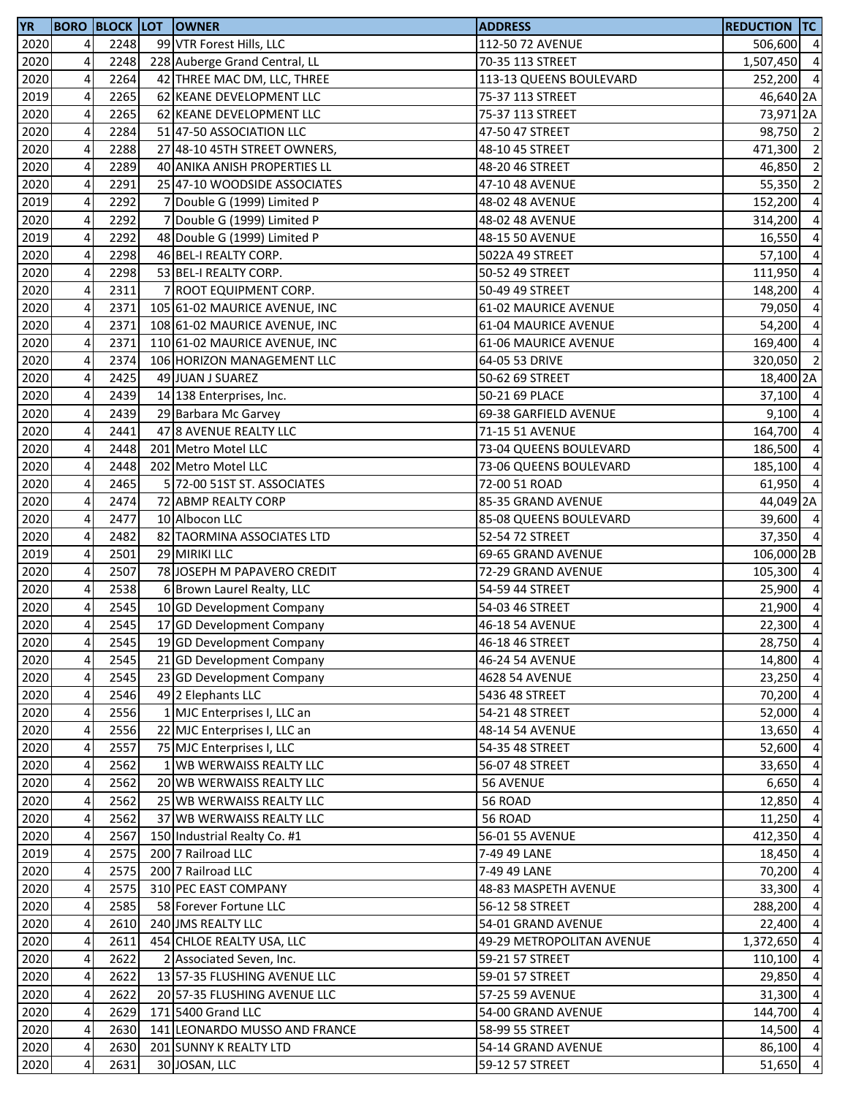| <b>YR</b> |                         |      | <b>BORO BLOCK LOT OWNER</b>   | <b>ADDRESS</b>            | <b>REDUCTION TC</b> |                |
|-----------|-------------------------|------|-------------------------------|---------------------------|---------------------|----------------|
| 2020      | 4                       | 2248 | 99 VTR Forest Hills, LLC      | 112-50 72 AVENUE          | 506,600 4           |                |
| 2020      | 4                       | 2248 | 228 Auberge Grand Central, LL | 70-35 113 STREET          | 1,507,450 4         |                |
| 2020      | $\overline{\mathbf{4}}$ | 2264 | 42 THREE MAC DM, LLC, THREE   | 113-13 QUEENS BOULEVARD   | 252,200 4           |                |
| 2019      | 4                       | 2265 | 62 KEANE DEVELOPMENT LLC      | 75-37 113 STREET          | 46,640 2A           |                |
| 2020      | 4                       | 2265 | 62 KEANE DEVELOPMENT LLC      | 75-37 113 STREET          | 73,971 2A           |                |
| 2020      | 4                       | 2284 | 51 47-50 ASSOCIATION LLC      | 47-50 47 STREET           | 98,750 2            |                |
| 2020      | 4                       | 2288 | 27 48-10 45TH STREET OWNERS,  | 48-10 45 STREET           | 471,300 2           |                |
| 2020      | 4                       | 2289 | 40 ANIKA ANISH PROPERTIES LL  | 48-20 46 STREET           | 46,850              | $\overline{2}$ |
| 2020      | 4                       | 2291 | 25 47-10 WOODSIDE ASSOCIATES  | 47-10 48 AVENUE           | 55,350              | $\overline{2}$ |
| 2019      | 4                       | 2292 | 7 Double G (1999) Limited P   | 48-02 48 AVENUE           | 152,200             | $\overline{4}$ |
| 2020      | 4                       | 2292 | 7 Double G (1999) Limited P   | 48-02 48 AVENUE           | 314,200             | $\overline{4}$ |
| 2019      | 4                       | 2292 | 48 Double G (1999) Limited P  | 48-15 50 AVENUE           | 16,550              | $\overline{4}$ |
| 2020      | 4                       | 2298 | 46 BEL-I REALTY CORP.         | 5022A 49 STREET           | 57,100 4            |                |
| 2020      | 4                       | 2298 | 53 BEL-I REALTY CORP.         | 50-52 49 STREET           | 111,950             | $\overline{4}$ |
| 2020      | 4                       | 2311 | 7 ROOT EQUIPMENT CORP.        | 50-49 49 STREET           | 148,200             | $\overline{4}$ |
| 2020      | 4                       | 2371 | 105 61-02 MAURICE AVENUE, INC | 61-02 MAURICE AVENUE      | 79,050              | $\overline{4}$ |
| 2020      | 4                       | 2371 | 108 61-02 MAURICE AVENUE, INC | 61-04 MAURICE AVENUE      | 54,200              | $\overline{4}$ |
| 2020      | 4                       | 2371 | 110 61-02 MAURICE AVENUE, INC | 61-06 MAURICE AVENUE      | 169,400             | $\overline{4}$ |
| 2020      | 4                       | 2374 | 106 HORIZON MANAGEMENT LLC    | 64-05 53 DRIVE            | 320,050 2           |                |
| 2020      | $\overline{4}$          | 2425 | 49 JUAN J SUAREZ              | 50-62 69 STREET           | 18,400 2A           |                |
| 2020      | 4                       | 2439 | 14 138 Enterprises, Inc.      | 50-21 69 PLACE            | 37,100 4            |                |
| 2020      | 4                       | 2439 | 29 Barbara Mc Garvey          | 69-38 GARFIELD AVENUE     | $9,100$ 4           |                |
| 2020      | 4                       | 2441 | 47 8 AVENUE REALTY LLC        | 71-15 51 AVENUE           | 164,700 4           |                |
| 2020      | 4                       | 2448 | 201 Metro Motel LLC           | 73-04 QUEENS BOULEVARD    | 186,500             | $\overline{4}$ |
| 2020      | 4                       | 2448 | 202 Metro Motel LLC           | 73-06 QUEENS BOULEVARD    | 185,100             | $\overline{4}$ |
| 2020      | 4                       | 2465 | 5 72-00 51ST ST. ASSOCIATES   | 72-00 51 ROAD             | 61,950 4            |                |
| 2020      | 4                       | 2474 | 72 ABMP REALTY CORP           | 85-35 GRAND AVENUE        | 44,049 2A           |                |
| 2020      | $\overline{\mathbf{4}}$ | 2477 | 10 Albocon LLC                | 85-08 QUEENS BOULEVARD    | 39,600 4            |                |
| 2020      | $\pmb{4}$               | 2482 | 82 TAORMINA ASSOCIATES LTD    | 52-54 72 STREET           | 37,350 4            |                |
| 2019      | $\overline{\mathbf{4}}$ | 2501 | 29 MIRIKI LLC                 | 69-65 GRAND AVENUE        | 106,000 2B          |                |
| 2020      | 4                       | 2507 | 78 JOSEPH M PAPAVERO CREDIT   | 72-29 GRAND AVENUE        | 105,300 4           |                |
| 2020      | $\overline{\mathbf{4}}$ | 2538 | 6 Brown Laurel Realty, LLC    | 54-59 44 STREET           | 25,900 4            |                |
| 2020      | 4                       | 2545 | 10 GD Development Company     | 54-03 46 STREET           | 21,900 4            |                |
| 2020      | 4                       | 2545 | 17 GD Development Company     | 46-18 54 AVENUE           | $22,300$ 4          |                |
| 2020      | 4                       | 2545 | 19 GD Development Company     | 46-18 46 STREET           | 28,750 4            |                |
| 2020      | 4                       | 2545 | 21 GD Development Company     | 46-24 54 AVENUE           | 14,800              | $\overline{4}$ |
| 2020      | 4                       | 2545 | 23 GD Development Company     | 4628 54 AVENUE            | 23,250              | $\overline{4}$ |
| 2020      | 4                       | 2546 | 49 2 Elephants LLC            | 5436 48 STREET            | 70,200              | $\overline{4}$ |
| 2020      | 4                       | 2556 | 1 MJC Enterprises I, LLC an   | 54-21 48 STREET           | 52,000              | $\overline{4}$ |
| 2020      | 4                       | 2556 | 22 MJC Enterprises I, LLC an  | 48-14 54 AVENUE           | 13,650              | $\overline{4}$ |
| 2020      | 4                       | 2557 | 75 MJC Enterprises I, LLC     | 54-35 48 STREET           | 52,600              | $\overline{4}$ |
| 2020      | 4                       | 2562 | 1 WB WERWAISS REALTY LLC      | 56-07 48 STREET           | 33,650              | $\overline{4}$ |
| 2020      | 4                       | 2562 | 20 WB WERWAISS REALTY LLC     | <b>56 AVENUE</b>          | 6,650               | $\overline{4}$ |
| 2020      | 4                       | 2562 | 25 WB WERWAISS REALTY LLC     | 56 ROAD                   | 12,850              | $\overline{4}$ |
| 2020      | 4                       | 2562 | 37 WB WERWAISS REALTY LLC     | 56 ROAD                   | 11,250              | $\overline{4}$ |
| 2020      | 4                       | 2567 | 150 Industrial Realty Co. #1  | 56-01 55 AVENUE           | 412,350             | $\overline{4}$ |
| 2019      | 4                       | 2575 | 200 7 Railroad LLC            | 7-49 49 LANE              | 18,450              | $\overline{4}$ |
| 2020      | 4                       | 2575 | 200 7 Railroad LLC            | 7-49 49 LANE              | 70,200              | $\overline{4}$ |
| 2020      | 4                       | 2575 | 310 PEC EAST COMPANY          | 48-83 MASPETH AVENUE      | 33,300              | $\overline{4}$ |
| 2020      | 4                       | 2585 | 58 Forever Fortune LLC        | 56-12 58 STREET           | 288,200             | $\overline{4}$ |
| 2020      | 4                       | 2610 | 240 JMS REALTY LLC            | 54-01 GRAND AVENUE        | 22,400              | $\overline{4}$ |
| 2020      | 4                       | 2611 | 454 CHLOE REALTY USA, LLC     | 49-29 METROPOLITAN AVENUE | 1,372,650           | $\overline{4}$ |
| 2020      | 4                       | 2622 | 2 Associated Seven, Inc.      | 59-21 57 STREET           | 110,100             | $\overline{4}$ |
| 2020      | 4                       | 2622 | 13 57-35 FLUSHING AVENUE LLC  | 59-01 57 STREET           | 29,850              | $\overline{4}$ |
| 2020      | 4                       | 2622 | 20 57-35 FLUSHING AVENUE LLC  | 57-25 59 AVENUE           | 31,300 4            |                |
| 2020      | 4                       | 2629 | 171 5400 Grand LLC            | 54-00 GRAND AVENUE        | 144,700 4           |                |
| 2020      | 4                       | 2630 | 141 LEONARDO MUSSO AND FRANCE | 58-99 55 STREET           | 14,500              | $\overline{4}$ |
| 2020      | 4                       | 2630 | 201 SUNNY K REALTY LTD        | 54-14 GRAND AVENUE        | 86,100 4            |                |
| 2020      | 4                       | 2631 | 30 JOSAN, LLC                 | 59-12 57 STREET           | 51,650              | $\overline{4}$ |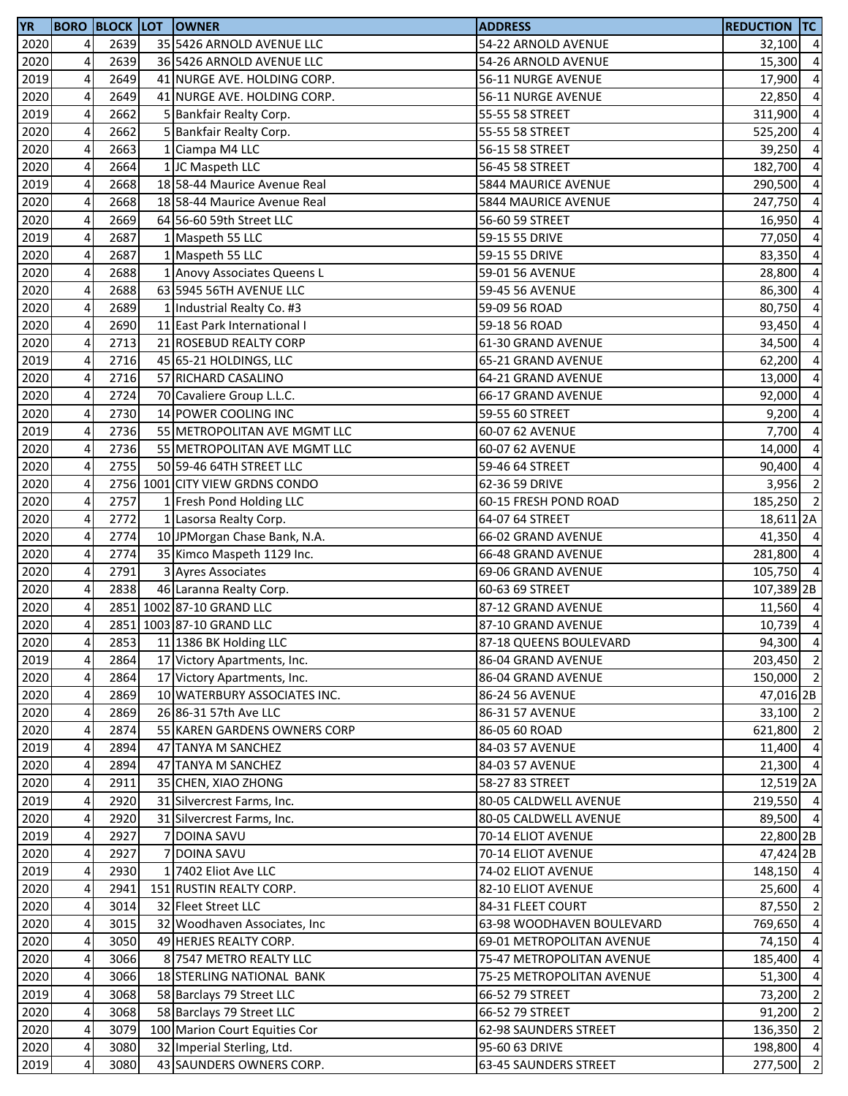| 2020<br>2639<br>35 5426 ARNOLD AVENUE LLC<br>$\overline{4}$<br>54-22 ARNOLD AVENUE<br>32,100 4<br>2020<br>4<br>2639<br>36 5426 ARNOLD AVENUE LLC<br>54-26 ARNOLD AVENUE<br>2019<br>2649<br>4<br>41 NURGE AVE. HOLDING CORP.<br>56-11 NURGE AVENUE<br>17,900<br>$\overline{\mathbf{4}}$<br>2020<br>2649<br>41 NURGE AVE. HOLDING CORP.<br>56-11 NURGE AVENUE<br>22,850<br>2019<br>4<br>2662<br>311,900<br>5 Bankfair Realty Corp.<br>55-55 58 STREET<br>4<br>2020<br>2662<br>5 Bankfair Realty Corp.<br>55-55 58 STREET<br>4<br>2663<br>2020<br>1 Ciampa M4 LLC<br>39,250<br>56-15 58 STREET<br>2020<br>4<br>2664<br>1 JC Maspeth LLC<br>56-45 58 STREET<br>182,700<br>4<br>2019<br>2668<br>18 58-44 Maurice Avenue Real<br>5844 MAURICE AVENUE<br>290,500<br>2020<br>2668<br>4<br>18 58-44 Maurice Avenue Real<br>247,750<br>5844 MAURICE AVENUE<br>4<br>2020<br>2669<br>64 56-60 59th Street LLC<br>16,950<br>56-60 59 STREET<br>2019<br>4<br>2687<br>1 Maspeth 55 LLC<br>59-15 55 DRIVE<br>77,050<br>4<br>2687<br>2020<br>1 Maspeth 55 LLC<br>59-15 55 DRIVE<br>83,350<br>4<br>2688<br>2020<br>59-01 56 AVENUE<br>1 Anovy Associates Queens L<br>$\overline{4}$<br>2688<br>2020<br>63 5945 56TH AVENUE LLC<br>59-45 56 AVENUE<br>4<br>2689<br>2020<br>1 Industrial Realty Co. #3<br>59-09 56 ROAD<br>$\overline{4}$<br>2020<br>2690<br>11 East Park International I<br>93,450<br>59-18 56 ROAD<br>2020<br>2713<br>4<br>21 ROSEBUD REALTY CORP<br>61-30 GRAND AVENUE<br>34,500<br>2019<br>2716<br>4<br>45 65-21 HOLDINGS, LLC<br>65-21 GRAND AVENUE<br>62,200<br>2020<br>4<br>2716<br>57 RICHARD CASALINO<br>64-21 GRAND AVENUE<br>13,000<br>2020<br>4<br>2724<br>70 Cavaliere Group L.L.C.<br>66-17 GRAND AVENUE<br>92,000<br>2020<br>4<br>2730<br>14 POWER COOLING INC<br>59-55 60 STREET<br>9,200<br>2019<br>4<br>2736<br>55 METROPOLITAN AVE MGMT LLC<br>60-07 62 AVENUE<br>2020<br>4<br>2736<br>14,000<br>55 METROPOLITAN AVE MGMT LLC<br>60-07 62 AVENUE<br>2020<br>4<br>2755<br>50 59-46 64TH STREET LLC<br>90,400<br>59-46 64 STREET<br>2756 1001 CITY VIEW GRDNS CONDO<br>2020<br>4<br>62-36 59 DRIVE<br>2757<br>2020<br>4<br>1 Fresh Pond Holding LLC<br>60-15 FRESH POND ROAD<br>$\overline{4}$<br>2772<br>2020<br>1 Lasorsa Realty Corp.<br>64-07 64 STREET<br>18,611 2A<br>$\overline{\mathbf{4}}$<br>2020<br>2774<br>10 JPMorgan Chase Bank, N.A.<br>66-02 GRAND AVENUE<br>$\pmb{4}$<br>2020<br>2774<br>35 Kimco Maspeth 1129 Inc.<br>66-48 GRAND AVENUE<br>$\overline{\mathbf{4}}$<br>2020<br>2791<br>3 Ayres Associates<br>69-06 GRAND AVENUE<br>4<br>2838<br>2020<br>46 Laranna Realty Corp.<br>60-63 69 STREET<br>2020<br>4<br>2851 1002 87-10 GRAND LLC<br>87-12 GRAND AVENUE<br>4<br>2851 1003 87-10 GRAND LLC<br>2020<br>87-10 GRAND AVENUE<br>2853<br>11 1386 BK Holding LLC<br>2020<br>4 <sub>l</sub><br>87-18 QUEENS BOULEVARD<br>2019<br>4<br>2864<br>17 Victory Apartments, Inc.<br>86-04 GRAND AVENUE<br>2020<br>4<br>2864<br>17 Victory Apartments, Inc.<br>86-04 GRAND AVENUE<br>4<br>2020<br>2869<br>10 WATERBURY ASSOCIATES INC.<br>47,016 2B<br>86-24 56 AVENUE<br>2020<br>4<br>2869<br>26 86-31 57th Ave LLC<br>86-31 57 AVENUE<br>2020<br>4<br>2874<br>55 KAREN GARDENS OWNERS CORP<br>86-05 60 ROAD<br>2019<br>4<br>2894<br>47 TANYA M SANCHEZ<br>84-03 57 AVENUE<br>2020<br>4<br>2894<br>47 TANYA M SANCHEZ<br>84-03 57 AVENUE<br>2020<br>4<br>2911<br>35 CHEN, XIAO ZHONG<br>58-27 83 STREET<br>2019<br>4<br>2920<br>31 Silvercrest Farms, Inc.<br>80-05 CALDWELL AVENUE<br>2020<br>4<br>2920<br>31 Silvercrest Farms, Inc.<br>80-05 CALDWELL AVENUE<br>2019<br>22,800 2B<br>4<br>2927<br>7 DOINA SAVU<br>70-14 ELIOT AVENUE<br>2020<br>4<br>2927<br>7 DOINA SAVU<br>47,424 2B<br>70-14 ELIOT AVENUE<br>2019<br>4<br>2930<br>1 7402 Eliot Ave LLC<br>74-02 ELIOT AVENUE<br>2020<br>4<br>2941<br>151 RUSTIN REALTY CORP.<br>82-10 ELIOT AVENUE<br>2020<br>4<br>3014<br>32 Fleet Street LLC<br>84-31 FLEET COURT<br>2020<br>4<br>3015<br>32 Woodhaven Associates, Inc.<br>63-98 WOODHAVEN BOULEVARD<br>769,650<br>2020<br>4<br>3050<br>49 HERJES REALTY CORP.<br>69-01 METROPOLITAN AVENUE<br>74,150<br>2020<br>4<br>3066<br>8 7547 METRO REALTY LLC<br>75-47 METROPOLITAN AVENUE<br>185,400<br>2020<br>4<br>18 STERLING NATIONAL BANK<br>3066<br>75-25 METROPOLITAN AVENUE<br>51,300<br>4<br>2019<br>3068<br>58 Barclays 79 Street LLC<br>66-52 79 STREET<br>4<br>2020<br>3068<br>58 Barclays 79 Street LLC<br>66-52 79 STREET<br>4<br>100 Marion Court Equities Cor<br>2020<br>3079<br>136,350<br>62-98 SAUNDERS STREET<br>4<br>2020<br>3080<br>32 Imperial Sterling, Ltd.<br>95-60 63 DRIVE<br>43 SAUNDERS OWNERS CORP.<br>2019<br>4<br>3080<br>63-45 SAUNDERS STREET | <b>YR</b> |  | <b>BORO BLOCK LOT OWNER</b> | <b>ADDRESS</b> | <b>REDUCTION TC</b> |  |
|--------------------------------------------------------------------------------------------------------------------------------------------------------------------------------------------------------------------------------------------------------------------------------------------------------------------------------------------------------------------------------------------------------------------------------------------------------------------------------------------------------------------------------------------------------------------------------------------------------------------------------------------------------------------------------------------------------------------------------------------------------------------------------------------------------------------------------------------------------------------------------------------------------------------------------------------------------------------------------------------------------------------------------------------------------------------------------------------------------------------------------------------------------------------------------------------------------------------------------------------------------------------------------------------------------------------------------------------------------------------------------------------------------------------------------------------------------------------------------------------------------------------------------------------------------------------------------------------------------------------------------------------------------------------------------------------------------------------------------------------------------------------------------------------------------------------------------------------------------------------------------------------------------------------------------------------------------------------------------------------------------------------------------------------------------------------------------------------------------------------------------------------------------------------------------------------------------------------------------------------------------------------------------------------------------------------------------------------------------------------------------------------------------------------------------------------------------------------------------------------------------------------------------------------------------------------------------------------------------------------------------------------------------------------------------------------------------------------------------------------------------------------------------------------------------------------------------------------------------------------------------------------------------------------------------------------------------------------------------------------------------------------------------------------------------------------------------------------------------------------------------------------------------------------------------------------------------------------------------------------------------------------------------------------------------------------------------------------------------------------------------------------------------------------------------------------------------------------------------------------------------------------------------------------------------------------------------------------------------------------------------------------------------------------------------------------------------------------------------------------------------------------------------------------------------------------------------------------------------------------------------------------------------------------------------------------------------------------------------------------------------------------------------------------------------------------------------------------------------------------------------------------------------------------------------------------------------------------------------------------------------------------------------------------------------------------------------------------------------------------------------------------------------------------------------------------------------------------------------------------------------------------------------------------------------------------------------------------------------------------------------------------------------------------------------------------------------------|-----------|--|-----------------------------|----------------|---------------------|--|
| 15,300 4<br>107,389 2B<br>12,519 <sub>2A</sub>                                                                                                                                                                                                                                                                                                                                                                                                                                                                                                                                                                                                                                                                                                                                                                                                                                                                                                                                                                                                                                                                                                                                                                                                                                                                                                                                                                                                                                                                                                                                                                                                                                                                                                                                                                                                                                                                                                                                                                                                                                                                                                                                                                                                                                                                                                                                                                                                                                                                                                                                                                                                                                                                                                                                                                                                                                                                                                                                                                                                                                                                                                                                                                                                                                                                                                                                                                                                                                                                                                                                                                                                                                                                                                                                                                                                                                                                                                                                                                                                                                                                                                                                                                                                                                                                                                                                                                                                                                                                                                                                                                                                                                                               |           |  |                             |                |                     |  |
| $\overline{a}$<br>$\overline{a}$<br>$\overline{a}$<br>525,200 4<br>$\overline{a}$<br>$\overline{a}$<br>$\overline{4}$<br>$\overline{4}$<br>$\overline{a}$<br>$\overline{a}$<br>$\overline{a}$<br>28,800 4<br>86,300 4<br>80,750 4<br>$\overline{a}$<br>$\overline{a}$<br>$\overline{a}$<br>$\overline{a}$<br>$\overline{a}$<br>$\overline{a}$<br>7,700 4<br>$\overline{4}$<br>$\overline{a}$<br>$3,956$ 2<br>185,250 2<br>41,350 4<br>281,800 4<br>105,750 4<br>11,560 4<br>10,739 4<br>94,300 4<br>203,450 2<br>150,000 2<br>33,100 2<br>621,800 2<br>11,400 4<br>21,300 4<br>219,550 4<br>89,500 4<br>148,150 4<br>25,600 4<br>87,550 2<br>$\overline{4}$<br>$\overline{a}$<br>$\overline{a}$<br>$\overline{a}$<br>73,200 2<br>91,200 2<br>$\overline{2}$<br>198,800 4<br>277,500 2                                                                                                                                                                                                                                                                                                                                                                                                                                                                                                                                                                                                                                                                                                                                                                                                                                                                                                                                                                                                                                                                                                                                                                                                                                                                                                                                                                                                                                                                                                                                                                                                                                                                                                                                                                                                                                                                                                                                                                                                                                                                                                                                                                                                                                                                                                                                                                                                                                                                                                                                                                                                                                                                                                                                                                                                                                                                                                                                                                                                                                                                                                                                                                                                                                                                                                                                                                                                                                                                                                                                                                                                                                                                                                                                                                                                                                                                                                                        |           |  |                             |                |                     |  |
|                                                                                                                                                                                                                                                                                                                                                                                                                                                                                                                                                                                                                                                                                                                                                                                                                                                                                                                                                                                                                                                                                                                                                                                                                                                                                                                                                                                                                                                                                                                                                                                                                                                                                                                                                                                                                                                                                                                                                                                                                                                                                                                                                                                                                                                                                                                                                                                                                                                                                                                                                                                                                                                                                                                                                                                                                                                                                                                                                                                                                                                                                                                                                                                                                                                                                                                                                                                                                                                                                                                                                                                                                                                                                                                                                                                                                                                                                                                                                                                                                                                                                                                                                                                                                                                                                                                                                                                                                                                                                                                                                                                                                                                                                                              |           |  |                             |                |                     |  |
|                                                                                                                                                                                                                                                                                                                                                                                                                                                                                                                                                                                                                                                                                                                                                                                                                                                                                                                                                                                                                                                                                                                                                                                                                                                                                                                                                                                                                                                                                                                                                                                                                                                                                                                                                                                                                                                                                                                                                                                                                                                                                                                                                                                                                                                                                                                                                                                                                                                                                                                                                                                                                                                                                                                                                                                                                                                                                                                                                                                                                                                                                                                                                                                                                                                                                                                                                                                                                                                                                                                                                                                                                                                                                                                                                                                                                                                                                                                                                                                                                                                                                                                                                                                                                                                                                                                                                                                                                                                                                                                                                                                                                                                                                                              |           |  |                             |                |                     |  |
|                                                                                                                                                                                                                                                                                                                                                                                                                                                                                                                                                                                                                                                                                                                                                                                                                                                                                                                                                                                                                                                                                                                                                                                                                                                                                                                                                                                                                                                                                                                                                                                                                                                                                                                                                                                                                                                                                                                                                                                                                                                                                                                                                                                                                                                                                                                                                                                                                                                                                                                                                                                                                                                                                                                                                                                                                                                                                                                                                                                                                                                                                                                                                                                                                                                                                                                                                                                                                                                                                                                                                                                                                                                                                                                                                                                                                                                                                                                                                                                                                                                                                                                                                                                                                                                                                                                                                                                                                                                                                                                                                                                                                                                                                                              |           |  |                             |                |                     |  |
|                                                                                                                                                                                                                                                                                                                                                                                                                                                                                                                                                                                                                                                                                                                                                                                                                                                                                                                                                                                                                                                                                                                                                                                                                                                                                                                                                                                                                                                                                                                                                                                                                                                                                                                                                                                                                                                                                                                                                                                                                                                                                                                                                                                                                                                                                                                                                                                                                                                                                                                                                                                                                                                                                                                                                                                                                                                                                                                                                                                                                                                                                                                                                                                                                                                                                                                                                                                                                                                                                                                                                                                                                                                                                                                                                                                                                                                                                                                                                                                                                                                                                                                                                                                                                                                                                                                                                                                                                                                                                                                                                                                                                                                                                                              |           |  |                             |                |                     |  |
|                                                                                                                                                                                                                                                                                                                                                                                                                                                                                                                                                                                                                                                                                                                                                                                                                                                                                                                                                                                                                                                                                                                                                                                                                                                                                                                                                                                                                                                                                                                                                                                                                                                                                                                                                                                                                                                                                                                                                                                                                                                                                                                                                                                                                                                                                                                                                                                                                                                                                                                                                                                                                                                                                                                                                                                                                                                                                                                                                                                                                                                                                                                                                                                                                                                                                                                                                                                                                                                                                                                                                                                                                                                                                                                                                                                                                                                                                                                                                                                                                                                                                                                                                                                                                                                                                                                                                                                                                                                                                                                                                                                                                                                                                                              |           |  |                             |                |                     |  |
|                                                                                                                                                                                                                                                                                                                                                                                                                                                                                                                                                                                                                                                                                                                                                                                                                                                                                                                                                                                                                                                                                                                                                                                                                                                                                                                                                                                                                                                                                                                                                                                                                                                                                                                                                                                                                                                                                                                                                                                                                                                                                                                                                                                                                                                                                                                                                                                                                                                                                                                                                                                                                                                                                                                                                                                                                                                                                                                                                                                                                                                                                                                                                                                                                                                                                                                                                                                                                                                                                                                                                                                                                                                                                                                                                                                                                                                                                                                                                                                                                                                                                                                                                                                                                                                                                                                                                                                                                                                                                                                                                                                                                                                                                                              |           |  |                             |                |                     |  |
|                                                                                                                                                                                                                                                                                                                                                                                                                                                                                                                                                                                                                                                                                                                                                                                                                                                                                                                                                                                                                                                                                                                                                                                                                                                                                                                                                                                                                                                                                                                                                                                                                                                                                                                                                                                                                                                                                                                                                                                                                                                                                                                                                                                                                                                                                                                                                                                                                                                                                                                                                                                                                                                                                                                                                                                                                                                                                                                                                                                                                                                                                                                                                                                                                                                                                                                                                                                                                                                                                                                                                                                                                                                                                                                                                                                                                                                                                                                                                                                                                                                                                                                                                                                                                                                                                                                                                                                                                                                                                                                                                                                                                                                                                                              |           |  |                             |                |                     |  |
|                                                                                                                                                                                                                                                                                                                                                                                                                                                                                                                                                                                                                                                                                                                                                                                                                                                                                                                                                                                                                                                                                                                                                                                                                                                                                                                                                                                                                                                                                                                                                                                                                                                                                                                                                                                                                                                                                                                                                                                                                                                                                                                                                                                                                                                                                                                                                                                                                                                                                                                                                                                                                                                                                                                                                                                                                                                                                                                                                                                                                                                                                                                                                                                                                                                                                                                                                                                                                                                                                                                                                                                                                                                                                                                                                                                                                                                                                                                                                                                                                                                                                                                                                                                                                                                                                                                                                                                                                                                                                                                                                                                                                                                                                                              |           |  |                             |                |                     |  |
|                                                                                                                                                                                                                                                                                                                                                                                                                                                                                                                                                                                                                                                                                                                                                                                                                                                                                                                                                                                                                                                                                                                                                                                                                                                                                                                                                                                                                                                                                                                                                                                                                                                                                                                                                                                                                                                                                                                                                                                                                                                                                                                                                                                                                                                                                                                                                                                                                                                                                                                                                                                                                                                                                                                                                                                                                                                                                                                                                                                                                                                                                                                                                                                                                                                                                                                                                                                                                                                                                                                                                                                                                                                                                                                                                                                                                                                                                                                                                                                                                                                                                                                                                                                                                                                                                                                                                                                                                                                                                                                                                                                                                                                                                                              |           |  |                             |                |                     |  |
|                                                                                                                                                                                                                                                                                                                                                                                                                                                                                                                                                                                                                                                                                                                                                                                                                                                                                                                                                                                                                                                                                                                                                                                                                                                                                                                                                                                                                                                                                                                                                                                                                                                                                                                                                                                                                                                                                                                                                                                                                                                                                                                                                                                                                                                                                                                                                                                                                                                                                                                                                                                                                                                                                                                                                                                                                                                                                                                                                                                                                                                                                                                                                                                                                                                                                                                                                                                                                                                                                                                                                                                                                                                                                                                                                                                                                                                                                                                                                                                                                                                                                                                                                                                                                                                                                                                                                                                                                                                                                                                                                                                                                                                                                                              |           |  |                             |                |                     |  |
|                                                                                                                                                                                                                                                                                                                                                                                                                                                                                                                                                                                                                                                                                                                                                                                                                                                                                                                                                                                                                                                                                                                                                                                                                                                                                                                                                                                                                                                                                                                                                                                                                                                                                                                                                                                                                                                                                                                                                                                                                                                                                                                                                                                                                                                                                                                                                                                                                                                                                                                                                                                                                                                                                                                                                                                                                                                                                                                                                                                                                                                                                                                                                                                                                                                                                                                                                                                                                                                                                                                                                                                                                                                                                                                                                                                                                                                                                                                                                                                                                                                                                                                                                                                                                                                                                                                                                                                                                                                                                                                                                                                                                                                                                                              |           |  |                             |                |                     |  |
|                                                                                                                                                                                                                                                                                                                                                                                                                                                                                                                                                                                                                                                                                                                                                                                                                                                                                                                                                                                                                                                                                                                                                                                                                                                                                                                                                                                                                                                                                                                                                                                                                                                                                                                                                                                                                                                                                                                                                                                                                                                                                                                                                                                                                                                                                                                                                                                                                                                                                                                                                                                                                                                                                                                                                                                                                                                                                                                                                                                                                                                                                                                                                                                                                                                                                                                                                                                                                                                                                                                                                                                                                                                                                                                                                                                                                                                                                                                                                                                                                                                                                                                                                                                                                                                                                                                                                                                                                                                                                                                                                                                                                                                                                                              |           |  |                             |                |                     |  |
|                                                                                                                                                                                                                                                                                                                                                                                                                                                                                                                                                                                                                                                                                                                                                                                                                                                                                                                                                                                                                                                                                                                                                                                                                                                                                                                                                                                                                                                                                                                                                                                                                                                                                                                                                                                                                                                                                                                                                                                                                                                                                                                                                                                                                                                                                                                                                                                                                                                                                                                                                                                                                                                                                                                                                                                                                                                                                                                                                                                                                                                                                                                                                                                                                                                                                                                                                                                                                                                                                                                                                                                                                                                                                                                                                                                                                                                                                                                                                                                                                                                                                                                                                                                                                                                                                                                                                                                                                                                                                                                                                                                                                                                                                                              |           |  |                             |                |                     |  |
|                                                                                                                                                                                                                                                                                                                                                                                                                                                                                                                                                                                                                                                                                                                                                                                                                                                                                                                                                                                                                                                                                                                                                                                                                                                                                                                                                                                                                                                                                                                                                                                                                                                                                                                                                                                                                                                                                                                                                                                                                                                                                                                                                                                                                                                                                                                                                                                                                                                                                                                                                                                                                                                                                                                                                                                                                                                                                                                                                                                                                                                                                                                                                                                                                                                                                                                                                                                                                                                                                                                                                                                                                                                                                                                                                                                                                                                                                                                                                                                                                                                                                                                                                                                                                                                                                                                                                                                                                                                                                                                                                                                                                                                                                                              |           |  |                             |                |                     |  |
|                                                                                                                                                                                                                                                                                                                                                                                                                                                                                                                                                                                                                                                                                                                                                                                                                                                                                                                                                                                                                                                                                                                                                                                                                                                                                                                                                                                                                                                                                                                                                                                                                                                                                                                                                                                                                                                                                                                                                                                                                                                                                                                                                                                                                                                                                                                                                                                                                                                                                                                                                                                                                                                                                                                                                                                                                                                                                                                                                                                                                                                                                                                                                                                                                                                                                                                                                                                                                                                                                                                                                                                                                                                                                                                                                                                                                                                                                                                                                                                                                                                                                                                                                                                                                                                                                                                                                                                                                                                                                                                                                                                                                                                                                                              |           |  |                             |                |                     |  |
|                                                                                                                                                                                                                                                                                                                                                                                                                                                                                                                                                                                                                                                                                                                                                                                                                                                                                                                                                                                                                                                                                                                                                                                                                                                                                                                                                                                                                                                                                                                                                                                                                                                                                                                                                                                                                                                                                                                                                                                                                                                                                                                                                                                                                                                                                                                                                                                                                                                                                                                                                                                                                                                                                                                                                                                                                                                                                                                                                                                                                                                                                                                                                                                                                                                                                                                                                                                                                                                                                                                                                                                                                                                                                                                                                                                                                                                                                                                                                                                                                                                                                                                                                                                                                                                                                                                                                                                                                                                                                                                                                                                                                                                                                                              |           |  |                             |                |                     |  |
|                                                                                                                                                                                                                                                                                                                                                                                                                                                                                                                                                                                                                                                                                                                                                                                                                                                                                                                                                                                                                                                                                                                                                                                                                                                                                                                                                                                                                                                                                                                                                                                                                                                                                                                                                                                                                                                                                                                                                                                                                                                                                                                                                                                                                                                                                                                                                                                                                                                                                                                                                                                                                                                                                                                                                                                                                                                                                                                                                                                                                                                                                                                                                                                                                                                                                                                                                                                                                                                                                                                                                                                                                                                                                                                                                                                                                                                                                                                                                                                                                                                                                                                                                                                                                                                                                                                                                                                                                                                                                                                                                                                                                                                                                                              |           |  |                             |                |                     |  |
|                                                                                                                                                                                                                                                                                                                                                                                                                                                                                                                                                                                                                                                                                                                                                                                                                                                                                                                                                                                                                                                                                                                                                                                                                                                                                                                                                                                                                                                                                                                                                                                                                                                                                                                                                                                                                                                                                                                                                                                                                                                                                                                                                                                                                                                                                                                                                                                                                                                                                                                                                                                                                                                                                                                                                                                                                                                                                                                                                                                                                                                                                                                                                                                                                                                                                                                                                                                                                                                                                                                                                                                                                                                                                                                                                                                                                                                                                                                                                                                                                                                                                                                                                                                                                                                                                                                                                                                                                                                                                                                                                                                                                                                                                                              |           |  |                             |                |                     |  |
|                                                                                                                                                                                                                                                                                                                                                                                                                                                                                                                                                                                                                                                                                                                                                                                                                                                                                                                                                                                                                                                                                                                                                                                                                                                                                                                                                                                                                                                                                                                                                                                                                                                                                                                                                                                                                                                                                                                                                                                                                                                                                                                                                                                                                                                                                                                                                                                                                                                                                                                                                                                                                                                                                                                                                                                                                                                                                                                                                                                                                                                                                                                                                                                                                                                                                                                                                                                                                                                                                                                                                                                                                                                                                                                                                                                                                                                                                                                                                                                                                                                                                                                                                                                                                                                                                                                                                                                                                                                                                                                                                                                                                                                                                                              |           |  |                             |                |                     |  |
|                                                                                                                                                                                                                                                                                                                                                                                                                                                                                                                                                                                                                                                                                                                                                                                                                                                                                                                                                                                                                                                                                                                                                                                                                                                                                                                                                                                                                                                                                                                                                                                                                                                                                                                                                                                                                                                                                                                                                                                                                                                                                                                                                                                                                                                                                                                                                                                                                                                                                                                                                                                                                                                                                                                                                                                                                                                                                                                                                                                                                                                                                                                                                                                                                                                                                                                                                                                                                                                                                                                                                                                                                                                                                                                                                                                                                                                                                                                                                                                                                                                                                                                                                                                                                                                                                                                                                                                                                                                                                                                                                                                                                                                                                                              |           |  |                             |                |                     |  |
|                                                                                                                                                                                                                                                                                                                                                                                                                                                                                                                                                                                                                                                                                                                                                                                                                                                                                                                                                                                                                                                                                                                                                                                                                                                                                                                                                                                                                                                                                                                                                                                                                                                                                                                                                                                                                                                                                                                                                                                                                                                                                                                                                                                                                                                                                                                                                                                                                                                                                                                                                                                                                                                                                                                                                                                                                                                                                                                                                                                                                                                                                                                                                                                                                                                                                                                                                                                                                                                                                                                                                                                                                                                                                                                                                                                                                                                                                                                                                                                                                                                                                                                                                                                                                                                                                                                                                                                                                                                                                                                                                                                                                                                                                                              |           |  |                             |                |                     |  |
|                                                                                                                                                                                                                                                                                                                                                                                                                                                                                                                                                                                                                                                                                                                                                                                                                                                                                                                                                                                                                                                                                                                                                                                                                                                                                                                                                                                                                                                                                                                                                                                                                                                                                                                                                                                                                                                                                                                                                                                                                                                                                                                                                                                                                                                                                                                                                                                                                                                                                                                                                                                                                                                                                                                                                                                                                                                                                                                                                                                                                                                                                                                                                                                                                                                                                                                                                                                                                                                                                                                                                                                                                                                                                                                                                                                                                                                                                                                                                                                                                                                                                                                                                                                                                                                                                                                                                                                                                                                                                                                                                                                                                                                                                                              |           |  |                             |                |                     |  |
|                                                                                                                                                                                                                                                                                                                                                                                                                                                                                                                                                                                                                                                                                                                                                                                                                                                                                                                                                                                                                                                                                                                                                                                                                                                                                                                                                                                                                                                                                                                                                                                                                                                                                                                                                                                                                                                                                                                                                                                                                                                                                                                                                                                                                                                                                                                                                                                                                                                                                                                                                                                                                                                                                                                                                                                                                                                                                                                                                                                                                                                                                                                                                                                                                                                                                                                                                                                                                                                                                                                                                                                                                                                                                                                                                                                                                                                                                                                                                                                                                                                                                                                                                                                                                                                                                                                                                                                                                                                                                                                                                                                                                                                                                                              |           |  |                             |                |                     |  |
|                                                                                                                                                                                                                                                                                                                                                                                                                                                                                                                                                                                                                                                                                                                                                                                                                                                                                                                                                                                                                                                                                                                                                                                                                                                                                                                                                                                                                                                                                                                                                                                                                                                                                                                                                                                                                                                                                                                                                                                                                                                                                                                                                                                                                                                                                                                                                                                                                                                                                                                                                                                                                                                                                                                                                                                                                                                                                                                                                                                                                                                                                                                                                                                                                                                                                                                                                                                                                                                                                                                                                                                                                                                                                                                                                                                                                                                                                                                                                                                                                                                                                                                                                                                                                                                                                                                                                                                                                                                                                                                                                                                                                                                                                                              |           |  |                             |                |                     |  |
|                                                                                                                                                                                                                                                                                                                                                                                                                                                                                                                                                                                                                                                                                                                                                                                                                                                                                                                                                                                                                                                                                                                                                                                                                                                                                                                                                                                                                                                                                                                                                                                                                                                                                                                                                                                                                                                                                                                                                                                                                                                                                                                                                                                                                                                                                                                                                                                                                                                                                                                                                                                                                                                                                                                                                                                                                                                                                                                                                                                                                                                                                                                                                                                                                                                                                                                                                                                                                                                                                                                                                                                                                                                                                                                                                                                                                                                                                                                                                                                                                                                                                                                                                                                                                                                                                                                                                                                                                                                                                                                                                                                                                                                                                                              |           |  |                             |                |                     |  |
|                                                                                                                                                                                                                                                                                                                                                                                                                                                                                                                                                                                                                                                                                                                                                                                                                                                                                                                                                                                                                                                                                                                                                                                                                                                                                                                                                                                                                                                                                                                                                                                                                                                                                                                                                                                                                                                                                                                                                                                                                                                                                                                                                                                                                                                                                                                                                                                                                                                                                                                                                                                                                                                                                                                                                                                                                                                                                                                                                                                                                                                                                                                                                                                                                                                                                                                                                                                                                                                                                                                                                                                                                                                                                                                                                                                                                                                                                                                                                                                                                                                                                                                                                                                                                                                                                                                                                                                                                                                                                                                                                                                                                                                                                                              |           |  |                             |                |                     |  |
|                                                                                                                                                                                                                                                                                                                                                                                                                                                                                                                                                                                                                                                                                                                                                                                                                                                                                                                                                                                                                                                                                                                                                                                                                                                                                                                                                                                                                                                                                                                                                                                                                                                                                                                                                                                                                                                                                                                                                                                                                                                                                                                                                                                                                                                                                                                                                                                                                                                                                                                                                                                                                                                                                                                                                                                                                                                                                                                                                                                                                                                                                                                                                                                                                                                                                                                                                                                                                                                                                                                                                                                                                                                                                                                                                                                                                                                                                                                                                                                                                                                                                                                                                                                                                                                                                                                                                                                                                                                                                                                                                                                                                                                                                                              |           |  |                             |                |                     |  |
|                                                                                                                                                                                                                                                                                                                                                                                                                                                                                                                                                                                                                                                                                                                                                                                                                                                                                                                                                                                                                                                                                                                                                                                                                                                                                                                                                                                                                                                                                                                                                                                                                                                                                                                                                                                                                                                                                                                                                                                                                                                                                                                                                                                                                                                                                                                                                                                                                                                                                                                                                                                                                                                                                                                                                                                                                                                                                                                                                                                                                                                                                                                                                                                                                                                                                                                                                                                                                                                                                                                                                                                                                                                                                                                                                                                                                                                                                                                                                                                                                                                                                                                                                                                                                                                                                                                                                                                                                                                                                                                                                                                                                                                                                                              |           |  |                             |                |                     |  |
|                                                                                                                                                                                                                                                                                                                                                                                                                                                                                                                                                                                                                                                                                                                                                                                                                                                                                                                                                                                                                                                                                                                                                                                                                                                                                                                                                                                                                                                                                                                                                                                                                                                                                                                                                                                                                                                                                                                                                                                                                                                                                                                                                                                                                                                                                                                                                                                                                                                                                                                                                                                                                                                                                                                                                                                                                                                                                                                                                                                                                                                                                                                                                                                                                                                                                                                                                                                                                                                                                                                                                                                                                                                                                                                                                                                                                                                                                                                                                                                                                                                                                                                                                                                                                                                                                                                                                                                                                                                                                                                                                                                                                                                                                                              |           |  |                             |                |                     |  |
|                                                                                                                                                                                                                                                                                                                                                                                                                                                                                                                                                                                                                                                                                                                                                                                                                                                                                                                                                                                                                                                                                                                                                                                                                                                                                                                                                                                                                                                                                                                                                                                                                                                                                                                                                                                                                                                                                                                                                                                                                                                                                                                                                                                                                                                                                                                                                                                                                                                                                                                                                                                                                                                                                                                                                                                                                                                                                                                                                                                                                                                                                                                                                                                                                                                                                                                                                                                                                                                                                                                                                                                                                                                                                                                                                                                                                                                                                                                                                                                                                                                                                                                                                                                                                                                                                                                                                                                                                                                                                                                                                                                                                                                                                                              |           |  |                             |                |                     |  |
|                                                                                                                                                                                                                                                                                                                                                                                                                                                                                                                                                                                                                                                                                                                                                                                                                                                                                                                                                                                                                                                                                                                                                                                                                                                                                                                                                                                                                                                                                                                                                                                                                                                                                                                                                                                                                                                                                                                                                                                                                                                                                                                                                                                                                                                                                                                                                                                                                                                                                                                                                                                                                                                                                                                                                                                                                                                                                                                                                                                                                                                                                                                                                                                                                                                                                                                                                                                                                                                                                                                                                                                                                                                                                                                                                                                                                                                                                                                                                                                                                                                                                                                                                                                                                                                                                                                                                                                                                                                                                                                                                                                                                                                                                                              |           |  |                             |                |                     |  |
|                                                                                                                                                                                                                                                                                                                                                                                                                                                                                                                                                                                                                                                                                                                                                                                                                                                                                                                                                                                                                                                                                                                                                                                                                                                                                                                                                                                                                                                                                                                                                                                                                                                                                                                                                                                                                                                                                                                                                                                                                                                                                                                                                                                                                                                                                                                                                                                                                                                                                                                                                                                                                                                                                                                                                                                                                                                                                                                                                                                                                                                                                                                                                                                                                                                                                                                                                                                                                                                                                                                                                                                                                                                                                                                                                                                                                                                                                                                                                                                                                                                                                                                                                                                                                                                                                                                                                                                                                                                                                                                                                                                                                                                                                                              |           |  |                             |                |                     |  |
|                                                                                                                                                                                                                                                                                                                                                                                                                                                                                                                                                                                                                                                                                                                                                                                                                                                                                                                                                                                                                                                                                                                                                                                                                                                                                                                                                                                                                                                                                                                                                                                                                                                                                                                                                                                                                                                                                                                                                                                                                                                                                                                                                                                                                                                                                                                                                                                                                                                                                                                                                                                                                                                                                                                                                                                                                                                                                                                                                                                                                                                                                                                                                                                                                                                                                                                                                                                                                                                                                                                                                                                                                                                                                                                                                                                                                                                                                                                                                                                                                                                                                                                                                                                                                                                                                                                                                                                                                                                                                                                                                                                                                                                                                                              |           |  |                             |                |                     |  |
|                                                                                                                                                                                                                                                                                                                                                                                                                                                                                                                                                                                                                                                                                                                                                                                                                                                                                                                                                                                                                                                                                                                                                                                                                                                                                                                                                                                                                                                                                                                                                                                                                                                                                                                                                                                                                                                                                                                                                                                                                                                                                                                                                                                                                                                                                                                                                                                                                                                                                                                                                                                                                                                                                                                                                                                                                                                                                                                                                                                                                                                                                                                                                                                                                                                                                                                                                                                                                                                                                                                                                                                                                                                                                                                                                                                                                                                                                                                                                                                                                                                                                                                                                                                                                                                                                                                                                                                                                                                                                                                                                                                                                                                                                                              |           |  |                             |                |                     |  |
|                                                                                                                                                                                                                                                                                                                                                                                                                                                                                                                                                                                                                                                                                                                                                                                                                                                                                                                                                                                                                                                                                                                                                                                                                                                                                                                                                                                                                                                                                                                                                                                                                                                                                                                                                                                                                                                                                                                                                                                                                                                                                                                                                                                                                                                                                                                                                                                                                                                                                                                                                                                                                                                                                                                                                                                                                                                                                                                                                                                                                                                                                                                                                                                                                                                                                                                                                                                                                                                                                                                                                                                                                                                                                                                                                                                                                                                                                                                                                                                                                                                                                                                                                                                                                                                                                                                                                                                                                                                                                                                                                                                                                                                                                                              |           |  |                             |                |                     |  |
|                                                                                                                                                                                                                                                                                                                                                                                                                                                                                                                                                                                                                                                                                                                                                                                                                                                                                                                                                                                                                                                                                                                                                                                                                                                                                                                                                                                                                                                                                                                                                                                                                                                                                                                                                                                                                                                                                                                                                                                                                                                                                                                                                                                                                                                                                                                                                                                                                                                                                                                                                                                                                                                                                                                                                                                                                                                                                                                                                                                                                                                                                                                                                                                                                                                                                                                                                                                                                                                                                                                                                                                                                                                                                                                                                                                                                                                                                                                                                                                                                                                                                                                                                                                                                                                                                                                                                                                                                                                                                                                                                                                                                                                                                                              |           |  |                             |                |                     |  |
|                                                                                                                                                                                                                                                                                                                                                                                                                                                                                                                                                                                                                                                                                                                                                                                                                                                                                                                                                                                                                                                                                                                                                                                                                                                                                                                                                                                                                                                                                                                                                                                                                                                                                                                                                                                                                                                                                                                                                                                                                                                                                                                                                                                                                                                                                                                                                                                                                                                                                                                                                                                                                                                                                                                                                                                                                                                                                                                                                                                                                                                                                                                                                                                                                                                                                                                                                                                                                                                                                                                                                                                                                                                                                                                                                                                                                                                                                                                                                                                                                                                                                                                                                                                                                                                                                                                                                                                                                                                                                                                                                                                                                                                                                                              |           |  |                             |                |                     |  |
|                                                                                                                                                                                                                                                                                                                                                                                                                                                                                                                                                                                                                                                                                                                                                                                                                                                                                                                                                                                                                                                                                                                                                                                                                                                                                                                                                                                                                                                                                                                                                                                                                                                                                                                                                                                                                                                                                                                                                                                                                                                                                                                                                                                                                                                                                                                                                                                                                                                                                                                                                                                                                                                                                                                                                                                                                                                                                                                                                                                                                                                                                                                                                                                                                                                                                                                                                                                                                                                                                                                                                                                                                                                                                                                                                                                                                                                                                                                                                                                                                                                                                                                                                                                                                                                                                                                                                                                                                                                                                                                                                                                                                                                                                                              |           |  |                             |                |                     |  |
|                                                                                                                                                                                                                                                                                                                                                                                                                                                                                                                                                                                                                                                                                                                                                                                                                                                                                                                                                                                                                                                                                                                                                                                                                                                                                                                                                                                                                                                                                                                                                                                                                                                                                                                                                                                                                                                                                                                                                                                                                                                                                                                                                                                                                                                                                                                                                                                                                                                                                                                                                                                                                                                                                                                                                                                                                                                                                                                                                                                                                                                                                                                                                                                                                                                                                                                                                                                                                                                                                                                                                                                                                                                                                                                                                                                                                                                                                                                                                                                                                                                                                                                                                                                                                                                                                                                                                                                                                                                                                                                                                                                                                                                                                                              |           |  |                             |                |                     |  |
|                                                                                                                                                                                                                                                                                                                                                                                                                                                                                                                                                                                                                                                                                                                                                                                                                                                                                                                                                                                                                                                                                                                                                                                                                                                                                                                                                                                                                                                                                                                                                                                                                                                                                                                                                                                                                                                                                                                                                                                                                                                                                                                                                                                                                                                                                                                                                                                                                                                                                                                                                                                                                                                                                                                                                                                                                                                                                                                                                                                                                                                                                                                                                                                                                                                                                                                                                                                                                                                                                                                                                                                                                                                                                                                                                                                                                                                                                                                                                                                                                                                                                                                                                                                                                                                                                                                                                                                                                                                                                                                                                                                                                                                                                                              |           |  |                             |                |                     |  |
|                                                                                                                                                                                                                                                                                                                                                                                                                                                                                                                                                                                                                                                                                                                                                                                                                                                                                                                                                                                                                                                                                                                                                                                                                                                                                                                                                                                                                                                                                                                                                                                                                                                                                                                                                                                                                                                                                                                                                                                                                                                                                                                                                                                                                                                                                                                                                                                                                                                                                                                                                                                                                                                                                                                                                                                                                                                                                                                                                                                                                                                                                                                                                                                                                                                                                                                                                                                                                                                                                                                                                                                                                                                                                                                                                                                                                                                                                                                                                                                                                                                                                                                                                                                                                                                                                                                                                                                                                                                                                                                                                                                                                                                                                                              |           |  |                             |                |                     |  |
|                                                                                                                                                                                                                                                                                                                                                                                                                                                                                                                                                                                                                                                                                                                                                                                                                                                                                                                                                                                                                                                                                                                                                                                                                                                                                                                                                                                                                                                                                                                                                                                                                                                                                                                                                                                                                                                                                                                                                                                                                                                                                                                                                                                                                                                                                                                                                                                                                                                                                                                                                                                                                                                                                                                                                                                                                                                                                                                                                                                                                                                                                                                                                                                                                                                                                                                                                                                                                                                                                                                                                                                                                                                                                                                                                                                                                                                                                                                                                                                                                                                                                                                                                                                                                                                                                                                                                                                                                                                                                                                                                                                                                                                                                                              |           |  |                             |                |                     |  |
|                                                                                                                                                                                                                                                                                                                                                                                                                                                                                                                                                                                                                                                                                                                                                                                                                                                                                                                                                                                                                                                                                                                                                                                                                                                                                                                                                                                                                                                                                                                                                                                                                                                                                                                                                                                                                                                                                                                                                                                                                                                                                                                                                                                                                                                                                                                                                                                                                                                                                                                                                                                                                                                                                                                                                                                                                                                                                                                                                                                                                                                                                                                                                                                                                                                                                                                                                                                                                                                                                                                                                                                                                                                                                                                                                                                                                                                                                                                                                                                                                                                                                                                                                                                                                                                                                                                                                                                                                                                                                                                                                                                                                                                                                                              |           |  |                             |                |                     |  |
|                                                                                                                                                                                                                                                                                                                                                                                                                                                                                                                                                                                                                                                                                                                                                                                                                                                                                                                                                                                                                                                                                                                                                                                                                                                                                                                                                                                                                                                                                                                                                                                                                                                                                                                                                                                                                                                                                                                                                                                                                                                                                                                                                                                                                                                                                                                                                                                                                                                                                                                                                                                                                                                                                                                                                                                                                                                                                                                                                                                                                                                                                                                                                                                                                                                                                                                                                                                                                                                                                                                                                                                                                                                                                                                                                                                                                                                                                                                                                                                                                                                                                                                                                                                                                                                                                                                                                                                                                                                                                                                                                                                                                                                                                                              |           |  |                             |                |                     |  |
|                                                                                                                                                                                                                                                                                                                                                                                                                                                                                                                                                                                                                                                                                                                                                                                                                                                                                                                                                                                                                                                                                                                                                                                                                                                                                                                                                                                                                                                                                                                                                                                                                                                                                                                                                                                                                                                                                                                                                                                                                                                                                                                                                                                                                                                                                                                                                                                                                                                                                                                                                                                                                                                                                                                                                                                                                                                                                                                                                                                                                                                                                                                                                                                                                                                                                                                                                                                                                                                                                                                                                                                                                                                                                                                                                                                                                                                                                                                                                                                                                                                                                                                                                                                                                                                                                                                                                                                                                                                                                                                                                                                                                                                                                                              |           |  |                             |                |                     |  |
|                                                                                                                                                                                                                                                                                                                                                                                                                                                                                                                                                                                                                                                                                                                                                                                                                                                                                                                                                                                                                                                                                                                                                                                                                                                                                                                                                                                                                                                                                                                                                                                                                                                                                                                                                                                                                                                                                                                                                                                                                                                                                                                                                                                                                                                                                                                                                                                                                                                                                                                                                                                                                                                                                                                                                                                                                                                                                                                                                                                                                                                                                                                                                                                                                                                                                                                                                                                                                                                                                                                                                                                                                                                                                                                                                                                                                                                                                                                                                                                                                                                                                                                                                                                                                                                                                                                                                                                                                                                                                                                                                                                                                                                                                                              |           |  |                             |                |                     |  |
|                                                                                                                                                                                                                                                                                                                                                                                                                                                                                                                                                                                                                                                                                                                                                                                                                                                                                                                                                                                                                                                                                                                                                                                                                                                                                                                                                                                                                                                                                                                                                                                                                                                                                                                                                                                                                                                                                                                                                                                                                                                                                                                                                                                                                                                                                                                                                                                                                                                                                                                                                                                                                                                                                                                                                                                                                                                                                                                                                                                                                                                                                                                                                                                                                                                                                                                                                                                                                                                                                                                                                                                                                                                                                                                                                                                                                                                                                                                                                                                                                                                                                                                                                                                                                                                                                                                                                                                                                                                                                                                                                                                                                                                                                                              |           |  |                             |                |                     |  |
|                                                                                                                                                                                                                                                                                                                                                                                                                                                                                                                                                                                                                                                                                                                                                                                                                                                                                                                                                                                                                                                                                                                                                                                                                                                                                                                                                                                                                                                                                                                                                                                                                                                                                                                                                                                                                                                                                                                                                                                                                                                                                                                                                                                                                                                                                                                                                                                                                                                                                                                                                                                                                                                                                                                                                                                                                                                                                                                                                                                                                                                                                                                                                                                                                                                                                                                                                                                                                                                                                                                                                                                                                                                                                                                                                                                                                                                                                                                                                                                                                                                                                                                                                                                                                                                                                                                                                                                                                                                                                                                                                                                                                                                                                                              |           |  |                             |                |                     |  |
|                                                                                                                                                                                                                                                                                                                                                                                                                                                                                                                                                                                                                                                                                                                                                                                                                                                                                                                                                                                                                                                                                                                                                                                                                                                                                                                                                                                                                                                                                                                                                                                                                                                                                                                                                                                                                                                                                                                                                                                                                                                                                                                                                                                                                                                                                                                                                                                                                                                                                                                                                                                                                                                                                                                                                                                                                                                                                                                                                                                                                                                                                                                                                                                                                                                                                                                                                                                                                                                                                                                                                                                                                                                                                                                                                                                                                                                                                                                                                                                                                                                                                                                                                                                                                                                                                                                                                                                                                                                                                                                                                                                                                                                                                                              |           |  |                             |                |                     |  |
|                                                                                                                                                                                                                                                                                                                                                                                                                                                                                                                                                                                                                                                                                                                                                                                                                                                                                                                                                                                                                                                                                                                                                                                                                                                                                                                                                                                                                                                                                                                                                                                                                                                                                                                                                                                                                                                                                                                                                                                                                                                                                                                                                                                                                                                                                                                                                                                                                                                                                                                                                                                                                                                                                                                                                                                                                                                                                                                                                                                                                                                                                                                                                                                                                                                                                                                                                                                                                                                                                                                                                                                                                                                                                                                                                                                                                                                                                                                                                                                                                                                                                                                                                                                                                                                                                                                                                                                                                                                                                                                                                                                                                                                                                                              |           |  |                             |                |                     |  |
|                                                                                                                                                                                                                                                                                                                                                                                                                                                                                                                                                                                                                                                                                                                                                                                                                                                                                                                                                                                                                                                                                                                                                                                                                                                                                                                                                                                                                                                                                                                                                                                                                                                                                                                                                                                                                                                                                                                                                                                                                                                                                                                                                                                                                                                                                                                                                                                                                                                                                                                                                                                                                                                                                                                                                                                                                                                                                                                                                                                                                                                                                                                                                                                                                                                                                                                                                                                                                                                                                                                                                                                                                                                                                                                                                                                                                                                                                                                                                                                                                                                                                                                                                                                                                                                                                                                                                                                                                                                                                                                                                                                                                                                                                                              |           |  |                             |                |                     |  |
|                                                                                                                                                                                                                                                                                                                                                                                                                                                                                                                                                                                                                                                                                                                                                                                                                                                                                                                                                                                                                                                                                                                                                                                                                                                                                                                                                                                                                                                                                                                                                                                                                                                                                                                                                                                                                                                                                                                                                                                                                                                                                                                                                                                                                                                                                                                                                                                                                                                                                                                                                                                                                                                                                                                                                                                                                                                                                                                                                                                                                                                                                                                                                                                                                                                                                                                                                                                                                                                                                                                                                                                                                                                                                                                                                                                                                                                                                                                                                                                                                                                                                                                                                                                                                                                                                                                                                                                                                                                                                                                                                                                                                                                                                                              |           |  |                             |                |                     |  |
|                                                                                                                                                                                                                                                                                                                                                                                                                                                                                                                                                                                                                                                                                                                                                                                                                                                                                                                                                                                                                                                                                                                                                                                                                                                                                                                                                                                                                                                                                                                                                                                                                                                                                                                                                                                                                                                                                                                                                                                                                                                                                                                                                                                                                                                                                                                                                                                                                                                                                                                                                                                                                                                                                                                                                                                                                                                                                                                                                                                                                                                                                                                                                                                                                                                                                                                                                                                                                                                                                                                                                                                                                                                                                                                                                                                                                                                                                                                                                                                                                                                                                                                                                                                                                                                                                                                                                                                                                                                                                                                                                                                                                                                                                                              |           |  |                             |                |                     |  |
|                                                                                                                                                                                                                                                                                                                                                                                                                                                                                                                                                                                                                                                                                                                                                                                                                                                                                                                                                                                                                                                                                                                                                                                                                                                                                                                                                                                                                                                                                                                                                                                                                                                                                                                                                                                                                                                                                                                                                                                                                                                                                                                                                                                                                                                                                                                                                                                                                                                                                                                                                                                                                                                                                                                                                                                                                                                                                                                                                                                                                                                                                                                                                                                                                                                                                                                                                                                                                                                                                                                                                                                                                                                                                                                                                                                                                                                                                                                                                                                                                                                                                                                                                                                                                                                                                                                                                                                                                                                                                                                                                                                                                                                                                                              |           |  |                             |                |                     |  |
|                                                                                                                                                                                                                                                                                                                                                                                                                                                                                                                                                                                                                                                                                                                                                                                                                                                                                                                                                                                                                                                                                                                                                                                                                                                                                                                                                                                                                                                                                                                                                                                                                                                                                                                                                                                                                                                                                                                                                                                                                                                                                                                                                                                                                                                                                                                                                                                                                                                                                                                                                                                                                                                                                                                                                                                                                                                                                                                                                                                                                                                                                                                                                                                                                                                                                                                                                                                                                                                                                                                                                                                                                                                                                                                                                                                                                                                                                                                                                                                                                                                                                                                                                                                                                                                                                                                                                                                                                                                                                                                                                                                                                                                                                                              |           |  |                             |                |                     |  |
|                                                                                                                                                                                                                                                                                                                                                                                                                                                                                                                                                                                                                                                                                                                                                                                                                                                                                                                                                                                                                                                                                                                                                                                                                                                                                                                                                                                                                                                                                                                                                                                                                                                                                                                                                                                                                                                                                                                                                                                                                                                                                                                                                                                                                                                                                                                                                                                                                                                                                                                                                                                                                                                                                                                                                                                                                                                                                                                                                                                                                                                                                                                                                                                                                                                                                                                                                                                                                                                                                                                                                                                                                                                                                                                                                                                                                                                                                                                                                                                                                                                                                                                                                                                                                                                                                                                                                                                                                                                                                                                                                                                                                                                                                                              |           |  |                             |                |                     |  |
|                                                                                                                                                                                                                                                                                                                                                                                                                                                                                                                                                                                                                                                                                                                                                                                                                                                                                                                                                                                                                                                                                                                                                                                                                                                                                                                                                                                                                                                                                                                                                                                                                                                                                                                                                                                                                                                                                                                                                                                                                                                                                                                                                                                                                                                                                                                                                                                                                                                                                                                                                                                                                                                                                                                                                                                                                                                                                                                                                                                                                                                                                                                                                                                                                                                                                                                                                                                                                                                                                                                                                                                                                                                                                                                                                                                                                                                                                                                                                                                                                                                                                                                                                                                                                                                                                                                                                                                                                                                                                                                                                                                                                                                                                                              |           |  |                             |                |                     |  |
|                                                                                                                                                                                                                                                                                                                                                                                                                                                                                                                                                                                                                                                                                                                                                                                                                                                                                                                                                                                                                                                                                                                                                                                                                                                                                                                                                                                                                                                                                                                                                                                                                                                                                                                                                                                                                                                                                                                                                                                                                                                                                                                                                                                                                                                                                                                                                                                                                                                                                                                                                                                                                                                                                                                                                                                                                                                                                                                                                                                                                                                                                                                                                                                                                                                                                                                                                                                                                                                                                                                                                                                                                                                                                                                                                                                                                                                                                                                                                                                                                                                                                                                                                                                                                                                                                                                                                                                                                                                                                                                                                                                                                                                                                                              |           |  |                             |                |                     |  |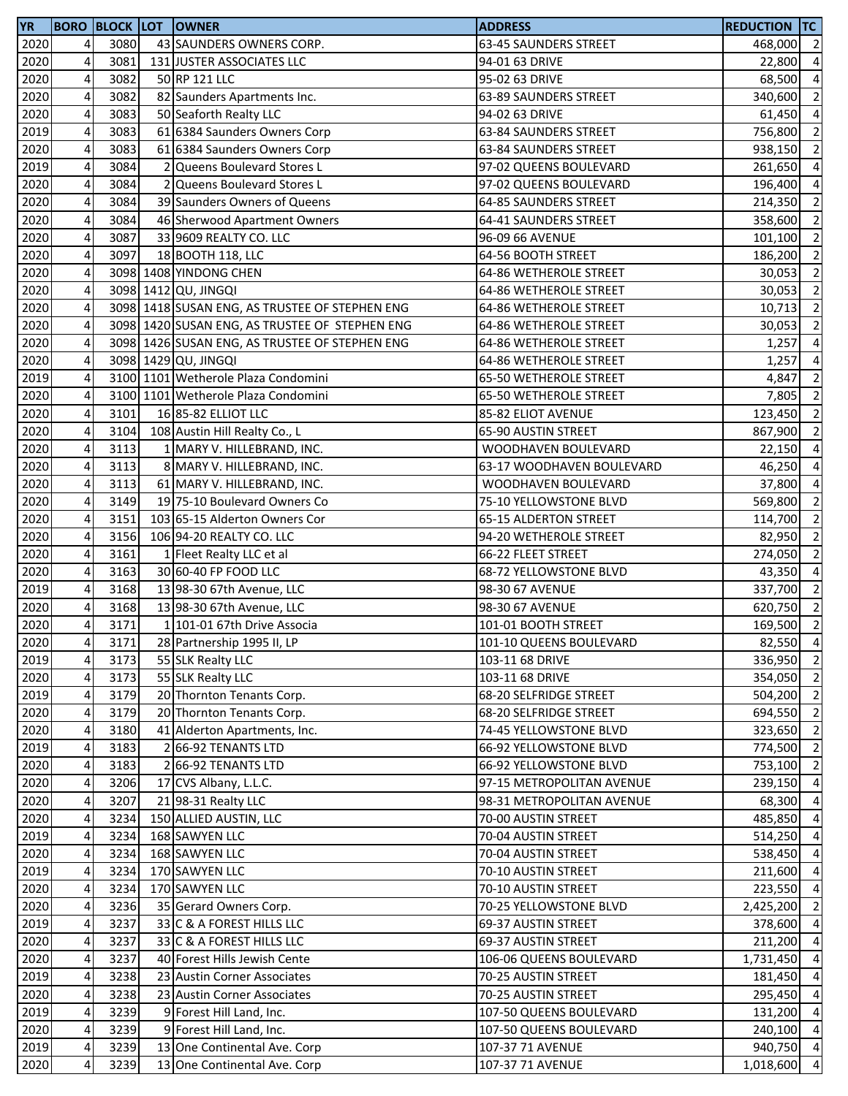| <b>YR</b> |                         |      | <b>BORO BLOCK LOT OWNER</b>                    | <b>ADDRESS</b>            | <b>REDUCTION TC</b> |                         |
|-----------|-------------------------|------|------------------------------------------------|---------------------------|---------------------|-------------------------|
| 2020      | $\overline{4}$          | 3080 | 43 SAUNDERS OWNERS CORP.                       | 63-45 SAUNDERS STREET     | 468,000             | $\overline{2}$          |
| 2020      | $\pmb{4}$               | 3081 | 131 JUSTER ASSOCIATES LLC                      | 94-01 63 DRIVE            | 22,800              | $\overline{a}$          |
| 2020      | 4                       | 3082 | 50 RP 121 LLC                                  | 95-02 63 DRIVE            | 68,500              | $\overline{\mathbf{4}}$ |
| 2020      | $\pmb{4}$               | 3082 | 82 Saunders Apartments Inc.                    | 63-89 SAUNDERS STREET     | 340,600 2           |                         |
| 2020      | $\overline{\mathbf{4}}$ | 3083 | 50 Seaforth Realty LLC                         | 94-02 63 DRIVE            | 61,450              | $\overline{4}$          |
| 2019      | $\pmb{4}$               | 3083 | 61 6384 Saunders Owners Corp                   | 63-84 SAUNDERS STREET     | 756,800             | $\overline{2}$          |
| 2020      | 4                       | 3083 | 61 6384 Saunders Owners Corp                   | 63-84 SAUNDERS STREET     | 938,150             | $\overline{2}$          |
| 2019      | 4                       | 3084 | 2 Queens Boulevard Stores L                    | 97-02 QUEENS BOULEVARD    | 261,650             | $\overline{a}$          |
| 2020      | $\overline{\mathbf{4}}$ | 3084 | 2 Queens Boulevard Stores L                    | 97-02 QUEENS BOULEVARD    | 196,400             | $\overline{a}$          |
| 2020      | $\pmb{4}$               | 3084 | 39 Saunders Owners of Queens                   | 64-85 SAUNDERS STREET     | 214,350             | $\overline{2}$          |
| 2020      | $\overline{\mathbf{4}}$ | 3084 | 46 Sherwood Apartment Owners                   | 64-41 SAUNDERS STREET     | 358,600             | $\overline{\mathbf{c}}$ |
|           | $\pmb{4}$               | 3087 | 33 9609 REALTY CO. LLC                         |                           |                     |                         |
| 2020      | $\overline{\mathbf{4}}$ | 3097 |                                                | 96-09 66 AVENUE           | 101,100             | $\overline{\mathbf{c}}$ |
| 2020      |                         |      | 18 BOOTH 118, LLC                              | 64-56 BOOTH STREET        | 186,200             | $\overline{2}$          |
| 2020      | $\overline{\mathbf{4}}$ |      | 3098 1408 YINDONG CHEN                         | 64-86 WETHEROLE STREET    | 30,053              | $\overline{2}$          |
| 2020      | $\pmb{4}$               |      | 3098 1412 QU, JINGQI                           | 64-86 WETHEROLE STREET    | 30,053 2            |                         |
| 2020      | 4                       |      | 3098 1418 SUSAN ENG, AS TRUSTEE OF STEPHEN ENG | 64-86 WETHEROLE STREET    | 10,713              | $\overline{\mathbf{c}}$ |
| 2020      | 4                       |      | 3098 1420 SUSAN ENG, AS TRUSTEE OF STEPHEN ENG | 64-86 WETHEROLE STREET    | 30,053              | $\overline{2}$          |
| 2020      | 4                       |      | 3098 1426 SUSAN ENG, AS TRUSTEE OF STEPHEN ENG | 64-86 WETHEROLE STREET    | 1,257               | $\overline{\mathbf{4}}$ |
| 2020      | $\overline{\mathbf{4}}$ |      | 3098 1429 QU, JINGQI                           | 64-86 WETHEROLE STREET    | 1,257               | $\overline{a}$          |
| 2019      | $\overline{\mathbf{4}}$ |      | 3100 1101 Wetherole Plaza Condomini            | 65-50 WETHEROLE STREET    | 4,847               | $\overline{\mathbf{c}}$ |
| 2020      | $\pmb{4}$               |      | 3100 1101 Wetherole Plaza Condomini            | 65-50 WETHEROLE STREET    | 7,805               | $\overline{\mathbf{c}}$ |
| 2020      | 4                       | 3101 | 16 85-82 ELLIOT LLC                            | 85-82 ELIOT AVENUE        | 123,450             | $\overline{2}$          |
| 2020      | $\pmb{4}$               | 3104 | 108 Austin Hill Realty Co., L                  | 65-90 AUSTIN STREET       | 867,900             | $\overline{\mathbf{c}}$ |
| 2020      | 4                       | 3113 | 1 MARY V. HILLEBRAND, INC.                     | WOODHAVEN BOULEVARD       | 22,150              | $\overline{a}$          |
| 2020      | 4                       | 3113 | 8 MARY V. HILLEBRAND, INC.                     | 63-17 WOODHAVEN BOULEVARD | 46,250              | $\overline{\mathbf{4}}$ |
| 2020      | 4                       | 3113 | 61 MARY V. HILLEBRAND, INC.                    | WOODHAVEN BOULEVARD       | 37,800              | $\overline{a}$          |
| 2020      | $\overline{\mathbf{4}}$ | 3149 | 19 75-10 Boulevard Owners Co                   | 75-10 YELLOWSTONE BLVD    | 569,800             | $\overline{2}$          |
| 2020      | $\overline{\mathbf{4}}$ | 3151 | 103 65-15 Alderton Owners Cor                  | 65-15 ALDERTON STREET     | 114,700             | $\overline{2}$          |
| 2020      | $\pmb{4}$               | 3156 | 106 94-20 REALTY CO. LLC                       | 94-20 WETHEROLE STREET    | 82,950 2            |                         |
| 2020      | $\overline{\mathbf{4}}$ | 3161 | 1 Fleet Realty LLC et al                       | 66-22 FLEET STREET        | 274,050             | $\overline{\mathbf{c}}$ |
| 2020      | $\pmb{4}$               | 3163 | 30 60-40 FP FOOD LLC                           | 68-72 YELLOWSTONE BLVD    | 43,350              | $\overline{4}$          |
| 2019      | 4                       | 3168 | 13 98-30 67th Avenue, LLC                      | 98-30 67 AVENUE           | 337,700             | $\overline{2}$          |
| 2020      | 4                       | 3168 | 13 98-30 67th Avenue, LLC                      | 98-30 67 AVENUE           | 620,750             | $\overline{\mathbf{c}}$ |
| 2020      | 4                       | 3171 | 1 101-01 67th Drive Associa                    | 101-01 BOOTH STREET       | 169,500             | $\overline{\mathbf{c}}$ |
| 2020      | 41                      | 3171 | 28 Partnership 1995 II, LP                     | 101-10 QUEENS BOULEVARD   | 82,550 4            |                         |
| 2019      | $\overline{\mathbf{4}}$ | 3173 | 55 SLK Realty LLC                              | 103-11 68 DRIVE           | 336,950 2           |                         |
| 2020      | $\pmb{4}$               | 3173 | 55 SLK Realty LLC                              | 103-11 68 DRIVE           | 354,050 2           |                         |
| 2019      | $\overline{4}$          | 3179 | 20 Thornton Tenants Corp.                      | 68-20 SELFRIDGE STREET    | 504,200 2           |                         |
| 2020      | 4                       | 3179 | 20 Thornton Tenants Corp.                      | 68-20 SELFRIDGE STREET    | 694,550             | $\overline{2}$          |
|           |                         |      |                                                | 74-45 YELLOWSTONE BLVD    | 323,650 2           |                         |
| 2020      | 4                       | 3180 | 41 Alderton Apartments, Inc.                   |                           |                     |                         |
| 2019      | 4                       | 3183 | 2 66-92 TENANTS LTD                            | 66-92 YELLOWSTONE BLVD    | 774,500 2           |                         |
| 2020      | 4                       | 3183 | 2 66-92 TENANTS LTD                            | 66-92 YELLOWSTONE BLVD    | 753,100             | $\overline{2}$          |
| 2020      | 4                       | 3206 | 17 CVS Albany, L.L.C.                          | 97-15 METROPOLITAN AVENUE | 239,150             | $\overline{a}$          |
| 2020      | 4                       | 3207 | 21 98-31 Realty LLC                            | 98-31 METROPOLITAN AVENUE | 68,300              | $\overline{4}$          |
| 2020      | 4                       | 3234 | 150 ALLIED AUSTIN, LLC                         | 70-00 AUSTIN STREET       | 485,850             | $\overline{a}$          |
| 2019      | $\pmb{4}$               | 3234 | 168 SAWYEN LLC                                 | 70-04 AUSTIN STREET       | 514,250 4           |                         |
| 2020      | $\overline{a}$          | 3234 | 168 SAWYEN LLC                                 | 70-04 AUSTIN STREET       | 538,450 4           |                         |
| 2019      | 4                       | 3234 | 170 SAWYEN LLC                                 | 70-10 AUSTIN STREET       | 211,600             | $\overline{4}$          |
| 2020      | 4                       | 3234 | 170 SAWYEN LLC                                 | 70-10 AUSTIN STREET       | 223,550             | $\overline{4}$          |
| 2020      | 4                       | 3236 | 35 Gerard Owners Corp.                         | 70-25 YELLOWSTONE BLVD    | 2,425,200           | $\overline{2}$          |
| 2019      | 4                       | 3237 | 33 C & A FOREST HILLS LLC                      | 69-37 AUSTIN STREET       | 378,600             | $\overline{a}$          |
| 2020      | 4                       | 3237 | 33 C & A FOREST HILLS LLC                      | 69-37 AUSTIN STREET       | 211,200             | $\overline{a}$          |
| 2020      | $\overline{4}$          | 3237 | 40 Forest Hills Jewish Cente                   | 106-06 QUEENS BOULEVARD   | 1,731,450           | $\overline{a}$          |
| 2019      | $\overline{\mathbf{r}}$ | 3238 | 23 Austin Corner Associates                    | 70-25 AUSTIN STREET       | 181,450             | $\overline{a}$          |
| 2020      | $\overline{4}$          | 3238 | 23 Austin Corner Associates                    | 70-25 AUSTIN STREET       | 295,450             | $\overline{4}$          |
| 2019      | $\pmb{4}$               | 3239 | 9 Forest Hill Land, Inc.                       | 107-50 QUEENS BOULEVARD   | 131,200             | $\overline{4}$          |
| 2020      | 4                       | 3239 | 9 Forest Hill Land, Inc.                       | 107-50 QUEENS BOULEVARD   | 240,100             | $\overline{4}$          |
| 2019      | 4                       | 3239 | 13 One Continental Ave. Corp                   | 107-37 71 AVENUE          | 940,750 4           |                         |
| 2020      | 4                       | 3239 | 13 One Continental Ave. Corp                   | 107-37 71 AVENUE          | 1,018,600           | $\overline{4}$          |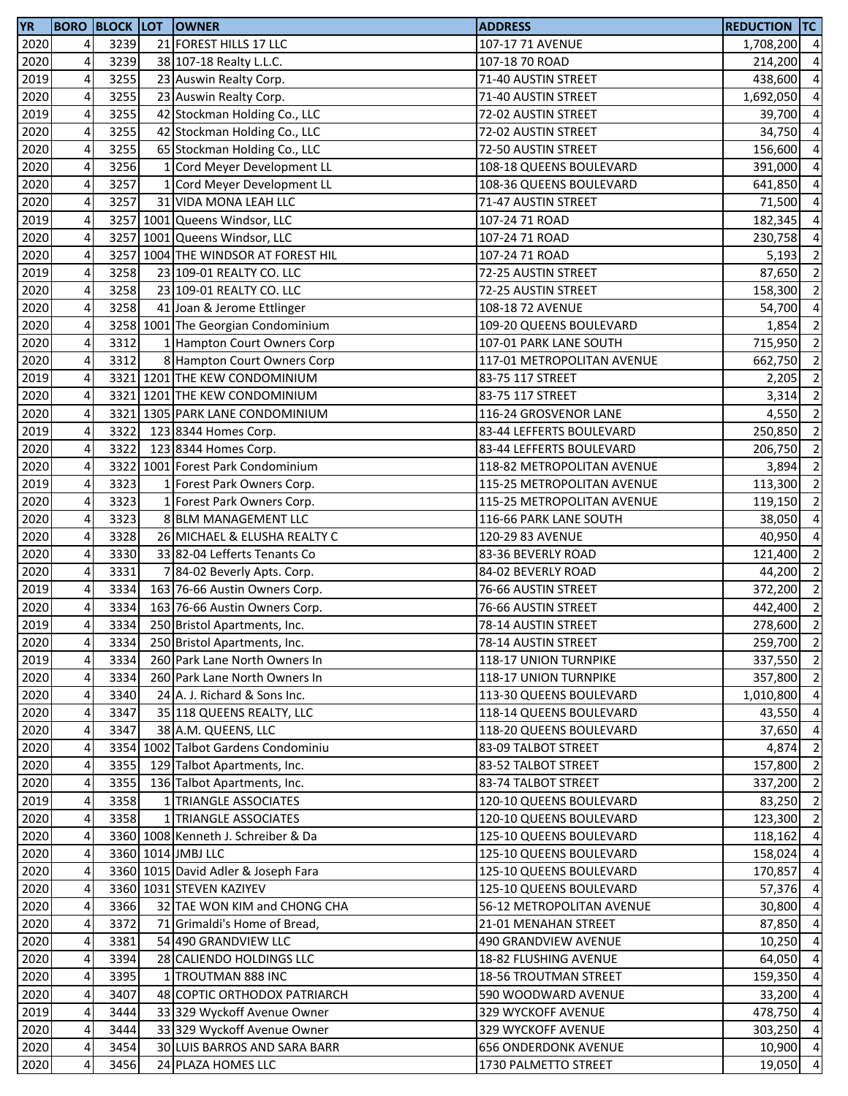| <b>YR</b> |        |              | <b>BORO BLOCK LOT OWNER</b>         | <b>ADDRESS</b>                                   | <b>REDUCTION TC</b>    |                          |
|-----------|--------|--------------|-------------------------------------|--------------------------------------------------|------------------------|--------------------------|
| 2020      | 4      | 3239         | 21 FOREST HILLS 17 LLC              | 107-17 71 AVENUE                                 | 1,708,200 4            |                          |
| 2020      | 4      | 3239         | 38 107-18 Realty L.L.C.             | 107-18 70 ROAD                                   | 214,200                | $\overline{4}$           |
| 2019      | 4      | 3255         | 23 Auswin Realty Corp.              | 71-40 AUSTIN STREET                              | 438,600                | $\overline{4}$           |
| 2020      | 4      | 3255         | 23 Auswin Realty Corp.              | 71-40 AUSTIN STREET                              | 1,692,050              | $\overline{a}$           |
| 2019      | 4      | 3255         | 42 Stockman Holding Co., LLC        | 72-02 AUSTIN STREET                              | 39,700                 | $\overline{4}$           |
| 2020      | 4      | 3255         | 42 Stockman Holding Co., LLC        | 72-02 AUSTIN STREET                              | 34,750                 | $\overline{4}$           |
| 2020      | 4      | 3255         | 65 Stockman Holding Co., LLC        | 72-50 AUSTIN STREET                              | 156,600                | $\overline{4}$           |
| 2020      | 4      | 3256         | 1 Cord Meyer Development LL         | 108-18 QUEENS BOULEVARD                          | 391,000                | $\overline{a}$           |
| 2020      | 4      | 3257         | 1 Cord Meyer Development LL         | 108-36 QUEENS BOULEVARD                          | 641,850                | $\overline{4}$           |
| 2020      | 4      | 3257         | 31 VIDA MONA LEAH LLC               | 71-47 AUSTIN STREET                              | 71,500                 | $\overline{4}$           |
| 2019      | 4      |              | 3257 1001 Queens Windsor, LLC       | 107-24 71 ROAD                                   | 182,345                | $\overline{4}$           |
| 2020      | 4      |              | 3257 1001 Queens Windsor, LLC       | 107-24 71 ROAD                                   | 230,758                | $\overline{4}$           |
| 2020      | 4      |              | 3257 1004 THE WINDSOR AT FOREST HIL | 107-24 71 ROAD                                   | 5,193                  | $\overline{2}$           |
| 2019      | 4      | 3258         | 23 109-01 REALTY CO. LLC            | 72-25 AUSTIN STREET                              | 87,650                 | $\overline{2}$           |
| 2020      | 4      | 3258         | 23 109-01 REALTY CO. LLC            | 72-25 AUSTIN STREET                              | 158,300                | $\overline{2}$           |
| 2020      | 4      | 3258         | 41 Joan & Jerome Ettlinger          | 108-18 72 AVENUE                                 | 54,700                 | $\overline{4}$           |
| 2020      | 4      |              | 3258 1001 The Georgian Condominium  | 109-20 QUEENS BOULEVARD                          | 1,854                  | $\overline{2}$           |
| 2020      | 4      | 3312         | 1 Hampton Court Owners Corp         | 107-01 PARK LANE SOUTH                           | 715,950                | $\overline{2}$           |
| 2020      | 4      | 3312         | 8 Hampton Court Owners Corp         | 117-01 METROPOLITAN AVENUE                       | 662,750                | $\overline{2}$           |
| 2019      | 4      |              | 3321 1201 THE KEW CONDOMINIUM       | 83-75 117 STREET                                 | 2,205                  | $\overline{2}$           |
| 2020      | 4      |              | 3321 1201 THE KEW CONDOMINIUM       | 83-75 117 STREET                                 | 3,314                  | $\overline{\phantom{a}}$ |
| 2020      | 4      |              | 3321 1305 PARK LANE CONDOMINIUM     | 116-24 GROSVENOR LANE                            | 4,550                  | $\overline{2}$           |
| 2019      | 4      | 3322         | 123 8344 Homes Corp.                | 83-44 LEFFERTS BOULEVARD                         | 250,850                | $\overline{2}$           |
| 2020      | 4      | 3322         | 123 8344 Homes Corp.                | 83-44 LEFFERTS BOULEVARD                         | 206,750                | $\overline{2}$           |
| 2020      | 4      |              | 3322 1001 Forest Park Condominium   | 118-82 METROPOLITAN AVENUE                       | 3,894                  | $\overline{2}$           |
| 2019      | 4      | 3323         | 1 Forest Park Owners Corp.          | 115-25 METROPOLITAN AVENUE                       | 113,300                | $\overline{2}$           |
| 2020      | 4      | 3323         | 1 Forest Park Owners Corp.          | 115-25 METROPOLITAN AVENUE                       | 119,150                | $\overline{2}$           |
| 2020      | 4      | 3323         | 8 BLM MANAGEMENT LLC                | 116-66 PARK LANE SOUTH                           | 38,050                 | $\overline{4}$           |
| 2020      | 4      | 3328         | 26 MICHAEL & ELUSHA REALTY C        | 120-29 83 AVENUE                                 | 40,950                 | $\overline{a}$           |
| 2020      | 4      | 3330         | 33 82-04 Lefferts Tenants Co        | 83-36 BEVERLY ROAD                               | 121,400                | $\overline{2}$           |
| 2020      | 4      | 3331         | 7 84-02 Beverly Apts. Corp.         | 84-02 BEVERLY ROAD                               | 44,200                 | $\overline{2}$           |
| 2019      | 4      | 3334         | 163 76-66 Austin Owners Corp.       | 76-66 AUSTIN STREET                              | 372,200                | $\overline{2}$           |
| 2020      | 4      | 3334         | 163 76-66 Austin Owners Corp.       | 76-66 AUSTIN STREET                              | 442,400                | $\overline{2}$           |
| 2019      | 4      | 3334         | 250 Bristol Apartments, Inc.        | 78-14 AUSTIN STREET                              | 278,600                | $\overline{2}$           |
|           |        |              | 250 Bristol Apartments, Inc.        |                                                  |                        |                          |
| 2020      | 4<br>4 | 3334<br>3334 | 260 Park Lane North Owners In       | 78-14 AUSTIN STREET<br>118-17 UNION TURNPIKE     | 259,700 2<br>337,550 2 |                          |
| 2019      |        |              |                                     |                                                  |                        |                          |
| 2020      | 4      | 3334         | 260 Park Lane North Owners In       | 118-17 UNION TURNPIKE<br>113-30 QUEENS BOULEVARD | 357,800                | $\overline{2}$           |
| 2020      | 4      | 3340         | 24 A. J. Richard & Sons Inc.        |                                                  | 1,010,800 4            |                          |
| 2020      | 4      | 3347         | 35 118 QUEENS REALTY, LLC           | 118-14 QUEENS BOULEVARD                          | 43,550 4               |                          |
| 2020      | 4      | 3347         | 38 A.M. QUEENS, LLC                 | 118-20 QUEENS BOULEVARD                          | 37,650 4               |                          |
| 2020      | 4      |              | 3354 1002 Talbot Gardens Condominiu | 83-09 TALBOT STREET                              | 4,874                  | $\overline{2}$           |
| 2020      | 4      | 3355         | 129 Talbot Apartments, Inc.         | 83-52 TALBOT STREET                              | 157,800                | $\overline{2}$           |
| 2020      | 4      | 3355         | 136 Talbot Apartments, Inc.         | 83-74 TALBOT STREET                              | 337,200                | $\overline{2}$           |
| 2019      | 4      | 3358         | 1 TRIANGLE ASSOCIATES               | 120-10 QUEENS BOULEVARD                          | 83,250                 | $\overline{2}$           |
| 2020      | 4      | 3358         | 1 TRIANGLE ASSOCIATES               | 120-10 QUEENS BOULEVARD                          | 123,300                | $\overline{2}$           |
| 2020      | 4      |              | 3360 1008 Kenneth J. Schreiber & Da | 125-10 QUEENS BOULEVARD                          | 118,162                | $\overline{4}$           |
| 2020      | 4      |              | 3360 1014 JMBJ LLC                  | 125-10 QUEENS BOULEVARD                          | 158,024                | $\overline{4}$           |
| 2020      | 4      |              | 3360 1015 David Adler & Joseph Fara | 125-10 QUEENS BOULEVARD                          | 170,857                | $\overline{4}$           |
| 2020      | 4      |              | 3360 1031 STEVEN KAZIYEV            | 125-10 QUEENS BOULEVARD                          | 57,376                 | $\overline{4}$           |
| 2020      | 4      | 3366         | 32 TAE WON KIM and CHONG CHA        | 56-12 METROPOLITAN AVENUE                        | 30,800                 | $\overline{4}$           |
| 2020      | 4      | 3372         | 71 Grimaldi's Home of Bread,        | 21-01 MENAHAN STREET                             | 87,850                 | $\overline{4}$           |
| 2020      | 4      | 3381         | 54 490 GRANDVIEW LLC                | 490 GRANDVIEW AVENUE                             | 10,250                 | $\overline{4}$           |
| 2020      | 4      | 3394         | 28 CALIENDO HOLDINGS LLC            | 18-82 FLUSHING AVENUE                            | 64,050                 | $\overline{4}$           |
| 2020      | 4      | 3395         | 1 TROUTMAN 888 INC                  | 18-56 TROUTMAN STREET                            | 159,350                | $\overline{4}$           |
| 2020      | 4      | 3407         | 48 COPTIC ORTHODOX PATRIARCH        | 590 WOODWARD AVENUE                              | 33,200 4               |                          |
| 2019      | 4      | 3444         | 33 329 Wyckoff Avenue Owner         | 329 WYCKOFF AVENUE                               | 478,750 4              |                          |
| 2020      | 4      | 3444         | 33 329 Wyckoff Avenue Owner         | 329 WYCKOFF AVENUE                               | 303,250 4              |                          |
| 2020      | 4      | 3454         | 30 LUIS BARROS AND SARA BARR        | <b>656 ONDERDONK AVENUE</b>                      | 10,900 4               |                          |
| 2020      | 4      | 3456         | 24 PLAZA HOMES LLC                  | 1730 PALMETTO STREET                             | 19,050 4               |                          |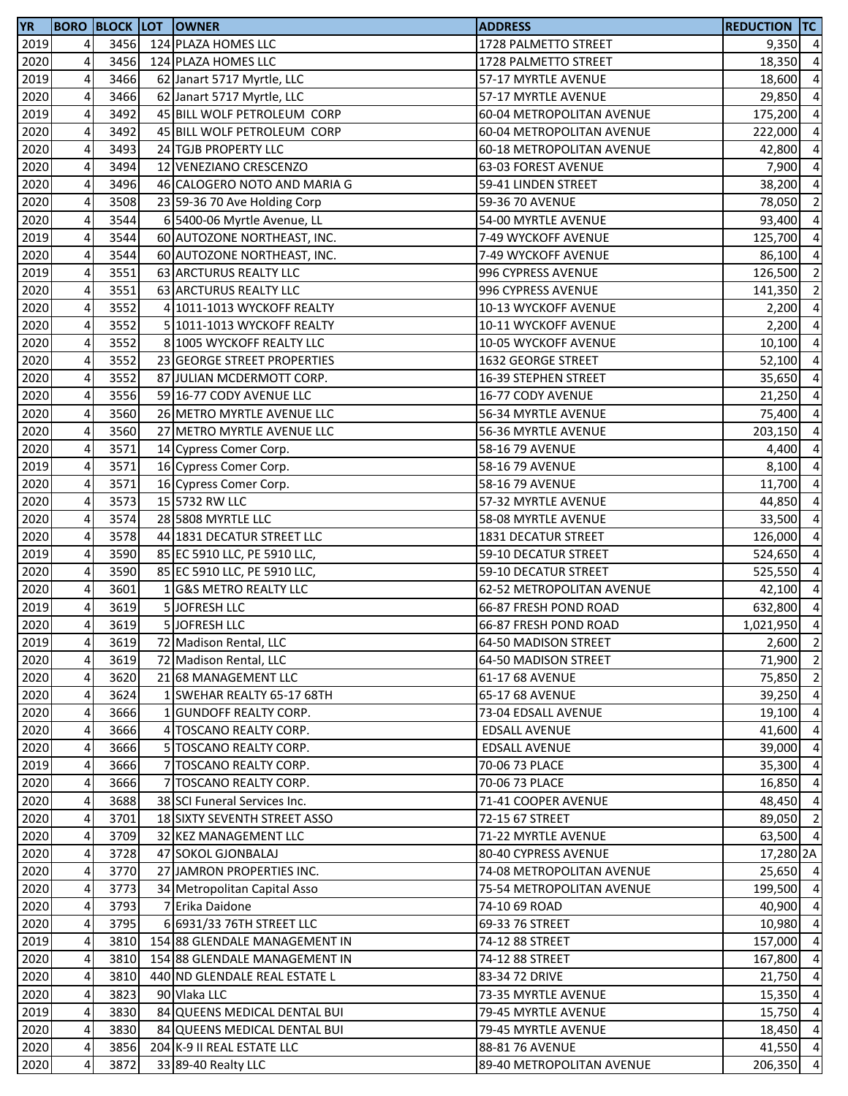| <b>YR</b> |                         |      | <b>BORO BLOCK LOT OWNER</b>   | <b>ADDRESS</b>            | <b>REDUCTION TC</b> |                         |
|-----------|-------------------------|------|-------------------------------|---------------------------|---------------------|-------------------------|
| 2019      | 4                       | 3456 | 124 PLAZA HOMES LLC           | 1728 PALMETTO STREET      | $9,350$ 4           |                         |
| 2020      | 4                       | 3456 | 124 PLAZA HOMES LLC           | 1728 PALMETTO STREET      | 18,350              | $\overline{a}$          |
| 2019      | $\overline{4}$          | 3466 | 62 Janart 5717 Myrtle, LLC    | 57-17 MYRTLE AVENUE       | 18,600              | $\overline{a}$          |
| 2020      | 4                       | 3466 | 62 Janart 5717 Myrtle, LLC    | 57-17 MYRTLE AVENUE       | 29,850              | $\overline{a}$          |
| 2019      | $\overline{\mathbf{4}}$ | 3492 | 45 BILL WOLF PETROLEUM CORP   | 60-04 METROPOLITAN AVENUE | 175,200             | $\overline{a}$          |
| 2020      | 4                       | 3492 | 45 BILL WOLF PETROLEUM CORP   | 60-04 METROPOLITAN AVENUE | 222,000             | $\overline{a}$          |
| 2020      | 4                       | 3493 | 24 TGJB PROPERTY LLC          | 60-18 METROPOLITAN AVENUE | 42,800              | $\overline{a}$          |
| 2020      | 4                       | 3494 | 12 VENEZIANO CRESCENZO        | 63-03 FOREST AVENUE       | 7,900               | $\overline{a}$          |
| 2020      | 4                       | 3496 | 46 CALOGERO NOTO AND MARIA G  | 59-41 LINDEN STREET       | 38,200              | $\overline{a}$          |
| 2020      | 4                       | 3508 | 23 59-36 70 Ave Holding Corp  | 59-36 70 AVENUE           | 78,050              | $\overline{2}$          |
| 2020      | 4                       | 3544 | 6 5400-06 Myrtle Avenue, LL   | 54-00 MYRTLE AVENUE       | 93,400              | $\overline{a}$          |
| 2019      | $\overline{\mathbf{4}}$ | 3544 | 60 AUTOZONE NORTHEAST, INC.   | 7-49 WYCKOFF AVENUE       | 125,700             | $\overline{a}$          |
| 2020      | 4                       | 3544 | 60 AUTOZONE NORTHEAST, INC.   | 7-49 WYCKOFF AVENUE       | 86,100              | $\overline{a}$          |
| 2019      | 4                       | 3551 | 63 ARCTURUS REALTY LLC        | 996 CYPRESS AVENUE        | 126,500             | $\overline{\mathbf{c}}$ |
| 2020      | 4                       | 3551 | 63 ARCTURUS REALTY LLC        | 996 CYPRESS AVENUE        | 141,350             | $\overline{\mathbf{c}}$ |
| 2020      | 4                       | 3552 | 4 1011-1013 WYCKOFF REALTY    | 10-13 WYCKOFF AVENUE      | 2,200               | $\overline{a}$          |
| 2020      | 4                       | 3552 | 5 1011-1013 WYCKOFF REALTY    | 10-11 WYCKOFF AVENUE      | 2,200               | $\overline{\mathbf{4}}$ |
| 2020      | 4                       | 3552 | 8 1005 WYCKOFF REALTY LLC     | 10-05 WYCKOFF AVENUE      | 10,100              | $\overline{a}$          |
| 2020      | 4                       | 3552 | 23 GEORGE STREET PROPERTIES   | 1632 GEORGE STREET        | 52,100              | $\overline{a}$          |
| 2020      | $\overline{4}$          | 3552 | 87 JULIAN MCDERMOTT CORP.     | 16-39 STEPHEN STREET      | 35,650              | $\overline{a}$          |
| 2020      | 4                       | 3556 | 59 16-77 CODY AVENUE LLC      | 16-77 CODY AVENUE         | 21,250              | $\overline{a}$          |
| 2020      | 4                       | 3560 | 26 METRO MYRTLE AVENUE LLC    | 56-34 MYRTLE AVENUE       | 75,400              | $\overline{4}$          |
| 2020      | 4                       | 3560 | 27 METRO MYRTLE AVENUE LLC    | 56-36 MYRTLE AVENUE       | 203,150             | $\overline{a}$          |
| 2020      | 4                       | 3571 | 14 Cypress Comer Corp.        | 58-16 79 AVENUE           | 4,400               | $\overline{4}$          |
| 2019      | 4                       | 3571 | 16 Cypress Comer Corp.        | 58-16 79 AVENUE           | 8,100               | $\overline{a}$          |
| 2020      | 4                       | 3571 | 16 Cypress Comer Corp.        | 58-16 79 AVENUE           | 11,700              | $\overline{a}$          |
| 2020      | 4                       | 3573 | 15 5732 RW LLC                | 57-32 MYRTLE AVENUE       | 44,850              | $\overline{a}$          |
| 2020      | $\overline{\mathbf{4}}$ | 3574 | 28 5808 MYRTLE LLC            | 58-08 MYRTLE AVENUE       | 33,500              | $\overline{a}$          |
| 2020      | 4                       | 3578 | 44 1831 DECATUR STREET LLC    | 1831 DECATUR STREET       | 126,000             | $\overline{a}$          |
| 2019      | $\overline{\mathbf{4}}$ | 3590 | 85 EC 5910 LLC, PE 5910 LLC,  | 59-10 DECATUR STREET      | 524,650             | $\overline{a}$          |
| 2020      | 4                       | 3590 | 85 EC 5910 LLC, PE 5910 LLC,  | 59-10 DECATUR STREET      | 525,550             | $\overline{a}$          |
| 2020      | $\pmb{4}$               | 3601 | 1 G&S METRO REALTY LLC        | 62-52 METROPOLITAN AVENUE | 42,100              | $\overline{4}$          |
| 2019      | 4                       | 3619 | 5 JOFRESH LLC                 | 66-87 FRESH POND ROAD     | 632,800             | $\overline{a}$          |
| 2020      | 4                       | 3619 | 5 JOFRESH LLC                 | 66-87 FRESH POND ROAD     | 1,021,950 4         |                         |
| 2019      | 4                       | 3619 | 72 Madison Rental, LLC        | 64-50 MADISON STREET      | $2,600$ 2           |                         |
| 2020      | 4                       | 3619 | 72 Madison Rental, LLC        | 64-50 MADISON STREET      | 71,900 2            |                         |
| 2020      | 4                       | 3620 | 21 68 MANAGEMENT LLC          | 61-17 68 AVENUE           | 75,850              | $\overline{2}$          |
| 2020      | 4                       | 3624 | 1 SWEHAR REALTY 65-17 68TH    | 65-17 68 AVENUE           | 39,250 4            |                         |
| 2020      | 4                       | 3666 | 1 GUNDOFF REALTY CORP.        | 73-04 EDSALL AVENUE       | 19,100 4            |                         |
| 2020      | 4                       | 3666 | 4 TOSCANO REALTY CORP.        | <b>EDSALL AVENUE</b>      | 41,600 4            |                         |
| 2020      | 4                       | 3666 | 5 TOSCANO REALTY CORP.        | <b>EDSALL AVENUE</b>      | 39,000              | $\overline{4}$          |
| 2019      | 4                       | 3666 | 7 TOSCANO REALTY CORP.        | 70-06 73 PLACE            | 35,300              | $\overline{a}$          |
| 2020      | 4                       | 3666 | 7 TOSCANO REALTY CORP.        | 70-06 73 PLACE            | 16,850              | $\overline{4}$          |
| 2020      | 4                       | 3688 | 38 SCI Funeral Services Inc.  | 71-41 COOPER AVENUE       | 48,450              | $\overline{4}$          |
| 2020      | 4                       | 3701 | 18 SIXTY SEVENTH STREET ASSO  | 72-15 67 STREET           | 89,050              | $\overline{2}$          |
| 2020      | 4                       | 3709 | 32 KEZ MANAGEMENT LLC         | 71-22 MYRTLE AVENUE       | 63,500 4            |                         |
| 2020      | 4                       | 3728 | 47 SOKOL GJONBALAJ            | 80-40 CYPRESS AVENUE      | 17,280 2A           |                         |
| 2020      | 4                       | 3770 | 27 JAMRON PROPERTIES INC.     | 74-08 METROPOLITAN AVENUE | 25,650 4            |                         |
| 2020      | 4                       | 3773 | 34 Metropolitan Capital Asso  | 75-54 METROPOLITAN AVENUE | 199,500 4           |                         |
| 2020      | 4                       | 3793 | 7 Erika Daidone               | 74-10 69 ROAD             | 40,900              | $\overline{4}$          |
| 2020      | 4                       | 3795 | 6 6931/33 76TH STREET LLC     | 69-33 76 STREET           | 10,980              | $\overline{a}$          |
| 2019      | 4                       | 3810 | 154 88 GLENDALE MANAGEMENT IN | 74-12 88 STREET           | 157,000             | $\overline{a}$          |
| 2020      | $\overline{4}$          | 3810 | 154 88 GLENDALE MANAGEMENT IN | 74-12 88 STREET           | 167,800             | $\overline{4}$          |
| 2020      | 4                       | 3810 | 440 ND GLENDALE REAL ESTATE L | 83-34 72 DRIVE            | 21,750              | $\overline{4}$          |
| 2020      | 4                       | 3823 | 90 Vlaka LLC                  | 73-35 MYRTLE AVENUE       | 15,350 4            |                         |
| 2019      | 4                       | 3830 | 84 QUEENS MEDICAL DENTAL BUI  | 79-45 MYRTLE AVENUE       | 15,750              | $\overline{4}$          |
| 2020      | 4                       | 3830 | 84 QUEENS MEDICAL DENTAL BUI  | 79-45 MYRTLE AVENUE       | 18,450              | $\overline{4}$          |
| 2020      | 4                       | 3856 | 204 K-9 II REAL ESTATE LLC    | 88-81 76 AVENUE           | 41,550 4            |                         |
| 2020      | 4                       | 3872 | 33 89-40 Realty LLC           | 89-40 METROPOLITAN AVENUE | 206,350 4           |                         |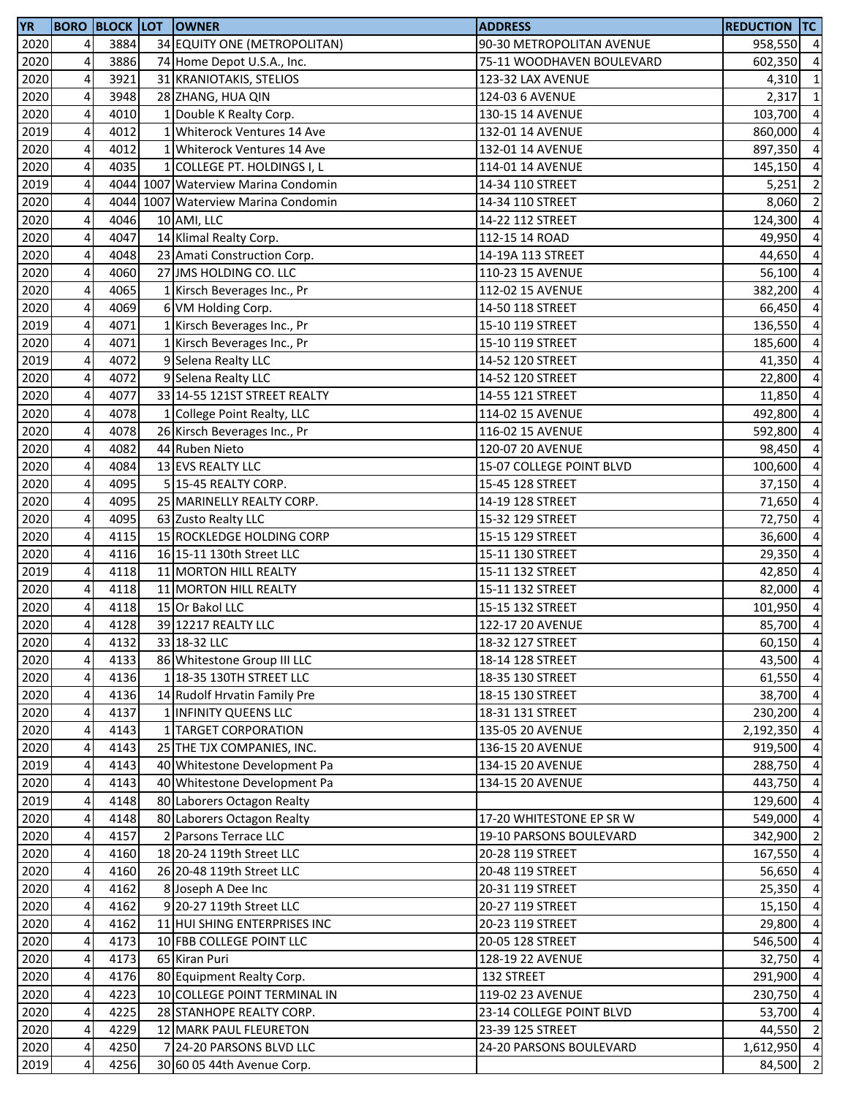| <b>YR</b> |                         |      | <b>BORO BLOCK LOT OWNER</b>         | <b>ADDRESS</b>            | <b>REDUCTION TC</b> |                |
|-----------|-------------------------|------|-------------------------------------|---------------------------|---------------------|----------------|
| 2020      | $\overline{a}$          | 3884 | 34 EQUITY ONE (METROPOLITAN)        | 90-30 METROPOLITAN AVENUE | 958,550 4           |                |
| 2020      | 4                       | 3886 | 74 Home Depot U.S.A., Inc.          | 75-11 WOODHAVEN BOULEVARD | 602,350             | $\overline{4}$ |
| 2020      | $\overline{\mathbf{4}}$ | 3921 | 31 KRANIOTAKIS, STELIOS             | 123-32 LAX AVENUE         | 4,310 1             |                |
| 2020      | 4                       | 3948 | 28 ZHANG, HUA QIN                   | 124-03 6 AVENUE           | 2,317               | $\overline{1}$ |
| 2020      | $\overline{\mathbf{4}}$ | 4010 | 1 Double K Realty Corp.             | 130-15 14 AVENUE          | 103,700 4           |                |
| 2019      | 4                       | 4012 | 1 Whiterock Ventures 14 Ave         | 132-01 14 AVENUE          | 860,000             | $\overline{4}$ |
| 2020      | $\overline{\mathbf{4}}$ | 4012 | 1 Whiterock Ventures 14 Ave         | 132-01 14 AVENUE          | 897,350             | $\overline{4}$ |
| 2020      | 4                       | 4035 | 1 COLLEGE PT. HOLDINGS I, L         | 114-01 14 AVENUE          | 145,150             | $\overline{4}$ |
| 2019      | 4                       |      | 4044 1007 Waterview Marina Condomin | 14-34 110 STREET          | 5,251               | $\overline{2}$ |
| 2020      | 4                       |      | 4044 1007 Waterview Marina Condomin | 14-34 110 STREET          | 8,060               | $\overline{2}$ |
| 2020      | $\overline{\mathbf{4}}$ | 4046 | 10 AMI, LLC                         | 14-22 112 STREET          | 124,300             | $\overline{4}$ |
| 2020      | 4                       | 4047 | 14 Klimal Realty Corp.              | 112-15 14 ROAD            | 49,950              | $\overline{a}$ |
|           |                         | 4048 |                                     |                           |                     | $\overline{4}$ |
| 2020      | 4                       |      | 23 Amati Construction Corp.         | 14-19A 113 STREET         | 44,650              |                |
| 2020      | 4                       | 4060 | 27 JMS HOLDING CO. LLC              | 110-23 15 AVENUE          | 56,100              | $\overline{4}$ |
| 2020      | $\pmb{4}$               | 4065 | 1 Kirsch Beverages Inc., Pr         | 112-02 15 AVENUE          | 382,200             | $\overline{4}$ |
| 2020      | 4                       | 4069 | 6 VM Holding Corp.                  | 14-50 118 STREET          | 66,450              | $\overline{4}$ |
| 2019      | 4                       | 4071 | 1 Kirsch Beverages Inc., Pr         | 15-10 119 STREET          | 136,550             | $\overline{a}$ |
| 2020      | 4                       | 4071 | 1 Kirsch Beverages Inc., Pr         | 15-10 119 STREET          | 185,600             | $\overline{4}$ |
| 2019      | $\overline{\mathbf{4}}$ | 4072 | 9 Selena Realty LLC                 | 14-52 120 STREET          | 41,350              | $\overline{4}$ |
| 2020      | 4                       | 4072 | 9 Selena Realty LLC                 | 14-52 120 STREET          | 22,800              | $\overline{4}$ |
| 2020      | 4                       | 4077 | 33 14-55 121ST STREET REALTY        | 14-55 121 STREET          | 11,850              | $\overline{4}$ |
| 2020      | 4                       | 4078 | 1 College Point Realty, LLC         | 114-02 15 AVENUE          | 492,800             | $\overline{4}$ |
| 2020      | 4                       | 4078 | 26 Kirsch Beverages Inc., Pr        | 116-02 15 AVENUE          | 592,800             | $\overline{4}$ |
| 2020      | $\pmb{4}$               | 4082 | 44 Ruben Nieto                      | 120-07 20 AVENUE          | 98,450              | $\overline{4}$ |
| 2020      | 4                       | 4084 | 13 EVS REALTY LLC                   | 15-07 COLLEGE POINT BLVD  | 100,600             | $\overline{a}$ |
| 2020      | 4                       | 4095 | 5 15-45 REALTY CORP.                | 15-45 128 STREET          | 37,150              | $\overline{4}$ |
| 2020      | 4                       | 4095 | 25 MARINELLY REALTY CORP.           | 14-19 128 STREET          | 71,650              | $\overline{4}$ |
| 2020      | $\overline{\mathbf{4}}$ | 4095 | 63 Zusto Realty LLC                 | 15-32 129 STREET          | 72,750              | $\overline{4}$ |
| 2020      | 4                       | 4115 | 15 ROCKLEDGE HOLDING CORP           | 15-15 129 STREET          | 36,600              | $\overline{4}$ |
| 2020      | $\overline{\mathbf{4}}$ | 4116 | 16 15-11 130th Street LLC           | 15-11 130 STREET          | 29,350              | $\overline{4}$ |
| 2019      | 4                       | 4118 | 11 MORTON HILL REALTY               | 15-11 132 STREET          | 42,850              | $\overline{4}$ |
| 2020      | $\overline{\mathbf{4}}$ | 4118 | 11 MORTON HILL REALTY               | 15-11 132 STREET          | 82,000              | $\overline{4}$ |
| 2020      | 4                       | 4118 | 15 Or Bakol LLC                     | 15-15 132 STREET          | 101,950             | $\overline{4}$ |
| 2020      | 4                       | 4128 | 39 12217 REALTY LLC                 | 122-17 20 AVENUE          | 85,700 4            |                |
| 2020      | 4 <sup>1</sup>          | 4132 | 33 18-32 LLC                        | 18-32 127 STREET          | 60,150 4            |                |
| 2020      | $\pmb{4}$               | 4133 | 86 Whitestone Group III LLC         | 18-14 128 STREET          | 43,500 4            |                |
|           |                         |      |                                     |                           |                     |                |
| 2020      | $\overline{4}$          | 4136 | 1 18-35 130TH STREET LLC            | 18-35 130 STREET          | 61,550              | $\overline{4}$ |
| 2020      | $\pmb{4}$               | 4136 | 14 Rudolf Hrvatin Family Pre        | 18-15 130 STREET          | 38,700 4            |                |
| 2020      | $\overline{4}$          | 4137 | 1 INFINITY QUEENS LLC               | 18-31 131 STREET          | 230,200 4           |                |
| 2020      | $\pmb{4}$               | 4143 | 1 TARGET CORPORATION                | 135-05 20 AVENUE          | 2,192,350           | $\overline{4}$ |
| 2020      | 4                       | 4143 | 25 THE TJX COMPANIES, INC.          | 136-15 20 AVENUE          | 919,500             | $\overline{4}$ |
| 2019      | 4                       | 4143 | 40 Whitestone Development Pa        | 134-15 20 AVENUE          | 288,750             | $\overline{4}$ |
| 2020      | 4                       | 4143 | 40 Whitestone Development Pa        | 134-15 20 AVENUE          | 443,750             | $\overline{4}$ |
| 2019      | $\overline{\mathbf{4}}$ | 4148 | 80 Laborers Octagon Realty          |                           | 129,600             | $\overline{4}$ |
| 2020      | 4                       | 4148 | 80 Laborers Octagon Realty          | 17-20 WHITESTONE EP SR W  | 549,000             | $\overline{4}$ |
| 2020      | 4                       | 4157 | 2 Parsons Terrace LLC               | 19-10 PARSONS BOULEVARD   | 342,900             | $\overline{2}$ |
| 2020      | $\overline{4}$          | 4160 | 18 20-24 119th Street LLC           | 20-28 119 STREET          | 167,550 4           |                |
| 2020      | 4                       | 4160 | 26 20-48 119th Street LLC           | 20-48 119 STREET          | 56,650 4            |                |
| 2020      | $\overline{4}$          | 4162 | 8 Joseph A Dee Inc                  | 20-31 119 STREET          | 25,350 4            |                |
| 2020      | 4                       | 4162 | 9 20-27 119th Street LLC            | 20-27 119 STREET          | 15,150              | $\overline{4}$ |
| 2020      | 4                       | 4162 | 11 HUI SHING ENTERPRISES INC        | 20-23 119 STREET          | 29,800              | $\overline{4}$ |
| 2020      | 4                       | 4173 | 10 FBB COLLEGE POINT LLC            | 20-05 128 STREET          | 546,500             | $\overline{4}$ |
| 2020      | $\overline{\mathbf{4}}$ | 4173 | 65 Kiran Puri                       | 128-19 22 AVENUE          | 32,750              | $\overline{4}$ |
| 2020      | $\overline{4}$          | 4176 | 80 Equipment Realty Corp.           | 132 STREET                | 291,900             | $\overline{4}$ |
| 2020      | $\overline{\mathbf{4}}$ | 4223 | 10 COLLEGE POINT TERMINAL IN        | 119-02 23 AVENUE          | 230,750 4           |                |
| 2020      | 4                       | 4225 | 28 STANHOPE REALTY CORP.            | 23-14 COLLEGE POINT BLVD  | 53,700 4            |                |
| 2020      | $\overline{\mathbf{4}}$ | 4229 | 12 MARK PAUL FLEURETON              | 23-39 125 STREET          | 44,550 2            |                |
| 2020      | $\overline{\mathbf{r}}$ | 4250 | 7 24-20 PARSONS BLVD LLC            | 24-20 PARSONS BOULEVARD   | 1,612,950 4         |                |
| 2019      | 4                       | 4256 | 30 60 05 44th Avenue Corp.          |                           | 84,500              | $\overline{2}$ |
|           |                         |      |                                     |                           |                     |                |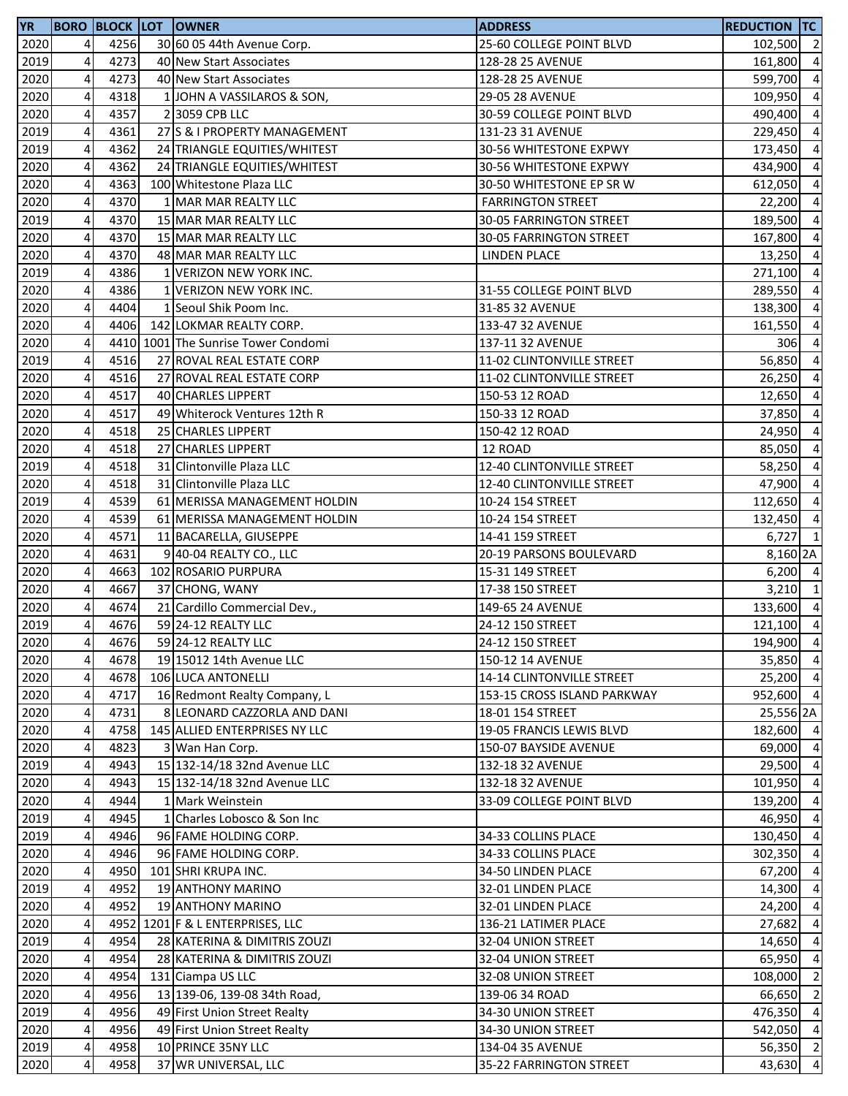| <b>YR</b> |                         |      | <b>BORO BLOCK LOT OWNER</b>         | <b>ADDRESS</b>              | <b>REDUCTION TC</b> |                |
|-----------|-------------------------|------|-------------------------------------|-----------------------------|---------------------|----------------|
| 2020      | $\overline{4}$          | 4256 | 30 60 05 44th Avenue Corp.          | 25-60 COLLEGE POINT BLVD    | 102,500 2           |                |
| 2019      | $\overline{\mathbf{4}}$ | 4273 | 40 New Start Associates             | 128-28 25 AVENUE            | 161,800 4           |                |
| 2020      | 4                       | 4273 | 40 New Start Associates             | 128-28 25 AVENUE            | 599,700             | $\overline{a}$ |
| 2020      | 4                       | 4318 | 1 JOHN A VASSILAROS & SON,          | 29-05 28 AVENUE             | 109,950             | $\overline{a}$ |
| 2020      | 4                       | 4357 | 2 3059 CPB LLC                      | 30-59 COLLEGE POINT BLVD    | 490,400             | $\overline{a}$ |
| 2019      | $\overline{\mathbf{4}}$ | 4361 | 27 S & I PROPERTY MANAGEMENT        | 131-23 31 AVENUE            | 229,450             | $\overline{a}$ |
| 2019      | 4                       | 4362 | 24 TRIANGLE EQUITIES/WHITEST        | 30-56 WHITESTONE EXPWY      | 173,450             | $\overline{a}$ |
| 2020      | $\overline{\mathbf{4}}$ | 4362 | 24 TRIANGLE EQUITIES/WHITEST        | 30-56 WHITESTONE EXPWY      | 434,900             | $\overline{a}$ |
| 2020      | 4                       | 4363 | 100 Whitestone Plaza LLC            | 30-50 WHITESTONE EP SR W    | 612,050             | $\overline{a}$ |
| 2020      | $\overline{\mathbf{4}}$ | 4370 | 1 MAR MAR REALTY LLC                | <b>FARRINGTON STREET</b>    | 22,200              | $\overline{a}$ |
| 2019      | $\overline{\mathbf{4}}$ | 4370 | 15 MAR MAR REALTY LLC               | 30-05 FARRINGTON STREET     | 189,500             | $\overline{a}$ |
| 2020      | $\pmb{4}$               | 4370 | 15 MAR MAR REALTY LLC               | 30-05 FARRINGTON STREET     | 167,800 4           |                |
| 2020      | $\overline{\mathbf{4}}$ | 4370 | 48 MAR MAR REALTY LLC               | LINDEN PLACE                | 13,250 4            |                |
| 2019      | $\pmb{4}$               | 4386 | 1 VERIZON NEW YORK INC.             |                             | 271,100 4           |                |
| 2020      | 4                       | 4386 | 1 VERIZON NEW YORK INC.             | 31-55 COLLEGE POINT BLVD    | 289,550             | $\overline{a}$ |
| 2020      | 4                       | 4404 | 1 Seoul Shik Poom Inc.              | 31-85 32 AVENUE             | 138,300             | $\overline{a}$ |
| 2020      | 4                       | 4406 | 142 LOKMAR REALTY CORP.             | 133-47 32 AVENUE            | 161,550             | $\overline{a}$ |
| 2020      | $\overline{\mathbf{4}}$ |      | 4410 1001 The Sunrise Tower Condomi | 137-11 32 AVENUE            | 306                 | $\overline{a}$ |
| 2019      | 4                       | 4516 | 27 ROVAL REAL ESTATE CORP           | 11-02 CLINTONVILLE STREET   | 56,850              | $\overline{4}$ |
| 2020      | 4                       | 4516 | 27 ROVAL REAL ESTATE CORP           | 11-02 CLINTONVILLE STREET   | 26,250 4            |                |
| 2020      | $\overline{\mathbf{4}}$ | 4517 | 40 CHARLES LIPPERT                  | 150-53 12 ROAD              | 12,650              | $\overline{a}$ |
| 2020      | 4                       | 4517 | 49 Whiterock Ventures 12th R        | 150-33 12 ROAD              | 37,850              | $\overline{4}$ |
| 2020      | $\overline{\mathbf{4}}$ | 4518 | 25 CHARLES LIPPERT                  | 150-42 12 ROAD              |                     | $\overline{a}$ |
|           | 4                       | 4518 | 27 CHARLES LIPPERT                  | 12 ROAD                     | 24,950              |                |
| 2020      |                         |      |                                     |                             | 85,050              | $\overline{a}$ |
| 2019      | 4                       | 4518 | 31 Clintonville Plaza LLC           | 12-40 CLINTONVILLE STREET   | 58,250              | $\overline{a}$ |
| 2020      | 4                       | 4518 | 31 Clintonville Plaza LLC           | 12-40 CLINTONVILLE STREET   | 47,900              | $\overline{a}$ |
| 2019      | $\overline{\mathbf{4}}$ | 4539 | 61 MERISSA MANAGEMENT HOLDIN        | 10-24 154 STREET            | 112,650             | $\overline{a}$ |
| 2020      | 4                       | 4539 | 61 MERISSA MANAGEMENT HOLDIN        | 10-24 154 STREET            | 132,450             | $\overline{a}$ |
| 2020      | $\overline{\mathbf{4}}$ | 4571 | 11 BACARELLA, GIUSEPPE              | 14-41 159 STREET            | $6,727$ 1           |                |
| 2020      | $\overline{\mathbf{4}}$ | 4631 | 9 40-04 REALTY CO., LLC             | 20-19 PARSONS BOULEVARD     | 8,160 2A            |                |
| 2020      | $\overline{\mathbf{4}}$ | 4663 | 102 ROSARIO PURPURA                 | 15-31 149 STREET            | $6,200$ 4           |                |
| 2020      | 4                       | 4667 | 37 CHONG, WANY                      | 17-38 150 STREET            | $3,210$ 1           |                |
| 2020      | $\pmb{4}$               | 4674 | 21 Cardillo Commercial Dev.,        | 149-65 24 AVENUE            | 133,600 4           |                |
| 2019      | $\overline{4}$          | 4676 | 59 24-12 REALTY LLC                 | 24-12 150 STREET            | 121,100 4           |                |
| 2020      | 4 <sub>l</sub>          | 4676 | 59 24-12 REALTY LLC                 | 24-12 150 STREET            | 194,900 4           |                |
| 2020      | 4                       | 4678 | 19 15012 14th Avenue LLC            | 150-12 14 AVENUE            | 35,850              | $\overline{a}$ |
| 2020      | 4                       | 4678 | 106 LUCA ANTONELLI                  | 14-14 CLINTONVILLE STREET   | 25,200 4            |                |
| 2020      | $\overline{\mathbf{4}}$ | 4717 | 16 Redmont Realty Company, L        | 153-15 CROSS ISLAND PARKWAY | 952,600 4           |                |
| 2020      | $\pmb{4}$               | 4731 | 8 LEONARD CAZZORLA AND DANI         | 18-01 154 STREET            | 25,556 2A           |                |
| 2020      | 4                       | 4758 | 145 ALLIED ENTERPRISES NY LLC       | 19-05 FRANCIS LEWIS BLVD    | 182,600 4           |                |
| 2020      | 4                       | 4823 | 3 Wan Han Corp.                     | 150-07 BAYSIDE AVENUE       | 69,000 4            |                |
| 2019      | 4                       | 4943 | 15 132-14/18 32nd Avenue LLC        | 132-18 32 AVENUE            | 29,500 4            |                |
| 2020      | 4                       | 4943 | 15 132-14/18 32nd Avenue LLC        | 132-18 32 AVENUE            | 101,950 4           |                |
| 2020      | 4                       | 4944 | 1 Mark Weinstein                    | 33-09 COLLEGE POINT BLVD    | 139,200             | $\overline{a}$ |
| 2019      | 4                       | 4945 | 1 Charles Lobosco & Son Inc         |                             | 46,950 4            |                |
| 2019      | 4                       | 4946 | 96 FAME HOLDING CORP.               | 34-33 COLLINS PLACE         | 130,450 4           |                |
| 2020      | 4                       | 4946 | 96 FAME HOLDING CORP.               | 34-33 COLLINS PLACE         | 302,350             | $\overline{4}$ |
| 2020      | 4                       | 4950 | 101 SHRI KRUPA INC.                 | 34-50 LINDEN PLACE          | 67,200              | $\overline{4}$ |
| 2019      | 4                       | 4952 | 19 ANTHONY MARINO                   | 32-01 LINDEN PLACE          | 14,300              | $\overline{a}$ |
| 2020      | 4                       | 4952 | 19 ANTHONY MARINO                   | 32-01 LINDEN PLACE          | 24,200              | $\overline{a}$ |
| 2020      | 4                       |      | 4952 1201 F & L ENTERPRISES, LLC    | 136-21 LATIMER PLACE        | 27,682              | $\overline{a}$ |
| 2019      | $\overline{\mathbf{4}}$ | 4954 | 28 KATERINA & DIMITRIS ZOUZI        | 32-04 UNION STREET          | 14,650              | $\overline{4}$ |
| 2020      | 4                       | 4954 | 28 KATERINA & DIMITRIS ZOUZI        | 32-04 UNION STREET          | 65,950              | $\overline{4}$ |
| 2020      | $\overline{\mathbf{4}}$ | 4954 | 131 Ciampa US LLC                   | 32-08 UNION STREET          | 108,000             | $\overline{2}$ |
| 2020      | 4                       | 4956 | 13 139-06, 139-08 34th Road,        | 139-06 34 ROAD              | 66,650              | $\overline{2}$ |
| 2019      | $\pmb{4}$               | 4956 | 49 First Union Street Realty        | 34-30 UNION STREET          | 476,350 4           |                |
| 2020      | 4                       | 4956 | 49 First Union Street Realty        | 34-30 UNION STREET          | 542,050             | $\overline{4}$ |
| 2019      | $\pmb{4}$               | 4958 | 10 PRINCE 35NY LLC                  | 134-04 35 AVENUE            | 56,350 2            |                |
| 2020      | 4                       | 4958 | 37 WR UNIVERSAL, LLC                | 35-22 FARRINGTON STREET     | 43,630 4            |                |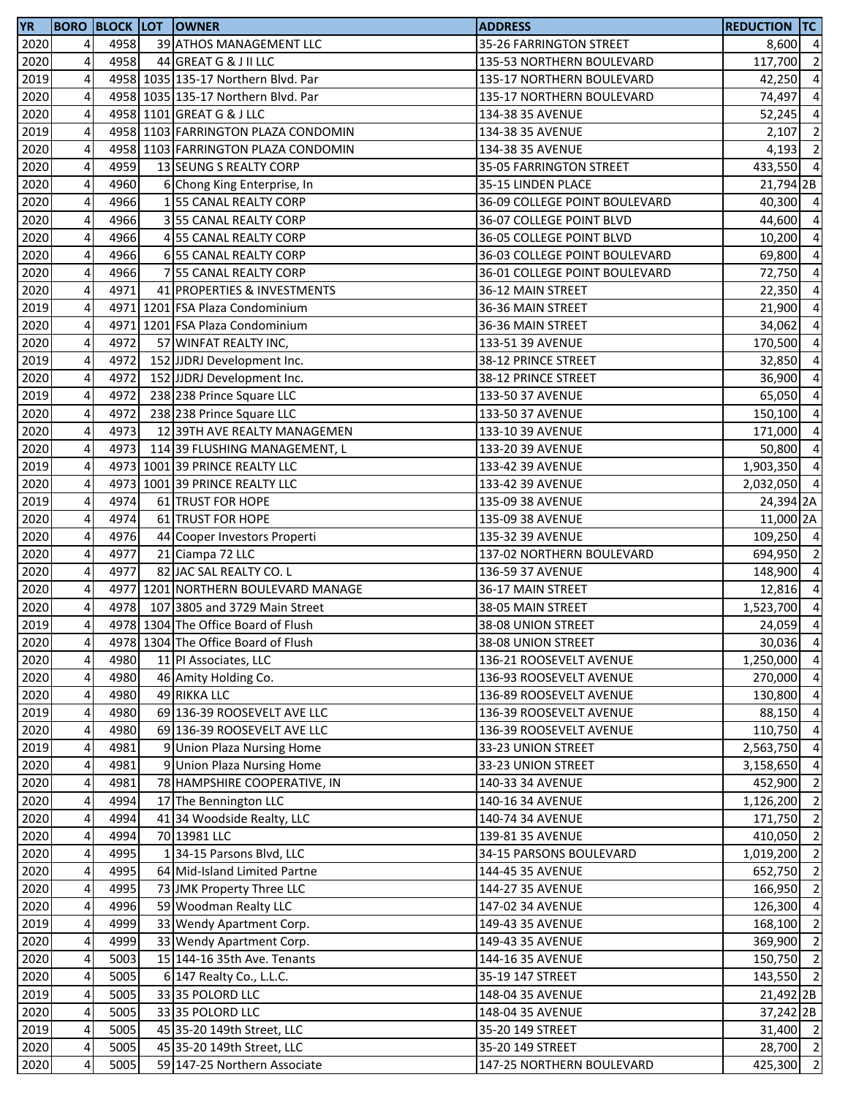| 2020<br>4<br>4958<br>8,600 4<br>39 ATHOS MANAGEMENT LLC<br>35-26 FARRINGTON STREET<br>4958<br>$\overline{\mathbf{2}}$<br>2020<br>4<br>44 GREAT G & J II LLC<br>135-53 NORTHERN BOULEVARD<br>117,700<br>2019<br>4<br>$\overline{a}$<br>4958 1035 135-17 Northern Blvd. Par<br>135-17 NORTHERN BOULEVARD<br>42,250<br>2020<br>4<br>4958 1035 135-17 Northern Blvd. Par<br>135-17 NORTHERN BOULEVARD<br>74,497<br>4<br>2020<br>4958 1101 GREAT G & J LLC<br>134-38 35 AVENUE<br>52,245<br>$\overline{2}$<br>4<br>2019<br>4958 1103 FARRINGTON PLAZA CONDOMIN<br>2,107<br>134-38 35 AVENUE<br>$\overline{2}$<br>2020<br>4<br>4958 1103 FARRINGTON PLAZA CONDOMIN<br>134-38 35 AVENUE<br>4,193<br>4959<br>$\overline{4}$<br>2020<br>4<br>13 SEUNG S REALTY CORP<br>35-05 FARRINGTON STREET<br>433,550<br>4<br>2020<br>4960<br>21,794 2B<br>6 Chong King Enterprise, In<br>35-15 LINDEN PLACE<br>4<br>$\overline{a}$<br>2020<br>4966<br>36-09 COLLEGE POINT BOULEVARD<br>40,300<br>155 CANAL REALTY CORP<br>$\overline{\mathbf{4}}$<br>4966<br>$\overline{a}$<br>2020<br>3 55 CANAL REALTY CORP<br>36-07 COLLEGE POINT BLVD<br>44,600<br>4<br>$\overline{a}$<br>2020<br>4966<br>36-05 COLLEGE POINT BLVD<br>4 55 CANAL REALTY CORP<br>10,200<br>$\overline{\mathbf{4}}$<br>$\overline{a}$<br>2020<br>4966<br>6 55 CANAL REALTY CORP<br>36-03 COLLEGE POINT BOULEVARD<br>69,800<br>4<br>$\overline{4}$<br>2020<br>4966<br>7 55 CANAL REALTY CORP<br>36-01 COLLEGE POINT BOULEVARD<br>72,750<br>$\overline{\mathbf{4}}$<br>2020<br>4971<br>41 PROPERTIES & INVESTMENTS<br>36-12 MAIN STREET<br>22,350<br>4<br>$\overline{a}$<br>2019<br>4971 1201 FSA Plaza Condominium<br>36-36 MAIN STREET<br>21,900<br>$\overline{\mathbf{4}}$<br>$\overline{a}$<br>2020<br>4971 1201 FSA Plaza Condominium<br>36-36 MAIN STREET<br>34,062<br>4<br>4972<br>$\overline{a}$<br>2020<br>57 WINFAT REALTY INC,<br>133-51 39 AVENUE<br>170,500<br>$\overline{\mathbf{4}}$<br>2019<br>4972<br>$\overline{a}$<br>152 JJDRJ Development Inc.<br>38-12 PRINCE STREET<br>32,850<br>4<br>152 JJDRJ Development Inc.<br>$\overline{a}$<br>2020<br>4972<br>38-12 PRINCE STREET<br>36,900<br>2019<br>$\overline{\mathbf{4}}$<br>$\overline{4}$<br>4972<br>238 238 Prince Square LLC<br>133-50 37 AVENUE<br>65,050<br>4<br>2020<br>4972<br>238 238 Prince Square LLC<br>133-50 37 AVENUE<br>150,100<br>4<br>2020<br>4973<br>12 39TH AVE REALTY MANAGEMEN<br>171,000<br>133-10 39 AVENUE<br>2020<br>4<br>4973<br>114 39 FLUSHING MANAGEMENT, L<br>133-20 39 AVENUE<br>50,800<br>2019<br>4<br>4973 1001 39 PRINCE REALTY LLC<br>133-42 39 AVENUE<br>1,903,350<br>4<br>2020<br>4973 1001 39 PRINCE REALTY LLC<br>133-42 39 AVENUE<br>2,032,050<br>4<br>4974<br>2019<br>61 TRUST FOR HOPE<br>135-09 38 AVENUE<br>24,394 2A<br>$\overline{4}$<br>2020<br>4974<br>61 TRUST FOR HOPE<br>135-09 38 AVENUE<br>11,000 2A<br>4<br>2020<br>4976<br>109,250 4<br>135-32 39 AVENUE<br>44 Cooper Investors Properti<br>4<br>2020<br>4977<br>21 Ciampa 72 LLC<br>137-02 NORTHERN BOULEVARD<br>694,950<br>4<br>2020<br>4977<br>82 JAC SAL REALTY CO. L<br>148,900<br>136-59 37 AVENUE<br>$\overline{4}$<br>2020<br>4977 1201 NORTHERN BOULEVARD MANAGE<br>36-17 MAIN STREET<br>12,816<br>4<br>2020<br>4978<br>107 3805 and 3729 Main Street<br>38-05 MAIN STREET<br>1,523,700<br>$\overline{4}$<br>4<br>2019<br>4978 1304 The Office Board of Flush<br>24,059<br>38-08 UNION STREET<br>2020<br>4978 1304 The Office Board of Flush<br>38-08 UNION STREET<br>30,036 4<br>4<br>$\overline{\mathbf{4}}$<br>$\overline{4}$<br>2020<br>4980<br>11 PI Associates, LLC<br>136-21 ROOSEVELT AVENUE<br>1,250,000<br>2020<br>4<br>4980<br>$\overline{4}$<br>46 Amity Holding Co.<br>136-93 ROOSEVELT AVENUE<br>270,000<br>$\overline{\mathbf{4}}$<br>2020<br>4980<br>49 RIKKA LLC<br>136-89 ROOSEVELT AVENUE<br>130,800 4<br>2019<br>4<br>4980<br>69 136-39 ROOSEVELT AVE LLC<br>$\overline{4}$<br>136-39 ROOSEVELT AVENUE<br>88,150<br>$\overline{\mathbf{4}}$<br>2020<br>4980<br>$\overline{4}$<br>69 136-39 ROOSEVELT AVE LLC<br>110,750<br>136-39 ROOSEVELT AVENUE<br>2019<br>4<br>$\overline{4}$<br>4981<br>9 Union Plaza Nursing Home<br>33-23 UNION STREET<br>2,563,750<br>4<br>2020<br>4981<br>9 Union Plaza Nursing Home<br>$\overline{a}$<br>33-23 UNION STREET<br>3,158,650<br>2020<br>4981<br>$\overline{2}$<br>4<br>78 HAMPSHIRE COOPERATIVE, IN<br>140-33 34 AVENUE<br>452,900<br>2020<br>1,126,200 2<br>4<br>4994<br>17 The Bennington LLC<br>140-16 34 AVENUE<br>2020<br>4<br>171,750 2<br>4994<br>41 34 Woodside Realty, LLC<br>140-74 34 AVENUE<br>$\overline{20}20$<br>410,050 2<br>4<br>4994<br>70 13981 LLC<br>139-81 35 AVENUE<br>1,019,200 2<br>2020<br>4<br>4995<br>1 34-15 Parsons Blvd, LLC<br>34-15 PARSONS BOULEVARD<br>652,750 2<br>2020<br>4<br>4995<br>64 Mid-Island Limited Partne<br>144-45 35 AVENUE<br>$\overline{2}$<br>2020<br>4<br>4995<br>73 JMK Property Three LLC<br>166,950<br>144-27 35 AVENUE<br>2020<br>59 Woodman Realty LLC<br>$\overline{4}$<br>4<br>4996<br>147-02 34 AVENUE<br>126,300<br>$\overline{2}$<br>2019<br>4<br>4999<br>33 Wendy Apartment Corp.<br>149-43 35 AVENUE<br>168,100<br>369,900 2<br>2020<br>4<br>4999<br>149-43 35 AVENUE<br>33 Wendy Apartment Corp.<br>$\overline{\mathbf{4}}$<br>2020<br>150,750 2<br>5003<br>15 144-16 35th Ave. Tenants<br>144-16 35 AVENUE<br>143,550 2<br>2020<br>4<br>5005<br>6 147 Realty Co., L.L.C.<br>35-19 147 STREET<br>2019<br>$\overline{4}$<br>5005<br>33 35 POLORD LLC<br>148-04 35 AVENUE<br>21,492 2B<br>2020<br>4<br>5005<br>33 35 POLORD LLC<br>148-04 35 AVENUE<br>37,242 2B<br>2019<br>$\overline{4}$<br>31,400 2<br>5005<br>45 35-20 149th Street, LLC<br>35-20 149 STREET<br>2020<br>4<br>28,700 2<br>5005<br>45 35-20 149th Street, LLC<br>35-20 149 STREET<br>425,300 2<br>2020<br>4<br>5005<br>59 147-25 Northern Associate<br>147-25 NORTHERN BOULEVARD | <b>YR</b> |  | <b>BORO BLOCK LOT OWNER</b> | <b>ADDRESS</b> | <b>REDUCTION TC</b> |                         |
|---------------------------------------------------------------------------------------------------------------------------------------------------------------------------------------------------------------------------------------------------------------------------------------------------------------------------------------------------------------------------------------------------------------------------------------------------------------------------------------------------------------------------------------------------------------------------------------------------------------------------------------------------------------------------------------------------------------------------------------------------------------------------------------------------------------------------------------------------------------------------------------------------------------------------------------------------------------------------------------------------------------------------------------------------------------------------------------------------------------------------------------------------------------------------------------------------------------------------------------------------------------------------------------------------------------------------------------------------------------------------------------------------------------------------------------------------------------------------------------------------------------------------------------------------------------------------------------------------------------------------------------------------------------------------------------------------------------------------------------------------------------------------------------------------------------------------------------------------------------------------------------------------------------------------------------------------------------------------------------------------------------------------------------------------------------------------------------------------------------------------------------------------------------------------------------------------------------------------------------------------------------------------------------------------------------------------------------------------------------------------------------------------------------------------------------------------------------------------------------------------------------------------------------------------------------------------------------------------------------------------------------------------------------------------------------------------------------------------------------------------------------------------------------------------------------------------------------------------------------------------------------------------------------------------------------------------------------------------------------------------------------------------------------------------------------------------------------------------------------------------------------------------------------------------------------------------------------------------------------------------------------------------------------------------------------------------------------------------------------------------------------------------------------------------------------------------------------------------------------------------------------------------------------------------------------------------------------------------------------------------------------------------------------------------------------------------------------------------------------------------------------------------------------------------------------------------------------------------------------------------------------------------------------------------------------------------------------------------------------------------------------------------------------------------------------------------------------------------------------------------------------------------------------------------------------------------------------------------------------------------------------------------------------------------------------------------------------------------------------------------------------------------------------------------------------------------------------------------------------------------------------------------------------------------------------------------------------------------------------------------------------------------------------------------------------------------------------------------------------------------------------------------------------------------------------------------------------------------------------------------------------------------------------------------------------------------------------------------------------------------------------------------------------------------------------------------------------------------------------------------------------------------------------------------------------------------------------------------------------------------------------------------------------------------------------------------------------------------------------------------------------------------------------------------------------------------------------------------------------------------------------------------------------------------------------------------------------------------------------------------------------------------------------------------------------------------------------------------------------------------------------------------------------------------------------------------------------------------------------------------------------------------------------|-----------|--|-----------------------------|----------------|---------------------|-------------------------|
|                                                                                                                                                                                                                                                                                                                                                                                                                                                                                                                                                                                                                                                                                                                                                                                                                                                                                                                                                                                                                                                                                                                                                                                                                                                                                                                                                                                                                                                                                                                                                                                                                                                                                                                                                                                                                                                                                                                                                                                                                                                                                                                                                                                                                                                                                                                                                                                                                                                                                                                                                                                                                                                                                                                                                                                                                                                                                                                                                                                                                                                                                                                                                                                                                                                                                                                                                                                                                                                                                                                                                                                                                                                                                                                                                                                                                                                                                                                                                                                                                                                                                                                                                                                                                                                                                                                                                                                                                                                                                                                                                                                                                                                                                                                                                                                                                                                                                                                                                                                                                                                                                                                                                                                                                                                                                                                                                                                                                                                                                                                                                                                                                                                                                                                                                                                                                                                                                                               |           |  |                             |                |                     |                         |
|                                                                                                                                                                                                                                                                                                                                                                                                                                                                                                                                                                                                                                                                                                                                                                                                                                                                                                                                                                                                                                                                                                                                                                                                                                                                                                                                                                                                                                                                                                                                                                                                                                                                                                                                                                                                                                                                                                                                                                                                                                                                                                                                                                                                                                                                                                                                                                                                                                                                                                                                                                                                                                                                                                                                                                                                                                                                                                                                                                                                                                                                                                                                                                                                                                                                                                                                                                                                                                                                                                                                                                                                                                                                                                                                                                                                                                                                                                                                                                                                                                                                                                                                                                                                                                                                                                                                                                                                                                                                                                                                                                                                                                                                                                                                                                                                                                                                                                                                                                                                                                                                                                                                                                                                                                                                                                                                                                                                                                                                                                                                                                                                                                                                                                                                                                                                                                                                                                               |           |  |                             |                |                     |                         |
|                                                                                                                                                                                                                                                                                                                                                                                                                                                                                                                                                                                                                                                                                                                                                                                                                                                                                                                                                                                                                                                                                                                                                                                                                                                                                                                                                                                                                                                                                                                                                                                                                                                                                                                                                                                                                                                                                                                                                                                                                                                                                                                                                                                                                                                                                                                                                                                                                                                                                                                                                                                                                                                                                                                                                                                                                                                                                                                                                                                                                                                                                                                                                                                                                                                                                                                                                                                                                                                                                                                                                                                                                                                                                                                                                                                                                                                                                                                                                                                                                                                                                                                                                                                                                                                                                                                                                                                                                                                                                                                                                                                                                                                                                                                                                                                                                                                                                                                                                                                                                                                                                                                                                                                                                                                                                                                                                                                                                                                                                                                                                                                                                                                                                                                                                                                                                                                                                                               |           |  |                             |                |                     |                         |
|                                                                                                                                                                                                                                                                                                                                                                                                                                                                                                                                                                                                                                                                                                                                                                                                                                                                                                                                                                                                                                                                                                                                                                                                                                                                                                                                                                                                                                                                                                                                                                                                                                                                                                                                                                                                                                                                                                                                                                                                                                                                                                                                                                                                                                                                                                                                                                                                                                                                                                                                                                                                                                                                                                                                                                                                                                                                                                                                                                                                                                                                                                                                                                                                                                                                                                                                                                                                                                                                                                                                                                                                                                                                                                                                                                                                                                                                                                                                                                                                                                                                                                                                                                                                                                                                                                                                                                                                                                                                                                                                                                                                                                                                                                                                                                                                                                                                                                                                                                                                                                                                                                                                                                                                                                                                                                                                                                                                                                                                                                                                                                                                                                                                                                                                                                                                                                                                                                               |           |  |                             |                |                     | $\overline{a}$          |
|                                                                                                                                                                                                                                                                                                                                                                                                                                                                                                                                                                                                                                                                                                                                                                                                                                                                                                                                                                                                                                                                                                                                                                                                                                                                                                                                                                                                                                                                                                                                                                                                                                                                                                                                                                                                                                                                                                                                                                                                                                                                                                                                                                                                                                                                                                                                                                                                                                                                                                                                                                                                                                                                                                                                                                                                                                                                                                                                                                                                                                                                                                                                                                                                                                                                                                                                                                                                                                                                                                                                                                                                                                                                                                                                                                                                                                                                                                                                                                                                                                                                                                                                                                                                                                                                                                                                                                                                                                                                                                                                                                                                                                                                                                                                                                                                                                                                                                                                                                                                                                                                                                                                                                                                                                                                                                                                                                                                                                                                                                                                                                                                                                                                                                                                                                                                                                                                                                               |           |  |                             |                |                     | $\overline{a}$          |
|                                                                                                                                                                                                                                                                                                                                                                                                                                                                                                                                                                                                                                                                                                                                                                                                                                                                                                                                                                                                                                                                                                                                                                                                                                                                                                                                                                                                                                                                                                                                                                                                                                                                                                                                                                                                                                                                                                                                                                                                                                                                                                                                                                                                                                                                                                                                                                                                                                                                                                                                                                                                                                                                                                                                                                                                                                                                                                                                                                                                                                                                                                                                                                                                                                                                                                                                                                                                                                                                                                                                                                                                                                                                                                                                                                                                                                                                                                                                                                                                                                                                                                                                                                                                                                                                                                                                                                                                                                                                                                                                                                                                                                                                                                                                                                                                                                                                                                                                                                                                                                                                                                                                                                                                                                                                                                                                                                                                                                                                                                                                                                                                                                                                                                                                                                                                                                                                                                               |           |  |                             |                |                     |                         |
|                                                                                                                                                                                                                                                                                                                                                                                                                                                                                                                                                                                                                                                                                                                                                                                                                                                                                                                                                                                                                                                                                                                                                                                                                                                                                                                                                                                                                                                                                                                                                                                                                                                                                                                                                                                                                                                                                                                                                                                                                                                                                                                                                                                                                                                                                                                                                                                                                                                                                                                                                                                                                                                                                                                                                                                                                                                                                                                                                                                                                                                                                                                                                                                                                                                                                                                                                                                                                                                                                                                                                                                                                                                                                                                                                                                                                                                                                                                                                                                                                                                                                                                                                                                                                                                                                                                                                                                                                                                                                                                                                                                                                                                                                                                                                                                                                                                                                                                                                                                                                                                                                                                                                                                                                                                                                                                                                                                                                                                                                                                                                                                                                                                                                                                                                                                                                                                                                                               |           |  |                             |                |                     |                         |
|                                                                                                                                                                                                                                                                                                                                                                                                                                                                                                                                                                                                                                                                                                                                                                                                                                                                                                                                                                                                                                                                                                                                                                                                                                                                                                                                                                                                                                                                                                                                                                                                                                                                                                                                                                                                                                                                                                                                                                                                                                                                                                                                                                                                                                                                                                                                                                                                                                                                                                                                                                                                                                                                                                                                                                                                                                                                                                                                                                                                                                                                                                                                                                                                                                                                                                                                                                                                                                                                                                                                                                                                                                                                                                                                                                                                                                                                                                                                                                                                                                                                                                                                                                                                                                                                                                                                                                                                                                                                                                                                                                                                                                                                                                                                                                                                                                                                                                                                                                                                                                                                                                                                                                                                                                                                                                                                                                                                                                                                                                                                                                                                                                                                                                                                                                                                                                                                                                               |           |  |                             |                |                     |                         |
|                                                                                                                                                                                                                                                                                                                                                                                                                                                                                                                                                                                                                                                                                                                                                                                                                                                                                                                                                                                                                                                                                                                                                                                                                                                                                                                                                                                                                                                                                                                                                                                                                                                                                                                                                                                                                                                                                                                                                                                                                                                                                                                                                                                                                                                                                                                                                                                                                                                                                                                                                                                                                                                                                                                                                                                                                                                                                                                                                                                                                                                                                                                                                                                                                                                                                                                                                                                                                                                                                                                                                                                                                                                                                                                                                                                                                                                                                                                                                                                                                                                                                                                                                                                                                                                                                                                                                                                                                                                                                                                                                                                                                                                                                                                                                                                                                                                                                                                                                                                                                                                                                                                                                                                                                                                                                                                                                                                                                                                                                                                                                                                                                                                                                                                                                                                                                                                                                                               |           |  |                             |                |                     |                         |
|                                                                                                                                                                                                                                                                                                                                                                                                                                                                                                                                                                                                                                                                                                                                                                                                                                                                                                                                                                                                                                                                                                                                                                                                                                                                                                                                                                                                                                                                                                                                                                                                                                                                                                                                                                                                                                                                                                                                                                                                                                                                                                                                                                                                                                                                                                                                                                                                                                                                                                                                                                                                                                                                                                                                                                                                                                                                                                                                                                                                                                                                                                                                                                                                                                                                                                                                                                                                                                                                                                                                                                                                                                                                                                                                                                                                                                                                                                                                                                                                                                                                                                                                                                                                                                                                                                                                                                                                                                                                                                                                                                                                                                                                                                                                                                                                                                                                                                                                                                                                                                                                                                                                                                                                                                                                                                                                                                                                                                                                                                                                                                                                                                                                                                                                                                                                                                                                                                               |           |  |                             |                |                     |                         |
|                                                                                                                                                                                                                                                                                                                                                                                                                                                                                                                                                                                                                                                                                                                                                                                                                                                                                                                                                                                                                                                                                                                                                                                                                                                                                                                                                                                                                                                                                                                                                                                                                                                                                                                                                                                                                                                                                                                                                                                                                                                                                                                                                                                                                                                                                                                                                                                                                                                                                                                                                                                                                                                                                                                                                                                                                                                                                                                                                                                                                                                                                                                                                                                                                                                                                                                                                                                                                                                                                                                                                                                                                                                                                                                                                                                                                                                                                                                                                                                                                                                                                                                                                                                                                                                                                                                                                                                                                                                                                                                                                                                                                                                                                                                                                                                                                                                                                                                                                                                                                                                                                                                                                                                                                                                                                                                                                                                                                                                                                                                                                                                                                                                                                                                                                                                                                                                                                                               |           |  |                             |                |                     |                         |
|                                                                                                                                                                                                                                                                                                                                                                                                                                                                                                                                                                                                                                                                                                                                                                                                                                                                                                                                                                                                                                                                                                                                                                                                                                                                                                                                                                                                                                                                                                                                                                                                                                                                                                                                                                                                                                                                                                                                                                                                                                                                                                                                                                                                                                                                                                                                                                                                                                                                                                                                                                                                                                                                                                                                                                                                                                                                                                                                                                                                                                                                                                                                                                                                                                                                                                                                                                                                                                                                                                                                                                                                                                                                                                                                                                                                                                                                                                                                                                                                                                                                                                                                                                                                                                                                                                                                                                                                                                                                                                                                                                                                                                                                                                                                                                                                                                                                                                                                                                                                                                                                                                                                                                                                                                                                                                                                                                                                                                                                                                                                                                                                                                                                                                                                                                                                                                                                                                               |           |  |                             |                |                     |                         |
|                                                                                                                                                                                                                                                                                                                                                                                                                                                                                                                                                                                                                                                                                                                                                                                                                                                                                                                                                                                                                                                                                                                                                                                                                                                                                                                                                                                                                                                                                                                                                                                                                                                                                                                                                                                                                                                                                                                                                                                                                                                                                                                                                                                                                                                                                                                                                                                                                                                                                                                                                                                                                                                                                                                                                                                                                                                                                                                                                                                                                                                                                                                                                                                                                                                                                                                                                                                                                                                                                                                                                                                                                                                                                                                                                                                                                                                                                                                                                                                                                                                                                                                                                                                                                                                                                                                                                                                                                                                                                                                                                                                                                                                                                                                                                                                                                                                                                                                                                                                                                                                                                                                                                                                                                                                                                                                                                                                                                                                                                                                                                                                                                                                                                                                                                                                                                                                                                                               |           |  |                             |                |                     |                         |
|                                                                                                                                                                                                                                                                                                                                                                                                                                                                                                                                                                                                                                                                                                                                                                                                                                                                                                                                                                                                                                                                                                                                                                                                                                                                                                                                                                                                                                                                                                                                                                                                                                                                                                                                                                                                                                                                                                                                                                                                                                                                                                                                                                                                                                                                                                                                                                                                                                                                                                                                                                                                                                                                                                                                                                                                                                                                                                                                                                                                                                                                                                                                                                                                                                                                                                                                                                                                                                                                                                                                                                                                                                                                                                                                                                                                                                                                                                                                                                                                                                                                                                                                                                                                                                                                                                                                                                                                                                                                                                                                                                                                                                                                                                                                                                                                                                                                                                                                                                                                                                                                                                                                                                                                                                                                                                                                                                                                                                                                                                                                                                                                                                                                                                                                                                                                                                                                                                               |           |  |                             |                |                     |                         |
|                                                                                                                                                                                                                                                                                                                                                                                                                                                                                                                                                                                                                                                                                                                                                                                                                                                                                                                                                                                                                                                                                                                                                                                                                                                                                                                                                                                                                                                                                                                                                                                                                                                                                                                                                                                                                                                                                                                                                                                                                                                                                                                                                                                                                                                                                                                                                                                                                                                                                                                                                                                                                                                                                                                                                                                                                                                                                                                                                                                                                                                                                                                                                                                                                                                                                                                                                                                                                                                                                                                                                                                                                                                                                                                                                                                                                                                                                                                                                                                                                                                                                                                                                                                                                                                                                                                                                                                                                                                                                                                                                                                                                                                                                                                                                                                                                                                                                                                                                                                                                                                                                                                                                                                                                                                                                                                                                                                                                                                                                                                                                                                                                                                                                                                                                                                                                                                                                                               |           |  |                             |                |                     | $\overline{4}$          |
|                                                                                                                                                                                                                                                                                                                                                                                                                                                                                                                                                                                                                                                                                                                                                                                                                                                                                                                                                                                                                                                                                                                                                                                                                                                                                                                                                                                                                                                                                                                                                                                                                                                                                                                                                                                                                                                                                                                                                                                                                                                                                                                                                                                                                                                                                                                                                                                                                                                                                                                                                                                                                                                                                                                                                                                                                                                                                                                                                                                                                                                                                                                                                                                                                                                                                                                                                                                                                                                                                                                                                                                                                                                                                                                                                                                                                                                                                                                                                                                                                                                                                                                                                                                                                                                                                                                                                                                                                                                                                                                                                                                                                                                                                                                                                                                                                                                                                                                                                                                                                                                                                                                                                                                                                                                                                                                                                                                                                                                                                                                                                                                                                                                                                                                                                                                                                                                                                                               |           |  |                             |                |                     |                         |
|                                                                                                                                                                                                                                                                                                                                                                                                                                                                                                                                                                                                                                                                                                                                                                                                                                                                                                                                                                                                                                                                                                                                                                                                                                                                                                                                                                                                                                                                                                                                                                                                                                                                                                                                                                                                                                                                                                                                                                                                                                                                                                                                                                                                                                                                                                                                                                                                                                                                                                                                                                                                                                                                                                                                                                                                                                                                                                                                                                                                                                                                                                                                                                                                                                                                                                                                                                                                                                                                                                                                                                                                                                                                                                                                                                                                                                                                                                                                                                                                                                                                                                                                                                                                                                                                                                                                                                                                                                                                                                                                                                                                                                                                                                                                                                                                                                                                                                                                                                                                                                                                                                                                                                                                                                                                                                                                                                                                                                                                                                                                                                                                                                                                                                                                                                                                                                                                                                               |           |  |                             |                |                     |                         |
|                                                                                                                                                                                                                                                                                                                                                                                                                                                                                                                                                                                                                                                                                                                                                                                                                                                                                                                                                                                                                                                                                                                                                                                                                                                                                                                                                                                                                                                                                                                                                                                                                                                                                                                                                                                                                                                                                                                                                                                                                                                                                                                                                                                                                                                                                                                                                                                                                                                                                                                                                                                                                                                                                                                                                                                                                                                                                                                                                                                                                                                                                                                                                                                                                                                                                                                                                                                                                                                                                                                                                                                                                                                                                                                                                                                                                                                                                                                                                                                                                                                                                                                                                                                                                                                                                                                                                                                                                                                                                                                                                                                                                                                                                                                                                                                                                                                                                                                                                                                                                                                                                                                                                                                                                                                                                                                                                                                                                                                                                                                                                                                                                                                                                                                                                                                                                                                                                                               |           |  |                             |                |                     |                         |
|                                                                                                                                                                                                                                                                                                                                                                                                                                                                                                                                                                                                                                                                                                                                                                                                                                                                                                                                                                                                                                                                                                                                                                                                                                                                                                                                                                                                                                                                                                                                                                                                                                                                                                                                                                                                                                                                                                                                                                                                                                                                                                                                                                                                                                                                                                                                                                                                                                                                                                                                                                                                                                                                                                                                                                                                                                                                                                                                                                                                                                                                                                                                                                                                                                                                                                                                                                                                                                                                                                                                                                                                                                                                                                                                                                                                                                                                                                                                                                                                                                                                                                                                                                                                                                                                                                                                                                                                                                                                                                                                                                                                                                                                                                                                                                                                                                                                                                                                                                                                                                                                                                                                                                                                                                                                                                                                                                                                                                                                                                                                                                                                                                                                                                                                                                                                                                                                                                               |           |  |                             |                |                     |                         |
|                                                                                                                                                                                                                                                                                                                                                                                                                                                                                                                                                                                                                                                                                                                                                                                                                                                                                                                                                                                                                                                                                                                                                                                                                                                                                                                                                                                                                                                                                                                                                                                                                                                                                                                                                                                                                                                                                                                                                                                                                                                                                                                                                                                                                                                                                                                                                                                                                                                                                                                                                                                                                                                                                                                                                                                                                                                                                                                                                                                                                                                                                                                                                                                                                                                                                                                                                                                                                                                                                                                                                                                                                                                                                                                                                                                                                                                                                                                                                                                                                                                                                                                                                                                                                                                                                                                                                                                                                                                                                                                                                                                                                                                                                                                                                                                                                                                                                                                                                                                                                                                                                                                                                                                                                                                                                                                                                                                                                                                                                                                                                                                                                                                                                                                                                                                                                                                                                                               |           |  |                             |                |                     |                         |
|                                                                                                                                                                                                                                                                                                                                                                                                                                                                                                                                                                                                                                                                                                                                                                                                                                                                                                                                                                                                                                                                                                                                                                                                                                                                                                                                                                                                                                                                                                                                                                                                                                                                                                                                                                                                                                                                                                                                                                                                                                                                                                                                                                                                                                                                                                                                                                                                                                                                                                                                                                                                                                                                                                                                                                                                                                                                                                                                                                                                                                                                                                                                                                                                                                                                                                                                                                                                                                                                                                                                                                                                                                                                                                                                                                                                                                                                                                                                                                                                                                                                                                                                                                                                                                                                                                                                                                                                                                                                                                                                                                                                                                                                                                                                                                                                                                                                                                                                                                                                                                                                                                                                                                                                                                                                                                                                                                                                                                                                                                                                                                                                                                                                                                                                                                                                                                                                                                               |           |  |                             |                |                     |                         |
|                                                                                                                                                                                                                                                                                                                                                                                                                                                                                                                                                                                                                                                                                                                                                                                                                                                                                                                                                                                                                                                                                                                                                                                                                                                                                                                                                                                                                                                                                                                                                                                                                                                                                                                                                                                                                                                                                                                                                                                                                                                                                                                                                                                                                                                                                                                                                                                                                                                                                                                                                                                                                                                                                                                                                                                                                                                                                                                                                                                                                                                                                                                                                                                                                                                                                                                                                                                                                                                                                                                                                                                                                                                                                                                                                                                                                                                                                                                                                                                                                                                                                                                                                                                                                                                                                                                                                                                                                                                                                                                                                                                                                                                                                                                                                                                                                                                                                                                                                                                                                                                                                                                                                                                                                                                                                                                                                                                                                                                                                                                                                                                                                                                                                                                                                                                                                                                                                                               |           |  |                             |                |                     | $\overline{4}$          |
|                                                                                                                                                                                                                                                                                                                                                                                                                                                                                                                                                                                                                                                                                                                                                                                                                                                                                                                                                                                                                                                                                                                                                                                                                                                                                                                                                                                                                                                                                                                                                                                                                                                                                                                                                                                                                                                                                                                                                                                                                                                                                                                                                                                                                                                                                                                                                                                                                                                                                                                                                                                                                                                                                                                                                                                                                                                                                                                                                                                                                                                                                                                                                                                                                                                                                                                                                                                                                                                                                                                                                                                                                                                                                                                                                                                                                                                                                                                                                                                                                                                                                                                                                                                                                                                                                                                                                                                                                                                                                                                                                                                                                                                                                                                                                                                                                                                                                                                                                                                                                                                                                                                                                                                                                                                                                                                                                                                                                                                                                                                                                                                                                                                                                                                                                                                                                                                                                                               |           |  |                             |                |                     | $\overline{a}$          |
|                                                                                                                                                                                                                                                                                                                                                                                                                                                                                                                                                                                                                                                                                                                                                                                                                                                                                                                                                                                                                                                                                                                                                                                                                                                                                                                                                                                                                                                                                                                                                                                                                                                                                                                                                                                                                                                                                                                                                                                                                                                                                                                                                                                                                                                                                                                                                                                                                                                                                                                                                                                                                                                                                                                                                                                                                                                                                                                                                                                                                                                                                                                                                                                                                                                                                                                                                                                                                                                                                                                                                                                                                                                                                                                                                                                                                                                                                                                                                                                                                                                                                                                                                                                                                                                                                                                                                                                                                                                                                                                                                                                                                                                                                                                                                                                                                                                                                                                                                                                                                                                                                                                                                                                                                                                                                                                                                                                                                                                                                                                                                                                                                                                                                                                                                                                                                                                                                                               |           |  |                             |                |                     | $\overline{a}$          |
|                                                                                                                                                                                                                                                                                                                                                                                                                                                                                                                                                                                                                                                                                                                                                                                                                                                                                                                                                                                                                                                                                                                                                                                                                                                                                                                                                                                                                                                                                                                                                                                                                                                                                                                                                                                                                                                                                                                                                                                                                                                                                                                                                                                                                                                                                                                                                                                                                                                                                                                                                                                                                                                                                                                                                                                                                                                                                                                                                                                                                                                                                                                                                                                                                                                                                                                                                                                                                                                                                                                                                                                                                                                                                                                                                                                                                                                                                                                                                                                                                                                                                                                                                                                                                                                                                                                                                                                                                                                                                                                                                                                                                                                                                                                                                                                                                                                                                                                                                                                                                                                                                                                                                                                                                                                                                                                                                                                                                                                                                                                                                                                                                                                                                                                                                                                                                                                                                                               |           |  |                             |                |                     | $\overline{a}$          |
|                                                                                                                                                                                                                                                                                                                                                                                                                                                                                                                                                                                                                                                                                                                                                                                                                                                                                                                                                                                                                                                                                                                                                                                                                                                                                                                                                                                                                                                                                                                                                                                                                                                                                                                                                                                                                                                                                                                                                                                                                                                                                                                                                                                                                                                                                                                                                                                                                                                                                                                                                                                                                                                                                                                                                                                                                                                                                                                                                                                                                                                                                                                                                                                                                                                                                                                                                                                                                                                                                                                                                                                                                                                                                                                                                                                                                                                                                                                                                                                                                                                                                                                                                                                                                                                                                                                                                                                                                                                                                                                                                                                                                                                                                                                                                                                                                                                                                                                                                                                                                                                                                                                                                                                                                                                                                                                                                                                                                                                                                                                                                                                                                                                                                                                                                                                                                                                                                                               |           |  |                             |                |                     | $\overline{4}$          |
|                                                                                                                                                                                                                                                                                                                                                                                                                                                                                                                                                                                                                                                                                                                                                                                                                                                                                                                                                                                                                                                                                                                                                                                                                                                                                                                                                                                                                                                                                                                                                                                                                                                                                                                                                                                                                                                                                                                                                                                                                                                                                                                                                                                                                                                                                                                                                                                                                                                                                                                                                                                                                                                                                                                                                                                                                                                                                                                                                                                                                                                                                                                                                                                                                                                                                                                                                                                                                                                                                                                                                                                                                                                                                                                                                                                                                                                                                                                                                                                                                                                                                                                                                                                                                                                                                                                                                                                                                                                                                                                                                                                                                                                                                                                                                                                                                                                                                                                                                                                                                                                                                                                                                                                                                                                                                                                                                                                                                                                                                                                                                                                                                                                                                                                                                                                                                                                                                                               |           |  |                             |                |                     |                         |
|                                                                                                                                                                                                                                                                                                                                                                                                                                                                                                                                                                                                                                                                                                                                                                                                                                                                                                                                                                                                                                                                                                                                                                                                                                                                                                                                                                                                                                                                                                                                                                                                                                                                                                                                                                                                                                                                                                                                                                                                                                                                                                                                                                                                                                                                                                                                                                                                                                                                                                                                                                                                                                                                                                                                                                                                                                                                                                                                                                                                                                                                                                                                                                                                                                                                                                                                                                                                                                                                                                                                                                                                                                                                                                                                                                                                                                                                                                                                                                                                                                                                                                                                                                                                                                                                                                                                                                                                                                                                                                                                                                                                                                                                                                                                                                                                                                                                                                                                                                                                                                                                                                                                                                                                                                                                                                                                                                                                                                                                                                                                                                                                                                                                                                                                                                                                                                                                                                               |           |  |                             |                |                     |                         |
|                                                                                                                                                                                                                                                                                                                                                                                                                                                                                                                                                                                                                                                                                                                                                                                                                                                                                                                                                                                                                                                                                                                                                                                                                                                                                                                                                                                                                                                                                                                                                                                                                                                                                                                                                                                                                                                                                                                                                                                                                                                                                                                                                                                                                                                                                                                                                                                                                                                                                                                                                                                                                                                                                                                                                                                                                                                                                                                                                                                                                                                                                                                                                                                                                                                                                                                                                                                                                                                                                                                                                                                                                                                                                                                                                                                                                                                                                                                                                                                                                                                                                                                                                                                                                                                                                                                                                                                                                                                                                                                                                                                                                                                                                                                                                                                                                                                                                                                                                                                                                                                                                                                                                                                                                                                                                                                                                                                                                                                                                                                                                                                                                                                                                                                                                                                                                                                                                                               |           |  |                             |                |                     |                         |
|                                                                                                                                                                                                                                                                                                                                                                                                                                                                                                                                                                                                                                                                                                                                                                                                                                                                                                                                                                                                                                                                                                                                                                                                                                                                                                                                                                                                                                                                                                                                                                                                                                                                                                                                                                                                                                                                                                                                                                                                                                                                                                                                                                                                                                                                                                                                                                                                                                                                                                                                                                                                                                                                                                                                                                                                                                                                                                                                                                                                                                                                                                                                                                                                                                                                                                                                                                                                                                                                                                                                                                                                                                                                                                                                                                                                                                                                                                                                                                                                                                                                                                                                                                                                                                                                                                                                                                                                                                                                                                                                                                                                                                                                                                                                                                                                                                                                                                                                                                                                                                                                                                                                                                                                                                                                                                                                                                                                                                                                                                                                                                                                                                                                                                                                                                                                                                                                                                               |           |  |                             |                |                     | $\overline{\mathbf{c}}$ |
|                                                                                                                                                                                                                                                                                                                                                                                                                                                                                                                                                                                                                                                                                                                                                                                                                                                                                                                                                                                                                                                                                                                                                                                                                                                                                                                                                                                                                                                                                                                                                                                                                                                                                                                                                                                                                                                                                                                                                                                                                                                                                                                                                                                                                                                                                                                                                                                                                                                                                                                                                                                                                                                                                                                                                                                                                                                                                                                                                                                                                                                                                                                                                                                                                                                                                                                                                                                                                                                                                                                                                                                                                                                                                                                                                                                                                                                                                                                                                                                                                                                                                                                                                                                                                                                                                                                                                                                                                                                                                                                                                                                                                                                                                                                                                                                                                                                                                                                                                                                                                                                                                                                                                                                                                                                                                                                                                                                                                                                                                                                                                                                                                                                                                                                                                                                                                                                                                                               |           |  |                             |                |                     | $\overline{4}$          |
|                                                                                                                                                                                                                                                                                                                                                                                                                                                                                                                                                                                                                                                                                                                                                                                                                                                                                                                                                                                                                                                                                                                                                                                                                                                                                                                                                                                                                                                                                                                                                                                                                                                                                                                                                                                                                                                                                                                                                                                                                                                                                                                                                                                                                                                                                                                                                                                                                                                                                                                                                                                                                                                                                                                                                                                                                                                                                                                                                                                                                                                                                                                                                                                                                                                                                                                                                                                                                                                                                                                                                                                                                                                                                                                                                                                                                                                                                                                                                                                                                                                                                                                                                                                                                                                                                                                                                                                                                                                                                                                                                                                                                                                                                                                                                                                                                                                                                                                                                                                                                                                                                                                                                                                                                                                                                                                                                                                                                                                                                                                                                                                                                                                                                                                                                                                                                                                                                                               |           |  |                             |                |                     | $\overline{a}$          |
|                                                                                                                                                                                                                                                                                                                                                                                                                                                                                                                                                                                                                                                                                                                                                                                                                                                                                                                                                                                                                                                                                                                                                                                                                                                                                                                                                                                                                                                                                                                                                                                                                                                                                                                                                                                                                                                                                                                                                                                                                                                                                                                                                                                                                                                                                                                                                                                                                                                                                                                                                                                                                                                                                                                                                                                                                                                                                                                                                                                                                                                                                                                                                                                                                                                                                                                                                                                                                                                                                                                                                                                                                                                                                                                                                                                                                                                                                                                                                                                                                                                                                                                                                                                                                                                                                                                                                                                                                                                                                                                                                                                                                                                                                                                                                                                                                                                                                                                                                                                                                                                                                                                                                                                                                                                                                                                                                                                                                                                                                                                                                                                                                                                                                                                                                                                                                                                                                                               |           |  |                             |                |                     | $\overline{4}$          |
|                                                                                                                                                                                                                                                                                                                                                                                                                                                                                                                                                                                                                                                                                                                                                                                                                                                                                                                                                                                                                                                                                                                                                                                                                                                                                                                                                                                                                                                                                                                                                                                                                                                                                                                                                                                                                                                                                                                                                                                                                                                                                                                                                                                                                                                                                                                                                                                                                                                                                                                                                                                                                                                                                                                                                                                                                                                                                                                                                                                                                                                                                                                                                                                                                                                                                                                                                                                                                                                                                                                                                                                                                                                                                                                                                                                                                                                                                                                                                                                                                                                                                                                                                                                                                                                                                                                                                                                                                                                                                                                                                                                                                                                                                                                                                                                                                                                                                                                                                                                                                                                                                                                                                                                                                                                                                                                                                                                                                                                                                                                                                                                                                                                                                                                                                                                                                                                                                                               |           |  |                             |                |                     |                         |
|                                                                                                                                                                                                                                                                                                                                                                                                                                                                                                                                                                                                                                                                                                                                                                                                                                                                                                                                                                                                                                                                                                                                                                                                                                                                                                                                                                                                                                                                                                                                                                                                                                                                                                                                                                                                                                                                                                                                                                                                                                                                                                                                                                                                                                                                                                                                                                                                                                                                                                                                                                                                                                                                                                                                                                                                                                                                                                                                                                                                                                                                                                                                                                                                                                                                                                                                                                                                                                                                                                                                                                                                                                                                                                                                                                                                                                                                                                                                                                                                                                                                                                                                                                                                                                                                                                                                                                                                                                                                                                                                                                                                                                                                                                                                                                                                                                                                                                                                                                                                                                                                                                                                                                                                                                                                                                                                                                                                                                                                                                                                                                                                                                                                                                                                                                                                                                                                                                               |           |  |                             |                |                     |                         |
|                                                                                                                                                                                                                                                                                                                                                                                                                                                                                                                                                                                                                                                                                                                                                                                                                                                                                                                                                                                                                                                                                                                                                                                                                                                                                                                                                                                                                                                                                                                                                                                                                                                                                                                                                                                                                                                                                                                                                                                                                                                                                                                                                                                                                                                                                                                                                                                                                                                                                                                                                                                                                                                                                                                                                                                                                                                                                                                                                                                                                                                                                                                                                                                                                                                                                                                                                                                                                                                                                                                                                                                                                                                                                                                                                                                                                                                                                                                                                                                                                                                                                                                                                                                                                                                                                                                                                                                                                                                                                                                                                                                                                                                                                                                                                                                                                                                                                                                                                                                                                                                                                                                                                                                                                                                                                                                                                                                                                                                                                                                                                                                                                                                                                                                                                                                                                                                                                                               |           |  |                             |                |                     |                         |
|                                                                                                                                                                                                                                                                                                                                                                                                                                                                                                                                                                                                                                                                                                                                                                                                                                                                                                                                                                                                                                                                                                                                                                                                                                                                                                                                                                                                                                                                                                                                                                                                                                                                                                                                                                                                                                                                                                                                                                                                                                                                                                                                                                                                                                                                                                                                                                                                                                                                                                                                                                                                                                                                                                                                                                                                                                                                                                                                                                                                                                                                                                                                                                                                                                                                                                                                                                                                                                                                                                                                                                                                                                                                                                                                                                                                                                                                                                                                                                                                                                                                                                                                                                                                                                                                                                                                                                                                                                                                                                                                                                                                                                                                                                                                                                                                                                                                                                                                                                                                                                                                                                                                                                                                                                                                                                                                                                                                                                                                                                                                                                                                                                                                                                                                                                                                                                                                                                               |           |  |                             |                |                     |                         |
|                                                                                                                                                                                                                                                                                                                                                                                                                                                                                                                                                                                                                                                                                                                                                                                                                                                                                                                                                                                                                                                                                                                                                                                                                                                                                                                                                                                                                                                                                                                                                                                                                                                                                                                                                                                                                                                                                                                                                                                                                                                                                                                                                                                                                                                                                                                                                                                                                                                                                                                                                                                                                                                                                                                                                                                                                                                                                                                                                                                                                                                                                                                                                                                                                                                                                                                                                                                                                                                                                                                                                                                                                                                                                                                                                                                                                                                                                                                                                                                                                                                                                                                                                                                                                                                                                                                                                                                                                                                                                                                                                                                                                                                                                                                                                                                                                                                                                                                                                                                                                                                                                                                                                                                                                                                                                                                                                                                                                                                                                                                                                                                                                                                                                                                                                                                                                                                                                                               |           |  |                             |                |                     |                         |
|                                                                                                                                                                                                                                                                                                                                                                                                                                                                                                                                                                                                                                                                                                                                                                                                                                                                                                                                                                                                                                                                                                                                                                                                                                                                                                                                                                                                                                                                                                                                                                                                                                                                                                                                                                                                                                                                                                                                                                                                                                                                                                                                                                                                                                                                                                                                                                                                                                                                                                                                                                                                                                                                                                                                                                                                                                                                                                                                                                                                                                                                                                                                                                                                                                                                                                                                                                                                                                                                                                                                                                                                                                                                                                                                                                                                                                                                                                                                                                                                                                                                                                                                                                                                                                                                                                                                                                                                                                                                                                                                                                                                                                                                                                                                                                                                                                                                                                                                                                                                                                                                                                                                                                                                                                                                                                                                                                                                                                                                                                                                                                                                                                                                                                                                                                                                                                                                                                               |           |  |                             |                |                     |                         |
|                                                                                                                                                                                                                                                                                                                                                                                                                                                                                                                                                                                                                                                                                                                                                                                                                                                                                                                                                                                                                                                                                                                                                                                                                                                                                                                                                                                                                                                                                                                                                                                                                                                                                                                                                                                                                                                                                                                                                                                                                                                                                                                                                                                                                                                                                                                                                                                                                                                                                                                                                                                                                                                                                                                                                                                                                                                                                                                                                                                                                                                                                                                                                                                                                                                                                                                                                                                                                                                                                                                                                                                                                                                                                                                                                                                                                                                                                                                                                                                                                                                                                                                                                                                                                                                                                                                                                                                                                                                                                                                                                                                                                                                                                                                                                                                                                                                                                                                                                                                                                                                                                                                                                                                                                                                                                                                                                                                                                                                                                                                                                                                                                                                                                                                                                                                                                                                                                                               |           |  |                             |                |                     |                         |
|                                                                                                                                                                                                                                                                                                                                                                                                                                                                                                                                                                                                                                                                                                                                                                                                                                                                                                                                                                                                                                                                                                                                                                                                                                                                                                                                                                                                                                                                                                                                                                                                                                                                                                                                                                                                                                                                                                                                                                                                                                                                                                                                                                                                                                                                                                                                                                                                                                                                                                                                                                                                                                                                                                                                                                                                                                                                                                                                                                                                                                                                                                                                                                                                                                                                                                                                                                                                                                                                                                                                                                                                                                                                                                                                                                                                                                                                                                                                                                                                                                                                                                                                                                                                                                                                                                                                                                                                                                                                                                                                                                                                                                                                                                                                                                                                                                                                                                                                                                                                                                                                                                                                                                                                                                                                                                                                                                                                                                                                                                                                                                                                                                                                                                                                                                                                                                                                                                               |           |  |                             |                |                     |                         |
|                                                                                                                                                                                                                                                                                                                                                                                                                                                                                                                                                                                                                                                                                                                                                                                                                                                                                                                                                                                                                                                                                                                                                                                                                                                                                                                                                                                                                                                                                                                                                                                                                                                                                                                                                                                                                                                                                                                                                                                                                                                                                                                                                                                                                                                                                                                                                                                                                                                                                                                                                                                                                                                                                                                                                                                                                                                                                                                                                                                                                                                                                                                                                                                                                                                                                                                                                                                                                                                                                                                                                                                                                                                                                                                                                                                                                                                                                                                                                                                                                                                                                                                                                                                                                                                                                                                                                                                                                                                                                                                                                                                                                                                                                                                                                                                                                                                                                                                                                                                                                                                                                                                                                                                                                                                                                                                                                                                                                                                                                                                                                                                                                                                                                                                                                                                                                                                                                                               |           |  |                             |                |                     |                         |
|                                                                                                                                                                                                                                                                                                                                                                                                                                                                                                                                                                                                                                                                                                                                                                                                                                                                                                                                                                                                                                                                                                                                                                                                                                                                                                                                                                                                                                                                                                                                                                                                                                                                                                                                                                                                                                                                                                                                                                                                                                                                                                                                                                                                                                                                                                                                                                                                                                                                                                                                                                                                                                                                                                                                                                                                                                                                                                                                                                                                                                                                                                                                                                                                                                                                                                                                                                                                                                                                                                                                                                                                                                                                                                                                                                                                                                                                                                                                                                                                                                                                                                                                                                                                                                                                                                                                                                                                                                                                                                                                                                                                                                                                                                                                                                                                                                                                                                                                                                                                                                                                                                                                                                                                                                                                                                                                                                                                                                                                                                                                                                                                                                                                                                                                                                                                                                                                                                               |           |  |                             |                |                     |                         |
|                                                                                                                                                                                                                                                                                                                                                                                                                                                                                                                                                                                                                                                                                                                                                                                                                                                                                                                                                                                                                                                                                                                                                                                                                                                                                                                                                                                                                                                                                                                                                                                                                                                                                                                                                                                                                                                                                                                                                                                                                                                                                                                                                                                                                                                                                                                                                                                                                                                                                                                                                                                                                                                                                                                                                                                                                                                                                                                                                                                                                                                                                                                                                                                                                                                                                                                                                                                                                                                                                                                                                                                                                                                                                                                                                                                                                                                                                                                                                                                                                                                                                                                                                                                                                                                                                                                                                                                                                                                                                                                                                                                                                                                                                                                                                                                                                                                                                                                                                                                                                                                                                                                                                                                                                                                                                                                                                                                                                                                                                                                                                                                                                                                                                                                                                                                                                                                                                                               |           |  |                             |                |                     |                         |
|                                                                                                                                                                                                                                                                                                                                                                                                                                                                                                                                                                                                                                                                                                                                                                                                                                                                                                                                                                                                                                                                                                                                                                                                                                                                                                                                                                                                                                                                                                                                                                                                                                                                                                                                                                                                                                                                                                                                                                                                                                                                                                                                                                                                                                                                                                                                                                                                                                                                                                                                                                                                                                                                                                                                                                                                                                                                                                                                                                                                                                                                                                                                                                                                                                                                                                                                                                                                                                                                                                                                                                                                                                                                                                                                                                                                                                                                                                                                                                                                                                                                                                                                                                                                                                                                                                                                                                                                                                                                                                                                                                                                                                                                                                                                                                                                                                                                                                                                                                                                                                                                                                                                                                                                                                                                                                                                                                                                                                                                                                                                                                                                                                                                                                                                                                                                                                                                                                               |           |  |                             |                |                     |                         |
|                                                                                                                                                                                                                                                                                                                                                                                                                                                                                                                                                                                                                                                                                                                                                                                                                                                                                                                                                                                                                                                                                                                                                                                                                                                                                                                                                                                                                                                                                                                                                                                                                                                                                                                                                                                                                                                                                                                                                                                                                                                                                                                                                                                                                                                                                                                                                                                                                                                                                                                                                                                                                                                                                                                                                                                                                                                                                                                                                                                                                                                                                                                                                                                                                                                                                                                                                                                                                                                                                                                                                                                                                                                                                                                                                                                                                                                                                                                                                                                                                                                                                                                                                                                                                                                                                                                                                                                                                                                                                                                                                                                                                                                                                                                                                                                                                                                                                                                                                                                                                                                                                                                                                                                                                                                                                                                                                                                                                                                                                                                                                                                                                                                                                                                                                                                                                                                                                                               |           |  |                             |                |                     |                         |
|                                                                                                                                                                                                                                                                                                                                                                                                                                                                                                                                                                                                                                                                                                                                                                                                                                                                                                                                                                                                                                                                                                                                                                                                                                                                                                                                                                                                                                                                                                                                                                                                                                                                                                                                                                                                                                                                                                                                                                                                                                                                                                                                                                                                                                                                                                                                                                                                                                                                                                                                                                                                                                                                                                                                                                                                                                                                                                                                                                                                                                                                                                                                                                                                                                                                                                                                                                                                                                                                                                                                                                                                                                                                                                                                                                                                                                                                                                                                                                                                                                                                                                                                                                                                                                                                                                                                                                                                                                                                                                                                                                                                                                                                                                                                                                                                                                                                                                                                                                                                                                                                                                                                                                                                                                                                                                                                                                                                                                                                                                                                                                                                                                                                                                                                                                                                                                                                                                               |           |  |                             |                |                     |                         |
|                                                                                                                                                                                                                                                                                                                                                                                                                                                                                                                                                                                                                                                                                                                                                                                                                                                                                                                                                                                                                                                                                                                                                                                                                                                                                                                                                                                                                                                                                                                                                                                                                                                                                                                                                                                                                                                                                                                                                                                                                                                                                                                                                                                                                                                                                                                                                                                                                                                                                                                                                                                                                                                                                                                                                                                                                                                                                                                                                                                                                                                                                                                                                                                                                                                                                                                                                                                                                                                                                                                                                                                                                                                                                                                                                                                                                                                                                                                                                                                                                                                                                                                                                                                                                                                                                                                                                                                                                                                                                                                                                                                                                                                                                                                                                                                                                                                                                                                                                                                                                                                                                                                                                                                                                                                                                                                                                                                                                                                                                                                                                                                                                                                                                                                                                                                                                                                                                                               |           |  |                             |                |                     |                         |
|                                                                                                                                                                                                                                                                                                                                                                                                                                                                                                                                                                                                                                                                                                                                                                                                                                                                                                                                                                                                                                                                                                                                                                                                                                                                                                                                                                                                                                                                                                                                                                                                                                                                                                                                                                                                                                                                                                                                                                                                                                                                                                                                                                                                                                                                                                                                                                                                                                                                                                                                                                                                                                                                                                                                                                                                                                                                                                                                                                                                                                                                                                                                                                                                                                                                                                                                                                                                                                                                                                                                                                                                                                                                                                                                                                                                                                                                                                                                                                                                                                                                                                                                                                                                                                                                                                                                                                                                                                                                                                                                                                                                                                                                                                                                                                                                                                                                                                                                                                                                                                                                                                                                                                                                                                                                                                                                                                                                                                                                                                                                                                                                                                                                                                                                                                                                                                                                                                               |           |  |                             |                |                     |                         |
|                                                                                                                                                                                                                                                                                                                                                                                                                                                                                                                                                                                                                                                                                                                                                                                                                                                                                                                                                                                                                                                                                                                                                                                                                                                                                                                                                                                                                                                                                                                                                                                                                                                                                                                                                                                                                                                                                                                                                                                                                                                                                                                                                                                                                                                                                                                                                                                                                                                                                                                                                                                                                                                                                                                                                                                                                                                                                                                                                                                                                                                                                                                                                                                                                                                                                                                                                                                                                                                                                                                                                                                                                                                                                                                                                                                                                                                                                                                                                                                                                                                                                                                                                                                                                                                                                                                                                                                                                                                                                                                                                                                                                                                                                                                                                                                                                                                                                                                                                                                                                                                                                                                                                                                                                                                                                                                                                                                                                                                                                                                                                                                                                                                                                                                                                                                                                                                                                                               |           |  |                             |                |                     |                         |
|                                                                                                                                                                                                                                                                                                                                                                                                                                                                                                                                                                                                                                                                                                                                                                                                                                                                                                                                                                                                                                                                                                                                                                                                                                                                                                                                                                                                                                                                                                                                                                                                                                                                                                                                                                                                                                                                                                                                                                                                                                                                                                                                                                                                                                                                                                                                                                                                                                                                                                                                                                                                                                                                                                                                                                                                                                                                                                                                                                                                                                                                                                                                                                                                                                                                                                                                                                                                                                                                                                                                                                                                                                                                                                                                                                                                                                                                                                                                                                                                                                                                                                                                                                                                                                                                                                                                                                                                                                                                                                                                                                                                                                                                                                                                                                                                                                                                                                                                                                                                                                                                                                                                                                                                                                                                                                                                                                                                                                                                                                                                                                                                                                                                                                                                                                                                                                                                                                               |           |  |                             |                |                     |                         |
|                                                                                                                                                                                                                                                                                                                                                                                                                                                                                                                                                                                                                                                                                                                                                                                                                                                                                                                                                                                                                                                                                                                                                                                                                                                                                                                                                                                                                                                                                                                                                                                                                                                                                                                                                                                                                                                                                                                                                                                                                                                                                                                                                                                                                                                                                                                                                                                                                                                                                                                                                                                                                                                                                                                                                                                                                                                                                                                                                                                                                                                                                                                                                                                                                                                                                                                                                                                                                                                                                                                                                                                                                                                                                                                                                                                                                                                                                                                                                                                                                                                                                                                                                                                                                                                                                                                                                                                                                                                                                                                                                                                                                                                                                                                                                                                                                                                                                                                                                                                                                                                                                                                                                                                                                                                                                                                                                                                                                                                                                                                                                                                                                                                                                                                                                                                                                                                                                                               |           |  |                             |                |                     |                         |
|                                                                                                                                                                                                                                                                                                                                                                                                                                                                                                                                                                                                                                                                                                                                                                                                                                                                                                                                                                                                                                                                                                                                                                                                                                                                                                                                                                                                                                                                                                                                                                                                                                                                                                                                                                                                                                                                                                                                                                                                                                                                                                                                                                                                                                                                                                                                                                                                                                                                                                                                                                                                                                                                                                                                                                                                                                                                                                                                                                                                                                                                                                                                                                                                                                                                                                                                                                                                                                                                                                                                                                                                                                                                                                                                                                                                                                                                                                                                                                                                                                                                                                                                                                                                                                                                                                                                                                                                                                                                                                                                                                                                                                                                                                                                                                                                                                                                                                                                                                                                                                                                                                                                                                                                                                                                                                                                                                                                                                                                                                                                                                                                                                                                                                                                                                                                                                                                                                               |           |  |                             |                |                     |                         |
|                                                                                                                                                                                                                                                                                                                                                                                                                                                                                                                                                                                                                                                                                                                                                                                                                                                                                                                                                                                                                                                                                                                                                                                                                                                                                                                                                                                                                                                                                                                                                                                                                                                                                                                                                                                                                                                                                                                                                                                                                                                                                                                                                                                                                                                                                                                                                                                                                                                                                                                                                                                                                                                                                                                                                                                                                                                                                                                                                                                                                                                                                                                                                                                                                                                                                                                                                                                                                                                                                                                                                                                                                                                                                                                                                                                                                                                                                                                                                                                                                                                                                                                                                                                                                                                                                                                                                                                                                                                                                                                                                                                                                                                                                                                                                                                                                                                                                                                                                                                                                                                                                                                                                                                                                                                                                                                                                                                                                                                                                                                                                                                                                                                                                                                                                                                                                                                                                                               |           |  |                             |                |                     |                         |
|                                                                                                                                                                                                                                                                                                                                                                                                                                                                                                                                                                                                                                                                                                                                                                                                                                                                                                                                                                                                                                                                                                                                                                                                                                                                                                                                                                                                                                                                                                                                                                                                                                                                                                                                                                                                                                                                                                                                                                                                                                                                                                                                                                                                                                                                                                                                                                                                                                                                                                                                                                                                                                                                                                                                                                                                                                                                                                                                                                                                                                                                                                                                                                                                                                                                                                                                                                                                                                                                                                                                                                                                                                                                                                                                                                                                                                                                                                                                                                                                                                                                                                                                                                                                                                                                                                                                                                                                                                                                                                                                                                                                                                                                                                                                                                                                                                                                                                                                                                                                                                                                                                                                                                                                                                                                                                                                                                                                                                                                                                                                                                                                                                                                                                                                                                                                                                                                                                               |           |  |                             |                |                     |                         |
|                                                                                                                                                                                                                                                                                                                                                                                                                                                                                                                                                                                                                                                                                                                                                                                                                                                                                                                                                                                                                                                                                                                                                                                                                                                                                                                                                                                                                                                                                                                                                                                                                                                                                                                                                                                                                                                                                                                                                                                                                                                                                                                                                                                                                                                                                                                                                                                                                                                                                                                                                                                                                                                                                                                                                                                                                                                                                                                                                                                                                                                                                                                                                                                                                                                                                                                                                                                                                                                                                                                                                                                                                                                                                                                                                                                                                                                                                                                                                                                                                                                                                                                                                                                                                                                                                                                                                                                                                                                                                                                                                                                                                                                                                                                                                                                                                                                                                                                                                                                                                                                                                                                                                                                                                                                                                                                                                                                                                                                                                                                                                                                                                                                                                                                                                                                                                                                                                                               |           |  |                             |                |                     |                         |
|                                                                                                                                                                                                                                                                                                                                                                                                                                                                                                                                                                                                                                                                                                                                                                                                                                                                                                                                                                                                                                                                                                                                                                                                                                                                                                                                                                                                                                                                                                                                                                                                                                                                                                                                                                                                                                                                                                                                                                                                                                                                                                                                                                                                                                                                                                                                                                                                                                                                                                                                                                                                                                                                                                                                                                                                                                                                                                                                                                                                                                                                                                                                                                                                                                                                                                                                                                                                                                                                                                                                                                                                                                                                                                                                                                                                                                                                                                                                                                                                                                                                                                                                                                                                                                                                                                                                                                                                                                                                                                                                                                                                                                                                                                                                                                                                                                                                                                                                                                                                                                                                                                                                                                                                                                                                                                                                                                                                                                                                                                                                                                                                                                                                                                                                                                                                                                                                                                               |           |  |                             |                |                     |                         |
|                                                                                                                                                                                                                                                                                                                                                                                                                                                                                                                                                                                                                                                                                                                                                                                                                                                                                                                                                                                                                                                                                                                                                                                                                                                                                                                                                                                                                                                                                                                                                                                                                                                                                                                                                                                                                                                                                                                                                                                                                                                                                                                                                                                                                                                                                                                                                                                                                                                                                                                                                                                                                                                                                                                                                                                                                                                                                                                                                                                                                                                                                                                                                                                                                                                                                                                                                                                                                                                                                                                                                                                                                                                                                                                                                                                                                                                                                                                                                                                                                                                                                                                                                                                                                                                                                                                                                                                                                                                                                                                                                                                                                                                                                                                                                                                                                                                                                                                                                                                                                                                                                                                                                                                                                                                                                                                                                                                                                                                                                                                                                                                                                                                                                                                                                                                                                                                                                                               |           |  |                             |                |                     |                         |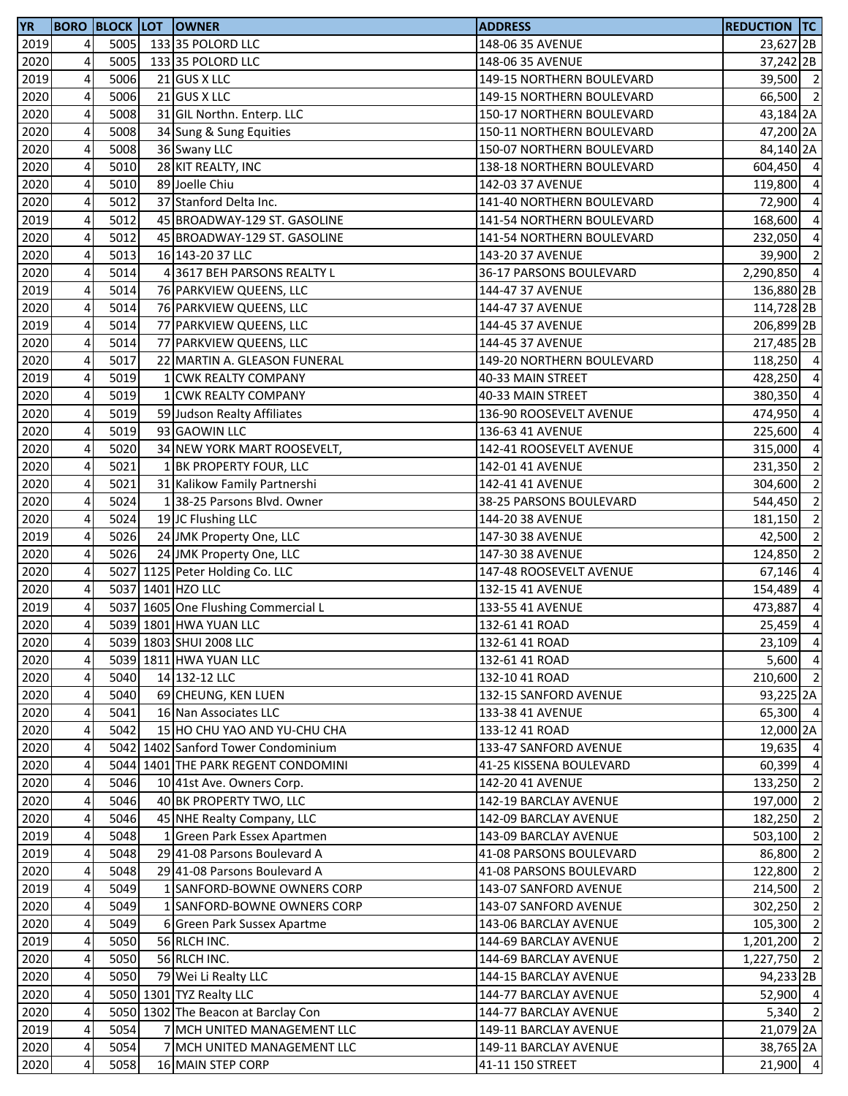| <b>YR</b> |   |      | <b>BORO BLOCK LOT OWNER</b>         | <b>ADDRESS</b>            | <b>REDUCTION TC</b>  |                |
|-----------|---|------|-------------------------------------|---------------------------|----------------------|----------------|
| 2019      | 4 | 5005 | 133 35 POLORD LLC                   | 148-06 35 AVENUE          | 23,627 <sub>2B</sub> |                |
| 2020      | 4 | 5005 | 133 35 POLORD LLC                   | 148-06 35 AVENUE          | 37,242 2B            |                |
| 2019      | 4 | 5006 | 21 GUS X LLC                        | 149-15 NORTHERN BOULEVARD | 39,500 2             |                |
| 2020      | 4 | 5006 | 21 GUS X LLC                        | 149-15 NORTHERN BOULEVARD | 66,500 2             |                |
| 2020      | 4 | 5008 | 31 GIL Northn. Enterp. LLC          | 150-17 NORTHERN BOULEVARD | 43,184 2A            |                |
| 2020      | 4 | 5008 | 34 Sung & Sung Equities             | 150-11 NORTHERN BOULEVARD | 47,200 2A            |                |
| 2020      | 4 | 5008 | 36 Swany LLC                        | 150-07 NORTHERN BOULEVARD | 84,140 2A            |                |
| 2020      | 4 | 5010 | 28 KIT REALTY, INC                  | 138-18 NORTHERN BOULEVARD | 604,450 4            |                |
| 2020      | 4 | 5010 | 89 Joelle Chiu                      | 142-03 37 AVENUE          | 119,800 4            |                |
| 2020      | 4 | 5012 | 37 Stanford Delta Inc.              | 141-40 NORTHERN BOULEVARD | 72,900               | $\overline{4}$ |
| 2019      | 4 | 5012 | 45 BROADWAY-129 ST. GASOLINE        | 141-54 NORTHERN BOULEVARD | 168,600 4            |                |
| 2020      | 4 | 5012 | 45 BROADWAY-129 ST. GASOLINE        | 141-54 NORTHERN BOULEVARD | 232,050              | $\overline{4}$ |
| 2020      | 4 | 5013 | 16 143-20 37 LLC                    | 143-20 37 AVENUE          | 39,900 2             |                |
| 2020      | 4 | 5014 | 43617 BEH PARSONS REALTY L          | 36-17 PARSONS BOULEVARD   | 2,290,850 4          |                |
| 2019      | 4 | 5014 | 76 PARKVIEW QUEENS, LLC             | 144-47 37 AVENUE          | 136,880 2B           |                |
| 2020      | 4 | 5014 | 76 PARKVIEW QUEENS, LLC             | 144-47 37 AVENUE          | 114,728 2B           |                |
| 2019      | 4 | 5014 | 77 PARKVIEW QUEENS, LLC             | 144-45 37 AVENUE          | 206,899 2B           |                |
| 2020      | 4 | 5014 | 77 PARKVIEW QUEENS, LLC             | 144-45 37 AVENUE          | 217,485 2B           |                |
| 2020      | 4 | 5017 | 22 MARTIN A. GLEASON FUNERAL        | 149-20 NORTHERN BOULEVARD | 118,250 4            |                |
| 2019      | 4 | 5019 | 1 CWK REALTY COMPANY                | 40-33 MAIN STREET         | 428,250 4            |                |
| 2020      | 4 | 5019 | 1 CWK REALTY COMPANY                | 40-33 MAIN STREET         | 380,350 4            |                |
| 2020      | 4 | 5019 | 59 Judson Realty Affiliates         | 136-90 ROOSEVELT AVENUE   | 474,950 4            |                |
| 2020      | 4 | 5019 | 93 GAOWIN LLC                       | 136-63 41 AVENUE          | 225,600 4            |                |
| 2020      | 4 | 5020 | 34 NEW YORK MART ROOSEVELT,         | 142-41 ROOSEVELT AVENUE   | 315,000              | $\overline{4}$ |
| 2020      | 4 | 5021 | 1 BK PROPERTY FOUR, LLC             | 142-01 41 AVENUE          | 231,350              | $\overline{2}$ |
| 2020      | 4 | 5021 | 31 Kalikow Family Partnershi        | 142-41 41 AVENUE          | 304,600              | $\overline{2}$ |
| 2020      | 4 | 5024 | 138-25 Parsons Blvd. Owner          | 38-25 PARSONS BOULEVARD   | 544,450              | $\overline{2}$ |
| 2020      | 4 | 5024 | 19 JC Flushing LLC                  | 144-20 38 AVENUE          | 181,150              | $\overline{2}$ |
| 2019      | 4 | 5026 | 24 JMK Property One, LLC            | 147-30 38 AVENUE          | 42,500 2             |                |
| 2020      | 4 | 5026 | 24 JMK Property One, LLC            | 147-30 38 AVENUE          | 124,850              | $\overline{2}$ |
| 2020      | 4 |      | 5027 1125 Peter Holding Co. LLC     | 147-48 ROOSEVELT AVENUE   | 67,146               | $\overline{4}$ |
| 2020      | 4 |      | 5037 1401 HZO LLC                   | 132-15 41 AVENUE          | 154,489              | $\overline{4}$ |
| 2019      | 4 |      | 5037 1605 One Flushing Commercial L | 133-55 41 AVENUE          | 473,887              | $\overline{4}$ |
| 2020      | 4 |      | 5039 1801 HWA YUAN LLC              | 132-61 41 ROAD            | 25,459               | $\overline{4}$ |
| 2020      | 4 |      | 5039 1803 SHUI 2008 LLC             | 132-61 41 ROAD            | 23,109 4             |                |
| 2020      | 4 |      | 5039 1811 HWA YUAN LLC              | 132-61 41 ROAD            | $5,600$ 4            |                |
| 2020      | 4 | 5040 | 14 132-12 LLC                       | 132-10 41 ROAD            | 210,600 2            |                |
| 2020      | 4 | 5040 | 69 CHEUNG, KEN LUEN                 | 132-15 SANFORD AVENUE     | 93,225 2A            |                |
| 2020      | 4 | 5041 | 16 Nan Associates LLC               | 133-38 41 AVENUE          | 65,300 4             |                |
| 2020      | 4 | 5042 | 15 HO CHU YAO AND YU-CHU CHA        | 133-12 41 ROAD            | 12,000 2A            |                |
| 2020      | 4 |      | 5042 1402 Sanford Tower Condominium | 133-47 SANFORD AVENUE     | 19,635               | $\overline{4}$ |
| 2020      | 4 |      | 5044 1401 THE PARK REGENT CONDOMINI | 41-25 KISSENA BOULEVARD   | 60,399 4             |                |
| 2020      | 4 | 5046 | 10 41st Ave. Owners Corp.           | 142-20 41 AVENUE          | 133,250              | $\overline{2}$ |
| 2020      | 4 | 5046 | 40 BK PROPERTY TWO, LLC             | 142-19 BARCLAY AVENUE     | 197,000              | $\overline{2}$ |
| 2020      | 4 | 5046 | 45 NHE Realty Company, LLC          | 142-09 BARCLAY AVENUE     | 182,250              | $\overline{2}$ |
| 2019      | 4 | 5048 | 1 Green Park Essex Apartmen         | 143-09 BARCLAY AVENUE     | 503,100              | $\overline{2}$ |
| 2019      | 4 | 5048 | 29 41-08 Parsons Boulevard A        | 41-08 PARSONS BOULEVARD   | 86,800               | $\overline{2}$ |
| 2020      | 4 | 5048 | 29 41-08 Parsons Boulevard A        | 41-08 PARSONS BOULEVARD   | 122,800              | $\overline{2}$ |
| 2019      | 4 | 5049 | 1 SANFORD-BOWNE OWNERS CORP         | 143-07 SANFORD AVENUE     | 214,500 2            |                |
| 2020      | 4 | 5049 | 1 SANFORD-BOWNE OWNERS CORP         | 143-07 SANFORD AVENUE     | 302,250              | $\overline{2}$ |
| 2020      | 4 | 5049 | 6 Green Park Sussex Apartme         | 143-06 BARCLAY AVENUE     | 105,300              | $\overline{2}$ |
| 2019      | 4 | 5050 | 56 RLCH INC.                        | 144-69 BARCLAY AVENUE     | 1,201,200            | $\overline{2}$ |
| 2020      | 4 | 5050 | 56 RLCH INC.                        | 144-69 BARCLAY AVENUE     | $1,227,750$ 2        |                |
| 2020      | 4 | 5050 | 79 Wei Li Realty LLC                | 144-15 BARCLAY AVENUE     | 94,233 2B            |                |
| 2020      | 4 |      | 5050 1301 TYZ Realty LLC            | 144-77 BARCLAY AVENUE     | 52,900 4             |                |
| 2020      | 4 |      | 5050 1302 The Beacon at Barclay Con | 144-77 BARCLAY AVENUE     | $5,340$ 2            |                |
| 2019      | 4 | 5054 | 7 MCH UNITED MANAGEMENT LLC         | 149-11 BARCLAY AVENUE     | 21,079 2A            |                |
| 2020      | 4 | 5054 | 7 MCH UNITED MANAGEMENT LLC         | 149-11 BARCLAY AVENUE     | 38,765 2A            |                |
| 2020      | 4 | 5058 | 16 MAIN STEP CORP                   | 41-11 150 STREET          | 21,900 4             |                |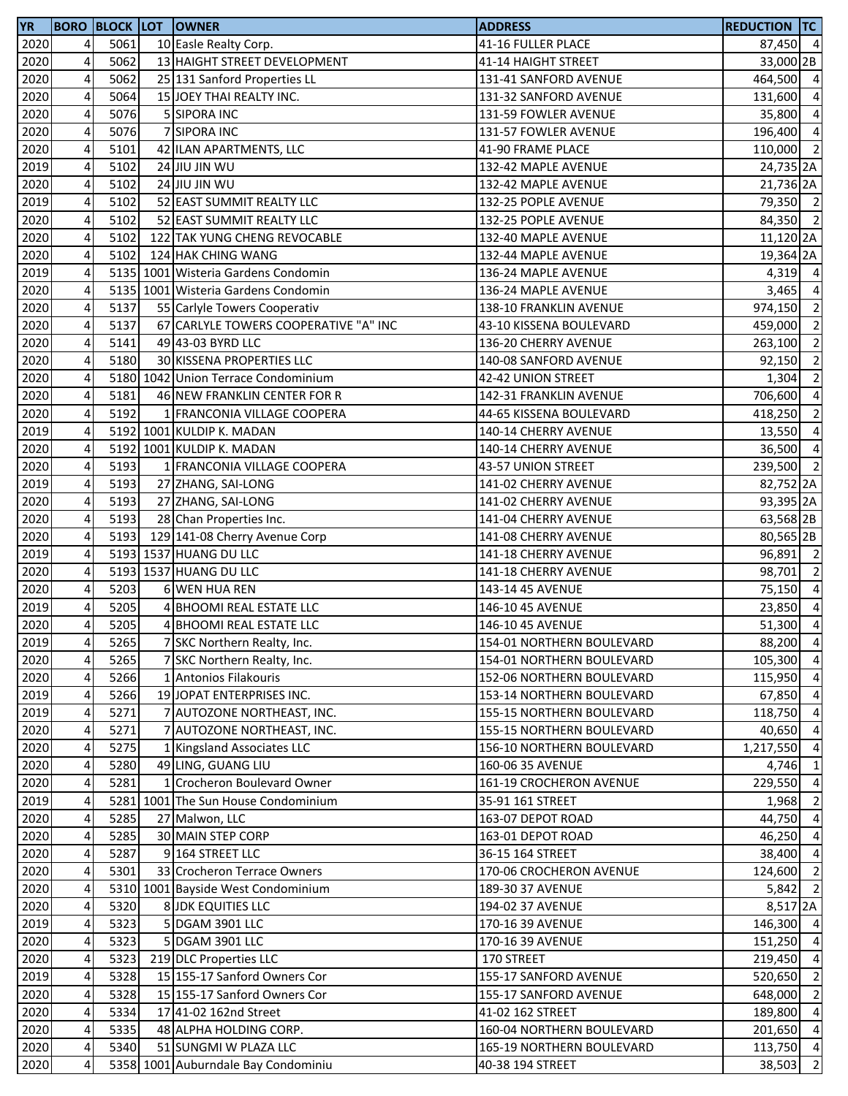| <b>YR</b> |                         |      | <b>BORO BLOCK LOT OWNER</b>           | <b>ADDRESS</b>            | <b>REDUCTION TC</b> |                |
|-----------|-------------------------|------|---------------------------------------|---------------------------|---------------------|----------------|
| 2020      | 4                       | 5061 | 10 Easle Realty Corp.                 | 41-16 FULLER PLACE        | 87,450 4            |                |
| 2020      | 4                       | 5062 | 13 HAIGHT STREET DEVELOPMENT          | 41-14 HAIGHT STREET       | 33,000 2B           |                |
| 2020      | 4                       | 5062 | 25 131 Sanford Properties LL          | 131-41 SANFORD AVENUE     | 464,500 4           |                |
| 2020      | 4                       | 5064 | 15 JOEY THAI REALTY INC.              | 131-32 SANFORD AVENUE     | 131,600             | $\overline{4}$ |
| 2020      | 4                       | 5076 | 5 SIPORA INC                          | 131-59 FOWLER AVENUE      | 35,800 4            |                |
| 2020      | 4                       | 5076 | 7 SIPORA INC                          | 131-57 FOWLER AVENUE      | 196,400 4           |                |
| 2020      | 4                       | 5101 | 42 ILAN APARTMENTS, LLC               | 41-90 FRAME PLACE         | 110,000 2           |                |
| 2019      | 4                       | 5102 | 24 JIU JIN WU                         | 132-42 MAPLE AVENUE       | 24,735 2A           |                |
| 2020      | 4                       | 5102 | 24 JIU JIN WU                         | 132-42 MAPLE AVENUE       | 21,736 2A           |                |
| 2019      | 4                       | 5102 | 52 EAST SUMMIT REALTY LLC             | 132-25 POPLE AVENUE       | 79,350 2            |                |
| 2020      | 4                       | 5102 | 52 EAST SUMMIT REALTY LLC             | 132-25 POPLE AVENUE       | 84,350 2            |                |
| 2020      | 4                       | 5102 | 122 TAK YUNG CHENG REVOCABLE          | 132-40 MAPLE AVENUE       | 11,120 2A           |                |
| 2020      | 4                       | 5102 | 124 HAK CHING WANG                    | 132-44 MAPLE AVENUE       | 19,364 2A           |                |
| 2019      | $\overline{\mathbf{4}}$ |      | 5135 1001 Wisteria Gardens Condomin   | 136-24 MAPLE AVENUE       | $4,319$ 4           |                |
| 2020      | 4                       |      | 5135 1001 Wisteria Gardens Condomin   | 136-24 MAPLE AVENUE       | 3,465               | $\overline{4}$ |
| 2020      | 4                       | 5137 | 55 Carlyle Towers Cooperativ          | 138-10 FRANKLIN AVENUE    | 974,150             | $\overline{2}$ |
| 2020      | 4                       | 5137 | 67 CARLYLE TOWERS COOPERATIVE "A" INC | 43-10 KISSENA BOULEVARD   | 459,000             | $\overline{2}$ |
| 2020      | 4                       | 5141 | 49 43-03 BYRD LLC                     | 136-20 CHERRY AVENUE      | 263,100             | $\overline{2}$ |
| 2020      | 4                       | 5180 | 30 KISSENA PROPERTIES LLC             | 140-08 SANFORD AVENUE     | 92,150              | $\overline{2}$ |
| 2020      | $\overline{4}$          |      | 5180 1042 Union Terrace Condominium   | 42-42 UNION STREET        | 1,304               | $\overline{2}$ |
| 2020      | 4                       | 5181 | 46 NEW FRANKLIN CENTER FOR R          | 142-31 FRANKLIN AVENUE    | 706,600             | $\overline{4}$ |
| 2020      | 4                       | 5192 | 1 FRANCONIA VILLAGE COOPERA           | 44-65 KISSENA BOULEVARD   | 418,250             | $\overline{2}$ |
| 2019      | 4                       |      | 5192 1001 KULDIP K. MADAN             | 140-14 CHERRY AVENUE      | 13,550 4            |                |
| 2020      | 4                       |      | 5192 1001 KULDIP K. MADAN             | 140-14 CHERRY AVENUE      | 36,500 4            |                |
| 2020      | 4                       | 5193 | 1 FRANCONIA VILLAGE COOPERA           | 43-57 UNION STREET        | 239,500             | $\overline{2}$ |
| 2019      | 4                       | 5193 | 27 ZHANG, SAI-LONG                    | 141-02 CHERRY AVENUE      | 82,752 2A           |                |
| 2020      | 4                       | 5193 | 27 ZHANG, SAI-LONG                    | 141-02 CHERRY AVENUE      | 93,395 2A           |                |
| 2020      | 4                       | 5193 | 28 Chan Properties Inc.               | 141-04 CHERRY AVENUE      | 63,568 2B           |                |
| 2020      | $\overline{4}$          | 5193 | 129 141-08 Cherry Avenue Corp         | 141-08 CHERRY AVENUE      | 80,565 2B           |                |
| 2019      | 4                       |      | 5193 1537 HUANG DU LLC                | 141-18 CHERRY AVENUE      | 96,891 2            |                |
| 2020      | 4                       |      | 5193 1537 HUANG DU LLC                | 141-18 CHERRY AVENUE      | 98,701              | $\overline{2}$ |
| 2020      | 4                       | 5203 | 6 WEN HUA REN                         | 143-14 45 AVENUE          | 75,150 4            |                |
| 2019      | 4                       | 5205 | 4 BHOOMI REAL ESTATE LLC              | 146-10 45 AVENUE          | 23,850              | $\overline{4}$ |
| 2020      | 4                       | 5205 | 4 BHOOMI REAL ESTATE LLC              | 146-10 45 AVENUE          | 51,300              | $\overline{4}$ |
| 2019      | 4                       | 5265 | 7 SKC Northern Realty, Inc.           | 154-01 NORTHERN BOULEVARD | 88,200 4            |                |
| 2020      | 4                       | 5265 | 7 SKC Northern Realty, Inc.           | 154-01 NORTHERN BOULEVARD | 105,300             | $\overline{4}$ |
| 2020      | 4                       | 5266 | 1 Antonios Filakouris                 | 152-06 NORTHERN BOULEVARD | 115,950             | $\overline{4}$ |
| 2019      | 4                       | 5266 | 19 JOPAT ENTERPRISES INC.             | 153-14 NORTHERN BOULEVARD | 67,850              | $\overline{4}$ |
| 2019      | $\overline{\mathbf{4}}$ | 5271 | 7 AUTOZONE NORTHEAST, INC.            | 155-15 NORTHERN BOULEVARD | 118,750 4           |                |
| 2020      | 4                       | 5271 | 7 AUTOZONE NORTHEAST, INC.            | 155-15 NORTHERN BOULEVARD | 40,650 4            |                |
| 2020      | 4                       | 5275 | 1 Kingsland Associates LLC            | 156-10 NORTHERN BOULEVARD | 1,217,550 4         |                |
| 2020      | 4                       | 5280 | 49 LING, GUANG LIU                    | 160-06 35 AVENUE          | 4,746 1             |                |
| 2020      | 4                       | 5281 | 1 Crocheron Boulevard Owner           | 161-19 CROCHERON AVENUE   | 229,550             | $\overline{4}$ |
| 2019      | 4                       |      | 5281 1001 The Sun House Condominium   | 35-91 161 STREET          | 1,968               | $\overline{2}$ |
| 2020      | 4                       | 5285 | 27 Malwon, LLC                        | 163-07 DEPOT ROAD         | 44,750 4            |                |
| 2020      | 4                       | 5285 | 30 MAIN STEP CORP                     | 163-01 DEPOT ROAD         | 46,250 4            |                |
| 2020      | 4                       | 5287 | 9 164 STREET LLC                      | 36-15 164 STREET          | 38,400 4            |                |
| 2020      | 4                       | 5301 | 33 Crocheron Terrace Owners           | 170-06 CROCHERON AVENUE   | 124,600 2           |                |
| 2020      | 4                       |      | 5310 1001 Bayside West Condominium    | 189-30 37 AVENUE          | 5,842               | $\overline{2}$ |
| 2020      | 4                       | 5320 | 8 JDK EQUITIES LLC                    | 194-02 37 AVENUE          | 8,517 <sub>2A</sub> |                |
| 2019      | 4                       | 5323 | 5 DGAM 3901 LLC                       | 170-16 39 AVENUE          | 146,300 4           |                |
| 2020      | 4                       | 5323 | 5 DGAM 3901 LLC                       | 170-16 39 AVENUE          | 151,250 4           |                |
| 2020      | 4                       | 5323 | 219 DLC Properties LLC                | 170 STREET                | 219,450 4           |                |
| 2019      | 4                       | 5328 | 15 155-17 Sanford Owners Cor          | 155-17 SANFORD AVENUE     | 520,650             | $\overline{2}$ |
| 2020      | 4                       | 5328 | 15 155-17 Sanford Owners Cor          | 155-17 SANFORD AVENUE     | 648,000 2           |                |
| 2020      | 4                       | 5334 | 17 41-02 162nd Street                 | 41-02 162 STREET          | 189,800 4           |                |
| 2020      | 4                       | 5335 | 48 ALPHA HOLDING CORP.                | 160-04 NORTHERN BOULEVARD | 201,650 4           |                |
| 2020      | 4                       | 5340 | 51 SUNGMI W PLAZA LLC                 | 165-19 NORTHERN BOULEVARD | 113,750 4           |                |
| 2020      | 4                       |      | 5358 1001 Auburndale Bay Condominiu   | 40-38 194 STREET          | 38,503              | $\overline{2}$ |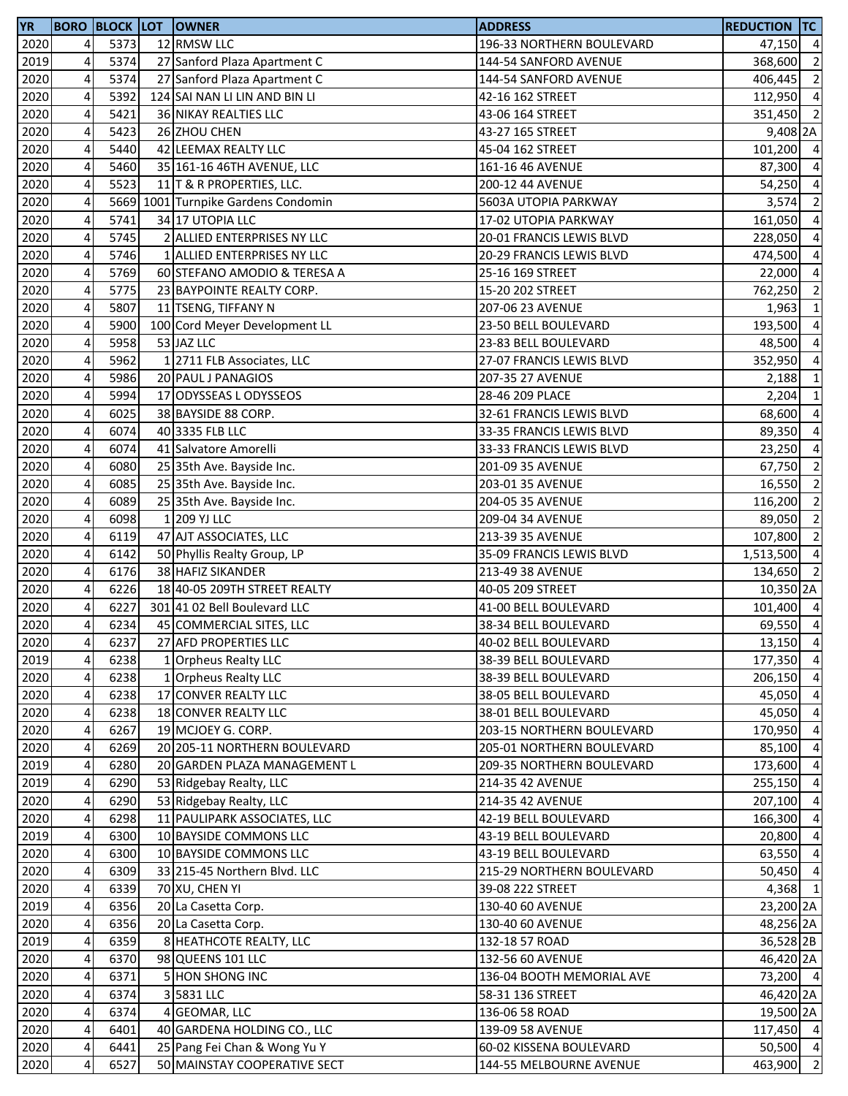| <b>YR</b> |                         |      | <b>BORO BLOCK LOT OWNER</b>         | <b>ADDRESS</b>            | <b>REDUCTION TC</b> |                                            |
|-----------|-------------------------|------|-------------------------------------|---------------------------|---------------------|--------------------------------------------|
| 2020      | $\overline{4}$          | 5373 | 12 RMSW LLC                         | 196-33 NORTHERN BOULEVARD | 47,150 4            |                                            |
| 2019      | 4                       | 5374 | 27 Sanford Plaza Apartment C        | 144-54 SANFORD AVENUE     | 368,600             | $\overline{2}$                             |
| 2020      | $\overline{\mathbf{4}}$ | 5374 | 27 Sanford Plaza Apartment C        | 144-54 SANFORD AVENUE     | 406,445             | $\overline{2}$                             |
| 2020      | 4                       | 5392 | 124 SAI NAN LI LIN AND BIN LI       | 42-16 162 STREET          | 112,950             | $\overline{4}$                             |
| 2020      | 4                       | 5421 | 36 NIKAY REALTIES LLC               | 43-06 164 STREET          | 351,450 2           |                                            |
| 2020      | 4                       | 5423 | 26 ZHOU CHEN                        | 43-27 165 STREET          | 9,408 2A            |                                            |
| 2020      | 4                       | 5440 | 42 LEEMAX REALTY LLC                | 45-04 162 STREET          | 101,200             | $\overline{4}$                             |
| 2020      | 4                       | 5460 | 35 161-16 46TH AVENUE, LLC          | 161-16 46 AVENUE          | 87,300              | $\overline{4}$                             |
| 2020      | 4                       | 5523 | 11 T & R PROPERTIES, LLC.           | 200-12 44 AVENUE          | 54,250              | $\overline{4}$                             |
| 2020      | 4                       |      | 5669 1001 Turnpike Gardens Condomin | 5603A UTOPIA PARKWAY      | 3,574               | $\overline{2}$                             |
| 2020      | 4                       | 5741 | 34 17 UTOPIA LLC                    | 17-02 UTOPIA PARKWAY      | 161,050             | $\overline{4}$                             |
| 2020      | $\overline{\mathbf{4}}$ | 5745 | 2 ALLIED ENTERPRISES NY LLC         | 20-01 FRANCIS LEWIS BLVD  | 228,050             | $\overline{4}$                             |
| 2020      | 4                       | 5746 | 1 ALLIED ENTERPRISES NY LLC         | 20-29 FRANCIS LEWIS BLVD  | 474,500             | $\overline{4}$                             |
| 2020      | $\overline{\mathbf{4}}$ | 5769 | 60 STEFANO AMODIO & TERESA A        |                           | 22,000 4            |                                            |
|           | $\overline{\mathbf{4}}$ | 5775 |                                     | 25-16 169 STREET          |                     |                                            |
| 2020      |                         |      | 23 BAYPOINTE REALTY CORP.           | 15-20 202 STREET          | 762,250             | $\overline{\phantom{a}}$<br>$\overline{1}$ |
| 2020      | $\pmb{4}$               | 5807 | 11 TSENG, TIFFANY N                 | 207-06 23 AVENUE          | 1,963               |                                            |
| 2020      | 4                       | 5900 | 100 Cord Meyer Development LL       | 23-50 BELL BOULEVARD      | 193,500             | $\overline{a}$                             |
| 2020      | 4                       | 5958 | 53 JAZ LLC                          | 23-83 BELL BOULEVARD      | 48,500              | $\overline{4}$                             |
| 2020      | 4                       | 5962 | 1 2711 FLB Associates, LLC          | 27-07 FRANCIS LEWIS BLVD  | 352,950             | $\overline{a}$                             |
| 2020      | $\overline{\mathbf{4}}$ | 5986 | 20 PAUL J PANAGIOS                  | 207-35 27 AVENUE          | 2,188               | $\mathbf{1}$                               |
| 2020      | 4                       | 5994 | 17 ODYSSEAS L ODYSSEOS              | 28-46 209 PLACE           | 2,204               | $\mathbf{1}$                               |
| 2020      | 4                       | 6025 | 38 BAYSIDE 88 CORP.                 | 32-61 FRANCIS LEWIS BLVD  | 68,600 4            |                                            |
| 2020      | 4                       | 6074 | 40 3335 FLB LLC                     | 33-35 FRANCIS LEWIS BLVD  | 89,350              | $\overline{4}$                             |
| 2020      | 4                       | 6074 | 41 Salvatore Amorelli               | 33-33 FRANCIS LEWIS BLVD  | 23,250              | $\overline{4}$                             |
| 2020      | 4                       | 6080 | 25 35th Ave. Bayside Inc.           | 201-09 35 AVENUE          | 67,750              | $\overline{2}$                             |
| 2020      | 4                       | 6085 | 25 35th Ave. Bayside Inc.           | 203-01 35 AVENUE          | 16,550              | $\overline{2}$                             |
| 2020      | 4                       | 6089 | 25 35th Ave. Bayside Inc.           | 204-05 35 AVENUE          | 116,200             | $\overline{2}$                             |
| 2020      | $\pmb{4}$               | 6098 | 1 209 YJ LLC                        | 209-04 34 AVENUE          | 89,050              | $\overline{2}$                             |
| 2020      | 4                       | 6119 | 47 AJT ASSOCIATES, LLC              | 213-39 35 AVENUE          | 107,800             | $\overline{2}$                             |
| 2020      | $\pmb{4}$               | 6142 | 50 Phyllis Realty Group, LP         | 35-09 FRANCIS LEWIS BLVD  | 1,513,500 4         |                                            |
| 2020      | $\overline{\mathbf{4}}$ | 6176 | 38 HAFIZ SIKANDER                   | 213-49 38 AVENUE          | 134,650             | $\overline{2}$                             |
| 2020      | $\pmb{4}$               | 6226 | 18 40-05 209TH STREET REALTY        | 40-05 209 STREET          | 10,350 2A           |                                            |
| 2020      | 4                       | 6227 | 301 41 02 Bell Boulevard LLC        | 41-00 BELL BOULEVARD      | 101,400 4           |                                            |
| 2020      | 4                       | 6234 | 45 COMMERCIAL SITES, LLC            | 38-34 BELL BOULEVARD      | 69,550 4            |                                            |
| 2020      | 41                      | 6237 | 27 AFD PROPERTIES LLC               | 40-02 BELL BOULEVARD      | 13,150 4            |                                            |
| 2019      | 4                       | 6238 | 1 Orpheus Realty LLC                | 38-39 BELL BOULEVARD      | 177,350 4           |                                            |
| 2020      | $\overline{\mathbf{4}}$ | 6238 | 1 Orpheus Realty LLC                | 38-39 BELL BOULEVARD      | 206,150             | $\overline{4}$                             |
| 2020      | 4                       | 6238 | 17 CONVER REALTY LLC                | 38-05 BELL BOULEVARD      | 45,050              | $\overline{4}$                             |
| 2020      | 4                       | 6238 | 18 CONVER REALTY LLC                | 38-01 BELL BOULEVARD      | 45,050 4            |                                            |
| 2020      | 4                       | 6267 | 19 MCJOEY G. CORP.                  | 203-15 NORTHERN BOULEVARD | 170,950             | $\overline{4}$                             |
| 2020      | 4                       | 6269 | 20 205-11 NORTHERN BOULEVARD        | 205-01 NORTHERN BOULEVARD | 85,100              | $\overline{4}$                             |
| 2019      | 4                       | 6280 |                                     |                           | 173,600             | $\overline{4}$                             |
|           |                         |      | 20 GARDEN PLAZA MANAGEMENT L        | 209-35 NORTHERN BOULEVARD |                     |                                            |
| 2019      | 4                       | 6290 | 53 Ridgebay Realty, LLC             | 214-35 42 AVENUE          | 255,150             | $\overline{4}$                             |
| 2020      | 4                       | 6290 | 53 Ridgebay Realty, LLC             | 214-35 42 AVENUE          | 207,100             | $\overline{4}$                             |
| 2020      | 4                       | 6298 | 11 PAULIPARK ASSOCIATES, LLC        | 42-19 BELL BOULEVARD      | 166,300             | $\overline{4}$                             |
| 2019      | 4                       | 6300 | 10 BAYSIDE COMMONS LLC              | 43-19 BELL BOULEVARD      | 20,800              | $\overline{4}$                             |
| 2020      | 4                       | 6300 | 10 BAYSIDE COMMONS LLC              | 43-19 BELL BOULEVARD      | 63,550 4            |                                            |
| 2020      | $\overline{a}$          | 6309 | 33 215-45 Northern Blvd. LLC        | 215-29 NORTHERN BOULEVARD | 50,450 4            |                                            |
| 2020      | 4                       | 6339 | 70 XU, CHEN YI                      | 39-08 222 STREET          | 4,368 1             |                                            |
| 2019      | 4                       | 6356 | 20 La Casetta Corp.                 | 130-40 60 AVENUE          | 23,200 2A           |                                            |
| 2020      | 4                       | 6356 | 20 La Casetta Corp.                 | 130-40 60 AVENUE          | 48,256 2A           |                                            |
| 2019      | 4                       | 6359 | 8 HEATHCOTE REALTY, LLC             | 132-18 57 ROAD            | 36,528 2B           |                                            |
| 2020      | 4                       | 6370 | 98 QUEENS 101 LLC                   | 132-56 60 AVENUE          | 46,420 2A           |                                            |
| 2020      | 4                       | 6371 | <b>5 HON SHONG INC</b>              | 136-04 BOOTH MEMORIAL AVE | 73,200 4            |                                            |
| 2020      | $\overline{\mathbf{r}}$ | 6374 | 3 5831 LLC                          | 58-31 136 STREET          | 46,420 2A           |                                            |
| 2020      | $\overline{4}$          | 6374 | 4 GEOMAR, LLC                       | 136-06 58 ROAD            | 19,500 2A           |                                            |
| 2020      | 4                       | 6401 | 40 GARDENA HOLDING CO., LLC         | 139-09 58 AVENUE          | 117,450 4           |                                            |
| 2020      | $\pmb{4}$               | 6441 | 25 Pang Fei Chan & Wong Yu Y        | 60-02 KISSENA BOULEVARD   | 50,500 4            |                                            |
| 2020      | 4                       | 6527 | 50 MAINSTAY COOPERATIVE SECT        | 144-55 MELBOURNE AVENUE   | 463,900 2           |                                            |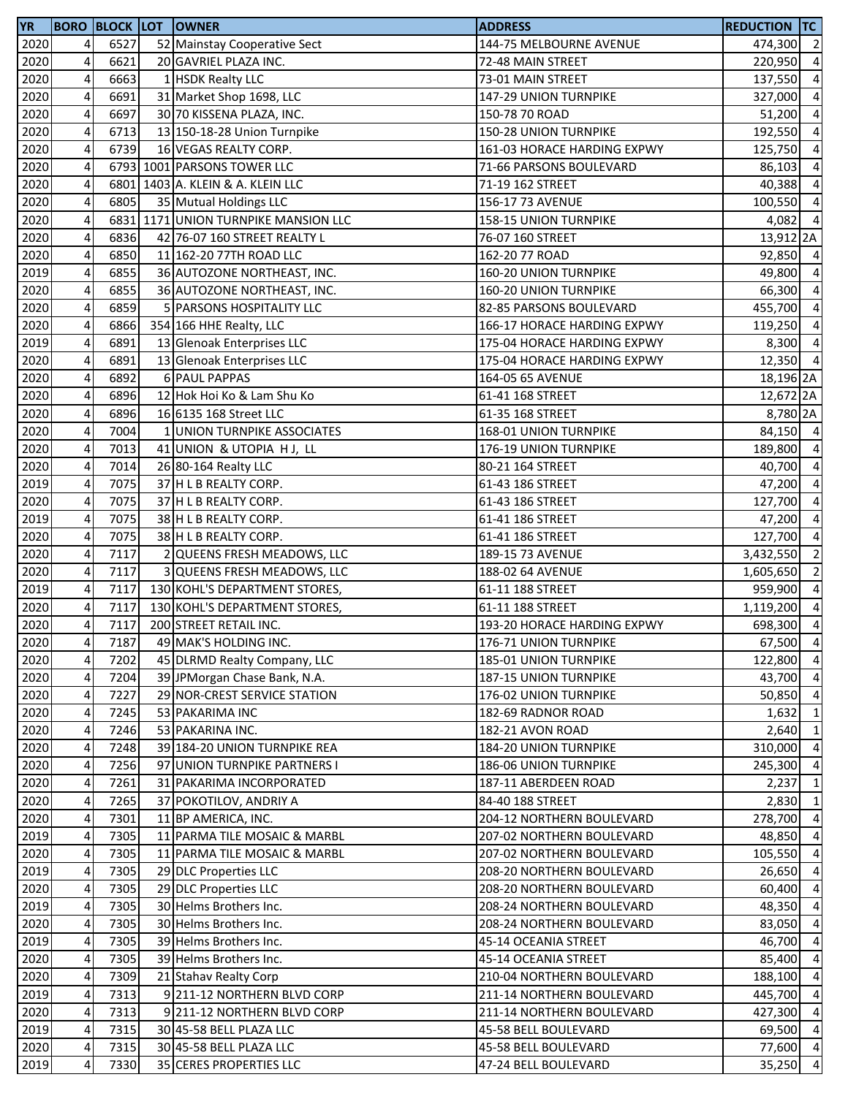| <b>YR</b> |                         |      | <b>BORO BLOCK LOT OWNER</b>          | <b>ADDRESS</b>               | <b>REDUCTION TC</b> |                                  |
|-----------|-------------------------|------|--------------------------------------|------------------------------|---------------------|----------------------------------|
| 2020      | 4                       | 6527 | 52 Mainstay Cooperative Sect         | 144-75 MELBOURNE AVENUE      | 474,300 2           |                                  |
| 2020      | 4                       | 6621 | 20 GAVRIEL PLAZA INC.                | 72-48 MAIN STREET            | 220,950             | $\overline{4}$                   |
| 2020      | $\overline{\mathbf{4}}$ | 6663 | 1 HSDK Realty LLC                    | 73-01 MAIN STREET            | 137,550             | $\overline{4}$                   |
| 2020      | $\overline{\mathbf{4}}$ | 6691 | 31 Market Shop 1698, LLC             | 147-29 UNION TURNPIKE        | 327,000             | $\overline{4}$                   |
| 2020      | $\overline{\mathbf{4}}$ | 6697 | 30 70 KISSENA PLAZA, INC.            | 150-78 70 ROAD               | 51,200 4            |                                  |
| 2020      | $\overline{4}$          | 6713 | 13 150-18-28 Union Turnpike          | 150-28 UNION TURNPIKE        | 192,550             | $\overline{4}$                   |
| 2020      | 4                       | 6739 | 16 VEGAS REALTY CORP.                | 161-03 HORACE HARDING EXPWY  | 125,750             | $\overline{4}$                   |
| 2020      | 4                       |      | 6793 1001 PARSONS TOWER LLC          | 71-66 PARSONS BOULEVARD      | 86,103              | $\overline{4}$                   |
| 2020      | 4                       |      | 6801 1403 A. KLEIN & A. KLEIN LLC    | 71-19 162 STREET             | 40,388              | $\overline{4}$                   |
| 2020      | 4                       | 6805 | 35 Mutual Holdings LLC               | 156-17 73 AVENUE             | 100,550             | $\overline{4}$                   |
| 2020      | 4                       |      | 6831 1171 UNION TURNPIKE MANSION LLC | 158-15 UNION TURNPIKE        | 4,082               | $\overline{4}$                   |
| 2020      | 4                       | 6836 | 42 76-07 160 STREET REALTY L         | 76-07 160 STREET             | 13,912 2A           |                                  |
| 2020      | 4                       | 6850 | 11 162-20 77TH ROAD LLC              | 162-20 77 ROAD               | 92,850 4            |                                  |
| 2019      | 4                       | 6855 | 36 AUTOZONE NORTHEAST, INC.          | 160-20 UNION TURNPIKE        | 49,800 4            |                                  |
| 2020      | 4                       | 6855 | 36 AUTOZONE NORTHEAST, INC.          | 160-20 UNION TURNPIKE        | 66,300 4            |                                  |
| 2020      | 4                       | 6859 | 5 PARSONS HOSPITALITY LLC            | 82-85 PARSONS BOULEVARD      | 455,700             | $\overline{4}$                   |
| 2020      | 4                       | 6866 | 354 166 HHE Realty, LLC              | 166-17 HORACE HARDING EXPWY  | 119,250             | $\overline{4}$                   |
| 2019      | 4                       | 6891 | 13 Glenoak Enterprises LLC           | 175-04 HORACE HARDING EXPWY  | 8,300               | $\overline{4}$                   |
| 2020      | 4                       | 6891 | 13 Glenoak Enterprises LLC           | 175-04 HORACE HARDING EXPWY  | 12,350 4            |                                  |
| 2020      | 4                       | 6892 | 6 PAUL PAPPAS                        | 164-05 65 AVENUE             | 18,196 2A           |                                  |
| 2020      | 4                       | 6896 | 12 Hok Hoi Ko & Lam Shu Ko           | 61-41 168 STREET             | 12,672 2A           |                                  |
| 2020      | $\overline{\mathbf{4}}$ | 6896 | 16 6135 168 Street LLC               | 61-35 168 STREET             | 8,780 2A            |                                  |
| 2020      | 4                       | 7004 | 1 UNION TURNPIKE ASSOCIATES          | 168-01 UNION TURNPIKE        | 84,150 4            |                                  |
| 2020      | 4                       | 7013 | 41 UNION & UTOPIA HJ, LL             | 176-19 UNION TURNPIKE        | 189,800             | $\overline{4}$                   |
| 2020      | 4                       | 7014 |                                      |                              | 40,700              | $\overline{4}$                   |
| 2019      | 4                       | 7075 | 26 80-164 Realty LLC                 | 80-21 164 STREET             |                     | $\overline{a}$                   |
|           | $\overline{4}$          | 7075 | 37 H L B REALTY CORP.                | 61-43 186 STREET             | 47,200              |                                  |
| 2020      | $\overline{\mathbf{4}}$ | 7075 | 37 H L B REALTY CORP.                | 61-43 186 STREET             | 127,700             | $\overline{4}$<br>$\overline{4}$ |
| 2019      |                         |      | 38 H L B REALTY CORP.                | 61-41 186 STREET             | 47,200              |                                  |
| 2020      | $\pmb{4}$               | 7075 | 38 H L B REALTY CORP.                | 61-41 186 STREET             | 127,700 4           |                                  |
| 2020      | $\overline{\mathbf{4}}$ | 7117 | 2 QUEENS FRESH MEADOWS, LLC          | 189-15 73 AVENUE             | 3,432,550 2         |                                  |
| 2020      | $\overline{4}$          | 7117 | 3 QUEENS FRESH MEADOWS, LLC          | 188-02 64 AVENUE             | 1,605,650           | $\overline{2}$                   |
| 2019      | $\overline{\mathbf{4}}$ | 7117 | 130 KOHL'S DEPARTMENT STORES,        | 61-11 188 STREET             | 959,900 4           |                                  |
| 2020      | 4                       | 7117 | 130 KOHL'S DEPARTMENT STORES,        | 61-11 188 STREET             | 1,119,200           | $\overline{4}$                   |
| 2020      | 4                       | 7117 | 200 STREET RETAIL INC.               | 193-20 HORACE HARDING EXPWY  | 698,300             | $\overline{4}$                   |
| 2020      | $\overline{4}$          | 7187 | 49 MAK'S HOLDING INC.                | 176-71 UNION TURNPIKE        | 67,500 4            |                                  |
| 2020      | 4                       | 7202 | 45 DLRMD Realty Company, LLC         | 185-01 UNION TURNPIKE        | 122,800 4           |                                  |
| 2020      | 4                       | 7204 | 39 JPMorgan Chase Bank, N.A.         | 187-15 UNION TURNPIKE        | 43,700              | $\overline{4}$                   |
| 2020      | 4                       | 7227 | 29 NOR-CREST SERVICE STATION         | 176-02 UNION TURNPIKE        | 50,850 4            |                                  |
| 2020      | 4                       | 7245 | 53 PAKARIMA INC                      | 182-69 RADNOR ROAD           | 1,632               | $\mathbf{1}$                     |
| 2020      | 4                       | 7246 | 53 PAKARINA INC.                     | 182-21 AVON ROAD             | $2,640$ 1           |                                  |
| 2020      | 4                       | 7248 | 39 184-20 UNION TURNPIKE REA         | 184-20 UNION TURNPIKE        | 310,000             | $\overline{4}$                   |
| 2020      | 4                       | 7256 | 97 UNION TURNPIKE PARTNERS I         | <b>186-06 UNION TURNPIKE</b> | 245,300             | $\overline{4}$                   |
| 2020      | 4                       | 7261 | 31 PAKARIMA INCORPORATED             | 187-11 ABERDEEN ROAD         | 2,237               | $\mathbf{1}$                     |
| 2020      | 4                       | 7265 | 37 POKOTILOV, ANDRIY A               | 84-40 188 STREET             | 2,830               | $\overline{1}$                   |
| 2020      | 4                       | 7301 | 11 BP AMERICA, INC.                  | 204-12 NORTHERN BOULEVARD    | 278,700             | $\overline{4}$                   |
| 2019      | 4                       | 7305 | 11 PARMA TILE MOSAIC & MARBL         | 207-02 NORTHERN BOULEVARD    | 48,850              | $\overline{4}$                   |
| 2020      | 4                       | 7305 | 11 PARMA TILE MOSAIC & MARBL         | 207-02 NORTHERN BOULEVARD    | 105,550 4           |                                  |
| 2019      | 4                       | 7305 | 29 DLC Properties LLC                | 208-20 NORTHERN BOULEVARD    | 26,650              | $\overline{4}$                   |
| 2020      | 4                       | 7305 | 29 DLC Properties LLC                | 208-20 NORTHERN BOULEVARD    | 60,400 4            |                                  |
| 2019      | 4                       | 7305 | 30 Helms Brothers Inc.               | 208-24 NORTHERN BOULEVARD    | 48,350 4            |                                  |
| 2020      | 4                       | 7305 | 30 Helms Brothers Inc.               | 208-24 NORTHERN BOULEVARD    | 83,050              | $\overline{4}$                   |
| 2019      | 4                       | 7305 | 39 Helms Brothers Inc.               | 45-14 OCEANIA STREET         | 46,700              | $\overline{4}$                   |
| 2020      | 4                       | 7305 | 39 Helms Brothers Inc.               | 45-14 OCEANIA STREET         | 85,400              | $\overline{4}$                   |
| 2020      | 4                       | 7309 | 21 Stahav Realty Corp                | 210-04 NORTHERN BOULEVARD    | 188,100 4           |                                  |
| 2019      | 4                       | 7313 | 9211-12 NORTHERN BLVD CORP           | 211-14 NORTHERN BOULEVARD    | 445,700 4           |                                  |
| 2020      | 4                       | 7313 | 9 211-12 NORTHERN BLVD CORP          | 211-14 NORTHERN BOULEVARD    | 427,300 4           |                                  |
| 2019      | 4                       | 7315 | 30 45-58 BELL PLAZA LLC              | 45-58 BELL BOULEVARD         | 69,500 4            |                                  |
| 2020      | 4                       | 7315 | 30 45-58 BELL PLAZA LLC              | 45-58 BELL BOULEVARD         | 77,600 4            |                                  |
| 2019      | 4                       | 7330 | 35 CERES PROPERTIES LLC              | 47-24 BELL BOULEVARD         | 35,250 4            |                                  |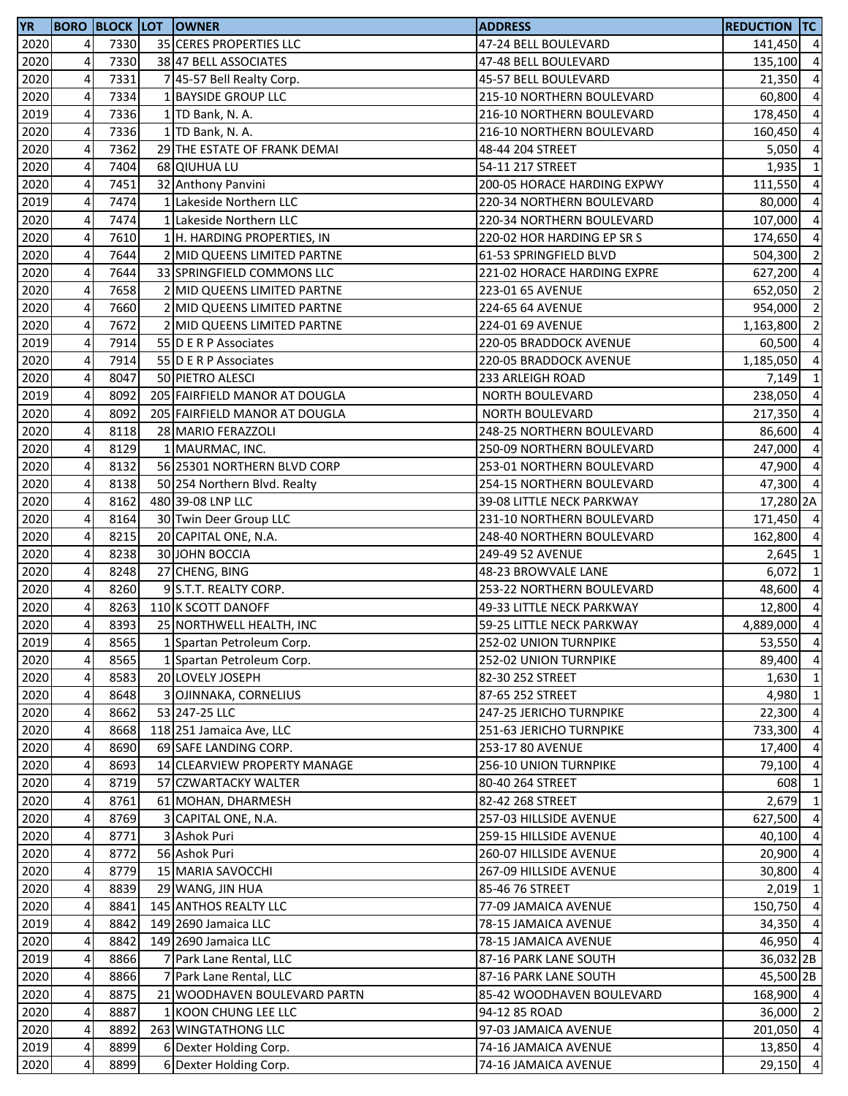| <b>YR</b> |                         |      | <b>BORO BLOCK LOT OWNER</b>   | <b>ADDRESS</b>              | <b>REDUCTION TC</b> |                |
|-----------|-------------------------|------|-------------------------------|-----------------------------|---------------------|----------------|
| 2020      | 4                       | 7330 | 35 CERES PROPERTIES LLC       | 47-24 BELL BOULEVARD        | 141,450 4           |                |
| 2020      | 4                       | 7330 | 38 47 BELL ASSOCIATES         | 47-48 BELL BOULEVARD        | 135,100             | $\overline{4}$ |
| 2020      | 4                       | 7331 | 7 45-57 Bell Realty Corp.     | 45-57 BELL BOULEVARD        | 21,350              | $\overline{4}$ |
| 2020      | 4                       | 7334 | 1 BAYSIDE GROUP LLC           | 215-10 NORTHERN BOULEVARD   | 60,800              | $\overline{4}$ |
| 2019      | 4                       | 7336 | 1 TD Bank, N. A.              | 216-10 NORTHERN BOULEVARD   | 178,450             | $\overline{4}$ |
| 2020      | 4                       | 7336 | 1 TD Bank, N. A.              | 216-10 NORTHERN BOULEVARD   | 160,450             | $\overline{4}$ |
| 2020      | 4                       | 7362 | 29 THE ESTATE OF FRANK DEMAI  | 48-44 204 STREET            | 5,050               | $\overline{4}$ |
| 2020      | 4                       | 7404 | 68 QIUHUA LU                  | 54-11 217 STREET            | 1,935               | $\mathbf{1}$   |
| 2020      | 4                       | 7451 | 32 Anthony Panvini            | 200-05 HORACE HARDING EXPWY | 111,550             | $\overline{4}$ |
| 2019      | 4                       | 7474 | 1 Lakeside Northern LLC       | 220-34 NORTHERN BOULEVARD   | 80,000              | $\overline{4}$ |
| 2020      | 4                       | 7474 | 1 Lakeside Northern LLC       | 220-34 NORTHERN BOULEVARD   | 107,000             | $\overline{4}$ |
| 2020      | $\overline{\mathbf{4}}$ | 7610 | 1 H. HARDING PROPERTIES, IN   | 220-02 HOR HARDING EP SR S  | 174,650             | $\overline{a}$ |
| 2020      | 4                       | 7644 | 2 MID QUEENS LIMITED PARTNE   | 61-53 SPRINGFIELD BLVD      | 504,300             | $\overline{2}$ |
| 2020      | $\overline{\mathbf{4}}$ | 7644 | 33 SPRINGFIELD COMMONS LLC    | 221-02 HORACE HARDING EXPRE | 627,200             | $\overline{4}$ |
| 2020      | 4                       | 7658 | 2 MID QUEENS LIMITED PARTNE   | 223-01 65 AVENUE            | 652,050             | $\overline{2}$ |
| 2020      | 4                       | 7660 | 2 MID QUEENS LIMITED PARTNE   | 224-65 64 AVENUE            | 954,000             | $\overline{2}$ |
| 2020      | 4                       | 7672 | 2 MID QUEENS LIMITED PARTNE   | 224-01 69 AVENUE            | 1,163,800           | $\overline{2}$ |
| 2019      | $\overline{\mathbf{4}}$ | 7914 | 55 D E R P Associates         | 220-05 BRADDOCK AVENUE      | 60,500              | $\overline{4}$ |
| 2020      | $\overline{4}$          | 7914 | 55 D E R P Associates         | 220-05 BRADDOCK AVENUE      | 1,185,050           | $\overline{4}$ |
| 2020      | $\overline{\mathbf{4}}$ | 8047 | 50 PIETRO ALESCI              | 233 ARLEIGH ROAD            | 7,149               | $\overline{1}$ |
| 2019      | $\overline{4}$          | 8092 | 205 FAIRFIELD MANOR AT DOUGLA | NORTH BOULEVARD             | 238,050             | $\overline{4}$ |
| 2020      | 4                       | 8092 | 205 FAIRFIELD MANOR AT DOUGLA | <b>NORTH BOULEVARD</b>      | 217,350 4           |                |
| 2020      | 4                       | 8118 | 28 MARIO FERAZZOLI            | 248-25 NORTHERN BOULEVARD   | 86,600              | $\overline{4}$ |
| 2020      | 4                       | 8129 | 1 MAURMAC, INC.               | 250-09 NORTHERN BOULEVARD   | 247,000             | $\overline{4}$ |
| 2020      | 4                       | 8132 | 56 25301 NORTHERN BLVD CORP   |                             |                     | $\overline{4}$ |
|           | 4                       | 8138 |                               | 253-01 NORTHERN BOULEVARD   | 47,900              | $\overline{4}$ |
| 2020      |                         | 8162 | 50 254 Northern Blvd. Realty  | 254-15 NORTHERN BOULEVARD   | 47,300              |                |
| 2020      | 4                       |      | 480 39-08 LNP LLC             | 39-08 LITTLE NECK PARKWAY   | 17,280 2A           |                |
| 2020      | 4                       | 8164 | 30 Twin Deer Group LLC        | 231-10 NORTHERN BOULEVARD   | 171,450 4           |                |
| 2020      | 4                       | 8215 | 20 CAPITAL ONE, N.A.          | 248-40 NORTHERN BOULEVARD   | 162,800             | $\overline{a}$ |
| 2020      | 4                       | 8238 | 30 JOHN BOCCIA                | 249-49 52 AVENUE            | 2,645               | $\mathbf{1}$   |
| 2020      | 4                       | 8248 | 27 CHENG, BING                | 48-23 BROWVALE LANE         | 6,072               | $\mathbf{1}$   |
| 2020      | 4                       | 8260 | 9 S.T.T. REALTY CORP.         | 253-22 NORTHERN BOULEVARD   | 48,600              | $\overline{4}$ |
| 2020      | 4                       | 8263 | 110 K SCOTT DANOFF            | 49-33 LITTLE NECK PARKWAY   | 12,800              | $\overline{4}$ |
| 2020      | 4                       | 8393 | 25 NORTHWELL HEALTH, INC      | 59-25 LITTLE NECK PARKWAY   | 4,889,000           | $\overline{4}$ |
| 2019      | 4                       | 8565 | 1 Spartan Petroleum Corp.     | 252-02 UNION TURNPIKE       | 53,550 4            |                |
| 2020      | 4                       | 8565 | 1 Spartan Petroleum Corp.     | 252-02 UNION TURNPIKE       | 89,400              | $\overline{4}$ |
| 2020      | 4                       | 8583 | 20 LOVELY JOSEPH              | 82-30 252 STREET            | 1,630               | $\overline{1}$ |
| 2020      | 4                       | 8648 | 3 OJINNAKA, CORNELIUS         | 87-65 252 STREET            | 4,980 1             |                |
| 2020      | 4                       | 8662 | 53 247-25 LLC                 | 247-25 JERICHO TURNPIKE     | 22,300 4            |                |
| 2020      | 4                       | 8668 | 118 251 Jamaica Ave, LLC      | 251-63 JERICHO TURNPIKE     | 733,300             | $\overline{4}$ |
| 2020      | 4                       | 8690 | 69 SAFE LANDING CORP.         | 253-17 80 AVENUE            | 17,400              | $\overline{4}$ |
| 2020      | 4                       | 8693 | 14 CLEARVIEW PROPERTY MANAGE  | 256-10 UNION TURNPIKE       | 79,100              | $\overline{4}$ |
| 2020      | 4                       | 8719 | 57 CZWARTACKY WALTER          | 80-40 264 STREET            | 608                 | $\mathbf{1}$   |
| 2020      | 4                       | 8761 | 61 MOHAN, DHARMESH            | 82-42 268 STREET            | 2,679               | $\mathbf{1}$   |
| 2020      | 4                       | 8769 | 3 CAPITAL ONE, N.A.           | 257-03 HILLSIDE AVENUE      | 627,500             | $\overline{4}$ |
| 2020      | 4                       | 8771 | 3 Ashok Puri                  | 259-15 HILLSIDE AVENUE      | 40,100              | $\overline{4}$ |
| 2020      | 4                       | 8772 | 56 Ashok Puri                 | 260-07 HILLSIDE AVENUE      | 20,900 4            |                |
| 2020      | 4                       | 8779 | 15 MARIA SAVOCCHI             | 267-09 HILLSIDE AVENUE      | 30,800 4            |                |
| 2020      | 4                       | 8839 | 29 WANG, JIN HUA              | 85-46 76 STREET             | $2,019$ 1           |                |
| 2020      | 4                       | 8841 | 145 ANTHOS REALTY LLC         | 77-09 JAMAICA AVENUE        | 150,750             | $\overline{4}$ |
| 2019      | 4                       | 8842 | 149 2690 Jamaica LLC          | 78-15 JAMAICA AVENUE        | 34,350 4            |                |
| 2020      | 4                       | 8842 | 149 2690 Jamaica LLC          | 78-15 JAMAICA AVENUE        | 46,950 4            |                |
| 2019      | 4                       | 8866 | 7 Park Lane Rental, LLC       | 87-16 PARK LANE SOUTH       | 36,032 2B           |                |
| 2020      | 4                       | 8866 | 7 Park Lane Rental, LLC       | 87-16 PARK LANE SOUTH       | 45,500 2B           |                |
| 2020      | 4                       | 8875 | 21 WOODHAVEN BOULEVARD PARTN  | 85-42 WOODHAVEN BOULEVARD   | 168,900 4           |                |
| 2020      | 4                       | 8887 | 1 KOON CHUNG LEE LLC          | 94-12 85 ROAD               | 36,000 2            |                |
| 2020      | 4                       | 8892 | 263 WINGTATHONG LLC           | 97-03 JAMAICA AVENUE        | 201,050 4           |                |
| 2019      | 4                       | 8899 | 6 Dexter Holding Corp.        | 74-16 JAMAICA AVENUE        | 13,850 4            |                |
| 2020      | 4                       | 8899 | 6 Dexter Holding Corp.        | 74-16 JAMAICA AVENUE        | 29,150 4            |                |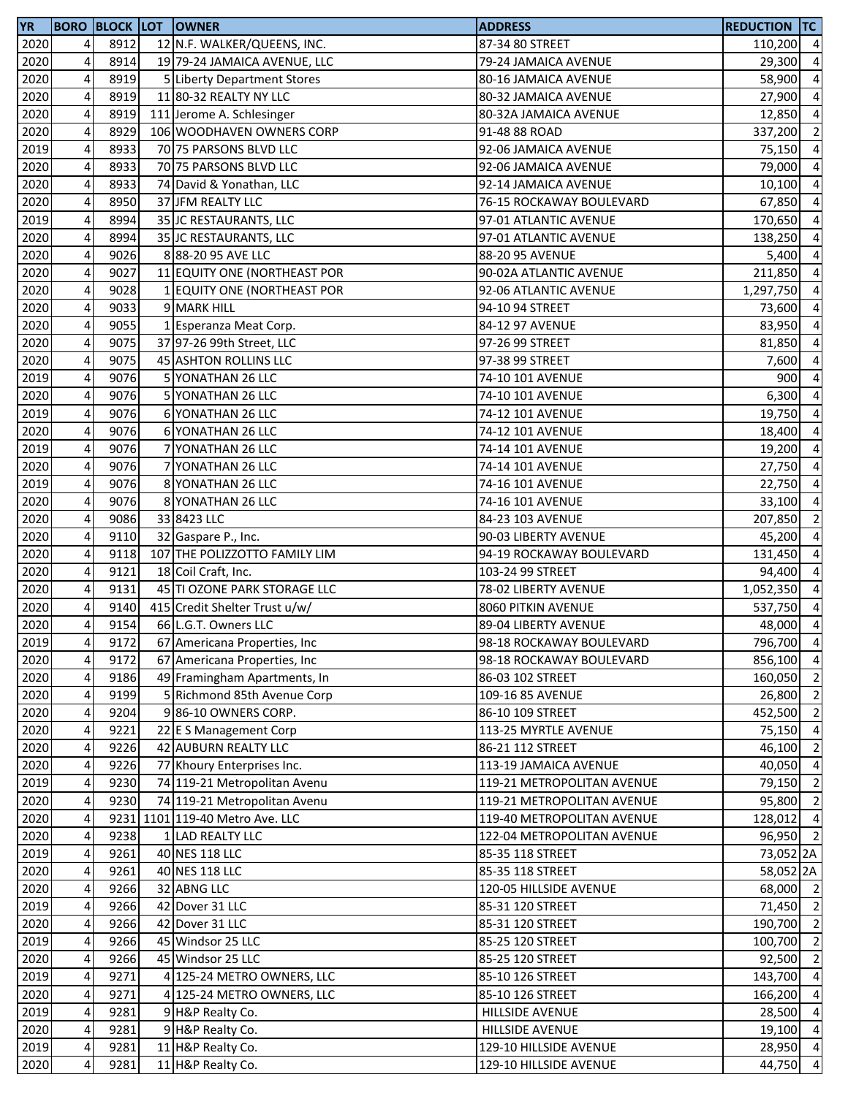| <b>YR</b>    |                              |      | <b>BORO BLOCK LOT OWNER</b>                                | <b>ADDRESS</b>             | <b>REDUCTION TC</b> |                |
|--------------|------------------------------|------|------------------------------------------------------------|----------------------------|---------------------|----------------|
| 2020         | $\overline{4}$               | 8912 | 12 N.F. WALKER/QUEENS, INC.                                | 87-34 80 STREET            | 110,200 4           |                |
| 2020         | 4                            | 8914 | 19 79-24 JAMAICA AVENUE, LLC                               | 79-24 JAMAICA AVENUE       | 29,300              | $\overline{4}$ |
| 2020         | $\overline{\mathbf{4}}$      | 8919 | 5 Liberty Department Stores                                | 80-16 JAMAICA AVENUE       | 58,900              | $\overline{4}$ |
| 2020         | 4                            | 8919 | 11 80-32 REALTY NY LLC                                     | 80-32 JAMAICA AVENUE       | 27,900              | $\overline{4}$ |
| 2020         | $\overline{a}$               | 8919 | 111 Jerome A. Schlesinger                                  | 80-32A JAMAICA AVENUE      | 12,850              | $\overline{4}$ |
| 2020         | 4                            | 8929 | 106 WOODHAVEN OWNERS CORP                                  | 91-48 88 ROAD              | 337,200             | $\overline{2}$ |
| 2019         | 4                            | 8933 | 70 75 PARSONS BLVD LLC                                     | 92-06 JAMAICA AVENUE       | 75,150              | $\overline{4}$ |
| 2020         | 4                            | 8933 | 70 75 PARSONS BLVD LLC                                     | 92-06 JAMAICA AVENUE       | 79,000              | $\overline{4}$ |
| 2020         | 4                            | 8933 | 74 David & Yonathan, LLC                                   | 92-14 JAMAICA AVENUE       | 10,100              | $\overline{4}$ |
| 2020         | 4                            | 8950 | 37 JFM REALTY LLC                                          | 76-15 ROCKAWAY BOULEVARD   | 67,850              | $\overline{4}$ |
| 2019         | 4                            | 8994 | 35 JC RESTAURANTS, LLC                                     | 97-01 ATLANTIC AVENUE      | 170,650             | $\overline{4}$ |
| 2020         | $\overline{\mathbf{4}}$      | 8994 | 35 JC RESTAURANTS, LLC                                     | 97-01 ATLANTIC AVENUE      | 138,250             | $\overline{4}$ |
| 2020         | $\overline{4}$               | 9026 | 88-20 95 AVE LLC                                           | 88-20 95 AVENUE            | 5,400               | $\overline{4}$ |
| 2020         | $\overline{\mathbf{4}}$      | 9027 | 11 EQUITY ONE (NORTHEAST POR                               | 90-02A ATLANTIC AVENUE     | 211,850 4           |                |
| 2020         | $\overline{\mathbf{4}}$      | 9028 | 1 EQUITY ONE (NORTHEAST POR                                | 92-06 ATLANTIC AVENUE      | 1,297,750           | $\overline{4}$ |
| 2020         | $\overline{\mathbf{4}}$      | 9033 | 9 MARK HILL                                                | 94-10 94 STREET            | 73,600              | $\overline{4}$ |
| 2020         | 4                            | 9055 | 1 Esperanza Meat Corp.                                     | 84-12 97 AVENUE            | 83,950              | $\overline{4}$ |
| 2020         | 4                            | 9075 | 37 97-26 99th Street, LLC                                  | 97-26 99 STREET            | 81,850              | $\overline{4}$ |
| 2020         | 4                            | 9075 | 45 ASHTON ROLLINS LLC                                      | 97-38 99 STREET            | 7,600               | $\overline{4}$ |
| 2019         | $\overline{\mathbf{4}}$      | 9076 | 5 YONATHAN 26 LLC                                          | 74-10 101 AVENUE           | 900                 | $\overline{4}$ |
| 2020         | 4                            | 9076 | 5 YONATHAN 26 LLC                                          | 74-10 101 AVENUE           | 6,300               | $\overline{4}$ |
| 2019         | 4                            | 9076 | 6 YONATHAN 26 LLC                                          | 74-12 101 AVENUE           | 19,750              | $\overline{4}$ |
| 2020         | 4                            | 9076 | 6 YONATHAN 26 LLC                                          | 74-12 101 AVENUE           | 18,400              | $\overline{4}$ |
| 2019         | 4                            | 9076 | 7 YONATHAN 26 LLC                                          | 74-14 101 AVENUE           | 19,200              | $\overline{4}$ |
| 2020         | 4                            | 9076 | 7 YONATHAN 26 LLC                                          | 74-14 101 AVENUE           | 27,750              | $\overline{4}$ |
| 2019         | 4                            | 9076 | 8 YONATHAN 26 LLC                                          | 74-16 101 AVENUE           | 22,750              | $\overline{4}$ |
| 2020         | 4                            | 9076 | 8 YONATHAN 26 LLC                                          | 74-16 101 AVENUE           | 33,100              | $\overline{4}$ |
| 2020         | $\overline{\mathbf{4}}$      | 9086 | 33 8423 LLC                                                | 84-23 103 AVENUE           | 207,850             | $\overline{2}$ |
| 2020         | 4                            | 9110 | 32 Gaspare P., Inc.                                        | 90-03 LIBERTY AVENUE       | 45,200              | $\overline{4}$ |
| 2020         | $\pmb{4}$                    | 9118 | 107 THE POLIZZOTTO FAMILY LIM                              | 94-19 ROCKAWAY BOULEVARD   | 131,450             | $\overline{4}$ |
| 2020         | 4                            | 9121 | 18 Coil Craft, Inc.                                        | 103-24 99 STREET           | 94,400              | $\overline{4}$ |
| 2020         | $\pmb{4}$                    | 9131 | 45 TI OZONE PARK STORAGE LLC                               | 78-02 LIBERTY AVENUE       | 1,052,350           | $\overline{4}$ |
| 2020         | 4                            | 9140 | 415 Credit Shelter Trust u/w/                              | 8060 PITKIN AVENUE         | 537,750             | $\overline{4}$ |
| 2020         | 4                            | 9154 | 66 L.G.T. Owners LLC                                       | 89-04 LIBERTY AVENUE       | 48,000              | $\overline{4}$ |
| 2019         | 4 <sub>l</sub>               | 9172 | 67 Americana Properties, Inc.                              | 98-18 ROCKAWAY BOULEVARD   | 796,700             | $\overline{4}$ |
| 2020         | 4                            | 9172 | 67 Americana Properties, Inc.                              | 98-18 ROCKAWAY BOULEVARD   | 856,100             | $\overline{4}$ |
| 2020         | 4                            | 9186 | 49 Framingham Apartments, In                               | 86-03 102 STREET           | 160,050             | $\overline{2}$ |
| 2020         | 4                            | 9199 | 5 Richmond 85th Avenue Corp                                | 109-16 85 AVENUE           | 26,800 2            |                |
| 2020         | $\overline{4}$               | 9204 | 986-10 OWNERS CORP.                                        | 86-10 109 STREET           | 452,500 2           |                |
| 2020         | 4                            | 9221 | 22 E S Management Corp                                     | 113-25 MYRTLE AVENUE       | 75,150              | $\overline{4}$ |
| 2020         | 4                            | 9226 | 42 AUBURN REALTY LLC                                       | 86-21 112 STREET           | 46,100              | $\overline{2}$ |
|              | 4                            | 9226 |                                                            | 113-19 JAMAICA AVENUE      | 40,050              | $\overline{4}$ |
| 2020<br>2019 | 4                            | 9230 | 77 Khoury Enterprises Inc.<br>74 119-21 Metropolitan Avenu | 119-21 METROPOLITAN AVENUE | 79,150              | $\overline{2}$ |
| 2020         | 4                            | 9230 | 74 119-21 Metropolitan Avenu                               | 119-21 METROPOLITAN AVENUE | 95,800              | $\overline{2}$ |
| 2020         | 4                            |      | 9231 1101 119-40 Metro Ave. LLC                            | 119-40 METROPOLITAN AVENUE | 128,012             | $\overline{4}$ |
| 2020         | 4                            | 9238 | 1 LAD REALTY LLC                                           | 122-04 METROPOLITAN AVENUE | 96,950 2            |                |
| 2019         | $\overline{a}$               | 9261 | 40 NES 118 LLC                                             | 85-35 118 STREET           | 73,052 2A           |                |
| 2020         | 4                            | 9261 | 40 NES 118 LLC                                             | 85-35 118 STREET           | 58,052 2A           |                |
| 2020         |                              | 9266 | 32 ABNG LLC                                                | 120-05 HILLSIDE AVENUE     | 68,000 2            |                |
| 2019         | 4<br>4                       | 9266 | 42 Dover 31 LLC                                            | 85-31 120 STREET           | 71,450              | $\overline{2}$ |
| 2020         | 4                            | 9266 | 42 Dover 31 LLC                                            | 85-31 120 STREET           | 190,700             | $\overline{2}$ |
| 2019         | 4                            | 9266 | 45 Windsor 25 LLC                                          | 85-25 120 STREET           | 100,700             | $\overline{2}$ |
| 2020         | 4                            | 9266 | 45 Windsor 25 LLC                                          | 85-25 120 STREET           | 92,500              | $\overline{2}$ |
| 2019         | 4                            | 9271 | 4 125-24 METRO OWNERS, LLC                                 | 85-10 126 STREET           | 143,700             | $\overline{4}$ |
| 2020         |                              | 9271 | 4 125-24 METRO OWNERS, LLC                                 | 85-10 126 STREET           |                     | $\overline{4}$ |
| 2019         | $\overline{\mathbf{r}}$<br>4 | 9281 |                                                            | HILLSIDE AVENUE            | 166,200<br>28,500   | $\overline{4}$ |
| 2020         | 4                            | 9281 | 9 H&P Realty Co.<br>9 H&P Realty Co.                       | HILLSIDE AVENUE            | 19,100              | $\overline{4}$ |
| 2019         | 4                            | 9281 | 11 H&P Realty Co.                                          | 129-10 HILLSIDE AVENUE     | 28,950              | $\overline{4}$ |
|              |                              |      |                                                            |                            |                     |                |
| 2020         | 4                            | 9281 | 11 H&P Realty Co.                                          | 129-10 HILLSIDE AVENUE     | 44,750 4            |                |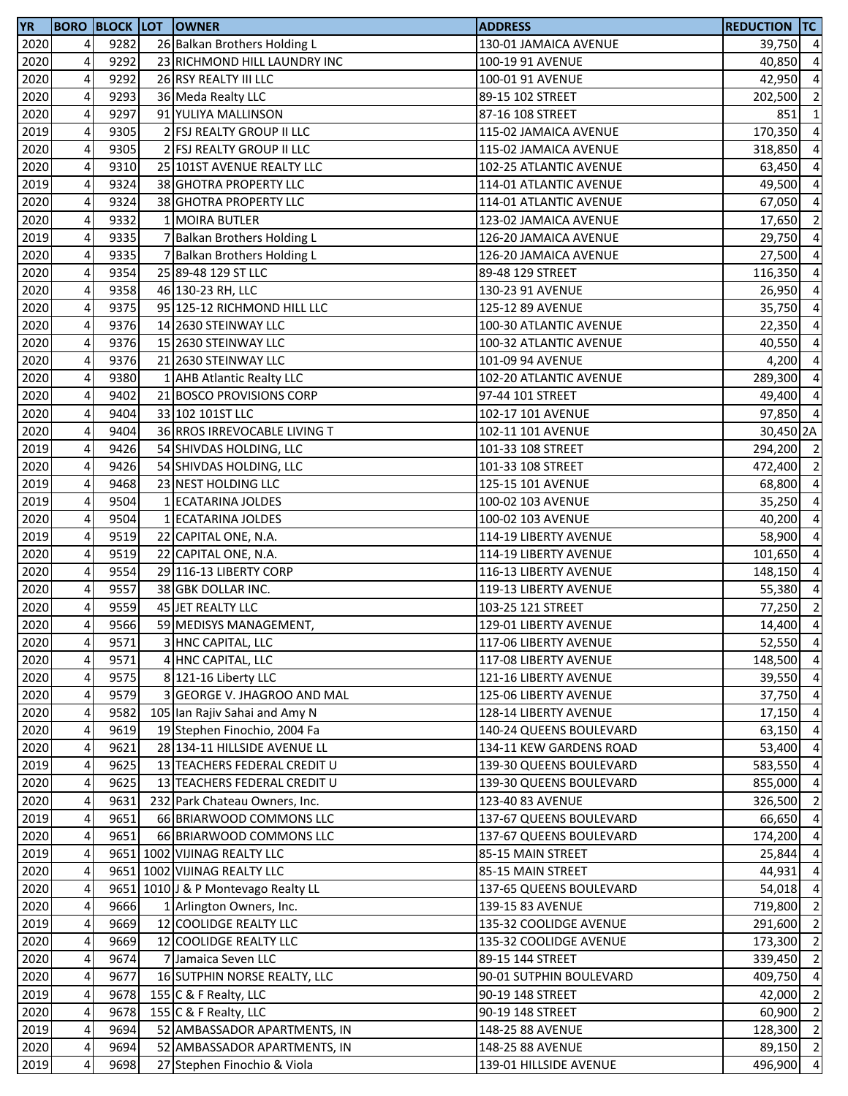| YR   |                         |      | <b>BORO BLOCK LOT OWNER</b>         | <b>ADDRESS</b>          | <b>REDUCTION TC</b> |                |
|------|-------------------------|------|-------------------------------------|-------------------------|---------------------|----------------|
| 2020 | 4                       | 9282 | 26 Balkan Brothers Holding L        | 130-01 JAMAICA AVENUE   | 39,750 4            |                |
| 2020 | 4                       | 9292 | 23 RICHMOND HILL LAUNDRY INC        | 100-19 91 AVENUE        | 40,850              | $\overline{a}$ |
| 2020 | 4                       | 9292 | 26 RSY REALTY III LLC               | 100-01 91 AVENUE        | 42,950              | $\overline{a}$ |
| 2020 | 4                       | 9293 | 36 Meda Realty LLC                  | 89-15 102 STREET        | 202,500 2           |                |
| 2020 | $\overline{\mathbf{4}}$ | 9297 | 91 YULIYA MALLINSON                 | 87-16 108 STREET        | 851 1               |                |
| 2019 | 4                       | 9305 | 2 FSJ REALTY GROUP II LLC           | 115-02 JAMAICA AVENUE   | 170,350             | $\overline{a}$ |
| 2020 | 4                       | 9305 | 2 FSJ REALTY GROUP II LLC           | 115-02 JAMAICA AVENUE   | 318,850             | $\overline{a}$ |
| 2020 | 4                       | 9310 | 25 101ST AVENUE REALTY LLC          | 102-25 ATLANTIC AVENUE  | 63,450              | $\overline{a}$ |
| 2019 | 4                       | 9324 | 38 GHOTRA PROPERTY LLC              | 114-01 ATLANTIC AVENUE  | 49,500 4            |                |
| 2020 | 4                       | 9324 | 38 GHOTRA PROPERTY LLC              | 114-01 ATLANTIC AVENUE  | 67,050              | $\overline{a}$ |
| 2020 | 4                       | 9332 | 1 MOIRA BUTLER                      | 123-02 JAMAICA AVENUE   | 17,650              | $\overline{2}$ |
| 2019 | 4                       | 9335 | 7 Balkan Brothers Holding L         | 126-20 JAMAICA AVENUE   | 29,750              | $\overline{a}$ |
| 2020 | 4                       | 9335 | 7 Balkan Brothers Holding L         | 126-20 JAMAICA AVENUE   | 27,500 4            |                |
| 2020 | 4                       | 9354 | 25 89-48 129 ST LLC                 | 89-48 129 STREET        | 116,350             | $\overline{a}$ |
| 2020 | 4                       | 9358 | 46 130-23 RH, LLC                   | 130-23 91 AVENUE        | 26,950              | $\overline{4}$ |
| 2020 | 4                       | 9375 | 95 125-12 RICHMOND HILL LLC         | 125-12 89 AVENUE        | 35,750              | $\overline{a}$ |
| 2020 | 4                       | 9376 | 14 2630 STEINWAY LLC                | 100-30 ATLANTIC AVENUE  | 22,350              | $\overline{a}$ |
| 2020 | 4                       | 9376 | 15 2630 STEINWAY LLC                | 100-32 ATLANTIC AVENUE  | 40,550              | $\overline{a}$ |
| 2020 | 4                       | 9376 | 21 2630 STEINWAY LLC                | 101-09 94 AVENUE        | 4,200               | $\overline{a}$ |
| 2020 | $\overline{4}$          | 9380 | 1 AHB Atlantic Realty LLC           | 102-20 ATLANTIC AVENUE  | 289,300             | $\overline{a}$ |
| 2020 | 4                       | 9402 | 21 BOSCO PROVISIONS CORP            | 97-44 101 STREET        | 49,400 4            |                |
| 2020 | 4                       | 9404 | 33 102 101ST LLC                    | 102-17 101 AVENUE       | 97,850 4            |                |
| 2020 | 4                       | 9404 | 36 RROS IRREVOCABLE LIVING T        | 102-11 101 AVENUE       | 30,450 2A           |                |
| 2019 | 4                       | 9426 | 54 SHIVDAS HOLDING, LLC             | 101-33 108 STREET       | 294,200 2           |                |
| 2020 | 4                       | 9426 | 54 SHIVDAS HOLDING, LLC             | 101-33 108 STREET       | 472,400             | $\overline{2}$ |
| 2019 | 4                       | 9468 | 23 NEST HOLDING LLC                 | 125-15 101 AVENUE       | 68,800              | $\overline{a}$ |
| 2019 | 4                       | 9504 | 1 ECATARINA JOLDES                  | 100-02 103 AVENUE       | 35,250              | $\overline{a}$ |
| 2020 | $\overline{\mathbf{4}}$ | 9504 | 1 ECATARINA JOLDES                  | 100-02 103 AVENUE       | 40,200              | $\overline{a}$ |
| 2019 | 4                       | 9519 | 22 CAPITAL ONE, N.A.                | 114-19 LIBERTY AVENUE   | 58,900              | $\overline{a}$ |
| 2020 | $\overline{\mathbf{4}}$ | 9519 | 22 CAPITAL ONE, N.A.                | 114-19 LIBERTY AVENUE   | 101,650 4           |                |
| 2020 | 4                       | 9554 | 29 116-13 LIBERTY CORP              | 116-13 LIBERTY AVENUE   | 148,150             | $\overline{a}$ |
| 2020 | $\overline{\mathbf{4}}$ | 9557 | 38 GBK DOLLAR INC.                  | 119-13 LIBERTY AVENUE   | 55,380 4            |                |
| 2020 | 4                       | 9559 | 45 JET REALTY LLC                   | 103-25 121 STREET       | 77,250 2            |                |
| 2020 | 4                       | 9566 | 59 MEDISYS MANAGEMENT,              | 129-01 LIBERTY AVENUE   | $14,400$ 4          |                |
| 2020 | 4                       | 9571 | 3 HNC CAPITAL, LLC                  | 117-06 LIBERTY AVENUE   | 52,550 4            |                |
| 2020 | 4                       | 9571 | 4 HNC CAPITAL, LLC                  | 117-08 LIBERTY AVENUE   | 148,500 4           |                |
| 2020 | 4                       | 9575 | 8 121-16 Liberty LLC                | 121-16 LIBERTY AVENUE   | 39,550              | $\overline{a}$ |
| 2020 | 4                       | 9579 | 3 GEORGE V. JHAGROO AND MAL         | 125-06 LIBERTY AVENUE   | 37,750 4            |                |
| 2020 | 4                       | 9582 | 105 Ian Rajiv Sahai and Amy N       | 128-14 LIBERTY AVENUE   | $17,150$ 4          |                |
| 2020 | 4                       | 9619 | 19 Stephen Finochio, 2004 Fa        | 140-24 QUEENS BOULEVARD | $63,150$ 4          |                |
| 2020 | 4                       | 9621 | 28 134-11 HILLSIDE AVENUE LL        | 134-11 KEW GARDENS ROAD | 53,400              | $\overline{a}$ |
| 2019 | 4                       | 9625 | 13 TEACHERS FEDERAL CREDIT U        | 139-30 QUEENS BOULEVARD | 583,550 4           |                |
| 2020 | 4                       | 9625 | 13 TEACHERS FEDERAL CREDIT U        | 139-30 QUEENS BOULEVARD | 855,000 4           |                |
| 2020 | 4                       | 9631 | 232 Park Chateau Owners, Inc.       | 123-40 83 AVENUE        | 326,500 2           |                |
| 2019 | $\overline{4}$          | 9651 | 66 BRIARWOOD COMMONS LLC            | 137-67 QUEENS BOULEVARD | 66,650              | $\overline{a}$ |
| 2020 | 4                       | 9651 | 66 BRIARWOOD COMMONS LLC            | 137-67 QUEENS BOULEVARD | 174,200 4           |                |
| 2019 | 4                       |      | 9651 1002 VIJINAG REALTY LLC        | 85-15 MAIN STREET       | 25,844              | $\overline{4}$ |
| 2020 | 4                       |      | 9651 1002 VIJINAG REALTY LLC        | 85-15 MAIN STREET       | 44,931              | $\overline{4}$ |
| 2020 | 4                       |      | 9651 1010 J & P Montevago Realty LL | 137-65 QUEENS BOULEVARD | 54,018 4            |                |
| 2020 | 4                       | 9666 | 1 Arlington Owners, Inc.            | 139-15 83 AVENUE        | 719,800 2           |                |
| 2019 | 4                       | 9669 | 12 COOLIDGE REALTY LLC              | 135-32 COOLIDGE AVENUE  | 291,600             | $\overline{2}$ |
| 2020 | 4                       | 9669 | 12 COOLIDGE REALTY LLC              | 135-32 COOLIDGE AVENUE  | 173,300             | $\overline{2}$ |
| 2020 | 4                       | 9674 | 7 Jamaica Seven LLC                 | 89-15 144 STREET        | 339,450 2           |                |
| 2020 | 4                       | 9677 | 16 SUTPHIN NORSE REALTY, LLC        | 90-01 SUTPHIN BOULEVARD | 409,750             | $\overline{a}$ |
| 2019 | $\overline{\mathbf{4}}$ | 9678 | 155 C & F Realty, LLC               | 90-19 148 STREET        | 42,000              | $\overline{2}$ |
| 2020 | 4                       | 9678 | 155 C & F Realty, LLC               | 90-19 148 STREET        | 60,900              | $\overline{2}$ |
| 2019 | 4                       | 9694 | 52 AMBASSADOR APARTMENTS, IN        | 148-25 88 AVENUE        | 128,300 2           |                |
| 2020 | 4                       | 9694 | 52 AMBASSADOR APARTMENTS, IN        | 148-25 88 AVENUE        | 89,150 2            |                |
| 2019 | 4                       | 9698 | 27 Stephen Finochio & Viola         | 139-01 HILLSIDE AVENUE  | 496,900 4           |                |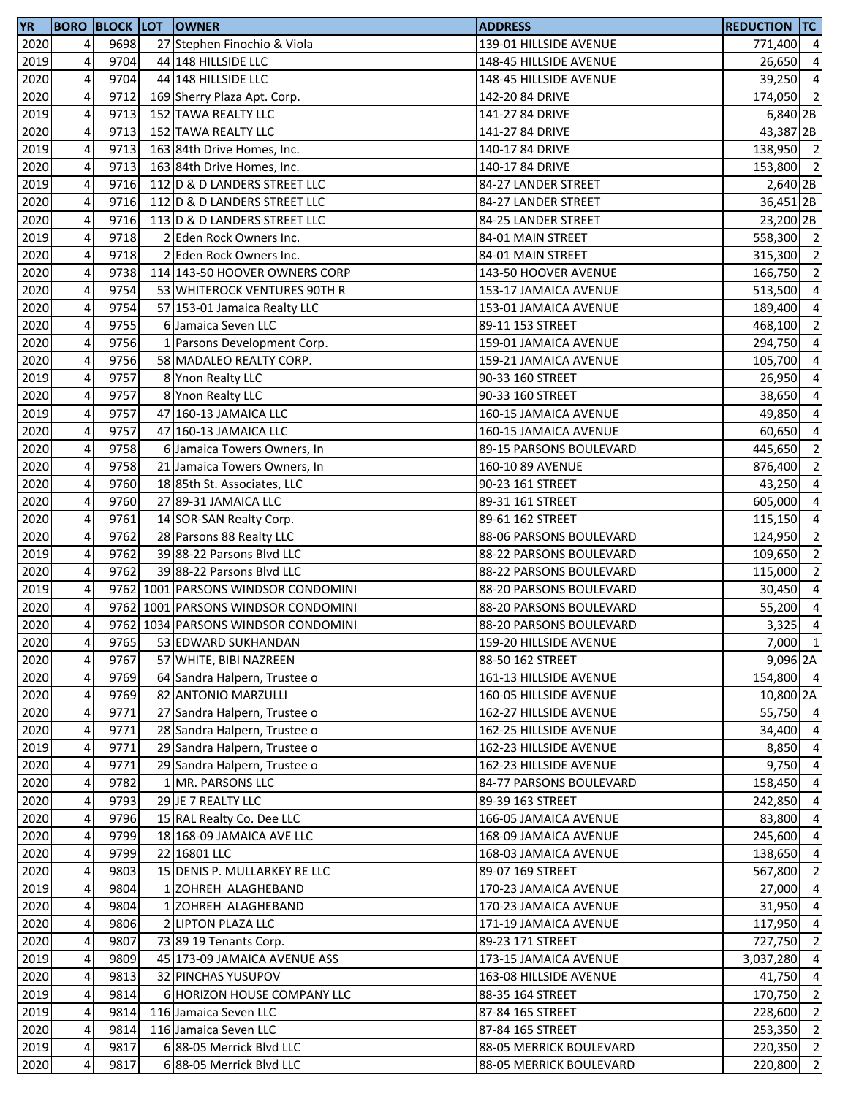| 2020<br>4<br>9698<br>27 Stephen Finochio & Viola<br>139-01 HILLSIDE AVENUE<br>771,400 4<br>9704<br>2019<br>4<br>44 148 HILLSIDE LLC<br>148-45 HILLSIDE AVENUE<br>26,650 4<br>4<br>39,250 4<br>2020<br>9704<br>44 148 HILLSIDE LLC<br>148-45 HILLSIDE AVENUE<br>$\overline{\mathbf{4}}$<br>2020<br>174,050 2<br>9712<br>169 Sherry Plaza Apt. Corp.<br>142-20 84 DRIVE<br>$\overline{\mathbf{4}}$<br>2019<br>9713<br>152 TAWA REALTY LLC<br>141-27 84 DRIVE<br>2020<br>4<br>9713<br>152 TAWA REALTY LLC<br>141-27 84 DRIVE<br>2019<br>4<br>9713<br>163 84th Drive Homes, Inc.<br>140-17 84 DRIVE<br>2020<br>4<br>9713<br>163 84th Drive Homes, Inc.<br>140-17 84 DRIVE<br>2019<br>4<br>9716<br>112 D & D LANDERS STREET LLC<br>84-27 LANDER STREET<br>2020<br>4<br>9716<br>112 D & D LANDERS STREET LLC<br>84-27 LANDER STREET<br>2020<br>4<br>9716<br>113 D & D LANDERS STREET LLC<br>84-25 LANDER STREET<br>4<br>2019<br>9718<br>2 Eden Rock Owners Inc.<br>84-01 MAIN STREET<br>4<br>9718<br>2020<br>2 Eden Rock Owners Inc.<br>84-01 MAIN STREET<br>4<br>2020<br>9738<br>114 143-50 HOOVER OWNERS CORP<br>143-50 HOOVER AVENUE<br>166,750<br>4<br>9754<br>2020<br>53 WHITEROCK VENTURES 90TH R<br>153-17 JAMAICA AVENUE<br>513,500<br>2020<br>4<br>9754<br>57 153-01 Jamaica Realty LLC<br>153-01 JAMAICA AVENUE<br>189,400<br>9755<br>2020<br>4<br>6 Jamaica Seven LLC<br>89-11 153 STREET<br>468,100<br>4<br>2020<br>9756<br>1 Parsons Development Corp.<br>159-01 JAMAICA AVENUE<br>294,750<br>2020<br>4<br>9756<br>58 MADALEO REALTY CORP.<br>159-21 JAMAICA AVENUE<br>105,700<br>9757<br>2019<br>4<br>8 Ynon Realty LLC<br>90-33 160 STREET<br>26,950<br>2020<br>4<br>9757<br>38,650<br>8 Ynon Realty LLC<br>90-33 160 STREET<br>$\overline{\mathbf{4}}$<br>2019<br>9757<br>47 160-13 JAMAICA LLC<br>160-15 JAMAICA AVENUE<br>2020<br>4<br>9757<br>47 160-13 JAMAICA LLC<br>60,650<br>160-15 JAMAICA AVENUE<br>2020<br>4<br>9758<br>6 Jamaica Towers Owners, In<br>89-15 PARSONS BOULEVARD<br>445,650<br>2020<br>4<br>9758<br>21 Jamaica Towers Owners, In<br>160-10 89 AVENUE<br>876,400<br>2020<br>4<br>9760<br>18 85th St. Associates, LLC<br>90-23 161 STREET<br>43,250<br>2020<br>4<br>9760<br>27 89-31 JAMAICA LLC<br>605,000<br>89-31 161 STREET<br>$\overline{\mathbf{4}}$<br>9761<br>2020<br>14 SOR-SAN Realty Corp.<br>89-61 162 STREET<br>115,150<br>$\overline{\mathbf{4}}$<br>9762<br>2020<br>28 Parsons 88 Realty LLC<br>88-06 PARSONS BOULEVARD<br>124,950<br>$\overline{\mathbf{4}}$<br>2019<br>9762<br>39 88-22 Parsons Blvd LLC<br>88-22 PARSONS BOULEVARD<br>109,650<br>$\overline{4}$<br>2020<br>9762<br>39 88-22 Parsons Blvd LLC<br>88-22 PARSONS BOULEVARD<br>115,000<br>$\overline{\mathbf{4}}$<br>9762 1001 PARSONS WINDSOR CONDOMINI<br>2019<br>88-20 PARSONS BOULEVARD<br>30,450<br>2020<br>4<br>9762 1001 PARSONS WINDSOR CONDOMINI<br>88-20 PARSONS BOULEVARD<br>55,200<br>2020<br>4<br>9762 1034 PARSONS WINDSOR CONDOMINI<br>3,325<br>88-20 PARSONS BOULEVARD<br>2020<br>4<br>9765<br>53 EDWARD SUKHANDAN<br>159-20 HILLSIDE AVENUE<br>4<br>2020<br>9767<br>57 WHITE, BIBI NAZREEN<br>88-50 162 STREET<br>2020<br>4<br>9769<br>161-13 HILLSIDE AVENUE<br>64 Sandra Halpern, Trustee o<br>2020<br>4<br>9769<br>82 ANTONIO MARZULLI<br>160-05 HILLSIDE AVENUE<br>4<br>2020<br>9771<br>27 Sandra Halpern, Trustee o<br>162-27 HILLSIDE AVENUE<br>4<br>2020<br>9771<br>28 Sandra Halpern, Trustee o<br>162-25 HILLSIDE AVENUE<br>2019<br>4<br>29 Sandra Halpern, Trustee o<br>9771<br>162-23 HILLSIDE AVENUE<br>8,850<br>2020<br>4<br>9771<br>29 Sandra Halpern, Trustee o<br>162-23 HILLSIDE AVENUE<br>9,750<br>2020<br>4<br>9782<br>1 MR. PARSONS LLC<br>84-77 PARSONS BOULEVARD<br>158,450<br>9793<br>2020<br>4<br>29 JE 7 REALTY LLC<br>89-39 163 STREET<br>242,850<br>2020<br>4<br>9796<br>15 RAL Realty Co. Dee LLC<br>166-05 JAMAICA AVENUE<br>83,800<br>2020<br>4<br>9799<br>18 168-09 JAMAICA AVE LLC<br>168-09 JAMAICA AVENUE<br>2020<br>4<br>9799<br>22 16801 LLC<br>168-03 JAMAICA AVENUE<br>2020<br>4<br>9803<br>15 DENIS P. MULLARKEY RE LLC<br>89-07 169 STREET<br>567,800<br>2019<br>4<br>9804<br>1 ZOHREH ALAGHEBAND<br>170-23 JAMAICA AVENUE<br>2020<br>4<br>9804<br>1 ZOHREH ALAGHEBAND<br>170-23 JAMAICA AVENUE<br>2020<br>4<br>9806<br>2 LIPTON PLAZA LLC<br>171-19 JAMAICA AVENUE<br>117,950<br>2020<br>4<br>9807<br>73 89 19 Tenants Corp.<br>89-23 171 STREET<br>727,750<br>4<br>2019<br>9809<br>45 173-09 JAMAICA AVENUE ASS<br>173-15 JAMAICA AVENUE<br>3,037,280<br>4<br>2020<br>9813<br>32 PINCHAS YUSUPOV<br>163-08 HILLSIDE AVENUE<br>41,750<br>4<br>2019<br>9814<br>6 HORIZON HOUSE COMPANY LLC<br>88-35 164 STREET<br>$\overline{4}$<br>2019<br>9814<br>116 Jamaica Seven LLC<br>87-84 165 STREET<br>4<br>2020<br>9814<br>116 Jamaica Seven LLC<br>87-84 165 STREET<br>4<br>2019<br>6 88-05 Merrick Blvd LLC<br>9817<br>88-05 MERRICK BOULEVARD<br>2020<br>4<br>9817<br>6 88-05 Merrick Blvd LLC<br>88-05 MERRICK BOULEVARD<br>220,800 | <b>YR</b> |  | <b>BORO BLOCK LOT OWNER</b> | <b>ADDRESS</b> | <b>REDUCTION TC</b> |                |
|-----------------------------------------------------------------------------------------------------------------------------------------------------------------------------------------------------------------------------------------------------------------------------------------------------------------------------------------------------------------------------------------------------------------------------------------------------------------------------------------------------------------------------------------------------------------------------------------------------------------------------------------------------------------------------------------------------------------------------------------------------------------------------------------------------------------------------------------------------------------------------------------------------------------------------------------------------------------------------------------------------------------------------------------------------------------------------------------------------------------------------------------------------------------------------------------------------------------------------------------------------------------------------------------------------------------------------------------------------------------------------------------------------------------------------------------------------------------------------------------------------------------------------------------------------------------------------------------------------------------------------------------------------------------------------------------------------------------------------------------------------------------------------------------------------------------------------------------------------------------------------------------------------------------------------------------------------------------------------------------------------------------------------------------------------------------------------------------------------------------------------------------------------------------------------------------------------------------------------------------------------------------------------------------------------------------------------------------------------------------------------------------------------------------------------------------------------------------------------------------------------------------------------------------------------------------------------------------------------------------------------------------------------------------------------------------------------------------------------------------------------------------------------------------------------------------------------------------------------------------------------------------------------------------------------------------------------------------------------------------------------------------------------------------------------------------------------------------------------------------------------------------------------------------------------------------------------------------------------------------------------------------------------------------------------------------------------------------------------------------------------------------------------------------------------------------------------------------------------------------------------------------------------------------------------------------------------------------------------------------------------------------------------------------------------------------------------------------------------------------------------------------------------------------------------------------------------------------------------------------------------------------------------------------------------------------------------------------------------------------------------------------------------------------------------------------------------------------------------------------------------------------------------------------------------------------------------------------------------------------------------------------------------------------------------------------------------------------------------------------------------------------------------------------------------------------------------------------------------------------------------------------------------------------------------------------------------------------------------------------------------------------------------------------------------------------------------------------------------------------------------------------------------------------------------------------------------------------------------------------------------------------------------------------------------------------------------------------------------------------------------------|-----------|--|-----------------------------|----------------|---------------------|----------------|
|                                                                                                                                                                                                                                                                                                                                                                                                                                                                                                                                                                                                                                                                                                                                                                                                                                                                                                                                                                                                                                                                                                                                                                                                                                                                                                                                                                                                                                                                                                                                                                                                                                                                                                                                                                                                                                                                                                                                                                                                                                                                                                                                                                                                                                                                                                                                                                                                                                                                                                                                                                                                                                                                                                                                                                                                                                                                                                                                                                                                                                                                                                                                                                                                                                                                                                                                                                                                                                                                                                                                                                                                                                                                                                                                                                                                                                                                                                                                                                                                                                                                                                                                                                                                                                                                                                                                                                                                                                                                                                                                                                                                                                                                                                                                                                                                                                                                                                                                                                                                           |           |  |                             |                |                     |                |
|                                                                                                                                                                                                                                                                                                                                                                                                                                                                                                                                                                                                                                                                                                                                                                                                                                                                                                                                                                                                                                                                                                                                                                                                                                                                                                                                                                                                                                                                                                                                                                                                                                                                                                                                                                                                                                                                                                                                                                                                                                                                                                                                                                                                                                                                                                                                                                                                                                                                                                                                                                                                                                                                                                                                                                                                                                                                                                                                                                                                                                                                                                                                                                                                                                                                                                                                                                                                                                                                                                                                                                                                                                                                                                                                                                                                                                                                                                                                                                                                                                                                                                                                                                                                                                                                                                                                                                                                                                                                                                                                                                                                                                                                                                                                                                                                                                                                                                                                                                                                           |           |  |                             |                |                     |                |
|                                                                                                                                                                                                                                                                                                                                                                                                                                                                                                                                                                                                                                                                                                                                                                                                                                                                                                                                                                                                                                                                                                                                                                                                                                                                                                                                                                                                                                                                                                                                                                                                                                                                                                                                                                                                                                                                                                                                                                                                                                                                                                                                                                                                                                                                                                                                                                                                                                                                                                                                                                                                                                                                                                                                                                                                                                                                                                                                                                                                                                                                                                                                                                                                                                                                                                                                                                                                                                                                                                                                                                                                                                                                                                                                                                                                                                                                                                                                                                                                                                                                                                                                                                                                                                                                                                                                                                                                                                                                                                                                                                                                                                                                                                                                                                                                                                                                                                                                                                                                           |           |  |                             |                |                     |                |
| 6,840 2B<br>43,387 2B<br>138,950 2<br>153,800 2<br>2,640 2B<br>36,451 2B<br>23,200 2B<br>558,300 2<br>315,300 2<br>$\overline{2}$<br>$\overline{4}$                                                                                                                                                                                                                                                                                                                                                                                                                                                                                                                                                                                                                                                                                                                                                                                                                                                                                                                                                                                                                                                                                                                                                                                                                                                                                                                                                                                                                                                                                                                                                                                                                                                                                                                                                                                                                                                                                                                                                                                                                                                                                                                                                                                                                                                                                                                                                                                                                                                                                                                                                                                                                                                                                                                                                                                                                                                                                                                                                                                                                                                                                                                                                                                                                                                                                                                                                                                                                                                                                                                                                                                                                                                                                                                                                                                                                                                                                                                                                                                                                                                                                                                                                                                                                                                                                                                                                                                                                                                                                                                                                                                                                                                                                                                                                                                                                                                       |           |  |                             |                |                     |                |
|                                                                                                                                                                                                                                                                                                                                                                                                                                                                                                                                                                                                                                                                                                                                                                                                                                                                                                                                                                                                                                                                                                                                                                                                                                                                                                                                                                                                                                                                                                                                                                                                                                                                                                                                                                                                                                                                                                                                                                                                                                                                                                                                                                                                                                                                                                                                                                                                                                                                                                                                                                                                                                                                                                                                                                                                                                                                                                                                                                                                                                                                                                                                                                                                                                                                                                                                                                                                                                                                                                                                                                                                                                                                                                                                                                                                                                                                                                                                                                                                                                                                                                                                                                                                                                                                                                                                                                                                                                                                                                                                                                                                                                                                                                                                                                                                                                                                                                                                                                                                           |           |  |                             |                |                     |                |
|                                                                                                                                                                                                                                                                                                                                                                                                                                                                                                                                                                                                                                                                                                                                                                                                                                                                                                                                                                                                                                                                                                                                                                                                                                                                                                                                                                                                                                                                                                                                                                                                                                                                                                                                                                                                                                                                                                                                                                                                                                                                                                                                                                                                                                                                                                                                                                                                                                                                                                                                                                                                                                                                                                                                                                                                                                                                                                                                                                                                                                                                                                                                                                                                                                                                                                                                                                                                                                                                                                                                                                                                                                                                                                                                                                                                                                                                                                                                                                                                                                                                                                                                                                                                                                                                                                                                                                                                                                                                                                                                                                                                                                                                                                                                                                                                                                                                                                                                                                                                           |           |  |                             |                |                     |                |
|                                                                                                                                                                                                                                                                                                                                                                                                                                                                                                                                                                                                                                                                                                                                                                                                                                                                                                                                                                                                                                                                                                                                                                                                                                                                                                                                                                                                                                                                                                                                                                                                                                                                                                                                                                                                                                                                                                                                                                                                                                                                                                                                                                                                                                                                                                                                                                                                                                                                                                                                                                                                                                                                                                                                                                                                                                                                                                                                                                                                                                                                                                                                                                                                                                                                                                                                                                                                                                                                                                                                                                                                                                                                                                                                                                                                                                                                                                                                                                                                                                                                                                                                                                                                                                                                                                                                                                                                                                                                                                                                                                                                                                                                                                                                                                                                                                                                                                                                                                                                           |           |  |                             |                |                     |                |
|                                                                                                                                                                                                                                                                                                                                                                                                                                                                                                                                                                                                                                                                                                                                                                                                                                                                                                                                                                                                                                                                                                                                                                                                                                                                                                                                                                                                                                                                                                                                                                                                                                                                                                                                                                                                                                                                                                                                                                                                                                                                                                                                                                                                                                                                                                                                                                                                                                                                                                                                                                                                                                                                                                                                                                                                                                                                                                                                                                                                                                                                                                                                                                                                                                                                                                                                                                                                                                                                                                                                                                                                                                                                                                                                                                                                                                                                                                                                                                                                                                                                                                                                                                                                                                                                                                                                                                                                                                                                                                                                                                                                                                                                                                                                                                                                                                                                                                                                                                                                           |           |  |                             |                |                     |                |
|                                                                                                                                                                                                                                                                                                                                                                                                                                                                                                                                                                                                                                                                                                                                                                                                                                                                                                                                                                                                                                                                                                                                                                                                                                                                                                                                                                                                                                                                                                                                                                                                                                                                                                                                                                                                                                                                                                                                                                                                                                                                                                                                                                                                                                                                                                                                                                                                                                                                                                                                                                                                                                                                                                                                                                                                                                                                                                                                                                                                                                                                                                                                                                                                                                                                                                                                                                                                                                                                                                                                                                                                                                                                                                                                                                                                                                                                                                                                                                                                                                                                                                                                                                                                                                                                                                                                                                                                                                                                                                                                                                                                                                                                                                                                                                                                                                                                                                                                                                                                           |           |  |                             |                |                     |                |
|                                                                                                                                                                                                                                                                                                                                                                                                                                                                                                                                                                                                                                                                                                                                                                                                                                                                                                                                                                                                                                                                                                                                                                                                                                                                                                                                                                                                                                                                                                                                                                                                                                                                                                                                                                                                                                                                                                                                                                                                                                                                                                                                                                                                                                                                                                                                                                                                                                                                                                                                                                                                                                                                                                                                                                                                                                                                                                                                                                                                                                                                                                                                                                                                                                                                                                                                                                                                                                                                                                                                                                                                                                                                                                                                                                                                                                                                                                                                                                                                                                                                                                                                                                                                                                                                                                                                                                                                                                                                                                                                                                                                                                                                                                                                                                                                                                                                                                                                                                                                           |           |  |                             |                |                     |                |
|                                                                                                                                                                                                                                                                                                                                                                                                                                                                                                                                                                                                                                                                                                                                                                                                                                                                                                                                                                                                                                                                                                                                                                                                                                                                                                                                                                                                                                                                                                                                                                                                                                                                                                                                                                                                                                                                                                                                                                                                                                                                                                                                                                                                                                                                                                                                                                                                                                                                                                                                                                                                                                                                                                                                                                                                                                                                                                                                                                                                                                                                                                                                                                                                                                                                                                                                                                                                                                                                                                                                                                                                                                                                                                                                                                                                                                                                                                                                                                                                                                                                                                                                                                                                                                                                                                                                                                                                                                                                                                                                                                                                                                                                                                                                                                                                                                                                                                                                                                                                           |           |  |                             |                |                     |                |
|                                                                                                                                                                                                                                                                                                                                                                                                                                                                                                                                                                                                                                                                                                                                                                                                                                                                                                                                                                                                                                                                                                                                                                                                                                                                                                                                                                                                                                                                                                                                                                                                                                                                                                                                                                                                                                                                                                                                                                                                                                                                                                                                                                                                                                                                                                                                                                                                                                                                                                                                                                                                                                                                                                                                                                                                                                                                                                                                                                                                                                                                                                                                                                                                                                                                                                                                                                                                                                                                                                                                                                                                                                                                                                                                                                                                                                                                                                                                                                                                                                                                                                                                                                                                                                                                                                                                                                                                                                                                                                                                                                                                                                                                                                                                                                                                                                                                                                                                                                                                           |           |  |                             |                |                     |                |
|                                                                                                                                                                                                                                                                                                                                                                                                                                                                                                                                                                                                                                                                                                                                                                                                                                                                                                                                                                                                                                                                                                                                                                                                                                                                                                                                                                                                                                                                                                                                                                                                                                                                                                                                                                                                                                                                                                                                                                                                                                                                                                                                                                                                                                                                                                                                                                                                                                                                                                                                                                                                                                                                                                                                                                                                                                                                                                                                                                                                                                                                                                                                                                                                                                                                                                                                                                                                                                                                                                                                                                                                                                                                                                                                                                                                                                                                                                                                                                                                                                                                                                                                                                                                                                                                                                                                                                                                                                                                                                                                                                                                                                                                                                                                                                                                                                                                                                                                                                                                           |           |  |                             |                |                     |                |
|                                                                                                                                                                                                                                                                                                                                                                                                                                                                                                                                                                                                                                                                                                                                                                                                                                                                                                                                                                                                                                                                                                                                                                                                                                                                                                                                                                                                                                                                                                                                                                                                                                                                                                                                                                                                                                                                                                                                                                                                                                                                                                                                                                                                                                                                                                                                                                                                                                                                                                                                                                                                                                                                                                                                                                                                                                                                                                                                                                                                                                                                                                                                                                                                                                                                                                                                                                                                                                                                                                                                                                                                                                                                                                                                                                                                                                                                                                                                                                                                                                                                                                                                                                                                                                                                                                                                                                                                                                                                                                                                                                                                                                                                                                                                                                                                                                                                                                                                                                                                           |           |  |                             |                |                     |                |
| $\overline{4}$<br>$\overline{2}$<br>$\overline{a}$<br>$\overline{4}$<br>$\overline{a}$<br>$\overline{4}$<br>49,850 4<br>$\overline{4}$<br>$\overline{2}$<br>$\overline{2}$<br>$\overline{4}$<br>$\overline{4}$<br>$\overline{4}$<br>$\overline{2}$<br>$\overline{2}$<br>$\overline{2}$<br>$\overline{4}$<br>$\overline{4}$<br>$\overline{4}$<br>$7,000$ 1<br>9,096 2A<br>154,800 4<br>10,800 2A<br>55,750 4<br>34,400 4<br>$\overline{4}$<br>$\overline{4}$<br>$\overline{4}$                                                                                                                                                                                                                                                                                                                                                                                                                                                                                                                                                                                                                                                                                                                                                                                                                                                                                                                                                                                                                                                                                                                                                                                                                                                                                                                                                                                                                                                                                                                                                                                                                                                                                                                                                                                                                                                                                                                                                                                                                                                                                                                                                                                                                                                                                                                                                                                                                                                                                                                                                                                                                                                                                                                                                                                                                                                                                                                                                                                                                                                                                                                                                                                                                                                                                                                                                                                                                                                                                                                                                                                                                                                                                                                                                                                                                                                                                                                                                                                                                                                                                                                                                                                                                                                                                                                                                                                                                                                                                                                             |           |  |                             |                |                     |                |
|                                                                                                                                                                                                                                                                                                                                                                                                                                                                                                                                                                                                                                                                                                                                                                                                                                                                                                                                                                                                                                                                                                                                                                                                                                                                                                                                                                                                                                                                                                                                                                                                                                                                                                                                                                                                                                                                                                                                                                                                                                                                                                                                                                                                                                                                                                                                                                                                                                                                                                                                                                                                                                                                                                                                                                                                                                                                                                                                                                                                                                                                                                                                                                                                                                                                                                                                                                                                                                                                                                                                                                                                                                                                                                                                                                                                                                                                                                                                                                                                                                                                                                                                                                                                                                                                                                                                                                                                                                                                                                                                                                                                                                                                                                                                                                                                                                                                                                                                                                                                           |           |  |                             |                |                     |                |
|                                                                                                                                                                                                                                                                                                                                                                                                                                                                                                                                                                                                                                                                                                                                                                                                                                                                                                                                                                                                                                                                                                                                                                                                                                                                                                                                                                                                                                                                                                                                                                                                                                                                                                                                                                                                                                                                                                                                                                                                                                                                                                                                                                                                                                                                                                                                                                                                                                                                                                                                                                                                                                                                                                                                                                                                                                                                                                                                                                                                                                                                                                                                                                                                                                                                                                                                                                                                                                                                                                                                                                                                                                                                                                                                                                                                                                                                                                                                                                                                                                                                                                                                                                                                                                                                                                                                                                                                                                                                                                                                                                                                                                                                                                                                                                                                                                                                                                                                                                                                           |           |  |                             |                |                     |                |
|                                                                                                                                                                                                                                                                                                                                                                                                                                                                                                                                                                                                                                                                                                                                                                                                                                                                                                                                                                                                                                                                                                                                                                                                                                                                                                                                                                                                                                                                                                                                                                                                                                                                                                                                                                                                                                                                                                                                                                                                                                                                                                                                                                                                                                                                                                                                                                                                                                                                                                                                                                                                                                                                                                                                                                                                                                                                                                                                                                                                                                                                                                                                                                                                                                                                                                                                                                                                                                                                                                                                                                                                                                                                                                                                                                                                                                                                                                                                                                                                                                                                                                                                                                                                                                                                                                                                                                                                                                                                                                                                                                                                                                                                                                                                                                                                                                                                                                                                                                                                           |           |  |                             |                |                     |                |
|                                                                                                                                                                                                                                                                                                                                                                                                                                                                                                                                                                                                                                                                                                                                                                                                                                                                                                                                                                                                                                                                                                                                                                                                                                                                                                                                                                                                                                                                                                                                                                                                                                                                                                                                                                                                                                                                                                                                                                                                                                                                                                                                                                                                                                                                                                                                                                                                                                                                                                                                                                                                                                                                                                                                                                                                                                                                                                                                                                                                                                                                                                                                                                                                                                                                                                                                                                                                                                                                                                                                                                                                                                                                                                                                                                                                                                                                                                                                                                                                                                                                                                                                                                                                                                                                                                                                                                                                                                                                                                                                                                                                                                                                                                                                                                                                                                                                                                                                                                                                           |           |  |                             |                |                     |                |
|                                                                                                                                                                                                                                                                                                                                                                                                                                                                                                                                                                                                                                                                                                                                                                                                                                                                                                                                                                                                                                                                                                                                                                                                                                                                                                                                                                                                                                                                                                                                                                                                                                                                                                                                                                                                                                                                                                                                                                                                                                                                                                                                                                                                                                                                                                                                                                                                                                                                                                                                                                                                                                                                                                                                                                                                                                                                                                                                                                                                                                                                                                                                                                                                                                                                                                                                                                                                                                                                                                                                                                                                                                                                                                                                                                                                                                                                                                                                                                                                                                                                                                                                                                                                                                                                                                                                                                                                                                                                                                                                                                                                                                                                                                                                                                                                                                                                                                                                                                                                           |           |  |                             |                |                     |                |
|                                                                                                                                                                                                                                                                                                                                                                                                                                                                                                                                                                                                                                                                                                                                                                                                                                                                                                                                                                                                                                                                                                                                                                                                                                                                                                                                                                                                                                                                                                                                                                                                                                                                                                                                                                                                                                                                                                                                                                                                                                                                                                                                                                                                                                                                                                                                                                                                                                                                                                                                                                                                                                                                                                                                                                                                                                                                                                                                                                                                                                                                                                                                                                                                                                                                                                                                                                                                                                                                                                                                                                                                                                                                                                                                                                                                                                                                                                                                                                                                                                                                                                                                                                                                                                                                                                                                                                                                                                                                                                                                                                                                                                                                                                                                                                                                                                                                                                                                                                                                           |           |  |                             |                |                     |                |
|                                                                                                                                                                                                                                                                                                                                                                                                                                                                                                                                                                                                                                                                                                                                                                                                                                                                                                                                                                                                                                                                                                                                                                                                                                                                                                                                                                                                                                                                                                                                                                                                                                                                                                                                                                                                                                                                                                                                                                                                                                                                                                                                                                                                                                                                                                                                                                                                                                                                                                                                                                                                                                                                                                                                                                                                                                                                                                                                                                                                                                                                                                                                                                                                                                                                                                                                                                                                                                                                                                                                                                                                                                                                                                                                                                                                                                                                                                                                                                                                                                                                                                                                                                                                                                                                                                                                                                                                                                                                                                                                                                                                                                                                                                                                                                                                                                                                                                                                                                                                           |           |  |                             |                |                     |                |
|                                                                                                                                                                                                                                                                                                                                                                                                                                                                                                                                                                                                                                                                                                                                                                                                                                                                                                                                                                                                                                                                                                                                                                                                                                                                                                                                                                                                                                                                                                                                                                                                                                                                                                                                                                                                                                                                                                                                                                                                                                                                                                                                                                                                                                                                                                                                                                                                                                                                                                                                                                                                                                                                                                                                                                                                                                                                                                                                                                                                                                                                                                                                                                                                                                                                                                                                                                                                                                                                                                                                                                                                                                                                                                                                                                                                                                                                                                                                                                                                                                                                                                                                                                                                                                                                                                                                                                                                                                                                                                                                                                                                                                                                                                                                                                                                                                                                                                                                                                                                           |           |  |                             |                |                     |                |
|                                                                                                                                                                                                                                                                                                                                                                                                                                                                                                                                                                                                                                                                                                                                                                                                                                                                                                                                                                                                                                                                                                                                                                                                                                                                                                                                                                                                                                                                                                                                                                                                                                                                                                                                                                                                                                                                                                                                                                                                                                                                                                                                                                                                                                                                                                                                                                                                                                                                                                                                                                                                                                                                                                                                                                                                                                                                                                                                                                                                                                                                                                                                                                                                                                                                                                                                                                                                                                                                                                                                                                                                                                                                                                                                                                                                                                                                                                                                                                                                                                                                                                                                                                                                                                                                                                                                                                                                                                                                                                                                                                                                                                                                                                                                                                                                                                                                                                                                                                                                           |           |  |                             |                |                     |                |
|                                                                                                                                                                                                                                                                                                                                                                                                                                                                                                                                                                                                                                                                                                                                                                                                                                                                                                                                                                                                                                                                                                                                                                                                                                                                                                                                                                                                                                                                                                                                                                                                                                                                                                                                                                                                                                                                                                                                                                                                                                                                                                                                                                                                                                                                                                                                                                                                                                                                                                                                                                                                                                                                                                                                                                                                                                                                                                                                                                                                                                                                                                                                                                                                                                                                                                                                                                                                                                                                                                                                                                                                                                                                                                                                                                                                                                                                                                                                                                                                                                                                                                                                                                                                                                                                                                                                                                                                                                                                                                                                                                                                                                                                                                                                                                                                                                                                                                                                                                                                           |           |  |                             |                |                     |                |
|                                                                                                                                                                                                                                                                                                                                                                                                                                                                                                                                                                                                                                                                                                                                                                                                                                                                                                                                                                                                                                                                                                                                                                                                                                                                                                                                                                                                                                                                                                                                                                                                                                                                                                                                                                                                                                                                                                                                                                                                                                                                                                                                                                                                                                                                                                                                                                                                                                                                                                                                                                                                                                                                                                                                                                                                                                                                                                                                                                                                                                                                                                                                                                                                                                                                                                                                                                                                                                                                                                                                                                                                                                                                                                                                                                                                                                                                                                                                                                                                                                                                                                                                                                                                                                                                                                                                                                                                                                                                                                                                                                                                                                                                                                                                                                                                                                                                                                                                                                                                           |           |  |                             |                |                     |                |
|                                                                                                                                                                                                                                                                                                                                                                                                                                                                                                                                                                                                                                                                                                                                                                                                                                                                                                                                                                                                                                                                                                                                                                                                                                                                                                                                                                                                                                                                                                                                                                                                                                                                                                                                                                                                                                                                                                                                                                                                                                                                                                                                                                                                                                                                                                                                                                                                                                                                                                                                                                                                                                                                                                                                                                                                                                                                                                                                                                                                                                                                                                                                                                                                                                                                                                                                                                                                                                                                                                                                                                                                                                                                                                                                                                                                                                                                                                                                                                                                                                                                                                                                                                                                                                                                                                                                                                                                                                                                                                                                                                                                                                                                                                                                                                                                                                                                                                                                                                                                           |           |  |                             |                |                     |                |
|                                                                                                                                                                                                                                                                                                                                                                                                                                                                                                                                                                                                                                                                                                                                                                                                                                                                                                                                                                                                                                                                                                                                                                                                                                                                                                                                                                                                                                                                                                                                                                                                                                                                                                                                                                                                                                                                                                                                                                                                                                                                                                                                                                                                                                                                                                                                                                                                                                                                                                                                                                                                                                                                                                                                                                                                                                                                                                                                                                                                                                                                                                                                                                                                                                                                                                                                                                                                                                                                                                                                                                                                                                                                                                                                                                                                                                                                                                                                                                                                                                                                                                                                                                                                                                                                                                                                                                                                                                                                                                                                                                                                                                                                                                                                                                                                                                                                                                                                                                                                           |           |  |                             |                |                     |                |
|                                                                                                                                                                                                                                                                                                                                                                                                                                                                                                                                                                                                                                                                                                                                                                                                                                                                                                                                                                                                                                                                                                                                                                                                                                                                                                                                                                                                                                                                                                                                                                                                                                                                                                                                                                                                                                                                                                                                                                                                                                                                                                                                                                                                                                                                                                                                                                                                                                                                                                                                                                                                                                                                                                                                                                                                                                                                                                                                                                                                                                                                                                                                                                                                                                                                                                                                                                                                                                                                                                                                                                                                                                                                                                                                                                                                                                                                                                                                                                                                                                                                                                                                                                                                                                                                                                                                                                                                                                                                                                                                                                                                                                                                                                                                                                                                                                                                                                                                                                                                           |           |  |                             |                |                     |                |
|                                                                                                                                                                                                                                                                                                                                                                                                                                                                                                                                                                                                                                                                                                                                                                                                                                                                                                                                                                                                                                                                                                                                                                                                                                                                                                                                                                                                                                                                                                                                                                                                                                                                                                                                                                                                                                                                                                                                                                                                                                                                                                                                                                                                                                                                                                                                                                                                                                                                                                                                                                                                                                                                                                                                                                                                                                                                                                                                                                                                                                                                                                                                                                                                                                                                                                                                                                                                                                                                                                                                                                                                                                                                                                                                                                                                                                                                                                                                                                                                                                                                                                                                                                                                                                                                                                                                                                                                                                                                                                                                                                                                                                                                                                                                                                                                                                                                                                                                                                                                           |           |  |                             |                |                     |                |
|                                                                                                                                                                                                                                                                                                                                                                                                                                                                                                                                                                                                                                                                                                                                                                                                                                                                                                                                                                                                                                                                                                                                                                                                                                                                                                                                                                                                                                                                                                                                                                                                                                                                                                                                                                                                                                                                                                                                                                                                                                                                                                                                                                                                                                                                                                                                                                                                                                                                                                                                                                                                                                                                                                                                                                                                                                                                                                                                                                                                                                                                                                                                                                                                                                                                                                                                                                                                                                                                                                                                                                                                                                                                                                                                                                                                                                                                                                                                                                                                                                                                                                                                                                                                                                                                                                                                                                                                                                                                                                                                                                                                                                                                                                                                                                                                                                                                                                                                                                                                           |           |  |                             |                |                     |                |
|                                                                                                                                                                                                                                                                                                                                                                                                                                                                                                                                                                                                                                                                                                                                                                                                                                                                                                                                                                                                                                                                                                                                                                                                                                                                                                                                                                                                                                                                                                                                                                                                                                                                                                                                                                                                                                                                                                                                                                                                                                                                                                                                                                                                                                                                                                                                                                                                                                                                                                                                                                                                                                                                                                                                                                                                                                                                                                                                                                                                                                                                                                                                                                                                                                                                                                                                                                                                                                                                                                                                                                                                                                                                                                                                                                                                                                                                                                                                                                                                                                                                                                                                                                                                                                                                                                                                                                                                                                                                                                                                                                                                                                                                                                                                                                                                                                                                                                                                                                                                           |           |  |                             |                |                     |                |
|                                                                                                                                                                                                                                                                                                                                                                                                                                                                                                                                                                                                                                                                                                                                                                                                                                                                                                                                                                                                                                                                                                                                                                                                                                                                                                                                                                                                                                                                                                                                                                                                                                                                                                                                                                                                                                                                                                                                                                                                                                                                                                                                                                                                                                                                                                                                                                                                                                                                                                                                                                                                                                                                                                                                                                                                                                                                                                                                                                                                                                                                                                                                                                                                                                                                                                                                                                                                                                                                                                                                                                                                                                                                                                                                                                                                                                                                                                                                                                                                                                                                                                                                                                                                                                                                                                                                                                                                                                                                                                                                                                                                                                                                                                                                                                                                                                                                                                                                                                                                           |           |  |                             |                |                     |                |
|                                                                                                                                                                                                                                                                                                                                                                                                                                                                                                                                                                                                                                                                                                                                                                                                                                                                                                                                                                                                                                                                                                                                                                                                                                                                                                                                                                                                                                                                                                                                                                                                                                                                                                                                                                                                                                                                                                                                                                                                                                                                                                                                                                                                                                                                                                                                                                                                                                                                                                                                                                                                                                                                                                                                                                                                                                                                                                                                                                                                                                                                                                                                                                                                                                                                                                                                                                                                                                                                                                                                                                                                                                                                                                                                                                                                                                                                                                                                                                                                                                                                                                                                                                                                                                                                                                                                                                                                                                                                                                                                                                                                                                                                                                                                                                                                                                                                                                                                                                                                           |           |  |                             |                |                     |                |
|                                                                                                                                                                                                                                                                                                                                                                                                                                                                                                                                                                                                                                                                                                                                                                                                                                                                                                                                                                                                                                                                                                                                                                                                                                                                                                                                                                                                                                                                                                                                                                                                                                                                                                                                                                                                                                                                                                                                                                                                                                                                                                                                                                                                                                                                                                                                                                                                                                                                                                                                                                                                                                                                                                                                                                                                                                                                                                                                                                                                                                                                                                                                                                                                                                                                                                                                                                                                                                                                                                                                                                                                                                                                                                                                                                                                                                                                                                                                                                                                                                                                                                                                                                                                                                                                                                                                                                                                                                                                                                                                                                                                                                                                                                                                                                                                                                                                                                                                                                                                           |           |  |                             |                |                     |                |
|                                                                                                                                                                                                                                                                                                                                                                                                                                                                                                                                                                                                                                                                                                                                                                                                                                                                                                                                                                                                                                                                                                                                                                                                                                                                                                                                                                                                                                                                                                                                                                                                                                                                                                                                                                                                                                                                                                                                                                                                                                                                                                                                                                                                                                                                                                                                                                                                                                                                                                                                                                                                                                                                                                                                                                                                                                                                                                                                                                                                                                                                                                                                                                                                                                                                                                                                                                                                                                                                                                                                                                                                                                                                                                                                                                                                                                                                                                                                                                                                                                                                                                                                                                                                                                                                                                                                                                                                                                                                                                                                                                                                                                                                                                                                                                                                                                                                                                                                                                                                           |           |  |                             |                |                     |                |
|                                                                                                                                                                                                                                                                                                                                                                                                                                                                                                                                                                                                                                                                                                                                                                                                                                                                                                                                                                                                                                                                                                                                                                                                                                                                                                                                                                                                                                                                                                                                                                                                                                                                                                                                                                                                                                                                                                                                                                                                                                                                                                                                                                                                                                                                                                                                                                                                                                                                                                                                                                                                                                                                                                                                                                                                                                                                                                                                                                                                                                                                                                                                                                                                                                                                                                                                                                                                                                                                                                                                                                                                                                                                                                                                                                                                                                                                                                                                                                                                                                                                                                                                                                                                                                                                                                                                                                                                                                                                                                                                                                                                                                                                                                                                                                                                                                                                                                                                                                                                           |           |  |                             |                |                     |                |
|                                                                                                                                                                                                                                                                                                                                                                                                                                                                                                                                                                                                                                                                                                                                                                                                                                                                                                                                                                                                                                                                                                                                                                                                                                                                                                                                                                                                                                                                                                                                                                                                                                                                                                                                                                                                                                                                                                                                                                                                                                                                                                                                                                                                                                                                                                                                                                                                                                                                                                                                                                                                                                                                                                                                                                                                                                                                                                                                                                                                                                                                                                                                                                                                                                                                                                                                                                                                                                                                                                                                                                                                                                                                                                                                                                                                                                                                                                                                                                                                                                                                                                                                                                                                                                                                                                                                                                                                                                                                                                                                                                                                                                                                                                                                                                                                                                                                                                                                                                                                           |           |  |                             |                |                     |                |
|                                                                                                                                                                                                                                                                                                                                                                                                                                                                                                                                                                                                                                                                                                                                                                                                                                                                                                                                                                                                                                                                                                                                                                                                                                                                                                                                                                                                                                                                                                                                                                                                                                                                                                                                                                                                                                                                                                                                                                                                                                                                                                                                                                                                                                                                                                                                                                                                                                                                                                                                                                                                                                                                                                                                                                                                                                                                                                                                                                                                                                                                                                                                                                                                                                                                                                                                                                                                                                                                                                                                                                                                                                                                                                                                                                                                                                                                                                                                                                                                                                                                                                                                                                                                                                                                                                                                                                                                                                                                                                                                                                                                                                                                                                                                                                                                                                                                                                                                                                                                           |           |  |                             |                |                     |                |
|                                                                                                                                                                                                                                                                                                                                                                                                                                                                                                                                                                                                                                                                                                                                                                                                                                                                                                                                                                                                                                                                                                                                                                                                                                                                                                                                                                                                                                                                                                                                                                                                                                                                                                                                                                                                                                                                                                                                                                                                                                                                                                                                                                                                                                                                                                                                                                                                                                                                                                                                                                                                                                                                                                                                                                                                                                                                                                                                                                                                                                                                                                                                                                                                                                                                                                                                                                                                                                                                                                                                                                                                                                                                                                                                                                                                                                                                                                                                                                                                                                                                                                                                                                                                                                                                                                                                                                                                                                                                                                                                                                                                                                                                                                                                                                                                                                                                                                                                                                                                           |           |  |                             |                |                     |                |
|                                                                                                                                                                                                                                                                                                                                                                                                                                                                                                                                                                                                                                                                                                                                                                                                                                                                                                                                                                                                                                                                                                                                                                                                                                                                                                                                                                                                                                                                                                                                                                                                                                                                                                                                                                                                                                                                                                                                                                                                                                                                                                                                                                                                                                                                                                                                                                                                                                                                                                                                                                                                                                                                                                                                                                                                                                                                                                                                                                                                                                                                                                                                                                                                                                                                                                                                                                                                                                                                                                                                                                                                                                                                                                                                                                                                                                                                                                                                                                                                                                                                                                                                                                                                                                                                                                                                                                                                                                                                                                                                                                                                                                                                                                                                                                                                                                                                                                                                                                                                           |           |  |                             |                |                     |                |
|                                                                                                                                                                                                                                                                                                                                                                                                                                                                                                                                                                                                                                                                                                                                                                                                                                                                                                                                                                                                                                                                                                                                                                                                                                                                                                                                                                                                                                                                                                                                                                                                                                                                                                                                                                                                                                                                                                                                                                                                                                                                                                                                                                                                                                                                                                                                                                                                                                                                                                                                                                                                                                                                                                                                                                                                                                                                                                                                                                                                                                                                                                                                                                                                                                                                                                                                                                                                                                                                                                                                                                                                                                                                                                                                                                                                                                                                                                                                                                                                                                                                                                                                                                                                                                                                                                                                                                                                                                                                                                                                                                                                                                                                                                                                                                                                                                                                                                                                                                                                           |           |  |                             |                |                     |                |
|                                                                                                                                                                                                                                                                                                                                                                                                                                                                                                                                                                                                                                                                                                                                                                                                                                                                                                                                                                                                                                                                                                                                                                                                                                                                                                                                                                                                                                                                                                                                                                                                                                                                                                                                                                                                                                                                                                                                                                                                                                                                                                                                                                                                                                                                                                                                                                                                                                                                                                                                                                                                                                                                                                                                                                                                                                                                                                                                                                                                                                                                                                                                                                                                                                                                                                                                                                                                                                                                                                                                                                                                                                                                                                                                                                                                                                                                                                                                                                                                                                                                                                                                                                                                                                                                                                                                                                                                                                                                                                                                                                                                                                                                                                                                                                                                                                                                                                                                                                                                           |           |  |                             |                |                     |                |
|                                                                                                                                                                                                                                                                                                                                                                                                                                                                                                                                                                                                                                                                                                                                                                                                                                                                                                                                                                                                                                                                                                                                                                                                                                                                                                                                                                                                                                                                                                                                                                                                                                                                                                                                                                                                                                                                                                                                                                                                                                                                                                                                                                                                                                                                                                                                                                                                                                                                                                                                                                                                                                                                                                                                                                                                                                                                                                                                                                                                                                                                                                                                                                                                                                                                                                                                                                                                                                                                                                                                                                                                                                                                                                                                                                                                                                                                                                                                                                                                                                                                                                                                                                                                                                                                                                                                                                                                                                                                                                                                                                                                                                                                                                                                                                                                                                                                                                                                                                                                           |           |  |                             |                |                     |                |
|                                                                                                                                                                                                                                                                                                                                                                                                                                                                                                                                                                                                                                                                                                                                                                                                                                                                                                                                                                                                                                                                                                                                                                                                                                                                                                                                                                                                                                                                                                                                                                                                                                                                                                                                                                                                                                                                                                                                                                                                                                                                                                                                                                                                                                                                                                                                                                                                                                                                                                                                                                                                                                                                                                                                                                                                                                                                                                                                                                                                                                                                                                                                                                                                                                                                                                                                                                                                                                                                                                                                                                                                                                                                                                                                                                                                                                                                                                                                                                                                                                                                                                                                                                                                                                                                                                                                                                                                                                                                                                                                                                                                                                                                                                                                                                                                                                                                                                                                                                                                           |           |  |                             |                |                     |                |
| $\overline{4}$<br>245,600 4<br>138,650 4<br>$\overline{2}$<br>27,000 4<br>31,950 4<br>$\overline{4}$<br>$\overline{2}$<br>$\overline{4}$<br>$\overline{4}$<br>170,750 2<br>228,600 2<br>253,350 2<br>220,350 2<br>$\overline{2}$                                                                                                                                                                                                                                                                                                                                                                                                                                                                                                                                                                                                                                                                                                                                                                                                                                                                                                                                                                                                                                                                                                                                                                                                                                                                                                                                                                                                                                                                                                                                                                                                                                                                                                                                                                                                                                                                                                                                                                                                                                                                                                                                                                                                                                                                                                                                                                                                                                                                                                                                                                                                                                                                                                                                                                                                                                                                                                                                                                                                                                                                                                                                                                                                                                                                                                                                                                                                                                                                                                                                                                                                                                                                                                                                                                                                                                                                                                                                                                                                                                                                                                                                                                                                                                                                                                                                                                                                                                                                                                                                                                                                                                                                                                                                                                          |           |  |                             |                |                     | $\overline{4}$ |
|                                                                                                                                                                                                                                                                                                                                                                                                                                                                                                                                                                                                                                                                                                                                                                                                                                                                                                                                                                                                                                                                                                                                                                                                                                                                                                                                                                                                                                                                                                                                                                                                                                                                                                                                                                                                                                                                                                                                                                                                                                                                                                                                                                                                                                                                                                                                                                                                                                                                                                                                                                                                                                                                                                                                                                                                                                                                                                                                                                                                                                                                                                                                                                                                                                                                                                                                                                                                                                                                                                                                                                                                                                                                                                                                                                                                                                                                                                                                                                                                                                                                                                                                                                                                                                                                                                                                                                                                                                                                                                                                                                                                                                                                                                                                                                                                                                                                                                                                                                                                           |           |  |                             |                |                     |                |
|                                                                                                                                                                                                                                                                                                                                                                                                                                                                                                                                                                                                                                                                                                                                                                                                                                                                                                                                                                                                                                                                                                                                                                                                                                                                                                                                                                                                                                                                                                                                                                                                                                                                                                                                                                                                                                                                                                                                                                                                                                                                                                                                                                                                                                                                                                                                                                                                                                                                                                                                                                                                                                                                                                                                                                                                                                                                                                                                                                                                                                                                                                                                                                                                                                                                                                                                                                                                                                                                                                                                                                                                                                                                                                                                                                                                                                                                                                                                                                                                                                                                                                                                                                                                                                                                                                                                                                                                                                                                                                                                                                                                                                                                                                                                                                                                                                                                                                                                                                                                           |           |  |                             |                |                     |                |
|                                                                                                                                                                                                                                                                                                                                                                                                                                                                                                                                                                                                                                                                                                                                                                                                                                                                                                                                                                                                                                                                                                                                                                                                                                                                                                                                                                                                                                                                                                                                                                                                                                                                                                                                                                                                                                                                                                                                                                                                                                                                                                                                                                                                                                                                                                                                                                                                                                                                                                                                                                                                                                                                                                                                                                                                                                                                                                                                                                                                                                                                                                                                                                                                                                                                                                                                                                                                                                                                                                                                                                                                                                                                                                                                                                                                                                                                                                                                                                                                                                                                                                                                                                                                                                                                                                                                                                                                                                                                                                                                                                                                                                                                                                                                                                                                                                                                                                                                                                                                           |           |  |                             |                |                     |                |
|                                                                                                                                                                                                                                                                                                                                                                                                                                                                                                                                                                                                                                                                                                                                                                                                                                                                                                                                                                                                                                                                                                                                                                                                                                                                                                                                                                                                                                                                                                                                                                                                                                                                                                                                                                                                                                                                                                                                                                                                                                                                                                                                                                                                                                                                                                                                                                                                                                                                                                                                                                                                                                                                                                                                                                                                                                                                                                                                                                                                                                                                                                                                                                                                                                                                                                                                                                                                                                                                                                                                                                                                                                                                                                                                                                                                                                                                                                                                                                                                                                                                                                                                                                                                                                                                                                                                                                                                                                                                                                                                                                                                                                                                                                                                                                                                                                                                                                                                                                                                           |           |  |                             |                |                     |                |
|                                                                                                                                                                                                                                                                                                                                                                                                                                                                                                                                                                                                                                                                                                                                                                                                                                                                                                                                                                                                                                                                                                                                                                                                                                                                                                                                                                                                                                                                                                                                                                                                                                                                                                                                                                                                                                                                                                                                                                                                                                                                                                                                                                                                                                                                                                                                                                                                                                                                                                                                                                                                                                                                                                                                                                                                                                                                                                                                                                                                                                                                                                                                                                                                                                                                                                                                                                                                                                                                                                                                                                                                                                                                                                                                                                                                                                                                                                                                                                                                                                                                                                                                                                                                                                                                                                                                                                                                                                                                                                                                                                                                                                                                                                                                                                                                                                                                                                                                                                                                           |           |  |                             |                |                     |                |
|                                                                                                                                                                                                                                                                                                                                                                                                                                                                                                                                                                                                                                                                                                                                                                                                                                                                                                                                                                                                                                                                                                                                                                                                                                                                                                                                                                                                                                                                                                                                                                                                                                                                                                                                                                                                                                                                                                                                                                                                                                                                                                                                                                                                                                                                                                                                                                                                                                                                                                                                                                                                                                                                                                                                                                                                                                                                                                                                                                                                                                                                                                                                                                                                                                                                                                                                                                                                                                                                                                                                                                                                                                                                                                                                                                                                                                                                                                                                                                                                                                                                                                                                                                                                                                                                                                                                                                                                                                                                                                                                                                                                                                                                                                                                                                                                                                                                                                                                                                                                           |           |  |                             |                |                     |                |
|                                                                                                                                                                                                                                                                                                                                                                                                                                                                                                                                                                                                                                                                                                                                                                                                                                                                                                                                                                                                                                                                                                                                                                                                                                                                                                                                                                                                                                                                                                                                                                                                                                                                                                                                                                                                                                                                                                                                                                                                                                                                                                                                                                                                                                                                                                                                                                                                                                                                                                                                                                                                                                                                                                                                                                                                                                                                                                                                                                                                                                                                                                                                                                                                                                                                                                                                                                                                                                                                                                                                                                                                                                                                                                                                                                                                                                                                                                                                                                                                                                                                                                                                                                                                                                                                                                                                                                                                                                                                                                                                                                                                                                                                                                                                                                                                                                                                                                                                                                                                           |           |  |                             |                |                     |                |
|                                                                                                                                                                                                                                                                                                                                                                                                                                                                                                                                                                                                                                                                                                                                                                                                                                                                                                                                                                                                                                                                                                                                                                                                                                                                                                                                                                                                                                                                                                                                                                                                                                                                                                                                                                                                                                                                                                                                                                                                                                                                                                                                                                                                                                                                                                                                                                                                                                                                                                                                                                                                                                                                                                                                                                                                                                                                                                                                                                                                                                                                                                                                                                                                                                                                                                                                                                                                                                                                                                                                                                                                                                                                                                                                                                                                                                                                                                                                                                                                                                                                                                                                                                                                                                                                                                                                                                                                                                                                                                                                                                                                                                                                                                                                                                                                                                                                                                                                                                                                           |           |  |                             |                |                     |                |
|                                                                                                                                                                                                                                                                                                                                                                                                                                                                                                                                                                                                                                                                                                                                                                                                                                                                                                                                                                                                                                                                                                                                                                                                                                                                                                                                                                                                                                                                                                                                                                                                                                                                                                                                                                                                                                                                                                                                                                                                                                                                                                                                                                                                                                                                                                                                                                                                                                                                                                                                                                                                                                                                                                                                                                                                                                                                                                                                                                                                                                                                                                                                                                                                                                                                                                                                                                                                                                                                                                                                                                                                                                                                                                                                                                                                                                                                                                                                                                                                                                                                                                                                                                                                                                                                                                                                                                                                                                                                                                                                                                                                                                                                                                                                                                                                                                                                                                                                                                                                           |           |  |                             |                |                     |                |
|                                                                                                                                                                                                                                                                                                                                                                                                                                                                                                                                                                                                                                                                                                                                                                                                                                                                                                                                                                                                                                                                                                                                                                                                                                                                                                                                                                                                                                                                                                                                                                                                                                                                                                                                                                                                                                                                                                                                                                                                                                                                                                                                                                                                                                                                                                                                                                                                                                                                                                                                                                                                                                                                                                                                                                                                                                                                                                                                                                                                                                                                                                                                                                                                                                                                                                                                                                                                                                                                                                                                                                                                                                                                                                                                                                                                                                                                                                                                                                                                                                                                                                                                                                                                                                                                                                                                                                                                                                                                                                                                                                                                                                                                                                                                                                                                                                                                                                                                                                                                           |           |  |                             |                |                     |                |
|                                                                                                                                                                                                                                                                                                                                                                                                                                                                                                                                                                                                                                                                                                                                                                                                                                                                                                                                                                                                                                                                                                                                                                                                                                                                                                                                                                                                                                                                                                                                                                                                                                                                                                                                                                                                                                                                                                                                                                                                                                                                                                                                                                                                                                                                                                                                                                                                                                                                                                                                                                                                                                                                                                                                                                                                                                                                                                                                                                                                                                                                                                                                                                                                                                                                                                                                                                                                                                                                                                                                                                                                                                                                                                                                                                                                                                                                                                                                                                                                                                                                                                                                                                                                                                                                                                                                                                                                                                                                                                                                                                                                                                                                                                                                                                                                                                                                                                                                                                                                           |           |  |                             |                |                     |                |
|                                                                                                                                                                                                                                                                                                                                                                                                                                                                                                                                                                                                                                                                                                                                                                                                                                                                                                                                                                                                                                                                                                                                                                                                                                                                                                                                                                                                                                                                                                                                                                                                                                                                                                                                                                                                                                                                                                                                                                                                                                                                                                                                                                                                                                                                                                                                                                                                                                                                                                                                                                                                                                                                                                                                                                                                                                                                                                                                                                                                                                                                                                                                                                                                                                                                                                                                                                                                                                                                                                                                                                                                                                                                                                                                                                                                                                                                                                                                                                                                                                                                                                                                                                                                                                                                                                                                                                                                                                                                                                                                                                                                                                                                                                                                                                                                                                                                                                                                                                                                           |           |  |                             |                |                     |                |
|                                                                                                                                                                                                                                                                                                                                                                                                                                                                                                                                                                                                                                                                                                                                                                                                                                                                                                                                                                                                                                                                                                                                                                                                                                                                                                                                                                                                                                                                                                                                                                                                                                                                                                                                                                                                                                                                                                                                                                                                                                                                                                                                                                                                                                                                                                                                                                                                                                                                                                                                                                                                                                                                                                                                                                                                                                                                                                                                                                                                                                                                                                                                                                                                                                                                                                                                                                                                                                                                                                                                                                                                                                                                                                                                                                                                                                                                                                                                                                                                                                                                                                                                                                                                                                                                                                                                                                                                                                                                                                                                                                                                                                                                                                                                                                                                                                                                                                                                                                                                           |           |  |                             |                |                     |                |
|                                                                                                                                                                                                                                                                                                                                                                                                                                                                                                                                                                                                                                                                                                                                                                                                                                                                                                                                                                                                                                                                                                                                                                                                                                                                                                                                                                                                                                                                                                                                                                                                                                                                                                                                                                                                                                                                                                                                                                                                                                                                                                                                                                                                                                                                                                                                                                                                                                                                                                                                                                                                                                                                                                                                                                                                                                                                                                                                                                                                                                                                                                                                                                                                                                                                                                                                                                                                                                                                                                                                                                                                                                                                                                                                                                                                                                                                                                                                                                                                                                                                                                                                                                                                                                                                                                                                                                                                                                                                                                                                                                                                                                                                                                                                                                                                                                                                                                                                                                                                           |           |  |                             |                |                     |                |
|                                                                                                                                                                                                                                                                                                                                                                                                                                                                                                                                                                                                                                                                                                                                                                                                                                                                                                                                                                                                                                                                                                                                                                                                                                                                                                                                                                                                                                                                                                                                                                                                                                                                                                                                                                                                                                                                                                                                                                                                                                                                                                                                                                                                                                                                                                                                                                                                                                                                                                                                                                                                                                                                                                                                                                                                                                                                                                                                                                                                                                                                                                                                                                                                                                                                                                                                                                                                                                                                                                                                                                                                                                                                                                                                                                                                                                                                                                                                                                                                                                                                                                                                                                                                                                                                                                                                                                                                                                                                                                                                                                                                                                                                                                                                                                                                                                                                                                                                                                                                           |           |  |                             |                |                     |                |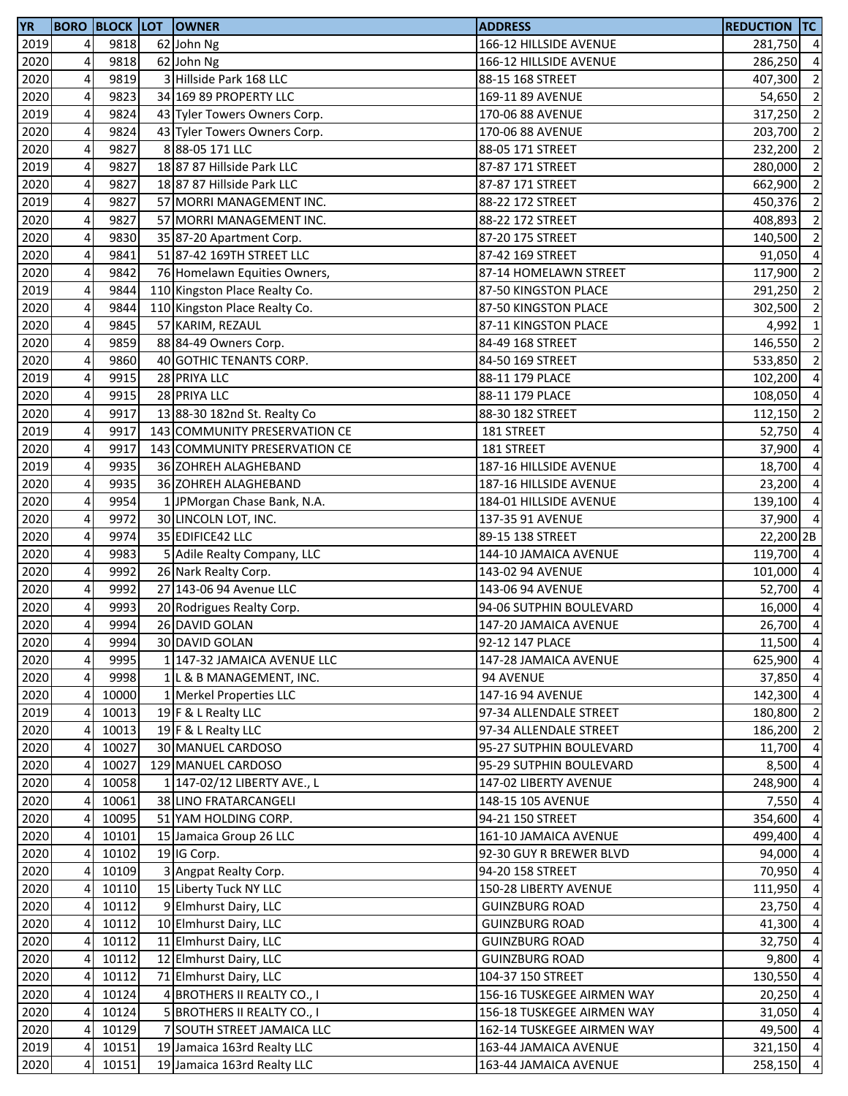| <b>YR</b> |   |       | <b>BORO BLOCK LOT OWNER</b>   | <b>ADDRESS</b>             | <b>REDUCTION TC</b> |                         |
|-----------|---|-------|-------------------------------|----------------------------|---------------------|-------------------------|
| 2019      | 4 | 9818  | 62 John Ng                    | 166-12 HILLSIDE AVENUE     | 281,750 4           |                         |
| 2020      | 4 | 9818  | 62 John Ng                    | 166-12 HILLSIDE AVENUE     | 286,250             | $\overline{4}$          |
| 2020      | 4 | 9819  | 3 Hillside Park 168 LLC       | 88-15 168 STREET           | 407,300             | $\overline{2}$          |
| 2020      | 4 | 9823  | 34 169 89 PROPERTY LLC        | 169-11 89 AVENUE           | 54,650 2            |                         |
| 2019      | 4 | 9824  | 43 Tyler Towers Owners Corp.  | 170-06 88 AVENUE           | $317,250$ 2         |                         |
| 2020      | 4 | 9824  | 43 Tyler Towers Owners Corp.  | 170-06 88 AVENUE           | 203,700             | $\overline{2}$          |
| 2020      | 4 | 9827  | 88-05 171 LLC                 | 88-05 171 STREET           | 232,200             | $\overline{2}$          |
| 2019      | 4 | 9827  | 18 87 87 Hillside Park LLC    | 87-87 171 STREET           | 280,000             | $\overline{2}$          |
| 2020      | 4 | 9827  | 18 87 87 Hillside Park LLC    | 87-87 171 STREET           | 662,900             | $\overline{2}$          |
| 2019      | 4 | 9827  | 57 MORRI MANAGEMENT INC.      | 88-22 172 STREET           | 450,376             | $\overline{2}$          |
| 2020      | 4 | 9827  | 57 MORRI MANAGEMENT INC.      | 88-22 172 STREET           | 408,893             | $\overline{\mathbf{c}}$ |
| 2020      | 4 | 9830  | 35 87-20 Apartment Corp.      | 87-20 175 STREET           | 140,500             | $\overline{2}$          |
| 2020      | 4 | 9841  | 51 87-42 169TH STREET LLC     | 87-42 169 STREET           | 91,050 4            |                         |
| 2020      | 4 | 9842  | 76 Homelawn Equities Owners,  | 87-14 HOMELAWN STREET      | 117,900             | $\overline{2}$          |
| 2019      | 4 | 9844  | 110 Kingston Place Realty Co. | 87-50 KINGSTON PLACE       | 291,250             | $\overline{2}$          |
| 2020      | 4 | 9844  | 110 Kingston Place Realty Co. | 87-50 KINGSTON PLACE       | 302,500             | $\overline{2}$          |
| 2020      | 4 | 9845  | 57 KARIM, REZAUL              | 87-11 KINGSTON PLACE       | 4,992               | $\mathbf{1}$            |
| 2020      | 4 | 9859  | 88 84-49 Owners Corp.         | 84-49 168 STREET           | 146,550             | $\overline{2}$          |
| 2020      | 4 | 9860  | 40 GOTHIC TENANTS CORP.       | 84-50 169 STREET           | 533,850             | $\overline{\mathbf{c}}$ |
|           |   | 9915  | 28 PRIYA LLC                  | 88-11 179 PLACE            |                     | $\overline{4}$          |
| 2019      | 4 |       | 28 PRIYA LLC                  |                            | 102,200             |                         |
| 2020      | 4 | 9915  |                               | 88-11 179 PLACE            | 108,050             | $\overline{4}$          |
| 2020      | 4 | 9917  | 13 88-30 182nd St. Realty Co  | 88-30 182 STREET           | 112,150             | $\overline{2}$          |
| 2019      | 4 | 9917  | 143 COMMUNITY PRESERVATION CE | 181 STREET                 | 52,750              | $\overline{4}$          |
| 2020      | 4 | 9917  | 143 COMMUNITY PRESERVATION CE | 181 STREET                 | 37,900              | $\overline{4}$          |
| 2019      | 4 | 9935  | 36 ZOHREH ALAGHEBAND          | 187-16 HILLSIDE AVENUE     | 18,700              | $\overline{4}$          |
| 2020      | 4 | 9935  | 36 ZOHREH ALAGHEBAND          | 187-16 HILLSIDE AVENUE     | 23,200              | $\overline{4}$          |
| 2020      | 4 | 9954  | 1 JPMorgan Chase Bank, N.A.   | 184-01 HILLSIDE AVENUE     | 139,100             | $\overline{4}$          |
| 2020      | 4 | 9972  | 30 LINCOLN LOT, INC.          | 137-35 91 AVENUE           | 37,900 4            |                         |
| 2020      | 4 | 9974  | 35 EDIFICE42 LLC              | 89-15 138 STREET           | 22,200 2B           |                         |
| 2020      | 4 | 9983  | 5 Adile Realty Company, LLC   | 144-10 JAMAICA AVENUE      | 119,700 4           |                         |
| 2020      | 4 | 9992  | 26 Nark Realty Corp.          | 143-02 94 AVENUE           | 101,000 4           |                         |
| 2020      | 4 | 9992  | 27 143-06 94 Avenue LLC       | 143-06 94 AVENUE           | 52,700 4            |                         |
| 2020      | 4 | 9993  | 20 Rodrigues Realty Corp.     | 94-06 SUTPHIN BOULEVARD    | 16,000              | $\overline{4}$          |
| 2020      | 4 | 9994  | 26 DAVID GOLAN                | 147-20 JAMAICA AVENUE      | $26,700$ 4          |                         |
| 2020      | 4 | 9994  | 30 DAVID GOLAN                | 92-12 147 PLACE            | 11,500 4            |                         |
| 2020      | 4 | 9995  | 1 147-32 JAMAICA AVENUE LLC   | 147-28 JAMAICA AVENUE      | 625,900 4           |                         |
| 2020      | 4 | 9998  | 1 L & B MANAGEMENT, INC.      | 94 AVENUE                  | 37,850              | $\overline{4}$          |
| 2020      | 4 | 10000 | 1 Merkel Properties LLC       | 147-16 94 AVENUE           | 142,300 4           |                         |
| 2019      | 4 | 10013 | 19 F & L Realty LLC           | 97-34 ALLENDALE STREET     | 180,800             | $\overline{2}$          |
| 2020      | 4 | 10013 | 19 F & L Realty LLC           | 97-34 ALLENDALE STREET     | 186,200             | $\overline{2}$          |
| 2020      | 4 | 10027 | 30 MANUEL CARDOSO             | 95-27 SUTPHIN BOULEVARD    | 11,700              | $\overline{4}$          |
| 2020      | 4 | 10027 | 129 MANUEL CARDOSO            | 95-29 SUTPHIN BOULEVARD    | 8,500               | $\overline{4}$          |
| 2020      | 4 | 10058 | 1 147-02/12 LIBERTY AVE., L   | 147-02 LIBERTY AVENUE      | 248,900             | $\overline{4}$          |
| 2020      | 4 | 10061 | 38 LINO FRATARCANGELI         | 148-15 105 AVENUE          | 7,550               | $\overline{4}$          |
| 2020      | 4 | 10095 | 51 YAM HOLDING CORP.          | 94-21 150 STREET           | 354,600             | $\overline{4}$          |
| 2020      | 4 | 10101 | 15 Jamaica Group 26 LLC       | 161-10 JAMAICA AVENUE      | 499,400             | $\overline{4}$          |
| 2020      | 4 | 10102 | 19 IG Corp.                   | 92-30 GUY R BREWER BLVD    | 94,000 4            |                         |
| 2020      | 4 | 10109 | 3 Angpat Realty Corp.         | 94-20 158 STREET           | 70,950 4            |                         |
| 2020      | 4 | 10110 | 15 Liberty Tuck NY LLC        | 150-28 LIBERTY AVENUE      | 111,950 4           |                         |
| 2020      | 4 | 10112 | 9 Elmhurst Dairy, LLC         | <b>GUINZBURG ROAD</b>      | 23,750 4            |                         |
| 2020      | 4 | 10112 | 10 Elmhurst Dairy, LLC        | <b>GUINZBURG ROAD</b>      | 41,300              | $\overline{4}$          |
| 2020      | 4 | 10112 | 11 Elmhurst Dairy, LLC        | <b>GUINZBURG ROAD</b>      | 32,750              | $\overline{4}$          |
| 2020      | 4 | 10112 | 12 Elmhurst Dairy, LLC        | <b>GUINZBURG ROAD</b>      | 9,800               | $\overline{4}$          |
| 2020      | 4 | 10112 | 71 Elmhurst Dairy, LLC        | 104-37 150 STREET          | 130,550             | $\overline{4}$          |
| 2020      | 4 | 10124 | 4 BROTHERS II REALTY CO., I   | 156-16 TUSKEGEE AIRMEN WAY | 20,250              | $\overline{4}$          |
| 2020      | 4 | 10124 | 5 BROTHERS II REALTY CO., I   | 156-18 TUSKEGEE AIRMEN WAY | 31,050 4            |                         |
| 2020      | 4 | 10129 | 7 SOUTH STREET JAMAICA LLC    | 162-14 TUSKEGEE AIRMEN WAY | 49,500 4            |                         |
| 2019      | 4 | 10151 | 19 Jamaica 163rd Realty LLC   | 163-44 JAMAICA AVENUE      | 321,150 4           |                         |
| 2020      | 4 | 10151 | 19 Jamaica 163rd Realty LLC   | 163-44 JAMAICA AVENUE      | 258,150 4           |                         |
|           |   |       |                               |                            |                     |                         |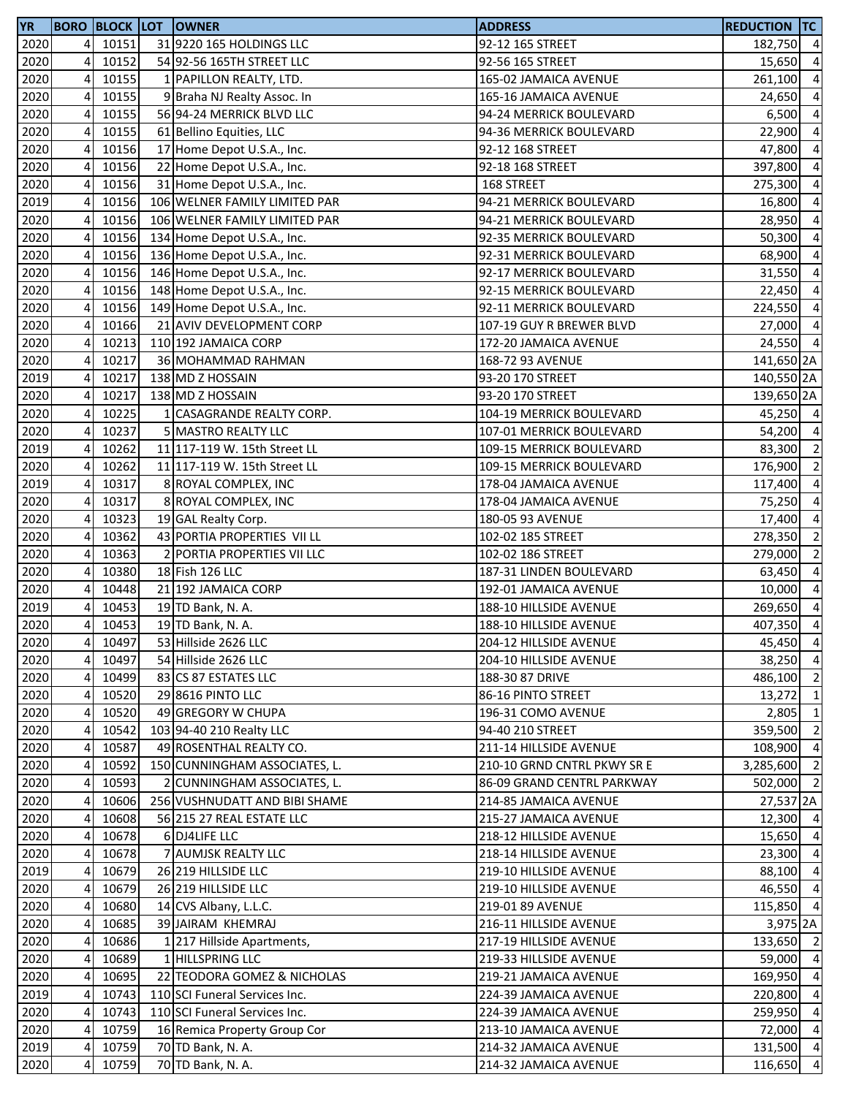| <b>YR</b> |    |       | <b>BORO BLOCK LOT OWNER</b>   | <b>ADDRESS</b>              | <b>REDUCTION TC</b> |                |
|-----------|----|-------|-------------------------------|-----------------------------|---------------------|----------------|
| 2020      | 4  | 10151 | 31 9220 165 HOLDINGS LLC      | 92-12 165 STREET            | 182,750 4           |                |
| 2020      | 4  | 10152 | 54 92-56 165TH STREET LLC     | 92-56 165 STREET            | 15,650              | $\overline{4}$ |
| 2020      | 4  | 10155 | 1 PAPILLON REALTY, LTD.       | 165-02 JAMAICA AVENUE       | 261,100             | $\overline{4}$ |
| 2020      | 4  | 10155 | 9 Braha NJ Realty Assoc. In   | 165-16 JAMAICA AVENUE       | 24,650              | $\overline{4}$ |
| 2020      | 4  | 10155 | 56 94-24 MERRICK BLVD LLC     | 94-24 MERRICK BOULEVARD     | 6,500               | $\overline{4}$ |
| 2020      | 4  | 10155 | 61 Bellino Equities, LLC      | 94-36 MERRICK BOULEVARD     | 22,900              | $\overline{4}$ |
| 2020      | 4  | 10156 | 17 Home Depot U.S.A., Inc.    | 92-12 168 STREET            | 47,800              | $\overline{4}$ |
| 2020      | 4  | 10156 | 22 Home Depot U.S.A., Inc.    | 92-18 168 STREET            | 397,800             | $\overline{4}$ |
| 2020      | 4  | 10156 | 31 Home Depot U.S.A., Inc.    | 168 STREET                  | 275,300             | $\overline{4}$ |
| 2019      | 4  | 10156 | 106 WELNER FAMILY LIMITED PAR | 94-21 MERRICK BOULEVARD     | 16,800              | $\overline{4}$ |
| 2020      | 4  | 10156 | 106 WELNER FAMILY LIMITED PAR | 94-21 MERRICK BOULEVARD     | 28,950              | $\overline{4}$ |
| 2020      | 4  | 10156 | 134 Home Depot U.S.A., Inc.   | 92-35 MERRICK BOULEVARD     | 50,300              | $\overline{4}$ |
| 2020      | 4  | 10156 | 136 Home Depot U.S.A., Inc.   | 92-31 MERRICK BOULEVARD     | 68,900              | $\overline{4}$ |
| 2020      | 4  | 10156 | 146 Home Depot U.S.A., Inc.   | 92-17 MERRICK BOULEVARD     | 31,550              | $\overline{4}$ |
| 2020      | 4  | 10156 | 148 Home Depot U.S.A., Inc.   | 92-15 MERRICK BOULEVARD     | 22,450              | $\overline{4}$ |
| 2020      | 4  | 10156 | 149 Home Depot U.S.A., Inc.   | 92-11 MERRICK BOULEVARD     | 224,550             | $\overline{4}$ |
| 2020      | 4  | 10166 | 21 AVIV DEVELOPMENT CORP      | 107-19 GUY R BREWER BLVD    | 27,000              | $\overline{4}$ |
| 2020      | 4  | 10213 | 110 192 JAMAICA CORP          | 172-20 JAMAICA AVENUE       | 24,550 4            |                |
| 2020      | 4  | 10217 | 36 MOHAMMAD RAHMAN            | 168-72 93 AVENUE            | 141,650 2A          |                |
| 2019      | 4  | 10217 | 138 MD Z HOSSAIN              | 93-20 170 STREET            | 140,550 2A          |                |
| 2020      | 4  | 10217 | 138 MD Z HOSSAIN              | 93-20 170 STREET            | 139,650 2A          |                |
| 2020      | 4  | 10225 | 1 CASAGRANDE REALTY CORP.     | 104-19 MERRICK BOULEVARD    | 45,250 4            |                |
| 2020      | 4  | 10237 | 5 MASTRO REALTY LLC           | 107-01 MERRICK BOULEVARD    | 54,200 4            |                |
| 2019      | 4  | 10262 | 11 117-119 W. 15th Street LL  | 109-15 MERRICK BOULEVARD    | 83,300              | $\overline{2}$ |
| 2020      | 4  | 10262 | 11 117-119 W. 15th Street LL  | 109-15 MERRICK BOULEVARD    | 176,900             | $\overline{2}$ |
| 2019      | 4  | 10317 | 8 ROYAL COMPLEX, INC          | 178-04 JAMAICA AVENUE       | 117,400             | $\overline{4}$ |
| 2020      | 4  | 10317 | 8 ROYAL COMPLEX, INC          | 178-04 JAMAICA AVENUE       | 75,250              | $\overline{4}$ |
| 2020      | 4  | 10323 | 19 GAL Realty Corp.           | 180-05 93 AVENUE            | 17,400              | $\overline{4}$ |
| 2020      | 4  | 10362 | 43 PORTIA PROPERTIES VII LL   | 102-02 185 STREET           | 278,350             | $\overline{2}$ |
| 2020      | 4  | 10363 | 2 PORTIA PROPERTIES VII LLC   | 102-02 186 STREET           | 279,000             | $\overline{2}$ |
| 2020      | 4  | 10380 | 18 Fish 126 LLC               | 187-31 LINDEN BOULEVARD     | 63,450              | $\overline{4}$ |
| 2020      | 4  | 10448 | 21 192 JAMAICA CORP           | 192-01 JAMAICA AVENUE       | 10,000 4            |                |
| 2019      | 4  | 10453 | 19 TD Bank, N. A.             | 188-10 HILLSIDE AVENUE      | 269,650             | $\overline{4}$ |
| 2020      | 4  | 10453 | 19 TD Bank, N. A.             | 188-10 HILLSIDE AVENUE      | 407,350 4           |                |
| 2020      | 41 | 10497 | 53 Hillside 2626 LLC          | 204-12 HILLSIDE AVENUE      | 45,450 4            |                |
| 2020      | 4  | 10497 | 54 Hillside 2626 LLC          | 204-10 HILLSIDE AVENUE      | 38,250 4            |                |
| 2020      | 4  | 10499 | 83 CS 87 ESTATES LLC          | 188-30 87 DRIVE             | 486,100 2           |                |
| 2020      | 4  | 10520 | 29 8616 PINTO LLC             | 86-16 PINTO STREET          | $13,272$ 1          |                |
| 2020      | 4  | 10520 | 49 GREGORY W CHUPA            | 196-31 COMO AVENUE          | 2,805               | $\mathbf{1}$   |
| 2020      | 4  | 10542 | 103 94-40 210 Realty LLC      | 94-40 210 STREET            | 359,500             | $\overline{2}$ |
| 2020      | 4  | 10587 | 49 ROSENTHAL REALTY CO.       | 211-14 HILLSIDE AVENUE      | 108,900             | $\overline{4}$ |
| 2020      | 4  | 10592 | 150 CUNNINGHAM ASSOCIATES, L. | 210-10 GRND CNTRL PKWY SR E | 3,285,600           | $\overline{2}$ |
| 2020      | 4  | 10593 | 2 CUNNINGHAM ASSOCIATES, L.   | 86-09 GRAND CENTRL PARKWAY  | 502,000 2           |                |
| 2020      | 4  | 10606 | 256 VUSHNUDATT AND BIBI SHAME | 214-85 JAMAICA AVENUE       | 27,537 2A           |                |
| 2020      | 4  | 10608 | 56 215 27 REAL ESTATE LLC     | 215-27 JAMAICA AVENUE       | $12,300$ 4          |                |
| 2020      | 4  | 10678 | 6 DJ4LIFE LLC                 | 218-12 HILLSIDE AVENUE      | 15,650 4            |                |
| 2020      | 4  | 10678 | 7 AUMJSK REALTY LLC           | 218-14 HILLSIDE AVENUE      | 23,300 4            |                |
| 2019      | 4  | 10679 | 26 219 HILLSIDE LLC           | 219-10 HILLSIDE AVENUE      | 88,100 4            |                |
| 2020      | 4  | 10679 | 26 219 HILLSIDE LLC           | 219-10 HILLSIDE AVENUE      | 46,550 4            |                |
| 2020      | 4  | 10680 | 14 CVS Albany, L.L.C.         | 219-01 89 AVENUE            | 115,850 4           |                |
| 2020      | 4  | 10685 | 39 JAIRAM KHEMRAJ             | 216-11 HILLSIDE AVENUE      | 3,975 2A            |                |
| 2020      | 4  | 10686 | 1 217 Hillside Apartments,    | 217-19 HILLSIDE AVENUE      | 133,650 2           |                |
| 2020      | 4  | 10689 | 1 HILLSPRING LLC              | 219-33 HILLSIDE AVENUE      | 59,000 4            |                |
| 2020      | 4  | 10695 | 22 TEODORA GOMEZ & NICHOLAS   | 219-21 JAMAICA AVENUE       | 169,950 4           |                |
| 2019      | 4  | 10743 | 110 SCI Funeral Services Inc. | 224-39 JAMAICA AVENUE       | 220,800 4           |                |
| 2020      | 4  | 10743 | 110 SCI Funeral Services Inc. | 224-39 JAMAICA AVENUE       | 259,950 4           |                |
| 2020      | 4  | 10759 | 16 Remica Property Group Cor  | 213-10 JAMAICA AVENUE       | 72,000 4            |                |
| 2019      | 4  | 10759 | 70 TD Bank, N. A.             | 214-32 JAMAICA AVENUE       | 131,500 4           |                |
| 2020      | 4  | 10759 | 70 TD Bank, N. A.             | 214-32 JAMAICA AVENUE       | 116,650 4           |                |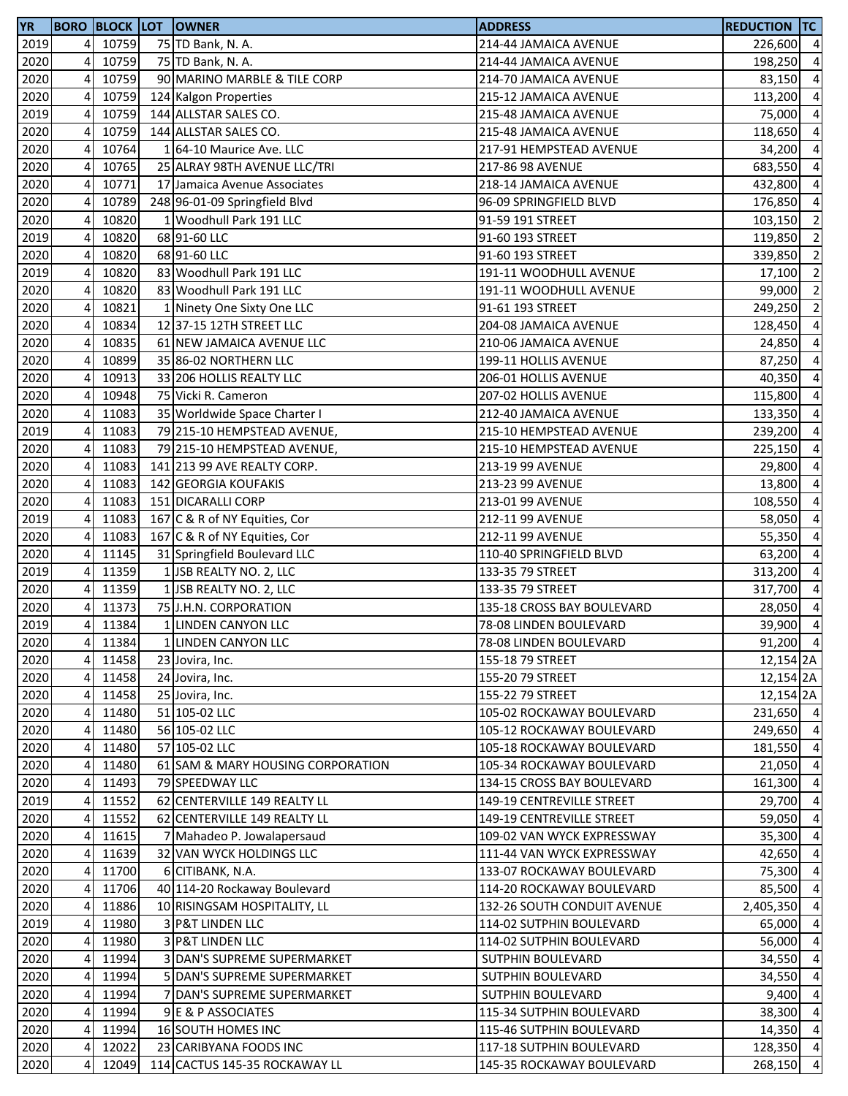| <b>YR</b> |                |         | <b>BORO BLOCK LOT OWNER</b>       | <b>ADDRESS</b>              | <b>REDUCTION TC</b>  |                         |
|-----------|----------------|---------|-----------------------------------|-----------------------------|----------------------|-------------------------|
| 2019      | $\overline{4}$ | 10759   | 75 TD Bank, N. A.                 | 214-44 JAMAICA AVENUE       | 226,600 4            |                         |
| 2020      | 4              | 10759   | 75 TD Bank, N. A.                 | 214-44 JAMAICA AVENUE       | 198,250              | $\overline{a}$          |
| 2020      | 4              | 10759   | 90 MARINO MARBLE & TILE CORP      | 214-70 JAMAICA AVENUE       | 83,150               | $\overline{a}$          |
| 2020      | 4              | 10759   | 124 Kalgon Properties             | 215-12 JAMAICA AVENUE       | 113,200              | $\overline{a}$          |
| 2019      | 4              | 10759   | 144 ALLSTAR SALES CO.             | 215-48 JAMAICA AVENUE       | 75,000               | $\overline{a}$          |
| 2020      | 4              | 10759   | 144 ALLSTAR SALES CO.             | 215-48 JAMAICA AVENUE       | 118,650              | $\overline{a}$          |
| 2020      | 4              | 10764   | 164-10 Maurice Ave. LLC           | 217-91 HEMPSTEAD AVENUE     | 34,200               | $\overline{a}$          |
| 2020      | 4              | 10765   | 25 ALRAY 98TH AVENUE LLC/TRI      | 217-86 98 AVENUE            | 683,550              | $\overline{a}$          |
| 2020      | 4              | 10771   | 17 Jamaica Avenue Associates      | 218-14 JAMAICA AVENUE       | 432,800              | $\overline{a}$          |
| 2020      | 4              | 10789   | 248 96-01-09 Springfield Blvd     | 96-09 SPRINGFIELD BLVD      | 176,850              | $\overline{a}$          |
| 2020      | 4              | 10820   | 1 Woodhull Park 191 LLC           | 91-59 191 STREET            | 103,150              | $\overline{2}$          |
| 2019      | 4              | 10820   | 68 91-60 LLC                      | 91-60 193 STREET            | 119,850              | $\overline{2}$          |
| 2020      | 4              | 10820   | 68 91-60 LLC                      | 91-60 193 STREET            | 339,850              | $\overline{\mathbf{c}}$ |
| 2019      | 4              | 10820   | 83 Woodhull Park 191 LLC          | 191-11 WOODHULL AVENUE      | 17,100               | $\overline{2}$          |
| 2020      | 4              | 10820   | 83 Woodhull Park 191 LLC          | 191-11 WOODHULL AVENUE      | 99,000               | $\overline{2}$          |
| 2020      | 4              | 10821   | 1 Ninety One Sixty One LLC        | 91-61 193 STREET            | 249,250              | $\overline{2}$          |
| 2020      | 4              | 10834   | 12 37-15 12TH STREET LLC          | 204-08 JAMAICA AVENUE       | 128,450              | $\overline{a}$          |
| 2020      | 4              | 10835   | 61 NEW JAMAICA AVENUE LLC         | 210-06 JAMAICA AVENUE       | 24,850               | $\overline{a}$          |
| 2020      | 4              | 10899   | 35 86-02 NORTHERN LLC             | 199-11 HOLLIS AVENUE        | 87,250               | $\overline{a}$          |
| 2020      | 4              | 10913   | 33 206 HOLLIS REALTY LLC          | 206-01 HOLLIS AVENUE        | 40,350               | $\overline{a}$          |
| 2020      | 4              | 10948   | 75 Vicki R. Cameron               | 207-02 HOLLIS AVENUE        | 115,800              | $\overline{a}$          |
| 2020      | 4              | 11083   | 35 Worldwide Space Charter I      | 212-40 JAMAICA AVENUE       | 133,350              | $\overline{4}$          |
| 2019      | 4              | 11083   | 79 215-10 HEMPSTEAD AVENUE,       | 215-10 HEMPSTEAD AVENUE     | 239,200              | $\overline{a}$          |
| 2020      | 4              | 11083   | 79 215-10 HEMPSTEAD AVENUE,       | 215-10 HEMPSTEAD AVENUE     | 225,150              | $\overline{4}$          |
| 2020      | 4              | 11083   | 141 213 99 AVE REALTY CORP.       | 213-19 99 AVENUE            | 29,800               | $\overline{a}$          |
| 2020      | 4              | 11083   | 142 GEORGIA KOUFAKIS              | 213-23 99 AVENUE            | 13,800               | $\overline{a}$          |
| 2020      | $\overline{4}$ | 11083   | 151 DICARALLI CORP                | 213-01 99 AVENUE            | 108,550              | $\overline{a}$          |
| 2019      | 4              | 11083   | 167 C & R of NY Equities, Cor     | 212-11 99 AVENUE            | 58,050               | $\overline{a}$          |
| 2020      | 4              | 11083   | 167 C & R of NY Equities, Cor     | 212-11 99 AVENUE            | 55,350               | $\overline{a}$          |
| 2020      | $\overline{a}$ | 11145   | 31 Springfield Boulevard LLC      | 110-40 SPRINGFIELD BLVD     | 63,200               | $\overline{4}$          |
| 2019      | 4              | 11359   | 1 JSB REALTY NO. 2, LLC           | 133-35 79 STREET            | 313,200              | $\overline{4}$          |
| 2020      | 4              | 11359   | 1 JSB REALTY NO. 2, LLC           | 133-35 79 STREET            | 317,700              | $\overline{4}$          |
| 2020      | 4              | 11373   | 75 J.H.N. CORPORATION             | 135-18 CROSS BAY BOULEVARD  | 28,050               | $\overline{a}$          |
| 2019      | 4              | 11384   | 1 LINDEN CANYON LLC               | 78-08 LINDEN BOULEVARD      | 39,900               | $\overline{4}$          |
| 2020      |                | 4 11384 | 1 LINDEN CANYON LLC               | 78-08 LINDEN BOULEVARD      | 91,200 4             |                         |
| 2020      | 4              | 11458   | 23 Jovira, Inc.                   | 155-18 79 STREET            | 12,154 2A            |                         |
| 2020      | 4              | 11458   | 24 Jovira, Inc.                   | 155-20 79 STREET            | 12,154 2A            |                         |
| 2020      | 4              | 11458   | 25 Jovira, Inc.                   | 155-22 79 STREET            | 12,154 <sub>2A</sub> |                         |
| 2020      | $\overline{4}$ | 11480   | 51 105-02 LLC                     | 105-02 ROCKAWAY BOULEVARD   | 231,650 4            |                         |
| 2020      | 4              | 11480   | 56 105-02 LLC                     | 105-12 ROCKAWAY BOULEVARD   | 249,650 4            |                         |
| 2020      | 4              | 11480   | 57 105-02 LLC                     | 105-18 ROCKAWAY BOULEVARD   | 181,550              | $\overline{4}$          |
| 2020      | 4              | 11480   | 61 SAM & MARY HOUSING CORPORATION | 105-34 ROCKAWAY BOULEVARD   | 21,050               | $\overline{a}$          |
| 2020      | 4              | 11493   | 79 SPEEDWAY LLC                   | 134-15 CROSS BAY BOULEVARD  | 161,300              | $\overline{4}$          |
| 2019      | 4              | 11552   | 62 CENTERVILLE 149 REALTY LL      | 149-19 CENTREVILLE STREET   | 29,700               | $\overline{a}$          |
| 2020      | 4              | 11552   | 62 CENTERVILLE 149 REALTY LL      | 149-19 CENTREVILLE STREET   | 59,050               | $\overline{a}$          |
| 2020      | 4              | 11615   | 7 Mahadeo P. Jowalapersaud        | 109-02 VAN WYCK EXPRESSWAY  | 35,300               | $\overline{4}$          |
| 2020      | $\overline{4}$ | 11639   | 32 VAN WYCK HOLDINGS LLC          | 111-44 VAN WYCK EXPRESSWAY  | 42,650               | $\overline{4}$          |
| 2020      | 4              | 11700   | 6 CITIBANK, N.A.                  | 133-07 ROCKAWAY BOULEVARD   | 75,300               | $\overline{4}$          |
| 2020      | 4              | 11706   | 40 114-20 Rockaway Boulevard      | 114-20 ROCKAWAY BOULEVARD   | 85,500               | $\overline{4}$          |
| 2020      | 4              | 11886   | 10 RISINGSAM HOSPITALITY, LL      | 132-26 SOUTH CONDUIT AVENUE | 2,405,350            | $\overline{4}$          |
| 2019      | 4              | 11980   | 3 P&T LINDEN LLC                  | 114-02 SUTPHIN BOULEVARD    | 65,000               | $\overline{a}$          |
| 2020      | 4              | 11980   | <b>3 P&amp;T LINDEN LLC</b>       | 114-02 SUTPHIN BOULEVARD    | 56,000               | $\overline{a}$          |
| 2020      | 4              | 11994   | 3 DAN'S SUPREME SUPERMARKET       | SUTPHIN BOULEVARD           | 34,550               | $\overline{4}$          |
| 2020      | 4              | 11994   | 5 DAN'S SUPREME SUPERMARKET       | SUTPHIN BOULEVARD           | 34,550               | $\overline{a}$          |
| 2020      | $\overline{4}$ | 11994   | 7 DAN'S SUPREME SUPERMARKET       | SUTPHIN BOULEVARD           | 9,400                | $\overline{a}$          |
| 2020      | 4              | 11994   | 9 E & P ASSOCIATES                | 115-34 SUTPHIN BOULEVARD    | 38,300               | $\overline{4}$          |
| 2020      | 4              | 11994   | 16 SOUTH HOMES INC                | 115-46 SUTPHIN BOULEVARD    | 14,350               | $\overline{4}$          |
| 2020      | 4              | 12022   | 23 CARIBYANA FOODS INC            | 117-18 SUTPHIN BOULEVARD    | 128,350              | $\overline{4}$          |
| 2020      | 4              | 12049   | 114 CACTUS 145-35 ROCKAWAY LL     | 145-35 ROCKAWAY BOULEVARD   | 268,150              | $\overline{a}$          |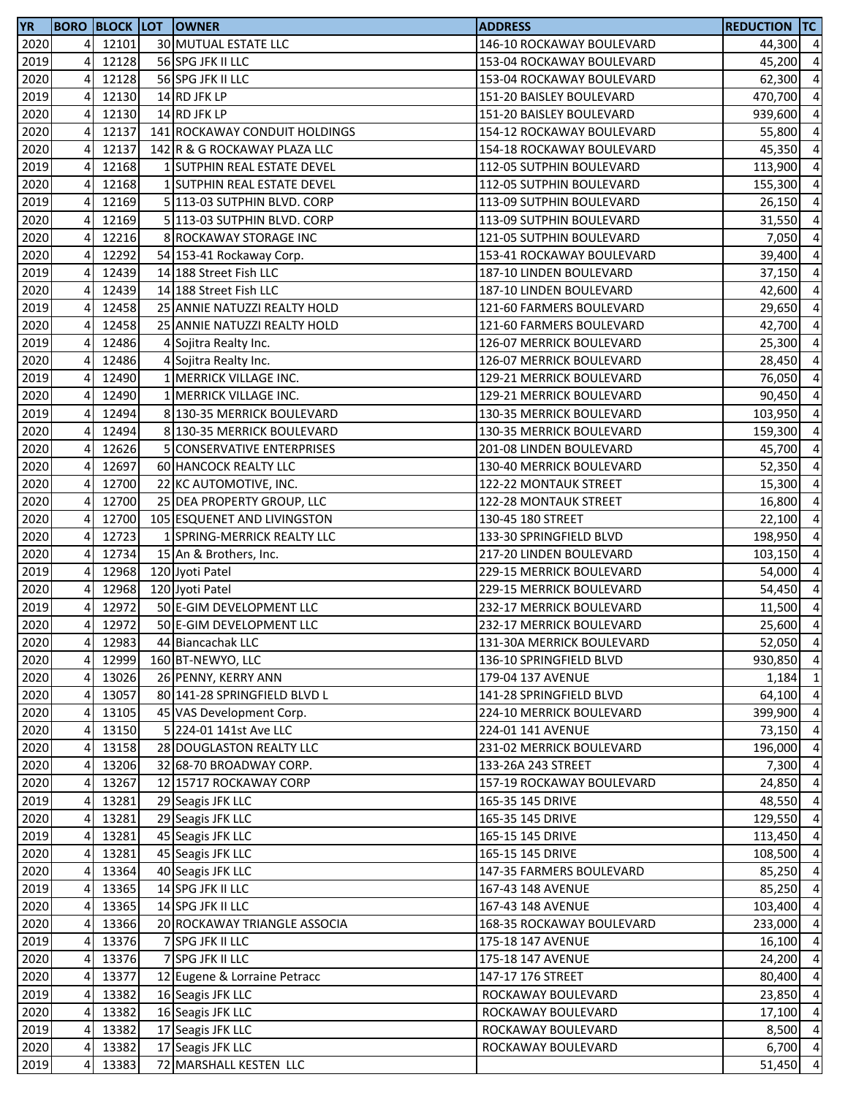| <b>YR</b> |   |       | <b>BORO BLOCK LOT OWNER</b>   | <b>ADDRESS</b>            | <b>REDUCTION TC</b> |                |
|-----------|---|-------|-------------------------------|---------------------------|---------------------|----------------|
| 2020      | 4 | 12101 | 30 MUTUAL ESTATE LLC          | 146-10 ROCKAWAY BOULEVARD | 44,300 4            |                |
| 2019      | 4 | 12128 | 56 SPG JFK II LLC             | 153-04 ROCKAWAY BOULEVARD | 45,200              | $\overline{a}$ |
| 2020      | 4 | 12128 | 56 SPG JFK II LLC             | 153-04 ROCKAWAY BOULEVARD | 62,300              | $\overline{4}$ |
| 2019      | 4 | 12130 | 14 RD JFK LP                  | 151-20 BAISLEY BOULEVARD  | 470,700             | $\overline{4}$ |
| 2020      | 4 | 12130 | 14 RD JFK LP                  | 151-20 BAISLEY BOULEVARD  | 939,600             | $\overline{a}$ |
| 2020      | 4 | 12137 | 141 ROCKAWAY CONDUIT HOLDINGS | 154-12 ROCKAWAY BOULEVARD | 55,800              | $\overline{4}$ |
| 2020      | 4 | 12137 | 142 R & G ROCKAWAY PLAZA LLC  | 154-18 ROCKAWAY BOULEVARD | 45,350              | $\overline{a}$ |
| 2019      | 4 | 12168 | 1 SUTPHIN REAL ESTATE DEVEL   | 112-05 SUTPHIN BOULEVARD  | 113,900             | 4              |
| 2020      | 4 | 12168 | 1 SUTPHIN REAL ESTATE DEVEL   | 112-05 SUTPHIN BOULEVARD  | 155,300             | $\overline{a}$ |
| 2019      | 4 | 12169 | 5 113-03 SUTPHIN BLVD. CORP   | 113-09 SUTPHIN BOULEVARD  | 26,150              | $\overline{4}$ |
| 2020      | 4 | 12169 | 5 113-03 SUTPHIN BLVD. CORP   | 113-09 SUTPHIN BOULEVARD  | 31,550              | $\overline{4}$ |
| 2020      | 4 | 12216 | 8 ROCKAWAY STORAGE INC        | 121-05 SUTPHIN BOULEVARD  | 7,050               | $\overline{4}$ |
| 2020      | 4 | 12292 | 54 153-41 Rockaway Corp.      | 153-41 ROCKAWAY BOULEVARD | 39,400              | $\overline{a}$ |
| 2019      | 4 | 12439 | 14 188 Street Fish LLC        | 187-10 LINDEN BOULEVARD   | 37,150              | $\overline{4}$ |
| 2020      | 4 | 12439 | 14 188 Street Fish LLC        | 187-10 LINDEN BOULEVARD   | 42,600              | $\overline{4}$ |
| 2019      | 4 | 12458 | 25 ANNIE NATUZZI REALTY HOLD  | 121-60 FARMERS BOULEVARD  | 29,650              | $\overline{4}$ |
| 2020      | 4 | 12458 | 25 ANNIE NATUZZI REALTY HOLD  | 121-60 FARMERS BOULEVARD  | 42,700              | $\overline{a}$ |
| 2019      | 4 | 12486 | 4 Sojitra Realty Inc.         | 126-07 MERRICK BOULEVARD  | 25,300              | $\overline{a}$ |
| 2020      | 4 | 12486 | 4 Sojitra Realty Inc.         | 126-07 MERRICK BOULEVARD  | 28,450              | $\overline{4}$ |
| 2019      | 4 | 12490 | 1 MERRICK VILLAGE INC.        | 129-21 MERRICK BOULEVARD  | 76,050              | $\overline{4}$ |
| 2020      | 4 | 12490 | 1 MERRICK VILLAGE INC.        | 129-21 MERRICK BOULEVARD  | 90,450              | $\overline{a}$ |
| 2019      | 4 | 12494 | 8 130-35 MERRICK BOULEVARD    | 130-35 MERRICK BOULEVARD  | 103,950             | $\overline{a}$ |
| 2020      | 4 | 12494 | 8 130-35 MERRICK BOULEVARD    | 130-35 MERRICK BOULEVARD  | 159,300             | $\overline{4}$ |
| 2020      | 4 | 12626 | 5 CONSERVATIVE ENTERPRISES    | 201-08 LINDEN BOULEVARD   | 45,700              | $\overline{4}$ |
| 2020      | 4 | 12697 | 60 HANCOCK REALTY LLC         | 130-40 MERRICK BOULEVARD  | 52,350              | 4              |
| 2020      | 4 | 12700 | 22 KC AUTOMOTIVE, INC.        | 122-22 MONTAUK STREET     | 15,300              | $\overline{a}$ |
| 2020      | 4 | 12700 | 25 DEA PROPERTY GROUP, LLC    | 122-28 MONTAUK STREET     | 16,800              | $\overline{4}$ |
| 2020      | 4 | 12700 | 105 ESQUENET AND LIVINGSTON   | 130-45 180 STREET         | 22,100              | $\overline{a}$ |
| 2020      | 4 | 12723 | 1 SPRING-MERRICK REALTY LLC   | 133-30 SPRINGFIELD BLVD   | 198,950             | $\overline{4}$ |
| 2020      | 4 | 12734 | 15 An & Brothers, Inc.        | 217-20 LINDEN BOULEVARD   | 103,150             | $\overline{a}$ |
| 2019      | 4 | 12968 | 120 Jyoti Patel               | 229-15 MERRICK BOULEVARD  | 54,000              | $\overline{4}$ |
| 2020      | 4 | 12968 | 120 Jyoti Patel               | 229-15 MERRICK BOULEVARD  | 54,450              | $\overline{4}$ |
| 2019      | 4 | 12972 | 50 E-GIM DEVELOPMENT LLC      | 232-17 MERRICK BOULEVARD  | 11,500              | $\overline{4}$ |
| 2020      | 4 | 12972 | 50 E-GIM DEVELOPMENT LLC      | 232-17 MERRICK BOULEVARD  | 25,600              | $\overline{4}$ |
| 2020      | 4 | 12983 | 44 Biancachak LLC             | 131-30A MERRICK BOULEVARD | 52,050 4            |                |
| 2020      | 4 | 12999 | 160 BT-NEWYO, LLC             | 136-10 SPRINGFIELD BLVD   | 930,850 4           |                |
| 2020      | 4 | 13026 | 26 PENNY, KERRY ANN           | 179-04 137 AVENUE         | 1,184               | $\mathbf{1}$   |
| 2020      | 4 | 13057 | 80 141-28 SPRINGFIELD BLVD L  | 141-28 SPRINGFIELD BLVD   | 64,100 4            |                |
| 2020      | 4 | 13105 | 45 VAS Development Corp.      | 224-10 MERRICK BOULEVARD  | 399,900 4           |                |
| 2020      | 4 | 13150 | 5 224-01 141st Ave LLC        | 224-01 141 AVENUE         | 73,150              | $\overline{4}$ |
| 2020      | 4 | 13158 | 28 DOUGLASTON REALTY LLC      | 231-02 MERRICK BOULEVARD  | 196,000             | $\overline{4}$ |
| 2020      | 4 | 13206 | 32 68-70 BROADWAY CORP.       | 133-26A 243 STREET        | 7,300 4             |                |
| 2020      | 4 | 13267 | 12 15717 ROCKAWAY CORP        | 157-19 ROCKAWAY BOULEVARD | 24,850              | $\overline{4}$ |
| 2019      | 4 | 13281 | 29 Seagis JFK LLC             | 165-35 145 DRIVE          | 48,550              | $\overline{4}$ |
| 2020      | 4 | 13281 | 29 Seagis JFK LLC             | 165-35 145 DRIVE          | 129,550             | $\overline{a}$ |
| 2019      | 4 | 13281 | 45 Seagis JFK LLC             | 165-15 145 DRIVE          | 113,450 4           |                |
| 2020      | 4 | 13281 | 45 Seagis JFK LLC             | 165-15 145 DRIVE          | 108,500 4           |                |
| 2020      | 4 | 13364 | 40 Seagis JFK LLC             | 147-35 FARMERS BOULEVARD  | 85,250              | $\overline{4}$ |
| 2019      | 4 | 13365 | 14 SPG JFK II LLC             | 167-43 148 AVENUE         | 85,250 4            |                |
| 2020      | 4 | 13365 | 14 SPG JFK II LLC             | 167-43 148 AVENUE         | 103,400             | $\overline{4}$ |
| 2020      | 4 | 13366 | 20 ROCKAWAY TRIANGLE ASSOCIA  | 168-35 ROCKAWAY BOULEVARD | 233,000             | $\overline{4}$ |
| 2019      | 4 | 13376 | 7 SPG JFK II LLC              | 175-18 147 AVENUE         | 16,100              | $\overline{4}$ |
| 2020      | 4 | 13376 | 7 SPG JFK II LLC              | 175-18 147 AVENUE         | 24,200              | $\overline{4}$ |
| 2020      | 4 | 13377 | 12 Eugene & Lorraine Petracc  | 147-17 176 STREET         | 80,400              | $\overline{4}$ |
| 2019      | 4 | 13382 | 16 Seagis JFK LLC             | ROCKAWAY BOULEVARD        | 23,850              | $\overline{4}$ |
| 2020      | 4 | 13382 | 16 Seagis JFK LLC             | ROCKAWAY BOULEVARD        | 17,100              | $\overline{4}$ |
| 2019      | 4 | 13382 | 17 Seagis JFK LLC             | ROCKAWAY BOULEVARD        | 8,500               | $\overline{4}$ |
| 2020      | 4 | 13382 | 17 Seagis JFK LLC             | ROCKAWAY BOULEVARD        | 6,700 4             |                |
| 2019      | 4 | 13383 | 72 MARSHALL KESTEN LLC        |                           | 51,450 4            |                |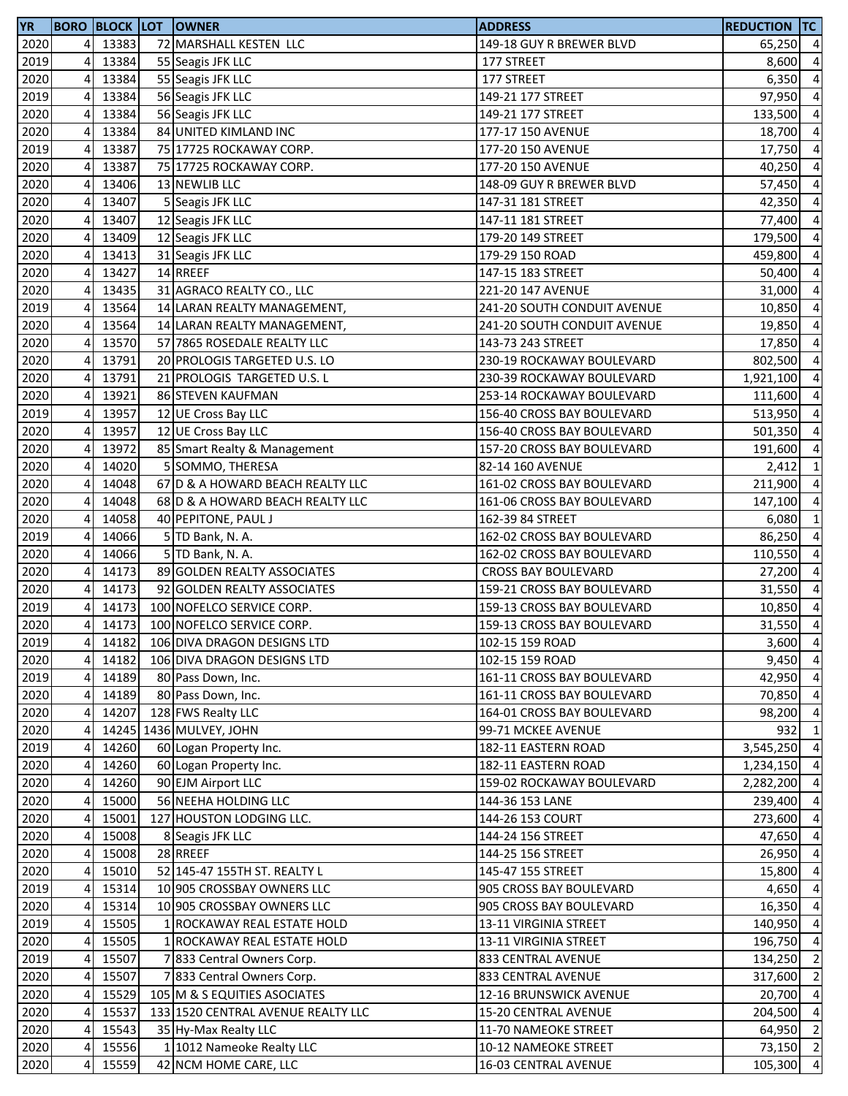| <b>YR</b> |                |       | <b>BORO BLOCK LOT OWNER</b>        | <b>ADDRESS</b>              | <b>REDUCTION TC</b> |                         |
|-----------|----------------|-------|------------------------------------|-----------------------------|---------------------|-------------------------|
| 2020      | 4              | 13383 | 72 MARSHALL KESTEN LLC             | 149-18 GUY R BREWER BLVD    | 65,250 4            |                         |
| 2019      | 4              | 13384 | 55 Seagis JFK LLC                  | 177 STREET                  | 8,600               | $\overline{a}$          |
| 2020      | 4              | 13384 | 55 Seagis JFK LLC                  | 177 STREET                  | 6,350               | $\overline{a}$          |
| 2019      | 4              | 13384 | 56 Seagis JFK LLC                  | 149-21 177 STREET           | 97,950              | $\pmb{4}$               |
| 2020      | 4              | 13384 | 56 Seagis JFK LLC                  | 149-21 177 STREET           | 133,500             | $\overline{a}$          |
| 2020      | 4              | 13384 | 84 UNITED KIMLAND INC              | 177-17 150 AVENUE           | 18,700              | $\overline{4}$          |
| 2019      | 4              | 13387 | 75 17725 ROCKAWAY CORP.            | 177-20 150 AVENUE           | 17,750              | $\overline{4}$          |
| 2020      | 4              | 13387 | 75 17725 ROCKAWAY CORP.            | 177-20 150 AVENUE           | 40,250              | $\overline{\mathbf{4}}$ |
| 2020      | 4              | 13406 | 13 NEWLIB LLC                      | 148-09 GUY R BREWER BLVD    | 57,450              | $\overline{a}$          |
| 2020      | 4              | 13407 | 5 Seagis JFK LLC                   | 147-31 181 STREET           | 42,350              | $\overline{a}$          |
| 2020      | 4              | 13407 | 12 Seagis JFK LLC                  | 147-11 181 STREET           | 77,400              | $\overline{a}$          |
| 2020      | 4              | 13409 | 12 Seagis JFK LLC                  | 179-20 149 STREET           | 179,500             | $\overline{a}$          |
| 2020      | 4              | 13413 | 31 Seagis JFK LLC                  | 179-29 150 ROAD             | 459,800             | $\overline{a}$          |
| 2020      | $\overline{4}$ | 13427 | 14 RREEF                           | 147-15 183 STREET           | 50,400              | $\overline{a}$          |
| 2020      | 4              | 13435 | 31 AGRACO REALTY CO., LLC          | 221-20 147 AVENUE           | 31,000              | $\overline{a}$          |
| 2019      | 4              | 13564 | 14 LARAN REALTY MANAGEMENT,        | 241-20 SOUTH CONDUIT AVENUE | 10,850              | $\overline{a}$          |
| 2020      | 4              | 13564 | 14 LARAN REALTY MANAGEMENT,        | 241-20 SOUTH CONDUIT AVENUE | 19,850              | $\overline{a}$          |
| 2020      | 4              | 13570 | 57 7865 ROSEDALE REALTY LLC        | 143-73 243 STREET           | 17,850              | $\overline{a}$          |
| 2020      | 4              | 13791 | 20 PROLOGIS TARGETED U.S. LO       | 230-19 ROCKAWAY BOULEVARD   | 802,500             | $\overline{a}$          |
| 2020      | 4              | 13791 | 21 PROLOGIS TARGETED U.S. L        | 230-39 ROCKAWAY BOULEVARD   | 1,921,100           | $\overline{\mathbf{4}}$ |
| 2020      | 4              | 13921 | 86 STEVEN KAUFMAN                  | 253-14 ROCKAWAY BOULEVARD   | 111,600             | $\overline{a}$          |
| 2019      | 4              | 13957 | 12 UE Cross Bay LLC                | 156-40 CROSS BAY BOULEVARD  | 513,950             | $\overline{a}$          |
| 2020      | 4              | 13957 | 12 UE Cross Bay LLC                | 156-40 CROSS BAY BOULEVARD  | 501,350             | $\overline{a}$          |
| 2020      | 4              | 13972 | 85 Smart Realty & Management       | 157-20 CROSS BAY BOULEVARD  | 191,600             | $\overline{a}$          |
| 2020      | 4              | 14020 | 5 SOMMO, THERESA                   | 82-14 160 AVENUE            | 2,412               | $\mathbf{1}$            |
| 2020      | 4              | 14048 | 67 D & A HOWARD BEACH REALTY LLC   | 161-02 CROSS BAY BOULEVARD  | 211,900             | $\overline{a}$          |
| 2020      | 4              | 14048 | 68 D & A HOWARD BEACH REALTY LLC   | 161-06 CROSS BAY BOULEVARD  | 147,100             | $\pmb{4}$               |
| 2020      | 4              | 14058 | 40 PEPITONE, PAUL J                | 162-39 84 STREET            | 6,080               | $\mathbf{1}$            |
| 2019      | 4              | 14066 | 5 TD Bank, N. A.                   | 162-02 CROSS BAY BOULEVARD  | 86,250              | $\overline{a}$          |
| 2020      | 4              | 14066 | 5 TD Bank, N. A.                   | 162-02 CROSS BAY BOULEVARD  | 110,550             | $\overline{a}$          |
| 2020      | 4              | 14173 | 89 GOLDEN REALTY ASSOCIATES        | <b>CROSS BAY BOULEVARD</b>  | 27,200              | $\overline{a}$          |
| 2020      | 4              | 14173 | 92 GOLDEN REALTY ASSOCIATES        | 159-21 CROSS BAY BOULEVARD  | 31,550              | $\overline{4}$          |
| 2019      | 4              | 14173 | 100 NOFELCO SERVICE CORP.          | 159-13 CROSS BAY BOULEVARD  | 10,850              | $\overline{a}$          |
| 2020      | 4              | 14173 | 100 NOFELCO SERVICE CORP.          | 159-13 CROSS BAY BOULEVARD  | 31,550              | $\overline{a}$          |
| 2019      | 41             | 14182 | 106 DIVA DRAGON DESIGNS LTD        | 102-15 159 ROAD             | $3,600$ 4           |                         |
| 2020      | 4              | 14182 | 106 DIVA DRAGON DESIGNS LTD        | 102-15 159 ROAD             | 9,450               | $\overline{4}$          |
| 2019      | $\overline{4}$ | 14189 | 80 Pass Down, Inc.                 | 161-11 CROSS BAY BOULEVARD  | 42,950              | $\overline{4}$          |
| 2020      | 4              | 14189 | 80 Pass Down, Inc.                 | 161-11 CROSS BAY BOULEVARD  | 70,850              | $\overline{a}$          |
| 2020      | $\overline{4}$ | 14207 | 128 FWS Realty LLC                 | 164-01 CROSS BAY BOULEVARD  | 98,200              | $\overline{a}$          |
| 2020      | 4              |       | 14245 1436 MULVEY, JOHN            | 99-71 MCKEE AVENUE          | 932                 | $\mathbf{1}$            |
| 2019      | 4              | 14260 | 60 Logan Property Inc.             | 182-11 EASTERN ROAD         | 3,545,250           | $\overline{4}$          |
| 2020      | 4              | 14260 | 60 Logan Property Inc.             | 182-11 EASTERN ROAD         | 1,234,150           | $\overline{a}$          |
| 2020      | 4              | 14260 | 90 EJM Airport LLC                 | 159-02 ROCKAWAY BOULEVARD   | 2,282,200           | $\overline{a}$          |
| 2020      | 4              | 15000 | 56 NEEHA HOLDING LLC               | 144-36 153 LANE             | 239,400             | $\overline{a}$          |
| 2020      | 4              | 15001 | 127 HOUSTON LODGING LLC.           | 144-26 153 COURT            | 273,600             | $\overline{4}$          |
| 2020      | 4              | 15008 | 8 Seagis JFK LLC                   | 144-24 156 STREET           | 47,650              | $\overline{4}$          |
| 2020      | 4              | 15008 | 28 RREEF                           | 144-25 156 STREET           | 26,950 4            |                         |
| 2020      | 4              | 15010 | 52 145-47 155TH ST. REALTY L       | 145-47 155 STREET           | 15,800 4            |                         |
| 2019      | 4              | 15314 | 10 905 CROSSBAY OWNERS LLC         | 905 CROSS BAY BOULEVARD     | 4,650               | $\overline{4}$          |
| 2020      | 4              | 15314 | 10 905 CROSSBAY OWNERS LLC         | 905 CROSS BAY BOULEVARD     | 16,350              | $\overline{4}$          |
| 2019      | 4              | 15505 | 1 ROCKAWAY REAL ESTATE HOLD        | 13-11 VIRGINIA STREET       | 140,950             | $\overline{a}$          |
| 2020      | 4              | 15505 | 1 ROCKAWAY REAL ESTATE HOLD        | 13-11 VIRGINIA STREET       | 196,750             | $\overline{a}$          |
| 2019      | 4              | 15507 | 7 833 Central Owners Corp.         | 833 CENTRAL AVENUE          | 134,250             | $\overline{2}$          |
| 2020      | 4              | 15507 | 7 833 Central Owners Corp.         | 833 CENTRAL AVENUE          | 317,600             | $\overline{2}$          |
| 2020      | 4              | 15529 | 105 M & S EQUITIES ASOCIATES       | 12-16 BRUNSWICK AVENUE      | 20,700 4            |                         |
| 2020      | 4              | 15537 | 133 1520 CENTRAL AVENUE REALTY LLC | 15-20 CENTRAL AVENUE        | 204,500 4           |                         |
| 2020      | 4              | 15543 | 35 Hy-Max Realty LLC               | 11-70 NAMEOKE STREET        | 64,950 2            |                         |
| 2020      | 4              | 15556 | 1 1012 Nameoke Realty LLC          | 10-12 NAMEOKE STREET        | 73,150 2            |                         |
| 2020      | 4              | 15559 | 42 NCM HOME CARE, LLC              | 16-03 CENTRAL AVENUE        | 105,300             | $\overline{4}$          |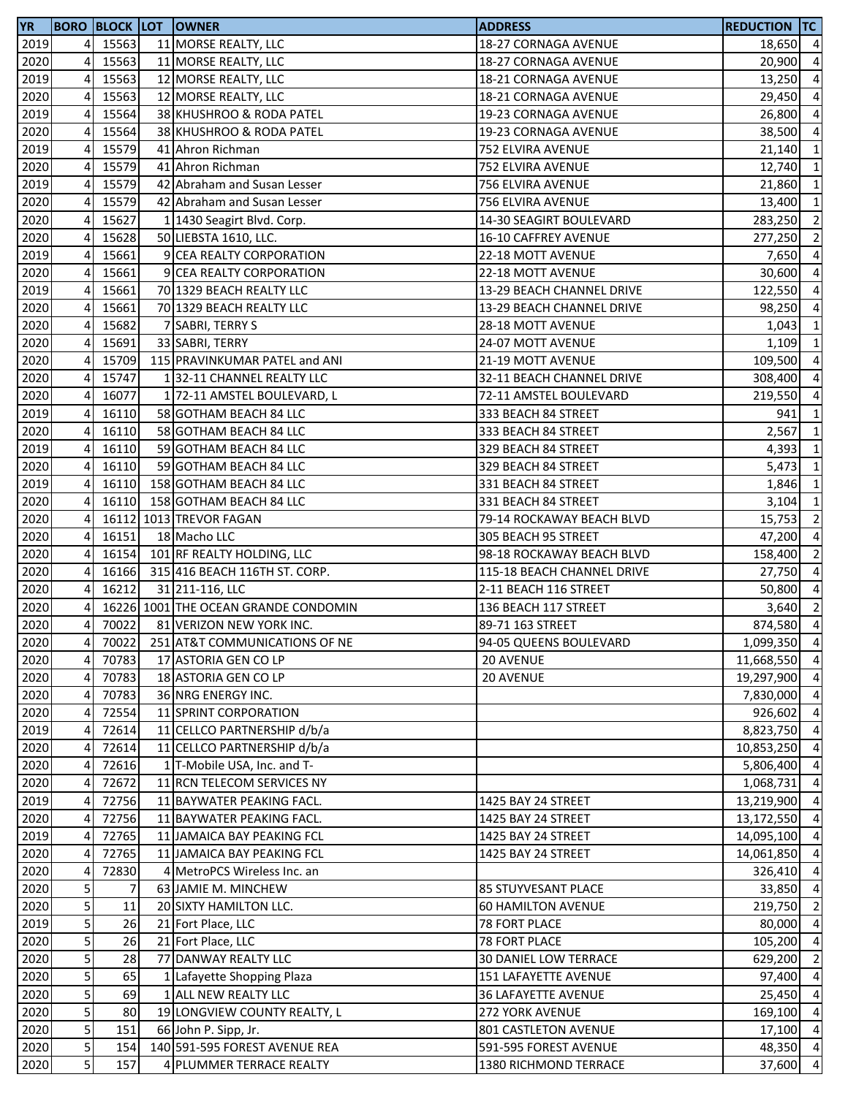| <b>YR</b> |                         |       | <b>BORO BLOCK LOT OWNER</b>          | <b>ADDRESS</b>             | <b>REDUCTION TC</b> |                |
|-----------|-------------------------|-------|--------------------------------------|----------------------------|---------------------|----------------|
| 2019      | 4                       | 15563 | 11 MORSE REALTY, LLC                 | 18-27 CORNAGA AVENUE       | 18,650 4            |                |
| 2020      | 4                       | 15563 | 11 MORSE REALTY, LLC                 | 18-27 CORNAGA AVENUE       | 20,900              | $\overline{4}$ |
| 2019      | $\overline{4}$          | 15563 | 12 MORSE REALTY, LLC                 | 18-21 CORNAGA AVENUE       | 13,250              | $\overline{4}$ |
| 2020      | 4                       | 15563 | 12 MORSE REALTY, LLC                 | 18-21 CORNAGA AVENUE       | 29,450              | $\overline{4}$ |
| 2019      | 4                       | 15564 | 38 KHUSHROO & RODA PATEL             | 19-23 CORNAGA AVENUE       | 26,800              | $\overline{4}$ |
| 2020      | 4                       | 15564 | 38 KHUSHROO & RODA PATEL             | 19-23 CORNAGA AVENUE       | 38,500              | $\overline{4}$ |
| 2019      | 4                       | 15579 | 41 Ahron Richman                     | 752 ELVIRA AVENUE          | 21,140              | $\overline{1}$ |
| 2020      | 4                       | 15579 | 41 Ahron Richman                     | 752 ELVIRA AVENUE          | 12,740              | $\mathbf{1}$   |
| 2019      | 4                       | 15579 | 42 Abraham and Susan Lesser          | 756 ELVIRA AVENUE          | 21,860              | $\mathbf{1}$   |
| 2020      | 4                       | 15579 | 42 Abraham and Susan Lesser          | 756 ELVIRA AVENUE          | 13,400              | $\mathbf{1}$   |
| 2020      | 4                       | 15627 | 1 1430 Seagirt Blvd. Corp.           | 14-30 SEAGIRT BOULEVARD    | 283,250             | $\overline{2}$ |
| 2020      | 4                       | 15628 | 50 LIEBSTA 1610, LLC.                | 16-10 CAFFREY AVENUE       |                     | $\overline{2}$ |
|           |                         | 15661 |                                      |                            | 277,250             |                |
| 2019      | 4                       |       | 9 CEA REALTY CORPORATION             | 22-18 MOTT AVENUE          | 7,650 4             |                |
| 2020      | 4                       | 15661 | 9 CEA REALTY CORPORATION             | 22-18 MOTT AVENUE          | 30,600              | $\overline{4}$ |
| 2019      | 4                       | 15661 | 70 1329 BEACH REALTY LLC             | 13-29 BEACH CHANNEL DRIVE  | 122,550             | $\overline{4}$ |
| 2020      | 4                       | 15661 | 70 1329 BEACH REALTY LLC             | 13-29 BEACH CHANNEL DRIVE  | 98,250              | $\overline{4}$ |
| 2020      | 4                       | 15682 | 7 SABRI, TERRY S                     | 28-18 MOTT AVENUE          | 1,043               | $\mathbf{1}$   |
| 2020      | 4                       | 15691 | 33 SABRI, TERRY                      | 24-07 MOTT AVENUE          | 1,109               | $\mathbf{1}$   |
| 2020      | 4                       | 15709 | 115 PRAVINKUMAR PATEL and ANI        | 21-19 MOTT AVENUE          | 109,500             | $\overline{4}$ |
| 2020      | 4                       | 15747 | 132-11 CHANNEL REALTY LLC            | 32-11 BEACH CHANNEL DRIVE  | 308,400             | $\overline{4}$ |
| 2020      | 4                       | 16077 | 1 72-11 AMSTEL BOULEVARD, L          | 72-11 AMSTEL BOULEVARD     | 219,550             | $\overline{a}$ |
| 2019      | 4                       | 16110 | 58 GOTHAM BEACH 84 LLC               | 333 BEACH 84 STREET        | 941                 | $\mathbf{1}$   |
| 2020      | 4                       | 16110 | 58 GOTHAM BEACH 84 LLC               | 333 BEACH 84 STREET        | 2,567               | $\mathbf{1}$   |
| 2019      | 4                       | 16110 | 59 GOTHAM BEACH 84 LLC               | 329 BEACH 84 STREET        | 4,393               | $\overline{1}$ |
| 2020      | 4                       | 16110 | 59 GOTHAM BEACH 84 LLC               | 329 BEACH 84 STREET        | 5,473               | $\mathbf{1}$   |
| 2019      | 4                       | 16110 | 158 GOTHAM BEACH 84 LLC              | 331 BEACH 84 STREET        | 1,846               | $\mathbf{1}$   |
| 2020      | 4                       | 16110 | 158 GOTHAM BEACH 84 LLC              | 331 BEACH 84 STREET        | 3,104               | $\mathbf{1}$   |
| 2020      | $\overline{4}$          |       | 16112 1013 TREVOR FAGAN              | 79-14 ROCKAWAY BEACH BLVD  | 15,753              | $\overline{2}$ |
| 2020      | 4                       | 16151 | 18 Macho LLC                         | 305 BEACH 95 STREET        | 47,200              | $\overline{4}$ |
| 2020      | $\overline{4}$          | 16154 | 101 RF REALTY HOLDING, LLC           | 98-18 ROCKAWAY BEACH BLVD  | 158,400             | $\overline{2}$ |
| 2020      | $\overline{4}$          | 16166 | 315 416 BEACH 116TH ST. CORP.        | 115-18 BEACH CHANNEL DRIVE | 27,750              | $\overline{4}$ |
| 2020      | 4                       | 16212 | 31 211-116, LLC                      | 2-11 BEACH 116 STREET      | 50,800              | $\overline{4}$ |
| 2020      | 4                       |       | 16226 1001 THE OCEAN GRANDE CONDOMIN | 136 BEACH 117 STREET       | 3,640               | $\overline{2}$ |
| 2020      | 4                       | 70022 | 81 VERIZON NEW YORK INC.             | 89-71 163 STREET           | 874,580             | $\overline{4}$ |
| 2020      | 41                      | 70022 | 251 AT&T COMMUNICATIONS OF NE        | 94-05 QUEENS BOULEVARD     | 1,099,350 4         |                |
| 2020      | 4                       | 70783 | 17 ASTORIA GEN CO LP                 | 20 AVENUE                  | 11,668,550 4        |                |
| 2020      | 4                       | 70783 | 18 ASTORIA GEN CO LP                 | 20 AVENUE                  | 19,297,900          | $\overline{4}$ |
| 2020      | 4                       | 70783 | 36 NRG ENERGY INC.                   |                            | 7,830,000 4         |                |
| 2020      | 4                       | 72554 | 11 SPRINT CORPORATION                |                            | 926,602 4           |                |
|           |                         |       | 11 CELLCO PARTNERSHIP d/b/a          |                            |                     |                |
| 2019      | 4                       | 72614 |                                      |                            | 8,823,750 4         |                |
| 2020      | 4                       | 72614 | 11 CELLCO PARTNERSHIP d/b/a          |                            | 10,853,250          | $\overline{4}$ |
| 2020      | 4                       | 72616 | 1 T-Mobile USA, Inc. and T-          |                            | 5,806,400           | $\overline{4}$ |
| 2020      | 4                       | 72672 | 11 RCN TELECOM SERVICES NY           |                            | 1,068,731           | $\overline{4}$ |
| 2019      | 4                       | 72756 | 11 BAYWATER PEAKING FACL.            | 1425 BAY 24 STREET         | 13,219,900          | $\overline{4}$ |
| 2020      | 4                       | 72756 | 11 BAYWATER PEAKING FACL.            | 1425 BAY 24 STREET         | 13,172,550          | $\overline{4}$ |
| 2019      | 4                       | 72765 | 11 JAMAICA BAY PEAKING FCL           | 1425 BAY 24 STREET         | 14,095,100 4        |                |
| 2020      | 4                       | 72765 | 11 JAMAICA BAY PEAKING FCL           | 1425 BAY 24 STREET         | 14,061,850 4        |                |
| 2020      | 4                       | 72830 | 4 MetroPCS Wireless Inc. an          |                            | 326,410 4           |                |
| 2020      | 5                       | 7     | 63 JAMIE M. MINCHEW                  | 85 STUYVESANT PLACE        | 33,850 4            |                |
| 2020      | 5 <sup>1</sup>          | 11    | 20 SIXTY HAMILTON LLC.               | <b>60 HAMILTON AVENUE</b>  | 219,750 2           |                |
| 2019      | 5                       | 26    | 21 Fort Place, LLC                   | <b>78 FORT PLACE</b>       | 80,000              | $\overline{4}$ |
| 2020      | 5                       | 26    | 21 Fort Place, LLC                   | <b>78 FORT PLACE</b>       | 105,200             | $\overline{4}$ |
| 2020      | 5                       | 28    | 77 DANWAY REALTY LLC                 | 30 DANIEL LOW TERRACE      | 629,200             | $\overline{2}$ |
| 2020      | $\mathsf{5}$            | 65    | 1 Lafayette Shopping Plaza           | 151 LAFAYETTE AVENUE       | 97,400 4            |                |
| 2020      | 5                       | 69    | 1 ALL NEW REALTY LLC                 | 36 LAFAYETTE AVENUE        | 25,450 4            |                |
| 2020      | $\mathsf{5}$            | 80    | 19 LONGVIEW COUNTY REALTY, L         | 272 YORK AVENUE            | 169,100 4           |                |
| 2020      | $\overline{5}$          | 151   | 66 John P. Sipp, Jr.                 | 801 CASTLETON AVENUE       | $17,100$ 4          |                |
| 2020      | $\overline{\mathbf{5}}$ | 154   | 140 591-595 FOREST AVENUE REA        | 591-595 FOREST AVENUE      | 48,350 4            |                |
| 2020      | $\overline{\mathbf{5}}$ | 157   | 4 PLUMMER TERRACE REALTY             | 1380 RICHMOND TERRACE      | 37,600 4            |                |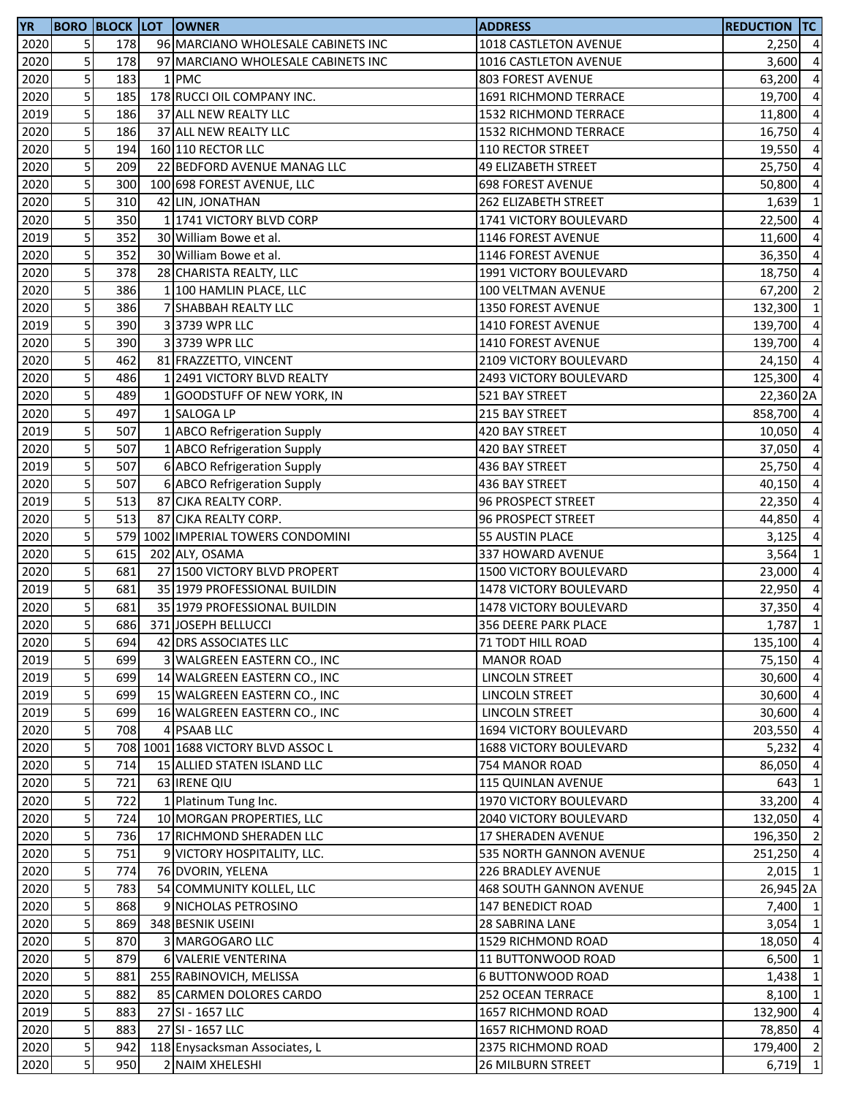| 2020<br>5<br>178<br>96 MARCIANO WHOLESALE CABINETS INC<br>1018 CASTLETON AVENUE<br>$2,250$ 4<br>5<br>2020<br>178<br>97 MARCIANO WHOLESALE CABINETS INC<br>1016 CASTLETON AVENUE<br>3,600<br>5<br>2020<br>183<br>1 PMC<br><b>803 FOREST AVENUE</b><br>63,200<br>5<br>178 RUCCI OIL COMPANY INC.<br>2020<br>185<br>1691 RICHMOND TERRACE<br>19,700<br>5<br>2019<br>186<br>37 ALL NEW REALTY LLC<br><b>1532 RICHMOND TERRACE</b><br>11,800<br>5<br>186<br>2020<br>37 ALL NEW REALTY LLC<br>16,750<br><b>1532 RICHMOND TERRACE</b><br>$\overline{5}$<br>2020<br>194<br>160 110 RECTOR LLC<br>110 RECTOR STREET<br>19,550<br>5 <sup>1</sup><br>2020<br>209<br>22 BEDFORD AVENUE MANAG LLC<br><b>49 ELIZABETH STREET</b><br>25,750<br>5 <sup>1</sup><br>2020<br>300<br>100 698 FOREST AVENUE, LLC<br><b>698 FOREST AVENUE</b><br>50,800<br>5<br>2020<br>310<br>42 LIN, JONATHAN<br>262 ELIZABETH STREET<br>1,639<br>5<br>350<br>1 1741 VICTORY BLVD CORP<br>2020<br>1741 VICTORY BOULEVARD<br>22,500<br>5<br>352<br>2019<br>30 William Bowe et al.<br>1146 FOREST AVENUE<br>11,600<br>$\overline{5}$<br>352<br>2020<br>30 William Bowe et al.<br>1146 FOREST AVENUE<br>36,350<br>$\overline{\mathbf{5}}$<br>378<br>2020<br>28 CHARISTA REALTY, LLC<br>1991 VICTORY BOULEVARD<br>18,750<br>$\overline{\mathbf{5}}$<br>386<br>2020<br>1 100 HAMLIN PLACE, LLC<br>100 VELTMAN AVENUE<br>67,200<br>5 <sup>1</sup><br>386<br>2020<br>7 SHABBAH REALTY LLC<br>1350 FOREST AVENUE<br>132,300<br>5 <sup>1</sup><br>2019<br>390<br>3 3739 WPR LLC<br>1410 FOREST AVENUE<br>139,700<br>$\overline{5}$<br>390<br>2020<br>33739 WPR LLC<br>1410 FOREST AVENUE<br>139,700<br>5<br>462<br>2020<br>81 FRAZZETTO, VINCENT<br>2109 VICTORY BOULEVARD<br>5<br>2020<br>486<br>1 2491 VICTORY BLVD REALTY<br>2493 VICTORY BOULEVARD<br>5<br>1 GOODSTUFF OF NEW YORK, IN<br>2020<br>489<br>521 BAY STREET<br>5<br>2020<br>497<br>1 SALOGA LP<br>215 BAY STREET<br>5<br>507<br>2019<br>1 ABCO Refrigeration Supply<br>420 BAY STREET<br>10,050<br>5 <sup>1</sup><br>2020<br>507<br>1 ABCO Refrigeration Supply<br>420 BAY STREET<br>37,050<br>$\overline{5}$<br>507<br>2019<br>6 ABCO Refrigeration Supply<br>436 BAY STREET<br>25,750<br>$\overline{5}$<br>2020<br>507<br>6 ABCO Refrigeration Supply<br>436 BAY STREET<br>40,150<br>5<br>513<br>2019<br>87 CJKA REALTY CORP.<br>96 PROSPECT STREET<br>22,350<br>5<br>513<br>2020<br>87 CJKA REALTY CORP.<br>96 PROSPECT STREET<br>44,850<br>5<br>579 1002 IMPERIAL TOWERS CONDOMINI<br>2020<br><b>55 AUSTIN PLACE</b><br>3,125<br>$\overline{5}$<br>2020<br>615<br>202 ALY, OSAMA<br><b>337 HOWARD AVENUE</b><br>3,564<br>5<br>681<br>2020<br>27 1500 VICTORY BLVD PROPERT<br><b>1500 VICTORY BOULEVARD</b><br>23,000<br>$\overline{5}$<br>2019<br>681<br>35 1979 PROFESSIONAL BUILDIN<br>1478 VICTORY BOULEVARD<br>22,950<br>5 <sup>1</sup><br>681<br>2020<br>35 1979 PROFESSIONAL BUILDIN<br>1478 VICTORY BOULEVARD<br>37,350<br>$\overline{5}$<br>2020<br>686<br>371 JOSEPH BELLUCCI<br>356 DEERE PARK PLACE<br>1,787<br>2020<br>5 <sup>1</sup><br>694<br>42 DRS ASSOCIATES LLC<br>71 TODT HILL ROAD<br>$\overline{\mathbf{5}}$<br>699<br>2019<br>3 WALGREEN EASTERN CO., INC<br><b>MANOR ROAD</b><br>5 <sup>1</sup><br>2019<br>699<br>14 WALGREEN EASTERN CO., INC<br>LINCOLN STREET<br>30,600<br>$\overline{5}$<br>2019<br>699<br>15 WALGREEN EASTERN CO., INC<br>LINCOLN STREET<br>30,600<br>$\mathsf{5}$<br>2019<br>699<br>LINCOLN STREET<br>30,600<br>16 WALGREEN EASTERN CO., INC<br>$\overline{\mathbf{5}}$<br>708<br>2020<br>4 PSAAB LLC<br>1694 VICTORY BOULEVARD<br>203,550<br>5 <sup>1</sup><br>2020<br>708 1001 1688 VICTORY BLVD ASSOC L<br>1688 VICTORY BOULEVARD<br>5,232<br>5 <sup>1</sup><br>2020<br>714<br>15 ALLIED STATEN ISLAND LLC<br>754 MANOR ROAD<br>86,050<br>$\overline{5}$<br>2020<br>721<br>63 IRENE QIU<br>115 QUINLAN AVENUE<br>643<br>$\overline{5}$<br>722<br>2020<br>1 Platinum Tung Inc.<br>1970 VICTORY BOULEVARD<br>33,200<br>5<br>2020<br>724<br>10 MORGAN PROPERTIES, LLC<br>2040 VICTORY BOULEVARD<br>132,050<br>5<br>2020<br>736<br>17 RICHMOND SHERADEN LLC<br><b>17 SHERADEN AVENUE</b><br>5 <sup>1</sup><br>2020<br>751<br>9 VICTORY HOSPITALITY, LLC.<br>535 NORTH GANNON AVENUE<br>$\mathsf S$<br>774<br>2020<br>76 DVORIN, YELENA<br>226 BRADLEY AVENUE<br>5 <sup>1</sup><br>2020<br>783<br>54 COMMUNITY KOLLEL, LLC<br><b>468 SOUTH GANNON AVENUE</b><br>5 <sup>1</sup><br>2020<br>868<br>9 NICHOLAS PETROSINO<br><b>147 BENEDICT ROAD</b><br>$\overline{5}$<br>2020<br>869<br>348 BESNIK USEINI<br>28 SABRINA LANE<br>3,054<br>5<br>870<br>2020<br>3 MARGOGARO LLC<br>1529 RICHMOND ROAD<br>18,050<br>5<br>2020<br>879<br>6 VALERIE VENTERINA<br>11 BUTTONWOOD ROAD<br>6,500<br>5 <sup>1</sup><br>2020<br>881<br>255 RABINOVICH, MELISSA<br><b>6 BUTTONWOOD ROAD</b><br>$\overline{5}$<br>882<br>2020<br>85 CARMEN DOLORES CARDO<br><b>252 OCEAN TERRACE</b><br>5<br>883<br>2019<br>27 SI - 1657 LLC<br>1657 RICHMOND ROAD<br>132,900<br>5 <sup>1</sup><br>2020<br>883<br>27 SI - 1657 LLC<br>1657 RICHMOND ROAD<br>78,850<br>5 <sub>l</sub><br>2020<br>942<br>118 Enysacksman Associates, L<br>2375 RICHMOND ROAD<br>$\overline{5}$<br>2020<br>950<br>6,719<br>2 NAIM XHELESHI<br><b>26 MILBURN STREET</b> | <b>YR</b> |  | <b>BORO BLOCK LOT OWNER</b> | <b>ADDRESS</b> | <b>REDUCTION TC</b> |  |
|---------------------------------------------------------------------------------------------------------------------------------------------------------------------------------------------------------------------------------------------------------------------------------------------------------------------------------------------------------------------------------------------------------------------------------------------------------------------------------------------------------------------------------------------------------------------------------------------------------------------------------------------------------------------------------------------------------------------------------------------------------------------------------------------------------------------------------------------------------------------------------------------------------------------------------------------------------------------------------------------------------------------------------------------------------------------------------------------------------------------------------------------------------------------------------------------------------------------------------------------------------------------------------------------------------------------------------------------------------------------------------------------------------------------------------------------------------------------------------------------------------------------------------------------------------------------------------------------------------------------------------------------------------------------------------------------------------------------------------------------------------------------------------------------------------------------------------------------------------------------------------------------------------------------------------------------------------------------------------------------------------------------------------------------------------------------------------------------------------------------------------------------------------------------------------------------------------------------------------------------------------------------------------------------------------------------------------------------------------------------------------------------------------------------------------------------------------------------------------------------------------------------------------------------------------------------------------------------------------------------------------------------------------------------------------------------------------------------------------------------------------------------------------------------------------------------------------------------------------------------------------------------------------------------------------------------------------------------------------------------------------------------------------------------------------------------------------------------------------------------------------------------------------------------------------------------------------------------------------------------------------------------------------------------------------------------------------------------------------------------------------------------------------------------------------------------------------------------------------------------------------------------------------------------------------------------------------------------------------------------------------------------------------------------------------------------------------------------------------------------------------------------------------------------------------------------------------------------------------------------------------------------------------------------------------------------------------------------------------------------------------------------------------------------------------------------------------------------------------------------------------------------------------------------------------------------------------------------------------------------------------------------------------------------------------------------------------------------------------------------------------------------------------------------------------------------------------------------------------------------------------------------------------------------------------------------------------------------------------------------------------------------------------------------------------------------------------------------------------------------------------------------------------------------------------------------------------------------------------------------------------------------------------------------------------------------------------------------------------------------------------------------------------------------------------------------------------------------------------------------------------------------------------------------------------------------------------------------------------------------------------------------------------------|-----------|--|-----------------------------|----------------|---------------------|--|
| $\overline{4}$<br>$\overline{4}$<br>$\overline{4}$                                                                                                                                                                                                                                                                                                                                                                                                                                                                                                                                                                                                                                                                                                                                                                                                                                                                                                                                                                                                                                                                                                                                                                                                                                                                                                                                                                                                                                                                                                                                                                                                                                                                                                                                                                                                                                                                                                                                                                                                                                                                                                                                                                                                                                                                                                                                                                                                                                                                                                                                                                                                                                                                                                                                                                                                                                                                                                                                                                                                                                                                                                                                                                                                                                                                                                                                                                                                                                                                                                                                                                                                                                                                                                                                                                                                                                                                                                                                                                                                                                                                                                                                                                                                                                                                                                                                                                                                                                                                                                                                                                                                                                                                                                                                                                                                                                                                                                                                                                                                                                                                                                                                                                                                                                    |           |  |                             |                |                     |  |
|                                                                                                                                                                                                                                                                                                                                                                                                                                                                                                                                                                                                                                                                                                                                                                                                                                                                                                                                                                                                                                                                                                                                                                                                                                                                                                                                                                                                                                                                                                                                                                                                                                                                                                                                                                                                                                                                                                                                                                                                                                                                                                                                                                                                                                                                                                                                                                                                                                                                                                                                                                                                                                                                                                                                                                                                                                                                                                                                                                                                                                                                                                                                                                                                                                                                                                                                                                                                                                                                                                                                                                                                                                                                                                                                                                                                                                                                                                                                                                                                                                                                                                                                                                                                                                                                                                                                                                                                                                                                                                                                                                                                                                                                                                                                                                                                                                                                                                                                                                                                                                                                                                                                                                                                                                                                                       |           |  |                             |                |                     |  |
|                                                                                                                                                                                                                                                                                                                                                                                                                                                                                                                                                                                                                                                                                                                                                                                                                                                                                                                                                                                                                                                                                                                                                                                                                                                                                                                                                                                                                                                                                                                                                                                                                                                                                                                                                                                                                                                                                                                                                                                                                                                                                                                                                                                                                                                                                                                                                                                                                                                                                                                                                                                                                                                                                                                                                                                                                                                                                                                                                                                                                                                                                                                                                                                                                                                                                                                                                                                                                                                                                                                                                                                                                                                                                                                                                                                                                                                                                                                                                                                                                                                                                                                                                                                                                                                                                                                                                                                                                                                                                                                                                                                                                                                                                                                                                                                                                                                                                                                                                                                                                                                                                                                                                                                                                                                                                       |           |  |                             |                |                     |  |
| $\overline{4}$<br>$\overline{4}$<br>$\overline{4}$<br>$\overline{4}$<br>$\overline{4}$<br>$\mathbf{1}$<br>$\overline{4}$<br>$\overline{4}$<br>$\overline{4}$<br>$\overline{4}$<br>$\overline{2}$<br>$\mathbf{1}$<br>$\overline{4}$<br>$\overline{4}$<br>$24,150$ 4<br>125,300 4<br>22,360 2A<br>858,700 4<br>$\overline{4}$<br>$\overline{4}$<br>$\overline{4}$<br>$\overline{4}$<br>$\overline{a}$<br>$\overline{4}$<br>$\overline{4}$<br>$\mathbf{1}$<br>$\overline{4}$<br>$\overline{4}$<br>$\overline{4}$<br>$\mathbf{1}$<br>135,100 4<br>75,150 4<br>$\overline{4}$<br>$\overline{4}$<br>$\overline{4}$<br>$\overline{4}$<br>$\overline{4}$<br>$\overline{4}$<br>$\mathbf{1}$<br>$\overline{4}$<br>$\overline{4}$<br>196,350 2<br>251,250 4<br>$2,015$ 1<br>26,945 2A<br>7,400 1<br>$\mathbf{1}$<br>$\overline{4}$<br>$\mathbf{1}$<br>$1,438$ 1<br>$8,100$ 1<br>$\overline{4}$<br>$\overline{4}$<br>179,400 2<br>$\overline{1}$                                                                                                                                                                                                                                                                                                                                                                                                                                                                                                                                                                                                                                                                                                                                                                                                                                                                                                                                                                                                                                                                                                                                                                                                                                                                                                                                                                                                                                                                                                                                                                                                                                                                                                                                                                                                                                                                                                                                                                                                                                                                                                                                                                                                                                                                                                                                                                                                                                                                                                                                                                                                                                                                                                                                                                                                                                                                                                                                                                                                                                                                                                                                                                                                                                                                                                                                                                                                                                                                                                                                                                                                                                                                                                                                                                                                                                                                                                                                                                                                                                                                                                                                                                                                                                                                                                                                                  |           |  |                             |                |                     |  |
|                                                                                                                                                                                                                                                                                                                                                                                                                                                                                                                                                                                                                                                                                                                                                                                                                                                                                                                                                                                                                                                                                                                                                                                                                                                                                                                                                                                                                                                                                                                                                                                                                                                                                                                                                                                                                                                                                                                                                                                                                                                                                                                                                                                                                                                                                                                                                                                                                                                                                                                                                                                                                                                                                                                                                                                                                                                                                                                                                                                                                                                                                                                                                                                                                                                                                                                                                                                                                                                                                                                                                                                                                                                                                                                                                                                                                                                                                                                                                                                                                                                                                                                                                                                                                                                                                                                                                                                                                                                                                                                                                                                                                                                                                                                                                                                                                                                                                                                                                                                                                                                                                                                                                                                                                                                                                       |           |  |                             |                |                     |  |
|                                                                                                                                                                                                                                                                                                                                                                                                                                                                                                                                                                                                                                                                                                                                                                                                                                                                                                                                                                                                                                                                                                                                                                                                                                                                                                                                                                                                                                                                                                                                                                                                                                                                                                                                                                                                                                                                                                                                                                                                                                                                                                                                                                                                                                                                                                                                                                                                                                                                                                                                                                                                                                                                                                                                                                                                                                                                                                                                                                                                                                                                                                                                                                                                                                                                                                                                                                                                                                                                                                                                                                                                                                                                                                                                                                                                                                                                                                                                                                                                                                                                                                                                                                                                                                                                                                                                                                                                                                                                                                                                                                                                                                                                                                                                                                                                                                                                                                                                                                                                                                                                                                                                                                                                                                                                                       |           |  |                             |                |                     |  |
|                                                                                                                                                                                                                                                                                                                                                                                                                                                                                                                                                                                                                                                                                                                                                                                                                                                                                                                                                                                                                                                                                                                                                                                                                                                                                                                                                                                                                                                                                                                                                                                                                                                                                                                                                                                                                                                                                                                                                                                                                                                                                                                                                                                                                                                                                                                                                                                                                                                                                                                                                                                                                                                                                                                                                                                                                                                                                                                                                                                                                                                                                                                                                                                                                                                                                                                                                                                                                                                                                                                                                                                                                                                                                                                                                                                                                                                                                                                                                                                                                                                                                                                                                                                                                                                                                                                                                                                                                                                                                                                                                                                                                                                                                                                                                                                                                                                                                                                                                                                                                                                                                                                                                                                                                                                                                       |           |  |                             |                |                     |  |
|                                                                                                                                                                                                                                                                                                                                                                                                                                                                                                                                                                                                                                                                                                                                                                                                                                                                                                                                                                                                                                                                                                                                                                                                                                                                                                                                                                                                                                                                                                                                                                                                                                                                                                                                                                                                                                                                                                                                                                                                                                                                                                                                                                                                                                                                                                                                                                                                                                                                                                                                                                                                                                                                                                                                                                                                                                                                                                                                                                                                                                                                                                                                                                                                                                                                                                                                                                                                                                                                                                                                                                                                                                                                                                                                                                                                                                                                                                                                                                                                                                                                                                                                                                                                                                                                                                                                                                                                                                                                                                                                                                                                                                                                                                                                                                                                                                                                                                                                                                                                                                                                                                                                                                                                                                                                                       |           |  |                             |                |                     |  |
|                                                                                                                                                                                                                                                                                                                                                                                                                                                                                                                                                                                                                                                                                                                                                                                                                                                                                                                                                                                                                                                                                                                                                                                                                                                                                                                                                                                                                                                                                                                                                                                                                                                                                                                                                                                                                                                                                                                                                                                                                                                                                                                                                                                                                                                                                                                                                                                                                                                                                                                                                                                                                                                                                                                                                                                                                                                                                                                                                                                                                                                                                                                                                                                                                                                                                                                                                                                                                                                                                                                                                                                                                                                                                                                                                                                                                                                                                                                                                                                                                                                                                                                                                                                                                                                                                                                                                                                                                                                                                                                                                                                                                                                                                                                                                                                                                                                                                                                                                                                                                                                                                                                                                                                                                                                                                       |           |  |                             |                |                     |  |
|                                                                                                                                                                                                                                                                                                                                                                                                                                                                                                                                                                                                                                                                                                                                                                                                                                                                                                                                                                                                                                                                                                                                                                                                                                                                                                                                                                                                                                                                                                                                                                                                                                                                                                                                                                                                                                                                                                                                                                                                                                                                                                                                                                                                                                                                                                                                                                                                                                                                                                                                                                                                                                                                                                                                                                                                                                                                                                                                                                                                                                                                                                                                                                                                                                                                                                                                                                                                                                                                                                                                                                                                                                                                                                                                                                                                                                                                                                                                                                                                                                                                                                                                                                                                                                                                                                                                                                                                                                                                                                                                                                                                                                                                                                                                                                                                                                                                                                                                                                                                                                                                                                                                                                                                                                                                                       |           |  |                             |                |                     |  |
|                                                                                                                                                                                                                                                                                                                                                                                                                                                                                                                                                                                                                                                                                                                                                                                                                                                                                                                                                                                                                                                                                                                                                                                                                                                                                                                                                                                                                                                                                                                                                                                                                                                                                                                                                                                                                                                                                                                                                                                                                                                                                                                                                                                                                                                                                                                                                                                                                                                                                                                                                                                                                                                                                                                                                                                                                                                                                                                                                                                                                                                                                                                                                                                                                                                                                                                                                                                                                                                                                                                                                                                                                                                                                                                                                                                                                                                                                                                                                                                                                                                                                                                                                                                                                                                                                                                                                                                                                                                                                                                                                                                                                                                                                                                                                                                                                                                                                                                                                                                                                                                                                                                                                                                                                                                                                       |           |  |                             |                |                     |  |
|                                                                                                                                                                                                                                                                                                                                                                                                                                                                                                                                                                                                                                                                                                                                                                                                                                                                                                                                                                                                                                                                                                                                                                                                                                                                                                                                                                                                                                                                                                                                                                                                                                                                                                                                                                                                                                                                                                                                                                                                                                                                                                                                                                                                                                                                                                                                                                                                                                                                                                                                                                                                                                                                                                                                                                                                                                                                                                                                                                                                                                                                                                                                                                                                                                                                                                                                                                                                                                                                                                                                                                                                                                                                                                                                                                                                                                                                                                                                                                                                                                                                                                                                                                                                                                                                                                                                                                                                                                                                                                                                                                                                                                                                                                                                                                                                                                                                                                                                                                                                                                                                                                                                                                                                                                                                                       |           |  |                             |                |                     |  |
|                                                                                                                                                                                                                                                                                                                                                                                                                                                                                                                                                                                                                                                                                                                                                                                                                                                                                                                                                                                                                                                                                                                                                                                                                                                                                                                                                                                                                                                                                                                                                                                                                                                                                                                                                                                                                                                                                                                                                                                                                                                                                                                                                                                                                                                                                                                                                                                                                                                                                                                                                                                                                                                                                                                                                                                                                                                                                                                                                                                                                                                                                                                                                                                                                                                                                                                                                                                                                                                                                                                                                                                                                                                                                                                                                                                                                                                                                                                                                                                                                                                                                                                                                                                                                                                                                                                                                                                                                                                                                                                                                                                                                                                                                                                                                                                                                                                                                                                                                                                                                                                                                                                                                                                                                                                                                       |           |  |                             |                |                     |  |
|                                                                                                                                                                                                                                                                                                                                                                                                                                                                                                                                                                                                                                                                                                                                                                                                                                                                                                                                                                                                                                                                                                                                                                                                                                                                                                                                                                                                                                                                                                                                                                                                                                                                                                                                                                                                                                                                                                                                                                                                                                                                                                                                                                                                                                                                                                                                                                                                                                                                                                                                                                                                                                                                                                                                                                                                                                                                                                                                                                                                                                                                                                                                                                                                                                                                                                                                                                                                                                                                                                                                                                                                                                                                                                                                                                                                                                                                                                                                                                                                                                                                                                                                                                                                                                                                                                                                                                                                                                                                                                                                                                                                                                                                                                                                                                                                                                                                                                                                                                                                                                                                                                                                                                                                                                                                                       |           |  |                             |                |                     |  |
|                                                                                                                                                                                                                                                                                                                                                                                                                                                                                                                                                                                                                                                                                                                                                                                                                                                                                                                                                                                                                                                                                                                                                                                                                                                                                                                                                                                                                                                                                                                                                                                                                                                                                                                                                                                                                                                                                                                                                                                                                                                                                                                                                                                                                                                                                                                                                                                                                                                                                                                                                                                                                                                                                                                                                                                                                                                                                                                                                                                                                                                                                                                                                                                                                                                                                                                                                                                                                                                                                                                                                                                                                                                                                                                                                                                                                                                                                                                                                                                                                                                                                                                                                                                                                                                                                                                                                                                                                                                                                                                                                                                                                                                                                                                                                                                                                                                                                                                                                                                                                                                                                                                                                                                                                                                                                       |           |  |                             |                |                     |  |
|                                                                                                                                                                                                                                                                                                                                                                                                                                                                                                                                                                                                                                                                                                                                                                                                                                                                                                                                                                                                                                                                                                                                                                                                                                                                                                                                                                                                                                                                                                                                                                                                                                                                                                                                                                                                                                                                                                                                                                                                                                                                                                                                                                                                                                                                                                                                                                                                                                                                                                                                                                                                                                                                                                                                                                                                                                                                                                                                                                                                                                                                                                                                                                                                                                                                                                                                                                                                                                                                                                                                                                                                                                                                                                                                                                                                                                                                                                                                                                                                                                                                                                                                                                                                                                                                                                                                                                                                                                                                                                                                                                                                                                                                                                                                                                                                                                                                                                                                                                                                                                                                                                                                                                                                                                                                                       |           |  |                             |                |                     |  |
|                                                                                                                                                                                                                                                                                                                                                                                                                                                                                                                                                                                                                                                                                                                                                                                                                                                                                                                                                                                                                                                                                                                                                                                                                                                                                                                                                                                                                                                                                                                                                                                                                                                                                                                                                                                                                                                                                                                                                                                                                                                                                                                                                                                                                                                                                                                                                                                                                                                                                                                                                                                                                                                                                                                                                                                                                                                                                                                                                                                                                                                                                                                                                                                                                                                                                                                                                                                                                                                                                                                                                                                                                                                                                                                                                                                                                                                                                                                                                                                                                                                                                                                                                                                                                                                                                                                                                                                                                                                                                                                                                                                                                                                                                                                                                                                                                                                                                                                                                                                                                                                                                                                                                                                                                                                                                       |           |  |                             |                |                     |  |
|                                                                                                                                                                                                                                                                                                                                                                                                                                                                                                                                                                                                                                                                                                                                                                                                                                                                                                                                                                                                                                                                                                                                                                                                                                                                                                                                                                                                                                                                                                                                                                                                                                                                                                                                                                                                                                                                                                                                                                                                                                                                                                                                                                                                                                                                                                                                                                                                                                                                                                                                                                                                                                                                                                                                                                                                                                                                                                                                                                                                                                                                                                                                                                                                                                                                                                                                                                                                                                                                                                                                                                                                                                                                                                                                                                                                                                                                                                                                                                                                                                                                                                                                                                                                                                                                                                                                                                                                                                                                                                                                                                                                                                                                                                                                                                                                                                                                                                                                                                                                                                                                                                                                                                                                                                                                                       |           |  |                             |                |                     |  |
|                                                                                                                                                                                                                                                                                                                                                                                                                                                                                                                                                                                                                                                                                                                                                                                                                                                                                                                                                                                                                                                                                                                                                                                                                                                                                                                                                                                                                                                                                                                                                                                                                                                                                                                                                                                                                                                                                                                                                                                                                                                                                                                                                                                                                                                                                                                                                                                                                                                                                                                                                                                                                                                                                                                                                                                                                                                                                                                                                                                                                                                                                                                                                                                                                                                                                                                                                                                                                                                                                                                                                                                                                                                                                                                                                                                                                                                                                                                                                                                                                                                                                                                                                                                                                                                                                                                                                                                                                                                                                                                                                                                                                                                                                                                                                                                                                                                                                                                                                                                                                                                                                                                                                                                                                                                                                       |           |  |                             |                |                     |  |
|                                                                                                                                                                                                                                                                                                                                                                                                                                                                                                                                                                                                                                                                                                                                                                                                                                                                                                                                                                                                                                                                                                                                                                                                                                                                                                                                                                                                                                                                                                                                                                                                                                                                                                                                                                                                                                                                                                                                                                                                                                                                                                                                                                                                                                                                                                                                                                                                                                                                                                                                                                                                                                                                                                                                                                                                                                                                                                                                                                                                                                                                                                                                                                                                                                                                                                                                                                                                                                                                                                                                                                                                                                                                                                                                                                                                                                                                                                                                                                                                                                                                                                                                                                                                                                                                                                                                                                                                                                                                                                                                                                                                                                                                                                                                                                                                                                                                                                                                                                                                                                                                                                                                                                                                                                                                                       |           |  |                             |                |                     |  |
|                                                                                                                                                                                                                                                                                                                                                                                                                                                                                                                                                                                                                                                                                                                                                                                                                                                                                                                                                                                                                                                                                                                                                                                                                                                                                                                                                                                                                                                                                                                                                                                                                                                                                                                                                                                                                                                                                                                                                                                                                                                                                                                                                                                                                                                                                                                                                                                                                                                                                                                                                                                                                                                                                                                                                                                                                                                                                                                                                                                                                                                                                                                                                                                                                                                                                                                                                                                                                                                                                                                                                                                                                                                                                                                                                                                                                                                                                                                                                                                                                                                                                                                                                                                                                                                                                                                                                                                                                                                                                                                                                                                                                                                                                                                                                                                                                                                                                                                                                                                                                                                                                                                                                                                                                                                                                       |           |  |                             |                |                     |  |
|                                                                                                                                                                                                                                                                                                                                                                                                                                                                                                                                                                                                                                                                                                                                                                                                                                                                                                                                                                                                                                                                                                                                                                                                                                                                                                                                                                                                                                                                                                                                                                                                                                                                                                                                                                                                                                                                                                                                                                                                                                                                                                                                                                                                                                                                                                                                                                                                                                                                                                                                                                                                                                                                                                                                                                                                                                                                                                                                                                                                                                                                                                                                                                                                                                                                                                                                                                                                                                                                                                                                                                                                                                                                                                                                                                                                                                                                                                                                                                                                                                                                                                                                                                                                                                                                                                                                                                                                                                                                                                                                                                                                                                                                                                                                                                                                                                                                                                                                                                                                                                                                                                                                                                                                                                                                                       |           |  |                             |                |                     |  |
|                                                                                                                                                                                                                                                                                                                                                                                                                                                                                                                                                                                                                                                                                                                                                                                                                                                                                                                                                                                                                                                                                                                                                                                                                                                                                                                                                                                                                                                                                                                                                                                                                                                                                                                                                                                                                                                                                                                                                                                                                                                                                                                                                                                                                                                                                                                                                                                                                                                                                                                                                                                                                                                                                                                                                                                                                                                                                                                                                                                                                                                                                                                                                                                                                                                                                                                                                                                                                                                                                                                                                                                                                                                                                                                                                                                                                                                                                                                                                                                                                                                                                                                                                                                                                                                                                                                                                                                                                                                                                                                                                                                                                                                                                                                                                                                                                                                                                                                                                                                                                                                                                                                                                                                                                                                                                       |           |  |                             |                |                     |  |
|                                                                                                                                                                                                                                                                                                                                                                                                                                                                                                                                                                                                                                                                                                                                                                                                                                                                                                                                                                                                                                                                                                                                                                                                                                                                                                                                                                                                                                                                                                                                                                                                                                                                                                                                                                                                                                                                                                                                                                                                                                                                                                                                                                                                                                                                                                                                                                                                                                                                                                                                                                                                                                                                                                                                                                                                                                                                                                                                                                                                                                                                                                                                                                                                                                                                                                                                                                                                                                                                                                                                                                                                                                                                                                                                                                                                                                                                                                                                                                                                                                                                                                                                                                                                                                                                                                                                                                                                                                                                                                                                                                                                                                                                                                                                                                                                                                                                                                                                                                                                                                                                                                                                                                                                                                                                                       |           |  |                             |                |                     |  |
|                                                                                                                                                                                                                                                                                                                                                                                                                                                                                                                                                                                                                                                                                                                                                                                                                                                                                                                                                                                                                                                                                                                                                                                                                                                                                                                                                                                                                                                                                                                                                                                                                                                                                                                                                                                                                                                                                                                                                                                                                                                                                                                                                                                                                                                                                                                                                                                                                                                                                                                                                                                                                                                                                                                                                                                                                                                                                                                                                                                                                                                                                                                                                                                                                                                                                                                                                                                                                                                                                                                                                                                                                                                                                                                                                                                                                                                                                                                                                                                                                                                                                                                                                                                                                                                                                                                                                                                                                                                                                                                                                                                                                                                                                                                                                                                                                                                                                                                                                                                                                                                                                                                                                                                                                                                                                       |           |  |                             |                |                     |  |
|                                                                                                                                                                                                                                                                                                                                                                                                                                                                                                                                                                                                                                                                                                                                                                                                                                                                                                                                                                                                                                                                                                                                                                                                                                                                                                                                                                                                                                                                                                                                                                                                                                                                                                                                                                                                                                                                                                                                                                                                                                                                                                                                                                                                                                                                                                                                                                                                                                                                                                                                                                                                                                                                                                                                                                                                                                                                                                                                                                                                                                                                                                                                                                                                                                                                                                                                                                                                                                                                                                                                                                                                                                                                                                                                                                                                                                                                                                                                                                                                                                                                                                                                                                                                                                                                                                                                                                                                                                                                                                                                                                                                                                                                                                                                                                                                                                                                                                                                                                                                                                                                                                                                                                                                                                                                                       |           |  |                             |                |                     |  |
|                                                                                                                                                                                                                                                                                                                                                                                                                                                                                                                                                                                                                                                                                                                                                                                                                                                                                                                                                                                                                                                                                                                                                                                                                                                                                                                                                                                                                                                                                                                                                                                                                                                                                                                                                                                                                                                                                                                                                                                                                                                                                                                                                                                                                                                                                                                                                                                                                                                                                                                                                                                                                                                                                                                                                                                                                                                                                                                                                                                                                                                                                                                                                                                                                                                                                                                                                                                                                                                                                                                                                                                                                                                                                                                                                                                                                                                                                                                                                                                                                                                                                                                                                                                                                                                                                                                                                                                                                                                                                                                                                                                                                                                                                                                                                                                                                                                                                                                                                                                                                                                                                                                                                                                                                                                                                       |           |  |                             |                |                     |  |
|                                                                                                                                                                                                                                                                                                                                                                                                                                                                                                                                                                                                                                                                                                                                                                                                                                                                                                                                                                                                                                                                                                                                                                                                                                                                                                                                                                                                                                                                                                                                                                                                                                                                                                                                                                                                                                                                                                                                                                                                                                                                                                                                                                                                                                                                                                                                                                                                                                                                                                                                                                                                                                                                                                                                                                                                                                                                                                                                                                                                                                                                                                                                                                                                                                                                                                                                                                                                                                                                                                                                                                                                                                                                                                                                                                                                                                                                                                                                                                                                                                                                                                                                                                                                                                                                                                                                                                                                                                                                                                                                                                                                                                                                                                                                                                                                                                                                                                                                                                                                                                                                                                                                                                                                                                                                                       |           |  |                             |                |                     |  |
|                                                                                                                                                                                                                                                                                                                                                                                                                                                                                                                                                                                                                                                                                                                                                                                                                                                                                                                                                                                                                                                                                                                                                                                                                                                                                                                                                                                                                                                                                                                                                                                                                                                                                                                                                                                                                                                                                                                                                                                                                                                                                                                                                                                                                                                                                                                                                                                                                                                                                                                                                                                                                                                                                                                                                                                                                                                                                                                                                                                                                                                                                                                                                                                                                                                                                                                                                                                                                                                                                                                                                                                                                                                                                                                                                                                                                                                                                                                                                                                                                                                                                                                                                                                                                                                                                                                                                                                                                                                                                                                                                                                                                                                                                                                                                                                                                                                                                                                                                                                                                                                                                                                                                                                                                                                                                       |           |  |                             |                |                     |  |
|                                                                                                                                                                                                                                                                                                                                                                                                                                                                                                                                                                                                                                                                                                                                                                                                                                                                                                                                                                                                                                                                                                                                                                                                                                                                                                                                                                                                                                                                                                                                                                                                                                                                                                                                                                                                                                                                                                                                                                                                                                                                                                                                                                                                                                                                                                                                                                                                                                                                                                                                                                                                                                                                                                                                                                                                                                                                                                                                                                                                                                                                                                                                                                                                                                                                                                                                                                                                                                                                                                                                                                                                                                                                                                                                                                                                                                                                                                                                                                                                                                                                                                                                                                                                                                                                                                                                                                                                                                                                                                                                                                                                                                                                                                                                                                                                                                                                                                                                                                                                                                                                                                                                                                                                                                                                                       |           |  |                             |                |                     |  |
|                                                                                                                                                                                                                                                                                                                                                                                                                                                                                                                                                                                                                                                                                                                                                                                                                                                                                                                                                                                                                                                                                                                                                                                                                                                                                                                                                                                                                                                                                                                                                                                                                                                                                                                                                                                                                                                                                                                                                                                                                                                                                                                                                                                                                                                                                                                                                                                                                                                                                                                                                                                                                                                                                                                                                                                                                                                                                                                                                                                                                                                                                                                                                                                                                                                                                                                                                                                                                                                                                                                                                                                                                                                                                                                                                                                                                                                                                                                                                                                                                                                                                                                                                                                                                                                                                                                                                                                                                                                                                                                                                                                                                                                                                                                                                                                                                                                                                                                                                                                                                                                                                                                                                                                                                                                                                       |           |  |                             |                |                     |  |
|                                                                                                                                                                                                                                                                                                                                                                                                                                                                                                                                                                                                                                                                                                                                                                                                                                                                                                                                                                                                                                                                                                                                                                                                                                                                                                                                                                                                                                                                                                                                                                                                                                                                                                                                                                                                                                                                                                                                                                                                                                                                                                                                                                                                                                                                                                                                                                                                                                                                                                                                                                                                                                                                                                                                                                                                                                                                                                                                                                                                                                                                                                                                                                                                                                                                                                                                                                                                                                                                                                                                                                                                                                                                                                                                                                                                                                                                                                                                                                                                                                                                                                                                                                                                                                                                                                                                                                                                                                                                                                                                                                                                                                                                                                                                                                                                                                                                                                                                                                                                                                                                                                                                                                                                                                                                                       |           |  |                             |                |                     |  |
|                                                                                                                                                                                                                                                                                                                                                                                                                                                                                                                                                                                                                                                                                                                                                                                                                                                                                                                                                                                                                                                                                                                                                                                                                                                                                                                                                                                                                                                                                                                                                                                                                                                                                                                                                                                                                                                                                                                                                                                                                                                                                                                                                                                                                                                                                                                                                                                                                                                                                                                                                                                                                                                                                                                                                                                                                                                                                                                                                                                                                                                                                                                                                                                                                                                                                                                                                                                                                                                                                                                                                                                                                                                                                                                                                                                                                                                                                                                                                                                                                                                                                                                                                                                                                                                                                                                                                                                                                                                                                                                                                                                                                                                                                                                                                                                                                                                                                                                                                                                                                                                                                                                                                                                                                                                                                       |           |  |                             |                |                     |  |
|                                                                                                                                                                                                                                                                                                                                                                                                                                                                                                                                                                                                                                                                                                                                                                                                                                                                                                                                                                                                                                                                                                                                                                                                                                                                                                                                                                                                                                                                                                                                                                                                                                                                                                                                                                                                                                                                                                                                                                                                                                                                                                                                                                                                                                                                                                                                                                                                                                                                                                                                                                                                                                                                                                                                                                                                                                                                                                                                                                                                                                                                                                                                                                                                                                                                                                                                                                                                                                                                                                                                                                                                                                                                                                                                                                                                                                                                                                                                                                                                                                                                                                                                                                                                                                                                                                                                                                                                                                                                                                                                                                                                                                                                                                                                                                                                                                                                                                                                                                                                                                                                                                                                                                                                                                                                                       |           |  |                             |                |                     |  |
|                                                                                                                                                                                                                                                                                                                                                                                                                                                                                                                                                                                                                                                                                                                                                                                                                                                                                                                                                                                                                                                                                                                                                                                                                                                                                                                                                                                                                                                                                                                                                                                                                                                                                                                                                                                                                                                                                                                                                                                                                                                                                                                                                                                                                                                                                                                                                                                                                                                                                                                                                                                                                                                                                                                                                                                                                                                                                                                                                                                                                                                                                                                                                                                                                                                                                                                                                                                                                                                                                                                                                                                                                                                                                                                                                                                                                                                                                                                                                                                                                                                                                                                                                                                                                                                                                                                                                                                                                                                                                                                                                                                                                                                                                                                                                                                                                                                                                                                                                                                                                                                                                                                                                                                                                                                                                       |           |  |                             |                |                     |  |
|                                                                                                                                                                                                                                                                                                                                                                                                                                                                                                                                                                                                                                                                                                                                                                                                                                                                                                                                                                                                                                                                                                                                                                                                                                                                                                                                                                                                                                                                                                                                                                                                                                                                                                                                                                                                                                                                                                                                                                                                                                                                                                                                                                                                                                                                                                                                                                                                                                                                                                                                                                                                                                                                                                                                                                                                                                                                                                                                                                                                                                                                                                                                                                                                                                                                                                                                                                                                                                                                                                                                                                                                                                                                                                                                                                                                                                                                                                                                                                                                                                                                                                                                                                                                                                                                                                                                                                                                                                                                                                                                                                                                                                                                                                                                                                                                                                                                                                                                                                                                                                                                                                                                                                                                                                                                                       |           |  |                             |                |                     |  |
|                                                                                                                                                                                                                                                                                                                                                                                                                                                                                                                                                                                                                                                                                                                                                                                                                                                                                                                                                                                                                                                                                                                                                                                                                                                                                                                                                                                                                                                                                                                                                                                                                                                                                                                                                                                                                                                                                                                                                                                                                                                                                                                                                                                                                                                                                                                                                                                                                                                                                                                                                                                                                                                                                                                                                                                                                                                                                                                                                                                                                                                                                                                                                                                                                                                                                                                                                                                                                                                                                                                                                                                                                                                                                                                                                                                                                                                                                                                                                                                                                                                                                                                                                                                                                                                                                                                                                                                                                                                                                                                                                                                                                                                                                                                                                                                                                                                                                                                                                                                                                                                                                                                                                                                                                                                                                       |           |  |                             |                |                     |  |
|                                                                                                                                                                                                                                                                                                                                                                                                                                                                                                                                                                                                                                                                                                                                                                                                                                                                                                                                                                                                                                                                                                                                                                                                                                                                                                                                                                                                                                                                                                                                                                                                                                                                                                                                                                                                                                                                                                                                                                                                                                                                                                                                                                                                                                                                                                                                                                                                                                                                                                                                                                                                                                                                                                                                                                                                                                                                                                                                                                                                                                                                                                                                                                                                                                                                                                                                                                                                                                                                                                                                                                                                                                                                                                                                                                                                                                                                                                                                                                                                                                                                                                                                                                                                                                                                                                                                                                                                                                                                                                                                                                                                                                                                                                                                                                                                                                                                                                                                                                                                                                                                                                                                                                                                                                                                                       |           |  |                             |                |                     |  |
|                                                                                                                                                                                                                                                                                                                                                                                                                                                                                                                                                                                                                                                                                                                                                                                                                                                                                                                                                                                                                                                                                                                                                                                                                                                                                                                                                                                                                                                                                                                                                                                                                                                                                                                                                                                                                                                                                                                                                                                                                                                                                                                                                                                                                                                                                                                                                                                                                                                                                                                                                                                                                                                                                                                                                                                                                                                                                                                                                                                                                                                                                                                                                                                                                                                                                                                                                                                                                                                                                                                                                                                                                                                                                                                                                                                                                                                                                                                                                                                                                                                                                                                                                                                                                                                                                                                                                                                                                                                                                                                                                                                                                                                                                                                                                                                                                                                                                                                                                                                                                                                                                                                                                                                                                                                                                       |           |  |                             |                |                     |  |
|                                                                                                                                                                                                                                                                                                                                                                                                                                                                                                                                                                                                                                                                                                                                                                                                                                                                                                                                                                                                                                                                                                                                                                                                                                                                                                                                                                                                                                                                                                                                                                                                                                                                                                                                                                                                                                                                                                                                                                                                                                                                                                                                                                                                                                                                                                                                                                                                                                                                                                                                                                                                                                                                                                                                                                                                                                                                                                                                                                                                                                                                                                                                                                                                                                                                                                                                                                                                                                                                                                                                                                                                                                                                                                                                                                                                                                                                                                                                                                                                                                                                                                                                                                                                                                                                                                                                                                                                                                                                                                                                                                                                                                                                                                                                                                                                                                                                                                                                                                                                                                                                                                                                                                                                                                                                                       |           |  |                             |                |                     |  |
|                                                                                                                                                                                                                                                                                                                                                                                                                                                                                                                                                                                                                                                                                                                                                                                                                                                                                                                                                                                                                                                                                                                                                                                                                                                                                                                                                                                                                                                                                                                                                                                                                                                                                                                                                                                                                                                                                                                                                                                                                                                                                                                                                                                                                                                                                                                                                                                                                                                                                                                                                                                                                                                                                                                                                                                                                                                                                                                                                                                                                                                                                                                                                                                                                                                                                                                                                                                                                                                                                                                                                                                                                                                                                                                                                                                                                                                                                                                                                                                                                                                                                                                                                                                                                                                                                                                                                                                                                                                                                                                                                                                                                                                                                                                                                                                                                                                                                                                                                                                                                                                                                                                                                                                                                                                                                       |           |  |                             |                |                     |  |
|                                                                                                                                                                                                                                                                                                                                                                                                                                                                                                                                                                                                                                                                                                                                                                                                                                                                                                                                                                                                                                                                                                                                                                                                                                                                                                                                                                                                                                                                                                                                                                                                                                                                                                                                                                                                                                                                                                                                                                                                                                                                                                                                                                                                                                                                                                                                                                                                                                                                                                                                                                                                                                                                                                                                                                                                                                                                                                                                                                                                                                                                                                                                                                                                                                                                                                                                                                                                                                                                                                                                                                                                                                                                                                                                                                                                                                                                                                                                                                                                                                                                                                                                                                                                                                                                                                                                                                                                                                                                                                                                                                                                                                                                                                                                                                                                                                                                                                                                                                                                                                                                                                                                                                                                                                                                                       |           |  |                             |                |                     |  |
|                                                                                                                                                                                                                                                                                                                                                                                                                                                                                                                                                                                                                                                                                                                                                                                                                                                                                                                                                                                                                                                                                                                                                                                                                                                                                                                                                                                                                                                                                                                                                                                                                                                                                                                                                                                                                                                                                                                                                                                                                                                                                                                                                                                                                                                                                                                                                                                                                                                                                                                                                                                                                                                                                                                                                                                                                                                                                                                                                                                                                                                                                                                                                                                                                                                                                                                                                                                                                                                                                                                                                                                                                                                                                                                                                                                                                                                                                                                                                                                                                                                                                                                                                                                                                                                                                                                                                                                                                                                                                                                                                                                                                                                                                                                                                                                                                                                                                                                                                                                                                                                                                                                                                                                                                                                                                       |           |  |                             |                |                     |  |
|                                                                                                                                                                                                                                                                                                                                                                                                                                                                                                                                                                                                                                                                                                                                                                                                                                                                                                                                                                                                                                                                                                                                                                                                                                                                                                                                                                                                                                                                                                                                                                                                                                                                                                                                                                                                                                                                                                                                                                                                                                                                                                                                                                                                                                                                                                                                                                                                                                                                                                                                                                                                                                                                                                                                                                                                                                                                                                                                                                                                                                                                                                                                                                                                                                                                                                                                                                                                                                                                                                                                                                                                                                                                                                                                                                                                                                                                                                                                                                                                                                                                                                                                                                                                                                                                                                                                                                                                                                                                                                                                                                                                                                                                                                                                                                                                                                                                                                                                                                                                                                                                                                                                                                                                                                                                                       |           |  |                             |                |                     |  |
|                                                                                                                                                                                                                                                                                                                                                                                                                                                                                                                                                                                                                                                                                                                                                                                                                                                                                                                                                                                                                                                                                                                                                                                                                                                                                                                                                                                                                                                                                                                                                                                                                                                                                                                                                                                                                                                                                                                                                                                                                                                                                                                                                                                                                                                                                                                                                                                                                                                                                                                                                                                                                                                                                                                                                                                                                                                                                                                                                                                                                                                                                                                                                                                                                                                                                                                                                                                                                                                                                                                                                                                                                                                                                                                                                                                                                                                                                                                                                                                                                                                                                                                                                                                                                                                                                                                                                                                                                                                                                                                                                                                                                                                                                                                                                                                                                                                                                                                                                                                                                                                                                                                                                                                                                                                                                       |           |  |                             |                |                     |  |
|                                                                                                                                                                                                                                                                                                                                                                                                                                                                                                                                                                                                                                                                                                                                                                                                                                                                                                                                                                                                                                                                                                                                                                                                                                                                                                                                                                                                                                                                                                                                                                                                                                                                                                                                                                                                                                                                                                                                                                                                                                                                                                                                                                                                                                                                                                                                                                                                                                                                                                                                                                                                                                                                                                                                                                                                                                                                                                                                                                                                                                                                                                                                                                                                                                                                                                                                                                                                                                                                                                                                                                                                                                                                                                                                                                                                                                                                                                                                                                                                                                                                                                                                                                                                                                                                                                                                                                                                                                                                                                                                                                                                                                                                                                                                                                                                                                                                                                                                                                                                                                                                                                                                                                                                                                                                                       |           |  |                             |                |                     |  |
|                                                                                                                                                                                                                                                                                                                                                                                                                                                                                                                                                                                                                                                                                                                                                                                                                                                                                                                                                                                                                                                                                                                                                                                                                                                                                                                                                                                                                                                                                                                                                                                                                                                                                                                                                                                                                                                                                                                                                                                                                                                                                                                                                                                                                                                                                                                                                                                                                                                                                                                                                                                                                                                                                                                                                                                                                                                                                                                                                                                                                                                                                                                                                                                                                                                                                                                                                                                                                                                                                                                                                                                                                                                                                                                                                                                                                                                                                                                                                                                                                                                                                                                                                                                                                                                                                                                                                                                                                                                                                                                                                                                                                                                                                                                                                                                                                                                                                                                                                                                                                                                                                                                                                                                                                                                                                       |           |  |                             |                |                     |  |
|                                                                                                                                                                                                                                                                                                                                                                                                                                                                                                                                                                                                                                                                                                                                                                                                                                                                                                                                                                                                                                                                                                                                                                                                                                                                                                                                                                                                                                                                                                                                                                                                                                                                                                                                                                                                                                                                                                                                                                                                                                                                                                                                                                                                                                                                                                                                                                                                                                                                                                                                                                                                                                                                                                                                                                                                                                                                                                                                                                                                                                                                                                                                                                                                                                                                                                                                                                                                                                                                                                                                                                                                                                                                                                                                                                                                                                                                                                                                                                                                                                                                                                                                                                                                                                                                                                                                                                                                                                                                                                                                                                                                                                                                                                                                                                                                                                                                                                                                                                                                                                                                                                                                                                                                                                                                                       |           |  |                             |                |                     |  |
|                                                                                                                                                                                                                                                                                                                                                                                                                                                                                                                                                                                                                                                                                                                                                                                                                                                                                                                                                                                                                                                                                                                                                                                                                                                                                                                                                                                                                                                                                                                                                                                                                                                                                                                                                                                                                                                                                                                                                                                                                                                                                                                                                                                                                                                                                                                                                                                                                                                                                                                                                                                                                                                                                                                                                                                                                                                                                                                                                                                                                                                                                                                                                                                                                                                                                                                                                                                                                                                                                                                                                                                                                                                                                                                                                                                                                                                                                                                                                                                                                                                                                                                                                                                                                                                                                                                                                                                                                                                                                                                                                                                                                                                                                                                                                                                                                                                                                                                                                                                                                                                                                                                                                                                                                                                                                       |           |  |                             |                |                     |  |
|                                                                                                                                                                                                                                                                                                                                                                                                                                                                                                                                                                                                                                                                                                                                                                                                                                                                                                                                                                                                                                                                                                                                                                                                                                                                                                                                                                                                                                                                                                                                                                                                                                                                                                                                                                                                                                                                                                                                                                                                                                                                                                                                                                                                                                                                                                                                                                                                                                                                                                                                                                                                                                                                                                                                                                                                                                                                                                                                                                                                                                                                                                                                                                                                                                                                                                                                                                                                                                                                                                                                                                                                                                                                                                                                                                                                                                                                                                                                                                                                                                                                                                                                                                                                                                                                                                                                                                                                                                                                                                                                                                                                                                                                                                                                                                                                                                                                                                                                                                                                                                                                                                                                                                                                                                                                                       |           |  |                             |                |                     |  |
|                                                                                                                                                                                                                                                                                                                                                                                                                                                                                                                                                                                                                                                                                                                                                                                                                                                                                                                                                                                                                                                                                                                                                                                                                                                                                                                                                                                                                                                                                                                                                                                                                                                                                                                                                                                                                                                                                                                                                                                                                                                                                                                                                                                                                                                                                                                                                                                                                                                                                                                                                                                                                                                                                                                                                                                                                                                                                                                                                                                                                                                                                                                                                                                                                                                                                                                                                                                                                                                                                                                                                                                                                                                                                                                                                                                                                                                                                                                                                                                                                                                                                                                                                                                                                                                                                                                                                                                                                                                                                                                                                                                                                                                                                                                                                                                                                                                                                                                                                                                                                                                                                                                                                                                                                                                                                       |           |  |                             |                |                     |  |
|                                                                                                                                                                                                                                                                                                                                                                                                                                                                                                                                                                                                                                                                                                                                                                                                                                                                                                                                                                                                                                                                                                                                                                                                                                                                                                                                                                                                                                                                                                                                                                                                                                                                                                                                                                                                                                                                                                                                                                                                                                                                                                                                                                                                                                                                                                                                                                                                                                                                                                                                                                                                                                                                                                                                                                                                                                                                                                                                                                                                                                                                                                                                                                                                                                                                                                                                                                                                                                                                                                                                                                                                                                                                                                                                                                                                                                                                                                                                                                                                                                                                                                                                                                                                                                                                                                                                                                                                                                                                                                                                                                                                                                                                                                                                                                                                                                                                                                                                                                                                                                                                                                                                                                                                                                                                                       |           |  |                             |                |                     |  |
|                                                                                                                                                                                                                                                                                                                                                                                                                                                                                                                                                                                                                                                                                                                                                                                                                                                                                                                                                                                                                                                                                                                                                                                                                                                                                                                                                                                                                                                                                                                                                                                                                                                                                                                                                                                                                                                                                                                                                                                                                                                                                                                                                                                                                                                                                                                                                                                                                                                                                                                                                                                                                                                                                                                                                                                                                                                                                                                                                                                                                                                                                                                                                                                                                                                                                                                                                                                                                                                                                                                                                                                                                                                                                                                                                                                                                                                                                                                                                                                                                                                                                                                                                                                                                                                                                                                                                                                                                                                                                                                                                                                                                                                                                                                                                                                                                                                                                                                                                                                                                                                                                                                                                                                                                                                                                       |           |  |                             |                |                     |  |
|                                                                                                                                                                                                                                                                                                                                                                                                                                                                                                                                                                                                                                                                                                                                                                                                                                                                                                                                                                                                                                                                                                                                                                                                                                                                                                                                                                                                                                                                                                                                                                                                                                                                                                                                                                                                                                                                                                                                                                                                                                                                                                                                                                                                                                                                                                                                                                                                                                                                                                                                                                                                                                                                                                                                                                                                                                                                                                                                                                                                                                                                                                                                                                                                                                                                                                                                                                                                                                                                                                                                                                                                                                                                                                                                                                                                                                                                                                                                                                                                                                                                                                                                                                                                                                                                                                                                                                                                                                                                                                                                                                                                                                                                                                                                                                                                                                                                                                                                                                                                                                                                                                                                                                                                                                                                                       |           |  |                             |                |                     |  |
|                                                                                                                                                                                                                                                                                                                                                                                                                                                                                                                                                                                                                                                                                                                                                                                                                                                                                                                                                                                                                                                                                                                                                                                                                                                                                                                                                                                                                                                                                                                                                                                                                                                                                                                                                                                                                                                                                                                                                                                                                                                                                                                                                                                                                                                                                                                                                                                                                                                                                                                                                                                                                                                                                                                                                                                                                                                                                                                                                                                                                                                                                                                                                                                                                                                                                                                                                                                                                                                                                                                                                                                                                                                                                                                                                                                                                                                                                                                                                                                                                                                                                                                                                                                                                                                                                                                                                                                                                                                                                                                                                                                                                                                                                                                                                                                                                                                                                                                                                                                                                                                                                                                                                                                                                                                                                       |           |  |                             |                |                     |  |
|                                                                                                                                                                                                                                                                                                                                                                                                                                                                                                                                                                                                                                                                                                                                                                                                                                                                                                                                                                                                                                                                                                                                                                                                                                                                                                                                                                                                                                                                                                                                                                                                                                                                                                                                                                                                                                                                                                                                                                                                                                                                                                                                                                                                                                                                                                                                                                                                                                                                                                                                                                                                                                                                                                                                                                                                                                                                                                                                                                                                                                                                                                                                                                                                                                                                                                                                                                                                                                                                                                                                                                                                                                                                                                                                                                                                                                                                                                                                                                                                                                                                                                                                                                                                                                                                                                                                                                                                                                                                                                                                                                                                                                                                                                                                                                                                                                                                                                                                                                                                                                                                                                                                                                                                                                                                                       |           |  |                             |                |                     |  |
|                                                                                                                                                                                                                                                                                                                                                                                                                                                                                                                                                                                                                                                                                                                                                                                                                                                                                                                                                                                                                                                                                                                                                                                                                                                                                                                                                                                                                                                                                                                                                                                                                                                                                                                                                                                                                                                                                                                                                                                                                                                                                                                                                                                                                                                                                                                                                                                                                                                                                                                                                                                                                                                                                                                                                                                                                                                                                                                                                                                                                                                                                                                                                                                                                                                                                                                                                                                                                                                                                                                                                                                                                                                                                                                                                                                                                                                                                                                                                                                                                                                                                                                                                                                                                                                                                                                                                                                                                                                                                                                                                                                                                                                                                                                                                                                                                                                                                                                                                                                                                                                                                                                                                                                                                                                                                       |           |  |                             |                |                     |  |
|                                                                                                                                                                                                                                                                                                                                                                                                                                                                                                                                                                                                                                                                                                                                                                                                                                                                                                                                                                                                                                                                                                                                                                                                                                                                                                                                                                                                                                                                                                                                                                                                                                                                                                                                                                                                                                                                                                                                                                                                                                                                                                                                                                                                                                                                                                                                                                                                                                                                                                                                                                                                                                                                                                                                                                                                                                                                                                                                                                                                                                                                                                                                                                                                                                                                                                                                                                                                                                                                                                                                                                                                                                                                                                                                                                                                                                                                                                                                                                                                                                                                                                                                                                                                                                                                                                                                                                                                                                                                                                                                                                                                                                                                                                                                                                                                                                                                                                                                                                                                                                                                                                                                                                                                                                                                                       |           |  |                             |                |                     |  |
|                                                                                                                                                                                                                                                                                                                                                                                                                                                                                                                                                                                                                                                                                                                                                                                                                                                                                                                                                                                                                                                                                                                                                                                                                                                                                                                                                                                                                                                                                                                                                                                                                                                                                                                                                                                                                                                                                                                                                                                                                                                                                                                                                                                                                                                                                                                                                                                                                                                                                                                                                                                                                                                                                                                                                                                                                                                                                                                                                                                                                                                                                                                                                                                                                                                                                                                                                                                                                                                                                                                                                                                                                                                                                                                                                                                                                                                                                                                                                                                                                                                                                                                                                                                                                                                                                                                                                                                                                                                                                                                                                                                                                                                                                                                                                                                                                                                                                                                                                                                                                                                                                                                                                                                                                                                                                       |           |  |                             |                |                     |  |
|                                                                                                                                                                                                                                                                                                                                                                                                                                                                                                                                                                                                                                                                                                                                                                                                                                                                                                                                                                                                                                                                                                                                                                                                                                                                                                                                                                                                                                                                                                                                                                                                                                                                                                                                                                                                                                                                                                                                                                                                                                                                                                                                                                                                                                                                                                                                                                                                                                                                                                                                                                                                                                                                                                                                                                                                                                                                                                                                                                                                                                                                                                                                                                                                                                                                                                                                                                                                                                                                                                                                                                                                                                                                                                                                                                                                                                                                                                                                                                                                                                                                                                                                                                                                                                                                                                                                                                                                                                                                                                                                                                                                                                                                                                                                                                                                                                                                                                                                                                                                                                                                                                                                                                                                                                                                                       |           |  |                             |                |                     |  |
|                                                                                                                                                                                                                                                                                                                                                                                                                                                                                                                                                                                                                                                                                                                                                                                                                                                                                                                                                                                                                                                                                                                                                                                                                                                                                                                                                                                                                                                                                                                                                                                                                                                                                                                                                                                                                                                                                                                                                                                                                                                                                                                                                                                                                                                                                                                                                                                                                                                                                                                                                                                                                                                                                                                                                                                                                                                                                                                                                                                                                                                                                                                                                                                                                                                                                                                                                                                                                                                                                                                                                                                                                                                                                                                                                                                                                                                                                                                                                                                                                                                                                                                                                                                                                                                                                                                                                                                                                                                                                                                                                                                                                                                                                                                                                                                                                                                                                                                                                                                                                                                                                                                                                                                                                                                                                       |           |  |                             |                |                     |  |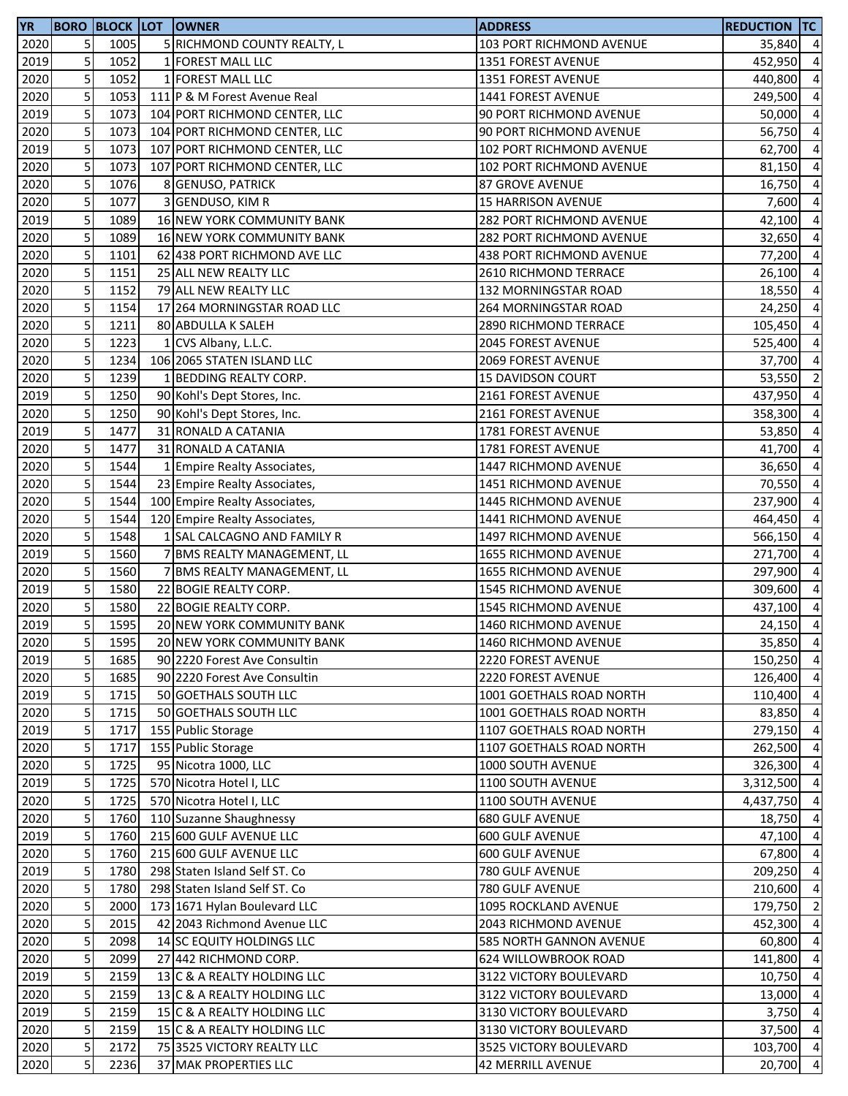| 5<br>2020<br>1005<br>5 RICHMOND COUNTY REALTY, L<br>103 PORT RICHMOND AVENUE<br>35,840<br>5<br>1052<br>1 FOREST MALL LLC<br>2019<br>1351 FOREST AVENUE<br>452,950<br>5<br>2020<br>1052<br>1 FOREST MALL LLC<br>1351 FOREST AVENUE<br>440,800<br>5<br>2020<br>1053<br>111 P & M Forest Avenue Real<br>1441 FOREST AVENUE<br>249,500<br>5<br>2019<br>1073<br>50,000<br>104 PORT RICHMOND CENTER, LLC<br>90 PORT RICHMOND AVENUE<br>5<br>2020<br>1073<br>104 PORT RICHMOND CENTER, LLC<br>90 PORT RICHMOND AVENUE<br>56,750<br>5<br>2019<br>1073<br>107 PORT RICHMOND CENTER, LLC<br>102 PORT RICHMOND AVENUE<br>62,700<br>5<br>2020<br>1073<br>107 PORT RICHMOND CENTER, LLC<br>102 PORT RICHMOND AVENUE<br>81,150<br>5<br>2020<br>1076<br>16,750<br>8 GENUSO, PATRICK<br><b>87 GROVE AVENUE</b><br>5<br>1077<br>2020<br>7,600<br>3 GENDUSO, KIM R<br><b>15 HARRISON AVENUE</b><br>5<br>2019<br>1089<br>16 NEW YORK COMMUNITY BANK<br>282 PORT RICHMOND AVENUE<br>42,100<br>5<br>2020<br>1089<br>16 NEW YORK COMMUNITY BANK<br><b>282 PORT RICHMOND AVENUE</b><br>32,650<br>5<br>2020<br>1101<br>62 438 PORT RICHMOND AVE LLC<br>438 PORT RICHMOND AVENUE<br>77,200<br>5<br>1151<br>2020<br>25 ALL NEW REALTY LLC<br>2610 RICHMOND TERRACE<br>26,100<br>5<br>2020<br>1152<br>79 ALL NEW REALTY LLC<br>132 MORNINGSTAR ROAD<br>18,550<br>5<br>2020<br>1154<br>17 264 MORNINGSTAR ROAD LLC<br>264 MORNINGSTAR ROAD<br>24,250<br>5<br>2020<br>1211<br>80 ABDULLA K SALEH<br>2890 RICHMOND TERRACE<br>105,450<br>5<br>2020<br>1223<br>1 CVS Albany, L.L.C.<br>2045 FOREST AVENUE<br>525,400<br>5<br>2020<br>1234<br>106 2065 STATEN ISLAND LLC<br>2069 FOREST AVENUE<br>37,700<br>5<br>1239<br>2020<br>1 BEDDING REALTY CORP.<br>15 DAVIDSON COURT<br>5<br>1250<br>2019<br>90 Kohl's Dept Stores, Inc.<br>2161 FOREST AVENUE<br>437,950<br>5<br>2020<br>1250<br>90 Kohl's Dept Stores, Inc.<br>358,300<br>2161 FOREST AVENUE<br>5<br>1477<br>2019<br>31 RONALD A CATANIA<br>1781 FOREST AVENUE<br>53,850<br>5<br>2020<br>1477<br>31 RONALD A CATANIA<br>1781 FOREST AVENUE<br>41,700<br>5<br>2020<br>1544<br>1447 RICHMOND AVENUE<br>36,650<br>1 Empire Realty Associates,<br>5<br>2020<br>1544<br>70,550<br>23 Empire Realty Associates,<br>1451 RICHMOND AVENUE<br>5<br>1544<br>2020<br>1445 RICHMOND AVENUE<br>100 Empire Realty Associates,<br>237,900<br>5<br>2020<br>1544<br>120 Empire Realty Associates,<br>1441 RICHMOND AVENUE<br>464,450<br>5<br>2020<br>1548<br>1 SAL CALCAGNO AND FAMILY R<br><b>1497 RICHMOND AVENUE</b><br>566,150<br>5<br>2019<br>1560<br>7 BMS REALTY MANAGEMENT, LL<br>271,700<br><b>1655 RICHMOND AVENUE</b><br>$\overline{\mathbf{5}}$<br>1560<br>2020<br>7 BMS REALTY MANAGEMENT, LL<br>1655 RICHMOND AVENUE<br>297,900<br>5<br>2019<br>1580<br>22 BOGIE REALTY CORP.<br>1545 RICHMOND AVENUE<br>309,600<br>5<br>2020<br>1580<br>22 BOGIE REALTY CORP.<br>1545 RICHMOND AVENUE<br>437,100<br>5<br>2019<br>1595<br>24,150<br>20 NEW YORK COMMUNITY BANK<br>1460 RICHMOND AVENUE<br>2020<br>20 NEW YORK COMMUNITY BANK<br>1595<br>1460 RICHMOND AVENUE<br>5<br>5<br>2019<br>1685<br>90 2220 Forest Ave Consultin<br>2220 FOREST AVENUE<br>150,250<br>5<br>2020<br>1685<br>90 2220 Forest Ave Consultin<br><b>2220 FOREST AVENUE</b><br>126,400<br>5<br>2019<br>1715<br>50 GOETHALS SOUTH LLC<br>1001 GOETHALS ROAD NORTH<br>110,400<br>5<br>2020<br>1715<br>50 GOETHALS SOUTH LLC<br>83,850<br>1001 GOETHALS ROAD NORTH<br>5<br>2019<br>1717<br>155 Public Storage<br>1107 GOETHALS ROAD NORTH<br>279,150<br>5<br>2020<br>1717<br>155 Public Storage<br>1107 GOETHALS ROAD NORTH<br>262,500<br>5<br>2020<br>1725<br>95 Nicotra 1000, LLC<br>1000 SOUTH AVENUE<br>326,300<br>5<br>2019<br>1725<br>570 Nicotra Hotel I, LLC<br>1100 SOUTH AVENUE<br>3,312,500<br>5<br>2020<br>1725<br>570 Nicotra Hotel I, LLC<br>1100 SOUTH AVENUE<br>4,437,750<br>5<br>2020<br>1760<br>110 Suzanne Shaughnessy<br><b>680 GULF AVENUE</b><br>18,750<br>5<br>2019<br>1760<br>215 600 GULF AVENUE LLC<br>600 GULF AVENUE<br>47,100<br>5<br>2020<br>1760<br>215 600 GULF AVENUE LLC<br>67,800<br>600 GULF AVENUE<br>5<br>2019<br>1780<br>298 Staten Island Self ST. Co<br>780 GULF AVENUE<br>209,250<br>5<br>2020<br>298 Staten Island Self ST. Co<br>1780<br>780 GULF AVENUE<br>210,600<br>5<br>2020<br>2000<br>173 1671 Hylan Boulevard LLC<br>1095 ROCKLAND AVENUE<br>179,750<br>5<br>2020<br>2015<br>42 2043 Richmond Avenue LLC<br>2043 RICHMOND AVENUE<br>452,300<br>5<br>2020<br>2098<br>14 SC EQUITY HOLDINGS LLC<br>585 NORTH GANNON AVENUE<br>60,800<br>5<br>2020<br>2099<br>27 442 RICHMOND CORP.<br>624 WILLOWBROOK ROAD<br>141,800<br>5<br>2019<br>2159<br>13 C & A REALTY HOLDING LLC<br>3122 VICTORY BOULEVARD<br>10,750<br>5<br>2020<br>2159<br>13 C & A REALTY HOLDING LLC<br>3122 VICTORY BOULEVARD<br>13,000<br>5<br>2019<br>2159<br>15 C & A REALTY HOLDING LLC<br>3130 VICTORY BOULEVARD<br>3,750<br>5<br>2020<br>2159<br>15 C & A REALTY HOLDING LLC<br>3130 VICTORY BOULEVARD<br>37,500<br>5<br>2020<br>2172<br>75 3525 VICTORY REALTY LLC<br>3525 VICTORY BOULEVARD<br>103,700<br>5<br>2020<br>20,700<br>2236<br>37 MAK PROPERTIES LLC<br>42 MERRILL AVENUE | <b>YR</b> |  | <b>BORO BLOCK LOT OWNER</b> | <b>ADDRESS</b> | <b>REDUCTION TC</b> |                |
|----------------------------------------------------------------------------------------------------------------------------------------------------------------------------------------------------------------------------------------------------------------------------------------------------------------------------------------------------------------------------------------------------------------------------------------------------------------------------------------------------------------------------------------------------------------------------------------------------------------------------------------------------------------------------------------------------------------------------------------------------------------------------------------------------------------------------------------------------------------------------------------------------------------------------------------------------------------------------------------------------------------------------------------------------------------------------------------------------------------------------------------------------------------------------------------------------------------------------------------------------------------------------------------------------------------------------------------------------------------------------------------------------------------------------------------------------------------------------------------------------------------------------------------------------------------------------------------------------------------------------------------------------------------------------------------------------------------------------------------------------------------------------------------------------------------------------------------------------------------------------------------------------------------------------------------------------------------------------------------------------------------------------------------------------------------------------------------------------------------------------------------------------------------------------------------------------------------------------------------------------------------------------------------------------------------------------------------------------------------------------------------------------------------------------------------------------------------------------------------------------------------------------------------------------------------------------------------------------------------------------------------------------------------------------------------------------------------------------------------------------------------------------------------------------------------------------------------------------------------------------------------------------------------------------------------------------------------------------------------------------------------------------------------------------------------------------------------------------------------------------------------------------------------------------------------------------------------------------------------------------------------------------------------------------------------------------------------------------------------------------------------------------------------------------------------------------------------------------------------------------------------------------------------------------------------------------------------------------------------------------------------------------------------------------------------------------------------------------------------------------------------------------------------------------------------------------------------------------------------------------------------------------------------------------------------------------------------------------------------------------------------------------------------------------------------------------------------------------------------------------------------------------------------------------------------------------------------------------------------------------------------------------------------------------------------------------------------------------------------------------------------------------------------------------------------------------------------------------------------------------------------------------------------------------------------------------------------------------------------------------------------------------------------------------------------------------------------------------------------------------------------------------------------------------------------------------------------------------------------------------------------------------------------------------------------------------------------------------------------------------------------------------------------------------------------------------------------------------------------------------------------------------------------------------------------------|-----------|--|-----------------------------|----------------|---------------------|----------------|
| $\overline{4}$<br>$\overline{a}$<br>$\overline{a}$<br>$\overline{4}$                                                                                                                                                                                                                                                                                                                                                                                                                                                                                                                                                                                                                                                                                                                                                                                                                                                                                                                                                                                                                                                                                                                                                                                                                                                                                                                                                                                                                                                                                                                                                                                                                                                                                                                                                                                                                                                                                                                                                                                                                                                                                                                                                                                                                                                                                                                                                                                                                                                                                                                                                                                                                                                                                                                                                                                                                                                                                                                                                                                                                                                                                                                                                                                                                                                                                                                                                                                                                                                                                                                                                                                                                                                                                                                                                                                                                                                                                                                                                                                                                                                                                                                                                                                                                                                                                                                                                                                                                                                                                                                                                                                                                                                                                                                                                                                                                                                                                                                                                                                                                                                                                                                         |           |  |                             |                |                     | $\overline{4}$ |
|                                                                                                                                                                                                                                                                                                                                                                                                                                                                                                                                                                                                                                                                                                                                                                                                                                                                                                                                                                                                                                                                                                                                                                                                                                                                                                                                                                                                                                                                                                                                                                                                                                                                                                                                                                                                                                                                                                                                                                                                                                                                                                                                                                                                                                                                                                                                                                                                                                                                                                                                                                                                                                                                                                                                                                                                                                                                                                                                                                                                                                                                                                                                                                                                                                                                                                                                                                                                                                                                                                                                                                                                                                                                                                                                                                                                                                                                                                                                                                                                                                                                                                                                                                                                                                                                                                                                                                                                                                                                                                                                                                                                                                                                                                                                                                                                                                                                                                                                                                                                                                                                                                                                                                                              |           |  |                             |                |                     |                |
|                                                                                                                                                                                                                                                                                                                                                                                                                                                                                                                                                                                                                                                                                                                                                                                                                                                                                                                                                                                                                                                                                                                                                                                                                                                                                                                                                                                                                                                                                                                                                                                                                                                                                                                                                                                                                                                                                                                                                                                                                                                                                                                                                                                                                                                                                                                                                                                                                                                                                                                                                                                                                                                                                                                                                                                                                                                                                                                                                                                                                                                                                                                                                                                                                                                                                                                                                                                                                                                                                                                                                                                                                                                                                                                                                                                                                                                                                                                                                                                                                                                                                                                                                                                                                                                                                                                                                                                                                                                                                                                                                                                                                                                                                                                                                                                                                                                                                                                                                                                                                                                                                                                                                                                              |           |  |                             |                |                     |                |
|                                                                                                                                                                                                                                                                                                                                                                                                                                                                                                                                                                                                                                                                                                                                                                                                                                                                                                                                                                                                                                                                                                                                                                                                                                                                                                                                                                                                                                                                                                                                                                                                                                                                                                                                                                                                                                                                                                                                                                                                                                                                                                                                                                                                                                                                                                                                                                                                                                                                                                                                                                                                                                                                                                                                                                                                                                                                                                                                                                                                                                                                                                                                                                                                                                                                                                                                                                                                                                                                                                                                                                                                                                                                                                                                                                                                                                                                                                                                                                                                                                                                                                                                                                                                                                                                                                                                                                                                                                                                                                                                                                                                                                                                                                                                                                                                                                                                                                                                                                                                                                                                                                                                                                                              |           |  |                             |                |                     |                |
| $\overline{4}$<br>$\overline{a}$<br>$\overline{a}$<br>$\overline{a}$<br>$\overline{a}$<br>$\overline{a}$<br>$\overline{a}$<br>$\overline{a}$<br>$\overline{a}$<br>$\overline{a}$<br>$\overline{a}$<br>$\overline{a}$<br>$\overline{a}$<br>$\overline{a}$<br>53,550 2<br>$\overline{4}$<br>$\overline{4}$<br>$\overline{4}$<br>$\overline{a}$<br>$\overline{a}$<br>$\overline{a}$<br>$\overline{a}$<br>$\overline{a}$<br>$\overline{a}$<br>$\overline{a}$<br>$\overline{a}$<br>$\overline{a}$<br>$\overline{a}$<br>$\overline{4}$<br>35,850 4<br>$\overline{4}$<br>$\overline{4}$<br>$\overline{4}$<br>$\overline{4}$<br>$\overline{4}$<br>$\overline{a}$<br>$\overline{a}$<br>$\overline{a}$<br>$\overline{a}$<br>$\overline{a}$<br>$\overline{4}$<br>$\overline{a}$<br>$\overline{4}$<br>$\overline{a}$<br>$\overline{2}$<br>$\overline{a}$<br>$\overline{a}$<br>$\overline{a}$<br>$\overline{a}$<br>$\overline{4}$<br>$\overline{4}$<br>$\overline{a}$<br>$\overline{4}$<br>$\overline{4}$                                                                                                                                                                                                                                                                                                                                                                                                                                                                                                                                                                                                                                                                                                                                                                                                                                                                                                                                                                                                                                                                                                                                                                                                                                                                                                                                                                                                                                                                                                                                                                                                                                                                                                                                                                                                                                                                                                                                                                                                                                                                                                                                                                                                                                                                                                                                                                                                                                                                                                                                                                                                                                                                                                                                                                                                                                                                                                                                                                                                                                                                                                                                                                                                                                                                                                                                                                                                                                                                                                                                                                                                                                                                                                                                                                                                                                                                                                                                                                                                                                                                                                                                                                                                 |           |  |                             |                |                     |                |
|                                                                                                                                                                                                                                                                                                                                                                                                                                                                                                                                                                                                                                                                                                                                                                                                                                                                                                                                                                                                                                                                                                                                                                                                                                                                                                                                                                                                                                                                                                                                                                                                                                                                                                                                                                                                                                                                                                                                                                                                                                                                                                                                                                                                                                                                                                                                                                                                                                                                                                                                                                                                                                                                                                                                                                                                                                                                                                                                                                                                                                                                                                                                                                                                                                                                                                                                                                                                                                                                                                                                                                                                                                                                                                                                                                                                                                                                                                                                                                                                                                                                                                                                                                                                                                                                                                                                                                                                                                                                                                                                                                                                                                                                                                                                                                                                                                                                                                                                                                                                                                                                                                                                                                                              |           |  |                             |                |                     |                |
|                                                                                                                                                                                                                                                                                                                                                                                                                                                                                                                                                                                                                                                                                                                                                                                                                                                                                                                                                                                                                                                                                                                                                                                                                                                                                                                                                                                                                                                                                                                                                                                                                                                                                                                                                                                                                                                                                                                                                                                                                                                                                                                                                                                                                                                                                                                                                                                                                                                                                                                                                                                                                                                                                                                                                                                                                                                                                                                                                                                                                                                                                                                                                                                                                                                                                                                                                                                                                                                                                                                                                                                                                                                                                                                                                                                                                                                                                                                                                                                                                                                                                                                                                                                                                                                                                                                                                                                                                                                                                                                                                                                                                                                                                                                                                                                                                                                                                                                                                                                                                                                                                                                                                                                              |           |  |                             |                |                     |                |
|                                                                                                                                                                                                                                                                                                                                                                                                                                                                                                                                                                                                                                                                                                                                                                                                                                                                                                                                                                                                                                                                                                                                                                                                                                                                                                                                                                                                                                                                                                                                                                                                                                                                                                                                                                                                                                                                                                                                                                                                                                                                                                                                                                                                                                                                                                                                                                                                                                                                                                                                                                                                                                                                                                                                                                                                                                                                                                                                                                                                                                                                                                                                                                                                                                                                                                                                                                                                                                                                                                                                                                                                                                                                                                                                                                                                                                                                                                                                                                                                                                                                                                                                                                                                                                                                                                                                                                                                                                                                                                                                                                                                                                                                                                                                                                                                                                                                                                                                                                                                                                                                                                                                                                                              |           |  |                             |                |                     |                |
|                                                                                                                                                                                                                                                                                                                                                                                                                                                                                                                                                                                                                                                                                                                                                                                                                                                                                                                                                                                                                                                                                                                                                                                                                                                                                                                                                                                                                                                                                                                                                                                                                                                                                                                                                                                                                                                                                                                                                                                                                                                                                                                                                                                                                                                                                                                                                                                                                                                                                                                                                                                                                                                                                                                                                                                                                                                                                                                                                                                                                                                                                                                                                                                                                                                                                                                                                                                                                                                                                                                                                                                                                                                                                                                                                                                                                                                                                                                                                                                                                                                                                                                                                                                                                                                                                                                                                                                                                                                                                                                                                                                                                                                                                                                                                                                                                                                                                                                                                                                                                                                                                                                                                                                              |           |  |                             |                |                     |                |
|                                                                                                                                                                                                                                                                                                                                                                                                                                                                                                                                                                                                                                                                                                                                                                                                                                                                                                                                                                                                                                                                                                                                                                                                                                                                                                                                                                                                                                                                                                                                                                                                                                                                                                                                                                                                                                                                                                                                                                                                                                                                                                                                                                                                                                                                                                                                                                                                                                                                                                                                                                                                                                                                                                                                                                                                                                                                                                                                                                                                                                                                                                                                                                                                                                                                                                                                                                                                                                                                                                                                                                                                                                                                                                                                                                                                                                                                                                                                                                                                                                                                                                                                                                                                                                                                                                                                                                                                                                                                                                                                                                                                                                                                                                                                                                                                                                                                                                                                                                                                                                                                                                                                                                                              |           |  |                             |                |                     |                |
|                                                                                                                                                                                                                                                                                                                                                                                                                                                                                                                                                                                                                                                                                                                                                                                                                                                                                                                                                                                                                                                                                                                                                                                                                                                                                                                                                                                                                                                                                                                                                                                                                                                                                                                                                                                                                                                                                                                                                                                                                                                                                                                                                                                                                                                                                                                                                                                                                                                                                                                                                                                                                                                                                                                                                                                                                                                                                                                                                                                                                                                                                                                                                                                                                                                                                                                                                                                                                                                                                                                                                                                                                                                                                                                                                                                                                                                                                                                                                                                                                                                                                                                                                                                                                                                                                                                                                                                                                                                                                                                                                                                                                                                                                                                                                                                                                                                                                                                                                                                                                                                                                                                                                                                              |           |  |                             |                |                     |                |
|                                                                                                                                                                                                                                                                                                                                                                                                                                                                                                                                                                                                                                                                                                                                                                                                                                                                                                                                                                                                                                                                                                                                                                                                                                                                                                                                                                                                                                                                                                                                                                                                                                                                                                                                                                                                                                                                                                                                                                                                                                                                                                                                                                                                                                                                                                                                                                                                                                                                                                                                                                                                                                                                                                                                                                                                                                                                                                                                                                                                                                                                                                                                                                                                                                                                                                                                                                                                                                                                                                                                                                                                                                                                                                                                                                                                                                                                                                                                                                                                                                                                                                                                                                                                                                                                                                                                                                                                                                                                                                                                                                                                                                                                                                                                                                                                                                                                                                                                                                                                                                                                                                                                                                                              |           |  |                             |                |                     |                |
|                                                                                                                                                                                                                                                                                                                                                                                                                                                                                                                                                                                                                                                                                                                                                                                                                                                                                                                                                                                                                                                                                                                                                                                                                                                                                                                                                                                                                                                                                                                                                                                                                                                                                                                                                                                                                                                                                                                                                                                                                                                                                                                                                                                                                                                                                                                                                                                                                                                                                                                                                                                                                                                                                                                                                                                                                                                                                                                                                                                                                                                                                                                                                                                                                                                                                                                                                                                                                                                                                                                                                                                                                                                                                                                                                                                                                                                                                                                                                                                                                                                                                                                                                                                                                                                                                                                                                                                                                                                                                                                                                                                                                                                                                                                                                                                                                                                                                                                                                                                                                                                                                                                                                                                              |           |  |                             |                |                     |                |
|                                                                                                                                                                                                                                                                                                                                                                                                                                                                                                                                                                                                                                                                                                                                                                                                                                                                                                                                                                                                                                                                                                                                                                                                                                                                                                                                                                                                                                                                                                                                                                                                                                                                                                                                                                                                                                                                                                                                                                                                                                                                                                                                                                                                                                                                                                                                                                                                                                                                                                                                                                                                                                                                                                                                                                                                                                                                                                                                                                                                                                                                                                                                                                                                                                                                                                                                                                                                                                                                                                                                                                                                                                                                                                                                                                                                                                                                                                                                                                                                                                                                                                                                                                                                                                                                                                                                                                                                                                                                                                                                                                                                                                                                                                                                                                                                                                                                                                                                                                                                                                                                                                                                                                                              |           |  |                             |                |                     |                |
|                                                                                                                                                                                                                                                                                                                                                                                                                                                                                                                                                                                                                                                                                                                                                                                                                                                                                                                                                                                                                                                                                                                                                                                                                                                                                                                                                                                                                                                                                                                                                                                                                                                                                                                                                                                                                                                                                                                                                                                                                                                                                                                                                                                                                                                                                                                                                                                                                                                                                                                                                                                                                                                                                                                                                                                                                                                                                                                                                                                                                                                                                                                                                                                                                                                                                                                                                                                                                                                                                                                                                                                                                                                                                                                                                                                                                                                                                                                                                                                                                                                                                                                                                                                                                                                                                                                                                                                                                                                                                                                                                                                                                                                                                                                                                                                                                                                                                                                                                                                                                                                                                                                                                                                              |           |  |                             |                |                     |                |
|                                                                                                                                                                                                                                                                                                                                                                                                                                                                                                                                                                                                                                                                                                                                                                                                                                                                                                                                                                                                                                                                                                                                                                                                                                                                                                                                                                                                                                                                                                                                                                                                                                                                                                                                                                                                                                                                                                                                                                                                                                                                                                                                                                                                                                                                                                                                                                                                                                                                                                                                                                                                                                                                                                                                                                                                                                                                                                                                                                                                                                                                                                                                                                                                                                                                                                                                                                                                                                                                                                                                                                                                                                                                                                                                                                                                                                                                                                                                                                                                                                                                                                                                                                                                                                                                                                                                                                                                                                                                                                                                                                                                                                                                                                                                                                                                                                                                                                                                                                                                                                                                                                                                                                                              |           |  |                             |                |                     |                |
|                                                                                                                                                                                                                                                                                                                                                                                                                                                                                                                                                                                                                                                                                                                                                                                                                                                                                                                                                                                                                                                                                                                                                                                                                                                                                                                                                                                                                                                                                                                                                                                                                                                                                                                                                                                                                                                                                                                                                                                                                                                                                                                                                                                                                                                                                                                                                                                                                                                                                                                                                                                                                                                                                                                                                                                                                                                                                                                                                                                                                                                                                                                                                                                                                                                                                                                                                                                                                                                                                                                                                                                                                                                                                                                                                                                                                                                                                                                                                                                                                                                                                                                                                                                                                                                                                                                                                                                                                                                                                                                                                                                                                                                                                                                                                                                                                                                                                                                                                                                                                                                                                                                                                                                              |           |  |                             |                |                     |                |
|                                                                                                                                                                                                                                                                                                                                                                                                                                                                                                                                                                                                                                                                                                                                                                                                                                                                                                                                                                                                                                                                                                                                                                                                                                                                                                                                                                                                                                                                                                                                                                                                                                                                                                                                                                                                                                                                                                                                                                                                                                                                                                                                                                                                                                                                                                                                                                                                                                                                                                                                                                                                                                                                                                                                                                                                                                                                                                                                                                                                                                                                                                                                                                                                                                                                                                                                                                                                                                                                                                                                                                                                                                                                                                                                                                                                                                                                                                                                                                                                                                                                                                                                                                                                                                                                                                                                                                                                                                                                                                                                                                                                                                                                                                                                                                                                                                                                                                                                                                                                                                                                                                                                                                                              |           |  |                             |                |                     |                |
|                                                                                                                                                                                                                                                                                                                                                                                                                                                                                                                                                                                                                                                                                                                                                                                                                                                                                                                                                                                                                                                                                                                                                                                                                                                                                                                                                                                                                                                                                                                                                                                                                                                                                                                                                                                                                                                                                                                                                                                                                                                                                                                                                                                                                                                                                                                                                                                                                                                                                                                                                                                                                                                                                                                                                                                                                                                                                                                                                                                                                                                                                                                                                                                                                                                                                                                                                                                                                                                                                                                                                                                                                                                                                                                                                                                                                                                                                                                                                                                                                                                                                                                                                                                                                                                                                                                                                                                                                                                                                                                                                                                                                                                                                                                                                                                                                                                                                                                                                                                                                                                                                                                                                                                              |           |  |                             |                |                     |                |
|                                                                                                                                                                                                                                                                                                                                                                                                                                                                                                                                                                                                                                                                                                                                                                                                                                                                                                                                                                                                                                                                                                                                                                                                                                                                                                                                                                                                                                                                                                                                                                                                                                                                                                                                                                                                                                                                                                                                                                                                                                                                                                                                                                                                                                                                                                                                                                                                                                                                                                                                                                                                                                                                                                                                                                                                                                                                                                                                                                                                                                                                                                                                                                                                                                                                                                                                                                                                                                                                                                                                                                                                                                                                                                                                                                                                                                                                                                                                                                                                                                                                                                                                                                                                                                                                                                                                                                                                                                                                                                                                                                                                                                                                                                                                                                                                                                                                                                                                                                                                                                                                                                                                                                                              |           |  |                             |                |                     |                |
|                                                                                                                                                                                                                                                                                                                                                                                                                                                                                                                                                                                                                                                                                                                                                                                                                                                                                                                                                                                                                                                                                                                                                                                                                                                                                                                                                                                                                                                                                                                                                                                                                                                                                                                                                                                                                                                                                                                                                                                                                                                                                                                                                                                                                                                                                                                                                                                                                                                                                                                                                                                                                                                                                                                                                                                                                                                                                                                                                                                                                                                                                                                                                                                                                                                                                                                                                                                                                                                                                                                                                                                                                                                                                                                                                                                                                                                                                                                                                                                                                                                                                                                                                                                                                                                                                                                                                                                                                                                                                                                                                                                                                                                                                                                                                                                                                                                                                                                                                                                                                                                                                                                                                                                              |           |  |                             |                |                     |                |
|                                                                                                                                                                                                                                                                                                                                                                                                                                                                                                                                                                                                                                                                                                                                                                                                                                                                                                                                                                                                                                                                                                                                                                                                                                                                                                                                                                                                                                                                                                                                                                                                                                                                                                                                                                                                                                                                                                                                                                                                                                                                                                                                                                                                                                                                                                                                                                                                                                                                                                                                                                                                                                                                                                                                                                                                                                                                                                                                                                                                                                                                                                                                                                                                                                                                                                                                                                                                                                                                                                                                                                                                                                                                                                                                                                                                                                                                                                                                                                                                                                                                                                                                                                                                                                                                                                                                                                                                                                                                                                                                                                                                                                                                                                                                                                                                                                                                                                                                                                                                                                                                                                                                                                                              |           |  |                             |                |                     |                |
|                                                                                                                                                                                                                                                                                                                                                                                                                                                                                                                                                                                                                                                                                                                                                                                                                                                                                                                                                                                                                                                                                                                                                                                                                                                                                                                                                                                                                                                                                                                                                                                                                                                                                                                                                                                                                                                                                                                                                                                                                                                                                                                                                                                                                                                                                                                                                                                                                                                                                                                                                                                                                                                                                                                                                                                                                                                                                                                                                                                                                                                                                                                                                                                                                                                                                                                                                                                                                                                                                                                                                                                                                                                                                                                                                                                                                                                                                                                                                                                                                                                                                                                                                                                                                                                                                                                                                                                                                                                                                                                                                                                                                                                                                                                                                                                                                                                                                                                                                                                                                                                                                                                                                                                              |           |  |                             |                |                     |                |
|                                                                                                                                                                                                                                                                                                                                                                                                                                                                                                                                                                                                                                                                                                                                                                                                                                                                                                                                                                                                                                                                                                                                                                                                                                                                                                                                                                                                                                                                                                                                                                                                                                                                                                                                                                                                                                                                                                                                                                                                                                                                                                                                                                                                                                                                                                                                                                                                                                                                                                                                                                                                                                                                                                                                                                                                                                                                                                                                                                                                                                                                                                                                                                                                                                                                                                                                                                                                                                                                                                                                                                                                                                                                                                                                                                                                                                                                                                                                                                                                                                                                                                                                                                                                                                                                                                                                                                                                                                                                                                                                                                                                                                                                                                                                                                                                                                                                                                                                                                                                                                                                                                                                                                                              |           |  |                             |                |                     |                |
|                                                                                                                                                                                                                                                                                                                                                                                                                                                                                                                                                                                                                                                                                                                                                                                                                                                                                                                                                                                                                                                                                                                                                                                                                                                                                                                                                                                                                                                                                                                                                                                                                                                                                                                                                                                                                                                                                                                                                                                                                                                                                                                                                                                                                                                                                                                                                                                                                                                                                                                                                                                                                                                                                                                                                                                                                                                                                                                                                                                                                                                                                                                                                                                                                                                                                                                                                                                                                                                                                                                                                                                                                                                                                                                                                                                                                                                                                                                                                                                                                                                                                                                                                                                                                                                                                                                                                                                                                                                                                                                                                                                                                                                                                                                                                                                                                                                                                                                                                                                                                                                                                                                                                                                              |           |  |                             |                |                     |                |
|                                                                                                                                                                                                                                                                                                                                                                                                                                                                                                                                                                                                                                                                                                                                                                                                                                                                                                                                                                                                                                                                                                                                                                                                                                                                                                                                                                                                                                                                                                                                                                                                                                                                                                                                                                                                                                                                                                                                                                                                                                                                                                                                                                                                                                                                                                                                                                                                                                                                                                                                                                                                                                                                                                                                                                                                                                                                                                                                                                                                                                                                                                                                                                                                                                                                                                                                                                                                                                                                                                                                                                                                                                                                                                                                                                                                                                                                                                                                                                                                                                                                                                                                                                                                                                                                                                                                                                                                                                                                                                                                                                                                                                                                                                                                                                                                                                                                                                                                                                                                                                                                                                                                                                                              |           |  |                             |                |                     |                |
|                                                                                                                                                                                                                                                                                                                                                                                                                                                                                                                                                                                                                                                                                                                                                                                                                                                                                                                                                                                                                                                                                                                                                                                                                                                                                                                                                                                                                                                                                                                                                                                                                                                                                                                                                                                                                                                                                                                                                                                                                                                                                                                                                                                                                                                                                                                                                                                                                                                                                                                                                                                                                                                                                                                                                                                                                                                                                                                                                                                                                                                                                                                                                                                                                                                                                                                                                                                                                                                                                                                                                                                                                                                                                                                                                                                                                                                                                                                                                                                                                                                                                                                                                                                                                                                                                                                                                                                                                                                                                                                                                                                                                                                                                                                                                                                                                                                                                                                                                                                                                                                                                                                                                                                              |           |  |                             |                |                     |                |
|                                                                                                                                                                                                                                                                                                                                                                                                                                                                                                                                                                                                                                                                                                                                                                                                                                                                                                                                                                                                                                                                                                                                                                                                                                                                                                                                                                                                                                                                                                                                                                                                                                                                                                                                                                                                                                                                                                                                                                                                                                                                                                                                                                                                                                                                                                                                                                                                                                                                                                                                                                                                                                                                                                                                                                                                                                                                                                                                                                                                                                                                                                                                                                                                                                                                                                                                                                                                                                                                                                                                                                                                                                                                                                                                                                                                                                                                                                                                                                                                                                                                                                                                                                                                                                                                                                                                                                                                                                                                                                                                                                                                                                                                                                                                                                                                                                                                                                                                                                                                                                                                                                                                                                                              |           |  |                             |                |                     |                |
|                                                                                                                                                                                                                                                                                                                                                                                                                                                                                                                                                                                                                                                                                                                                                                                                                                                                                                                                                                                                                                                                                                                                                                                                                                                                                                                                                                                                                                                                                                                                                                                                                                                                                                                                                                                                                                                                                                                                                                                                                                                                                                                                                                                                                                                                                                                                                                                                                                                                                                                                                                                                                                                                                                                                                                                                                                                                                                                                                                                                                                                                                                                                                                                                                                                                                                                                                                                                                                                                                                                                                                                                                                                                                                                                                                                                                                                                                                                                                                                                                                                                                                                                                                                                                                                                                                                                                                                                                                                                                                                                                                                                                                                                                                                                                                                                                                                                                                                                                                                                                                                                                                                                                                                              |           |  |                             |                |                     |                |
|                                                                                                                                                                                                                                                                                                                                                                                                                                                                                                                                                                                                                                                                                                                                                                                                                                                                                                                                                                                                                                                                                                                                                                                                                                                                                                                                                                                                                                                                                                                                                                                                                                                                                                                                                                                                                                                                                                                                                                                                                                                                                                                                                                                                                                                                                                                                                                                                                                                                                                                                                                                                                                                                                                                                                                                                                                                                                                                                                                                                                                                                                                                                                                                                                                                                                                                                                                                                                                                                                                                                                                                                                                                                                                                                                                                                                                                                                                                                                                                                                                                                                                                                                                                                                                                                                                                                                                                                                                                                                                                                                                                                                                                                                                                                                                                                                                                                                                                                                                                                                                                                                                                                                                                              |           |  |                             |                |                     |                |
|                                                                                                                                                                                                                                                                                                                                                                                                                                                                                                                                                                                                                                                                                                                                                                                                                                                                                                                                                                                                                                                                                                                                                                                                                                                                                                                                                                                                                                                                                                                                                                                                                                                                                                                                                                                                                                                                                                                                                                                                                                                                                                                                                                                                                                                                                                                                                                                                                                                                                                                                                                                                                                                                                                                                                                                                                                                                                                                                                                                                                                                                                                                                                                                                                                                                                                                                                                                                                                                                                                                                                                                                                                                                                                                                                                                                                                                                                                                                                                                                                                                                                                                                                                                                                                                                                                                                                                                                                                                                                                                                                                                                                                                                                                                                                                                                                                                                                                                                                                                                                                                                                                                                                                                              |           |  |                             |                |                     |                |
|                                                                                                                                                                                                                                                                                                                                                                                                                                                                                                                                                                                                                                                                                                                                                                                                                                                                                                                                                                                                                                                                                                                                                                                                                                                                                                                                                                                                                                                                                                                                                                                                                                                                                                                                                                                                                                                                                                                                                                                                                                                                                                                                                                                                                                                                                                                                                                                                                                                                                                                                                                                                                                                                                                                                                                                                                                                                                                                                                                                                                                                                                                                                                                                                                                                                                                                                                                                                                                                                                                                                                                                                                                                                                                                                                                                                                                                                                                                                                                                                                                                                                                                                                                                                                                                                                                                                                                                                                                                                                                                                                                                                                                                                                                                                                                                                                                                                                                                                                                                                                                                                                                                                                                                              |           |  |                             |                |                     |                |
|                                                                                                                                                                                                                                                                                                                                                                                                                                                                                                                                                                                                                                                                                                                                                                                                                                                                                                                                                                                                                                                                                                                                                                                                                                                                                                                                                                                                                                                                                                                                                                                                                                                                                                                                                                                                                                                                                                                                                                                                                                                                                                                                                                                                                                                                                                                                                                                                                                                                                                                                                                                                                                                                                                                                                                                                                                                                                                                                                                                                                                                                                                                                                                                                                                                                                                                                                                                                                                                                                                                                                                                                                                                                                                                                                                                                                                                                                                                                                                                                                                                                                                                                                                                                                                                                                                                                                                                                                                                                                                                                                                                                                                                                                                                                                                                                                                                                                                                                                                                                                                                                                                                                                                                              |           |  |                             |                |                     |                |
|                                                                                                                                                                                                                                                                                                                                                                                                                                                                                                                                                                                                                                                                                                                                                                                                                                                                                                                                                                                                                                                                                                                                                                                                                                                                                                                                                                                                                                                                                                                                                                                                                                                                                                                                                                                                                                                                                                                                                                                                                                                                                                                                                                                                                                                                                                                                                                                                                                                                                                                                                                                                                                                                                                                                                                                                                                                                                                                                                                                                                                                                                                                                                                                                                                                                                                                                                                                                                                                                                                                                                                                                                                                                                                                                                                                                                                                                                                                                                                                                                                                                                                                                                                                                                                                                                                                                                                                                                                                                                                                                                                                                                                                                                                                                                                                                                                                                                                                                                                                                                                                                                                                                                                                              |           |  |                             |                |                     |                |
|                                                                                                                                                                                                                                                                                                                                                                                                                                                                                                                                                                                                                                                                                                                                                                                                                                                                                                                                                                                                                                                                                                                                                                                                                                                                                                                                                                                                                                                                                                                                                                                                                                                                                                                                                                                                                                                                                                                                                                                                                                                                                                                                                                                                                                                                                                                                                                                                                                                                                                                                                                                                                                                                                                                                                                                                                                                                                                                                                                                                                                                                                                                                                                                                                                                                                                                                                                                                                                                                                                                                                                                                                                                                                                                                                                                                                                                                                                                                                                                                                                                                                                                                                                                                                                                                                                                                                                                                                                                                                                                                                                                                                                                                                                                                                                                                                                                                                                                                                                                                                                                                                                                                                                                              |           |  |                             |                |                     |                |
|                                                                                                                                                                                                                                                                                                                                                                                                                                                                                                                                                                                                                                                                                                                                                                                                                                                                                                                                                                                                                                                                                                                                                                                                                                                                                                                                                                                                                                                                                                                                                                                                                                                                                                                                                                                                                                                                                                                                                                                                                                                                                                                                                                                                                                                                                                                                                                                                                                                                                                                                                                                                                                                                                                                                                                                                                                                                                                                                                                                                                                                                                                                                                                                                                                                                                                                                                                                                                                                                                                                                                                                                                                                                                                                                                                                                                                                                                                                                                                                                                                                                                                                                                                                                                                                                                                                                                                                                                                                                                                                                                                                                                                                                                                                                                                                                                                                                                                                                                                                                                                                                                                                                                                                              |           |  |                             |                |                     |                |
|                                                                                                                                                                                                                                                                                                                                                                                                                                                                                                                                                                                                                                                                                                                                                                                                                                                                                                                                                                                                                                                                                                                                                                                                                                                                                                                                                                                                                                                                                                                                                                                                                                                                                                                                                                                                                                                                                                                                                                                                                                                                                                                                                                                                                                                                                                                                                                                                                                                                                                                                                                                                                                                                                                                                                                                                                                                                                                                                                                                                                                                                                                                                                                                                                                                                                                                                                                                                                                                                                                                                                                                                                                                                                                                                                                                                                                                                                                                                                                                                                                                                                                                                                                                                                                                                                                                                                                                                                                                                                                                                                                                                                                                                                                                                                                                                                                                                                                                                                                                                                                                                                                                                                                                              |           |  |                             |                |                     |                |
|                                                                                                                                                                                                                                                                                                                                                                                                                                                                                                                                                                                                                                                                                                                                                                                                                                                                                                                                                                                                                                                                                                                                                                                                                                                                                                                                                                                                                                                                                                                                                                                                                                                                                                                                                                                                                                                                                                                                                                                                                                                                                                                                                                                                                                                                                                                                                                                                                                                                                                                                                                                                                                                                                                                                                                                                                                                                                                                                                                                                                                                                                                                                                                                                                                                                                                                                                                                                                                                                                                                                                                                                                                                                                                                                                                                                                                                                                                                                                                                                                                                                                                                                                                                                                                                                                                                                                                                                                                                                                                                                                                                                                                                                                                                                                                                                                                                                                                                                                                                                                                                                                                                                                                                              |           |  |                             |                |                     |                |
|                                                                                                                                                                                                                                                                                                                                                                                                                                                                                                                                                                                                                                                                                                                                                                                                                                                                                                                                                                                                                                                                                                                                                                                                                                                                                                                                                                                                                                                                                                                                                                                                                                                                                                                                                                                                                                                                                                                                                                                                                                                                                                                                                                                                                                                                                                                                                                                                                                                                                                                                                                                                                                                                                                                                                                                                                                                                                                                                                                                                                                                                                                                                                                                                                                                                                                                                                                                                                                                                                                                                                                                                                                                                                                                                                                                                                                                                                                                                                                                                                                                                                                                                                                                                                                                                                                                                                                                                                                                                                                                                                                                                                                                                                                                                                                                                                                                                                                                                                                                                                                                                                                                                                                                              |           |  |                             |                |                     |                |
|                                                                                                                                                                                                                                                                                                                                                                                                                                                                                                                                                                                                                                                                                                                                                                                                                                                                                                                                                                                                                                                                                                                                                                                                                                                                                                                                                                                                                                                                                                                                                                                                                                                                                                                                                                                                                                                                                                                                                                                                                                                                                                                                                                                                                                                                                                                                                                                                                                                                                                                                                                                                                                                                                                                                                                                                                                                                                                                                                                                                                                                                                                                                                                                                                                                                                                                                                                                                                                                                                                                                                                                                                                                                                                                                                                                                                                                                                                                                                                                                                                                                                                                                                                                                                                                                                                                                                                                                                                                                                                                                                                                                                                                                                                                                                                                                                                                                                                                                                                                                                                                                                                                                                                                              |           |  |                             |                |                     |                |
|                                                                                                                                                                                                                                                                                                                                                                                                                                                                                                                                                                                                                                                                                                                                                                                                                                                                                                                                                                                                                                                                                                                                                                                                                                                                                                                                                                                                                                                                                                                                                                                                                                                                                                                                                                                                                                                                                                                                                                                                                                                                                                                                                                                                                                                                                                                                                                                                                                                                                                                                                                                                                                                                                                                                                                                                                                                                                                                                                                                                                                                                                                                                                                                                                                                                                                                                                                                                                                                                                                                                                                                                                                                                                                                                                                                                                                                                                                                                                                                                                                                                                                                                                                                                                                                                                                                                                                                                                                                                                                                                                                                                                                                                                                                                                                                                                                                                                                                                                                                                                                                                                                                                                                                              |           |  |                             |                |                     |                |
|                                                                                                                                                                                                                                                                                                                                                                                                                                                                                                                                                                                                                                                                                                                                                                                                                                                                                                                                                                                                                                                                                                                                                                                                                                                                                                                                                                                                                                                                                                                                                                                                                                                                                                                                                                                                                                                                                                                                                                                                                                                                                                                                                                                                                                                                                                                                                                                                                                                                                                                                                                                                                                                                                                                                                                                                                                                                                                                                                                                                                                                                                                                                                                                                                                                                                                                                                                                                                                                                                                                                                                                                                                                                                                                                                                                                                                                                                                                                                                                                                                                                                                                                                                                                                                                                                                                                                                                                                                                                                                                                                                                                                                                                                                                                                                                                                                                                                                                                                                                                                                                                                                                                                                                              |           |  |                             |                |                     |                |
|                                                                                                                                                                                                                                                                                                                                                                                                                                                                                                                                                                                                                                                                                                                                                                                                                                                                                                                                                                                                                                                                                                                                                                                                                                                                                                                                                                                                                                                                                                                                                                                                                                                                                                                                                                                                                                                                                                                                                                                                                                                                                                                                                                                                                                                                                                                                                                                                                                                                                                                                                                                                                                                                                                                                                                                                                                                                                                                                                                                                                                                                                                                                                                                                                                                                                                                                                                                                                                                                                                                                                                                                                                                                                                                                                                                                                                                                                                                                                                                                                                                                                                                                                                                                                                                                                                                                                                                                                                                                                                                                                                                                                                                                                                                                                                                                                                                                                                                                                                                                                                                                                                                                                                                              |           |  |                             |                |                     |                |
|                                                                                                                                                                                                                                                                                                                                                                                                                                                                                                                                                                                                                                                                                                                                                                                                                                                                                                                                                                                                                                                                                                                                                                                                                                                                                                                                                                                                                                                                                                                                                                                                                                                                                                                                                                                                                                                                                                                                                                                                                                                                                                                                                                                                                                                                                                                                                                                                                                                                                                                                                                                                                                                                                                                                                                                                                                                                                                                                                                                                                                                                                                                                                                                                                                                                                                                                                                                                                                                                                                                                                                                                                                                                                                                                                                                                                                                                                                                                                                                                                                                                                                                                                                                                                                                                                                                                                                                                                                                                                                                                                                                                                                                                                                                                                                                                                                                                                                                                                                                                                                                                                                                                                                                              |           |  |                             |                |                     |                |
|                                                                                                                                                                                                                                                                                                                                                                                                                                                                                                                                                                                                                                                                                                                                                                                                                                                                                                                                                                                                                                                                                                                                                                                                                                                                                                                                                                                                                                                                                                                                                                                                                                                                                                                                                                                                                                                                                                                                                                                                                                                                                                                                                                                                                                                                                                                                                                                                                                                                                                                                                                                                                                                                                                                                                                                                                                                                                                                                                                                                                                                                                                                                                                                                                                                                                                                                                                                                                                                                                                                                                                                                                                                                                                                                                                                                                                                                                                                                                                                                                                                                                                                                                                                                                                                                                                                                                                                                                                                                                                                                                                                                                                                                                                                                                                                                                                                                                                                                                                                                                                                                                                                                                                                              |           |  |                             |                |                     |                |
|                                                                                                                                                                                                                                                                                                                                                                                                                                                                                                                                                                                                                                                                                                                                                                                                                                                                                                                                                                                                                                                                                                                                                                                                                                                                                                                                                                                                                                                                                                                                                                                                                                                                                                                                                                                                                                                                                                                                                                                                                                                                                                                                                                                                                                                                                                                                                                                                                                                                                                                                                                                                                                                                                                                                                                                                                                                                                                                                                                                                                                                                                                                                                                                                                                                                                                                                                                                                                                                                                                                                                                                                                                                                                                                                                                                                                                                                                                                                                                                                                                                                                                                                                                                                                                                                                                                                                                                                                                                                                                                                                                                                                                                                                                                                                                                                                                                                                                                                                                                                                                                                                                                                                                                              |           |  |                             |                |                     |                |
|                                                                                                                                                                                                                                                                                                                                                                                                                                                                                                                                                                                                                                                                                                                                                                                                                                                                                                                                                                                                                                                                                                                                                                                                                                                                                                                                                                                                                                                                                                                                                                                                                                                                                                                                                                                                                                                                                                                                                                                                                                                                                                                                                                                                                                                                                                                                                                                                                                                                                                                                                                                                                                                                                                                                                                                                                                                                                                                                                                                                                                                                                                                                                                                                                                                                                                                                                                                                                                                                                                                                                                                                                                                                                                                                                                                                                                                                                                                                                                                                                                                                                                                                                                                                                                                                                                                                                                                                                                                                                                                                                                                                                                                                                                                                                                                                                                                                                                                                                                                                                                                                                                                                                                                              |           |  |                             |                |                     |                |
|                                                                                                                                                                                                                                                                                                                                                                                                                                                                                                                                                                                                                                                                                                                                                                                                                                                                                                                                                                                                                                                                                                                                                                                                                                                                                                                                                                                                                                                                                                                                                                                                                                                                                                                                                                                                                                                                                                                                                                                                                                                                                                                                                                                                                                                                                                                                                                                                                                                                                                                                                                                                                                                                                                                                                                                                                                                                                                                                                                                                                                                                                                                                                                                                                                                                                                                                                                                                                                                                                                                                                                                                                                                                                                                                                                                                                                                                                                                                                                                                                                                                                                                                                                                                                                                                                                                                                                                                                                                                                                                                                                                                                                                                                                                                                                                                                                                                                                                                                                                                                                                                                                                                                                                              |           |  |                             |                |                     |                |
|                                                                                                                                                                                                                                                                                                                                                                                                                                                                                                                                                                                                                                                                                                                                                                                                                                                                                                                                                                                                                                                                                                                                                                                                                                                                                                                                                                                                                                                                                                                                                                                                                                                                                                                                                                                                                                                                                                                                                                                                                                                                                                                                                                                                                                                                                                                                                                                                                                                                                                                                                                                                                                                                                                                                                                                                                                                                                                                                                                                                                                                                                                                                                                                                                                                                                                                                                                                                                                                                                                                                                                                                                                                                                                                                                                                                                                                                                                                                                                                                                                                                                                                                                                                                                                                                                                                                                                                                                                                                                                                                                                                                                                                                                                                                                                                                                                                                                                                                                                                                                                                                                                                                                                                              |           |  |                             |                |                     |                |
|                                                                                                                                                                                                                                                                                                                                                                                                                                                                                                                                                                                                                                                                                                                                                                                                                                                                                                                                                                                                                                                                                                                                                                                                                                                                                                                                                                                                                                                                                                                                                                                                                                                                                                                                                                                                                                                                                                                                                                                                                                                                                                                                                                                                                                                                                                                                                                                                                                                                                                                                                                                                                                                                                                                                                                                                                                                                                                                                                                                                                                                                                                                                                                                                                                                                                                                                                                                                                                                                                                                                                                                                                                                                                                                                                                                                                                                                                                                                                                                                                                                                                                                                                                                                                                                                                                                                                                                                                                                                                                                                                                                                                                                                                                                                                                                                                                                                                                                                                                                                                                                                                                                                                                                              |           |  |                             |                |                     |                |
|                                                                                                                                                                                                                                                                                                                                                                                                                                                                                                                                                                                                                                                                                                                                                                                                                                                                                                                                                                                                                                                                                                                                                                                                                                                                                                                                                                                                                                                                                                                                                                                                                                                                                                                                                                                                                                                                                                                                                                                                                                                                                                                                                                                                                                                                                                                                                                                                                                                                                                                                                                                                                                                                                                                                                                                                                                                                                                                                                                                                                                                                                                                                                                                                                                                                                                                                                                                                                                                                                                                                                                                                                                                                                                                                                                                                                                                                                                                                                                                                                                                                                                                                                                                                                                                                                                                                                                                                                                                                                                                                                                                                                                                                                                                                                                                                                                                                                                                                                                                                                                                                                                                                                                                              |           |  |                             |                |                     |                |
|                                                                                                                                                                                                                                                                                                                                                                                                                                                                                                                                                                                                                                                                                                                                                                                                                                                                                                                                                                                                                                                                                                                                                                                                                                                                                                                                                                                                                                                                                                                                                                                                                                                                                                                                                                                                                                                                                                                                                                                                                                                                                                                                                                                                                                                                                                                                                                                                                                                                                                                                                                                                                                                                                                                                                                                                                                                                                                                                                                                                                                                                                                                                                                                                                                                                                                                                                                                                                                                                                                                                                                                                                                                                                                                                                                                                                                                                                                                                                                                                                                                                                                                                                                                                                                                                                                                                                                                                                                                                                                                                                                                                                                                                                                                                                                                                                                                                                                                                                                                                                                                                                                                                                                                              |           |  |                             |                |                     |                |
|                                                                                                                                                                                                                                                                                                                                                                                                                                                                                                                                                                                                                                                                                                                                                                                                                                                                                                                                                                                                                                                                                                                                                                                                                                                                                                                                                                                                                                                                                                                                                                                                                                                                                                                                                                                                                                                                                                                                                                                                                                                                                                                                                                                                                                                                                                                                                                                                                                                                                                                                                                                                                                                                                                                                                                                                                                                                                                                                                                                                                                                                                                                                                                                                                                                                                                                                                                                                                                                                                                                                                                                                                                                                                                                                                                                                                                                                                                                                                                                                                                                                                                                                                                                                                                                                                                                                                                                                                                                                                                                                                                                                                                                                                                                                                                                                                                                                                                                                                                                                                                                                                                                                                                                              |           |  |                             |                |                     |                |
|                                                                                                                                                                                                                                                                                                                                                                                                                                                                                                                                                                                                                                                                                                                                                                                                                                                                                                                                                                                                                                                                                                                                                                                                                                                                                                                                                                                                                                                                                                                                                                                                                                                                                                                                                                                                                                                                                                                                                                                                                                                                                                                                                                                                                                                                                                                                                                                                                                                                                                                                                                                                                                                                                                                                                                                                                                                                                                                                                                                                                                                                                                                                                                                                                                                                                                                                                                                                                                                                                                                                                                                                                                                                                                                                                                                                                                                                                                                                                                                                                                                                                                                                                                                                                                                                                                                                                                                                                                                                                                                                                                                                                                                                                                                                                                                                                                                                                                                                                                                                                                                                                                                                                                                              |           |  |                             |                |                     |                |
|                                                                                                                                                                                                                                                                                                                                                                                                                                                                                                                                                                                                                                                                                                                                                                                                                                                                                                                                                                                                                                                                                                                                                                                                                                                                                                                                                                                                                                                                                                                                                                                                                                                                                                                                                                                                                                                                                                                                                                                                                                                                                                                                                                                                                                                                                                                                                                                                                                                                                                                                                                                                                                                                                                                                                                                                                                                                                                                                                                                                                                                                                                                                                                                                                                                                                                                                                                                                                                                                                                                                                                                                                                                                                                                                                                                                                                                                                                                                                                                                                                                                                                                                                                                                                                                                                                                                                                                                                                                                                                                                                                                                                                                                                                                                                                                                                                                                                                                                                                                                                                                                                                                                                                                              |           |  |                             |                |                     |                |
|                                                                                                                                                                                                                                                                                                                                                                                                                                                                                                                                                                                                                                                                                                                                                                                                                                                                                                                                                                                                                                                                                                                                                                                                                                                                                                                                                                                                                                                                                                                                                                                                                                                                                                                                                                                                                                                                                                                                                                                                                                                                                                                                                                                                                                                                                                                                                                                                                                                                                                                                                                                                                                                                                                                                                                                                                                                                                                                                                                                                                                                                                                                                                                                                                                                                                                                                                                                                                                                                                                                                                                                                                                                                                                                                                                                                                                                                                                                                                                                                                                                                                                                                                                                                                                                                                                                                                                                                                                                                                                                                                                                                                                                                                                                                                                                                                                                                                                                                                                                                                                                                                                                                                                                              |           |  |                             |                |                     |                |
|                                                                                                                                                                                                                                                                                                                                                                                                                                                                                                                                                                                                                                                                                                                                                                                                                                                                                                                                                                                                                                                                                                                                                                                                                                                                                                                                                                                                                                                                                                                                                                                                                                                                                                                                                                                                                                                                                                                                                                                                                                                                                                                                                                                                                                                                                                                                                                                                                                                                                                                                                                                                                                                                                                                                                                                                                                                                                                                                                                                                                                                                                                                                                                                                                                                                                                                                                                                                                                                                                                                                                                                                                                                                                                                                                                                                                                                                                                                                                                                                                                                                                                                                                                                                                                                                                                                                                                                                                                                                                                                                                                                                                                                                                                                                                                                                                                                                                                                                                                                                                                                                                                                                                                                              |           |  |                             |                |                     |                |
|                                                                                                                                                                                                                                                                                                                                                                                                                                                                                                                                                                                                                                                                                                                                                                                                                                                                                                                                                                                                                                                                                                                                                                                                                                                                                                                                                                                                                                                                                                                                                                                                                                                                                                                                                                                                                                                                                                                                                                                                                                                                                                                                                                                                                                                                                                                                                                                                                                                                                                                                                                                                                                                                                                                                                                                                                                                                                                                                                                                                                                                                                                                                                                                                                                                                                                                                                                                                                                                                                                                                                                                                                                                                                                                                                                                                                                                                                                                                                                                                                                                                                                                                                                                                                                                                                                                                                                                                                                                                                                                                                                                                                                                                                                                                                                                                                                                                                                                                                                                                                                                                                                                                                                                              |           |  |                             |                |                     |                |
|                                                                                                                                                                                                                                                                                                                                                                                                                                                                                                                                                                                                                                                                                                                                                                                                                                                                                                                                                                                                                                                                                                                                                                                                                                                                                                                                                                                                                                                                                                                                                                                                                                                                                                                                                                                                                                                                                                                                                                                                                                                                                                                                                                                                                                                                                                                                                                                                                                                                                                                                                                                                                                                                                                                                                                                                                                                                                                                                                                                                                                                                                                                                                                                                                                                                                                                                                                                                                                                                                                                                                                                                                                                                                                                                                                                                                                                                                                                                                                                                                                                                                                                                                                                                                                                                                                                                                                                                                                                                                                                                                                                                                                                                                                                                                                                                                                                                                                                                                                                                                                                                                                                                                                                              |           |  |                             |                |                     |                |
|                                                                                                                                                                                                                                                                                                                                                                                                                                                                                                                                                                                                                                                                                                                                                                                                                                                                                                                                                                                                                                                                                                                                                                                                                                                                                                                                                                                                                                                                                                                                                                                                                                                                                                                                                                                                                                                                                                                                                                                                                                                                                                                                                                                                                                                                                                                                                                                                                                                                                                                                                                                                                                                                                                                                                                                                                                                                                                                                                                                                                                                                                                                                                                                                                                                                                                                                                                                                                                                                                                                                                                                                                                                                                                                                                                                                                                                                                                                                                                                                                                                                                                                                                                                                                                                                                                                                                                                                                                                                                                                                                                                                                                                                                                                                                                                                                                                                                                                                                                                                                                                                                                                                                                                              |           |  |                             |                |                     |                |
|                                                                                                                                                                                                                                                                                                                                                                                                                                                                                                                                                                                                                                                                                                                                                                                                                                                                                                                                                                                                                                                                                                                                                                                                                                                                                                                                                                                                                                                                                                                                                                                                                                                                                                                                                                                                                                                                                                                                                                                                                                                                                                                                                                                                                                                                                                                                                                                                                                                                                                                                                                                                                                                                                                                                                                                                                                                                                                                                                                                                                                                                                                                                                                                                                                                                                                                                                                                                                                                                                                                                                                                                                                                                                                                                                                                                                                                                                                                                                                                                                                                                                                                                                                                                                                                                                                                                                                                                                                                                                                                                                                                                                                                                                                                                                                                                                                                                                                                                                                                                                                                                                                                                                                                              |           |  |                             |                |                     |                |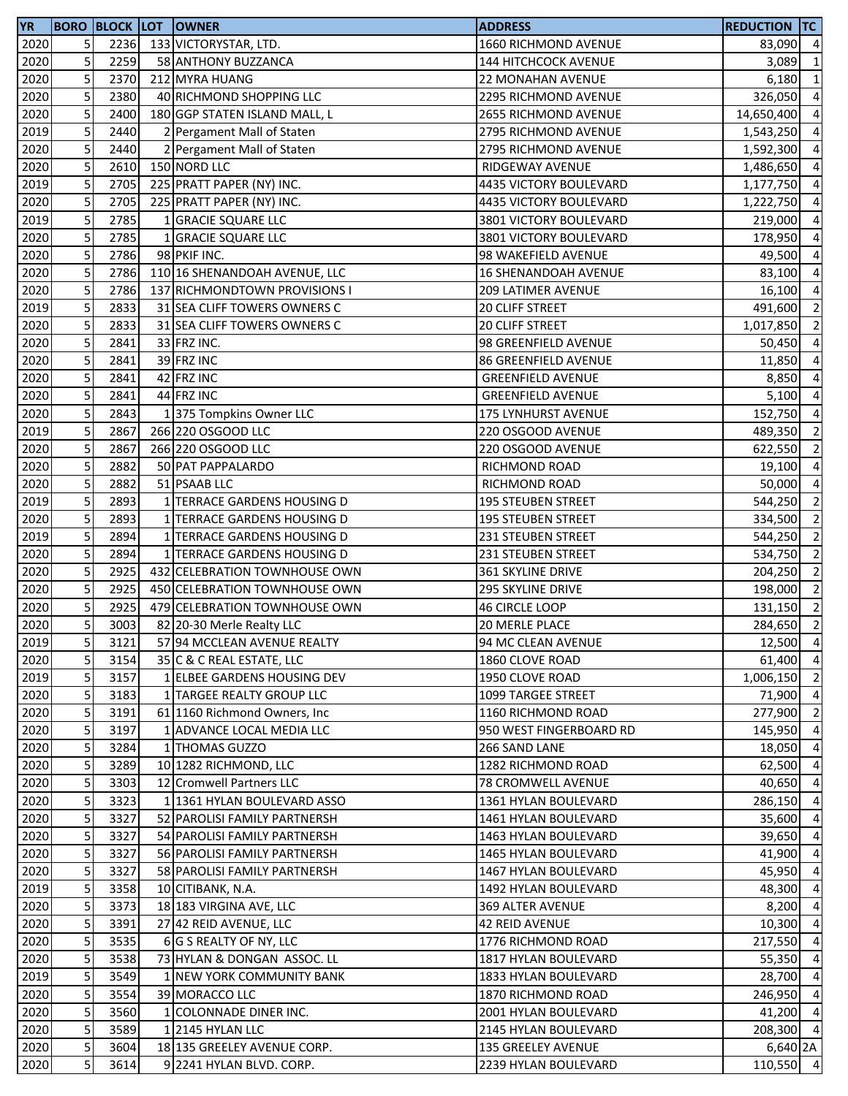| <b>YR</b> |                         |      | <b>BORO BLOCK LOT OWNER</b>   | <b>ADDRESS</b>              | <b>REDUCTION TC</b> |                          |
|-----------|-------------------------|------|-------------------------------|-----------------------------|---------------------|--------------------------|
| 2020      | 5                       | 2236 | 133 VICTORYSTAR, LTD.         | 1660 RICHMOND AVENUE        | 83,090 4            |                          |
| 2020      | 5                       | 2259 | 58 ANTHONY BUZZANCA           | <b>144 HITCHCOCK AVENUE</b> | 3,089               | $\overline{1}$           |
| 2020      | 5                       | 2370 | 212 MYRA HUANG                | 22 MONAHAN AVENUE           | 6,180               | $\overline{1}$           |
| 2020      | 5                       | 2380 | 40 RICHMOND SHOPPING LLC      | 2295 RICHMOND AVENUE        | 326,050             | $\overline{4}$           |
| 2020      | 5                       | 2400 | 180 GGP STATEN ISLAND MALL, L | 2655 RICHMOND AVENUE        | 14,650,400          | $\overline{4}$           |
| 2019      | 5                       | 2440 | 2 Pergament Mall of Staten    | 2795 RICHMOND AVENUE        | 1,543,250           | $\overline{4}$           |
| 2020      | 5                       | 2440 | 2 Pergament Mall of Staten    | 2795 RICHMOND AVENUE        | 1,592,300           | $\overline{4}$           |
| 2020      | 5                       | 2610 | 150 NORD LLC                  | RIDGEWAY AVENUE             | 1,486,650           | $\overline{4}$           |
| 2019      | 5                       | 2705 | 225 PRATT PAPER (NY) INC.     | 4435 VICTORY BOULEVARD      | 1,177,750           | $\overline{4}$           |
| 2020      | 5                       | 2705 | 225 PRATT PAPER (NY) INC.     | 4435 VICTORY BOULEVARD      | 1,222,750           | $\overline{a}$           |
| 2019      | 5                       | 2785 | 1 GRACIE SQUARE LLC           | 3801 VICTORY BOULEVARD      | 219,000             | $\overline{4}$           |
| 2020      | 5                       | 2785 | 1 GRACIE SQUARE LLC           | 3801 VICTORY BOULEVARD      | 178,950             | $\overline{4}$           |
| 2020      | 5                       | 2786 | 98 PKIF INC.                  | 98 WAKEFIELD AVENUE         | 49,500              | $\overline{a}$           |
| 2020      | 5                       | 2786 | 110 16 SHENANDOAH AVENUE, LLC | <b>16 SHENANDOAH AVENUE</b> | 83,100              | $\overline{4}$           |
| 2020      | 5                       | 2786 | 137 RICHMONDTOWN PROVISIONS I | <b>209 LATIMER AVENUE</b>   | 16,100              | $\overline{4}$           |
| 2019      | 5                       | 2833 | 31 SEA CLIFF TOWERS OWNERS C  | 20 CLIFF STREET             | 491,600             | $\overline{2}$           |
| 2020      | 5                       | 2833 | 31 SEA CLIFF TOWERS OWNERS C  | 20 CLIFF STREET             | 1,017,850           | $\overline{2}$           |
| 2020      | 5                       | 2841 | 33 FRZ INC.                   | 98 GREENFIELD AVENUE        | 50,450              | $\overline{a}$           |
| 2020      | 5                       | 2841 | 39 FRZ INC                    | 86 GREENFIELD AVENUE        | 11,850              | $\overline{a}$           |
| 2020      | 5                       | 2841 | 42 FRZ INC                    | <b>GREENFIELD AVENUE</b>    | 8,850               | $\overline{a}$           |
| 2020      | 5                       | 2841 | 44 FRZ INC                    | <b>GREENFIELD AVENUE</b>    | $5,100$ 4           |                          |
| 2020      | 5                       | 2843 | 1375 Tompkins Owner LLC       | 175 LYNHURST AVENUE         | 152,750 4           |                          |
| 2019      | 5                       | 2867 | 266 220 OSGOOD LLC            | 220 OSGOOD AVENUE           | 489,350             | $\overline{2}$           |
| 2020      | 5                       | 2867 | 266 220 OSGOOD LLC            | 220 OSGOOD AVENUE           | 622,550             | $\overline{2}$           |
| 2020      | 5                       | 2882 | 50 PAT PAPPALARDO             | RICHMOND ROAD               | 19,100              | $\overline{4}$           |
| 2020      | 5                       | 2882 | 51 PSAAB LLC                  | RICHMOND ROAD               | 50,000              | $\overline{4}$           |
| 2019      | 5                       | 2893 | 1 TERRACE GARDENS HOUSING D   | <b>195 STEUBEN STREET</b>   | 544,250             | $\overline{2}$           |
| 2020      | 5                       | 2893 | 1 TERRACE GARDENS HOUSING D   | <b>195 STEUBEN STREET</b>   | 334,500             | $\overline{2}$           |
| 2019      | 5                       | 2894 | 1 TERRACE GARDENS HOUSING D   | 231 STEUBEN STREET          | 544,250             | $\overline{\phantom{0}}$ |
| 2020      | 5                       | 2894 | 1 TERRACE GARDENS HOUSING D   | <b>231 STEUBEN STREET</b>   | 534,750             | $\overline{2}$           |
| 2020      | 5                       | 2925 | 432 CELEBRATION TOWNHOUSE OWN | <b>361 SKYLINE DRIVE</b>    | 204,250             | $\overline{2}$           |
| 2020      | 5                       | 2925 | 450 CELEBRATION TOWNHOUSE OWN | 295 SKYLINE DRIVE           | 198,000 2           |                          |
| 2020      | 5                       | 2925 | 479 CELEBRATION TOWNHOUSE OWN | <b>46 CIRCLE LOOP</b>       | 131,150 2           |                          |
| 2020      | 5                       | 3003 | 82 20-30 Merle Realty LLC     | <b>20 MERLE PLACE</b>       | 284,650             | $\overline{\phantom{0}}$ |
| 2019      | 5 <sub>l</sub>          | 3121 | 57 94 MCCLEAN AVENUE REALTY   | 94 MC CLEAN AVENUE          | 12,500 4            |                          |
| 2020      | 5                       | 3154 | 35 C & C REAL ESTATE, LLC     | 1860 CLOVE ROAD             | 61,400 4            |                          |
| 2019      | 5                       | 3157 | 1 ELBEE GARDENS HOUSING DEV   | 1950 CLOVE ROAD             | 1,006,150           | $\overline{2}$           |
| 2020      | 5                       | 3183 | 1 TARGEE REALTY GROUP LLC     | 1099 TARGEE STREET          | 71,900 4            |                          |
| 2020      | 5                       | 3191 | 61 1160 Richmond Owners, Inc. | 1160 RICHMOND ROAD          | 277,900 2           |                          |
| 2020      | 5                       | 3197 | 1 ADVANCE LOCAL MEDIA LLC     | 950 WEST FINGERBOARD RD     | 145,950 4           |                          |
| 2020      | 5                       | 3284 | 1 THOMAS GUZZO                | 266 SAND LANE               | 18,050              | $\overline{4}$           |
| 2020      | 5                       | 3289 | 10 1282 RICHMOND, LLC         | 1282 RICHMOND ROAD          | 62,500 4            |                          |
| 2020      | 5                       | 3303 | 12 Cromwell Partners LLC      | 78 CROMWELL AVENUE          | 40,650              | $\overline{4}$           |
| 2020      | 5                       | 3323 | 1 1361 HYLAN BOULEVARD ASSO   | 1361 HYLAN BOULEVARD        | 286,150             | $\overline{4}$           |
| 2020      | 5                       | 3327 | 52 PAROLISI FAMILY PARTNERSH  | 1461 HYLAN BOULEVARD        | 35,600              | $\overline{a}$           |
| 2020      | 5                       | 3327 | 54 PAROLISI FAMILY PARTNERSH  | 1463 HYLAN BOULEVARD        | 39,650 4            |                          |
| 2020      | 5                       | 3327 | 56 PAROLISI FAMILY PARTNERSH  | 1465 HYLAN BOULEVARD        | 41,900 4            |                          |
| 2020      | 5                       | 3327 | 58 PAROLISI FAMILY PARTNERSH  | <b>1467 HYLAN BOULEVARD</b> | 45,950              | -4                       |
| 2019      | 5                       | 3358 | 10 CITIBANK, N.A.             | 1492 HYLAN BOULEVARD        | 48,300              | $\overline{4}$           |
| 2020      | 5                       | 3373 | 18 183 VIRGINA AVE, LLC       | 369 ALTER AVENUE            | 8,200 4             |                          |
| 2020      | 5                       | 3391 | 27 42 REID AVENUE, LLC        | 42 REID AVENUE              | 10,300              | $\overline{4}$           |
| 2020      | 5                       | 3535 | 6 G S REALTY OF NY, LLC       | 1776 RICHMOND ROAD          | 217,550             | $\overline{4}$           |
| 2020      | 5                       | 3538 | 73 HYLAN & DONGAN ASSOC. LL   | 1817 HYLAN BOULEVARD        | 55,350              | $\overline{4}$           |
| 2019      | 5                       | 3549 | 1 NEW YORK COMMUNITY BANK     | 1833 HYLAN BOULEVARD        | 28,700              | $\overline{4}$           |
| 2020      | 5                       | 3554 | 39 MORACCO LLC                | 1870 RICHMOND ROAD          | 246,950 4           |                          |
| 2020      | 5                       | 3560 | 1 COLONNADE DINER INC.        | 2001 HYLAN BOULEVARD        | 41,200 4            |                          |
| 2020      | 5                       | 3589 | 1 2145 HYLAN LLC              | 2145 HYLAN BOULEVARD        | 208,300 4           |                          |
| 2020      | $\overline{\mathbf{5}}$ | 3604 | 18 135 GREELEY AVENUE CORP.   | 135 GREELEY AVENUE          | 6,640 2A            |                          |
| 2020      | 5                       | 3614 | 9 2241 HYLAN BLVD. CORP.      | 2239 HYLAN BOULEVARD        | 110,550 4           |                          |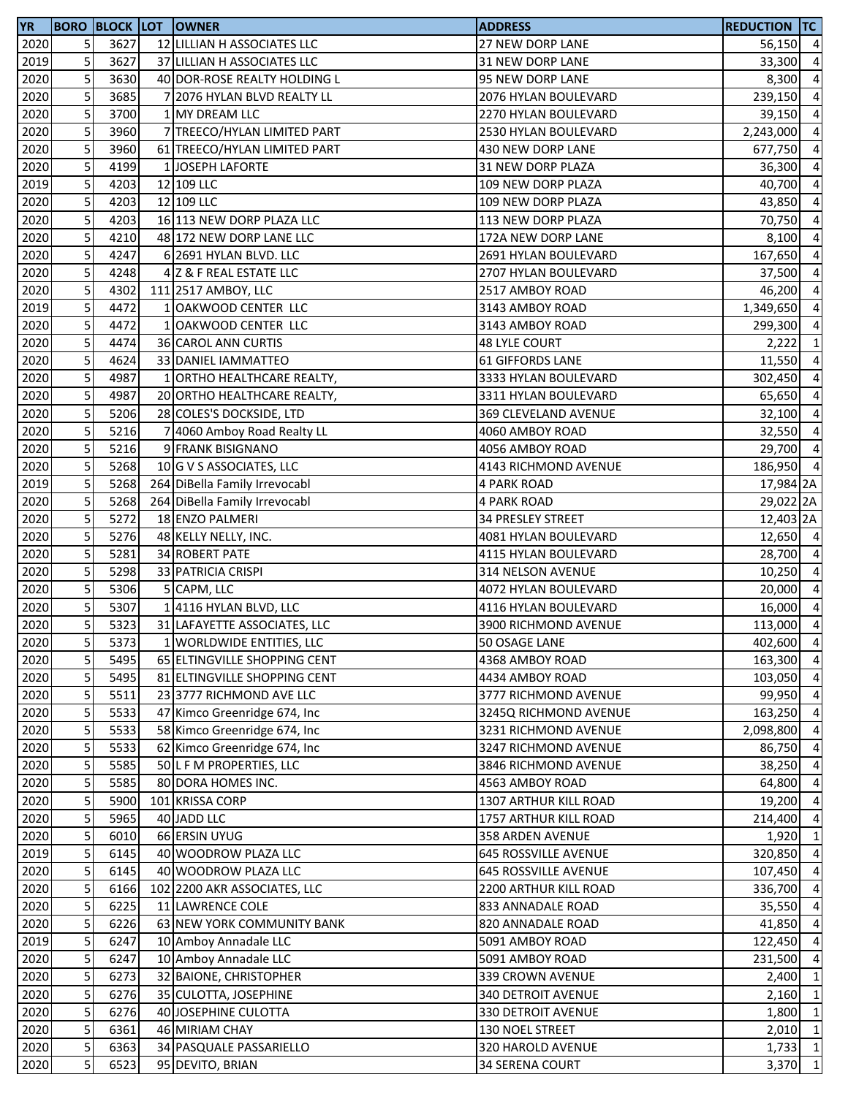| <b>YR</b> |   |      | <b>BORO BLOCK LOT OWNER</b>                | <b>ADDRESS</b>              | <b>REDUCTION TC</b> |                |
|-----------|---|------|--------------------------------------------|-----------------------------|---------------------|----------------|
| 2020      | 5 | 3627 | 12 LILLIAN H ASSOCIATES LLC                | 27 NEW DORP LANE            | 56,150 4            |                |
| 2019      | 5 | 3627 | 37 LILLIAN H ASSOCIATES LLC                | <b>31 NEW DORP LANE</b>     | 33,300              | $\overline{4}$ |
| 2020      | 5 | 3630 | 40 DOR-ROSE REALTY HOLDING L               | 95 NEW DORP LANE            | 8,300               | $\overline{4}$ |
| 2020      | 5 | 3685 | 7 2076 HYLAN BLVD REALTY LL                | 2076 HYLAN BOULEVARD        | 239,150             | $\overline{4}$ |
| 2020      | 5 | 3700 | 1 MY DREAM LLC                             | 2270 HYLAN BOULEVARD        | 39,150              | $\overline{4}$ |
| 2020      | 5 | 3960 | 7 TREECO/HYLAN LIMITED PART                | 2530 HYLAN BOULEVARD        | 2,243,000           | $\overline{4}$ |
| 2020      | 5 | 3960 | 61 TREECO/HYLAN LIMITED PART               | 430 NEW DORP LANE           | 677,750             | $\overline{4}$ |
| 2020      | 5 | 4199 | 1 JOSEPH LAFORTE                           | 31 NEW DORP PLAZA           | 36,300              | $\overline{4}$ |
| 2019      | 5 | 4203 | 12 109 LLC                                 | 109 NEW DORP PLAZA          | 40,700              | $\overline{4}$ |
| 2020      | 5 | 4203 | 12 109 LLC                                 | 109 NEW DORP PLAZA          | 43,850              | $\overline{4}$ |
| 2020      | 5 | 4203 | 16 113 NEW DORP PLAZA LLC                  | 113 NEW DORP PLAZA          | 70,750              | $\overline{4}$ |
| 2020      | 5 | 4210 | 48 172 NEW DORP LANE LLC                   | 172A NEW DORP LANE          | 8,100               | $\overline{4}$ |
| 2020      | 5 | 4247 | 6 2691 HYLAN BLVD. LLC                     | 2691 HYLAN BOULEVARD        | 167,650             | $\overline{4}$ |
| 2020      | 5 | 4248 | 4 Z & F REAL ESTATE LLC                    | 2707 HYLAN BOULEVARD        | 37,500              | $\overline{4}$ |
| 2020      | 5 | 4302 | 111 2517 AMBOY, LLC                        | 2517 AMBOY ROAD             | 46,200              | $\overline{4}$ |
| 2019      | 5 | 4472 | 1 OAKWOOD CENTER LLC                       | 3143 AMBOY ROAD             | 1,349,650           | $\overline{4}$ |
| 2020      | 5 | 4472 | 1 OAKWOOD CENTER LLC                       | 3143 AMBOY ROAD             | 299,300             | $\overline{4}$ |
|           | 5 | 4474 |                                            |                             | 2,222               | $\mathbf{1}$   |
| 2020      | 5 |      | 36 CAROL ANN CURTIS<br>33 DANIEL IAMMATTEO | <b>48 LYLE COURT</b>        |                     |                |
| 2020      |   | 4624 |                                            | <b>61 GIFFORDS LANE</b>     | 11,550              | $\overline{4}$ |
| 2020      | 5 | 4987 | 1 ORTHO HEALTHCARE REALTY,                 | 3333 HYLAN BOULEVARD        | 302,450             | $\overline{4}$ |
| 2020      | 5 | 4987 | 20 ORTHO HEALTHCARE REALTY,                | 3311 HYLAN BOULEVARD        | 65,650              | $\overline{4}$ |
| 2020      | 5 | 5206 | 28 COLES'S DOCKSIDE, LTD                   | 369 CLEVELAND AVENUE        | $32,100$ 4          |                |
| 2020      | 5 | 5216 | 7 4060 Amboy Road Realty LL                | 4060 AMBOY ROAD             | 32,550 4            |                |
| 2020      | 5 | 5216 | 9 FRANK BISIGNANO                          | 4056 AMBOY ROAD             | 29,700 4            |                |
| 2020      | 5 | 5268 | 10 G V S ASSOCIATES, LLC                   | 4143 RICHMOND AVENUE        | 186,950             | $\overline{4}$ |
| 2019      | 5 | 5268 | 264 DiBella Family Irrevocabl              | 4 PARK ROAD                 | 17,984 2A           |                |
| 2020      | 5 | 5268 | 264 DiBella Family Irrevocabl              | <b>4 PARK ROAD</b>          | 29,022 2A           |                |
| 2020      | 5 | 5272 | 18 ENZO PALMERI                            | 34 PRESLEY STREET           | 12,403 2A           |                |
| 2020      | 5 | 5276 | 48 KELLY NELLY, INC.                       | 4081 HYLAN BOULEVARD        | 12,650 4            |                |
| 2020      | 5 | 5281 | 34 ROBERT PATE                             | 4115 HYLAN BOULEVARD        | 28,700 4            |                |
| 2020      | 5 | 5298 | 33 PATRICIA CRISPI                         | 314 NELSON AVENUE           | $10,250$ 4          |                |
| 2020      | 5 | 5306 | 5 CAPM, LLC                                | 4072 HYLAN BOULEVARD        | 20,000 4            |                |
| 2020      | 5 | 5307 | 14116 HYLAN BLVD, LLC                      | 4116 HYLAN BOULEVARD        | 16,000              | $\overline{4}$ |
| 2020      | 5 | 5323 | 31 LAFAYETTE ASSOCIATES, LLC               | 3900 RICHMOND AVENUE        | 113,000             | $\overline{4}$ |
| 2020      | 5 | 5373 | 1 WORLDWIDE ENTITIES, LLC                  | 50 OSAGE LANE               | 402,600 4           |                |
| 2020      | 5 | 5495 | 65 ELTINGVILLE SHOPPING CENT               | 4368 AMBOY ROAD             | 163,300 4           |                |
| 2020      | 5 | 5495 | 81 ELTINGVILLE SHOPPING CENT               | 4434 AMBOY ROAD             | 103,050 4           |                |
| 2020      | 5 | 5511 | 23 3777 RICHMOND AVE LLC                   | 3777 RICHMOND AVENUE        | 99,950 4            |                |
| 2020      | 5 | 5533 | 47 Kimco Greenridge 674, Inc               | 3245Q RICHMOND AVENUE       | 163,250 4           |                |
| 2020      | 5 | 5533 | 58 Kimco Greenridge 674, Inc               | 3231 RICHMOND AVENUE        | 2,098,800           | $\overline{4}$ |
| 2020      | 5 | 5533 | 62 Kimco Greenridge 674, Inc               | 3247 RICHMOND AVENUE        | 86,750              | $\overline{4}$ |
| 2020      | 5 | 5585 | 50 L F M PROPERTIES, LLC                   | 3846 RICHMOND AVENUE        | 38,250              | $\overline{4}$ |
| 2020      | 5 | 5585 | 80 DORA HOMES INC.                         | 4563 AMBOY ROAD             | 64,800              | $\overline{4}$ |
| 2020      | 5 | 5900 | 101 KRISSA CORP                            | 1307 ARTHUR KILL ROAD       | 19,200              | $\overline{4}$ |
| 2020      | 5 | 5965 | 40 JADD LLC                                | 1757 ARTHUR KILL ROAD       | 214,400             | $\overline{4}$ |
| 2020      | 5 | 6010 | 66 ERSIN UYUG                              | 358 ARDEN AVENUE            | 1,920 1             |                |
| 2019      | 5 | 6145 | 40 WOODROW PLAZA LLC                       | <b>645 ROSSVILLE AVENUE</b> | 320,850 4           |                |
| 2020      | 5 | 6145 | 40 WOODROW PLAZA LLC                       | <b>645 ROSSVILLE AVENUE</b> | 107,450 4           |                |
| 2020      | 5 | 6166 | 102 2200 AKR ASSOCIATES, LLC               | 2200 ARTHUR KILL ROAD       | 336,700             | $\overline{4}$ |
| 2020      | 5 | 6225 | 11 LAWRENCE COLE                           | 833 ANNADALE ROAD           | 35,550              | $\overline{4}$ |
| 2020      | 5 | 6226 | 63 NEW YORK COMMUNITY BANK                 | 820 ANNADALE ROAD           | 41,850              | $\overline{4}$ |
| 2019      | 5 | 6247 | 10 Amboy Annadale LLC                      | 5091 AMBOY ROAD             | 122,450             | $\overline{4}$ |
| 2020      | 5 | 6247 | 10 Amboy Annadale LLC                      | 5091 AMBOY ROAD             | 231,500             | $\overline{4}$ |
| 2020      | 5 | 6273 | 32 BAIONE, CHRISTOPHER                     | 339 CROWN AVENUE            | 2,400               | $\mathbf{1}$   |
| 2020      | 5 | 6276 | 35 CULOTTA, JOSEPHINE                      | <b>340 DETROIT AVENUE</b>   | $2,160$ 1           |                |
| 2020      | 5 | 6276 | 40 JOSEPHINE CULOTTA                       | 330 DETROIT AVENUE          | 1,800               | $\overline{1}$ |
| 2020      | 5 | 6361 | 46 MIRIAM CHAY                             |                             | $2,010$ 1           |                |
| 2020      | 5 |      | 34 PASQUALE PASSARIELLO                    | 130 NOEL STREET             |                     | $\overline{1}$ |
|           |   | 6363 |                                            | 320 HAROLD AVENUE           | 1,733               |                |
| 2020      | 5 | 6523 | 95 DEVITO, BRIAN                           | 34 SERENA COURT             | 3,370 1             |                |